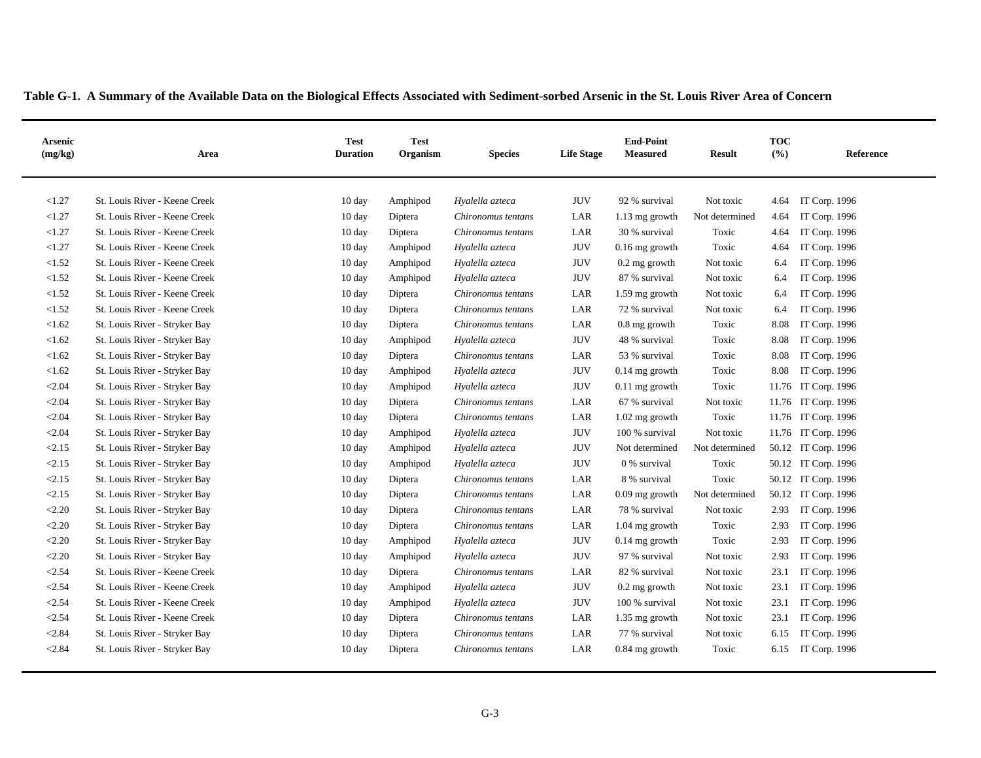| <b>Arsenic</b><br>(mg/kg) | Area                          | <b>Test</b><br><b>Duration</b> | <b>Test</b><br>Organism | <b>Species</b>     | <b>Life Stage</b> | <b>End-Point</b><br><b>Measured</b> | <b>Result</b>  | <b>TOC</b><br>$($ %) | Reference           |
|---------------------------|-------------------------------|--------------------------------|-------------------------|--------------------|-------------------|-------------------------------------|----------------|----------------------|---------------------|
| < 1.27                    | St. Louis River - Keene Creek | 10 day                         | Amphipod                | Hyalella azteca    | JUV               | 92 % survival                       | Not toxic      | 4.64                 | IT Corp. 1996       |
| < 1.27                    | St. Louis River - Keene Creek | $10 \text{ day}$               | Diptera                 | Chironomus tentans | LAR               | $1.13 \text{ mg}$ growth            | Not determined | 4.64                 | IT Corp. 1996       |
| < 1.27                    | St. Louis River - Keene Creek | 10 day                         | Diptera                 | Chironomus tentans | LAR               | 30 % survival                       | Toxic          | 4.64                 | IT Corp. 1996       |
| < 1.27                    | St. Louis River - Keene Creek | $10 \text{ day}$               | Amphipod                | Hyalella azteca    | <b>JUV</b>        | $0.16$ mg growth                    | Toxic          | 4.64                 | IT Corp. 1996       |
| < 1.52                    | St. Louis River - Keene Creek | 10 day                         | Amphipod                | Hyalella azteca    | <b>JUV</b>        | $0.2$ mg growth                     | Not toxic      | 6.4                  | IT Corp. 1996       |
| < 1.52                    | St. Louis River - Keene Creek | 10 day                         | Amphipod                | Hyalella azteca    | <b>JUV</b>        | 87 % survival                       | Not toxic      | 6.4                  | IT Corp. 1996       |
| < 1.52                    | St. Louis River - Keene Creek | 10 day                         | Diptera                 | Chironomus tentans | LAR               | 1.59 mg growth                      | Not toxic      | 6.4                  | IT Corp. 1996       |
| < 1.52                    | St. Louis River - Keene Creek | 10 day                         | Diptera                 | Chironomus tentans | LAR               | 72 % survival                       | Not toxic      | 6.4                  | IT Corp. 1996       |
| < 1.62                    | St. Louis River - Stryker Bay | 10 day                         | Diptera                 | Chironomus tentans | LAR               | 0.8 mg growth                       | Toxic          | 8.08                 | IT Corp. 1996       |
| < 1.62                    | St. Louis River - Stryker Bay | $10 \text{ day}$               | Amphipod                | Hyalella azteca    | <b>JUV</b>        | 48 % survival                       | Toxic          | 8.08                 | IT Corp. 1996       |
| < 1.62                    | St. Louis River - Stryker Bay | $10 \text{ day}$               | Diptera                 | Chironomus tentans | LAR               | 53 % survival                       | Toxic          | 8.08                 | IT Corp. 1996       |
| < 1.62                    | St. Louis River - Stryker Bay | 10 day                         | Amphipod                | Hyalella azteca    | <b>JUV</b>        | $0.14$ mg growth                    | Toxic          | 8.08                 | IT Corp. 1996       |
| < 2.04                    | St. Louis River - Stryker Bay | 10 day                         | Amphipod                | Hyalella azteca    | <b>JUV</b>        | $0.11$ mg growth                    | Toxic          |                      | 11.76 IT Corp. 1996 |
| < 2.04                    | St. Louis River - Stryker Bay | $10 \text{ day}$               | Diptera                 | Chironomus tentans | LAR               | 67 % survival                       | Not toxic      |                      | 11.76 IT Corp. 1996 |
| < 2.04                    | St. Louis River - Stryker Bay | 10 day                         | Diptera                 | Chironomus tentans | LAR               | $1.02$ mg growth                    | Toxic          |                      | 11.76 IT Corp. 1996 |
| < 2.04                    | St. Louis River - Stryker Bay | 10 day                         | Amphipod                | Hyalella azteca    | <b>JUV</b>        | 100 % survival                      | Not toxic      |                      | 11.76 IT Corp. 1996 |
| < 2.15                    | St. Louis River - Stryker Bay | 10 day                         | Amphipod                | Hyalella azteca    | <b>JUV</b>        | Not determined                      | Not determined |                      | 50.12 IT Corp. 1996 |
| < 2.15                    | St. Louis River - Stryker Bay | 10 day                         | Amphipod                | Hyalella azteca    | JUV               | 0 % survival                        | Toxic          |                      | 50.12 IT Corp. 1996 |
| < 2.15                    | St. Louis River - Stryker Bay | 10 day                         | Diptera                 | Chironomus tentans | LAR               | 8 % survival                        | Toxic          |                      | 50.12 IT Corp. 1996 |
| < 2.15                    | St. Louis River - Stryker Bay | 10 day                         | Diptera                 | Chironomus tentans | LAR               | $0.09$ mg growth                    | Not determined |                      | 50.12 IT Corp. 1996 |
| < 2.20                    | St. Louis River - Stryker Bay | 10 day                         | Diptera                 | Chironomus tentans | LAR               | 78 % survival                       | Not toxic      | 2.93                 | IT Corp. 1996       |
| < 2.20                    | St. Louis River - Stryker Bay | 10 day                         | Diptera                 | Chironomus tentans | LAR               | $1.04$ mg growth                    | Toxic          | 2.93                 | IT Corp. 1996       |
| < 2.20                    | St. Louis River - Stryker Bay | 10 day                         | Amphipod                | Hyalella azteca    | JUV               | $0.14$ mg growth                    | Toxic          | 2.93                 | IT Corp. 1996       |
| < 2.20                    | St. Louis River - Stryker Bay | 10 day                         | Amphipod                | Hyalella azteca    | <b>JUV</b>        | 97 % survival                       | Not toxic      | 2.93                 | IT Corp. 1996       |
| < 2.54                    | St. Louis River - Keene Creek | 10 day                         | Diptera                 | Chironomus tentans | LAR               | 82 % survival                       | Not toxic      | 23.1                 | IT Corp. 1996       |
| < 2.54                    | St. Louis River - Keene Creek | 10 day                         | Amphipod                | Hyalella azteca    | <b>JUV</b>        | $0.2$ mg growth                     | Not toxic      | 23.1                 | IT Corp. 1996       |
| < 2.54                    | St. Louis River - Keene Creek | $10 \text{ day}$               | Amphipod                | Hyalella azteca    | <b>JUV</b>        | 100 % survival                      | Not toxic      | 23.1                 | IT Corp. 1996       |
| < 2.54                    | St. Louis River - Keene Creek | 10 day                         | Diptera                 | Chironomus tentans | LAR               | 1.35 mg growth                      | Not toxic      | 23.1                 | IT Corp. 1996       |
| < 2.84                    | St. Louis River - Stryker Bay | $10 \text{ day}$               | Diptera                 | Chironomus tentans | LAR               | 77 % survival                       | Not toxic      | 6.15                 | IT Corp. 1996       |
| < 2.84                    | St. Louis River - Stryker Bay | 10 day                         | Diptera                 | Chironomus tentans | LAR               | $0.84$ mg growth                    | Toxic          | 6.15                 | IT Corp. 1996       |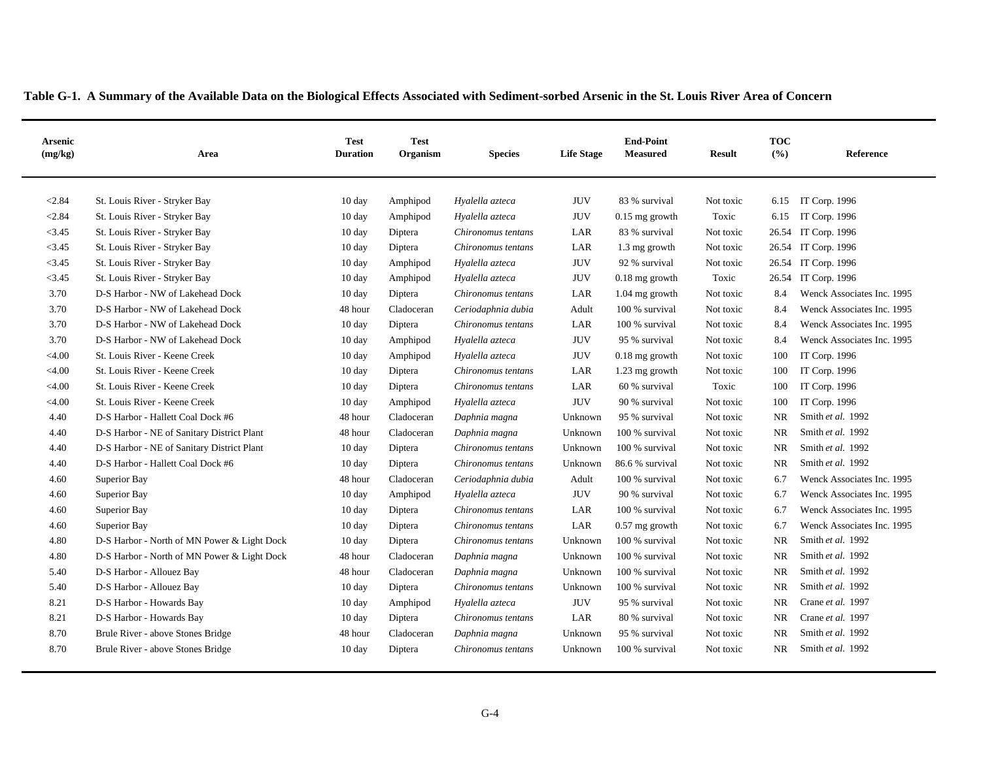| Table G-1. A Summary of the Available Data on the Biological Effects Associated with Sediment-sorbed Arsenic in the St. Louis River Area of Concern |  |
|-----------------------------------------------------------------------------------------------------------------------------------------------------|--|
|                                                                                                                                                     |  |

| <b>Arsenic</b><br>(mg/kg) | Area                                        | <b>Test</b><br><b>Duration</b> | <b>Test</b><br>Organism | <b>Species</b>     | <b>Life Stage</b> | <b>End-Point</b><br><b>Measured</b> | <b>Result</b> | <b>TOC</b><br>(9/0) | Reference                  |
|---------------------------|---------------------------------------------|--------------------------------|-------------------------|--------------------|-------------------|-------------------------------------|---------------|---------------------|----------------------------|
| < 2.84                    | St. Louis River - Stryker Bay               | 10 day                         | Amphipod                | Hyalella azteca    | <b>JUV</b>        | 83 % survival                       | Not toxic     | 6.15                | IT Corp. 1996              |
| < 2.84                    | St. Louis River - Stryker Bay               | 10 day                         | Amphipod                | Hyalella azteca    | <b>JUV</b>        | $0.15$ mg growth                    | Toxic         | 6.15                | IT Corp. 1996              |
| < 3.45                    | St. Louis River - Stryker Bay               | 10 day                         | Diptera                 | Chironomus tentans | LAR               | 83 % survival                       | Not toxic     | 26.54               | IT Corp. 1996              |
| < 3.45                    | St. Louis River - Stryker Bay               | 10 day                         | Diptera                 | Chironomus tentans | LAR               | 1.3 mg growth                       | Not toxic     |                     | 26.54 IT Corp. 1996        |
| < 3.45                    | St. Louis River - Stryker Bay               | 10 day                         | Amphipod                | Hyalella azteca    | <b>JUV</b>        | 92 % survival                       | Not toxic     |                     | 26.54 IT Corp. 1996        |
| < 3.45                    | St. Louis River - Stryker Bay               | $10 \text{ day}$               | Amphipod                | Hyalella azteca    | <b>JUV</b>        | $0.18$ mg growth                    | Toxic         | 26.54               | IT Corp. 1996              |
| 3.70                      | D-S Harbor - NW of Lakehead Dock            | $10 \text{ day}$               | Diptera                 | Chironomus tentans | LAR               | $1.04$ mg growth                    | Not toxic     | 8.4                 | Wenck Associates Inc. 1995 |
| 3.70                      | D-S Harbor - NW of Lakehead Dock            | 48 hour                        | Cladoceran              | Ceriodaphnia dubia | Adult             | 100 % survival                      | Not toxic     | 8.4                 | Wenck Associates Inc. 1995 |
| 3.70                      | D-S Harbor - NW of Lakehead Dock            | $10 \text{ day}$               | Diptera                 | Chironomus tentans | LAR               | 100 % survival                      | Not toxic     | 8.4                 | Wenck Associates Inc. 1995 |
| 3.70                      | D-S Harbor - NW of Lakehead Dock            | $10 \text{ day}$               | Amphipod                | Hyalella azteca    | <b>JUV</b>        | 95 % survival                       | Not toxic     | 8.4                 | Wenck Associates Inc. 1995 |
| < 4.00                    | St. Louis River - Keene Creek               | $10 \text{ day}$               | Amphipod                | Hyalella azteca    | <b>JUV</b>        | $0.18$ mg growth                    | Not toxic     | 100                 | IT Corp. 1996              |
| < 4.00                    | St. Louis River - Keene Creek               | $10 \text{ day}$               | Diptera                 | Chironomus tentans | LAR               | 1.23 mg growth                      | Not toxic     | 100                 | IT Corp. 1996              |
| $<$ 4.00                  | St. Louis River - Keene Creek               | $10 \text{ day}$               | Diptera                 | Chironomus tentans | LAR               | 60 % survival                       | Toxic         | 100                 | IT Corp. 1996              |
| $<$ 4.00                  | St. Louis River - Keene Creek               | $10 \text{ day}$               | Amphipod                | Hyalella azteca    | <b>JUV</b>        | 90 % survival                       | Not toxic     | 100                 | IT Corp. 1996              |
| 4.40                      | D-S Harbor - Hallett Coal Dock #6           | 48 hour                        | Cladoceran              | Daphnia magna      | Unknown           | 95 % survival                       | Not toxic     | <b>NR</b>           | Smith et al. 1992          |
| 4.40                      | D-S Harbor - NE of Sanitary District Plant  | 48 hour                        | Cladoceran              | Daphnia magna      | Unknown           | 100 % survival                      | Not toxic     | <b>NR</b>           | Smith et al. 1992          |
| 4.40                      | D-S Harbor - NE of Sanitary District Plant  | 10 day                         | Diptera                 | Chironomus tentans | Unknown           | 100 % survival                      | Not toxic     | NR                  | Smith et al. 1992          |
| 4.40                      | D-S Harbor - Hallett Coal Dock #6           | 10 day                         | Diptera                 | Chironomus tentans | Unknown           | 86.6 % survival                     | Not toxic     | <b>NR</b>           | Smith et al. 1992          |
| 4.60                      | Superior Bay                                | 48 hour                        | Cladoceran              | Ceriodaphnia dubia | Adult             | 100 % survival                      | Not toxic     | 6.7                 | Wenck Associates Inc. 1995 |
| 4.60                      | Superior Bay                                | 10 day                         | Amphipod                | Hyalella azteca    | <b>JUV</b>        | 90 % survival                       | Not toxic     | 6.7                 | Wenck Associates Inc. 1995 |
| 4.60                      | Superior Bay                                | 10 day                         | Diptera                 | Chironomus tentans | LAR               | 100 % survival                      | Not toxic     | 6.7                 | Wenck Associates Inc. 1995 |
| 4.60                      | Superior Bay                                | 10 day                         | Diptera                 | Chironomus tentans | LAR               | $0.57$ mg growth                    | Not toxic     | 6.7                 | Wenck Associates Inc. 1995 |
| 4.80                      | D-S Harbor - North of MN Power & Light Dock | 10 day                         | Diptera                 | Chironomus tentans | Unknown           | 100 % survival                      | Not toxic     | <b>NR</b>           | Smith et al. 1992          |
| 4.80                      | D-S Harbor - North of MN Power & Light Dock | 48 hour                        | Cladoceran              | Daphnia magna      | Unknown           | 100 % survival                      | Not toxic     | <b>NR</b>           | Smith et al. 1992          |
| 5.40                      | D-S Harbor - Allouez Bay                    | 48 hour                        | Cladoceran              | Daphnia magna      | Unknown           | 100 % survival                      | Not toxic     | <b>NR</b>           | Smith et al. 1992          |
| 5.40                      | D-S Harbor - Allouez Bay                    | $10 \text{ day}$               | Diptera                 | Chironomus tentans | Unknown           | 100 % survival                      | Not toxic     | <b>NR</b>           | Smith et al. 1992          |
| 8.21                      | D-S Harbor - Howards Bay                    | $10 \text{ day}$               | Amphipod                | Hyalella azteca    | <b>JUV</b>        | 95 % survival                       | Not toxic     | <b>NR</b>           | Crane et al. 1997          |
| 8.21                      | D-S Harbor - Howards Bay                    | $10 \text{ day}$               | Diptera                 | Chironomus tentans | LAR               | 80 % survival                       | Not toxic     | <b>NR</b>           | Crane et al. 1997          |
| 8.70                      | Brule River - above Stones Bridge           | 48 hour                        | Cladoceran              | Daphnia magna      | Unknown           | 95 % survival                       | Not toxic     | <b>NR</b>           | Smith et al. 1992          |
| 8.70                      | Brule River - above Stones Bridge           | $10 \text{ day}$               | Diptera                 | Chironomus tentans | Unknown           | 100 % survival                      | Not toxic     | <b>NR</b>           | Smith et al. 1992          |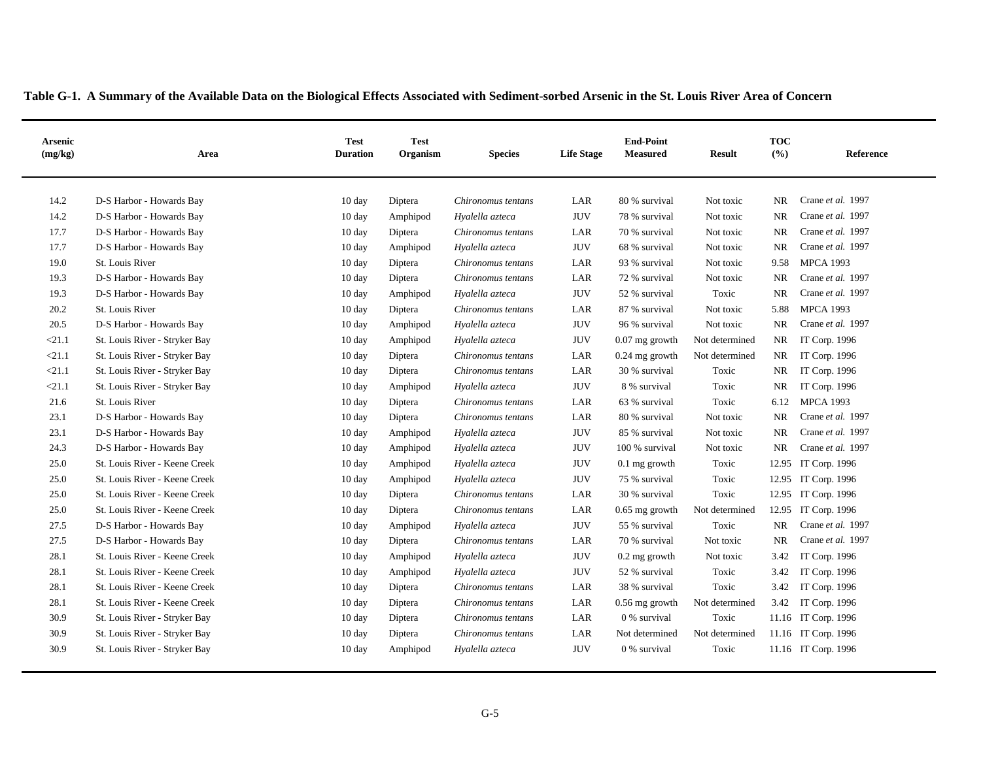| <b>Arsenic</b><br>(mg/kg) | Area                          | <b>Test</b><br><b>Duration</b> | <b>Test</b><br>Organism | <b>Species</b>     | <b>Life Stage</b> | <b>End-Point</b><br><b>Measured</b> | <b>Result</b>  | <b>TOC</b><br>(%) | Reference           |
|---------------------------|-------------------------------|--------------------------------|-------------------------|--------------------|-------------------|-------------------------------------|----------------|-------------------|---------------------|
| 14.2                      | D-S Harbor - Howards Bay      | 10 day                         | Diptera                 | Chironomus tentans | LAR               | 80 % survival                       | Not toxic      | NR.               | Crane et al. 1997   |
| 14.2                      | D-S Harbor - Howards Bay      | $10 \text{ day}$               | Amphipod                | Hyalella azteca    | <b>JUV</b>        | 78 % survival                       | Not toxic      | <b>NR</b>         | Crane et al. 1997   |
| 17.7                      | D-S Harbor - Howards Bay      | $10 \text{ day}$               | Diptera                 | Chironomus tentans | LAR               | 70 % survival                       | Not toxic      | <b>NR</b>         | Crane et al. 1997   |
| 17.7                      | D-S Harbor - Howards Bay      | 10 day                         | Amphipod                | Hyalella azteca    | <b>JUV</b>        | 68 % survival                       | Not toxic      | <b>NR</b>         | Crane et al. 1997   |
| 19.0                      | St. Louis River               | 10 day                         | Diptera                 | Chironomus tentans | LAR               | 93 % survival                       | Not toxic      | 9.58              | <b>MPCA 1993</b>    |
| 19.3                      | D-S Harbor - Howards Bay      | 10 day                         | Diptera                 | Chironomus tentans | LAR               | 72 % survival                       | Not toxic      | <b>NR</b>         | Crane et al. 1997   |
| 19.3                      | D-S Harbor - Howards Bay      | $10 \text{ day}$               | Amphipod                | Hyalella azteca    | $\rm JUV$         | 52 % survival                       | Toxic          | $\rm NR$          | Crane et al. 1997   |
| 20.2                      | St. Louis River               | $10 \text{ day}$               | Diptera                 | Chironomus tentans | LAR               | 87 % survival                       | Not toxic      | 5.88              | <b>MPCA 1993</b>    |
| 20.5                      | D-S Harbor - Howards Bay      | 10 day                         | Amphipod                | Hyalella azteca    | $\rm JUV$         | 96 % survival                       | Not toxic      | <b>NR</b>         | Crane et al. 1997   |
| < 21.1                    | St. Louis River - Stryker Bay | 10 day                         | Amphipod                | Hyalella azteca    | <b>JUV</b>        | $0.07$ mg growth                    | Not determined | NR                | IT Corp. 1996       |
| < 21.1                    | St. Louis River - Stryker Bay | 10 day                         | Diptera                 | Chironomus tentans | LAR               | $0.24$ mg growth                    | Not determined | NR                | IT Corp. 1996       |
| < 21.1                    | St. Louis River - Stryker Bay | 10 day                         | Diptera                 | Chironomus tentans | LAR               | 30 % survival                       | Toxic          | NR                | IT Corp. 1996       |
| < 21.1                    | St. Louis River - Stryker Bay | 10 day                         | Amphipod                | Hyalella azteca    | <b>JUV</b>        | 8 % survival                        | Toxic          | NR.               | IT Corp. 1996       |
| 21.6                      | St. Louis River               | 10 day                         | Diptera                 | Chironomus tentans | LAR               | 63 % survival                       | Toxic          | 6.12              | <b>MPCA 1993</b>    |
| 23.1                      | D-S Harbor - Howards Bay      | $10 \text{ day}$               | Diptera                 | Chironomus tentans | LAR               | 80 % survival                       | Not toxic      | <b>NR</b>         | Crane et al. 1997   |
| 23.1                      | D-S Harbor - Howards Bay      | $10 \text{ day}$               | Amphipod                | Hyalella azteca    | <b>JUV</b>        | 85 % survival                       | Not toxic      | <b>NR</b>         | Crane et al. 1997   |
| 24.3                      | D-S Harbor - Howards Bay      | 10 day                         | Amphipod                | Hyalella azteca    | <b>JUV</b>        | 100 % survival                      | Not toxic      | <b>NR</b>         | Crane et al. 1997   |
| 25.0                      | St. Louis River - Keene Creek | 10 day                         | Amphipod                | Hyalella azteca    | <b>JUV</b>        | $0.1$ mg growth                     | Toxic          |                   | 12.95 IT Corp. 1996 |
| 25.0                      | St. Louis River - Keene Creek | 10 day                         | Amphipod                | Hyalella azteca    | JUV               | 75 % survival                       | Toxic          |                   | 12.95 IT Corp. 1996 |
| 25.0                      | St. Louis River - Keene Creek | 10 day                         | Diptera                 | Chironomus tentans | LAR               | 30 % survival                       | Toxic          |                   | 12.95 IT Corp. 1996 |
| 25.0                      | St. Louis River - Keene Creek | 10 day                         | Diptera                 | Chironomus tentans | LAR               | $0.65$ mg growth                    | Not determined |                   | 12.95 IT Corp. 1996 |
| 27.5                      | D-S Harbor - Howards Bay      | 10 day                         | Amphipod                | Hyalella azteca    | <b>JUV</b>        | 55 % survival                       | Toxic          | <b>NR</b>         | Crane et al. 1997   |
| 27.5                      | D-S Harbor - Howards Bay      | 10 day                         | Diptera                 | Chironomus tentans | LAR               | 70 % survival                       | Not toxic      | <b>NR</b>         | Crane et al. 1997   |
| 28.1                      | St. Louis River - Keene Creek | 10 day                         | Amphipod                | Hyalella azteca    | <b>JUV</b>        | $0.2$ mg growth                     | Not toxic      | 3.42              | IT Corp. 1996       |
| 28.1                      | St. Louis River - Keene Creek | 10 day                         | Amphipod                | Hyalella azteca    | <b>JUV</b>        | 52 % survival                       | Toxic          | 3.42              | IT Corp. 1996       |
| 28.1                      | St. Louis River - Keene Creek | $10 \text{ day}$               | Diptera                 | Chironomus tentans | LAR               | 38 % survival                       | Toxic          | 3.42              | IT Corp. 1996       |
| 28.1                      | St. Louis River - Keene Creek | 10 day                         | Diptera                 | Chironomus tentans | LAR               | 0.56 mg growth                      | Not determined | 3.42              | IT Corp. 1996       |
| 30.9                      | St. Louis River - Stryker Bay | $10 \text{ day}$               | Diptera                 | Chironomus tentans | LAR               | 0 % survival                        | Toxic          |                   | 11.16 IT Corp. 1996 |
| 30.9                      | St. Louis River - Stryker Bay | 10 day                         | Diptera                 | Chironomus tentans | LAR               | Not determined                      | Not determined |                   | 11.16 IT Corp. 1996 |
| 30.9                      | St. Louis River - Stryker Bay | 10 day                         | Amphipod                | Hyalella azteca    | <b>JUV</b>        | 0 % survival                        | Toxic          |                   | 11.16 IT Corp. 1996 |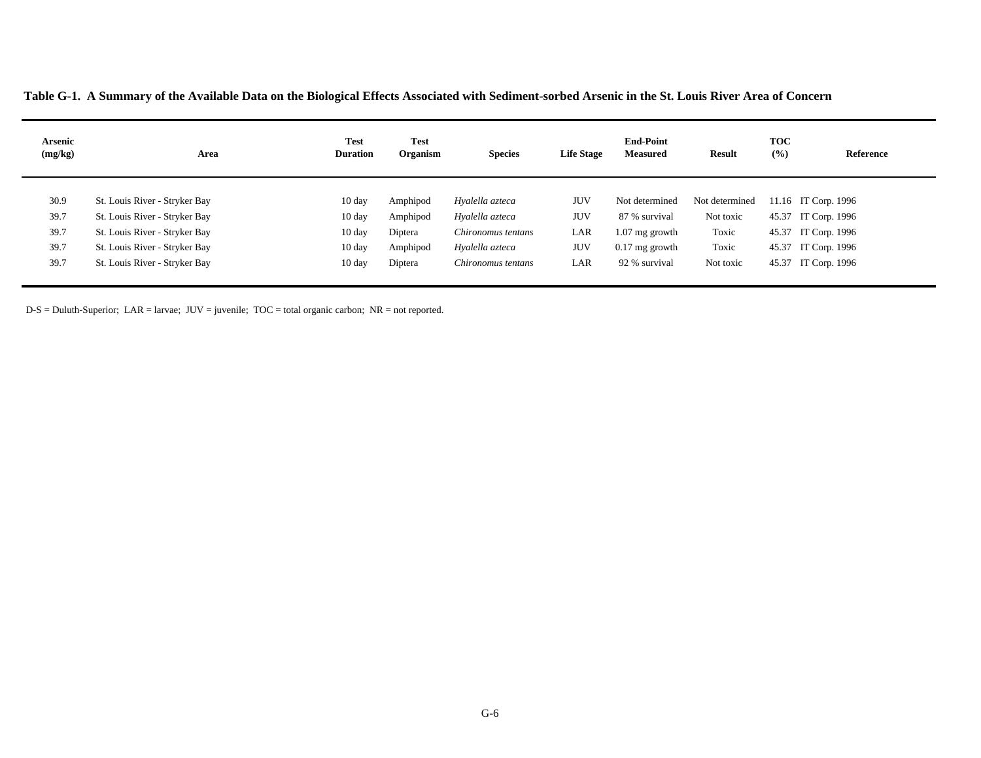**Table G-1. A Summary of the Available Data on the Biological Effects Associated with Sediment-sorbed Arsenic in the St. Louis River Area of Concern**

| Arsenic<br>(mg/kg) | Area                          | <b>Test</b><br><b>Duration</b> | <b>Test</b><br>Organism | <b>Species</b>     | <b>Life Stage</b> | <b>End-Point</b><br><b>Measured</b> | Result         | <b>TOC</b><br>(%) | Reference           |
|--------------------|-------------------------------|--------------------------------|-------------------------|--------------------|-------------------|-------------------------------------|----------------|-------------------|---------------------|
|                    |                               |                                |                         |                    |                   |                                     |                |                   |                     |
| 30.9               | St. Louis River - Stryker Bay | $10 \text{ day}$               | Amphipod                | Hyalella azteca    | JUV               | Not determined                      | Not determined |                   | 11.16 IT Corp. 1996 |
| 39.7               | St. Louis River - Stryker Bay | $10 \text{ day}$               | Amphipod                | Hyalella azteca    | JUV               | 87 % survival                       | Not toxic      |                   | 45.37 IT Corp. 1996 |
| 39.7               | St. Louis River - Stryker Bay | $10 \text{ day}$               | Diptera                 | Chironomus tentans | LAR               | $1.07$ mg growth                    | Toxic          |                   | 45.37 IT Corp. 1996 |
| 39.7               | St. Louis River - Stryker Bay | $10 \text{ day}$               | Amphipod                | Hyalella azteca    | JUV               | $0.17$ mg growth                    | Toxic          |                   | 45.37 IT Corp. 1996 |
| 39.7               | St. Louis River - Stryker Bay | $10 \text{ day}$               | Diptera                 | Chironomus tentans | LAR               | 92 % survival                       | Not toxic      |                   | 45.37 IT Corp. 1996 |
|                    |                               |                                |                         |                    |                   |                                     |                |                   |                     |

D-S = Duluth-Superior; LAR = larvae; JUV = juvenile; TOC = total organic carbon; NR = not reported.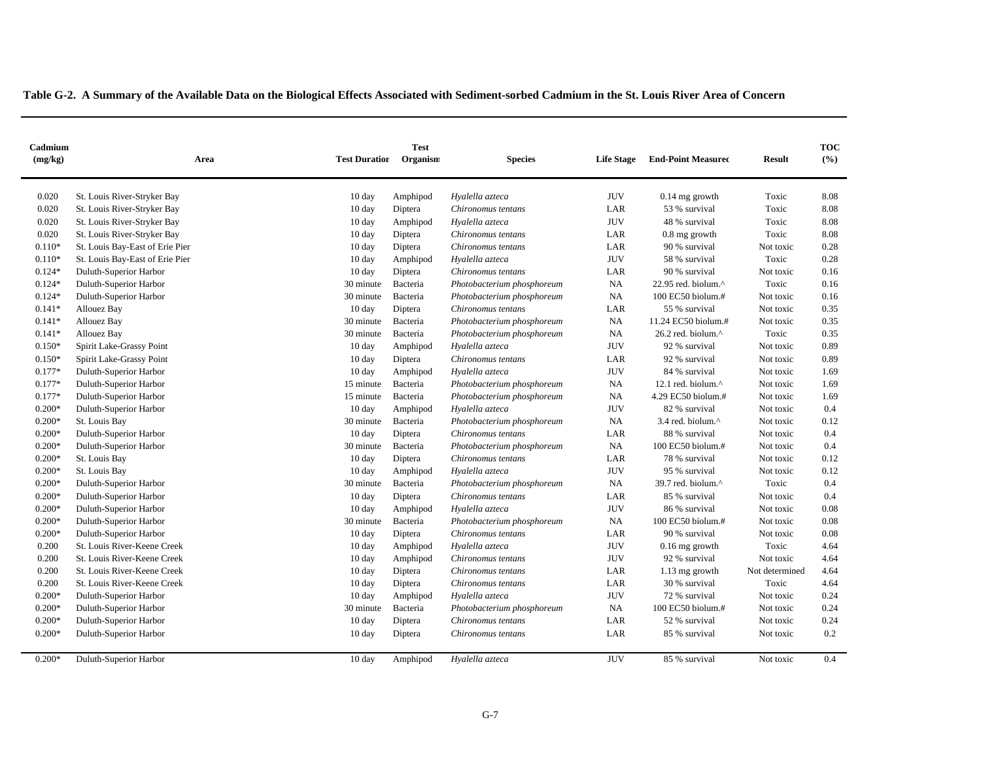| Cadmium<br>(mg/kg) | Area                            | <b>Test Duration</b> | <b>Test</b><br>Organism | <b>Species</b>             | <b>Life Stage</b> | <b>End-Point Measured</b>      | <b>Result</b>  | <b>TOC</b><br>(%) |
|--------------------|---------------------------------|----------------------|-------------------------|----------------------------|-------------------|--------------------------------|----------------|-------------------|
| 0.020              | St. Louis River-Stryker Bay     | $10 \text{ day}$     | Amphipod                | Hyalella azteca            | <b>JUV</b>        | $0.14$ mg growth               | Toxic          | 8.08              |
| 0.020              | St. Louis River-Stryker Bay     | $10 \text{ day}$     | Diptera                 | Chironomus tentans         | LAR               | 53 % survival                  | Toxic          | 8.08              |
| 0.020              | St. Louis River-Stryker Bay     | 10 day               | Amphipod                | Hyalella azteca            | <b>JUV</b>        | 48 % survival                  | Toxic          | 8.08              |
| 0.020              | St. Louis River-Stryker Bay     | $10 \text{ day}$     | Diptera                 | Chironomus tentans         | LAR               | $0.8$ mg growth                | Toxic          | 8.08              |
| $0.110*$           | St. Louis Bay-East of Erie Pier | $10 \text{ day}$     | Diptera                 | Chironomus tentans         | LAR               | 90 % survival                  | Not toxic      | 0.28              |
| $0.110*$           | St. Louis Bay-East of Erie Pier | $10 \text{ day}$     | Amphipod                | Hyalella azteca            | <b>JUV</b>        | 58 % survival                  | Toxic          | 0.28              |
| $0.124*$           | Duluth-Superior Harbor          | $10 \text{ day}$     | Diptera                 | Chironomus tentans         | LAR               | 90 % survival                  | Not toxic      | 0.16              |
| $0.124*$           | Duluth-Superior Harbor          | 30 minute            | Bacteria                | Photobacterium phosphoreum | NA                | 22.95 red. biolum. $^{\wedge}$ | Toxic          | 0.16              |
| $0.124*$           | Duluth-Superior Harbor          | 30 minute            | Bacteria                | Photobacterium phosphoreum | NA                | $100$ EC50 biolum.#            | Not toxic      | 0.16              |
| $0.141*$           | Allouez Bay                     | $10 \text{ day}$     | Diptera                 | Chironomus tentans         | LAR               | 55 % survival                  | Not toxic      | 0.35              |
| $0.141*$           | Allouez Bay                     | 30 minute            | Bacteria                | Photobacterium phosphoreum | NA                | 11.24 EC50 biolum.#            | Not toxic      | 0.35              |
| $0.141*$           | Allouez Bay                     | 30 minute            | Bacteria                | Photobacterium phosphoreum | NA                | 26.2 red. biolum.^             | Toxic          | 0.35              |
| $0.150*$           | Spirit Lake-Grassy Point        | $10 \text{ day}$     | Amphipod                | Hyalella azteca            | <b>JUV</b>        | 92 % survival                  | Not toxic      | 0.89              |
| $0.150*$           | Spirit Lake-Grassy Point        | $10 \text{ day}$     | Diptera                 | Chironomus tentans         | LAR               | 92 % survival                  | Not toxic      | 0.89              |
| $0.177*$           | Duluth-Superior Harbor          | $10 \text{ day}$     | Amphipod                | Hyalella azteca            | <b>JUV</b>        | 84 % survival                  | Not toxic      | 1.69              |
| $0.177*$           | Duluth-Superior Harbor          | 15 minute            | Bacteria                | Photobacterium phosphoreum | NA                | 12.1 red. biolum. $\wedge$     | Not toxic      | 1.69              |
| $0.177*$           | Duluth-Superior Harbor          | 15 minute            | Bacteria                | Photobacterium phosphoreum | NA                | 4.29 EC50 biolum.#             | Not toxic      | 1.69              |
| $0.200*$           | Duluth-Superior Harbor          | $10 \text{ day}$     | Amphipod                | Hyalella azteca            | <b>JUV</b>        | 82 % survival                  | Not toxic      | 0.4               |
| $0.200*$           | St. Louis Bay                   | 30 minute            | Bacteria                | Photobacterium phosphoreum | NA                | 3.4 red. biolum.^              | Not toxic      | 0.12              |
| $0.200*$           | Duluth-Superior Harbor          | $10 \text{ day}$     | Diptera                 | Chironomus tentans         | LAR               | 88 % survival                  | Not toxic      | 0.4               |
| $0.200*$           | Duluth-Superior Harbor          | 30 minute            | Bacteria                | Photobacterium phosphoreum | NA                | 100 EC50 biolum.#              | Not toxic      | 0.4               |
| $0.200*$           | St. Louis Bay                   | 10 day               | Diptera                 | Chironomus tentans         | LAR               | 78 % survival                  | Not toxic      | 0.12              |
| $0.200*$           | St. Louis Bay                   | $10 \text{ day}$     | Amphipod                | Hyalella azteca            | <b>JUV</b>        | 95 % survival                  | Not toxic      | 0.12              |
| $0.200*$           | Duluth-Superior Harbor          | 30 minute            | Bacteria                | Photobacterium phosphoreum | NA                | 39.7 red. biolum.^             | Toxic          | 0.4               |
| $0.200*$           | Duluth-Superior Harbor          | $10 \text{ day}$     | Diptera                 | Chironomus tentans         | LAR               | 85 % survival                  | Not toxic      | 0.4               |
| $0.200*$           | Duluth-Superior Harbor          | $10 \text{ day}$     | Amphipod                | Hyalella azteca            | <b>JUV</b>        | 86 % survival                  | Not toxic      | 0.08              |
| $0.200*$           | Duluth-Superior Harbor          | 30 minute            | Bacteria                | Photobacterium phosphoreum | NA                | 100 EC50 biolum.#              | Not toxic      | 0.08              |
| $0.200*$           | Duluth-Superior Harbor          | $10 \text{ day}$     | Diptera                 | Chironomus tentans         | LAR               | 90 % survival                  | Not toxic      | 0.08              |
| 0.200              | St. Louis River-Keene Creek     | $10 \text{ day}$     | Amphipod                | Hyalella azteca            | <b>JUV</b>        | $0.16$ mg growth               | Toxic          | 4.64              |
| 0.200              | St. Louis River-Keene Creek     | 10 day               | Amphipod                | Chironomus tentans         | <b>JUV</b>        | 92 % survival                  | Not toxic      | 4.64              |
| 0.200              | St. Louis River-Keene Creek     | $10 \text{ day}$     | Diptera                 | Chironomus tentans         | LAR               | 1.13 mg growth                 | Not determined | 4.64              |
| 0.200              | St. Louis River-Keene Creek     | $10 \text{ day}$     | Diptera                 | Chironomus tentans         | LAR               | 30 % survival                  | Toxic          | 4.64              |
| $0.200*$           | Duluth-Superior Harbor          | $10 \text{ day}$     | Amphipod                | Hyalella azteca            | <b>JUV</b>        | 72 % survival                  | Not toxic      | 0.24              |
| $0.200*$           | Duluth-Superior Harbor          | 30 minute            | Bacteria                | Photobacterium phosphoreum | <b>NA</b>         | $100$ EC50 biolum.#            | Not toxic      | 0.24              |
| $0.200*$           | Duluth-Superior Harbor          | $10 \text{ day}$     | Diptera                 | Chironomus tentans         | LAR               | 52 % survival                  | Not toxic      | 0.24              |
| $0.200*$           | Duluth-Superior Harbor          | $10 \text{ day}$     | Diptera                 | Chironomus tentans         | LAR               | 85 % survival                  | Not toxic      | 0.2               |
| $0.200*$           | Duluth-Superior Harbor          | $10 \text{ day}$     | Amphipod                | Hyalella azteca            | <b>JUV</b>        | 85 % survival                  | Not toxic      | 0.4               |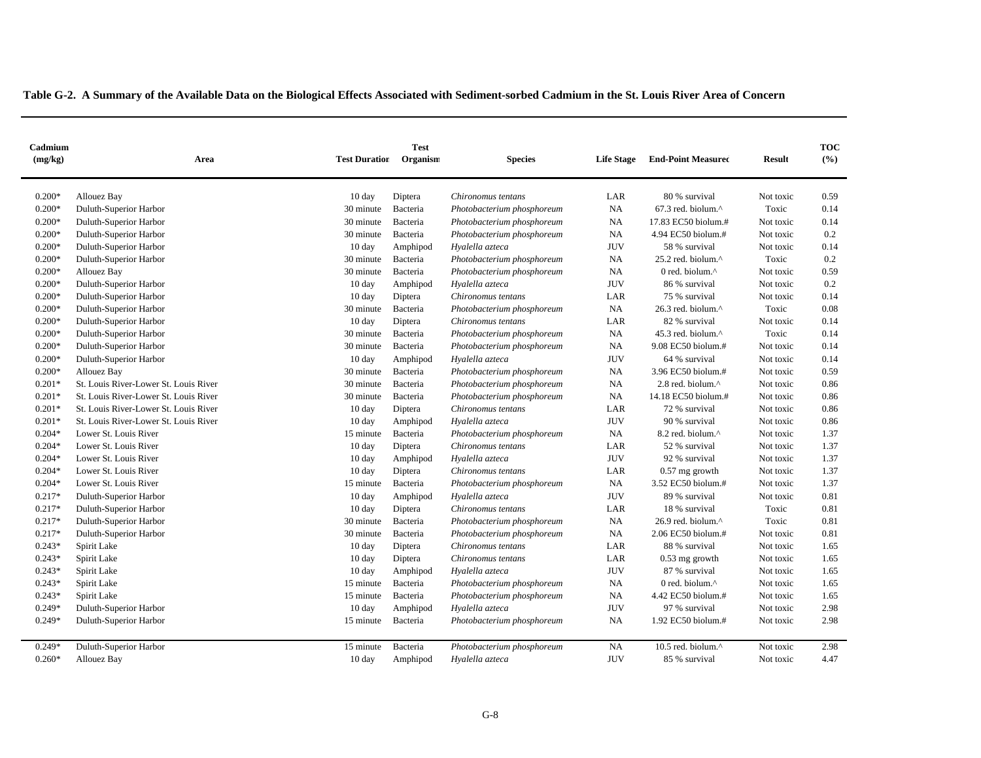| Cadmium  |                                       |                      | <b>Test</b> |                            |                   |                               |               | <b>TOC</b> |
|----------|---------------------------------------|----------------------|-------------|----------------------------|-------------------|-------------------------------|---------------|------------|
| (mg/kg)  | Area                                  | <b>Test Duration</b> | Organism    | <b>Species</b>             | <b>Life Stage</b> | <b>End-Point Measured</b>     | <b>Result</b> | (%)        |
| $0.200*$ | Allouez Bay                           | $10 \text{ day}$     | Diptera     | Chironomus tentans         | LAR               | 80 % survival                 | Not toxic     | 0.59       |
| $0.200*$ | Duluth-Superior Harbor                | 30 minute            | Bacteria    | Photobacterium phosphoreum | NA                | 67.3 red. biolum.^            | Toxic         | 0.14       |
| $0.200*$ | Duluth-Superior Harbor                | 30 minute            | Bacteria    | Photobacterium phosphoreum | NA                | 17.83 EC50 biolum.#           | Not toxic     | 0.14       |
| $0.200*$ | Duluth-Superior Harbor                | 30 minute            | Bacteria    | Photobacterium phosphoreum | NA                | 4.94 EC50 biolum.#            | Not toxic     | 0.2        |
| $0.200*$ | Duluth-Superior Harbor                | $10 \text{ day}$     | Amphipod    | Hyalella azteca            | <b>JUV</b>        | 58 % survival                 | Not toxic     | 0.14       |
| $0.200*$ | Duluth-Superior Harbor                | 30 minute            | Bacteria    | Photobacterium phosphoreum | NA                | 25.2 red. biolum.^            | Toxic         | 0.2        |
| $0.200*$ | Allouez Bay                           | 30 minute            | Bacteria    | Photobacterium phosphoreum | NA                | 0 red. biolum.^               | Not toxic     | 0.59       |
| $0.200*$ | Duluth-Superior Harbor                | 10 day               | Amphipod    | Hyalella azteca            | <b>JUV</b>        | 86 % survival                 | Not toxic     | 0.2        |
| $0.200*$ | Duluth-Superior Harbor                | $10 \text{ day}$     | Diptera     | Chironomus tentans         | LAR               | 75 % survival                 | Not toxic     | 0.14       |
| $0.200*$ | Duluth-Superior Harbor                | 30 minute            | Bacteria    | Photobacterium phosphoreum | NA                | 26.3 red. biolum. $^{\wedge}$ | Toxic         | 0.08       |
| $0.200*$ | Duluth-Superior Harbor                | $10 \text{ day}$     | Diptera     | Chironomus tentans         | LAR               | 82 % survival                 | Not toxic     | 0.14       |
| $0.200*$ | Duluth-Superior Harbor                | 30 minute            | Bacteria    | Photobacterium phosphoreum | NA                | 45.3 red. biolum.^            | Toxic         | 0.14       |
| $0.200*$ | Duluth-Superior Harbor                | 30 minute            | Bacteria    | Photobacterium phosphoreum | NA                | 9.08 EC50 biolum.#            | Not toxic     | 0.14       |
| $0.200*$ | Duluth-Superior Harbor                | $10 \text{ day}$     | Amphipod    | Hyalella azteca            | <b>JUV</b>        | 64 % survival                 | Not toxic     | 0.14       |
| $0.200*$ | Allouez Bay                           | 30 minute            | Bacteria    | Photobacterium phosphoreum | NA                | 3.96 EC50 biolum.#            | Not toxic     | 0.59       |
| $0.201*$ | St. Louis River-Lower St. Louis River | 30 minute            | Bacteria    | Photobacterium phosphoreum | NA                | 2.8 red. biolum.^             | Not toxic     | 0.86       |
| $0.201*$ | St. Louis River-Lower St. Louis River | 30 minute            | Bacteria    | Photobacterium phosphoreum | NA                | 14.18 EC50 biolum.#           | Not toxic     | 0.86       |
| $0.201*$ | St. Louis River-Lower St. Louis River | $10 \text{ day}$     | Diptera     | Chironomus tentans         | LAR               | 72 % survival                 | Not toxic     | 0.86       |
| $0.201*$ | St. Louis River-Lower St. Louis River | $10 \text{ day}$     | Amphipod    | Hyalella azteca            | <b>JUV</b>        | 90 % survival                 | Not toxic     | 0.86       |
| $0.204*$ | Lower St. Louis River                 | 15 minute            | Bacteria    | Photobacterium phosphoreum | NA                | 8.2 red. biolum.^             | Not toxic     | 1.37       |
| $0.204*$ | Lower St. Louis River                 | $10 \text{ day}$     | Diptera     | Chironomus tentans         | LAR               | 52 % survival                 | Not toxic     | 1.37       |
| $0.204*$ | Lower St. Louis River                 | $10 \text{ day}$     | Amphipod    | Hyalella azteca            | <b>JUV</b>        | 92 % survival                 | Not toxic     | 1.37       |
| $0.204*$ | Lower St. Louis River                 | $10 \text{ day}$     | Diptera     | Chironomus tentans         | LAR               | $0.57$ mg growth              | Not toxic     | 1.37       |
| $0.204*$ | Lower St. Louis River                 | 15 minute            | Bacteria    | Photobacterium phosphoreum | NA                | 3.52 EC50 biolum.#            | Not toxic     | 1.37       |
| $0.217*$ | Duluth-Superior Harbor                | $10 \text{ day}$     | Amphipod    | Hyalella azteca            | <b>JUV</b>        | 89 % survival                 | Not toxic     | 0.81       |
| $0.217*$ | Duluth-Superior Harbor                | $10 \text{ day}$     | Diptera     | Chironomus tentans         | LAR               | 18 % survival                 | Toxic         | 0.81       |
| $0.217*$ | Duluth-Superior Harbor                | 30 minute            | Bacteria    | Photobacterium phosphoreum | NA                | 26.9 red. biolum.^            | Toxic         | 0.81       |
| $0.217*$ | Duluth-Superior Harbor                | 30 minute            | Bacteria    | Photobacterium phosphoreum | NA                | 2.06 EC50 biolum.#            | Not toxic     | 0.81       |
| $0.243*$ | Spirit Lake                           | $10 \text{ day}$     | Diptera     | Chironomus tentans         | LAR               | 88 % survival                 | Not toxic     | 1.65       |
| $0.243*$ | Spirit Lake                           | $10 \text{ day}$     | Diptera     | Chironomus tentans         | LAR               | $0.53$ mg growth              | Not toxic     | 1.65       |
| $0.243*$ | Spirit Lake                           | $10 \text{ day}$     | Amphipod    | Hyalella azteca            | <b>JUV</b>        | 87 % survival                 | Not toxic     | 1.65       |
| $0.243*$ | Spirit Lake                           | 15 minute            | Bacteria    | Photobacterium phosphoreum | NA                | 0 red. biolum.^               | Not toxic     | 1.65       |
| $0.243*$ | Spirit Lake                           | 15 minute            | Bacteria    | Photobacterium phosphoreum | NA                | 4.42 EC50 biolum.#            | Not toxic     | 1.65       |
| $0.249*$ | Duluth-Superior Harbor                | $10 \text{ day}$     | Amphipod    | Hyalella azteca            | <b>JUV</b>        | 97 % survival                 | Not toxic     | 2.98       |
| $0.249*$ | Duluth-Superior Harbor                | 15 minute            | Bacteria    | Photobacterium phosphoreum | NA                | 1.92 EC50 biolum.#            | Not toxic     | 2.98       |
|          |                                       |                      |             |                            |                   |                               |               |            |
| $0.249*$ | Duluth-Superior Harbor                | 15 minute            | Bacteria    | Photobacterium phosphoreum | NA                | 10.5 red. biolum.^            | Not toxic     | 2.98       |
| $0.260*$ | Allouez Bay                           | $10 \text{ day}$     | Amphipod    | Hyalella azteca            | <b>JUV</b>        | 85 % survival                 | Not toxic     | 4.47       |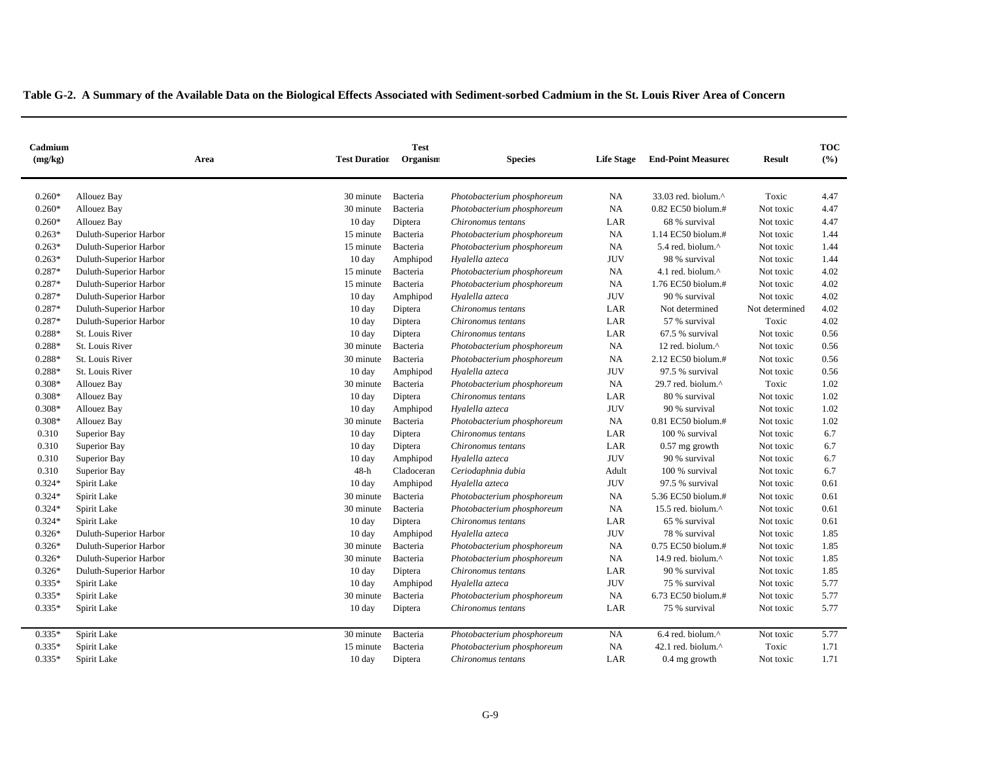| Cadmium<br>(mg/kg) | Area                   | <b>Test Duration</b> | <b>Test</b><br>Organism | <b>Species</b>             | <b>Life Stage</b> | <b>End-Point Measured</b> | <b>Result</b>  | <b>TOC</b><br>(%) |
|--------------------|------------------------|----------------------|-------------------------|----------------------------|-------------------|---------------------------|----------------|-------------------|
|                    |                        |                      |                         |                            |                   |                           |                |                   |
| $0.260*$           | Allouez Bay            | 30 minute            | Bacteria                | Photobacterium phosphoreum | NA                | 33.03 red. biolum.^       | Toxic          | 4.47              |
| $0.260*$           | Allouez Bay            | 30 minute            | Bacteria                | Photobacterium phosphoreum | NA                | 0.82 EC50 biolum.#        | Not toxic      | 4.47              |
| $0.260*$           | <b>Allouez Bay</b>     | $10 \text{ day}$     | Diptera                 | Chironomus tentans         | LAR               | 68 % survival             | Not toxic      | 4.47              |
| $0.263*$           | Duluth-Superior Harbor | 15 minute            | Bacteria                | Photobacterium phosphoreum | NA                | 1.14 EC50 biolum.#        | Not toxic      | 1.44              |
| $0.263*$           | Duluth-Superior Harbor | 15 minute            | Bacteria                | Photobacterium phosphoreum | NA                | 5.4 red. biolum.^         | Not toxic      | 1.44              |
| $0.263*$           | Duluth-Superior Harbor | $10 \text{ day}$     | Amphipod                | Hyalella azteca            | <b>JUV</b>        | 98 % survival             | Not toxic      | 1.44              |
| $0.287*$           | Duluth-Superior Harbor | 15 minute            | Bacteria                | Photobacterium phosphoreum | NA                | 4.1 red. biolum.^         | Not toxic      | 4.02              |
| $0.287*$           | Duluth-Superior Harbor | 15 minute            | Bacteria                | Photobacterium phosphoreum | NA                | 1.76 EC50 biolum.#        | Not toxic      | 4.02              |
| $0.287*$           | Duluth-Superior Harbor | $10 \text{ day}$     | Amphipod                | Hyalella azteca            | <b>JUV</b>        | 90 % survival             | Not toxic      | 4.02              |
| $0.287*$           | Duluth-Superior Harbor | 10 day               | Diptera                 | Chironomus tentans         | LAR               | Not determined            | Not determined | 4.02              |
| $0.287*$           | Duluth-Superior Harbor | 10 day               | Diptera                 | Chironomus tentans         | LAR               | 57 % survival             | Toxic          | 4.02              |
| $0.288*$           | St. Louis River        | 10 day               | Diptera                 | Chironomus tentans         | LAR               | 67.5 % survival           | Not toxic      | 0.56              |
| $0.288*$           | St. Louis River        | 30 minute            | Bacteria                | Photobacterium phosphoreum | NA                | 12 red. biolum.^          | Not toxic      | 0.56              |
| $0.288*$           | St. Louis River        | 30 minute            | Bacteria                | Photobacterium phosphoreum | NA                | 2.12 EC50 biolum.#        | Not toxic      | 0.56              |
| 0.288*             | St. Louis River        | $10 \text{ day}$     | Amphipod                | Hyalella azteca            | <b>JUV</b>        | 97.5 % survival           | Not toxic      | 0.56              |
| $0.308*$           | Allouez Bay            | 30 minute            | Bacteria                | Photobacterium phosphoreum | <b>NA</b>         | 29.7 red. biolum.^        | Toxic          | 1.02              |
| $0.308*$           | Allouez Bay            | $10 \text{ day}$     | Diptera                 | Chironomus tentans         | LAR               | 80 % survival             | Not toxic      | 1.02              |
| $0.308*$           | Allouez Bay            | $10 \text{ day}$     | Amphipod                | Hyalella azteca            | <b>JUV</b>        | 90 % survival             | Not toxic      | 1.02              |
| $0.308*$           | Allouez Bay            | 30 minute            | Bacteria                | Photobacterium phosphoreum | NA                | $0.81$ EC50 biolum.#      | Not toxic      | 1.02              |
| 0.310              | Superior Bay           | $10 \text{ day}$     | Diptera                 | Chironomus tentans         | LAR               | 100 % survival            | Not toxic      | 6.7               |
| 0.310              | Superior Bay           | $10 \text{ day}$     | Diptera                 | Chironomus tentans         | LAR               | $0.57$ mg growth          | Not toxic      | 6.7               |
| 0.310              | Superior Bay           | 10 day               | Amphipod                | Hyalella azteca            | <b>JUV</b>        | 90 % survival             | Not toxic      | 6.7               |
| 0.310              | Superior Bay           | $48-h$               | Cladoceran              | Ceriodaphnia dubia         | Adult             | 100 % survival            | Not toxic      | 6.7               |
| $0.324*$           | Spirit Lake            | 10 day               | Amphipod                | Hyalella azteca            | <b>JUV</b>        | 97.5 % survival           | Not toxic      | 0.61              |
| $0.324*$           | Spirit Lake            | 30 minute            | Bacteria                | Photobacterium phosphoreum | NA                | 5.36 EC50 biolum.#        | Not toxic      | 0.61              |
| $0.324*$           | Spirit Lake            | 30 minute            | Bacteria                | Photobacterium phosphoreum | NA                | 15.5 red. biolum.^        | Not toxic      | 0.61              |
| $0.324*$           | Spirit Lake            | 10 day               | Diptera                 | Chironomus tentans         | LAR               | 65 % survival             | Not toxic      | 0.61              |
| $0.326*$           | Duluth-Superior Harbor | 10 day               | Amphipod                | Hyalella azteca            | <b>JUV</b>        | 78 % survival             | Not toxic      | 1.85              |
| $0.326*$           | Duluth-Superior Harbor | 30 minute            | Bacteria                | Photobacterium phosphoreum | NA                | 0.75 EC50 biolum.#        | Not toxic      | 1.85              |
| $0.326*$           | Duluth-Superior Harbor | 30 minute            | Bacteria                | Photobacterium phosphoreum | <b>NA</b>         | 14.9 red. biolum.^        | Not toxic      | 1.85              |
| $0.326*$           | Duluth-Superior Harbor | 10 day               | Diptera                 | Chironomus tentans         | LAR               | 90 % survival             | Not toxic      | 1.85              |
| $0.335*$           | Spirit Lake            | $10 \text{ day}$     | Amphipod                | Hyalella azteca            | <b>JUV</b>        | 75 % survival             | Not toxic      | 5.77              |
| $0.335*$           | Spirit Lake            | 30 minute            | Bacteria                | Photobacterium phosphoreum | <b>NA</b>         | 6.73 EC50 biolum.#        | Not toxic      | 5.77              |
| $0.335*$           | Spirit Lake            | $10 \text{ day}$     | Diptera                 | Chironomus tentans         | LAR               | 75 % survival             | Not toxic      | 5.77              |
| $0.335*$           | Spirit Lake            | 30 minute            | Bacteria                | Photobacterium phosphoreum | <b>NA</b>         | 6.4 red. biolum.^         | Not toxic      | 5.77              |
| $0.335*$           | Spirit Lake            | 15 minute            | Bacteria                | Photobacterium phosphoreum | <b>NA</b>         | 42.1 red. biolum.^        | Toxic          | 1.71              |
| $0.335*$           | Spirit Lake            | $10 \text{ day}$     | Diptera                 | Chironomus tentans         | LAR               | 0.4 mg growth             | Not toxic      | 1.71              |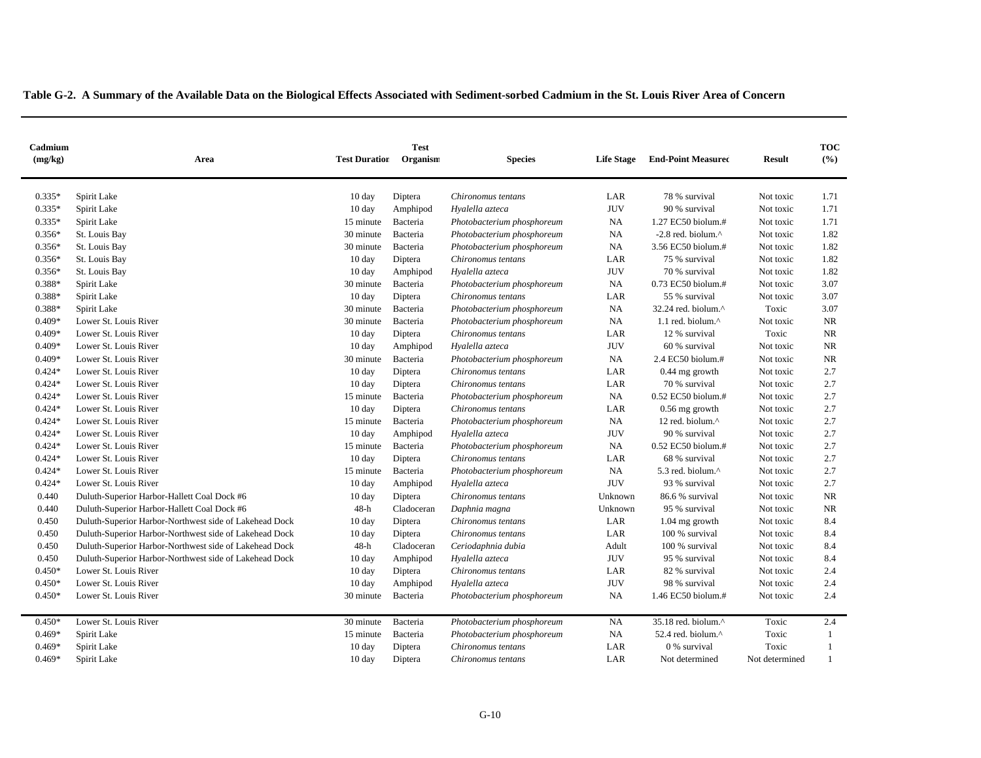| Cadmium<br>(mg/kg) | Area                                                   | <b>Test Duration</b> | <b>Test</b><br>Organism | <b>Species</b>             | <b>Life Stage</b> | <b>End-Point Measured</b>        | <b>Result</b>  | <b>TOC</b><br>(%) |
|--------------------|--------------------------------------------------------|----------------------|-------------------------|----------------------------|-------------------|----------------------------------|----------------|-------------------|
|                    |                                                        |                      |                         |                            |                   |                                  |                |                   |
| $0.335*$           | Spirit Lake                                            | $10 \text{ day}$     | Diptera                 | Chironomus tentans         | LAR               | 78 % survival                    | Not toxic      | 1.71              |
| $0.335*$           | Spirit Lake                                            | $10 \text{ day}$     | Amphipod                | Hyalella azteca            | <b>JUV</b>        | 90 % survival                    | Not toxic      | 1.71              |
| $0.335*$           | Spirit Lake                                            | 15 minute            | Bacteria                | Photobacterium phosphoreum | NA                | 1.27 EC50 biolum.#               | Not toxic      | 1.71              |
| $0.356*$           | St. Louis Bay                                          | 30 minute            | Bacteria                | Photobacterium phosphoreum | <b>NA</b>         | -2.8 red. biolum.^               | Not toxic      | 1.82              |
| $0.356*$           | St. Louis Bay                                          | 30 minute            | Bacteria                | Photobacterium phosphoreum | <b>NA</b>         | 3.56 EC50 biolum.#               | Not toxic      | 1.82              |
| $0.356*$           | St. Louis Bay                                          | 10 day               | Diptera                 | Chironomus tentans         | LAR               | 75 % survival                    | Not toxic      | 1.82              |
| $0.356*$           | St. Louis Bay                                          | $10 \text{ day}$     | Amphipod                | Hyalella azteca            | $\rm JUV$         | 70 % survival                    | Not toxic      | 1.82              |
| 0.388*             | Spirit Lake                                            | 30 minute            | Bacteria                | Photobacterium phosphoreum | NA                | 0.73 EC50 biolum.#               | Not toxic      | 3.07              |
| 0.388*             | Spirit Lake                                            | $10 \text{ day}$     | Diptera                 | Chironomus tentans         | LAR               | 55 % survival                    | Not toxic      | 3.07              |
| 0.388*             | Spirit Lake                                            | 30 minute            | Bacteria                | Photobacterium phosphoreum | NA                | 32.24 red. biolum.^              | Toxic          | 3.07              |
| $0.409*$           | Lower St. Louis River                                  | 30 minute            | Bacteria                | Photobacterium phosphoreum | NA                | 1.1 red. biolum.^                | Not toxic      | NR                |
| $0.409*$           | Lower St. Louis River                                  | $10 \text{ day}$     | Diptera                 | Chironomus tentans         | LAR               | 12 % survival                    | Toxic          | NR                |
| $0.409*$           | Lower St. Louis River                                  | 10 day               | Amphipod                | Hyalella azteca            | <b>JUV</b>        | 60 % survival                    | Not toxic      | <b>NR</b>         |
| $0.409*$           | Lower St. Louis River                                  | 30 minute            | Bacteria                | Photobacterium phosphoreum | $_{\rm NA}$       | 2.4 EC50 biolum.#                | Not toxic      | NR                |
| $0.424*$           | Lower St. Louis River                                  | $10 \text{ day}$     | Diptera                 | Chironomus tentans         | LAR               | 0.44 mg growth                   | Not toxic      | 2.7               |
| $0.424*$           | Lower St. Louis River                                  | $10 \text{ day}$     | Diptera                 | Chironomus tentans         | LAR               | 70 % survival                    | Not toxic      | 2.7               |
| $0.424*$           | Lower St. Louis River                                  | 15 minute            | Bacteria                | Photobacterium phosphoreum | NA                | 0.52 EC50 biolum.#               | Not toxic      | 2.7               |
| $0.424*$           | Lower St. Louis River                                  | $10 \text{ day}$     | Diptera                 | Chironomus tentans         | LAR               | $0.56$ mg growth                 | Not toxic      | 2.7               |
| $0.424*$           | Lower St. Louis River                                  | 15 minute            | Bacteria                | Photobacterium phosphoreum | NA                | 12 red. biolum.^                 | Not toxic      | 2.7               |
| $0.424*$           | Lower St. Louis River                                  | $10 \text{ day}$     | Amphipod                | Hyalella azteca            | <b>JUV</b>        | 90 % survival                    | Not toxic      | 2.7               |
| $0.424*$           | Lower St. Louis River                                  | 15 minute            | Bacteria                | Photobacterium phosphoreum | <b>NA</b>         | 0.52 EC50 biolum.#               | Not toxic      | 2.7               |
| $0.424*$           | Lower St. Louis River                                  | 10 day               | Diptera                 | Chironomus tentans         | LAR               | 68 % survival                    | Not toxic      | 2.7               |
| $0.424*$           | Lower St. Louis River                                  | 15 minute            | Bacteria                | Photobacterium phosphoreum | NA                | 5.3 red. biolum.^                | Not toxic      | 2.7               |
| $0.424*$           | Lower St. Louis River                                  | $10 \text{ day}$     | Amphipod                | Hyalella azteca            | <b>JUV</b>        | 93 % survival                    | Not toxic      | 2.7               |
| 0.440              | Duluth-Superior Harbor-Hallett Coal Dock #6            | 10 day               | Diptera                 | Chironomus tentans         | Unknown           | 86.6 % survival                  | Not toxic      | NR                |
| 0.440              | Duluth-Superior Harbor-Hallett Coal Dock #6            | $48-h$               | Cladoceran              | Daphnia magna              | Unknown           | 95 % survival                    | Not toxic      | NR                |
| 0.450              | Duluth-Superior Harbor-Northwest side of Lakehead Dock | $10 \text{ day}$     | Diptera                 | Chironomus tentans         | LAR               | $1.04$ mg growth                 | Not toxic      | 8.4               |
| 0.450              | Duluth-Superior Harbor-Northwest side of Lakehead Dock | 10 day               | Diptera                 | Chironomus tentans         | LAR               | 100 % survival                   | Not toxic      | 8.4               |
| 0.450              | Duluth-Superior Harbor-Northwest side of Lakehead Dock | 48-h                 | Cladoceran              | Ceriodaphnia dubia         | Adult             | 100 % survival                   | Not toxic      | 8.4               |
| 0.450              | Duluth-Superior Harbor-Northwest side of Lakehead Dock | $10 \text{ day}$     | Amphipod                | Hyalella azteca            | <b>JUV</b>        | 95 % survival                    | Not toxic      | 8.4               |
| $0.450*$           | Lower St. Louis River                                  | $10 \text{ day}$     | Diptera                 | Chironomus tentans         | LAR               | 82 % survival                    | Not toxic      | 2.4               |
| $0.450*$           | Lower St. Louis River                                  | 10 day               | Amphipod                | Hyalella azteca            | <b>JUV</b>        | 98 % survival                    | Not toxic      | 2.4               |
| $0.450*$           | Lower St. Louis River                                  | 30 minute            | Bacteria                | Photobacterium phosphoreum | NA                | 1.46 EC50 biolum.#               | Not toxic      | 2.4               |
| $0.450*$           | Lower St. Louis River                                  | 30 minute            | Bacteria                | Photobacterium phosphoreum | NA                | $35.18$ red. biolum. $^{\wedge}$ | Toxic          | 2.4               |
| $0.469*$           | Spirit Lake                                            | 15 minute            | Bacteria                | Photobacterium phosphoreum | NA                | 52.4 red. biolum.^               | Toxic          | -1                |
| $0.469*$           | Spirit Lake                                            | 10 day               | Diptera                 | Chironomus tentans         | LAR               | 0 % survival                     | Toxic          |                   |
| $0.469*$           | Spirit Lake                                            | $10 \text{ day}$     | Diptera                 | Chironomus tentans         | LAR               | Not determined                   | Not determined |                   |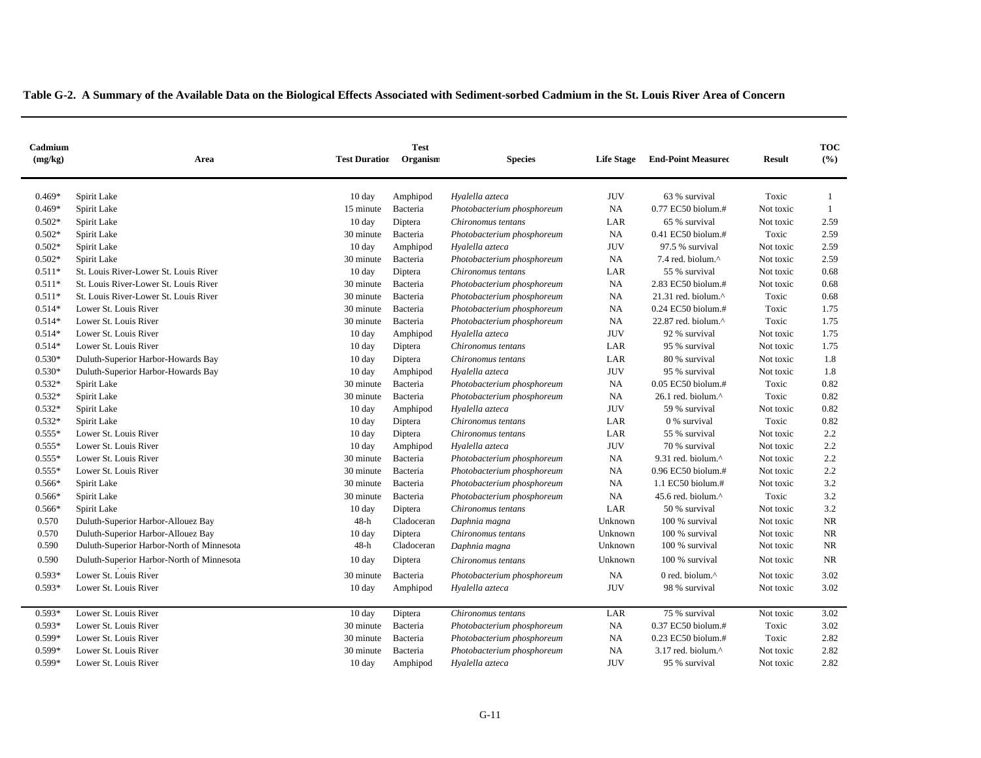| Cadmium<br>(mg/kg) | Area                                      | <b>Test Duration</b> | <b>Test</b><br>Organism | <b>Species</b>             | Life Stage | <b>End-Point Measured</b> | <b>Result</b> | <b>TOC</b><br>(%) |
|--------------------|-------------------------------------------|----------------------|-------------------------|----------------------------|------------|---------------------------|---------------|-------------------|
| $0.469*$           | Spirit Lake                               | $10 \text{ day}$     | Amphipod                | Hyalella azteca            | <b>JUV</b> | 63 % survival             | Toxic         | -1                |
| $0.469*$           | Spirit Lake                               | 15 minute            | Bacteria                | Photobacterium phosphoreum | NA         | 0.77 EC50 biolum.#        | Not toxic     | $\mathbf{1}$      |
| $0.502*$           | Spirit Lake                               | $10 \text{ day}$     | Diptera                 | Chironomus tentans         | LAR        | 65 % survival             | Not toxic     | 2.59              |
| $0.502*$           | Spirit Lake                               | 30 minute            | Bacteria                | Photobacterium phosphoreum | NA         | $0.41$ EC50 biolum.#      | Toxic         | 2.59              |
| $0.502*$           | Spirit Lake                               | $10 \text{ day}$     | Amphipod                | Hyalella azteca            | <b>JUV</b> | 97.5 % survival           | Not toxic     | 2.59              |
| $0.502*$           | Spirit Lake                               | 30 minute            | Bacteria                | Photobacterium phosphoreum | NA         | 7.4 red. biolum.^         | Not toxic     | 2.59              |
| $0.511*$           | St. Louis River-Lower St. Louis River     | $10 \text{ day}$     | Diptera                 | Chironomus tentans         | LAR        | 55 % survival             | Not toxic     | 0.68              |
| $0.511*$           | St. Louis River-Lower St. Louis River     | 30 minute            | Bacteria                | Photobacterium phosphoreum | NA         | 2.83 EC50 biolum.#        | Not toxic     | 0.68              |
| $0.511*$           | St. Louis River-Lower St. Louis River     | 30 minute            | Bacteria                | Photobacterium phosphoreum | NA         | 21.31 red. biolum.^       | Toxic         | 0.68              |
| $0.514*$           | Lower St. Louis River                     | 30 minute            | Bacteria                | Photobacterium phosphoreum | NA         | 0.24 EC50 biolum.#        | Toxic         | 1.75              |
| $0.514*$           | Lower St. Louis River                     | 30 minute            | Bacteria                | Photobacterium phosphoreum | NA         | 22.87 red. biolum.^       | Toxic         | 1.75              |
| $0.514*$           | Lower St. Louis River                     | 10 day               | Amphipod                | Hyalella azteca            | <b>JUV</b> | 92 % survival             | Not toxic     | 1.75              |
| $0.514*$           | Lower St. Louis River                     | $10 \text{ day}$     | Diptera                 | Chironomus tentans         | LAR        | 95 % survival             | Not toxic     | 1.75              |
| $0.530*$           | Duluth-Superior Harbor-Howards Bay        | 10 day               | Diptera                 | Chironomus tentans         | LAR        | 80 % survival             | Not toxic     | 1.8               |
| $0.530*$           | Duluth-Superior Harbor-Howards Bay        | 10 day               | Amphipod                | Hyalella azteca            | <b>JUV</b> | 95 % survival             | Not toxic     | 1.8               |
| $0.532*$           | Spirit Lake                               | 30 minute            | Bacteria                | Photobacterium phosphoreum | NA         | 0.05 EC50 biolum.#        | Toxic         | 0.82              |
| $0.532*$           | Spirit Lake                               | 30 minute            | Bacteria                | Photobacterium phosphoreum | NA         | 26.1 red. biolum.^        | Toxic         | 0.82              |
| $0.532*$           | Spirit Lake                               | $10 \text{ day}$     | Amphipod                | Hyalella azteca            | <b>JUV</b> | 59 % survival             | Not toxic     | 0.82              |
| $0.532*$           | Spirit Lake                               | $10 \text{ day}$     | Diptera                 | Chironomus tentans         | LAR        | 0 % survival              | Toxic         | 0.82              |
| $0.555*$           | Lower St. Louis River                     | 10 day               | Diptera                 | Chironomus tentans         | LAR        | 55 % survival             | Not toxic     | 2.2               |
| $0.555*$           | Lower St. Louis River                     | $10 \text{ day}$     | Amphipod                | Hyalella azteca            | <b>JUV</b> | 70 % survival             | Not toxic     | 2.2               |
| $0.555*$           | Lower St. Louis River                     | 30 minute            | Bacteria                | Photobacterium phosphoreum | NA         | 9.31 red. biolum.^        | Not toxic     | 2.2               |
| $0.555*$           | Lower St. Louis River                     | 30 minute            | Bacteria                | Photobacterium phosphoreum | NA         | 0.96 EC50 biolum.#        | Not toxic     | 2.2               |
| $0.566*$           | Spirit Lake                               | 30 minute            | Bacteria                | Photobacterium phosphoreum | <b>NA</b>  | 1.1 EC50 biolum.#         | Not toxic     | 3.2               |
| $0.566*$           | Spirit Lake                               | 30 minute            | Bacteria                | Photobacterium phosphoreum | <b>NA</b>  | 45.6 red. biolum.^        | Toxic         | 3.2               |
| $0.566*$           | Spirit Lake                               | $10 \text{ day}$     | Diptera                 | Chironomus tentans         | LAR        | 50 % survival             | Not toxic     | 3.2               |
| 0.570              | Duluth-Superior Harbor-Allouez Bay        | $48-h$               | Cladoceran              | Daphnia magna              | Unknown    | 100 % survival            | Not toxic     | <b>NR</b>         |
| 0.570              | Duluth-Superior Harbor-Allouez Bay        | 10 day               | Diptera                 | Chironomus tentans         | Unknown    | 100 % survival            | Not toxic     | $\rm NR$          |
| 0.590              | Duluth-Superior Harbor-North of Minnesota | 48-h                 | Cladoceran              | Daphnia magna              | Unknown    | 100 % survival            | Not toxic     | <b>NR</b>         |
| 0.590              | Duluth-Superior Harbor-North of Minnesota | $10 \text{ day}$     | Diptera                 | Chironomus tentans         | Unknown    | 100 % survival            | Not toxic     | <b>NR</b>         |
| $0.593*$           | Lower St. Louis River                     | 30 minute            | Bacteria                | Photobacterium phosphoreum | NA         | 0 red. biolum.^           | Not toxic     | 3.02              |
| $0.593*$           | Lower St. Louis River                     | $10 \text{ day}$     | Amphipod                | Hyalella azteca            | <b>JUV</b> | 98 % survival             | Not toxic     | 3.02              |
| $0.593*$           | Lower St. Louis River                     | 10 day               | Diptera                 | Chironomus tentans         | LAR        | 75 % survival             | Not toxic     | 3.02              |
| $0.593*$           | Lower St. Louis River                     | 30 minute            | Bacteria                | Photobacterium phosphoreum | NA         | $0.37$ EC50 biolum.#      | Toxic         | 3.02              |
| 0.599*             | Lower St. Louis River                     | 30 minute            | Bacteria                | Photobacterium phosphoreum | NA         | 0.23 EC50 biolum.#        | Toxic         | 2.82              |
| $0.599*$           | Lower St. Louis River                     | 30 minute            | Bacteria                | Photobacterium phosphoreum | NA         | 3.17 red. biolum.^        | Not toxic     | 2.82              |
| 0.599*             | Lower St. Louis River                     | $10 \text{ day}$     | Amphipod                | Hyalella azteca            | <b>JUV</b> | 95 % survival             | Not toxic     | 2.82              |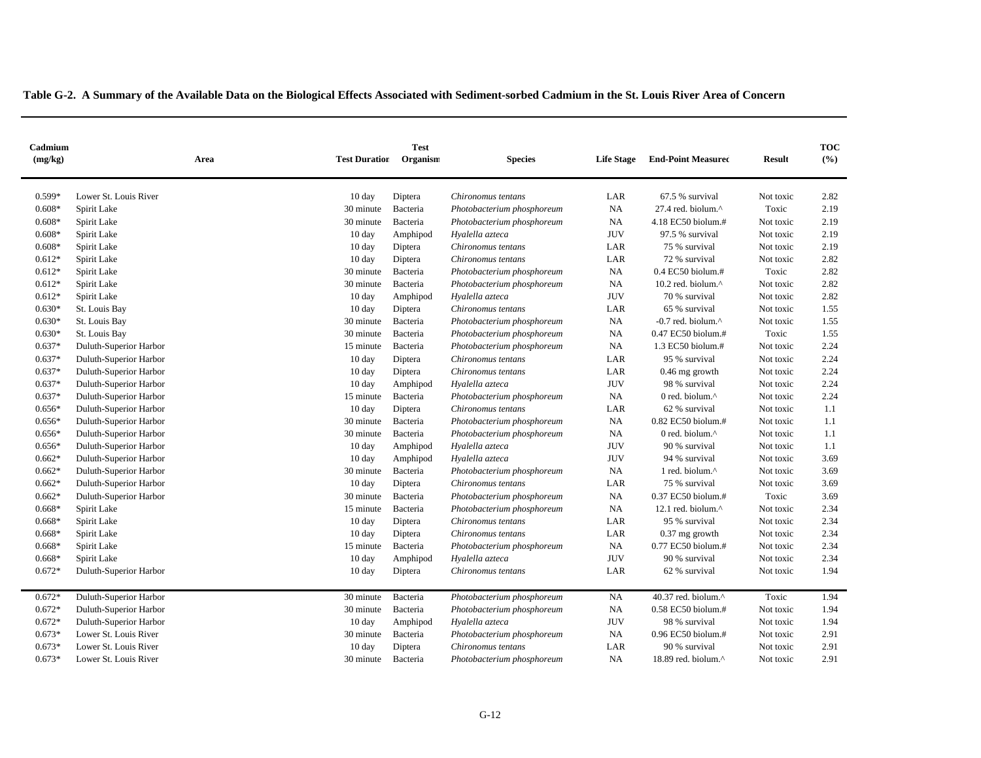| Cadmium<br>(mg/kg) | Area                   | <b>Test Duration</b> | <b>Test</b><br>Organism | <b>Species</b>             | <b>Life Stage</b> | <b>End-Point Measured</b>       | <b>Result</b> | <b>TOC</b><br>(%) |
|--------------------|------------------------|----------------------|-------------------------|----------------------------|-------------------|---------------------------------|---------------|-------------------|
| 0.599*             | Lower St. Louis River  | $10 \text{ day}$     | Diptera                 | Chironomus tentans         | LAR               | 67.5 % survival                 | Not toxic     | 2.82              |
| $0.608*$           | Spirit Lake            | 30 minute            | Bacteria                | Photobacterium phosphoreum | NA                | 27.4 red. biolum.^              | Toxic         | 2.19              |
| $0.608*$           | Spirit Lake            | 30 minute            | Bacteria                | Photobacterium phosphoreum | $_{\rm NA}$       | 4.18 EC50 biolum.#              | Not toxic     | 2.19              |
| $0.608*$           | Spirit Lake            | $10 \text{ day}$     | Amphipod                | Hyalella azteca            | <b>JUV</b>        | 97.5 % survival                 | Not toxic     | 2.19              |
| $0.608*$           | Spirit Lake            | $10 \text{ day}$     | Diptera                 | Chironomus tentans         | LAR               | 75 % survival                   | Not toxic     | 2.19              |
| $0.612*$           | Spirit Lake            | $10 \text{ day}$     | Diptera                 | Chironomus tentans         | LAR               | 72 % survival                   | Not toxic     | 2.82              |
| $0.612*$           | Spirit Lake            | 30 minute            | Bacteria                | Photobacterium phosphoreum | NA                | 0.4 EC50 biolum.#               | Toxic         | 2.82              |
| $0.612*$           | Spirit Lake            | 30 minute            | Bacteria                | Photobacterium phosphoreum | NA                | 10.2 red. biolum.^              | Not toxic     | 2.82              |
| $0.612*$           | Spirit Lake            | 10 day               | Amphipod                | Hyalella azteca            | <b>JUV</b>        | 70 % survival                   | Not toxic     | 2.82              |
| $0.630*$           | St. Louis Bay          | $10 \text{ day}$     | Diptera                 | Chironomus tentans         | LAR               | 65 % survival                   | Not toxic     | 1.55              |
| $0.630*$           | St. Louis Bay          | 30 minute            | Bacteria                | Photobacterium phosphoreum | NA                | $-0.7$ red. biolum. $^{\wedge}$ | Not toxic     | 1.55              |
| $0.630*$           | St. Louis Bay          | 30 minute            | Bacteria                | Photobacterium phosphoreum | NA                | 0.47 EC50 biolum.#              | Toxic         | 1.55              |
| $0.637*$           | Duluth-Superior Harbor | 15 minute            | Bacteria                | Photobacterium phosphoreum | NA                | 1.3 EC50 biolum.#               | Not toxic     | 2.24              |
| $0.637*$           | Duluth-Superior Harbor | 10 day               | Diptera                 | Chironomus tentans         | LAR               | 95 % survival                   | Not toxic     | 2.24              |
| $0.637*$           | Duluth-Superior Harbor | 10 day               | Diptera                 | Chironomus tentans         | LAR               | $0.46$ mg growth                | Not toxic     | 2.24              |
| $0.637*$           | Duluth-Superior Harbor | $10 \text{ day}$     | Amphipod                | Hyalella azteca            | <b>JUV</b>        | 98 % survival                   | Not toxic     | 2.24              |
| $0.637*$           | Duluth-Superior Harbor | 15 minute            | Bacteria                | Photobacterium phosphoreum | <b>NA</b>         | 0 red. biolum.^                 | Not toxic     | 2.24              |
| $0.656*$           | Duluth-Superior Harbor | $10 \text{ day}$     | Diptera                 | Chironomus tentans         | LAR               | 62 % survival                   | Not toxic     | 1.1               |
| $0.656*$           | Duluth-Superior Harbor | 30 minute            | Bacteria                | Photobacterium phosphoreum | NA                | 0.82 EC50 biolum.#              | Not toxic     | 1.1               |
| $0.656*$           | Duluth-Superior Harbor | 30 minute            | Bacteria                | Photobacterium phosphoreum | NA                | 0 red. biolum.^                 | Not toxic     | 1.1               |
| $0.656*$           | Duluth-Superior Harbor | 10 day               | Amphipod                | Hyalella azteca            | <b>JUV</b>        | 90 % survival                   | Not toxic     | 1.1               |
| $0.662*$           | Duluth-Superior Harbor | $10 \text{ day}$     | Amphipod                | Hyalella azteca            | <b>JUV</b>        | 94 % survival                   | Not toxic     | 3.69              |
| $0.662*$           | Duluth-Superior Harbor | 30 minute            | Bacteria                | Photobacterium phosphoreum | <b>NA</b>         | 1 red. biolum.^                 | Not toxic     | 3.69              |
| $0.662*$           | Duluth-Superior Harbor | $10 \text{ day}$     | Diptera                 | Chironomus tentans         | LAR               | 75 % survival                   | Not toxic     | 3.69              |
| $0.662*$           | Duluth-Superior Harbor | 30 minute            | Bacteria                | Photobacterium phosphoreum | NA                | 0.37 EC50 biolum.#              | Toxic         | 3.69              |
| $0.668*$           | Spirit Lake            | 15 minute            | Bacteria                | Photobacterium phosphoreum | NA                | 12.1 red. biolum.^              | Not toxic     | 2.34              |
| $0.668*$           | Spirit Lake            | 10 day               | Diptera                 | Chironomus tentans         | LAR               | 95 % survival                   | Not toxic     | 2.34              |
| $0.668*$           | Spirit Lake            | $10 \text{ day}$     | Diptera                 | Chironomus tentans         | LAR               | $0.37$ mg growth                | Not toxic     | 2.34              |
| $0.668*$           | Spirit Lake            | 15 minute            | Bacteria                | Photobacterium phosphoreum | NA                | 0.77 EC50 biolum.#              | Not toxic     | 2.34              |
| $0.668*$           | Spirit Lake            | $10 \text{ day}$     | Amphipod                | Hyalella azteca            | <b>JUV</b>        | 90 % survival                   | Not toxic     | 2.34              |
| $0.672*$           | Duluth-Superior Harbor | $10 \text{ day}$     | Diptera                 | Chironomus tentans         | LAR               | 62 % survival                   | Not toxic     | 1.94              |
| $0.672*$           | Duluth-Superior Harbor | 30 minute            | Bacteria                | Photobacterium phosphoreum | NA                | 40.37 red. biolum.^             | Toxic         | 1.94              |
| $0.672*$           | Duluth-Superior Harbor | 30 minute            | Bacteria                | Photobacterium phosphoreum | NA                | 0.58 EC50 biolum.#              | Not toxic     | 1.94              |
| $0.672*$           | Duluth-Superior Harbor | $10 \text{ day}$     | Amphipod                | Hyalella azteca            | <b>JUV</b>        | 98 % survival                   | Not toxic     | 1.94              |
| $0.673*$           | Lower St. Louis River  | 30 minute            | Bacteria                | Photobacterium phosphoreum | NA                | 0.96 EC50 biolum.#              | Not toxic     | 2.91              |
| $0.673*$           | Lower St. Louis River  | $10 \text{ day}$     | Diptera                 | Chironomus tentans         | LAR               | 90 % survival                   | Not toxic     | 2.91              |
| $0.673*$           | Lower St. Louis River  | 30 minute            | Bacteria                | Photobacterium phosphoreum | <b>NA</b>         | 18.89 red. biolum.^             | Not toxic     | 2.91              |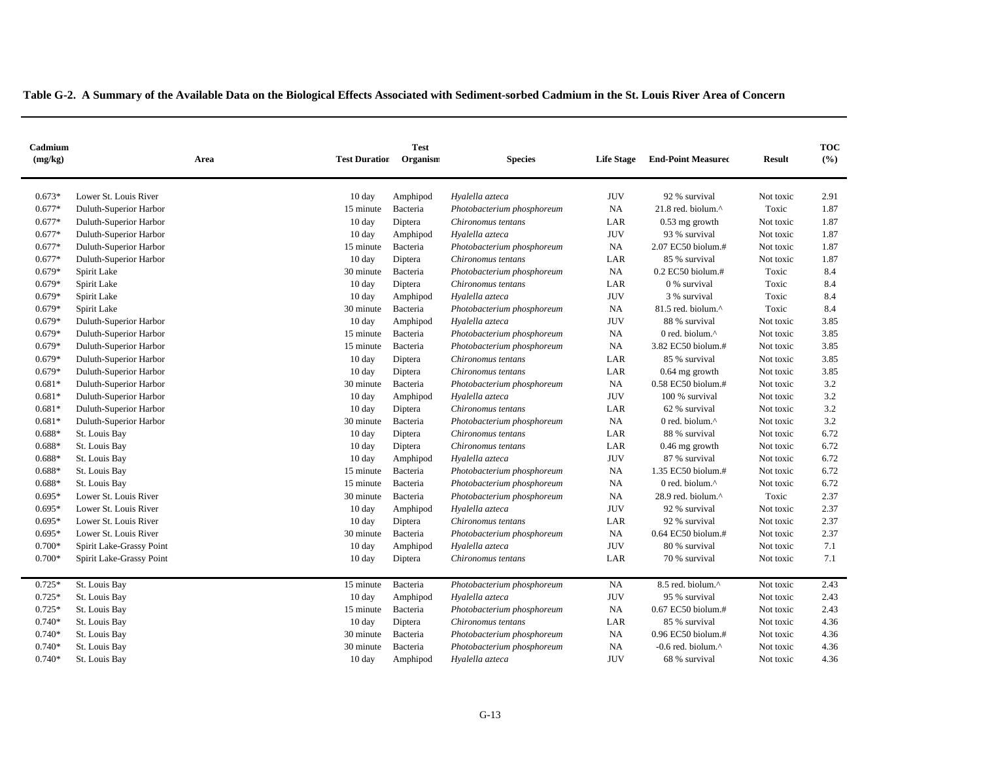| Cadmium<br>(mg/kg) | Area                     | <b>Test Duration</b> | <b>Test</b><br>Organism | <b>Species</b>             | <b>Life Stage</b> | <b>End-Point Measured</b>     | <b>Result</b> | <b>TOC</b><br>(%) |
|--------------------|--------------------------|----------------------|-------------------------|----------------------------|-------------------|-------------------------------|---------------|-------------------|
|                    |                          |                      |                         |                            |                   |                               |               |                   |
| $0.673*$           | Lower St. Louis River    | 10 day               | Amphipod                | Hyalella azteca            | <b>JUV</b>        | 92 % survival                 | Not toxic     | 2.91              |
| $0.677*$           | Duluth-Superior Harbor   | 15 minute            | Bacteria                | Photobacterium phosphoreum | NA                | 21.8 red. biolum.^            | Toxic         | 1.87              |
| $0.677*$           | Duluth-Superior Harbor   | $10 \text{ day}$     | Diptera                 | Chironomus tentans         | LAR               | 0.53 mg growth                | Not toxic     | 1.87              |
| $0.677*$           | Duluth-Superior Harbor   | 10 day               | Amphipod                | Hyalella azteca            | <b>JUV</b>        | 93 % survival                 | Not toxic     | 1.87              |
| $0.677*$           | Duluth-Superior Harbor   | 15 minute            | Bacteria                | Photobacterium phosphoreum | <b>NA</b>         | 2.07 EC50 biolum.#            | Not toxic     | 1.87              |
| $0.677*$           | Duluth-Superior Harbor   | 10 day               | Diptera                 | Chironomus tentans         | LAR               | 85 % survival                 | Not toxic     | 1.87              |
| $0.679*$           | Spirit Lake              | 30 minute            | Bacteria                | Photobacterium phosphoreum | NA                | $0.2$ EC50 biolum.#           | Toxic         | 8.4               |
| $0.679*$           | Spirit Lake              | $10 \text{ day}$     | Diptera                 | Chironomus tentans         | LAR               | 0 % survival                  | Toxic         | 8.4               |
| $0.679*$           | Spirit Lake              | 10 day               | Amphipod                | Hyalella azteca            | <b>JUV</b>        | 3 % survival                  | Toxic         | 8.4               |
| $0.679*$           | Spirit Lake              | 30 minute            | Bacteria                | Photobacterium phosphoreum | NA                | 81.5 red. biolum.^            | Toxic         | 8.4               |
| $0.679*$           | Duluth-Superior Harbor   | $10 \text{ day}$     | Amphipod                | Hyalella azteca            | <b>JUV</b>        | 88 % survival                 | Not toxic     | 3.85              |
| $0.679*$           | Duluth-Superior Harbor   | 15 minute            | Bacteria                | Photobacterium phosphoreum | NA                | 0 red. biolum.^               | Not toxic     | 3.85              |
| $0.679*$           | Duluth-Superior Harbor   | 15 minute            | Bacteria                | Photobacterium phosphoreum | NA                | 3.82 EC50 biolum.#            | Not toxic     | 3.85              |
| $0.679*$           | Duluth-Superior Harbor   | $10 \text{ day}$     | Diptera                 | Chironomus tentans         | LAR               | 85 % survival                 | Not toxic     | 3.85              |
| $0.679*$           | Duluth-Superior Harbor   | $10 \text{ day}$     | Diptera                 | Chironomus tentans         | LAR               | $0.64$ mg growth              | Not toxic     | 3.85              |
| $0.681*$           | Duluth-Superior Harbor   | 30 minute            | Bacteria                | Photobacterium phosphoreum | <b>NA</b>         | $0.58$ EC50 biolum.#          | Not toxic     | 3.2               |
| $0.681*$           | Duluth-Superior Harbor   | $10 \text{ day}$     | Amphipod                | Hyalella azteca            | <b>JUV</b>        | 100 % survival                | Not toxic     | 3.2               |
| $0.681*$           | Duluth-Superior Harbor   | $10 \text{ day}$     | Diptera                 | Chironomus tentans         | LAR               | 62 % survival                 | Not toxic     | 3.2               |
| $0.681*$           | Duluth-Superior Harbor   | 30 minute            | Bacteria                | Photobacterium phosphoreum | NA                | 0 red. biolum.^               | Not toxic     | 3.2               |
| $0.688*$           | St. Louis Bay            | $10 \text{ day}$     | Diptera                 | Chironomus tentans         | LAR               | 88 % survival                 | Not toxic     | 6.72              |
| $0.688*$           | St. Louis Bay            | $10 \text{ day}$     | Diptera                 | Chironomus tentans         | LAR               | $0.46$ mg growth              | Not toxic     | 6.72              |
| $0.688*$           | St. Louis Bay            | $10 \text{ day}$     | Amphipod                | Hyalella azteca            | <b>JUV</b>        | 87 % survival                 | Not toxic     | 6.72              |
| $0.688*$           | St. Louis Bay            | 15 minute            | Bacteria                | Photobacterium phosphoreum | NA                | 1.35 EC50 biolum.#            | Not toxic     | 6.72              |
| $0.688*$           | St. Louis Bay            | 15 minute            | Bacteria                | Photobacterium phosphoreum | NA                | 0 red. biolum.^               | Not toxic     | 6.72              |
| $0.695*$           | Lower St. Louis River    | 30 minute            | Bacteria                | Photobacterium phosphoreum | NA                | 28.9 red. biolum.^            | Toxic         | 2.37              |
| $0.695*$           | Lower St. Louis River    | $10 \text{ day}$     | Amphipod                | Hyalella azteca            | <b>JUV</b>        | 92 % survival                 | Not toxic     | 2.37              |
| $0.695*$           | Lower St. Louis River    | $10 \text{ day}$     | Diptera                 | Chironomus tentans         | LAR               | 92 % survival                 | Not toxic     | 2.37              |
| $0.695*$           | Lower St. Louis River    | 30 minute            | Bacteria                | Photobacterium phosphoreum | <b>NA</b>         | 0.64 EC50 biolum.#            | Not toxic     | 2.37              |
| $0.700*$           | Spirit Lake-Grassy Point | $10 \text{ day}$     | Amphipod                | Hyalella azteca            | <b>JUV</b>        | 80 % survival                 | Not toxic     | 7.1               |
| $0.700*$           | Spirit Lake-Grassy Point | $10 \text{ day}$     | Diptera                 | Chironomus tentans         | LAR               | 70 % survival                 | Not toxic     | 7.1               |
| $0.725*$           | St. Louis Bay            | 15 minute            | Bacteria                | Photobacterium phosphoreum | <b>NA</b>         | 8.5 red. biolum.^             | Not toxic     | 2.43              |
| $0.725*$           | St. Louis Bay            | $10 \text{ day}$     | Amphipod                | Hyalella azteca            | <b>JUV</b>        | 95 % survival                 | Not toxic     | 2.43              |
| $0.725*$           | St. Louis Bay            | 15 minute            | Bacteria                | Photobacterium phosphoreum | NA                | 0.67 EC50 biolum.#            | Not toxic     | 2.43              |
| $0.740*$           | St. Louis Bay            | $10 \text{ day}$     | Diptera                 | Chironomus tentans         | LAR               | 85 % survival                 | Not toxic     | 4.36              |
| $0.740*$           | St. Louis Bay            | 30 minute            | Bacteria                | Photobacterium phosphoreum | NA                | $0.96$ EC50 biolum.#          | Not toxic     | 4.36              |
| $0.740*$           | St. Louis Bay            | 30 minute            | Bacteria                | Photobacterium phosphoreum | NA                | -0.6 red. biolum. $^{\wedge}$ | Not toxic     | 4.36              |
| $0.740*$           | St. Louis Bay            | $10 \text{ day}$     | Amphipod                | Hyalella azteca            | <b>JUV</b>        | 68 % survival                 | Not toxic     | 4.36              |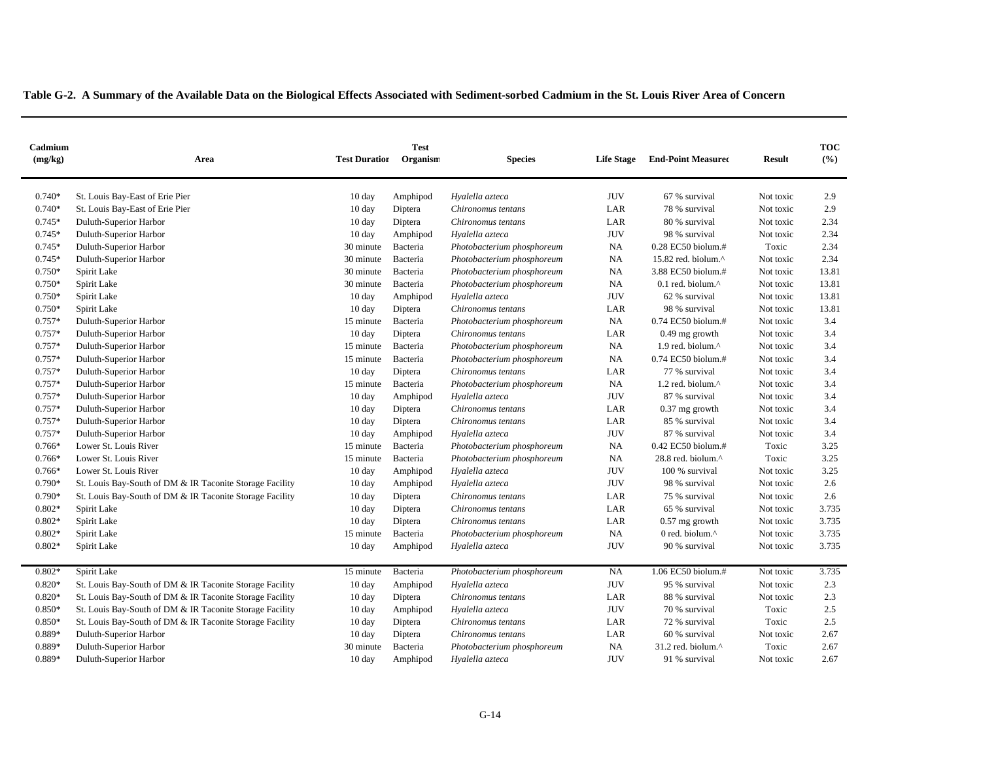| Cadmium<br>(mg/kg) | <b>Test Duration</b><br>Area                             |                  | <b>Test</b><br>Organism | <b>Species</b>             | <b>Life Stage</b> | <b>End-Point Measured</b>      | <b>Result</b> | <b>TOC</b><br>(%) |
|--------------------|----------------------------------------------------------|------------------|-------------------------|----------------------------|-------------------|--------------------------------|---------------|-------------------|
| $0.740*$           | St. Louis Bay-East of Erie Pier                          | 10 day           | Amphipod                | Hyalella azteca            | <b>JUV</b>        | 67 % survival                  | Not toxic     | 2.9               |
| $0.740*$           | St. Louis Bay-East of Erie Pier                          | 10 day           | Diptera                 | Chironomus tentans         | LAR               | 78 % survival                  | Not toxic     | 2.9               |
| $0.745*$           | Duluth-Superior Harbor                                   | $10 \text{ day}$ | Diptera                 | Chironomus tentans         | LAR               | 80 % survival                  | Not toxic     | 2.34              |
| $0.745*$           | Duluth-Superior Harbor                                   | $10 \text{ day}$ | Amphipod                | Hyalella azteca            | <b>JUV</b>        | 98 % survival                  | Not toxic     | 2.34              |
| $0.745*$           | Duluth-Superior Harbor                                   | 30 minute        | Bacteria                | Photobacterium phosphoreum | NA                | 0.28 EC50 biolum.#             | Toxic         | 2.34              |
| $0.745*$           | Duluth-Superior Harbor                                   | 30 minute        | Bacteria                | Photobacterium phosphoreum | NA                | 15.82 red. biolum.^            | Not toxic     | 2.34              |
| $0.750*$           | Spirit Lake                                              | 30 minute        | Bacteria                | Photobacterium phosphoreum | NA                | 3.88 EC50 biolum.#             | Not toxic     | 13.81             |
| $0.750*$           | Spirit Lake                                              | 30 minute        | Bacteria                | Photobacterium phosphoreum | NA                | $0.1$ red. biolum. $^{\wedge}$ | Not toxic     | 13.81             |
| $0.750*$           | Spirit Lake                                              | $10 \text{ day}$ | Amphipod                | Hyalella azteca            | <b>JUV</b>        | 62 % survival                  | Not toxic     | 13.81             |
| $0.750*$           | Spirit Lake                                              | $10 \text{ day}$ | Diptera                 | Chironomus tentans         | LAR               | 98 % survival                  | Not toxic     | 13.81             |
| $0.757*$           | Duluth-Superior Harbor                                   | 15 minute        | Bacteria                | Photobacterium phosphoreum | <b>NA</b>         | $0.74$ EC50 biolum.#           | Not toxic     | 3.4               |
| $0.757*$           | Duluth-Superior Harbor                                   | $10 \text{ day}$ | Diptera                 | Chironomus tentans         | LAR               | 0.49 mg growth                 | Not toxic     | 3.4               |
| $0.757*$           | Duluth-Superior Harbor                                   | 15 minute        | Bacteria                | Photobacterium phosphoreum | <b>NA</b>         | 1.9 red. biolum.^              | Not toxic     | 3.4               |
| $0.757*$           | Duluth-Superior Harbor                                   | 15 minute        | Bacteria                | Photobacterium phosphoreum | NA                | $0.74$ EC50 biolum.#           | Not toxic     | 3.4               |
| $0.757*$           | Duluth-Superior Harbor                                   | $10 \text{ day}$ | Diptera                 | Chironomus tentans         | LAR               | 77 % survival                  | Not toxic     | 3.4               |
| $0.757*$           | Duluth-Superior Harbor                                   | 15 minute        | Bacteria                | Photobacterium phosphoreum | NA                | 1.2 red. biolum.^              | Not toxic     | 3.4               |
| $0.757*$           | Duluth-Superior Harbor                                   | $10 \text{ day}$ | Amphipod                | Hyalella azteca            | <b>JUV</b>        | 87 % survival                  | Not toxic     | 3.4               |
| $0.757*$           | Duluth-Superior Harbor                                   | $10 \text{ day}$ | Diptera                 | Chironomus tentans         | LAR               | $0.37$ mg growth               | Not toxic     | 3.4               |
| $0.757*$           | Duluth-Superior Harbor                                   | $10 \text{ day}$ | Diptera                 | Chironomus tentans         | LAR               | 85 % survival                  | Not toxic     | 3.4               |
| $0.757*$           | Duluth-Superior Harbor                                   | $10 \text{ day}$ | Amphipod                | Hyalella azteca            | <b>JUV</b>        | 87 % survival                  | Not toxic     | 3.4               |
| $0.766*$           | Lower St. Louis River                                    | 15 minute        | Bacteria                | Photobacterium phosphoreum | NA                | 0.42 EC50 biolum.#             | Toxic         | 3.25              |
| $0.766*$           | Lower St. Louis River                                    | 15 minute        | Bacteria                | Photobacterium phosphoreum | NA                | 28.8 red. biolum.^             | Toxic         | 3.25              |
| $0.766*$           | Lower St. Louis River                                    | 10 day           | Amphipod                | Hyalella azteca            | <b>JUV</b>        | 100 % survival                 | Not toxic     | 3.25              |
| $0.790*$           | St. Louis Bay-South of DM & IR Taconite Storage Facility | 10 day           | Amphipod                | Hyalella azteca            | <b>JUV</b>        | 98 % survival                  | Not toxic     | 2.6               |
| $0.790*$           | St. Louis Bay-South of DM & IR Taconite Storage Facility | $10 \text{ day}$ | Diptera                 | Chironomus tentans         | LAR               | 75 % survival                  | Not toxic     | 2.6               |
| $0.802*$           | Spirit Lake                                              | $10 \text{ day}$ | Diptera                 | Chironomus tentans         | LAR               | 65 % survival                  | Not toxic     | 3.735             |
| $0.802*$           | Spirit Lake                                              | 10 day           | Diptera                 | Chironomus tentans         | LAR               | $0.57$ mg growth               | Not toxic     | 3.735             |
| $0.802*$           | Spirit Lake                                              | 15 minute        | Bacteria                | Photobacterium phosphoreum | <b>NA</b>         | 0 red. biolum.^                | Not toxic     | 3.735             |
| $0.802*$           | Spirit Lake                                              | 10 day           | Amphipod                | Hyalella azteca            | <b>JUV</b>        | 90 % survival                  | Not toxic     | 3.735             |
| $0.802*$           | Spirit Lake                                              | 15 minute        | Bacteria                | Photobacterium phosphoreum | NA                | 1.06 EC50 biolum.#             | Not toxic     | 3.735             |
| $0.820*$           | St. Louis Bay-South of DM & IR Taconite Storage Facility | 10 day           | Amphipod                | Hyalella azteca            | <b>JUV</b>        | 95 % survival                  | Not toxic     | 2.3               |
| $0.820*$           | St. Louis Bay-South of DM & IR Taconite Storage Facility | $10 \text{ day}$ | Diptera                 | Chironomus tentans         | LAR               | 88 % survival                  | Not toxic     | 2.3               |
| $0.850*$           | St. Louis Bay-South of DM & IR Taconite Storage Facility | $10 \text{ day}$ | Amphipod                | Hyalella azteca            | <b>JUV</b>        | 70 % survival                  | Toxic         | 2.5               |
| $0.850*$           | St. Louis Bay-South of DM & IR Taconite Storage Facility | 10 day           | Diptera                 | Chironomus tentans         | LAR               | 72 % survival                  | Toxic         | 2.5               |
| 0.889*             | Duluth-Superior Harbor                                   | $10 \text{ day}$ | Diptera                 | Chironomus tentans         | $_{\rm LAR}$      | 60 % survival                  | Not toxic     | 2.67              |
| 0.889*             | Duluth-Superior Harbor                                   | 30 minute        | Bacteria                | Photobacterium phosphoreum | NA                | 31.2 red. biolum.^             | Toxic         | 2.67              |
| 0.889*             | Duluth-Superior Harbor                                   | 10 day           | Amphipod                | Hyalella azteca            | <b>JUV</b>        | 91 % survival                  | Not toxic     | 2.67              |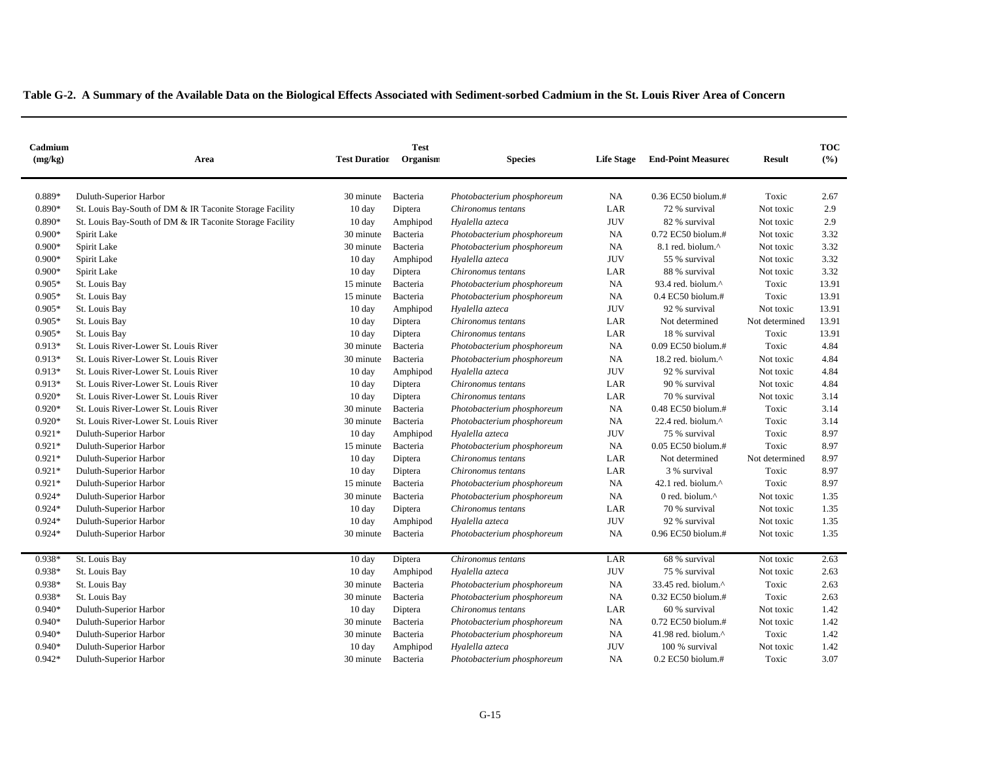| Cadmium<br>(mg/kg) | <b>Test</b><br><b>Test Duration</b><br>Organism<br>Area  |                  | <b>Species</b> | <b>Life Stage</b>          | <b>End-Point Measured</b> | <b>Result</b>                 | <b>TOC</b><br>(%) |       |
|--------------------|----------------------------------------------------------|------------------|----------------|----------------------------|---------------------------|-------------------------------|-------------------|-------|
| 0.889*             | Duluth-Superior Harbor                                   | 30 minute        | Bacteria       | Photobacterium phosphoreum | NA                        | $0.36$ EC50 biolum.#          | Toxic             | 2.67  |
| $0.890*$           | St. Louis Bay-South of DM & IR Taconite Storage Facility | $10 \text{ day}$ | Diptera        | Chironomus tentans         | LAR                       | 72 % survival                 | Not toxic         | 2.9   |
| $0.890*$           | St. Louis Bay-South of DM & IR Taconite Storage Facility | $10 \text{ day}$ | Amphipod       | Hyalella azteca            | <b>JUV</b>                | 82 % survival                 | Not toxic         | 2.9   |
| $0.900*$           | Spirit Lake                                              | 30 minute        | Bacteria       | Photobacterium phosphoreum | NA                        | 0.72 EC50 biolum.#            | Not toxic         | 3.32  |
| $0.900*$           | Spirit Lake                                              | 30 minute        | Bacteria       | Photobacterium phosphoreum | NA                        | 8.1 red. biolum.^             | Not toxic         | 3.32  |
| $0.900*$           | Spirit Lake                                              | $10 \text{ day}$ | Amphipod       | Hyalella azteca            | <b>JUV</b>                | 55 % survival                 | Not toxic         | 3.32  |
| $0.900*$           | Spirit Lake                                              | 10 day           | Diptera        | Chironomus tentans         | LAR                       | 88 % survival                 | Not toxic         | 3.32  |
| $0.905*$           | St. Louis Bay                                            | 15 minute        | Bacteria       | Photobacterium phosphoreum | <b>NA</b>                 | 93.4 red. biolum.^            | Toxic             | 13.91 |
| $0.905*$           | St. Louis Bay                                            | 15 minute        | Bacteria       | Photobacterium phosphoreum | NA                        | $0.4$ EC50 biolum.#           | Toxic             | 13.91 |
| $0.905*$           | St. Louis Bay                                            | $10 \text{ day}$ | Amphipod       | Hyalella azteca            | <b>JUV</b>                | 92 % survival                 | Not toxic         | 13.91 |
| $0.905*$           | St. Louis Bay                                            | $10 \text{ day}$ | Diptera        | Chironomus tentans         | LAR                       | Not determined                | Not determined    | 13.91 |
| $0.905*$           | St. Louis Bay                                            | 10 day           | Diptera        | Chironomus tentans         | LAR                       | 18 % survival                 | Toxic             | 13.91 |
| $0.913*$           | St. Louis River-Lower St. Louis River                    | 30 minute        | Bacteria       | Photobacterium phosphoreum | NA                        | 0.09 EC50 biolum.#            | Toxic             | 4.84  |
| $0.913*$           | St. Louis River-Lower St. Louis River                    | 30 minute        | Bacteria       | Photobacterium phosphoreum | NA                        | 18.2 red. biolum.^            | Not toxic         | 4.84  |
| $0.913*$           | St. Louis River-Lower St. Louis River                    | $10 \text{ day}$ | Amphipod       | Hyalella azteca            | <b>JUV</b>                | 92 % survival                 | Not toxic         | 4.84  |
| $0.913*$           | St. Louis River-Lower St. Louis River                    | $10 \text{ day}$ | Diptera        | Chironomus tentans         | LAR                       | 90 % survival                 | Not toxic         | 4.84  |
| $0.920*$           | St. Louis River-Lower St. Louis River                    | 10 day           | Diptera        | Chironomus tentans         | LAR                       | 70 % survival                 | Not toxic         | 3.14  |
| $0.920*$           | St. Louis River-Lower St. Louis River                    | 30 minute        | Bacteria       | Photobacterium phosphoreum | NA                        | 0.48 EC50 biolum.#            | Toxic             | 3.14  |
| $0.920*$           | St. Louis River-Lower St. Louis River                    | 30 minute        | Bacteria       | Photobacterium phosphoreum | NA                        | 22.4 red. biolum. $^{\wedge}$ | Toxic             | 3.14  |
| $0.921*$           | Duluth-Superior Harbor                                   | $10 \text{ day}$ | Amphipod       | Hyalella azteca            | <b>JUV</b>                | 75 % survival                 | Toxic             | 8.97  |
| $0.921*$           | Duluth-Superior Harbor                                   | 15 minute        | Bacteria       | Photobacterium phosphoreum | NA                        | $0.05$ EC50 biolum.#          | Toxic             | 8.97  |
| $0.921*$           | Duluth-Superior Harbor                                   | 10 day           | Diptera        | Chironomus tentans         | LAR                       | Not determined                | Not determined    | 8.97  |
| $0.921*$           | Duluth-Superior Harbor                                   | 10 day           | Diptera        | Chironomus tentans         | LAR                       | 3 % survival                  | Toxic             | 8.97  |
| $0.921*$           | Duluth-Superior Harbor                                   | 15 minute        | Bacteria       | Photobacterium phosphoreum | <b>NA</b>                 | 42.1 red. biolum.^            | Toxic             | 8.97  |
| $0.924*$           | Duluth-Superior Harbor                                   | 30 minute        | Bacteria       | Photobacterium phosphoreum | NA                        | 0 red. biolum.^               | Not toxic         | 1.35  |
| $0.924*$           | Duluth-Superior Harbor                                   | $10 \text{ day}$ | Diptera        | Chironomus tentans         | LAR                       | 70 % survival                 | Not toxic         | 1.35  |
| $0.924*$           | Duluth-Superior Harbor                                   | 10 day           | Amphipod       | Hyalella azteca            | <b>JUV</b>                | 92 % survival                 | Not toxic         | 1.35  |
| $0.924*$           | Duluth-Superior Harbor                                   | 30 minute        | Bacteria       | Photobacterium phosphoreum | NA                        | 0.96 EC50 biolum.#            | Not toxic         | 1.35  |
| 0.938*             | St. Louis Bay                                            | $10 \text{ day}$ | Diptera        | Chironomus tentans         | LAR                       | 68 % survival                 | Not toxic         | 2.63  |
| 0.938*             | St. Louis Bay                                            | $10 \text{ day}$ | Amphipod       | Hyalella azteca            | <b>JUV</b>                | 75 % survival                 | Not toxic         | 2.63  |
| 0.938*             | St. Louis Bay                                            | 30 minute        | Bacteria       | Photobacterium phosphoreum | NA                        | 33.45 red. biolum.^           | Toxic             | 2.63  |
| 0.938*             | St. Louis Bay                                            | 30 minute        | Bacteria       | Photobacterium phosphoreum | NA                        | 0.32 EC50 biolum.#            | Toxic             | 2.63  |
| $0.940*$           | Duluth-Superior Harbor                                   | $10 \text{ day}$ | Diptera        | Chironomus tentans         | LAR                       | 60 % survival                 | Not toxic         | 1.42  |
| $0.940*$           | Duluth-Superior Harbor                                   | 30 minute        | Bacteria       | Photobacterium phosphoreum | NA                        | 0.72 EC50 biolum.#            | Not toxic         | 1.42  |
| $0.940*$           | Duluth-Superior Harbor                                   | 30 minute        | Bacteria       | Photobacterium phosphoreum | NA                        | 41.98 red. biolum.^           | Toxic             | 1.42  |
| $0.940*$           | Duluth-Superior Harbor                                   | 10 day           | Amphipod       | Hyalella azteca            | <b>JUV</b>                | 100 % survival                | Not toxic         | 1.42  |
| $0.942*$           | Duluth-Superior Harbor                                   | 30 minute        | Bacteria       | Photobacterium phosphoreum | NA                        | 0.2 EC50 biolum.#             | Toxic             | 3.07  |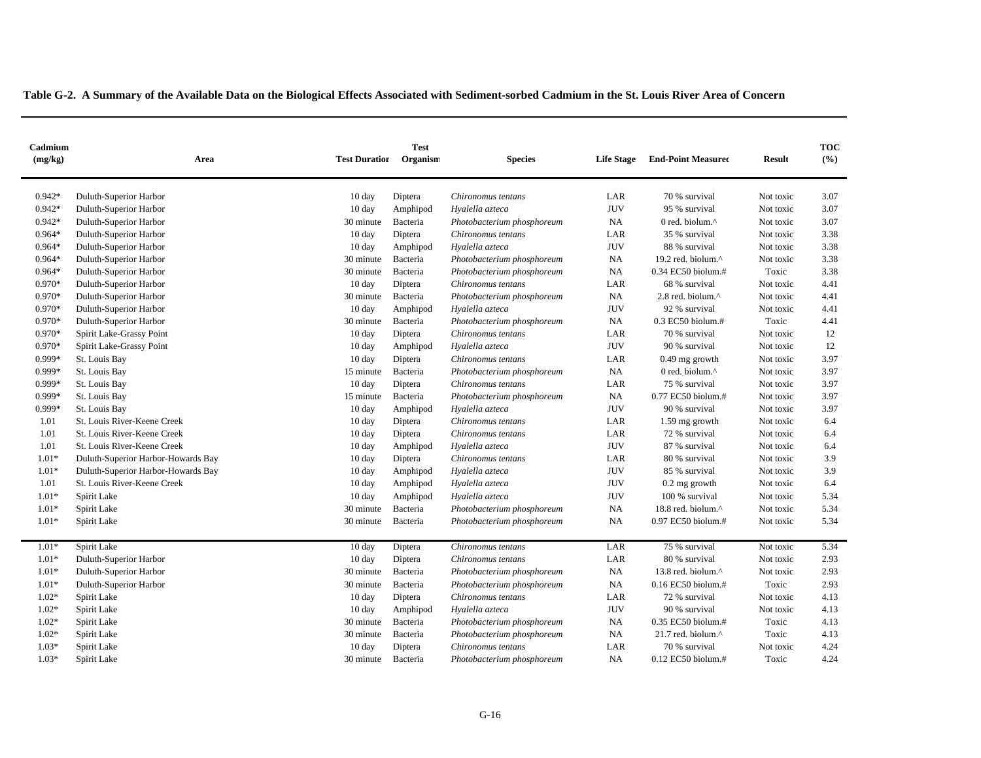| Cadmium<br>(mg/kg) | <b>Test</b><br><b>Test Duration</b><br>Organism<br>Area |                  | <b>Species</b> | <b>Life Stage</b>          | <b>End-Point Measured</b> | <b>Result</b>                   | <b>TOC</b><br>(%) |      |
|--------------------|---------------------------------------------------------|------------------|----------------|----------------------------|---------------------------|---------------------------------|-------------------|------|
| $0.942*$           | Duluth-Superior Harbor                                  | $10 \text{ day}$ | Diptera        | Chironomus tentans         | LAR                       | 70 % survival                   | Not toxic         | 3.07 |
| $0.942*$           | Duluth-Superior Harbor                                  | 10 day           | Amphipod       | Hyalella azteca            | <b>JUV</b>                | 95 % survival                   | Not toxic         | 3.07 |
| $0.942*$           | Duluth-Superior Harbor                                  | 30 minute        | Bacteria       | Photobacterium phosphoreum | NA                        | 0 red. biolum.^                 | Not toxic         | 3.07 |
| $0.964*$           | Duluth-Superior Harbor                                  | $10 \text{ day}$ | Diptera        | Chironomus tentans         | LAR                       | 35 % survival                   | Not toxic         | 3.38 |
| $0.964*$           | Duluth-Superior Harbor                                  | $10 \text{ day}$ | Amphipod       | Hyalella azteca            | <b>JUV</b>                | 88 % survival                   | Not toxic         | 3.38 |
| $0.964*$           | Duluth-Superior Harbor                                  | 30 minute        | Bacteria       | Photobacterium phosphoreum | NA                        | 19.2 red. biolum.^              | Not toxic         | 3.38 |
| $0.964*$           | Duluth-Superior Harbor                                  | 30 minute        | Bacteria       | Photobacterium phosphoreum | NA                        | 0.34 EC50 biolum.#              | Toxic             | 3.38 |
| $0.970*$           | Duluth-Superior Harbor                                  | $10 \text{ day}$ | Diptera        | Chironomus tentans         | LAR                       | 68 % survival                   | Not toxic         | 4.41 |
| 0.970*             | Duluth-Superior Harbor                                  | 30 minute        | Bacteria       | Photobacterium phosphoreum | NA                        | 2.8 red. biolum.^               | Not toxic         | 4.41 |
| 0.970*             | Duluth-Superior Harbor                                  | $10 \text{ day}$ | Amphipod       | Hyalella azteca            | <b>JUV</b>                | 92 % survival                   | Not toxic         | 4.41 |
| 0.970*             | Duluth-Superior Harbor                                  | 30 minute        | Bacteria       | Photobacterium phosphoreum | NA                        | $0.3$ EC50 biolum.#             | Toxic             | 4.41 |
| $0.970*$           | Spirit Lake-Grassy Point                                | $10 \text{ day}$ | Diptera        | Chironomus tentans         | LAR                       | 70 % survival                   | Not toxic         | 12   |
| $0.970*$           | Spirit Lake-Grassy Point                                | $10 \text{ day}$ | Amphipod       | Hyalella azteca            | <b>JUV</b>                | 90 % survival                   | Not toxic         | 12   |
| 0.999*             | St. Louis Bay                                           | $10 \text{ day}$ | Diptera        | Chironomus tentans         | LAR                       | $0.49$ mg growth                | Not toxic         | 3.97 |
| 0.999*             | St. Louis Bay                                           | 15 minute        | Bacteria       | Photobacterium phosphoreum | <b>NA</b>                 | 0 red. biolum.^                 | Not toxic         | 3.97 |
| 0.999*             | St. Louis Bay                                           | $10 \text{ day}$ | Diptera        | Chironomus tentans         | LAR                       | 75 % survival                   | Not toxic         | 3.97 |
| 0.999*             | St. Louis Bay                                           | 15 minute        | Bacteria       | Photobacterium phosphoreum | NA                        | 0.77 EC50 biolum.#              | Not toxic         | 3.97 |
| 0.999*             | St. Louis Bay                                           | 10 day           | Amphipod       | Hyalella azteca            | <b>JUV</b>                | 90 % survival                   | Not toxic         | 3.97 |
| 1.01               | St. Louis River-Keene Creek                             | $10 \text{ day}$ | Diptera        | Chironomus tentans         | LAR                       | 1.59 mg growth                  | Not toxic         | 6.4  |
| 1.01               | St. Louis River-Keene Creek                             | $10 \text{ day}$ | Diptera        | Chironomus tentans         | LAR                       | 72 % survival                   | Not toxic         | 6.4  |
| 1.01               | St. Louis River-Keene Creek                             | 10 day           | Amphipod       | Hyalella azteca            | <b>JUV</b>                | 87 % survival                   | Not toxic         | 6.4  |
| $1.01*$            | Duluth-Superior Harbor-Howards Bay                      | 10 day           | Diptera        | Chironomus tentans         | LAR                       | 80 % survival                   | Not toxic         | 3.9  |
| $1.01*$            | Duluth-Superior Harbor-Howards Bay                      | 10 day           | Amphipod       | Hyalella azteca            | <b>JUV</b>                | 85 % survival                   | Not toxic         | 3.9  |
| 1.01               | St. Louis River-Keene Creek                             | $10 \text{ day}$ | Amphipod       | Hyalella azteca            | <b>JUV</b>                | $0.2$ mg growth                 | Not toxic         | 6.4  |
| $1.01*$            | Spirit Lake                                             | 10 day           | Amphipod       | Hyalella azteca            | <b>JUV</b>                | 100 % survival                  | Not toxic         | 5.34 |
| $1.01*$            | Spirit Lake                                             | 30 minute        | Bacteria       | Photobacterium phosphoreum | <b>NA</b>                 | 18.8 red. biolum.^              | Not toxic         | 5.34 |
| $1.01*$            | Spirit Lake                                             | 30 minute        | Bacteria       | Photobacterium phosphoreum | NA                        | 0.97 EC50 biolum.#              | Not toxic         | 5.34 |
| $1.01*$            | Spirit Lake                                             | 10 day           | Diptera        | Chironomus tentans         | LAR                       | 75 % survival                   | Not toxic         | 5.34 |
| $1.01*$            | Duluth-Superior Harbor                                  | $10 \text{ day}$ | Diptera        | Chironomus tentans         | LAR                       | 80 % survival                   | Not toxic         | 2.93 |
| $1.01*$            | Duluth-Superior Harbor                                  | 30 minute        | Bacteria       | Photobacterium phosphoreum | NA                        | 13.8 red. biolum.^              | Not toxic         | 2.93 |
| $1.01*$            | Duluth-Superior Harbor                                  | 30 minute        | Bacteria       | Photobacterium phosphoreum | NA                        | 0.16 EC50 biolum.#              | Toxic             | 2.93 |
| $1.02*$            | Spirit Lake                                             | $10 \text{ day}$ | Diptera        | Chironomus tentans         | LAR                       | 72 % survival                   | Not toxic         | 4.13 |
| $1.02*$            | Spirit Lake                                             | $10 \text{ day}$ | Amphipod       | Hyalella azteca            | <b>JUV</b>                | 90 % survival                   | Not toxic         | 4.13 |
| $1.02*$            | Spirit Lake                                             | 30 minute        | Bacteria       | Photobacterium phosphoreum | NA                        | 0.35 EC50 biolum.#              | Toxic             | 4.13 |
| $1.02*$            | Spirit Lake                                             | 30 minute        | Bacteria       | Photobacterium phosphoreum | NA                        | $21.7$ red. biolum. $^{\wedge}$ | Toxic             | 4.13 |
| $1.03*$            | Spirit Lake                                             | 10 day           | Diptera        | Chironomus tentans         | LAR                       | 70 % survival                   | Not toxic         | 4.24 |
| $1.03*$            | Spirit Lake                                             | 30 minute        | Bacteria       | Photobacterium phosphoreum | <b>NA</b>                 | 0.12 EC50 biolum.#              | Toxic             | 4.24 |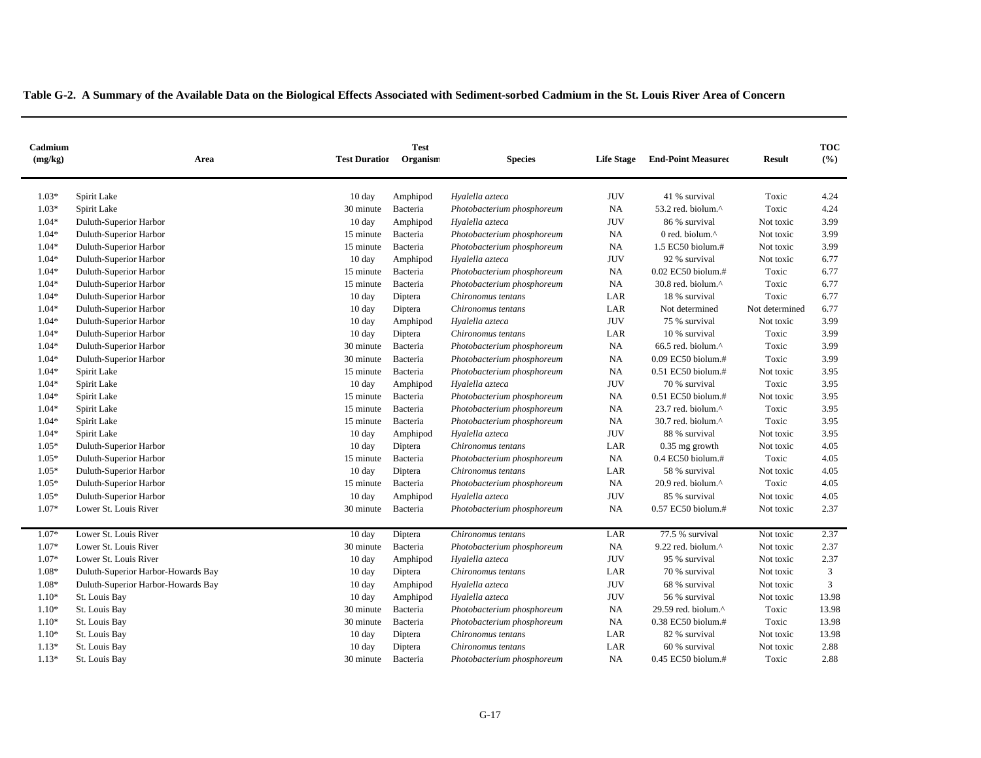| Cadmium<br>(mg/kg) | <b>Test Duration</b><br>Area       |                  | <b>Test</b><br>Organism | <b>Species</b>             | <b>Life Stage</b> | <b>End-Point Measured</b> | <b>Result</b>  | <b>TOC</b><br>(%) |
|--------------------|------------------------------------|------------------|-------------------------|----------------------------|-------------------|---------------------------|----------------|-------------------|
| $1.03*$            | Spirit Lake                        | $10 \text{ day}$ | Amphipod                | Hyalella azteca            | <b>JUV</b>        | 41 % survival             | Toxic          | 4.24              |
| $1.03*$            | Spirit Lake                        | 30 minute        | Bacteria                | Photobacterium phosphoreum | NA                | 53.2 red. biolum.^        | Toxic          | 4.24              |
| $1.04*$            | Duluth-Superior Harbor             | $10 \text{ day}$ | Amphipod                | Hyalella azteca            | <b>JUV</b>        | 86 % survival             | Not toxic      | 3.99              |
| $1.04*$            | Duluth-Superior Harbor             | 15 minute        | Bacteria                | Photobacterium phosphoreum | NA                | 0 red. biolum.^           | Not toxic      | 3.99              |
| $1.04*$            | Duluth-Superior Harbor             | 15 minute        | Bacteria                | Photobacterium phosphoreum | NA                | 1.5 EC50 biolum.#         | Not toxic      | 3.99              |
| $1.04*$            | Duluth-Superior Harbor             | $10 \text{ day}$ | Amphipod                | Hyalella azteca            | <b>JUV</b>        | 92 % survival             | Not toxic      | 6.77              |
| $1.04*$            | Duluth-Superior Harbor             | 15 minute        | Bacteria                | Photobacterium phosphoreum | NA                | 0.02 EC50 biolum.#        | Toxic          | 6.77              |
| $1.04*$            | Duluth-Superior Harbor             | 15 minute        | Bacteria                | Photobacterium phosphoreum | <b>NA</b>         | 30.8 red. biolum.^        | Toxic          | 6.77              |
| $1.04*$            | Duluth-Superior Harbor             | $10 \text{ day}$ | Diptera                 | Chironomus tentans         | LAR               | 18 % survival             | Toxic          | 6.77              |
| $1.04*$            | Duluth-Superior Harbor             | $10 \text{ day}$ | Diptera                 | Chironomus tentans         | LAR               | Not determined            | Not determined | 6.77              |
| $1.04*$            | Duluth-Superior Harbor             | $10 \text{ day}$ | Amphipod                | Hyalella azteca            | <b>JUV</b>        | 75 % survival             | Not toxic      | 3.99              |
| $1.04*$            | Duluth-Superior Harbor             | $10 \text{ day}$ | Diptera                 | Chironomus tentans         | LAR               | 10 % survival             | Toxic          | 3.99              |
| $1.04*$            | Duluth-Superior Harbor             | 30 minute        | Bacteria                | Photobacterium phosphoreum | NA                | 66.5 red. biolum.^        | Toxic          | 3.99              |
| $1.04*$            | Duluth-Superior Harbor             | 30 minute        | Bacteria                | Photobacterium phosphoreum | NA                | 0.09 EC50 biolum.#        | Toxic          | 3.99              |
| $1.04*$            | Spirit Lake                        | 15 minute        | Bacteria                | Photobacterium phosphoreum | NA                | 0.51 EC50 biolum.#        | Not toxic      | 3.95              |
| $1.04*$            | Spirit Lake                        | $10 \text{ day}$ | Amphipod                | Hyalella azteca            | <b>JUV</b>        | 70 % survival             | Toxic          | 3.95              |
| $1.04*$            | Spirit Lake                        | 15 minute        | Bacteria                | Photobacterium phosphoreum | NA                | 0.51 EC50 biolum.#        | Not toxic      | 3.95              |
| $1.04*$            | Spirit Lake                        | 15 minute        | Bacteria                | Photobacterium phosphoreum | NA                | 23.7 red. biolum.^        | Toxic          | 3.95              |
| $1.04*$            | Spirit Lake                        | 15 minute        | Bacteria                | Photobacterium phosphoreum | NA                | 30.7 red. biolum.^        | Toxic          | 3.95              |
| $1.04*$            | Spirit Lake                        | $10 \text{ day}$ | Amphipod                | Hyalella azteca            | <b>JUV</b>        | 88 % survival             | Not toxic      | 3.95              |
| $1.05*$            | Duluth-Superior Harbor             | $10 \text{ day}$ | Diptera                 | Chironomus tentans         | LAR               | $0.35$ mg growth          | Not toxic      | 4.05              |
| $1.05*$            | Duluth-Superior Harbor             | 15 minute        | Bacteria                | Photobacterium phosphoreum | NA                | $0.4$ EC50 biolum.#       | Toxic          | 4.05              |
| $1.05*$            | Duluth-Superior Harbor             | $10 \text{ day}$ | Diptera                 | Chironomus tentans         | LAR               | 58 % survival             | Not toxic      | 4.05              |
| $1.05*$            | Duluth-Superior Harbor             | 15 minute        | Bacteria                | Photobacterium phosphoreum | NA                | 20.9 red. biolum.^        | Toxic          | 4.05              |
| $1.05*$            | Duluth-Superior Harbor             | 10 day           | Amphipod                | Hyalella azteca            | <b>JUV</b>        | 85 % survival             | Not toxic      | 4.05              |
| $1.07*$            | Lower St. Louis River              | 30 minute        | Bacteria                | Photobacterium phosphoreum | <b>NA</b>         | 0.57 EC50 biolum.#        | Not toxic      | 2.37              |
| $1.07*$            | Lower St. Louis River              | $10 \text{ day}$ | Diptera                 | Chironomus tentans         | LAR               | 77.5 % survival           | Not toxic      | 2.37              |
| $1.07*$            | Lower St. Louis River              | 30 minute        | Bacteria                | Photobacterium phosphoreum | NA                | 9.22 red. biolum.^        | Not toxic      | 2.37              |
| $1.07*$            | Lower St. Louis River              | 10 day           | Amphipod                | Hyalella azteca            | <b>JUV</b>        | 95 % survival             | Not toxic      | 2.37              |
| $1.08*$            | Duluth-Superior Harbor-Howards Bay | $10 \text{ day}$ | Diptera                 | Chironomus tentans         | LAR               | 70 % survival             | Not toxic      | 3                 |
| $1.08*$            | Duluth-Superior Harbor-Howards Bay | $10 \text{ day}$ | Amphipod                | Hyalella azteca            | <b>JUV</b>        | 68 % survival             | Not toxic      | 3                 |
| $1.10*$            | St. Louis Bay                      | $10 \text{ day}$ | Amphipod                | Hyalella azteca            | <b>JUV</b>        | 56 % survival             | Not toxic      | 13.98             |
| $1.10*$            | St. Louis Bay                      | 30 minute        | Bacteria                | Photobacterium phosphoreum | <b>NA</b>         | 29.59 red. biolum.^       | Toxic          | 13.98             |
| $1.10*$            | St. Louis Bay                      | 30 minute        | Bacteria                | Photobacterium phosphoreum | NA                | 0.38 EC50 biolum.#        | Toxic          | 13.98             |
| $1.10*$            | St. Louis Bay                      | $10 \text{ day}$ | Diptera                 | Chironomus tentans         | LAR               | 82 % survival             | Not toxic      | 13.98             |
| $1.13*$            | St. Louis Bay                      | 10 day           | Diptera                 | Chironomus tentans         | LAR               | 60 % survival             | Not toxic      | 2.88              |
| $1.13*$            | St. Louis Bay                      | 30 minute        | Bacteria                | Photobacterium phosphoreum | <b>NA</b>         | 0.45 EC50 biolum.#        | Toxic          | 2.88              |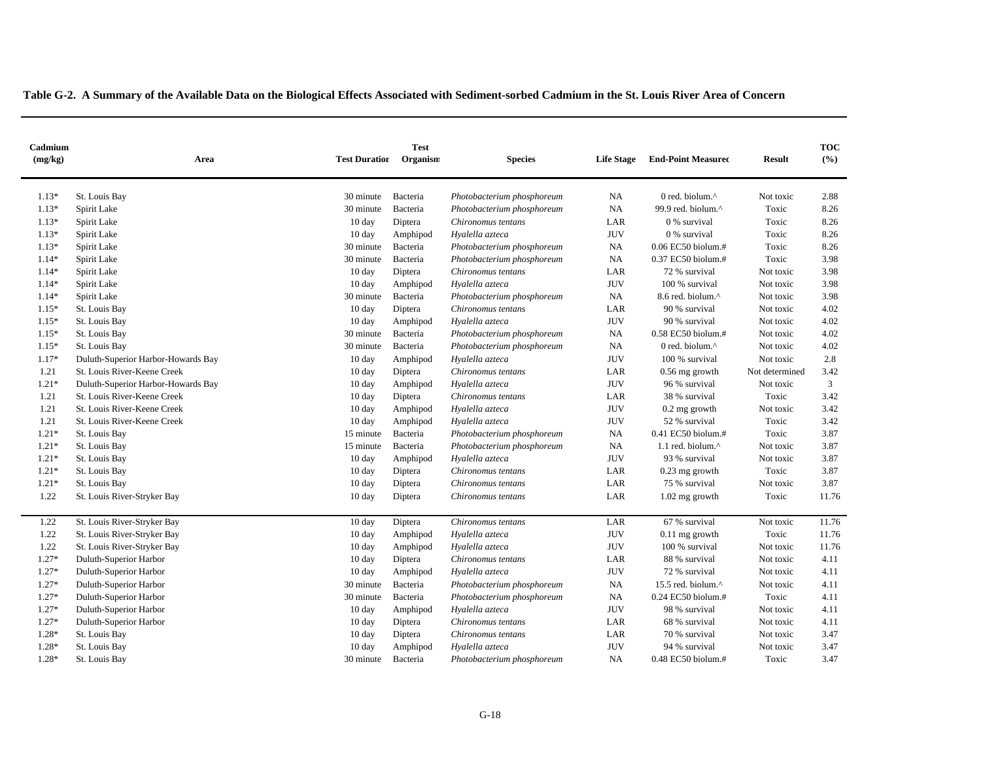| Cadmium<br>(mg/kg) | Area                               | <b>Test Duration</b> | <b>Test</b><br>Organism | <b>Species</b>             | <b>Life Stage</b> | <b>End-Point Measured</b> | <b>Result</b>  | <b>TOC</b><br>(%) |
|--------------------|------------------------------------|----------------------|-------------------------|----------------------------|-------------------|---------------------------|----------------|-------------------|
| $1.13*$            | St. Louis Bay                      | 30 minute            | Bacteria                | Photobacterium phosphoreum | NA                | 0 red. biolum.^           | Not toxic      | 2.88              |
| $1.13*$            | Spirit Lake                        | 30 minute            | Bacteria                | Photobacterium phosphoreum | NA                | 99.9 red. biolum.^        | Toxic          | 8.26              |
| $1.13*$            | Spirit Lake                        | $10 \text{ day}$     | Diptera                 | Chironomus tentans         | LAR               | 0 % survival              | Toxic          | 8.26              |
| $1.13*$            | Spirit Lake                        | $10 \text{ day}$     | Amphipod                | Hyalella azteca            | <b>JUV</b>        | 0 % survival              | Toxic          | 8.26              |
| $1.13*$            | Spirit Lake                        | 30 minute            | Bacteria                | Photobacterium phosphoreum | <b>NA</b>         | 0.06 EC50 biolum.#        | Toxic          | 8.26              |
| $1.14*$            | Spirit Lake                        | 30 minute            | Bacteria                | Photobacterium phosphoreum | NA                | 0.37 EC50 biolum.#        | Toxic          | 3.98              |
| $1.14*$            | Spirit Lake                        | 10 day               | Diptera                 | Chironomus tentans         | LAR               | 72 % survival             | Not toxic      | 3.98              |
| $1.14*$            | Spirit Lake                        | $10 \text{ day}$     | Amphipod                | Hyalella azteca            | <b>JUV</b>        | 100 % survival            | Not toxic      | 3.98              |
| $1.14*$            | Spirit Lake                        | 30 minute            | Bacteria                | Photobacterium phosphoreum | NA                | 8.6 red. biolum.^         | Not toxic      | 3.98              |
| $1.15*$            | St. Louis Bay                      | $10 \text{ day}$     | Diptera                 | Chironomus tentans         | LAR               | 90 % survival             | Not toxic      | 4.02              |
| $1.15*$            | St. Louis Bay                      | $10 \text{ day}$     | Amphipod                | Hyalella azteca            | <b>JUV</b>        | 90 % survival             | Not toxic      | 4.02              |
| $1.15*$            | St. Louis Bay                      | 30 minute            | Bacteria                | Photobacterium phosphoreum | <b>NA</b>         | 0.58 EC50 biolum.#        | Not toxic      | 4.02              |
| $1.15*$            | St. Louis Bay                      | 30 minute            | Bacteria                | Photobacterium phosphoreum | NA                | 0 red. biolum.^           | Not toxic      | 4.02              |
| $1.17*$            | Duluth-Superior Harbor-Howards Bay | $10 \text{ day}$     | Amphipod                | Hyalella azteca            | <b>JUV</b>        | 100 % survival            | Not toxic      | 2.8               |
| 1.21               | St. Louis River-Keene Creek        | $10 \text{ day}$     | Diptera                 | Chironomus tentans         | LAR               | 0.56 mg growth            | Not determined | 3.42              |
| $1.21*$            | Duluth-Superior Harbor-Howards Bay | $10 \text{ day}$     | Amphipod                | Hyalella azteca            | <b>JUV</b>        | 96 % survival             | Not toxic      | 3                 |
| 1.21               | St. Louis River-Keene Creek        | 10 day               | Diptera                 | Chironomus tentans         | LAR               | 38 % survival             | Toxic          | 3.42              |
| 1.21               | St. Louis River-Keene Creek        | $10 \text{ day}$     | Amphipod                | Hyalella azteca            | <b>JUV</b>        | $0.2$ mg growth           | Not toxic      | 3.42              |
| 1.21               | St. Louis River-Keene Creek        | $10 \text{ day}$     | Amphipod                | Hyalella azteca            | <b>JUV</b>        | 52 % survival             | Toxic          | 3.42              |
| $1.21*$            | St. Louis Bay                      | 15 minute            | Bacteria                | Photobacterium phosphoreum | NA                | 0.41 EC50 biolum.#        | Toxic          | 3.87              |
| $1.21*$            | St. Louis Bay                      | 15 minute            | Bacteria                | Photobacterium phosphoreum | NA                | 1.1 red. biolum.^         | Not toxic      | 3.87              |
| $1.21*$            | St. Louis Bay                      | 10 day               | Amphipod                | Hyalella azteca            | <b>JUV</b>        | 93 % survival             | Not toxic      | 3.87              |
| $1.21*$            | St. Louis Bay                      | 10 day               | Diptera                 | Chironomus tentans         | LAR               | $0.23$ mg growth          | Toxic          | 3.87              |
| $1.21*$            | St. Louis Bay                      | $10 \text{ day}$     | Diptera                 | Chironomus tentans         | LAR               | 75 % survival             | Not toxic      | 3.87              |
| 1.22               | St. Louis River-Stryker Bay        | $10 \text{ day}$     | Diptera                 | Chironomus tentans         | LAR               | $1.02$ mg growth          | Toxic          | 11.76             |
| 1.22               | St. Louis River-Stryker Bay        | 10 day               | Diptera                 | Chironomus tentans         | LAR               | 67 % survival             | Not toxic      | 11.76             |
| 1.22               | St. Louis River-Stryker Bay        | $10 \text{ day}$     | Amphipod                | Hyalella azteca            | <b>JUV</b>        | $0.11$ mg growth          | Toxic          | 11.76             |
| 1.22               | St. Louis River-Stryker Bay        | $10 \text{ day}$     | Amphipod                | Hyalella azteca            | <b>JUV</b>        | 100 % survival            | Not toxic      | 11.76             |
| $1.27*$            | Duluth-Superior Harbor             | 10 day               | Diptera                 | Chironomus tentans         | LAR               | 88 % survival             | Not toxic      | 4.11              |
| $1.27*$            | Duluth-Superior Harbor             | $10 \text{ day}$     | Amphipod                | Hyalella azteca            | <b>JUV</b>        | 72 % survival             | Not toxic      | 4.11              |
| $1.27*$            | Duluth-Superior Harbor             | 30 minute            | Bacteria                | Photobacterium phosphoreum | NA                | 15.5 red. biolum.^        | Not toxic      | 4.11              |
| $1.27*$            | Duluth-Superior Harbor             | 30 minute            | Bacteria                | Photobacterium phosphoreum | NA                | 0.24 EC50 biolum.#        | Toxic          | 4.11              |
| $1.27*$            | Duluth-Superior Harbor             | $10 \text{ day}$     | Amphipod                | Hyalella azteca            | <b>JUV</b>        | 98 % survival             | Not toxic      | 4.11              |
| $1.27*$            | Duluth-Superior Harbor             | $10 \text{ day}$     | Diptera                 | Chironomus tentans         | LAR               | 68 % survival             | Not toxic      | 4.11              |
| $1.28*$            | St. Louis Bay                      | $10 \text{ day}$     | Diptera                 | Chironomus tentans         | LAR               | 70 % survival             | Not toxic      | 3.47              |
| $1.28*$            | St. Louis Bay                      | 10 day               | Amphipod                | Hyalella azteca            | <b>JUV</b>        | 94 % survival             | Not toxic      | 3.47              |
| 1.28*              | St. Louis Bay                      | 30 minute            | Bacteria                | Photobacterium phosphoreum | NA                | 0.48 EC50 biolum.#        | Toxic          | 3.47              |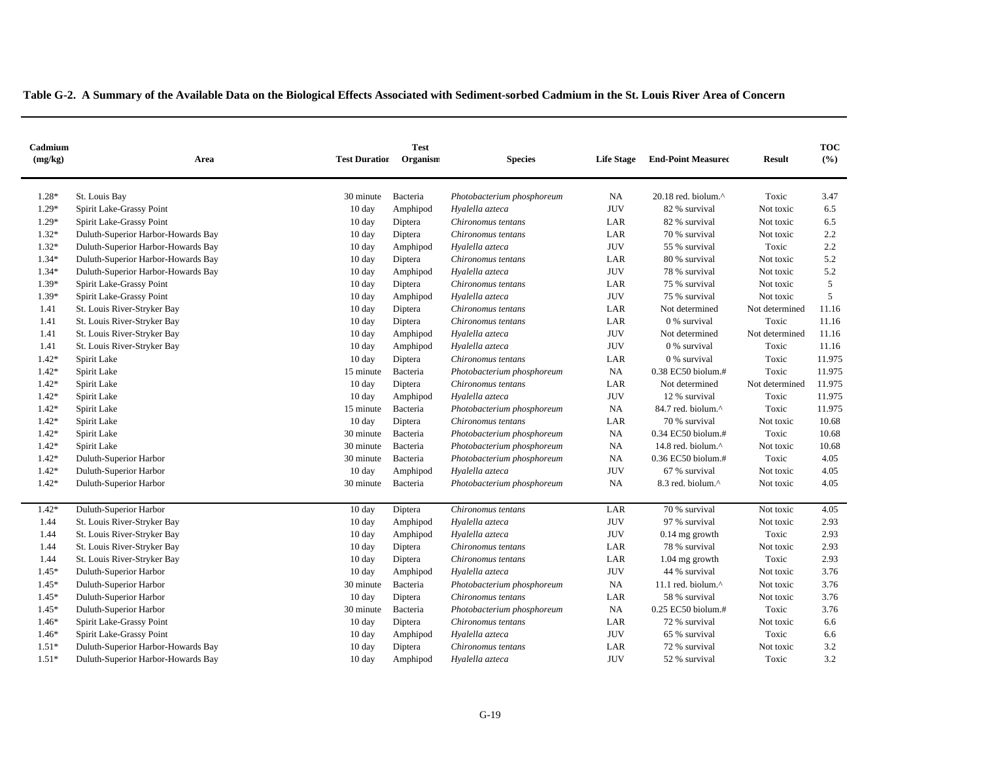| Cadmium<br>(mg/kg) | Area                               | <b>Test Duration</b> | <b>Test</b><br>Organism | <b>Species</b>             | <b>Life Stage</b> | <b>End-Point Measured</b>        | <b>Result</b>  | <b>TOC</b><br>(%) |
|--------------------|------------------------------------|----------------------|-------------------------|----------------------------|-------------------|----------------------------------|----------------|-------------------|
| 1.28*              | St. Louis Bay                      | 30 minute            | Bacteria                | Photobacterium phosphoreum | NA                | $20.18$ red. biolum. $^{\wedge}$ | Toxic          | 3.47              |
| $1.29*$            | Spirit Lake-Grassy Point           | $10 \text{ day}$     | Amphipod                | Hyalella azteca            | <b>JUV</b>        | 82 % survival                    | Not toxic      | 6.5               |
| $1.29*$            | Spirit Lake-Grassy Point           | $10 \text{ day}$     | Diptera                 | Chironomus tentans         | LAR               | 82 % survival                    | Not toxic      | 6.5               |
| $1.32*$            | Duluth-Superior Harbor-Howards Bay | 10 day               | Diptera                 | Chironomus tentans         | LAR               | 70 % survival                    | Not toxic      | 2.2               |
| $1.32*$            | Duluth-Superior Harbor-Howards Bay | $10 \text{ day}$     | Amphipod                | Hyalella azteca            | <b>JUV</b>        | 55 % survival                    | Toxic          | 2.2               |
| $1.34*$            | Duluth-Superior Harbor-Howards Bay | 10 day               | Diptera                 | Chironomus tentans         | LAR               | 80 % survival                    | Not toxic      | 5.2               |
| $1.34*$            | Duluth-Superior Harbor-Howards Bay | $10 \text{ day}$     | Amphipod                | Hyalella azteca            | <b>JUV</b>        | 78 % survival                    | Not toxic      | 5.2               |
| 1.39*              | Spirit Lake-Grassy Point           | 10 day               | Diptera                 | Chironomus tentans         | LAR               | 75 % survival                    | Not toxic      | 5                 |
| 1.39*              | Spirit Lake-Grassy Point           | $10 \text{ day}$     | Amphipod                | Hyalella azteca            | <b>JUV</b>        | 75 % survival                    | Not toxic      | 5                 |
| 1.41               | St. Louis River-Stryker Bay        | 10 day               | Diptera                 | Chironomus tentans         | LAR               | Not determined                   | Not determined | 11.16             |
| 1.41               | St. Louis River-Stryker Bay        | 10 day               | Diptera                 | Chironomus tentans         | LAR               | 0 % survival                     | Toxic          | 11.16             |
| 1.41               | St. Louis River-Stryker Bay        | 10 day               | Amphipod                | Hyalella azteca            | <b>JUV</b>        | Not determined                   | Not determined | 11.16             |
| 1.41               | St. Louis River-Stryker Bay        | $10 \text{ day}$     | Amphipod                | Hyalella azteca            | <b>JUV</b>        | 0 % survival                     | Toxic          | 11.16             |
| $1.42*$            | Spirit Lake                        | 10 day               | Diptera                 | Chironomus tentans         | LAR               | 0 % survival                     | Toxic          | 11.975            |
| $1.42*$            | Spirit Lake                        | 15 minute            | Bacteria                | Photobacterium phosphoreum | <b>NA</b>         | 0.38 EC50 biolum.#               | Toxic          | 11.975            |
| $1.42*$            | Spirit Lake                        | 10 day               | Diptera                 | Chironomus tentans         | LAR               | Not determined                   | Not determined | 11.975            |
| $1.42*$            | Spirit Lake                        | 10 day               | Amphipod                | Hyalella azteca            | <b>JUV</b>        | 12 % survival                    | Toxic          | 11.975            |
| $1.42*$            | Spirit Lake                        | 15 minute            | Bacteria                | Photobacterium phosphoreum | NA                | 84.7 red. biolum.^               | Toxic          | 11.975            |
| $1.42*$            | Spirit Lake                        | $10 \text{ day}$     | Diptera                 | Chironomus tentans         | LAR               | 70 % survival                    | Not toxic      | 10.68             |
| $1.42*$            | Spirit Lake                        | 30 minute            | Bacteria                | Photobacterium phosphoreum | <b>NA</b>         | 0.34 EC50 biolum.#               | Toxic          | 10.68             |
| $1.42*$            | Spirit Lake                        | 30 minute            | Bacteria                | Photobacterium phosphoreum | NA                | 14.8 red. biolum.^               | Not toxic      | 10.68             |
| $1.42*$            | Duluth-Superior Harbor             | 30 minute            | Bacteria                | Photobacterium phosphoreum | NA                | 0.36 EC50 biolum.#               | Toxic          | 4.05              |
| $1.42*$            | Duluth-Superior Harbor             | $10 \text{ day}$     | Amphipod                | Hyalella azteca            | <b>JUV</b>        | 67 % survival                    | Not toxic      | 4.05              |
| $1.42*$            | Duluth-Superior Harbor             | 30 minute            | Bacteria                | Photobacterium phosphoreum | NA                | 8.3 red. biolum.^                | Not toxic      | 4.05              |
| $1.42*$            | Duluth-Superior Harbor             | 10 day               | Diptera                 | Chironomus tentans         | LAR               | 70 % survival                    | Not toxic      | 4.05              |
| 1.44               | St. Louis River-Stryker Bay        | $10 \text{ day}$     | Amphipod                | Hyalella azteca            | <b>JUV</b>        | 97 % survival                    | Not toxic      | 2.93              |
| 1.44               | St. Louis River-Stryker Bay        | 10 day               | Amphipod                | Hyalella azteca            | <b>JUV</b>        | $0.14$ mg growth                 | Toxic          | 2.93              |
| 1.44               | St. Louis River-Stryker Bay        | $10 \text{ day}$     | Diptera                 | Chironomus tentans         | LAR               | 78 % survival                    | Not toxic      | 2.93              |
| 1.44               | St. Louis River-Stryker Bay        | $10 \text{ day}$     | Diptera                 | Chironomus tentans         | LAR               | $1.04$ mg growth                 | Toxic          | 2.93              |
| $1.45*$            | Duluth-Superior Harbor             | $10 \text{ day}$     | Amphipod                | Hyalella azteca            | <b>JUV</b>        | 44 % survival                    | Not toxic      | 3.76              |
| $1.45*$            | Duluth-Superior Harbor             | 30 minute            | Bacteria                | Photobacterium phosphoreum | NA                | 11.1 red. biolum.^               | Not toxic      | 3.76              |
| $1.45*$            | Duluth-Superior Harbor             | 10 day               | Diptera                 | Chironomus tentans         | LAR               | 58 % survival                    | Not toxic      | 3.76              |
| $1.45*$            | Duluth-Superior Harbor             | 30 minute            | Bacteria                | Photobacterium phosphoreum | NA                | 0.25 EC50 biolum.#               | Toxic          | 3.76              |
| $1.46*$            | Spirit Lake-Grassy Point           | $10 \text{ day}$     | Diptera                 | Chironomus tentans         | LAR               | 72 % survival                    | Not toxic      | 6.6               |
| $1.46*$            | Spirit Lake-Grassy Point           | 10 day               | Amphipod                | Hyalella azteca            | <b>JUV</b>        | 65 % survival                    | Toxic          | 6.6               |
| $1.51*$            | Duluth-Superior Harbor-Howards Bay | $10 \text{ day}$     | Diptera                 | Chironomus tentans         | LAR               | 72 % survival                    | Not toxic      | 3.2               |
| $1.51*$            | Duluth-Superior Harbor-Howards Bay | 10 day               | Amphipod                | Hyalella azteca            | <b>JUV</b>        | 52 % survival                    | Toxic          | 3.2               |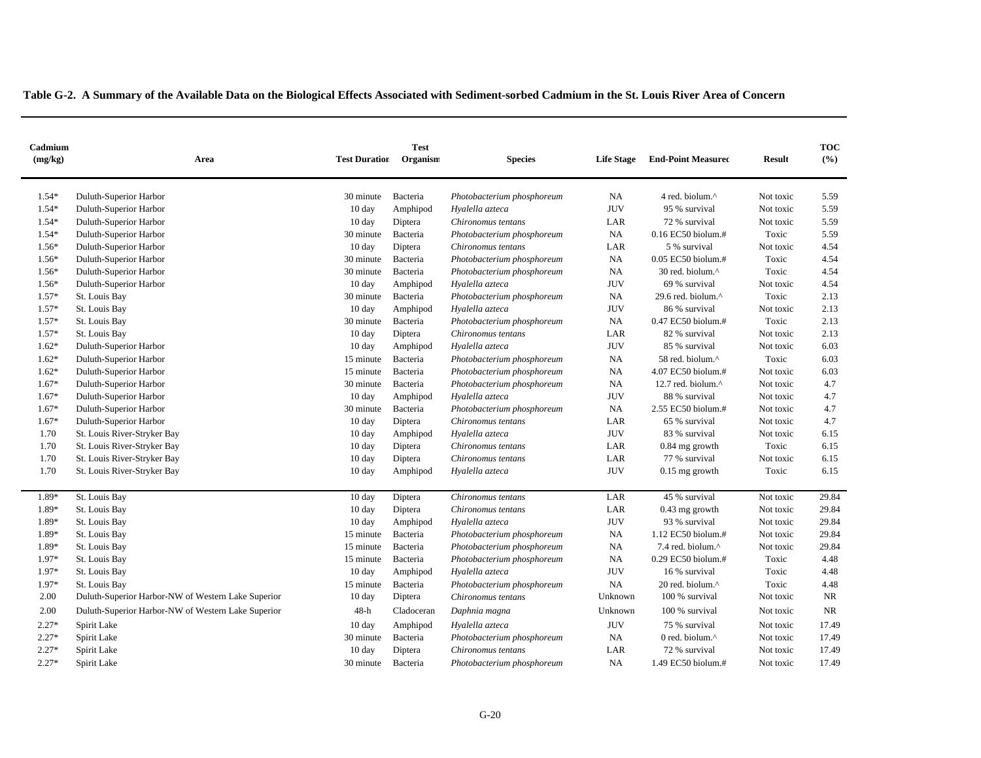| Cadmium<br>(mg/kg) | Area                                               | <b>Test Duration</b> | <b>Test</b><br>Organism | <b>Species</b>             | <b>Life Stage</b> | <b>End-Point Measured</b> | <b>Result</b> | <b>TOC</b><br>(%) |
|--------------------|----------------------------------------------------|----------------------|-------------------------|----------------------------|-------------------|---------------------------|---------------|-------------------|
|                    |                                                    |                      |                         |                            |                   |                           |               |                   |
| 1.54*              | Duluth-Superior Harbor                             | 30 minute            | Bacteria                | Photobacterium phosphoreum | <b>NA</b>         | 4 red. biolum.^           | Not toxic     | 5.59              |
| $1.54*$            | Duluth-Superior Harbor                             | $10 \text{ day}$     | Amphipod                | Hyalella azteca            | <b>JUV</b>        | 95 % survival             | Not toxic     | 5.59              |
| $1.54*$            | Duluth-Superior Harbor                             | $10 \text{ day}$     | Diptera                 | Chironomus tentans         | $_{\rm LAR}$      | 72 % survival             | Not toxic     | 5.59              |
| 1.54*              | Duluth-Superior Harbor                             | 30 minute            | Bacteria                | Photobacterium phosphoreum | NA                | 0.16 EC50 biolum.#        | Toxic         | 5.59              |
| $1.56*$            | Duluth-Superior Harbor                             | 10 day               | Diptera                 | Chironomus tentans         | LAR               | 5 % survival              | Not toxic     | 4.54              |
| 1.56*              | Duluth-Superior Harbor                             | 30 minute            | Bacteria                | Photobacterium phosphoreum | <b>NA</b>         | 0.05 EC50 biolum.#        | Toxic         | 4.54              |
| $1.56*$            | Duluth-Superior Harbor                             | 30 minute            | Bacteria                | Photobacterium phosphoreum | <b>NA</b>         | 30 red. biolum.^          | Toxic         | 4.54              |
| 1.56*              | Duluth-Superior Harbor                             | 10 day               | Amphipod                | Hyalella azteca            | <b>JUV</b>        | 69 % survival             | Not toxic     | 4.54              |
| $1.57*$            | St. Louis Bay                                      | 30 minute            | Bacteria                | Photobacterium phosphoreum | <b>NA</b>         | 29.6 red. biolum.^        | Toxic         | 2.13              |
| $1.57*$            | St. Louis Bay                                      | 10 day               | Amphipod                | Hyalella azteca            | <b>JUV</b>        | 86 % survival             | Not toxic     | 2.13              |
| $1.57*$            | St. Louis Bay                                      | 30 minute            | Bacteria                | Photobacterium phosphoreum | <b>NA</b>         | $0.47$ EC50 biolum.#      | Toxic         | 2.13              |
| $1.57*$            | St. Louis Bay                                      | 10 day               | Diptera                 | Chironomus tentans         | LAR               | 82 % survival             | Not toxic     | 2.13              |
| $1.62*$            | Duluth-Superior Harbor                             | 10 day               | Amphipod                | Hyalella azteca            | <b>JUV</b>        | 85 % survival             | Not toxic     | 6.03              |
| $1.62*$            | Duluth-Superior Harbor                             | 15 minute            | Bacteria                | Photobacterium phosphoreum | NA                | 58 red. biolum.^          | Toxic         | 6.03              |
| $1.62*$            | Duluth-Superior Harbor                             | 15 minute            | Bacteria                | Photobacterium phosphoreum | <b>NA</b>         | 4.07 EC50 biolum.#        | Not toxic     | 6.03              |
| 1.67*              | Duluth-Superior Harbor                             | 30 minute            | Bacteria                | Photobacterium phosphoreum | NA                | 12.7 red. biolum.^        | Not toxic     | 4.7               |
| 1.67*              | Duluth-Superior Harbor                             | $10 \text{ day}$     | Amphipod                | Hyalella azteca            | <b>JUV</b>        | 88 % survival             | Not toxic     | 4.7               |
| 1.67*              | Duluth-Superior Harbor                             | 30 minute            | Bacteria                | Photobacterium phosphoreum | NA                | 2.55 EC50 biolum.#        | Not toxic     | 4.7               |
| $1.67*$            | Duluth-Superior Harbor                             | $10 \text{ day}$     | Diptera                 | Chironomus tentans         | LAR               | 65 % survival             | Not toxic     | 4.7               |
| 1.70               | St. Louis River-Stryker Bay                        | 10 day               | Amphipod                | Hyalella azteca            | <b>JUV</b>        | 83 % survival             | Not toxic     | 6.15              |
| 1.70               | St. Louis River-Stryker Bay                        | $10 \text{ day}$     | Diptera                 | Chironomus tentans         | LAR               | $0.84$ mg growth          | Toxic         | 6.15              |
| 1.70               | St. Louis River-Stryker Bay                        | $10 \text{ day}$     | Diptera                 | Chironomus tentans         | LAR               | 77 % survival             | Not toxic     | 6.15              |
| 1.70               | St. Louis River-Stryker Bay                        | $10 \text{ day}$     | Amphipod                | Hyalella azteca            | <b>JUV</b>        | $0.15$ mg growth          | Toxic         | 6.15              |
|                    |                                                    |                      |                         |                            |                   |                           |               |                   |
| 1.89*              | St. Louis Bay                                      | $10 \text{ day}$     | Diptera                 | Chironomus tentans         | LAR               | 45 % survival             | Not toxic     | 29.84             |
| 1.89*              | St. Louis Bay                                      | 10 day               | Diptera                 | Chironomus tentans         | LAR               | 0.43 mg growth            | Not toxic     | 29.84             |
| 1.89*              | St. Louis Bay                                      | $10 \text{ day}$     | Amphipod                | Hyalella azteca            | <b>JUV</b>        | 93 % survival             | Not toxic     | 29.84             |
| 1.89*              | St. Louis Bay                                      | 15 minute            | Bacteria                | Photobacterium phosphoreum | <b>NA</b>         | 1.12 EC50 biolum.#        | Not toxic     | 29.84             |
| 1.89*              | St. Louis Bay                                      | 15 minute            | Bacteria                | Photobacterium phosphoreum | <b>NA</b>         | 7.4 red. biolum.^         | Not toxic     | 29.84             |
| 1.97*              | St. Louis Bay                                      | 15 minute            | Bacteria                | Photobacterium phosphoreum | <b>NA</b>         | 0.29 EC50 biolum.#        | Toxic         | 4.48              |
| 1.97*              | St. Louis Bay                                      | $10 \text{ day}$     | Amphipod                | Hyalella azteca            | <b>JUV</b>        | 16 % survival             | Toxic         | 4.48              |
| 1.97*              | St. Louis Bay                                      | 15 minute            | Bacteria                | Photobacterium phosphoreum | NA                | 20 red. biolum.^          | Toxic         | 4.48              |
| 2.00               | Duluth-Superior Harbor-NW of Western Lake Superior | 10 day               | Diptera                 | Chironomus tentans         | Unknown           | 100 % survival            | Not toxic     | NR                |
| 2.00               | Duluth-Superior Harbor-NW of Western Lake Superior | 48-h                 | Cladoceran              | Daphnia magna              | Unknown           | 100 % survival            | Not toxic     | NR                |
| $2.27*$            | Spirit Lake                                        | $10 \text{ day}$     | Amphipod                | Hyalella azteca            | <b>JUV</b>        | 75 % survival             | Not toxic     | 17.49             |
| $2.27*$            | Spirit Lake                                        | 30 minute            | Bacteria                | Photobacterium phosphoreum | <b>NA</b>         | 0 red. biolum.^           | Not toxic     | 17.49             |
| $2.27*$            | Spirit Lake                                        | 10 day               | Diptera                 | Chironomus tentans         | LAR               | 72 % survival             | Not toxic     | 17.49             |
| $2.27*$            | Spirit Lake                                        | 30 minute            | Bacteria                | Photobacterium phosphoreum | <b>NA</b>         | 1.49 EC50 biolum.#        | Not toxic     | 17.49             |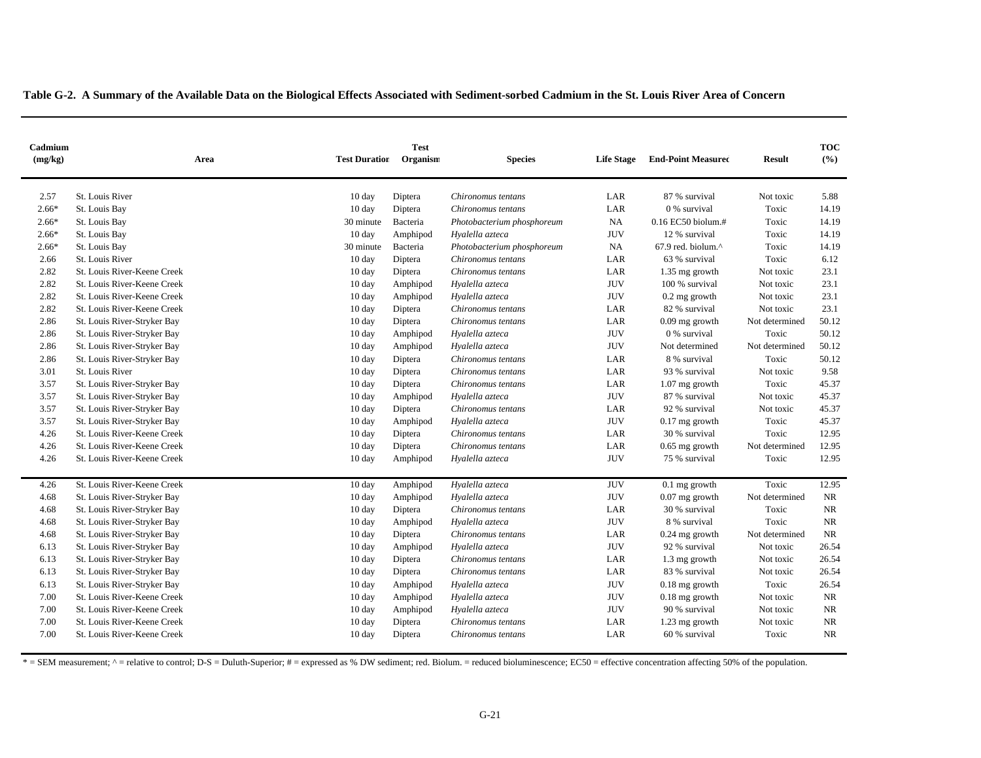| Cadmium<br>(mg/kg) | Area                        | <b>Test</b><br><b>Test Duration</b><br>Organism |                             | <b>Species</b>             | <b>Life Stage</b> | <b>End-Point Measured</b>       | <b>Result</b>  | <b>TOC</b><br>(%) |
|--------------------|-----------------------------|-------------------------------------------------|-----------------------------|----------------------------|-------------------|---------------------------------|----------------|-------------------|
| 2.57               | St. Louis River             | $10 \text{ day}$                                | Diptera                     | Chironomus tentans         | LAR               | 87 % survival                   | Not toxic      | 5.88              |
| $2.66*$            | St. Louis Bay               | $10 \text{ day}$                                | Diptera                     | Chironomus tentans         | LAR               | 0 % survival                    | Toxic          | 14.19             |
| $2.66*$            | St. Louis Bay               | 30 minute                                       | Bacteria                    | Photobacterium phosphoreum | NA                | 0.16 EC50 biolum.#              | Toxic          | 14.19             |
| $2.66*$            | St. Louis Bay               | 10 day                                          | Amphipod<br>Hyalella azteca |                            | <b>JUV</b>        | 12 % survival                   | Toxic          | 14.19             |
| $2.66*$            | St. Louis Bay               | 30 minute                                       | Bacteria                    | Photobacterium phosphoreum | NA                | $67.9$ red. biolum. $^{\wedge}$ | Toxic          | 14.19             |
| 2.66               | St. Louis River             | $10 \text{ day}$                                | Diptera                     | Chironomus tentans         | LAR               | 63 % survival                   | Toxic          | 6.12              |
| 2.82               | St. Louis River-Keene Creek | $10 \text{ day}$                                | Diptera                     | Chironomus tentans         | LAR               | 1.35 mg growth                  | Not toxic      | 23.1              |
| 2.82               | St. Louis River-Keene Creek | $10 \text{ day}$                                | Amphipod                    | Hyalella azteca            | <b>JUV</b>        | 100 % survival                  | Not toxic      | 23.1              |
| 2.82               | St. Louis River-Keene Creek | $10 \text{ day}$                                | Amphipod                    | Hyalella azteca            | <b>JUV</b>        | $0.2$ mg growth                 | Not toxic      | 23.1              |
| 2.82               | St. Louis River-Keene Creek | $10 \text{ day}$                                | Diptera                     | Chironomus tentans         | LAR               | 82 % survival                   | Not toxic      | 23.1              |
| 2.86               | St. Louis River-Stryker Bay | $10 \text{ day}$                                | Diptera                     | Chironomus tentans         | LAR               | $0.09$ mg growth                | Not determined | 50.12             |
| 2.86               | St. Louis River-Stryker Bay | $10 \text{ day}$                                | Amphipod                    | Hyalella azteca            | <b>JUV</b>        | 0 % survival                    | Toxic          | 50.12             |
| 2.86               | St. Louis River-Stryker Bay | $10 \text{ day}$                                | Amphipod                    | Hyalella azteca            | <b>JUV</b>        | Not determined                  | Not determined | 50.12             |
| 2.86               | St. Louis River-Stryker Bay | $10 \text{ day}$                                | Diptera                     | Chironomus tentans         | LAR               | 8 % survival                    | Toxic          | 50.12             |
| 3.01               | St. Louis River             | $10 \text{ day}$                                | Diptera                     | Chironomus tentans         | LAR               | 93 % survival                   | Not toxic      | 9.58              |
| 3.57               | St. Louis River-Stryker Bay | $10 \text{ day}$                                | Diptera                     | Chironomus tentans         | LAR               | $1.07$ mg growth                | Toxic          | 45.37             |
| 3.57               | St. Louis River-Stryker Bay | $10 \text{ day}$                                | Amphipod                    | Hyalella azteca            | <b>JUV</b>        | 87 % survival                   | Not toxic      | 45.37             |
| 3.57               | St. Louis River-Stryker Bay | $10 \text{ day}$                                | Diptera                     | Chironomus tentans         | LAR               | 92 % survival                   | Not toxic      | 45.37             |
| 3.57               | St. Louis River-Stryker Bay | $10 \text{ day}$                                | Amphipod                    | Hyalella azteca            | <b>JUV</b>        | $0.17$ mg growth                | Toxic          | 45.37             |
| 4.26               | St. Louis River-Keene Creek | $10 \text{ day}$                                | Diptera                     | Chironomus tentans         | LAR               | 30 % survival                   | Toxic          | 12.95             |
| 4.26               | St. Louis River-Keene Creek | $10 \text{ day}$                                | Diptera                     | Chironomus tentans         | LAR               | $0.65$ mg growth                | Not determined | 12.95             |
| 4.26               | St. Louis River-Keene Creek | $10 \text{ day}$                                | Amphipod                    | Hyalella azteca            | <b>JUV</b>        | 75 % survival                   | Toxic          | 12.95             |
| 4.26               | St. Louis River-Keene Creek | $10 \text{ day}$                                | Amphipod                    | Hyalella azteca            | <b>JUV</b>        | $0.1$ mg growth                 | Toxic          | 12.95             |
| 4.68               | St. Louis River-Stryker Bay | $10 \text{ day}$                                | Amphipod                    | Hyalella azteca            | <b>JUV</b>        | $0.07$ mg growth                | Not determined | <b>NR</b>         |
| 4.68               | St. Louis River-Stryker Bay | $10 \text{ day}$                                | Diptera                     | Chironomus tentans         | LAR               | 30 % survival                   | Toxic          | <b>NR</b>         |
| 4.68               | St. Louis River-Stryker Bay | $10 \text{ day}$                                | Amphipod                    | Hyalella azteca            | <b>JUV</b>        | 8 % survival                    | Toxic          | <b>NR</b>         |
| 4.68               | St. Louis River-Stryker Bay | $10 \text{ day}$                                | Diptera                     | Chironomus tentans         | LAR               | $0.24$ mg growth                | Not determined | <b>NR</b>         |
| 6.13               | St. Louis River-Stryker Bay | $10 \text{ day}$                                | Amphipod                    | Hyalella azteca            | <b>JUV</b>        | 92 % survival                   | Not toxic      | 26.54             |
| 6.13               | St. Louis River-Stryker Bay | $10 \text{ day}$                                | Diptera                     | Chironomus tentans         | LAR               | 1.3 mg growth                   | Not toxic      | 26.54             |
| 6.13               | St. Louis River-Stryker Bay | $10 \text{ day}$                                | Diptera                     | Chironomus tentans         | LAR               | 83 % survival                   | Not toxic      | 26.54             |
| 6.13               | St. Louis River-Stryker Bay | $10 \text{ day}$                                | Amphipod                    | Hyalella azteca            | <b>JUV</b>        | $0.18$ mg growth                | Toxic          | 26.54             |
| 7.00               | St. Louis River-Keene Creek | $10 \text{ day}$                                | Amphipod                    | Hyalella azteca            | <b>JUV</b>        | $0.18$ mg growth                | Not toxic      | <b>NR</b>         |
| 7.00               | St. Louis River-Keene Creek | $10 \text{ day}$                                | Amphipod                    | Hyalella azteca            | <b>JUV</b>        | 90 % survival                   | Not toxic      | <b>NR</b>         |
| 7.00               | St. Louis River-Keene Creek | $10 \text{ day}$                                | Diptera                     | Chironomus tentans         | LAR               | 1.23 mg growth                  | Not toxic      | <b>NR</b>         |
| 7.00               | St. Louis River-Keene Creek | $10 \text{ day}$                                | Diptera                     | Chironomus tentans         | LAR               | 60 % survival                   | Toxic          | <b>NR</b>         |

 $* = SEM measurement; ^ = relative to control; D-S = Duluth-Superior; # = expressed as % DW sediment; red. Biolum. = reduced bioluminescence; EC50 = effective concentration affecting 50% of the population.$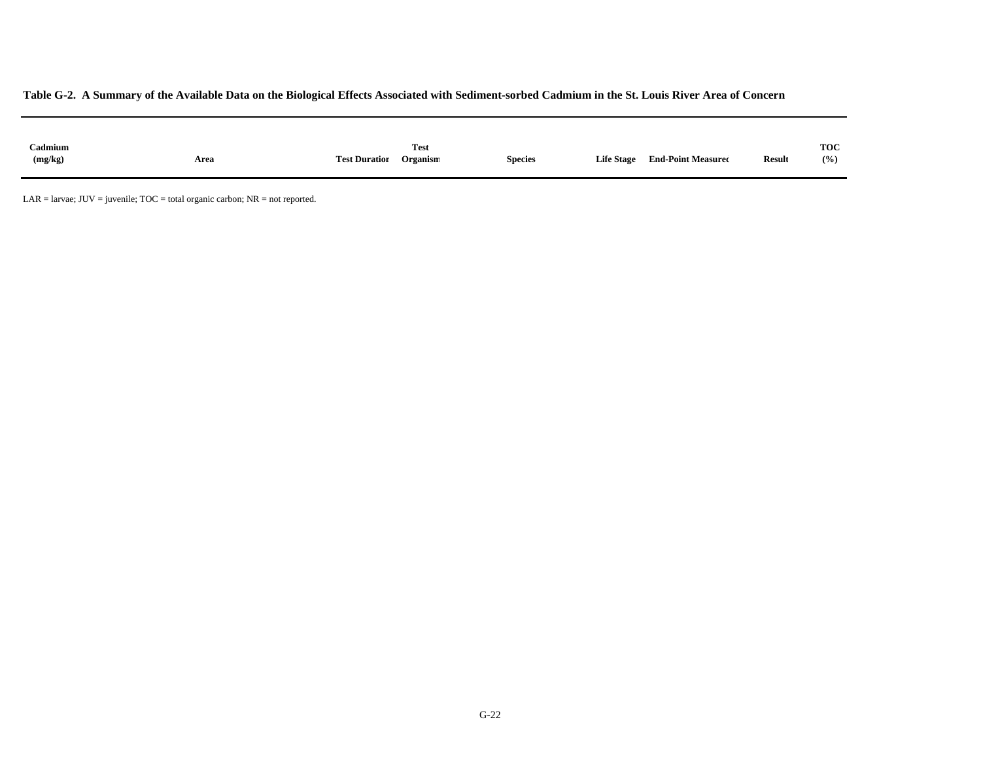| Cadmium<br>(mg/kg) | Area | <b>Test Duration</b> | <b>Test</b><br>$\cdots$<br>Organism | <b>Species</b> | <b>Life Stage</b> | <b>End-Point Measured</b> | <b>Result</b> | <b>TOC</b><br>(% ) |
|--------------------|------|----------------------|-------------------------------------|----------------|-------------------|---------------------------|---------------|--------------------|
|                    |      |                      |                                     |                |                   |                           |               |                    |
|                    |      |                      |                                     |                |                   |                           |               |                    |

 $LAR =$  larvae;  $JUV =$  juvenile;  $TOC =$  total organic carbon;  $NR =$  not reported.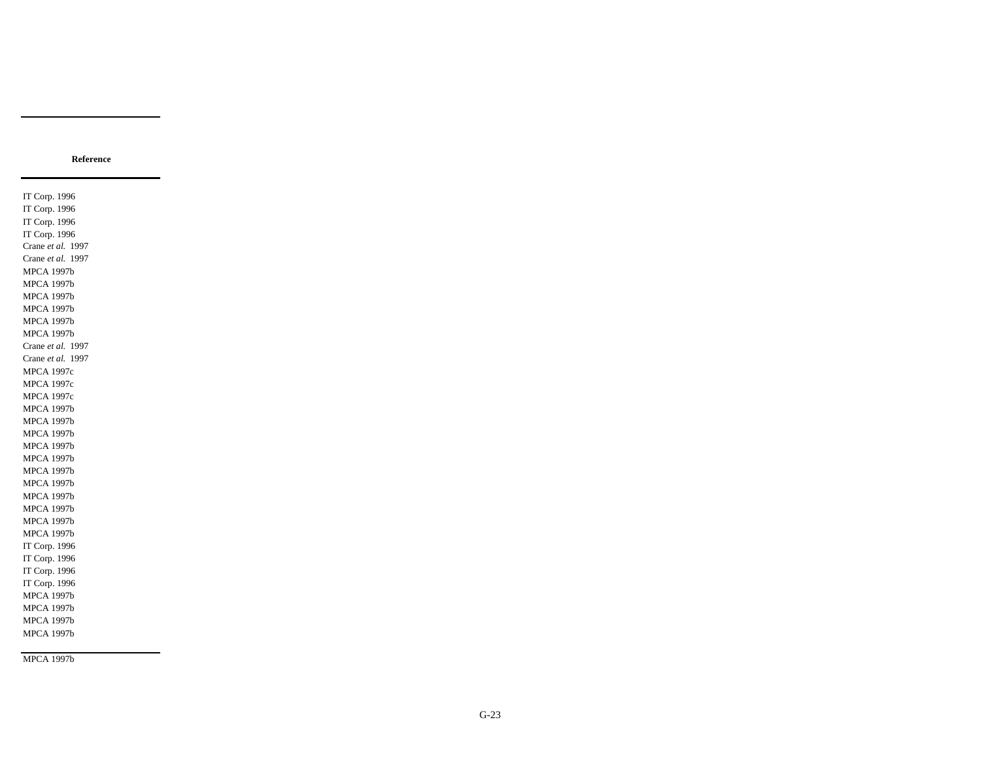IT Corp. 1996 IT Corp. 1996 IT Corp. 1996 IT Corp. 1996 Crane *et al.* 1997 Crane *et al.* 1997 MPCA 1997b MPCA 1997b MPCA 1997b MPCA 1997b MPCA 1997b MPCA 1997b Crane *et al.* 1997 Crane *et al.* 1997 MPCA 1997c MPCA 1997c MPCA 1997c MPCA 1997b MPCA 1997b MPCA 1997b MPCA 1997b MPCA 1997b MPCA 1997b MPCA 1997b MPCA 1997b MPCA 1997b MPCA 1997b MPCA 1997b IT Corp. 1996 IT Corp. 1996 IT Corp. 1996 IT Corp. 1996 MPCA 1997b MPCA 1997b MPCA 1997b MPCA 1997b

MPCA 1997b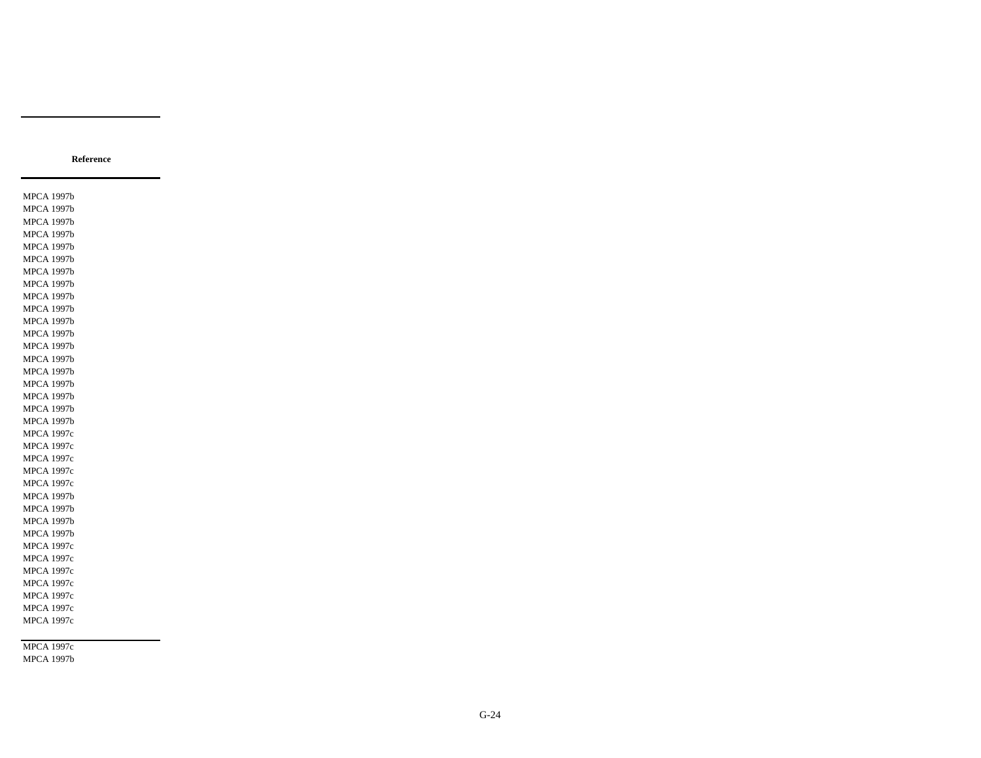MPCA 1997c MPCA 1997b

MPCA 1997b MPCA 1997b MPCA 1997b MPCA 1997b MPCA 1997b MPCA 1997b MPCA 1997b MPCA 1997b MPCA 1997b MPCA 1997b MPCA 1997b MPCA 1997b MPCA 1997b MPCA 1997b MPCA 1997b MPCA 1997b MPCA 1997b MPCA 1997b MPCA 1997b MPCA 1997c MPCA 1997c MPCA 1997c MPCA 1997c MPCA 1997c MPCA 1997b MPCA 1997b MPCA 1997b MPCA 1997b MPCA 1997c MPCA 1997c MPCA 1997c MPCA 1997c MPCA 1997c MPCA 1997c MPCA 1997c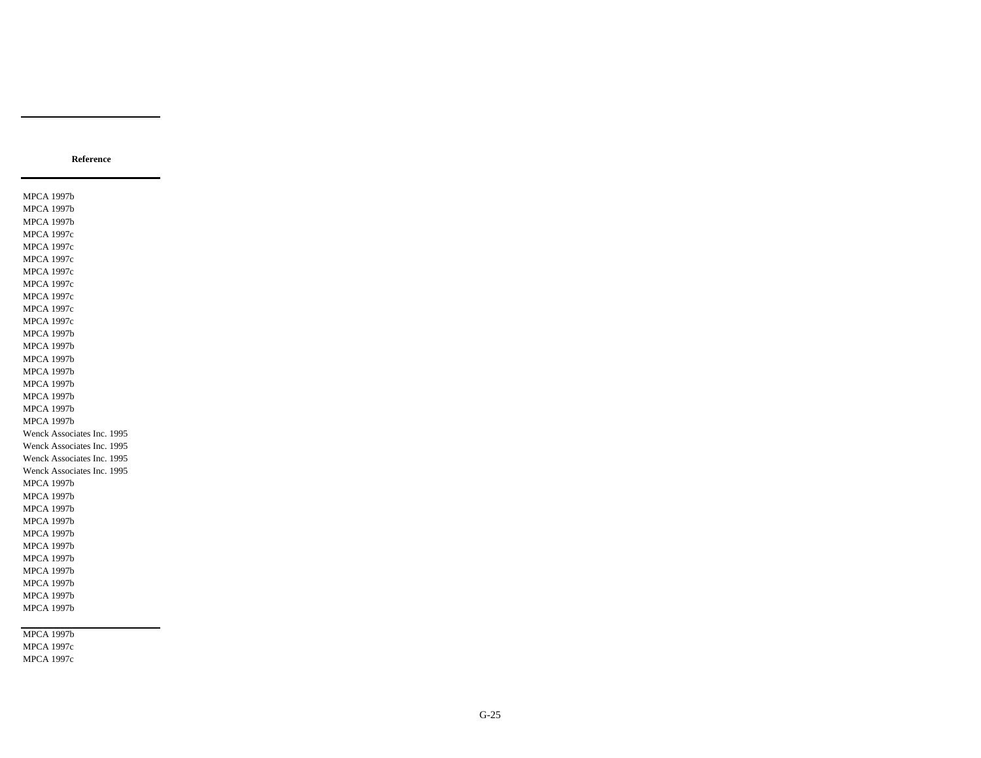MPCA 1997b MPCA 1997c MPCA 1997c

MPCA 1997b MPCA 1997b MPCA 1997b MPCA 1997c MPCA 1997c MPCA 1997c MPCA 1997c MPCA 1997c MPCA 1997c MPCA 1997c MPCA 1997c MPCA 1997b MPCA 1997b MPCA 1997b MPCA 1997b MPCA 1997b MPCA 1997b MPCA 1997b MPCA 1997b Wenck Associates Inc. 1995 Wenck Associates Inc. 1995 Wenck Associates Inc. 1995 Wenck Associates Inc. 1995 MPCA 1997b MPCA 1997b MPCA 1997b MPCA 1997b MPCA 1997b MPCA 1997b MPCA 1997b MPCA 1997b MPCA 1997b MPCA 1997b MPCA 1997b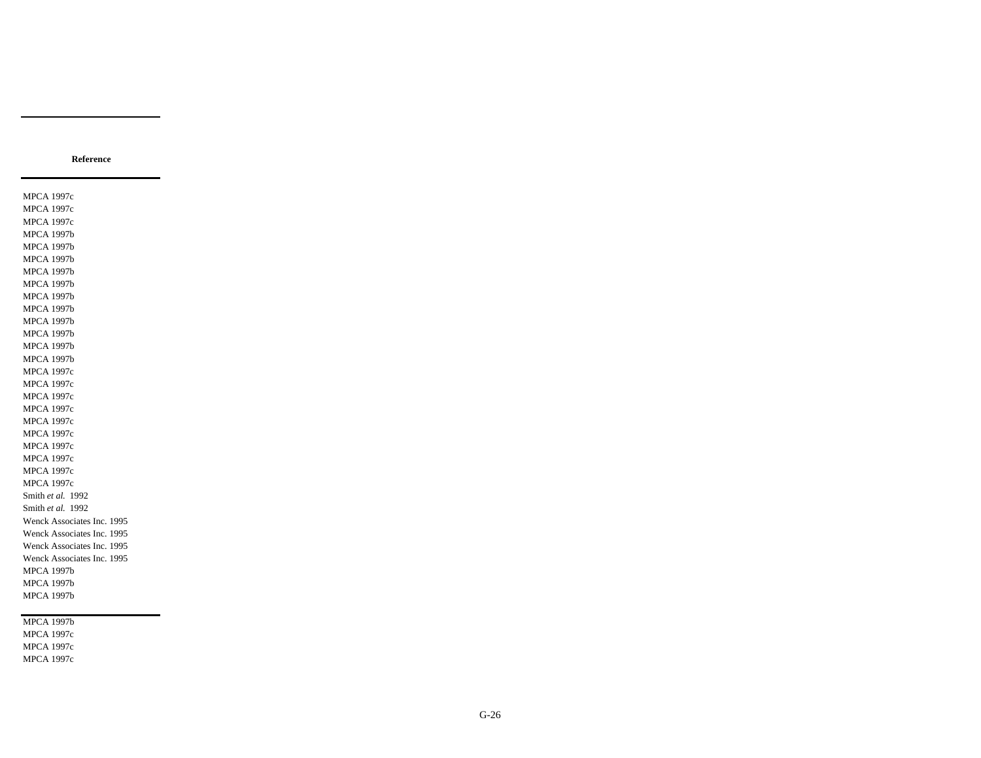MPCA 1997c MPCA 1997c MPCA 1997c MPCA 1997b MPCA 1997b MPCA 1997b MPCA 1997b MPCA 1997b MPCA 1997b MPCA 1997b MPCA 1997b MPCA 1997b MPCA 1997b MPCA 1997b MPCA 1997c MPCA 1997c MPCA 1997c MPCA 1997c MPCA 1997c MPCA 1997c MPCA 1997c MPCA 1997c MPCA 1997c MPCA 1997c Smith *et al.* 1992 Smith *et al.* 1992 Wenck Associates Inc. 1995 Wenck Associates Inc. 1995 Wenck Associates Inc. 1995 Wenck Associates Inc. 1995 MPCA 1997b MPCA 1997b MPCA 1997b

**Reference**

MPCA 1997b MPCA 1997c MPCA 1997c MPCA 1997c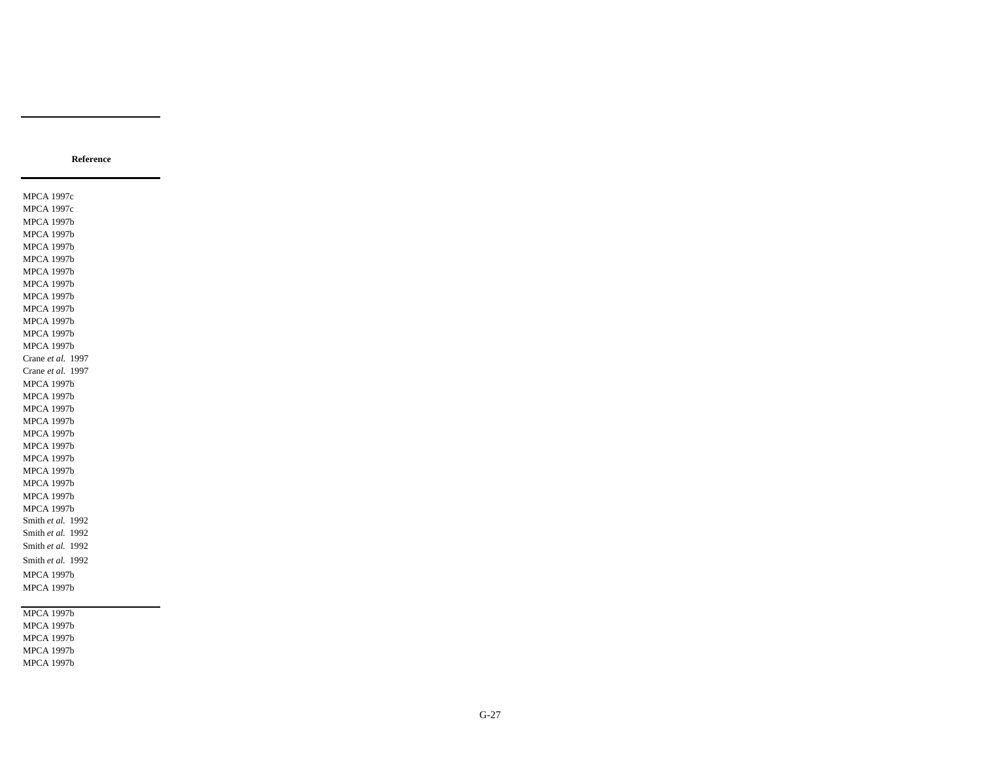MPCA 1997c MPCA 1997c MPCA 1997b MPCA 1997b MPCA 1997b MPCA 1997b MPCA 1997b MPCA 1997b MPCA 1997b MPCA 1997b MPCA 1997b MPCA 1997b MPCA 1997b Crane *et al.* 1997 Crane *et al.* 1997 MPCA 1997b MPCA 1997b MPCA 1997b MPCA 1997b MPCA 1997b MPCA 1997b MPCA 1997b MPCA 1997b MPCA 1997b MPCA 1997b MPCA 1997b Smith *et al.* 1992 Smith *et al.* 1992 Smith *et al.* 1992 Smith *et al.* 1992 MPCA 1997b MPCA 1997b

**Reference**

MPCA 1997b MPCA 1997b MPCA 1997b MPCA 1997b MPCA 1997b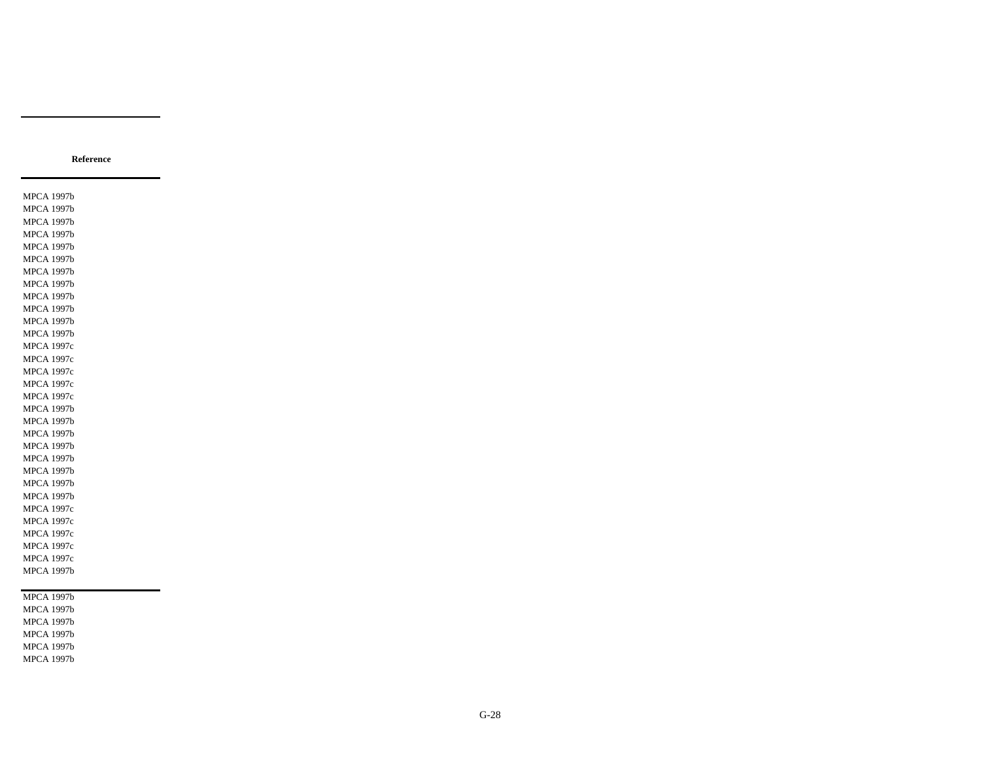MPCA 1997b MPCA 1997b MPCA 1997b MPCA 1997b MPCA 1997b MPCA 1997b MPCA 1997b MPCA 1997b MPCA 1997b MPCA 1997b MPCA 1997b MPCA 1997b MPCA 1997c MPCA 1997c MPCA 1997c MPCA 1997c MPCA 1997c MPCA 1997b MPCA 1997b MPCA 1997b MPCA 1997b MPCA 1997b MPCA 1997b MPCA 1997b MPCA 1997b MPCA 1997c MPCA 1997c MPCA 1997c MPCA 1997c MPCA 1997c MPCA 1997b MPCA 1997b MPCA 1997b MPCA 1997b MPCA 1997b MPCA 1997b

MPCA 1997b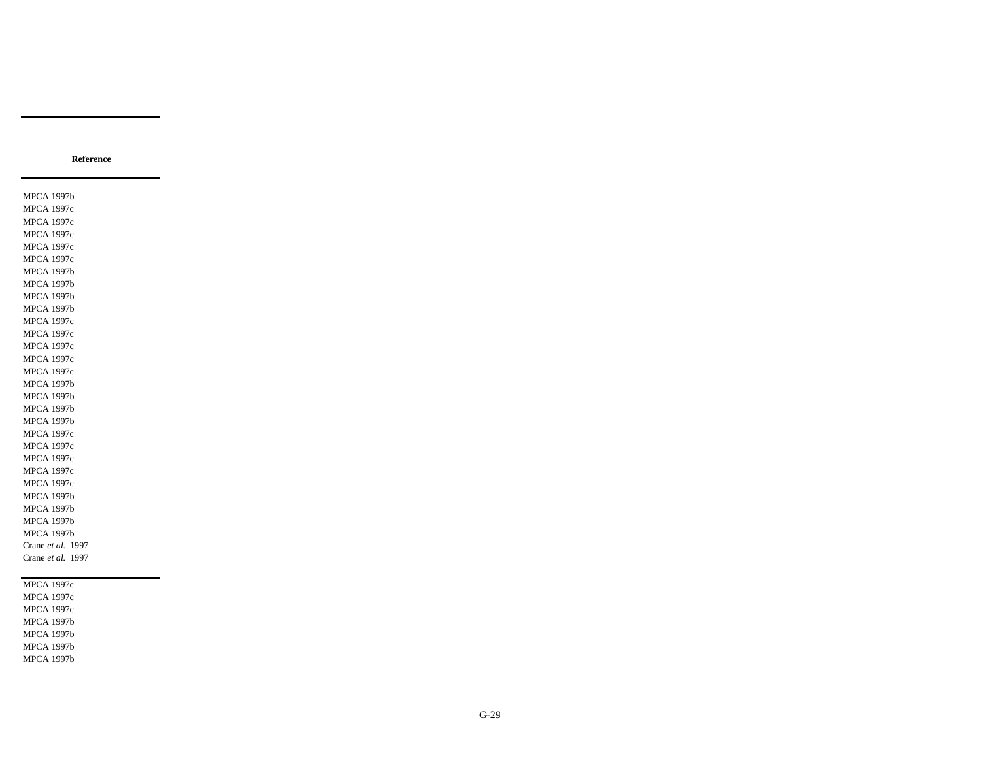MPCA 1997b MPCA 1997c MPCA 1997c MPCA 1997c MPCA 1997c MPCA 1997c MPCA 1997b MPCA 1997b MPCA 1997b MPCA 1997b MPCA 1997c MPCA 1997c MPCA 1997c MPCA 1997c MPCA 1997c MPCA 1997b MPCA 1997b MPCA 1997b MPCA 1997b MPCA 1997c MPCA 1997c MPCA 1997c MPCA 1997c MPCA 1997c MPCA 1997b MPCA 1997b MPCA 1997b MPCA 1997b Crane *et al.* 1997 Crane *et al.* 1997 MPCA 1997c MPCA 1997c MPCA 1997c MPCA 1997b

MPCA 1997b MPCA 1997b MPCA 1997b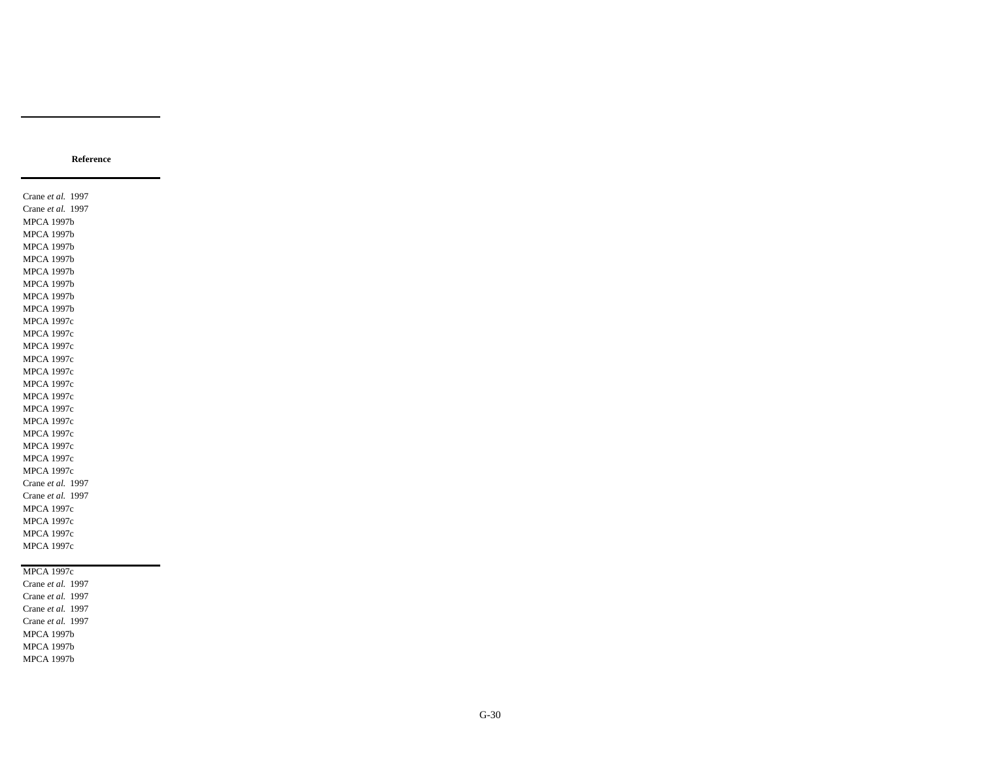Crane *et al.* 1997 Crane *et al.* 1997 MPCA 1997b MPCA 1997b MPCA 1997b MPCA 1997b MPCA 1997b MPCA 1997b MPCA 1997b MPCA 1997b MPCA 1997c MPCA 1997c MPCA 1997c MPCA 1997c MPCA 1997c MPCA 1997c MPCA 1997c MPCA 1997c MPCA 1997c MPCA 1997c MPCA 1997c MPCA 1997c MPCA 1997c Crane *et al.* 1997 Crane *et al.* 1997 MPCA 1997c MPCA 1997c MPCA 1997c MPCA 1997c

#### MPCA 1997c

Crane *et al.* 1997 Crane *et al.* 1997 Crane *et al.* 1997 Crane *et al.* 1997 MPCA 1997b MPCA 1997b MPCA 1997b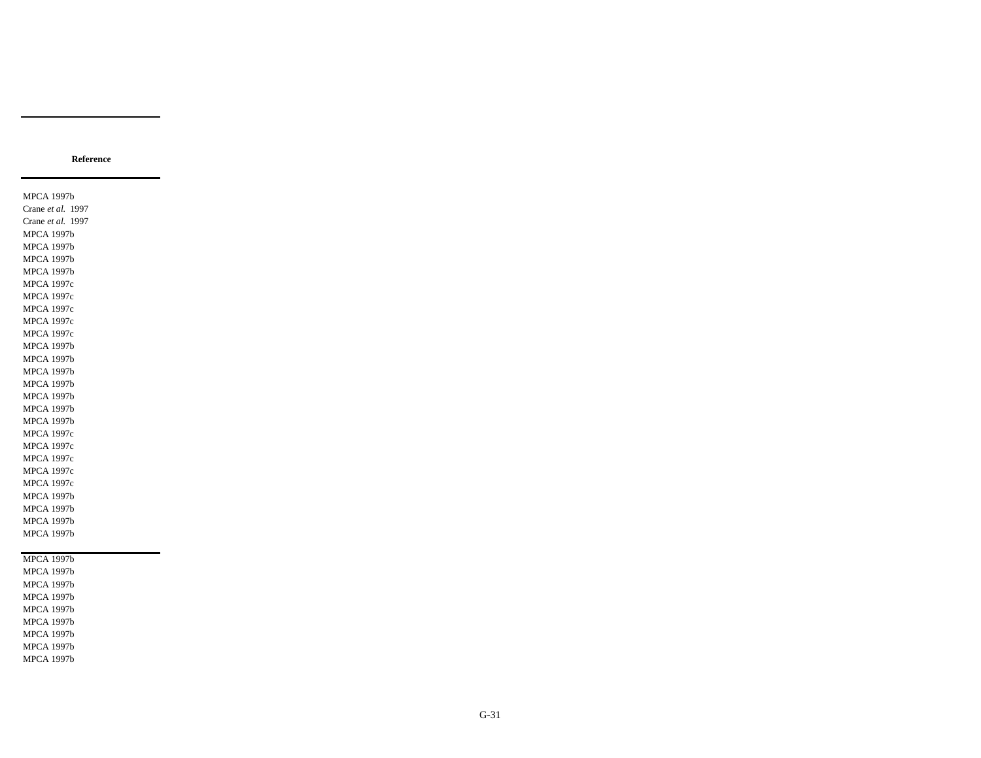MPCA 1997b Crane *et al.* 1997 Crane *et al.* 1997 MPCA 1997b MPCA 1997b MPCA 1997b MPCA 1997b MPCA 1997c MPCA 1997c MPCA 1997c MPCA 1997c MPCA 1997c MPCA 1997b MPCA 1997b MPCA 1997b MPCA 1997b MPCA 1997b MPCA 1997b MPCA 1997b MPCA 1997c MPCA 1997c MPCA 1997c MPCA 1997c MPCA 1997c MPCA 1997b MPCA 1997b MPCA 1997b MPCA 1997b MPCA 1997b MPCA 1997b MPCA 1997b MPCA 1997b MPCA 1997b MPCA 1997b

MPCA 1997b MPCA 1997b MPCA 1997b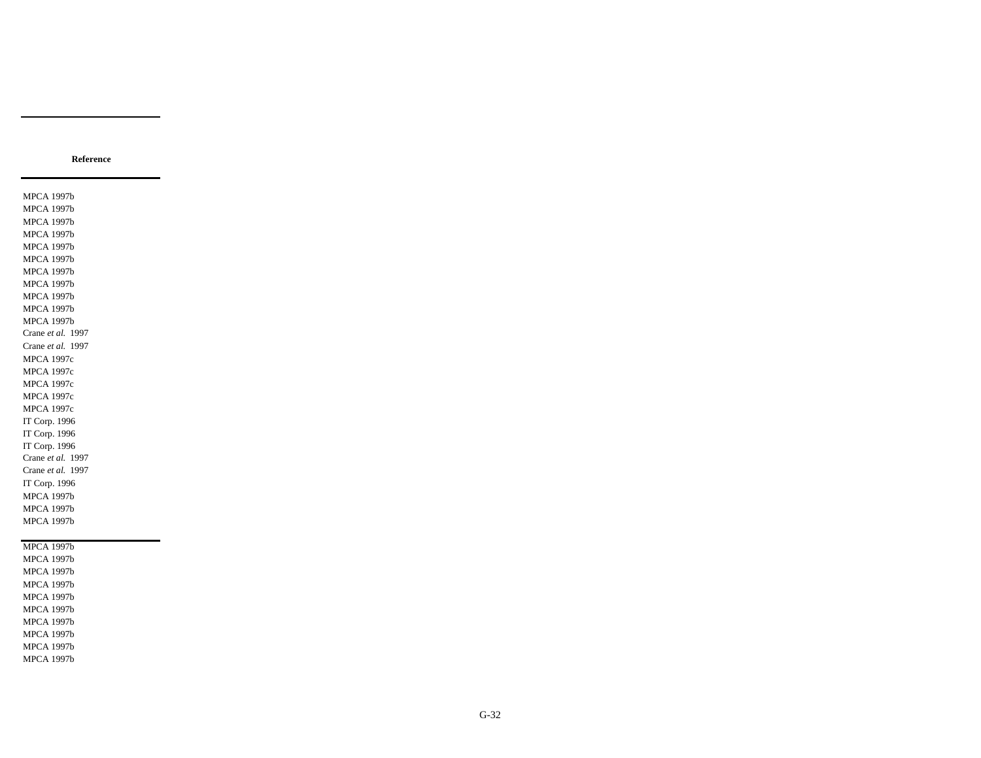MPCA 1997b MPCA 1997b MPCA 1997b MPCA 1997b MPCA 1997b MPCA 1997b MPCA 1997b MPCA 1997b MPCA 1997b MPCA 1997b MPCA 1997b Crane *et al.* 1997 Crane *et al.* 1997 MPCA 1997c MPCA 1997c MPCA 1997c MPCA 1997c MPCA 1997c IT Corp. 1996 IT Corp. 1996 IT Corp. 1996 Crane *et al.* 1997 Crane *et al.* 1997 IT Corp. 1996 MPCA 1997b MPCA 1997b MPCA 1997b MPCA 1997b MPCA 1997b

MPCA 1997b MPCA 1997b MPCA 1997b MPCA 1997b MPCA 1997b MPCA 1997b MPCA 1997b MPCA 1997b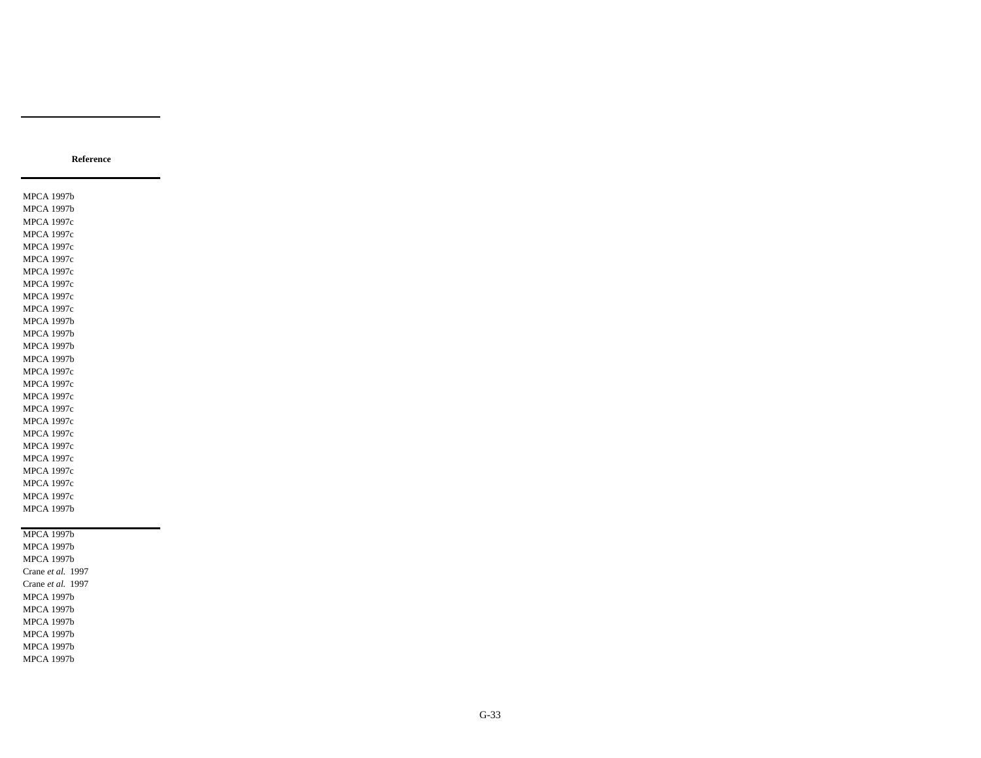MPCA 1997b MPCA 1997b MPCA 1997c MPCA 1997c MPCA 1997c MPCA 1997c MPCA 1997c MPCA 1997c MPCA 1997c MPCA 1997c MPCA 1997b MPCA 1997b MPCA 1997b MPCA 1997b MPCA 1997c MPCA 1997c MPCA 1997c MPCA 1997c MPCA 1997c MPCA 1997c MPCA 1997c MPCA 1997c MPCA 1997c MPCA 1997c MPCA 1997c MPCA 1997b MPCA 1997b MPCA 1997b MPCA 1997b Crane *et al.* 1997 Crane *et al.* 1997 MPCA 1997b MPCA 1997b

MPCA 1997b MPCA 1997b MPCA 1997b MPCA 1997b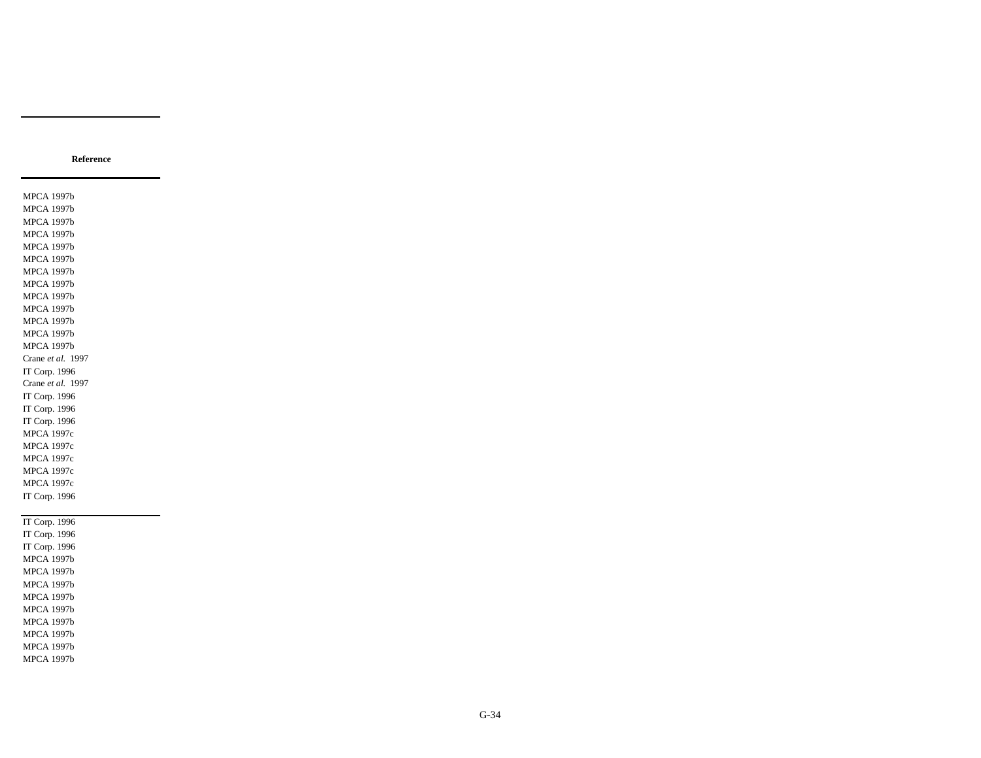MPCA 1997b MPCA 1997b MPCA 1997b MPCA 1997b MPCA 1997b MPCA 1997b MPCA 1997b MPCA 1997b MPCA 1997b MPCA 1997b MPCA 1997b MPCA 1997b MPCA 1997b Crane *et al.* 1997 IT Corp. 1996 Crane *et al.* 1997 IT Corp. 1996 IT Corp. 1996 IT Corp. 1996 MPCA 1997c MPCA 1997c MPCA 1997c MPCA 1997c MPCA 1997c IT Corp. 1996 IT Corp. 1996 IT Corp. 1996 IT Corp. 1996 MPCA 1997b

MPCA 1997b MPCA 1997b MPCA 1997b MPCA 1997b MPCA 1997b MPCA 1997b MPCA 1997b MPCA 1997b

G-34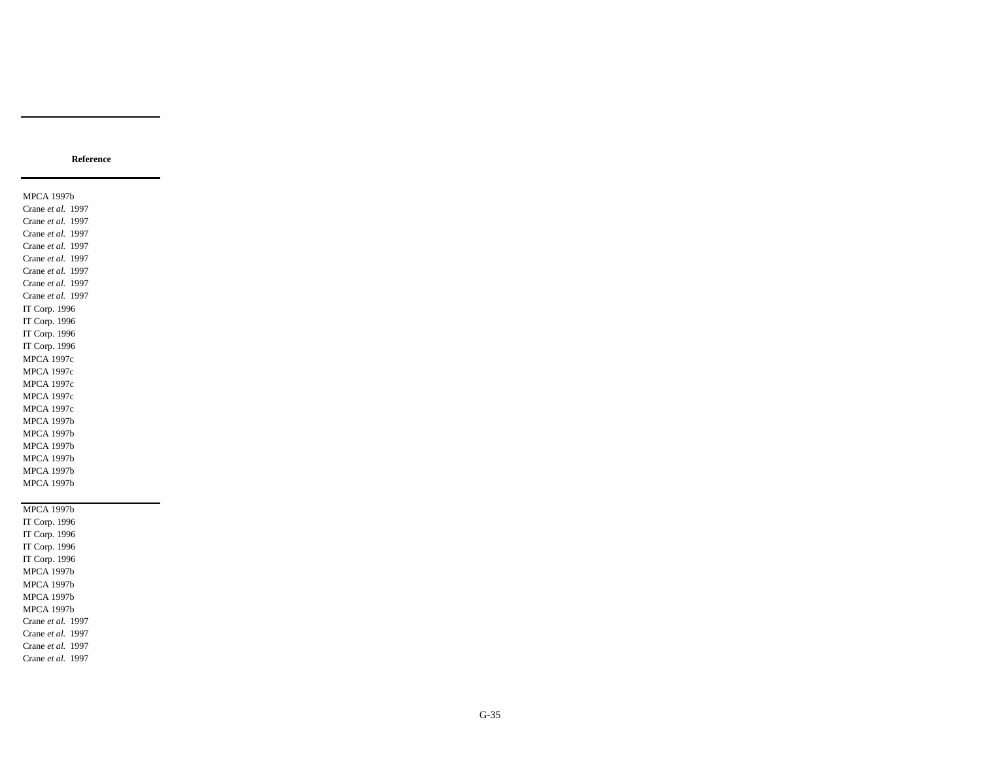MPCA 1997b Crane *et al.* 1997 Crane *et al.* 1997 Crane *et al.* 1997 Crane *et al.* 1997 Crane *et al.* 1997 Crane *et al.* 1997 Crane *et al.* 1997 Crane *et al.* 1997 IT Corp. 1996 IT Corp. 1996 IT Corp. 1996 IT Corp. 1996 MPCA 1997c MPCA 1997c MPCA 1997c MPCA 1997c MPCA 1997c MPCA 1997b MPCA 1997b MPCA 1997b MPCA 1997b MPCA 1997b MPCA 1997b

MPCA 1997b IT Corp. 1996 IT Corp. 1996 IT Corp. 1996 IT Corp. 1996 MPCA 1997b MPCA 1997b MPCA 1997b MPCA 1997b Crane *et al.* 1997 Crane *et al.* 1997 Crane *et al.* 1997 Crane *et al.* 1997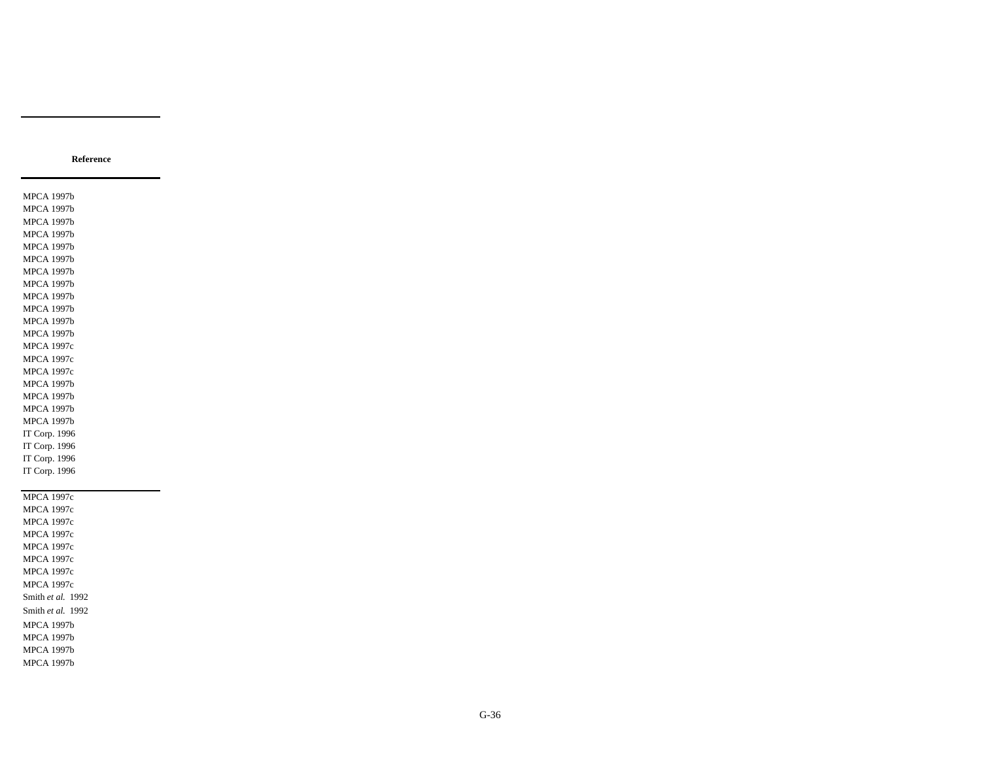IT Corp. 1996 IT Corp. 1996 IT Corp. 1996 MPCA 1997c MPCA 1997c MPCA 1997c MPCA 1997c MPCA 1997c MPCA 1997c MPCA 1997c MPCA 1997c Smith *et al.* 1992 Smith *et al.* 1992 MPCA 1997b MPCA 1997b MPCA 1997b MPCA 1997b

MPCA 1997b MPCA 1997b

MPCA 1997b MPCA 1997b MPCA 1997b MPCA 1997b MPCA 1997b MPCA 1997b MPCA 1997b MPCA 1997b MPCA 1997b MPCA 1997b MPCA 1997c MPCA 1997c MPCA 1997c MPCA 1997b MPCA 1997b MPCA 1997b MPCA 1997b IT Corp. 1996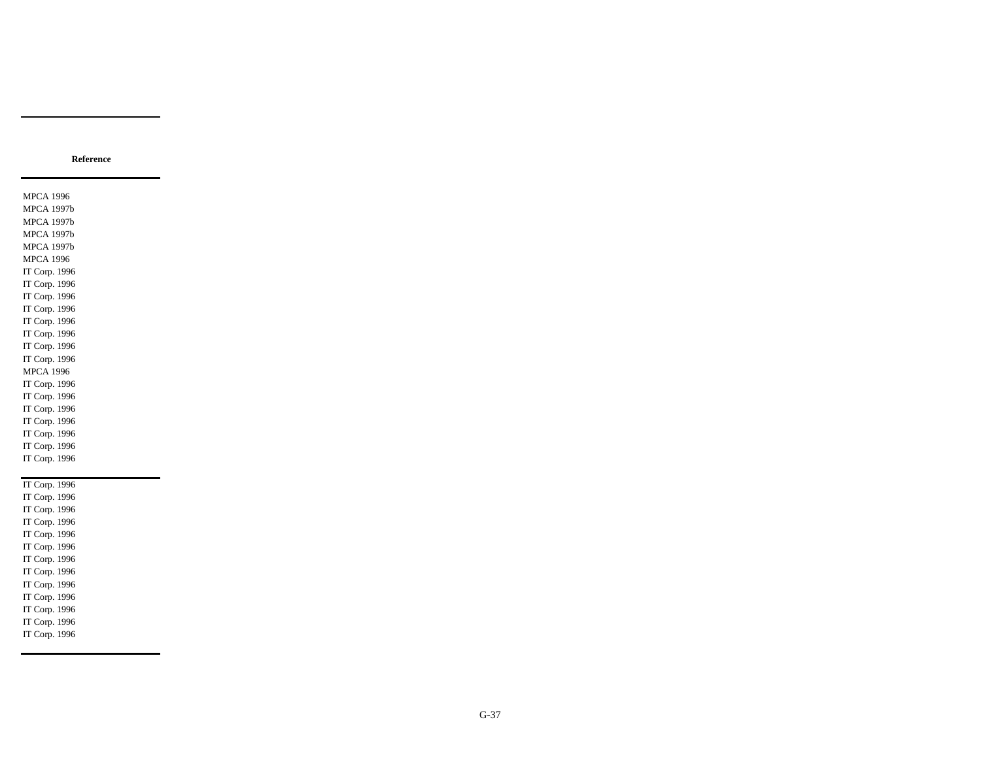MPCA 1996 MPCA 1997b MPCA 1997b MPCA 1997b MPCA 1997b MPCA 1996 IT Corp. 1996 IT Corp. 1996 IT Corp. 1996 IT Corp. 1996 IT Corp. 1996 IT Corp. 1996 IT Corp. 1996 IT Corp. 1996 MPCA 1996 IT Corp. 1996 IT Corp. 1996 IT Corp. 1996 IT Corp. 1996 IT Corp. 1996 IT Corp. 1996 IT Corp. 1996

IT Corp. 1996 IT Corp. 1996 IT Corp. 1996 IT Corp. 1996 IT Corp. 1996 IT Corp. 1996 IT Corp. 1996 IT Corp. 1996 IT Corp. 1996 IT Corp. 1996 IT Corp. 1996 IT Corp. 1996 IT Corp. 1996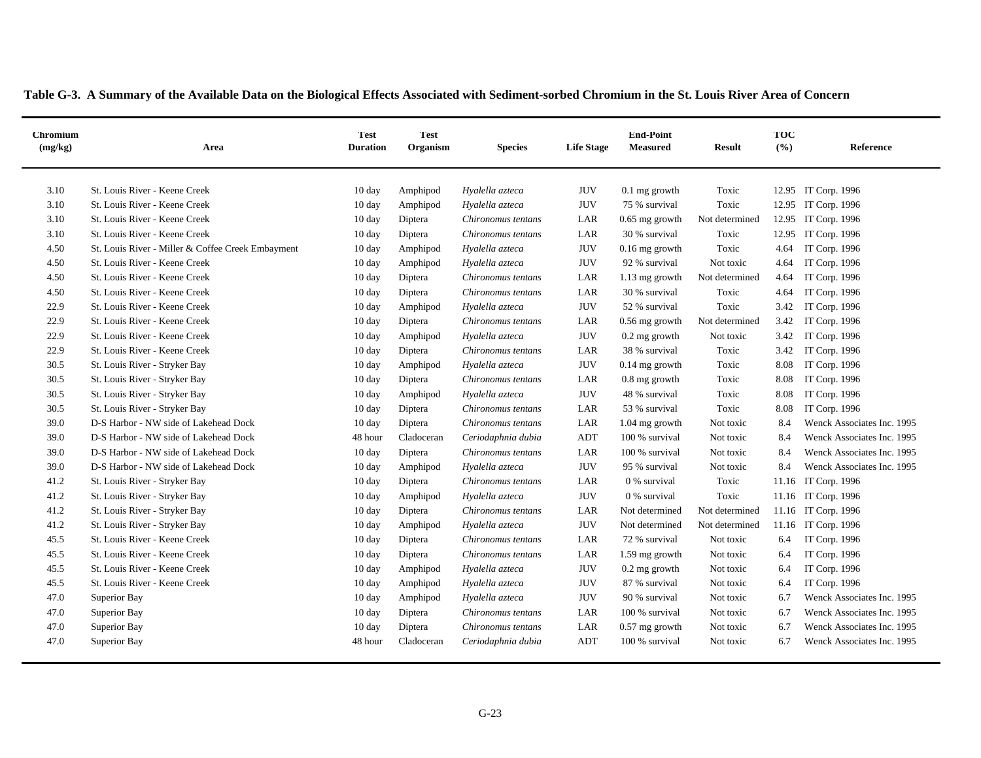|  |  |  |  |  | Table G-3. A Summary of the Available Data on the Biological Effects Associated with Sediment-sorbed Chromium in the St. Louis River Area of Concern |  |  |  |
|--|--|--|--|--|------------------------------------------------------------------------------------------------------------------------------------------------------|--|--|--|
|  |  |  |  |  |                                                                                                                                                      |  |  |  |

| <b>Chromium</b><br>(mg/kg) | Area                                              | <b>Test</b><br><b>Duration</b> | Test<br>Organism | <b>Species</b>     | <b>Life Stage</b> | <b>End-Point</b><br><b>Measured</b> | <b>Result</b>  | TOC<br>(%) | <b>Reference</b>           |
|----------------------------|---------------------------------------------------|--------------------------------|------------------|--------------------|-------------------|-------------------------------------|----------------|------------|----------------------------|
| 3.10                       | St. Louis River - Keene Creek                     | 10 day                         | Amphipod         | Hyalella azteca    | <b>JUV</b>        | $0.1$ mg growth                     | Toxic          |            | 12.95 IT Corp. 1996        |
| 3.10                       | St. Louis River - Keene Creek                     | 10 day                         | Amphipod         | Hyalella azteca    | $\rm JUV$         | 75 % survival                       | Toxic          | 12.95      | IT Corp. 1996              |
| 3.10                       | St. Louis River - Keene Creek                     | 10 day                         | Diptera          | Chironomus tentans | LAR               | $0.65$ mg growth                    | Not determined | 12.95      | IT Corp. 1996              |
| 3.10                       | St. Louis River - Keene Creek                     | $10 \text{ day}$               | Diptera          | Chironomus tentans | LAR               | 30 % survival                       | Toxic          |            | 12.95 IT Corp. 1996        |
| 4.50                       | St. Louis River - Miller & Coffee Creek Embayment | $10 \text{ day}$               | Amphipod         | Hyalella azteca    | <b>JUV</b>        | $0.16$ mg growth                    | Toxic          | 4.64       | IT Corp. 1996              |
| 4.50                       | St. Louis River - Keene Creek                     | $10 \text{ day}$               | Amphipod         | Hyalella azteca    | <b>JUV</b>        | 92 % survival                       | Not toxic      | 4.64       | IT Corp. 1996              |
| 4.50                       | St. Louis River - Keene Creek                     | 10 day                         | Diptera          | Chironomus tentans | LAR               | 1.13 mg growth                      | Not determined | 4.64       | IT Corp. 1996              |
| 4.50                       | St. Louis River - Keene Creek                     | $10 \text{ day}$               | Diptera          | Chironomus tentans | LAR               | 30 % survival                       | Toxic          | 4.64       | IT Corp. 1996              |
| 22.9                       | St. Louis River - Keene Creek                     | 10 day                         | Amphipod         | Hyalella azteca    | <b>JUV</b>        | 52 % survival                       | Toxic          | 3.42       | IT Corp. 1996              |
| 22.9                       | St. Louis River - Keene Creek                     | $10 \text{ day}$               | Diptera          | Chironomus tentans | LAR               | 0.56 mg growth                      | Not determined | 3.42       | IT Corp. 1996              |
| 22.9                       | St. Louis River - Keene Creek                     | 10 day                         | Amphipod         | Hyalella azteca    | <b>JUV</b>        | $0.2$ mg growth                     | Not toxic      | 3.42       | IT Corp. 1996              |
| 22.9                       | St. Louis River - Keene Creek                     | 10 day                         | Diptera          | Chironomus tentans | LAR               | 38 % survival                       | Toxic          | 3.42       | IT Corp. 1996              |
| 30.5                       | St. Louis River - Stryker Bay                     | $10 \text{ day}$               | Amphipod         | Hyalella azteca    | <b>JUV</b>        | $0.14$ mg growth                    | Toxic          | 8.08       | IT Corp. 1996              |
| 30.5                       | St. Louis River - Stryker Bay                     | 10 day                         | Diptera          | Chironomus tentans | LAR               | $0.8$ mg growth                     | Toxic          | 8.08       | IT Corp. 1996              |
| 30.5                       | St. Louis River - Stryker Bay                     | 10 day                         | Amphipod         | Hyalella azteca    | <b>JUV</b>        | 48 % survival                       | Toxic          | 8.08       | IT Corp. 1996              |
| 30.5                       | St. Louis River - Stryker Bay                     | 10 day                         | Diptera          | Chironomus tentans | LAR               | 53 % survival                       | Toxic          | 8.08       | IT Corp. 1996              |
| 39.0                       | D-S Harbor - NW side of Lakehead Dock             | 10 day                         | Diptera          | Chironomus tentans | LAR               | $1.04$ mg growth                    | Not toxic      | 8.4        | Wenck Associates Inc. 1995 |
| 39.0                       | D-S Harbor - NW side of Lakehead Dock             | 48 hour                        | Cladoceran       | Ceriodaphnia dubia | ADT               | 100 % survival                      | Not toxic      | 8.4        | Wenck Associates Inc. 1995 |
| 39.0                       | D-S Harbor - NW side of Lakehead Dock             | 10 day                         | Diptera          | Chironomus tentans | LAR               | 100 % survival                      | Not toxic      | 8.4        | Wenck Associates Inc. 1995 |
| 39.0                       | D-S Harbor - NW side of Lakehead Dock             | $10 \text{ day}$               | Amphipod         | Hyalella azteca    | <b>JUV</b>        | 95 % survival                       | Not toxic      | 8.4        | Wenck Associates Inc. 1995 |
| 41.2                       | St. Louis River - Stryker Bay                     | 10 day                         | Diptera          | Chironomus tentans | LAR               | 0 % survival                        | Toxic          |            | 11.16 IT Corp. 1996        |
| 41.2                       | St. Louis River - Stryker Bay                     | 10 day                         | Amphipod         | Hyalella azteca    | <b>JUV</b>        | 0 % survival                        | Toxic          |            | 11.16 IT Corp. 1996        |
| 41.2                       | St. Louis River - Stryker Bay                     | 10 day                         | Diptera          | Chironomus tentans | LAR               | Not determined                      | Not determined |            | 11.16 IT Corp. 1996        |
| 41.2                       | St. Louis River - Stryker Bay                     | $10 \text{ day}$               | Amphipod         | Hyalella azteca    | $\rm JUV$         | Not determined                      | Not determined |            | 11.16 IT Corp. 1996        |
| 45.5                       | St. Louis River - Keene Creek                     | 10 day                         | Diptera          | Chironomus tentans | LAR               | 72 % survival                       | Not toxic      | 6.4        | IT Corp. 1996              |
| 45.5                       | St. Louis River - Keene Creek                     | 10 day                         | Diptera          | Chironomus tentans | LAR               | 1.59 mg growth                      | Not toxic      | 6.4        | IT Corp. 1996              |
| 45.5                       | St. Louis River - Keene Creek                     | 10 day                         | Amphipod         | Hyalella azteca    | <b>JUV</b>        | $0.2 \text{ mg}$ growth             | Not toxic      | 6.4        | IT Corp. 1996              |
| 45.5                       | St. Louis River - Keene Creek                     | 10 day                         | Amphipod         | Hyalella azteca    | $\rm JUV$         | 87 % survival                       | Not toxic      | 6.4        | IT Corp. 1996              |
| 47.0                       | Superior Bay                                      | 10 day                         | Amphipod         | Hyalella azteca    | <b>JUV</b>        | 90 % survival                       | Not toxic      | 6.7        | Wenck Associates Inc. 1995 |
| 47.0                       | Superior Bay                                      | 10 day                         | Diptera          | Chironomus tentans | LAR               | 100 % survival                      | Not toxic      | 6.7        | Wenck Associates Inc. 1995 |
| 47.0                       | Superior Bay                                      | 10 day                         | Diptera          | Chironomus tentans | LAR               | 0.57 mg growth                      | Not toxic      | 6.7        | Wenck Associates Inc. 1995 |
| 47.0                       | Superior Bay                                      | 48 hour                        | Cladoceran       | Ceriodaphnia dubia | ADT               | 100 % survival                      | Not toxic      | 6.7        | Wenck Associates Inc. 1995 |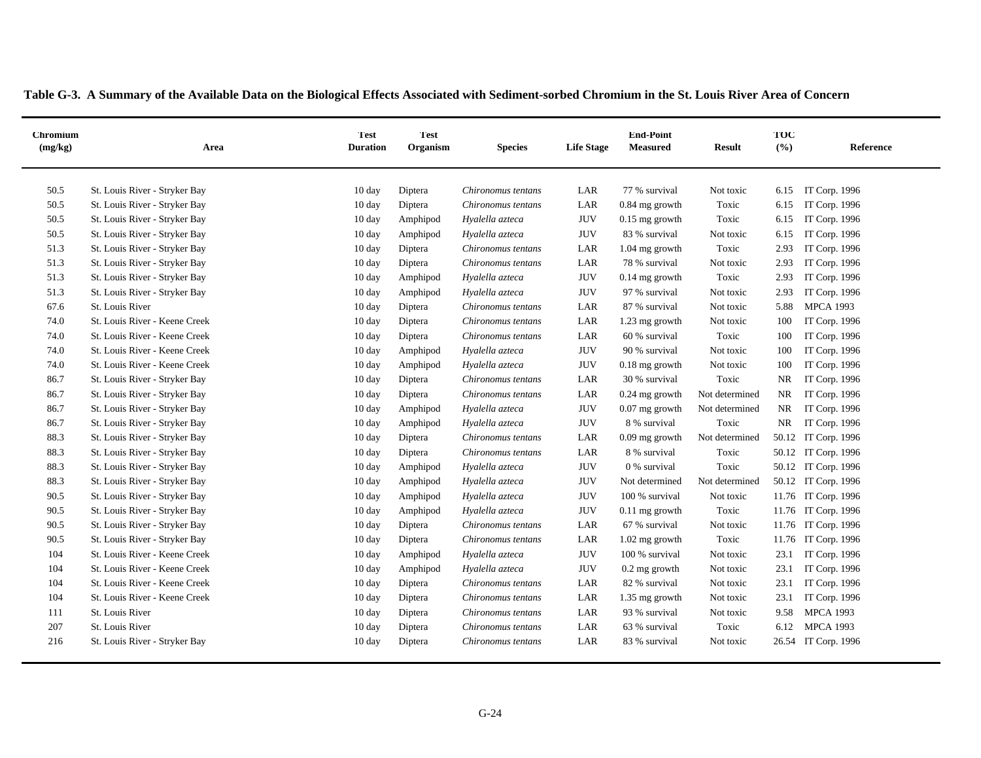|  |  |  |  |  | Table G-3. A Summary of the Available Data on the Biological Effects Associated with Sediment-sorbed Chromium in the St. Louis River Area of Concern |
|--|--|--|--|--|------------------------------------------------------------------------------------------------------------------------------------------------------|
|--|--|--|--|--|------------------------------------------------------------------------------------------------------------------------------------------------------|

| <b>Chromium</b><br>(mg/kg) | Area                          | Test <sup>-</sup><br><b>Duration</b> | <b>Test</b><br>Organism | <b>Species</b>     | <b>Life Stage</b> | <b>End-Point</b><br><b>Measured</b> | <b>Result</b>  | TOC<br>(%) | Reference           |
|----------------------------|-------------------------------|--------------------------------------|-------------------------|--------------------|-------------------|-------------------------------------|----------------|------------|---------------------|
| 50.5                       | St. Louis River - Stryker Bay | 10 day                               | Diptera                 | Chironomus tentans | LAR               | 77 % survival                       | Not toxic      | 6.15       | IT Corp. 1996       |
| 50.5                       | St. Louis River - Stryker Bay | $10 \text{ day}$                     | Diptera                 | Chironomus tentans | LAR               | $0.84$ mg growth                    | Toxic          | 6.15       | IT Corp. 1996       |
| 50.5                       | St. Louis River - Stryker Bay | $10 \text{ day}$                     | Amphipod                | Hyalella azteca    | <b>JUV</b>        | $0.15$ mg growth                    | Toxic          | 6.15       | IT Corp. 1996       |
| 50.5                       | St. Louis River - Stryker Bay | $10 \text{ day}$                     | Amphipod                | Hyalella azteca    | <b>JUV</b>        | 83 % survival                       | Not toxic      | 6.15       | IT Corp. 1996       |
| 51.3                       | St. Louis River - Stryker Bay | $10 \text{ day}$                     | Diptera                 | Chironomus tentans | LAR               | $1.04$ mg growth                    | Toxic          | 2.93       | IT Corp. 1996       |
| 51.3                       | St. Louis River - Stryker Bay | $10 \text{ day}$                     | Diptera                 | Chironomus tentans | LAR               | 78 % survival                       | Not toxic      | 2.93       | IT Corp. 1996       |
| 51.3                       | St. Louis River - Stryker Bay | $10 \text{ day}$                     | Amphipod                | Hyalella azteca    | <b>JUV</b>        | $0.14$ mg growth                    | Toxic          | 2.93       | IT Corp. 1996       |
| 51.3                       | St. Louis River - Stryker Bay | $10 \text{ day}$                     | Amphipod                | Hyalella azteca    | <b>JUV</b>        | 97 % survival                       | Not toxic      | 2.93       | IT Corp. 1996       |
| 67.6                       | St. Louis River               | 10 day                               | Diptera                 | Chironomus tentans | LAR               | 87 % survival                       | Not toxic      | 5.88       | <b>MPCA 1993</b>    |
| 74.0                       | St. Louis River - Keene Creek | 10 day                               | Diptera                 | Chironomus tentans | LAR               | 1.23 mg growth                      | Not toxic      | 100        | IT Corp. 1996       |
| 74.0                       | St. Louis River - Keene Creek | 10 day                               | Diptera                 | Chironomus tentans | LAR               | 60 % survival                       | Toxic          | 100        | IT Corp. 1996       |
| 74.0                       | St. Louis River - Keene Creek | 10 day                               | Amphipod                | Hyalella azteca    | $\rm JUV$         | 90 % survival                       | Not toxic      | 100        | IT Corp. 1996       |
| 74.0                       | St. Louis River - Keene Creek | $10 \text{ day}$                     | Amphipod                | Hyalella azteca    | <b>JUV</b>        | $0.18$ mg growth                    | Not toxic      | 100        | IT Corp. 1996       |
| 86.7                       | St. Louis River - Stryker Bay | $10 \text{ day}$                     | Diptera                 | Chironomus tentans | LAR               | 30 % survival                       | Toxic          | NR         | IT Corp. 1996       |
| 86.7                       | St. Louis River - Stryker Bay | $10 \text{ day}$                     | Diptera                 | Chironomus tentans | LAR               | $0.24$ mg growth                    | Not determined | NR         | IT Corp. 1996       |
| 86.7                       | St. Louis River - Stryker Bay | $10 \text{ day}$                     | Amphipod                | Hyalella azteca    | <b>JUV</b>        | $0.07$ mg growth                    | Not determined | NR         | IT Corp. 1996       |
| 86.7                       | St. Louis River - Stryker Bay | $10 \text{ day}$                     | Amphipod                | Hyalella azteca    | <b>JUV</b>        | 8 % survival                        | Toxic          | NR         | IT Corp. 1996       |
| 88.3                       | St. Louis River - Stryker Bay | 10 day                               | Diptera                 | Chironomus tentans | LAR               | $0.09$ mg growth                    | Not determined |            | 50.12 IT Corp. 1996 |
| 88.3                       | St. Louis River - Stryker Bay | 10 day                               | Diptera                 | Chironomus tentans | LAR               | 8 % survival                        | Toxic          |            | 50.12 IT Corp. 1996 |
| 88.3                       | St. Louis River - Stryker Bay | $10 \text{ day}$                     | Amphipod                | Hyalella azteca    | <b>JUV</b>        | 0 % survival                        | Toxic          |            | 50.12 IT Corp. 1996 |
| 88.3                       | St. Louis River - Stryker Bay | 10 day                               | Amphipod                | Hyalella azteca    | <b>JUV</b>        | Not determined                      | Not determined |            | 50.12 IT Corp. 1996 |
| 90.5                       | St. Louis River - Stryker Bay | 10 day                               | Amphipod                | Hyalella azteca    | <b>JUV</b>        | 100 % survival                      | Not toxic      |            | 11.76 IT Corp. 1996 |
| 90.5                       | St. Louis River - Stryker Bay | 10 day                               | Amphipod                | Hyalella azteca    | <b>JUV</b>        | $0.11$ mg growth                    | Toxic          | 11.76      | IT Corp. 1996       |
| 90.5                       | St. Louis River - Stryker Bay | 10 day                               | Diptera                 | Chironomus tentans | LAR               | 67 % survival                       | Not toxic      | 11.76      | IT Corp. 1996       |
| 90.5                       | St. Louis River - Stryker Bay | 10 day                               | Diptera                 | Chironomus tentans | LAR               | $1.02$ mg growth                    | Toxic          | 11.76      | IT Corp. 1996       |
| 104                        | St. Louis River - Keene Creek | 10 day                               | Amphipod                | Hyalella azteca    | <b>JUV</b>        | 100 % survival                      | Not toxic      | 23.1       | IT Corp. 1996       |
| 104                        | St. Louis River - Keene Creek | 10 day                               | Amphipod                | Hyalella azteca    | <b>JUV</b>        | $0.2$ mg growth                     | Not toxic      | 23.1       | IT Corp. 1996       |
| 104                        | St. Louis River - Keene Creek | 10 day                               | Diptera                 | Chironomus tentans | LAR               | 82 % survival                       | Not toxic      | 23.1       | IT Corp. 1996       |
| 104                        | St. Louis River - Keene Creek | 10 day                               | Diptera                 | Chironomus tentans | LAR               | 1.35 mg growth                      | Not toxic      | 23.1       | IT Corp. 1996       |
| 111                        | St. Louis River               | 10 day                               | Diptera                 | Chironomus tentans | LAR               | 93 % survival                       | Not toxic      | 9.58       | <b>MPCA 1993</b>    |
| 207                        | St. Louis River               | 10 day                               | Diptera                 | Chironomus tentans | LAR               | 63 % survival                       | Toxic          | 6.12       | <b>MPCA 1993</b>    |
| 216                        | St. Louis River - Stryker Bay | 10 day                               | Diptera                 | Chironomus tentans | LAR               | 83 % survival                       | Not toxic      |            | 26.54 IT Corp. 1996 |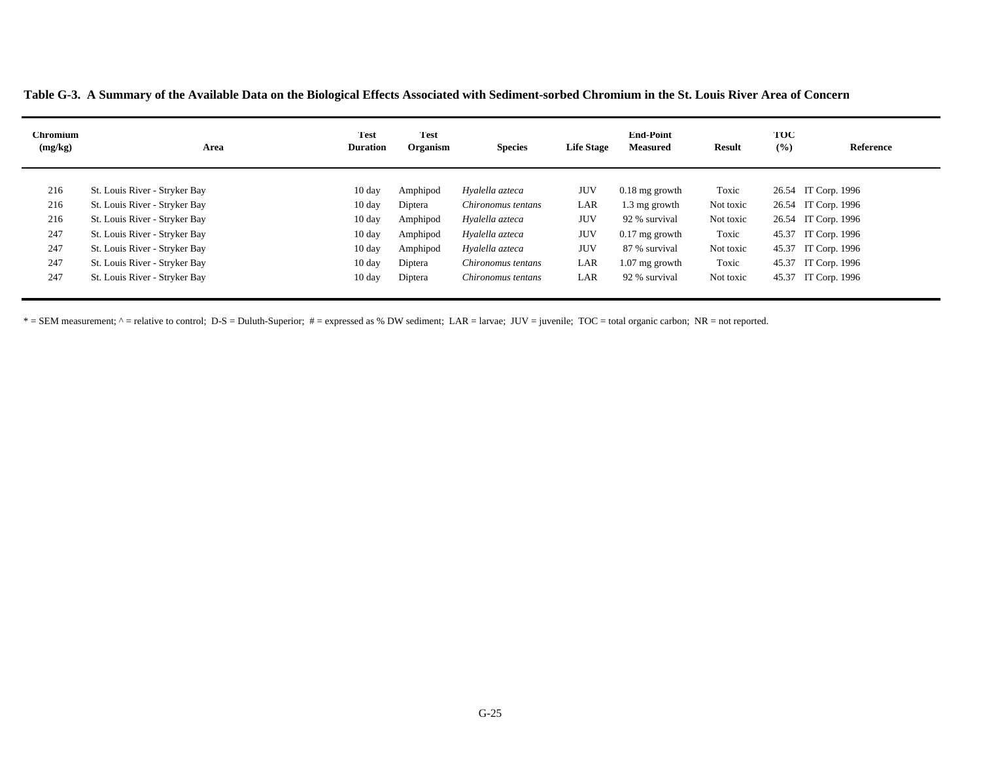**Table G-3. A Summary of the Available Data on the Biological Effects Associated with Sediment-sorbed Chromium in the St. Louis River Area of Concern**

| <b>Chromium</b><br>(mg/kg) | Area                          | Test<br><b>Duration</b> | <b>Test</b><br>Organism | <b>Species</b>     | <b>Life Stage</b> | <b>End-Point</b><br><b>Measured</b> | <b>Result</b> | TOC<br>(9/0) | Reference           |
|----------------------------|-------------------------------|-------------------------|-------------------------|--------------------|-------------------|-------------------------------------|---------------|--------------|---------------------|
| 216                        | St. Louis River - Stryker Bay | 10 day                  | Amphipod                | Hyalella azteca    | JUV               | $0.18$ mg growth                    | Toxic         |              | 26.54 IT Corp. 1996 |
| 216                        | St. Louis River - Stryker Bay | $10 \text{ day}$        | Diptera                 | Chironomus tentans | LAR               | 1.3 mg growth                       | Not toxic     |              | 26.54 IT Corp. 1996 |
| 216                        | St. Louis River - Stryker Bay | $10 \text{ day}$        | Amphipod                | Hyalella azteca    | <b>JUV</b>        | 92 % survival                       | Not toxic     |              | 26.54 IT Corp. 1996 |
| 247                        | St. Louis River - Stryker Bay | $10 \text{ day}$        | Amphipod                | Hyalella azteca    | <b>JUV</b>        | $0.17$ mg growth                    | Toxic         |              | 45.37 IT Corp. 1996 |
| 247                        | St. Louis River - Stryker Bay | $10 \text{ day}$        | Amphipod                | Hyalella azteca    | <b>JUV</b>        | 87 % survival                       | Not toxic     |              | 45.37 IT Corp. 1996 |
| 247                        | St. Louis River - Stryker Bay | $10 \text{ day}$        | Diptera                 | Chironomus tentans | LAR               | $1.07$ mg growth                    | Toxic         |              | 45.37 IT Corp. 1996 |
| 247                        | St. Louis River - Stryker Bay | $10 \text{ day}$        | Diptera                 | Chironomus tentans | LAR               | 92 % survival                       | Not toxic     | 45.37        | IT Corp. 1996       |

\* = SEM measurement; ^ = relative to control; D-S = Duluth-Superior; # = expressed as % DW sediment; LAR = larvae; JUV = juvenile; TOC = total organic carbon; NR = not reported.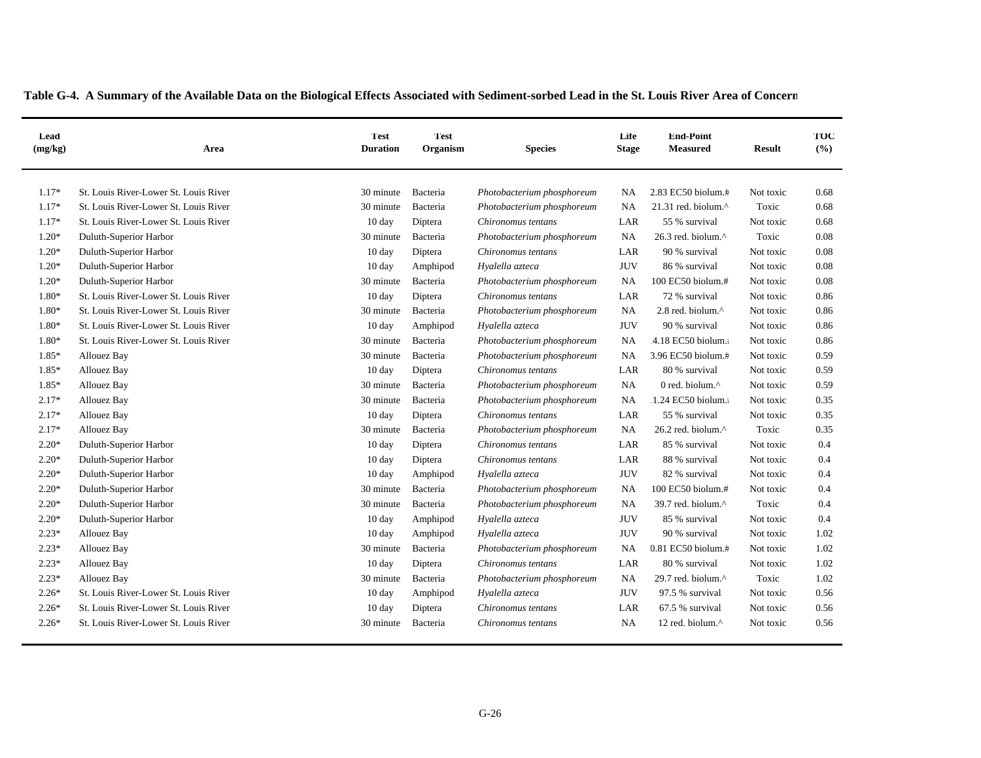| Lead<br>(mg/kg) | Area                                  | <b>Test</b><br><b>Duration</b> | Test <sup>-</sup><br>Organism | <b>Species</b>             | Life<br><b>Stage</b> | <b>End-Point</b><br><b>Measured</b> | <b>Result</b> | TOC<br>(9/6) |
|-----------------|---------------------------------------|--------------------------------|-------------------------------|----------------------------|----------------------|-------------------------------------|---------------|--------------|
| $1.17*$         | St. Louis River-Lower St. Louis River | 30 minute                      | Bacteria                      | Photobacterium phosphoreum | NA                   | 2.83 EC50 biolum.#                  | Not toxic     | 0.68         |
| $1.17*$         | St. Louis River-Lower St. Louis River | 30 minute                      | Bacteria                      | Photobacterium phosphoreum | NA                   | 21.31 red. biolum.^                 | Toxic         | 0.68         |
| $1.17*$         | St. Louis River-Lower St. Louis River | 10 day                         | Diptera                       | Chironomus tentans         | LAR                  | 55 % survival                       | Not toxic     | 0.68         |
| $1.20*$         | Duluth-Superior Harbor                | 30 minute                      | Bacteria                      | Photobacterium phosphoreum | NA                   | 26.3 red. biolum.^                  | Toxic         | 0.08         |
| $1.20*$         | Duluth-Superior Harbor                | 10 day                         | Diptera                       | Chironomus tentans         | LAR                  | 90 % survival                       | Not toxic     | 0.08         |
| $1.20*$         | Duluth-Superior Harbor                | 10 day                         | Amphipod                      | Hyalella azteca            | <b>JUV</b>           | 86 % survival                       | Not toxic     | 0.08         |
| $1.20*$         | Duluth-Superior Harbor                | 30 minute                      | Bacteria                      | Photobacterium phosphoreum | <b>NA</b>            | 100 EC50 biolum.#                   | Not toxic     | 0.08         |
| $1.80*$         | St. Louis River-Lower St. Louis River | 10 day                         | Diptera                       | Chironomus tentans         | LAR                  | 72 % survival                       | Not toxic     | 0.86         |
| 1.80*           | St. Louis River-Lower St. Louis River | 30 minute                      | Bacteria                      | Photobacterium phosphoreum | NA                   | 2.8 red. biolum.^                   | Not toxic     | 0.86         |
| 1.80*           | St. Louis River-Lower St. Louis River | 10 day                         | Amphipod                      | Hyalella azteca            | <b>JUV</b>           | 90 % survival                       | Not toxic     | 0.86         |
| 1.80*           | St. Louis River-Lower St. Louis River | 30 minute                      | Bacteria                      | Photobacterium phosphoreum | NA                   | .4.18 EC50 biolum.                  | Not toxic     | 0.86         |
| 1.85*           | <b>Allouez Bay</b>                    | 30 minute                      | Bacteria                      | Photobacterium phosphoreum | NΑ                   | 3.96 EC50 biolum.#                  | Not toxic     | 0.59         |
| 1.85*           | <b>Allouez Bay</b>                    | 10 day                         | Diptera                       | Chironomus tentans         | LAR                  | 80 % survival                       | Not toxic     | 0.59         |
| 1.85*           |                                       | 30 minute                      |                               |                            | NA                   | 0 red. biolum. $\wedge$             |               | 0.59         |
| $2.17*$         | <b>Allouez Bay</b>                    | 30 minute                      | Bacteria                      | Photobacterium phosphoreum | NA                   | 1.24 EC50 biolum.                   | Not toxic     | 0.35         |
|                 | <b>Allouez Bay</b>                    |                                | Bacteria                      | Photobacterium phosphoreum |                      |                                     | Not toxic     |              |
| $2.17*$         | <b>Allouez Bay</b>                    | 10 day                         | Diptera                       | Chironomus tentans         | LAR                  | 55 % survival                       | Not toxic     | 0.35         |
| $2.17*$         | <b>Allouez Bay</b>                    | 30 minute                      | Bacteria                      | Photobacterium phosphoreum | <b>NA</b>            | $26.2$ red. biolum. $^{\wedge}$     | Toxic         | 0.35         |
| $2.20*$         | Duluth-Superior Harbor                | 10 day                         | Diptera                       | Chironomus tentans         | LAR                  | 85 % survival                       | Not toxic     | 0.4          |
| $2.20*$         | Duluth-Superior Harbor                | 10 day                         | Diptera                       | Chironomus tentans         | LAR                  | 88 % survival                       | Not toxic     | 0.4          |
| $2.20*$         | Duluth-Superior Harbor                | $10 \text{ day}$               | Amphipod                      | Hyalella azteca            | <b>JUV</b>           | 82 % survival                       | Not toxic     | 0.4          |
| $2.20*$         | Duluth-Superior Harbor                | 30 minute                      | Bacteria                      | Photobacterium phosphoreum | NA                   | 100 EC50 biolum.#                   | Not toxic     | 0.4          |
| $2.20*$         | Duluth-Superior Harbor                | 30 minute                      | Bacteria                      | Photobacterium phosphoreum | <b>NA</b>            | 39.7 red. biolum. $\wedge$          | Toxic         | 0.4          |
| $2.20*$         | Duluth-Superior Harbor                | 10 day                         | Amphipod                      | Hyalella azteca            | <b>JUV</b>           | 85 % survival                       | Not toxic     | 0.4          |
| $2.23*$         | <b>Allouez Bay</b>                    | 10 day                         | Amphipod                      | Hyalella azteca            | <b>JUV</b>           | 90 % survival                       | Not toxic     | 1.02         |
| $2.23*$         | <b>Allouez Bay</b>                    | 30 minute                      | Bacteria                      | Photobacterium phosphoreum | NA                   | 0.81 EC50 biolum.#                  | Not toxic     | 1.02         |
| $2.23*$         | <b>Allouez Bay</b>                    | 10 day                         | Diptera                       | Chironomus tentans         | LAR                  | 80 % survival                       | Not toxic     | 1.02         |
| $2.23*$         | <b>Allouez Bay</b>                    | 30 minute                      | Bacteria                      | Photobacterium phosphoreum | <b>NA</b>            | 29.7 red. biolum. $\wedge$          | Toxic         | 1.02         |
| $2.26*$         | St. Louis River-Lower St. Louis River | 10 day                         | Amphipod                      | Hyalella azteca            | <b>JUV</b>           | 97.5 % survival                     | Not toxic     | 0.56         |
| $2.26*$         | St. Louis River-Lower St. Louis River | $10 \text{ day}$               | Diptera                       | Chironomus tentans         | LAR                  | 67.5 % survival                     | Not toxic     | 0.56         |
| $2.26*$         | St. Louis River-Lower St. Louis River | 30 minute                      | Bacteria                      | Chironomus tentans         | <b>NA</b>            | 12 red. biolum.^                    | Not toxic     | 0.56         |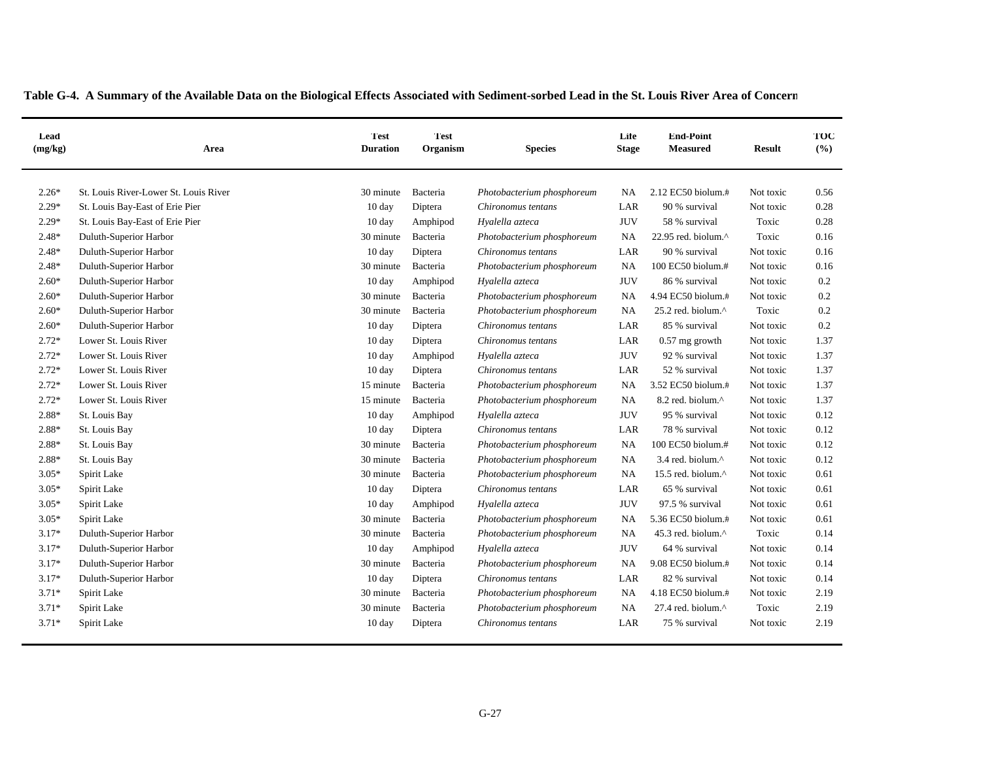| Lead<br>(mg/kg) | Area                                  | <b>Test</b><br><b>Duration</b> | Test <sup>-</sup><br>Organism | <b>Species</b>             | Life<br><b>Stage</b> | <b>End-Point</b><br><b>Measured</b> | <b>Result</b> | TOC<br>(%) |
|-----------------|---------------------------------------|--------------------------------|-------------------------------|----------------------------|----------------------|-------------------------------------|---------------|------------|
| $2.26*$         | St. Louis River-Lower St. Louis River | 30 minute                      | Bacteria                      | Photobacterium phosphoreum | NA.                  | 2.12 EC50 biolum.#                  | Not toxic     | 0.56       |
| $2.29*$         | St. Louis Bay-East of Erie Pier       | 10 day                         | Diptera                       | Chironomus tentans         | LAR                  | 90 % survival                       | Not toxic     | 0.28       |
| $2.29*$         | St. Louis Bay-East of Erie Pier       | 10 day                         | Amphipod                      | Hyalella azteca            | <b>JUV</b>           | 58 % survival                       | Toxic         | 0.28       |
| $2.48*$         | Duluth-Superior Harbor                | 30 minute                      | Bacteria                      | Photobacterium phosphoreum | <b>NA</b>            | 22.95 red. biolum.^                 | Toxic         | 0.16       |
| $2.48*$         | Duluth-Superior Harbor                | 10 day                         | Diptera                       | Chironomus tentans         | LAR                  | 90 % survival                       | Not toxic     | 0.16       |
| $2.48*$         | Duluth-Superior Harbor                | 30 minute                      | Bacteria                      | Photobacterium phosphoreum | <b>NA</b>            | 100 EC50 biolum.#                   | Not toxic     | 0.16       |
| $2.60*$         | Duluth-Superior Harbor                | 10 day                         | Amphipod                      | Hyalella azteca            | <b>JUV</b>           | 86 % survival                       | Not toxic     | 0.2        |
| $2.60*$         | Duluth-Superior Harbor                | 30 minute                      | Bacteria                      | Photobacterium phosphoreum | NA                   | 4.94 EC50 biolum.#                  | Not toxic     | 0.2        |
| $2.60*$         | Duluth-Superior Harbor                | 30 minute                      | Bacteria                      | Photobacterium phosphoreum | <b>NA</b>            | 25.2 red. biolum.^                  | Toxic         | 0.2        |
| $2.60*$         | Duluth-Superior Harbor                | 10 day                         | Diptera                       | Chironomus tentans         | LAR                  | 85 % survival                       | Not toxic     | 0.2        |
| $2.72*$         | Lower St. Louis River                 | 10 day                         | Diptera                       | Chironomus tentans         | LAR                  | 0.57 mg growth                      | Not toxic     | 1.37       |
| $2.72*$         | Lower St. Louis River                 | $10 \text{ day}$               | Amphipod                      | Hyalella azteca            | <b>JUV</b>           | 92 % survival                       | Not toxic     | 1.37       |
| $2.72*$         | Lower St. Louis River                 | 10 day                         | Diptera                       | Chironomus tentans         | LAR                  | 52 % survival                       | Not toxic     | 1.37       |
| $2.72*$         | Lower St. Louis River                 | 15 minute                      | Bacteria                      | Photobacterium phosphoreum | <b>NA</b>            | 3.52 EC50 biolum.#                  | Not toxic     | 1.37       |
| $2.72*$         | Lower St. Louis River                 | 15 minute                      | Bacteria                      | Photobacterium phosphoreum | NA                   | 8.2 red. biolum.^                   | Not toxic     | 1.37       |
| 2.88*           | St. Louis Bay                         | 10 day                         | Amphipod                      | Hyalella azteca            | <b>JUV</b>           | 95 % survival                       | Not toxic     | 0.12       |
| $2.88*$         | St. Louis Bay                         | $10 \text{ day}$               | Diptera                       | Chironomus tentans         | LAR                  | 78 % survival                       | Not toxic     | 0.12       |
| 2.88*           | St. Louis Bay                         | 30 minute                      | Bacteria                      | Photobacterium phosphoreum | <b>NA</b>            | 100 EC50 biolum.#                   | Not toxic     | 0.12       |
| 2.88*           | St. Louis Bay                         | 30 minute                      | Bacteria                      | Photobacterium phosphoreum | NA                   | 3.4 red. biolum.^                   | Not toxic     | 0.12       |
| $3.05*$         | Spirit Lake                           | 30 minute                      | Bacteria                      | Photobacterium phosphoreum | NA                   | 15.5 red. biolum.^                  | Not toxic     | 0.61       |
| $3.05*$         | Spirit Lake                           | 10 day                         | Diptera                       | Chironomus tentans         | LAR                  | 65 % survival                       | Not toxic     | 0.61       |
| $3.05*$         | Spirit Lake                           | 10 day                         | Amphipod                      | Hyalella azteca            | <b>JUV</b>           | 97.5 % survival                     | Not toxic     | 0.61       |
| $3.05*$         | Spirit Lake                           | 30 minute                      | Bacteria                      | Photobacterium phosphoreum | <b>NA</b>            | 5.36 EC50 biolum.#                  | Not toxic     | 0.61       |
| $3.17*$         | Duluth-Superior Harbor                | 30 minute                      | Bacteria                      | Photobacterium phosphoreum | <b>NA</b>            | 45.3 red. biolum.^                  | Toxic         | 0.14       |
| $3.17*$         | Duluth-Superior Harbor                | 10 day                         | Amphipod                      | Hyalella azteca            | <b>JUV</b>           | 64 % survival                       | Not toxic     | 0.14       |
| $3.17*$         | Duluth-Superior Harbor                | 30 minute                      | Bacteria                      | Photobacterium phosphoreum | <b>NA</b>            | 9.08 EC50 biolum.#                  | Not toxic     | 0.14       |
| $3.17*$         | Duluth-Superior Harbor                | 10 day                         | Diptera                       | Chironomus tentans         | $_{\rm LAR}$         | 82 % survival                       | Not toxic     | 0.14       |
| $3.71*$         | Spirit Lake                           | 30 minute                      | Bacteria                      | Photobacterium phosphoreum | NA                   | 4.18 EC50 biolum.#                  | Not toxic     | 2.19       |
| $3.71*$         | Spirit Lake                           | 30 minute                      | Bacteria                      | Photobacterium phosphoreum | <b>NA</b>            | 27.4 red. biolum.^                  | Toxic         | 2.19       |
| $3.71*$         | Spirit Lake                           | 10 day                         | Diptera                       | Chironomus tentans         | LAR                  | 75 % survival                       | Not toxic     | 2.19       |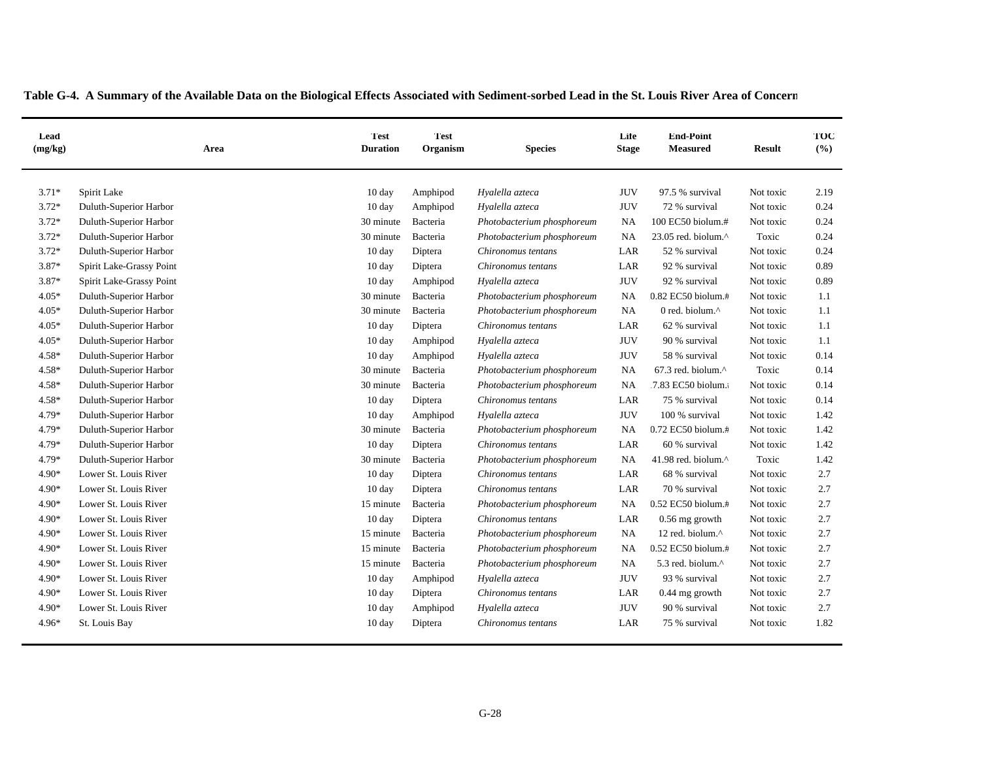| Lead<br>(mg/kg) | Area                     | <b>Test</b><br><b>Duration</b> | <b>Test</b><br>Organism | <b>Species</b>             | Life<br><b>Stage</b> | <b>End-Point</b><br><b>Measured</b> | <b>Result</b> | TOC<br>(%) |
|-----------------|--------------------------|--------------------------------|-------------------------|----------------------------|----------------------|-------------------------------------|---------------|------------|
| $3.71*$         | Spirit Lake              | 10 day                         | Amphipod                | Hyalella azteca            | <b>JUV</b>           | 97.5 % survival                     | Not toxic     | 2.19       |
| $3.72*$         | Duluth-Superior Harbor   | 10 day                         | Amphipod                | Hyalella azteca            | <b>JUV</b>           | 72 % survival                       | Not toxic     | 0.24       |
| $3.72*$         | Duluth-Superior Harbor   | 30 minute                      | Bacteria                | Photobacterium phosphoreum | NA                   | 100 EC50 biolum.#                   | Not toxic     | 0.24       |
| $3.72*$         | Duluth-Superior Harbor   | 30 minute                      | Bacteria                | Photobacterium phosphoreum | NA                   | 23.05 red. biolum.^                 | Toxic         | 0.24       |
| $3.72*$         | Duluth-Superior Harbor   | 10 day                         | Diptera                 | Chironomus tentans         | LAR                  | 52 % survival                       | Not toxic     | 0.24       |
| $3.87*$         | Spirit Lake-Grassy Point | 10 day                         | Diptera                 | Chironomus tentans         | LAR                  | 92 % survival                       | Not toxic     | 0.89       |
| $3.87*$         | Spirit Lake-Grassy Point | $10 \text{ day}$               | Amphipod                | Hyalella azteca            | <b>JUV</b>           | 92 % survival                       | Not toxic     | 0.89       |
| $4.05*$         | Duluth-Superior Harbor   | 30 minute                      | Bacteria                | Photobacterium phosphoreum | NA                   | 0.82 EC50 biolum.#                  | Not toxic     | 1.1        |
| $4.05*$         | Duluth-Superior Harbor   | 30 minute                      | Bacteria                | Photobacterium phosphoreum | <b>NA</b>            | 0 red. biolum.^                     | Not toxic     | 1.1        |
| $4.05*$         | Duluth-Superior Harbor   | 10 day                         | Diptera                 | Chironomus tentans         | LAR                  | 62 % survival                       | Not toxic     | 1.1        |
| $4.05*$         | Duluth-Superior Harbor   | 10 day                         | Amphipod                | Hyalella azteca            | <b>JUV</b>           | 90 % survival                       | Not toxic     | 1.1        |
| 4.58*           | Duluth-Superior Harbor   | 10 day                         | Amphipod                | Hyalella azteca            | <b>JUV</b>           | 58 % survival                       | Not toxic     | 0.14       |
| 4.58*           | Duluth-Superior Harbor   | 30 minute                      | Bacteria                | Photobacterium phosphoreum | NA                   | 67.3 red. biolum.^                  | Toxic         | 0.14       |
| 4.58*           | Duluth-Superior Harbor   | 30 minute                      | Bacteria                | Photobacterium phosphoreum | <b>NA</b>            | 7.83 EC50 biolum.                   | Not toxic     | 0.14       |
| 4.58*           | Duluth-Superior Harbor   | 10 day                         | Diptera                 | Chironomus tentans         | LAR                  | 75 % survival                       | Not toxic     | 0.14       |
| 4.79*           | Duluth-Superior Harbor   | $10 \text{ day}$               | Amphipod                | Hyalella azteca            | <b>JUV</b>           | 100 % survival                      | Not toxic     | 1.42       |
| 4.79*           | Duluth-Superior Harbor   | 30 minute                      | Bacteria                | Photobacterium phosphoreum | NA                   | 0.72 EC50 biolum.#                  | Not toxic     | 1.42       |
| 4.79*           | Duluth-Superior Harbor   | 10 day                         | Diptera                 | Chironomus tentans         | LAR                  | 60 % survival                       | Not toxic     | 1.42       |
| 4.79*           | Duluth-Superior Harbor   | 30 minute                      | Bacteria                | Photobacterium phosphoreum | <b>NA</b>            | 41.98 red. biolum.^                 | Toxic         | 1.42       |
| 4.90*           | Lower St. Louis River    | 10 day                         | Diptera                 | Chironomus tentans         | LAR                  | 68 % survival                       | Not toxic     | 2.7        |
| 4.90*           | Lower St. Louis River    | 10 day                         | Diptera                 | Chironomus tentans         | LAR                  | 70 % survival                       | Not toxic     | 2.7        |
| 4.90*           | Lower St. Louis River    | 15 minute                      | Bacteria                | Photobacterium phosphoreum | NA                   | 0.52 EC50 biolum.#                  | Not toxic     | 2.7        |
| 4.90*           | Lower St. Louis River    | 10 day                         | Diptera                 | Chironomus tentans         | LAR                  | $0.56$ mg growth                    | Not toxic     | 2.7        |
| 4.90*           | Lower St. Louis River    | 15 minute                      | Bacteria                | Photobacterium phosphoreum | <b>NA</b>            | 12 red. biolum.^                    | Not toxic     | 2.7        |
| 4.90*           | Lower St. Louis River    | 15 minute                      | Bacteria                | Photobacterium phosphoreum | NA                   | 0.52 EC50 biolum.#                  | Not toxic     | 2.7        |
| 4.90*           | Lower St. Louis River    | 15 minute                      | Bacteria                | Photobacterium phosphoreum | <b>NA</b>            | 5.3 red. biolum.^                   | Not toxic     | 2.7        |
| 4.90*           | Lower St. Louis River    | $10 \text{ day}$               | Amphipod                | Hyalella azteca            | <b>JUV</b>           | 93 % survival                       | Not toxic     | 2.7        |
| 4.90*           | Lower St. Louis River    | 10 day                         | Diptera                 | Chironomus tentans         | LAR                  | $0.44$ mg growth                    | Not toxic     | 2.7        |
| 4.90*           | Lower St. Louis River    | $10 \text{ day}$               | Amphipod                | Hyalella azteca            | <b>JUV</b>           | 90 % survival                       | Not toxic     | 2.7        |
| 4.96*           | St. Louis Bay            | 10 day                         | Diptera                 | Chironomus tentans         | LAR                  | 75 % survival                       | Not toxic     | 1.82       |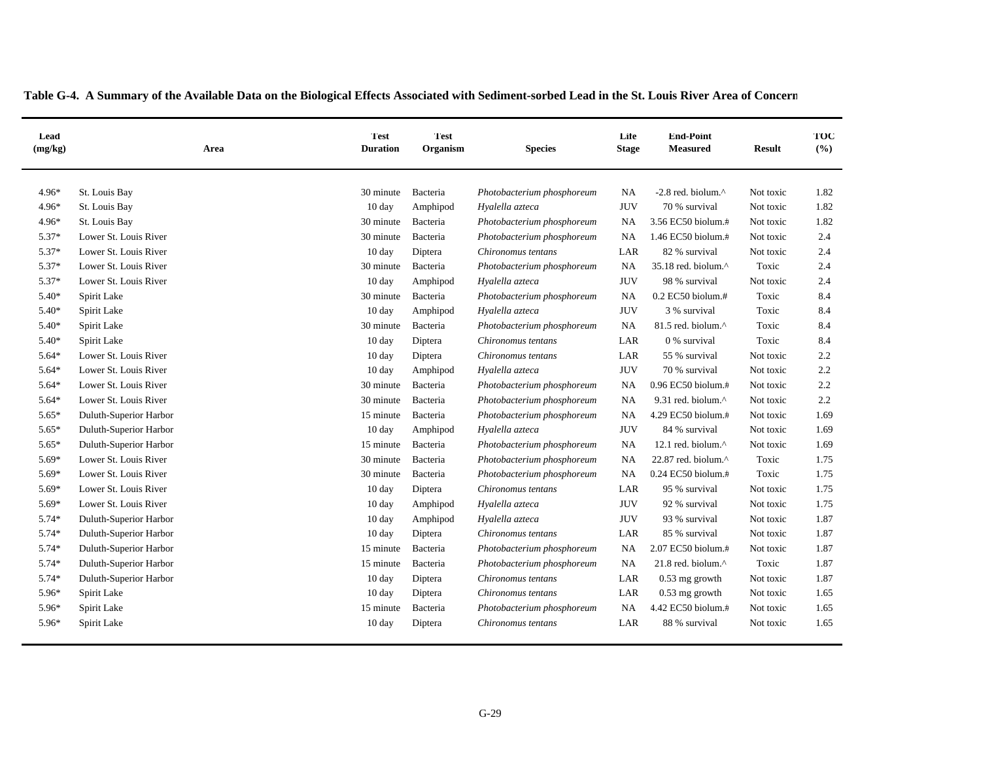| Lead<br>(mg/kg) | Area                   | <b>Test</b><br><b>Duration</b> | <b>Test</b><br>Organism | <b>Species</b>             | Life<br><b>Stage</b> | <b>End-Point</b><br><b>Measured</b> | <b>Result</b> | TOC<br>(%) |
|-----------------|------------------------|--------------------------------|-------------------------|----------------------------|----------------------|-------------------------------------|---------------|------------|
| $4.96*$         | St. Louis Bay          | 30 minute                      | Bacteria                | Photobacterium phosphoreum | NA                   | $-2.8$ red. biolum. $^{\wedge}$     | Not toxic     | 1.82       |
| $4.96*$         | St. Louis Bay          | 10 day                         | Amphipod                | Hyalella azteca            | <b>JUV</b>           | 70 % survival                       | Not toxic     | 1.82       |
| 4.96*           | St. Louis Bay          | 30 minute                      | Bacteria                | Photobacterium phosphoreum | NA                   | 3.56 EC50 biolum.#                  | Not toxic     | 1.82       |
| $5.37*$         | Lower St. Louis River  | 30 minute                      | Bacteria                | Photobacterium phosphoreum | NA                   | 1.46 EC50 biolum.#                  | Not toxic     | 2.4        |
| 5.37*           | Lower St. Louis River  | $10 \text{ day}$               | Diptera                 | Chironomus tentans         | LAR                  | 82 % survival                       | Not toxic     | 2.4        |
| $5.37*$         | Lower St. Louis River  | 30 minute                      | Bacteria                | Photobacterium phosphoreum | <b>NA</b>            | 35.18 red. biolum.^                 | Toxic         | 2.4        |
| 5.37*           | Lower St. Louis River  | 10 day                         | Amphipod                | Hyalella azteca            | <b>JUV</b>           | 98 % survival                       | Not toxic     | 2.4        |
| $5.40*$         | Spirit Lake            | 30 minute                      | Bacteria                | Photobacterium phosphoreum | <b>NA</b>            | 0.2 EC50 biolum.#                   | Toxic         | 8.4        |
| 5.40*           | Spirit Lake            | 10 day                         | Amphipod                | Hyalella azteca            | <b>JUV</b>           | 3 % survival                        | Toxic         | 8.4        |
| 5.40*           | Spirit Lake            | 30 minute                      | Bacteria                | Photobacterium phosphoreum | <b>NA</b>            | 81.5 red. biolum.^                  | Toxic         | 8.4        |
| 5.40*           | Spirit Lake            | $10 \text{ day}$               | Diptera                 | Chironomus tentans         | LAR                  | 0 % survival                        | Toxic         | 8.4        |
| 5.64*           | Lower St. Louis River  | 10 day                         | Diptera                 | Chironomus tentans         | LAR                  | 55 % survival                       | Not toxic     | 2.2        |
| 5.64*           | Lower St. Louis River  | 10 day                         | Amphipod                | Hyalella azteca            | <b>JUV</b>           | 70 % survival                       | Not toxic     | 2.2        |
| 5.64*           | Lower St. Louis River  | 30 minute                      | Bacteria                | Photobacterium phosphoreum | NA                   | 0.96 EC50 biolum.#                  | Not toxic     | 2.2        |
| $5.64*$         | Lower St. Louis River  | 30 minute                      | Bacteria                | Photobacterium phosphoreum | NA                   | 9.31 red. biolum.^                  | Not toxic     | 2.2        |
| $5.65*$         | Duluth-Superior Harbor | 15 minute                      | Bacteria                | Photobacterium phosphoreum | NA                   | 4.29 EC50 biolum.#                  | Not toxic     | 1.69       |
| $5.65*$         | Duluth-Superior Harbor | 10 day                         | Amphipod                | Hyalella azteca            | <b>JUV</b>           | 84 % survival                       | Not toxic     | 1.69       |
| $5.65*$         | Duluth-Superior Harbor | 15 minute                      | Bacteria                | Photobacterium phosphoreum | NA                   | 12.1 red. biolum.^                  | Not toxic     | 1.69       |
| 5.69*           | Lower St. Louis River  | 30 minute                      | Bacteria                | Photobacterium phosphoreum | NA                   | 22.87 red. biolum.^                 | Toxic         | 1.75       |
| 5.69*           | Lower St. Louis River  | 30 minute                      | Bacteria                | Photobacterium phosphoreum | NA                   | 0.24 EC50 biolum.#                  | Toxic         | 1.75       |
| 5.69*           | Lower St. Louis River  | 10 day                         | Diptera                 | Chironomus tentans         | LAR                  | 95 % survival                       | Not toxic     | 1.75       |
| 5.69*           | Lower St. Louis River  | 10 day                         | Amphipod                | Hyalella azteca            | <b>JUV</b>           | 92 % survival                       | Not toxic     | 1.75       |
| 5.74*           | Duluth-Superior Harbor | 10 day                         | Amphipod                | Hyalella azteca            | <b>JUV</b>           | 93 % survival                       | Not toxic     | 1.87       |
| 5.74*           | Duluth-Superior Harbor | $10 \text{ day}$               | Diptera                 | Chironomus tentans         | LAR                  | 85 % survival                       | Not toxic     | 1.87       |
| 5.74*           | Duluth-Superior Harbor | 15 minute                      | Bacteria                | Photobacterium phosphoreum | NA                   | 2.07 EC50 biolum.#                  | Not toxic     | 1.87       |
| 5.74*           | Duluth-Superior Harbor | 15 minute                      | Bacteria                | Photobacterium phosphoreum | <b>NA</b>            | 21.8 red. biolum.^                  | Toxic         | 1.87       |
| 5.74*           | Duluth-Superior Harbor | 10 day                         | Diptera                 | Chironomus tentans         | LAR                  | $0.53$ mg growth                    | Not toxic     | 1.87       |
| 5.96*           | Spirit Lake            | 10 day                         | Diptera                 | Chironomus tentans         | $_{\rm LAR}$         | $0.53$ mg growth                    | Not toxic     | 1.65       |
| 5.96*           | Spirit Lake            | 15 minute                      | Bacteria                | Photobacterium phosphoreum | NA                   | 4.42 EC50 biolum.#                  | Not toxic     | 1.65       |
| 5.96*           | Spirit Lake            | 10 day                         | Diptera                 | Chironomus tentans         | LAR                  | 88 % survival                       | Not toxic     | 1.65       |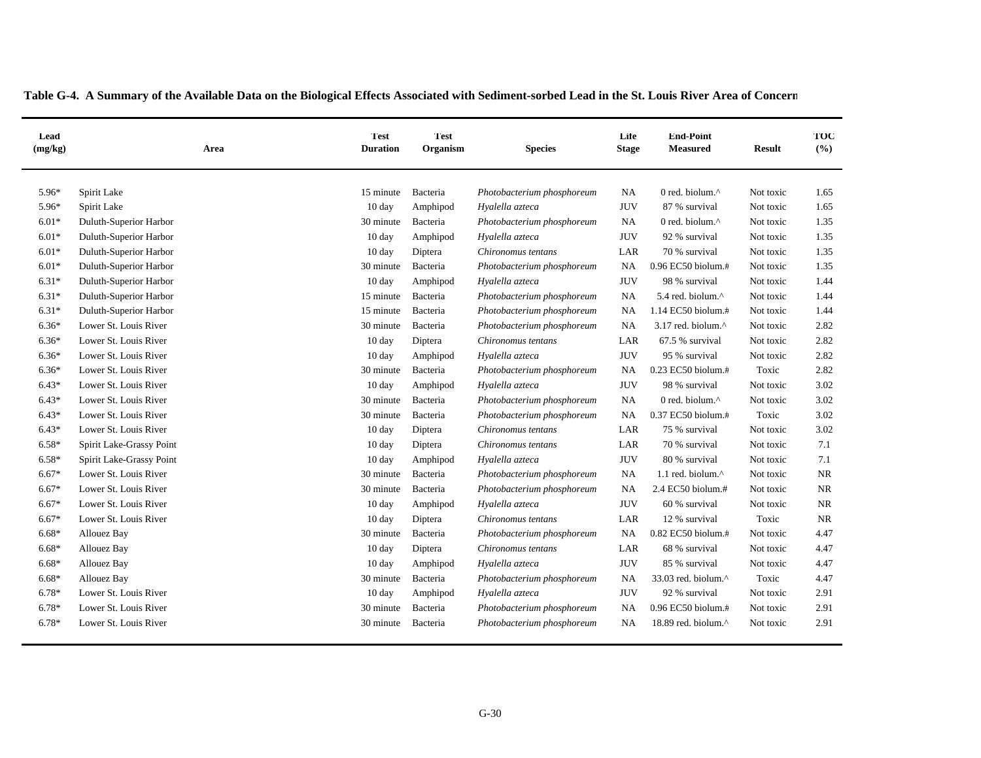| Lead<br>(mg/kg) | Area                     | <b>Test</b><br><b>Duration</b> | <b>Test</b><br>Organism | <b>Species</b>             | Life<br><b>Stage</b> | <b>End-Point</b><br><b>Measured</b> | <b>Result</b> | TOC<br>(%) |
|-----------------|--------------------------|--------------------------------|-------------------------|----------------------------|----------------------|-------------------------------------|---------------|------------|
| 5.96*           | Spirit Lake              | 15 minute                      | Bacteria                | Photobacterium phosphoreum | <b>NA</b>            | 0 red. biolum.^                     | Not toxic     | 1.65       |
| 5.96*           | Spirit Lake              | 10 day                         | Amphipod                | Hyalella azteca            | <b>JUV</b>           | 87 % survival                       | Not toxic     | 1.65       |
| $6.01*$         | Duluth-Superior Harbor   | 30 minute                      | Bacteria                | Photobacterium phosphoreum | <b>NA</b>            | 0 red. biolum.^                     | Not toxic     | 1.35       |
| $6.01*$         | Duluth-Superior Harbor   | 10 day                         | Amphipod                | Hyalella azteca            | <b>JUV</b>           | 92 % survival                       | Not toxic     | 1.35       |
| $6.01*$         | Duluth-Superior Harbor   | 10 day                         | Diptera                 | Chironomus tentans         | LAR                  | 70 % survival                       | Not toxic     | 1.35       |
| $6.01*$         | Duluth-Superior Harbor   | 30 minute                      | Bacteria                | Photobacterium phosphoreum | NA                   | 0.96 EC50 biolum.#                  | Not toxic     | 1.35       |
| $6.31*$         | Duluth-Superior Harbor   | 10 day                         | Amphipod                | Hyalella azteca            | <b>JUV</b>           | 98 % survival                       | Not toxic     | 1.44       |
| $6.31*$         | Duluth-Superior Harbor   | 15 minute                      | Bacteria                | Photobacterium phosphoreum | <b>NA</b>            | 5.4 red. biolum.^                   | Not toxic     | 1.44       |
| $6.31*$         | Duluth-Superior Harbor   | 15 minute                      | Bacteria                | Photobacterium phosphoreum | NA                   | 1.14 EC50 biolum.#                  | Not toxic     | 1.44       |
| $6.36*$         | Lower St. Louis River    | 30 minute                      | Bacteria                | Photobacterium phosphoreum | <b>NA</b>            | 3.17 red. biolum.^                  | Not toxic     | 2.82       |
| $6.36*$         | Lower St. Louis River    | 10 day                         | Diptera                 | Chironomus tentans         | LAR                  | 67.5 % survival                     | Not toxic     | 2.82       |
| $6.36*$         | Lower St. Louis River    | 10 day                         | Amphipod                | Hyalella azteca            | <b>JUV</b>           | 95 % survival                       | Not toxic     | 2.82       |
| $6.36*$         | Lower St. Louis River    | 30 minute                      | Bacteria                | Photobacterium phosphoreum | NA                   | 0.23 EC50 biolum.#                  | Toxic         | 2.82       |
| $6.43*$         | Lower St. Louis River    | 10 day                         | Amphipod                | Hyalella azteca            | <b>JUV</b>           | 98 % survival                       | Not toxic     | 3.02       |
| $6.43*$         | Lower St. Louis River    | 30 minute                      | Bacteria                | Photobacterium phosphoreum | <b>NA</b>            | 0 red. biolum.^                     | Not toxic     | 3.02       |
| $6.43*$         | Lower St. Louis River    | 30 minute                      | Bacteria                | Photobacterium phosphoreum | NA                   | 0.37 EC50 biolum.#                  | Toxic         | 3.02       |
| $6.43*$         | Lower St. Louis River    | 10 day                         | Diptera                 | Chironomus tentans         | LAR                  | 75 % survival                       | Not toxic     | 3.02       |
| $6.58*$         | Spirit Lake-Grassy Point | $10 \text{ day}$               | Diptera                 | Chironomus tentans         | LAR                  | 70 % survival                       | Not toxic     | 7.1        |
| $6.58*$         | Spirit Lake-Grassy Point | $10 \text{ day}$               | Amphipod                | Hyalella azteca            | <b>JUV</b>           | 80 % survival                       | Not toxic     | 7.1        |
| $6.67*$         | Lower St. Louis River    | 30 minute                      | Bacteria                | Photobacterium phosphoreum | NA                   | 1.1 red. biolum.^                   | Not toxic     | <b>NR</b>  |
| $6.67*$         | Lower St. Louis River    | 30 minute                      | Bacteria                | Photobacterium phosphoreum | NA                   | 2.4 EC50 biolum.#                   | Not toxic     | <b>NR</b>  |
| $6.67*$         | Lower St. Louis River    | 10 day                         | Amphipod                | Hyalella azteca            | <b>JUV</b>           | 60 % survival                       | Not toxic     | <b>NR</b>  |
| $6.67*$         | Lower St. Louis River    | 10 day                         | Diptera                 | Chironomus tentans         | LAR                  | 12 % survival                       | Toxic         | <b>NR</b>  |
| $6.68*$         | <b>Allouez Bay</b>       | 30 minute                      | Bacteria                | Photobacterium phosphoreum | NA                   | 0.82 EC50 biolum.#                  | Not toxic     | 4.47       |
| $6.68*$         | <b>Allouez Bay</b>       | 10 day                         | Diptera                 | Chironomus tentans         | LAR                  | 68 % survival                       | Not toxic     | 4.47       |
| $6.68*$         | <b>Allouez Bay</b>       | 10 day                         | Amphipod                | Hyalella azteca            | <b>JUV</b>           | 85 % survival                       | Not toxic     | 4.47       |
| $6.68*$         | Allouez Bay              | 30 minute                      | Bacteria                | Photobacterium phosphoreum | NA                   | 33.03 red. biolum.^                 | Toxic         | 4.47       |
| 6.78*           | Lower St. Louis River    | $10 \text{ day}$               | Amphipod                | Hyalella azteca            | <b>JUV</b>           | 92 % survival                       | Not toxic     | 2.91       |
| $6.78*$         | Lower St. Louis River    | 30 minute                      | Bacteria                | Photobacterium phosphoreum | NA                   | 0.96 EC50 biolum.#                  | Not toxic     | 2.91       |
| 6.78*           | Lower St. Louis River    | 30 minute                      | Bacteria                | Photobacterium phosphoreum | NA                   | 18.89 red. biolum.^                 | Not toxic     | 2.91       |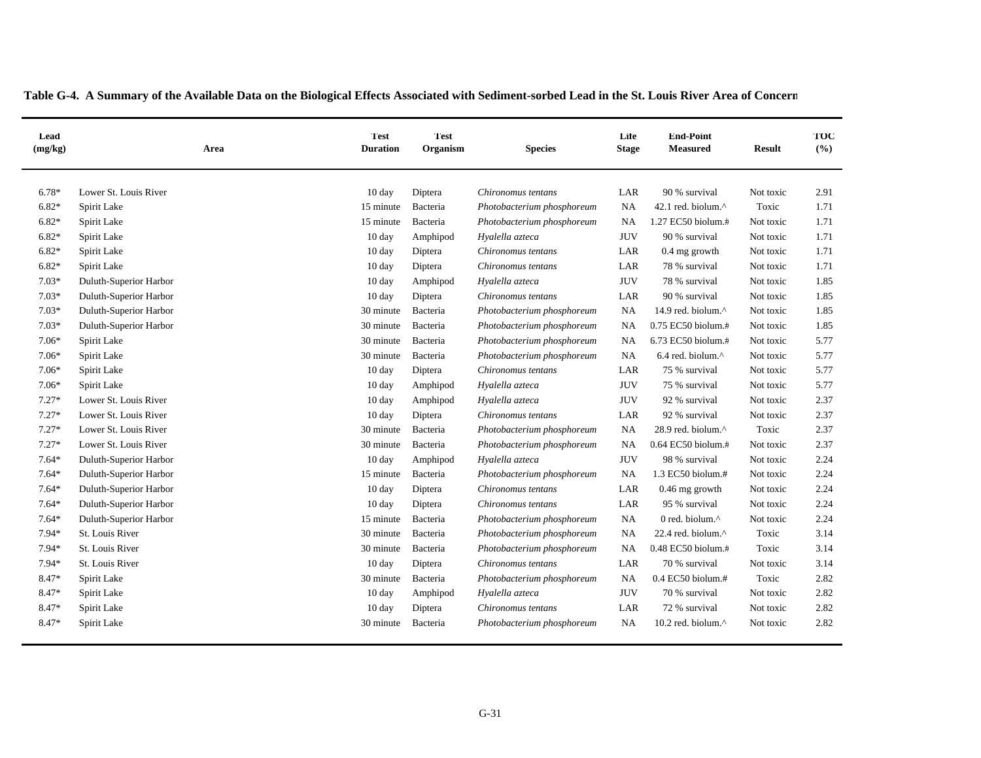| Lead<br>(mg/kg) | Area                   | <b>Test</b><br><b>Duration</b> | <b>Test</b><br>Organism | <b>Species</b>             | Life<br><b>Stage</b> | <b>End-Point</b><br><b>Measured</b> | <b>Result</b> | TOC<br>(%) |
|-----------------|------------------------|--------------------------------|-------------------------|----------------------------|----------------------|-------------------------------------|---------------|------------|
| $6.78*$         | Lower St. Louis River  | $10 \text{ day}$               | Diptera                 | Chironomus tentans         | LAR                  | 90 % survival                       | Not toxic     | 2.91       |
| $6.82*$         | Spirit Lake            | 15 minute                      | Bacteria                | Photobacterium phosphoreum | <b>NA</b>            | 42.1 red. biolum.^                  | Toxic         | 1.71       |
| $6.82*$         | Spirit Lake            | 15 minute                      | Bacteria                | Photobacterium phosphoreum | NA                   | 1.27 EC50 biolum.#                  | Not toxic     | 1.71       |
| $6.82*$         | Spirit Lake            | 10 day                         | Amphipod                | Hyalella azteca            | <b>JUV</b>           | 90 % survival                       | Not toxic     | 1.71       |
| $6.82*$         | Spirit Lake            | $10 \text{ day}$               | Diptera                 | Chironomus tentans         | LAR                  | 0.4 mg growth                       | Not toxic     | 1.71       |
| $6.82*$         | Spirit Lake            | $10 \text{ day}$               | Diptera                 | Chironomus tentans         | $_{\rm LAR}$         | 78 % survival                       | Not toxic     | 1.71       |
| $7.03*$         | Duluth-Superior Harbor | $10 \text{ day}$               | Amphipod                | Hyalella azteca            | $\rm JUV$            | 78 % survival                       | Not toxic     | 1.85       |
| $7.03*$         | Duluth-Superior Harbor | $10 \text{ day}$               | Diptera                 | Chironomus tentans         | LAR                  | 90 % survival                       | Not toxic     | 1.85       |
| $7.03*$         | Duluth-Superior Harbor | 30 minute                      | Bacteria                | Photobacterium phosphoreum | <b>NA</b>            | 14.9 red. biolum.^                  | Not toxic     | 1.85       |
| $7.03*$         | Duluth-Superior Harbor | 30 minute                      | Bacteria                | Photobacterium phosphoreum | NA                   | 0.75 EC50 biolum.#                  | Not toxic     | 1.85       |
| $7.06*$         | Spirit Lake            | 30 minute                      | Bacteria                | Photobacterium phosphoreum | <b>NA</b>            | 6.73 EC50 biolum.#                  | Not toxic     | 5.77       |
| 7.06*           | Spirit Lake            | 30 minute                      | Bacteria                | Photobacterium phosphoreum | NA                   | $6.4$ red. biolum. $^{\wedge}$      | Not toxic     | 5.77       |
| 7.06*           | Spirit Lake            | 10 day                         | Diptera                 | Chironomus tentans         | LAR                  | 75 % survival                       | Not toxic     | 5.77       |
| $7.06*$         | Spirit Lake            | $10 \text{ day}$               | Amphipod                | Hyalella azteca            | <b>JUV</b>           | 75 % survival                       | Not toxic     | 5.77       |
| $7.27*$         | Lower St. Louis River  | $10 \text{ day}$               | Amphipod                | Hyalella azteca            | <b>JUV</b>           | 92 % survival                       | Not toxic     | 2.37       |
| $7.27*$         | Lower St. Louis River  | $10 \text{ day}$               | Diptera                 | Chironomus tentans         | LAR                  | 92 % survival                       | Not toxic     | 2.37       |
| $7.27*$         | Lower St. Louis River  | 30 minute                      | Bacteria                | Photobacterium phosphoreum | <b>NA</b>            | 28.9 red. biolum.^                  | Toxic         | 2.37       |
| $7.27*$         | Lower St. Louis River  | 30 minute                      | Bacteria                | Photobacterium phosphoreum | NA                   | 0.64 EC50 biolum.#                  | Not toxic     | 2.37       |
| $7.64*$         | Duluth-Superior Harbor | 10 day                         | Amphipod                | Hyalella azteca            | <b>JUV</b>           | 98 % survival                       | Not toxic     | 2.24       |
| $7.64*$         | Duluth-Superior Harbor | 15 minute                      | Bacteria                | Photobacterium phosphoreum | NA                   | 1.3 EC50 biolum.#                   | Not toxic     | 2.24       |
| $7.64*$         | Duluth-Superior Harbor | 10 day                         | Diptera                 | Chironomus tentans         | LAR                  | $0.46$ mg growth                    | Not toxic     | 2.24       |
| $7.64*$         | Duluth-Superior Harbor | $10 \text{ day}$               | Diptera                 | Chironomus tentans         | LAR                  | 95 % survival                       | Not toxic     | 2.24       |
| $7.64*$         | Duluth-Superior Harbor | 15 minute                      | Bacteria                | Photobacterium phosphoreum | NA                   | 0 red. biolum. $\wedge$             | Not toxic     | 2.24       |
| 7.94*           | St. Louis River        | 30 minute                      | Bacteria                | Photobacterium phosphoreum | <b>NA</b>            | 22.4 red. biolum.^                  | Toxic         | 3.14       |
| $7.94*$         | <b>St. Louis River</b> | 30 minute                      | Bacteria                | Photobacterium phosphoreum | <b>NA</b>            | 0.48 EC50 biolum.#                  | Toxic         | 3.14       |
| 7.94*           | St. Louis River        | 10 day                         | Diptera                 | Chironomus tentans         | LAR                  | 70 % survival                       | Not toxic     | 3.14       |
| 8.47*           | Spirit Lake            | 30 minute                      | Bacteria                | Photobacterium phosphoreum | <b>NA</b>            | $0.4$ EC50 biolum.#                 | Toxic         | 2.82       |
| 8.47*           | Spirit Lake            | $10 \text{ day}$               | Amphipod                | Hyalella azteca            | <b>JUV</b>           | 70 % survival                       | Not toxic     | 2.82       |
| 8.47*           | Spirit Lake            | 10 day                         | Diptera                 | Chironomus tentans         | LAR                  | 72 % survival                       | Not toxic     | 2.82       |
| 8.47*           | Spirit Lake            | 30 minute                      | Bacteria                | Photobacterium phosphoreum | <b>NA</b>            | 10.2 red. biolum.^                  | Not toxic     | 2.82       |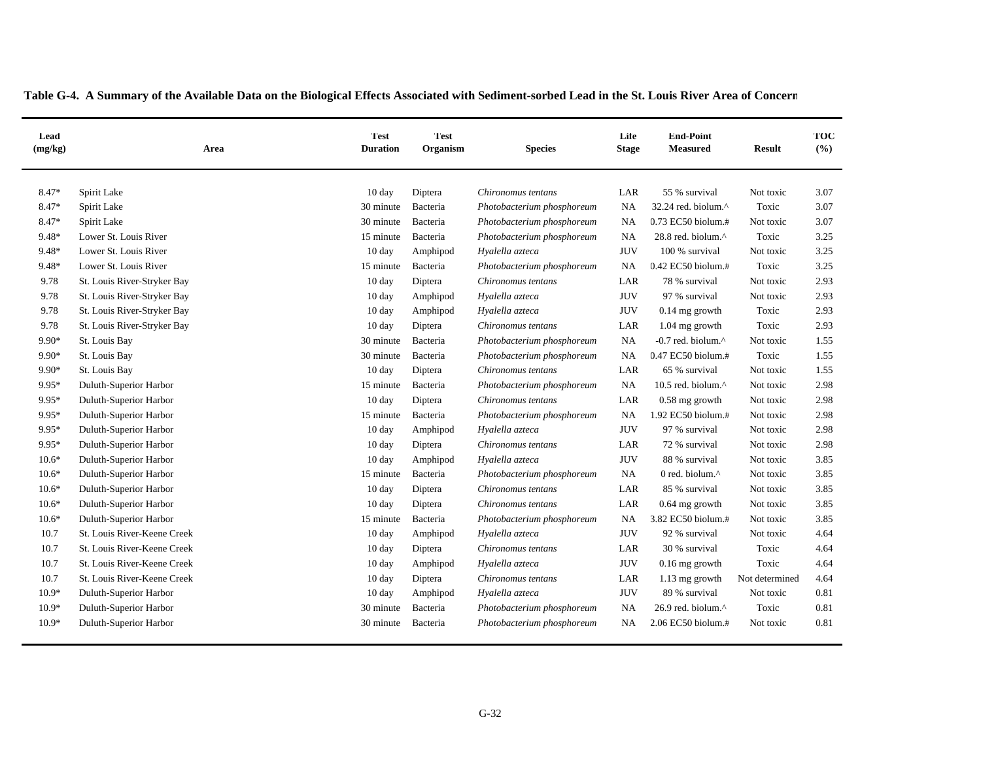| Lead<br>(mg/kg) | Area                        | <b>Test</b><br><b>Duration</b> | <b>Test</b><br>Organism | <b>Species</b>             | Life<br><b>Stage</b> | <b>End-Point</b><br><b>Measured</b> | <b>Result</b>  | TOC<br>(%) |
|-----------------|-----------------------------|--------------------------------|-------------------------|----------------------------|----------------------|-------------------------------------|----------------|------------|
| 8.47*           | Spirit Lake                 | $10 \text{ day}$               | Diptera                 | Chironomus tentans         | LAR                  | 55 % survival                       | Not toxic      | 3.07       |
| 8.47*           | Spirit Lake                 | 30 minute                      | Bacteria                | Photobacterium phosphoreum | <b>NA</b>            | 32.24 red. biolum.^                 | Toxic          | 3.07       |
| 8.47*           | Spirit Lake                 | 30 minute                      | Bacteria                | Photobacterium phosphoreum | <b>NA</b>            | 0.73 EC50 biolum.#                  | Not toxic      | 3.07       |
| 9.48*           | Lower St. Louis River       | 15 minute                      | Bacteria                | Photobacterium phosphoreum | <b>NA</b>            | 28.8 red. biolum.^                  | Toxic          | 3.25       |
| 9.48*           | Lower St. Louis River       | 10 day                         | Amphipod                | Hyalella azteca            | <b>JUV</b>           | 100 % survival                      | Not toxic      | 3.25       |
| 9.48*           | Lower St. Louis River       | 15 minute                      | Bacteria                | Photobacterium phosphoreum | NA                   | $0.42$ EC50 biolum. $#$             | Toxic          | 3.25       |
| 9.78            | St. Louis River-Stryker Bay | 10 day                         | Diptera                 | Chironomus tentans         | LAR                  | 78 % survival                       | Not toxic      | 2.93       |
| 9.78            | St. Louis River-Stryker Bay | $10 \text{ day}$               | Amphipod                | Hyalella azteca            | <b>JUV</b>           | 97 % survival                       | Not toxic      | 2.93       |
| 9.78            | St. Louis River-Stryker Bay | $10 \text{ day}$               | Amphipod                | Hyalella azteca            | <b>JUV</b>           | $0.14$ mg growth                    | Toxic          | 2.93       |
| 9.78            | St. Louis River-Stryker Bay | $10 \text{ day}$               | Diptera                 | Chironomus tentans         | LAR                  | 1.04 mg growth                      | Toxic          | 2.93       |
| 9.90*           | St. Louis Bay               | 30 minute                      | Bacteria                | Photobacterium phosphoreum | <b>NA</b>            | -0.7 red. biolum.^                  | Not toxic      | 1.55       |
| 9.90*           | St. Louis Bay               | 30 minute                      | Bacteria                | Photobacterium phosphoreum | NA                   | 0.47 EC50 biolum.#                  | Toxic          | 1.55       |
| 9.90*           | St. Louis Bay               | 10 day                         | Diptera                 | Chironomus tentans         | LAR                  | 65 % survival                       | Not toxic      | 1.55       |
| 9.95*           | Duluth-Superior Harbor      | 15 minute                      | Bacteria                | Photobacterium phosphoreum | <b>NA</b>            | 10.5 red. biolum.^                  | Not toxic      | 2.98       |
| 9.95*           | Duluth-Superior Harbor      | 10 day                         | Diptera                 | Chironomus tentans         | LAR                  | $0.58$ mg growth                    | Not toxic      | 2.98       |
| 9.95*           | Duluth-Superior Harbor      | 15 minute                      | Bacteria                | Photobacterium phosphoreum | <b>NA</b>            | 1.92 EC50 biolum.#                  | Not toxic      | 2.98       |
| 9.95*           | Duluth-Superior Harbor      | $10 \text{ day}$               | Amphipod                | Hyalella azteca            | <b>JUV</b>           | 97 % survival                       | Not toxic      | 2.98       |
| 9.95*           | Duluth-Superior Harbor      | 10 day                         | Diptera                 | Chironomus tentans         | LAR                  | 72 % survival                       | Not toxic      | 2.98       |
| $10.6*$         | Duluth-Superior Harbor      | $10 \text{ day}$               | Amphipod                | Hyalella azteca            | <b>JUV</b>           | 88 % survival                       | Not toxic      | 3.85       |
| $10.6*$         | Duluth-Superior Harbor      | 15 minute                      | Bacteria                | Photobacterium phosphoreum | <b>NA</b>            | 0 red. biolum.^                     | Not toxic      | 3.85       |
| $10.6*$         | Duluth-Superior Harbor      | $10 \text{ day}$               | Diptera                 | Chironomus tentans         | LAR                  | 85 % survival                       | Not toxic      | 3.85       |
| $10.6*$         | Duluth-Superior Harbor      | $10 \text{ day}$               | Diptera                 | Chironomus tentans         | LAR                  | $0.64$ mg growth                    | Not toxic      | 3.85       |
| $10.6*$         | Duluth-Superior Harbor      | 15 minute                      | Bacteria                | Photobacterium phosphoreum | NA                   | 3.82 EC50 biolum.#                  | Not toxic      | 3.85       |
| 10.7            | St. Louis River-Keene Creek | 10 day                         | Amphipod                | Hyalella azteca            | <b>JUV</b>           | 92 % survival                       | Not toxic      | 4.64       |
| 10.7            | St. Louis River-Keene Creek | $10 \text{ day}$               | Diptera                 | Chironomus tentans         | LAR                  | 30 % survival                       | Toxic          | 4.64       |
| 10.7            | St. Louis River-Keene Creek | $10 \text{ day}$               | Amphipod                | Hyalella azteca            | <b>JUV</b>           | $0.16$ mg growth                    | Toxic          | 4.64       |
| 10.7            | St. Louis River-Keene Creek | 10 day                         | Diptera                 | Chironomus tentans         | LAR                  | 1.13 mg growth                      | Not determined | 4.64       |
| $10.9*$         | Duluth-Superior Harbor      | 10 day                         | Amphipod                | Hyalella azteca            | <b>JUV</b>           | 89 % survival                       | Not toxic      | 0.81       |
| $10.9*$         | Duluth-Superior Harbor      | 30 minute                      | Bacteria                | Photobacterium phosphoreum | NA                   | 26.9 red. biolum.^                  | Toxic          | 0.81       |
| $10.9*$         | Duluth-Superior Harbor      | 30 minute                      | Bacteria                | Photobacterium phosphoreum | NA                   | 2.06 EC50 biolum.#                  | Not toxic      | 0.81       |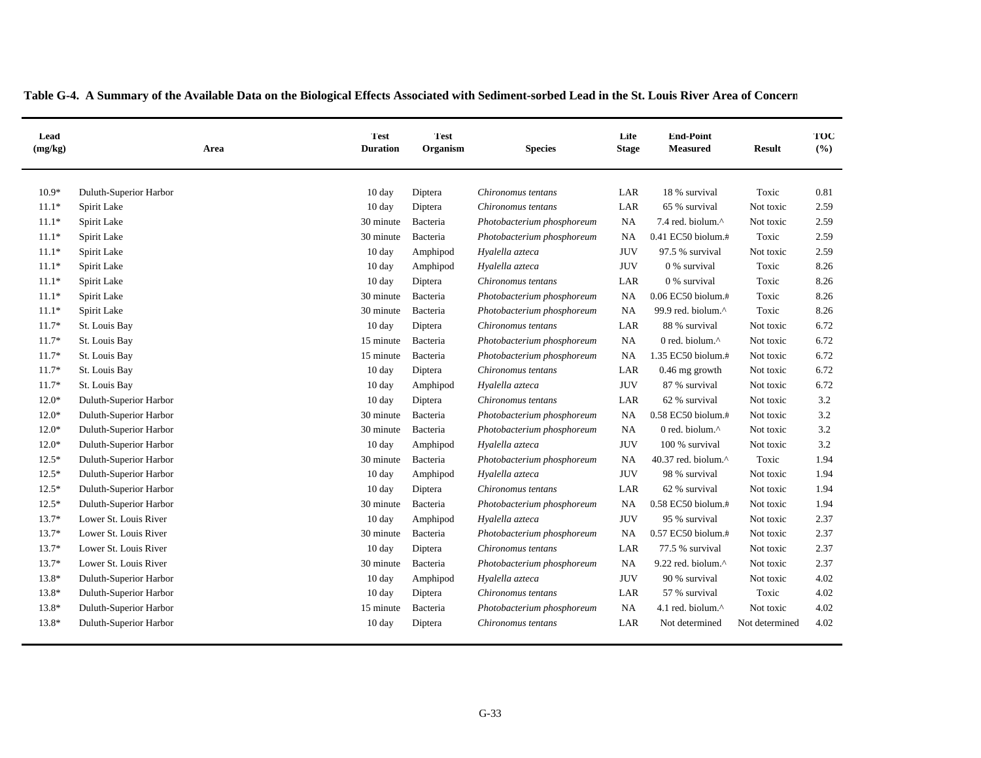| Lead<br>(mg/kg) | Area                   | <b>Test</b><br><b>Duration</b> | Test<br>Organism | <b>Species</b>             | Life<br><b>Stage</b> | <b>End-Point</b><br><b>Measured</b> | <b>Result</b>  | TOC<br>(%) |
|-----------------|------------------------|--------------------------------|------------------|----------------------------|----------------------|-------------------------------------|----------------|------------|
| $10.9*$         | Duluth-Superior Harbor | $10 \text{ day}$               | Diptera          | Chironomus tentans         | LAR                  | 18 % survival                       | Toxic          | 0.81       |
| $11.1*$         | Spirit Lake            | $10 \text{ day}$               | Diptera          | Chironomus tentans         | LAR                  | 65 % survival                       | Not toxic      | 2.59       |
| $11.1*$         | Spirit Lake            | 30 minute                      | Bacteria         | Photobacterium phosphoreum | <b>NA</b>            | 7.4 red. biolum.^                   | Not toxic      | 2.59       |
| $11.1*$         | Spirit Lake            | 30 minute                      | Bacteria         | Photobacterium phosphoreum | <b>NA</b>            | 0.41 EC50 biolum.#                  | Toxic          | 2.59       |
| $11.1*$         | Spirit Lake            | $10 \text{ day}$               | Amphipod         | Hyalella azteca            | <b>JUV</b>           | 97.5 % survival                     | Not toxic      | 2.59       |
| $11.1*$         | Spirit Lake            | $10 \text{ day}$               | Amphipod         | Hyalella azteca            | <b>JUV</b>           | 0 % survival                        | Toxic          | 8.26       |
| $11.1*$         | Spirit Lake            | $10 \text{ day}$               | Diptera          | Chironomus tentans         | LAR                  | 0 % survival                        | Toxic          | 8.26       |
| $11.1*$         | Spirit Lake            | 30 minute                      | Bacteria         | Photobacterium phosphoreum | NA                   | 0.06 EC50 biolum.#                  | Toxic          | 8.26       |
| $11.1*$         | Spirit Lake            | 30 minute                      | Bacteria         | Photobacterium phosphoreum | <b>NA</b>            | 99.9 red. biolum.^                  | Toxic          | 8.26       |
| $11.7*$         | St. Louis Bay          | 10 day                         | Diptera          | Chironomus tentans         | LAR                  | 88 % survival                       | Not toxic      | 6.72       |
| $11.7*$         | St. Louis Bay          | 15 minute                      | Bacteria         | Photobacterium phosphoreum | <b>NA</b>            | 0 red. biolum.^                     | Not toxic      | 6.72       |
| $11.7*$         | St. Louis Bay          | 15 minute                      | Bacteria         | Photobacterium phosphoreum | <b>NA</b>            | 1.35 EC50 biolum.#                  | Not toxic      | 6.72       |
| $11.7*$         | St. Louis Bay          | 10 day                         | Diptera          | Chironomus tentans         | $_{\rm LAR}$         | 0.46 mg growth                      | Not toxic      | 6.72       |
| $11.7*$         | St. Louis Bay          | $10 \text{ day}$               | Amphipod         | Hyalella azteca            | <b>JUV</b>           | 87 % survival                       | Not toxic      | 6.72       |
| $12.0*$         | Duluth-Superior Harbor | $10 \text{ day}$               | Diptera          | Chironomus tentans         | LAR                  | 62 % survival                       | Not toxic      | 3.2        |
| $12.0*$         | Duluth-Superior Harbor | 30 minute                      | Bacteria         | Photobacterium phosphoreum | <b>NA</b>            | 0.58 EC50 biolum.#                  | Not toxic      | 3.2        |
| $12.0*$         | Duluth-Superior Harbor | 30 minute                      | Bacteria         | Photobacterium phosphoreum | <b>NA</b>            | 0 red. biolum.^                     | Not toxic      | 3.2        |
| $12.0*$         | Duluth-Superior Harbor | 10 day                         | Amphipod         | Hyalella azteca            | <b>JUV</b>           | 100 % survival                      | Not toxic      | 3.2        |
| $12.5*$         | Duluth-Superior Harbor | 30 minute                      | Bacteria         | Photobacterium phosphoreum | <b>NA</b>            | 40.37 red. biolum.^                 | Toxic          | 1.94       |
| $12.5*$         | Duluth-Superior Harbor | $10 \text{ day}$               | Amphipod         | Hyalella azteca            | <b>JUV</b>           | 98 % survival                       | Not toxic      | 1.94       |
| $12.5*$         | Duluth-Superior Harbor | 10 day                         | Diptera          | Chironomus tentans         | LAR                  | 62 % survival                       | Not toxic      | 1.94       |
| $12.5*$         | Duluth-Superior Harbor | 30 minute                      | Bacteria         | Photobacterium phosphoreum | NA                   | 0.58 EC50 biolum.#                  | Not toxic      | 1.94       |
| $13.7*$         | Lower St. Louis River  | $10 \text{ day}$               | Amphipod         | Hyalella azteca            | <b>JUV</b>           | 95 % survival                       | Not toxic      | 2.37       |
| 13.7*           | Lower St. Louis River  | 30 minute                      | Bacteria         | Photobacterium phosphoreum | NA                   | 0.57 EC50 biolum.#                  | Not toxic      | 2.37       |
| $13.7*$         | Lower St. Louis River  | $10 \text{ day}$               | Diptera          | Chironomus tentans         | LAR                  | 77.5 % survival                     | Not toxic      | 2.37       |
| 13.7*           | Lower St. Louis River  | 30 minute                      | Bacteria         | Photobacterium phosphoreum | <b>NA</b>            | 9.22 red. biolum.^                  | Not toxic      | 2.37       |
| $13.8*$         | Duluth-Superior Harbor | $10 \text{ day}$               | Amphipod         | Hyalella azteca            | <b>JUV</b>           | 90 % survival                       | Not toxic      | 4.02       |
| 13.8*           | Duluth-Superior Harbor | 10 day                         | Diptera          | Chironomus tentans         | LAR                  | 57 % survival                       | Toxic          | 4.02       |
| $13.8*$         | Duluth-Superior Harbor | 15 minute                      | Bacteria         | Photobacterium phosphoreum | NA                   | 4.1 red. biolum.^                   | Not toxic      | 4.02       |
| $13.8*$         | Duluth-Superior Harbor | 10 day                         | Diptera          | Chironomus tentans         | LAR                  | Not determined                      | Not determined | 4.02       |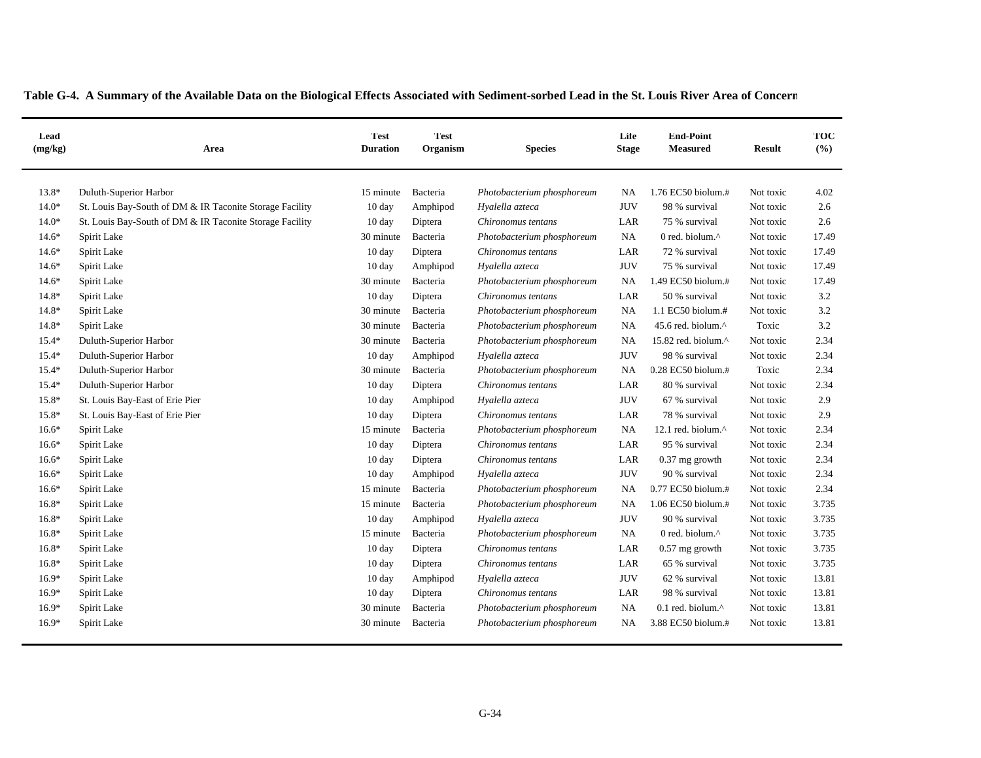|  | Table G-4. A Summary of the Available Data on the Biological Effects Associated with Sediment-sorbed Lead in the St. Louis River Area of Concern |  |  |  |  |  |  |  |
|--|--------------------------------------------------------------------------------------------------------------------------------------------------|--|--|--|--|--|--|--|
|  |                                                                                                                                                  |  |  |  |  |  |  |  |

| Lead<br>(mg/kg) | Area                                                     | <b>Test</b><br><b>Duration</b> | <b>Test</b><br>Organism | <b>Species</b>             | Life<br><b>Stage</b> | <b>End-Point</b><br><b>Measured</b> | <b>Result</b> | TOC<br>(%) |
|-----------------|----------------------------------------------------------|--------------------------------|-------------------------|----------------------------|----------------------|-------------------------------------|---------------|------------|
| $13.8*$         | Duluth-Superior Harbor                                   | 15 minute                      | Bacteria                | Photobacterium phosphoreum | NA                   | 1.76 EC50 biolum.#                  | Not toxic     | 4.02       |
| $14.0*$         | St. Louis Bay-South of DM & IR Taconite Storage Facility | 10 day                         | Amphipod                | Hyalella azteca            | <b>JUV</b>           | 98 % survival                       | Not toxic     | 2.6        |
| $14.0*$         | St. Louis Bay-South of DM & IR Taconite Storage Facility | 10 day                         | Diptera                 | Chironomus tentans         | LAR                  | 75 % survival                       | Not toxic     | 2.6        |
| $14.6*$         | Spirit Lake                                              | 30 minute                      | Bacteria                | Photobacterium phosphoreum | NA                   | 0 red. biolum.^                     | Not toxic     | 17.49      |
| $14.6*$         | Spirit Lake                                              | $10 \text{ day}$               | Diptera                 | Chironomus tentans         | LAR                  | 72 % survival                       | Not toxic     | 17.49      |
| $14.6*$         | Spirit Lake                                              | 10 day                         | Amphipod                | Hyalella azteca            | <b>JUV</b>           | 75 % survival                       | Not toxic     | 17.49      |
| $14.6*$         | Spirit Lake                                              | 30 minute                      | Bacteria                | Photobacterium phosphoreum | NA                   | 1.49 EC50 biolum.#                  | Not toxic     | 17.49      |
| $14.8*$         | Spirit Lake                                              | 10 day                         | Diptera                 | Chironomus tentans         | LAR                  | 50 % survival                       | Not toxic     | 3.2        |
| $14.8*$         | Spirit Lake                                              | 30 minute                      | Bacteria                | Photobacterium phosphoreum | NA                   | 1.1 EC50 biolum.#                   | Not toxic     | 3.2        |
| $14.8*$         | Spirit Lake                                              | 30 minute                      | Bacteria                | Photobacterium phosphoreum | NA                   | 45.6 red. biolum.^                  | Toxic         | 3.2        |
| $15.4*$         | Duluth-Superior Harbor                                   | 30 minute                      | Bacteria                | Photobacterium phosphoreum | NA                   | 15.82 red. biolum.^                 | Not toxic     | 2.34       |
| $15.4*$         | Duluth-Superior Harbor                                   | 10 day                         | Amphipod                | Hyalella azteca            | <b>JUV</b>           | 98 % survival                       | Not toxic     | 2.34       |
| $15.4*$         | Duluth-Superior Harbor                                   | 30 minute                      | Bacteria                | Photobacterium phosphoreum | NA                   | 0.28 EC50 biolum.#                  | Toxic         | 2.34       |
| $15.4*$         | Duluth-Superior Harbor                                   | $10 \text{ day}$               | Diptera                 | Chironomus tentans         | LAR                  | 80 % survival                       | Not toxic     | 2.34       |
| 15.8*           | St. Louis Bay-East of Erie Pier                          | $10 \text{ day}$               | Amphipod                | Hyalella azteca            | <b>JUV</b>           | 67 % survival                       | Not toxic     | 2.9        |
| 15.8*           | St. Louis Bay-East of Erie Pier                          | 10 day                         | Diptera                 | Chironomus tentans         | LAR                  | 78 % survival                       | Not toxic     | 2.9        |
| $16.6*$         | Spirit Lake                                              | 15 minute                      | Bacteria                | Photobacterium phosphoreum | <b>NA</b>            | 12.1 red. biolum.^                  | Not toxic     | 2.34       |
| $16.6*$         | Spirit Lake                                              | $10 \text{ day}$               | Diptera                 | Chironomus tentans         | LAR                  | 95 % survival                       | Not toxic     | 2.34       |
| $16.6*$         | Spirit Lake                                              | 10 day                         | Diptera                 | Chironomus tentans         | LAR                  | $0.37$ mg growth                    | Not toxic     | 2.34       |
| $16.6*$         | Spirit Lake                                              | 10 day                         | Amphipod                | Hyalella azteca            | <b>JUV</b>           | 90 % survival                       | Not toxic     | 2.34       |
| $16.6*$         | Spirit Lake                                              | 15 minute                      | Bacteria                | Photobacterium phosphoreum | NA                   | 0.77 EC50 biolum.#                  | Not toxic     | 2.34       |
| $16.8*$         | Spirit Lake                                              | 15 minute                      | Bacteria                | Photobacterium phosphoreum | NA                   | 1.06 EC50 biolum.#                  | Not toxic     | 3.735      |
| $16.8*$         | Spirit Lake                                              | 10 day                         | Amphipod                | Hyalella azteca            | <b>JUV</b>           | 90 % survival                       | Not toxic     | 3.735      |
| $16.8*$         | Spirit Lake                                              | 15 minute                      | Bacteria                | Photobacterium phosphoreum | <b>NA</b>            | 0 red. biolum.^                     | Not toxic     | 3.735      |
| $16.8*$         | Spirit Lake                                              | $10 \text{ day}$               | Diptera                 | Chironomus tentans         | LAR                  | $0.57$ mg growth                    | Not toxic     | 3.735      |
| $16.8*$         | Spirit Lake                                              | 10 day                         | Diptera                 | Chironomus tentans         | LAR                  | 65 % survival                       | Not toxic     | 3.735      |
| $16.9*$         | Spirit Lake                                              | $10 \text{ day}$               | Amphipod                | Hyalella azteca            | <b>JUV</b>           | 62 % survival                       | Not toxic     | 13.81      |
| $16.9*$         | Spirit Lake                                              | 10 day                         | Diptera                 | Chironomus tentans         | LAR                  | 98 % survival                       | Not toxic     | 13.81      |
| $16.9*$         | Spirit Lake                                              | 30 minute                      | Bacteria                | Photobacterium phosphoreum | NA                   | $0.1$ red. biolum. $^{\wedge}$      | Not toxic     | 13.81      |
| $16.9*$         | Spirit Lake                                              | 30 minute                      | Bacteria                | Photobacterium phosphoreum | NA                   | 3.88 EC50 biolum.#                  | Not toxic     | 13.81      |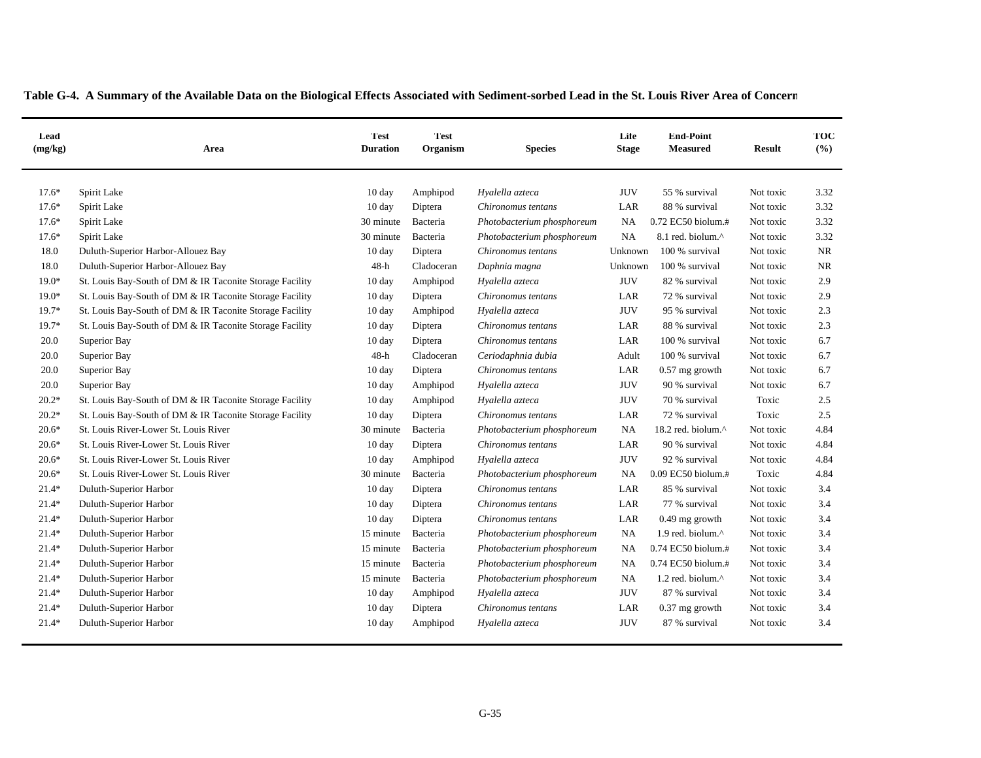|  |  |  | Table G-4. A Summary of the Available Data on the Biological Effects Associated with Sediment-sorbed Lead in the St. Louis River Area of Concern |
|--|--|--|--------------------------------------------------------------------------------------------------------------------------------------------------|
|  |  |  |                                                                                                                                                  |

| Lead<br>(mg/kg) | Area                                                     | <b>Test</b><br><b>Duration</b> | <b>Test</b><br>Organism | <b>Species</b>             | Life<br><b>Stage</b> | <b>End-Point</b><br><b>Measured</b> | <b>Result</b> | TOC<br>(%) |
|-----------------|----------------------------------------------------------|--------------------------------|-------------------------|----------------------------|----------------------|-------------------------------------|---------------|------------|
| $17.6*$         | Spirit Lake                                              | $10 \text{ day}$               | Amphipod                | Hyalella azteca            | <b>JUV</b>           | 55 % survival                       | Not toxic     | 3.32       |
| $17.6*$         | Spirit Lake                                              | $10 \text{ day}$               | Diptera                 | Chironomus tentans         | LAR                  | 88 % survival                       | Not toxic     | 3.32       |
| $17.6*$         | Spirit Lake                                              | 30 minute                      | Bacteria                | Photobacterium phosphoreum | NA                   | 0.72 EC50 biolum.#                  | Not toxic     | 3.32       |
| $17.6*$         | Spirit Lake                                              | 30 minute                      | Bacteria                | Photobacterium phosphoreum | NA                   | 8.1 red. biolum.^                   | Not toxic     | 3.32       |
| 18.0            | Duluth-Superior Harbor-Allouez Bay                       | 10 day                         | Diptera                 | Chironomus tentans         | Unknown              | 100 % survival                      | Not toxic     | NR         |
| 18.0            | Duluth-Superior Harbor-Allouez Bay                       | 48-h                           | Cladoceran              | Daphnia magna              | Unknown              | 100 % survival                      | Not toxic     | NR         |
| $19.0*$         | St. Louis Bay-South of DM & IR Taconite Storage Facility | $10 \text{ day}$               | Amphipod                | Hyalella azteca            | <b>JUV</b>           | 82 % survival                       | Not toxic     | 2.9        |
| $19.0*$         | St. Louis Bay-South of DM & IR Taconite Storage Facility | 10 day                         | Diptera                 | Chironomus tentans         | LAR                  | 72 % survival                       | Not toxic     | 2.9        |
| $19.7*$         | St. Louis Bay-South of DM & IR Taconite Storage Facility | $10 \text{ day}$               | Amphipod                | Hyalella azteca            | <b>JUV</b>           | 95 % survival                       | Not toxic     | 2.3        |
| $19.7*$         | St. Louis Bay-South of DM & IR Taconite Storage Facility | 10 day                         | Diptera                 | Chironomus tentans         | LAR                  | 88 % survival                       | Not toxic     | 2.3        |
| 20.0            | Superior Bay                                             | 10 day                         | Diptera                 | Chironomus tentans         | LAR                  | 100 % survival                      | Not toxic     | 6.7        |
| 20.0            | Superior Bay                                             | $48-h$                         | Cladoceran              | Ceriodaphnia dubia         | Adult                | 100 % survival                      | Not toxic     | 6.7        |
| 20.0            | Superior Bay                                             | 10 day                         | Diptera                 | Chironomus tentans         | LAR                  | $0.57$ mg growth                    | Not toxic     | 6.7        |
| 20.0            | Superior Bay                                             | 10 day                         | Amphipod                | Hyalella azteca            | <b>JUV</b>           | 90 % survival                       | Not toxic     | 6.7        |
| $20.2*$         | St. Louis Bay-South of DM & IR Taconite Storage Facility | 10 day                         | Amphipod                | Hyalella azteca            | <b>JUV</b>           | 70 % survival                       | Toxic         | 2.5        |
| $20.2*$         | St. Louis Bay-South of DM & IR Taconite Storage Facility | $10 \text{ day}$               | Diptera                 | Chironomus tentans         | LAR                  | 72 % survival                       | Toxic         | 2.5        |
| $20.6*$         | St. Louis River-Lower St. Louis River                    | 30 minute                      | Bacteria                | Photobacterium phosphoreum | <b>NA</b>            | 18.2 red. biolum.^                  | Not toxic     | 4.84       |
| $20.6*$         | St. Louis River-Lower St. Louis River                    | $10 \text{ day}$               | Diptera                 | Chironomus tentans         | LAR                  | 90 % survival                       | Not toxic     | 4.84       |
| $20.6*$         | St. Louis River-Lower St. Louis River                    | $10 \text{ day}$               | Amphipod                | Hyalella azteca            | <b>JUV</b>           | 92 % survival                       | Not toxic     | 4.84       |
| $20.6*$         | St. Louis River-Lower St. Louis River                    | 30 minute                      | Bacteria                | Photobacterium phosphoreum | NA                   | 0.09 EC50 biolum.#                  | Toxic         | 4.84       |
| $21.4*$         | Duluth-Superior Harbor                                   | $10 \text{ day}$               | Diptera                 | Chironomus tentans         | LAR                  | 85 % survival                       | Not toxic     | 3.4        |
| $21.4*$         | Duluth-Superior Harbor                                   | $10 \text{ day}$               | Diptera                 | Chironomus tentans         | LAR                  | 77 % survival                       | Not toxic     | 3.4        |
| $21.4*$         | Duluth-Superior Harbor                                   | 10 day                         | Diptera                 | Chironomus tentans         | LAR                  | 0.49 mg growth                      | Not toxic     | 3.4        |
| $21.4*$         | Duluth-Superior Harbor                                   | 15 minute                      | Bacteria                | Photobacterium phosphoreum | NA                   | 1.9 red. biolum.^                   | Not toxic     | 3.4        |
| $21.4*$         | Duluth-Superior Harbor                                   | 15 minute                      | Bacteria                | Photobacterium phosphoreum | NA                   | 0.74 EC50 biolum.#                  | Not toxic     | 3.4        |
| $21.4*$         | Duluth-Superior Harbor                                   | 15 minute                      | Bacteria                | Photobacterium phosphoreum | NA                   | 0.74 EC50 biolum.#                  | Not toxic     | 3.4        |
| $21.4*$         | Duluth-Superior Harbor                                   | 15 minute                      | Bacteria                | Photobacterium phosphoreum | NA                   | 1.2 red. biolum.^                   | Not toxic     | 3.4        |
| $21.4*$         | Duluth-Superior Harbor                                   | $10 \text{ day}$               | Amphipod                | Hyalella azteca            | <b>JUV</b>           | 87 % survival                       | Not toxic     | 3.4        |
| $21.4*$         | Duluth-Superior Harbor                                   | 10 day                         | Diptera                 | Chironomus tentans         | LAR                  | $0.37$ mg growth                    | Not toxic     | 3.4        |
| $21.4*$         | Duluth-Superior Harbor                                   | $10 \text{ day}$               | Amphipod                | Hyalella azteca            | <b>JUV</b>           | 87 % survival                       | Not toxic     | 3.4        |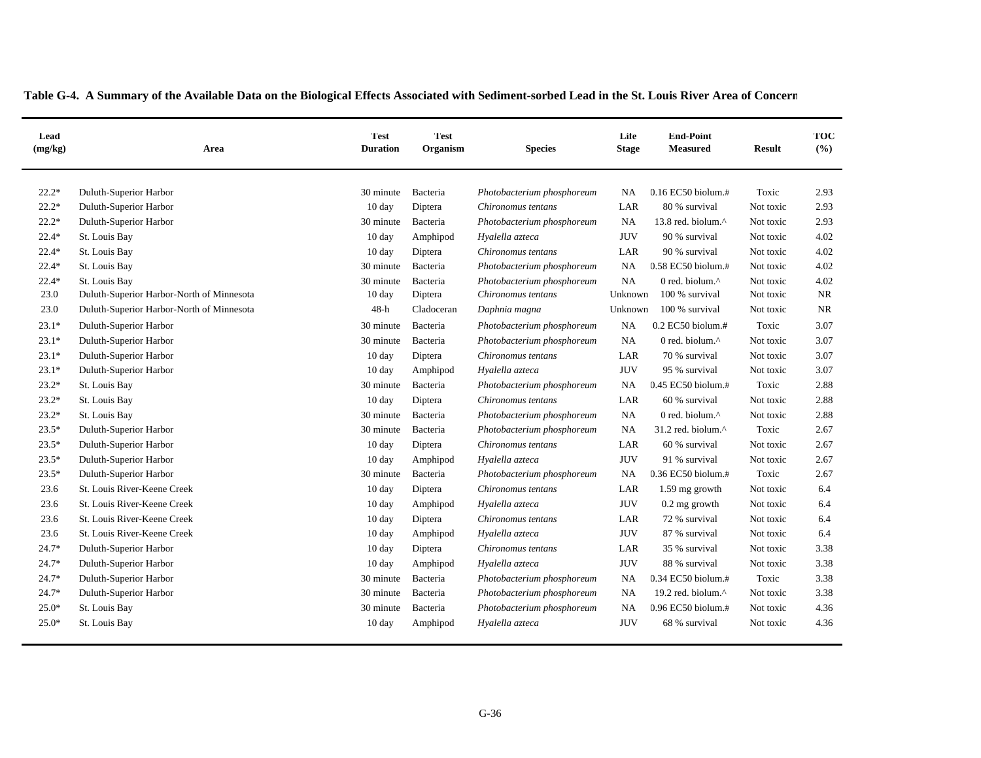| Lead<br>(mg/kg) | Area                                      | <b>Test</b><br><b>Duration</b> | <b>Test</b><br>Organism | <b>Species</b>             | Life<br><b>Stage</b> | <b>End-Point</b><br><b>Measured</b> | <b>Result</b> | TOC<br>(9/6) |
|-----------------|-------------------------------------------|--------------------------------|-------------------------|----------------------------|----------------------|-------------------------------------|---------------|--------------|
| $22.2*$         | Duluth-Superior Harbor                    | 30 minute                      | Bacteria                | Photobacterium phosphoreum | NA.                  | $0.16$ EC50 biolum. $\#$            | Toxic         | 2.93         |
| $22.2*$         | Duluth-Superior Harbor                    | 10 day                         | Diptera                 | Chironomus tentans         | LAR                  | 80 % survival                       | Not toxic     | 2.93         |
| $22.2*$         | Duluth-Superior Harbor                    | 30 minute                      | Bacteria                | Photobacterium phosphoreum | NA                   | 13.8 red. biolum.^                  | Not toxic     | 2.93         |
| $22.4*$         | St. Louis Bay                             | 10 day                         | Amphipod                | Hyalella azteca            | <b>JUV</b>           | 90 % survival                       | Not toxic     | 4.02         |
| $22.4*$         | St. Louis Bay                             | 10 day                         | Diptera                 | Chironomus tentans         | LAR                  | 90 % survival                       | Not toxic     | 4.02         |
| $22.4*$         | St. Louis Bay                             | 30 minute                      | Bacteria                | Photobacterium phosphoreum | <b>NA</b>            | 0.58 EC50 biolum.#                  | Not toxic     | 4.02         |
| $22.4*$         | St. Louis Bay                             | 30 minute                      | Bacteria                | Photobacterium phosphoreum | NA                   | 0 red. biolum. $\wedge$             | Not toxic     | 4.02         |
| 23.0            | Duluth-Superior Harbor-North of Minnesota | 10 day                         | Diptera                 | Chironomus tentans         | Unknown              | 100 % survival                      | Not toxic     | <b>NR</b>    |
| 23.0            | Duluth-Superior Harbor-North of Minnesota | $48-h$                         | Cladoceran              | Daphnia magna              | Unknown              | 100 % survival                      | Not toxic     | NR           |
| $23.1*$         | Duluth-Superior Harbor                    | 30 minute                      | Bacteria                | Photobacterium phosphoreum | <b>NA</b>            | $0.2$ EC50 biolum.#                 | Toxic         | 3.07         |
| $23.1*$         | Duluth-Superior Harbor                    | 30 minute                      | Bacteria                | Photobacterium phosphoreum | NA                   | 0 red. biolum. $\wedge$             | Not toxic     | 3.07         |
| $23.1*$         | Duluth-Superior Harbor                    | 10 day                         | Diptera                 | Chironomus tentans         | LAR                  | 70 % survival                       | Not toxic     | 3.07         |
| $23.1*$         | Duluth-Superior Harbor                    | 10 day                         | Amphipod                | Hyalella azteca            | <b>JUV</b>           | 95 % survival                       | Not toxic     | 3.07         |
| $23.2*$         | St. Louis Bay                             | 30 minute                      | Bacteria                | Photobacterium phosphoreum | NA                   | 0.45 EC50 biolum.#                  | Toxic         | 2.88         |
| $23.2*$         | St. Louis Bay                             | 10 day                         | Diptera                 | Chironomus tentans         | LAR                  | 60 % survival                       | Not toxic     | 2.88         |
| $23.2*$         | St. Louis Bay                             | 30 minute                      | Bacteria                | Photobacterium phosphoreum | NA                   | 0 red. biolum. $\wedge$             | Not toxic     | 2.88         |
| $23.5*$         | Duluth-Superior Harbor                    | 30 minute                      | Bacteria                | Photobacterium phosphoreum | <b>NA</b>            | 31.2 red. biolum.^                  | Toxic         | 2.67         |
| $23.5*$         | Duluth-Superior Harbor                    | 10 day                         | Diptera                 | Chironomus tentans         | LAR                  | 60 % survival                       | Not toxic     | 2.67         |
| 23.5*           | Duluth-Superior Harbor                    | 10 day                         | Amphipod                | Hyalella azteca            | <b>JUV</b>           | 91 % survival                       | Not toxic     | 2.67         |
| $23.5*$         | Duluth-Superior Harbor                    | 30 minute                      | Bacteria                | Photobacterium phosphoreum | <b>NA</b>            | 0.36 EC50 biolum.#                  | Toxic         | 2.67         |
| 23.6            | St. Louis River-Keene Creek               | 10 day                         | Diptera                 | Chironomus tentans         | LAR                  | 1.59 mg growth                      | Not toxic     | 6.4          |
| 23.6            | St. Louis River-Keene Creek               | 10 day                         | Amphipod                | Hyalella azteca            | <b>JUV</b>           | $0.2$ mg growth                     | Not toxic     | 6.4          |
| 23.6            | St. Louis River-Keene Creek               | 10 day                         | Diptera                 | Chironomus tentans         | LAR                  | 72 % survival                       | Not toxic     | 6.4          |
| 23.6            | St. Louis River-Keene Creek               | 10 day                         | Amphipod                | Hyalella azteca            | <b>JUV</b>           | 87 % survival                       | Not toxic     | 6.4          |
| 24.7*           | Duluth-Superior Harbor                    | 10 day                         | Diptera                 | Chironomus tentans         | LAR                  | 35 % survival                       | Not toxic     | 3.38         |
| 24.7*           | Duluth-Superior Harbor                    | 10 day                         | Amphipod                | Hyalella azteca            | <b>JUV</b>           | 88 % survival                       | Not toxic     | 3.38         |
| $24.7*$         | Duluth-Superior Harbor                    | 30 minute                      | Bacteria                | Photobacterium phosphoreum | <b>NA</b>            | 0.34 EC50 biolum.#                  | Toxic         | 3.38         |
| $24.7*$         | Duluth-Superior Harbor                    | 30 minute                      | Bacteria                | Photobacterium phosphoreum | NA                   | 19.2 red. biolum.^                  | Not toxic     | 3.38         |
| $25.0*$         | St. Louis Bay                             | 30 minute                      | Bacteria                | Photobacterium phosphoreum | <b>NA</b>            | 0.96 EC50 biolum.#                  | Not toxic     | 4.36         |
| $25.0*$         | St. Louis Bay                             | 10 day                         | Amphipod                | Hyalella azteca            | <b>JUV</b>           | 68 % survival                       | Not toxic     | 4.36         |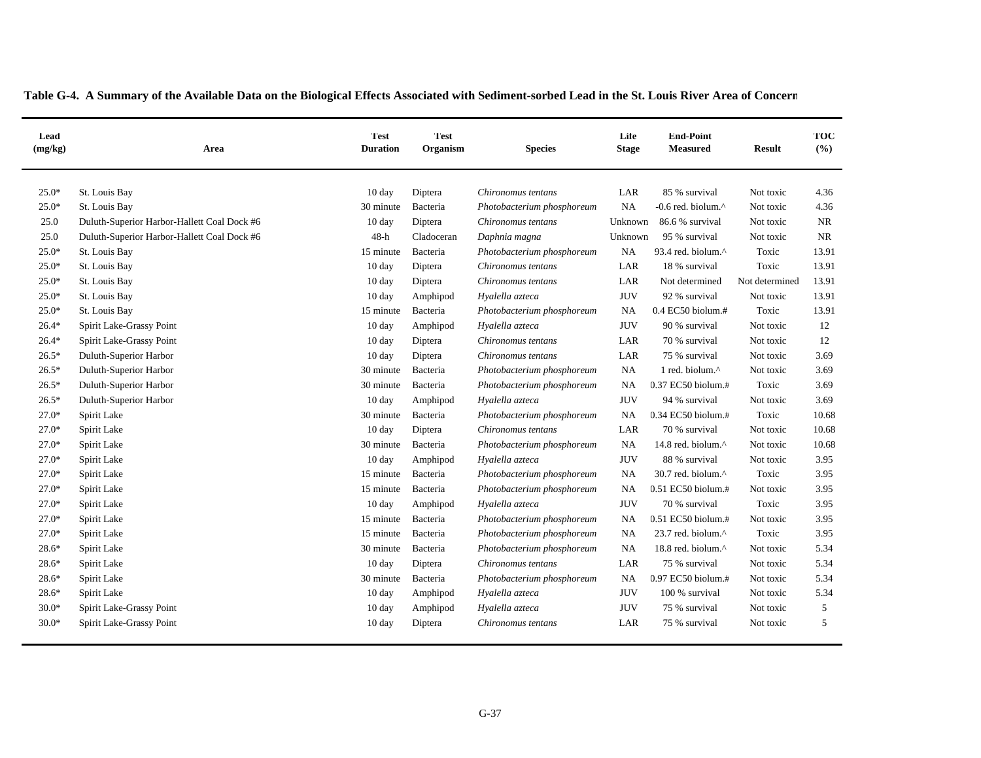| Lead<br>(mg/kg) | Area                                        | <b>Test</b><br><b>Duration</b> | <b>Test</b><br>Organism | <b>Species</b>             | Life<br><b>Stage</b> | <b>End-Point</b><br><b>Measured</b> | <b>Result</b>  | TOC<br>(%) |
|-----------------|---------------------------------------------|--------------------------------|-------------------------|----------------------------|----------------------|-------------------------------------|----------------|------------|
| $25.0*$         | St. Louis Bay                               | $10 \text{ day}$               | Diptera                 | Chironomus tentans         | LAR                  | 85 % survival                       | Not toxic      | 4.36       |
| $25.0*$         | St. Louis Bay                               | 30 minute                      | Bacteria                | Photobacterium phosphoreum | <b>NA</b>            | -0.6 red. biolum.^                  | Not toxic      | 4.36       |
| 25.0            | Duluth-Superior Harbor-Hallett Coal Dock #6 | 10 day                         | Diptera                 | Chironomus tentans         | Unknown              | 86.6 % survival                     | Not toxic      | <b>NR</b>  |
| 25.0            | Duluth-Superior Harbor-Hallett Coal Dock #6 | $48-h$                         | Cladoceran              | Daphnia magna              | Unknown              | 95 % survival                       | Not toxic      | <b>NR</b>  |
| $25.0*$         | St. Louis Bay                               | 15 minute                      | Bacteria                | Photobacterium phosphoreum | <b>NA</b>            | 93.4 red. biolum.^                  | Toxic          | 13.91      |
| $25.0*$         | St. Louis Bay                               | 10 day                         | Diptera                 | Chironomus tentans         | LAR                  | 18 % survival                       | Toxic          | 13.91      |
| $25.0*$         | St. Louis Bay                               | $10 \text{ day}$               | Diptera                 | Chironomus tentans         | LAR                  | Not determined                      | Not determined | 13.91      |
| $25.0*$         | St. Louis Bay                               | $10 \text{ day}$               | Amphipod                | Hyalella azteca            | <b>JUV</b>           | 92 % survival                       | Not toxic      | 13.91      |
| $25.0*$         | St. Louis Bay                               | 15 minute                      | Bacteria                | Photobacterium phosphoreum | <b>NA</b>            | 0.4 EC50 biolum.#                   | Toxic          | 13.91      |
| $26.4*$         | Spirit Lake-Grassy Point                    | $10 \text{ day}$               | Amphipod                | Hyalella azteca            | <b>JUV</b>           | 90 % survival                       | Not toxic      | 12         |
| $26.4*$         | Spirit Lake-Grassy Point                    | 10 day                         | Diptera                 | Chironomus tentans         | LAR                  | 70 % survival                       | Not toxic      | 12         |
| $26.5*$         | Duluth-Superior Harbor                      | 10 day                         | Diptera                 | Chironomus tentans         | LAR                  | 75 % survival                       | Not toxic      | 3.69       |
| $26.5*$         | Duluth-Superior Harbor                      | 30 minute                      | Bacteria                | Photobacterium phosphoreum | <b>NA</b>            | 1 red. biolum.^                     | Not toxic      | 3.69       |
| $26.5*$         | Duluth-Superior Harbor                      | 30 minute                      | Bacteria                | Photobacterium phosphoreum | <b>NA</b>            | 0.37 EC50 biolum.#                  | Toxic          | 3.69       |
| $26.5*$         | Duluth-Superior Harbor                      | 10 day                         | Amphipod                | Hyalella azteca            | <b>JUV</b>           | 94 % survival                       | Not toxic      | 3.69       |
| $27.0*$         | Spirit Lake                                 | 30 minute                      | Bacteria                | Photobacterium phosphoreum | <b>NA</b>            | 0.34 EC50 biolum.#                  | Toxic          | 10.68      |
| $27.0*$         | Spirit Lake                                 | 10 day                         | Diptera                 | Chironomus tentans         | LAR                  | 70 % survival                       | Not toxic      | 10.68      |
| $27.0*$         | Spirit Lake                                 | 30 minute                      | Bacteria                | Photobacterium phosphoreum | <b>NA</b>            | 14.8 red. biolum.^                  | Not toxic      | 10.68      |
| 27.0*           | Spirit Lake                                 | 10 day                         | Amphipod                | Hyalella azteca            | <b>JUV</b>           | 88 % survival                       | Not toxic      | 3.95       |
| $27.0*$         | Spirit Lake                                 | 15 minute                      | Bacteria                | Photobacterium phosphoreum | NA                   | 30.7 red. biolum.^                  | Toxic          | 3.95       |
| $27.0*$         | Spirit Lake                                 | 15 minute                      | Bacteria                | Photobacterium phosphoreum | NA                   | 0.51 EC50 biolum.#                  | Not toxic      | 3.95       |
| $27.0*$         | Spirit Lake                                 | 10 day                         | Amphipod                | Hyalella azteca            | <b>JUV</b>           | 70 % survival                       | Toxic          | 3.95       |
| $27.0*$         | Spirit Lake                                 | 15 minute                      | Bacteria                | Photobacterium phosphoreum | <b>NA</b>            | 0.51 EC50 biolum.#                  | Not toxic      | 3.95       |
| $27.0*$         | Spirit Lake                                 | 15 minute                      | Bacteria                | Photobacterium phosphoreum | NA                   | 23.7 red. biolum.^                  | Toxic          | 3.95       |
| 28.6*           | Spirit Lake                                 | 30 minute                      | Bacteria                | Photobacterium phosphoreum | <b>NA</b>            | 18.8 red. biolum.^                  | Not toxic      | 5.34       |
| 28.6*           | Spirit Lake                                 | 10 day                         | Diptera                 | Chironomus tentans         | LAR                  | 75 % survival                       | Not toxic      | 5.34       |
| $28.6*$         | Spirit Lake                                 | 30 minute                      | Bacteria                | Photobacterium phosphoreum | <b>NA</b>            | 0.97 EC50 biolum.#                  | Not toxic      | 5.34       |
| $28.6*$         | Spirit Lake                                 | $10 \text{ day}$               | Amphipod                | Hyalella azteca            | <b>JUV</b>           | 100 % survival                      | Not toxic      | 5.34       |
| $30.0*$         | Spirit Lake-Grassy Point                    | $10 \text{ day}$               | Amphipod                | Hyalella azteca            | <b>JUV</b>           | 75 % survival                       | Not toxic      | 5          |
| $30.0*$         | Spirit Lake-Grassy Point                    | $10 \text{ day}$               | Diptera                 | Chironomus tentans         | LAR                  | 75 % survival                       | Not toxic      | 5          |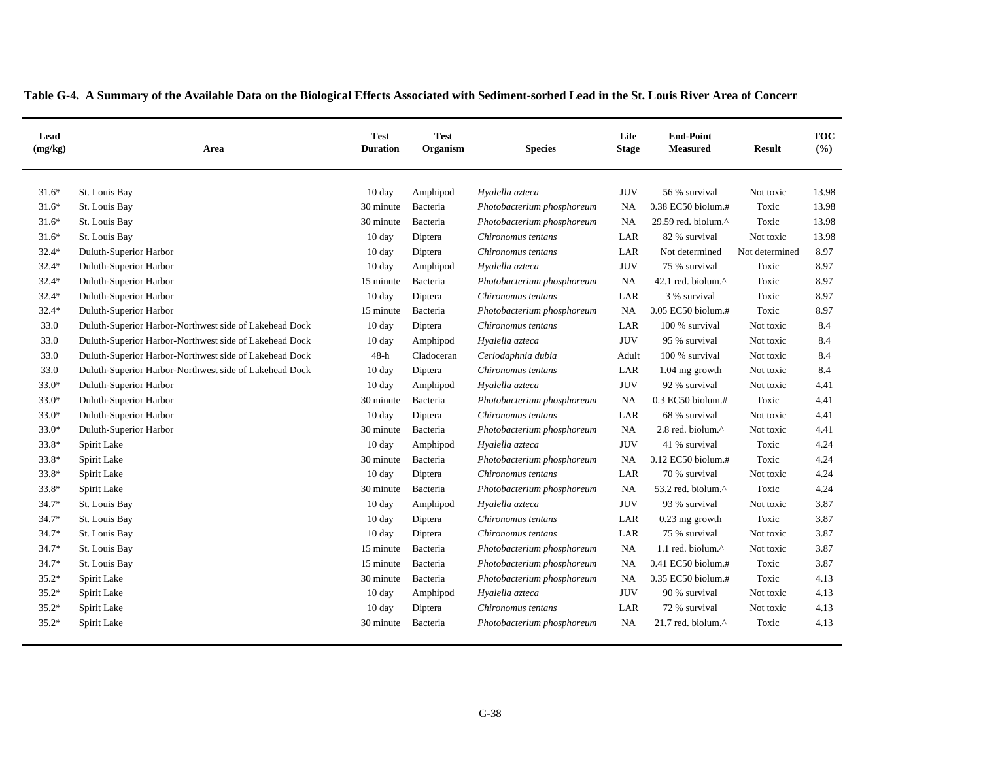| Lead<br>(mg/kg) | Area                                                   | <b>Test</b><br><b>Duration</b> | <b>Test</b><br>Organism | <b>Species</b>             | Life<br><b>Stage</b> | <b>End-Point</b><br><b>Measured</b> | <b>Result</b>  | TOC<br>(%) |
|-----------------|--------------------------------------------------------|--------------------------------|-------------------------|----------------------------|----------------------|-------------------------------------|----------------|------------|
| $31.6*$         | St. Louis Bay                                          | 10 day                         | Amphipod                | Hyalella azteca            | <b>JUV</b>           | 56 % survival                       | Not toxic      | 13.98      |
| $31.6*$         | St. Louis Bay                                          | 30 minute                      | Bacteria                | Photobacterium phosphoreum | NA                   | 0.38 EC50 biolum.#                  | Toxic          | 13.98      |
| $31.6*$         | St. Louis Bay                                          | 30 minute                      | Bacteria                | Photobacterium phosphoreum | <b>NA</b>            | 29.59 red. biolum.^                 | Toxic          | 13.98      |
| $31.6*$         | St. Louis Bay                                          | 10 day                         | Diptera                 | Chironomus tentans         | LAR                  | 82 % survival                       | Not toxic      | 13.98      |
| $32.4*$         | Duluth-Superior Harbor                                 | 10 day                         | Diptera                 | Chironomus tentans         | LAR                  | Not determined                      | Not determined | 8.97       |
| $32.4*$         | Duluth-Superior Harbor                                 | $10 \text{ day}$               | Amphipod                | Hyalella azteca            | <b>JUV</b>           | 75 % survival                       | Toxic          | 8.97       |
| $32.4*$         | Duluth-Superior Harbor                                 | 15 minute                      | Bacteria                | Photobacterium phosphoreum | <b>NA</b>            | 42.1 red. biolum.^                  | Toxic          | 8.97       |
| $32.4*$         | Duluth-Superior Harbor                                 | 10 day                         | Diptera                 | Chironomus tentans         | LAR                  | 3 % survival                        | Toxic          | 8.97       |
| $32.4*$         | Duluth-Superior Harbor                                 | 15 minute                      | Bacteria                | Photobacterium phosphoreum | <b>NA</b>            | 0.05 EC50 biolum.#                  | Toxic          | 8.97       |
| 33.0            | Duluth-Superior Harbor-Northwest side of Lakehead Dock | 10 day                         | Diptera                 | Chironomus tentans         | LAR                  | 100 % survival                      | Not toxic      | 8.4        |
| 33.0            | Duluth-Superior Harbor-Northwest side of Lakehead Dock | 10 day                         | Amphipod                | Hyalella azteca            | <b>JUV</b>           | 95 % survival                       | Not toxic      | 8.4        |
| 33.0            | Duluth-Superior Harbor-Northwest side of Lakehead Dock | $48-h$                         | Cladoceran              | Ceriodaphnia dubia         | Adult                | 100 % survival                      | Not toxic      | 8.4        |
| 33.0            | Duluth-Superior Harbor-Northwest side of Lakehead Dock | 10 day                         | Diptera                 | Chironomus tentans         | LAR                  | $1.04$ mg growth                    | Not toxic      | 8.4        |
| $33.0*$         | Duluth-Superior Harbor                                 | 10 day                         | Amphipod                | Hyalella azteca            | <b>JUV</b>           | 92 % survival                       | Not toxic      | 4.41       |
| $33.0*$         | Duluth-Superior Harbor                                 | 30 minute                      | Bacteria                | Photobacterium phosphoreum | NA                   | 0.3 EC50 biolum.#                   | Toxic          | 4.41       |
| $33.0*$         | Duluth-Superior Harbor                                 | 10 day                         | Diptera                 | Chironomus tentans         | LAR                  | 68 % survival                       | Not toxic      | 4.41       |
| 33.0*           | Duluth-Superior Harbor                                 | 30 minute                      | Bacteria                | Photobacterium phosphoreum | NA                   | 2.8 red. biolum.^                   | Not toxic      | 4.41       |
| 33.8*           | Spirit Lake                                            | 10 day                         | Amphipod                | Hyalella azteca            | <b>JUV</b>           | 41 % survival                       | Toxic          | 4.24       |
| 33.8*           | Spirit Lake                                            | 30 minute                      | Bacteria                | Photobacterium phosphoreum | NA                   | $0.12$ EC50 biolum. $\#$            | Toxic          | 4.24       |
| 33.8*           | Spirit Lake                                            | 10 day                         | Diptera                 | Chironomus tentans         | LAR                  | 70 % survival                       | Not toxic      | 4.24       |
| 33.8*           | Spirit Lake                                            | 30 minute                      | Bacteria                | Photobacterium phosphoreum | <b>NA</b>            | 53.2 red. biolum.^                  | Toxic          | 4.24       |
| 34.7*           | St. Louis Bay                                          | 10 day                         | Amphipod                | Hyalella azteca            | <b>JUV</b>           | 93 % survival                       | Not toxic      | 3.87       |
| $34.7*$         | St. Louis Bay                                          | 10 day                         | Diptera                 | Chironomus tentans         | LAR                  | $0.23$ mg growth                    | Toxic          | 3.87       |
| 34.7*           | St. Louis Bay                                          | 10 day                         | Diptera                 | Chironomus tentans         | LAR                  | 75 % survival                       | Not toxic      | 3.87       |
| 34.7*           | St. Louis Bay                                          | 15 minute                      | Bacteria                | Photobacterium phosphoreum | <b>NA</b>            | 1.1 red. biolum.^                   | Not toxic      | 3.87       |
| $34.7*$         | St. Louis Bay                                          | 15 minute                      | Bacteria                | Photobacterium phosphoreum | NA                   | 0.41 EC50 biolum.#                  | Toxic          | 3.87       |
| $35.2*$         | Spirit Lake                                            | 30 minute                      | Bacteria                | Photobacterium phosphoreum | NA.                  | 0.35 EC50 biolum.#                  | Toxic          | 4.13       |
| $35.2*$         | Spirit Lake                                            | 10 day                         | Amphipod                | Hyalella azteca            | <b>JUV</b>           | 90 % survival                       | Not toxic      | 4.13       |
| $35.2*$         | Spirit Lake                                            | 10 day                         | Diptera                 | Chironomus tentans         | LAR                  | 72 % survival                       | Not toxic      | 4.13       |
| $35.2*$         | Spirit Lake                                            | 30 minute                      | Bacteria                | Photobacterium phosphoreum | NA                   | 21.7 red. biolum.^                  | Toxic          | 4.13       |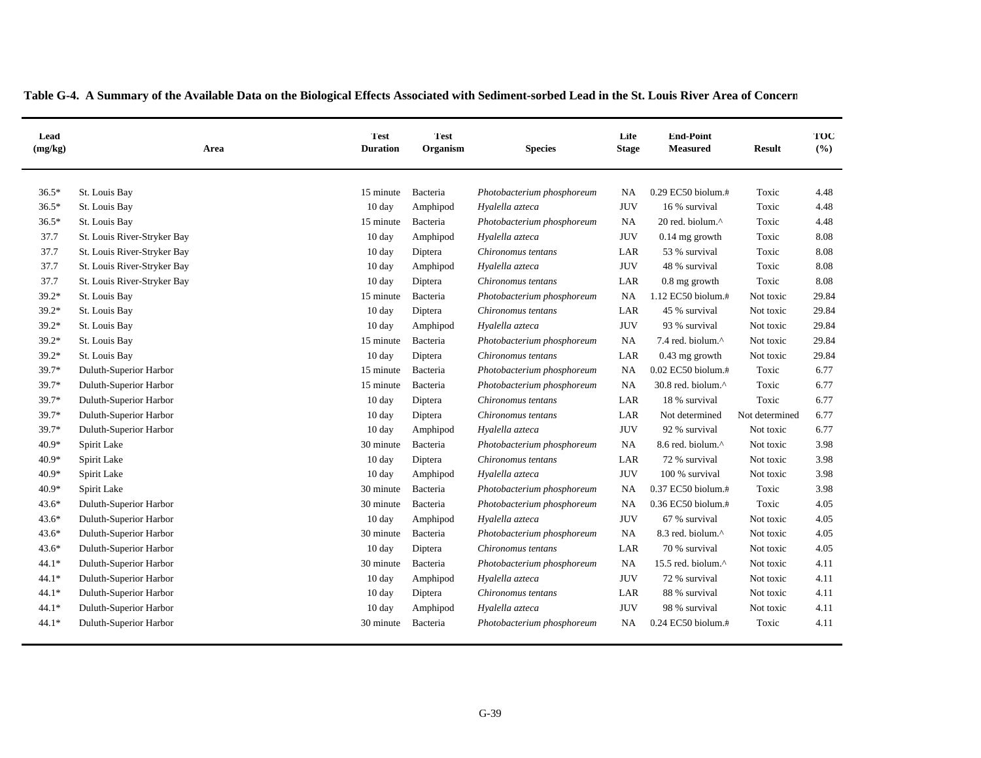| Lead<br>(mg/kg) | Area                        | <b>Test</b><br><b>Duration</b> | <b>Test</b><br>Organism | <b>Species</b>             | Life<br><b>Stage</b> | <b>End-Point</b><br><b>Measured</b> | <b>Result</b>  | TOC<br>(%) |
|-----------------|-----------------------------|--------------------------------|-------------------------|----------------------------|----------------------|-------------------------------------|----------------|------------|
| $36.5*$         | St. Louis Bay               | 15 minute                      | Bacteria                | Photobacterium phosphoreum | <b>NA</b>            | 0.29 EC50 biolum.#                  | Toxic          | 4.48       |
| $36.5*$         | St. Louis Bay               | 10 day                         | Amphipod                | Hyalella azteca            | <b>JUV</b>           | 16 % survival                       | Toxic          | 4.48       |
| $36.5*$         | St. Louis Bay               | 15 minute                      | Bacteria                | Photobacterium phosphoreum | <b>NA</b>            | 20 red. biolum.^                    | Toxic          | 4.48       |
| 37.7            | St. Louis River-Stryker Bay | $10 \text{ day}$               | Amphipod                | Hyalella azteca            | <b>JUV</b>           | $0.14$ mg growth                    | Toxic          | 8.08       |
| 37.7            | St. Louis River-Stryker Bay | $10 \text{ day}$               | Diptera                 | Chironomus tentans         | LAR                  | 53 % survival                       | Toxic          | 8.08       |
| 37.7            | St. Louis River-Stryker Bay | $10 \text{ day}$               | Amphipod                | Hyalella azteca            | <b>JUV</b>           | 48 % survival                       | Toxic          | 8.08       |
| 37.7            | St. Louis River-Stryker Bay | 10 day                         | Diptera                 | Chironomus tentans         | LAR                  | 0.8 mg growth                       | Toxic          | 8.08       |
| $39.2*$         | St. Louis Bay               | 15 minute                      | Bacteria                | Photobacterium phosphoreum | <b>NA</b>            | 1.12 EC50 biolum.#                  | Not toxic      | 29.84      |
| $39.2*$         | St. Louis Bay               | $10 \text{ day}$               | Diptera                 | Chironomus tentans         | LAR                  | 45 % survival                       | Not toxic      | 29.84      |
| $39.2*$         | St. Louis Bay               | $10 \text{ day}$               | Amphipod                | Hyalella azteca            | <b>JUV</b>           | 93 % survival                       | Not toxic      | 29.84      |
| $39.2*$         | St. Louis Bay               | 15 minute                      | Bacteria                | Photobacterium phosphoreum | <b>NA</b>            | 7.4 red. biolum.^                   | Not toxic      | 29.84      |
| $39.2*$         | St. Louis Bay               | 10 day                         | Diptera                 | Chironomus tentans         | LAR                  | 0.43 mg growth                      | Not toxic      | 29.84      |
| 39.7*           | Duluth-Superior Harbor      | 15 minute                      | Bacteria                | Photobacterium phosphoreum | <b>NA</b>            | 0.02 EC50 biolum.#                  | Toxic          | 6.77       |
| 39.7*           | Duluth-Superior Harbor      | 15 minute                      | Bacteria                | Photobacterium phosphoreum | <b>NA</b>            | 30.8 red. biolum.^                  | Toxic          | 6.77       |
| 39.7*           | Duluth-Superior Harbor      | $10 \text{ day}$               | Diptera                 | Chironomus tentans         | LAR                  | 18 % survival                       | Toxic          | 6.77       |
| 39.7*           | Duluth-Superior Harbor      | $10 \text{ day}$               | Diptera                 | Chironomus tentans         | LAR                  | Not determined                      | Not determined | 6.77       |
| 39.7*           | Duluth-Superior Harbor      | $10 \text{ day}$               | Amphipod                | Hyalella azteca            | <b>JUV</b>           | 92 % survival                       | Not toxic      | 6.77       |
| $40.9*$         | Spirit Lake                 | 30 minute                      | Bacteria                | Photobacterium phosphoreum | <b>NA</b>            | 8.6 red. biolum.^                   | Not toxic      | 3.98       |
| $40.9*$         | Spirit Lake                 | $10 \text{ day}$               | Diptera                 | Chironomus tentans         | LAR                  | 72 % survival                       | Not toxic      | 3.98       |
| $40.9*$         | Spirit Lake                 | $10 \text{ day}$               | Amphipod                | Hyalella azteca            | <b>JUV</b>           | 100 % survival                      | Not toxic      | 3.98       |
| $40.9*$         | Spirit Lake                 | 30 minute                      | Bacteria                | Photobacterium phosphoreum | <b>NA</b>            | 0.37 EC50 biolum.#                  | Toxic          | 3.98       |
| $43.6*$         | Duluth-Superior Harbor      | 30 minute                      | Bacteria                | Photobacterium phosphoreum | <b>NA</b>            | 0.36 EC50 biolum.#                  | Toxic          | 4.05       |
| $43.6*$         | Duluth-Superior Harbor      | 10 day                         | Amphipod                | Hyalella azteca            | <b>JUV</b>           | 67 % survival                       | Not toxic      | 4.05       |
| $43.6*$         | Duluth-Superior Harbor      | 30 minute                      | Bacteria                | Photobacterium phosphoreum | <b>NA</b>            | 8.3 red. biolum.^                   | Not toxic      | 4.05       |
| $43.6*$         | Duluth-Superior Harbor      | 10 day                         | Diptera                 | Chironomus tentans         | LAR                  | 70 % survival                       | Not toxic      | 4.05       |
| $44.1*$         | Duluth-Superior Harbor      | 30 minute                      | Bacteria                | Photobacterium phosphoreum | <b>NA</b>            | 15.5 red. biolum.^                  | Not toxic      | 4.11       |
| $44.1*$         | Duluth-Superior Harbor      | $10 \text{ day}$               | Amphipod                | Hyalella azteca            | <b>JUV</b>           | 72 % survival                       | Not toxic      | 4.11       |
| $44.1*$         | Duluth-Superior Harbor      | $10 \text{ day}$               | Diptera                 | Chironomus tentans         | LAR                  | 88 % survival                       | Not toxic      | 4.11       |
| $44.1*$         | Duluth-Superior Harbor      | 10 day                         | Amphipod                | Hyalella azteca            | <b>JUV</b>           | 98 % survival                       | Not toxic      | 4.11       |
| $44.1*$         | Duluth-Superior Harbor      | 30 minute                      | Bacteria                | Photobacterium phosphoreum | NA                   | 0.24 EC50 biolum.#                  | Toxic          | 4.11       |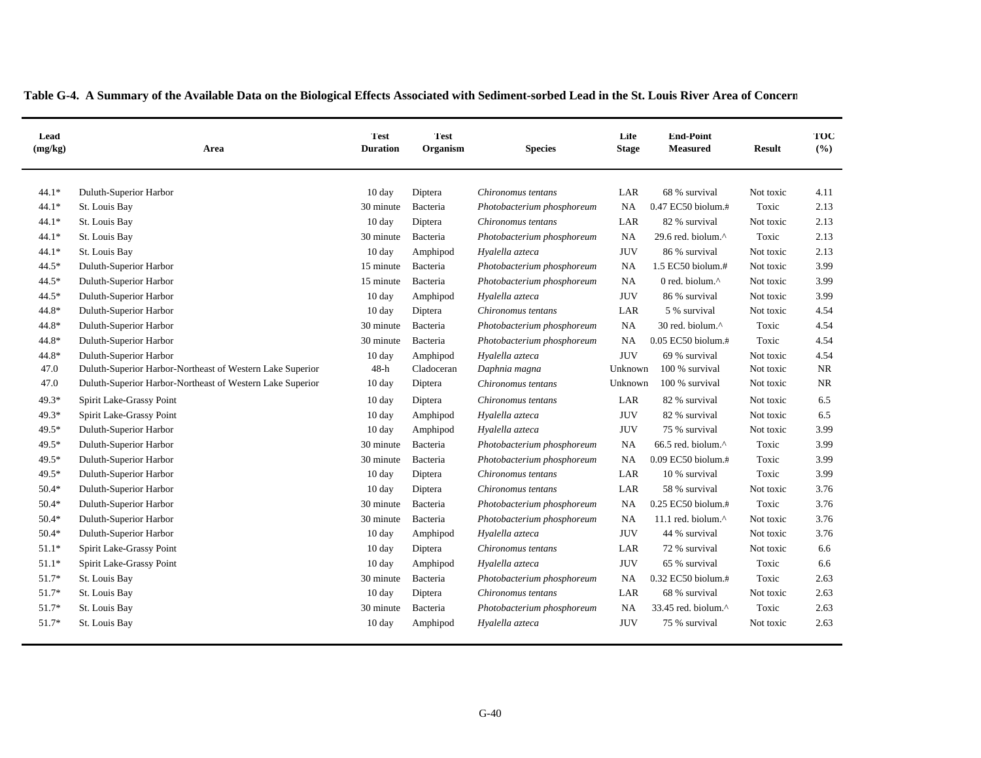| Lead<br>(mg/kg) | Area                                                      | Test<br><b>Duration</b> | <b>Test</b><br>Organism | <b>Species</b>             | Life<br><b>Stage</b> | <b>End-Point</b><br><b>Measured</b> | <b>Result</b> | TOC<br>(9/6) |
|-----------------|-----------------------------------------------------------|-------------------------|-------------------------|----------------------------|----------------------|-------------------------------------|---------------|--------------|
| $44.1*$         | Duluth-Superior Harbor                                    | 10 day                  | Diptera                 | Chironomus tentans         | LAR                  | 68 % survival                       | Not toxic     | 4.11         |
| $44.1*$         | St. Louis Bay                                             | 30 minute               | Bacteria                | Photobacterium phosphoreum | NA                   | 0.47 EC50 biolum.#                  | Toxic         | 2.13         |
| $44.1*$         | St. Louis Bay                                             | 10 day                  | Diptera                 | Chironomus tentans         | LAR                  | 82 % survival                       | Not toxic     | 2.13         |
| 44.1*           | St. Louis Bay                                             | 30 minute               | Bacteria                | Photobacterium phosphoreum | NA                   | 29.6 red. biolum.^                  | Toxic         | 2.13         |
| $44.1*$         | St. Louis Bay                                             | 10 day                  | Amphipod                | Hyalella azteca            | <b>JUV</b>           | 86 % survival                       | Not toxic     | 2.13         |
| 44.5*           | Duluth-Superior Harbor                                    | 15 minute               | Bacteria                | Photobacterium phosphoreum | <b>NA</b>            | 1.5 EC50 biolum.#                   | Not toxic     | 3.99         |
| $44.5*$         | Duluth-Superior Harbor                                    | 15 minute               | Bacteria                | Photobacterium phosphoreum | <b>NA</b>            | 0 red. biolum.^                     | Not toxic     | 3.99         |
| $44.5*$         | Duluth-Superior Harbor                                    | 10 day                  | Amphipod                | Hyalella azteca            | <b>JUV</b>           | 86 % survival                       | Not toxic     | 3.99         |
| 44.8*           | Duluth-Superior Harbor                                    | 10 day                  | Diptera                 | Chironomus tentans         | LAR                  | 5 % survival                        | Not toxic     | 4.54         |
| 44.8*           | Duluth-Superior Harbor                                    | 30 minute               | Bacteria                | Photobacterium phosphoreum | NA                   | 30 red. biolum.^                    | Toxic         | 4.54         |
| 44.8*           | Duluth-Superior Harbor                                    | 30 minute               | Bacteria                | Photobacterium phosphoreum | <b>NA</b>            | 0.05 EC50 biolum.#                  | Toxic         | 4.54         |
| 44.8*           | Duluth-Superior Harbor                                    | 10 day                  | Amphipod                | Hyalella azteca            | <b>JUV</b>           | 69 % survival                       | Not toxic     | 4.54         |
| 47.0            | Duluth-Superior Harbor-Northeast of Western Lake Superior | $48-h$                  | Cladoceran              | Daphnia magna              | Unknown              | 100 % survival                      | Not toxic     | <b>NR</b>    |
| 47.0            | Duluth-Superior Harbor-Northeast of Western Lake Superior | 10 day                  | Diptera                 | Chironomus tentans         | Unknown              | 100 % survival                      | Not toxic     | <b>NR</b>    |
| $49.3*$         | Spirit Lake-Grassy Point                                  | $10 \text{ day}$        | Diptera                 | Chironomus tentans         | LAR                  | 82 % survival                       | Not toxic     | 6.5          |
| $49.3*$         | Spirit Lake-Grassy Point                                  | 10 day                  | Amphipod                | Hyalella azteca            | <b>JUV</b>           | 82 % survival                       | Not toxic     | 6.5          |
| $49.5*$         | Duluth-Superior Harbor                                    | 10 day                  | Amphipod                | Hyalella azteca            | <b>JUV</b>           | 75 % survival                       | Not toxic     | 3.99         |
| $49.5*$         | Duluth-Superior Harbor                                    | 30 minute               | Bacteria                | Photobacterium phosphoreum | <b>NA</b>            | 66.5 red. biolum.^                  | Toxic         | 3.99         |
| 49.5*           | Duluth-Superior Harbor                                    | 30 minute               | Bacteria                | Photobacterium phosphoreum | NA                   | $0.09$ EC50 biolum. $#$             | Toxic         | 3.99         |
| 49.5*           | Duluth-Superior Harbor                                    | 10 day                  | Diptera                 | Chironomus tentans         | LAR                  | 10 % survival                       | Toxic         | 3.99         |
| $50.4*$         | Duluth-Superior Harbor                                    | 10 day                  | Diptera                 | Chironomus tentans         | LAR                  | 58 % survival                       | Not toxic     | 3.76         |
| $50.4*$         | Duluth-Superior Harbor                                    | 30 minute               | Bacteria                | Photobacterium phosphoreum | <b>NA</b>            | 0.25 EC50 biolum.#                  | Toxic         | 3.76         |
| $50.4*$         | Duluth-Superior Harbor                                    | 30 minute               | Bacteria                | Photobacterium phosphoreum | <b>NA</b>            | 11.1 red. biolum.^                  | Not toxic     | 3.76         |
| $50.4*$         | Duluth-Superior Harbor                                    | 10 day                  | Amphipod                | Hyalella azteca            | <b>JUV</b>           | 44 % survival                       | Not toxic     | 3.76         |
| $51.1*$         | Spirit Lake-Grassy Point                                  | 10 day                  | Diptera                 | Chironomus tentans         | LAR                  | 72 % survival                       | Not toxic     | 6.6          |
| $51.1*$         | Spirit Lake-Grassy Point                                  | 10 day                  | Amphipod                | Hyalella azteca            | <b>JUV</b>           | 65 % survival                       | Toxic         | 6.6          |
| 51.7*           | St. Louis Bay                                             | 30 minute               | Bacteria                | Photobacterium phosphoreum | NA                   | 0.32 EC50 biolum.#                  | Toxic         | 2.63         |
| $51.7*$         | St. Louis Bay                                             | 10 day                  | Diptera                 | Chironomus tentans         | LAR                  | 68 % survival                       | Not toxic     | 2.63         |
| $51.7*$         | St. Louis Bay                                             | 30 minute               | Bacteria                | Photobacterium phosphoreum | NA                   | 33.45 red. biolum.^                 | Toxic         | 2.63         |
| 51.7*           | St. Louis Bay                                             | 10 day                  | Amphipod                | Hyalella azteca            | <b>JUV</b>           | 75 % survival                       | Not toxic     | 2.63         |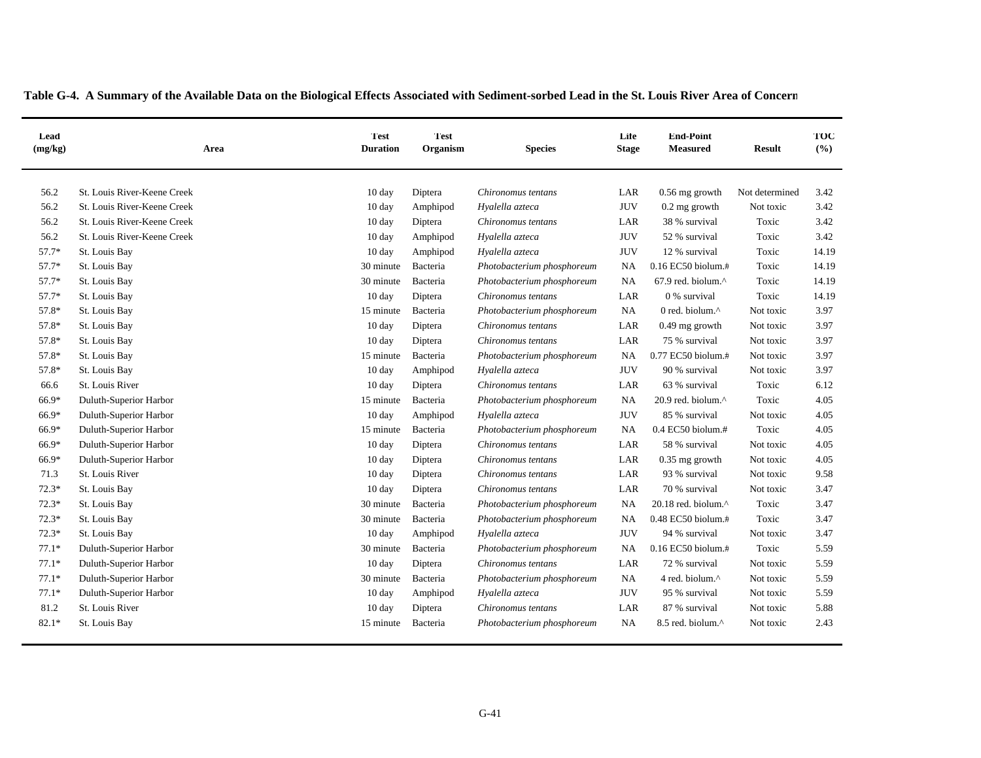| Lead<br>(mg/kg) | Area                        | <b>Test</b><br><b>Duration</b> | <b>Test</b><br>Organism | <b>Species</b>             | Life<br><b>Stage</b> | <b>End-Point</b><br><b>Measured</b> | <b>Result</b>  | TOC<br>(%) |
|-----------------|-----------------------------|--------------------------------|-------------------------|----------------------------|----------------------|-------------------------------------|----------------|------------|
| 56.2            | St. Louis River-Keene Creek | 10 day                         | Diptera                 | Chironomus tentans         | LAR                  | $0.56$ mg growth                    | Not determined | 3.42       |
| 56.2            | St. Louis River-Keene Creek | 10 day                         | Amphipod                | Hyalella azteca            | <b>JUV</b>           | $0.2$ mg growth                     | Not toxic      | 3.42       |
| 56.2            | St. Louis River-Keene Creek | 10 day                         | Diptera                 | Chironomus tentans         | LAR                  | 38 % survival                       | Toxic          | 3.42       |
| 56.2            | St. Louis River-Keene Creek | 10 day                         | Amphipod                | Hyalella azteca            | <b>JUV</b>           | 52 % survival                       | Toxic          | 3.42       |
| 57.7*           | St. Louis Bay               | 10 day                         | Amphipod                | Hyalella azteca            | <b>JUV</b>           | 12 % survival                       | Toxic          | 14.19      |
| 57.7*           | St. Louis Bay               | 30 minute                      | Bacteria                | Photobacterium phosphoreum | <b>NA</b>            | $0.16$ EC50 biolum. $\#$            | Toxic          | 14.19      |
| $57.7*$         | St. Louis Bay               | 30 minute                      | Bacteria                | Photobacterium phosphoreum | <b>NA</b>            | 67.9 red. biolum.^                  | Toxic          | 14.19      |
| 57.7*           | St. Louis Bay               | 10 day                         | Diptera                 | Chironomus tentans         | LAR                  | 0 % survival                        | Toxic          | 14.19      |
| 57.8*           | St. Louis Bay               | 15 minute                      | Bacteria                | Photobacterium phosphoreum | NA                   | 0 red. biolum.^                     | Not toxic      | 3.97       |
| 57.8*           | St. Louis Bay               | 10 day                         | Diptera                 | Chironomus tentans         | LAR                  | $0.49$ mg growth                    | Not toxic      | 3.97       |
| 57.8*           | St. Louis Bay               | $10 \text{ day}$               | Diptera                 | Chironomus tentans         | $_{\rm LAR}$         | 75 % survival                       | Not toxic      | 3.97       |
| 57.8*           | St. Louis Bay               | 15 minute                      | Bacteria                | Photobacterium phosphoreum | NA                   | 0.77 EC50 biolum.#                  | Not toxic      | 3.97       |
| 57.8*           | St. Louis Bay               | $10 \text{ day}$               | Amphipod                | Hyalella azteca            | <b>JUV</b>           | 90 % survival                       | Not toxic      | 3.97       |
| 66.6            | St. Louis River             | 10 day                         | Diptera                 | Chironomus tentans         | LAR                  | 63 % survival                       | Toxic          | 6.12       |
| 66.9*           | Duluth-Superior Harbor      | 15 minute                      | Bacteria                | Photobacterium phosphoreum | NA                   | 20.9 red. biolum.^                  | Toxic          | 4.05       |
| 66.9*           | Duluth-Superior Harbor      | 10 day                         | Amphipod                | Hyalella azteca            | <b>JUV</b>           | 85 % survival                       | Not toxic      | 4.05       |
| 66.9*           | Duluth-Superior Harbor      | 15 minute                      | Bacteria                | Photobacterium phosphoreum | NA                   | $0.4$ EC50 biolum.#                 | Toxic          | 4.05       |
| 66.9*           | Duluth-Superior Harbor      | 10 day                         | Diptera                 | Chironomus tentans         | $_{\rm LAR}$         | 58 % survival                       | Not toxic      | 4.05       |
| 66.9*           | Duluth-Superior Harbor      | 10 day                         | Diptera                 | Chironomus tentans         | LAR                  | $0.35$ mg growth                    | Not toxic      | 4.05       |
| 71.3            | St. Louis River             | $10 \text{ day}$               | Diptera                 | Chironomus tentans         | LAR                  | 93 % survival                       | Not toxic      | 9.58       |
| $72.3*$         | St. Louis Bay               | 10 day                         | Diptera                 | Chironomus tentans         | LAR                  | 70 % survival                       | Not toxic      | 3.47       |
| $72.3*$         | St. Louis Bay               | 30 minute                      | Bacteria                | Photobacterium phosphoreum | <b>NA</b>            | 20.18 red. biolum.^                 | Toxic          | 3.47       |
| $72.3*$         | St. Louis Bay               | 30 minute                      | Bacteria                | Photobacterium phosphoreum | <b>NA</b>            | 0.48 EC50 biolum.#                  | Toxic          | 3.47       |
| $72.3*$         | St. Louis Bay               | 10 day                         | Amphipod                | Hyalella azteca            | <b>JUV</b>           | 94 % survival                       | Not toxic      | 3.47       |
| $77.1*$         | Duluth-Superior Harbor      | 30 minute                      | Bacteria                | Photobacterium phosphoreum | <b>NA</b>            | 0.16 EC50 biolum.#                  | Toxic          | 5.59       |
| $77.1*$         | Duluth-Superior Harbor      | 10 day                         | Diptera                 | Chironomus tentans         | LAR                  | 72 % survival                       | Not toxic      | 5.59       |
| $77.1*$         | Duluth-Superior Harbor      | 30 minute                      | Bacteria                | Photobacterium phosphoreum | NA                   | 4 red. biolum.^                     | Not toxic      | 5.59       |
| $77.1*$         | Duluth-Superior Harbor      | 10 day                         | Amphipod                | Hyalella azteca            | <b>JUV</b>           | 95 % survival                       | Not toxic      | 5.59       |
| 81.2            | St. Louis River             | 10 day                         | Diptera                 | Chironomus tentans         | LAR                  | 87 % survival                       | Not toxic      | 5.88       |
| $82.1*$         | St. Louis Bay               | 15 minute                      | Bacteria                | Photobacterium phosphoreum | NA                   | 8.5 red. biolum.^                   | Not toxic      | 2.43       |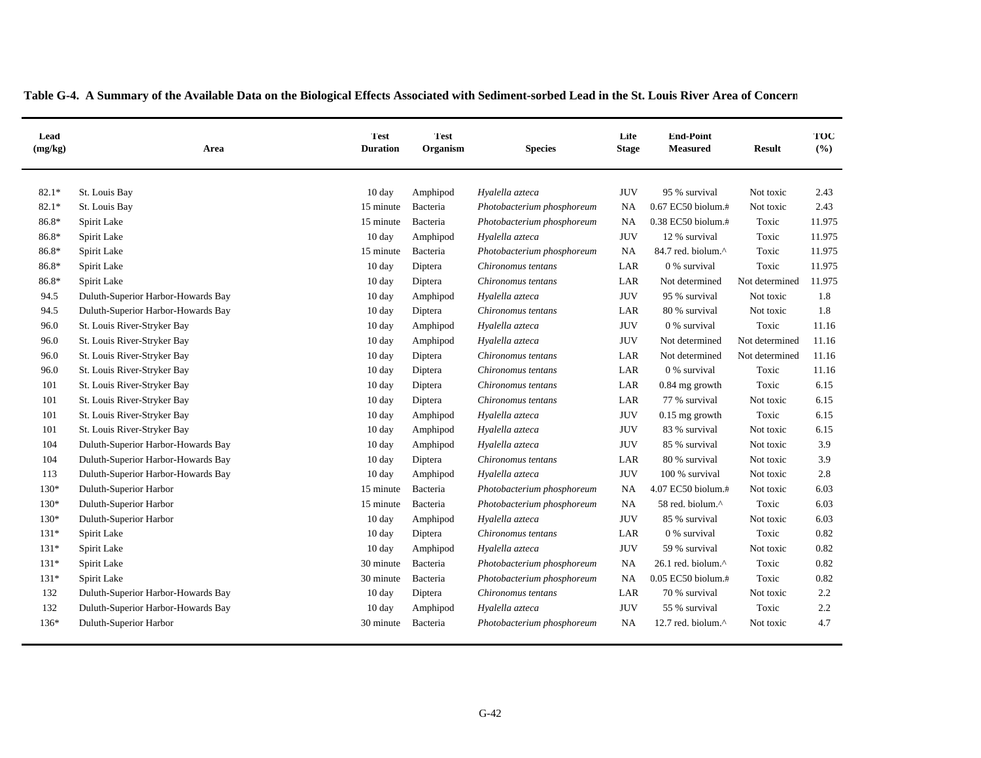| Lead<br>(mg/kg) | Area                               | <b>Test</b><br><b>Duration</b> | Test<br>Organism | <b>Species</b>             | Life<br><b>Stage</b> | <b>End-Point</b><br><b>Measured</b> | <b>Result</b>  | TOC<br>(%) |
|-----------------|------------------------------------|--------------------------------|------------------|----------------------------|----------------------|-------------------------------------|----------------|------------|
| $82.1*$         | St. Louis Bay                      | 10 day                         | Amphipod         | Hyalella azteca            | <b>JUV</b>           | 95 % survival                       | Not toxic      | 2.43       |
| $82.1*$         | St. Louis Bay                      | 15 minute                      | Bacteria         | Photobacterium phosphoreum | <b>NA</b>            | 0.67 EC50 biolum.#                  | Not toxic      | 2.43       |
| 86.8*           | Spirit Lake                        | 15 minute                      | Bacteria         | Photobacterium phosphoreum | <b>NA</b>            | 0.38 EC50 biolum.#                  | Toxic          | 11.975     |
| 86.8*           | Spirit Lake                        | 10 day                         | Amphipod         | Hyalella azteca            | <b>JUV</b>           | 12 % survival                       | Toxic          | 11.975     |
| 86.8*           | Spirit Lake                        | 15 minute                      | Bacteria         | Photobacterium phosphoreum | <b>NA</b>            | 84.7 red. biolum.^                  | Toxic          | 11.975     |
| 86.8*           | Spirit Lake                        | 10 day                         | Diptera          | Chironomus tentans         | LAR                  | 0 % survival                        | Toxic          | 11.975     |
| 86.8*           | Spirit Lake                        | 10 day                         | Diptera          | Chironomus tentans         | LAR                  | Not determined                      | Not determined | 11.975     |
| 94.5            | Duluth-Superior Harbor-Howards Bay | $10 \text{ day}$               | Amphipod         | Hyalella azteca            | <b>JUV</b>           | 95 % survival                       | Not toxic      | 1.8        |
| 94.5            | Duluth-Superior Harbor-Howards Bay | $10 \text{ day}$               | Diptera          | Chironomus tentans         | LAR                  | 80 % survival                       | Not toxic      | 1.8        |
| 96.0            | St. Louis River-Stryker Bay        | $10 \text{ day}$               | Amphipod         | Hyalella azteca            | <b>JUV</b>           | 0 % survival                        | Toxic          | 11.16      |
| 96.0            | St. Louis River-Stryker Bay        | $10 \text{ day}$               | Amphipod         | Hyalella azteca            | <b>JUV</b>           | Not determined                      | Not determined | 11.16      |
| 96.0            | St. Louis River-Stryker Bay        | $10 \text{ day}$               | Diptera          | Chironomus tentans         | LAR                  | Not determined                      | Not determined | 11.16      |
| 96.0            | St. Louis River-Stryker Bay        | $10 \text{ day}$               | Diptera          | Chironomus tentans         | LAR                  | 0 % survival                        | Toxic          | 11.16      |
| 101             | St. Louis River-Stryker Bay        | 10 day                         | Diptera          | Chironomus tentans         | LAR                  | 0.84 mg growth                      | Toxic          | 6.15       |
| 101             | St. Louis River-Stryker Bay        | 10 day                         | Diptera          | Chironomus tentans         | LAR                  | 77 % survival                       | Not toxic      | 6.15       |
| 101             | St. Louis River-Stryker Bay        | $10 \text{ day}$               | Amphipod         | Hyalella azteca            | <b>JUV</b>           | $0.15$ mg growth                    | Toxic          | 6.15       |
| 101             | St. Louis River-Stryker Bay        | $10 \text{ day}$               | Amphipod         | Hyalella azteca            | <b>JUV</b>           | 83 % survival                       | Not toxic      | 6.15       |
| 104             | Duluth-Superior Harbor-Howards Bay | 10 day                         | Amphipod         | Hyalella azteca            | <b>JUV</b>           | 85 % survival                       | Not toxic      | 3.9        |
| 104             | Duluth-Superior Harbor-Howards Bay | $10 \text{ day}$               | Diptera          | Chironomus tentans         | LAR                  | 80 % survival                       | Not toxic      | 3.9        |
| 113             | Duluth-Superior Harbor-Howards Bay | 10 day                         | Amphipod         | Hyalella azteca            | <b>JUV</b>           | 100 % survival                      | Not toxic      | 2.8        |
| 130*            | Duluth-Superior Harbor             | 15 minute                      | Bacteria         | Photobacterium phosphoreum | NA                   | 4.07 EC50 biolum.#                  | Not toxic      | 6.03       |
| $130*$          | Duluth-Superior Harbor             | 15 minute                      | Bacteria         | Photobacterium phosphoreum | <b>NA</b>            | 58 red. biolum.^                    | Toxic          | 6.03       |
| $130*$          | Duluth-Superior Harbor             | $10 \text{ day}$               | Amphipod         | Hyalella azteca            | <b>JUV</b>           | 85 % survival                       | Not toxic      | 6.03       |
| $131*$          | Spirit Lake                        | $10 \text{ day}$               | Diptera          | Chironomus tentans         | LAR                  | 0 % survival                        | Toxic          | 0.82       |
| $131*$          | Spirit Lake                        | 10 day                         | Amphipod         | Hyalella azteca            | <b>JUV</b>           | 59 % survival                       | Not toxic      | 0.82       |
| $131*$          | Spirit Lake                        | 30 minute                      | Bacteria         | Photobacterium phosphoreum | <b>NA</b>            | 26.1 red. biolum.^                  | Toxic          | 0.82       |
| $131*$          | Spirit Lake                        | 30 minute                      | Bacteria         | Photobacterium phosphoreum | <b>NA</b>            | 0.05 EC50 biolum.#                  | Toxic          | 0.82       |
| 132             | Duluth-Superior Harbor-Howards Bay | 10 day                         | Diptera          | Chironomus tentans         | LAR                  | 70 % survival                       | Not toxic      | 2.2        |
| 132             | Duluth-Superior Harbor-Howards Bay | 10 day                         | Amphipod         | Hyalella azteca            | <b>JUV</b>           | 55 % survival                       | Toxic          | 2.2        |
| $136*$          | Duluth-Superior Harbor             | 30 minute                      | Bacteria         | Photobacterium phosphoreum | <b>NA</b>            | 12.7 red. biolum. $\wedge$          | Not toxic      | 4.7        |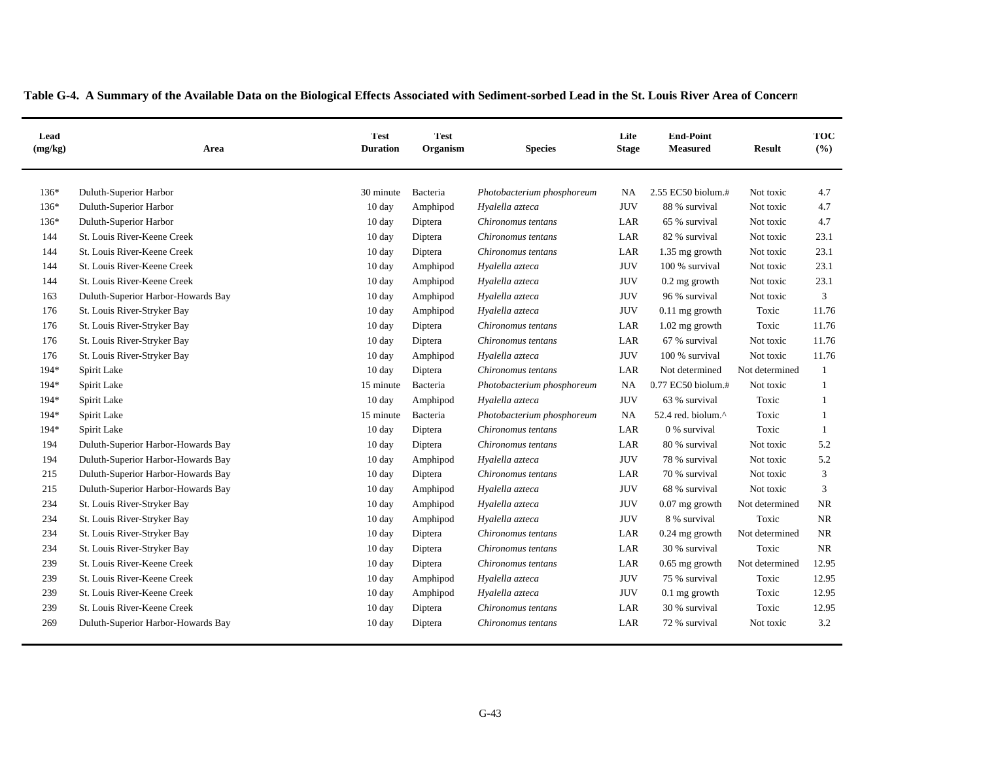|  |  |  |  |  | Table G-4. A Summary of the Available Data on the Biological Effects Associated with Sediment-sorbed Lead in the St. Louis River Area of Concern |
|--|--|--|--|--|--------------------------------------------------------------------------------------------------------------------------------------------------|
|--|--|--|--|--|--------------------------------------------------------------------------------------------------------------------------------------------------|

| Lead<br>(mg/kg) | Area                               | Test<br><b>Duration</b> | <b>Test</b><br>Organism | <b>Species</b>             | Life<br><b>Stage</b> | <b>End-Point</b><br><b>Measured</b> | <b>Result</b>  | TOC<br>(9/6) |
|-----------------|------------------------------------|-------------------------|-------------------------|----------------------------|----------------------|-------------------------------------|----------------|--------------|
| $136*$          | Duluth-Superior Harbor             | 30 minute               | Bacteria                | Photobacterium phosphoreum | NA                   | 2.55 EC50 biolum.#                  | Not toxic      | 4.7          |
| $136*$          | Duluth-Superior Harbor             | 10 day                  | Amphipod                | Hyalella azteca            | <b>JUV</b>           | 88 % survival                       | Not toxic      | 4.7          |
| $136*$          | Duluth-Superior Harbor             | 10 day                  | Diptera                 | Chironomus tentans         | LAR                  | 65 % survival                       | Not toxic      | 4.7          |
| 144             | St. Louis River-Keene Creek        | $10 \text{ day}$        | Diptera                 | Chironomus tentans         | LAR                  | 82 % survival                       | Not toxic      | 23.1         |
| 144             | St. Louis River-Keene Creek        | $10 \text{ day}$        | Diptera                 | Chironomus tentans         | LAR                  | 1.35 mg growth                      | Not toxic      | 23.1         |
| 144             | St. Louis River-Keene Creek        | $10 \text{ day}$        | Amphipod                | Hyalella azteca            | <b>JUV</b>           | 100 % survival                      | Not toxic      | 23.1         |
| 144             | St. Louis River-Keene Creek        | 10 day                  | Amphipod                | Hyalella azteca            | <b>JUV</b>           | $0.2$ mg growth                     | Not toxic      | 23.1         |
| 163             | Duluth-Superior Harbor-Howards Bay | $10 \text{ day}$        | Amphipod                | Hyalella azteca            | <b>JUV</b>           | 96 % survival                       | Not toxic      | 3            |
| 176             | St. Louis River-Stryker Bay        | 10 day                  | Amphipod                | Hyalella azteca            | <b>JUV</b>           | 0.11 mg growth                      | Toxic          | 11.76        |
| 176             | St. Louis River-Stryker Bay        | $10 \text{ day}$        | Diptera                 | Chironomus tentans         | LAR                  | 1.02 mg growth                      | Toxic          | 11.76        |
| 176             | St. Louis River-Stryker Bay        | 10 day                  | Diptera                 | Chironomus tentans         | LAR                  | 67 % survival                       | Not toxic      | 11.76        |
| 176             | St. Louis River-Stryker Bay        | $10 \text{ day}$        | Amphipod                | Hyalella azteca            | <b>JUV</b>           | 100 % survival                      | Not toxic      | 11.76        |
| 194*            | Spirit Lake                        | 10 day                  | Diptera                 | Chironomus tentans         | LAR                  | Not determined                      | Not determined | 1            |
| $194*$          | Spirit Lake                        | 15 minute               | Bacteria                | Photobacterium phosphoreum | NA                   | 0.77 EC50 biolum.#                  | Not toxic      | 1            |
| $194*$          | Spirit Lake                        | $10 \text{ day}$        | Amphipod                | Hyalella azteca            | <b>JUV</b>           | 63 % survival                       | Toxic          | $\mathbf{1}$ |
| $194*$          | Spirit Lake                        | 15 minute               | Bacteria                | Photobacterium phosphoreum | <b>NA</b>            | 52.4 red. biolum.^                  | Toxic          | $\mathbf{1}$ |
| 194*            | Spirit Lake                        | 10 day                  | Diptera                 | Chironomus tentans         | LAR                  | 0 % survival                        | Toxic          | 1            |
| 194             | Duluth-Superior Harbor-Howards Bay | $10 \text{ day}$        | Diptera                 | Chironomus tentans         | LAR                  | 80 % survival                       | Not toxic      | 5.2          |
| 194             | Duluth-Superior Harbor-Howards Bay | $10 \text{ day}$        | Amphipod                | Hyalella azteca            | <b>JUV</b>           | 78 % survival                       | Not toxic      | 5.2          |
| 215             | Duluth-Superior Harbor-Howards Bay | $10 \text{ day}$        | Diptera                 | Chironomus tentans         | LAR                  | 70 % survival                       | Not toxic      | 3            |
| 215             | Duluth-Superior Harbor-Howards Bay | $10 \text{ day}$        | Amphipod                | Hyalella azteca            | <b>JUV</b>           | 68 % survival                       | Not toxic      | 3            |
| 234             | St. Louis River-Stryker Bay        | 10 day                  | Amphipod                | Hyalella azteca            | <b>JUV</b>           | $0.07$ mg growth                    | Not determined | <b>NR</b>    |
| 234             | St. Louis River-Stryker Bay        | $10 \text{ day}$        | Amphipod                | Hyalella azteca            | JUV                  | 8 % survival                        | Toxic          | NR           |
| 234             | St. Louis River-Stryker Bay        | 10 day                  | Diptera                 | Chironomus tentans         | LAR                  | $0.24$ mg growth                    | Not determined | NR           |
| 234             | St. Louis River-Stryker Bay        | $10 \text{ day}$        | Diptera                 | Chironomus tentans         | LAR                  | 30 % survival                       | Toxic          | <b>NR</b>    |
| 239             | St. Louis River-Keene Creek        | 10 day                  | Diptera                 | Chironomus tentans         | LAR                  | $0.65$ mg growth                    | Not determined | 12.95        |
| 239             | St. Louis River-Keene Creek        | 10 day                  | Amphipod                | Hyalella azteca            | <b>JUV</b>           | 75 % survival                       | Toxic          | 12.95        |
| 239             | St. Louis River-Keene Creek        | 10 day                  | Amphipod                | Hyalella azteca            | <b>JUV</b>           | $0.1$ mg growth                     | Toxic          | 12.95        |
| 239             | St. Louis River-Keene Creek        | $10 \text{ day}$        | Diptera                 | Chironomus tentans         | LAR                  | 30 % survival                       | Toxic          | 12.95        |
| 269             | Duluth-Superior Harbor-Howards Bay | 10 day                  | Diptera                 | Chironomus tentans         | LAR                  | 72 % survival                       | Not toxic      | 3.2          |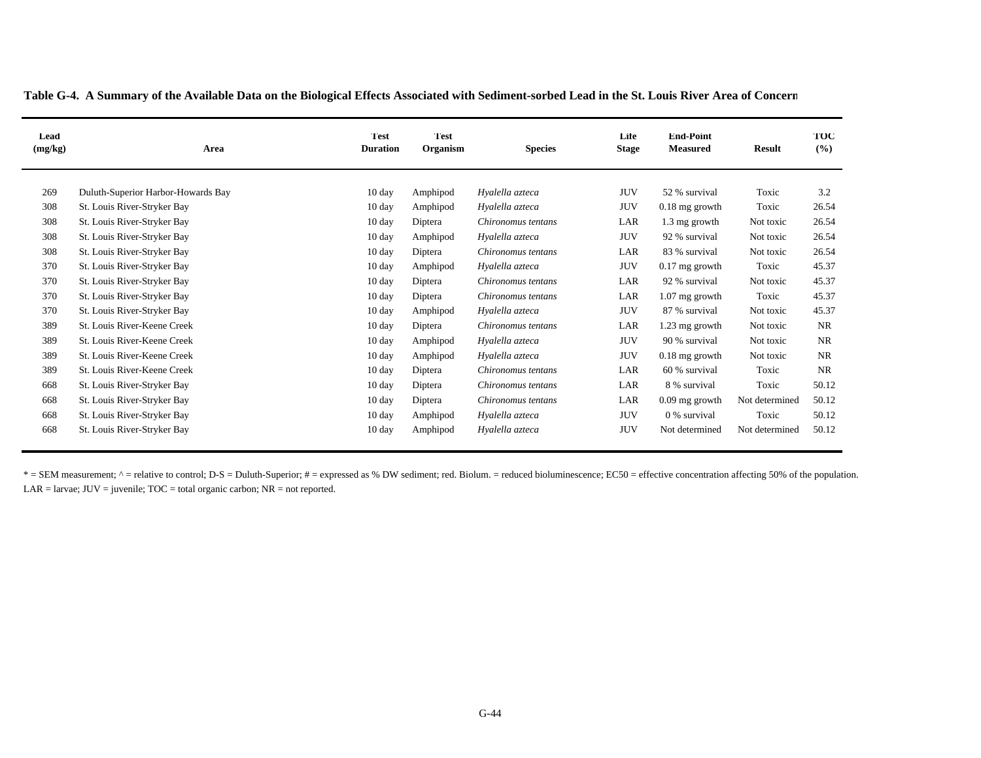| Lead<br>(mg/kg) | Area                               | <b>Test</b><br><b>Duration</b> | Test <sup></sup><br>Organism | <b>Species</b>     | Life<br><b>Stage</b> | <b>End-Point</b><br><b>Measured</b> | <b>Result</b>  | TOC<br>(%) |
|-----------------|------------------------------------|--------------------------------|------------------------------|--------------------|----------------------|-------------------------------------|----------------|------------|
| 269             | Duluth-Superior Harbor-Howards Bay |                                |                              | Hyalella azteca    | <b>JUV</b>           | 52 % survival                       | Toxic          | 3.2        |
|                 |                                    | $10 \text{ day}$               | Amphipod                     |                    |                      |                                     |                |            |
| 308             | St. Louis River-Stryker Bay        | $10 \text{ day}$               | Amphipod                     | Hyalella azteca    | <b>JUV</b>           | $0.18$ mg growth                    | Toxic          | 26.54      |
| 308             | St. Louis River-Stryker Bay        | $10 \text{ day}$               | Diptera                      | Chironomus tentans | LAR                  | 1.3 mg growth                       | Not toxic      | 26.54      |
| 308             | St. Louis River-Stryker Bay        | $10 \text{ day}$               | Amphipod                     | Hyalella azteca    | <b>JUV</b>           | 92 % survival                       | Not toxic      | 26.54      |
| 308             | St. Louis River-Stryker Bay        | $10 \text{ day}$               | Diptera                      | Chironomus tentans | LAR                  | 83 % survival                       | Not toxic      | 26.54      |
| 370             | St. Louis River-Stryker Bay        | $10 \text{ day}$               | Amphipod                     | Hyalella azteca    | <b>JUV</b>           | $0.17$ mg growth                    | Toxic          | 45.37      |
| 370             | St. Louis River-Stryker Bay        | $10 \text{ day}$               | Diptera                      | Chironomus tentans | LAR                  | 92 % survival                       | Not toxic      | 45.37      |
| 370             | St. Louis River-Stryker Bay        | $10 \text{ day}$               | Diptera                      | Chironomus tentans | LAR                  | $1.07$ mg growth                    | Toxic          | 45.37      |
| 370             | St. Louis River-Stryker Bay        | $10 \text{ day}$               | Amphipod                     | Hyalella azteca    | <b>JUV</b>           | 87 % survival                       | Not toxic      | 45.37      |
| 389             | St. Louis River-Keene Creek        | $10 \text{ day}$               | Diptera                      | Chironomus tentans | LAR                  | 1.23 mg growth                      | Not toxic      | <b>NR</b>  |
| 389             | St. Louis River-Keene Creek        | $10 \text{ day}$               | Amphipod                     | Hyalella azteca    | <b>JUV</b>           | 90 % survival                       | Not toxic      | NR         |
| 389             | St. Louis River-Keene Creek        | $10 \text{ day}$               | Amphipod                     | Hyalella azteca    | <b>JUV</b>           | $0.18$ mg growth                    | Not toxic      | <b>NR</b>  |
| 389             | St. Louis River-Keene Creek        | $10 \text{ day}$               | Diptera                      | Chironomus tentans | LAR                  | 60 % survival                       | Toxic          | <b>NR</b>  |
| 668             | St. Louis River-Stryker Bay        | $10 \text{ day}$               | Diptera                      | Chironomus tentans | LAR                  | 8 % survival                        | Toxic          | 50.12      |
| 668             | St. Louis River-Stryker Bay        | $10 \text{ day}$               | Diptera                      | Chironomus tentans | LAR                  | $0.09$ mg growth                    | Not determined | 50.12      |
| 668             | St. Louis River-Stryker Bay        | 10 day                         | Amphipod                     | Hyalella azteca    | <b>JUV</b>           | 0 % survival                        | Toxic          | 50.12      |
| 668             | St. Louis River-Stryker Bay        | $10 \text{ day}$               | Amphipod                     | Hyalella azteca    | <b>JUV</b>           | Not determined                      | Not determined | 50.12      |

 $LAR = \text{larvae}$ ;  $JUV = \text{juvenile}$ ;  $TOC = \text{total organic carbon}$ ;  $NR = \text{not reported}$ . \* = SEM measurement; ^ = relative to control; D-S = Duluth-Superior; # = expressed as % DW sediment; red. Biolum. = reduced bioluminescence; EC50 = effective concentration affecting 50% of the population.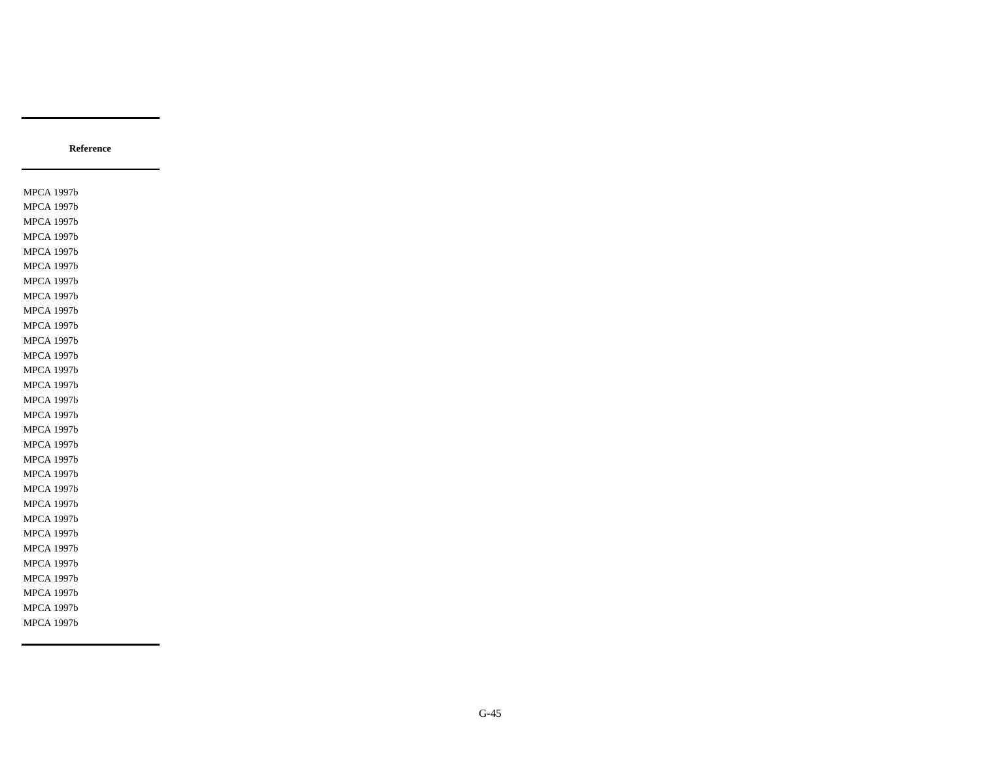MPCA 1997b MPCA 1997b MPCA 1997b MPCA 1997b MPCA 1997b MPCA 1997b MPCA 1997b MPCA 1997b MPCA 1997b MPCA 1997b MPCA 1997b MPCA 1997b MPCA 1997b MPCA 1997b MPCA 1997b MPCA 1997b MPCA 1997b MPCA 1997b MPCA 1997b MPCA 1997b MPCA 1997b MPCA 1997b MPCA 1997b MPCA 1997b MPCA 1997b MPCA 1997b MPCA 1997b MPCA 1997b MPCA 1997b MPCA 1997b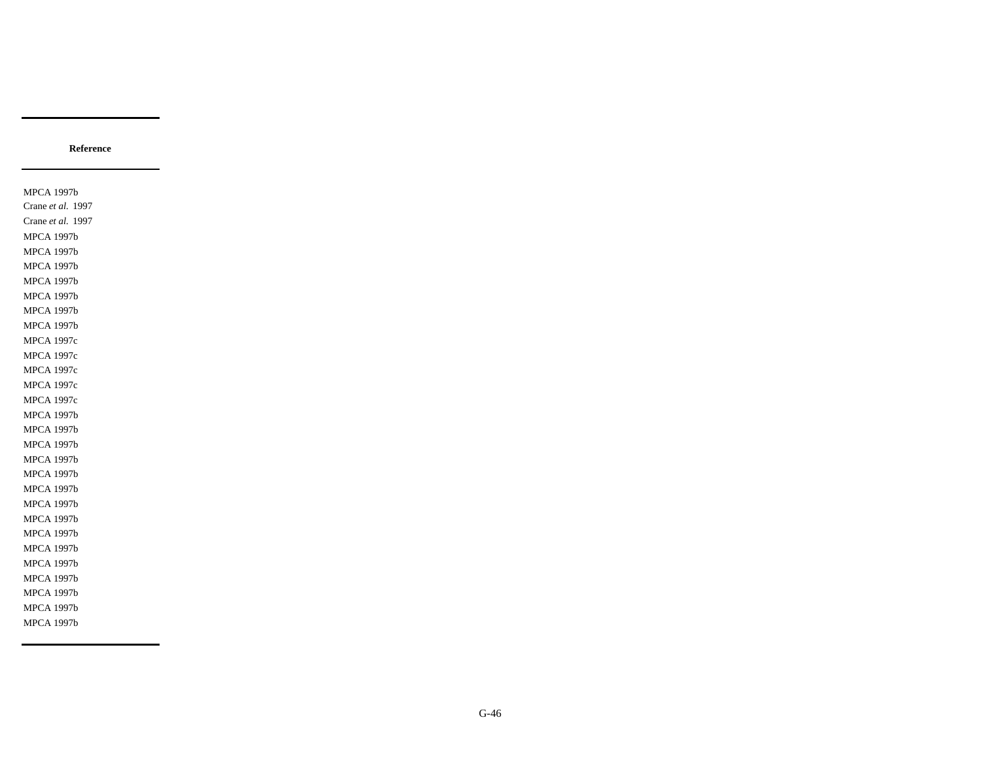MPCA 1997b Crane *et al.* 1997 Crane *et al.* 1997 MPCA 1997b MPCA 1997b MPCA 1997b MPCA 1997b MPCA 1997b MPCA 1997b MPCA 1997b MPCA 1997c MPCA 1997c MPCA 1997c MPCA 1997c MPCA 1997c MPCA 1997b MPCA 1997b MPCA 1997b MPCA 1997b MPCA 1997b MPCA 1997b MPCA 1997b MPCA 1997b MPCA 1997b MPCA 1997b MPCA 1997b MPCA 1997b MPCA 1997b MPCA 1997b MPCA 1997b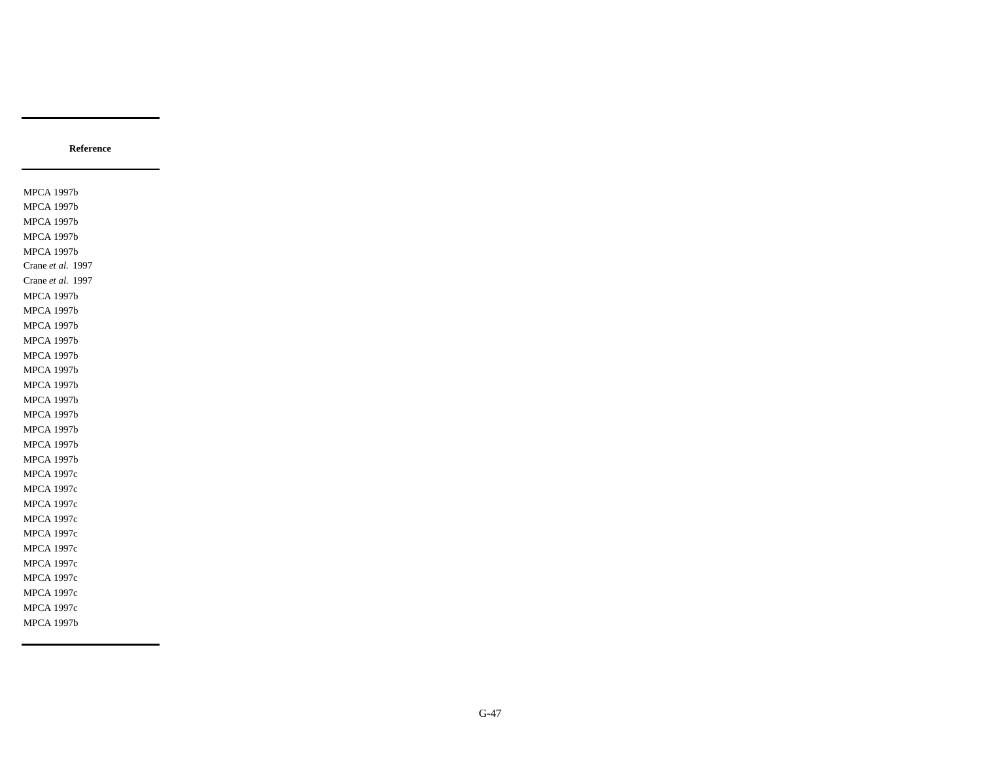MPCA 1997b MPCA 1997b MPCA 1997b MPCA 1997b MPCA 1997b Crane *et al.* 1997 Crane *et al.* 1997 MPCA 1997b MPCA 1997b MPCA 1997b MPCA 1997b MPCA 1997b MPCA 1997b MPCA 1997b MPCA 1997b MPCA 1997b MPCA 1997b MPCA 1997b MPCA 1997b MPCA 1997c MPCA 1997c MPCA 1997c MPCA 1997c MPCA 1997c MPCA 1997c MPCA 1997c MPCA 1997c MPCA 1997c MPCA 1997c MPCA 1997b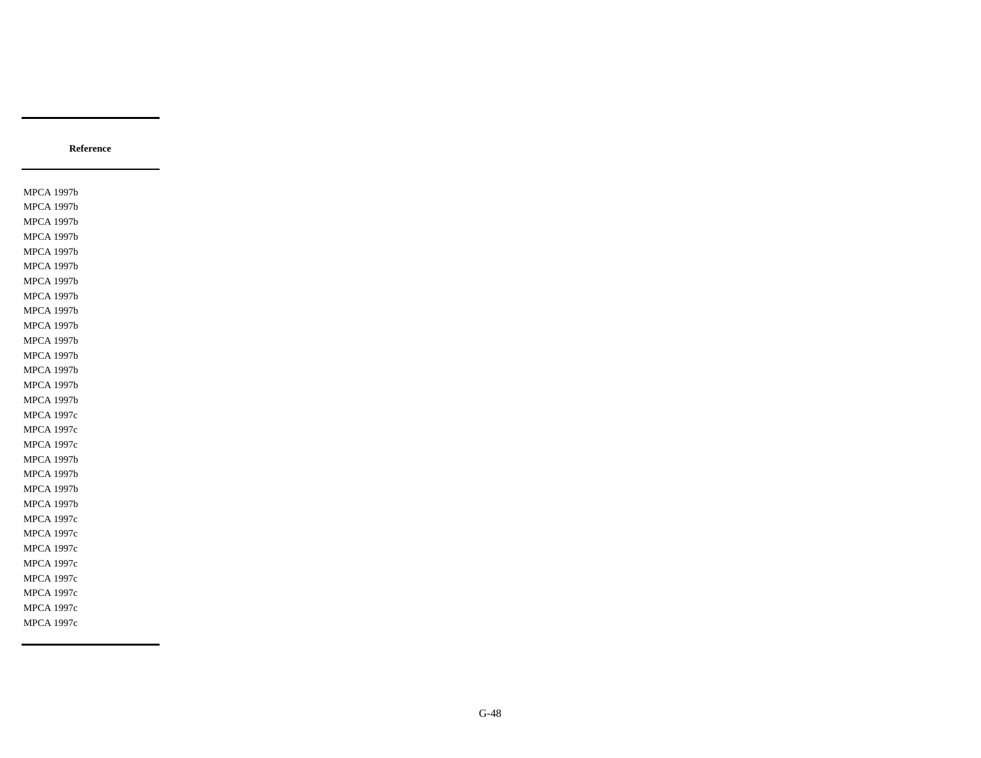MPCA 1997b MPCA 1997b MPCA 1997b MPCA 1997b MPCA 1997b MPCA 1997b MPCA 1997b MPCA 1997b MPCA 1997b MPCA 1997b MPCA 1997b MPCA 1997b MPCA 1997b MPCA 1997b MPCA 1997b MPCA 1997c MPCA 1997c MPCA 1997c MPCA 1997b MPCA 1997b MPCA 1997b MPCA 1997b MPCA 1997c MPCA 1997c MPCA 1997c MPCA 1997c MPCA 1997c MPCA 1997c MPCA 1997c MPCA 1997c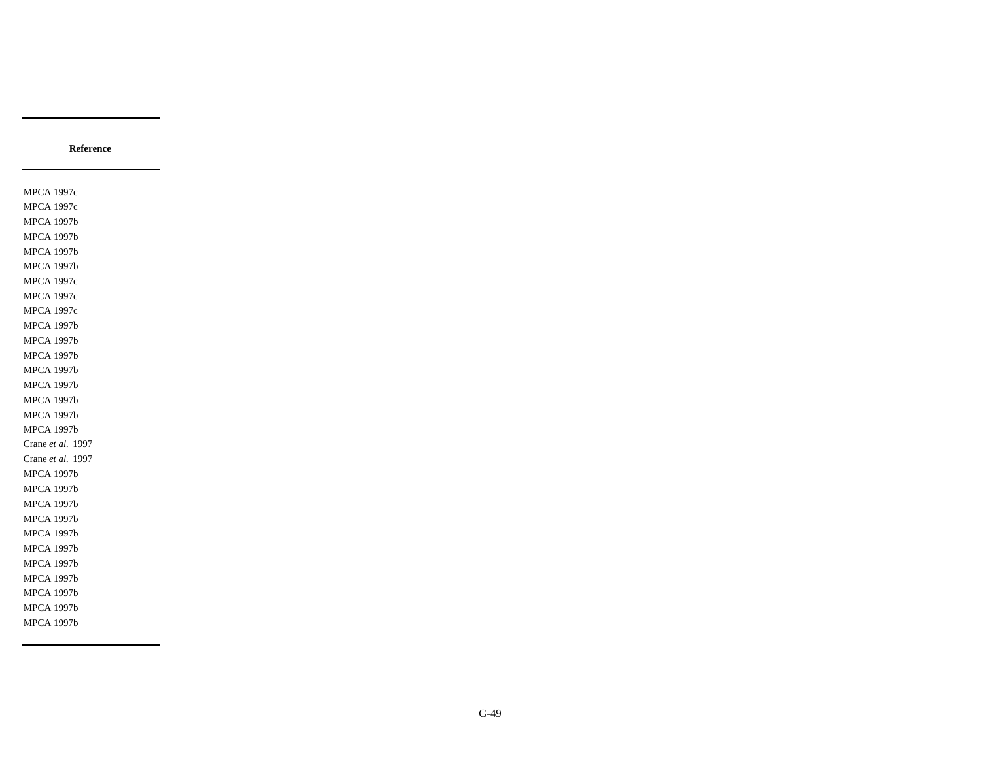MPCA 1997c MPCA 1997c MPCA 1997b MPCA 1997b MPCA 1997b MPCA 1997b MPCA 1997c MPCA 1997c MPCA 1997c MPCA 1997b MPCA 1997b MPCA 1997b MPCA 1997b MPCA 1997b MPCA 1997b MPCA 1997b MPCA 1997b Crane *et al.* 1997 Crane *et al.* 1997 MPCA 1997b MPCA 1997b MPCA 1997b MPCA 1997b MPCA 1997b MPCA 1997b MPCA 1997b MPCA 1997b MPCA 1997b MPCA 1997b MPCA 1997b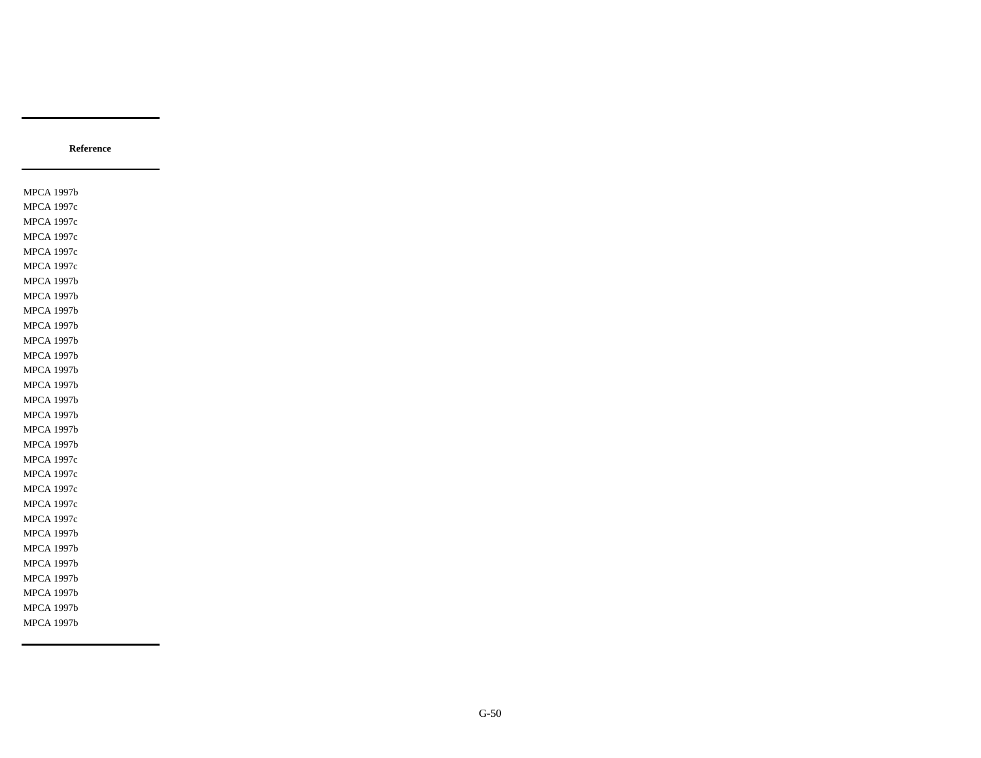MPCA 1997b MPCA 1997c MPCA 1997c MPCA 1997c MPCA 1997c MPCA 1997c MPCA 1997b MPCA 1997b MPCA 1997b MPCA 1997b MPCA 1997b MPCA 1997b MPCA 1997b MPCA 1997b MPCA 1997b MPCA 1997b MPCA 1997b MPCA 1997b MPCA 1997c MPCA 1997c MPCA 1997c MPCA 1997c MPCA 1997c MPCA 1997b MPCA 1997b MPCA 1997b MPCA 1997b MPCA 1997b MPCA 1997b MPCA 1997b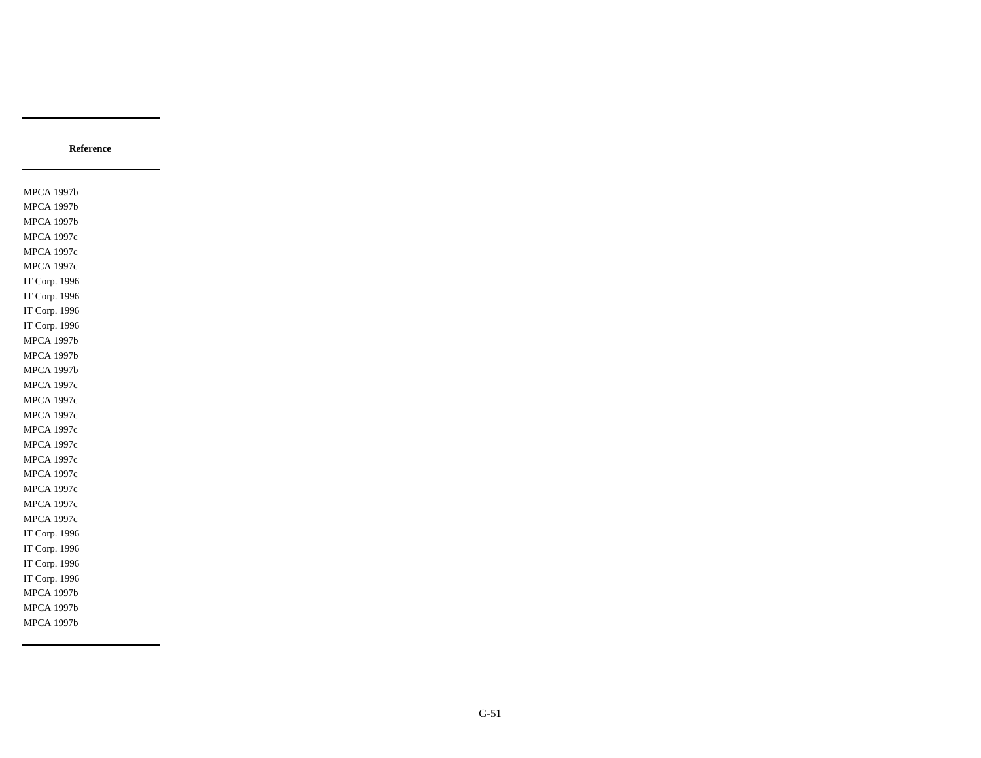MPCA 1997b MPCA 1997b MPCA 1997b MPCA 1997c MPCA 1997c MPCA 1997c IT Corp. 1996 IT Corp. 1996 IT Corp. 1996 IT Corp. 1996 MPCA 1997b MPCA 1997b MPCA 1997b MPCA 1997c MPCA 1997c MPCA 1997c MPCA 1997c MPCA 1997c MPCA 1997c MPCA 1997c MPCA 1997c MPCA 1997c MPCA 1997c IT Corp. 1996 IT Corp. 1996 IT Corp. 1996 IT Corp. 1996 MPCA 1997b MPCA 1997b MPCA 1997b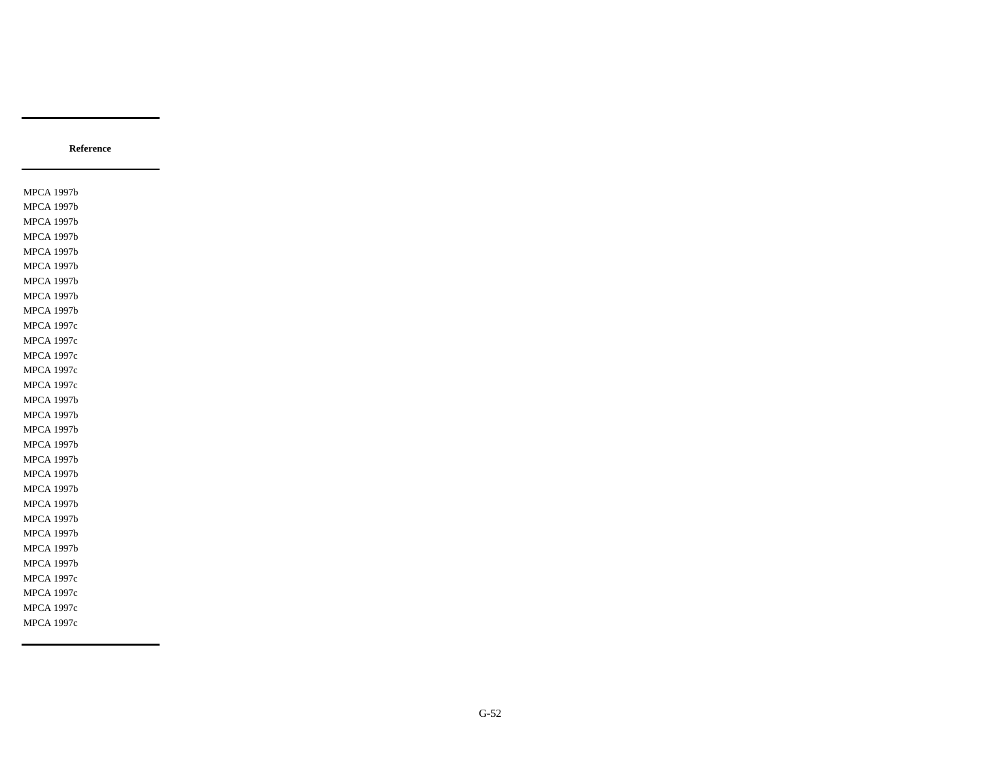MPCA 1997b MPCA 1997b MPCA 1997b MPCA 1997b MPCA 1997b MPCA 1997b MPCA 1997b MPCA 1997b MPCA 1997b MPCA 1997c MPCA 1997c MPCA 1997c MPCA 1997c MPCA 1997c MPCA 1997b MPCA 1997b MPCA 1997b MPCA 1997b MPCA 1997b MPCA 1997b MPCA 1997b MPCA 1997b MPCA 1997b MPCA 1997b MPCA 1997b MPCA 1997b MPCA 1997c MPCA 1997c MPCA 1997c MPCA 1997c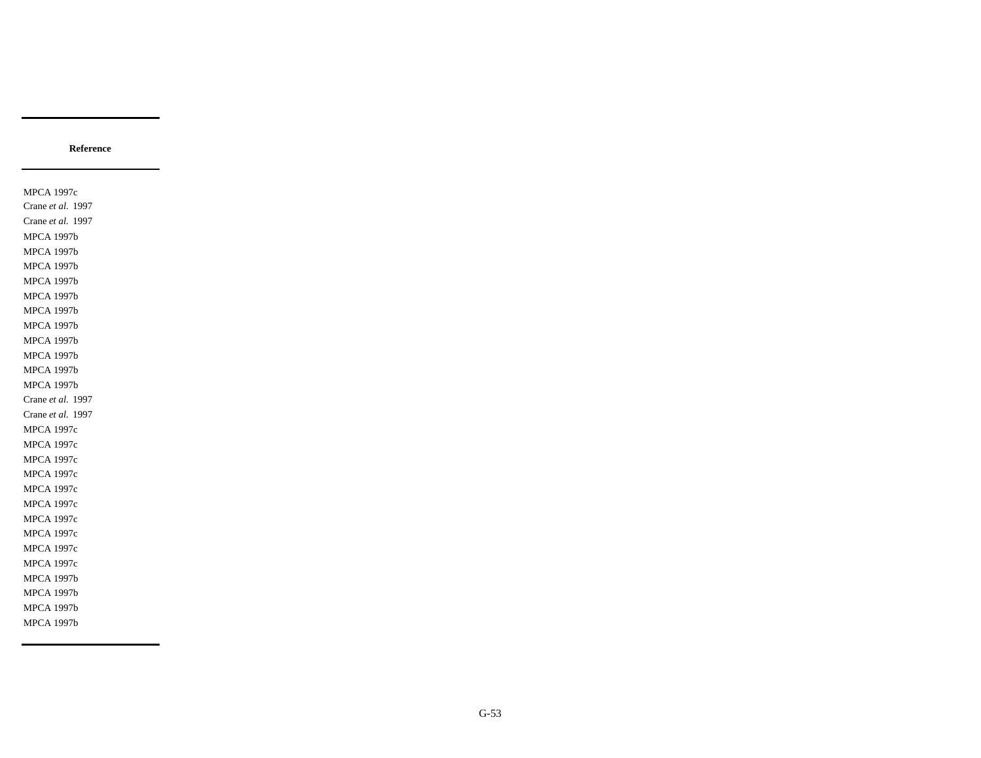MPCA 1997c Crane *et al.* 1997 Crane *et al.* 1997 MPCA 1997b MPCA 1997b MPCA 1997b MPCA 1997b MPCA 1997b MPCA 1997b MPCA 1997b MPCA 1997b MPCA 1997b MPCA 1997b MPCA 1997b Crane *et al.* 1997 Crane *et al.* 1997 MPCA 1997c MPCA 1997c MPCA 1997c MPCA 1997c MPCA 1997c MPCA 1997c MPCA 1997c MPCA 1997c MPCA 1997c MPCA 1997c MPCA 1997b MPCA 1997b MPCA 1997b MPCA 1997b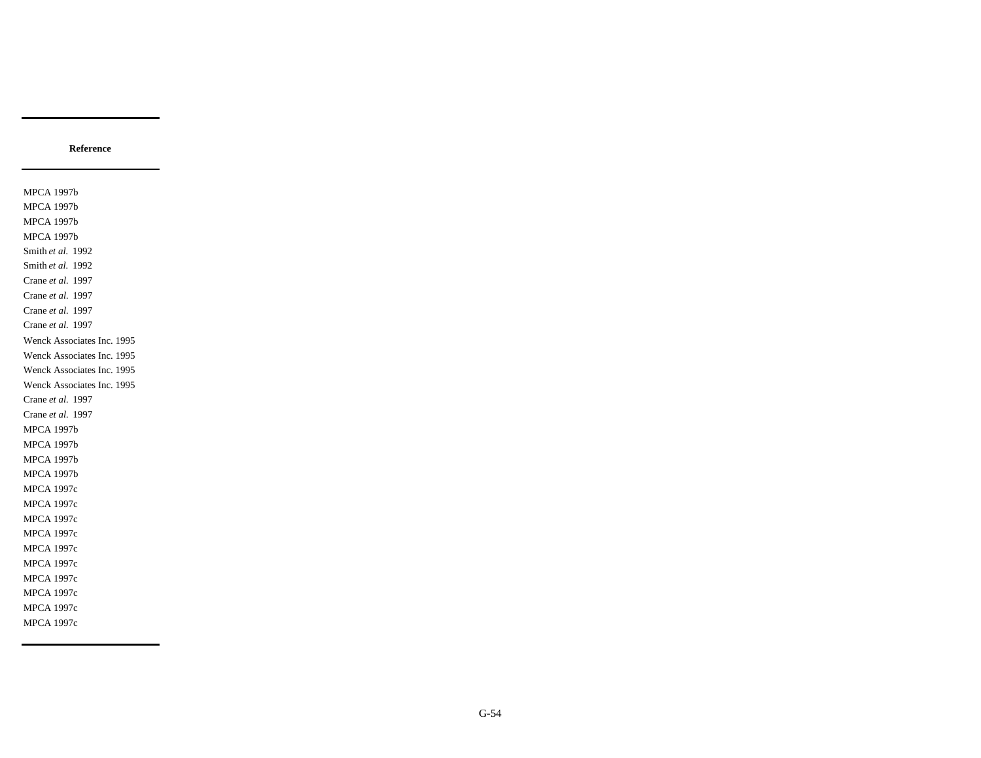MPCA 1997b MPCA 1997b MPCA 1997b MPCA 1997b Smith *et al.* 1992 Smith *et al.* 1992 Crane *et al.* 1997 Crane *et al.* 1997 Crane *et al.* 1997 Crane *et al.* 1997 Wenck Associates Inc. 1995 Wenck Associates Inc. 1995 Wenck Associates Inc. 1995 Wenck Associates Inc. 1995 Crane *et al.* 1997 Crane *et al.* 1997 MPCA 1997b MPCA 1997b MPCA 1997b MPCA 1997b MPCA 1997c MPCA 1997c MPCA 1997c MPCA 1997c MPCA 1997c MPCA 1997c MPCA 1997c MPCA 1997c MPCA 1997c MPCA 1997c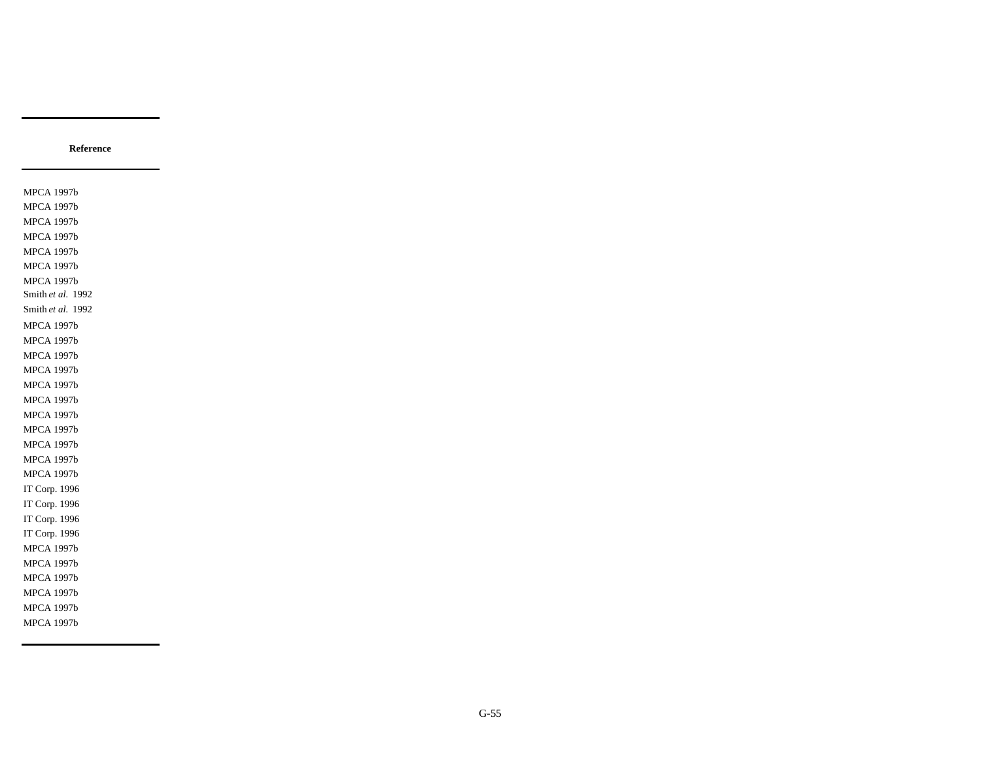MPCA 1997b MPCA 1997b MPCA 1997b MPCA 1997b MPCA 1997b MPCA 1997b MPCA 1997b Smith *et al.* 1992 Smith *et al.* 1992 MPCA 1997b MPCA 1997b MPCA 1997b MPCA 1997b MPCA 1997b MPCA 1997b MPCA 1997b MPCA 1997b MPCA 1997b MPCA 1997b MPCA 1997b IT Corp. 1996 IT Corp. 1996 IT Corp. 1996 IT Corp. 1996 MPCA 1997b MPCA 1997b MPCA 1997b MPCA 1997b MPCA 1997b MPCA 1997b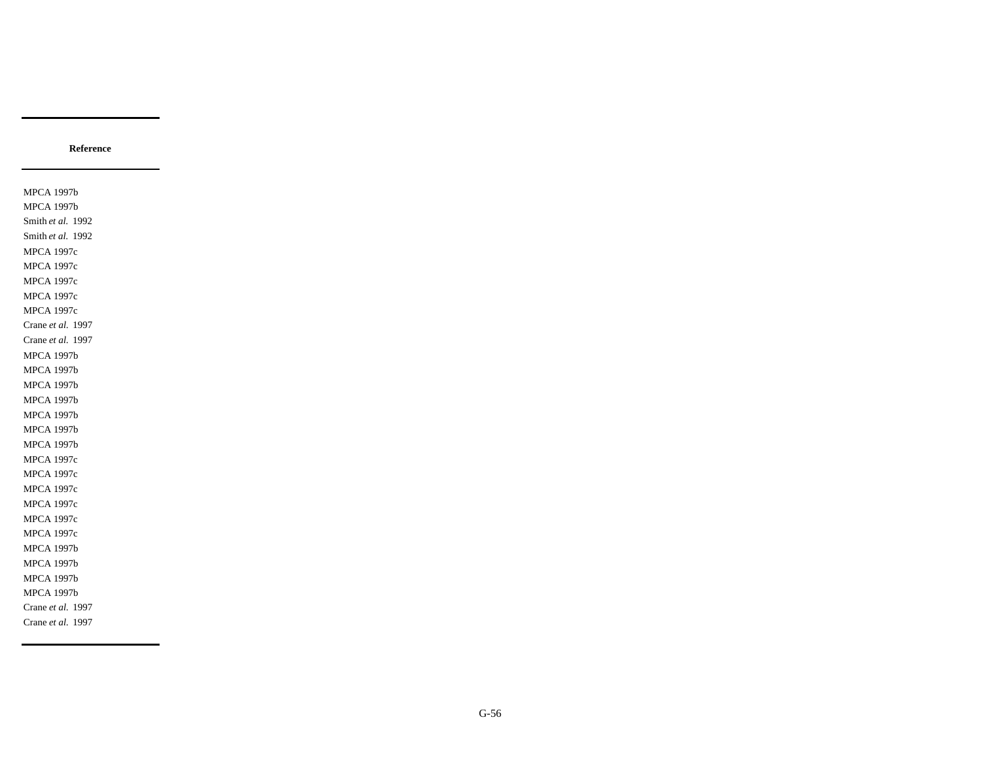MPCA 1997b MPCA 1997b Smith *et al.* 1992 Smith *et al.* 1992 MPCA 1997c MPCA 1997c MPCA 1997c MPCA 1997c MPCA 1997c Crane *et al.* 1997 Crane *et al.* 1997 MPCA 1997b MPCA 1997b MPCA 1997b MPCA 1997b MPCA 1997b MPCA 1997b MPCA 1997b MPCA 1997c MPCA 1997c MPCA 1997c MPCA 1997c MPCA 1997c MPCA 1997c MPCA 1997b MPCA 1997b MPCA 1997b MPCA 1997b Crane *et al.* 1997 Crane *et al.* 1997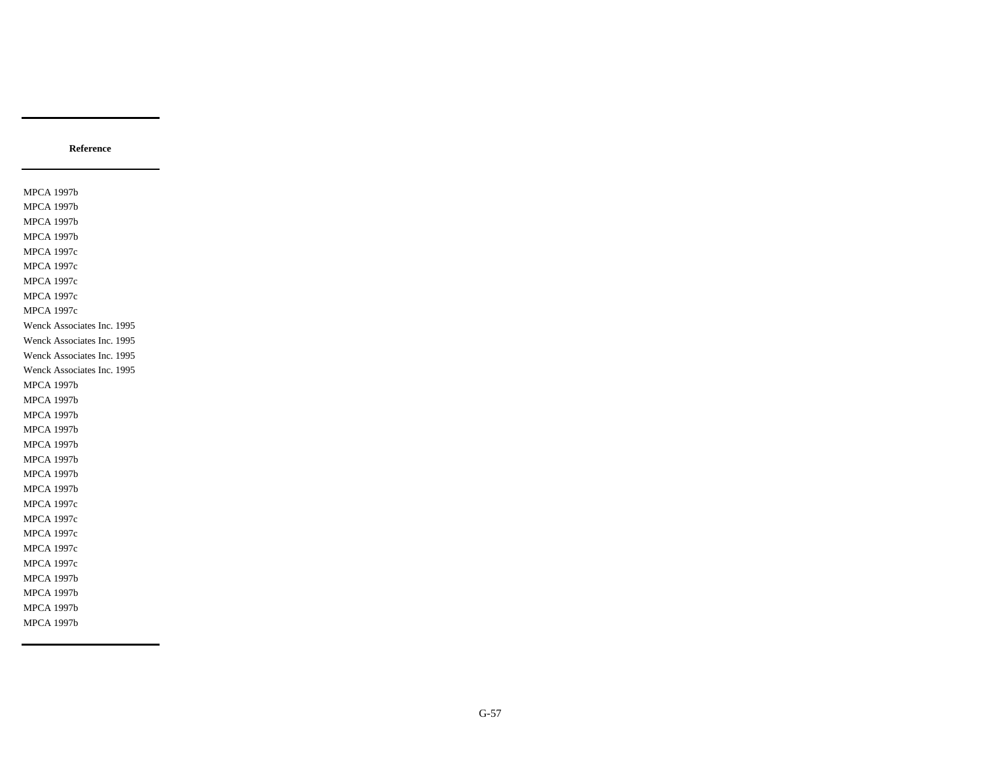MPCA 1997b MPCA 1997b MPCA 1997b MPCA 1997b MPCA 1997c MPCA 1997c MPCA 1997c MPCA 1997c MPCA 1997c Wenck Associates Inc. 1995 Wenck Associates Inc. 1995 Wenck Associates Inc. 1995 Wenck Associates Inc. 1995 MPCA 1997b MPCA 1997b MPCA 1997b MPCA 1997b MPCA 1997b MPCA 1997b MPCA 1997b MPCA 1997b MPCA 1997c MPCA 1997c MPCA 1997c MPCA 1997c MPCA 1997c MPCA 1997b MPCA 1997b MPCA 1997b MPCA 1997b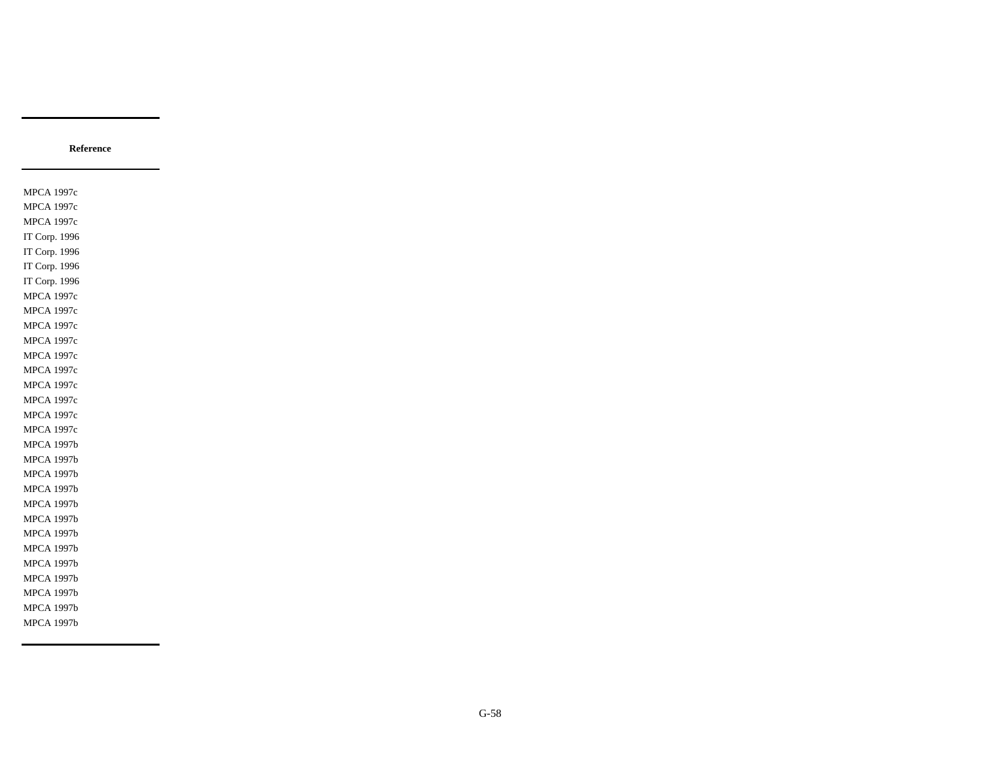MPCA 1997c MPCA 1997c MPCA 1997c IT Corp. 1996 IT Corp. 1996 IT Corp. 1996 IT Corp. 1996 MPCA 1997c MPCA 1997c MPCA 1997c MPCA 1997c MPCA 1997c MPCA 1997c MPCA 1997c MPCA 1997c MPCA 1997c MPCA 1997c MPCA 1997b MPCA 1997b MPCA 1997b MPCA 1997b MPCA 1997b MPCA 1997b MPCA 1997b MPCA 1997b MPCA 1997b MPCA 1997b MPCA 1997b MPCA 1997b MPCA 1997b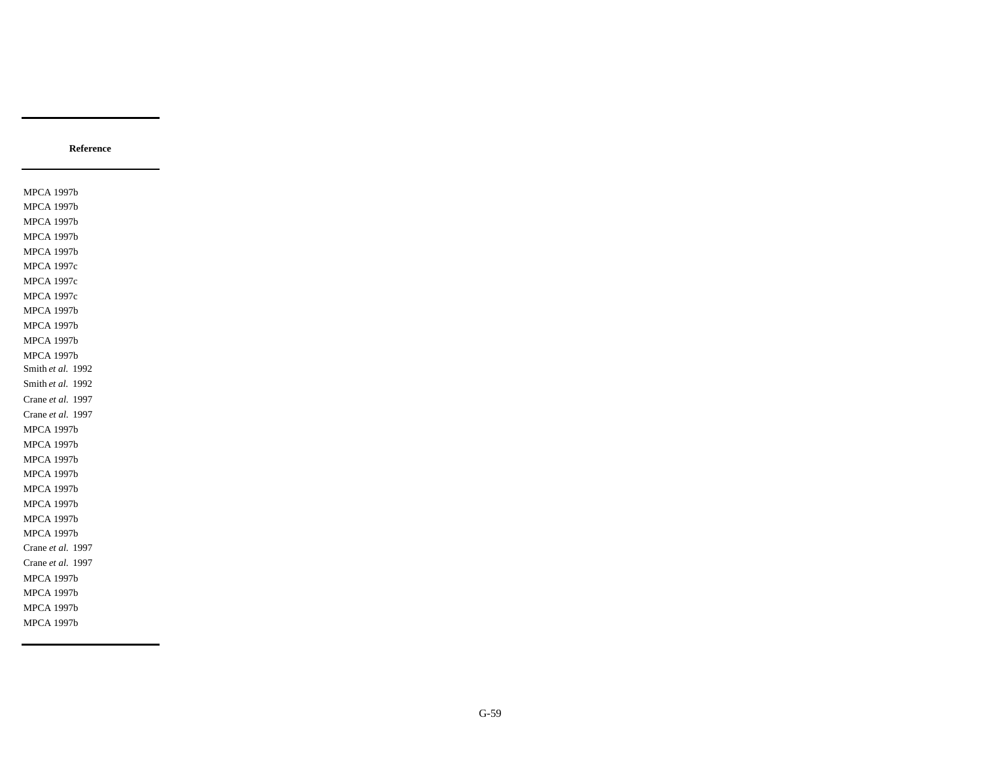MPCA 1997b MPCA 1997b MPCA 1997b MPCA 1997b MPCA 1997b MPCA 1997c MPCA 1997c MPCA 1997c MPCA 1997b MPCA 1997b MPCA 1997b MPCA 1997b Smith *et al.* 1992 Smith *et al.* 1992 Crane *et al.* 1997 Crane *et al.* 1997 MPCA 1997b MPCA 1997b MPCA 1997b MPCA 1997b MPCA 1997b MPCA 1997b MPCA 1997b MPCA 1997b Crane *et al.* 1997 Crane *et al.* 1997 MPCA 1997b MPCA 1997b MPCA 1997b MPCA 1997b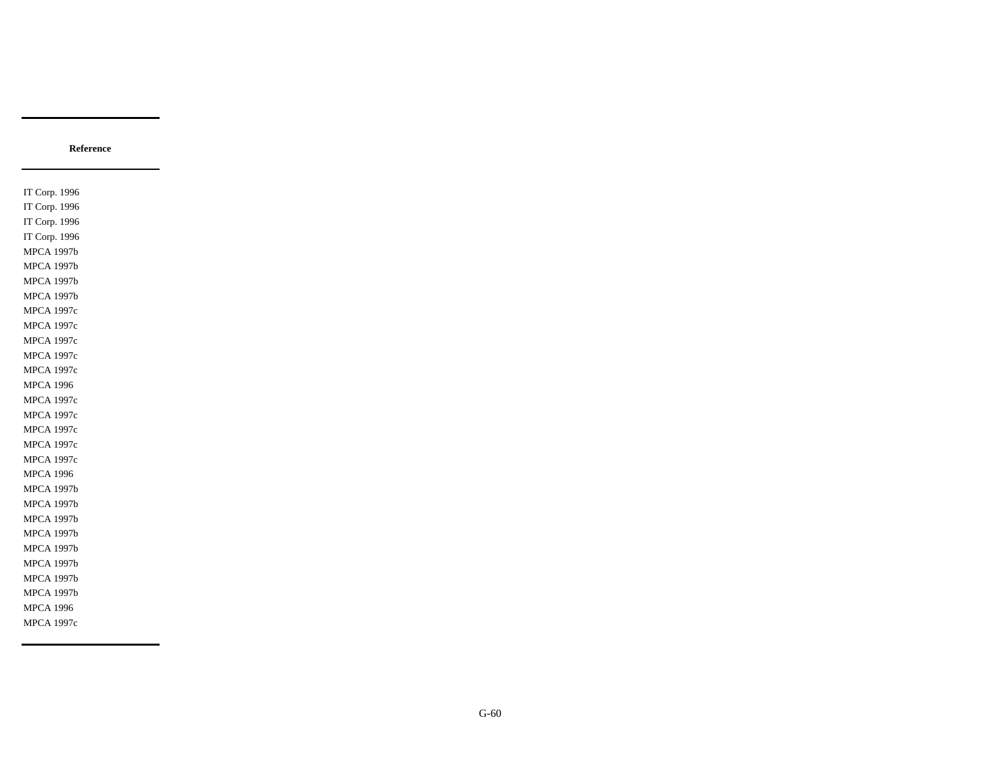IT Corp. 1996 IT Corp. 1996 IT Corp. 1996 IT Corp. 1996 MPCA 1997b MPCA 1997b MPCA 1997b MPCA 1997b MPCA 1997c MPCA 1997c MPCA 1997c MPCA 1997c MPCA 1997c MPCA 1996 MPCA 1997c MPCA 1997c MPCA 1997c MPCA 1997c MPCA 1997c MPCA 1996 MPCA 1997b MPCA 1997b MPCA 1997b MPCA 1997b MPCA 1997b MPCA 1997b MPCA 1997b MPCA 1997b MPCA 1996 MPCA 1997c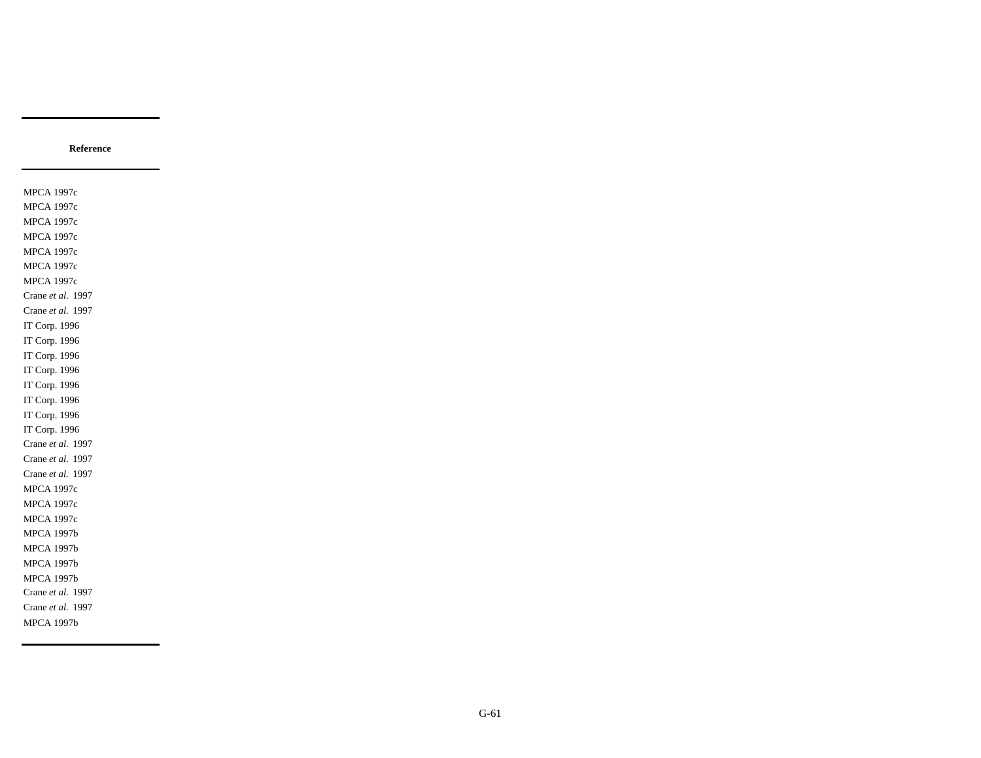MPCA 1997c MPCA 1997c MPCA 1997c MPCA 1997c MPCA 1997c MPCA 1997c MPCA 1997c Crane *et al.* 1997 Crane *et al.* 1997 IT Corp. 1996 IT Corp. 1996 IT Corp. 1996 IT Corp. 1996 IT Corp. 1996 IT Corp. 1996 IT Corp. 1996 IT Corp. 1996 Crane *et al.* 1997 Crane *et al.* 1997 Crane *et al.* 1997 MPCA 1997c MPCA 1997c MPCA 1997c MPCA 1997b MPCA 1997b MPCA 1997b MPCA 1997b Crane *et al.* 1997 Crane *et al.* 1997 MPCA 1997b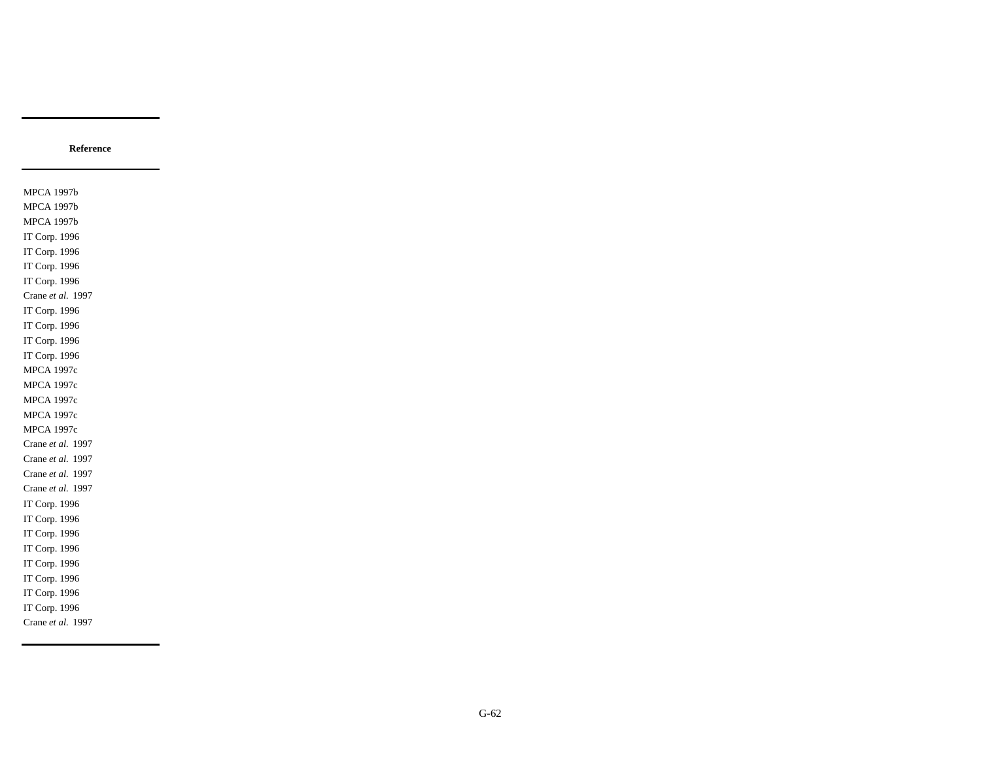MPCA 1997b MPCA 1997b MPCA 1997b IT Corp. 1996 IT Corp. 1996 IT Corp. 1996 IT Corp. 1996 Crane *et al.* 1997 IT Corp. 1996 IT Corp. 1996 IT Corp. 1996 IT Corp. 1996 MPCA 1997c MPCA 1997c MPCA 1997c MPCA 1997c MPCA 1997c Crane *et al.* 1997 Crane *et al.* 1997 Crane *et al.* 1997 Crane *et al.* 1997 IT Corp. 1996 IT Corp. 1996 IT Corp. 1996 IT Corp. 1996 IT Corp. 1996 IT Corp. 1996 IT Corp. 1996 IT Corp. 1996 Crane *et al.* 1997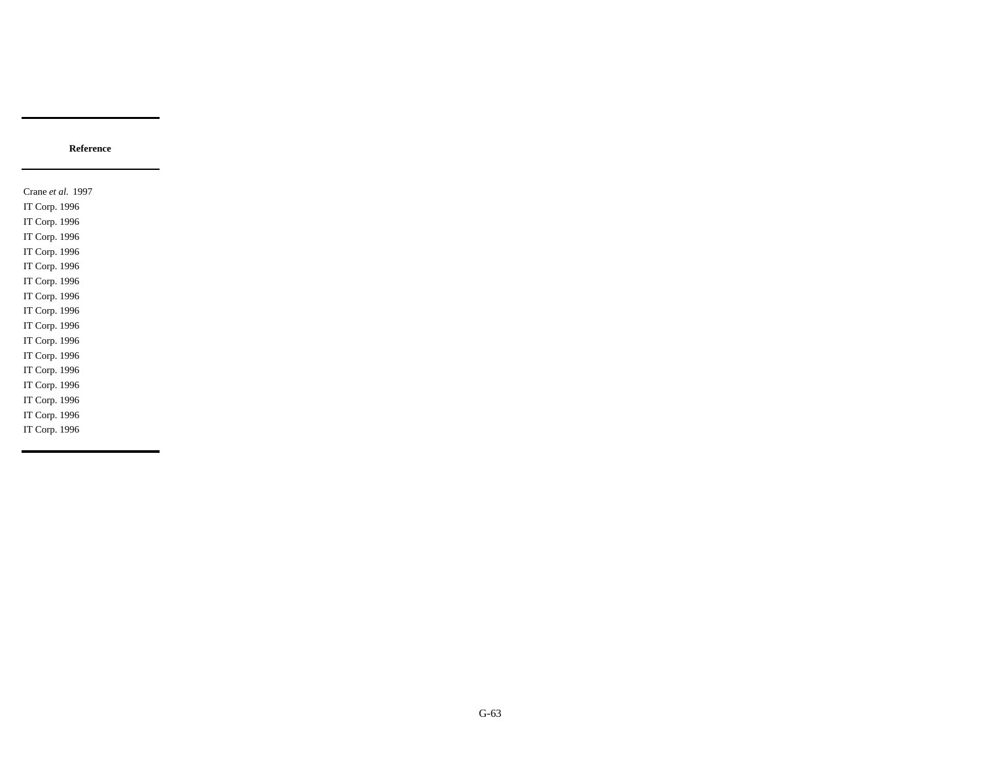Crane *et al.* 1997 IT Corp. 1996 IT Corp. 1996 IT Corp. 1996 IT Corp. 1996 IT Corp. 1996 IT Corp. 1996 IT Corp. 1996 IT Corp. 1996 IT Corp. 1996 IT Corp. 1996 IT Corp. 1996 IT Corp. 1996 IT Corp. 1996 IT Corp. 1996 IT Corp. 1996 IT Corp. 1996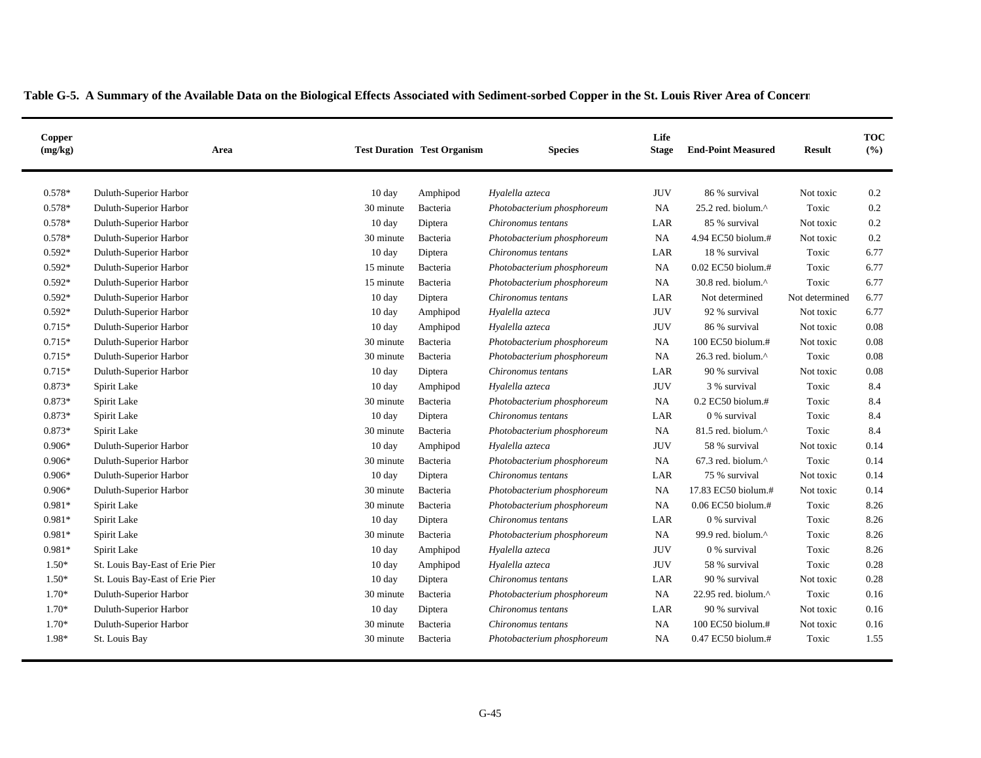| 0.578*<br><b>JUV</b><br>86 % survival<br>Duluth-Superior Harbor<br>10 day<br>Hyalella azteca<br>Not toxic<br>0.2<br>Amphipod<br>$0.578*$<br>0.2<br>Duluth-Superior Harbor<br>25.2 red. biolum.^<br>Toxic<br>30 minute<br>Bacteria<br>Photobacterium phosphoreum<br>NA<br>0.578*<br>Diptera<br>85 % survival<br>0.2<br>Duluth-Superior Harbor<br>$10 \text{ day}$<br>Chironomus tentans<br>LAR<br>Not toxic<br>0.578*<br>4.94 EC50 biolum.#<br>0.2<br>Duluth-Superior Harbor<br>30 minute<br>Bacteria<br>Photobacterium phosphoreum<br><b>NA</b><br>Not toxic<br>$0.592*$<br>18 % survival<br>6.77<br>Duluth-Superior Harbor<br>$10 \text{ day}$<br>Diptera<br>LAR<br>Toxic<br>Chironomus tentans<br>$0.592*$<br>0.02 EC50 biolum.#<br>6.77<br>Duluth-Superior Harbor<br>15 minute<br>Photobacterium phosphoreum<br><b>NA</b><br>Toxic<br>Bacteria<br>$0.592*$<br>Duluth-Superior Harbor<br>15 minute<br><b>NA</b><br>30.8 red. biolum.^<br>Toxic<br>6.77<br>Bacteria<br>Photobacterium phosphoreum<br>$0.592*$<br>6.77<br>Duluth-Superior Harbor<br>$10 \text{ day}$<br>Chironomus tentans<br>LAR<br>Not determined<br>Diptera<br>Not determined<br>$0.592*$<br><b>JUV</b><br>92 % survival<br>6.77<br>Duluth-Superior Harbor<br>$10 \text{ day}$<br>Hyalella azteca<br>Not toxic<br>Amphipod<br>$0.715*$<br><b>JUV</b><br>0.08<br>Duluth-Superior Harbor<br>$10 \text{ day}$<br>86 % survival<br>Not toxic<br>Amphipod<br>Hyalella azteca<br>$0.715*$<br>0.08<br>Duluth-Superior Harbor<br>30 minute<br>Bacteria<br>Photobacterium phosphoreum<br><b>NA</b><br>100 EC50 biolum.#<br>Not toxic<br>$0.715*$<br>0.08<br><b>NA</b><br>26.3 red. biolum.^<br>Toxic<br>Duluth-Superior Harbor<br>30 minute<br>Bacteria<br>Photobacterium phosphoreum<br>0.08<br>$0.715*$<br>90 % survival<br>Duluth-Superior Harbor<br>$10 \text{ day}$<br>Diptera<br>Chironomus tentans<br>LAR<br>Not toxic<br>0.873*<br><b>JUV</b><br>3 % survival<br>Toxic<br>8.4<br>Spirit Lake<br>$10 \text{ day}$<br>Amphipod<br>Hyalella azteca<br>0.873*<br>$0.2$ EC50 biolum.#<br>8.4<br>Spirit Lake<br>30 minute<br>Photobacterium phosphoreum<br>NA<br>Toxic<br>Bacteria<br>0.873*<br>8.4<br>Spirit Lake<br>$10 \text{ day}$<br>Diptera<br>LAR<br>0 % survival<br>Toxic<br>Chironomus tentans<br>$0.873*$<br>8.4<br>Spirit Lake<br>30 minute<br>Bacteria<br>Photobacterium phosphoreum<br><b>NA</b><br>81.5 red. biolum.^<br>Toxic<br>$0.906*$<br>Duluth-Superior Harbor<br>Hyalella azteca<br><b>JUV</b><br>58 % survival<br>0.14<br>$10 \text{ day}$<br>Amphipod<br>Not toxic<br>$0.906*$<br>0.14<br><b>NA</b><br>67.3 red. biolum.^<br>Toxic<br>Duluth-Superior Harbor<br>30 minute<br>Bacteria<br>Photobacterium phosphoreum<br>$0.906*$<br>75 % survival<br>0.14<br>Duluth-Superior Harbor<br>$10 \text{ day}$<br>Chironomus tentans<br>LAR<br>Not toxic<br>Diptera<br>$0.906*$<br>30 minute<br><b>NA</b><br>17.83 EC50 biolum.#<br>0.14<br>Duluth-Superior Harbor<br>Photobacterium phosphoreum<br>Not toxic<br>Bacteria<br>$0.981*$<br>0.06 EC50 biolum.#<br>8.26<br>Spirit Lake<br><b>NA</b><br>Toxic<br>30 minute<br>Bacteria<br>Photobacterium phosphoreum<br>0.981*<br>8.26<br>Spirit Lake<br>LAR<br>0 % survival<br>Toxic<br>$10 \text{ day}$<br>Diptera<br>Chironomus tentans<br>8.26<br>$0.981*$<br><b>NA</b><br>99.9 red. biolum.^<br>Spirit Lake<br>30 minute<br>Bacteria<br>Photobacterium phosphoreum<br>Toxic<br>0.981*<br><b>JUV</b><br>8.26<br>Spirit Lake<br>$10 \text{ day}$<br>Hyalella azteca<br>0 % survival<br>Toxic<br>Amphipod<br>$1.50*$<br><b>JUV</b><br>0.28<br>St. Louis Bay-East of Erie Pier<br>10 day<br>Hyalella azteca<br>58 % survival<br>Toxic<br>Amphipod<br>$1.50*$<br>90 % survival<br>0.28<br>St. Louis Bay-East of Erie Pier<br>10 day<br>LAR<br>Not toxic<br>Diptera<br>Chironomus tentans<br>$1.70*$<br>0.16<br>Duluth-Superior Harbor<br>30 minute<br>Photobacterium phosphoreum<br><b>NA</b><br>22.95 red. biolum.^<br>Toxic<br>Bacteria<br>$1.70*$<br>Duluth-Superior Harbor<br>Diptera<br>LAR<br>90 % survival<br>0.16<br>$10 \text{ day}$<br>Chironomus tentans<br>Not toxic<br>$1.70*$<br>0.16<br>Duluth-Superior Harbor<br>30 minute<br>NA<br>$100$ EC50 biolum.#<br>Not toxic<br>Bacteria<br>Chironomus tentans<br>1.98*<br>0.47 EC50 biolum.#<br>1.55<br>St. Louis Bay<br>30 minute<br>Bacteria<br><b>NA</b><br>Toxic<br>Photobacterium phosphoreum | Copper<br>(mg/kg) | Area | <b>Test Duration Test Organism</b> | <b>Species</b> | Life<br><b>Stage</b> | <b>End-Point Measured</b> | <b>Result</b> | <b>TOC</b><br>(%) |
|-----------------------------------------------------------------------------------------------------------------------------------------------------------------------------------------------------------------------------------------------------------------------------------------------------------------------------------------------------------------------------------------------------------------------------------------------------------------------------------------------------------------------------------------------------------------------------------------------------------------------------------------------------------------------------------------------------------------------------------------------------------------------------------------------------------------------------------------------------------------------------------------------------------------------------------------------------------------------------------------------------------------------------------------------------------------------------------------------------------------------------------------------------------------------------------------------------------------------------------------------------------------------------------------------------------------------------------------------------------------------------------------------------------------------------------------------------------------------------------------------------------------------------------------------------------------------------------------------------------------------------------------------------------------------------------------------------------------------------------------------------------------------------------------------------------------------------------------------------------------------------------------------------------------------------------------------------------------------------------------------------------------------------------------------------------------------------------------------------------------------------------------------------------------------------------------------------------------------------------------------------------------------------------------------------------------------------------------------------------------------------------------------------------------------------------------------------------------------------------------------------------------------------------------------------------------------------------------------------------------------------------------------------------------------------------------------------------------------------------------------------------------------------------------------------------------------------------------------------------------------------------------------------------------------------------------------------------------------------------------------------------------------------------------------------------------------------------------------------------------------------------------------------------------------------------------------------------------------------------------------------------------------------------------------------------------------------------------------------------------------------------------------------------------------------------------------------------------------------------------------------------------------------------------------------------------------------------------------------------------------------------------------------------------------------------------------------------------------------------------------------------------------------------------------------------------------------------------------------------------------------------------------------------------------------------------------------------------------------------------------------------------------------------------------------------------------------------------------------------------------------------------------------------------------------------------------------------------------------------------------------------------------------------------------------------------------------------------------------------------------------------|-------------------|------|------------------------------------|----------------|----------------------|---------------------------|---------------|-------------------|
|                                                                                                                                                                                                                                                                                                                                                                                                                                                                                                                                                                                                                                                                                                                                                                                                                                                                                                                                                                                                                                                                                                                                                                                                                                                                                                                                                                                                                                                                                                                                                                                                                                                                                                                                                                                                                                                                                                                                                                                                                                                                                                                                                                                                                                                                                                                                                                                                                                                                                                                                                                                                                                                                                                                                                                                                                                                                                                                                                                                                                                                                                                                                                                                                                                                                                                                                                                                                                                                                                                                                                                                                                                                                                                                                                                                                                                                                                                                                                                                                                                                                                                                                                                                                                                                                                                                                                                                   |                   |      |                                    |                |                      |                           |               |                   |
|                                                                                                                                                                                                                                                                                                                                                                                                                                                                                                                                                                                                                                                                                                                                                                                                                                                                                                                                                                                                                                                                                                                                                                                                                                                                                                                                                                                                                                                                                                                                                                                                                                                                                                                                                                                                                                                                                                                                                                                                                                                                                                                                                                                                                                                                                                                                                                                                                                                                                                                                                                                                                                                                                                                                                                                                                                                                                                                                                                                                                                                                                                                                                                                                                                                                                                                                                                                                                                                                                                                                                                                                                                                                                                                                                                                                                                                                                                                                                                                                                                                                                                                                                                                                                                                                                                                                                                                   |                   |      |                                    |                |                      |                           |               |                   |
|                                                                                                                                                                                                                                                                                                                                                                                                                                                                                                                                                                                                                                                                                                                                                                                                                                                                                                                                                                                                                                                                                                                                                                                                                                                                                                                                                                                                                                                                                                                                                                                                                                                                                                                                                                                                                                                                                                                                                                                                                                                                                                                                                                                                                                                                                                                                                                                                                                                                                                                                                                                                                                                                                                                                                                                                                                                                                                                                                                                                                                                                                                                                                                                                                                                                                                                                                                                                                                                                                                                                                                                                                                                                                                                                                                                                                                                                                                                                                                                                                                                                                                                                                                                                                                                                                                                                                                                   |                   |      |                                    |                |                      |                           |               |                   |
|                                                                                                                                                                                                                                                                                                                                                                                                                                                                                                                                                                                                                                                                                                                                                                                                                                                                                                                                                                                                                                                                                                                                                                                                                                                                                                                                                                                                                                                                                                                                                                                                                                                                                                                                                                                                                                                                                                                                                                                                                                                                                                                                                                                                                                                                                                                                                                                                                                                                                                                                                                                                                                                                                                                                                                                                                                                                                                                                                                                                                                                                                                                                                                                                                                                                                                                                                                                                                                                                                                                                                                                                                                                                                                                                                                                                                                                                                                                                                                                                                                                                                                                                                                                                                                                                                                                                                                                   |                   |      |                                    |                |                      |                           |               |                   |
|                                                                                                                                                                                                                                                                                                                                                                                                                                                                                                                                                                                                                                                                                                                                                                                                                                                                                                                                                                                                                                                                                                                                                                                                                                                                                                                                                                                                                                                                                                                                                                                                                                                                                                                                                                                                                                                                                                                                                                                                                                                                                                                                                                                                                                                                                                                                                                                                                                                                                                                                                                                                                                                                                                                                                                                                                                                                                                                                                                                                                                                                                                                                                                                                                                                                                                                                                                                                                                                                                                                                                                                                                                                                                                                                                                                                                                                                                                                                                                                                                                                                                                                                                                                                                                                                                                                                                                                   |                   |      |                                    |                |                      |                           |               |                   |
|                                                                                                                                                                                                                                                                                                                                                                                                                                                                                                                                                                                                                                                                                                                                                                                                                                                                                                                                                                                                                                                                                                                                                                                                                                                                                                                                                                                                                                                                                                                                                                                                                                                                                                                                                                                                                                                                                                                                                                                                                                                                                                                                                                                                                                                                                                                                                                                                                                                                                                                                                                                                                                                                                                                                                                                                                                                                                                                                                                                                                                                                                                                                                                                                                                                                                                                                                                                                                                                                                                                                                                                                                                                                                                                                                                                                                                                                                                                                                                                                                                                                                                                                                                                                                                                                                                                                                                                   |                   |      |                                    |                |                      |                           |               |                   |
|                                                                                                                                                                                                                                                                                                                                                                                                                                                                                                                                                                                                                                                                                                                                                                                                                                                                                                                                                                                                                                                                                                                                                                                                                                                                                                                                                                                                                                                                                                                                                                                                                                                                                                                                                                                                                                                                                                                                                                                                                                                                                                                                                                                                                                                                                                                                                                                                                                                                                                                                                                                                                                                                                                                                                                                                                                                                                                                                                                                                                                                                                                                                                                                                                                                                                                                                                                                                                                                                                                                                                                                                                                                                                                                                                                                                                                                                                                                                                                                                                                                                                                                                                                                                                                                                                                                                                                                   |                   |      |                                    |                |                      |                           |               |                   |
|                                                                                                                                                                                                                                                                                                                                                                                                                                                                                                                                                                                                                                                                                                                                                                                                                                                                                                                                                                                                                                                                                                                                                                                                                                                                                                                                                                                                                                                                                                                                                                                                                                                                                                                                                                                                                                                                                                                                                                                                                                                                                                                                                                                                                                                                                                                                                                                                                                                                                                                                                                                                                                                                                                                                                                                                                                                                                                                                                                                                                                                                                                                                                                                                                                                                                                                                                                                                                                                                                                                                                                                                                                                                                                                                                                                                                                                                                                                                                                                                                                                                                                                                                                                                                                                                                                                                                                                   |                   |      |                                    |                |                      |                           |               |                   |
|                                                                                                                                                                                                                                                                                                                                                                                                                                                                                                                                                                                                                                                                                                                                                                                                                                                                                                                                                                                                                                                                                                                                                                                                                                                                                                                                                                                                                                                                                                                                                                                                                                                                                                                                                                                                                                                                                                                                                                                                                                                                                                                                                                                                                                                                                                                                                                                                                                                                                                                                                                                                                                                                                                                                                                                                                                                                                                                                                                                                                                                                                                                                                                                                                                                                                                                                                                                                                                                                                                                                                                                                                                                                                                                                                                                                                                                                                                                                                                                                                                                                                                                                                                                                                                                                                                                                                                                   |                   |      |                                    |                |                      |                           |               |                   |
|                                                                                                                                                                                                                                                                                                                                                                                                                                                                                                                                                                                                                                                                                                                                                                                                                                                                                                                                                                                                                                                                                                                                                                                                                                                                                                                                                                                                                                                                                                                                                                                                                                                                                                                                                                                                                                                                                                                                                                                                                                                                                                                                                                                                                                                                                                                                                                                                                                                                                                                                                                                                                                                                                                                                                                                                                                                                                                                                                                                                                                                                                                                                                                                                                                                                                                                                                                                                                                                                                                                                                                                                                                                                                                                                                                                                                                                                                                                                                                                                                                                                                                                                                                                                                                                                                                                                                                                   |                   |      |                                    |                |                      |                           |               |                   |
|                                                                                                                                                                                                                                                                                                                                                                                                                                                                                                                                                                                                                                                                                                                                                                                                                                                                                                                                                                                                                                                                                                                                                                                                                                                                                                                                                                                                                                                                                                                                                                                                                                                                                                                                                                                                                                                                                                                                                                                                                                                                                                                                                                                                                                                                                                                                                                                                                                                                                                                                                                                                                                                                                                                                                                                                                                                                                                                                                                                                                                                                                                                                                                                                                                                                                                                                                                                                                                                                                                                                                                                                                                                                                                                                                                                                                                                                                                                                                                                                                                                                                                                                                                                                                                                                                                                                                                                   |                   |      |                                    |                |                      |                           |               |                   |
|                                                                                                                                                                                                                                                                                                                                                                                                                                                                                                                                                                                                                                                                                                                                                                                                                                                                                                                                                                                                                                                                                                                                                                                                                                                                                                                                                                                                                                                                                                                                                                                                                                                                                                                                                                                                                                                                                                                                                                                                                                                                                                                                                                                                                                                                                                                                                                                                                                                                                                                                                                                                                                                                                                                                                                                                                                                                                                                                                                                                                                                                                                                                                                                                                                                                                                                                                                                                                                                                                                                                                                                                                                                                                                                                                                                                                                                                                                                                                                                                                                                                                                                                                                                                                                                                                                                                                                                   |                   |      |                                    |                |                      |                           |               |                   |
|                                                                                                                                                                                                                                                                                                                                                                                                                                                                                                                                                                                                                                                                                                                                                                                                                                                                                                                                                                                                                                                                                                                                                                                                                                                                                                                                                                                                                                                                                                                                                                                                                                                                                                                                                                                                                                                                                                                                                                                                                                                                                                                                                                                                                                                                                                                                                                                                                                                                                                                                                                                                                                                                                                                                                                                                                                                                                                                                                                                                                                                                                                                                                                                                                                                                                                                                                                                                                                                                                                                                                                                                                                                                                                                                                                                                                                                                                                                                                                                                                                                                                                                                                                                                                                                                                                                                                                                   |                   |      |                                    |                |                      |                           |               |                   |
|                                                                                                                                                                                                                                                                                                                                                                                                                                                                                                                                                                                                                                                                                                                                                                                                                                                                                                                                                                                                                                                                                                                                                                                                                                                                                                                                                                                                                                                                                                                                                                                                                                                                                                                                                                                                                                                                                                                                                                                                                                                                                                                                                                                                                                                                                                                                                                                                                                                                                                                                                                                                                                                                                                                                                                                                                                                                                                                                                                                                                                                                                                                                                                                                                                                                                                                                                                                                                                                                                                                                                                                                                                                                                                                                                                                                                                                                                                                                                                                                                                                                                                                                                                                                                                                                                                                                                                                   |                   |      |                                    |                |                      |                           |               |                   |
|                                                                                                                                                                                                                                                                                                                                                                                                                                                                                                                                                                                                                                                                                                                                                                                                                                                                                                                                                                                                                                                                                                                                                                                                                                                                                                                                                                                                                                                                                                                                                                                                                                                                                                                                                                                                                                                                                                                                                                                                                                                                                                                                                                                                                                                                                                                                                                                                                                                                                                                                                                                                                                                                                                                                                                                                                                                                                                                                                                                                                                                                                                                                                                                                                                                                                                                                                                                                                                                                                                                                                                                                                                                                                                                                                                                                                                                                                                                                                                                                                                                                                                                                                                                                                                                                                                                                                                                   |                   |      |                                    |                |                      |                           |               |                   |
|                                                                                                                                                                                                                                                                                                                                                                                                                                                                                                                                                                                                                                                                                                                                                                                                                                                                                                                                                                                                                                                                                                                                                                                                                                                                                                                                                                                                                                                                                                                                                                                                                                                                                                                                                                                                                                                                                                                                                                                                                                                                                                                                                                                                                                                                                                                                                                                                                                                                                                                                                                                                                                                                                                                                                                                                                                                                                                                                                                                                                                                                                                                                                                                                                                                                                                                                                                                                                                                                                                                                                                                                                                                                                                                                                                                                                                                                                                                                                                                                                                                                                                                                                                                                                                                                                                                                                                                   |                   |      |                                    |                |                      |                           |               |                   |
|                                                                                                                                                                                                                                                                                                                                                                                                                                                                                                                                                                                                                                                                                                                                                                                                                                                                                                                                                                                                                                                                                                                                                                                                                                                                                                                                                                                                                                                                                                                                                                                                                                                                                                                                                                                                                                                                                                                                                                                                                                                                                                                                                                                                                                                                                                                                                                                                                                                                                                                                                                                                                                                                                                                                                                                                                                                                                                                                                                                                                                                                                                                                                                                                                                                                                                                                                                                                                                                                                                                                                                                                                                                                                                                                                                                                                                                                                                                                                                                                                                                                                                                                                                                                                                                                                                                                                                                   |                   |      |                                    |                |                      |                           |               |                   |
|                                                                                                                                                                                                                                                                                                                                                                                                                                                                                                                                                                                                                                                                                                                                                                                                                                                                                                                                                                                                                                                                                                                                                                                                                                                                                                                                                                                                                                                                                                                                                                                                                                                                                                                                                                                                                                                                                                                                                                                                                                                                                                                                                                                                                                                                                                                                                                                                                                                                                                                                                                                                                                                                                                                                                                                                                                                                                                                                                                                                                                                                                                                                                                                                                                                                                                                                                                                                                                                                                                                                                                                                                                                                                                                                                                                                                                                                                                                                                                                                                                                                                                                                                                                                                                                                                                                                                                                   |                   |      |                                    |                |                      |                           |               |                   |
|                                                                                                                                                                                                                                                                                                                                                                                                                                                                                                                                                                                                                                                                                                                                                                                                                                                                                                                                                                                                                                                                                                                                                                                                                                                                                                                                                                                                                                                                                                                                                                                                                                                                                                                                                                                                                                                                                                                                                                                                                                                                                                                                                                                                                                                                                                                                                                                                                                                                                                                                                                                                                                                                                                                                                                                                                                                                                                                                                                                                                                                                                                                                                                                                                                                                                                                                                                                                                                                                                                                                                                                                                                                                                                                                                                                                                                                                                                                                                                                                                                                                                                                                                                                                                                                                                                                                                                                   |                   |      |                                    |                |                      |                           |               |                   |
|                                                                                                                                                                                                                                                                                                                                                                                                                                                                                                                                                                                                                                                                                                                                                                                                                                                                                                                                                                                                                                                                                                                                                                                                                                                                                                                                                                                                                                                                                                                                                                                                                                                                                                                                                                                                                                                                                                                                                                                                                                                                                                                                                                                                                                                                                                                                                                                                                                                                                                                                                                                                                                                                                                                                                                                                                                                                                                                                                                                                                                                                                                                                                                                                                                                                                                                                                                                                                                                                                                                                                                                                                                                                                                                                                                                                                                                                                                                                                                                                                                                                                                                                                                                                                                                                                                                                                                                   |                   |      |                                    |                |                      |                           |               |                   |
|                                                                                                                                                                                                                                                                                                                                                                                                                                                                                                                                                                                                                                                                                                                                                                                                                                                                                                                                                                                                                                                                                                                                                                                                                                                                                                                                                                                                                                                                                                                                                                                                                                                                                                                                                                                                                                                                                                                                                                                                                                                                                                                                                                                                                                                                                                                                                                                                                                                                                                                                                                                                                                                                                                                                                                                                                                                                                                                                                                                                                                                                                                                                                                                                                                                                                                                                                                                                                                                                                                                                                                                                                                                                                                                                                                                                                                                                                                                                                                                                                                                                                                                                                                                                                                                                                                                                                                                   |                   |      |                                    |                |                      |                           |               |                   |
|                                                                                                                                                                                                                                                                                                                                                                                                                                                                                                                                                                                                                                                                                                                                                                                                                                                                                                                                                                                                                                                                                                                                                                                                                                                                                                                                                                                                                                                                                                                                                                                                                                                                                                                                                                                                                                                                                                                                                                                                                                                                                                                                                                                                                                                                                                                                                                                                                                                                                                                                                                                                                                                                                                                                                                                                                                                                                                                                                                                                                                                                                                                                                                                                                                                                                                                                                                                                                                                                                                                                                                                                                                                                                                                                                                                                                                                                                                                                                                                                                                                                                                                                                                                                                                                                                                                                                                                   |                   |      |                                    |                |                      |                           |               |                   |
|                                                                                                                                                                                                                                                                                                                                                                                                                                                                                                                                                                                                                                                                                                                                                                                                                                                                                                                                                                                                                                                                                                                                                                                                                                                                                                                                                                                                                                                                                                                                                                                                                                                                                                                                                                                                                                                                                                                                                                                                                                                                                                                                                                                                                                                                                                                                                                                                                                                                                                                                                                                                                                                                                                                                                                                                                                                                                                                                                                                                                                                                                                                                                                                                                                                                                                                                                                                                                                                                                                                                                                                                                                                                                                                                                                                                                                                                                                                                                                                                                                                                                                                                                                                                                                                                                                                                                                                   |                   |      |                                    |                |                      |                           |               |                   |
|                                                                                                                                                                                                                                                                                                                                                                                                                                                                                                                                                                                                                                                                                                                                                                                                                                                                                                                                                                                                                                                                                                                                                                                                                                                                                                                                                                                                                                                                                                                                                                                                                                                                                                                                                                                                                                                                                                                                                                                                                                                                                                                                                                                                                                                                                                                                                                                                                                                                                                                                                                                                                                                                                                                                                                                                                                                                                                                                                                                                                                                                                                                                                                                                                                                                                                                                                                                                                                                                                                                                                                                                                                                                                                                                                                                                                                                                                                                                                                                                                                                                                                                                                                                                                                                                                                                                                                                   |                   |      |                                    |                |                      |                           |               |                   |
|                                                                                                                                                                                                                                                                                                                                                                                                                                                                                                                                                                                                                                                                                                                                                                                                                                                                                                                                                                                                                                                                                                                                                                                                                                                                                                                                                                                                                                                                                                                                                                                                                                                                                                                                                                                                                                                                                                                                                                                                                                                                                                                                                                                                                                                                                                                                                                                                                                                                                                                                                                                                                                                                                                                                                                                                                                                                                                                                                                                                                                                                                                                                                                                                                                                                                                                                                                                                                                                                                                                                                                                                                                                                                                                                                                                                                                                                                                                                                                                                                                                                                                                                                                                                                                                                                                                                                                                   |                   |      |                                    |                |                      |                           |               |                   |
|                                                                                                                                                                                                                                                                                                                                                                                                                                                                                                                                                                                                                                                                                                                                                                                                                                                                                                                                                                                                                                                                                                                                                                                                                                                                                                                                                                                                                                                                                                                                                                                                                                                                                                                                                                                                                                                                                                                                                                                                                                                                                                                                                                                                                                                                                                                                                                                                                                                                                                                                                                                                                                                                                                                                                                                                                                                                                                                                                                                                                                                                                                                                                                                                                                                                                                                                                                                                                                                                                                                                                                                                                                                                                                                                                                                                                                                                                                                                                                                                                                                                                                                                                                                                                                                                                                                                                                                   |                   |      |                                    |                |                      |                           |               |                   |
|                                                                                                                                                                                                                                                                                                                                                                                                                                                                                                                                                                                                                                                                                                                                                                                                                                                                                                                                                                                                                                                                                                                                                                                                                                                                                                                                                                                                                                                                                                                                                                                                                                                                                                                                                                                                                                                                                                                                                                                                                                                                                                                                                                                                                                                                                                                                                                                                                                                                                                                                                                                                                                                                                                                                                                                                                                                                                                                                                                                                                                                                                                                                                                                                                                                                                                                                                                                                                                                                                                                                                                                                                                                                                                                                                                                                                                                                                                                                                                                                                                                                                                                                                                                                                                                                                                                                                                                   |                   |      |                                    |                |                      |                           |               |                   |
|                                                                                                                                                                                                                                                                                                                                                                                                                                                                                                                                                                                                                                                                                                                                                                                                                                                                                                                                                                                                                                                                                                                                                                                                                                                                                                                                                                                                                                                                                                                                                                                                                                                                                                                                                                                                                                                                                                                                                                                                                                                                                                                                                                                                                                                                                                                                                                                                                                                                                                                                                                                                                                                                                                                                                                                                                                                                                                                                                                                                                                                                                                                                                                                                                                                                                                                                                                                                                                                                                                                                                                                                                                                                                                                                                                                                                                                                                                                                                                                                                                                                                                                                                                                                                                                                                                                                                                                   |                   |      |                                    |                |                      |                           |               |                   |
|                                                                                                                                                                                                                                                                                                                                                                                                                                                                                                                                                                                                                                                                                                                                                                                                                                                                                                                                                                                                                                                                                                                                                                                                                                                                                                                                                                                                                                                                                                                                                                                                                                                                                                                                                                                                                                                                                                                                                                                                                                                                                                                                                                                                                                                                                                                                                                                                                                                                                                                                                                                                                                                                                                                                                                                                                                                                                                                                                                                                                                                                                                                                                                                                                                                                                                                                                                                                                                                                                                                                                                                                                                                                                                                                                                                                                                                                                                                                                                                                                                                                                                                                                                                                                                                                                                                                                                                   |                   |      |                                    |                |                      |                           |               |                   |
|                                                                                                                                                                                                                                                                                                                                                                                                                                                                                                                                                                                                                                                                                                                                                                                                                                                                                                                                                                                                                                                                                                                                                                                                                                                                                                                                                                                                                                                                                                                                                                                                                                                                                                                                                                                                                                                                                                                                                                                                                                                                                                                                                                                                                                                                                                                                                                                                                                                                                                                                                                                                                                                                                                                                                                                                                                                                                                                                                                                                                                                                                                                                                                                                                                                                                                                                                                                                                                                                                                                                                                                                                                                                                                                                                                                                                                                                                                                                                                                                                                                                                                                                                                                                                                                                                                                                                                                   |                   |      |                                    |                |                      |                           |               |                   |
|                                                                                                                                                                                                                                                                                                                                                                                                                                                                                                                                                                                                                                                                                                                                                                                                                                                                                                                                                                                                                                                                                                                                                                                                                                                                                                                                                                                                                                                                                                                                                                                                                                                                                                                                                                                                                                                                                                                                                                                                                                                                                                                                                                                                                                                                                                                                                                                                                                                                                                                                                                                                                                                                                                                                                                                                                                                                                                                                                                                                                                                                                                                                                                                                                                                                                                                                                                                                                                                                                                                                                                                                                                                                                                                                                                                                                                                                                                                                                                                                                                                                                                                                                                                                                                                                                                                                                                                   |                   |      |                                    |                |                      |                           |               |                   |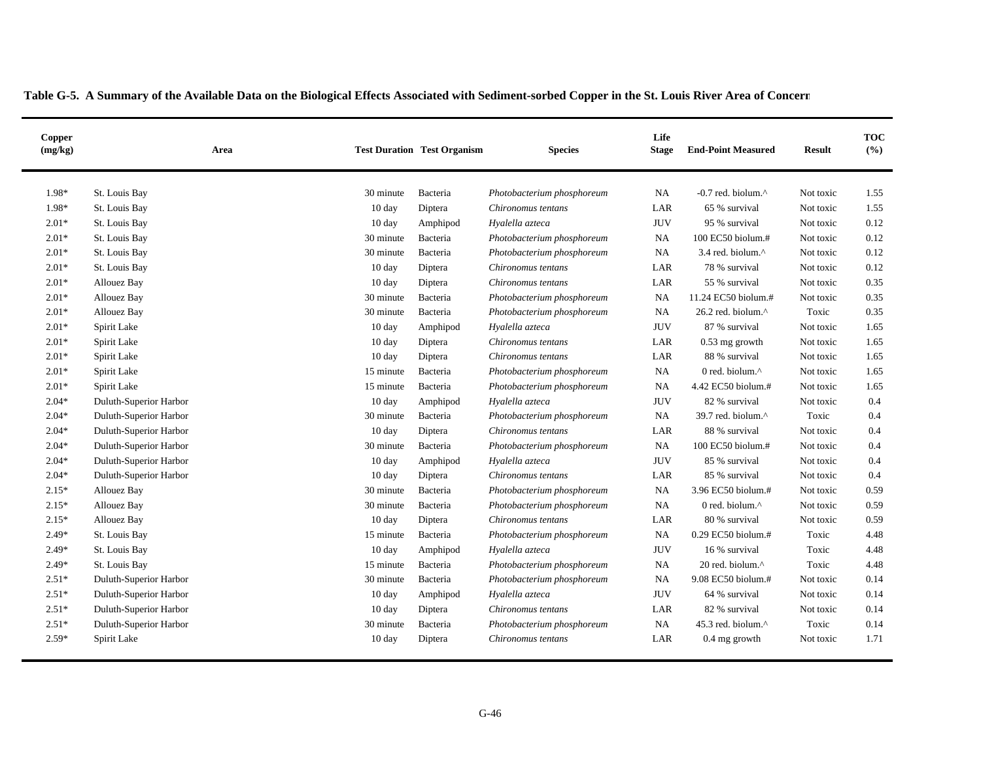| Copper<br>(mg/kg) |                        | Area |                  | <b>Test Duration Test Organism</b> | <b>Species</b>             | Life<br><b>Stage</b> | <b>End-Point Measured</b>       | <b>Result</b> | <b>TOC</b><br>(%) |
|-------------------|------------------------|------|------------------|------------------------------------|----------------------------|----------------------|---------------------------------|---------------|-------------------|
| 1.98*             | St. Louis Bay          |      | 30 minute        | Bacteria                           | Photobacterium phosphoreum | <b>NA</b>            | $-0.7$ red. biolum. $^{\wedge}$ | Not toxic     | 1.55              |
| 1.98*             | St. Louis Bay          |      | $10 \text{ day}$ | Diptera                            | Chironomus tentans         | LAR                  | 65 % survival                   | Not toxic     | 1.55              |
| $2.01*$           | St. Louis Bay          |      | $10 \text{ day}$ | Amphipod                           | Hyalella azteca            | <b>JUV</b>           | 95 % survival                   | Not toxic     | 0.12              |
| $2.01*$           | St. Louis Bay          |      | 30 minute        | Bacteria                           | Photobacterium phosphoreum | <b>NA</b>            | 100 EC50 biolum.#               | Not toxic     | 0.12              |
| $2.01*$           | St. Louis Bay          |      | 30 minute        | Bacteria                           | Photobacterium phosphoreum | NA.                  | 3.4 red. biolum.^               | Not toxic     | 0.12              |
| $2.01*$           | St. Louis Bay          |      | $10 \text{ day}$ | Diptera                            | Chironomus tentans         | LAR                  | 78 % survival                   | Not toxic     | 0.12              |
| $2.01*$           | <b>Allouez Bay</b>     |      | $10 \text{ day}$ | Diptera                            | Chironomus tentans         | LAR                  | 55 % survival                   | Not toxic     | 0.35              |
| $2.01*$           | <b>Allouez Bay</b>     |      | 30 minute        | Bacteria                           | Photobacterium phosphoreum | <b>NA</b>            | 11.24 EC50 biolum.#             | Not toxic     | 0.35              |
| $2.01*$           | Allouez Bay            |      | 30 minute        | Bacteria                           | Photobacterium phosphoreum | <b>NA</b>            | 26.2 red. biolum.^              | Toxic         | 0.35              |
| $2.01*$           | Spirit Lake            |      | $10 \text{ day}$ | Amphipod                           | Hyalella azteca            | <b>JUV</b>           | 87 % survival                   | Not toxic     | 1.65              |
| $2.01*$           | Spirit Lake            |      | 10 day           | Diptera                            | Chironomus tentans         | LAR                  | 0.53 mg growth                  | Not toxic     | 1.65              |
| $2.01*$           | Spirit Lake            |      | 10 day           | Diptera                            | Chironomus tentans         | LAR                  | 88 % survival                   | Not toxic     | 1.65              |
| $2.01*$           | Spirit Lake            |      | 15 minute        | Bacteria                           | Photobacterium phosphoreum | <b>NA</b>            | 0 red. biolum.^                 | Not toxic     | 1.65              |
| $2.01*$           | Spirit Lake            |      | 15 minute        | Bacteria                           | Photobacterium phosphoreum | NA                   | 4.42 EC50 biolum.#              | Not toxic     | 1.65              |
| $2.04*$           | Duluth-Superior Harbor |      | $10 \text{ day}$ | Amphipod                           | Hyalella azteca            | <b>JUV</b>           | 82 % survival                   | Not toxic     | 0.4               |
| $2.04*$           | Duluth-Superior Harbor |      | 30 minute        | Bacteria                           | Photobacterium phosphoreum | <b>NA</b>            | 39.7 red. biolum.^              | Toxic         | 0.4               |
| $2.04*$           | Duluth-Superior Harbor |      | $10 \text{ day}$ | Diptera                            | Chironomus tentans         | LAR                  | 88 % survival                   | Not toxic     | 0.4               |
| $2.04*$           | Duluth-Superior Harbor |      | 30 minute        | Bacteria                           | Photobacterium phosphoreum | <b>NA</b>            | 100 EC50 biolum.#               | Not toxic     | 0.4               |
| $2.04*$           | Duluth-Superior Harbor |      | $10 \text{ day}$ | Amphipod                           | Hyalella azteca            | JUV                  | 85 % survival                   | Not toxic     | 0.4               |
| $2.04*$           | Duluth-Superior Harbor |      | $10 \text{ day}$ | Diptera                            | Chironomus tentans         | LAR                  | 85 % survival                   | Not toxic     | 0.4               |
| $2.15*$           | <b>Allouez Bay</b>     |      | 30 minute        | Bacteria                           | Photobacterium phosphoreum | <b>NA</b>            | 3.96 EC50 biolum.#              | Not toxic     | 0.59              |
| $2.15*$           | <b>Allouez Bay</b>     |      | 30 minute        | Bacteria                           | Photobacterium phosphoreum | <b>NA</b>            | 0 red. biolum.^                 | Not toxic     | 0.59              |
| $2.15*$           | <b>Allouez Bay</b>     |      | 10 day           | Diptera                            | Chironomus tentans         | LAR                  | 80 % survival                   | Not toxic     | 0.59              |
| $2.49*$           | St. Louis Bay          |      | 15 minute        | Bacteria                           | Photobacterium phosphoreum | <b>NA</b>            | 0.29 EC50 biolum.#              | Toxic         | 4.48              |
| $2.49*$           | St. Louis Bay          |      | $10 \text{ day}$ | Amphipod                           | Hyalella azteca            | <b>JUV</b>           | 16 % survival                   | Toxic         | 4.48              |
| $2.49*$           | St. Louis Bay          |      | 15 minute        | Bacteria                           | Photobacterium phosphoreum | <b>NA</b>            | 20 red. biolum.^                | Toxic         | 4.48              |
| $2.51*$           | Duluth-Superior Harbor |      | 30 minute        | Bacteria                           | Photobacterium phosphoreum | <b>NA</b>            | 9.08 EC50 biolum.#              | Not toxic     | 0.14              |
| $2.51*$           | Duluth-Superior Harbor |      | $10 \text{ day}$ | Amphipod                           | Hyalella azteca            | <b>JUV</b>           | 64 % survival                   | Not toxic     | 0.14              |
| $2.51*$           | Duluth-Superior Harbor |      | $10 \text{ day}$ | Diptera                            | Chironomus tentans         | LAR                  | 82 % survival                   | Not toxic     | 0.14              |
| $2.51*$           | Duluth-Superior Harbor |      | 30 minute        | Bacteria                           | Photobacterium phosphoreum | <b>NA</b>            | 45.3 red. biolum.^              | Toxic         | 0.14              |
| $2.59*$           | Spirit Lake            |      | $10 \text{ day}$ | Diptera                            | Chironomus tentans         | LAR                  | 0.4 mg growth                   | Not toxic     | 1.71              |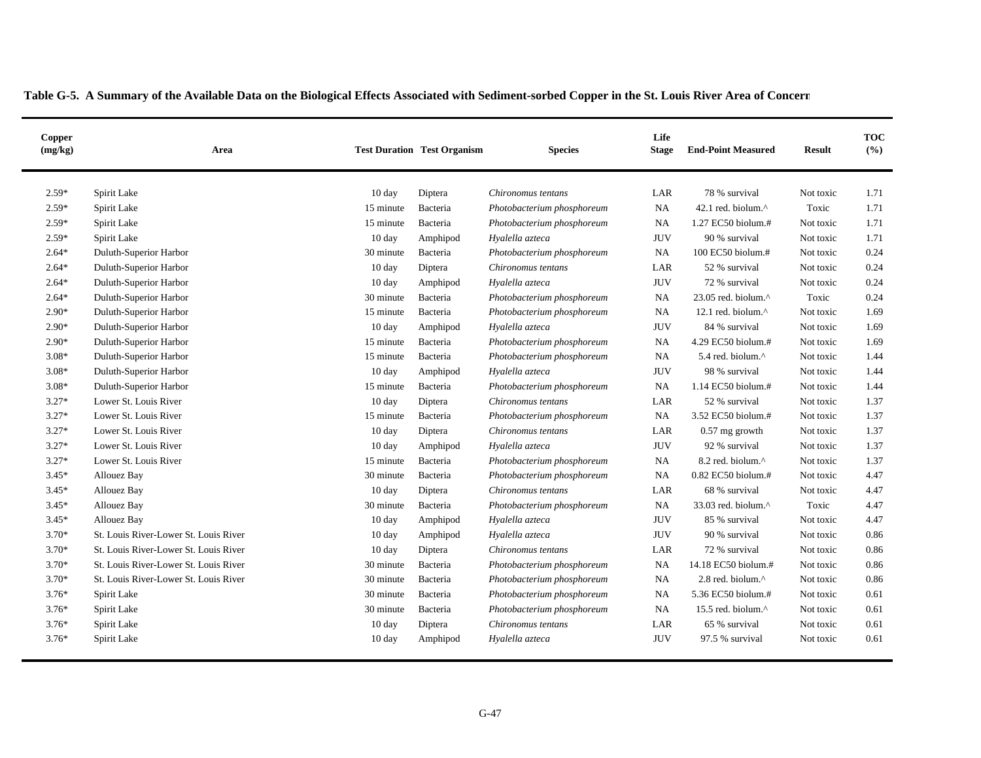| Copper<br>(mg/kg) | Area                                  |                  | <b>Test Duration Test Organism</b> | <b>Species</b>             | Life<br><b>Stage</b> | <b>End-Point Measured</b>  | <b>Result</b> | <b>TOC</b><br>(%) |
|-------------------|---------------------------------------|------------------|------------------------------------|----------------------------|----------------------|----------------------------|---------------|-------------------|
| $2.59*$           | Spirit Lake                           | $10 \text{ day}$ | Diptera                            | Chironomus tentans         | LAR                  | 78 % survival              | Not toxic     | 1.71              |
| $2.59*$           | Spirit Lake                           | 15 minute        | Bacteria                           | Photobacterium phosphoreum | <b>NA</b>            | 42.1 red. biolum.^         | Toxic         | 1.71              |
| $2.59*$           | Spirit Lake                           | 15 minute        | Bacteria                           | Photobacterium phosphoreum | <b>NA</b>            | 1.27 EC50 biolum.#         | Not toxic     | 1.71              |
| $2.59*$           | Spirit Lake                           | $10 \text{ day}$ | Amphipod                           | Hyalella azteca            | JUV                  | 90 % survival              | Not toxic     | 1.71              |
| $2.64*$           | Duluth-Superior Harbor                | 30 minute        | Bacteria                           | Photobacterium phosphoreum | <b>NA</b>            | 100 EC50 biolum.#          | Not toxic     | 0.24              |
| $2.64*$           | Duluth-Superior Harbor                | $10 \text{ day}$ | Diptera                            | Chironomus tentans         | LAR                  | 52 % survival              | Not toxic     | 0.24              |
| $2.64*$           | Duluth-Superior Harbor                | $10 \text{ day}$ | Amphipod                           | Hyalella azteca            | <b>JUV</b>           | 72 % survival              | Not toxic     | 0.24              |
| $2.64*$           | Duluth-Superior Harbor                | 30 minute        | Bacteria                           | Photobacterium phosphoreum | <b>NA</b>            | 23.05 red. biolum.^        | Toxic         | 0.24              |
| $2.90*$           | Duluth-Superior Harbor                | 15 minute        | Bacteria                           | Photobacterium phosphoreum | <b>NA</b>            | 12.1 red. biolum. $\wedge$ | Not toxic     | 1.69              |
| $2.90*$           | Duluth-Superior Harbor                | $10 \text{ day}$ | Amphipod                           | Hyalella azteca            | <b>JUV</b>           | 84 % survival              | Not toxic     | 1.69              |
| $2.90*$           | Duluth-Superior Harbor                | 15 minute        | Bacteria                           | Photobacterium phosphoreum | NA                   | 4.29 EC50 biolum.#         | Not toxic     | 1.69              |
| $3.08*$           | Duluth-Superior Harbor                | 15 minute        | Bacteria                           | Photobacterium phosphoreum | NA.                  | 5.4 red. biolum.^          | Not toxic     | 1.44              |
| $3.08*$           | Duluth-Superior Harbor                | 10 day           | Amphipod                           | Hyalella azteca            | <b>JUV</b>           | 98 % survival              | Not toxic     | 1.44              |
| $3.08*$           | Duluth-Superior Harbor                | 15 minute        | Bacteria                           | Photobacterium phosphoreum | NA                   | 1.14 EC50 biolum.#         | Not toxic     | 1.44              |
| $3.27*$           | Lower St. Louis River                 | 10 day           | Diptera                            | Chironomus tentans         | LAR                  | 52 % survival              | Not toxic     | 1.37              |
| $3.27*$           | Lower St. Louis River                 | 15 minute        | Bacteria                           | Photobacterium phosphoreum | <b>NA</b>            | 3.52 EC50 biolum.#         | Not toxic     | 1.37              |
| $3.27*$           | Lower St. Louis River                 | 10 day           | Diptera                            | Chironomus tentans         | LAR                  | 0.57 mg growth             | Not toxic     | 1.37              |
| $3.27*$           | Lower St. Louis River                 | $10 \text{ day}$ | Amphipod                           | Hyalella azteca            | <b>JUV</b>           | 92 % survival              | Not toxic     | 1.37              |
| $3.27*$           | Lower St. Louis River                 | 15 minute        | Bacteria                           | Photobacterium phosphoreum | <b>NA</b>            | 8.2 red. biolum.^          | Not toxic     | 1.37              |
| $3.45*$           | <b>Allouez Bay</b>                    | 30 minute        | Bacteria                           | Photobacterium phosphoreum | NA                   | 0.82 EC50 biolum.#         | Not toxic     | 4.47              |
| $3.45*$           | <b>Allouez Bay</b>                    | $10 \text{ day}$ | Diptera                            | Chironomus tentans         | LAR                  | 68 % survival              | Not toxic     | 4.47              |
| $3.45*$           | <b>Allouez Bay</b>                    | 30 minute        | Bacteria                           | Photobacterium phosphoreum | <b>NA</b>            | 33.03 red. biolum.^        | Toxic         | 4.47              |
| $3.45*$           | <b>Allouez Bay</b>                    | $10 \text{ day}$ | Amphipod                           | Hyalella azteca            | <b>JUV</b>           | 85 % survival              | Not toxic     | 4.47              |
| $3.70*$           | St. Louis River-Lower St. Louis River | 10 day           | Amphipod                           | Hyalella azteca            | <b>JUV</b>           | 90 % survival              | Not toxic     | 0.86              |
| $3.70*$           | St. Louis River-Lower St. Louis River | $10 \text{ day}$ | Diptera                            | Chironomus tentans         | LAR                  | 72 % survival              | Not toxic     | 0.86              |
| $3.70*$           | St. Louis River-Lower St. Louis River | 30 minute        | Bacteria                           | Photobacterium phosphoreum | <b>NA</b>            | 14.18 EC50 biolum.#        | Not toxic     | 0.86              |
| $3.70*$           | St. Louis River-Lower St. Louis River | 30 minute        | Bacteria                           | Photobacterium phosphoreum | NA                   | 2.8 red. biolum.^          | Not toxic     | 0.86              |
| $3.76*$           | Spirit Lake                           | 30 minute        | Bacteria                           | Photobacterium phosphoreum | NA                   | 5.36 EC50 biolum.#         | Not toxic     | 0.61              |
| $3.76*$           | Spirit Lake                           | 30 minute        | Bacteria                           | Photobacterium phosphoreum | <b>NA</b>            | 15.5 red. biolum.^         | Not toxic     | 0.61              |
| $3.76*$           | Spirit Lake                           | $10 \text{ day}$ | Diptera                            | Chironomus tentans         | LAR                  | 65 % survival              | Not toxic     | 0.61              |
| $3.76*$           | Spirit Lake                           | $10 \text{ day}$ | Amphipod                           | Hyalella azteca            | <b>JUV</b>           | 97.5 % survival            | Not toxic     | 0.61              |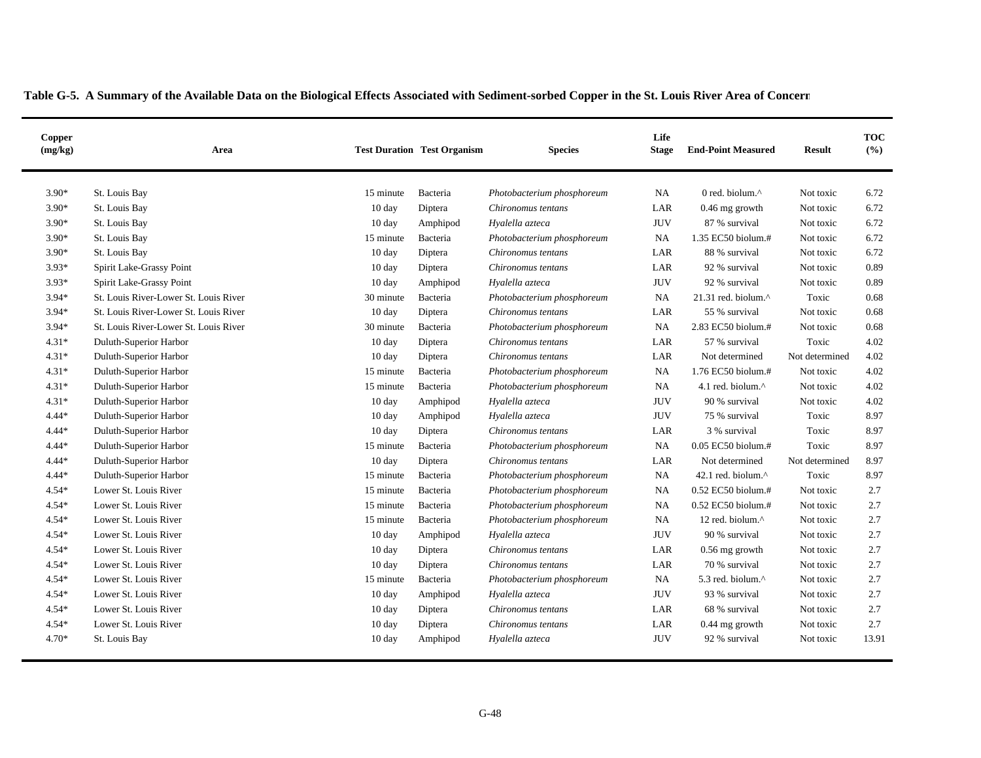| Copper<br>(mg/kg) | Area                                  |                  | <b>Test Duration Test Organism</b> | <b>Species</b>             | Life<br><b>Stage</b> | <b>End-Point Measured</b>        | <b>Result</b>  | <b>TOC</b><br>(%) |
|-------------------|---------------------------------------|------------------|------------------------------------|----------------------------|----------------------|----------------------------------|----------------|-------------------|
| $3.90*$           | St. Louis Bay                         | 15 minute        | Bacteria                           | Photobacterium phosphoreum | <b>NA</b>            | 0 red. biolum.^                  | Not toxic      | 6.72              |
| $3.90*$           | St. Louis Bay                         | $10 \text{ day}$ | Diptera                            | Chironomus tentans         | LAR                  | 0.46 mg growth                   | Not toxic      | 6.72              |
| $3.90*$           | St. Louis Bay                         | $10 \text{ day}$ | Amphipod                           | Hyalella azteca            | <b>JUV</b>           | 87 % survival                    | Not toxic      | 6.72              |
| 3.90*             | St. Louis Bay                         | 15 minute        | Bacteria                           | Photobacterium phosphoreum | <b>NA</b>            | 1.35 EC50 biolum.#               | Not toxic      | 6.72              |
| $3.90*$           | St. Louis Bay                         | $10 \text{ day}$ | Diptera                            | Chironomus tentans         | LAR                  | 88 % survival                    | Not toxic      | 6.72              |
| $3.93*$           | Spirit Lake-Grassy Point              | $10 \text{ day}$ | Diptera                            | Chironomus tentans         | LAR                  | 92 % survival                    | Not toxic      | 0.89              |
| $3.93*$           | Spirit Lake-Grassy Point              | $10 \text{ day}$ | Amphipod                           | Hyalella azteca            | <b>JUV</b>           | 92 % survival                    | Not toxic      | 0.89              |
| $3.94*$           | St. Louis River-Lower St. Louis River | 30 minute        | Bacteria                           | Photobacterium phosphoreum | <b>NA</b>            | $21.31$ red. biolum. $^{\wedge}$ | Toxic          | 0.68              |
| $3.94*$           | St. Louis River-Lower St. Louis River | $10 \text{ day}$ | Diptera                            | Chironomus tentans         | LAR                  | 55 % survival                    | Not toxic      | 0.68              |
| $3.94*$           | St. Louis River-Lower St. Louis River | 30 minute        | Bacteria                           | Photobacterium phosphoreum | <b>NA</b>            | 2.83 EC50 biolum.#               | Not toxic      | 0.68              |
| $4.31*$           | Duluth-Superior Harbor                | $10 \text{ day}$ | Diptera                            | Chironomus tentans         | LAR                  | 57 % survival                    | Toxic          | 4.02              |
| $4.31*$           | Duluth-Superior Harbor                | $10 \text{ day}$ | Diptera                            | Chironomus tentans         | LAR                  | Not determined                   | Not determined | 4.02              |
| $4.31*$           | Duluth-Superior Harbor                | 15 minute        | Bacteria                           | Photobacterium phosphoreum | <b>NA</b>            | 1.76 EC50 biolum.#               | Not toxic      | 4.02              |
| $4.31*$           | Duluth-Superior Harbor                | 15 minute        | Bacteria                           | Photobacterium phosphoreum | NA.                  | 4.1 red. biolum.^                | Not toxic      | 4.02              |
| $4.31*$           | Duluth-Superior Harbor                | 10 day           | Amphipod                           | Hyalella azteca            | <b>JUV</b>           | 90 % survival                    | Not toxic      | 4.02              |
| $4.44*$           | Duluth-Superior Harbor                | $10 \text{ day}$ | Amphipod                           | Hyalella azteca            | <b>JUV</b>           | 75 % survival                    | Toxic          | 8.97              |
| $4.44*$           | Duluth-Superior Harbor                | 10 day           | Diptera                            | Chironomus tentans         | LAR                  | 3 % survival                     | Toxic          | 8.97              |
| 4.44*             | Duluth-Superior Harbor                | 15 minute        | Bacteria                           | Photobacterium phosphoreum | NA                   | 0.05 EC50 biolum.#               | Toxic          | 8.97              |
| $4.44*$           | Duluth-Superior Harbor                | $10 \text{ day}$ | Diptera                            | Chironomus tentans         | LAR                  | Not determined                   | Not determined | 8.97              |
| $4.44*$           | Duluth-Superior Harbor                | 15 minute        | Bacteria                           | Photobacterium phosphoreum | NA.                  | 42.1 red. biolum. $\wedge$       | Toxic          | 8.97              |
| $4.54*$           | Lower St. Louis River                 | 15 minute        | Bacteria                           | Photobacterium phosphoreum | <b>NA</b>            | 0.52 EC50 biolum.#               | Not toxic      | 2.7               |
| 4.54*             | Lower St. Louis River                 | 15 minute        | Bacteria                           | Photobacterium phosphoreum | <b>NA</b>            | 0.52 EC50 biolum.#               | Not toxic      | 2.7               |
| 4.54*             | Lower St. Louis River                 | 15 minute        | Bacteria                           | Photobacterium phosphoreum | NA.                  | 12 red. biolum.^                 | Not toxic      | 2.7               |
| 4.54*             | Lower St. Louis River                 | $10 \text{ day}$ | Amphipod                           | Hyalella azteca            | <b>JUV</b>           | 90 % survival                    | Not toxic      | 2.7               |
| $4.54*$           | Lower St. Louis River                 | $10 \text{ day}$ | Diptera                            | Chironomus tentans         | LAR                  | 0.56 mg growth                   | Not toxic      | 2.7               |
| 4.54*             | Lower St. Louis River                 | $10 \text{ day}$ | Diptera                            | Chironomus tentans         | LAR                  | 70 % survival                    | Not toxic      | 2.7               |
| 4.54*             | Lower St. Louis River                 | 15 minute        | Bacteria                           | Photobacterium phosphoreum | <b>NA</b>            | 5.3 red. biolum.^                | Not toxic      | 2.7               |
| $4.54*$           | Lower St. Louis River                 | $10 \text{ day}$ | Amphipod                           | Hyalella azteca            | <b>JUV</b>           | 93 % survival                    | Not toxic      | 2.7               |
| $4.54*$           | Lower St. Louis River                 | $10 \text{ day}$ | Diptera                            | Chironomus tentans         | LAR                  | 68 % survival                    | Not toxic      | 2.7               |
| 4.54*             | Lower St. Louis River                 | $10 \text{ day}$ | Diptera                            | Chironomus tentans         | LAR                  | $0.44$ mg growth                 | Not toxic      | 2.7               |
| $4.70*$           | St. Louis Bay                         | $10 \text{ day}$ | Amphipod                           | Hyalella azteca            | <b>JUV</b>           | 92 % survival                    | Not toxic      | 13.91             |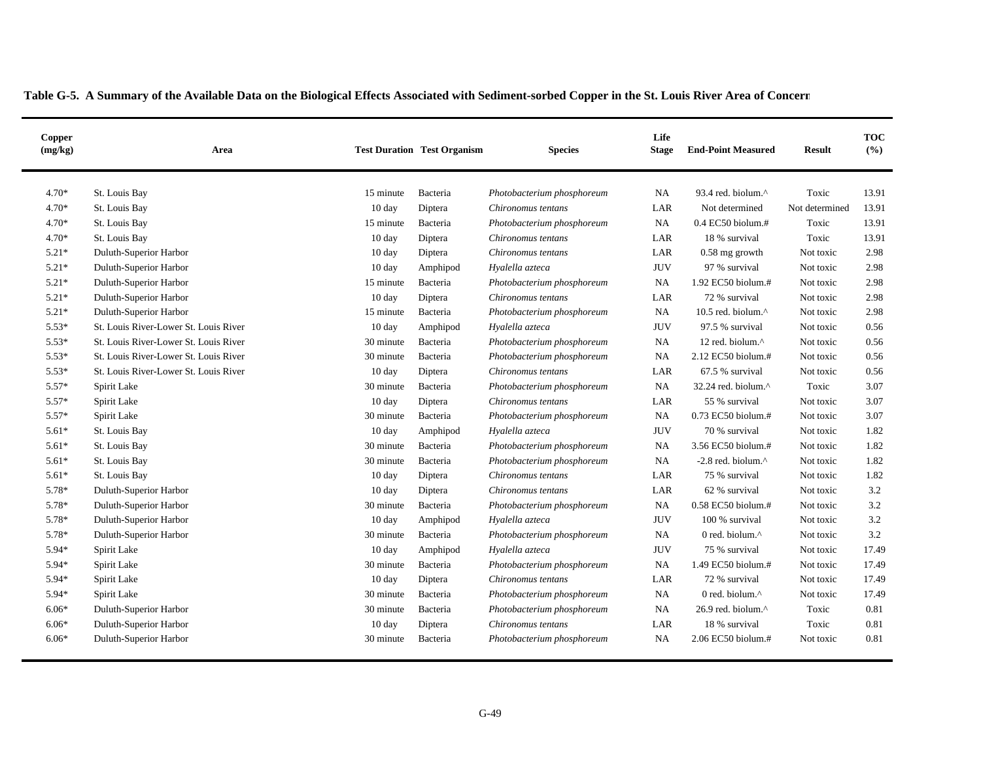| Copper<br>(mg/kg) | Area                                  |                  | <b>Test Duration Test Organism</b> | <b>Species</b>             | Life<br><b>Stage</b> | <b>End-Point Measured</b> | <b>Result</b>  | <b>TOC</b><br>(%) |
|-------------------|---------------------------------------|------------------|------------------------------------|----------------------------|----------------------|---------------------------|----------------|-------------------|
| $4.70*$           | St. Louis Bay                         | 15 minute        | Bacteria                           | Photobacterium phosphoreum | NA                   | 93.4 red. biolum.^        | Toxic          | 13.91             |
| $4.70*$           | St. Louis Bay                         | $10 \text{ day}$ | Diptera                            | Chironomus tentans         | LAR                  | Not determined            | Not determined | 13.91             |
| $4.70*$           | St. Louis Bay                         | 15 minute        | Bacteria                           | Photobacterium phosphoreum | NA                   | $0.4$ EC50 biolum.#       | Toxic          | 13.91             |
| 4.70*             | St. Louis Bay                         | $10 \text{ day}$ | Diptera                            | Chironomus tentans         | LAR                  | 18 % survival             | Toxic          | 13.91             |
| $5.21*$           | Duluth-Superior Harbor                | $10 \text{ day}$ | Diptera                            | Chironomus tentans         | LAR                  | $0.58$ mg growth          | Not toxic      | 2.98              |
| $5.21*$           | Duluth-Superior Harbor                | $10 \text{ day}$ | Amphipod                           | Hyalella azteca            | <b>JUV</b>           | 97 % survival             | Not toxic      | 2.98              |
| $5.21*$           | Duluth-Superior Harbor                | 15 minute        | Bacteria                           | Photobacterium phosphoreum | NA                   | 1.92 EC50 biolum.#        | Not toxic      | 2.98              |
| $5.21*$           | Duluth-Superior Harbor                | $10 \text{ day}$ | Diptera                            | Chironomus tentans         | LAR                  | 72 % survival             | Not toxic      | 2.98              |
| $5.21*$           | Duluth-Superior Harbor                | 15 minute        | Bacteria                           | Photobacterium phosphoreum | NA                   | 10.5 red. biolum.^        | Not toxic      | 2.98              |
| $5.53*$           | St. Louis River-Lower St. Louis River | $10 \text{ day}$ | Amphipod                           | Hyalella azteca            | <b>JUV</b>           | 97.5 % survival           | Not toxic      | 0.56              |
| $5.53*$           | St. Louis River-Lower St. Louis River | 30 minute        | Bacteria                           | Photobacterium phosphoreum | NA                   | 12 red. biolum.^          | Not toxic      | 0.56              |
| $5.53*$           | St. Louis River-Lower St. Louis River | 30 minute        | Bacteria                           | Photobacterium phosphoreum | NA                   | 2.12 EC50 biolum.#        | Not toxic      | 0.56              |
| $5.53*$           | St. Louis River-Lower St. Louis River | 10 day           | Diptera                            | Chironomus tentans         | LAR                  | 67.5 % survival           | Not toxic      | 0.56              |
| $5.57*$           | Spirit Lake                           | 30 minute        | Bacteria                           | Photobacterium phosphoreum | <b>NA</b>            | 32.24 red. biolum.^       | Toxic          | 3.07              |
| 5.57*             | Spirit Lake                           | 10 day           | Diptera                            | Chironomus tentans         | LAR                  | 55 % survival             | Not toxic      | 3.07              |
| $5.57*$           | Spirit Lake                           | 30 minute        | Bacteria                           | Photobacterium phosphoreum | <b>NA</b>            | 0.73 EC50 biolum.#        | Not toxic      | 3.07              |
| $5.61*$           | St. Louis Bay                         | $10 \text{ day}$ | Amphipod                           | Hyalella azteca            | <b>JUV</b>           | 70 % survival             | Not toxic      | 1.82              |
| $5.61*$           | St. Louis Bay                         | 30 minute        | Bacteria                           | Photobacterium phosphoreum | NA                   | 3.56 EC50 biolum.#        | Not toxic      | 1.82              |
| $5.61*$           | St. Louis Bay                         | 30 minute        | Bacteria                           | Photobacterium phosphoreum | NA                   | -2.8 red. biolum.^        | Not toxic      | 1.82              |
| $5.61*$           | St. Louis Bay                         | $10 \text{ day}$ | Diptera                            | Chironomus tentans         | LAR                  | 75 % survival             | Not toxic      | 1.82              |
| 5.78*             | Duluth-Superior Harbor                | $10 \text{ day}$ | Diptera                            | Chironomus tentans         | LAR                  | 62 % survival             | Not toxic      | 3.2               |
| 5.78*             | Duluth-Superior Harbor                | 30 minute        | Bacteria                           | Photobacterium phosphoreum | <b>NA</b>            | 0.58 EC50 biolum.#        | Not toxic      | 3.2               |
| 5.78*             | Duluth-Superior Harbor                | $10 \text{ day}$ | Amphipod                           | Hyalella azteca            | <b>JUV</b>           | 100 % survival            | Not toxic      | 3.2               |
| 5.78*             | Duluth-Superior Harbor                | 30 minute        | Bacteria                           | Photobacterium phosphoreum | <b>NA</b>            | 0 red. biolum.^           | Not toxic      | 3.2               |
| 5.94*             | Spirit Lake                           | $10 \text{ day}$ | Amphipod                           | Hyalella azteca            | <b>JUV</b>           | 75 % survival             | Not toxic      | 17.49             |
| 5.94*             | Spirit Lake                           | 30 minute        | Bacteria                           | Photobacterium phosphoreum | <b>NA</b>            | 1.49 EC50 biolum.#        | Not toxic      | 17.49             |
| 5.94*             | Spirit Lake                           | 10 day           | Diptera                            | Chironomus tentans         | LAR                  | 72 % survival             | Not toxic      | 17.49             |
| 5.94*             | Spirit Lake                           | 30 minute        | Bacteria                           | Photobacterium phosphoreum | NA                   | 0 red. biolum.^           | Not toxic      | 17.49             |
| $6.06*$           | Duluth-Superior Harbor                | 30 minute        | Bacteria                           | Photobacterium phosphoreum | <b>NA</b>            | 26.9 red. biolum.^        | Toxic          | 0.81              |
| $6.06*$           | Duluth-Superior Harbor                | $10 \text{ day}$ | Diptera                            | Chironomus tentans         | LAR                  | 18 % survival             | Toxic          | 0.81              |
| $6.06*$           | Duluth-Superior Harbor                | 30 minute        | Bacteria                           | Photobacterium phosphoreum | NA                   | 2.06 EC50 biolum.#        | Not toxic      | 0.81              |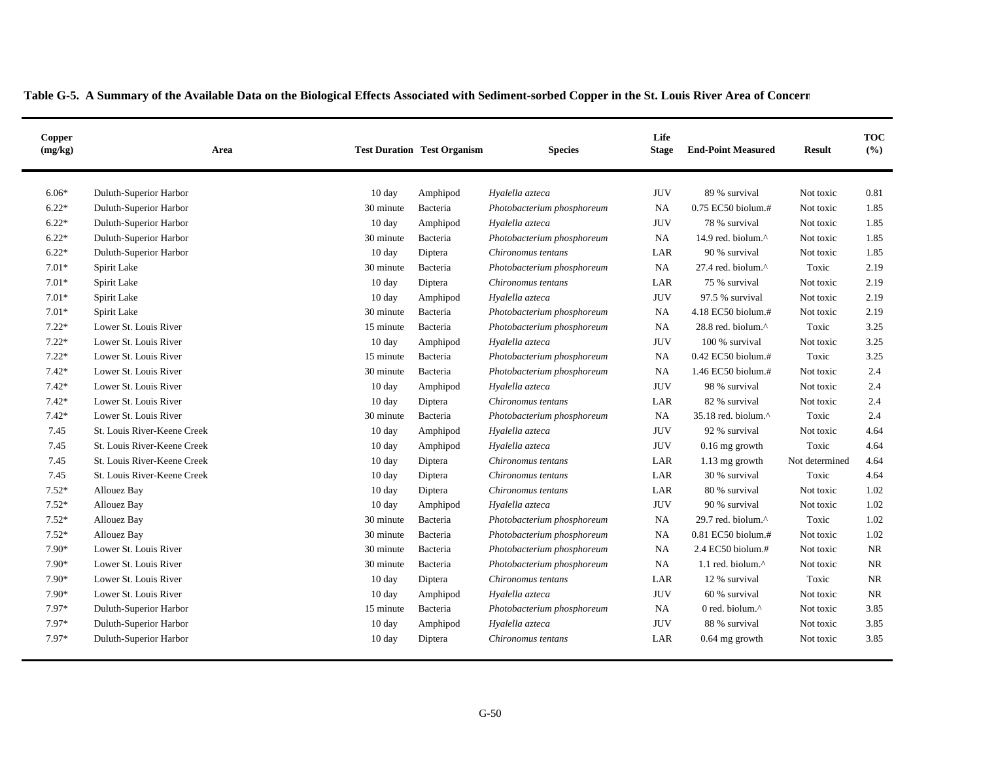| Copper<br>(mg/kg) | Area                        |                  | <b>Test Duration Test Organism</b> | <b>Species</b>             | Life<br><b>Stage</b> | <b>End-Point Measured</b>     | <b>Result</b>  | <b>TOC</b><br>(%) |
|-------------------|-----------------------------|------------------|------------------------------------|----------------------------|----------------------|-------------------------------|----------------|-------------------|
| $6.06*$           | Duluth-Superior Harbor      | 10 day           | Amphipod                           | Hyalella azteca            | <b>JUV</b>           | 89 % survival                 | Not toxic      | 0.81              |
| $6.22*$           | Duluth-Superior Harbor      | 30 minute        | Bacteria                           | Photobacterium phosphoreum | <b>NA</b>            | 0.75 EC50 biolum.#            | Not toxic      | 1.85              |
| $6.22*$           | Duluth-Superior Harbor      | 10 day           | Amphipod                           | Hyalella azteca            | <b>JUV</b>           | 78 % survival                 | Not toxic      | 1.85              |
| $6.22*$           | Duluth-Superior Harbor      | 30 minute        | Bacteria                           | Photobacterium phosphoreum | <b>NA</b>            | 14.9 red. biolum.^            | Not toxic      | 1.85              |
| $6.22*$           | Duluth-Superior Harbor      | $10 \text{ day}$ | Diptera                            | Chironomus tentans         | LAR                  | 90 % survival                 | Not toxic      | 1.85              |
| $7.01*$           | Spirit Lake                 | 30 minute        | Bacteria                           | Photobacterium phosphoreum | <b>NA</b>            | 27.4 red. biolum.^            | Toxic          | 2.19              |
| $7.01*$           | Spirit Lake                 | $10 \text{ day}$ | Diptera                            | Chironomus tentans         | LAR                  | 75 % survival                 | Not toxic      | 2.19              |
| $7.01*$           | Spirit Lake                 | 10 day           | Amphipod                           | Hyalella azteca            | <b>JUV</b>           | 97.5 % survival               | Not toxic      | 2.19              |
| $7.01*$           | Spirit Lake                 | 30 minute        | Bacteria                           | Photobacterium phosphoreum | <b>NA</b>            | 4.18 EC50 biolum.#            | Not toxic      | 2.19              |
| $7.22*$           | Lower St. Louis River       | 15 minute        | Bacteria                           | Photobacterium phosphoreum | <b>NA</b>            | 28.8 red. biolum.^            | Toxic          | 3.25              |
| $7.22*$           | Lower St. Louis River       | $10 \text{ day}$ | Amphipod                           | Hyalella azteca            | <b>JUV</b>           | 100 % survival                | Not toxic      | 3.25              |
| $7.22*$           | Lower St. Louis River       | 15 minute        | Bacteria                           | Photobacterium phosphoreum | NA                   | 0.42 EC50 biolum.#            | Toxic          | 3.25              |
| $7.42*$           | Lower St. Louis River       | 30 minute        | Bacteria                           | Photobacterium phosphoreum | <b>NA</b>            | 1.46 EC50 biolum.#            | Not toxic      | 2.4               |
| $7.42*$           | Lower St. Louis River       | 10 day           | Amphipod                           | Hyalella azteca            | <b>JUV</b>           | 98 % survival                 | Not toxic      | 2.4               |
| $7.42*$           | Lower St. Louis River       | 10 day           | Diptera                            | Chironomus tentans         | LAR                  | 82 % survival                 | Not toxic      | 2.4               |
| $7.42*$           | Lower St. Louis River       | 30 minute        | Bacteria                           | Photobacterium phosphoreum | <b>NA</b>            | 35.18 red. biolum.^           | Toxic          | 2.4               |
| 7.45              | St. Louis River-Keene Creek | $10 \text{ day}$ | Amphipod                           | Hyalella azteca            | JUV                  | 92 % survival                 | Not toxic      | 4.64              |
| 7.45              | St. Louis River-Keene Creek | $10 \text{ day}$ | Amphipod                           | Hyalella azteca            | <b>JUV</b>           | $0.16$ mg growth              | Toxic          | 4.64              |
| 7.45              | St. Louis River-Keene Creek | 10 day           | Diptera                            | Chironomus tentans         | LAR                  | 1.13 mg growth                | Not determined | 4.64              |
| 7.45              | St. Louis River-Keene Creek | $10 \text{ day}$ | Diptera                            | Chironomus tentans         | LAR                  | 30 % survival                 | Toxic          | 4.64              |
| $7.52*$           | <b>Allouez Bay</b>          | $10 \text{ day}$ | Diptera                            | Chironomus tentans         | LAR                  | 80 % survival                 | Not toxic      | 1.02              |
| $7.52*$           | Allouez Bay                 | 10 day           | Amphipod                           | Hyalella azteca            | <b>JUV</b>           | 90 % survival                 | Not toxic      | 1.02              |
| $7.52*$           | <b>Allouez Bay</b>          | 30 minute        | Bacteria                           | Photobacterium phosphoreum | <b>NA</b>            | 29.7 red. biolum. $^{\wedge}$ | Toxic          | 1.02              |
| $7.52*$           | <b>Allouez Bay</b>          | 30 minute        | Bacteria                           | Photobacterium phosphoreum | <b>NA</b>            | 0.81 EC50 biolum.#            | Not toxic      | 1.02              |
| 7.90*             | Lower St. Louis River       | 30 minute        | Bacteria                           | Photobacterium phosphoreum | <b>NA</b>            | 2.4 EC50 biolum.#             | Not toxic      | <b>NR</b>         |
| 7.90*             | Lower St. Louis River       | 30 minute        | Bacteria                           | Photobacterium phosphoreum | NA.                  | 1.1 red. biolum.^             | Not toxic      | <b>NR</b>         |
| $7.90*$           | Lower St. Louis River       | 10 day           | Diptera                            | Chironomus tentans         | LAR                  | 12 % survival                 | Toxic          | NR                |
| 7.90*             | Lower St. Louis River       | 10 day           | Amphipod                           | Hyalella azteca            | <b>JUV</b>           | 60 % survival                 | Not toxic      | <b>NR</b>         |
| 7.97*             | Duluth-Superior Harbor      | 15 minute        | Bacteria                           | Photobacterium phosphoreum | <b>NA</b>            | 0 red. biolum.^               | Not toxic      | 3.85              |
| 7.97*             | Duluth-Superior Harbor      | $10 \text{ day}$ | Amphipod                           | Hyalella azteca            | <b>JUV</b>           | 88 % survival                 | Not toxic      | 3.85              |
| 7.97*             | Duluth-Superior Harbor      | 10 day           | Diptera                            | Chironomus tentans         | LAR                  | $0.64$ mg growth              | Not toxic      | 3.85              |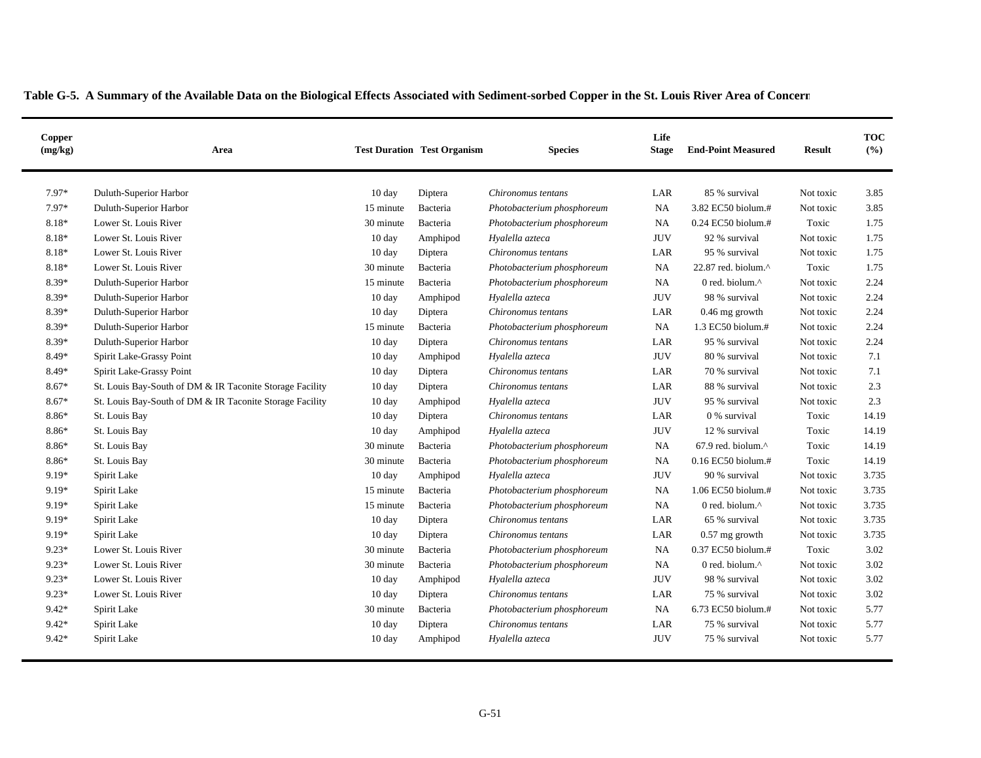|         |                                                          |                  |          | <b>Test Duration Test Organism</b><br><b>Species</b> | <b>Stage</b> | <b>End-Point Measured</b> | <b>Result</b> | (%)   |
|---------|----------------------------------------------------------|------------------|----------|------------------------------------------------------|--------------|---------------------------|---------------|-------|
| $7.97*$ | Duluth-Superior Harbor                                   | 10 day           | Diptera  | Chironomus tentans                                   | LAR          | 85 % survival             | Not toxic     | 3.85  |
| 7.97*   | Duluth-Superior Harbor                                   | 15 minute        | Bacteria | Photobacterium phosphoreum                           | <b>NA</b>    | 3.82 EC50 biolum.#        | Not toxic     | 3.85  |
| 8.18*   | Lower St. Louis River                                    | 30 minute        | Bacteria | Photobacterium phosphoreum                           | <b>NA</b>    | $0.24$ EC50 biolum.#      | Toxic         | 1.75  |
| 8.18*   | Lower St. Louis River                                    | $10 \text{ day}$ | Amphipod | Hyalella azteca                                      | <b>JUV</b>   | 92 % survival             | Not toxic     | 1.75  |
| 8.18*   | Lower St. Louis River                                    | $10 \text{ day}$ | Diptera  | Chironomus tentans                                   | LAR          | 95 % survival             | Not toxic     | 1.75  |
| 8.18*   | Lower St. Louis River                                    | 30 minute        | Bacteria | Photobacterium phosphoreum                           | NA           | 22.87 red. biolum.^       | Toxic         | 1.75  |
| 8.39*   | Duluth-Superior Harbor                                   | 15 minute        | Bacteria | Photobacterium phosphoreum                           | NA           | 0 red. biolum.^           | Not toxic     | 2.24  |
| 8.39*   | Duluth-Superior Harbor                                   | 10 day           | Amphipod | Hyalella azteca                                      | <b>JUV</b>   | 98 % survival             | Not toxic     | 2.24  |
| 8.39*   | Duluth-Superior Harbor                                   | $10 \text{ day}$ | Diptera  | Chironomus tentans                                   | LAR          | 0.46 mg growth            | Not toxic     | 2.24  |
| 8.39*   | Duluth-Superior Harbor                                   | 15 minute        | Bacteria | Photobacterium phosphoreum                           | <b>NA</b>    | $1.3$ EC50 biolum. $#$    | Not toxic     | 2.24  |
| 8.39*   | Duluth-Superior Harbor                                   | $10 \text{ day}$ | Diptera  | Chironomus tentans                                   | LAR          | 95 % survival             | Not toxic     | 2.24  |
| 8.49*   | Spirit Lake-Grassy Point                                 | $10 \text{ day}$ | Amphipod | Hyalella azteca                                      | <b>JUV</b>   | 80 % survival             | Not toxic     | 7.1   |
| 8.49*   | Spirit Lake-Grassy Point                                 | 10 day           | Diptera  | Chironomus tentans                                   | LAR          | 70 % survival             | Not toxic     | 7.1   |
| $8.67*$ | St. Louis Bay-South of DM & IR Taconite Storage Facility | 10 day           | Diptera  | Chironomus tentans                                   | LAR          | 88 % survival             | Not toxic     | 2.3   |
| 8.67*   | St. Louis Bay-South of DM & IR Taconite Storage Facility | 10 day           | Amphipod | Hyalella azteca                                      | <b>JUV</b>   | 95 % survival             | Not toxic     | 2.3   |
| 8.86*   | St. Louis Bay                                            | $10 \text{ day}$ | Diptera  | Chironomus tentans                                   | LAR          | 0 % survival              | Toxic         | 14.19 |
| 8.86*   | St. Louis Bay                                            | $10 \text{ day}$ | Amphipod | Hyalella azteca                                      | <b>JUV</b>   | 12 % survival             | Toxic         | 14.19 |
| 8.86*   | St. Louis Bay                                            | 30 minute        | Bacteria | Photobacterium phosphoreum                           | NA           | 67.9 red. biolum.^        | Toxic         | 14.19 |
| 8.86*   | St. Louis Bay                                            | 30 minute        | Bacteria | Photobacterium phosphoreum                           | NA           | 0.16 EC50 biolum.#        | Toxic         | 14.19 |
| 9.19*   | Spirit Lake                                              | $10 \text{ day}$ | Amphipod | Hyalella azteca                                      | <b>JUV</b>   | 90 % survival             | Not toxic     | 3.735 |
| 9.19*   | Spirit Lake                                              | 15 minute        | Bacteria | Photobacterium phosphoreum                           | <b>NA</b>    | 1.06 EC50 biolum.#        | Not toxic     | 3.735 |
| 9.19*   | Spirit Lake                                              | 15 minute        | Bacteria | Photobacterium phosphoreum                           | NA           | 0 red. biolum.^           | Not toxic     | 3.735 |
| 9.19*   | Spirit Lake                                              | $10 \text{ day}$ | Diptera  | Chironomus tentans                                   | LAR          | 65 % survival             | Not toxic     | 3.735 |
| 9.19*   | Spirit Lake                                              | $10 \text{ day}$ | Diptera  | Chironomus tentans                                   | LAR          | $0.57$ mg growth          | Not toxic     | 3.735 |
| $9.23*$ | Lower St. Louis River                                    | 30 minute        | Bacteria | Photobacterium phosphoreum                           | NA           | $0.37$ EC50 biolum.#      | Toxic         | 3.02  |
| $9.23*$ | Lower St. Louis River                                    | 30 minute        | Bacteria | Photobacterium phosphoreum                           | NA           | 0 red. biolum.^           | Not toxic     | 3.02  |
| $9.23*$ | Lower St. Louis River                                    | 10 day           | Amphipod | Hyalella azteca                                      | <b>JUV</b>   | 98 % survival             | Not toxic     | 3.02  |
| $9.23*$ | Lower St. Louis River                                    | 10 day           | Diptera  | Chironomus tentans                                   | LAR          | 75 % survival             | Not toxic     | 3.02  |
| $9.42*$ | Spirit Lake                                              | 30 minute        | Bacteria | Photobacterium phosphoreum                           | <b>NA</b>    | 6.73 EC50 biolum.#        | Not toxic     | 5.77  |
| 9.42*   | Spirit Lake                                              | $10 \text{ day}$ | Diptera  | Chironomus tentans                                   | LAR          | 75 % survival             | Not toxic     | 5.77  |
| 9.42*   | Spirit Lake                                              | 10 day           | Amphipod | Hyalella azteca                                      | <b>JUV</b>   | 75 % survival             | Not toxic     | 5.77  |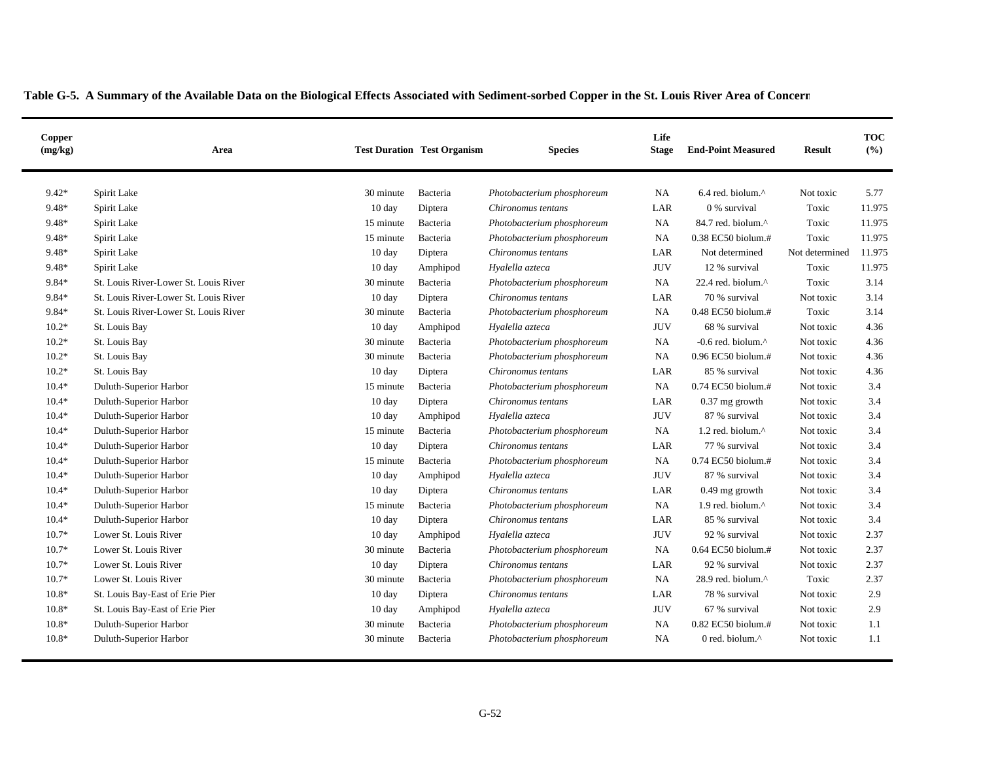| Copper<br>(mg/kg) | Area                                  |                  | <b>Test Duration Test Organism</b> | <b>Species</b>             | Life<br><b>Stage</b> | <b>End-Point Measured</b>      | <b>Result</b>  | <b>TOC</b><br>(%) |
|-------------------|---------------------------------------|------------------|------------------------------------|----------------------------|----------------------|--------------------------------|----------------|-------------------|
| $9.42*$           | Spirit Lake                           | 30 minute        | Bacteria                           | Photobacterium phosphoreum | <b>NA</b>            | $6.4$ red. biolum. $^{\wedge}$ | Not toxic      | 5.77              |
| 9.48*             | Spirit Lake                           | $10 \text{ day}$ | Diptera                            | Chironomus tentans         | LAR                  | 0 % survival                   | Toxic          | 11.975            |
| 9.48*             | Spirit Lake                           | 15 minute        | Bacteria                           | Photobacterium phosphoreum | <b>NA</b>            | 84.7 red. biolum.^             | Toxic          | 11.975            |
| 9.48*             | Spirit Lake                           | 15 minute        | Bacteria                           | Photobacterium phosphoreum | NA                   | 0.38 EC50 biolum.#             | Toxic          | 11.975            |
| 9.48*             | Spirit Lake                           | $10 \text{ day}$ | Diptera                            | Chironomus tentans         | LAR                  | Not determined                 | Not determined | 11.975            |
| 9.48*             | Spirit Lake                           | $10 \text{ day}$ | Amphipod                           | Hyalella azteca            | <b>JUV</b>           | 12 % survival                  | Toxic          | 11.975            |
| 9.84*             | St. Louis River-Lower St. Louis River | 30 minute        | Bacteria                           | Photobacterium phosphoreum | <b>NA</b>            | 22.4 red. biolum. $\wedge$     | Toxic          | 3.14              |
| 9.84*             | St. Louis River-Lower St. Louis River | $10 \text{ day}$ | Diptera                            | Chironomus tentans         | LAR                  | 70 % survival                  | Not toxic      | 3.14              |
| 9.84*             | St. Louis River-Lower St. Louis River | 30 minute        | Bacteria                           | Photobacterium phosphoreum | <b>NA</b>            | 0.48 EC50 biolum.#             | Toxic          | 3.14              |
| $10.2*$           | St. Louis Bay                         | $10 \text{ day}$ | Amphipod                           | Hyalella azteca            | <b>JUV</b>           | 68 % survival                  | Not toxic      | 4.36              |
| $10.2*$           | St. Louis Bay                         | 30 minute        | Bacteria                           | Photobacterium phosphoreum | <b>NA</b>            | -0.6 red. biolum. $^{\wedge}$  | Not toxic      | 4.36              |
| $10.2*$           | St. Louis Bay                         | 30 minute        | Bacteria                           | Photobacterium phosphoreum | <b>NA</b>            | 0.96 EC50 biolum.#             | Not toxic      | 4.36              |
| $10.2*$           | St. Louis Bay                         | $10 \text{ day}$ | Diptera                            | Chironomus tentans         | LAR                  | 85 % survival                  | Not toxic      | 4.36              |
| $10.4*$           | Duluth-Superior Harbor                | 15 minute        | Bacteria                           | Photobacterium phosphoreum | NA                   | $0.74$ EC50 biolum.#           | Not toxic      | 3.4               |
| $10.4*$           | Duluth-Superior Harbor                | $10 \text{ day}$ | Diptera                            | Chironomus tentans         | LAR                  | 0.37 mg growth                 | Not toxic      | 3.4               |
| $10.4*$           | Duluth-Superior Harbor                | $10 \text{ day}$ | Amphipod                           | Hyalella azteca            | <b>JUV</b>           | 87 % survival                  | Not toxic      | 3.4               |
| $10.4*$           | Duluth-Superior Harbor                | 15 minute        | Bacteria                           | Photobacterium phosphoreum | <b>NA</b>            | 1.2 red. biolum.^              | Not toxic      | 3.4               |
| $10.4*$           | Duluth-Superior Harbor                | $10 \text{ day}$ | Diptera                            | Chironomus tentans         | LAR                  | 77 % survival                  | Not toxic      | 3.4               |
| $10.4*$           | Duluth-Superior Harbor                | 15 minute        | Bacteria                           | Photobacterium phosphoreum | <b>NA</b>            | 0.74 EC50 biolum.#             | Not toxic      | 3.4               |
| $10.4*$           | Duluth-Superior Harbor                | 10 day           | Amphipod                           | Hyalella azteca            | <b>JUV</b>           | 87 % survival                  | Not toxic      | 3.4               |
| $10.4*$           | Duluth-Superior Harbor                | 10 day           | Diptera                            | Chironomus tentans         | LAR                  | $0.49$ mg growth               | Not toxic      | 3.4               |
| $10.4*$           | Duluth-Superior Harbor                | 15 minute        | Bacteria                           | Photobacterium phosphoreum | <b>NA</b>            | 1.9 red. biolum.^              | Not toxic      | 3.4               |
| $10.4*$           | Duluth-Superior Harbor                | $10 \text{ day}$ | Diptera                            | Chironomus tentans         | LAR                  | 85 % survival                  | Not toxic      | 3.4               |
| $10.7*$           | Lower St. Louis River                 | $10 \text{ day}$ | Amphipod                           | Hyalella azteca            | <b>JUV</b>           | 92 % survival                  | Not toxic      | 2.37              |
| $10.7*$           | Lower St. Louis River                 | 30 minute        | Bacteria                           | Photobacterium phosphoreum | <b>NA</b>            | 0.64 EC50 biolum.#             | Not toxic      | 2.37              |
| $10.7*$           | Lower St. Louis River                 | 10 day           | Diptera                            | Chironomus tentans         | LAR                  | 92 % survival                  | Not toxic      | 2.37              |
| $10.7*$           | Lower St. Louis River                 | 30 minute        | Bacteria                           | Photobacterium phosphoreum | <b>NA</b>            | 28.9 red. biolum.^             | Toxic          | 2.37              |
| $10.8*$           | St. Louis Bay-East of Erie Pier       | $10 \text{ day}$ | Diptera                            | Chironomus tentans         | LAR                  | 78 % survival                  | Not toxic      | 2.9               |
| $10.8*$           | St. Louis Bay-East of Erie Pier       | $10 \text{ day}$ | Amphipod                           | Hyalella azteca            | <b>JUV</b>           | 67 % survival                  | Not toxic      | 2.9               |
| $10.8*$           | Duluth-Superior Harbor                | 30 minute        | Bacteria                           | Photobacterium phosphoreum | <b>NA</b>            | 0.82 EC50 biolum.#             | Not toxic      | 1.1               |
| $10.8*$           | Duluth-Superior Harbor                | 30 minute        | Bacteria                           | Photobacterium phosphoreum | <b>NA</b>            | 0 red. biolum.^                | Not toxic      | 1.1               |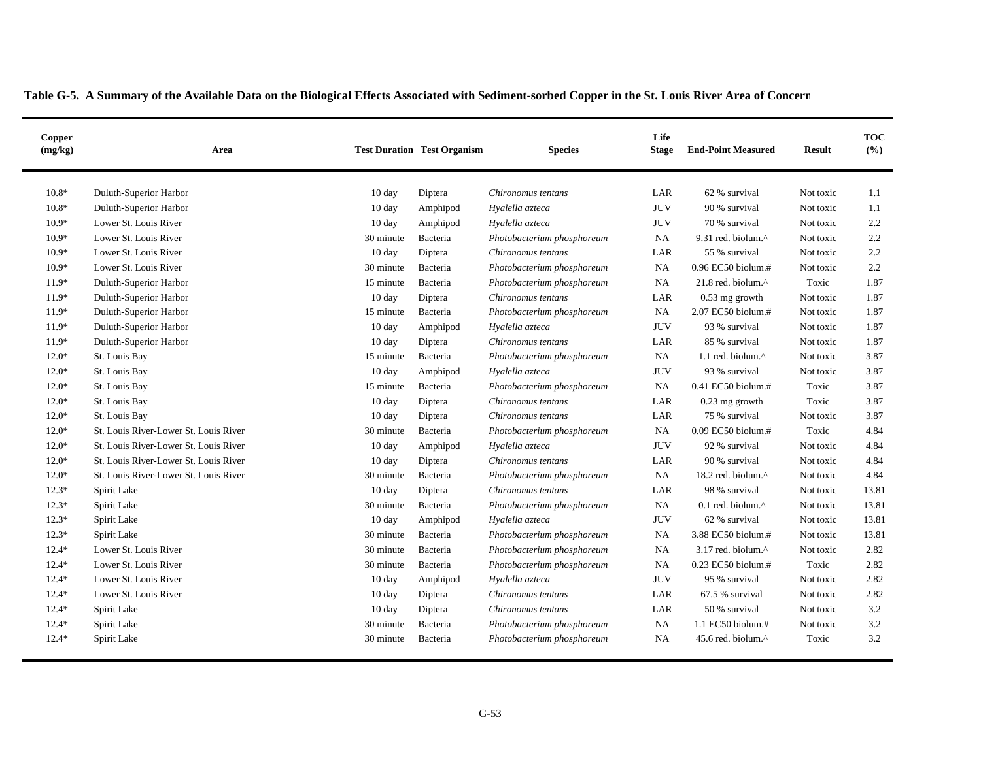| Copper<br>(mg/kg) | Area                                  |                  | <b>Test Duration Test Organism</b> | <b>Species</b>             | Life<br><b>Stage</b> | <b>End-Point Measured</b>       | <b>Result</b> | <b>TOC</b><br>(%) |
|-------------------|---------------------------------------|------------------|------------------------------------|----------------------------|----------------------|---------------------------------|---------------|-------------------|
| $10.8*$           | Duluth-Superior Harbor                | 10 day           | Diptera                            | Chironomus tentans         | LAR                  | 62 % survival                   | Not toxic     | 1.1               |
| $10.8*$           | Duluth-Superior Harbor                | $10 \text{ day}$ | Amphipod                           | Hyalella azteca            | <b>JUV</b>           | 90 % survival                   | Not toxic     | 1.1               |
| $10.9*$           | Lower St. Louis River                 | $10 \text{ day}$ | Amphipod                           | Hyalella azteca            | <b>JUV</b>           | 70 % survival                   | Not toxic     | 2.2               |
| $10.9*$           | Lower St. Louis River                 | 30 minute        | Bacteria                           | Photobacterium phosphoreum | NA                   | 9.31 red. biolum.^              | Not toxic     | 2.2               |
| $10.9*$           | Lower St. Louis River                 | 10 day           | Diptera                            | Chironomus tentans         | LAR                  | 55 % survival                   | Not toxic     | 2.2               |
| $10.9*$           | Lower St. Louis River                 | 30 minute        | Bacteria                           | Photobacterium phosphoreum | <b>NA</b>            | 0.96 EC50 biolum.#              | Not toxic     | 2.2               |
| $11.9*$           | Duluth-Superior Harbor                | 15 minute        | Bacteria                           | Photobacterium phosphoreum | <b>NA</b>            | $21.8$ red. biolum. $^{\wedge}$ | Toxic         | 1.87              |
| $11.9*$           | Duluth-Superior Harbor                | $10 \text{ day}$ | Diptera                            | Chironomus tentans         | LAR                  | $0.53$ mg growth                | Not toxic     | 1.87              |
| $11.9*$           | Duluth-Superior Harbor                | 15 minute        | Bacteria                           | Photobacterium phosphoreum | NA                   | 2.07 EC50 biolum.#              | Not toxic     | 1.87              |
| $11.9*$           | Duluth-Superior Harbor                | 10 day           | Amphipod                           | Hyalella azteca            | <b>JUV</b>           | 93 % survival                   | Not toxic     | 1.87              |
| $11.9*$           | Duluth-Superior Harbor                | $10 \text{ day}$ | Diptera                            | Chironomus tentans         | LAR                  | 85 % survival                   | Not toxic     | 1.87              |
| $12.0*$           | St. Louis Bay                         | 15 minute        | Bacteria                           | Photobacterium phosphoreum | NA                   | 1.1 red. biolum.^               | Not toxic     | 3.87              |
| $12.0*$           | St. Louis Bay                         | 10 day           | Amphipod                           | Hyalella azteca            | <b>JUV</b>           | 93 % survival                   | Not toxic     | 3.87              |
| $12.0*$           | St. Louis Bay                         | 15 minute        | Bacteria                           | Photobacterium phosphoreum | <b>NA</b>            | 0.41 EC50 biolum.#              | Toxic         | 3.87              |
| $12.0*$           | St. Louis Bay                         | $10 \text{ day}$ | Diptera                            | Chironomus tentans         | LAR                  | $0.23$ mg growth                | Toxic         | 3.87              |
| $12.0*$           | St. Louis Bay                         | $10 \text{ day}$ | Diptera                            | Chironomus tentans         | LAR                  | 75 % survival                   | Not toxic     | 3.87              |
| $12.0*$           | St. Louis River-Lower St. Louis River | 30 minute        | Bacteria                           | Photobacterium phosphoreum | NA                   | 0.09 EC50 biolum.#              | Toxic         | 4.84              |
| $12.0*$           | St. Louis River-Lower St. Louis River | $10 \text{ day}$ | Amphipod                           | Hyalella azteca            | <b>JUV</b>           | 92 % survival                   | Not toxic     | 4.84              |
| $12.0*$           | St. Louis River-Lower St. Louis River | $10 \text{ day}$ | Diptera                            | Chironomus tentans         | LAR                  | 90 % survival                   | Not toxic     | 4.84              |
| $12.0*$           | St. Louis River-Lower St. Louis River | 30 minute        | Bacteria                           | Photobacterium phosphoreum | <b>NA</b>            | 18.2 red. biolum.^              | Not toxic     | 4.84              |
| $12.3*$           | Spirit Lake                           | $10 \text{ day}$ | Diptera                            | Chironomus tentans         | LAR                  | 98 % survival                   | Not toxic     | 13.81             |
| $12.3*$           | Spirit Lake                           | 30 minute        | Bacteria                           | Photobacterium phosphoreum | <b>NA</b>            | $0.1$ red. biolum. $^{\wedge}$  | Not toxic     | 13.81             |
| $12.3*$           | Spirit Lake                           | 10 day           | Amphipod                           | Hyalella azteca            | <b>JUV</b>           | 62 % survival                   | Not toxic     | 13.81             |
| $12.3*$           | Spirit Lake                           | 30 minute        | Bacteria                           | Photobacterium phosphoreum | NA                   | 3.88 EC50 biolum.#              | Not toxic     | 13.81             |
| $12.4*$           | Lower St. Louis River                 | 30 minute        | Bacteria                           | Photobacterium phosphoreum | <b>NA</b>            | 3.17 red. biolum.^              | Not toxic     | 2.82              |
| $12.4*$           | Lower St. Louis River                 | 30 minute        | Bacteria                           | Photobacterium phosphoreum | NA                   | 0.23 EC50 biolum.#              | Toxic         | 2.82              |
| $12.4*$           | Lower St. Louis River                 | 10 day           | Amphipod                           | Hyalella azteca            | <b>JUV</b>           | 95 % survival                   | Not toxic     | 2.82              |
| $12.4*$           | Lower St. Louis River                 | 10 day           | Diptera                            | Chironomus tentans         | LAR                  | 67.5 % survival                 | Not toxic     | 2.82              |
| $12.4*$           | Spirit Lake                           | $10 \text{ day}$ | Diptera                            | Chironomus tentans         | LAR                  | 50 % survival                   | Not toxic     | 3.2               |
| $12.4*$           | Spirit Lake                           | 30 minute        | Bacteria                           | Photobacterium phosphoreum | <b>NA</b>            | 1.1 EC50 biolum.#               | Not toxic     | 3.2               |
| $12.4*$           | Spirit Lake                           | 30 minute        | Bacteria                           | Photobacterium phosphoreum | NA                   | 45.6 red. biolum.^              | Toxic         | 3.2               |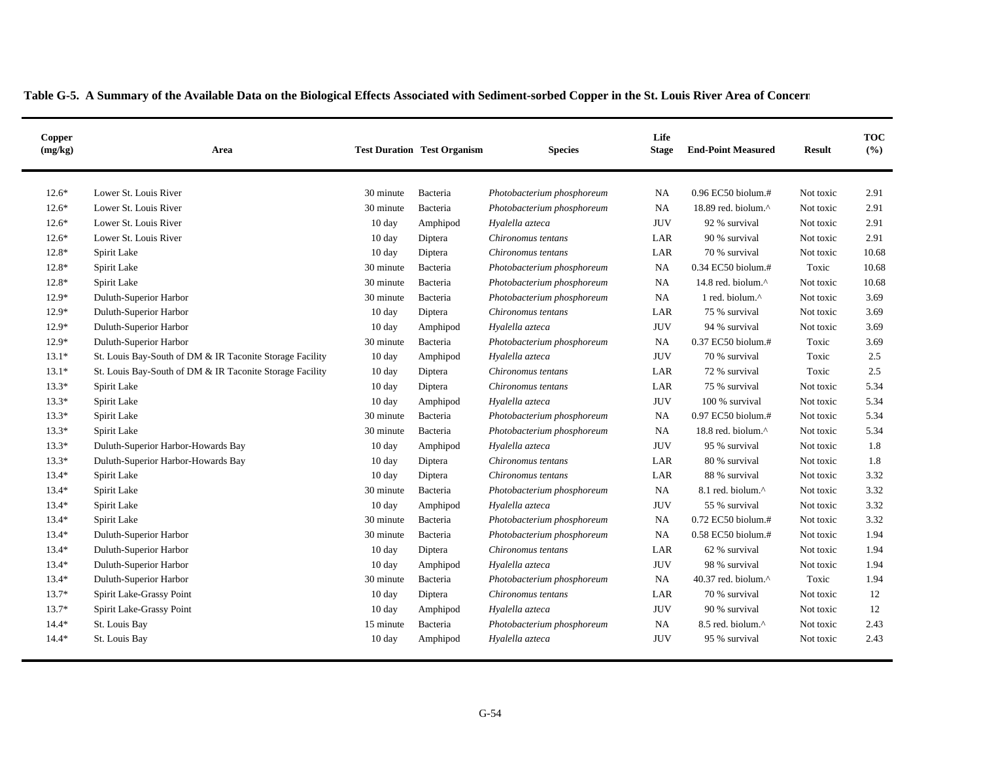| Copper<br>(mg/kg) | Area                                                     |                  | <b>Test Duration Test Organism</b> | <b>Species</b>             | Life<br><b>Stage</b> | <b>End-Point Measured</b>     | <b>Result</b> | <b>TOC</b><br>(%) |
|-------------------|----------------------------------------------------------|------------------|------------------------------------|----------------------------|----------------------|-------------------------------|---------------|-------------------|
| $12.6*$           | Lower St. Louis River                                    | 30 minute        | Bacteria                           | Photobacterium phosphoreum | <b>NA</b>            | 0.96 EC50 biolum.#            | Not toxic     | 2.91              |
| $12.6*$           | Lower St. Louis River                                    | 30 minute        | Bacteria                           | Photobacterium phosphoreum | NA                   | 18.89 red. biolum.^           | Not toxic     | 2.91              |
| $12.6*$           | Lower St. Louis River                                    | 10 day           | Amphipod                           | Hyalella azteca            | <b>JUV</b>           | 92 % survival                 | Not toxic     | 2.91              |
| $12.6*$           | Lower St. Louis River                                    | $10 \text{ day}$ | Diptera                            | Chironomus tentans         | LAR                  | 90 % survival                 | Not toxic     | 2.91              |
| 12.8*             | Spirit Lake                                              | $10 \text{ day}$ | Diptera                            | Chironomus tentans         | LAR                  | 70 % survival                 | Not toxic     | 10.68             |
| $12.8*$           | Spirit Lake                                              | 30 minute        | Bacteria                           | Photobacterium phosphoreum | <b>NA</b>            | 0.34 EC50 biolum.#            | Toxic         | 10.68             |
| $12.8*$           | Spirit Lake                                              | 30 minute        | Bacteria                           | Photobacterium phosphoreum | NA                   | 14.8 red. biolum.^            | Not toxic     | 10.68             |
| $12.9*$           | Duluth-Superior Harbor                                   | 30 minute        | Bacteria                           | Photobacterium phosphoreum | <b>NA</b>            | 1 red. biolum.^               | Not toxic     | 3.69              |
| $12.9*$           | Duluth-Superior Harbor                                   | $10 \text{ day}$ | Diptera                            | Chironomus tentans         | LAR                  | 75 % survival                 | Not toxic     | 3.69              |
| $12.9*$           | Duluth-Superior Harbor                                   | $10 \text{ day}$ | Amphipod                           | Hyalella azteca            | <b>JUV</b>           | 94 % survival                 | Not toxic     | 3.69              |
| $12.9*$           | Duluth-Superior Harbor                                   | 30 minute        | Bacteria                           | Photobacterium phosphoreum | <b>NA</b>            | 0.37 EC50 biolum.#            | Toxic         | 3.69              |
| $13.1*$           | St. Louis Bay-South of DM & IR Taconite Storage Facility | 10 day           | Amphipod                           | Hyalella azteca            | <b>JUV</b>           | 70 % survival                 | Toxic         | 2.5               |
| $13.1*$           | St. Louis Bay-South of DM & IR Taconite Storage Facility | $10 \text{ day}$ | Diptera                            | Chironomus tentans         | LAR                  | 72 % survival                 | Toxic         | 2.5               |
| $13.3*$           | Spirit Lake                                              | $10 \text{ day}$ | Diptera                            | Chironomus tentans         | LAR                  | 75 % survival                 | Not toxic     | 5.34              |
| $13.3*$           | Spirit Lake                                              | $10 \text{ day}$ | Amphipod                           | Hyalella azteca            | <b>JUV</b>           | 100 % survival                | Not toxic     | 5.34              |
| $13.3*$           | Spirit Lake                                              | 30 minute        | Bacteria                           | Photobacterium phosphoreum | <b>NA</b>            | 0.97 EC50 biolum.#            | Not toxic     | 5.34              |
| $13.3*$           | Spirit Lake                                              | 30 minute        | Bacteria                           | Photobacterium phosphoreum | NA                   | 18.8 red. biolum.^            | Not toxic     | 5.34              |
| $13.3*$           | Duluth-Superior Harbor-Howards Bay                       | $10 \text{ day}$ | Amphipod                           | Hyalella azteca            | <b>JUV</b>           | 95 % survival                 | Not toxic     | 1.8               |
| $13.3*$           | Duluth-Superior Harbor-Howards Bay                       | $10 \text{ day}$ | Diptera                            | Chironomus tentans         | LAR                  | 80 % survival                 | Not toxic     | 1.8               |
| $13.4*$           | Spirit Lake                                              | $10 \text{ day}$ | Diptera                            | Chironomus tentans         | LAR                  | 88 % survival                 | Not toxic     | 3.32              |
| $13.4*$           | Spirit Lake                                              | 30 minute        | Bacteria                           | Photobacterium phosphoreum | <b>NA</b>            | 8.1 red. biolum.^             | Not toxic     | 3.32              |
| $13.4*$           | Spirit Lake                                              | $10 \text{ day}$ | Amphipod                           | Hyalella azteca            | <b>JUV</b>           | 55 % survival                 | Not toxic     | 3.32              |
| $13.4*$           | Spirit Lake                                              | 30 minute        | Bacteria                           | Photobacterium phosphoreum | <b>NA</b>            | 0.72 EC50 biolum.#            | Not toxic     | 3.32              |
| $13.4*$           | Duluth-Superior Harbor                                   | 30 minute        | Bacteria                           | Photobacterium phosphoreum | <b>NA</b>            | 0.58 EC50 biolum.#            | Not toxic     | 1.94              |
| $13.4*$           | Duluth-Superior Harbor                                   | $10 \text{ day}$ | Diptera                            | Chironomus tentans         | LAR                  | 62 % survival                 | Not toxic     | 1.94              |
| $13.4*$           | Duluth-Superior Harbor                                   | $10 \text{ day}$ | Amphipod                           | Hyalella azteca            | <b>JUV</b>           | 98 % survival                 | Not toxic     | 1.94              |
| $13.4*$           | Duluth-Superior Harbor                                   | 30 minute        | Bacteria                           | Photobacterium phosphoreum | <b>NA</b>            | 40.37 red. biolum.^           | Toxic         | 1.94              |
| $13.7*$           | Spirit Lake-Grassy Point                                 | 10 day           | Diptera                            | Chironomus tentans         | LAR                  | 70 % survival                 | Not toxic     | 12                |
| $13.7*$           | Spirit Lake-Grassy Point                                 | $10 \text{ day}$ | Amphipod                           | Hyalella azteca            | <b>JUV</b>           | 90 % survival                 | Not toxic     | 12                |
| $14.4*$           | St. Louis Bay                                            | 15 minute        | Bacteria                           | Photobacterium phosphoreum | NA                   | 8.5 red. biolum. <sup>^</sup> | Not toxic     | 2.43              |
| $14.4*$           | St. Louis Bay                                            | $10 \text{ day}$ | Amphipod                           | Hyalella azteca            | <b>JUV</b>           | 95 % survival                 | Not toxic     | 2.43              |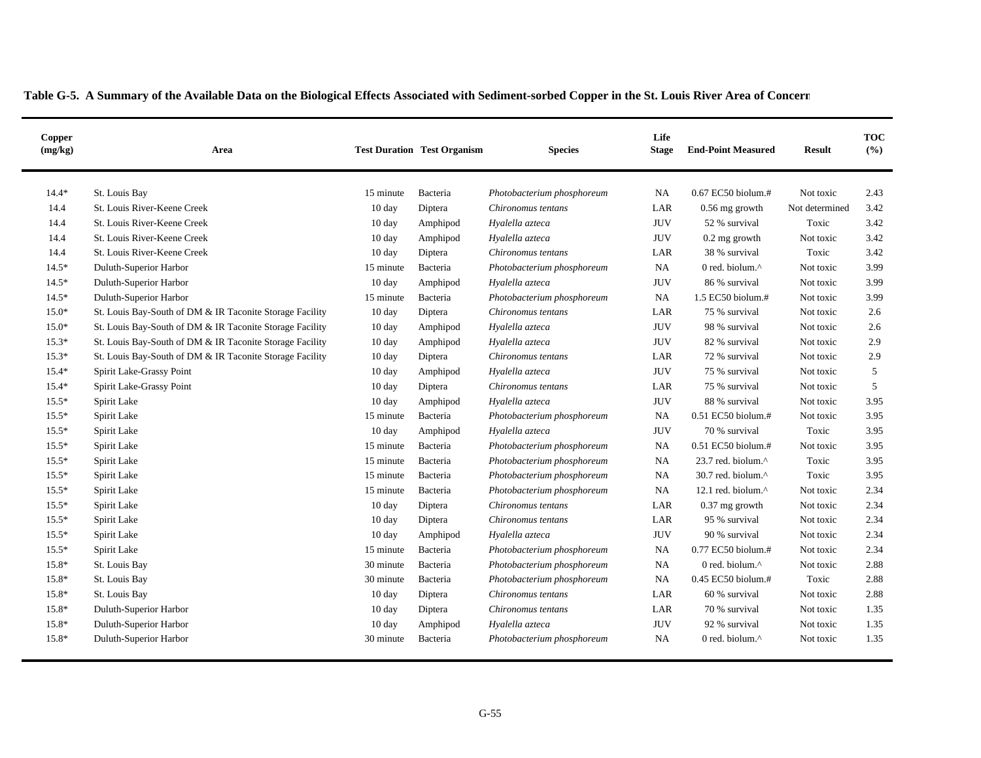| Copper<br>(mg/kg) | Area                                                     |                    | <b>Test Duration Test Organism</b> | <b>Species</b>             | Life<br><b>Stage</b> | <b>End-Point Measured</b> | <b>Result</b>  | <b>TOC</b><br>(%) |
|-------------------|----------------------------------------------------------|--------------------|------------------------------------|----------------------------|----------------------|---------------------------|----------------|-------------------|
| $14.4*$           | St. Louis Bay                                            | 15 minute          | Bacteria                           | Photobacterium phosphoreum | <b>NA</b>            | 0.67 EC50 biolum.#        | Not toxic      | 2.43              |
| 14.4              | St. Louis River-Keene Creek                              | 10 day             | Diptera                            | Chironomus tentans         | LAR                  | 0.56 mg growth            | Not determined | 3.42              |
| 14.4              | St. Louis River-Keene Creek                              | 10 day             | Amphipod                           | Hyalella azteca            | <b>JUV</b>           | 52 % survival             | Toxic          | 3.42              |
| 14.4              | St. Louis River-Keene Creek                              | 10 day             | Amphipod                           | Hyalella azteca            | JUV                  | $0.2$ mg growth           | Not toxic      | 3.42              |
| 14.4              | St. Louis River-Keene Creek                              | $10 \text{ day}$   | Diptera                            | Chironomus tentans         | LAR                  | 38 % survival             | Toxic          | 3.42              |
| $14.5*$           | Duluth-Superior Harbor                                   | 15 minute          | Bacteria                           | Photobacterium phosphoreum | NA                   | 0 red. biolum.^           | Not toxic      | 3.99              |
| $14.5*$           | Duluth-Superior Harbor                                   | 10 day             | Amphipod                           | Hyalella azteca            | <b>JUV</b>           | 86 % survival             | Not toxic      | 3.99              |
| $14.5*$           | Duluth-Superior Harbor                                   | 15 minute          | Bacteria                           | Photobacterium phosphoreum | NA                   | 1.5 EC50 biolum.#         | Not toxic      | 3.99              |
| $15.0*$           | St. Louis Bay-South of DM & IR Taconite Storage Facility | 10 day             | Diptera                            | Chironomus tentans         | LAR                  | 75 % survival             | Not toxic      | 2.6               |
| $15.0*$           | St. Louis Bay-South of DM & IR Taconite Storage Facility | 10 day             | Amphipod                           | Hyalella azteca            | <b>JUV</b>           | 98 % survival             | Not toxic      | 2.6               |
| $15.3*$           | St. Louis Bay-South of DM & IR Taconite Storage Facility | 10 day             | Amphipod                           | Hyalella azteca            | <b>JUV</b>           | 82 % survival             | Not toxic      | 2.9               |
| $15.3*$           | St. Louis Bay-South of DM & IR Taconite Storage Facility | 10 day             | Diptera                            | Chironomus tentans         | LAR                  | 72 % survival             | Not toxic      | 2.9               |
| $15.4*$           | Spirit Lake-Grassy Point                                 | $10 \text{ day}$   | Amphipod                           | Hyalella azteca            | <b>JUV</b>           | 75 % survival             | Not toxic      | 5                 |
| $15.4*$           | Spirit Lake-Grassy Point                                 | 10 day             | Diptera                            | Chironomus tentans         | LAR                  | 75 % survival             | Not toxic      | 5                 |
| $15.5*$           | Spirit Lake                                              | $10 \text{ day}$   | Amphipod                           | Hyalella azteca            | <b>JUV</b>           | 88 % survival             | Not toxic      | 3.95              |
| $15.5*$           | Spirit Lake                                              | 15 minute          | Bacteria                           | Photobacterium phosphoreum | <b>NA</b>            | $0.51$ EC50 biolum.#      | Not toxic      | 3.95              |
| $15.5*$           | Spirit Lake                                              | 10 day             | Amphipod                           | Hyalella azteca            | <b>JUV</b>           | 70 % survival             | Toxic          | 3.95              |
| $15.5*$           | Spirit Lake                                              | 15 minute          | Bacteria                           | Photobacterium phosphoreum | NA                   | 0.51 EC50 biolum.#        | Not toxic      | 3.95              |
| $15.5*$           | Spirit Lake                                              | 15 minute          | Bacteria                           | Photobacterium phosphoreum | NA                   | 23.7 red. biolum.^        | Toxic          | 3.95              |
| $15.5*$           | Spirit Lake                                              | 15 minute          | Bacteria                           | Photobacterium phosphoreum | NA                   | 30.7 red. biolum.^        | Toxic          | 3.95              |
| $15.5*$           | Spirit Lake                                              | 15 minute          | Bacteria                           | Photobacterium phosphoreum | <b>NA</b>            | 12.1 red. biolum.^        | Not toxic      | 2.34              |
| $15.5*$           | Spirit Lake                                              | 10 day             | Diptera                            | Chironomus tentans         | LAR                  | 0.37 mg growth            | Not toxic      | 2.34              |
| $15.5*$           | Spirit Lake                                              | 10 day             | Diptera                            | Chironomus tentans         | LAR                  | 95 % survival             | Not toxic      | 2.34              |
| $15.5*$           | Spirit Lake                                              | $10 \text{ day}$   | Amphipod                           | Hyalella azteca            | <b>JUV</b>           | 90 % survival             | Not toxic      | 2.34              |
| $15.5*$           | Spirit Lake                                              | 15 minute          | Bacteria                           | Photobacterium phosphoreum | <b>NA</b>            | 0.77 EC50 biolum.#        | Not toxic      | 2.34              |
| 15.8*             | St. Louis Bay                                            | 30 minute          | Bacteria                           | Photobacterium phosphoreum | NA                   | 0 red. biolum.^           | Not toxic      | 2.88              |
| 15.8*             | St. Louis Bay                                            | 30 minute          | Bacteria                           | Photobacterium phosphoreum | <b>NA</b>            | 0.45 EC50 biolum.#        | Toxic          | 2.88              |
| 15.8*             | St. Louis Bay                                            | $10\ \mathrm{day}$ | Diptera                            | Chironomus tentans         | LAR                  | 60 % survival             | Not toxic      | 2.88              |
| 15.8*             | Duluth-Superior Harbor                                   | 10 day             | Diptera                            | Chironomus tentans         | LAR                  | 70 % survival             | Not toxic      | 1.35              |
| 15.8*             | Duluth-Superior Harbor                                   | $10 \text{ day}$   | Amphipod                           | Hyalella azteca            | <b>JUV</b>           | 92 % survival             | Not toxic      | 1.35              |
| 15.8*             | Duluth-Superior Harbor                                   | 30 minute          | Bacteria                           | Photobacterium phosphoreum | NA                   | 0 red. biolum. $\wedge$   | Not toxic      | 1.35              |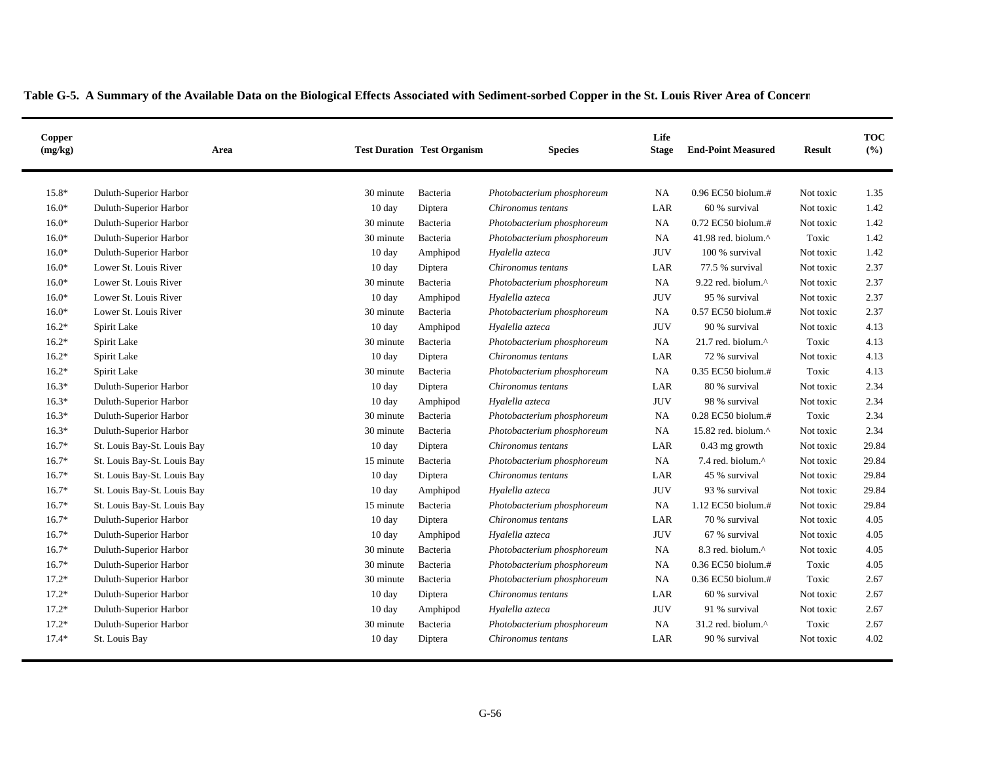| Copper<br>(mg/kg) | Area                        |                  | <b>Test Duration Test Organism</b> | <b>Species</b>             | Life<br><b>Stage</b> | <b>End-Point Measured</b>                          | <b>Result</b> | <b>TOC</b><br>(%) |
|-------------------|-----------------------------|------------------|------------------------------------|----------------------------|----------------------|----------------------------------------------------|---------------|-------------------|
| 15.8*             | Duluth-Superior Harbor      | 30 minute        | Bacteria                           | Photobacterium phosphoreum | <b>NA</b>            | $0.96$ EC50 biolum.#                               | Not toxic     | 1.35              |
| $16.0*$           | Duluth-Superior Harbor      | $10 \text{ day}$ | Diptera                            | Chironomus tentans         | LAR                  | 60 % survival                                      | Not toxic     | 1.42              |
| $16.0*$           | Duluth-Superior Harbor      | 30 minute        | Bacteria                           | Photobacterium phosphoreum | NA                   | 0.72 EC50 biolum.#                                 | Not toxic     | 1.42              |
| $16.0*$           | Duluth-Superior Harbor      | 30 minute        | Bacteria                           | Photobacterium phosphoreum | <b>NA</b>            | 41.98 red. biolum. $\wedge$                        | Toxic         | 1.42              |
| $16.0*$           | Duluth-Superior Harbor      | $10 \text{ day}$ | Amphipod                           | Hyalella azteca            | <b>JUV</b>           | 100 % survival                                     | Not toxic     | 1.42              |
| $16.0*$           | Lower St. Louis River       | 10 day           | Diptera                            | Chironomus tentans         | LAR                  | 77.5 % survival                                    | Not toxic     | 2.37              |
| $16.0*$           | Lower St. Louis River       | 30 minute        | Bacteria                           | Photobacterium phosphoreum | <b>NA</b>            | 9.22 red. biolum. $\wedge$                         | Not toxic     | 2.37              |
| $16.0*$           | Lower St. Louis River       | 10 day           | Amphipod                           | Hyalella azteca            | <b>JUV</b>           | 95 % survival                                      | Not toxic     | 2.37              |
| $16.0*$           | Lower St. Louis River       | 30 minute        | Bacteria                           | Photobacterium phosphoreum | <b>NA</b>            | 0.57 EC50 biolum.#                                 | Not toxic     | 2.37              |
| $16.2*$           | Spirit Lake                 | 10 day           | Amphipod                           | Hyalella azteca            | <b>JUV</b>           | 90 % survival                                      | Not toxic     | 4.13              |
| $16.2*$           | Spirit Lake                 | 30 minute        | Bacteria                           | Photobacterium phosphoreum | <b>NA</b>            | 21.7 red. biolum.^                                 | Toxic         | 4.13              |
| $16.2*$           | Spirit Lake                 | 10 day           | Diptera                            | Chironomus tentans         | LAR                  | 72 % survival                                      | Not toxic     | 4.13              |
| $16.2*$           | Spirit Lake                 | 30 minute        | Bacteria                           | Photobacterium phosphoreum | <b>NA</b>            | 0.35 EC50 biolum.#                                 | Toxic         | 4.13              |
| $16.3*$           | Duluth-Superior Harbor      | 10 day           | Diptera                            | Chironomus tentans         | LAR                  | 80 % survival                                      | Not toxic     | 2.34              |
| $16.3*$           | Duluth-Superior Harbor      | 10 day           | Amphipod                           | Hyalella azteca            | <b>JUV</b>           | 98 % survival                                      | Not toxic     | 2.34              |
| $16.3*$           | Duluth-Superior Harbor      | 30 minute        | Bacteria                           | Photobacterium phosphoreum | <b>NA</b>            | 0.28 EC50 biolum.#                                 | Toxic         | 2.34              |
| $16.3*$           | Duluth-Superior Harbor      | 30 minute        | Bacteria                           | Photobacterium phosphoreum | <b>NA</b>            | 15.82 red. biolum.^                                | Not toxic     | 2.34              |
| $16.7*$           | St. Louis Bay-St. Louis Bay | 10 day           | Diptera                            | Chironomus tentans         | LAR                  | $0.43$ mg growth                                   | Not toxic     | 29.84             |
| $16.7*$           | St. Louis Bay-St. Louis Bay | 15 minute        | Bacteria                           | Photobacterium phosphoreum | NA                   | 7.4 red. biolum.^                                  | Not toxic     | 29.84             |
| $16.7*$           | St. Louis Bay-St. Louis Bay | 10 day           | Diptera                            | Chironomus tentans         | LAR                  | 45 % survival                                      | Not toxic     | 29.84             |
| $16.7*$           | St. Louis Bay-St. Louis Bay | 10 day           | Amphipod                           | Hyalella azteca            | <b>JUV</b>           | 93 % survival                                      | Not toxic     | 29.84             |
| $16.7*$           | St. Louis Bay-St. Louis Bay | 15 minute        | Bacteria                           | Photobacterium phosphoreum | <b>NA</b>            | 1.12 EC50 biolum.#                                 | Not toxic     | 29.84             |
| $16.7*$           | Duluth-Superior Harbor      | $10 \text{ day}$ | Diptera                            | Chironomus tentans         | LAR                  | 70 % survival                                      | Not toxic     | 4.05              |
| $16.7*$           | Duluth-Superior Harbor      | $10 \text{ day}$ | Amphipod                           | Hyalella azteca            | <b>JUV</b>           | 67 % survival                                      | Not toxic     | 4.05              |
| $16.7*$           | Duluth-Superior Harbor      | 30 minute        | Bacteria                           | Photobacterium phosphoreum | <b>NA</b>            | 8.3 red. biolum.^                                  | Not toxic     | 4.05              |
| $16.7*$           | Duluth-Superior Harbor      | 30 minute        | Bacteria                           | Photobacterium phosphoreum | <b>NA</b>            | 0.36 EC50 biolum.#                                 | Toxic         | 4.05              |
| $17.2*$           | Duluth-Superior Harbor      | 30 minute        | Bacteria                           | Photobacterium phosphoreum | <b>NA</b>            | 0.36 EC50 biolum.#                                 | Toxic         | 2.67              |
| $17.2*$           | Duluth-Superior Harbor      | 10 day           | Diptera                            | Chironomus tentans         | LAR                  | 60 % survival                                      | Not toxic     | 2.67              |
| $17.2*$           | Duluth-Superior Harbor      | $10 \text{ day}$ | Amphipod                           | Hyalella azteca            | <b>JUV</b>           | 91 % survival                                      | Not toxic     | 2.67              |
| $17.2*$           | Duluth-Superior Harbor      | 30 minute        | Bacteria                           | Photobacterium phosphoreum | NA                   | $31.2$ red. biolum. <sup><math>\wedge</math></sup> | Toxic         | 2.67              |
| $17.4*$           | St. Louis Bay               | 10 day           | Diptera                            | Chironomus tentans         | LAR                  | 90 % survival                                      | Not toxic     | 4.02              |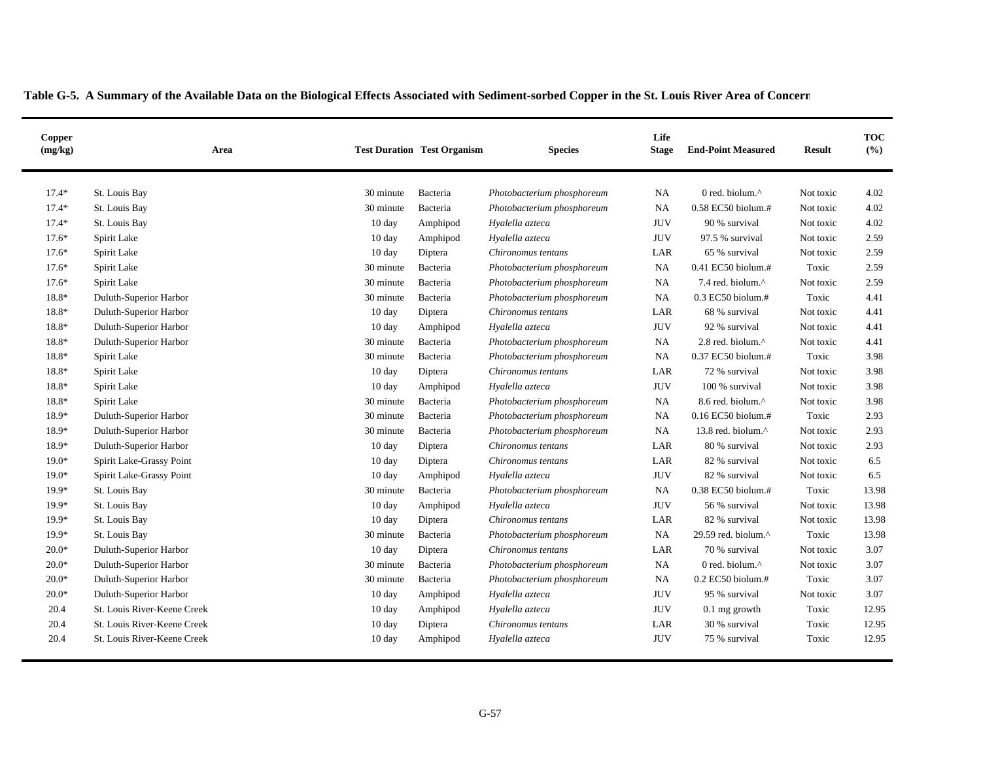| Copper<br>(mg/kg) | Area                        |                  | <b>Test Duration Test Organism</b> | <b>Species</b>             | Life<br><b>Stage</b> | <b>End-Point Measured</b> | <b>Result</b> | <b>TOC</b><br>(%) |
|-------------------|-----------------------------|------------------|------------------------------------|----------------------------|----------------------|---------------------------|---------------|-------------------|
| $17.4*$           | St. Louis Bay               | 30 minute        | Bacteria                           | Photobacterium phosphoreum | <b>NA</b>            | 0 red. biolum.^           | Not toxic     | 4.02              |
| $17.4*$           | St. Louis Bay               | 30 minute        | Bacteria                           | Photobacterium phosphoreum | <b>NA</b>            | $0.58$ EC50 biolum.#      | Not toxic     | 4.02              |
| $17.4*$           | St. Louis Bay               | $10 \text{ day}$ | Amphipod                           | Hyalella azteca            | <b>JUV</b>           | 90 % survival             | Not toxic     | 4.02              |
| $17.6*$           | Spirit Lake                 | $10 \text{ day}$ | Amphipod                           | Hyalella azteca            | <b>JUV</b>           | 97.5 % survival           | Not toxic     | 2.59              |
| $17.6*$           | Spirit Lake                 | $10 \text{ day}$ | Diptera                            | Chironomus tentans         | LAR                  | 65 % survival             | Not toxic     | 2.59              |
| $17.6*$           | Spirit Lake                 | 30 minute        | Bacteria                           | Photobacterium phosphoreum | <b>NA</b>            | 0.41 EC50 biolum.#        | Toxic         | 2.59              |
| $17.6*$           | Spirit Lake                 | 30 minute        | Bacteria                           | Photobacterium phosphoreum | <b>NA</b>            | 7.4 red. biolum.^         | Not toxic     | 2.59              |
| 18.8*             | Duluth-Superior Harbor      | 30 minute        | Bacteria                           | Photobacterium phosphoreum | <b>NA</b>            | $0.3$ EC50 biolum.#       | Toxic         | 4.41              |
| 18.8*             | Duluth-Superior Harbor      | $10 \text{ day}$ | Diptera                            | Chironomus tentans         | LAR                  | 68 % survival             | Not toxic     | 4.41              |
| 18.8*             | Duluth-Superior Harbor      | $10 \text{ day}$ | Amphipod                           | Hyalella azteca            | <b>JUV</b>           | 92 % survival             | Not toxic     | 4.41              |
| 18.8*             | Duluth-Superior Harbor      | 30 minute        | Bacteria                           | Photobacterium phosphoreum | <b>NA</b>            | 2.8 red. biolum.^         | Not toxic     | 4.41              |
| 18.8*             | Spirit Lake                 | 30 minute        | Bacteria                           | Photobacterium phosphoreum | NA                   | 0.37 EC50 biolum.#        | Toxic         | 3.98              |
| 18.8*             | Spirit Lake                 | $10 \text{ day}$ | Diptera                            | Chironomus tentans         | LAR                  | 72 % survival             | Not toxic     | 3.98              |
| 18.8*             | Spirit Lake                 | 10 day           | Amphipod                           | Hyalella azteca            | <b>JUV</b>           | 100 % survival            | Not toxic     | 3.98              |
| 18.8*             | Spirit Lake                 | 30 minute        | Bacteria                           | Photobacterium phosphoreum | <b>NA</b>            | 8.6 red. biolum.^         | Not toxic     | 3.98              |
| 18.9*             | Duluth-Superior Harbor      | 30 minute        | Bacteria                           | Photobacterium phosphoreum | <b>NA</b>            | 0.16 EC50 biolum.#        | Toxic         | 2.93              |
| 18.9*             | Duluth-Superior Harbor      | 30 minute        | Bacteria                           | Photobacterium phosphoreum | NA                   | 13.8 red. biolum.^        | Not toxic     | 2.93              |
| 18.9*             | Duluth-Superior Harbor      | 10 day           | Diptera                            | Chironomus tentans         | LAR                  | 80 % survival             | Not toxic     | 2.93              |
| $19.0*$           | Spirit Lake-Grassy Point    | 10 day           | Diptera                            | Chironomus tentans         | LAR                  | 82 % survival             | Not toxic     | 6.5               |
| $19.0*$           | Spirit Lake-Grassy Point    | $10 \text{ day}$ | Amphipod                           | Hyalella azteca            | <b>JUV</b>           | 82 % survival             | Not toxic     | 6.5               |
| 19.9*             | St. Louis Bay               | 30 minute        | Bacteria                           | Photobacterium phosphoreum | <b>NA</b>            | 0.38 EC50 biolum.#        | Toxic         | 13.98             |
| 19.9*             | St. Louis Bay               | 10 day           | Amphipod                           | Hyalella azteca            | <b>JUV</b>           | 56 % survival             | Not toxic     | 13.98             |
| 19.9*             | St. Louis Bay               | $10 \text{ day}$ | Diptera                            | Chironomus tentans         | LAR                  | 82 % survival             | Not toxic     | 13.98             |
| 19.9*             | St. Louis Bay               | 30 minute        | Bacteria                           | Photobacterium phosphoreum | <b>NA</b>            | 29.59 red. biolum.^       | Toxic         | 13.98             |
| $20.0*$           | Duluth-Superior Harbor      | $10 \text{ day}$ | Diptera                            | Chironomus tentans         | LAR                  | 70 % survival             | Not toxic     | 3.07              |
| $20.0*$           | Duluth-Superior Harbor      | 30 minute        | Bacteria                           | Photobacterium phosphoreum | NA.                  | 0 red. biolum.^           | Not toxic     | 3.07              |
| $20.0*$           | Duluth-Superior Harbor      | 30 minute        | Bacteria                           | Photobacterium phosphoreum | NA                   | $0.2$ EC50 biolum.#       | Toxic         | 3.07              |
| $20.0*$           | Duluth-Superior Harbor      | $10 \text{ day}$ | Amphipod                           | Hyalella azteca            | <b>JUV</b>           | 95 % survival             | Not toxic     | 3.07              |
| 20.4              | St. Louis River-Keene Creek | $10 \text{ day}$ | Amphipod                           | Hyalella azteca            | <b>JUV</b>           | $0.1$ mg growth           | Toxic         | 12.95             |
| 20.4              | St. Louis River-Keene Creek | 10 day           | Diptera                            | Chironomus tentans         | LAR                  | 30 % survival             | Toxic         | 12.95             |
| 20.4              | St. Louis River-Keene Creek | $10 \text{ day}$ | Amphipod                           | Hyalella azteca            | <b>JUV</b>           | 75 % survival             | Toxic         | 12.95             |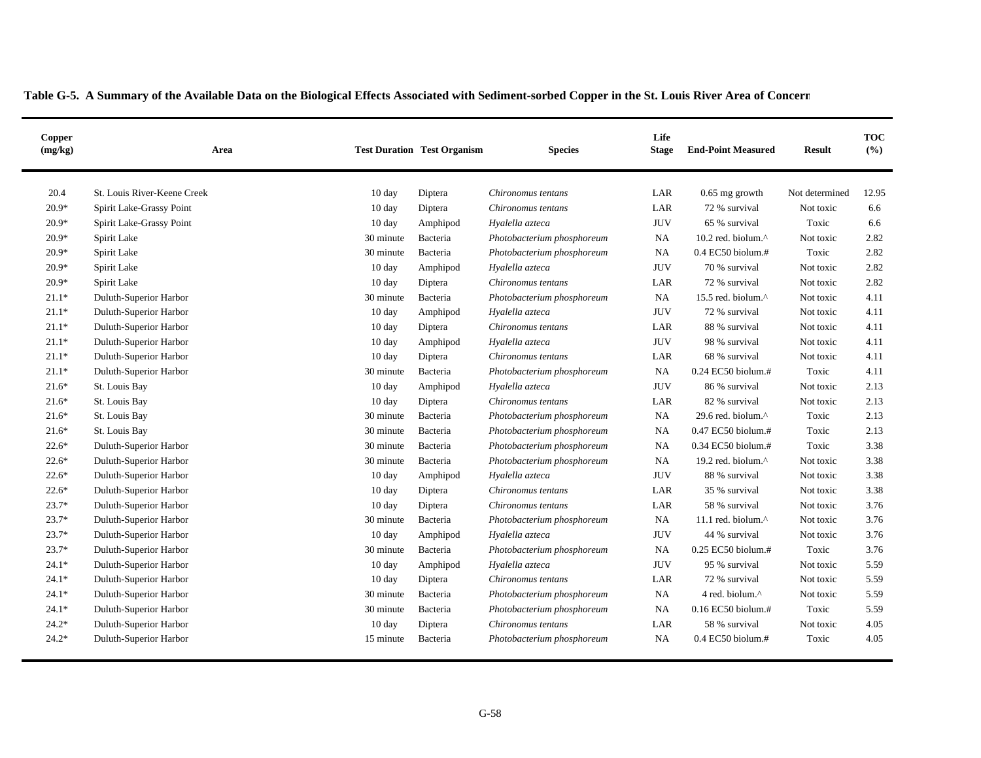| Copper<br>(mg/kg) | Area                        |                  | <b>Test Duration Test Organism</b> | <b>Species</b>             | Life<br><b>Stage</b> | <b>End-Point Measured</b>  | <b>Result</b>  | <b>TOC</b><br>(%) |
|-------------------|-----------------------------|------------------|------------------------------------|----------------------------|----------------------|----------------------------|----------------|-------------------|
| 20.4              | St. Louis River-Keene Creek | 10 day           | Diptera                            | Chironomus tentans         | LAR                  | $0.65$ mg growth           | Not determined | 12.95             |
| $20.9*$           | Spirit Lake-Grassy Point    | 10 day           | Diptera                            | Chironomus tentans         | LAR                  | 72 % survival              | Not toxic      | 6.6               |
| $20.9*$           | Spirit Lake-Grassy Point    | 10 day           | Amphipod                           | Hyalella azteca            | <b>JUV</b>           | 65 % survival              | Toxic          | 6.6               |
| $20.9*$           | Spirit Lake                 | 30 minute        | Bacteria                           | Photobacterium phosphoreum | <b>NA</b>            | 10.2 red. biolum. $\wedge$ | Not toxic      | 2.82              |
| $20.9*$           | Spirit Lake                 | 30 minute        | Bacteria                           | Photobacterium phosphoreum | <b>NA</b>            | 0.4 EC50 biolum.#          | Toxic          | 2.82              |
| $20.9*$           | Spirit Lake                 | 10 day           | Amphipod                           | Hyalella azteca            | <b>JUV</b>           | 70 % survival              | Not toxic      | 2.82              |
| $20.9*$           | Spirit Lake                 | 10 day           | Diptera                            | Chironomus tentans         | LAR                  | 72 % survival              | Not toxic      | 2.82              |
| $21.1*$           | Duluth-Superior Harbor      | 30 minute        | Bacteria                           | Photobacterium phosphoreum | NA                   | 15.5 red. biolum.^         | Not toxic      | 4.11              |
| $21.1*$           | Duluth-Superior Harbor      | 10 day           | Amphipod                           | Hyalella azteca            | <b>JUV</b>           | 72 % survival              | Not toxic      | 4.11              |
| $21.1*$           | Duluth-Superior Harbor      | $10 \text{ day}$ | Diptera                            | Chironomus tentans         | LAR                  | 88 % survival              | Not toxic      | 4.11              |
| $21.1*$           | Duluth-Superior Harbor      | $10 \text{ day}$ | Amphipod                           | Hyalella azteca            | <b>JUV</b>           | 98 % survival              | Not toxic      | 4.11              |
| $21.1*$           | Duluth-Superior Harbor      | $10 \text{ day}$ | Diptera                            | Chironomus tentans         | LAR                  | 68 % survival              | Not toxic      | 4.11              |
| $21.1*$           | Duluth-Superior Harbor      | 30 minute        | Bacteria                           | Photobacterium phosphoreum | <b>NA</b>            | 0.24 EC50 biolum.#         | Toxic          | 4.11              |
| $21.6*$           | St. Louis Bay               | 10 day           | Amphipod                           | Hyalella azteca            | <b>JUV</b>           | 86 % survival              | Not toxic      | 2.13              |
| $21.6*$           | St. Louis Bay               | 10 day           | Diptera                            | Chironomus tentans         | LAR                  | 82 % survival              | Not toxic      | 2.13              |
| $21.6*$           | St. Louis Bay               | 30 minute        | Bacteria                           | Photobacterium phosphoreum | <b>NA</b>            | 29.6 red. biolum.^         | Toxic          | 2.13              |
| $21.6*$           | St. Louis Bay               | 30 minute        | Bacteria                           | Photobacterium phosphoreum | <b>NA</b>            | 0.47 EC50 biolum.#         | Toxic          | 2.13              |
| $22.6*$           | Duluth-Superior Harbor      | 30 minute        | Bacteria                           | Photobacterium phosphoreum | <b>NA</b>            | 0.34 EC50 biolum.#         | Toxic          | 3.38              |
| $22.6*$           | Duluth-Superior Harbor      | 30 minute        | Bacteria                           | Photobacterium phosphoreum | <b>NA</b>            | 19.2 red. biolum.^         | Not toxic      | 3.38              |
| $22.6*$           | Duluth-Superior Harbor      | 10 day           | Amphipod                           | Hyalella azteca            | <b>JUV</b>           | 88 % survival              | Not toxic      | 3.38              |
| $22.6*$           | Duluth-Superior Harbor      | 10 day           | Diptera                            | Chironomus tentans         | LAR                  | 35 % survival              | Not toxic      | 3.38              |
| $23.7*$           | Duluth-Superior Harbor      | $10 \text{ day}$ | Diptera                            | Chironomus tentans         | LAR                  | 58 % survival              | Not toxic      | 3.76              |
| $23.7*$           | Duluth-Superior Harbor      | 30 minute        | Bacteria                           | Photobacterium phosphoreum | <b>NA</b>            | 11.1 red. biolum.^         | Not toxic      | 3.76              |
| $23.7*$           | Duluth-Superior Harbor      | $10 \text{ day}$ | Amphipod                           | Hyalella azteca            | <b>JUV</b>           | 44 % survival              | Not toxic      | 3.76              |
| $23.7*$           | Duluth-Superior Harbor      | 30 minute        | Bacteria                           | Photobacterium phosphoreum | <b>NA</b>            | 0.25 EC50 biolum.#         | Toxic          | 3.76              |
| $24.1*$           | Duluth-Superior Harbor      | $10 \text{ day}$ | Amphipod                           | Hyalella azteca            | <b>JUV</b>           | 95 % survival              | Not toxic      | 5.59              |
| $24.1*$           | Duluth-Superior Harbor      | 10 day           | Diptera                            | Chironomus tentans         | LAR                  | 72 % survival              | Not toxic      | 5.59              |
| $24.1*$           | Duluth-Superior Harbor      | 30 minute        | Bacteria                           | Photobacterium phosphoreum | NA                   | 4 red. biolum.^            | Not toxic      | 5.59              |
| $24.1*$           | Duluth-Superior Harbor      | 30 minute        | Bacteria                           | Photobacterium phosphoreum | <b>NA</b>            | 0.16 EC50 biolum.#         | Toxic          | 5.59              |
| $24.2*$           | Duluth-Superior Harbor      | $10 \text{ day}$ | Diptera                            | Chironomus tentans         | LAR                  | 58 % survival              | Not toxic      | 4.05              |
| $24.2*$           | Duluth-Superior Harbor      | 15 minute        | Bacteria                           | Photobacterium phosphoreum | <b>NA</b>            | $0.4$ EC50 biolum.#        | Toxic          | 4.05              |
|                   |                             |                  |                                    |                            |                      |                            |                |                   |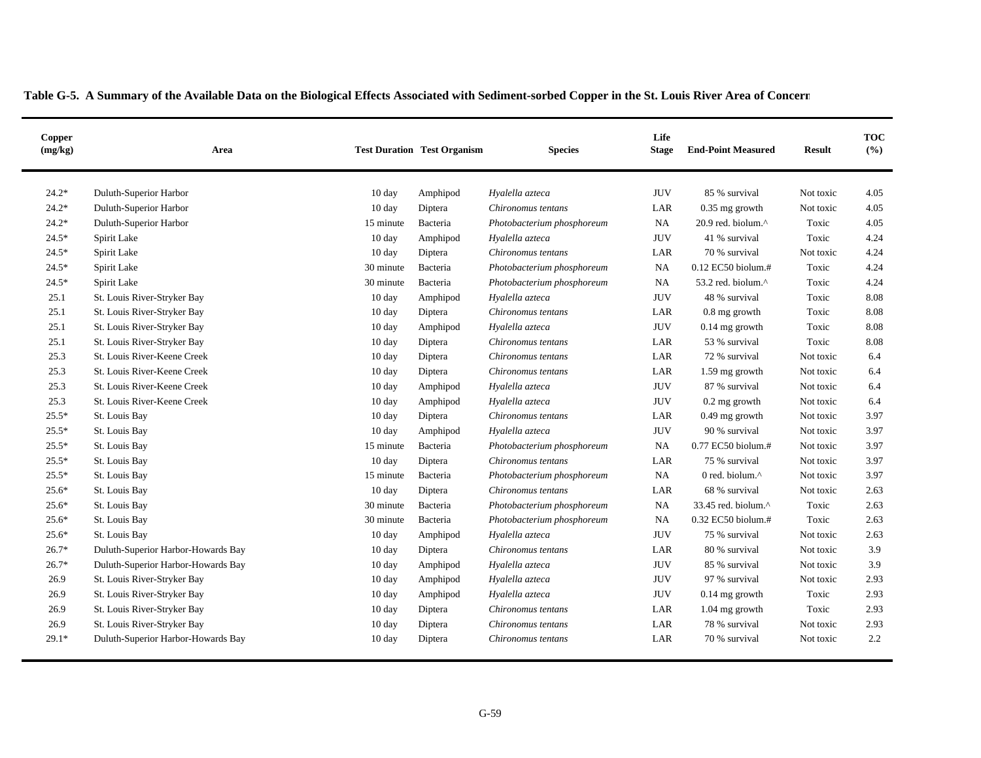| Copper<br>(mg/kg) | Area                               |                  | <b>Test Duration Test Organism</b> | <b>Species</b>             | Life<br><b>Stage</b> | <b>End-Point Measured</b>  | <b>Result</b> | <b>TOC</b><br>(%) |
|-------------------|------------------------------------|------------------|------------------------------------|----------------------------|----------------------|----------------------------|---------------|-------------------|
| $24.2*$           | Duluth-Superior Harbor             | $10 \text{ day}$ | Amphipod                           | Hyalella azteca            | <b>JUV</b>           | 85 % survival              | Not toxic     | 4.05              |
| $24.2*$           | Duluth-Superior Harbor             | $10 \text{ day}$ | Diptera                            | Chironomus tentans         | LAR                  | $0.35$ mg growth           | Not toxic     | 4.05              |
| $24.2*$           | Duluth-Superior Harbor             | 15 minute        | Bacteria                           | Photobacterium phosphoreum | NA                   | 20.9 red. biolum. $\wedge$ | Toxic         | 4.05              |
| $24.5*$           | Spirit Lake                        | $10 \text{ day}$ | Amphipod                           | Hyalella azteca            | JUV                  | 41 % survival              | Toxic         | 4.24              |
| $24.5*$           | Spirit Lake                        | 10 day           | Diptera                            | Chironomus tentans         | LAR                  | 70 % survival              | Not toxic     | 4.24              |
| $24.5*$           | Spirit Lake                        | 30 minute        | Bacteria                           | Photobacterium phosphoreum | <b>NA</b>            | 0.12 EC50 biolum.#         | Toxic         | 4.24              |
| $24.5*$           | Spirit Lake                        | 30 minute        | Bacteria                           | Photobacterium phosphoreum | <b>NA</b>            | 53.2 red. biolum.^         | Toxic         | 4.24              |
| 25.1              | St. Louis River-Stryker Bay        | 10 day           | Amphipod                           | Hyalella azteca            | <b>JUV</b>           | 48 % survival              | Toxic         | 8.08              |
| 25.1              | St. Louis River-Stryker Bay        | $10 \text{ day}$ | Diptera                            | Chironomus tentans         | LAR                  | 0.8 mg growth              | Toxic         | 8.08              |
| 25.1              | St. Louis River-Stryker Bay        | $10 \text{ day}$ | Amphipod                           | Hyalella azteca            | <b>JUV</b>           | $0.14$ mg growth           | Toxic         | 8.08              |
| 25.1              | St. Louis River-Stryker Bay        | $10 \text{ day}$ | Diptera                            | Chironomus tentans         | LAR                  | 53 % survival              | Toxic         | 8.08              |
| 25.3              | St. Louis River-Keene Creek        | $10 \text{ day}$ | Diptera                            | Chironomus tentans         | LAR                  | 72 % survival              | Not toxic     | 6.4               |
| 25.3              | St. Louis River-Keene Creek        | 10 day           | Diptera                            | Chironomus tentans         | LAR                  | 1.59 mg growth             | Not toxic     | 6.4               |
| 25.3              | St. Louis River-Keene Creek        | 10 day           | Amphipod                           | Hyalella azteca            | <b>JUV</b>           | 87 % survival              | Not toxic     | 6.4               |
| 25.3              | St. Louis River-Keene Creek        | 10 day           | Amphipod                           | Hyalella azteca            | <b>JUV</b>           | 0.2 mg growth              | Not toxic     | 6.4               |
| $25.5*$           | St. Louis Bay                      | 10 day           | Diptera                            | Chironomus tentans         | LAR                  | 0.49 mg growth             | Not toxic     | 3.97              |
| $25.5*$           | St. Louis Bay                      | 10 day           | Amphipod                           | Hyalella azteca            | <b>JUV</b>           | 90 % survival              | Not toxic     | 3.97              |
| $25.5*$           | St. Louis Bay                      | 15 minute        | Bacteria                           | Photobacterium phosphoreum | <b>NA</b>            | 0.77 EC50 biolum.#         | Not toxic     | 3.97              |
| $25.5*$           | St. Louis Bay                      | $10 \text{ day}$ | Diptera                            | Chironomus tentans         | LAR                  | 75 % survival              | Not toxic     | 3.97              |
| $25.5*$           | St. Louis Bay                      | 15 minute        | Bacteria                           | Photobacterium phosphoreum | NA                   | 0 red. biolum.^            | Not toxic     | 3.97              |
| $25.6*$           | St. Louis Bay                      | $10 \text{ day}$ | Diptera                            | Chironomus tentans         | LAR                  | 68 % survival              | Not toxic     | 2.63              |
| $25.6*$           | St. Louis Bay                      | 30 minute        | Bacteria                           | Photobacterium phosphoreum | <b>NA</b>            | 33.45 red. biolum.^        | Toxic         | 2.63              |
| $25.6*$           | St. Louis Bay                      | 30 minute        | Bacteria                           | Photobacterium phosphoreum | <b>NA</b>            | 0.32 EC50 biolum.#         | Toxic         | 2.63              |
| $25.6*$           | St. Louis Bay                      | 10 day           | Amphipod                           | Hyalella azteca            | <b>JUV</b>           | 75 % survival              | Not toxic     | 2.63              |
| $26.7*$           | Duluth-Superior Harbor-Howards Bay | 10 day           | Diptera                            | Chironomus tentans         | $_{\rm LAR}$         | 80 % survival              | Not toxic     | 3.9               |
| $26.7*$           | Duluth-Superior Harbor-Howards Bay | 10 day           | Amphipod                           | Hyalella azteca            | <b>JUV</b>           | 85 % survival              | Not toxic     | 3.9               |
| 26.9              | St. Louis River-Stryker Bay        | 10 day           | Amphipod                           | Hyalella azteca            | <b>JUV</b>           | 97 % survival              | Not toxic     | 2.93              |
| 26.9              | St. Louis River-Stryker Bay        | $10 \text{ day}$ | Amphipod                           | Hyalella azteca            | <b>JUV</b>           | $0.14$ mg growth           | Toxic         | 2.93              |
| 26.9              | St. Louis River-Stryker Bay        | 10 day           | Diptera                            | Chironomus tentans         | LAR                  | 1.04 mg growth             | Toxic         | 2.93              |
| 26.9              | St. Louis River-Stryker Bay        | $10 \text{ day}$ | Diptera                            | Chironomus tentans         | LAR                  | 78 % survival              | Not toxic     | 2.93              |
| $29.1*$           | Duluth-Superior Harbor-Howards Bay | $10 \text{ day}$ | Diptera                            | Chironomus tentans         | LAR                  | 70 % survival              | Not toxic     | 2.2               |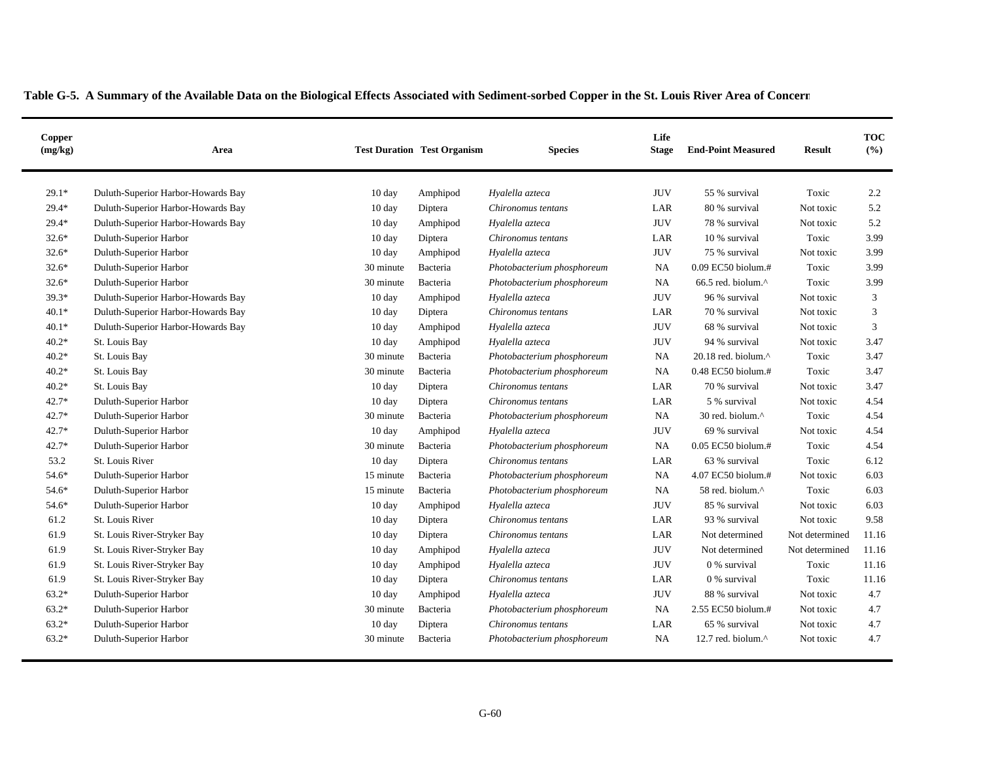| Copper<br>(mg/kg) | Area                               |                  | <b>Test Duration Test Organism</b> | <b>Species</b>             | Life<br><b>Stage</b> | <b>End-Point Measured</b>     | <b>Result</b>  | <b>TOC</b><br>(%) |
|-------------------|------------------------------------|------------------|------------------------------------|----------------------------|----------------------|-------------------------------|----------------|-------------------|
| $29.1*$           | Duluth-Superior Harbor-Howards Bay | $10 \text{ day}$ | Amphipod                           | Hyalella azteca            | <b>JUV</b>           | 55 % survival                 | Toxic          | 2.2               |
| $29.4*$           | Duluth-Superior Harbor-Howards Bay | 10 day           | Diptera                            | Chironomus tentans         | LAR                  | 80 % survival                 | Not toxic      | 5.2               |
| $29.4*$           | Duluth-Superior Harbor-Howards Bay | 10 day           | Amphipod                           | Hyalella azteca            | <b>JUV</b>           | 78 % survival                 | Not toxic      | 5.2               |
| $32.6*$           | Duluth-Superior Harbor             | $10 \text{ day}$ | Diptera                            | Chironomus tentans         | LAR                  | 10 % survival                 | Toxic          | 3.99              |
| $32.6*$           | Duluth-Superior Harbor             | $10 \text{ day}$ | Amphipod                           | Hyalella azteca            | <b>JUV</b>           | 75 % survival                 | Not toxic      | 3.99              |
| $32.6*$           | Duluth-Superior Harbor             | 30 minute        | Bacteria                           | Photobacterium phosphoreum | NA                   | 0.09 EC50 biolum.#            | Toxic          | 3.99              |
| $32.6*$           | Duluth-Superior Harbor             | 30 minute        | Bacteria                           | Photobacterium phosphoreum | <b>NA</b>            | 66.5 red. biolum.^            | Toxic          | 3.99              |
| 39.3*             | Duluth-Superior Harbor-Howards Bay | 10 day           | Amphipod                           | Hyalella azteca            | <b>JUV</b>           | 96 % survival                 | Not toxic      | 3                 |
| $40.1*$           | Duluth-Superior Harbor-Howards Bay | $10 \text{ day}$ | Diptera                            | Chironomus tentans         | LAR                  | 70 % survival                 | Not toxic      | 3                 |
| $40.1*$           | Duluth-Superior Harbor-Howards Bay | 10 day           | Amphipod                           | Hyalella azteca            | <b>JUV</b>           | 68 % survival                 | Not toxic      | 3                 |
| $40.2*$           | St. Louis Bay                      | $10 \text{ day}$ | Amphipod                           | Hyalella azteca            | <b>JUV</b>           | 94 % survival                 | Not toxic      | 3.47              |
| $40.2*$           | St. Louis Bay                      | 30 minute        | Bacteria                           | Photobacterium phosphoreum | NA                   | 20.18 red. biolum.^           | Toxic          | 3.47              |
| $40.2*$           | St. Louis Bay                      | 30 minute        | Bacteria                           | Photobacterium phosphoreum | <b>NA</b>            | 0.48 EC50 biolum.#            | Toxic          | 3.47              |
| $40.2*$           | St. Louis Bay                      | $10 \text{ day}$ | Diptera                            | Chironomus tentans         | LAR                  | 70 % survival                 | Not toxic      | 3.47              |
| $42.7*$           | Duluth-Superior Harbor             | $10 \text{ day}$ | Diptera                            | Chironomus tentans         | LAR                  | 5 % survival                  | Not toxic      | 4.54              |
| 42.7*             | Duluth-Superior Harbor             | 30 minute        | Bacteria                           | Photobacterium phosphoreum | NA                   | 30 red. biolum.^              | Toxic          | 4.54              |
| 42.7*             | Duluth-Superior Harbor             | $10 \text{ day}$ | Amphipod                           | Hyalella azteca            | <b>JUV</b>           | 69 % survival                 | Not toxic      | 4.54              |
| $42.7*$           | Duluth-Superior Harbor             | 30 minute        | Bacteria                           | Photobacterium phosphoreum | <b>NA</b>            | 0.05 EC50 biolum.#            | Toxic          | 4.54              |
| 53.2              | St. Louis River                    | $10 \text{ day}$ | Diptera                            | Chironomus tentans         | LAR                  | 63 % survival                 | Toxic          | 6.12              |
| 54.6*             | Duluth-Superior Harbor             | 15 minute        | Bacteria                           | Photobacterium phosphoreum | NA                   | 4.07 EC50 biolum.#            | Not toxic      | 6.03              |
| 54.6*             | Duluth-Superior Harbor             | 15 minute        | Bacteria                           | Photobacterium phosphoreum | <b>NA</b>            | 58 red. biolum.^              | Toxic          | 6.03              |
| 54.6*             | Duluth-Superior Harbor             | $10 \text{ day}$ | Amphipod                           | Hyalella azteca            | <b>JUV</b>           | 85 % survival                 | Not toxic      | 6.03              |
| 61.2              | St. Louis River                    | 10 day           | Diptera                            | Chironomus tentans         | LAR                  | 93 % survival                 | Not toxic      | 9.58              |
| 61.9              | St. Louis River-Stryker Bay        | 10 day           | Diptera                            | Chironomus tentans         | LAR                  | Not determined                | Not determined | 11.16             |
| 61.9              | St. Louis River-Stryker Bay        | 10 day           | Amphipod                           | Hyalella azteca            | <b>JUV</b>           | Not determined                | Not determined | 11.16             |
| 61.9              | St. Louis River-Stryker Bay        | 10 day           | Amphipod                           | Hyalella azteca            | <b>JUV</b>           | 0 % survival                  | Toxic          | 11.16             |
| 61.9              | St. Louis River-Stryker Bay        | 10 day           | Diptera                            | Chironomus tentans         | LAR                  | 0 % survival                  | Toxic          | 11.16             |
| $63.2*$           | Duluth-Superior Harbor             | 10 day           | Amphipod                           | Hyalella azteca            | <b>JUV</b>           | 88 % survival                 | Not toxic      | 4.7               |
| $63.2*$           | Duluth-Superior Harbor             | 30 minute        | Bacteria                           | Photobacterium phosphoreum | NA                   | 2.55 EC50 biolum.#            | Not toxic      | 4.7               |
| $63.2*$           | Duluth-Superior Harbor             | 10 day           | Diptera                            | Chironomus tentans         | LAR                  | 65 % survival                 | Not toxic      | 4.7               |
| $63.2*$           | Duluth-Superior Harbor             | 30 minute        | Bacteria                           | Photobacterium phosphoreum | <b>NA</b>            | 12.7 red. biolum. $^{\wedge}$ | Not toxic      | 4.7               |
|                   |                                    |                  |                                    |                            |                      |                               |                |                   |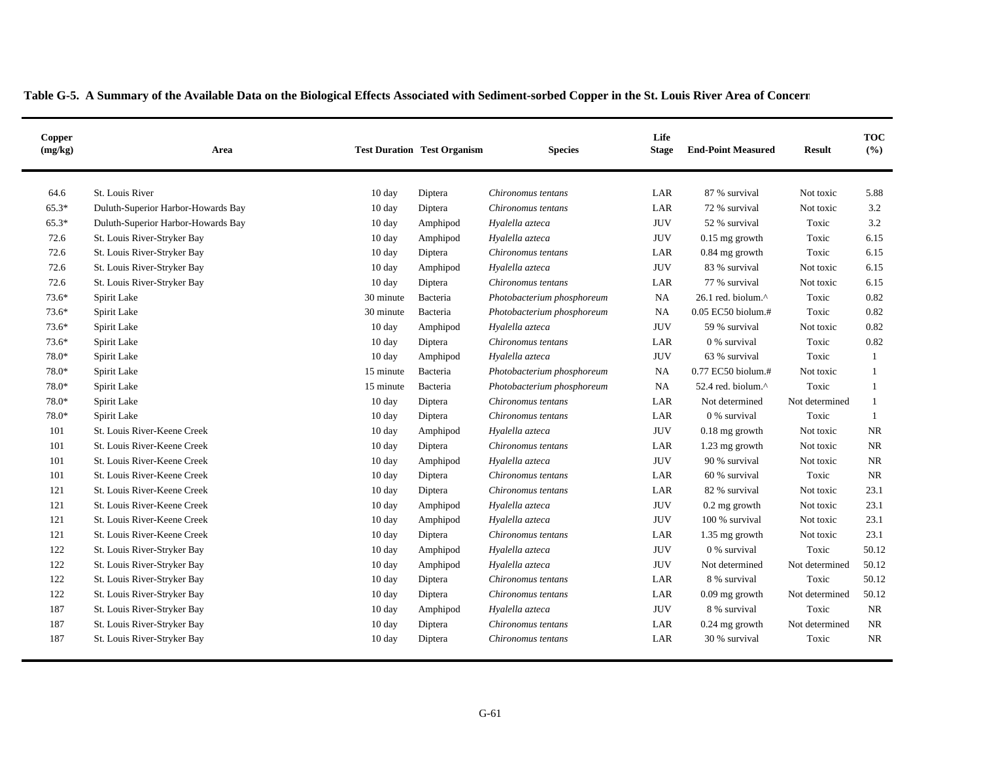| Copper<br>(mg/kg) | Area                               |                  | <b>Test Duration Test Organism</b> | <b>Species</b>             | Life<br><b>Stage</b> | <b>End-Point Measured</b> | <b>Result</b>  | <b>TOC</b><br>(%) |
|-------------------|------------------------------------|------------------|------------------------------------|----------------------------|----------------------|---------------------------|----------------|-------------------|
| 64.6              | St. Louis River                    | 10 day           | Diptera                            | Chironomus tentans         | LAR                  | 87 % survival             | Not toxic      | 5.88              |
| 65.3*             | Duluth-Superior Harbor-Howards Bay | 10 day           | Diptera                            | Chironomus tentans         | LAR                  | 72 % survival             | Not toxic      | 3.2               |
| 65.3*             | Duluth-Superior Harbor-Howards Bay | $10 \text{ day}$ | Amphipod                           | Hyalella azteca            | <b>JUV</b>           | 52 % survival             | Toxic          | 3.2               |
| 72.6              | St. Louis River-Stryker Bay        | 10 day           | Amphipod                           | Hyalella azteca            | <b>JUV</b>           | $0.15$ mg growth          | Toxic          | 6.15              |
| 72.6              | St. Louis River-Stryker Bay        | 10 day           | Diptera                            | Chironomus tentans         | LAR                  | 0.84 mg growth            | Toxic          | 6.15              |
| 72.6              | St. Louis River-Stryker Bay        | 10 day           | Amphipod                           | Hyalella azteca            | <b>JUV</b>           | 83 % survival             | Not toxic      | 6.15              |
| 72.6              | St. Louis River-Stryker Bay        | 10 day           | Diptera                            | Chironomus tentans         | LAR                  | 77 % survival             | Not toxic      | 6.15              |
| $73.6*$           | Spirit Lake                        | 30 minute        | Bacteria                           | Photobacterium phosphoreum | NA                   | 26.1 red. biolum.^        | Toxic          | 0.82              |
| $73.6*$           | Spirit Lake                        | 30 minute        | Bacteria                           | Photobacterium phosphoreum | <b>NA</b>            | 0.05 EC50 biolum.#        | Toxic          | 0.82              |
| $73.6*$           | Spirit Lake                        | 10 day           | Amphipod                           | Hyalella azteca            | <b>JUV</b>           | 59 % survival             | Not toxic      | 0.82              |
| 73.6*             | Spirit Lake                        | 10 day           | Diptera                            | Chironomus tentans         | LAR                  | 0 % survival              | Toxic          | 0.82              |
| 78.0*             | Spirit Lake                        | 10 day           | Amphipod                           | Hyalella azteca            | <b>JUV</b>           | 63 % survival             | Toxic          | $\mathbf{1}$      |
| 78.0*             | Spirit Lake                        | 15 minute        | Bacteria                           | Photobacterium phosphoreum | <b>NA</b>            | 0.77 EC50 biolum.#        | Not toxic      | 1                 |
| 78.0*             | Spirit Lake                        | 15 minute        | Bacteria                           | Photobacterium phosphoreum | <b>NA</b>            | 52.4 red. biolum.^        | Toxic          | 1                 |
| $78.0*$           | Spirit Lake                        | 10 day           | Diptera                            | Chironomus tentans         | LAR                  | Not determined            | Not determined | 1                 |
| 78.0*             | Spirit Lake                        | 10 day           | Diptera                            | Chironomus tentans         | LAR                  | 0 % survival              | Toxic          | $\mathbf{1}$      |
| 101               | St. Louis River-Keene Creek        | $10 \text{ day}$ | Amphipod                           | Hyalella azteca            | <b>JUV</b>           | 0.18 mg growth            | Not toxic      | NR                |
| 101               | St. Louis River-Keene Creek        | 10 day           | Diptera                            | Chironomus tentans         | LAR                  | 1.23 mg growth            | Not toxic      | <b>NR</b>         |
| 101               | St. Louis River-Keene Creek        | 10 day           | Amphipod                           | Hyalella azteca            | <b>JUV</b>           | 90 % survival             | Not toxic      | <b>NR</b>         |
| 101               | St. Louis River-Keene Creek        | $10 \text{ day}$ | Diptera                            | Chironomus tentans         | LAR                  | 60 % survival             | Toxic          | <b>NR</b>         |
| 121               | St. Louis River-Keene Creek        | $10 \text{ day}$ | Diptera                            | Chironomus tentans         | LAR                  | 82 % survival             | Not toxic      | 23.1              |
| 121               | St. Louis River-Keene Creek        | $10 \text{ day}$ | Amphipod                           | Hyalella azteca            | <b>JUV</b>           | $0.2$ mg growth           | Not toxic      | 23.1              |
| 121               | St. Louis River-Keene Creek        | $10 \text{ day}$ | Amphipod                           | Hyalella azteca            | <b>JUV</b>           | 100 % survival            | Not toxic      | 23.1              |
| 121               | St. Louis River-Keene Creek        | $10 \text{ day}$ | Diptera                            | Chironomus tentans         | LAR                  | 1.35 mg growth            | Not toxic      | 23.1              |
| 122               | St. Louis River-Stryker Bay        | $10 \text{ day}$ | Amphipod                           | Hyalella azteca            | <b>JUV</b>           | 0 % survival              | Toxic          | 50.12             |
| 122               | St. Louis River-Stryker Bay        | $10 \text{ day}$ | Amphipod                           | Hyalella azteca            | <b>JUV</b>           | Not determined            | Not determined | 50.12             |
| 122               | St. Louis River-Stryker Bay        | 10 day           | Diptera                            | Chironomus tentans         | LAR                  | 8 % survival              | Toxic          | 50.12             |
| 122               | St. Louis River-Stryker Bay        | $10 \text{ day}$ | Diptera                            | Chironomus tentans         | LAR                  | $0.09$ mg growth          | Not determined | 50.12             |
| 187               | St. Louis River-Stryker Bay        | 10 day           | Amphipod                           | Hyalella azteca            | <b>JUV</b>           | 8 % survival              | Toxic          | <b>NR</b>         |
| 187               | St. Louis River-Stryker Bay        | $10 \text{ day}$ | Diptera                            | Chironomus tentans         | LAR                  | $0.24$ mg growth          | Not determined | NR.               |
| 187               | St. Louis River-Stryker Bay        | $10 \text{ day}$ | Diptera                            | Chironomus tentans         | LAR                  | 30 % survival             | Toxic          | <b>NR</b>         |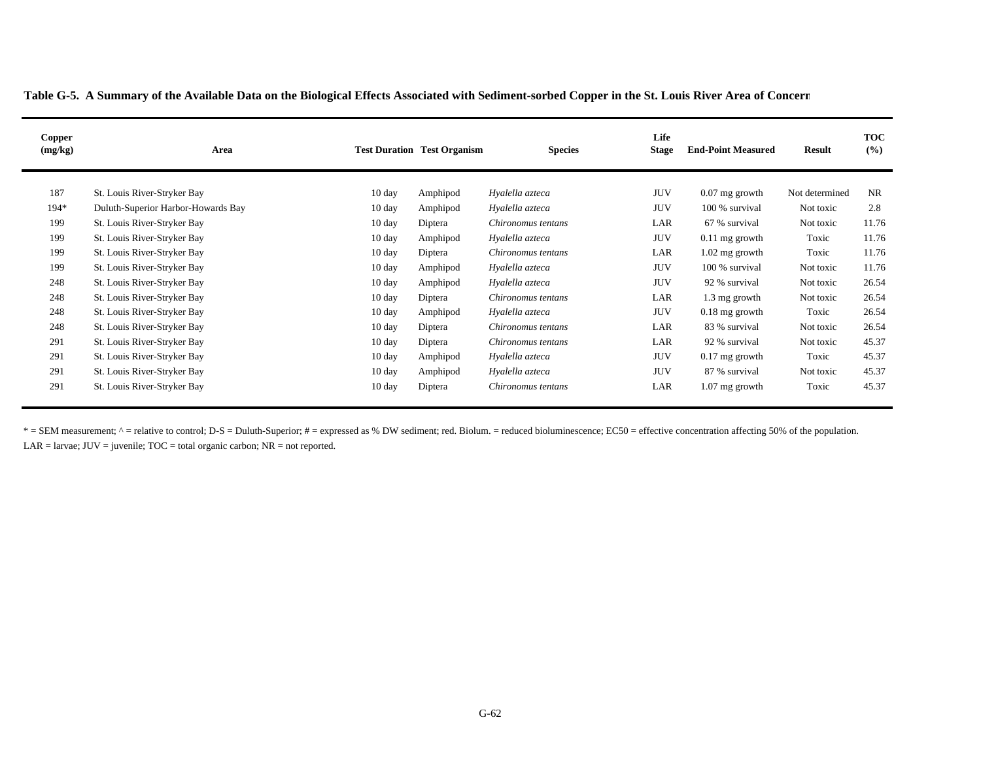| Copper<br>(mg/kg) | Area                               |                  | <b>Test Duration Test Organism</b> | <b>Species</b>     | Life<br><b>Stage</b> | <b>End-Point Measured</b> | <b>Result</b>  | <b>TOC</b><br>(%) |
|-------------------|------------------------------------|------------------|------------------------------------|--------------------|----------------------|---------------------------|----------------|-------------------|
| 187               | St. Louis River-Stryker Bay        | $10 \text{ day}$ | Amphipod                           | Hyalella azteca    | <b>JUV</b>           | $0.07$ mg growth          | Not determined | NR                |
| $194*$            | Duluth-Superior Harbor-Howards Bay | $10 \text{ day}$ | Amphipod                           | Hyalella azteca    | <b>JUV</b>           | 100 % survival            | Not toxic      | 2.8               |
| 199               | St. Louis River-Stryker Bay        | 10 day           | Diptera                            | Chironomus tentans | LAR                  | 67 % survival             | Not toxic      | 11.76             |
| 199               | St. Louis River-Stryker Bay        | $10 \text{ day}$ | Amphipod                           | Hyalella azteca    | <b>JUV</b>           | $0.11$ mg growth          | Toxic          | 11.76             |
| 199               | St. Louis River-Stryker Bay        | $10 \text{ day}$ | Diptera                            | Chironomus tentans | LAR                  | $1.02$ mg growth          | Toxic          | 11.76             |
| 199               | St. Louis River-Stryker Bay        | $10 \text{ day}$ | Amphipod                           | Hyalella azteca    | <b>JUV</b>           | 100 % survival            | Not toxic      | 11.76             |
| 248               | St. Louis River-Stryker Bay        | $10 \text{ day}$ | Amphipod                           | Hyalella azteca    | <b>JUV</b>           | 92 % survival             | Not toxic      | 26.54             |
| 248               | St. Louis River-Stryker Bay        | $10 \text{ day}$ | Diptera                            | Chironomus tentans | LAR                  | 1.3 mg growth             | Not toxic      | 26.54             |
| 248               | St. Louis River-Stryker Bay        | $10 \text{ day}$ | Amphipod                           | Hyalella azteca    | <b>JUV</b>           | $0.18$ mg growth          | Toxic          | 26.54             |
| 248               | St. Louis River-Stryker Bay        | $10 \text{ day}$ | Diptera                            | Chironomus tentans | LAR                  | 83 % survival             | Not toxic      | 26.54             |
| 291               | St. Louis River-Stryker Bay        | $10 \text{ day}$ | Diptera                            | Chironomus tentans | LAR                  | 92 % survival             | Not toxic      | 45.37             |
| 291               | St. Louis River-Stryker Bay        | $10 \text{ day}$ | Amphipod                           | Hyalella azteca    | <b>JUV</b>           | $0.17$ mg growth          | Toxic          | 45.37             |
| 291               | St. Louis River-Stryker Bay        | $10 \text{ day}$ | Amphipod                           | Hyalella azteca    | <b>JUV</b>           | 87 % survival             | Not toxic      | 45.37             |
| 291               | St. Louis River-Stryker Bay        | 10 day           | Diptera                            | Chironomus tentans | LAR                  | $1.07$ mg growth          | Toxic          | 45.37             |

\* = SEM measurement; ^ = relative to control; D-S = Duluth-Superior; # = expressed as % DW sediment; red. Biolum. = reduced bioluminescence; EC50 = effective concentration affecting 50% of the population.  $LAR =$  larvae;  $JUV =$  juvenile;  $TOC =$  total organic carbon;  $NR =$  not reported.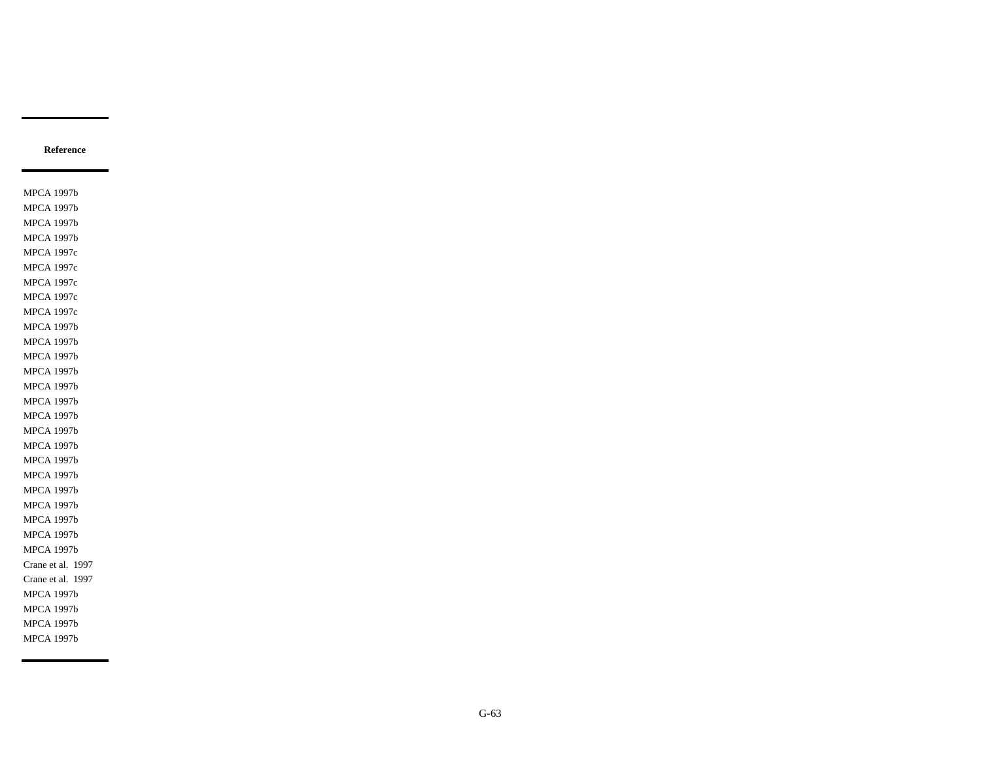MPCA 1997b MPCA 1997b MPCA 1997b MPCA 1997b MPCA 1997c MPCA 1997c MPCA 1997c MPCA 1997c MPCA 1997c MPCA 1997b MPCA 1997b MPCA 1997b MPCA 1997b MPCA 1997b MPCA 1997b MPCA 1997b MPCA 1997b MPCA 1997b MPCA 1997b MPCA 1997b MPCA 1997b MPCA 1997b MPCA 1997b MPCA 1997b MPCA 1997b Crane et al. 1997 Crane et al. 1997 MPCA 1997b MPCA 1997b MPCA 1997b MPCA 1997b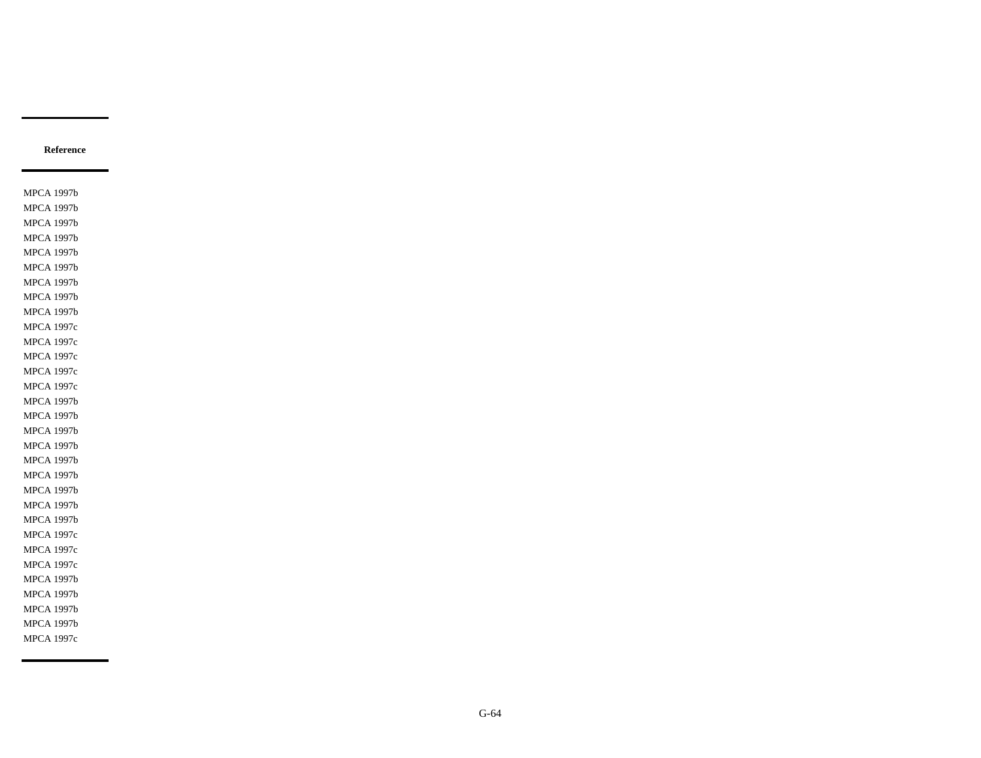MPCA 1997b MPCA 1997b MPCA 1997b MPCA 1997b MPCA 1997b MPCA 1997b MPCA 1997b MPCA 1997b MPCA 1997b MPCA 1997c MPCA 1997c MPCA 1997c MPCA 1997c MPCA 1997c MPCA 1997b MPCA 1997b MPCA 1997b MPCA 1997b MPCA 1997b MPCA 1997b MPCA 1997b MPCA 1997b MPCA 1997b MPCA 1997c MPCA 1997c MPCA 1997c MPCA 1997b MPCA 1997b MPCA 1997b MPCA 1997b MPCA 1997c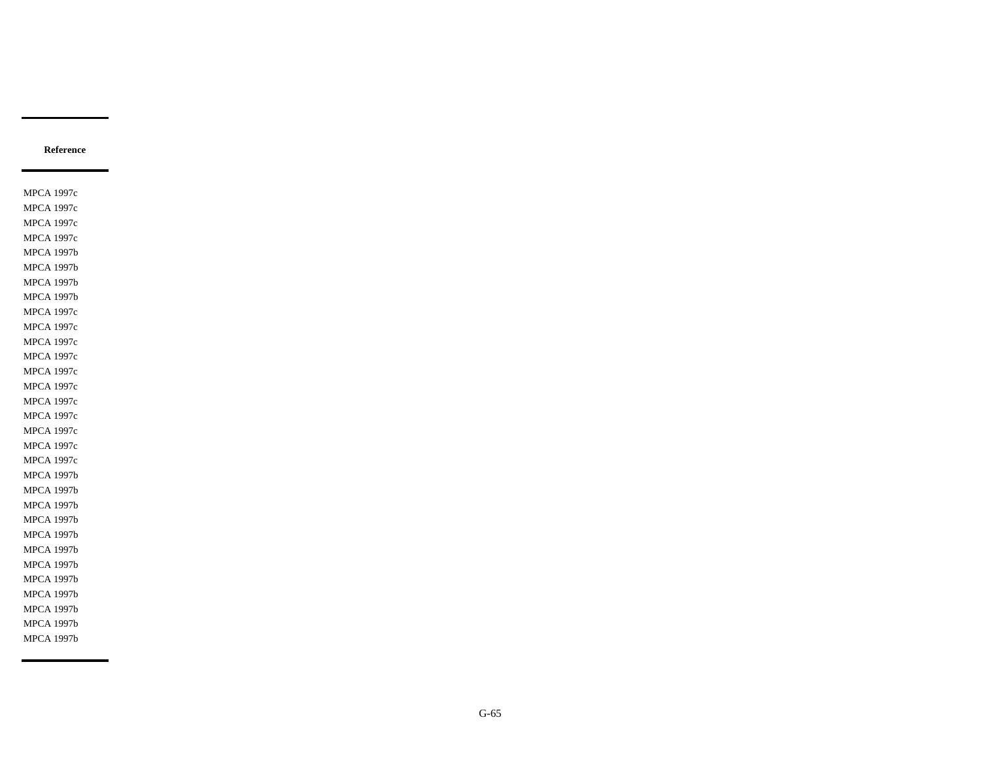MPCA 1997c MPCA 1997c MPCA 1997c MPCA 1997c MPCA 1997b MPCA 1997b MPCA 1997b MPCA 1997b MPCA 1997c MPCA 1997c MPCA 1997c MPCA 1997c MPCA 1997c MPCA 1997c MPCA 1997c MPCA 1997c MPCA 1997c MPCA 1997c MPCA 1997c MPCA 1997b MPCA 1997b MPCA 1997b MPCA 1997b MPCA 1997b MPCA 1997b MPCA 1997b MPCA 1997b MPCA 1997b MPCA 1997b MPCA 1997b MPCA 1997b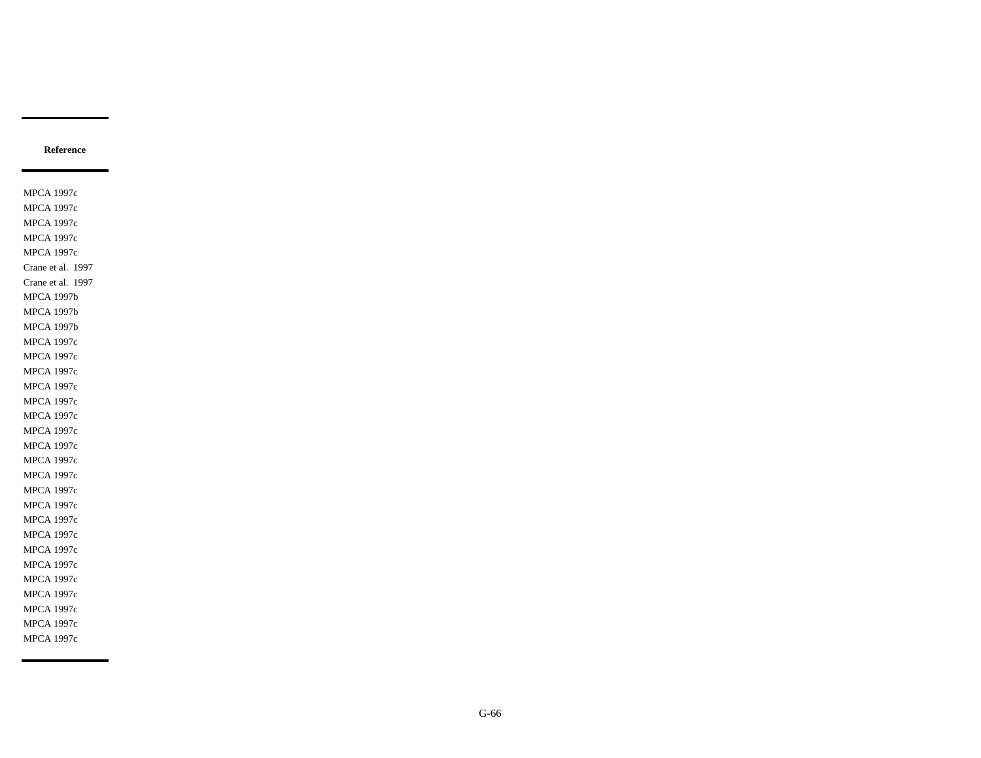MPCA 1997c MPCA 1997c MPCA 1997c MPCA 1997c MPCA 1997c Crane et al. 1997 Crane et al. 1997 MPCA 1997b MPCA 1997b MPCA 1997b MPCA 1997c MPCA 1997c MPCA 1997c MPCA 1997c MPCA 1997c MPCA 1997c MPCA 1997c MPCA 1997c MPCA 1997c MPCA 1997c MPCA 1997c MPCA 1997c MPCA 1997c MPCA 1997c MPCA 1997c MPCA 1997c MPCA 1997c MPCA 1997c MPCA 1997c MPCA 1997c MPCA 1997c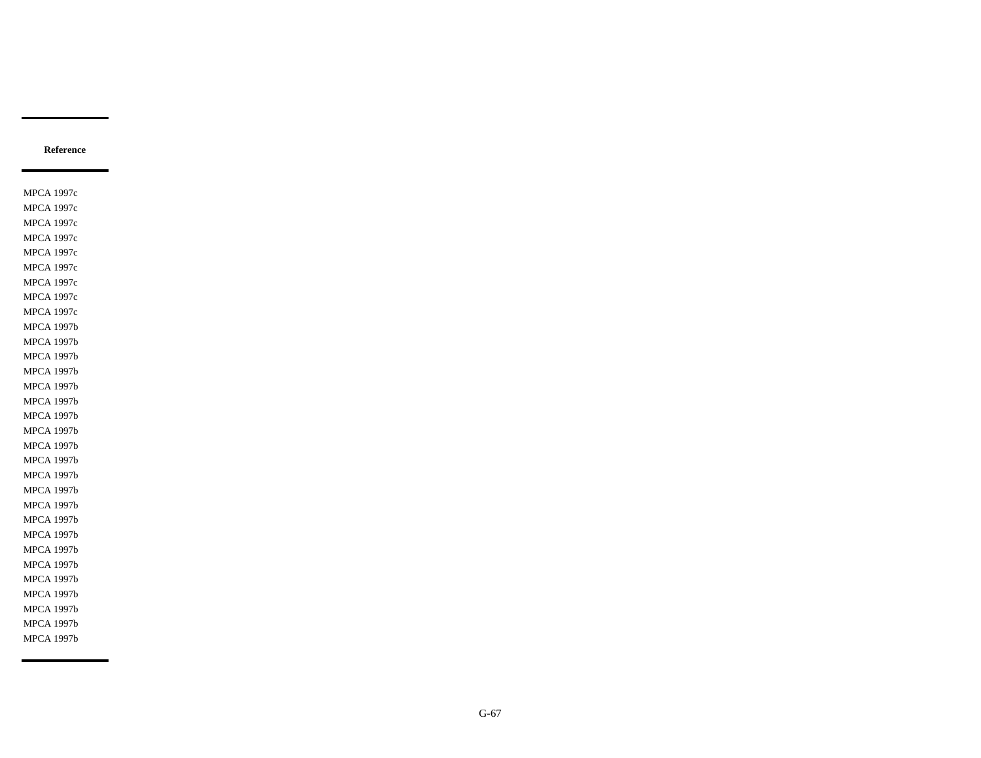MPCA 1997c MPCA 1997c MPCA 1997c MPCA 1997c MPCA 1997c MPCA 1997c MPCA 1997c MPCA 1997c MPCA 1997c MPCA 1997b MPCA 1997b MPCA 1997b MPCA 1997b MPCA 1997b MPCA 1997b MPCA 1997b MPCA 1997b MPCA 1997b MPCA 1997b MPCA 1997b MPCA 1997b MPCA 1997b MPCA 1997b MPCA 1997b MPCA 1997b MPCA 1997b MPCA 1997b MPCA 1997b MPCA 1997b MPCA 1997b MPCA 1997b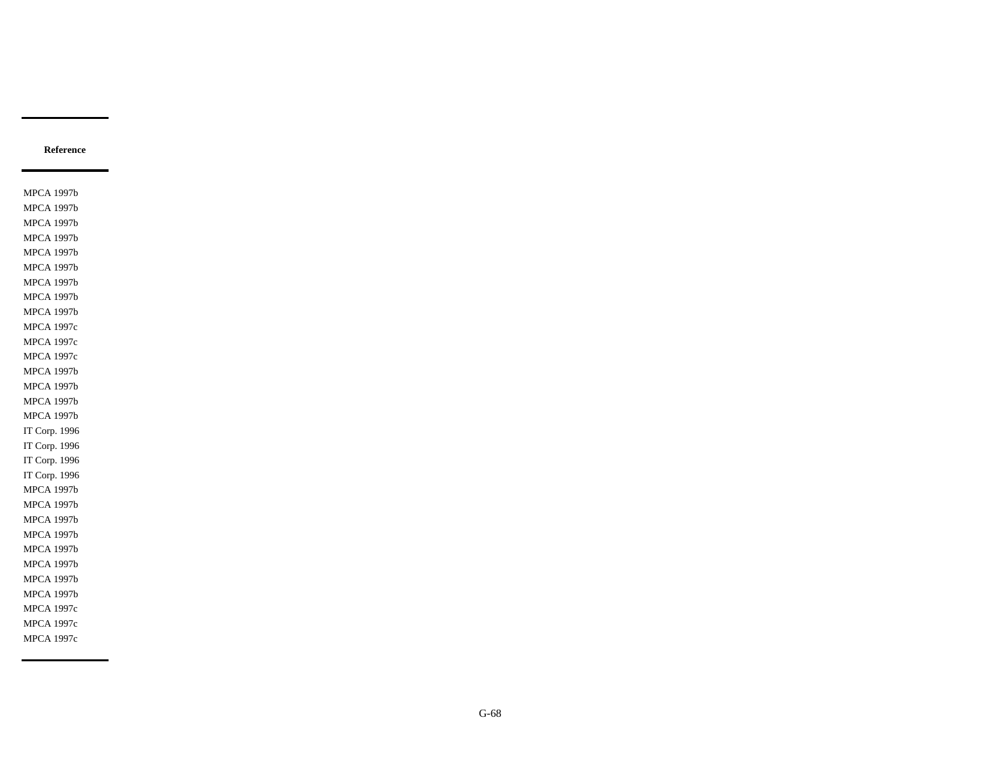MPCA 1997b MPCA 1997b MPCA 1997b MPCA 1997b MPCA 1997b MPCA 1997b MPCA 1997b MPCA 1997b MPCA 1997b MPCA 1997c MPCA 1997c MPCA 1997c MPCA 1997b MPCA 1997b MPCA 1997b MPCA 1997b IT Corp. 1996 IT Corp. 1996 IT Corp. 1996 IT Corp. 1996 MPCA 1997b MPCA 1997b MPCA 1997b MPCA 1997b MPCA 1997b MPCA 1997b MPCA 1997b MPCA 1997b MPCA 1997c MPCA 1997c MPCA 1997c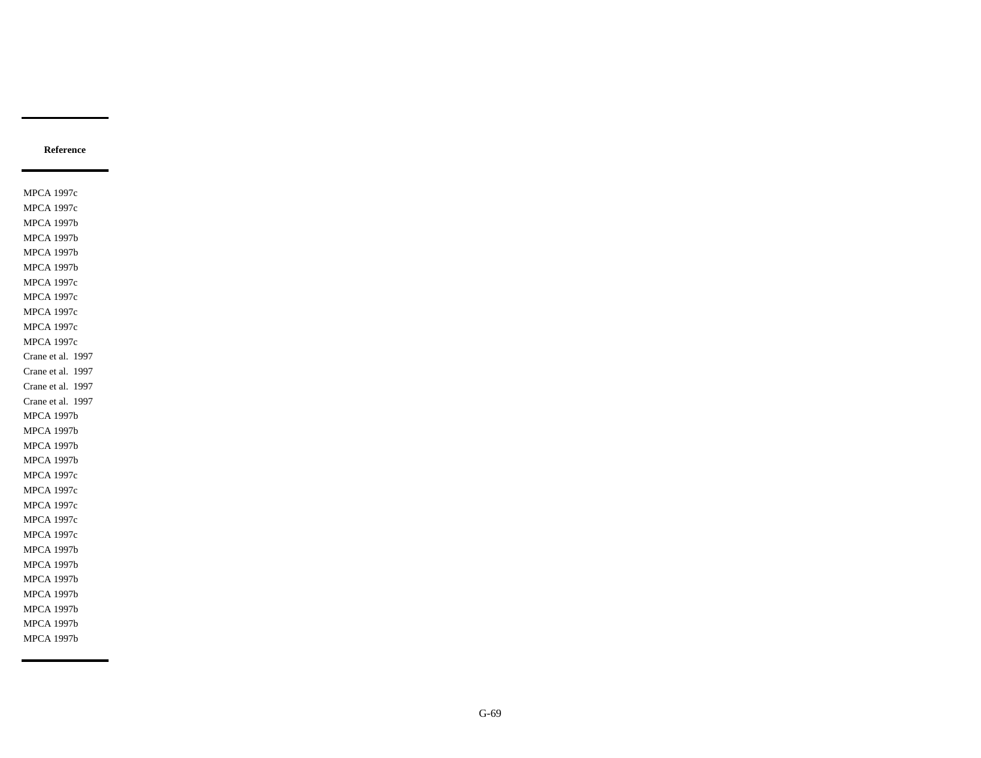MPCA 1997c MPCA 1997c MPCA 1997b MPCA 1997b MPCA 1997b MPCA 1997b MPCA 1997c MPCA 1997c MPCA 1997c MPCA 1997c MPCA 1997c Crane et al. 1997 Crane et al. 1997 Crane et al. 1997 Crane et al. 1997 MPCA 1997b MPCA 1997b MPCA 1997b MPCA 1997b MPCA 1997c MPCA 1997c MPCA 1997c MPCA 1997c MPCA 1997c MPCA 1997b MPCA 1997b MPCA 1997b MPCA 1997b MPCA 1997b MPCA 1997b MPCA 1997b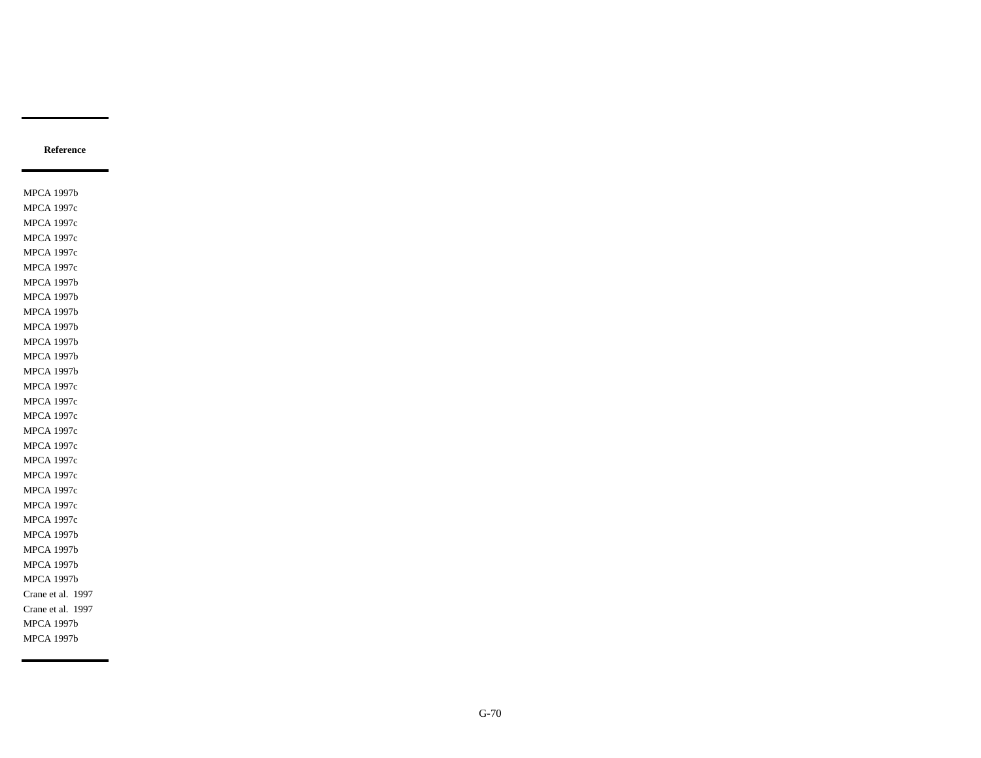MPCA 1997b MPCA 1997c MPCA 1997c MPCA 1997c MPCA 1997c MPCA 1997c MPCA 1997b MPCA 1997b MPCA 1997b MPCA 1997b MPCA 1997b MPCA 1997b MPCA 1997b MPCA 1997c MPCA 1997c MPCA 1997c MPCA 1997c MPCA 1997c MPCA 1997c MPCA 1997c MPCA 1997c MPCA 1997c MPCA 1997c MPCA 1997b MPCA 1997b MPCA 1997b MPCA 1997b Crane et al. 1997 Crane et al. 1997 MPCA 1997b MPCA 1997b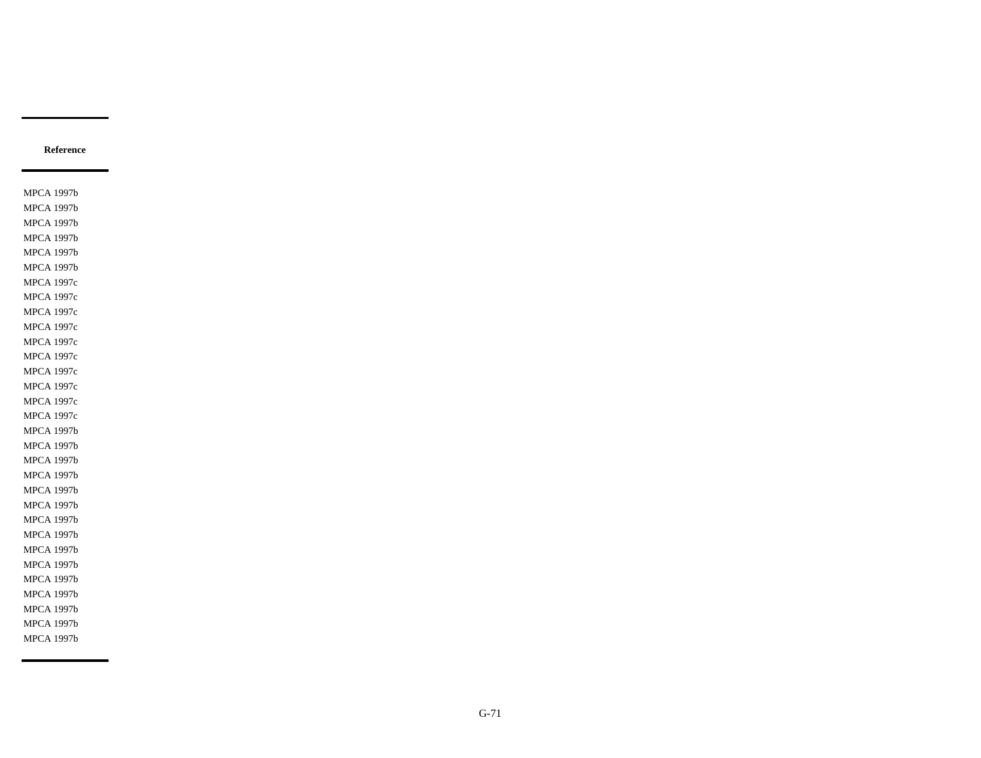MPCA 1997b MPCA 1997b MPCA 1997b MPCA 1997b MPCA 1997b MPCA 1997b MPCA 1997c MPCA 1997c MPCA 1997c MPCA 1997c MPCA 1997c MPCA 1997c MPCA 1997c MPCA 1997c MPCA 1997c MPCA 1997c MPCA 1997b MPCA 1997b MPCA 1997b MPCA 1997b MPCA 1997b MPCA 1997b MPCA 1997b MPCA 1997b MPCA 1997b MPCA 1997b MPCA 1997b MPCA 1997b MPCA 1997b MPCA 1997b MPCA 1997b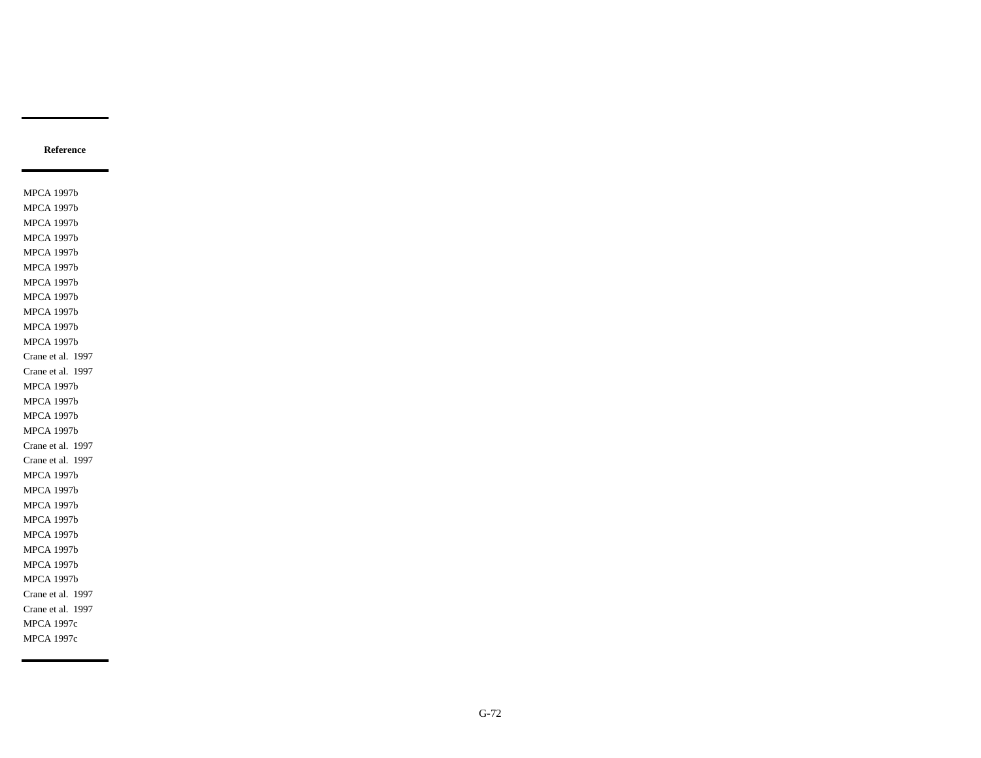MPCA 1997b MPCA 1997b MPCA 1997b MPCA 1997b MPCA 1997b MPCA 1997b MPCA 1997b MPCA 1997b MPCA 1997b MPCA 1997b MPCA 1997b Crane et al. 1997 Crane et al. 1997 MPCA 1997b MPCA 1997b MPCA 1997b MPCA 1997b Crane et al. 1997 Crane et al. 1997 MPCA 1997b MPCA 1997b MPCA 1997b MPCA 1997b MPCA 1997b MPCA 1997b MPCA 1997b MPCA 1997b Crane et al. 1997 Crane et al. 1997 MPCA 1997c MPCA 1997c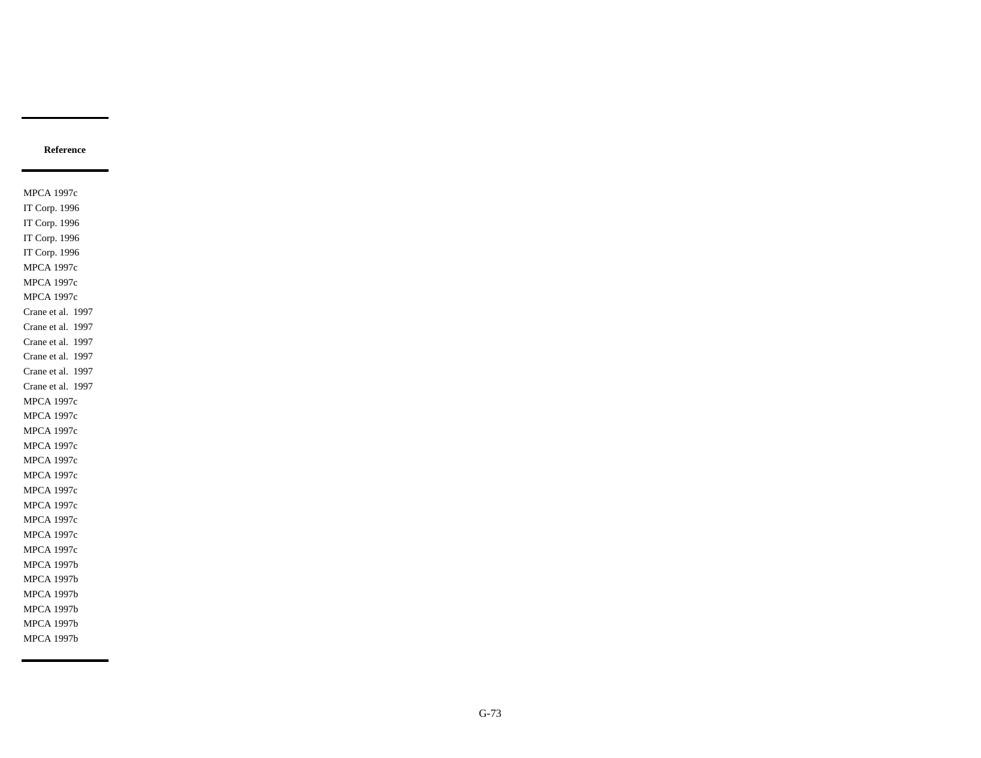MPCA 1997c IT Corp. 1996 IT Corp. 1996 IT Corp. 1996 IT Corp. 1996 MPCA 1997c MPCA 1997c MPCA 1997c Crane et al. 1997 Crane et al. 1997 Crane et al. 1997 Crane et al. 1997 Crane et al. 1997 Crane et al. 1997 MPCA 1997c MPCA 1997c MPCA 1997c MPCA 1997c MPCA 1997c MPCA 1997c MPCA 1997c MPCA 1997c MPCA 1997c MPCA 1997c MPCA 1997c MPCA 1997b MPCA 1997b MPCA 1997b MPCA 1997b MPCA 1997b MPCA 1997b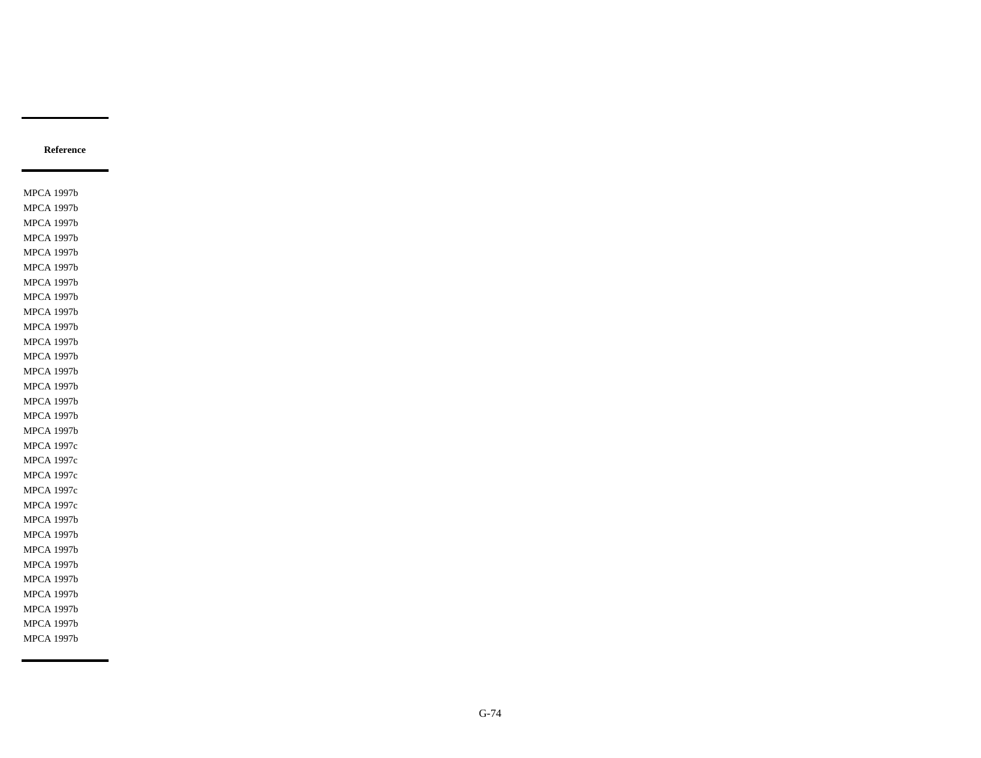MPCA 1997b MPCA 1997b MPCA 1997b MPCA 1997b MPCA 1997b MPCA 1997b MPCA 1997b MPCA 1997b MPCA 1997b MPCA 1997b MPCA 1997b MPCA 1997b MPCA 1997b MPCA 1997b MPCA 1997b MPCA 1997b MPCA 1997b MPCA 1997c MPCA 1997c MPCA 1997c MPCA 1997c MPCA 1997c MPCA 1997b MPCA 1997b MPCA 1997b MPCA 1997b MPCA 1997b MPCA 1997b MPCA 1997b MPCA 1997b MPCA 1997b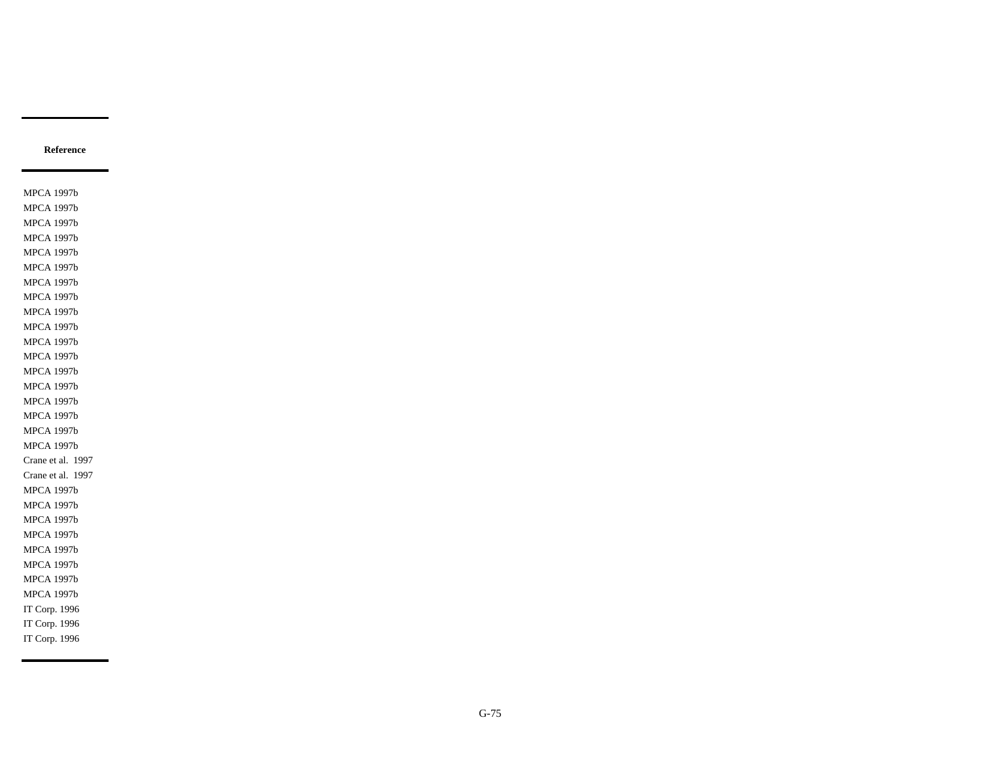MPCA 1997b MPCA 1997b MPCA 1997b MPCA 1997b MPCA 1997b MPCA 1997b MPCA 1997b MPCA 1997b MPCA 1997b MPCA 1997b MPCA 1997b MPCA 1997b MPCA 1997b MPCA 1997b MPCA 1997b MPCA 1997b MPCA 1997b MPCA 1997b Crane et al. 1997 Crane et al. 1997 MPCA 1997b MPCA 1997b MPCA 1997b MPCA 1997b MPCA 1997b MPCA 1997b MPCA 1997b MPCA 1997b IT Corp. 1996 IT Corp. 1996 IT Corp. 1996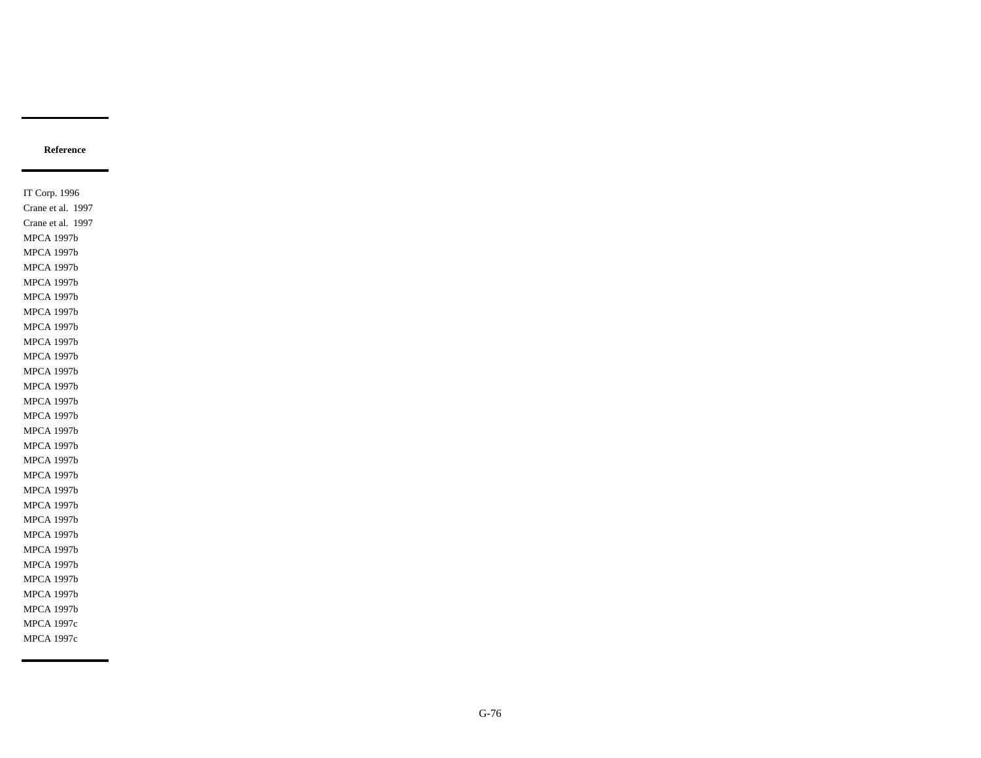IT Corp. 1996 Crane et al. 1997 Crane et al. 1997 MPCA 1997b MPCA 1997b MPCA 1997b MPCA 1997b MPCA 1997b MPCA 1997b MPCA 1997b MPCA 1997b MPCA 1997b MPCA 1997b MPCA 1997b MPCA 1997b MPCA 1997b MPCA 1997b MPCA 1997b MPCA 1997b MPCA 1997b MPCA 1997b MPCA 1997b MPCA 1997b MPCA 1997b MPCA 1997b MPCA 1997b MPCA 1997b MPCA 1997b MPCA 1997b MPCA 1997c MPCA 1997c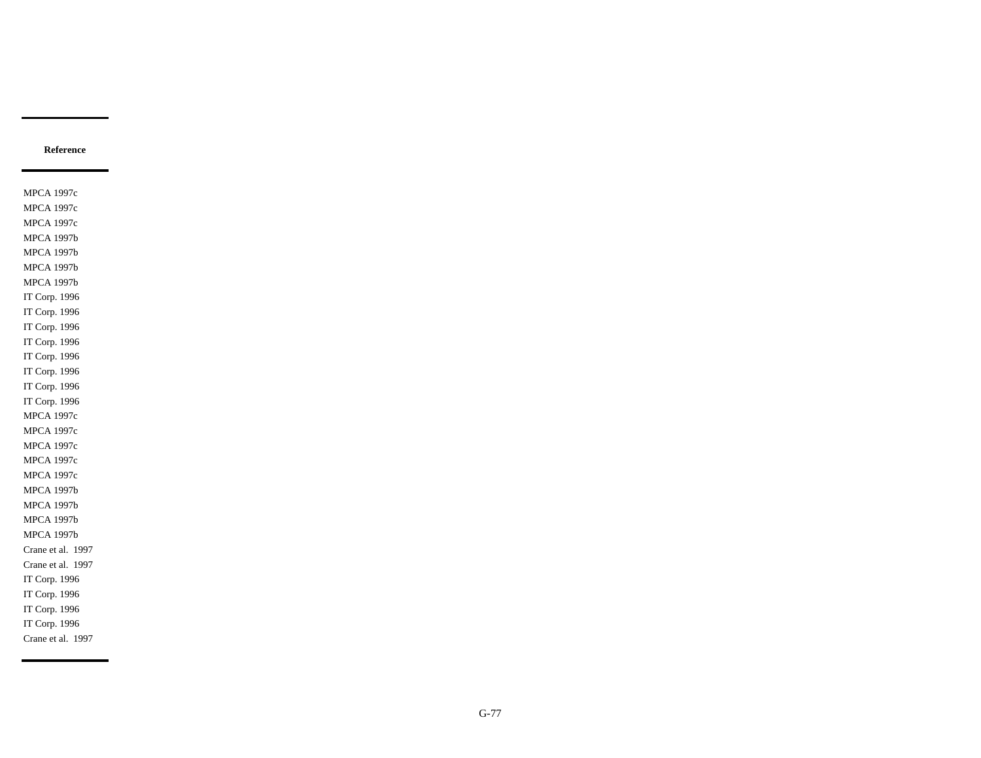MPCA 1997c MPCA 1997c MPCA 1997c MPCA 1997b MPCA 1997b MPCA 1997b MPCA 1997b IT Corp. 1996 IT Corp. 1996 IT Corp. 1996 IT Corp. 1996 IT Corp. 1996 IT Corp. 1996 IT Corp. 1996 IT Corp. 1996 MPCA 1997c MPCA 1997c MPCA 1997c MPCA 1997c MPCA 1997c MPCA 1997b MPCA 1997b MPCA 1997b MPCA 1997b Crane et al. 1997 Crane et al. 1997 IT Corp. 1996 IT Corp. 1996 IT Corp. 1996 IT Corp. 1996 Crane et al. 1997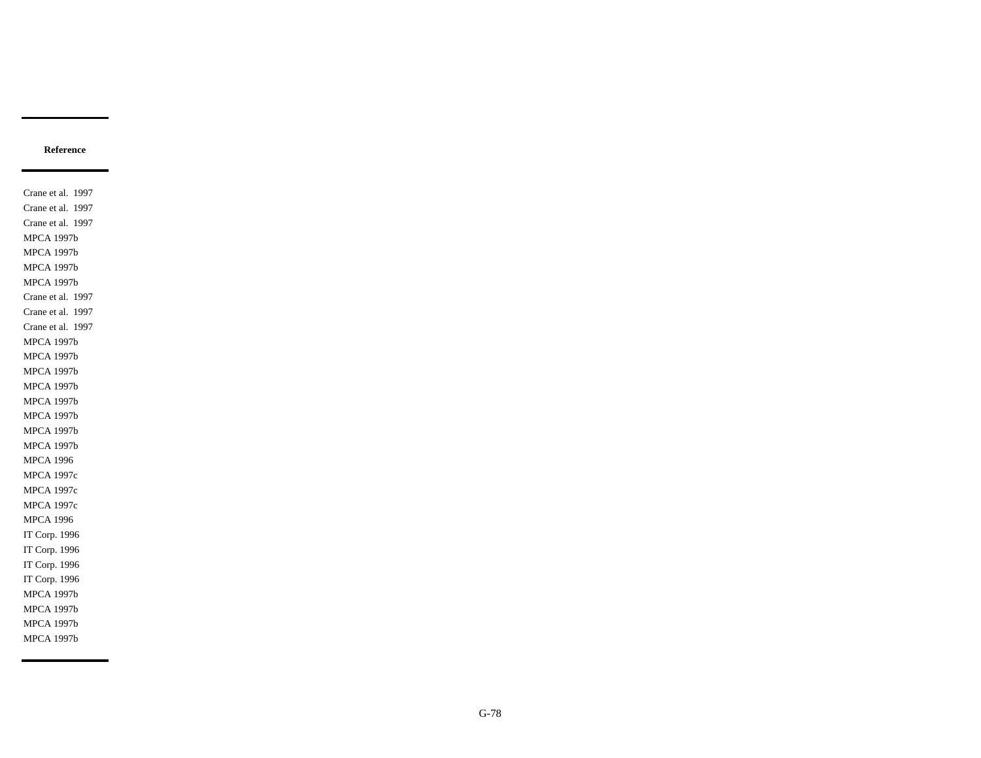Crane et al. 1997 Crane et al. 1997 Crane et al. 1997 MPCA 1997b MPCA 1997b MPCA 1997b MPCA 1997b Crane et al. 1997 Crane et al. 1997 Crane et al. 1997 MPCA 1997b MPCA 1997b MPCA 1997b MPCA 1997b MPCA 1997b MPCA 1997b MPCA 1997b MPCA 1997b MPCA 1996 MPCA 1997c MPCA 1997c MPCA 1997c MPCA 1996 IT Corp. 1996 IT Corp. 1996 IT Corp. 1996 IT Corp. 1996 MPCA 1997b MPCA 1997b MPCA 1997b MPCA 1997b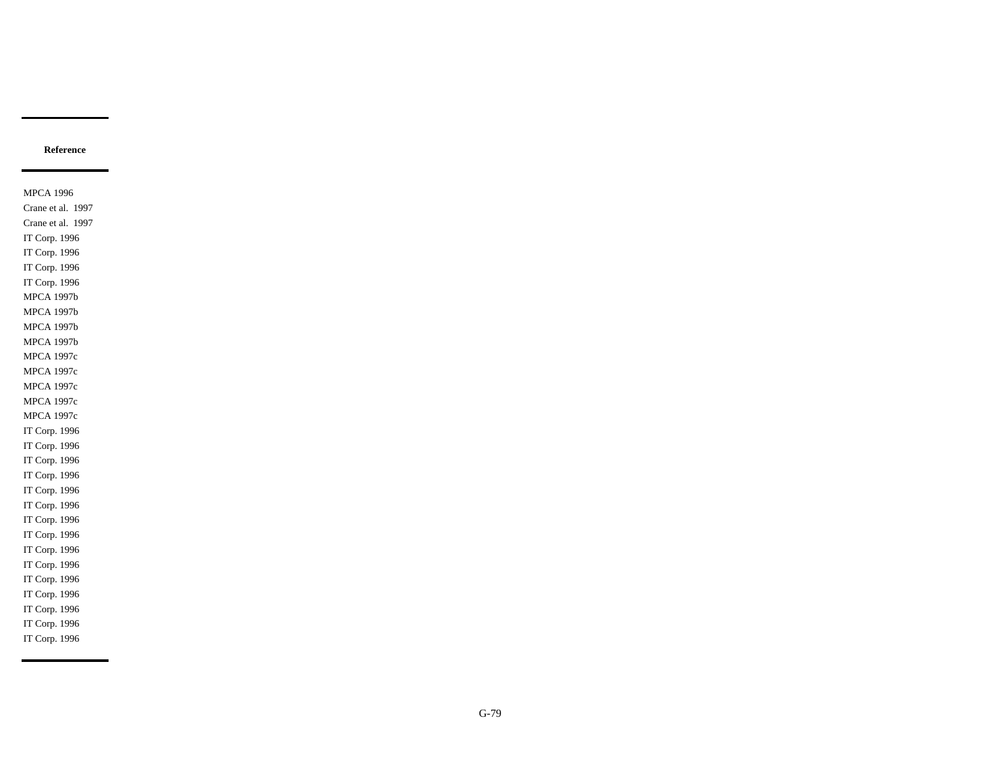MPCA 1996 Crane et al. 1997 Crane et al. 1997 IT Corp. 1996 IT Corp. 1996 IT Corp. 1996 IT Corp. 1996 MPCA 1997b MPCA 1997b MPCA 1997b MPCA 1997b MPCA 1997c MPCA 1997c MPCA 1997c MPCA 1997c MPCA 1997c IT Corp. 1996 IT Corp. 1996 IT Corp. 1996 IT Corp. 1996 IT Corp. 1996 IT Corp. 1996 IT Corp. 1996 IT Corp. 1996 IT Corp. 1996 IT Corp. 1996 IT Corp. 1996 IT Corp. 1996 IT Corp. 1996 IT Corp. 1996 IT Corp. 1996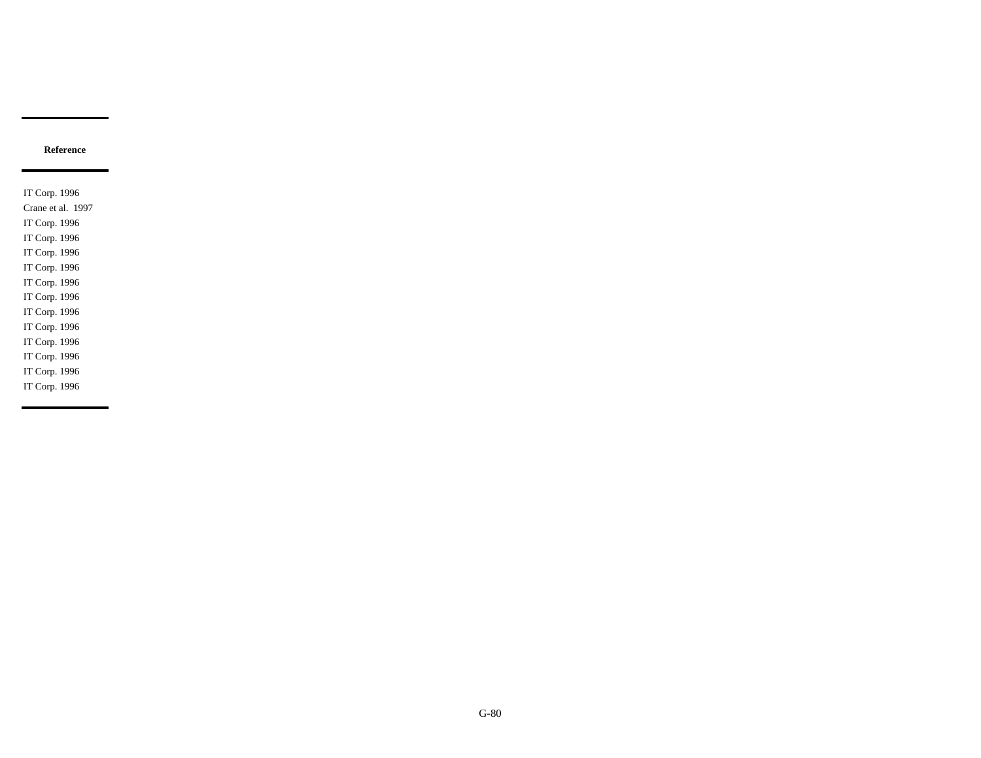IT Corp. 1996 Crane et al. 1997 IT Corp. 1996 IT Corp. 1996 IT Corp. 1996 IT Corp. 1996 IT Corp. 1996 IT Corp. 1996 IT Corp. 1996 IT Corp. 1996 IT Corp. 1996 IT Corp. 1996 IT Corp. 1996 IT Corp. 1996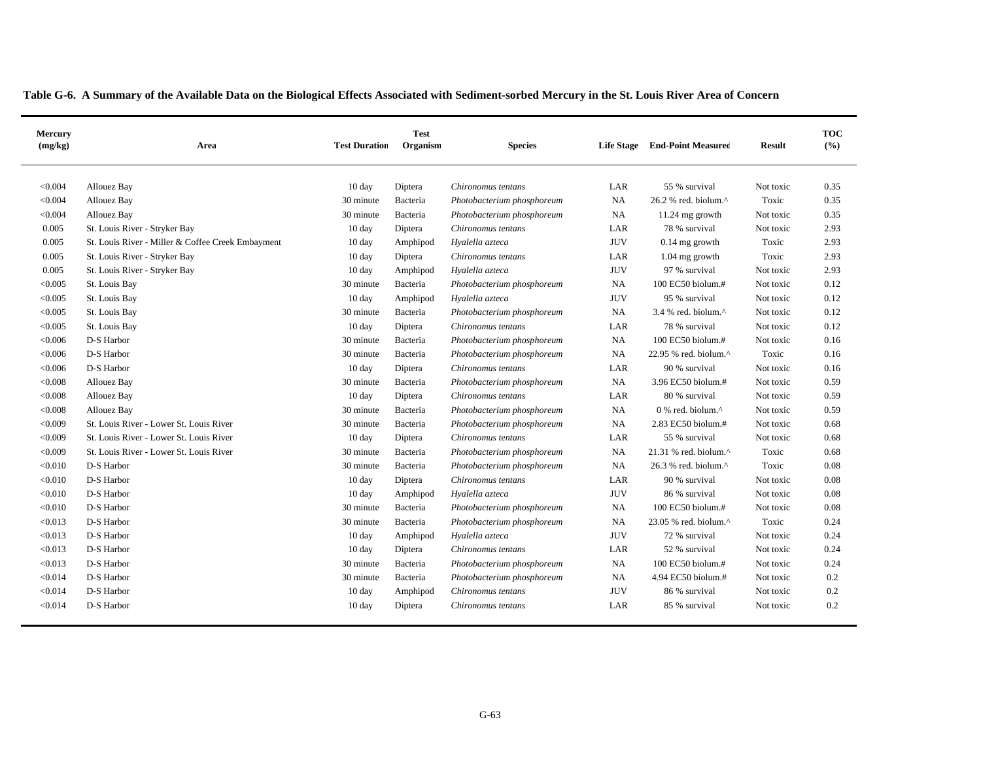|  | Table G-6. A Summary of the Available Data on the Biological Effects Associated with Sediment-sorbed Mercury in the St. Louis River Area of Concern |  |
|--|-----------------------------------------------------------------------------------------------------------------------------------------------------|--|
|--|-----------------------------------------------------------------------------------------------------------------------------------------------------|--|

| Mercury<br>(mg/kg) | Area                                              | <b>Test Duration</b> | <b>Test</b><br>Organism | <b>Species</b>             | <b>Life Stage</b> | <b>End-Point Measured</b>                            | <b>Result</b> | <b>TOC</b><br>(%) |
|--------------------|---------------------------------------------------|----------------------|-------------------------|----------------------------|-------------------|------------------------------------------------------|---------------|-------------------|
| < 0.004            | Allouez Bay                                       | 10 day               | Diptera                 | Chironomus tentans         | LAR               | 55 % survival                                        | Not toxic     | 0.35              |
| < 0.004            | Allouez Bay                                       | 30 minute            | Bacteria                | Photobacterium phosphoreum | <b>NA</b>         | 26.2 % red. biolum.^                                 | Toxic         | 0.35              |
| < 0.004            | Allouez Bay                                       | 30 minute            | Bacteria                | Photobacterium phosphoreum | <b>NA</b>         | 11.24 mg growth                                      | Not toxic     | 0.35              |
| 0.005              | St. Louis River - Stryker Bay                     | 10 day               | Diptera                 | Chironomus tentans         | LAR               | 78 % survival                                        | Not toxic     | 2.93              |
| 0.005              | St. Louis River - Miller & Coffee Creek Embayment | $10 \text{ day}$     | Amphipod                | Hyalella azteca            | <b>JUV</b>        | $0.14$ mg growth                                     | Toxic         | 2.93              |
| 0.005              | St. Louis River - Stryker Bay                     | 10 day               | Diptera                 | Chironomus tentans         | LAR               | 1.04 mg growth                                       | Toxic         | 2.93              |
| 0.005              | St. Louis River - Stryker Bay                     | 10 day               | Amphipod                | Hyalella azteca            | <b>JUV</b>        | 97 % survival                                        | Not toxic     | 2.93              |
| < 0.005            | St. Louis Bay                                     | 30 minute            | Bacteria                | Photobacterium phosphoreum | <b>NA</b>         | 100 EC50 biolum.#                                    | Not toxic     | 0.12              |
| < 0.005            | St. Louis Bay                                     | 10 day               | Amphipod                | Hyalella azteca            | <b>JUV</b>        | 95 % survival                                        | Not toxic     | 0.12              |
| < 0.005            | St. Louis Bay                                     | 30 minute            | Bacteria                | Photobacterium phosphoreum | <b>NA</b>         | $3.4$ % red. biolum. <sup><math>\wedge</math></sup>  | Not toxic     | 0.12              |
| < 0.005            | St. Louis Bay                                     | 10 day               | Diptera                 | Chironomus tentans         | LAR               | 78 % survival                                        | Not toxic     | 0.12              |
| < 0.006            | D-S Harbor                                        | 30 minute            | Bacteria                | Photobacterium phosphoreum | NA                | 100 EC50 biolum.#                                    | Not toxic     | 0.16              |
| < 0.006            | D-S Harbor                                        | 30 minute            | Bacteria                | Photobacterium phosphoreum | <b>NA</b>         | 22.95 % red. biolum.^                                | Toxic         | 0.16              |
| < 0.006            | D-S Harbor                                        | 10 day               | Diptera                 | Chironomus tentans         | LAR               | 90 % survival                                        | Not toxic     | 0.16              |
| < 0.008            | Allouez Bay                                       | 30 minute            | Bacteria                | Photobacterium phosphoreum | <b>NA</b>         | 3.96 EC50 biolum.#                                   | Not toxic     | 0.59              |
| < 0.008            | Allouez Bay                                       | 10 day               | Diptera                 | Chironomus tentans         | LAR               | 80 % survival                                        | Not toxic     | 0.59              |
| < 0.008            | Allouez Bay                                       | 30 minute            | Bacteria                | Photobacterium phosphoreum | <b>NA</b>         | $0\%$ red. biolum. <sup><math>\wedge</math></sup>    | Not toxic     | 0.59              |
| < 0.009            | St. Louis River - Lower St. Louis River           | 30 minute            | Bacteria                | Photobacterium phosphoreum | NA                | 2.83 EC50 biolum.#                                   | Not toxic     | 0.68              |
| < 0.009            | St. Louis River - Lower St. Louis River           | 10 day               | Diptera                 | Chironomus tentans         | LAR               | 55 % survival                                        | Not toxic     | 0.68              |
| < 0.009            | St. Louis River - Lower St. Louis River           | 30 minute            | Bacteria                | Photobacterium phosphoreum | <b>NA</b>         | $21.31$ % red. biolum. <sup><math>\land</math></sup> | Toxic         | 0.68              |
| < 0.010            | D-S Harbor                                        | 30 minute            | Bacteria                | Photobacterium phosphoreum | <b>NA</b>         | 26.3 % red. biolum.^                                 | Toxic         | 0.08              |
| < 0.010            | D-S Harbor                                        | $10 \text{ day}$     | Diptera                 | Chironomus tentans         | LAR               | 90 % survival                                        | Not toxic     | 0.08              |
| < 0.010            | D-S Harbor                                        | 10 day               | Amphipod                | Hyalella azteca            | <b>JUV</b>        | 86 % survival                                        | Not toxic     | 0.08              |
| < 0.010            | D-S Harbor                                        | 30 minute            | Bacteria                | Photobacterium phosphoreum | <b>NA</b>         | 100 EC50 biolum.#                                    | Not toxic     | 0.08              |
| < 0.013            | D-S Harbor                                        | 30 minute            | Bacteria                | Photobacterium phosphoreum | NA                | 23.05 % red. biolum.^                                | Toxic         | 0.24              |
| < 0.013            | D-S Harbor                                        | 10 day               | Amphipod                | Hyalella azteca            | <b>JUV</b>        | 72 % survival                                        | Not toxic     | 0.24              |
| < 0.013            | D-S Harbor                                        | 10 day               | Diptera                 | Chironomus tentans         | LAR               | 52 % survival                                        | Not toxic     | 0.24              |
| < 0.013            | D-S Harbor                                        | 30 minute            | Bacteria                | Photobacterium phosphoreum | NA                | 100 EC50 biolum.#                                    | Not toxic     | 0.24              |
| < 0.014            | D-S Harbor                                        | 30 minute            | Bacteria                | Photobacterium phosphoreum | NA                | 4.94 EC50 biolum.#                                   | Not toxic     | 0.2               |
| < 0.014            | D-S Harbor                                        | 10 day               | Amphipod                | Chironomus tentans         | <b>JUV</b>        | 86 % survival                                        | Not toxic     | 0.2               |
| < 0.014            | D-S Harbor                                        | $10 \text{ day}$     | Diptera                 | Chironomus tentans         | LAR               | 85 % survival                                        | Not toxic     | 0.2               |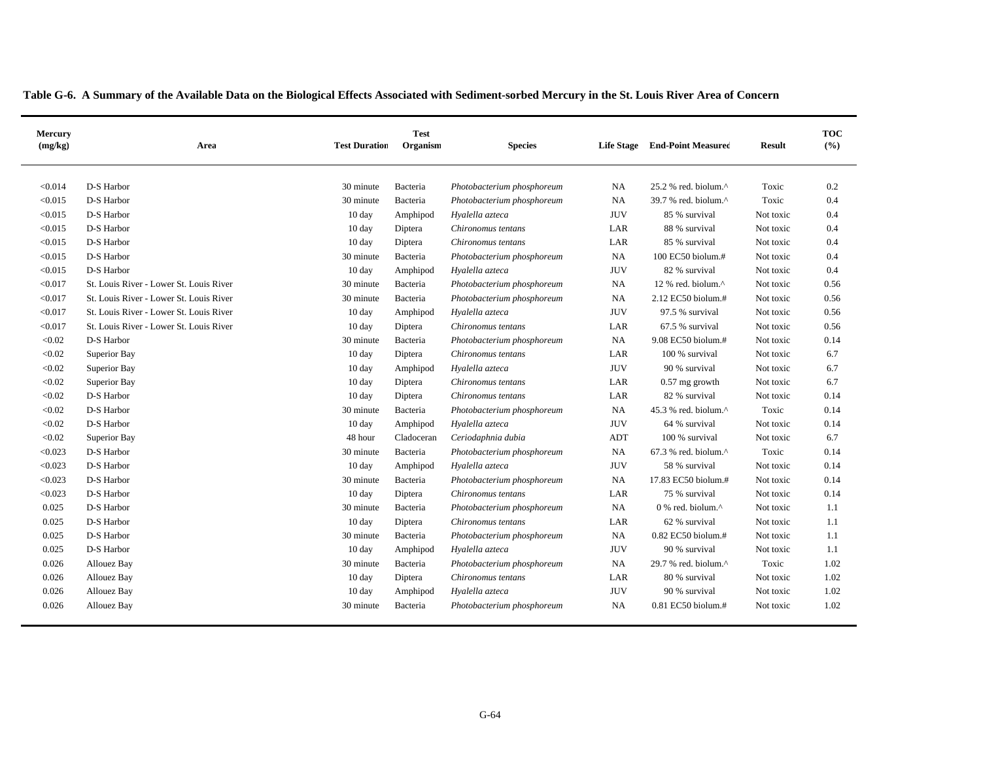| Mercury<br>(mg/kg) | Area                                    | <b>Test Duration</b> | <b>Test</b><br>Organism | <b>Species</b>             |            | Life Stage End-Point Measured                        | <b>Result</b> | <b>TOC</b><br>(%) |
|--------------------|-----------------------------------------|----------------------|-------------------------|----------------------------|------------|------------------------------------------------------|---------------|-------------------|
| < 0.014            | D-S Harbor                              | 30 minute            | Bacteria                | Photobacterium phosphoreum | NA         | $25.2$ % red. biolum. <sup><math>\wedge</math></sup> | Toxic         | 0.2               |
| < 0.015            | D-S Harbor                              | 30 minute            | Bacteria                | Photobacterium phosphoreum | NA         | 39.7 % red. biolum.^                                 | Toxic         | 0.4               |
| < 0.015            | D-S Harbor                              | 10 day               | Amphipod                | Hyalella azteca            | <b>JUV</b> | 85 % survival                                        | Not toxic     | 0.4               |
| < 0.015            | D-S Harbor                              | $10 \text{ day}$     | Diptera                 | Chironomus tentans         | LAR        | 88 % survival                                        | Not toxic     | 0.4               |
| < 0.015            | D-S Harbor                              | 10 day               | Diptera                 | Chironomus tentans         | LAR        | 85 % survival                                        | Not toxic     | 0.4               |
| < 0.015            | D-S Harbor                              | 30 minute            | Bacteria                | Photobacterium phosphoreum | NA         | 100 EC50 biolum.#                                    | Not toxic     | 0.4               |
| < 0.015            | D-S Harbor                              | 10 day               | Amphipod                | Hyalella azteca            | <b>JUV</b> | 82 % survival                                        | Not toxic     | 0.4               |
| < 0.017            | St. Louis River - Lower St. Louis River | 30 minute            | Bacteria                | Photobacterium phosphoreum | NA         | 12 % red. biolum.^                                   | Not toxic     | 0.56              |
| < 0.017            | St. Louis River - Lower St. Louis River | 30 minute            | Bacteria                | Photobacterium phosphoreum | NA         | 2.12 EC50 biolum.#                                   | Not toxic     | 0.56              |
| < 0.017            | St. Louis River - Lower St. Louis River | 10 day               | Amphipod                | Hyalella azteca            | <b>JUV</b> | 97.5 % survival                                      | Not toxic     | 0.56              |
| < 0.017            | St. Louis River - Lower St. Louis River | 10 day               | Diptera                 | Chironomus tentans         | LAR        | 67.5 % survival                                      | Not toxic     | 0.56              |
| < 0.02             | D-S Harbor                              | 30 minute            | Bacteria                | Photobacterium phosphoreum | NA         | 9.08 EC50 biolum.#                                   | Not toxic     | 0.14              |
| < 0.02             | Superior Bay                            | 10 day               | Diptera                 | Chironomus tentans         | LAR        | 100 % survival                                       | Not toxic     | 6.7               |
| < 0.02             | Superior Bay                            | 10 day               | Amphipod                | Hyalella azteca            | <b>JUV</b> | 90 % survival                                        | Not toxic     | 6.7               |
| < 0.02             | Superior Bay                            | 10 day               | Diptera                 | Chironomus tentans         | LAR        | $0.57$ mg growth                                     | Not toxic     | 6.7               |
| < 0.02             | D-S Harbor                              | 10 day               | Diptera                 | Chironomus tentans         | LAR        | 82 % survival                                        | Not toxic     | 0.14              |
| < 0.02             | D-S Harbor                              | 30 minute            | Bacteria                | Photobacterium phosphoreum | NA         | 45.3 % red. biolum.^                                 | Toxic         | 0.14              |
| < 0.02             | D-S Harbor                              | 10 day               | Amphipod                | Hyalella azteca            | <b>JUV</b> | 64 % survival                                        | Not toxic     | 0.14              |
| < 0.02             | Superior Bay                            | 48 hour              | Cladoceran              | Ceriodaphnia dubia         | ADT        | $100$ % survival                                     | Not toxic     | 6.7               |
| < 0.023            | D-S Harbor                              | 30 minute            | Bacteria                | Photobacterium phosphoreum | NA         | 67.3 % red. biolum.^                                 | Toxic         | 0.14              |
| < 0.023            | D-S Harbor                              | 10 day               | Amphipod                | Hyalella azteca            | <b>JUV</b> | 58 % survival                                        | Not toxic     | 0.14              |
| < 0.023            | D-S Harbor                              | 30 minute            | Bacteria                | Photobacterium phosphoreum | NA         | 17.83 EC50 biolum.#                                  | Not toxic     | 0.14              |
| < 0.023            | D-S Harbor                              | 10 day               | Diptera                 | Chironomus tentans         | LAR        | 75 % survival                                        | Not toxic     | 0.14              |
| 0.025              | D-S Harbor                              | 30 minute            | Bacteria                | Photobacterium phosphoreum | NA         | 0 % red. biolum.^                                    | Not toxic     | 1.1               |
| 0.025              | D-S Harbor                              | 10 day               | Diptera                 | Chironomus tentans         | LAR        | 62 % survival                                        | Not toxic     | 1.1               |
| 0.025              | D-S Harbor                              | 30 minute            | Bacteria                | Photobacterium phosphoreum | NA         | 0.82 EC50 biolum.#                                   | Not toxic     | 1.1               |
| 0.025              | D-S Harbor                              | 10 day               | Amphipod                | Hyalella azteca            | <b>JUV</b> | 90 % survival                                        | Not toxic     | 1.1               |
| 0.026              | Allouez Bay                             | 30 minute            | Bacteria                | Photobacterium phosphoreum | NA         | 29.7 % red. biolum.^                                 | Toxic         | 1.02              |
| 0.026              | Allouez Bay                             | 10 day               | Diptera                 | Chironomus tentans         | LAR        | 80 % survival                                        | Not toxic     | 1.02              |
| 0.026              | Allouez Bay                             | 10 day               | Amphipod                | Hyalella azteca            | <b>JUV</b> | 90 % survival                                        | Not toxic     | 1.02              |
| 0.026              | Allouez Bay                             | 30 minute            | Bacteria                | Photobacterium phosphoreum | NA         | 0.81 EC50 biolum.#                                   | Not toxic     | 1.02              |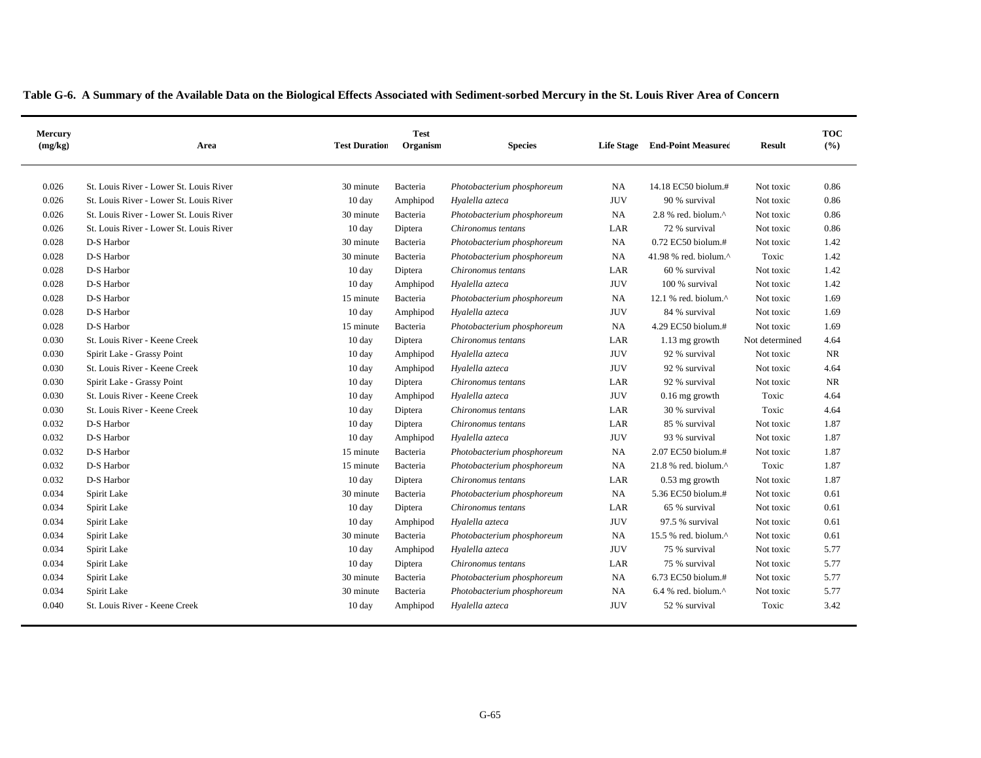| Table G-6. A Summary of the Available Data on the Biological Effects Associated with Sediment-sorbed Mercury in the St. Louis River Area of Concern |  |  |
|-----------------------------------------------------------------------------------------------------------------------------------------------------|--|--|
|                                                                                                                                                     |  |  |

| Mercury<br>(mg/kg) | Area                                    | <b>Test Duration</b> | <b>Test</b><br>Organism | <b>Species</b>             | <b>Life Stage</b> | <b>End-Point Measured</b>        | <b>Result</b>  | <b>TOC</b><br>(%) |
|--------------------|-----------------------------------------|----------------------|-------------------------|----------------------------|-------------------|----------------------------------|----------------|-------------------|
| 0.026              | St. Louis River - Lower St. Louis River | 30 minute            | Bacteria                | Photobacterium phosphoreum | NA                | 14.18 EC50 biolum.#              | Not toxic      | 0.86              |
| 0.026              | St. Louis River - Lower St. Louis River | $10 \text{ day}$     | Amphipod                | Hyalella azteca            | <b>JUV</b>        | 90 % survival                    | Not toxic      | 0.86              |
| 0.026              | St. Louis River - Lower St. Louis River | 30 minute            | Bacteria                | Photobacterium phosphoreum | NA                | $2.8$ % red. biolum. $^{\wedge}$ | Not toxic      | 0.86              |
| 0.026              | St. Louis River - Lower St. Louis River | $10 \text{ day}$     | Diptera                 | Chironomus tentans         | LAR               | 72 % survival                    | Not toxic      | 0.86              |
| 0.028              | D-S Harbor                              | 30 minute            | Bacteria                | Photobacterium phosphoreum | NA                | 0.72 EC50 biolum.#               | Not toxic      | 1.42              |
| 0.028              | D-S Harbor                              | 30 minute            | Bacteria                | Photobacterium phosphoreum | NA                | 41.98 % red. biolum. $^{\wedge}$ | Toxic          | 1.42              |
| 0.028              | D-S Harbor                              | 10 day               | Diptera                 | Chironomus tentans         | LAR               | 60 % survival                    | Not toxic      | 1.42              |
| 0.028              | D-S Harbor                              | $10 \text{ day}$     | Amphipod                | Hyalella azteca            | <b>JUV</b>        | 100 % survival                   | Not toxic      | 1.42              |
| 0.028              | D-S Harbor                              | 15 minute            | Bacteria                | Photobacterium phosphoreum | NA                | 12.1 % red. biolum. $^{\wedge}$  | Not toxic      | 1.69              |
| 0.028              | D-S Harbor                              | 10 day               | Amphipod                | Hyalella azteca            | <b>JUV</b>        | 84 % survival                    | Not toxic      | 1.69              |
| 0.028              | D-S Harbor                              | 15 minute            | Bacteria                | Photobacterium phosphoreum | NA                | 4.29 EC50 biolum.#               | Not toxic      | 1.69              |
| 0.030              | St. Louis River - Keene Creek           | $10 \text{ day}$     | Diptera                 | Chironomus tentans         | LAR               | 1.13 mg growth                   | Not determined | 4.64              |
| 0.030              | Spirit Lake - Grassy Point              | $10 \text{ day}$     | Amphipod                | Hyalella azteca            | <b>JUV</b>        | 92 % survival                    | Not toxic      | <b>NR</b>         |
| 0.030              | St. Louis River - Keene Creek           | $10 \text{ day}$     | Amphipod                | Hyalella azteca            | <b>JUV</b>        | 92 % survival                    | Not toxic      | 4.64              |
| 0.030              | Spirit Lake - Grassy Point              | 10 day               | Diptera                 | Chironomus tentans         | LAR               | 92 % survival                    | Not toxic      | <b>NR</b>         |
| 0.030              | St. Louis River - Keene Creek           | $10 \text{ day}$     | Amphipod                | Hyalella azteca            | <b>JUV</b>        | $0.16$ mg growth                 | Toxic          | 4.64              |
| 0.030              | St. Louis River - Keene Creek           | 10 day               | Diptera                 | Chironomus tentans         | LAR               | 30 % survival                    | Toxic          | 4.64              |
| 0.032              | D-S Harbor                              | $10 \text{ day}$     | Diptera                 | Chironomus tentans         | LAR               | 85 % survival                    | Not toxic      | 1.87              |
| 0.032              | D-S Harbor                              | $10 \text{ day}$     | Amphipod                | Hyalella azteca            | <b>JUV</b>        | 93 % survival                    | Not toxic      | 1.87              |
| 0.032              | D-S Harbor                              | 15 minute            | Bacteria                | Photobacterium phosphoreum | <b>NA</b>         | 2.07 EC50 biolum.#               | Not toxic      | 1.87              |
| 0.032              | D-S Harbor                              | 15 minute            | Bacteria                | Photobacterium phosphoreum | NA                | 21.8 % red. biolum.^             | Toxic          | 1.87              |
| 0.032              | D-S Harbor                              | 10 day               | Diptera                 | Chironomus tentans         | LAR               | $0.53$ mg growth                 | Not toxic      | 1.87              |
| 0.034              | Spirit Lake                             | 30 minute            | Bacteria                | Photobacterium phosphoreum | NA                | 5.36 EC50 biolum.#               | Not toxic      | 0.61              |
| 0.034              | Spirit Lake                             | $10 \text{ day}$     | Diptera                 | Chironomus tentans         | LAR               | 65 % survival                    | Not toxic      | 0.61              |
| 0.034              | Spirit Lake                             | $10 \text{ day}$     | Amphipod                | Hyalella azteca            | <b>JUV</b>        | 97.5 % survival                  | Not toxic      | 0.61              |
| 0.034              | Spirit Lake                             | 30 minute            | Bacteria                | Photobacterium phosphoreum | NA                | 15.5 % red. biolum.^             | Not toxic      | 0.61              |
| 0.034              | Spirit Lake                             | $10 \text{ day}$     | Amphipod                | Hyalella azteca            | <b>JUV</b>        | 75 % survival                    | Not toxic      | 5.77              |
| 0.034              | Spirit Lake                             | 10 day               | Diptera                 | Chironomus tentans         | LAR               | 75 % survival                    | Not toxic      | 5.77              |
| 0.034              | Spirit Lake                             | 30 minute            | Bacteria                | Photobacterium phosphoreum | NA                | 6.73 EC50 biolum.#               | Not toxic      | 5.77              |
| 0.034              | Spirit Lake                             | 30 minute            | Bacteria                | Photobacterium phosphoreum | <b>NA</b>         | $6.4$ % red. biolum. $^{\wedge}$ | Not toxic      | 5.77              |
| 0.040              | St. Louis River - Keene Creek           | $10 \text{ day}$     | Amphipod                | Hyalella azteca            | <b>JUV</b>        | 52 % survival                    | Toxic          | 3.42              |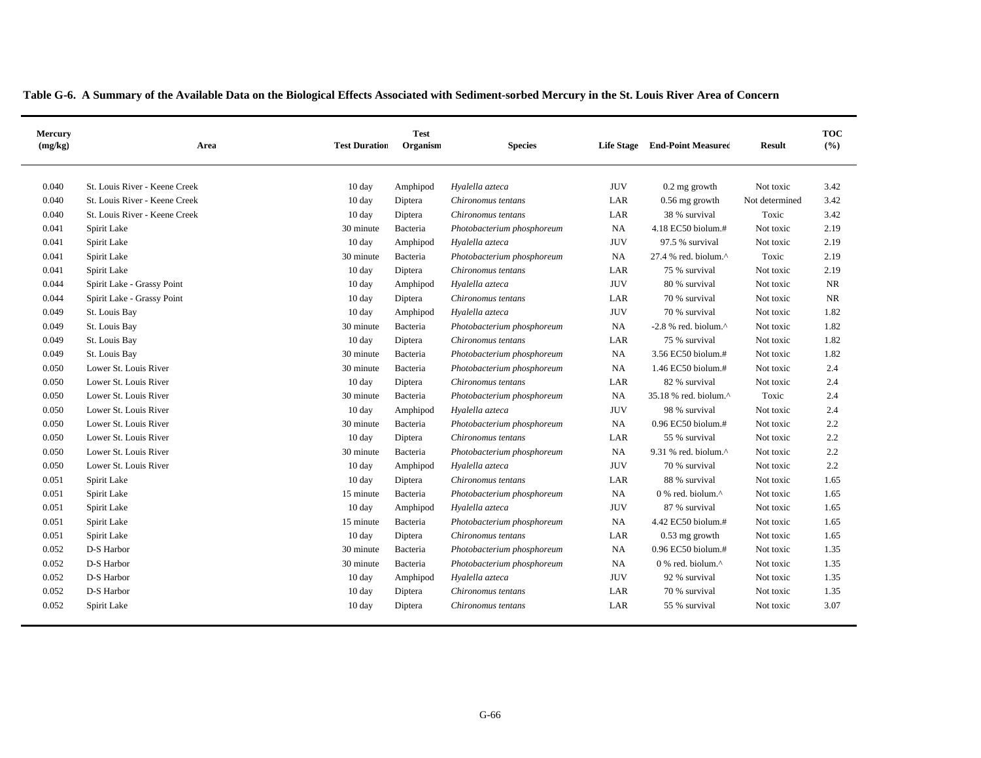|  | Table G-6. A Summary of the Available Data on the Biological Effects Associated with Sediment-sorbed Mercury in the St. Louis River Area of Concern |  |  |  |  |  |  |  |  |  |  |
|--|-----------------------------------------------------------------------------------------------------------------------------------------------------|--|--|--|--|--|--|--|--|--|--|
|  |                                                                                                                                                     |  |  |  |  |  |  |  |  |  |  |

| Mercury<br>(mg/kg) | Area                          | <b>Test</b><br><b>Test Duration</b><br>Organism<br><b>Species</b> |          |                            | <b>Life Stage</b> | <b>End-Point Measured</b>                         | <b>Result</b>  | <b>TOC</b><br>(%) |
|--------------------|-------------------------------|-------------------------------------------------------------------|----------|----------------------------|-------------------|---------------------------------------------------|----------------|-------------------|
| 0.040              | St. Louis River - Keene Creek | $10 \text{ day}$                                                  | Amphipod | Hyalella azteca            | <b>JUV</b>        | $0.2$ mg growth                                   | Not toxic      | 3.42              |
| 0.040              | St. Louis River - Keene Creek | $10 \text{ day}$                                                  | Diptera  | Chironomus tentans         | LAR               | $0.56$ mg growth                                  | Not determined | 3.42              |
| 0.040              | St. Louis River - Keene Creek | 10 day                                                            | Diptera  | Chironomus tentans         | LAR               | 38 % survival                                     | Toxic          | 3.42              |
| 0.041              | Spirit Lake                   | 30 minute                                                         | Bacteria | Photobacterium phosphoreum | NA                | 4.18 EC50 biolum.#                                | Not toxic      | 2.19              |
| 0.041              | Spirit Lake                   | 10 day                                                            | Amphipod | Hyalella azteca            | <b>JUV</b>        | 97.5 % survival                                   | Not toxic      | 2.19              |
| 0.041              | Spirit Lake                   | 30 minute                                                         | Bacteria | Photobacterium phosphoreum | NA                | 27.4 % red. biolum.^                              | Toxic          | 2.19              |
| 0.041              | Spirit Lake                   | $10 \text{ day}$                                                  | Diptera  | Chironomus tentans         | LAR               | 75 % survival                                     | Not toxic      | 2.19              |
| 0.044              | Spirit Lake - Grassy Point    | $10 \text{ day}$                                                  | Amphipod | Hyalella azteca            | <b>JUV</b>        | 80 % survival                                     | Not toxic      | <b>NR</b>         |
| 0.044              | Spirit Lake - Grassy Point    | 10 day                                                            | Diptera  | Chironomus tentans         | LAR               | 70 % survival                                     | Not toxic      | <b>NR</b>         |
| 0.049              | St. Louis Bay                 | 10 day                                                            | Amphipod | Hyalella azteca            | <b>JUV</b>        | 70 % survival                                     | Not toxic      | 1.82              |
| 0.049              | St. Louis Bay                 | 30 minute                                                         | Bacteria | Photobacterium phosphoreum | NA                | $-2.8$ % red. biolum. $^{\wedge}$                 | Not toxic      | 1.82              |
| 0.049              | St. Louis Bay                 | 10 day                                                            | Diptera  | Chironomus tentans         | LAR               | 75 % survival                                     | Not toxic      | 1.82              |
| 0.049              | St. Louis Bay                 | 30 minute                                                         | Bacteria | Photobacterium phosphoreum | NA                | 3.56 EC50 biolum.#                                | Not toxic      | 1.82              |
| 0.050              | Lower St. Louis River         | 30 minute                                                         | Bacteria | Photobacterium phosphoreum | NA                | 1.46 EC50 biolum.#                                | Not toxic      | 2.4               |
| 0.050              | Lower St. Louis River         | $10 \text{ day}$                                                  | Diptera  | Chironomus tentans         | LAR               | 82 % survival                                     | Not toxic      | 2.4               |
| 0.050              | Lower St. Louis River         | 30 minute                                                         | Bacteria | Photobacterium phosphoreum | NA                | 35.18 % red. biolum.^                             | Toxic          | 2.4               |
| 0.050              | Lower St. Louis River         | 10 day                                                            | Amphipod | Hyalella azteca            | <b>JUV</b>        | 98 % survival                                     | Not toxic      | 2.4               |
| 0.050              | Lower St. Louis River         | 30 minute                                                         | Bacteria | Photobacterium phosphoreum | NA                | 0.96 EC50 biolum.#                                | Not toxic      | $2.2\,$           |
| 0.050              | Lower St. Louis River         | $10 \text{ day}$                                                  | Diptera  | Chironomus tentans         | LAR               | 55 % survival                                     | Not toxic      | 2.2               |
| 0.050              | Lower St. Louis River         | 30 minute                                                         | Bacteria | Photobacterium phosphoreum | <b>NA</b>         | 9.31 % red. biolum.^                              | Not toxic      | 2.2               |
| 0.050              | Lower St. Louis River         | 10 day                                                            | Amphipod | Hyalella azteca            | <b>JUV</b>        | 70 % survival                                     | Not toxic      | 2.2               |
| 0.051              | Spirit Lake                   | $10 \text{ day}$                                                  | Diptera  | Chironomus tentans         | LAR               | 88 % survival                                     | Not toxic      | 1.65              |
| 0.051              | Spirit Lake                   | 15 minute                                                         | Bacteria | Photobacterium phosphoreum | NA                | 0 % red. biolum.^                                 | Not toxic      | 1.65              |
| 0.051              | Spirit Lake                   | 10 day                                                            | Amphipod | Hyalella azteca            | <b>JUV</b>        | 87 % survival                                     | Not toxic      | 1.65              |
| 0.051              | Spirit Lake                   | 15 minute                                                         | Bacteria | Photobacterium phosphoreum | NA                | 4.42 EC50 biolum.#                                | Not toxic      | 1.65              |
| 0.051              | Spirit Lake                   | $10 \text{ day}$                                                  | Diptera  | Chironomus tentans         | LAR               | $0.53$ mg growth                                  | Not toxic      | 1.65              |
| 0.052              | D-S Harbor                    | 30 minute                                                         | Bacteria | Photobacterium phosphoreum | NA                | $0.96$ EC50 biolum.#                              | Not toxic      | 1.35              |
| 0.052              | D-S Harbor                    | 30 minute                                                         | Bacteria | Photobacterium phosphoreum | NA                | $0\%$ red. biolum. <sup><math>\wedge</math></sup> | Not toxic      | 1.35              |
| 0.052              | D-S Harbor                    | 10 day                                                            | Amphipod | Hyalella azteca            | <b>JUV</b>        | 92 % survival                                     | Not toxic      | 1.35              |
| 0.052              | D-S Harbor                    | 10 day                                                            | Diptera  | Chironomus tentans         | LAR               | 70 % survival                                     | Not toxic      | 1.35              |
| 0.052              | Spirit Lake                   | $10 \text{ day}$                                                  | Diptera  | Chironomus tentans         | LAR               | 55 % survival                                     | Not toxic      | 3.07              |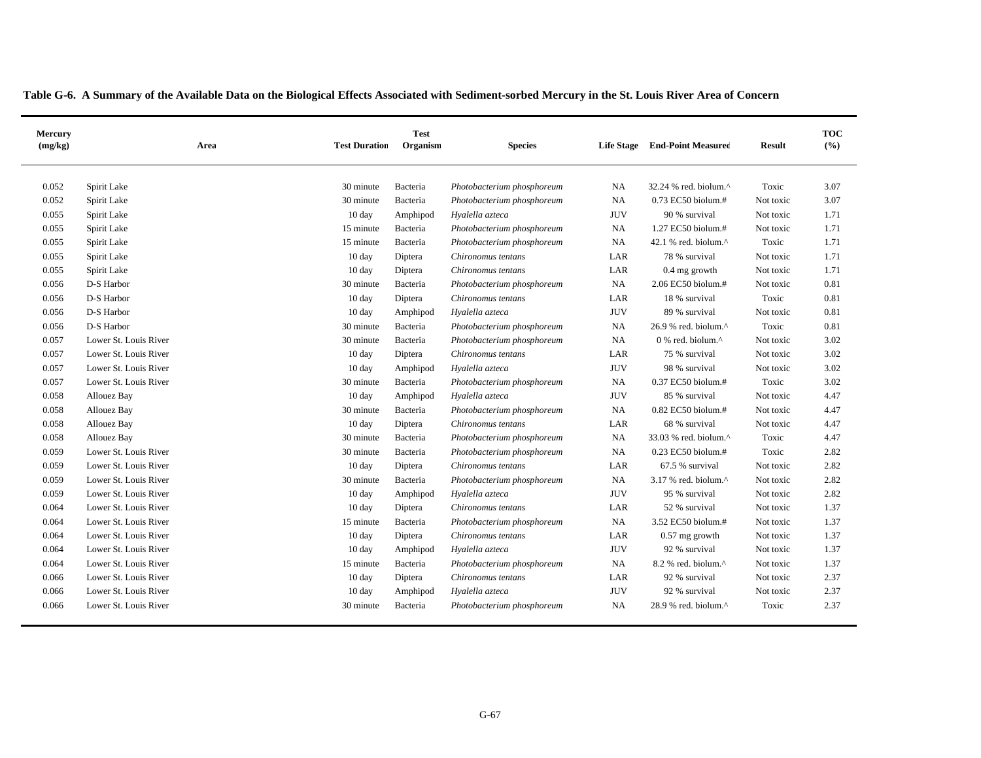| Mercury<br>(mg/kg) |                       | Area | <b>Test Duration</b> | <b>Test</b><br>Organism | <b>Species</b>             |            | Life Stage End-Point Measured | <b>Result</b> | <b>TOC</b><br>(%) |
|--------------------|-----------------------|------|----------------------|-------------------------|----------------------------|------------|-------------------------------|---------------|-------------------|
| 0.052              | Spirit Lake           |      | 30 minute            | Bacteria                | Photobacterium phosphoreum | NA         | 32.24 % red. biolum.^         | Toxic         | 3.07              |
| 0.052              | Spirit Lake           |      | 30 minute            | Bacteria                | Photobacterium phosphoreum | NA         | 0.73 EC50 biolum.#            | Not toxic     | 3.07              |
| 0.055              | Spirit Lake           |      | 10 day               | Amphipod                | Hyalella azteca            | <b>JUV</b> | 90 % survival                 | Not toxic     | 1.71              |
| 0.055              | Spirit Lake           |      | 15 minute            | Bacteria                | Photobacterium phosphoreum | NA         | 1.27 EC50 biolum.#            | Not toxic     | 1.71              |
| 0.055              | Spirit Lake           |      | 15 minute            | Bacteria                | Photobacterium phosphoreum | NA         | 42.1 % red. biolum.^          | Toxic         | 1.71              |
| 0.055              | Spirit Lake           |      | 10 day               | Diptera                 | Chironomus tentans         | LAR        | 78 % survival                 | Not toxic     | 1.71              |
| 0.055              | Spirit Lake           |      | 10 day               | Diptera                 | Chironomus tentans         | LAR        | 0.4 mg growth                 | Not toxic     | 1.71              |
| 0.056              | D-S Harbor            |      | 30 minute            | Bacteria                | Photobacterium phosphoreum | NA         | 2.06 EC50 biolum.#            | Not toxic     | 0.81              |
| 0.056              | D-S Harbor            |      | 10 day               | Diptera                 | Chironomus tentans         | LAR        | 18 % survival                 | Toxic         | 0.81              |
| 0.056              | D-S Harbor            |      | 10 day               | Amphipod                | Hyalella azteca            | <b>JUV</b> | 89 % survival                 | Not toxic     | 0.81              |
| 0.056              | D-S Harbor            |      | 30 minute            | Bacteria                | Photobacterium phosphoreum | NA         | 26.9 % red. biolum.^          | Toxic         | 0.81              |
| 0.057              | Lower St. Louis River |      | 30 minute            | Bacteria                | Photobacterium phosphoreum | NA         | 0 % red. biolum.^             | Not toxic     | 3.02              |
| 0.057              | Lower St. Louis River |      | 10 day               | Diptera                 | Chironomus tentans         | LAR        | 75 % survival                 | Not toxic     | 3.02              |
| 0.057              | Lower St. Louis River |      | 10 day               | Amphipod                | Hyalella azteca            | <b>JUV</b> | 98 % survival                 | Not toxic     | 3.02              |
| 0.057              | Lower St. Louis River |      | 30 minute            | Bacteria                | Photobacterium phosphoreum | NA         | 0.37 EC50 biolum.#            | Toxic         | 3.02              |
| 0.058              | Allouez Bay           |      | 10 day               | Amphipod                | Hyalella azteca            | <b>JUV</b> | 85 % survival                 | Not toxic     | 4.47              |
| 0.058              | Allouez Bay           |      | 30 minute            | Bacteria                | Photobacterium phosphoreum | NA         | 0.82 EC50 biolum.#            | Not toxic     | 4.47              |
| 0.058              | Allouez Bay           |      | 10 day               | Diptera                 | Chironomus tentans         | LAR        | 68 % survival                 | Not toxic     | 4.47              |
| 0.058              | Allouez Bay           |      | 30 minute            | Bacteria                | Photobacterium phosphoreum | NA         | 33.03 % red. biolum.^         | Toxic         | 4.47              |
| 0.059              | Lower St. Louis River |      | 30 minute            | Bacteria                | Photobacterium phosphoreum | NA         | 0.23 EC50 biolum.#            | Toxic         | 2.82              |
| 0.059              | Lower St. Louis River |      | 10 day               | Diptera                 | Chironomus tentans         | LAR        | 67.5 % survival               | Not toxic     | 2.82              |
| 0.059              | Lower St. Louis River |      | 30 minute            | Bacteria                | Photobacterium phosphoreum | NA         | 3.17 % red. biolum.^          | Not toxic     | 2.82              |
| 0.059              | Lower St. Louis River |      | 10 day               | Amphipod                | Hyalella azteca            | <b>JUV</b> | 95 % survival                 | Not toxic     | 2.82              |
| 0.064              | Lower St. Louis River |      | 10 day               | Diptera                 | Chironomus tentans         | LAR        | 52 % survival                 | Not toxic     | 1.37              |
| 0.064              | Lower St. Louis River |      | 15 minute            | Bacteria                | Photobacterium phosphoreum | NA         | 3.52 EC50 biolum.#            | Not toxic     | 1.37              |
| 0.064              | Lower St. Louis River |      | 10 day               | Diptera                 | Chironomus tentans         | LAR        | $0.57$ mg growth              | Not toxic     | 1.37              |
| 0.064              | Lower St. Louis River |      | 10 day               | Amphipod                | Hyalella azteca            | <b>JUV</b> | 92 % survival                 | Not toxic     | 1.37              |
| 0.064              | Lower St. Louis River |      | 15 minute            | Bacteria                | Photobacterium phosphoreum | NA         | 8.2 % red. biolum.^           | Not toxic     | 1.37              |
| 0.066              | Lower St. Louis River |      | 10 day               | Diptera                 | Chironomus tentans         | LAR        | 92 % survival                 | Not toxic     | 2.37              |
| 0.066              | Lower St. Louis River |      | 10 day               | Amphipod                | Hyalella azteca            | <b>JUV</b> | 92 % survival                 | Not toxic     | 2.37              |
| 0.066              | Lower St. Louis River |      | 30 minute            | Bacteria                | Photobacterium phosphoreum | NA         | 28.9 % red. biolum.^          | Toxic         | 2.37              |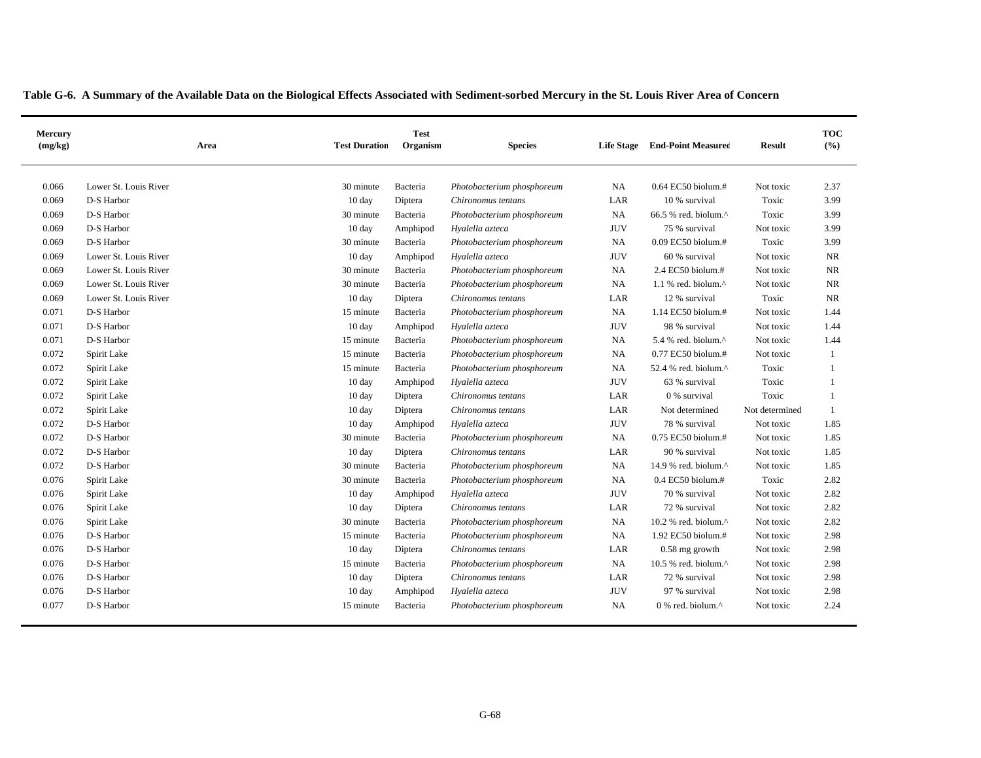|  |  | Table G-6. A Summary of the Available Data on the Biological Effects Associated with Sediment-sorbed Mercury in the St. Louis River Area of Concern |  |  |
|--|--|-----------------------------------------------------------------------------------------------------------------------------------------------------|--|--|
|  |  |                                                                                                                                                     |  |  |

| Mercury<br>(mg/kg) | Area                  | <b>Test Duration</b> | <b>Test</b><br>Organism | <b>Species</b>             | <b>Life Stage</b> | <b>End-Point Measured</b>                         | <b>Result</b>  | <b>TOC</b><br>(%) |
|--------------------|-----------------------|----------------------|-------------------------|----------------------------|-------------------|---------------------------------------------------|----------------|-------------------|
| 0.066              | Lower St. Louis River | 30 minute            | Bacteria                | Photobacterium phosphoreum | <b>NA</b>         | $0.64$ EC50 biolum.#                              | Not toxic      | 2.37              |
| 0.069              | D-S Harbor            | $10 \text{ day}$     | Diptera                 | Chironomus tentans         | LAR               | 10 % survival                                     | Toxic          | 3.99              |
| 0.069              | D-S Harbor            | 30 minute            | Bacteria                | Photobacterium phosphoreum | <b>NA</b>         | 66.5 % red. biolum.^                              | Toxic          | 3.99              |
| 0.069              | D-S Harbor            | 10 day               | Amphipod                | Hyalella azteca            | <b>JUV</b>        | 75 % survival                                     | Not toxic      | 3.99              |
| 0.069              | D-S Harbor            | 30 minute            | Bacteria                | Photobacterium phosphoreum | <b>NA</b>         | $0.09$ EC50 biolum.#                              | Toxic          | 3.99              |
| 0.069              | Lower St. Louis River | 10 day               | Amphipod                | Hyalella azteca            | <b>JUV</b>        | 60 % survival                                     | Not toxic      | NR                |
| 0.069              | Lower St. Louis River | 30 minute            | Bacteria                | Photobacterium phosphoreum | <b>NA</b>         | 2.4 EC50 biolum.#                                 | Not toxic      | <b>NR</b>         |
| 0.069              | Lower St. Louis River | 30 minute            | Bacteria                | Photobacterium phosphoreum | <b>NA</b>         | 1.1 % red. biolum. $^{\wedge}$                    | Not toxic      | NR                |
| 0.069              | Lower St. Louis River | 10 day               | Diptera                 | Chironomus tentans         | LAR               | 12 % survival                                     | Toxic          | NR                |
| 0.071              | D-S Harbor            | 15 minute            | Bacteria                | Photobacterium phosphoreum | <b>NA</b>         | 1.14 EC50 biolum.#                                | Not toxic      | 1.44              |
| 0.071              | D-S Harbor            | 10 day               | Amphipod                | Hyalella azteca            | <b>JUV</b>        | 98 % survival                                     | Not toxic      | 1.44              |
| 0.071              | D-S Harbor            | 15 minute            | Bacteria                | Photobacterium phosphoreum | <b>NA</b>         | 5.4 % red. biolum.^                               | Not toxic      | 1.44              |
| 0.072              | Spirit Lake           | 15 minute            | Bacteria                | Photobacterium phosphoreum | NA                | 0.77 EC50 biolum.#                                | Not toxic      | 1                 |
| 0.072              | Spirit Lake           | 15 minute            | Bacteria                | Photobacterium phosphoreum | NA                | 52.4 % red. biolum.^                              | Toxic          | $\mathbf{1}$      |
| 0.072              | Spirit Lake           | $10 \text{ day}$     | Amphipod                | Hyalella azteca            | <b>JUV</b>        | 63 % survival                                     | Toxic          | 1                 |
| 0.072              | Spirit Lake           | $10 \text{ day}$     | Diptera                 | Chironomus tentans         | LAR               | 0 % survival                                      | Toxic          | 1                 |
| 0.072              | Spirit Lake           | 10 day               | Diptera                 | Chironomus tentans         | LAR               | Not determined                                    | Not determined | 1                 |
| 0.072              | D-S Harbor            | 10 day               | Amphipod                | Hyalella azteca            | <b>JUV</b>        | 78 % survival                                     | Not toxic      | 1.85              |
| 0.072              | D-S Harbor            | 30 minute            | Bacteria                | Photobacterium phosphoreum | NA                | $0.75$ EC50 biolum.#                              | Not toxic      | 1.85              |
| 0.072              | D-S Harbor            | $10 \text{ day}$     | Diptera                 | Chironomus tentans         | LAR               | 90 % survival                                     | Not toxic      | 1.85              |
| 0.072              | D-S Harbor            | 30 minute            | Bacteria                | Photobacterium phosphoreum | <b>NA</b>         | 14.9 % red. biolum.^                              | Not toxic      | 1.85              |
| 0.076              | Spirit Lake           | 30 minute            | Bacteria                | Photobacterium phosphoreum | <b>NA</b>         | $0.4$ EC50 biolum.#                               | Toxic          | 2.82              |
| 0.076              | Spirit Lake           | $10 \text{ day}$     | Amphipod                | Hyalella azteca            | <b>JUV</b>        | 70 % survival                                     | Not toxic      | 2.82              |
| 0.076              | Spirit Lake           | 10 day               | Diptera                 | Chironomus tentans         | LAR               | 72 % survival                                     | Not toxic      | 2.82              |
| 0.076              | Spirit Lake           | 30 minute            | Bacteria                | Photobacterium phosphoreum | NA                | 10.2 % red. biolum. $^{\wedge}$                   | Not toxic      | 2.82              |
| 0.076              | D-S Harbor            | 15 minute            | Bacteria                | Photobacterium phosphoreum | <b>NA</b>         | 1.92 EC50 biolum.#                                | Not toxic      | 2.98              |
| 0.076              | D-S Harbor            | $10 \text{ day}$     | Diptera                 | Chironomus tentans         | LAR               | $0.58$ mg growth                                  | Not toxic      | 2.98              |
| 0.076              | D-S Harbor            | 15 minute            | Bacteria                | Photobacterium phosphoreum | <b>NA</b>         | 10.5 % red. biolum.^                              | Not toxic      | 2.98              |
| 0.076              | D-S Harbor            | 10 day               | Diptera                 | Chironomus tentans         | LAR               | 72 % survival                                     | Not toxic      | 2.98              |
| 0.076              | D-S Harbor            | $10 \text{ day}$     | Amphipod                | Hyalella azteca            | <b>JUV</b>        | 97 % survival                                     | Not toxic      | 2.98              |
| 0.077              | D-S Harbor            | 15 minute            | Bacteria                | Photobacterium phosphoreum | NA                | $0\%$ red. biolum. <sup><math>\wedge</math></sup> | Not toxic      | 2.24              |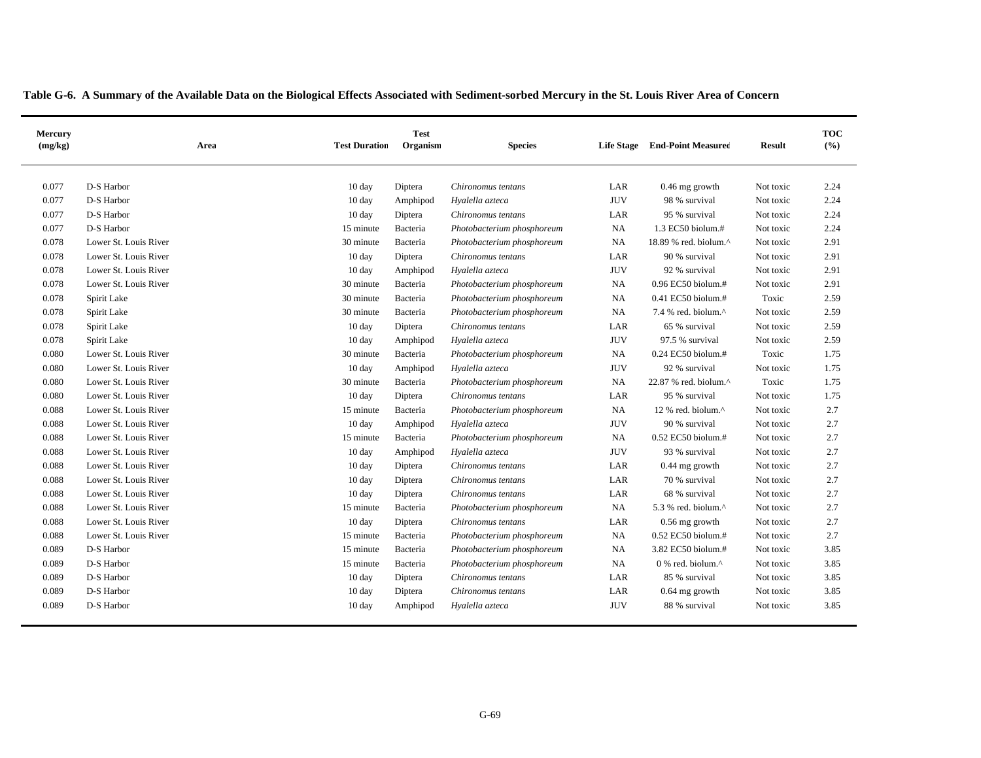|  | Table G-6. A Summary of the Available Data on the Biological Effects Associated with Sediment-sorbed Mercury in the St. Louis River Area of Concern |  |  |  |  |  |  |  |  |  |  |
|--|-----------------------------------------------------------------------------------------------------------------------------------------------------|--|--|--|--|--|--|--|--|--|--|
|  |                                                                                                                                                     |  |  |  |  |  |  |  |  |  |  |

| Mercury<br>(mg/kg) | Area                  | <b>Test Duration</b> | <b>Test</b><br>Organism | <b>Species</b>             | <b>Life Stage</b> | <b>End-Point Measured</b> | <b>Result</b> | <b>TOC</b><br>(%) |
|--------------------|-----------------------|----------------------|-------------------------|----------------------------|-------------------|---------------------------|---------------|-------------------|
| 0.077              | D-S Harbor            | 10 day               | Diptera                 | Chironomus tentans         | LAR               | 0.46 mg growth            | Not toxic     | 2.24              |
| 0.077              | D-S Harbor            | 10 day               | Amphipod                | Hyalella azteca            | <b>JUV</b>        | 98 % survival             | Not toxic     | 2.24              |
| 0.077              | D-S Harbor            | $10 \text{ day}$     | Diptera                 | Chironomus tentans         | LAR               | 95 % survival             | Not toxic     | 2.24              |
| 0.077              | D-S Harbor            | 15 minute            | Bacteria                | Photobacterium phosphoreum | <b>NA</b>         | 1.3 EC50 biolum.#         | Not toxic     | 2.24              |
| 0.078              | Lower St. Louis River | 30 minute            | Bacteria                | Photobacterium phosphoreum | NA                | 18.89 % red. biolum.^     | Not toxic     | 2.91              |
| 0.078              | Lower St. Louis River | 10 day               | Diptera                 | Chironomus tentans         | LAR               | 90 % survival             | Not toxic     | 2.91              |
| 0.078              | Lower St. Louis River | 10 day               | Amphipod                | Hyalella azteca            | <b>JUV</b>        | 92 % survival             | Not toxic     | 2.91              |
| 0.078              | Lower St. Louis River | 30 minute            | Bacteria                | Photobacterium phosphoreum | NA                | 0.96 EC50 biolum.#        | Not toxic     | 2.91              |
| 0.078              | Spirit Lake           | 30 minute            | Bacteria                | Photobacterium phosphoreum | NA                | $0.41$ EC50 biolum.#      | Toxic         | 2.59              |
| 0.078              | Spirit Lake           | 30 minute            | Bacteria                | Photobacterium phosphoreum | <b>NA</b>         | 7.4 % red. biolum.^       | Not toxic     | 2.59              |
| 0.078              | Spirit Lake           | 10 day               | Diptera                 | Chironomus tentans         | LAR               | 65 % survival             | Not toxic     | 2.59              |
| 0.078              | Spirit Lake           | 10 day               | Amphipod                | Hyalella azteca            | <b>JUV</b>        | 97.5 % survival           | Not toxic     | 2.59              |
| 0.080              | Lower St. Louis River | 30 minute            | Bacteria                | Photobacterium phosphoreum | <b>NA</b>         | $0.24$ EC50 biolum.#      | Toxic         | 1.75              |
| 0.080              | Lower St. Louis River | 10 day               | Amphipod                | Hyalella azteca            | <b>JUV</b>        | 92 % survival             | Not toxic     | 1.75              |
| 0.080              | Lower St. Louis River | 30 minute            | Bacteria                | Photobacterium phosphoreum | <b>NA</b>         | 22.87 % red. biolum.^     | Toxic         | 1.75              |
| 0.080              | Lower St. Louis River | 10 day               | Diptera                 | Chironomus tentans         | LAR               | 95 % survival             | Not toxic     | 1.75              |
| 0.088              | Lower St. Louis River | 15 minute            | Bacteria                | Photobacterium phosphoreum | <b>NA</b>         | 12 % red. biolum.^        | Not toxic     | 2.7               |
| 0.088              | Lower St. Louis River | 10 day               | Amphipod                | Hyalella azteca            | <b>JUV</b>        | 90 % survival             | Not toxic     | 2.7               |
| 0.088              | Lower St. Louis River | 15 minute            | Bacteria                | Photobacterium phosphoreum | NA                | $0.52$ EC50 biolum.#      | Not toxic     | 2.7               |
| 0.088              | Lower St. Louis River | 10 day               | Amphipod                | Hyalella azteca            | <b>JUV</b>        | 93 % survival             | Not toxic     | 2.7               |
| 0.088              | Lower St. Louis River | $10 \text{ day}$     | Diptera                 | Chironomus tentans         | LAR               | $0.44$ mg growth          | Not toxic     | 2.7               |
| 0.088              | Lower St. Louis River | 10 day               | Diptera                 | Chironomus tentans         | LAR               | 70 % survival             | Not toxic     | 2.7               |
| 0.088              | Lower St. Louis River | 10 day               | Diptera                 | Chironomus tentans         | LAR               | 68 % survival             | Not toxic     | 2.7               |
| 0.088              | Lower St. Louis River | 15 minute            | Bacteria                | Photobacterium phosphoreum | <b>NA</b>         | 5.3 % red. biolum.^       | Not toxic     | 2.7               |
| 0.088              | Lower St. Louis River | $10 \text{ day}$     | Diptera                 | Chironomus tentans         | LAR               | 0.56 mg growth            | Not toxic     | 2.7               |
| 0.088              | Lower St. Louis River | 15 minute            | Bacteria                | Photobacterium phosphoreum | <b>NA</b>         | $0.52$ EC50 biolum.#      | Not toxic     | 2.7               |
| 0.089              | D-S Harbor            | 15 minute            | Bacteria                | Photobacterium phosphoreum | <b>NA</b>         | 3.82 EC50 biolum.#        | Not toxic     | 3.85              |
| 0.089              | D-S Harbor            | 15 minute            | Bacteria                | Photobacterium phosphoreum | <b>NA</b>         | 0 % red. biolum.^         | Not toxic     | 3.85              |
| 0.089              | D-S Harbor            | 10 day               | Diptera                 | Chironomus tentans         | LAR               | 85 % survival             | Not toxic     | 3.85              |
| 0.089              | D-S Harbor            | 10 day               | Diptera                 | Chironomus tentans         | LAR               | 0.64 mg growth            | Not toxic     | 3.85              |
| 0.089              | D-S Harbor            | $10 \text{ day}$     | Amphipod                | Hyalella azteca            | <b>JUV</b>        | 88 % survival             | Not toxic     | 3.85              |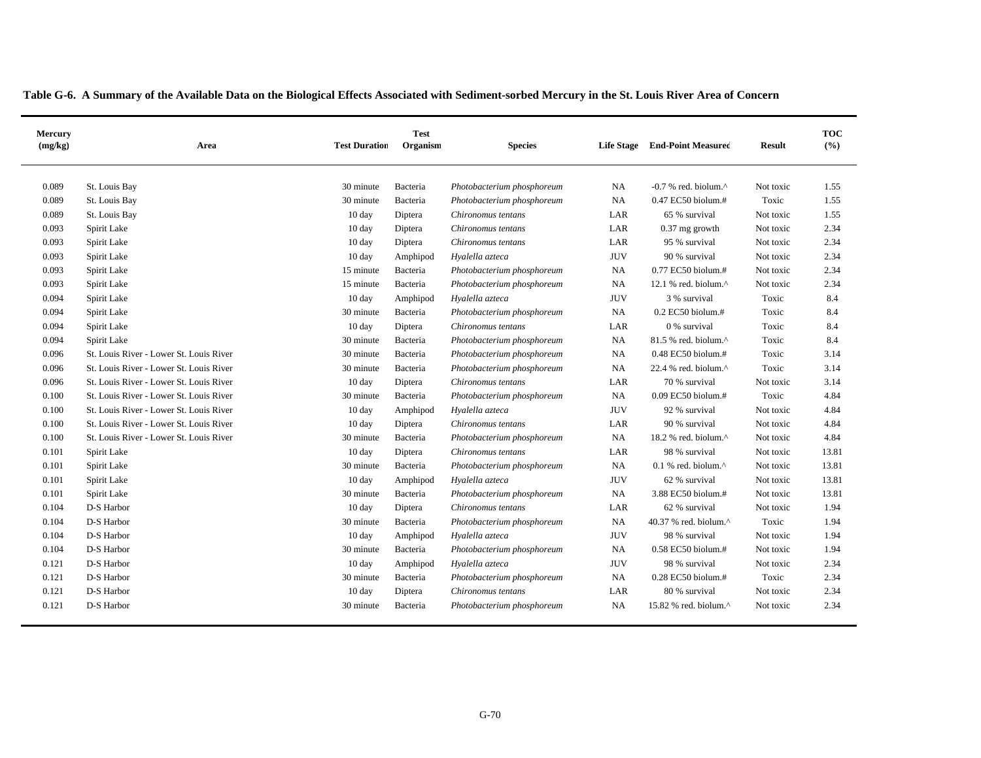| Mercury<br>(mg/kg) | Area                                    | <b>Test Duration</b> | <b>Test</b><br>Organism | <b>Species</b>             | <b>Life Stage</b> | <b>End-Point Measured</b>                           | <b>Result</b> | <b>TOC</b><br>(%) |
|--------------------|-----------------------------------------|----------------------|-------------------------|----------------------------|-------------------|-----------------------------------------------------|---------------|-------------------|
| 0.089              | St. Louis Bay                           | 30 minute            | Bacteria                | Photobacterium phosphoreum | NA                | $-0.7$ % red. biolum. $^{\wedge}$                   | Not toxic     | 1.55              |
| 0.089              | St. Louis Bay                           | 30 minute            | Bacteria                | Photobacterium phosphoreum | NA                | 0.47 EC50 biolum.#                                  | Toxic         | 1.55              |
| 0.089              | St. Louis Bay                           | 10 day               | Diptera                 | Chironomus tentans         | LAR               | 65 % survival                                       | Not toxic     | 1.55              |
| 0.093              | Spirit Lake                             | $10 \text{ day}$     | Diptera                 | Chironomus tentans         | LAR               | $0.37$ mg growth                                    | Not toxic     | 2.34              |
| 0.093              | Spirit Lake                             | $10 \text{ day}$     | Diptera                 | Chironomus tentans         | LAR               | 95 % survival                                       | Not toxic     | 2.34              |
| 0.093              | Spirit Lake                             | $10 \text{ day}$     | Amphipod                | Hyalella azteca            | <b>JUV</b>        | 90 % survival                                       | Not toxic     | 2.34              |
| 0.093              | Spirit Lake                             | 15 minute            | Bacteria                | Photobacterium phosphoreum | NA                | 0.77 EC50 biolum.#                                  | Not toxic     | 2.34              |
| 0.093              | Spirit Lake                             | 15 minute            | Bacteria                | Photobacterium phosphoreum | NA                | 12.1 % red. biolum.^                                | Not toxic     | 2.34              |
| 0.094              | Spirit Lake                             | 10 day               | Amphipod                | Hyalella azteca            | <b>JUV</b>        | 3 % survival                                        | Toxic         | 8.4               |
| 0.094              | Spirit Lake                             | 30 minute            | Bacteria                | Photobacterium phosphoreum | NA                | $0.2$ EC50 biolum.#                                 | Toxic         | 8.4               |
| 0.094              | Spirit Lake                             | 10 day               | Diptera                 | Chironomus tentans         | LAR               | 0 % survival                                        | Toxic         | 8.4               |
| 0.094              | Spirit Lake                             | 30 minute            | Bacteria                | Photobacterium phosphoreum | NA                | 81.5 % red. biolum.^                                | Toxic         | 8.4               |
| 0.096              | St. Louis River - Lower St. Louis River | 30 minute            | Bacteria                | Photobacterium phosphoreum | NA                | 0.48 EC50 biolum.#                                  | Toxic         | 3.14              |
| 0.096              | St. Louis River - Lower St. Louis River | 30 minute            | Bacteria                | Photobacterium phosphoreum | NA                | 22.4 % red. biolum. $^{\wedge}$                     | Toxic         | 3.14              |
| 0.096              | St. Louis River - Lower St. Louis River | 10 day               | Diptera                 | Chironomus tentans         | LAR               | 70 % survival                                       | Not toxic     | 3.14              |
| 0.100              | St. Louis River - Lower St. Louis River | 30 minute            | Bacteria                | Photobacterium phosphoreum | NA                | 0.09 EC50 biolum.#                                  | Toxic         | 4.84              |
| 0.100              | St. Louis River - Lower St. Louis River | 10 day               | Amphipod                | Hyalella azteca            | <b>JUV</b>        | 92 % survival                                       | Not toxic     | 4.84              |
| 0.100              | St. Louis River - Lower St. Louis River | 10 day               | Diptera                 | Chironomus tentans         | LAR               | 90 % survival                                       | Not toxic     | 4.84              |
| 0.100              | St. Louis River - Lower St. Louis River | 30 minute            | Bacteria                | Photobacterium phosphoreum | NA                | 18.2 % red. biolum.^                                | Not toxic     | 4.84              |
| 0.101              | Spirit Lake                             | 10 day               | Diptera                 | Chironomus tentans         | LAR               | 98 % survival                                       | Not toxic     | 13.81             |
| 0.101              | Spirit Lake                             | 30 minute            | Bacteria                | Photobacterium phosphoreum | NA                | $0.1$ % red. biolum. <sup><math>\wedge</math></sup> | Not toxic     | 13.81             |
| 0.101              | Spirit Lake                             | $10 \text{ day}$     | Amphipod                | Hyalella azteca            | <b>JUV</b>        | 62 % survival                                       | Not toxic     | 13.81             |
| 0.101              | Spirit Lake                             | 30 minute            | Bacteria                | Photobacterium phosphoreum | NA                | 3.88 EC50 biolum.#                                  | Not toxic     | 13.81             |
| 0.104              | D-S Harbor                              | $10 \text{ day}$     | Diptera                 | Chironomus tentans         | LAR               | 62 % survival                                       | Not toxic     | 1.94              |
| 0.104              | D-S Harbor                              | 30 minute            | Bacteria                | Photobacterium phosphoreum | NA                | 40.37 % red. biolum.^                               | Toxic         | 1.94              |
| 0.104              | D-S Harbor                              | 10 day               | Amphipod                | Hyalella azteca            | <b>JUV</b>        | 98 % survival                                       | Not toxic     | 1.94              |
| 0.104              | D-S Harbor                              | 30 minute            | Bacteria                | Photobacterium phosphoreum | NA                | 0.58 EC50 biolum.#                                  | Not toxic     | 1.94              |
| 0.121              | D-S Harbor                              | 10 day               | Amphipod                | Hyalella azteca            | <b>JUV</b>        | 98 % survival                                       | Not toxic     | 2.34              |
| 0.121              | D-S Harbor                              | 30 minute            | Bacteria                | Photobacterium phosphoreum | NA                | $0.28$ EC50 biolum.#                                | Toxic         | 2.34              |
| 0.121              | D-S Harbor                              | 10 day               | Diptera                 | Chironomus tentans         | LAR               | 80 % survival                                       | Not toxic     | 2.34              |
| 0.121              | D-S Harbor                              | 30 minute            | Bacteria                | Photobacterium phosphoreum | <b>NA</b>         | 15.82 % red. biolum. $^{\wedge}$                    | Not toxic     | 2.34              |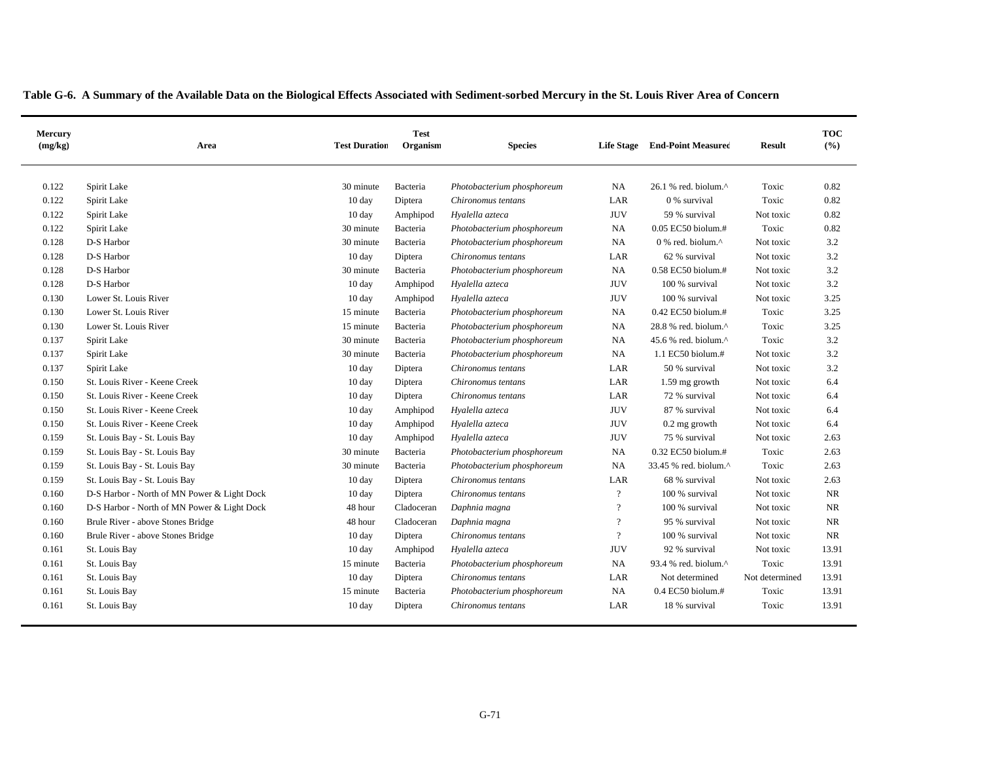| Mercury<br>(mg/kg) | Area                                        | <b>Test Duration</b> | <b>Test</b><br>Organism | <b>Species</b>             |                | Life Stage End-Point Measured                        | <b>Result</b>  | <b>TOC</b><br>(%) |
|--------------------|---------------------------------------------|----------------------|-------------------------|----------------------------|----------------|------------------------------------------------------|----------------|-------------------|
| 0.122              | Spirit Lake                                 | 30 minute            | Bacteria                | Photobacterium phosphoreum | NA             | $26.1$ % red. biolum. <sup><math>\wedge</math></sup> | Toxic          | 0.82              |
| 0.122              | Spirit Lake                                 | 10 day               | Diptera                 | Chironomus tentans         | LAR            | 0 % survival                                         | Toxic          | 0.82              |
| 0.122              | Spirit Lake                                 | 10 day               | Amphipod                | Hyalella azteca            | <b>JUV</b>     | 59 % survival                                        | Not toxic      | 0.82              |
| 0.122              | Spirit Lake                                 | 30 minute            | Bacteria                | Photobacterium phosphoreum | NA             | $0.05$ EC50 biolum.#                                 | Toxic          | 0.82              |
| 0.128              | D-S Harbor                                  | 30 minute            | Bacteria                | Photobacterium phosphoreum | NA             | $0\%$ red. biolum. $^{\wedge}$                       | Not toxic      | 3.2               |
| 0.128              | D-S Harbor                                  | 10 day               | Diptera                 | Chironomus tentans         | LAR            | 62 % survival                                        | Not toxic      | 3.2               |
| 0.128              | D-S Harbor                                  | 30 minute            | Bacteria                | Photobacterium phosphoreum | NA             | 0.58 EC50 biolum.#                                   | Not toxic      | 3.2               |
| 0.128              | D-S Harbor                                  | 10 day               | Amphipod                | Hyalella azteca            | <b>JUV</b>     | 100 % survival                                       | Not toxic      | 3.2               |
| 0.130              | Lower St. Louis River                       | 10 day               | Amphipod                | Hyalella azteca            | <b>JUV</b>     | 100 % survival                                       | Not toxic      | 3.25              |
| 0.130              | Lower St. Louis River                       | 15 minute            | Bacteria                | Photobacterium phosphoreum | NA             | 0.42 EC50 biolum.#                                   | Toxic          | 3.25              |
| 0.130              | Lower St. Louis River                       | 15 minute            | Bacteria                | Photobacterium phosphoreum | NA             | 28.8 % red. biolum.^                                 | Toxic          | 3.25              |
| 0.137              | Spirit Lake                                 | 30 minute            | Bacteria                | Photobacterium phosphoreum | NA             | 45.6 % red. biolum.^                                 | Toxic          | 3.2               |
| 0.137              | Spirit Lake                                 | 30 minute            | Bacteria                | Photobacterium phosphoreum | NA             | 1.1 EC50 biolum.#                                    | Not toxic      | 3.2               |
| 0.137              | Spirit Lake                                 | 10 day               | Diptera                 | Chironomus tentans         | LAR            | 50 % survival                                        | Not toxic      | 3.2               |
| 0.150              | St. Louis River - Keene Creek               | 10 day               | Diptera                 | Chironomus tentans         | LAR            | 1.59 mg growth                                       | Not toxic      | 6.4               |
| 0.150              | St. Louis River - Keene Creek               | 10 day               | Diptera                 | Chironomus tentans         | LAR            | 72 % survival                                        | Not toxic      | 6.4               |
| 0.150              | St. Louis River - Keene Creek               | 10 day               | Amphipod                | Hyalella azteca            | <b>JUV</b>     | 87 % survival                                        | Not toxic      | 6.4               |
| 0.150              | St. Louis River - Keene Creek               | 10 day               | Amphipod                | Hyalella azteca            | <b>JUV</b>     | $0.2$ mg growth                                      | Not toxic      | 6.4               |
| 0.159              | St. Louis Bay - St. Louis Bay               | 10 day               | Amphipod                | Hyalella azteca            | <b>JUV</b>     | 75 % survival                                        | Not toxic      | 2.63              |
| 0.159              | St. Louis Bay - St. Louis Bay               | 30 minute            | Bacteria                | Photobacterium phosphoreum | NA             | 0.32 EC50 biolum.#                                   | Toxic          | 2.63              |
| 0.159              | St. Louis Bay - St. Louis Bay               | 30 minute            | Bacteria                | Photobacterium phosphoreum | NA             | 33.45 % red. biolum.^                                | Toxic          | 2.63              |
| 0.159              | St. Louis Bay - St. Louis Bay               | 10 day               | Diptera                 | Chironomus tentans         | LAR            | 68 % survival                                        | Not toxic      | 2.63              |
| 0.160              | D-S Harbor - North of MN Power & Light Dock | $10 \text{ day}$     | Diptera                 | Chironomus tentans         | $\overline{?}$ | 100 % survival                                       | Not toxic      | $\rm NR$          |
| 0.160              | D-S Harbor - North of MN Power & Light Dock | 48 hour              | Cladoceran              | Daphnia magna              | $\overline{?}$ | 100 % survival                                       | Not toxic      | $\rm NR$          |
| 0.160              | Brule River - above Stones Bridge           | 48 hour              | Cladoceran              | Daphnia magna              | $\overline{?}$ | 95 % survival                                        | Not toxic      | <b>NR</b>         |
| 0.160              | Brule River - above Stones Bridge           | 10 day               | Diptera                 | Chironomus tentans         | $\overline{?}$ | 100 % survival                                       | Not toxic      | $\rm NR$          |
| 0.161              | St. Louis Bay                               | 10 day               | Amphipod                | Hyalella azteca            | <b>JUV</b>     | 92 % survival                                        | Not toxic      | 13.91             |
| 0.161              | St. Louis Bay                               | 15 minute            | Bacteria                | Photobacterium phosphoreum | NA             | 93.4 % red. biolum.^                                 | Toxic          | 13.91             |
| 0.161              | St. Louis Bay                               | 10 day               | Diptera                 | Chironomus tentans         | LAR            | Not determined                                       | Not determined | 13.91             |
| 0.161              | St. Louis Bay                               | 15 minute            | Bacteria                | Photobacterium phosphoreum | NA             | 0.4 EC50 biolum.#                                    | Toxic          | 13.91             |
| 0.161              | St. Louis Bay                               | 10 day               | Diptera                 | Chironomus tentans         | LAR            | 18 % survival                                        | Toxic          | 13.91             |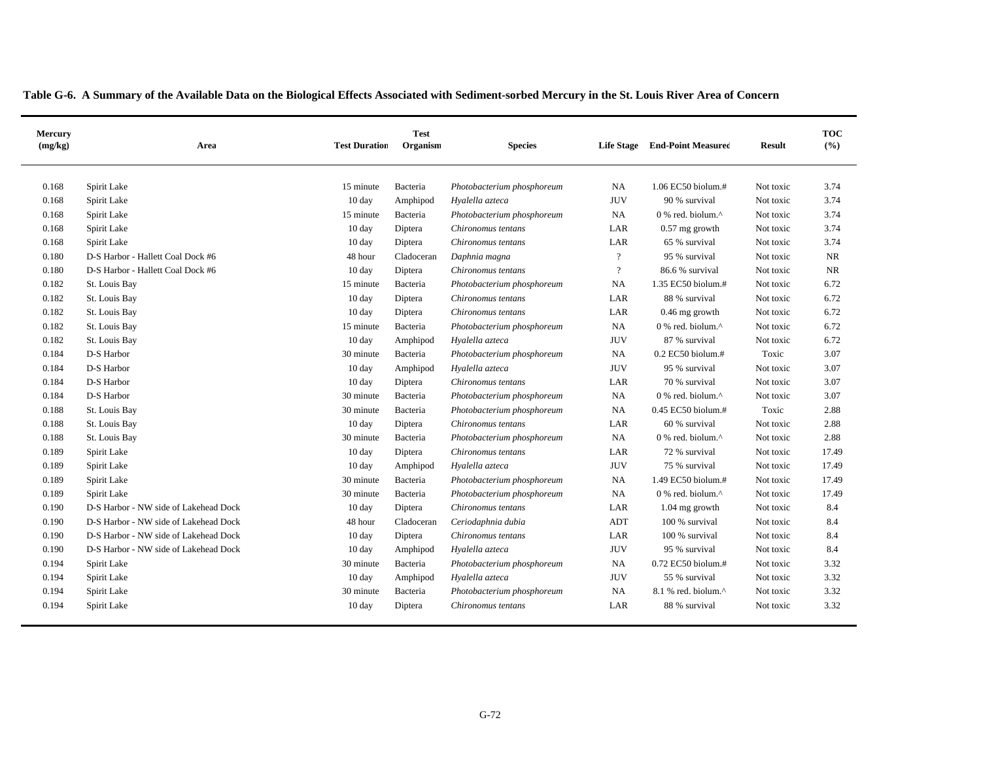| Mercury<br>(mg/kg) | Area                                  | <b>Test Duration</b> | <b>Test</b><br>Organism | <b>Species</b>             | <b>Life Stage</b> | <b>End-Point Measured</b> | <b>Result</b> | <b>TOC</b><br>(%) |
|--------------------|---------------------------------------|----------------------|-------------------------|----------------------------|-------------------|---------------------------|---------------|-------------------|
| 0.168              | Spirit Lake                           | 15 minute            | Bacteria                | Photobacterium phosphoreum | <b>NA</b>         | 1.06 EC50 biolum.#        | Not toxic     | 3.74              |
| 0.168              | Spirit Lake                           | 10 day               | Amphipod                | Hyalella azteca            | <b>JUV</b>        | 90 % survival             | Not toxic     | 3.74              |
| 0.168              | Spirit Lake                           | 15 minute            | Bacteria                | Photobacterium phosphoreum | NA                | 0 % red. biolum.^         | Not toxic     | 3.74              |
| 0.168              | Spirit Lake                           | $10 \text{ day}$     | Diptera                 | Chironomus tentans         | LAR               | $0.57$ mg growth          | Not toxic     | 3.74              |
| 0.168              | Spirit Lake                           | $10 \text{ day}$     | Diptera                 | Chironomus tentans         | LAR               | 65 % survival             | Not toxic     | 3.74              |
| 0.180              | D-S Harbor - Hallett Coal Dock #6     | 48 hour              | Cladoceran              | Daphnia magna              | $\overline{?}$    | 95 % survival             | Not toxic     | NR                |
| 0.180              | D-S Harbor - Hallett Coal Dock #6     | 10 day               | Diptera                 | Chironomus tentans         | $\overline{?}$    | 86.6 % survival           | Not toxic     | <b>NR</b>         |
| 0.182              | St. Louis Bay                         | 15 minute            | Bacteria                | Photobacterium phosphoreum | NA                | 1.35 EC50 biolum.#        | Not toxic     | 6.72              |
| 0.182              | St. Louis Bay                         | 10 day               | Diptera                 | Chironomus tentans         | LAR               | 88 % survival             | Not toxic     | 6.72              |
| 0.182              | St. Louis Bay                         | $10 \text{ day}$     | Diptera                 | Chironomus tentans         | LAR               | $0.46$ mg growth          | Not toxic     | 6.72              |
| 0.182              | St. Louis Bay                         | 15 minute            | Bacteria                | Photobacterium phosphoreum | NA                | 0 % red. biolum.^         | Not toxic     | 6.72              |
| 0.182              | St. Louis Bay                         | 10 day               | Amphipod                | Hyalella azteca            | <b>JUV</b>        | 87 % survival             | Not toxic     | 6.72              |
| 0.184              | D-S Harbor                            | 30 minute            | Bacteria                | Photobacterium phosphoreum | NA                | 0.2 EC50 biolum.#         | Toxic         | 3.07              |
| 0.184              | D-S Harbor                            | 10 day               | Amphipod                | Hyalella azteca            | <b>JUV</b>        | 95 % survival             | Not toxic     | 3.07              |
| 0.184              | D-S Harbor                            | 10 day               | Diptera                 | Chironomus tentans         | LAR               | 70 % survival             | Not toxic     | 3.07              |
| 0.184              | D-S Harbor                            | 30 minute            | Bacteria                | Photobacterium phosphoreum | NA                | 0 % red. biolum.^         | Not toxic     | 3.07              |
| 0.188              | St. Louis Bay                         | 30 minute            | Bacteria                | Photobacterium phosphoreum | NA                | 0.45 EC50 biolum.#        | Toxic         | 2.88              |
| 0.188              | St. Louis Bay                         | 10 day               | Diptera                 | Chironomus tentans         | LAR               | 60 % survival             | Not toxic     | 2.88              |
| 0.188              | St. Louis Bay                         | 30 minute            | Bacteria                | Photobacterium phosphoreum | NA                | 0 % red. biolum.^         | Not toxic     | 2.88              |
| 0.189              | Spirit Lake                           | 10 day               | Diptera                 | Chironomus tentans         | LAR               | 72 % survival             | Not toxic     | 17.49             |
| 0.189              | Spirit Lake                           | 10 day               | Amphipod                | Hyalella azteca            | <b>JUV</b>        | 75 % survival             | Not toxic     | 17.49             |
| 0.189              | Spirit Lake                           | 30 minute            | Bacteria                | Photobacterium phosphoreum | NA                | 1.49 EC50 biolum.#        | Not toxic     | 17.49             |
| 0.189              | Spirit Lake                           | 30 minute            | Bacteria                | Photobacterium phosphoreum | NA                | 0 % red. biolum.^         | Not toxic     | 17.49             |
| 0.190              | D-S Harbor - NW side of Lakehead Dock | 10 day               | Diptera                 | Chironomus tentans         | LAR               | 1.04 mg growth            | Not toxic     | 8.4               |
| 0.190              | D-S Harbor - NW side of Lakehead Dock | 48 hour              | Cladoceran              | Ceriodaphnia dubia         | ADT               | 100 % survival            | Not toxic     | 8.4               |
| 0.190              | D-S Harbor - NW side of Lakehead Dock | $10 \text{ day}$     | Diptera                 | Chironomus tentans         | LAR               | 100 % survival            | Not toxic     | 8.4               |
| 0.190              | D-S Harbor - NW side of Lakehead Dock | $10 \text{ day}$     | Amphipod                | Hyalella azteca            | <b>JUV</b>        | 95 % survival             | Not toxic     | 8.4               |
| 0.194              | Spirit Lake                           | 30 minute            | Bacteria                | Photobacterium phosphoreum | NA                | 0.72 EC50 biolum.#        | Not toxic     | 3.32              |
| 0.194              | Spirit Lake                           | 10 day               | Amphipod                | Hyalella azteca            | <b>JUV</b>        | 55 % survival             | Not toxic     | 3.32              |
| 0.194              | Spirit Lake                           | 30 minute            | Bacteria                | Photobacterium phosphoreum | NA                | 8.1 % red. biolum.^       | Not toxic     | 3.32              |
| 0.194              | Spirit Lake                           | 10 day               | Diptera                 | Chironomus tentans         | LAR               | 88 % survival             | Not toxic     | 3.32              |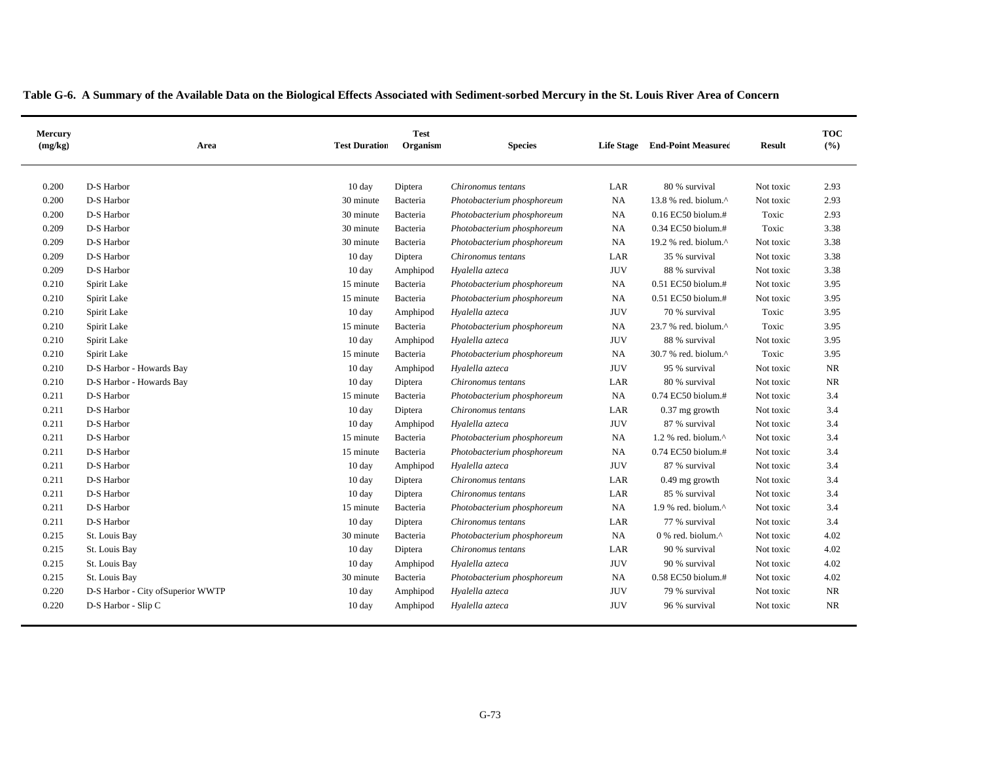| Mercury<br>(mg/kg) | Area                               | <b>Test Duration</b> | <b>Test</b><br>Organism | <b>Species</b>             | <b>Life Stage</b> | <b>End-Point Measured</b> | <b>Result</b> | <b>TOC</b><br>(%) |
|--------------------|------------------------------------|----------------------|-------------------------|----------------------------|-------------------|---------------------------|---------------|-------------------|
| 0.200              | D-S Harbor                         | 10 day               | Diptera                 | Chironomus tentans         | LAR               | 80 % survival             | Not toxic     | 2.93              |
| 0.200              | D-S Harbor                         | 30 minute            | Bacteria                | Photobacterium phosphoreum | $_{\rm NA}$       | 13.8 % red. biolum.^      | Not toxic     | 2.93              |
| 0.200              | D-S Harbor                         | 30 minute            | Bacteria                | Photobacterium phosphoreum | $_{\rm NA}$       | 0.16 EC50 biolum.#        | Toxic         | 2.93              |
| 0.209              | D-S Harbor                         | 30 minute            | Bacteria                | Photobacterium phosphoreum | NA                | 0.34 EC50 biolum.#        | Toxic         | 3.38              |
| 0.209              | D-S Harbor                         | 30 minute            | Bacteria                | Photobacterium phosphoreum | NA                | 19.2 % red. biolum.^      | Not toxic     | 3.38              |
| 0.209              | D-S Harbor                         | 10 day               | Diptera                 | Chironomus tentans         | LAR               | 35 % survival             | Not toxic     | 3.38              |
| 0.209              | D-S Harbor                         | 10 day               | Amphipod                | Hyalella azteca            | <b>JUV</b>        | 88 % survival             | Not toxic     | 3.38              |
| 0.210              | Spirit Lake                        | 15 minute            | Bacteria                | Photobacterium phosphoreum | NA                | 0.51 EC50 biolum.#        | Not toxic     | 3.95              |
| 0.210              | Spirit Lake                        | 15 minute            | Bacteria                | Photobacterium phosphoreum | NA                | 0.51 EC50 biolum.#        | Not toxic     | 3.95              |
| 0.210              | Spirit Lake                        | 10 day               | Amphipod                | Hyalella azteca            | <b>JUV</b>        | 70 % survival             | Toxic         | 3.95              |
| 0.210              | Spirit Lake                        | 15 minute            | Bacteria                | Photobacterium phosphoreum | NA                | 23.7 % red. biolum.^      | Toxic         | 3.95              |
| 0.210              | Spirit Lake                        | $10 \text{ day}$     | Amphipod                | Hyalella azteca            | <b>JUV</b>        | 88 % survival             | Not toxic     | 3.95              |
| 0.210              | Spirit Lake                        | 15 minute            | Bacteria                | Photobacterium phosphoreum | NA                | 30.7 % red. biolum.^      | Toxic         | 3.95              |
| 0.210              | D-S Harbor - Howards Bay           | 10 day               | Amphipod                | Hyalella azteca            | $\rm JUV$         | 95 % survival             | Not toxic     | <b>NR</b>         |
| 0.210              | D-S Harbor - Howards Bay           | 10 day               | Diptera                 | Chironomus tentans         | LAR               | 80 % survival             | Not toxic     | <b>NR</b>         |
| 0.211              | D-S Harbor                         | 15 minute            | Bacteria                | Photobacterium phosphoreum | NA                | 0.74 EC50 biolum.#        | Not toxic     | 3.4               |
| 0.211              | D-S Harbor                         | 10 day               | Diptera                 | Chironomus tentans         | LAR               | $0.37$ mg growth          | Not toxic     | 3.4               |
| 0.211              | D-S Harbor                         | 10 day               | Amphipod                | Hyalella azteca            | <b>JUV</b>        | 87 % survival             | Not toxic     | 3.4               |
| 0.211              | D-S Harbor                         | 15 minute            | Bacteria                | Photobacterium phosphoreum | NA                | 1.2 % red. biolum.^       | Not toxic     | 3.4               |
| 0.211              | D-S Harbor                         | 15 minute            | Bacteria                | Photobacterium phosphoreum | NA                | 0.74 EC50 biolum.#        | Not toxic     | 3.4               |
| 0.211              | D-S Harbor                         | 10 day               | Amphipod                | Hyalella azteca            | <b>JUV</b>        | 87 % survival             | Not toxic     | 3.4               |
| 0.211              | D-S Harbor                         | 10 day               | Diptera                 | Chironomus tentans         | LAR               | $0.49$ mg growth          | Not toxic     | 3.4               |
| 0.211              | D-S Harbor                         | 10 day               | Diptera                 | Chironomus tentans         | LAR               | 85 % survival             | Not toxic     | 3.4               |
| 0.211              | D-S Harbor                         | 15 minute            | Bacteria                | Photobacterium phosphoreum | NA                | 1.9 % red. biolum.^       | Not toxic     | 3.4               |
| 0.211              | D-S Harbor                         | 10 day               | Diptera                 | Chironomus tentans         | LAR               | 77 % survival             | Not toxic     | 3.4               |
| 0.215              | St. Louis Bay                      | 30 minute            | Bacteria                | Photobacterium phosphoreum | NA                | 0 % red. biolum.^         | Not toxic     | 4.02              |
| 0.215              | St. Louis Bay                      | 10 day               | Diptera                 | Chironomus tentans         | LAR               | 90 % survival             | Not toxic     | 4.02              |
| 0.215              | St. Louis Bay                      | $10 \text{ day}$     | Amphipod                | Hyalella azteca            | <b>JUV</b>        | 90 % survival             | Not toxic     | 4.02              |
| 0.215              | St. Louis Bay                      | 30 minute            | Bacteria                | Photobacterium phosphoreum | NA                | $0.58$ EC50 biolum.#      | Not toxic     | 4.02              |
| 0.220              | D-S Harbor - City of Superior WWTP | 10 day               | Amphipod                | Hyalella azteca            | <b>JUV</b>        | 79 % survival             | Not toxic     | NR                |
| 0.220              | D-S Harbor - Slip C                | 10 day               | Amphipod                | Hyalella azteca            | <b>JUV</b>        | 96 % survival             | Not toxic     | <b>NR</b>         |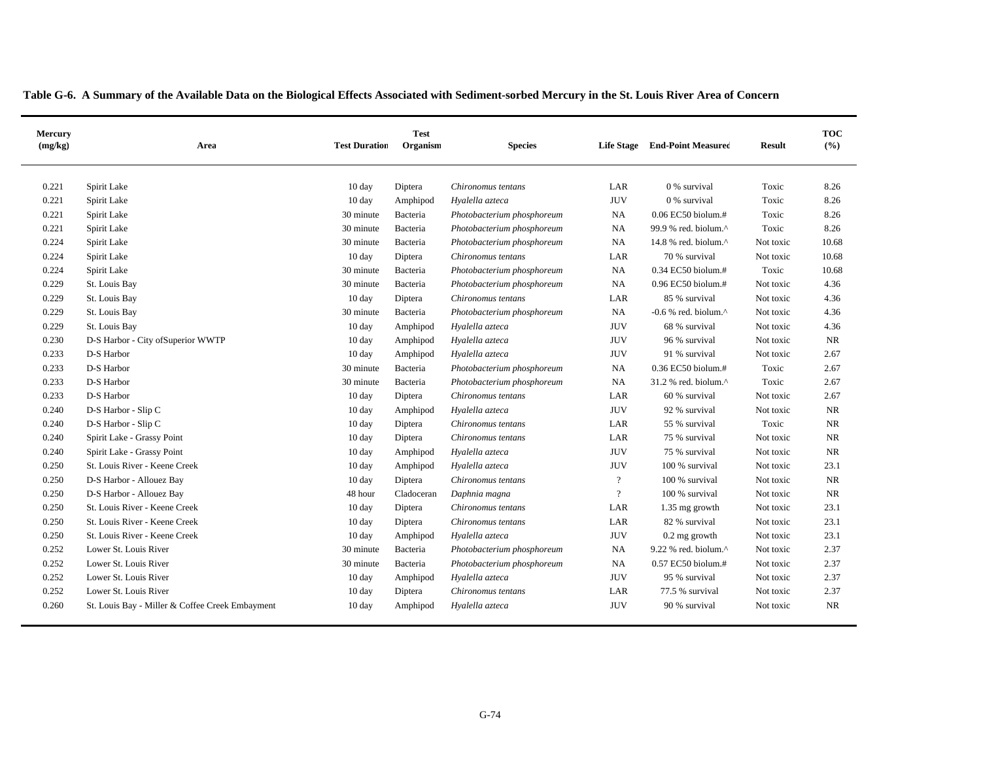| Mercury<br>(mg/kg) | Area                                            | <b>Test Duration</b> | <b>Test</b><br>Organism | <b>Species</b>             | <b>Life Stage</b> | <b>End-Point Measured</b>       | <b>Result</b> | <b>TOC</b><br>(%) |
|--------------------|-------------------------------------------------|----------------------|-------------------------|----------------------------|-------------------|---------------------------------|---------------|-------------------|
| 0.221              | Spirit Lake                                     | 10 day               | Diptera                 | Chironomus tentans         | LAR               | 0 % survival                    | Toxic         | 8.26              |
| 0.221              | Spirit Lake                                     | 10 day               | Amphipod                | Hyalella azteca            | <b>JUV</b>        | 0 % survival                    | Toxic         | 8.26              |
| 0.221              | Spirit Lake                                     | 30 minute            | Bacteria                | Photobacterium phosphoreum | NA                | 0.06 EC50 biolum.#              | Toxic         | 8.26              |
| 0.221              | Spirit Lake                                     | 30 minute            | Bacteria                | Photobacterium phosphoreum | NA                | 99.9 % red. biolum.^            | Toxic         | 8.26              |
| 0.224              | Spirit Lake                                     | 30 minute            | Bacteria                | Photobacterium phosphoreum | NA                | 14.8 % red. biolum. $^{\wedge}$ | Not toxic     | 10.68             |
| 0.224              | Spirit Lake                                     | 10 day               | Diptera                 | Chironomus tentans         | LAR               | 70 % survival                   | Not toxic     | 10.68             |
| 0.224              | Spirit Lake                                     | 30 minute            | Bacteria                | Photobacterium phosphoreum | NA                | 0.34 EC50 biolum.#              | Toxic         | 10.68             |
| 0.229              | St. Louis Bay                                   | 30 minute            | Bacteria                | Photobacterium phosphoreum | NA                | 0.96 EC50 biolum.#              | Not toxic     | 4.36              |
| 0.229              | St. Louis Bay                                   | 10 day               | Diptera                 | Chironomus tentans         | LAR               | 85 % survival                   | Not toxic     | 4.36              |
| 0.229              | St. Louis Bay                                   | 30 minute            | Bacteria                | Photobacterium phosphoreum | NA                | -0.6 % red. biolum. $^{\wedge}$ | Not toxic     | 4.36              |
| 0.229              | St. Louis Bay                                   | $10 \text{ day}$     | Amphipod                | Hyalella azteca            | <b>JUV</b>        | 68 % survival                   | Not toxic     | 4.36              |
| 0.230              | D-S Harbor - City of Superior WWTP              | $10 \text{ day}$     | Amphipod                | Hyalella azteca            | <b>JUV</b>        | 96 % survival                   | Not toxic     | <b>NR</b>         |
| 0.233              | D-S Harbor                                      | 10 day               | Amphipod                | Hyalella azteca            | <b>JUV</b>        | 91 % survival                   | Not toxic     | 2.67              |
| 0.233              | D-S Harbor                                      | 30 minute            | Bacteria                | Photobacterium phosphoreum | $_{\rm NA}$       | 0.36 EC50 biolum.#              | Toxic         | 2.67              |
| 0.233              | D-S Harbor                                      | 30 minute            | Bacteria                | Photobacterium phosphoreum | NA                | 31.2 % red. biolum.^            | Toxic         | 2.67              |
| 0.233              | D-S Harbor                                      | 10 day               | Diptera                 | Chironomus tentans         | LAR               | 60 % survival                   | Not toxic     | 2.67              |
| 0.240              | D-S Harbor - Slip C                             | 10 day               | Amphipod                | Hyalella azteca            | <b>JUV</b>        | 92 % survival                   | Not toxic     | <b>NR</b>         |
| 0.240              | D-S Harbor - Slip C                             | 10 day               | Diptera                 | Chironomus tentans         | LAR               | 55 % survival                   | Toxic         | $\rm NR$          |
| 0.240              | Spirit Lake - Grassy Point                      | 10 day               | Diptera                 | Chironomus tentans         | LAR               | 75 % survival                   | Not toxic     | $\rm NR$          |
| 0.240              | Spirit Lake - Grassy Point                      | 10 day               | Amphipod                | Hyalella azteca            | <b>JUV</b>        | 75 % survival                   | Not toxic     | <b>NR</b>         |
| 0.250              | St. Louis River - Keene Creek                   | 10 day               | Amphipod                | Hyalella azteca            | <b>JUV</b>        | 100 % survival                  | Not toxic     | 23.1              |
| 0.250              | D-S Harbor - Allouez Bay                        | 10 day               | Diptera                 | Chironomus tentans         | $\overline{?}$    | 100 % survival                  | Not toxic     | $\rm NR$          |
| 0.250              | D-S Harbor - Allouez Bay                        | 48 hour              | Cladoceran              | Daphnia magna              | $\overline{?}$    | 100 % survival                  | Not toxic     | <b>NR</b>         |
| 0.250              | St. Louis River - Keene Creek                   | 10 day               | Diptera                 | Chironomus tentans         | LAR               | 1.35 mg growth                  | Not toxic     | 23.1              |
| 0.250              | St. Louis River - Keene Creek                   | 10 day               | Diptera                 | Chironomus tentans         | LAR               | 82 % survival                   | Not toxic     | 23.1              |
| 0.250              | St. Louis River - Keene Creek                   | $10 \text{ day}$     | Amphipod                | Hyalella azteca            | $\rm JUV$         | $0.2$ mg growth                 | Not toxic     | 23.1              |
| 0.252              | Lower St. Louis River                           | 30 minute            | Bacteria                | Photobacterium phosphoreum | NA                | 9.22 % red. biolum.^            | Not toxic     | 2.37              |
| 0.252              | Lower St. Louis River                           | 30 minute            | Bacteria                | Photobacterium phosphoreum | NA                | 0.57 EC50 biolum.#              | Not toxic     | 2.37              |
| 0.252              | Lower St. Louis River                           | 10 day               | Amphipod                | Hyalella azteca            | <b>JUV</b>        | 95 % survival                   | Not toxic     | 2.37              |
| 0.252              | Lower St. Louis River                           | 10 day               | Diptera                 | Chironomus tentans         | LAR               | 77.5 % survival                 | Not toxic     | 2.37              |
| 0.260              | St. Louis Bay - Miller & Coffee Creek Embayment | $10 \text{ day}$     | Amphipod                | Hyalella azteca            | <b>JUV</b>        | 90 % survival                   | Not toxic     | <b>NR</b>         |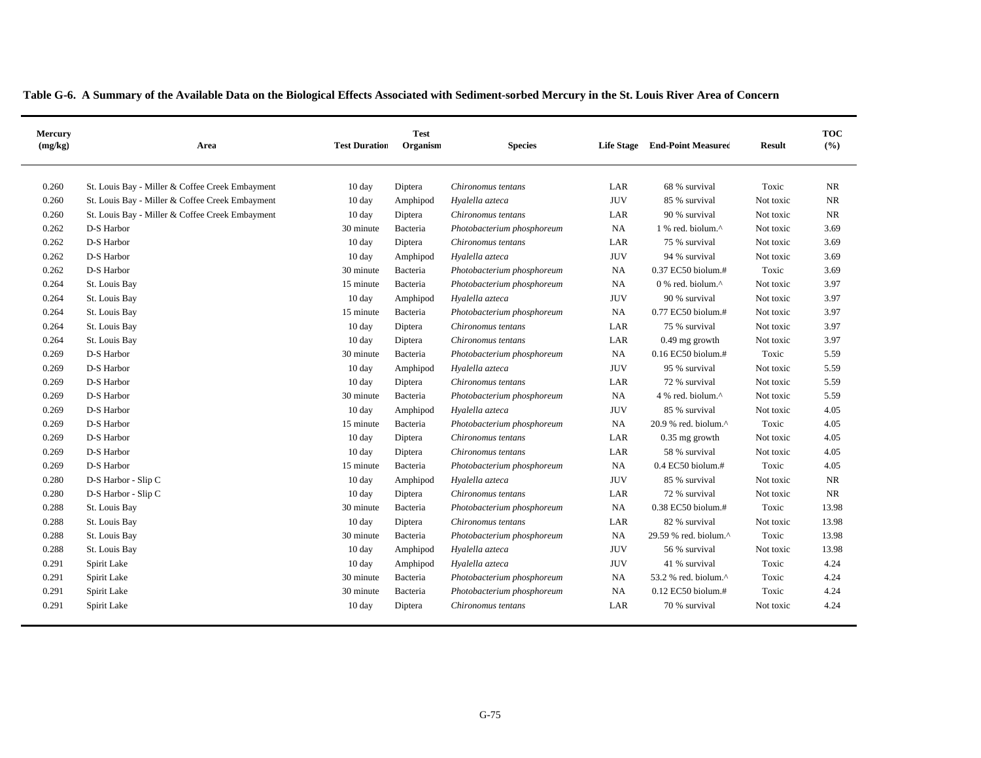|  | Table G-6. A Summary of the Available Data on the Biological Effects Associated with Sediment-sorbed Mercury in the St. Louis River Area of Concern |  |
|--|-----------------------------------------------------------------------------------------------------------------------------------------------------|--|
|--|-----------------------------------------------------------------------------------------------------------------------------------------------------|--|

| Mercury<br>(mg/kg) | Area                                            | <b>Test Duration</b> | <b>Test</b><br>Organism | <b>Species</b>             | <b>Life Stage</b> | <b>End-Point Measured</b>                            | <b>Result</b> | <b>TOC</b><br>(%) |
|--------------------|-------------------------------------------------|----------------------|-------------------------|----------------------------|-------------------|------------------------------------------------------|---------------|-------------------|
| 0.260              | St. Louis Bay - Miller & Coffee Creek Embayment | 10 day               | Diptera                 | Chironomus tentans         | LAR               | 68 % survival                                        | Toxic         | <b>NR</b>         |
| 0.260              | St. Louis Bay - Miller & Coffee Creek Embayment | 10 day               | Amphipod                | Hyalella azteca            | <b>JUV</b>        | 85 % survival                                        | Not toxic     | NR                |
| 0.260              | St. Louis Bay - Miller & Coffee Creek Embayment | 10 day               | Diptera                 | Chironomus tentans         | LAR               | 90 % survival                                        | Not toxic     | <b>NR</b>         |
| 0.262              | D-S Harbor                                      | 30 minute            | Bacteria                | Photobacterium phosphoreum | NA                | 1 % red. biolum.^                                    | Not toxic     | 3.69              |
| 0.262              | D-S Harbor                                      | $10 \text{ day}$     | Diptera                 | Chironomus tentans         | LAR               | 75 % survival                                        | Not toxic     | 3.69              |
| 0.262              | D-S Harbor                                      | 10 day               | Amphipod                | Hyalella azteca            | <b>JUV</b>        | 94 % survival                                        | Not toxic     | 3.69              |
| 0.262              | D-S Harbor                                      | 30 minute            | Bacteria                | Photobacterium phosphoreum | <b>NA</b>         | 0.37 EC50 biolum.#                                   | Toxic         | 3.69              |
| 0.264              | St. Louis Bay                                   | 15 minute            | Bacteria                | Photobacterium phosphoreum | NA                | 0 % red. biolum.^                                    | Not toxic     | 3.97              |
| 0.264              | St. Louis Bay                                   | 10 day               | Amphipod                | Hyalella azteca            | <b>JUV</b>        | 90 % survival                                        | Not toxic     | 3.97              |
| 0.264              | St. Louis Bay                                   | 15 minute            | Bacteria                | Photobacterium phosphoreum | <b>NA</b>         | 0.77 EC50 biolum.#                                   | Not toxic     | 3.97              |
| 0.264              | St. Louis Bay                                   | 10 day               | Diptera                 | Chironomus tentans         | LAR               | 75 % survival                                        | Not toxic     | 3.97              |
| 0.264              | St. Louis Bay                                   | 10 day               | Diptera                 | Chironomus tentans         | LAR               | $0.49$ mg growth                                     | Not toxic     | 3.97              |
| 0.269              | D-S Harbor                                      | 30 minute            | Bacteria                | Photobacterium phosphoreum | <b>NA</b>         | $0.16$ EC50 biolum.#                                 | Toxic         | 5.59              |
| 0.269              | D-S Harbor                                      | 10 day               | Amphipod                | Hyalella azteca            | <b>JUV</b>        | 95 % survival                                        | Not toxic     | 5.59              |
| 0.269              | D-S Harbor                                      | 10 day               | Diptera                 | Chironomus tentans         | LAR               | 72 % survival                                        | Not toxic     | 5.59              |
| 0.269              | D-S Harbor                                      | 30 minute            | Bacteria                | Photobacterium phosphoreum | NA                | 4 % red. biolum.^                                    | Not toxic     | 5.59              |
| 0.269              | D-S Harbor                                      | 10 day               | Amphipod                | Hyalella azteca            | <b>JUV</b>        | 85 % survival                                        | Not toxic     | 4.05              |
| 0.269              | D-S Harbor                                      | 15 minute            | Bacteria                | Photobacterium phosphoreum | NA                | $20.9$ % red. biolum. <sup><math>\wedge</math></sup> | Toxic         | 4.05              |
| 0.269              | D-S Harbor                                      | 10 day               | Diptera                 | Chironomus tentans         | LAR               | $0.35$ mg growth                                     | Not toxic     | 4.05              |
| 0.269              | D-S Harbor                                      | 10 day               | Diptera                 | Chironomus tentans         | LAR               | 58 % survival                                        | Not toxic     | 4.05              |
| 0.269              | D-S Harbor                                      | 15 minute            | Bacteria                | Photobacterium phosphoreum | <b>NA</b>         | $0.4$ EC50 biolum.#                                  | Toxic         | 4.05              |
| 0.280              | D-S Harbor - Slip C                             | 10 day               | Amphipod                | Hyalella azteca            | <b>JUV</b>        | 85 % survival                                        | Not toxic     | NR                |
| 0.280              | D-S Harbor - Slip C                             | 10 day               | Diptera                 | Chironomus tentans         | LAR               | 72 % survival                                        | Not toxic     | NR                |
| 0.288              | St. Louis Bay                                   | 30 minute            | Bacteria                | Photobacterium phosphoreum | NA                | 0.38 EC50 biolum.#                                   | Toxic         | 13.98             |
| 0.288              | St. Louis Bay                                   | 10 day               | Diptera                 | Chironomus tentans         | LAR               | 82 % survival                                        | Not toxic     | 13.98             |
| 0.288              | St. Louis Bay                                   | 30 minute            | Bacteria                | Photobacterium phosphoreum | <b>NA</b>         | 29.59 % red. biolum.^                                | Toxic         | 13.98             |
| 0.288              | St. Louis Bay                                   | 10 day               | Amphipod                | Hyalella azteca            | <b>JUV</b>        | 56 % survival                                        | Not toxic     | 13.98             |
| 0.291              | Spirit Lake                                     | 10 day               | Amphipod                | Hyalella azteca            | <b>JUV</b>        | 41 % survival                                        | Toxic         | 4.24              |
| 0.291              | Spirit Lake                                     | 30 minute            | Bacteria                | Photobacterium phosphoreum | NA                | 53.2 % red. biolum.^                                 | Toxic         | 4.24              |
| 0.291              | Spirit Lake                                     | 30 minute            | Bacteria                | Photobacterium phosphoreum | NA                | $0.12$ EC50 biolum.#                                 | Toxic         | 4.24              |
| 0.291              | Spirit Lake                                     | 10 day               | Diptera                 | Chironomus tentans         | LAR               | 70 % survival                                        | Not toxic     | 4.24              |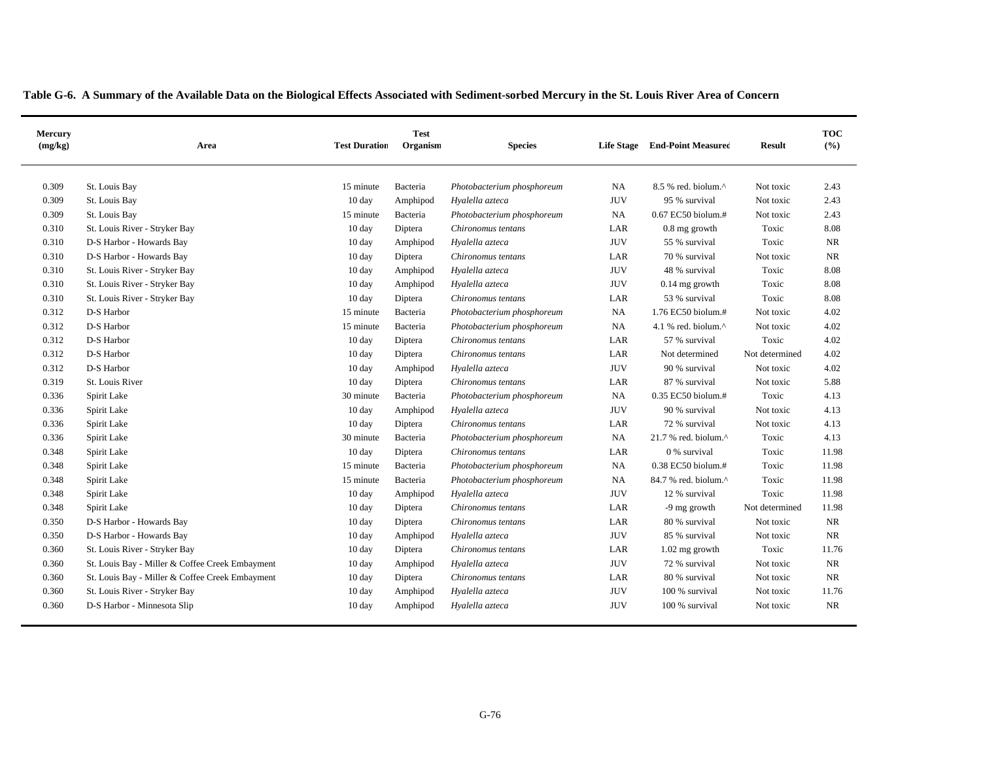| Mercury<br>(mg/kg) | Area                                            | <b>Test Duration</b> | <b>Test</b><br>Organism | <b>Species</b>             |             | Life Stage End-Point Measured | <b>Result</b>  | <b>TOC</b><br>(%) |
|--------------------|-------------------------------------------------|----------------------|-------------------------|----------------------------|-------------|-------------------------------|----------------|-------------------|
| 0.309              | St. Louis Bay                                   | 15 minute            | Bacteria                | Photobacterium phosphoreum | NA          | 8.5 % red. biolum.^           | Not toxic      | 2.43              |
| 0.309              | St. Louis Bay                                   | 10 day               | Amphipod                | Hyalella azteca            | <b>JUV</b>  | 95 % survival                 | Not toxic      | 2.43              |
| 0.309              | St. Louis Bay                                   | 15 minute            | Bacteria                | Photobacterium phosphoreum | NA          | 0.67 EC50 biolum.#            | Not toxic      | 2.43              |
| 0.310              | St. Louis River - Stryker Bay                   | 10 day               | Diptera                 | Chironomus tentans         | LAR         | 0.8 mg growth                 | Toxic          | 8.08              |
| 0.310              | D-S Harbor - Howards Bay                        | 10 day               | Amphipod                | Hyalella azteca            | <b>JUV</b>  | 55 % survival                 | Toxic          | <b>NR</b>         |
| 0.310              | D-S Harbor - Howards Bay                        | 10 day               | Diptera                 | Chironomus tentans         | LAR         | 70 % survival                 | Not toxic      | <b>NR</b>         |
| 0.310              | St. Louis River - Stryker Bay                   | 10 day               | Amphipod                | Hyalella azteca            | <b>JUV</b>  | 48 % survival                 | Toxic          | 8.08              |
| 0.310              | St. Louis River - Stryker Bay                   | $10 \text{ day}$     | Amphipod                | Hyalella azteca            | <b>JUV</b>  | $0.14$ mg growth              | Toxic          | 8.08              |
| 0.310              | St. Louis River - Stryker Bay                   | 10 day               | Diptera                 | Chironomus tentans         | LAR         | 53 % survival                 | Toxic          | 8.08              |
| 0.312              | D-S Harbor                                      | 15 minute            | Bacteria                | Photobacterium phosphoreum | NA          | 1.76 EC50 biolum.#            | Not toxic      | 4.02              |
| 0.312              | D-S Harbor                                      | 15 minute            | Bacteria                | Photobacterium phosphoreum | NA          | 4.1 % red. biolum.^           | Not toxic      | 4.02              |
| 0.312              | D-S Harbor                                      | 10 day               | Diptera                 | Chironomus tentans         | LAR         | 57 % survival                 | Toxic          | 4.02              |
| 0.312              | D-S Harbor                                      | 10 day               | Diptera                 | Chironomus tentans         | LAR         | Not determined                | Not determined | 4.02              |
| 0.312              | D-S Harbor                                      | 10 day               | Amphipod                | Hyalella azteca            | <b>JUV</b>  | 90 % survival                 | Not toxic      | 4.02              |
| 0.319              | St. Louis River                                 | 10 day               | Diptera                 | Chironomus tentans         | LAR         | 87 % survival                 | Not toxic      | 5.88              |
| 0.336              | Spirit Lake                                     | 30 minute            | Bacteria                | Photobacterium phosphoreum | NA          | 0.35 EC50 biolum.#            | Toxic          | 4.13              |
| 0.336              | Spirit Lake                                     | 10 day               | Amphipod                | Hyalella azteca            | <b>JUV</b>  | 90 % survival                 | Not toxic      | 4.13              |
| 0.336              | Spirit Lake                                     | 10 day               | Diptera                 | Chironomus tentans         | LAR         | 72 % survival                 | Not toxic      | 4.13              |
| 0.336              | Spirit Lake                                     | 30 minute            | Bacteria                | Photobacterium phosphoreum | NA          | 21.7 % red. biolum.^          | Toxic          | 4.13              |
| 0.348              | Spirit Lake                                     | 10 day               | Diptera                 | Chironomus tentans         | LAR         | 0 % survival                  | Toxic          | 11.98             |
| 0.348              | Spirit Lake                                     | 15 minute            | Bacteria                | Photobacterium phosphoreum | $_{\rm NA}$ | 0.38 EC50 biolum.#            | Toxic          | 11.98             |
| 0.348              | Spirit Lake                                     | 15 minute            | Bacteria                | Photobacterium phosphoreum | NA          | 84.7 % red. biolum.^          | Toxic          | 11.98             |
| 0.348              | Spirit Lake                                     | 10 day               | Amphipod                | Hyalella azteca            | <b>JUV</b>  | 12 % survival                 | Toxic          | 11.98             |
| 0.348              | Spirit Lake                                     | 10 day               | Diptera                 | Chironomus tentans         | LAR         | -9 mg growth                  | Not determined | 11.98             |
| 0.350              | D-S Harbor - Howards Bay                        | 10 day               | Diptera                 | Chironomus tentans         | LAR         | 80 % survival                 | Not toxic      | <b>NR</b>         |
| 0.350              | D-S Harbor - Howards Bay                        | 10 day               | Amphipod                | Hyalella azteca            | <b>JUV</b>  | 85 % survival                 | Not toxic      | <b>NR</b>         |
| 0.360              | St. Louis River - Stryker Bay                   | 10 day               | Diptera                 | Chironomus tentans         | LAR         | 1.02 mg growth                | Toxic          | 11.76             |
| 0.360              | St. Louis Bay - Miller & Coffee Creek Embayment | 10 day               | Amphipod                | Hyalella azteca            | <b>JUV</b>  | 72 % survival                 | Not toxic      | NR                |
| 0.360              | St. Louis Bay - Miller & Coffee Creek Embayment | 10 day               | Diptera                 | Chironomus tentans         | LAR         | 80 % survival                 | Not toxic      | NR                |
| 0.360              | St. Louis River - Stryker Bay                   | 10 day               | Amphipod                | Hyalella azteca            | <b>JUV</b>  | 100 % survival                | Not toxic      | 11.76             |
| 0.360              | D-S Harbor - Minnesota Slip                     | 10 day               | Amphipod                | Hyalella azteca            | <b>JUV</b>  | 100 % survival                | Not toxic      | NR                |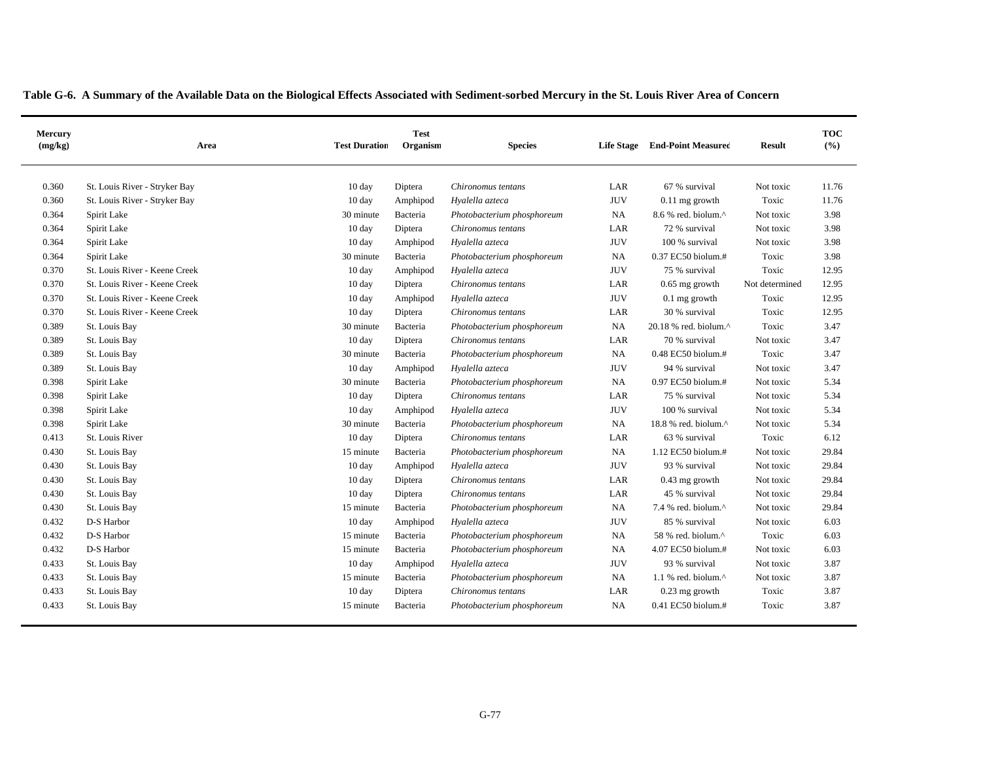|  |  | Table G-6. A Summary of the Available Data on the Biological Effects Associated with Sediment-sorbed Mercury in the St. Louis River Area of Concern |
|--|--|-----------------------------------------------------------------------------------------------------------------------------------------------------|

| Mercury<br>(mg/kg) | Area                          | <b>Test Duration</b> | <b>Test</b><br>Organism | <b>Species</b>             | <b>Life Stage</b> | <b>End-Point Measured</b>      | <b>Result</b>  | <b>TOC</b><br>(%) |
|--------------------|-------------------------------|----------------------|-------------------------|----------------------------|-------------------|--------------------------------|----------------|-------------------|
| 0.360              | St. Louis River - Stryker Bay | $10 \text{ day}$     | Diptera                 | Chironomus tentans         | LAR               | 67 % survival                  | Not toxic      | 11.76             |
| 0.360              | St. Louis River - Stryker Bay | 10 day               | Amphipod                | Hyalella azteca            | <b>JUV</b>        | $0.11$ mg growth               | Toxic          | 11.76             |
| 0.364              | Spirit Lake                   | 30 minute            | Bacteria                | Photobacterium phosphoreum | NA                | 8.6 % red. biolum.^            | Not toxic      | 3.98              |
| 0.364              | Spirit Lake                   | 10 day               | Diptera                 | Chironomus tentans         | LAR               | 72 % survival                  | Not toxic      | 3.98              |
| 0.364              | Spirit Lake                   | 10 day               | Amphipod                | Hyalella azteca            | <b>JUV</b>        | 100 % survival                 | Not toxic      | 3.98              |
| 0.364              | Spirit Lake                   | 30 minute            | Bacteria                | Photobacterium phosphoreum | <b>NA</b>         | 0.37 EC50 biolum.#             | Toxic          | 3.98              |
| 0.370              | St. Louis River - Keene Creek | 10 day               | Amphipod                | Hyalella azteca            | <b>JUV</b>        | 75 % survival                  | Toxic          | 12.95             |
| 0.370              | St. Louis River - Keene Creek | 10 day               | Diptera                 | Chironomus tentans         | LAR               | $0.65$ mg growth               | Not determined | 12.95             |
| 0.370              | St. Louis River - Keene Creek | 10 day               | Amphipod                | Hyalella azteca            | <b>JUV</b>        | $0.1$ mg growth                | Toxic          | 12.95             |
| 0.370              | St. Louis River - Keene Creek | 10 day               | Diptera                 | Chironomus tentans         | LAR               | 30 % survival                  | Toxic          | 12.95             |
| 0.389              | St. Louis Bay                 | 30 minute            | Bacteria                | Photobacterium phosphoreum | NA                | 20.18 % red. biolum.^          | Toxic          | 3.47              |
| 0.389              | St. Louis Bay                 | 10 day               | Diptera                 | Chironomus tentans         | LAR               | 70 % survival                  | Not toxic      | 3.47              |
| 0.389              | St. Louis Bay                 | 30 minute            | Bacteria                | Photobacterium phosphoreum | NA                | 0.48 EC50 biolum.#             | Toxic          | 3.47              |
| 0.389              | St. Louis Bay                 | 10 day               | Amphipod                | Hyalella azteca            | <b>JUV</b>        | 94 % survival                  | Not toxic      | 3.47              |
| 0.398              | Spirit Lake                   | 30 minute            | Bacteria                | Photobacterium phosphoreum | NA                | 0.97 EC50 biolum.#             | Not toxic      | 5.34              |
| 0.398              | Spirit Lake                   | 10 day               | Diptera                 | Chironomus tentans         | LAR               | 75 % survival                  | Not toxic      | 5.34              |
| 0.398              | Spirit Lake                   | 10 day               | Amphipod                | Hyalella azteca            | <b>JUV</b>        | 100 % survival                 | Not toxic      | 5.34              |
| 0.398              | Spirit Lake                   | 30 minute            | Bacteria                | Photobacterium phosphoreum | <b>NA</b>         | 18.8 % red. biolum.^           | Not toxic      | 5.34              |
| 0.413              | St. Louis River               | 10 day               | Diptera                 | Chironomus tentans         | LAR               | 63 % survival                  | Toxic          | 6.12              |
| 0.430              | St. Louis Bay                 | 15 minute            | Bacteria                | Photobacterium phosphoreum | NA                | 1.12 EC50 biolum.#             | Not toxic      | 29.84             |
| 0.430              | St. Louis Bay                 | 10 day               | Amphipod                | Hyalella azteca            | <b>JUV</b>        | 93 % survival                  | Not toxic      | 29.84             |
| 0.430              | St. Louis Bay                 | 10 day               | Diptera                 | Chironomus tentans         | LAR               | $0.43$ mg growth               | Not toxic      | 29.84             |
| 0.430              | St. Louis Bay                 | 10 day               | Diptera                 | Chironomus tentans         | LAR               | 45 % survival                  | Not toxic      | 29.84             |
| 0.430              | St. Louis Bay                 | 15 minute            | Bacteria                | Photobacterium phosphoreum | NA                | 7.4 % red. biolum. $^{\wedge}$ | Not toxic      | 29.84             |
| 0.432              | D-S Harbor                    | 10 day               | Amphipod                | Hyalella azteca            | <b>JUV</b>        | 85 % survival                  | Not toxic      | 6.03              |
| 0.432              | D-S Harbor                    | 15 minute            | Bacteria                | Photobacterium phosphoreum | NA                | 58 % red. biolum.^             | Toxic          | 6.03              |
| 0.432              | D-S Harbor                    | 15 minute            | Bacteria                | Photobacterium phosphoreum | <b>NA</b>         | 4.07 EC50 biolum.#             | Not toxic      | 6.03              |
| 0.433              | St. Louis Bay                 | 10 day               | Amphipod                | Hyalella azteca            | <b>JUV</b>        | 93 % survival                  | Not toxic      | 3.87              |
| 0.433              | St. Louis Bay                 | 15 minute            | Bacteria                | Photobacterium phosphoreum | <b>NA</b>         | 1.1 % red. biolum. $^{\wedge}$ | Not toxic      | 3.87              |
| 0.433              | St. Louis Bay                 | $10 \text{ day}$     | Diptera                 | Chironomus tentans         | LAR               | $0.23$ mg growth               | Toxic          | 3.87              |
| 0.433              | St. Louis Bay                 | 15 minute            | Bacteria                | Photobacterium phosphoreum | NA                | $0.41$ EC50 biolum.#           | Toxic          | 3.87              |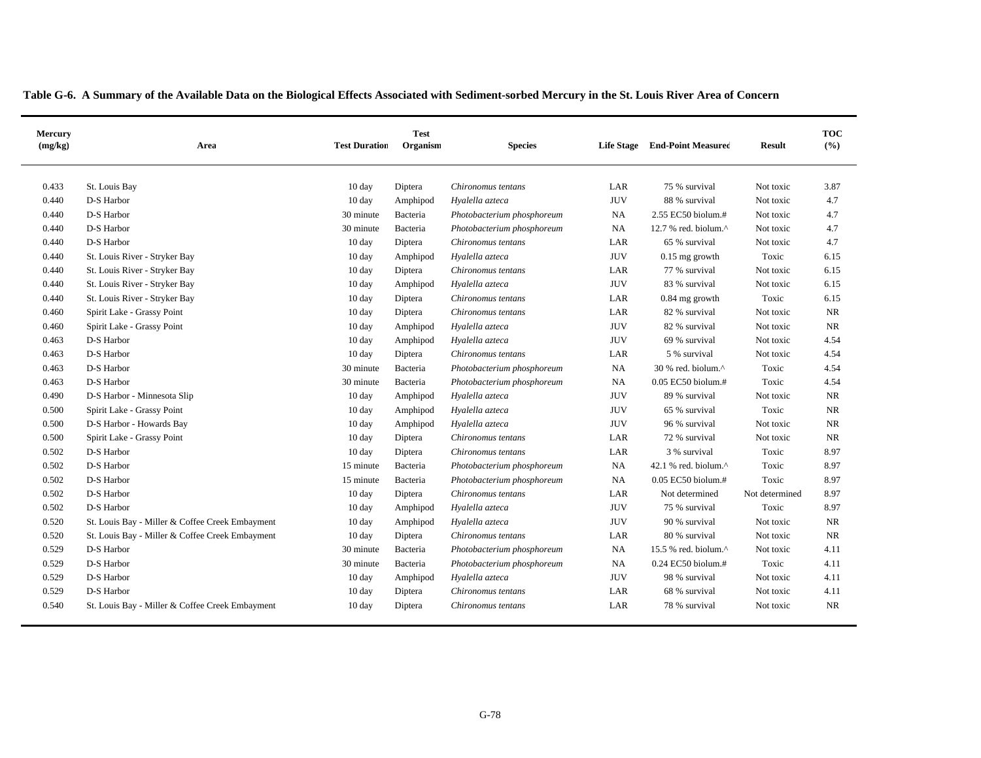| Mercury<br>(mg/kg) | Area                                            | <b>Test Duration</b> | <b>Test</b><br>Organism | <b>Species</b>             | <b>Life Stage</b> | <b>End-Point Measured</b> | <b>Result</b>  | <b>TOC</b><br>(%) |
|--------------------|-------------------------------------------------|----------------------|-------------------------|----------------------------|-------------------|---------------------------|----------------|-------------------|
| 0.433              | St. Louis Bay                                   | 10 day               | Diptera                 | Chironomus tentans         | LAR               | 75 % survival             | Not toxic      | 3.87              |
| 0.440              | D-S Harbor                                      | 10 day               | Amphipod                | Hyalella azteca            | <b>JUV</b>        | 88 % survival             | Not toxic      | 4.7               |
| 0.440              | D-S Harbor                                      | 30 minute            | Bacteria                | Photobacterium phosphoreum | NA                | 2.55 EC50 biolum.#        | Not toxic      | 4.7               |
| 0.440              | D-S Harbor                                      | 30 minute            | Bacteria                | Photobacterium phosphoreum | NA                | 12.7 % red. biolum.^      | Not toxic      | 4.7               |
| 0.440              | D-S Harbor                                      | 10 day               | Diptera                 | Chironomus tentans         | LAR               | 65 % survival             | Not toxic      | 4.7               |
| 0.440              | St. Louis River - Stryker Bay                   | 10 day               | Amphipod                | Hyalella azteca            | <b>JUV</b>        | $0.15$ mg growth          | Toxic          | 6.15              |
| 0.440              | St. Louis River - Stryker Bay                   | 10 day               | Diptera                 | Chironomus tentans         | LAR               | 77 % survival             | Not toxic      | 6.15              |
| 0.440              | St. Louis River - Stryker Bay                   | 10 day               | Amphipod                | Hyalella azteca            | <b>JUV</b>        | 83 % survival             | Not toxic      | 6.15              |
| 0.440              | St. Louis River - Stryker Bay                   | 10 day               | Diptera                 | Chironomus tentans         | LAR               | 0.84 mg growth            | Toxic          | 6.15              |
| 0.460              | Spirit Lake - Grassy Point                      | 10 day               | Diptera                 | Chironomus tentans         | LAR               | 82 % survival             | Not toxic      | NR                |
| 0.460              | Spirit Lake - Grassy Point                      | 10 day               | Amphipod                | Hyalella azteca            | <b>JUV</b>        | 82 % survival             | Not toxic      | NR                |
| 0.463              | D-S Harbor                                      | 10 day               | Amphipod                | Hyalella azteca            | <b>JUV</b>        | 69 % survival             | Not toxic      | 4.54              |
| 0.463              | D-S Harbor                                      | 10 day               | Diptera                 | Chironomus tentans         | LAR               | 5 % survival              | Not toxic      | 4.54              |
| 0.463              | D-S Harbor                                      | 30 minute            | Bacteria                | Photobacterium phosphoreum | NA                | 30 % red. biolum.^        | Toxic          | 4.54              |
| 0.463              | D-S Harbor                                      | 30 minute            | Bacteria                | Photobacterium phosphoreum | NA                | 0.05 EC50 biolum.#        | Toxic          | 4.54              |
| 0.490              | D-S Harbor - Minnesota Slip                     | 10 day               | Amphipod                | Hyalella azteca            | <b>JUV</b>        | 89 % survival             | Not toxic      | <b>NR</b>         |
| 0.500              | Spirit Lake - Grassy Point                      | 10 day               | Amphipod                | Hyalella azteca            | <b>JUV</b>        | 65 % survival             | Toxic          | <b>NR</b>         |
| 0.500              | D-S Harbor - Howards Bay                        | $10 \text{ day}$     | Amphipod                | Hyalella azteca            | <b>JUV</b>        | 96 % survival             | Not toxic      | NR                |
| 0.500              | Spirit Lake - Grassy Point                      | $10 \text{ day}$     | Diptera                 | Chironomus tentans         | LAR               | 72 % survival             | Not toxic      | <b>NR</b>         |
| 0.502              | D-S Harbor                                      | $10 \text{ day}$     | Diptera                 | Chironomus tentans         | LAR               | 3 % survival              | Toxic          | 8.97              |
| 0.502              | D-S Harbor                                      | 15 minute            | Bacteria                | Photobacterium phosphoreum | NA                | 42.1 % red. biolum.^      | Toxic          | 8.97              |
| 0.502              | D-S Harbor                                      | 15 minute            | Bacteria                | Photobacterium phosphoreum | NA                | 0.05 EC50 biolum.#        | Toxic          | 8.97              |
| 0.502              | D-S Harbor                                      | 10 day               | Diptera                 | Chironomus tentans         | LAR               | Not determined            | Not determined | 8.97              |
| 0.502              | D-S Harbor                                      | 10 day               | Amphipod                | Hyalella azteca            | <b>JUV</b>        | 75 % survival             | Toxic          | 8.97              |
| 0.520              | St. Louis Bay - Miller & Coffee Creek Embayment | 10 day               | Amphipod                | Hyalella azteca            | <b>JUV</b>        | 90 % survival             | Not toxic      | <b>NR</b>         |
| 0.520              | St. Louis Bay - Miller & Coffee Creek Embayment | 10 day               | Diptera                 | Chironomus tentans         | LAR               | 80 % survival             | Not toxic      | NR                |
| 0.529              | D-S Harbor                                      | 30 minute            | Bacteria                | Photobacterium phosphoreum | NA                | 15.5 % red. biolum.^      | Not toxic      | 4.11              |
| 0.529              | D-S Harbor                                      | 30 minute            | Bacteria                | Photobacterium phosphoreum | NA                | 0.24 EC50 biolum.#        | Toxic          | 4.11              |
| 0.529              | D-S Harbor                                      | 10 day               | Amphipod                | Hyalella azteca            | <b>JUV</b>        | 98 % survival             | Not toxic      | 4.11              |
| 0.529              | D-S Harbor                                      | 10 day               | Diptera                 | Chironomus tentans         | LAR               | 68 % survival             | Not toxic      | 4.11              |
| 0.540              | St. Louis Bay - Miller & Coffee Creek Embayment | $10 \text{ day}$     | Diptera                 | Chironomus tentans         | LAR               | 78 % survival             | Not toxic      | <b>NR</b>         |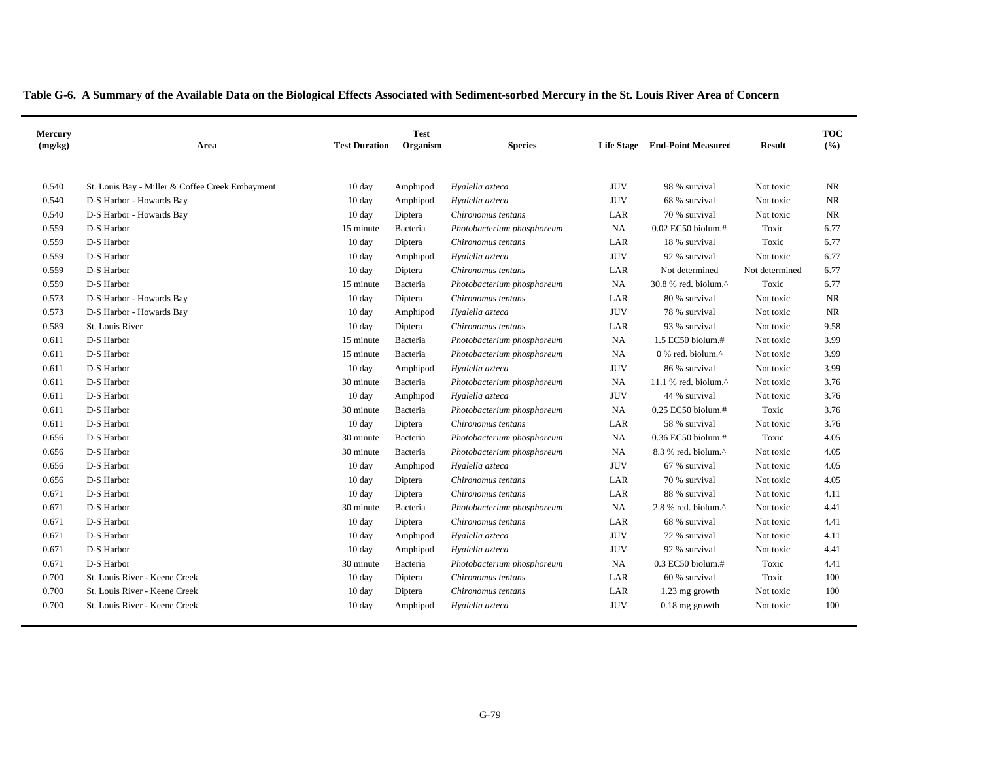|  | Table G-6. A Summary of the Available Data on the Biological Effects Associated with Sediment-sorbed Mercury in the St. Louis River Area of Concern |  |
|--|-----------------------------------------------------------------------------------------------------------------------------------------------------|--|
|--|-----------------------------------------------------------------------------------------------------------------------------------------------------|--|

| Mercury<br>(mg/kg) | Area                                            | <b>Test Duration</b> | <b>Test</b><br>Organism | <b>Species</b>             | <b>Life Stage</b> | <b>End-Point Measured</b>        | <b>Result</b>  | <b>TOC</b><br>(%) |
|--------------------|-------------------------------------------------|----------------------|-------------------------|----------------------------|-------------------|----------------------------------|----------------|-------------------|
| 0.540              | St. Louis Bay - Miller & Coffee Creek Embayment | 10 day               | Amphipod                | Hyalella azteca            | <b>JUV</b>        | 98 % survival                    | Not toxic      | NR.               |
| 0.540              | D-S Harbor - Howards Bay                        | $10 \text{ day}$     | Amphipod                | Hyalella azteca            | <b>JUV</b>        | 68 % survival                    | Not toxic      | NR                |
| 0.540              | D-S Harbor - Howards Bay                        | 10 day               | Diptera                 | Chironomus tentans         | LAR               | 70 % survival                    | Not toxic      | NR                |
| 0.559              | D-S Harbor                                      | 15 minute            | Bacteria                | Photobacterium phosphoreum | NA                | 0.02 EC50 biolum.#               | Toxic          | 6.77              |
| 0.559              | D-S Harbor                                      | $10 \text{ day}$     | Diptera                 | Chironomus tentans         | LAR               | 18 % survival                    | Toxic          | 6.77              |
| 0.559              | D-S Harbor                                      | 10 day               | Amphipod                | Hyalella azteca            | <b>JUV</b>        | 92 % survival                    | Not toxic      | 6.77              |
| 0.559              | D-S Harbor                                      | 10 day               | Diptera                 | Chironomus tentans         | LAR               | Not determined                   | Not determined | 6.77              |
| 0.559              | D-S Harbor                                      | 15 minute            | Bacteria                | Photobacterium phosphoreum | NA                | 30.8 % red. biolum.^             | Toxic          | 6.77              |
| 0.573              | D-S Harbor - Howards Bay                        | 10 day               | Diptera                 | Chironomus tentans         | LAR               | 80 % survival                    | Not toxic      | <b>NR</b>         |
| 0.573              | D-S Harbor - Howards Bay                        | 10 day               | Amphipod                | Hyalella azteca            | <b>JUV</b>        | 78 % survival                    | Not toxic      | <b>NR</b>         |
| 0.589              | St. Louis River                                 | 10 day               | Diptera                 | Chironomus tentans         | LAR               | 93 % survival                    | Not toxic      | 9.58              |
| 0.611              | D-S Harbor                                      | 15 minute            | Bacteria                | Photobacterium phosphoreum | NA                | 1.5 EC50 biolum.#                | Not toxic      | 3.99              |
| 0.611              | D-S Harbor                                      | 15 minute            | Bacteria                | Photobacterium phosphoreum | NA                | 0 % red. biolum.^                | Not toxic      | 3.99              |
| 0.611              | D-S Harbor                                      | 10 day               | Amphipod                | Hyalella azteca            | <b>JUV</b>        | 86 % survival                    | Not toxic      | 3.99              |
| 0.611              | D-S Harbor                                      | 30 minute            | Bacteria                | Photobacterium phosphoreum | <b>NA</b>         | 11.1 % red. biolum. $^{\wedge}$  | Not toxic      | 3.76              |
| 0.611              | D-S Harbor                                      | 10 day               | Amphipod                | Hyalella azteca            | <b>JUV</b>        | 44 % survival                    | Not toxic      | 3.76              |
| 0.611              | D-S Harbor                                      | 30 minute            | Bacteria                | Photobacterium phosphoreum | NA                | 0.25 EC50 biolum.#               | Toxic          | 3.76              |
| 0.611              | D-S Harbor                                      | 10 day               | Diptera                 | Chironomus tentans         | LAR               | 58 % survival                    | Not toxic      | 3.76              |
| 0.656              | D-S Harbor                                      | 30 minute            | Bacteria                | Photobacterium phosphoreum | NA                | 0.36 EC50 biolum.#               | Toxic          | 4.05              |
| 0.656              | D-S Harbor                                      | 30 minute            | Bacteria                | Photobacterium phosphoreum | NA                | 8.3 % red. biolum.^              | Not toxic      | 4.05              |
| 0.656              | D-S Harbor                                      | 10 day               | Amphipod                | Hyalella azteca            | <b>JUV</b>        | 67 % survival                    | Not toxic      | 4.05              |
| 0.656              | D-S Harbor                                      | 10 day               | Diptera                 | Chironomus tentans         | LAR               | 70 % survival                    | Not toxic      | 4.05              |
| 0.671              | D-S Harbor                                      | 10 day               | Diptera                 | Chironomus tentans         | LAR               | 88 % survival                    | Not toxic      | 4.11              |
| 0.671              | D-S Harbor                                      | 30 minute            | Bacteria                | Photobacterium phosphoreum | <b>NA</b>         | $2.8$ % red. biolum. $^{\wedge}$ | Not toxic      | 4.41              |
| 0.671              | D-S Harbor                                      | 10 day               | Diptera                 | Chironomus tentans         | LAR               | 68 % survival                    | Not toxic      | 4.41              |
| 0.671              | D-S Harbor                                      | 10 day               | Amphipod                | Hyalella azteca            | <b>JUV</b>        | 72 % survival                    | Not toxic      | 4.11              |
| 0.671              | D-S Harbor                                      | 10 day               | Amphipod                | Hyalella azteca            | <b>JUV</b>        | 92 % survival                    | Not toxic      | 4.41              |
| 0.671              | D-S Harbor                                      | 30 minute            | Bacteria                | Photobacterium phosphoreum | NA                | $0.3$ EC50 biolum.#              | Toxic          | 4.41              |
| 0.700              | St. Louis River - Keene Creek                   | 10 day               | Diptera                 | Chironomus tentans         | LAR               | 60 % survival                    | Toxic          | 100               |
| 0.700              | St. Louis River - Keene Creek                   | 10 day               | Diptera                 | Chironomus tentans         | LAR               | 1.23 mg growth                   | Not toxic      | 100               |
| 0.700              | St. Louis River - Keene Creek                   | 10 day               | Amphipod                | Hyalella azteca            | <b>JUV</b>        | $0.18$ mg growth                 | Not toxic      | 100               |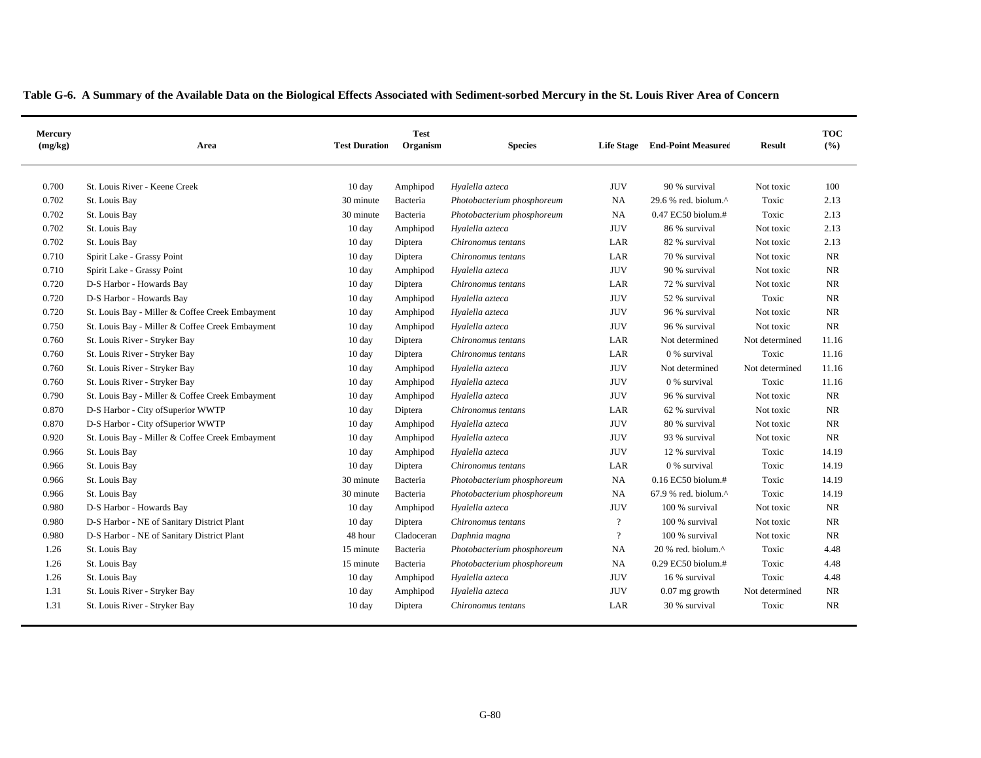|  | Table G-6. A Summary of the Available Data on the Biological Effects Associated with Sediment-sorbed Mercury in the St. Louis River Area of Concern |
|--|-----------------------------------------------------------------------------------------------------------------------------------------------------|
|--|-----------------------------------------------------------------------------------------------------------------------------------------------------|

| Mercury<br>(mg/kg) | Area                                            | <b>Test Duration</b> | <b>Test</b><br>Organism | <b>Species</b>             | <b>Life Stage</b> | <b>End-Point Measured</b>       | <b>Result</b>  | <b>TOC</b><br>(%) |
|--------------------|-------------------------------------------------|----------------------|-------------------------|----------------------------|-------------------|---------------------------------|----------------|-------------------|
| 0.700              | St. Louis River - Keene Creek                   | 10 day               | Amphipod                | Hyalella azteca            | <b>JUV</b>        | 90 % survival                   | Not toxic      | 100               |
| 0.702              | St. Louis Bay                                   | 30 minute            | Bacteria                | Photobacterium phosphoreum | <b>NA</b>         | 29.6 % red. biolum. $^{\wedge}$ | Toxic          | 2.13              |
| 0.702              | St. Louis Bay                                   | 30 minute            | Bacteria                | Photobacterium phosphoreum | <b>NA</b>         | 0.47 EC50 biolum.#              | Toxic          | 2.13              |
| 0.702              | St. Louis Bay                                   | 10 day               | Amphipod                | Hyalella azteca            | <b>JUV</b>        | 86 % survival                   | Not toxic      | 2.13              |
| 0.702              | St. Louis Bay                                   | $10 \text{ day}$     | Diptera                 | Chironomus tentans         | LAR               | 82 % survival                   | Not toxic      | 2.13              |
| 0.710              | Spirit Lake - Grassy Point                      | 10 day               | Diptera                 | Chironomus tentans         | LAR               | 70 % survival                   | Not toxic      | <b>NR</b>         |
| 0.710              | Spirit Lake - Grassy Point                      | 10 day               | Amphipod                | Hyalella azteca            | <b>JUV</b>        | 90 % survival                   | Not toxic      | <b>NR</b>         |
| 0.720              | D-S Harbor - Howards Bay                        | 10 day               | Diptera                 | Chironomus tentans         | LAR               | 72 % survival                   | Not toxic      | <b>NR</b>         |
| 0.720              | D-S Harbor - Howards Bay                        | 10 day               | Amphipod                | Hyalella azteca            | <b>JUV</b>        | 52 % survival                   | Toxic          | <b>NR</b>         |
| 0.720              | St. Louis Bay - Miller & Coffee Creek Embayment | 10 day               | Amphipod                | Hyalella azteca            | <b>JUV</b>        | 96 % survival                   | Not toxic      | <b>NR</b>         |
| 0.750              | St. Louis Bay - Miller & Coffee Creek Embayment | 10 day               | Amphipod                | Hyalella azteca            | <b>JUV</b>        | 96 % survival                   | Not toxic      | NR                |
| 0.760              | St. Louis River - Stryker Bay                   | 10 day               | Diptera                 | Chironomus tentans         | LAR               | Not determined                  | Not determined | 11.16             |
| 0.760              | St. Louis River - Stryker Bay                   | 10 day               | Diptera                 | Chironomus tentans         | LAR               | 0 % survival                    | Toxic          | 11.16             |
| 0.760              | St. Louis River - Stryker Bay                   | 10 day               | Amphipod                | Hyalella azteca            | <b>JUV</b>        | Not determined                  | Not determined | 11.16             |
| 0.760              | St. Louis River - Stryker Bay                   | 10 day               | Amphipod                | Hyalella azteca            | <b>JUV</b>        | 0 % survival                    | Toxic          | 11.16             |
| 0.790              | St. Louis Bay - Miller & Coffee Creek Embayment | 10 day               | Amphipod                | Hyalella azteca            | <b>JUV</b>        | 96 % survival                   | Not toxic      | $\rm NR$          |
| 0.870              | D-S Harbor - City of Superior WWTP              | 10 day               | Diptera                 | Chironomus tentans         | LAR               | 62 % survival                   | Not toxic      | <b>NR</b>         |
| 0.870              | D-S Harbor - City of Superior WWTP              | 10 day               | Amphipod                | Hyalella azteca            | <b>JUV</b>        | 80 % survival                   | Not toxic      | NR.               |
| 0.920              | St. Louis Bay - Miller & Coffee Creek Embayment | 10 day               | Amphipod                | Hyalella azteca            | <b>JUV</b>        | 93 % survival                   | Not toxic      | NR.               |
| 0.966              | St. Louis Bay                                   | 10 day               | Amphipod                | Hyalella azteca            | <b>JUV</b>        | 12 % survival                   | Toxic          | 14.19             |
| 0.966              | St. Louis Bay                                   | 10 day               | Diptera                 | Chironomus tentans         | LAR               | 0 % survival                    | Toxic          | 14.19             |
| 0.966              | St. Louis Bay                                   | 30 minute            | Bacteria                | Photobacterium phosphoreum | <b>NA</b>         | 0.16 EC50 biolum.#              | Toxic          | 14.19             |
| 0.966              | St. Louis Bay                                   | 30 minute            | Bacteria                | Photobacterium phosphoreum | <b>NA</b>         | 67.9 % red. biolum.^            | Toxic          | 14.19             |
| 0.980              | D-S Harbor - Howards Bay                        | 10 day               | Amphipod                | Hyalella azteca            | <b>JUV</b>        | 100 % survival                  | Not toxic      | <b>NR</b>         |
| 0.980              | D-S Harbor - NE of Sanitary District Plant      | 10 day               | Diptera                 | Chironomus tentans         | $\overline{?}$    | $100$ % survival                | Not toxic      | <b>NR</b>         |
| 0.980              | D-S Harbor - NE of Sanitary District Plant      | 48 hour              | Cladoceran              | Daphnia magna              | $\gamma$          | 100 % survival                  | Not toxic      | NR                |
| 1.26               | St. Louis Bay                                   | 15 minute            | Bacteria                | Photobacterium phosphoreum | <b>NA</b>         | $20%$ red. biolum. $^{\wedge}$  | Toxic          | 4.48              |
| 1.26               | St. Louis Bay                                   | 15 minute            | Bacteria                | Photobacterium phosphoreum | NA                | 0.29 EC50 biolum.#              | Toxic          | 4.48              |
| 1.26               | St. Louis Bay                                   | $10 \text{ day}$     | Amphipod                | Hyalella azteca            | <b>JUV</b>        | 16 % survival                   | Toxic          | 4.48              |
| 1.31               | St. Louis River - Stryker Bay                   | 10 day               | Amphipod                | Hyalella azteca            | <b>JUV</b>        | $0.07$ mg growth                | Not determined | <b>NR</b>         |
| 1.31               | St. Louis River - Stryker Bay                   | $10 \text{ day}$     | Diptera                 | Chironomus tentans         | LAR               | 30 % survival                   | Toxic          | <b>NR</b>         |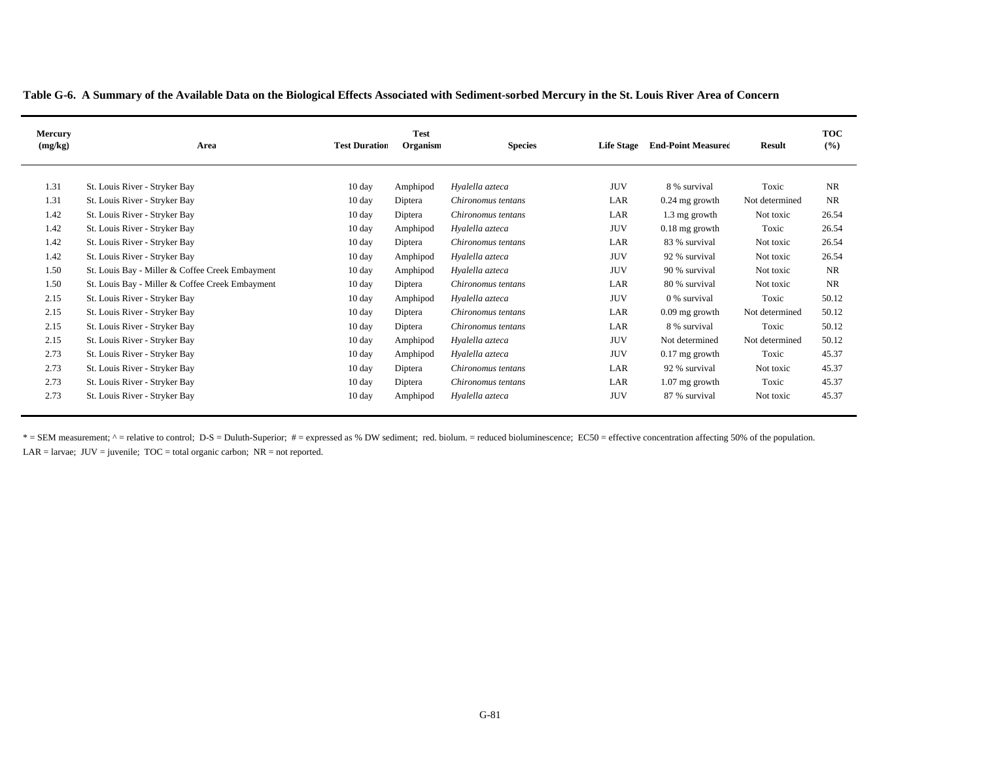| Table G-6. A Summary of the Available Data on the Biological Effects Associated with Sediment-sorbed Mercury in the St. Louis River Area of Concern |  |  |
|-----------------------------------------------------------------------------------------------------------------------------------------------------|--|--|
|                                                                                                                                                     |  |  |

| Mercury<br>(mg/kg) | Area                                            | <b>Test Duration</b> | Test<br>Organism | <b>Species</b>     | <b>Life Stage</b> | <b>End-Point Measured</b> | <b>Result</b>  | <b>TOC</b><br>(%) |
|--------------------|-------------------------------------------------|----------------------|------------------|--------------------|-------------------|---------------------------|----------------|-------------------|
| 1.31               | St. Louis River - Stryker Bay                   | $10 \text{ day}$     | Amphipod         | Hyalella azteca    | JUV               | 8 % survival              | Toxic          | NR                |
| 1.31               | St. Louis River - Stryker Bay                   | $10 \text{ day}$     | Diptera          | Chironomus tentans | LAR               | $0.24$ mg growth          | Not determined | <b>NR</b>         |
| 1.42               | St. Louis River - Stryker Bay                   | $10 \text{ day}$     | Diptera          | Chironomus tentans | LAR               | 1.3 mg growth             | Not toxic      | 26.54             |
| 1.42               | St. Louis River - Stryker Bay                   | $10 \text{ day}$     | Amphipod         | Hyalella azteca    | JUV               | $0.18$ mg growth          | Toxic          | 26.54             |
| 1.42               | St. Louis River - Stryker Bay                   | $10 \text{ day}$     | Diptera          | Chironomus tentans | LAR               | 83 % survival             | Not toxic      | 26.54             |
| 1.42               | St. Louis River - Stryker Bay                   | 10 day               | Amphipod         | Hyalella azteca    | JUV               | 92 % survival             | Not toxic      | 26.54             |
| 1.50               | St. Louis Bay - Miller & Coffee Creek Embayment | $10 \text{ day}$     | Amphipod         | Hyalella azteca    | JUV               | 90 % survival             | Not toxic      | NR                |
| 1.50               | St. Louis Bay - Miller & Coffee Creek Embayment | $10 \text{ day}$     | Diptera          | Chironomus tentans | LAR               | 80 % survival             | Not toxic      | NR                |
| 2.15               | St. Louis River - Stryker Bay                   | $10 \text{ day}$     | Amphipod         | Hyalella azteca    | <b>JUV</b>        | 0 % survival              | Toxic          | 50.12             |
| 2.15               | St. Louis River - Stryker Bay                   | $10 \text{ day}$     | Diptera          | Chironomus tentans | LAR               | $0.09$ mg growth          | Not determined | 50.12             |
| 2.15               | St. Louis River - Stryker Bay                   | $10 \text{ day}$     | Diptera          | Chironomus tentans | LAR               | 8 % survival              | Toxic          | 50.12             |
| 2.15               | St. Louis River - Stryker Bay                   | $10 \text{ day}$     | Amphipod         | Hyalella azteca    | JUV               | Not determined            | Not determined | 50.12             |
| 2.73               | St. Louis River - Stryker Bay                   | $10 \text{ day}$     | Amphipod         | Hyalella azteca    | <b>JUV</b>        | $0.17$ mg growth          | Toxic          | 45.37             |
| 2.73               | St. Louis River - Stryker Bay                   | $10 \text{ day}$     | Diptera          | Chironomus tentans | LAR               | 92 % survival             | Not toxic      | 45.37             |
| 2.73               | St. Louis River - Stryker Bay                   | $10 \text{ day}$     | Diptera          | Chironomus tentans | LAR               | $1.07$ mg growth          | Toxic          | 45.37             |
| 2.73               | St. Louis River - Stryker Bay                   | $10 \text{ day}$     | Amphipod         | Hyalella azteca    | JUV               | 87 % survival             | Not toxic      | 45.37             |

\* = SEM measurement; ^ = relative to control; D-S = Duluth-Superior; # = expressed as % DW sediment; red. biolum. = reduced bioluminescence; EC50 = effective concentration affecting 50% of the population. LAR = larvae;  $JUV =$  juvenile;  $TOC =$  total organic carbon;  $NR =$  not reported.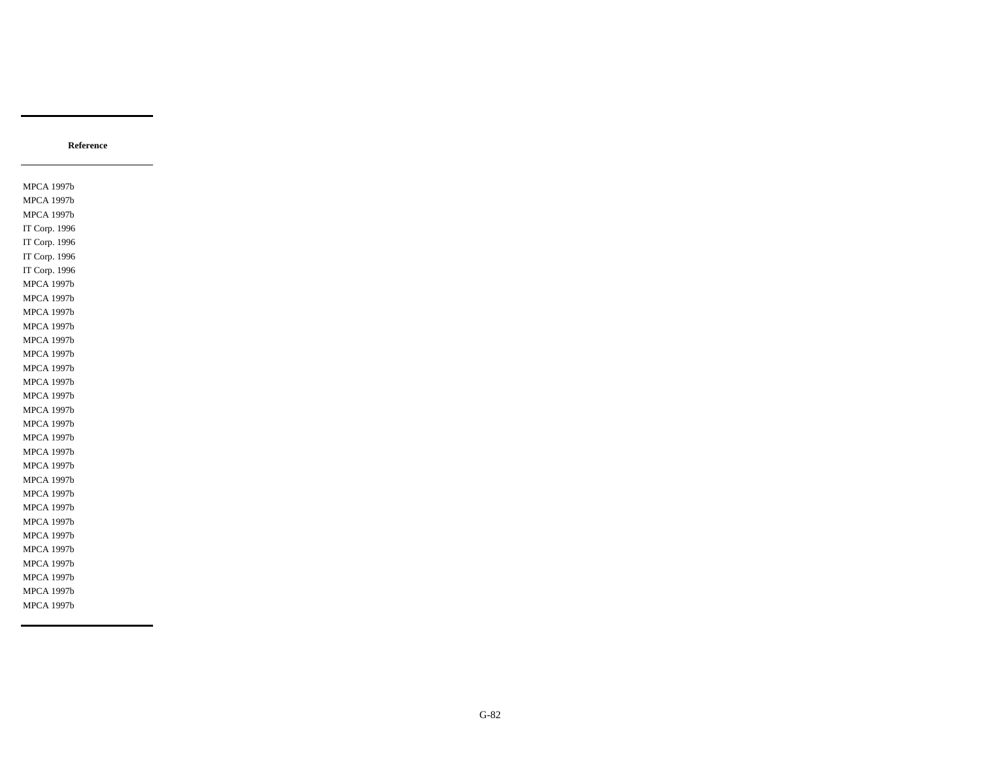MPCA 1997b MPCA 1997b MPCA 1997b IT Corp. 1996 IT Corp. 1996 IT Corp. 1996 IT Corp. 1996 MPCA 1997b MPCA 1997b MPCA 1997b MPCA 1997b MPCA 1997b MPCA 1997b MPCA 1997b MPCA 1997b MPCA 1997b MPCA 1997b MPCA 1997b MPCA 1997b MPCA 1997b MPCA 1997b MPCA 1997b MPCA 1997b MPCA 1997b MPCA 1997b MPCA 1997b MPCA 1997b MPCA 1997b MPCA 1997b MPCA 1997b MPCA 1997b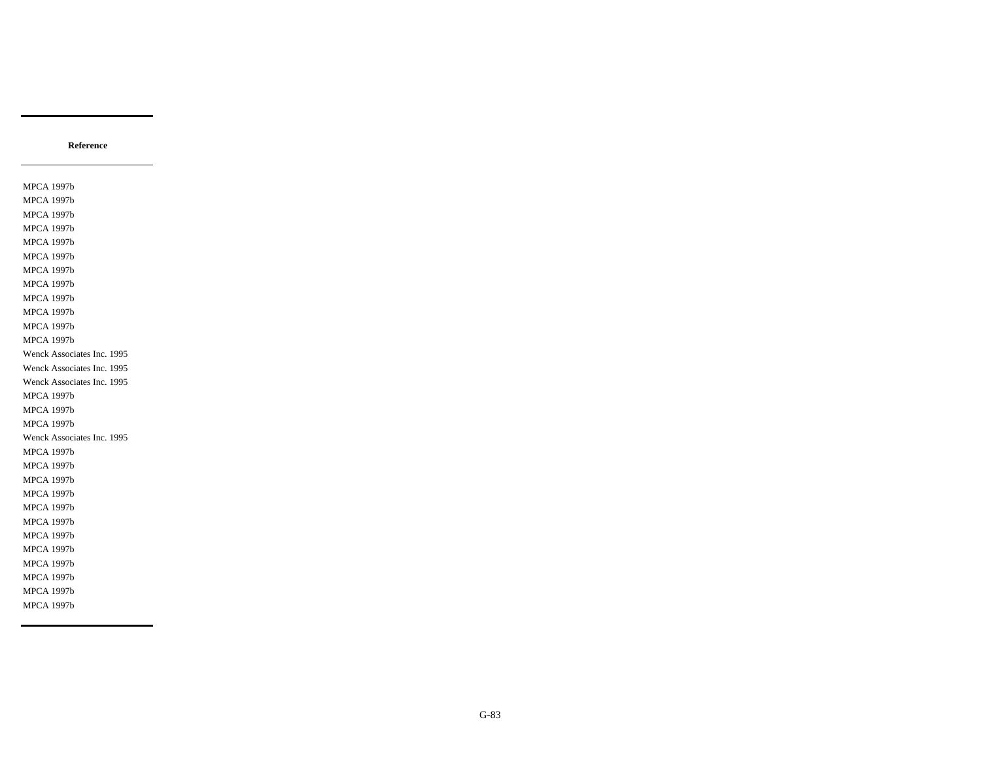MPCA 1997b MPCA 1997b MPCA 1997b MPCA 1997b MPCA 1997b MPCA 1997b MPCA 1997b MPCA 1997b MPCA 1997b MPCA 1997b MPCA 1997b MPCA 1997b Wenck Associates Inc. 1995 Wenck Associates Inc. 1995 Wenck Associates Inc. 1995 MPCA 1997b MPCA 1997b MPCA 1997b Wenck Associates Inc. 1995 MPCA 1997b MPCA 1997b MPCA 1997b MPCA 1997b MPCA 1997b MPCA 1997b MPCA 1997b MPCA 1997b MPCA 1997b MPCA 1997b MPCA 1997b MPCA 1997b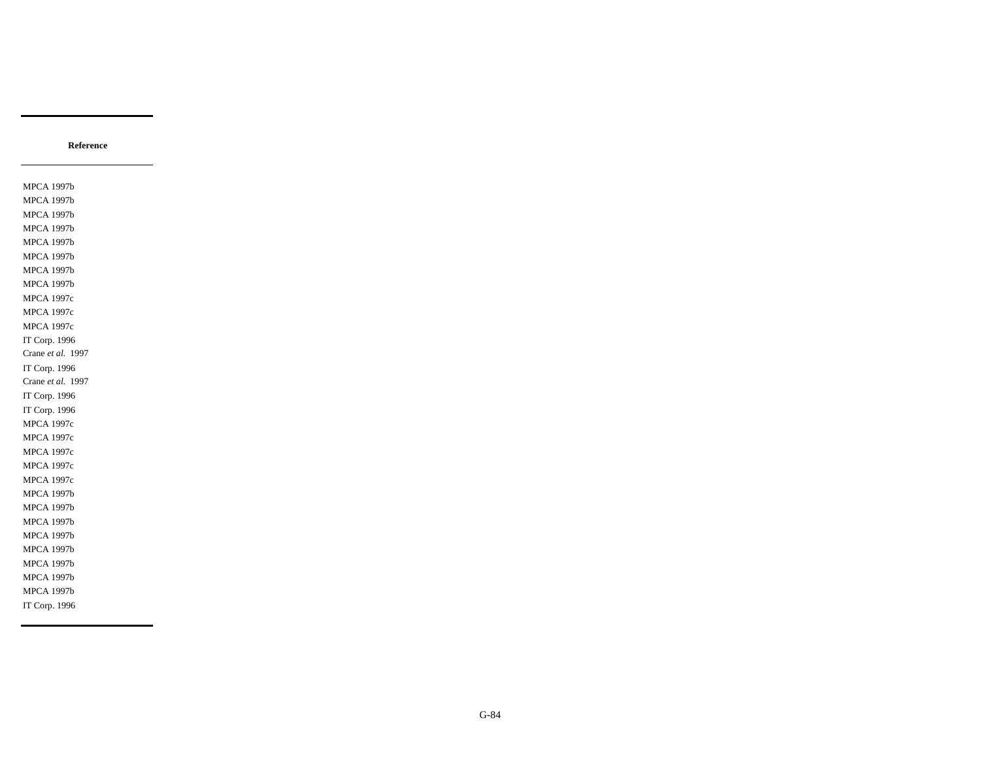MPCA 1997b MPCA 1997b MPCA 1997b MPCA 1997b MPCA 1997b MPCA 1997b MPCA 1997b MPCA 1997b MPCA 1997c MPCA 1997c MPCA 1997c IT Corp. 1996 Crane *et al.* 1997 IT Corp. 1996 Crane *et al.* 1997 IT Corp. 1996 IT Corp. 1996 MPCA 1997c MPCA 1997c MPCA 1997c MPCA 1997c MPCA 1997c MPCA 1997b MPCA 1997b MPCA 1997b MPCA 1997b MPCA 1997b MPCA 1997b MPCA 1997b MPCA 1997b IT Corp. 1996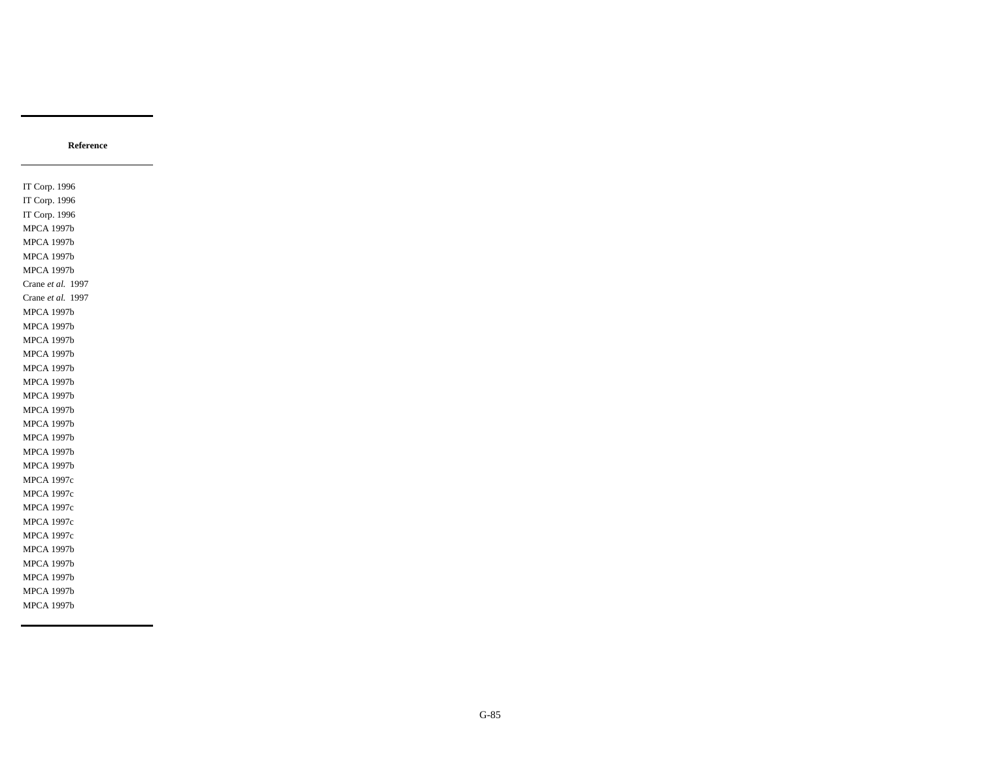IT Corp. 1996 IT Corp. 1996 IT Corp. 1996 MPCA 1997b MPCA 1997b MPCA 1997b MPCA 1997b Crane *et al.* 1997 Crane *et al.* 1997 MPCA 1997b MPCA 1997b MPCA 1997b MPCA 1997b MPCA 1997b MPCA 1997b MPCA 1997b MPCA 1997b MPCA 1997b MPCA 1997b MPCA 1997b MPCA 1997b MPCA 1997c MPCA 1997c MPCA 1997c MPCA 1997c MPCA 1997c MPCA 1997b MPCA 1997b MPCA 1997b MPCA 1997b MPCA 1997b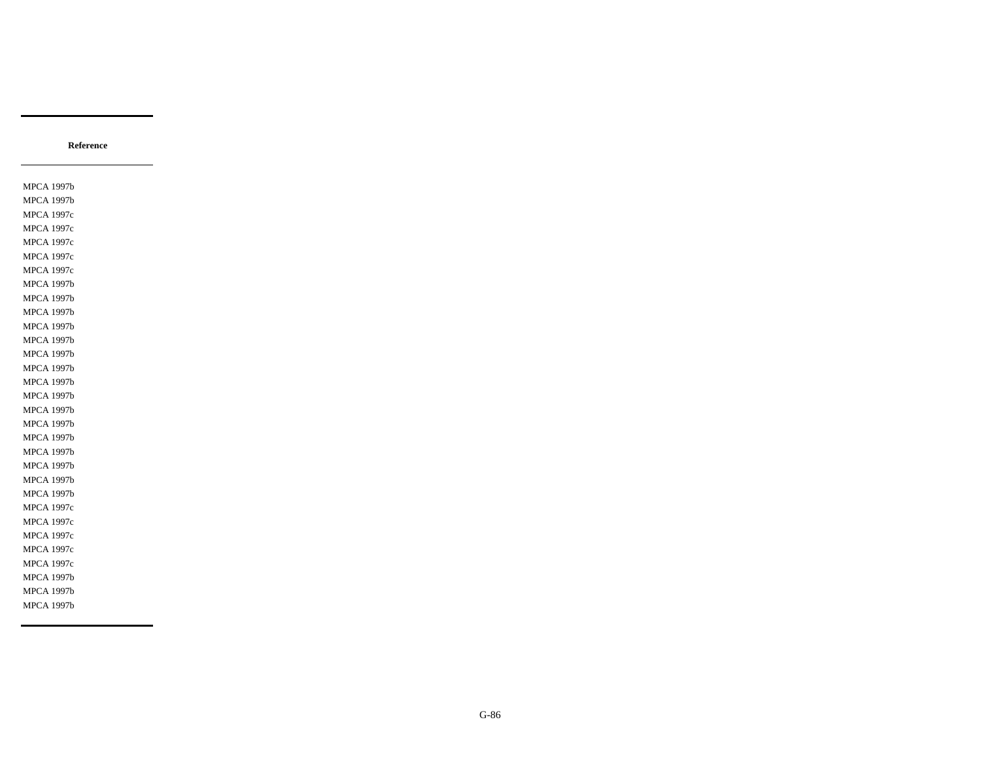MPCA 1997b MPCA 1997b MPCA 1997c MPCA 1997c MPCA 1997c MPCA 1997c MPCA 1997c MPCA 1997b MPCA 1997b MPCA 1997b MPCA 1997b MPCA 1997b MPCA 1997b MPCA 1997b MPCA 1997b MPCA 1997b MPCA 1997b MPCA 1997b MPCA 1997b MPCA 1997b MPCA 1997b MPCA 1997b MPCA 1997b MPCA 1997c MPCA 1997c MPCA 1997c MPCA 1997c MPCA 1997c MPCA 1997b MPCA 1997b MPCA 1997b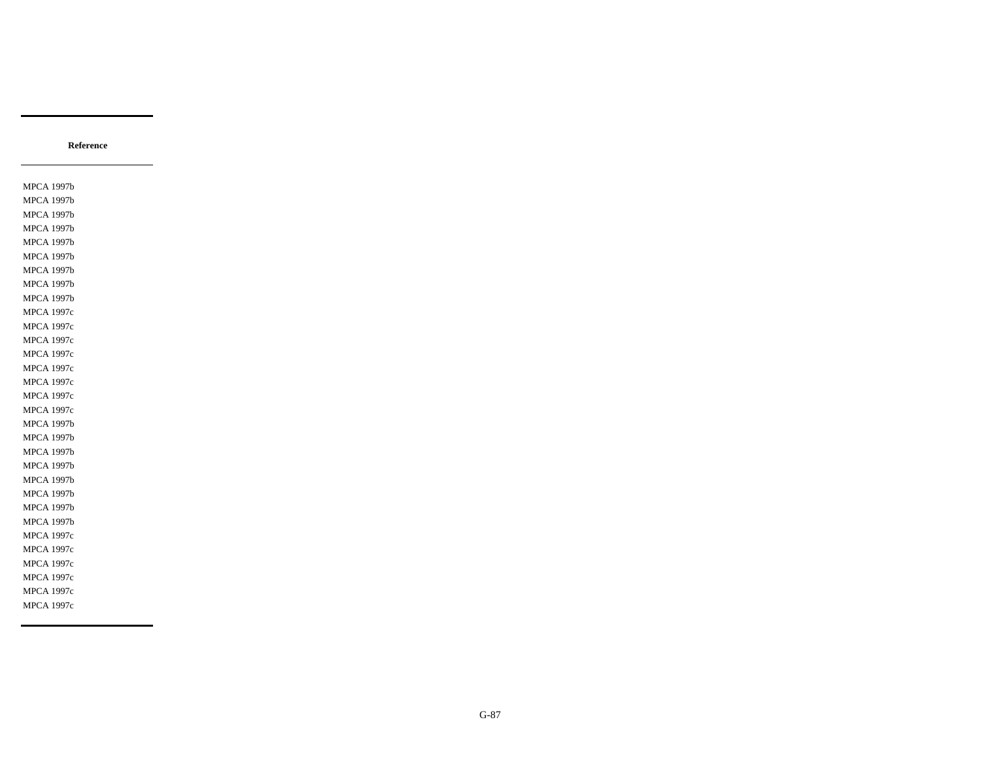MPCA 1997b MPCA 1997b MPCA 1997b MPCA 1997b MPCA 1997b MPCA 1997b MPCA 1997b MPCA 1997b MPCA 1997b MPCA 1997c MPCA 1997c MPCA 1997c MPCA 1997c MPCA 1997c MPCA 1997c MPCA 1997c MPCA 1997c MPCA 1997b MPCA 1997b MPCA 1997b MPCA 1997b MPCA 1997b MPCA 1997b MPCA 1997b MPCA 1997b MPCA 1997c MPCA 1997c MPCA 1997c MPCA 1997c MPCA 1997c MPCA 1997c

**Reference**

G-87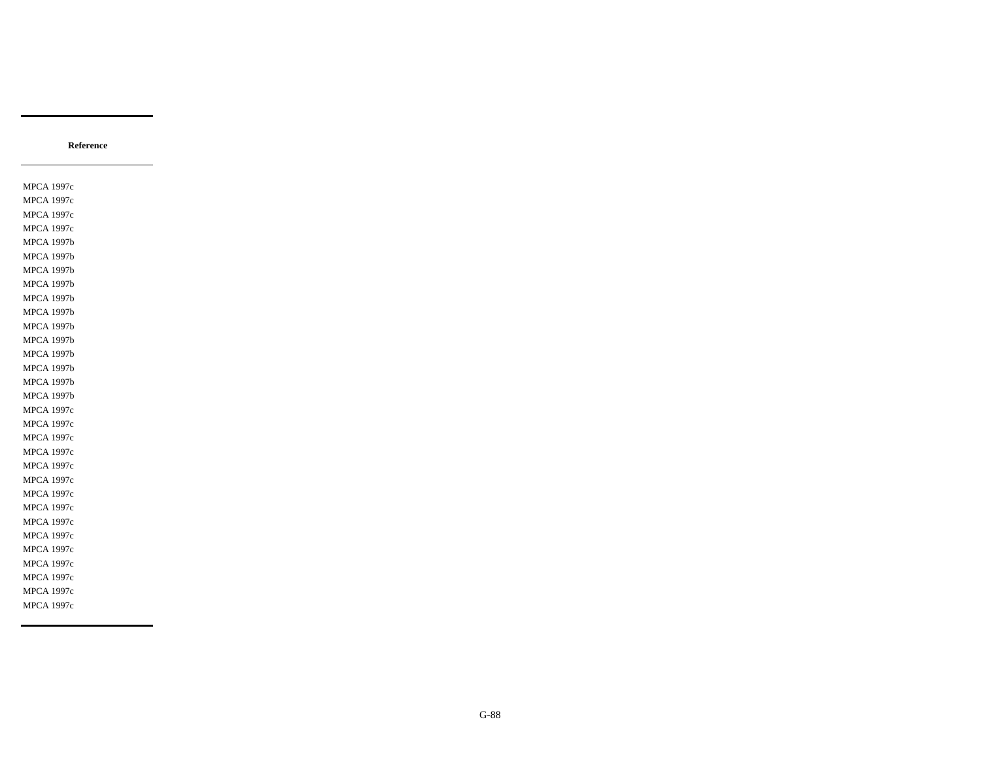MPCA 1997c MPCA 1997c MPCA 1997c MPCA 1997c MPCA 1997b MPCA 1997b MPCA 1997b MPCA 1997b MPCA 1997b MPCA 1997b MPCA 1997b MPCA 1997b MPCA 1997b MPCA 1997b MPCA 1997b MPCA 1997b MPCA 1997c MPCA 1997c MPCA 1997c MPCA 1997c MPCA 1997c MPCA 1997c MPCA 1997c MPCA 1997c MPCA 1997c MPCA 1997c MPCA 1997c MPCA 1997c MPCA 1997c MPCA 1997c MPCA 1997c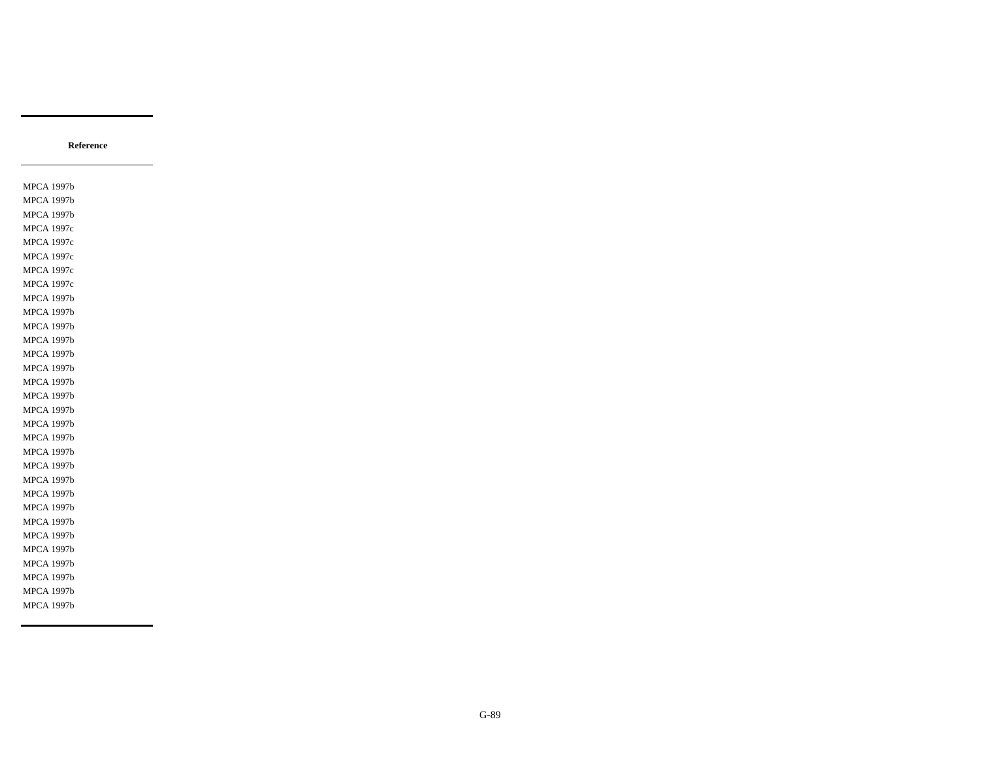MPCA 1997b MPCA 1997b MPCA 1997b MPCA 1997c MPCA 1997c MPCA 1997c MPCA 1997c MPCA 1997c MPCA 1997b MPCA 1997b MPCA 1997b MPCA 1997b MPCA 1997b MPCA 1997b MPCA 1997b MPCA 1997b MPCA 1997b MPCA 1997b MPCA 1997b MPCA 1997b MPCA 1997b MPCA 1997b MPCA 1997b MPCA 1997b MPCA 1997b MPCA 1997b MPCA 1997b MPCA 1997b MPCA 1997b MPCA 1997b MPCA 1997b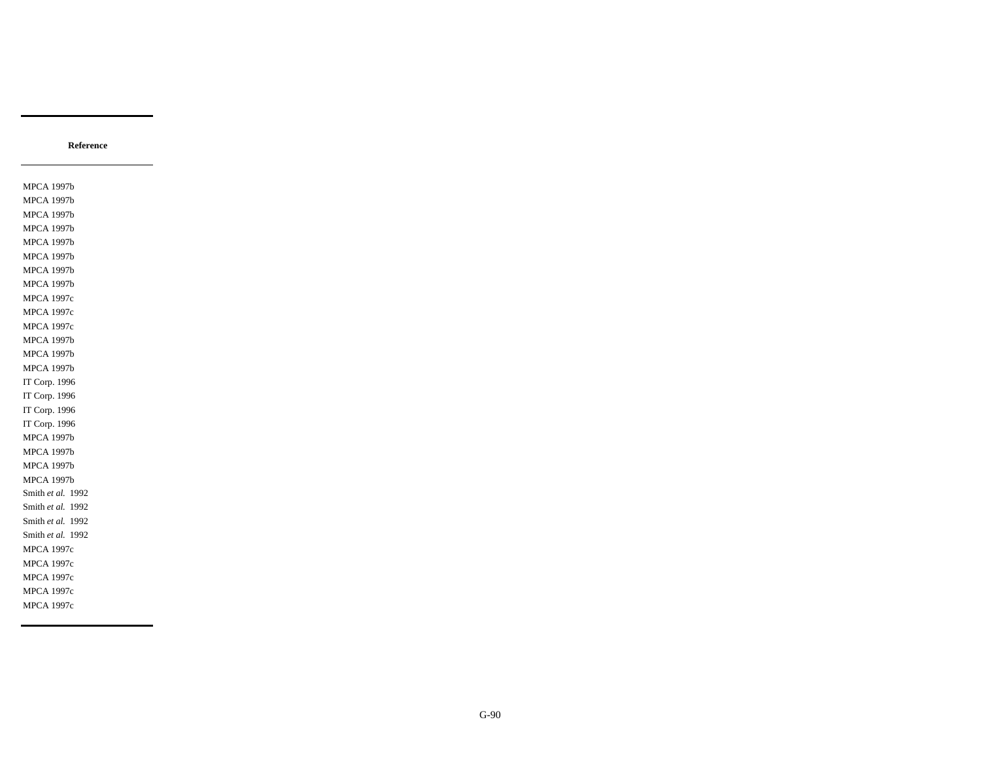MPCA 1997b MPCA 1997b MPCA 1997b MPCA 1997b MPCA 1997b MPCA 1997b MPCA 1997b MPCA 1997b MPCA 1997c MPCA 1997c MPCA 1997c MPCA 1997b MPCA 1997b MPCA 1997b IT Corp. 1996 IT Corp. 1996 IT Corp. 1996 IT Corp. 1996 MPCA 1997b MPCA 1997b MPCA 1997b MPCA 1997b Smith *et al.* 1992 Smith *et al.* 1992 Smith *et al.* 1992 Smith *et al.* 1992 MPCA 1997c MPCA 1997c MPCA 1997c MPCA 1997c MPCA 1997c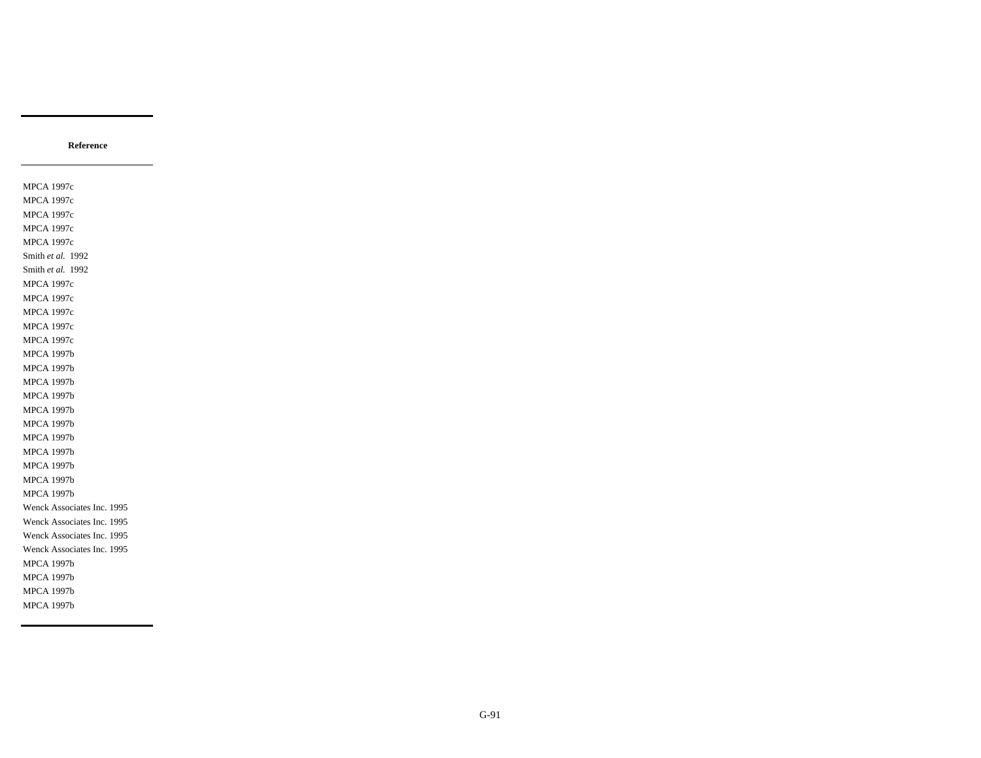MPCA 1997c MPCA 1997c MPCA 1997c MPCA 1997c MPCA 1997c Smith *et al.* 1992 Smith *et al.* 1992 MPCA 1997c MPCA 1997c MPCA 1997c MPCA 1997c MPCA 1997c MPCA 1997b MPCA 1997b MPCA 1997b MPCA 1997b MPCA 1997b MPCA 1997b MPCA 1997b MPCA 1997b MPCA 1997b MPCA 1997b MPCA 1997b Wenck Associates Inc. 1995 Wenck Associates Inc. 1995 Wenck Associates Inc. 1995 Wenck Associates Inc. 1995 MPCA 1997b MPCA 1997b MPCA 1997b MPCA 1997b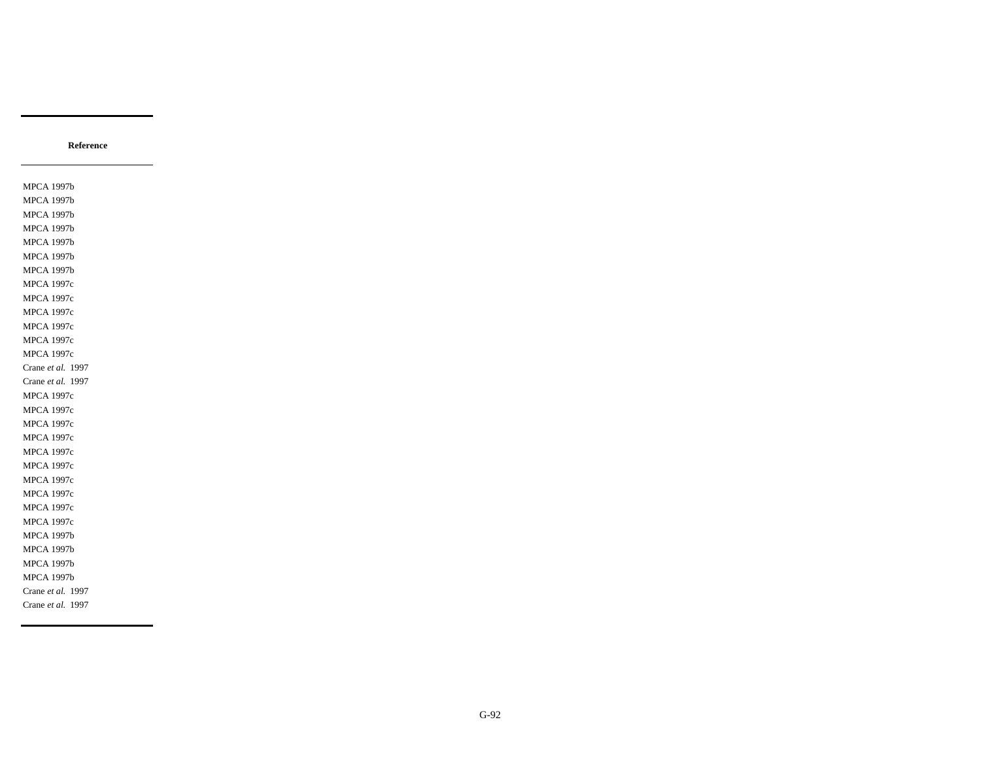MPCA 1997b MPCA 1997b MPCA 1997b MPCA 1997b MPCA 1997b MPCA 1997b MPCA 1997b MPCA 1997c MPCA 1997c MPCA 1997c MPCA 1997c MPCA 1997c MPCA 1997c Crane *et al.* 1997 Crane *et al.* 1997 MPCA 1997c MPCA 1997c MPCA 1997c MPCA 1997c MPCA 1997c MPCA 1997c MPCA 1997c MPCA 1997c MPCA 1997c MPCA 1997c MPCA 1997b MPCA 1997b MPCA 1997b MPCA 1997b Crane *et al.* 1997 Crane *et al.* 1997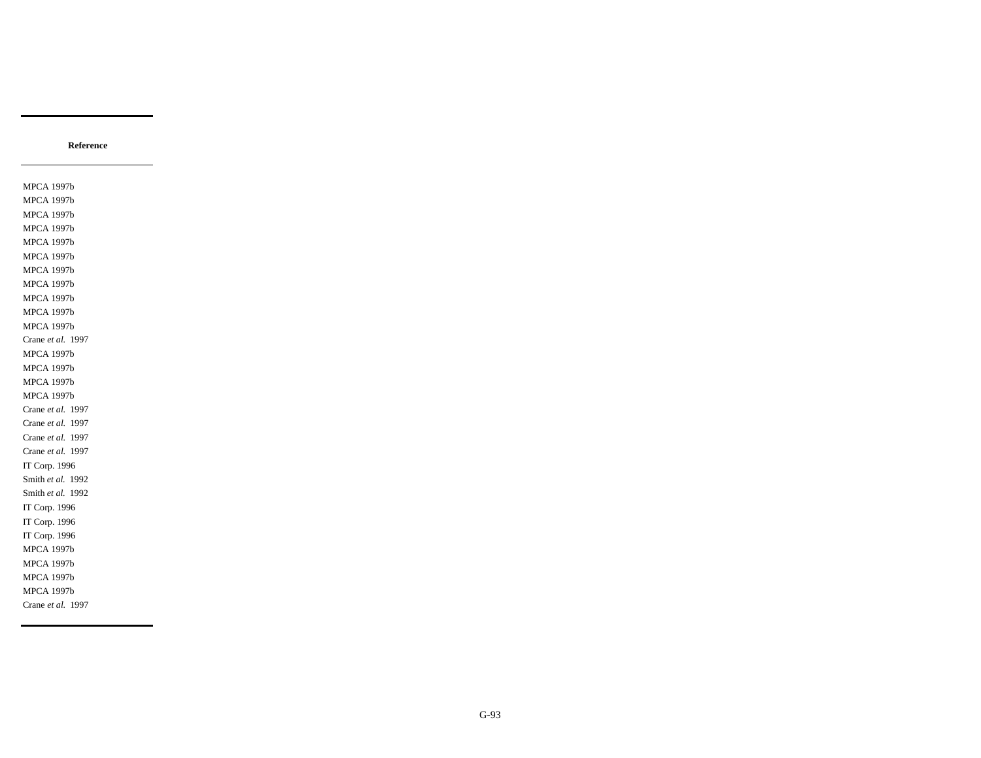MPCA 1997b MPCA 1997b MPCA 1997b MPCA 1997b MPCA 1997b MPCA 1997b MPCA 1997b MPCA 1997b MPCA 1997b MPCA 1997b MPCA 1997b Crane *et al.* 1997 MPCA 1997b MPCA 1997b MPCA 1997b MPCA 1997b Crane *et al.* 1997 Crane *et al.* 1997 Crane *et al.* 1997 Crane *et al.* 1997 IT Corp. 1996 Smith *et al.* 1992 Smith *et al.* 1992 IT Corp. 1996 IT Corp. 1996 IT Corp. 1996 MPCA 1997b MPCA 1997b MPCA 1997b MPCA 1997b Crane *et al.* 1997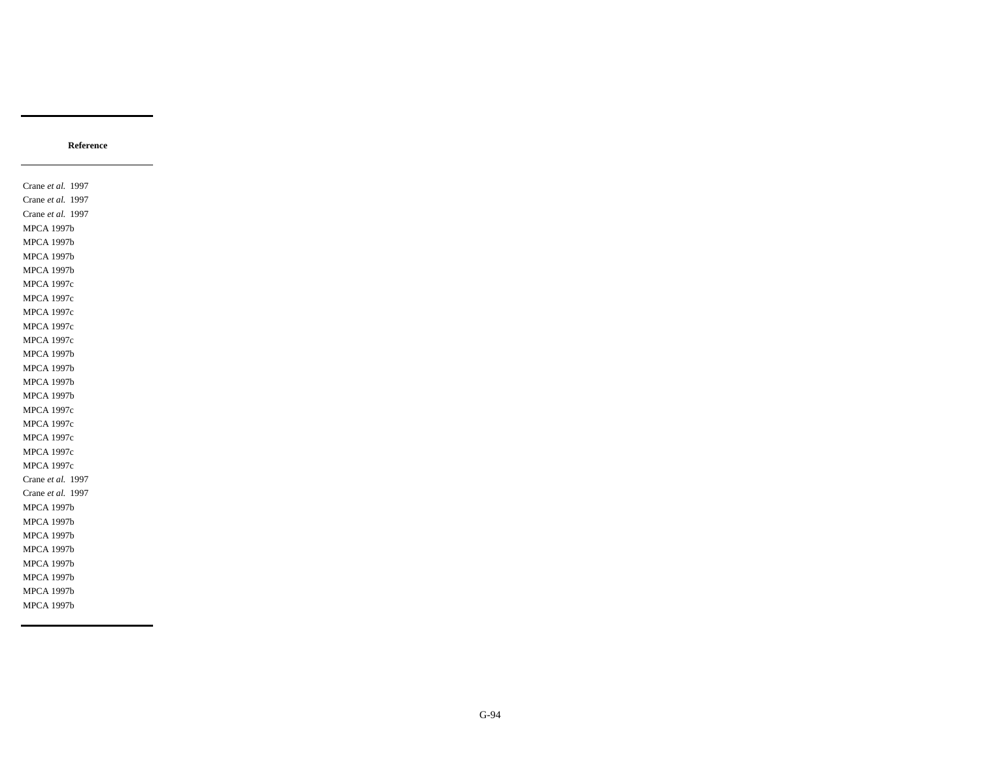Crane *et al.* 1997 Crane *et al.* 1997 Crane *et al.* 1997 MPCA 1997b MPCA 1997b MPCA 1997b MPCA 1997b MPCA 1997c MPCA 1997c MPCA 1997c MPCA 1997c MPCA 1997c MPCA 1997b MPCA 1997b MPCA 1997b MPCA 1997b MPCA 1997c MPCA 1997c MPCA 1997c MPCA 1997c MPCA 1997c Crane *et al.* 1997 Crane *et al.* 1997 MPCA 1997b MPCA 1997b MPCA 1997b MPCA 1997b MPCA 1997b MPCA 1997b MPCA 1997b MPCA 1997b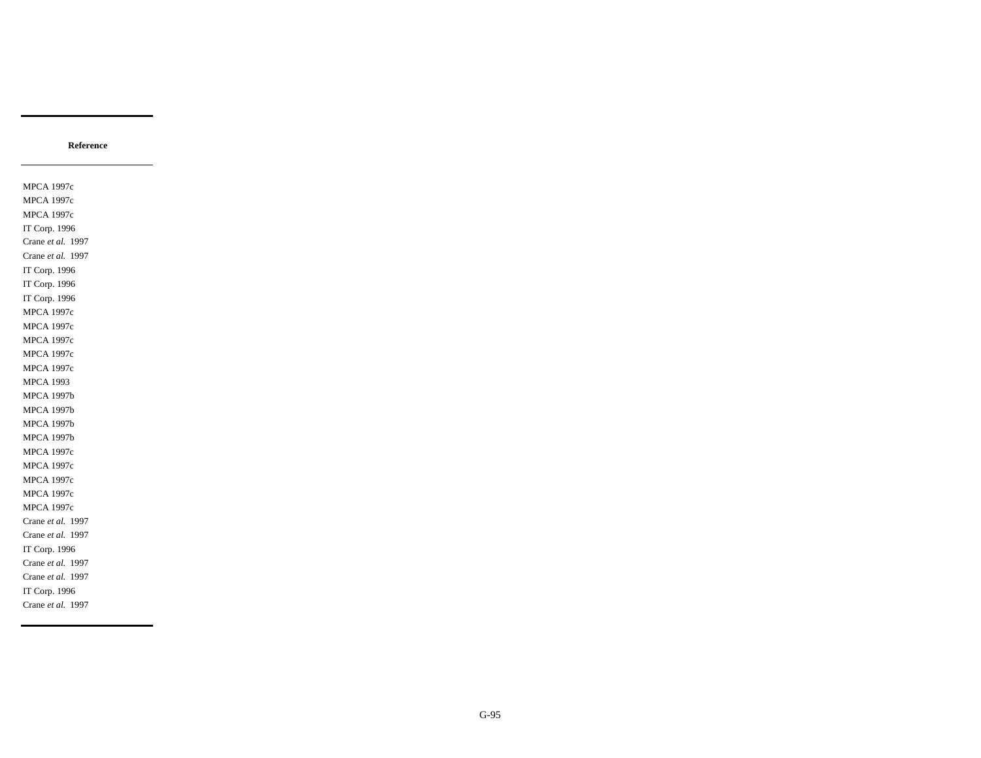MPCA 1997c MPCA 1997c MPCA 1997c IT Corp. 1996 Crane *et al.* 1997 Crane *et al.* 1997 IT Corp. 1996 IT Corp. 1996 IT Corp. 1996 MPCA 1997c MPCA 1997c MPCA 1997c MPCA 1997c MPCA 1997c MPCA 1993 MPCA 1997b MPCA 1997b MPCA 1997b MPCA 1997b MPCA 1997c MPCA 1997c MPCA 1997c MPCA 1997c MPCA 1997c Crane *et al.* 1997 Crane *et al.* 1997 IT Corp. 1996 Crane *et al.* 1997 Crane *et al.* 1997 IT Corp. 1996 Crane *et al.* 1997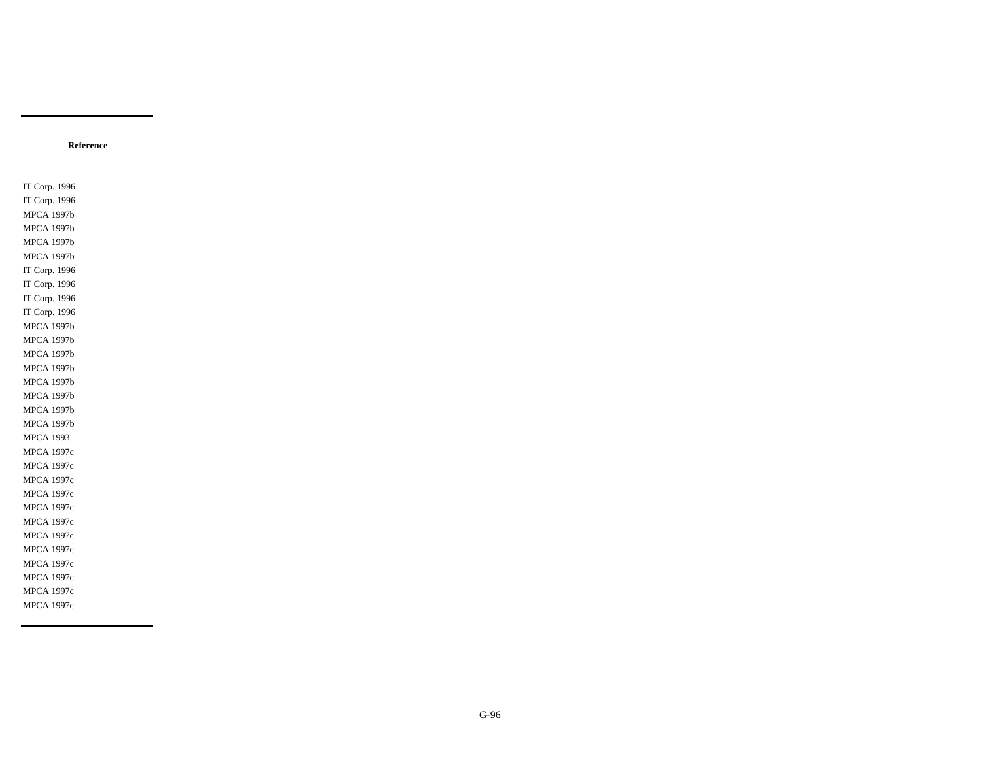IT Corp. 1996 IT Corp. 1996 MPCA 1997b MPCA 1997b MPCA 1997b MPCA 1997b IT Corp. 1996 IT Corp. 1996 IT Corp. 1996 IT Corp. 1996 MPCA 1997b MPCA 1997b MPCA 1997b MPCA 1997b MPCA 1997b MPCA 1997b MPCA 1997b MPCA 1997b MPCA 1993 MPCA 1997c MPCA 1997c MPCA 1997c MPCA 1997c MPCA 1997c MPCA 1997c MPCA 1997c MPCA 1997c MPCA 1997c MPCA 1997c MPCA 1997c MPCA 1997c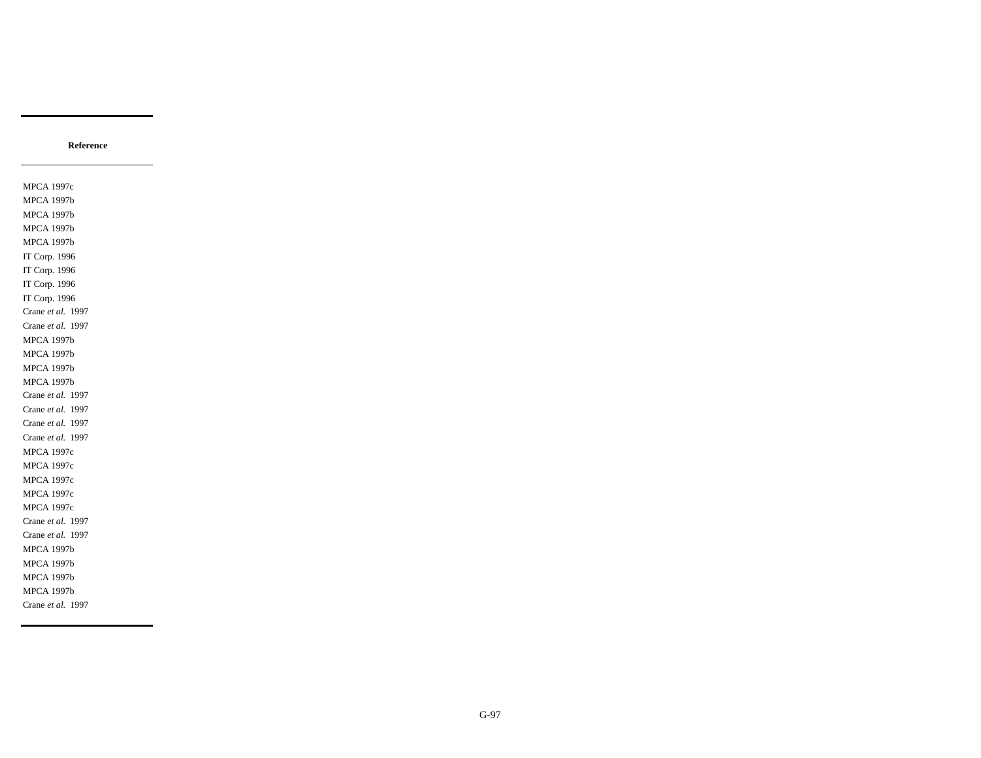MPCA 1997c MPCA 1997b MPCA 1997b MPCA 1997b MPCA 1997b IT Corp. 1996 IT Corp. 1996 IT Corp. 1996 IT Corp. 1996 Crane *et al.* 1997 Crane *et al.* 1997 MPCA 1997b MPCA 1997b MPCA 1997b MPCA 1997b Crane *et al.* 1997 Crane *et al.* 1997 Crane *et al.* 1997 Crane *et al.* 1997 MPCA 1997c MPCA 1997c MPCA 1997c MPCA 1997c MPCA 1997c Crane *et al.* 1997 Crane *et al.* 1997 MPCA 1997b MPCA 1997b MPCA 1997b MPCA 1997b Crane *et al.* 1997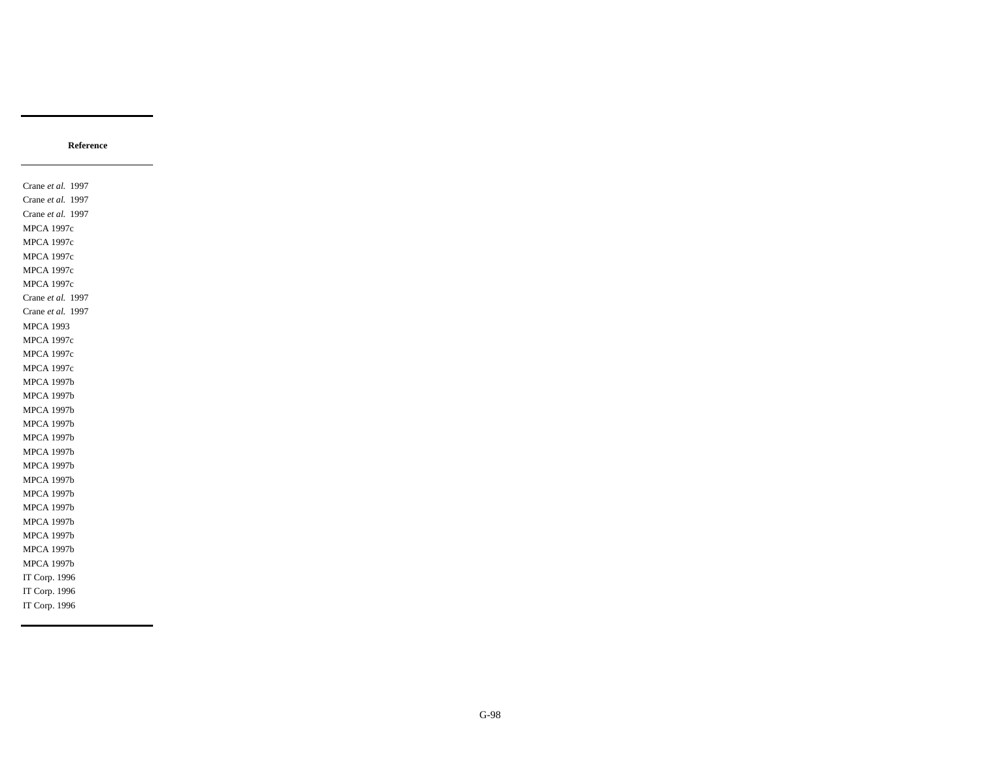Crane *et al.* 1997 Crane *et al.* 1997 Crane *et al.* 1997 MPCA 1997c MPCA 1997c MPCA 1997c MPCA 1997c MPCA 1997c Crane *et al.* 1997 Crane *et al.* 1997 MPCA 1993 MPCA 1997c MPCA 1997c MPCA 1997c MPCA 1997b MPCA 1997b MPCA 1997b MPCA 1997b MPCA 1997b MPCA 1997b MPCA 1997b MPCA 1997b MPCA 1997b MPCA 1997b MPCA 1997b MPCA 1997b MPCA 1997b MPCA 1997b IT Corp. 1996 IT Corp. 1996 IT Corp. 1996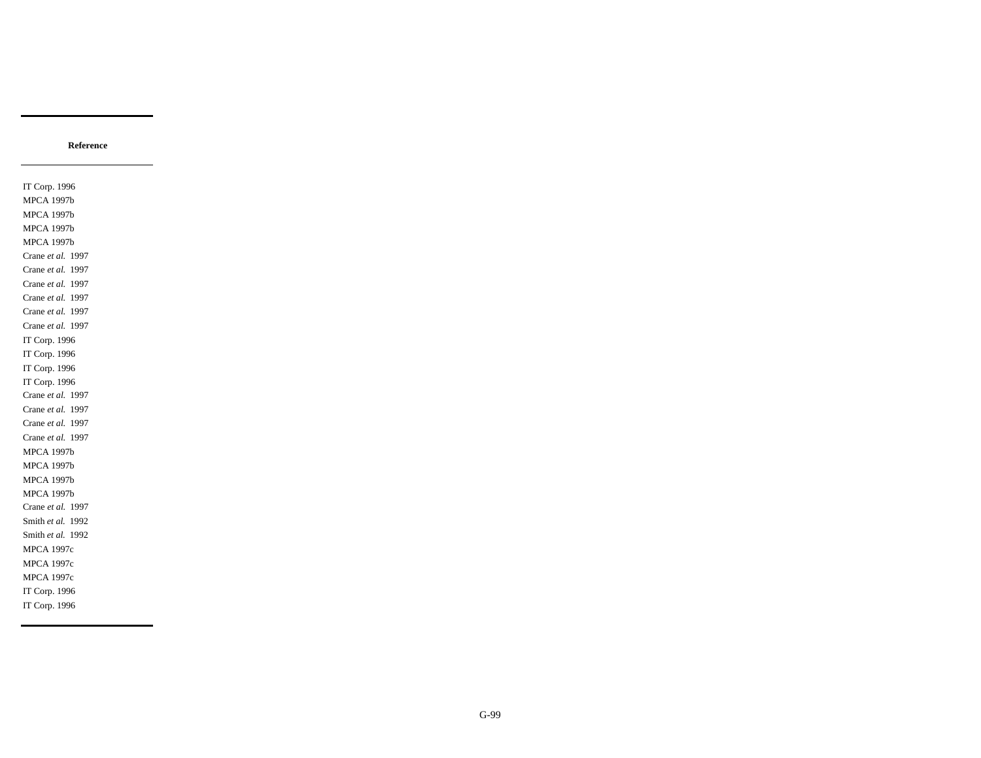IT Corp. 1996 MPCA 1997b MPCA 1997b MPCA 1997b MPCA 1997b Crane *et al.* 1997 Crane *et al.* 1997 Crane *et al.* 1997 Crane *et al.* 1997 Crane *et al.* 1997 Crane *et al.* 1997 IT Corp. 1996 IT Corp. 1996 IT Corp. 1996 IT Corp. 1996 Crane *et al.* 1997 Crane *et al.* 1997 Crane *et al.* 1997 Crane *et al.* 1997 MPCA 1997b MPCA 1997b MPCA 1997b MPCA 1997b Crane *et al.* 1997 Smith *et al.* 1992 Smith *et al.* 1992 MPCA 1997c MPCA 1997c MPCA 1997c IT Corp. 1996 IT Corp. 1996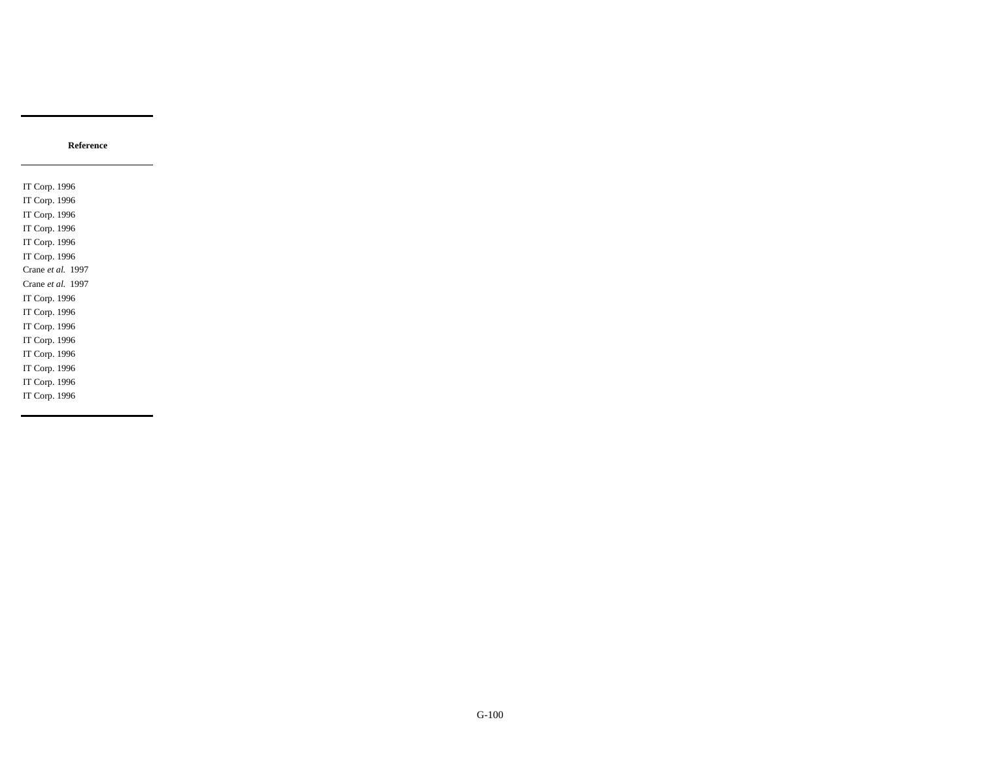IT Corp. 1996 IT Corp. 1996 IT Corp. 1996 IT Corp. 1996 IT Corp. 1996 IT Corp. 1996 Crane *et al.* 1997 Crane *et al.* 1997 IT Corp. 1996 IT Corp. 1996 IT Corp. 1996 IT Corp. 1996 IT Corp. 1996 IT Corp. 1996 IT Corp. 1996 IT Corp. 1996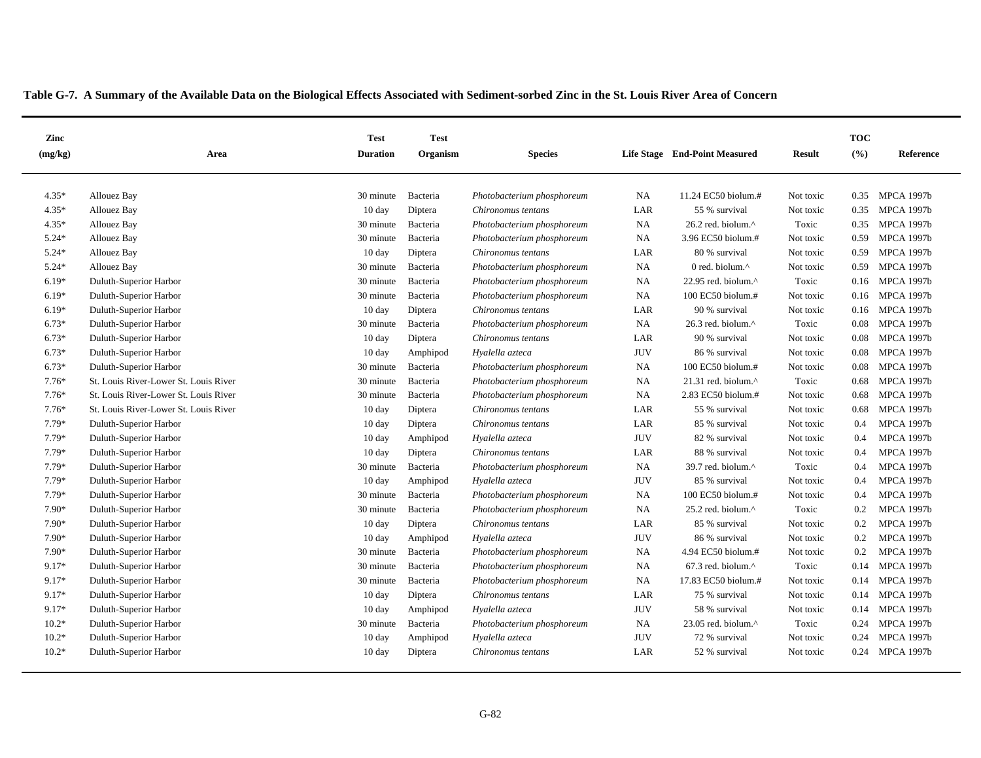| Zinc    |                                       | <b>Test</b>      | <b>Test</b> |                            |            |                                  |               | <b>TOC</b> |                   |
|---------|---------------------------------------|------------------|-------------|----------------------------|------------|----------------------------------|---------------|------------|-------------------|
| (mg/kg) | Area                                  | <b>Duration</b>  | Organism    | <b>Species</b>             |            | Life Stage End-Point Measured    | <b>Result</b> | (%)        | Reference         |
|         |                                       |                  |             |                            |            |                                  |               |            |                   |
| $4.35*$ | Allouez Bay                           | 30 minute        | Bacteria    | Photobacterium phosphoreum | <b>NA</b>  | 11.24 EC50 biolum.#              | Not toxic     | 0.35       | <b>MPCA 1997b</b> |
| $4.35*$ | Allouez Bay                           | $10 \text{ day}$ | Diptera     | Chironomus tentans         | LAR        | 55 % survival                    | Not toxic     | 0.35       | <b>MPCA 1997b</b> |
| $4.35*$ | Allouez Bay                           | 30 minute        | Bacteria    | Photobacterium phosphoreum | NA         | 26.2 red. biolum.^               | Toxic         | 0.35       | <b>MPCA 1997b</b> |
| $5.24*$ | Allouez Bay                           | 30 minute        | Bacteria    | Photobacterium phosphoreum | NA         | 3.96 EC50 biolum.#               | Not toxic     | 0.59       | <b>MPCA 1997b</b> |
| $5.24*$ | <b>Allouez Bay</b>                    | $10 \text{ day}$ | Diptera     | Chironomus tentans         | LAR        | 80 % survival                    | Not toxic     | 0.59       | <b>MPCA 1997b</b> |
| $5.24*$ | Allouez Bay                           | 30 minute        | Bacteria    | Photobacterium phosphoreum | NA         | 0 red. biolum. $^{\wedge}$       | Not toxic     | 0.59       | <b>MPCA 1997b</b> |
| $6.19*$ | Duluth-Superior Harbor                | 30 minute        | Bacteria    | Photobacterium phosphoreum | <b>NA</b>  | 22.95 red. biolum.^              | Toxic         | 0.16       | <b>MPCA 1997b</b> |
| $6.19*$ | Duluth-Superior Harbor                | 30 minute        | Bacteria    | Photobacterium phosphoreum | <b>NA</b>  | 100 EC50 biolum.#                | Not toxic     | 0.16       | <b>MPCA 1997b</b> |
| $6.19*$ | Duluth-Superior Harbor                | 10 day           | Diptera     | Chironomus tentans         | LAR        | 90 % survival                    | Not toxic     | 0.16       | <b>MPCA 1997b</b> |
| $6.73*$ | Duluth-Superior Harbor                | 30 minute        | Bacteria    | Photobacterium phosphoreum | <b>NA</b>  | 26.3 red. biolum. $^{\wedge}$    | Toxic         | 0.08       | <b>MPCA 1997b</b> |
| $6.73*$ | Duluth-Superior Harbor                | 10 day           | Diptera     | Chironomus tentans         | LAR        | 90 % survival                    | Not toxic     | 0.08       | <b>MPCA 1997b</b> |
| $6.73*$ | Duluth-Superior Harbor                | $10 \text{ day}$ | Amphipod    | Hyalella azteca            | <b>JUV</b> | 86 % survival                    | Not toxic     | 0.08       | <b>MPCA 1997b</b> |
| $6.73*$ | Duluth-Superior Harbor                | 30 minute        | Bacteria    | Photobacterium phosphoreum | NA         | 100 EC50 biolum.#                | Not toxic     | 0.08       | <b>MPCA 1997b</b> |
| $7.76*$ | St. Louis River-Lower St. Louis River | 30 minute        | Bacteria    | Photobacterium phosphoreum | <b>NA</b>  | $21.31$ red. biolum. $^{\wedge}$ | Toxic         | 0.68       | <b>MPCA 1997b</b> |
| $7.76*$ | St. Louis River-Lower St. Louis River | 30 minute        | Bacteria    | Photobacterium phosphoreum | NA         | 2.83 EC50 biolum.#               | Not toxic     | 0.68       | <b>MPCA 1997b</b> |
| $7.76*$ | St. Louis River-Lower St. Louis River | $10 \text{ day}$ | Diptera     | Chironomus tentans         | LAR        | 55 % survival                    | Not toxic     | 0.68       | <b>MPCA 1997b</b> |
| $7.79*$ | Duluth-Superior Harbor                | $10 \text{ day}$ | Diptera     | Chironomus tentans         | LAR        | 85 % survival                    | Not toxic     | 0.4        | <b>MPCA 1997b</b> |
| $7.79*$ | Duluth-Superior Harbor                | $10 \text{ day}$ | Amphipod    | Hyalella azteca            | <b>JUV</b> | 82 % survival                    | Not toxic     | 0.4        | <b>MPCA 1997b</b> |
| 7.79*   | Duluth-Superior Harbor                | $10 \text{ day}$ | Diptera     | Chironomus tentans         | LAR        | 88 % survival                    | Not toxic     | 0.4        | <b>MPCA 1997b</b> |
| $7.79*$ | Duluth-Superior Harbor                | 30 minute        | Bacteria    | Photobacterium phosphoreum | <b>NA</b>  | 39.7 red. biolum. $^{\wedge}$    | Toxic         | 0.4        | <b>MPCA 1997b</b> |
| 7.79*   | Duluth-Superior Harbor                | $10 \text{ day}$ | Amphipod    | Hyalella azteca            | <b>JUV</b> | 85 % survival                    | Not toxic     | 0.4        | <b>MPCA 1997b</b> |
| $7.79*$ | Duluth-Superior Harbor                | 30 minute        | Bacteria    | Photobacterium phosphoreum | <b>NA</b>  | $100$ EC50 biolum.#              | Not toxic     | 0.4        | <b>MPCA 1997b</b> |
| 7.90*   | Duluth-Superior Harbor                | 30 minute        | Bacteria    | Photobacterium phosphoreum | NA         | 25.2 red. biolum.^               | Toxic         | 0.2        | <b>MPCA 1997b</b> |
| $7.90*$ | Duluth-Superior Harbor                | $10 \text{ day}$ | Diptera     | Chironomus tentans         | LAR        | 85 % survival                    | Not toxic     | 0.2        | <b>MPCA 1997b</b> |
| 7.90*   | Duluth-Superior Harbor                | $10 \text{ day}$ | Amphipod    | Hyalella azteca            | <b>JUV</b> | 86 % survival                    | Not toxic     | 0.2        | <b>MPCA 1997b</b> |
| $7.90*$ | Duluth-Superior Harbor                | 30 minute        | Bacteria    | Photobacterium phosphoreum | <b>NA</b>  | 4.94 EC50 biolum.#               | Not toxic     | 0.2        | <b>MPCA 1997b</b> |
| $9.17*$ | Duluth-Superior Harbor                | 30 minute        | Bacteria    | Photobacterium phosphoreum | NA         | $67.3$ red. biolum. $^{\wedge}$  | Toxic         | 0.14       | <b>MPCA 1997b</b> |
| $9.17*$ | Duluth-Superior Harbor                | 30 minute        | Bacteria    | Photobacterium phosphoreum | <b>NA</b>  | 17.83 EC50 biolum.#              | Not toxic     | 0.14       | <b>MPCA 1997b</b> |
| $9.17*$ | Duluth-Superior Harbor                | 10 day           | Diptera     | Chironomus tentans         | LAR        | 75 % survival                    | Not toxic     | 0.14       | <b>MPCA 1997b</b> |
| $9.17*$ | Duluth-Superior Harbor                | $10 \text{ day}$ | Amphipod    | Hyalella azteca            | <b>JUV</b> | 58 % survival                    | Not toxic     | 0.14       | <b>MPCA 1997b</b> |
| $10.2*$ | Duluth-Superior Harbor                | 30 minute        | Bacteria    | Photobacterium phosphoreum | NA         | 23.05 red. biolum.^              | Toxic         | 0.24       | <b>MPCA 1997b</b> |
| $10.2*$ | Duluth-Superior Harbor                | $10 \text{ day}$ | Amphipod    | Hyalella azteca            | <b>JUV</b> | 72 % survival                    | Not toxic     | 0.24       | <b>MPCA 1997b</b> |
| $10.2*$ | Duluth-Superior Harbor                | $10 \text{ day}$ | Diptera     | Chironomus tentans         | LAR        | 52 % survival                    | Not toxic     |            | 0.24 MPCA 1997b   |
|         |                                       |                  |             |                            |            |                                  |               |            |                   |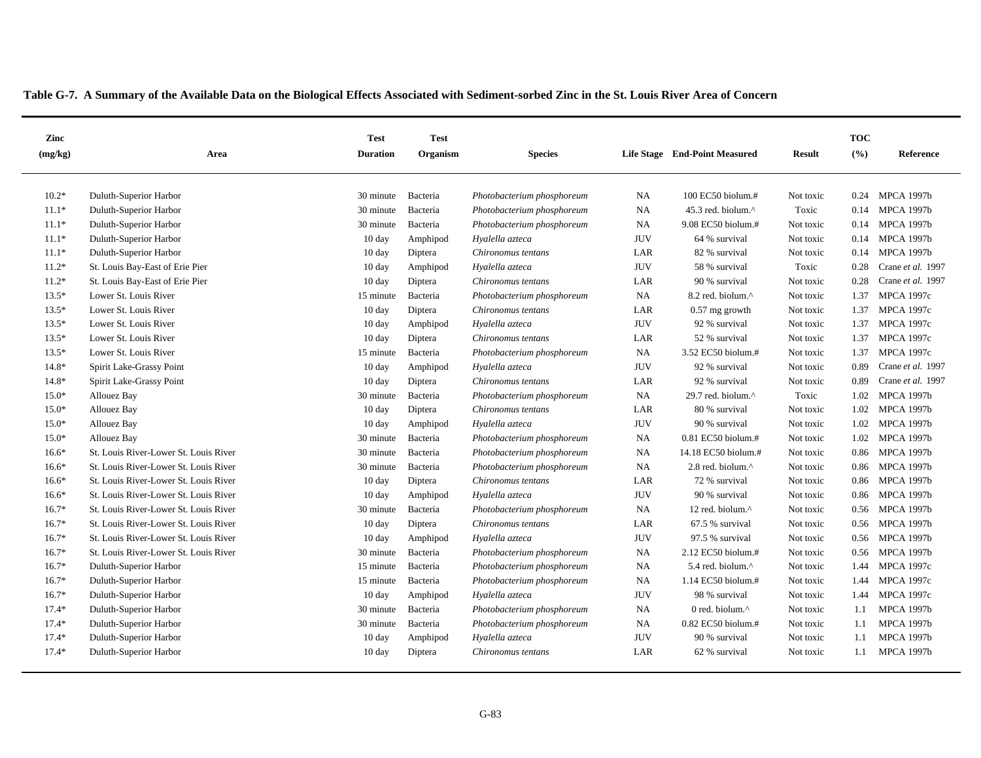| Zinc    |                                       | <b>Test</b>      | <b>Test</b> |                            |            |                               |               | <b>TOC</b> |                   |
|---------|---------------------------------------|------------------|-------------|----------------------------|------------|-------------------------------|---------------|------------|-------------------|
| (mg/kg) | Area                                  | <b>Duration</b>  | Organism    | <b>Species</b>             |            | Life Stage End-Point Measured | <b>Result</b> | (%)        | Reference         |
|         |                                       |                  |             |                            |            |                               |               |            |                   |
| $10.2*$ | Duluth-Superior Harbor                | 30 minute        | Bacteria    | Photobacterium phosphoreum | <b>NA</b>  | 100 EC50 biolum.#             | Not toxic     | 0.24       | <b>MPCA 1997b</b> |
| $11.1*$ | Duluth-Superior Harbor                | 30 minute        | Bacteria    | Photobacterium phosphoreum | NA         | 45.3 red. biolum.^            | Toxic         |            | 0.14 MPCA 1997b   |
| $11.1*$ | Duluth-Superior Harbor                | 30 minute        | Bacteria    | Photobacterium phosphoreum | NA         | 9.08 EC50 biolum.#            | Not toxic     | 0.14       | <b>MPCA 1997b</b> |
| $11.1*$ | Duluth-Superior Harbor                | $10 \text{ day}$ | Amphipod    | Hyalella azteca            | <b>JUV</b> | 64 % survival                 | Not toxic     | 0.14       | <b>MPCA 1997b</b> |
| $11.1*$ | Duluth-Superior Harbor                | 10 day           | Diptera     | Chironomus tentans         | LAR        | 82 % survival                 | Not toxic     | 0.14       | <b>MPCA 1997b</b> |
| $11.2*$ | St. Louis Bay-East of Erie Pier       | $10 \text{ day}$ | Amphipod    | Hyalella azteca            | <b>JUV</b> | 58 % survival                 | Toxic         | 0.28       | Crane et al. 1997 |
| $11.2*$ | St. Louis Bay-East of Erie Pier       | $10 \text{ day}$ | Diptera     | Chironomus tentans         | LAR        | 90 % survival                 | Not toxic     | 0.28       | Crane et al. 1997 |
| $13.5*$ | Lower St. Louis River                 | 15 minute        | Bacteria    | Photobacterium phosphoreum | <b>NA</b>  | 8.2 red. biolum.^             | Not toxic     | 1.37       | <b>MPCA 1997c</b> |
| $13.5*$ | Lower St. Louis River                 | 10 day           | Diptera     | Chironomus tentans         | LAR        | $0.57$ mg growth              | Not toxic     | 1.37       | <b>MPCA 1997c</b> |
| $13.5*$ | Lower St. Louis River                 | $10 \text{ day}$ | Amphipod    | Hyalella azteca            | <b>JUV</b> | 92 % survival                 | Not toxic     | 1.37       | <b>MPCA 1997c</b> |
| $13.5*$ | Lower St. Louis River                 | $10 \text{ day}$ | Diptera     | Chironomus tentans         | LAR        | 52 % survival                 | Not toxic     | 1.37       | <b>MPCA 1997c</b> |
| $13.5*$ | Lower St. Louis River                 | 15 minute        | Bacteria    | Photobacterium phosphoreum | <b>NA</b>  | 3.52 EC50 biolum.#            | Not toxic     | 1.37       | <b>MPCA 1997c</b> |
| $14.8*$ | Spirit Lake-Grassy Point              | 10 day           | Amphipod    | Hyalella azteca            | <b>JUV</b> | 92 % survival                 | Not toxic     | 0.89       | Crane et al. 1997 |
| $14.8*$ | Spirit Lake-Grassy Point              | $10 \text{ day}$ | Diptera     | Chironomus tentans         | LAR        | 92 % survival                 | Not toxic     | 0.89       | Crane et al. 1997 |
| $15.0*$ | Allouez Bay                           | 30 minute        | Bacteria    | Photobacterium phosphoreum | NA         | 29.7 red. biolum.^            | Toxic         | 1.02       | <b>MPCA 1997b</b> |
| $15.0*$ | Allouez Bay                           | $10 \text{ day}$ | Diptera     | Chironomus tentans         | LAR        | 80 % survival                 | Not toxic     | 1.02       | <b>MPCA 1997b</b> |
| $15.0*$ | Allouez Bay                           | $10 \text{ day}$ | Amphipod    | Hyalella azteca            | <b>JUV</b> | 90 % survival                 | Not toxic     | 1.02       | <b>MPCA 1997b</b> |
| $15.0*$ | Allouez Bay                           | 30 minute        | Bacteria    | Photobacterium phosphoreum | <b>NA</b>  | $0.81$ EC50 biolum.#          | Not toxic     | 1.02       | <b>MPCA 1997b</b> |
| $16.6*$ | St. Louis River-Lower St. Louis River | 30 minute        | Bacteria    | Photobacterium phosphoreum | NA         | 14.18 EC50 biolum.#           | Not toxic     | 0.86       | <b>MPCA 1997b</b> |
| $16.6*$ | St. Louis River-Lower St. Louis River | 30 minute        | Bacteria    | Photobacterium phosphoreum | <b>NA</b>  | 2.8 red. biolum. $^{\wedge}$  | Not toxic     | 0.86       | <b>MPCA 1997b</b> |
| $16.6*$ | St. Louis River-Lower St. Louis River | $10 \text{ day}$ | Diptera     | Chironomus tentans         | LAR        | 72 % survival                 | Not toxic     | 0.86       | <b>MPCA 1997b</b> |
| $16.6*$ | St. Louis River-Lower St. Louis River | $10 \text{ day}$ | Amphipod    | Hyalella azteca            | <b>JUV</b> | 90 % survival                 | Not toxic     | 0.86       | <b>MPCA 1997b</b> |
| $16.7*$ | St. Louis River-Lower St. Louis River | 30 minute        | Bacteria    | Photobacterium phosphoreum | NA         | 12 red. biolum.^              | Not toxic     |            | 0.56 MPCA 1997b   |
| $16.7*$ | St. Louis River-Lower St. Louis River | $10 \text{ day}$ | Diptera     | Chironomus tentans         | LAR        | 67.5 % survival               | Not toxic     |            | 0.56 MPCA 1997b   |
| $16.7*$ | St. Louis River-Lower St. Louis River | $10 \text{ day}$ | Amphipod    | Hyalella azteca            | <b>JUV</b> | 97.5 % survival               | Not toxic     |            | 0.56 MPCA 1997b   |
| $16.7*$ | St. Louis River-Lower St. Louis River | 30 minute        | Bacteria    | Photobacterium phosphoreum | <b>NA</b>  | $2.12$ EC50 biolum.#          | Not toxic     |            | 0.56 MPCA 1997b   |
| $16.7*$ | Duluth-Superior Harbor                | 15 minute        | Bacteria    | Photobacterium phosphoreum | NA         | 5.4 red. biolum.^             | Not toxic     | 1.44       | <b>MPCA 1997c</b> |
| $16.7*$ | Duluth-Superior Harbor                | 15 minute        | Bacteria    | Photobacterium phosphoreum | <b>NA</b>  | 1.14 EC50 biolum.#            | Not toxic     | 1.44       | <b>MPCA 1997c</b> |
| $16.7*$ | Duluth-Superior Harbor                | 10 day           | Amphipod    | Hyalella azteca            | <b>JUV</b> | 98 % survival                 | Not toxic     | 1.44       | <b>MPCA 1997c</b> |
| $17.4*$ | Duluth-Superior Harbor                | 30 minute        | Bacteria    | Photobacterium phosphoreum | <b>NA</b>  | 0 red. biolum. $\wedge$       | Not toxic     | 1.1        | <b>MPCA 1997b</b> |
| $17.4*$ | Duluth-Superior Harbor                | 30 minute        | Bacteria    | Photobacterium phosphoreum | <b>NA</b>  | 0.82 EC50 biolum.#            | Not toxic     | 1.1        | <b>MPCA 1997b</b> |
| $17.4*$ | Duluth-Superior Harbor                | $10 \text{ day}$ | Amphipod    | Hyalella azteca            | <b>JUV</b> | 90 % survival                 | Not toxic     | 1.1        | <b>MPCA 1997b</b> |
| $17.4*$ | Duluth-Superior Harbor                | $10 \text{ day}$ | Diptera     | Chironomus tentans         | LAR        | 62 % survival                 | Not toxic     | 1.1        | <b>MPCA 1997b</b> |
|         |                                       |                  |             |                            |            |                               |               |            |                   |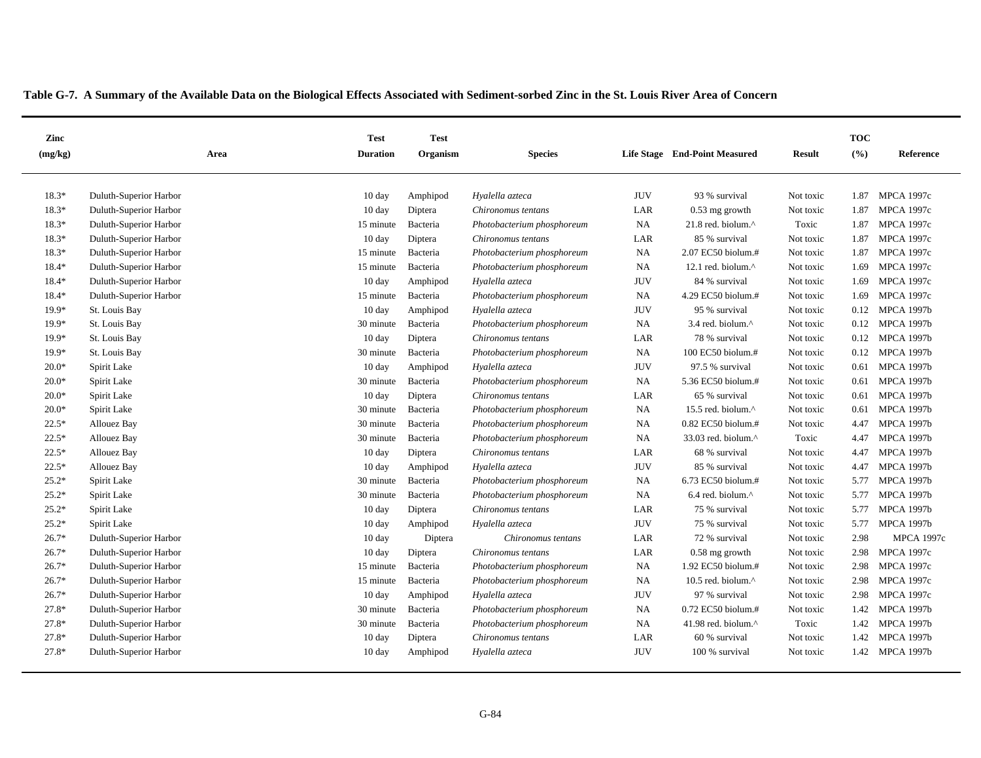| Zinc    |                        | <b>Test</b>      | <b>Test</b> |                            |            |                               |               | <b>TOC</b> |                   |
|---------|------------------------|------------------|-------------|----------------------------|------------|-------------------------------|---------------|------------|-------------------|
| (mg/kg) | Area                   | <b>Duration</b>  | Organism    | <b>Species</b>             |            | Life Stage End-Point Measured | <b>Result</b> | (%)        | Reference         |
|         |                        |                  |             |                            |            |                               |               |            |                   |
| $18.3*$ | Duluth-Superior Harbor | 10 day           | Amphipod    | Hyalella azteca            | <b>JUV</b> | 93 % survival                 | Not toxic     | 1.87       | <b>MPCA 1997c</b> |
| $18.3*$ | Duluth-Superior Harbor | $10 \text{ day}$ | Diptera     | Chironomus tentans         | LAR        | $0.53$ mg growth              | Not toxic     | 1.87       | <b>MPCA 1997c</b> |
| $18.3*$ | Duluth-Superior Harbor | 15 minute        | Bacteria    | Photobacterium phosphoreum | NA         | 21.8 red. biolum.^            | Toxic         | 1.87       | <b>MPCA 1997c</b> |
| $18.3*$ | Duluth-Superior Harbor | 10 day           | Diptera     | Chironomus tentans         | LAR        | 85 % survival                 | Not toxic     | 1.87       | <b>MPCA 1997c</b> |
| 18.3*   | Duluth-Superior Harbor | 15 minute        | Bacteria    | Photobacterium phosphoreum | NA         | 2.07 EC50 biolum.#            | Not toxic     | 1.87       | <b>MPCA 1997c</b> |
| 18.4*   | Duluth-Superior Harbor | 15 minute        | Bacteria    | Photobacterium phosphoreum | <b>NA</b>  | 12.1 red. biolum.^            | Not toxic     | 1.69       | <b>MPCA 1997c</b> |
| $18.4*$ | Duluth-Superior Harbor | $10 \text{ day}$ | Amphipod    | Hyalella azteca            | <b>JUV</b> | 84 % survival                 | Not toxic     | 1.69       | <b>MPCA 1997c</b> |
| $18.4*$ | Duluth-Superior Harbor | 15 minute        | Bacteria    | Photobacterium phosphoreum | <b>NA</b>  | 4.29 EC50 biolum.#            | Not toxic     | 1.69       | <b>MPCA 1997c</b> |
| $19.9*$ | St. Louis Bay          | $10 \text{ day}$ | Amphipod    | Hyalella azteca            | <b>JUV</b> | 95 % survival                 | Not toxic     | 0.12       | <b>MPCA 1997b</b> |
| $19.9*$ | St. Louis Bay          | 30 minute        | Bacteria    | Photobacterium phosphoreum | NA         | 3.4 red. biolum.^             | Not toxic     | 0.12       | <b>MPCA 1997b</b> |
| 19.9*   | St. Louis Bay          | $10 \text{ day}$ | Diptera     | Chironomus tentans         | LAR        | 78 % survival                 | Not toxic     | 0.12       | <b>MPCA 1997b</b> |
| $19.9*$ | St. Louis Bay          | 30 minute        | Bacteria    | Photobacterium phosphoreum | NA         | 100 EC50 biolum.#             | Not toxic     | 0.12       | <b>MPCA 1997b</b> |
| $20.0*$ | Spirit Lake            | $10 \text{ day}$ | Amphipod    | Hyalella azteca            | <b>JUV</b> | 97.5 % survival               | Not toxic     | 0.61       | <b>MPCA 1997b</b> |
| $20.0*$ | Spirit Lake            | 30 minute        | Bacteria    | Photobacterium phosphoreum | NA         | 5.36 EC50 biolum.#            | Not toxic     | 0.61       | <b>MPCA 1997b</b> |
| $20.0*$ | Spirit Lake            | $10 \text{ day}$ | Diptera     | Chironomus tentans         | LAR        | 65 % survival                 | Not toxic     | 0.61       | <b>MPCA 1997b</b> |
| $20.0*$ | Spirit Lake            | 30 minute        | Bacteria    | Photobacterium phosphoreum | NA         | 15.5 red. biolum. $\wedge$    | Not toxic     | 0.61       | <b>MPCA 1997b</b> |
| $22.5*$ | Allouez Bay            | 30 minute        | Bacteria    | Photobacterium phosphoreum | NA         | $0.82$ EC50 biolum.#          | Not toxic     | 4.47       | <b>MPCA 1997b</b> |
| $22.5*$ | Allouez Bay            | 30 minute        | Bacteria    | Photobacterium phosphoreum | NA         | 33.03 red. biolum.^           | Toxic         | 4.47       | <b>MPCA 1997b</b> |
| $22.5*$ | Allouez Bay            | $10 \text{ day}$ | Diptera     | Chironomus tentans         | LAR        | 68 % survival                 | Not toxic     | 4.47       | <b>MPCA 1997b</b> |
| $22.5*$ | Allouez Bay            | $10 \text{ day}$ | Amphipod    | Hyalella azteca            | <b>JUV</b> | 85 % survival                 | Not toxic     | 4.47       | <b>MPCA 1997b</b> |
| $25.2*$ | Spirit Lake            | 30 minute        | Bacteria    | Photobacterium phosphoreum | <b>NA</b>  | 6.73 EC50 biolum.#            | Not toxic     |            | 5.77 MPCA 1997b   |
| $25.2*$ | Spirit Lake            | 30 minute        | Bacteria    | Photobacterium phosphoreum | NA         | 6.4 red. biolum.^             | Not toxic     | 5.77       | <b>MPCA 1997b</b> |
| $25.2*$ | Spirit Lake            | $10 \text{ day}$ | Diptera     | Chironomus tentans         | LAR        | 75 % survival                 | Not toxic     | 5.77       | <b>MPCA 1997b</b> |
| $25.2*$ | Spirit Lake            | $10 \text{ day}$ | Amphipod    | Hyalella azteca            | <b>JUV</b> | 75 % survival                 | Not toxic     | 5.77       | <b>MPCA 1997b</b> |
| $26.7*$ | Duluth-Superior Harbor | $10 \text{ day}$ | Diptera     | Chironomus tentans         | LAR        | 72 % survival                 | Not toxic     | 2.98       | <b>MPCA 1997c</b> |
| $26.7*$ | Duluth-Superior Harbor | $10 \text{ day}$ | Diptera     | Chironomus tentans         | LAR        | $0.58$ mg growth              | Not toxic     | 2.98       | <b>MPCA 1997c</b> |
| $26.7*$ | Duluth-Superior Harbor | 15 minute        | Bacteria    | Photobacterium phosphoreum | <b>NA</b>  | 1.92 EC50 biolum.#            | Not toxic     | 2.98       | <b>MPCA 1997c</b> |
| $26.7*$ | Duluth-Superior Harbor | 15 minute        | Bacteria    | Photobacterium phosphoreum | NA         | 10.5 red. biolum.^            | Not toxic     | 2.98       | <b>MPCA 1997c</b> |
| $26.7*$ | Duluth-Superior Harbor | $10 \text{ day}$ | Amphipod    | Hyalella azteca            | <b>JUV</b> | 97 % survival                 | Not toxic     | 2.98       | <b>MPCA 1997c</b> |
| $27.8*$ | Duluth-Superior Harbor | 30 minute        | Bacteria    | Photobacterium phosphoreum | <b>NA</b>  | $0.72$ EC50 biolum.#          | Not toxic     | 1.42       | <b>MPCA 1997b</b> |
| 27.8*   | Duluth-Superior Harbor | 30 minute        | Bacteria    | Photobacterium phosphoreum | NA         | 41.98 red. biolum.^           | Toxic         | 1.42       | <b>MPCA 1997b</b> |
| 27.8*   | Duluth-Superior Harbor | $10 \text{ day}$ | Diptera     | Chironomus tentans         | LAR        | 60 % survival                 | Not toxic     | 1.42       | <b>MPCA 1997b</b> |
| $27.8*$ | Duluth-Superior Harbor | $10 \text{ day}$ | Amphipod    | Hyalella azteca            | <b>JUV</b> | 100 % survival                | Not toxic     |            | 1.42 MPCA 1997b   |
|         |                        |                  |             |                            |            |                               |               |            |                   |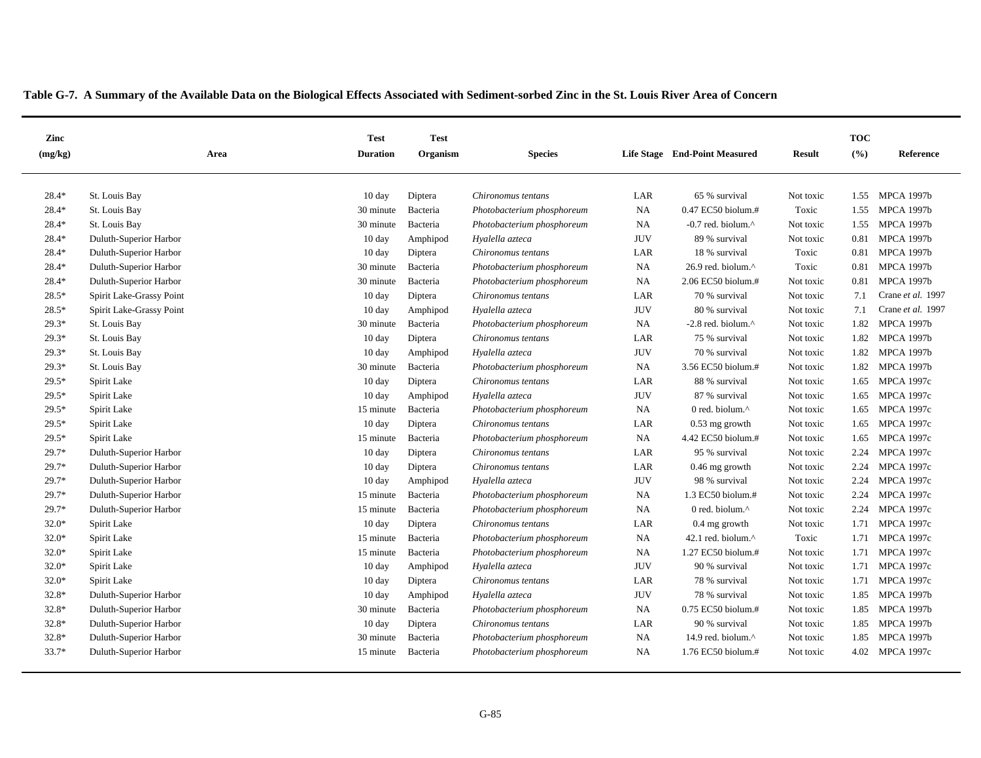| Zinc    |                          | <b>Test</b>      | <b>Test</b> |                            |            |                                 |               | <b>TOC</b> |                   |
|---------|--------------------------|------------------|-------------|----------------------------|------------|---------------------------------|---------------|------------|-------------------|
| (mg/kg) | Area                     | <b>Duration</b>  | Organism    | <b>Species</b>             |            | Life Stage End-Point Measured   | <b>Result</b> | (%)        | Reference         |
| $28.4*$ | St. Louis Bay            | $10 \text{ day}$ | Diptera     | Chironomus tentans         | LAR        | 65 % survival                   | Not toxic     | 1.55       | <b>MPCA 1997b</b> |
| 28.4*   | St. Louis Bay            | 30 minute        | Bacteria    | Photobacterium phosphoreum | NA         | 0.47 EC50 biolum.#              | Toxic         | 1.55       | <b>MPCA 1997b</b> |
| 28.4*   | St. Louis Bay            | 30 minute        | Bacteria    | Photobacterium phosphoreum | NA         | $-0.7$ red. biolum. $^{\wedge}$ | Not toxic     | 1.55       | <b>MPCA 1997b</b> |
| 28.4*   | Duluth-Superior Harbor   | $10 \text{ day}$ | Amphipod    | Hyalella azteca            | <b>JUV</b> | 89 % survival                   | Not toxic     | 0.81       | <b>MPCA 1997b</b> |
| 28.4*   | Duluth-Superior Harbor   | 10 day           | Diptera     | Chironomus tentans         | LAR        | 18 % survival                   | Toxic         | 0.81       | <b>MPCA 1997b</b> |
| $28.4*$ | Duluth-Superior Harbor   | 30 minute        | Bacteria    | Photobacterium phosphoreum | NA         | 26.9 red. biolum.^              | Toxic         | 0.81       | <b>MPCA 1997b</b> |
| 28.4*   | Duluth-Superior Harbor   | 30 minute        | Bacteria    | Photobacterium phosphoreum | <b>NA</b>  | 2.06 EC50 biolum.#              | Not toxic     | 0.81       | <b>MPCA 1997b</b> |
| $28.5*$ | Spirit Lake-Grassy Point | 10 day           | Diptera     | Chironomus tentans         | LAR        | 70 % survival                   | Not toxic     | 7.1        | Crane et al. 1997 |
| $28.5*$ | Spirit Lake-Grassy Point | $10 \text{ day}$ | Amphipod    | Hyalella azteca            | <b>JUV</b> | 80 % survival                   | Not toxic     | 7.1        | Crane et al. 1997 |
| $29.3*$ | St. Louis Bay            | 30 minute        | Bacteria    | Photobacterium phosphoreum | <b>NA</b>  | $-2.8$ red. biolum. $^{\wedge}$ | Not toxic     | 1.82       | <b>MPCA 1997b</b> |
| $29.3*$ | St. Louis Bay            | 10 day           | Diptera     | Chironomus tentans         | LAR        | 75 % survival                   | Not toxic     | 1.82       | <b>MPCA 1997b</b> |
| $29.3*$ | St. Louis Bay            | $10 \text{ day}$ | Amphipod    | Hyalella azteca            | <b>JUV</b> | 70 % survival                   | Not toxic     | 1.82       | <b>MPCA 1997b</b> |
| $29.3*$ | St. Louis Bay            | 30 minute        | Bacteria    | Photobacterium phosphoreum | NA         | 3.56 EC50 biolum.#              | Not toxic     | 1.82       | <b>MPCA 1997b</b> |
| $29.5*$ | Spirit Lake              | $10 \text{ day}$ | Diptera     | Chironomus tentans         | LAR        | 88 % survival                   | Not toxic     | 1.65       | <b>MPCA 1997c</b> |
| $29.5*$ | Spirit Lake              | 10 day           | Amphipod    | Hyalella azteca            | <b>JUV</b> | 87 % survival                   | Not toxic     | 1.65       | <b>MPCA 1997c</b> |
| $29.5*$ | Spirit Lake              | 15 minute        | Bacteria    | Photobacterium phosphoreum | NA         | 0 red. biolum. $\wedge$         | Not toxic     | 1.65       | <b>MPCA 1997c</b> |
| $29.5*$ | Spirit Lake              | 10 day           | Diptera     | Chironomus tentans         | LAR        | 0.53 mg growth                  | Not toxic     | 1.65       | <b>MPCA 1997c</b> |
| $29.5*$ | Spirit Lake              | 15 minute        | Bacteria    | Photobacterium phosphoreum | NA         | 4.42 EC50 biolum.#              | Not toxic     | 1.65       | <b>MPCA 1997c</b> |
| $29.7*$ | Duluth-Superior Harbor   | $10 \text{ day}$ | Diptera     | Chironomus tentans         | LAR        | 95 % survival                   | Not toxic     | 2.24       | <b>MPCA 1997c</b> |
| 29.7*   | Duluth-Superior Harbor   | 10 day           | Diptera     | Chironomus tentans         | LAR        | $0.46$ mg growth                | Not toxic     | 2.24       | <b>MPCA 1997c</b> |
| $29.7*$ | Duluth-Superior Harbor   | $10 \text{ day}$ | Amphipod    | Hyalella azteca            | <b>JUV</b> | 98 % survival                   | Not toxic     | 2.24       | <b>MPCA 1997c</b> |
| 29.7*   | Duluth-Superior Harbor   | 15 minute        | Bacteria    | Photobacterium phosphoreum | NA         | 1.3 EC50 biolum.#               | Not toxic     | 2.24       | <b>MPCA 1997c</b> |
| $29.7*$ | Duluth-Superior Harbor   | 15 minute        | Bacteria    | Photobacterium phosphoreum | <b>NA</b>  | 0 red. biolum. $\wedge$         | Not toxic     | 2.24       | <b>MPCA 1997c</b> |
| $32.0*$ | Spirit Lake              | $10 \text{ day}$ | Diptera     | Chironomus tentans         | LAR        | 0.4 mg growth                   | Not toxic     |            | 1.71 MPCA 1997c   |
| $32.0*$ | Spirit Lake              | 15 minute        | Bacteria    | Photobacterium phosphoreum | <b>NA</b>  | 42.1 red. biolum. $^{\wedge}$   | Toxic         |            | 1.71 MPCA 1997c   |
| $32.0*$ | Spirit Lake              | 15 minute        | Bacteria    | Photobacterium phosphoreum | NA         | 1.27 EC50 biolum.#              | Not toxic     |            | 1.71 MPCA 1997c   |
| $32.0*$ | Spirit Lake              | $10 \text{ day}$ | Amphipod    | Hyalella azteca            | <b>JUV</b> | 90 % survival                   | Not toxic     |            | 1.71 MPCA 1997c   |
| $32.0*$ | Spirit Lake              | 10 day           | Diptera     | Chironomus tentans         | LAR        | 78 % survival                   | Not toxic     | 1.71       | <b>MPCA 1997c</b> |
| 32.8*   | Duluth-Superior Harbor   | $10 \text{ day}$ | Amphipod    | Hyalella azteca            | <b>JUV</b> | 78 % survival                   | Not toxic     | 1.85       | <b>MPCA 1997b</b> |
| $32.8*$ | Duluth-Superior Harbor   | 30 minute        | Bacteria    | Photobacterium phosphoreum | <b>NA</b>  | 0.75 EC50 biolum.#              | Not toxic     | 1.85       | <b>MPCA 1997b</b> |
| $32.8*$ | Duluth-Superior Harbor   | 10 day           | Diptera     | Chironomus tentans         | LAR        | 90 % survival                   | Not toxic     | 1.85       | <b>MPCA 1997b</b> |
| $32.8*$ | Duluth-Superior Harbor   | 30 minute        | Bacteria    | Photobacterium phosphoreum | <b>NA</b>  | 14.9 red. biolum. $\wedge$      | Not toxic     | 1.85       | <b>MPCA 1997b</b> |
| $33.7*$ | Duluth-Superior Harbor   | 15 minute        | Bacteria    | Photobacterium phosphoreum | <b>NA</b>  | 1.76 EC50 biolum.#              | Not toxic     |            | 4.02 MPCA 1997c   |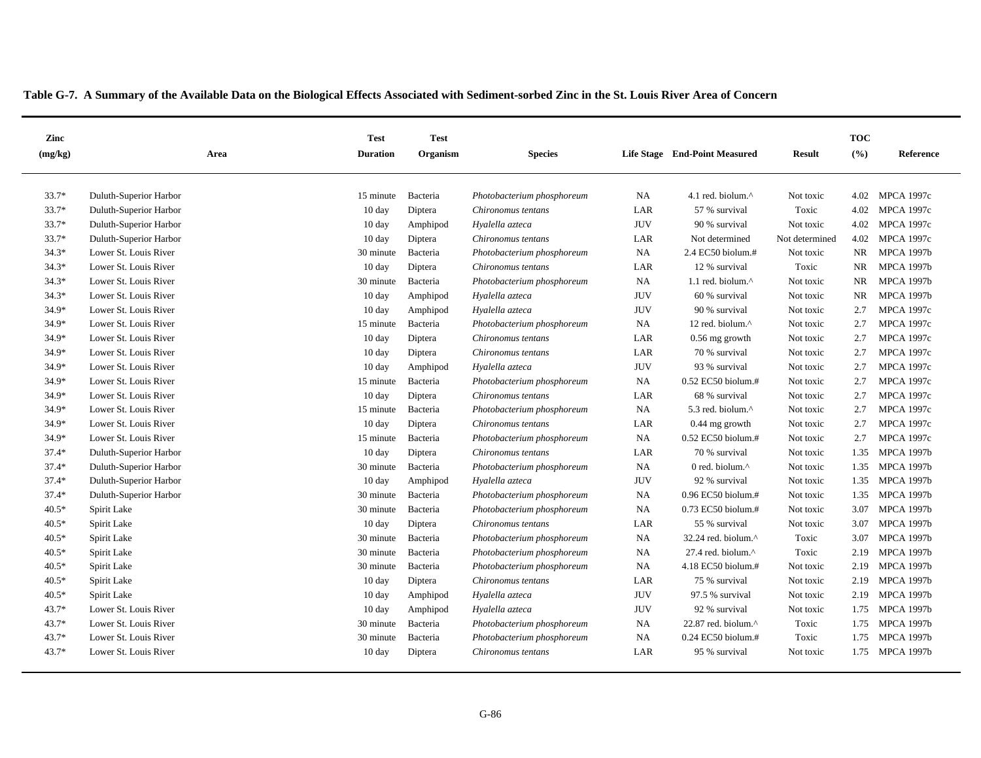| Zinc    |                        | <b>Test</b>      | <b>Test</b> |                            |            |                                  |                | <b>TOC</b> |                   |
|---------|------------------------|------------------|-------------|----------------------------|------------|----------------------------------|----------------|------------|-------------------|
| (mg/kg) | Area                   | <b>Duration</b>  | Organism    | <b>Species</b>             |            | Life Stage End-Point Measured    | <b>Result</b>  | (%)        | Reference         |
|         |                        |                  |             |                            |            |                                  |                |            |                   |
| $33.7*$ | Duluth-Superior Harbor | 15 minute        | Bacteria    | Photobacterium phosphoreum | <b>NA</b>  | 4.1 red. biolum. $^{\wedge}$     | Not toxic      | 4.02       | <b>MPCA 1997c</b> |
| 33.7*   | Duluth-Superior Harbor | $10 \text{ day}$ | Diptera     | Chironomus tentans         | LAR        | 57 % survival                    | Toxic          | 4.02       | <b>MPCA 1997c</b> |
| $33.7*$ | Duluth-Superior Harbor | $10 \text{ day}$ | Amphipod    | Hyalella azteca            | <b>JUV</b> | 90 % survival                    | Not toxic      | 4.02       | <b>MPCA 1997c</b> |
| 33.7*   | Duluth-Superior Harbor | 10 day           | Diptera     | Chironomus tentans         | LAR        | Not determined                   | Not determined | 4.02       | <b>MPCA 1997c</b> |
| $34.3*$ | Lower St. Louis River  | 30 minute        | Bacteria    | Photobacterium phosphoreum | <b>NA</b>  | 2.4 EC50 biolum.#                | Not toxic      | NR.        | <b>MPCA 1997b</b> |
| $34.3*$ | Lower St. Louis River  | 10 day           | Diptera     | Chironomus tentans         | LAR        | 12 % survival                    | Toxic          | <b>NR</b>  | <b>MPCA 1997b</b> |
| $34.3*$ | Lower St. Louis River  | 30 minute        | Bacteria    | Photobacterium phosphoreum | <b>NA</b>  | 1.1 red. biolum.^                | Not toxic      | <b>NR</b>  | <b>MPCA 1997b</b> |
| $34.3*$ | Lower St. Louis River  | 10 day           | Amphipod    | Hyalella azteca            | <b>JUV</b> | 60 % survival                    | Not toxic      | NR         | <b>MPCA 1997b</b> |
| 34.9*   | Lower St. Louis River  | $10 \text{ day}$ | Amphipod    | Hyalella azteca            | <b>JUV</b> | 90 % survival                    | Not toxic      | 2.7        | <b>MPCA 1997c</b> |
| $34.9*$ | Lower St. Louis River  | 15 minute        | Bacteria    | Photobacterium phosphoreum | <b>NA</b>  | 12 red. biolum.^                 | Not toxic      | 2.7        | <b>MPCA 1997c</b> |
| 34.9*   | Lower St. Louis River  | $10 \text{ day}$ | Diptera     | Chironomus tentans         | LAR        | $0.56$ mg growth                 | Not toxic      | 2.7        | <b>MPCA 1997c</b> |
| $34.9*$ | Lower St. Louis River  | $10 \text{ day}$ | Diptera     | Chironomus tentans         | LAR        | 70 % survival                    | Not toxic      | 2.7        | <b>MPCA 1997c</b> |
| 34.9*   | Lower St. Louis River  | $10 \text{ day}$ | Amphipod    | Hyalella azteca            | <b>JUV</b> | 93 % survival                    | Not toxic      | 2.7        | <b>MPCA 1997c</b> |
| $34.9*$ | Lower St. Louis River  | 15 minute        | Bacteria    | Photobacterium phosphoreum | <b>NA</b>  | $0.52$ EC50 biolum.#             | Not toxic      | 2.7        | <b>MPCA 1997c</b> |
| 34.9*   | Lower St. Louis River  | $10 \text{ day}$ | Diptera     | Chironomus tentans         | LAR        | 68 % survival                    | Not toxic      | 2.7        | <b>MPCA 1997c</b> |
| 34.9*   | Lower St. Louis River  | 15 minute        | Bacteria    | Photobacterium phosphoreum | NA         | 5.3 red. biolum.^                | Not toxic      | 2.7        | <b>MPCA 1997c</b> |
| 34.9*   | Lower St. Louis River  | 10 day           | Diptera     | Chironomus tentans         | LAR        | $0.44$ mg growth                 | Not toxic      | 2.7        | <b>MPCA 1997c</b> |
| 34.9*   | Lower St. Louis River  | 15 minute        | Bacteria    | Photobacterium phosphoreum | NA         | $0.52$ EC50 biolum.#             | Not toxic      | 2.7        | <b>MPCA 1997c</b> |
| $37.4*$ | Duluth-Superior Harbor | $10 \text{ day}$ | Diptera     | Chironomus tentans         | LAR        | 70 % survival                    | Not toxic      | 1.35       | <b>MPCA 1997b</b> |
| $37.4*$ | Duluth-Superior Harbor | 30 minute        | Bacteria    | Photobacterium phosphoreum | NA         | 0 red. biolum.^                  | Not toxic      | 1.35       | <b>MPCA 1997b</b> |
| $37.4*$ | Duluth-Superior Harbor | $10 \text{ day}$ | Amphipod    | Hyalella azteca            | <b>JUV</b> | 92 % survival                    | Not toxic      | 1.35       | <b>MPCA 1997b</b> |
| $37.4*$ | Duluth-Superior Harbor | 30 minute        | Bacteria    | Photobacterium phosphoreum | NA         | 0.96 EC50 biolum.#               | Not toxic      | 1.35       | <b>MPCA 1997b</b> |
| $40.5*$ | Spirit Lake            | 30 minute        | Bacteria    | Photobacterium phosphoreum | NA         | 0.73 EC50 biolum.#               | Not toxic      | 3.07       | <b>MPCA 1997b</b> |
| $40.5*$ | Spirit Lake            | $10 \text{ day}$ | Diptera     | Chironomus tentans         | LAR        | 55 % survival                    | Not toxic      | 3.07       | <b>MPCA 1997b</b> |
| $40.5*$ | Spirit Lake            | 30 minute        | Bacteria    | Photobacterium phosphoreum | <b>NA</b>  | $32.24$ red. biolum. $^{\wedge}$ | Toxic          | 3.07       | <b>MPCA 1997b</b> |
| $40.5*$ | Spirit Lake            | 30 minute        | Bacteria    | Photobacterium phosphoreum | NA         | 27.4 red. biolum.^               | Toxic          | 2.19       | <b>MPCA 1997b</b> |
| $40.5*$ | Spirit Lake            | 30 minute        | Bacteria    | Photobacterium phosphoreum | <b>NA</b>  | 4.18 EC50 biolum.#               | Not toxic      | 2.19       | <b>MPCA 1997b</b> |
| $40.5*$ | Spirit Lake            | 10 day           | Diptera     | Chironomus tentans         | LAR        | 75 % survival                    | Not toxic      | 2.19       | <b>MPCA 1997b</b> |
| $40.5*$ | Spirit Lake            | $10 \text{ day}$ | Amphipod    | Hyalella azteca            | <b>JUV</b> | 97.5 % survival                  | Not toxic      | 2.19       | <b>MPCA 1997b</b> |
| 43.7*   | Lower St. Louis River  | 10 day           | Amphipod    | Hyalella azteca            | <b>JUV</b> | 92 % survival                    | Not toxic      | 1.75       | <b>MPCA 1997b</b> |
| 43.7*   | Lower St. Louis River  | 30 minute        | Bacteria    | Photobacterium phosphoreum | NA         | 22.87 red. biolum.^              | Toxic          | 1.75       | <b>MPCA 1997b</b> |
| $43.7*$ | Lower St. Louis River  | 30 minute        | Bacteria    | Photobacterium phosphoreum | <b>NA</b>  | 0.24 EC50 biolum.#               | Toxic          | 1.75       | <b>MPCA 1997b</b> |
| 43.7*   | Lower St. Louis River  | $10 \text{ day}$ | Diptera     | Chironomus tentans         | LAR        | 95 % survival                    | Not toxic      | 1.75       | <b>MPCA 1997b</b> |
|         |                        |                  |             |                            |            |                                  |                |            |                   |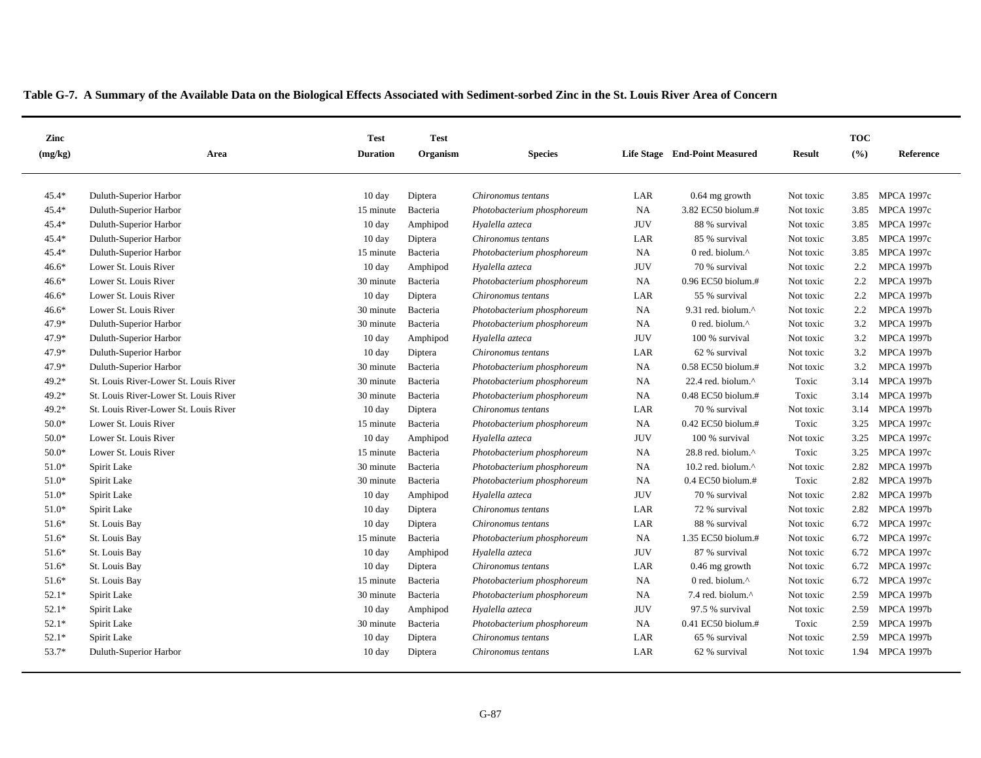| Zinc    |                                       | <b>Test</b>      | <b>Test</b> |                            |            |                               |               | <b>TOC</b> |                   |
|---------|---------------------------------------|------------------|-------------|----------------------------|------------|-------------------------------|---------------|------------|-------------------|
| (mg/kg) | Area                                  | <b>Duration</b>  | Organism    | <b>Species</b>             |            | Life Stage End-Point Measured | <b>Result</b> | (%)        | Reference         |
| $45.4*$ | Duluth-Superior Harbor                | $10 \text{ day}$ | Diptera     | Chironomus tentans         | LAR        | $0.64$ mg growth              | Not toxic     | 3.85       | <b>MPCA 1997c</b> |
| 45.4*   | Duluth-Superior Harbor                | 15 minute        | Bacteria    | Photobacterium phosphoreum | NA         | 3.82 EC50 biolum.#            | Not toxic     | 3.85       | <b>MPCA 1997c</b> |
| $45.4*$ | Duluth-Superior Harbor                | $10 \text{ day}$ | Amphipod    | Hyalella azteca            | <b>JUV</b> | 88 % survival                 | Not toxic     | 3.85       | <b>MPCA 1997c</b> |
| 45.4*   | Duluth-Superior Harbor                | 10 day           | Diptera     | Chironomus tentans         | LAR        | 85 % survival                 | Not toxic     | 3.85       | <b>MPCA 1997c</b> |
| 45.4*   | Duluth-Superior Harbor                | 15 minute        | Bacteria    | Photobacterium phosphoreum | <b>NA</b>  | 0 red. biolum.^               | Not toxic     | 3.85       | <b>MPCA 1997c</b> |
| $46.6*$ | Lower St. Louis River                 | $10 \text{ day}$ | Amphipod    | Hyalella azteca            | <b>JUV</b> | 70 % survival                 | Not toxic     | 2.2        | <b>MPCA 1997b</b> |
| $46.6*$ | Lower St. Louis River                 | 30 minute        | Bacteria    | Photobacterium phosphoreum | NA         | 0.96 EC50 biolum.#            | Not toxic     | 2.2        | <b>MPCA 1997b</b> |
| $46.6*$ | Lower St. Louis River                 | 10 day           | Diptera     | Chironomus tentans         | LAR        | 55 % survival                 | Not toxic     | 2.2        | <b>MPCA 1997b</b> |
| $46.6*$ | Lower St. Louis River                 | 30 minute        | Bacteria    | Photobacterium phosphoreum | <b>NA</b>  | 9.31 red. biolum.^            | Not toxic     | 2.2        | <b>MPCA 1997b</b> |
| 47.9*   | Duluth-Superior Harbor                | 30 minute        | Bacteria    | Photobacterium phosphoreum | <b>NA</b>  | 0 red. biolum. $^{\wedge}$    | Not toxic     | 3.2        | <b>MPCA 1997b</b> |
| 47.9*   | Duluth-Superior Harbor                | $10 \text{ day}$ | Amphipod    | Hyalella azteca            | <b>JUV</b> | 100 % survival                | Not toxic     | 3.2        | <b>MPCA 1997b</b> |
| 47.9*   | Duluth-Superior Harbor                | $10 \text{ day}$ | Diptera     | Chironomus tentans         | LAR        | 62 % survival                 | Not toxic     | 3.2        | <b>MPCA 1997b</b> |
| 47.9*   | Duluth-Superior Harbor                | 30 minute        | Bacteria    | Photobacterium phosphoreum | NA         | 0.58 EC50 biolum.#            | Not toxic     | 3.2        | <b>MPCA 1997b</b> |
| $49.2*$ | St. Louis River-Lower St. Louis River | 30 minute        | Bacteria    | Photobacterium phosphoreum | NA         | 22.4 red. biolum.^            | Toxic         | 3.14       | <b>MPCA 1997b</b> |
| 49.2*   | St. Louis River-Lower St. Louis River | 30 minute        | Bacteria    | Photobacterium phosphoreum | NA         | 0.48 EC50 biolum.#            | Toxic         | 3.14       | <b>MPCA 1997b</b> |
| 49.2*   | St. Louis River-Lower St. Louis River | $10 \text{ day}$ | Diptera     | Chironomus tentans         | LAR        | 70 % survival                 | Not toxic     | 3.14       | <b>MPCA 1997b</b> |
| $50.0*$ | Lower St. Louis River                 | 15 minute        | Bacteria    | Photobacterium phosphoreum | NA         | $0.42$ EC50 biolum.#          | Toxic         | 3.25       | <b>MPCA 1997c</b> |
| $50.0*$ | Lower St. Louis River                 | $10 \text{ day}$ | Amphipod    | Hyalella azteca            | <b>JUV</b> | 100 % survival                | Not toxic     | 3.25       | <b>MPCA 1997c</b> |
| $50.0*$ | Lower St. Louis River                 | 15 minute        | Bacteria    | Photobacterium phosphoreum | <b>NA</b>  | 28.8 red. biolum.^            | Toxic         | 3.25       | <b>MPCA 1997c</b> |
| $51.0*$ | Spirit Lake                           | 30 minute        | Bacteria    | Photobacterium phosphoreum | <b>NA</b>  | 10.2 red. biolum. $^{\wedge}$ | Not toxic     | 2.82       | <b>MPCA 1997b</b> |
| $51.0*$ | Spirit Lake                           | 30 minute        | Bacteria    | Photobacterium phosphoreum | <b>NA</b>  | $0.4$ EC50 biolum.#           | Toxic         | 2.82       | <b>MPCA 1997b</b> |
| $51.0*$ | Spirit Lake                           | $10 \text{ day}$ | Amphipod    | Hyalella azteca            | <b>JUV</b> | 70 % survival                 | Not toxic     | 2.82       | <b>MPCA 1997b</b> |
| $51.0*$ | Spirit Lake                           | $10 \text{ day}$ | Diptera     | Chironomus tentans         | LAR        | 72 % survival                 | Not toxic     | 2.82       | <b>MPCA 1997b</b> |
| $51.6*$ | St. Louis Bay                         | $10 \text{ day}$ | Diptera     | Chironomus tentans         | LAR        | 88 % survival                 | Not toxic     |            | 6.72 MPCA 1997c   |
| $51.6*$ | St. Louis Bay                         | 15 minute        | Bacteria    | Photobacterium phosphoreum | <b>NA</b>  | 1.35 EC50 biolum.#            | Not toxic     |            | 6.72 MPCA 1997c   |
| $51.6*$ | St. Louis Bay                         | 10 day           | Amphipod    | Hyalella azteca            | <b>JUV</b> | 87 % survival                 | Not toxic     |            | 6.72 MPCA 1997c   |
| $51.6*$ | St. Louis Bay                         | $10 \text{ day}$ | Diptera     | Chironomus tentans         | LAR        | $0.46$ mg growth              | Not toxic     | 6.72       | <b>MPCA 1997c</b> |
| $51.6*$ | St. Louis Bay                         | 15 minute        | Bacteria    | Photobacterium phosphoreum | NA         | 0 red. biolum.^               | Not toxic     | 6.72       | <b>MPCA 1997c</b> |
| $52.1*$ | Spirit Lake                           | 30 minute        | Bacteria    | Photobacterium phosphoreum | <b>NA</b>  | 7.4 red. biolum.^             | Not toxic     | 2.59       | <b>MPCA 1997b</b> |
| $52.1*$ | Spirit Lake                           | $10 \text{ day}$ | Amphipod    | Hyalella azteca            | <b>JUV</b> | 97.5 % survival               | Not toxic     | 2.59       | <b>MPCA 1997b</b> |
| $52.1*$ | Spirit Lake                           | 30 minute        | Bacteria    | Photobacterium phosphoreum | <b>NA</b>  | 0.41 EC50 biolum.#            | Toxic         | 2.59       | <b>MPCA 1997b</b> |
| $52.1*$ | Spirit Lake                           | $10 \text{ day}$ | Diptera     | Chironomus tentans         | LAR        | 65 % survival                 | Not toxic     | 2.59       | <b>MPCA 1997b</b> |
| 53.7*   | Duluth-Superior Harbor                | $10 \text{ day}$ | Diptera     | Chironomus tentans         | LAR        | 62 % survival                 | Not toxic     |            | 1.94 MPCA 1997b   |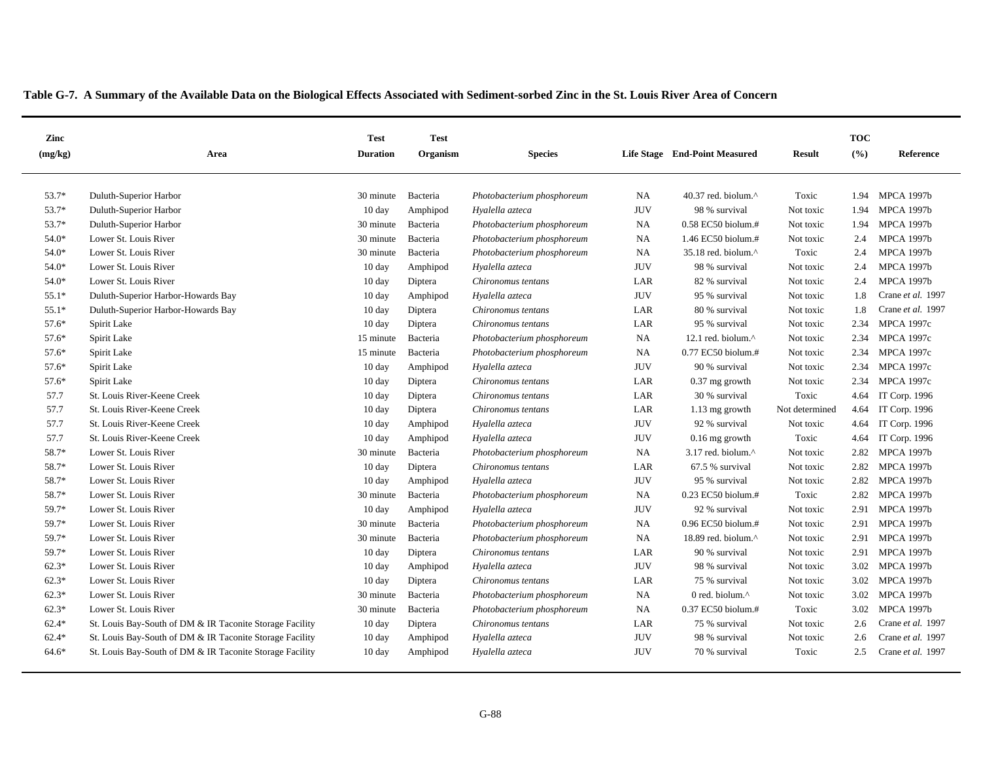| Zinc    |                                                          | <b>Test</b>      | <b>Test</b> |                            |            |                                 |                | <b>TOC</b> |                   |
|---------|----------------------------------------------------------|------------------|-------------|----------------------------|------------|---------------------------------|----------------|------------|-------------------|
| (mg/kg) | Area                                                     | <b>Duration</b>  | Organism    | <b>Species</b>             |            | Life Stage End-Point Measured   | <b>Result</b>  | (%)        | Reference         |
| 53.7*   | Duluth-Superior Harbor                                   | 30 minute        | Bacteria    | Photobacterium phosphoreum | <b>NA</b>  | 40.37 red. biolum. $^{\wedge}$  | Toxic          | 1.94       | <b>MPCA 1997b</b> |
| 53.7*   | Duluth-Superior Harbor                                   | $10 \text{ day}$ | Amphipod    | Hyalella azteca            | <b>JUV</b> | 98 % survival                   | Not toxic      | 1.94       | <b>MPCA 1997b</b> |
| 53.7*   | Duluth-Superior Harbor                                   | 30 minute        | Bacteria    | Photobacterium phosphoreum | NA         | 0.58 EC50 biolum.#              | Not toxic      | 1.94       | <b>MPCA 1997b</b> |
| 54.0*   | Lower St. Louis River                                    | 30 minute        | Bacteria    | Photobacterium phosphoreum | NA         | 1.46 EC50 biolum.#              | Not toxic      | 2.4        | <b>MPCA 1997b</b> |
| 54.0*   | Lower St. Louis River                                    | 30 minute        | Bacteria    | Photobacterium phosphoreum | NA         | 35.18 red. biolum.^             | Toxic          | 2.4        | <b>MPCA 1997b</b> |
| 54.0*   | Lower St. Louis River                                    | $10 \text{ day}$ | Amphipod    | Hyalella azteca            | <b>JUV</b> | 98 % survival                   | Not toxic      | 2.4        | <b>MPCA 1997b</b> |
| 54.0*   | Lower St. Louis River                                    | 10 day           | Diptera     | Chironomus tentans         | LAR        | 82 % survival                   | Not toxic      | 2.4        | <b>MPCA 1997b</b> |
| $55.1*$ | Duluth-Superior Harbor-Howards Bay                       | 10 day           | Amphipod    | Hyalella azteca            | <b>JUV</b> | 95 % survival                   | Not toxic      | 1.8        | Crane et al. 1997 |
| $55.1*$ | Duluth-Superior Harbor-Howards Bay                       | 10 day           | Diptera     | Chironomus tentans         | LAR        | 80 % survival                   | Not toxic      | 1.8        | Crane et al. 1997 |
| 57.6*   | Spirit Lake                                              | 10 day           | Diptera     | Chironomus tentans         | LAR        | 95 % survival                   | Not toxic      | 2.34       | <b>MPCA 1997c</b> |
| 57.6*   | Spirit Lake                                              | 15 minute        | Bacteria    | Photobacterium phosphoreum | <b>NA</b>  | 12.1 red. biolum. $^{\wedge}$   | Not toxic      | 2.34       | <b>MPCA 1997c</b> |
| 57.6*   | Spirit Lake                                              | 15 minute        | Bacteria    | Photobacterium phosphoreum | <b>NA</b>  | 0.77 EC50 biolum.#              | Not toxic      | 2.34       | <b>MPCA 1997c</b> |
| 57.6*   | Spirit Lake                                              | $10 \text{ day}$ | Amphipod    | Hyalella azteca            | <b>JUV</b> | 90 % survival                   | Not toxic      | 2.34       | <b>MPCA 1997c</b> |
| 57.6*   | Spirit Lake                                              | $10 \text{ day}$ | Diptera     | Chironomus tentans         | LAR        | 0.37 mg growth                  | Not toxic      | 2.34       | <b>MPCA 1997c</b> |
| 57.7    | St. Louis River-Keene Creek                              | $10 \text{ day}$ | Diptera     | Chironomus tentans         | LAR        | 30 % survival                   | Toxic          | 4.64       | IT Corp. 1996     |
| 57.7    | St. Louis River-Keene Creek                              | 10 day           | Diptera     | Chironomus tentans         | LAR        | 1.13 mg growth                  | Not determined | 4.64       | IT Corp. 1996     |
| 57.7    | St. Louis River-Keene Creek                              | 10 day           | Amphipod    | Hyalella azteca            | <b>JUV</b> | 92 % survival                   | Not toxic      | 4.64       | IT Corp. 1996     |
| 57.7    | St. Louis River-Keene Creek                              | $10 \text{ day}$ | Amphipod    | Hyalella azteca            | <b>JUV</b> | $0.16$ mg growth                | Toxic          | 4.64       | IT Corp. 1996     |
| 58.7*   | Lower St. Louis River                                    | 30 minute        | Bacteria    | Photobacterium phosphoreum | NA         | $3.17$ red. biolum. $^{\wedge}$ | Not toxic      | 2.82       | <b>MPCA 1997b</b> |
| 58.7*   | Lower St. Louis River                                    | $10 \text{ day}$ | Diptera     | Chironomus tentans         | LAR        | 67.5 % survival                 | Not toxic      | 2.82       | <b>MPCA 1997b</b> |
| 58.7*   | Lower St. Louis River                                    | $10 \text{ day}$ | Amphipod    | Hyalella azteca            | <b>JUV</b> | 95 % survival                   | Not toxic      | 2.82       | <b>MPCA 1997b</b> |
| 58.7*   | Lower St. Louis River                                    | 30 minute        | Bacteria    | Photobacterium phosphoreum | NA         | $0.23$ EC50 biolum.#            | Toxic          | 2.82       | <b>MPCA 1997b</b> |
| 59.7*   | Lower St. Louis River                                    | 10 day           | Amphipod    | Hyalella azteca            | <b>JUV</b> | 92 % survival                   | Not toxic      | 2.91       | <b>MPCA 1997b</b> |
| 59.7*   | Lower St. Louis River                                    | 30 minute        | Bacteria    | Photobacterium phosphoreum | NA         | 0.96 EC50 biolum.#              | Not toxic      | 2.91       | <b>MPCA 1997b</b> |
| 59.7*   | Lower St. Louis River                                    | 30 minute        | Bacteria    | Photobacterium phosphoreum | NA         | 18.89 red. biolum.^             | Not toxic      | 2.91       | <b>MPCA 1997b</b> |
| 59.7*   | Lower St. Louis River                                    | $10 \text{ day}$ | Diptera     | Chironomus tentans         | LAR        | 90 % survival                   | Not toxic      | 2.91       | <b>MPCA 1997b</b> |
| $62.3*$ | Lower St. Louis River                                    | $10 \text{ day}$ | Amphipod    | Hyalella azteca            | <b>JUV</b> | 98 % survival                   | Not toxic      | 3.02       | <b>MPCA 1997b</b> |
| $62.3*$ | Lower St. Louis River                                    | 10 day           | Diptera     | Chironomus tentans         | LAR        | 75 % survival                   | Not toxic      | 3.02       | <b>MPCA 1997b</b> |
| $62.3*$ | Lower St. Louis River                                    | 30 minute        | Bacteria    | Photobacterium phosphoreum | NA         | 0 red. biolum.^                 | Not toxic      | 3.02       | <b>MPCA 1997b</b> |
| $62.3*$ | Lower St. Louis River                                    | 30 minute        | Bacteria    | Photobacterium phosphoreum | <b>NA</b>  | $0.37$ EC50 biolum.#            | Toxic          | 3.02       | <b>MPCA 1997b</b> |
| $62.4*$ | St. Louis Bay-South of DM & IR Taconite Storage Facility | 10 day           | Diptera     | Chironomus tentans         | LAR        | 75 % survival                   | Not toxic      | 2.6        | Crane et al. 1997 |
| $62.4*$ | St. Louis Bay-South of DM & IR Taconite Storage Facility | $10 \text{ day}$ | Amphipod    | Hyalella azteca            | <b>JUV</b> | 98 % survival                   | Not toxic      | 2.6        | Crane et al. 1997 |
| 64.6*   | St. Louis Bay-South of DM & IR Taconite Storage Facility | $10 \text{ day}$ | Amphipod    | Hyalella azteca            | <b>JUV</b> | 70 % survival                   | Toxic          | 2.5        | Crane et al. 1997 |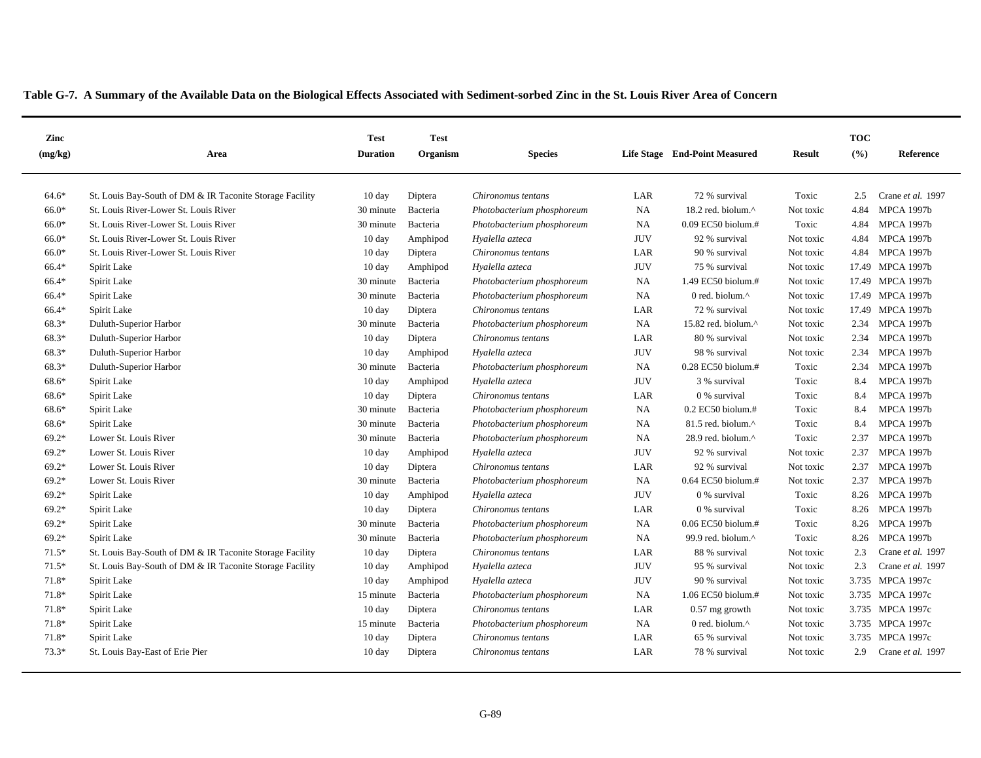| Zinc    |                                                          | <b>Test</b>      | <b>Test</b> |                            |            |                               |               | <b>TOC</b> |                   |
|---------|----------------------------------------------------------|------------------|-------------|----------------------------|------------|-------------------------------|---------------|------------|-------------------|
| (mg/kg) | Area                                                     | <b>Duration</b>  | Organism    | <b>Species</b>             |            | Life Stage End-Point Measured | <b>Result</b> | (%)        | Reference         |
| $64.6*$ | St. Louis Bay-South of DM & IR Taconite Storage Facility | $10 \text{ day}$ | Diptera     | Chironomus tentans         | LAR        | 72 % survival                 | Toxic         | 2.5        | Crane et al. 1997 |
| 66.0*   | St. Louis River-Lower St. Louis River                    | 30 minute        | Bacteria    | Photobacterium phosphoreum | NA         | 18.2 red. biolum.^            | Not toxic     | 4.84       | <b>MPCA 1997b</b> |
| 66.0*   | St. Louis River-Lower St. Louis River                    | 30 minute        | Bacteria    | Photobacterium phosphoreum | NA         | 0.09 EC50 biolum.#            | Toxic         | 4.84       | <b>MPCA 1997b</b> |
| 66.0*   | St. Louis River-Lower St. Louis River                    | $10 \text{ day}$ | Amphipod    | Hyalella azteca            | <b>JUV</b> | 92 % survival                 | Not toxic     | 4.84       | <b>MPCA 1997b</b> |
| 66.0*   | St. Louis River-Lower St. Louis River                    | $10 \text{ day}$ | Diptera     | Chironomus tentans         | LAR        | 90 % survival                 | Not toxic     | 4.84       | <b>MPCA 1997b</b> |
| 66.4*   | Spirit Lake                                              | $10 \text{ day}$ | Amphipod    | Hyalella azteca            | <b>JUV</b> | 75 % survival                 | Not toxic     |            | 17.49 MPCA 1997b  |
| 66.4*   | Spirit Lake                                              | 30 minute        | Bacteria    | Photobacterium phosphoreum | NA         | 1.49 EC50 biolum.#            | Not toxic     |            | 17.49 MPCA 1997b  |
| 66.4*   | Spirit Lake                                              | 30 minute        | Bacteria    | Photobacterium phosphoreum | NA         | 0 red. biolum. $^{\wedge}$    | Not toxic     |            | 17.49 MPCA 1997b  |
| 66.4*   | Spirit Lake                                              | $10 \text{ day}$ | Diptera     | Chironomus tentans         | LAR        | 72 % survival                 | Not toxic     |            | 17.49 MPCA 1997b  |
| 68.3*   | Duluth-Superior Harbor                                   | 30 minute        | Bacteria    | Photobacterium phosphoreum | <b>NA</b>  | 15.82 red. biolum.^           | Not toxic     | 2.34       | <b>MPCA 1997b</b> |
| 68.3*   | Duluth-Superior Harbor                                   | 10 day           | Diptera     | Chironomus tentans         | LAR        | 80 % survival                 | Not toxic     | 2.34       | <b>MPCA 1997b</b> |
| 68.3*   | Duluth-Superior Harbor                                   | $10 \text{ day}$ | Amphipod    | Hyalella azteca            | <b>JUV</b> | 98 % survival                 | Not toxic     | 2.34       | <b>MPCA 1997b</b> |
| 68.3*   | Duluth-Superior Harbor                                   | 30 minute        | Bacteria    | Photobacterium phosphoreum | <b>NA</b>  | $0.28$ EC50 biolum.#          | Toxic         | 2.34       | <b>MPCA 1997b</b> |
| 68.6*   | Spirit Lake                                              | $10 \text{ day}$ | Amphipod    | Hyalella azteca            | <b>JUV</b> | 3 % survival                  | Toxic         | 8.4        | <b>MPCA 1997b</b> |
| 68.6*   | Spirit Lake                                              | $10 \text{ day}$ | Diptera     | Chironomus tentans         | LAR        | 0 % survival                  | Toxic         | 8.4        | <b>MPCA 1997b</b> |
| 68.6*   | Spirit Lake                                              | 30 minute        | Bacteria    | Photobacterium phosphoreum | NA         | $0.2$ EC50 biolum.#           | Toxic         | 8.4        | <b>MPCA 1997b</b> |
| 68.6*   | Spirit Lake                                              | 30 minute        | Bacteria    | Photobacterium phosphoreum | NA         | 81.5 red. biolum.^            | Toxic         | 8.4        | <b>MPCA 1997b</b> |
| $69.2*$ | Lower St. Louis River                                    | 30 minute        | Bacteria    | Photobacterium phosphoreum | <b>NA</b>  | 28.9 red. biolum. $^{\wedge}$ | Toxic         | 2.37       | <b>MPCA 1997b</b> |
| $69.2*$ | Lower St. Louis River                                    | 10 day           | Amphipod    | Hyalella azteca            | <b>JUV</b> | 92 % survival                 | Not toxic     | 2.37       | <b>MPCA 1997b</b> |
| $69.2*$ | Lower St. Louis River                                    | $10 \text{ day}$ | Diptera     | Chironomus tentans         | LAR        | 92 % survival                 | Not toxic     | 2.37       | <b>MPCA 1997b</b> |
| $69.2*$ | Lower St. Louis River                                    | 30 minute        | Bacteria    | Photobacterium phosphoreum | NA         | 0.64 EC50 biolum.#            | Not toxic     | 2.37       | <b>MPCA 1997b</b> |
| $69.2*$ | Spirit Lake                                              | $10 \text{ day}$ | Amphipod    | Hyalella azteca            | <b>JUV</b> | 0 % survival                  | Toxic         | 8.26       | <b>MPCA 1997b</b> |
| $69.2*$ | Spirit Lake                                              | $10 \text{ day}$ | Diptera     | Chironomus tentans         | LAR        | 0 % survival                  | Toxic         | 8.26       | <b>MPCA 1997b</b> |
| $69.2*$ | Spirit Lake                                              | 30 minute        | Bacteria    | Photobacterium phosphoreum | <b>NA</b>  | $0.06$ EC50 biolum.#          | Toxic         | 8.26       | <b>MPCA 1997b</b> |
| $69.2*$ | Spirit Lake                                              | 30 minute        | Bacteria    | Photobacterium phosphoreum | NA         | 99.9 red. biolum.^            | Toxic         | 8.26       | <b>MPCA 1997b</b> |
| $71.5*$ | St. Louis Bay-South of DM & IR Taconite Storage Facility | $10 \text{ day}$ | Diptera     | Chironomus tentans         | LAR        | 88 % survival                 | Not toxic     | 2.3        | Crane et al. 1997 |
| $71.5*$ | St. Louis Bay-South of DM & IR Taconite Storage Facility | 10 day           | Amphipod    | Hyalella azteca            | <b>JUV</b> | 95 % survival                 | Not toxic     | 2.3        | Crane et al. 1997 |
| 71.8*   | Spirit Lake                                              | $10 \text{ day}$ | Amphipod    | Hyalella azteca            | <b>JUV</b> | 90 % survival                 | Not toxic     |            | 3.735 MPCA 1997c  |
| 71.8*   | Spirit Lake                                              | 15 minute        | Bacteria    | Photobacterium phosphoreum | <b>NA</b>  | 1.06 EC50 biolum.#            | Not toxic     |            | 3.735 MPCA 1997c  |
| 71.8*   | Spirit Lake                                              | $10 \text{ day}$ | Diptera     | Chironomus tentans         | LAR        | $0.57$ mg growth              | Not toxic     |            | 3.735 MPCA 1997c  |
| 71.8*   | Spirit Lake                                              | 15 minute        | Bacteria    | Photobacterium phosphoreum | <b>NA</b>  | 0 red. biolum.^               | Not toxic     |            | 3.735 MPCA 1997c  |
| 71.8*   | Spirit Lake                                              | $10 \text{ day}$ | Diptera     | Chironomus tentans         | LAR        | 65 % survival                 | Not toxic     | 3.735      | <b>MPCA 1997c</b> |
| $73.3*$ | St. Louis Bay-East of Erie Pier                          | $10 \text{ day}$ | Diptera     | Chironomus tentans         | LAR        | 78 % survival                 | Not toxic     | 2.9        | Crane et al. 1997 |
|         |                                                          |                  |             |                            |            |                               |               |            |                   |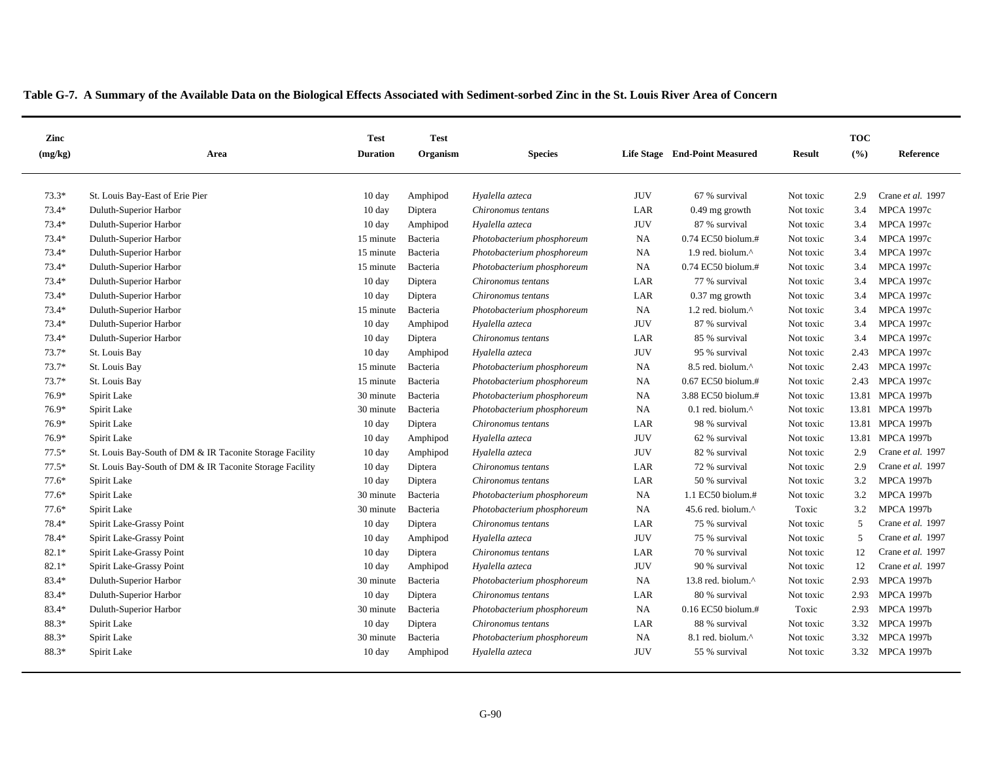| Zinc    |                                                          | <b>Test</b>      | <b>Test</b> |                            |            |                                |               | <b>TOC</b> |                   |
|---------|----------------------------------------------------------|------------------|-------------|----------------------------|------------|--------------------------------|---------------|------------|-------------------|
| (mg/kg) | Area                                                     | <b>Duration</b>  | Organism    | <b>Species</b>             |            | Life Stage End-Point Measured  | <b>Result</b> | (%)        | Reference         |
| $73.3*$ | St. Louis Bay-East of Erie Pier                          | $10 \text{ day}$ | Amphipod    | Hyalella azteca            | <b>JUV</b> | 67 % survival                  | Not toxic     | 2.9        | Crane et al. 1997 |
| $73.4*$ | Duluth-Superior Harbor                                   | 10 day           | Diptera     | Chironomus tentans         | LAR        | $0.49$ mg growth               | Not toxic     | 3.4        | <b>MPCA 1997c</b> |
| $73.4*$ | Duluth-Superior Harbor                                   | $10 \text{ day}$ | Amphipod    | Hyalella azteca            | <b>JUV</b> | 87 % survival                  | Not toxic     | 3.4        | <b>MPCA 1997c</b> |
| 73.4*   | Duluth-Superior Harbor                                   | 15 minute        | Bacteria    | Photobacterium phosphoreum | NA         | 0.74 EC50 biolum.#             | Not toxic     | 3.4        | <b>MPCA 1997c</b> |
| 73.4*   | Duluth-Superior Harbor                                   | 15 minute        | Bacteria    | Photobacterium phosphoreum | NA         | 1.9 red. biolum.^              | Not toxic     | 3.4        | <b>MPCA 1997c</b> |
| 73.4*   | Duluth-Superior Harbor                                   | 15 minute        | Bacteria    | Photobacterium phosphoreum | NA         | $0.74$ EC50 biolum.#           | Not toxic     | 3.4        | <b>MPCA 1997c</b> |
| 73.4*   | Duluth-Superior Harbor                                   | $10 \text{ day}$ | Diptera     | Chironomus tentans         | LAR        | 77 % survival                  | Not toxic     | 3.4        | <b>MPCA 1997c</b> |
| 73.4*   | Duluth-Superior Harbor                                   | 10 day           | Diptera     | Chironomus tentans         | LAR        | 0.37 mg growth                 | Not toxic     | 3.4        | <b>MPCA 1997c</b> |
| 73.4*   | Duluth-Superior Harbor                                   | 15 minute        | Bacteria    | Photobacterium phosphoreum | <b>NA</b>  | 1.2 red. biolum.^              | Not toxic     | 3.4        | <b>MPCA 1997c</b> |
| 73.4*   | Duluth-Superior Harbor                                   | $10 \text{ day}$ | Amphipod    | Hyalella azteca            | <b>JUV</b> | 87 % survival                  | Not toxic     | 3.4        | <b>MPCA 1997c</b> |
| 73.4*   | Duluth-Superior Harbor                                   | 10 day           | Diptera     | Chironomus tentans         | LAR        | 85 % survival                  | Not toxic     | 3.4        | <b>MPCA 1997c</b> |
| $73.7*$ | St. Louis Bay                                            | $10 \text{ day}$ | Amphipod    | Hyalella azteca            | <b>JUV</b> | 95 % survival                  | Not toxic     | 2.43       | <b>MPCA 1997c</b> |
| 73.7*   | St. Louis Bay                                            | 15 minute        | Bacteria    | Photobacterium phosphoreum | NA         | 8.5 red. biolum.^              | Not toxic     | 2.43       | <b>MPCA 1997c</b> |
| $73.7*$ | St. Louis Bay                                            | 15 minute        | Bacteria    | Photobacterium phosphoreum | <b>NA</b>  | 0.67 EC50 biolum.#             | Not toxic     | 2.43       | <b>MPCA 1997c</b> |
| 76.9*   | Spirit Lake                                              | 30 minute        | Bacteria    | Photobacterium phosphoreum | NA         | 3.88 EC50 biolum.#             | Not toxic     |            | 13.81 MPCA 1997b  |
| 76.9*   | Spirit Lake                                              | 30 minute        | Bacteria    | Photobacterium phosphoreum | NA         | $0.1$ red. biolum. $^{\wedge}$ | Not toxic     |            | 13.81 MPCA 1997b  |
| 76.9*   | Spirit Lake                                              | 10 day           | Diptera     | Chironomus tentans         | LAR        | 98 % survival                  | Not toxic     |            | 13.81 MPCA 1997b  |
| 76.9*   | Spirit Lake                                              | $10 \text{ day}$ | Amphipod    | Hyalella azteca            | <b>JUV</b> | 62 % survival                  | Not toxic     | 13.81      | <b>MPCA 1997b</b> |
| $77.5*$ | St. Louis Bay-South of DM & IR Taconite Storage Facility | $10 \text{ day}$ | Amphipod    | Hyalella azteca            | <b>JUV</b> | 82 % survival                  | Not toxic     | 2.9        | Crane et al. 1997 |
| $77.5*$ | St. Louis Bay-South of DM & IR Taconite Storage Facility | $10 \text{ day}$ | Diptera     | Chironomus tentans         | LAR        | 72 % survival                  | Not toxic     | 2.9        | Crane et al. 1997 |
| $77.6*$ | Spirit Lake                                              | $10 \text{ day}$ | Diptera     | Chironomus tentans         | LAR        | 50 % survival                  | Not toxic     | 3.2        | <b>MPCA 1997b</b> |
| $77.6*$ | Spirit Lake                                              | 30 minute        | Bacteria    | Photobacterium phosphoreum | NA         | 1.1 EC50 biolum.#              | Not toxic     | 3.2        | <b>MPCA 1997b</b> |
| $77.6*$ | Spirit Lake                                              | 30 minute        | Bacteria    | Photobacterium phosphoreum | <b>NA</b>  | 45.6 red. biolum. $\wedge$     | Toxic         | 3.2        | <b>MPCA 1997b</b> |
| 78.4*   | Spirit Lake-Grassy Point                                 | $10 \text{ day}$ | Diptera     | Chironomus tentans         | LAR        | 75 % survival                  | Not toxic     | 5          | Crane et al. 1997 |
| 78.4*   | Spirit Lake-Grassy Point                                 | $10 \text{ day}$ | Amphipod    | Hyalella azteca            | <b>JUV</b> | 75 % survival                  | Not toxic     | .5         | Crane et al. 1997 |
| $82.1*$ | Spirit Lake-Grassy Point                                 | 10 day           | Diptera     | Chironomus tentans         | LAR        | 70 % survival                  | Not toxic     | 12         | Crane et al. 1997 |
| $82.1*$ | Spirit Lake-Grassy Point                                 | $10 \text{ day}$ | Amphipod    | Hyalella azteca            | <b>JUV</b> | 90 % survival                  | Not toxic     | 12         | Crane et al. 1997 |
| 83.4*   | Duluth-Superior Harbor                                   | 30 minute        | Bacteria    | Photobacterium phosphoreum | <b>NA</b>  | 13.8 red. biolum.^             | Not toxic     | 2.93       | <b>MPCA 1997b</b> |
| 83.4*   | Duluth-Superior Harbor                                   | $10 \text{ day}$ | Diptera     | Chironomus tentans         | LAR        | 80 % survival                  | Not toxic     | 2.93       | <b>MPCA 1997b</b> |
| 83.4*   | Duluth-Superior Harbor                                   | 30 minute        | Bacteria    | Photobacterium phosphoreum | <b>NA</b>  | $0.16$ EC50 biolum.#           | Toxic         | 2.93       | <b>MPCA 1997b</b> |
| 88.3*   | Spirit Lake                                              | 10 day           | Diptera     | Chironomus tentans         | LAR        | 88 % survival                  | Not toxic     | 3.32       | <b>MPCA 1997b</b> |
| 88.3*   | Spirit Lake                                              | 30 minute        | Bacteria    | Photobacterium phosphoreum | <b>NA</b>  | 8.1 red. biolum.^              | Not toxic     | 3.32       | <b>MPCA 1997b</b> |
| 88.3*   | Spirit Lake                                              | $10 \text{ day}$ | Amphipod    | Hyalella azteca            | <b>JUV</b> | 55 % survival                  | Not toxic     |            | 3.32 MPCA 1997b   |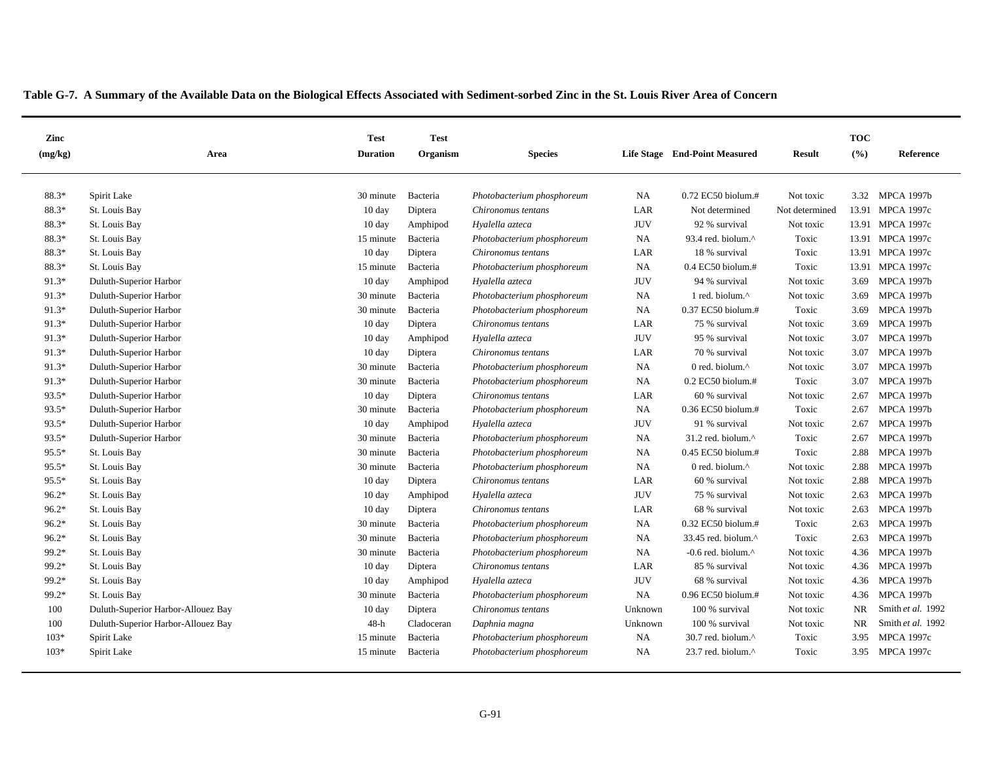| Zinc    |                                    | <b>Test</b>      | <b>Test</b> |                            |            |                                                    |                | <b>TOC</b> |                   |
|---------|------------------------------------|------------------|-------------|----------------------------|------------|----------------------------------------------------|----------------|------------|-------------------|
| (mg/kg) | Area                               | <b>Duration</b>  | Organism    | <b>Species</b>             |            | Life Stage End-Point Measured                      | <b>Result</b>  | (%)        | Reference         |
|         |                                    |                  |             |                            |            |                                                    |                |            |                   |
| 88.3*   | Spirit Lake                        | 30 minute        | Bacteria    | Photobacterium phosphoreum | <b>NA</b>  | 0.72 EC50 biolum.#                                 | Not toxic      |            | 3.32 MPCA 1997b   |
| 88.3*   | St. Louis Bay                      | $10 \text{ day}$ | Diptera     | Chironomus tentans         | LAR        | Not determined                                     | Not determined |            | 13.91 MPCA 1997c  |
| 88.3*   | St. Louis Bay                      | $10 \text{ day}$ | Amphipod    | Hyalella azteca            | <b>JUV</b> | 92 % survival                                      | Not toxic      |            | 13.91 MPCA 1997c  |
| 88.3*   | St. Louis Bay                      | 15 minute        | Bacteria    | Photobacterium phosphoreum | <b>NA</b>  | 93.4 red. biolum.^                                 | Toxic          |            | 13.91 MPCA 1997c  |
| 88.3*   | St. Louis Bay                      | $10 \text{ day}$ | Diptera     | Chironomus tentans         | LAR        | 18 % survival                                      | Toxic          |            | 13.91 MPCA 1997c  |
| 88.3*   | St. Louis Bay                      | 15 minute        | Bacteria    | Photobacterium phosphoreum | <b>NA</b>  | $0.4$ EC50 biolum.#                                | Toxic          |            | 13.91 MPCA 1997c  |
| 91.3*   | Duluth-Superior Harbor             | $10 \text{ day}$ | Amphipod    | Hyalella azteca            | <b>JUV</b> | 94 % survival                                      | Not toxic      | 3.69       | <b>MPCA 1997b</b> |
| 91.3*   | Duluth-Superior Harbor             | 30 minute        | Bacteria    | Photobacterium phosphoreum | <b>NA</b>  | 1 red. biolum.^                                    | Not toxic      | 3.69       | <b>MPCA 1997b</b> |
| 91.3*   | Duluth-Superior Harbor             | 30 minute        | Bacteria    | Photobacterium phosphoreum | NA         | 0.37 EC50 biolum.#                                 | Toxic          | 3.69       | <b>MPCA 1997b</b> |
| 91.3*   | Duluth-Superior Harbor             | 10 day           | Diptera     | Chironomus tentans         | LAR        | 75 % survival                                      | Not toxic      | 3.69       | <b>MPCA 1997b</b> |
| 91.3*   | Duluth-Superior Harbor             | $10 \text{ day}$ | Amphipod    | Hyalella azteca            | <b>JUV</b> | 95 % survival                                      | Not toxic      | 3.07       | <b>MPCA 1997b</b> |
| 91.3*   | Duluth-Superior Harbor             | $10 \text{ day}$ | Diptera     | Chironomus tentans         | LAR        | 70 % survival                                      | Not toxic      | 3.07       | <b>MPCA 1997b</b> |
| 91.3*   | Duluth-Superior Harbor             | 30 minute        | Bacteria    | Photobacterium phosphoreum | <b>NA</b>  | 0 red. biolum. $\wedge$                            | Not toxic      | 3.07       | <b>MPCA 1997b</b> |
| 91.3*   | Duluth-Superior Harbor             | 30 minute        | Bacteria    | Photobacterium phosphoreum | <b>NA</b>  | $0.2$ EC50 biolum.#                                | Toxic          | 3.07       | <b>MPCA 1997b</b> |
| 93.5*   | Duluth-Superior Harbor             | $10 \text{ day}$ | Diptera     | Chironomus tentans         | LAR        | 60 % survival                                      | Not toxic      | 2.67       | <b>MPCA 1997b</b> |
| 93.5*   | Duluth-Superior Harbor             | 30 minute        | Bacteria    | Photobacterium phosphoreum | <b>NA</b>  | $0.36$ EC50 biolum.#                               | Toxic          | 2.67       | <b>MPCA 1997b</b> |
| 93.5*   | Duluth-Superior Harbor             | $10 \text{ day}$ | Amphipod    | Hyalella azteca            | <b>JUV</b> | 91 % survival                                      | Not toxic      | 2.67       | <b>MPCA 1997b</b> |
| 93.5*   | Duluth-Superior Harbor             | 30 minute        | Bacteria    | Photobacterium phosphoreum | <b>NA</b>  | $31.2$ red. biolum. <sup><math>\wedge</math></sup> | Toxic          | 2.67       | <b>MPCA 1997b</b> |
| 95.5*   | St. Louis Bay                      | 30 minute        | Bacteria    | Photobacterium phosphoreum | <b>NA</b>  | 0.45 EC50 biolum.#                                 | Toxic          | 2.88       | <b>MPCA 1997b</b> |
| $95.5*$ | St. Louis Bay                      | 30 minute        | Bacteria    | Photobacterium phosphoreum | <b>NA</b>  | 0 red. biolum. $\wedge$                            | Not toxic      | 2.88       | <b>MPCA 1997b</b> |
| 95.5*   | St. Louis Bay                      | 10 day           | Diptera     | Chironomus tentans         | LAR        | 60 % survival                                      | Not toxic      | 2.88       | <b>MPCA 1997b</b> |
| $96.2*$ | St. Louis Bay                      | $10 \text{ day}$ | Amphipod    | Hyalella azteca            | <b>JUV</b> | 75 % survival                                      | Not toxic      | 2.63       | <b>MPCA 1997b</b> |
| $96.2*$ | St. Louis Bay                      | $10 \text{ day}$ | Diptera     | Chironomus tentans         | LAR        | 68 % survival                                      | Not toxic      | 2.63       | <b>MPCA 1997b</b> |
| 96.2*   | St. Louis Bay                      | 30 minute        | Bacteria    | Photobacterium phosphoreum | <b>NA</b>  | 0.32 EC50 biolum.#                                 | Toxic          | 2.63       | <b>MPCA 1997b</b> |
| $96.2*$ | St. Louis Bay                      | 30 minute        | Bacteria    | Photobacterium phosphoreum | <b>NA</b>  | 33.45 red. biolum. $\wedge$                        | Toxic          | 2.63       | <b>MPCA 1997b</b> |
| 99.2*   | St. Louis Bay                      | 30 minute        | Bacteria    | Photobacterium phosphoreum | <b>NA</b>  | -0.6 red. biolum. $^{\wedge}$                      | Not toxic      |            | 4.36 MPCA 1997b   |
| 99.2*   | St. Louis Bay                      | $10 \text{ day}$ | Diptera     | Chironomus tentans         | LAR        | 85 % survival                                      | Not toxic      |            | 4.36 MPCA 1997b   |
| 99.2*   | St. Louis Bay                      | $10 \text{ day}$ | Amphipod    | Hyalella azteca            | <b>JUV</b> | 68 % survival                                      | Not toxic      |            | 4.36 MPCA 1997b   |
| 99.2*   | St. Louis Bay                      | 30 minute        | Bacteria    | Photobacterium phosphoreum | <b>NA</b>  | 0.96 EC50 biolum.#                                 | Not toxic      |            | 4.36 MPCA 1997b   |
| 100     | Duluth-Superior Harbor-Allouez Bay | 10 day           | Diptera     | Chironomus tentans         | Unknown    | 100 % survival                                     | Not toxic      | NR         | Smith et al. 1992 |
| 100     | Duluth-Superior Harbor-Allouez Bay | $48-h$           | Cladoceran  | Daphnia magna              | Unknown    | 100 % survival                                     | Not toxic      | <b>NR</b>  | Smith et al. 1992 |
| $103*$  | Spirit Lake                        | 15 minute        | Bacteria    | Photobacterium phosphoreum | <b>NA</b>  | $30.7$ red. biolum. $^{\wedge}$                    | Toxic          | 3.95       | <b>MPCA 1997c</b> |
| $103*$  | Spirit Lake                        | 15 minute        | Bacteria    | Photobacterium phosphoreum | <b>NA</b>  | 23.7 red. biolum. $\wedge$                         | Toxic          | 3.95       | <b>MPCA 1997c</b> |
|         |                                    |                  |             |                            |            |                                                    |                |            |                   |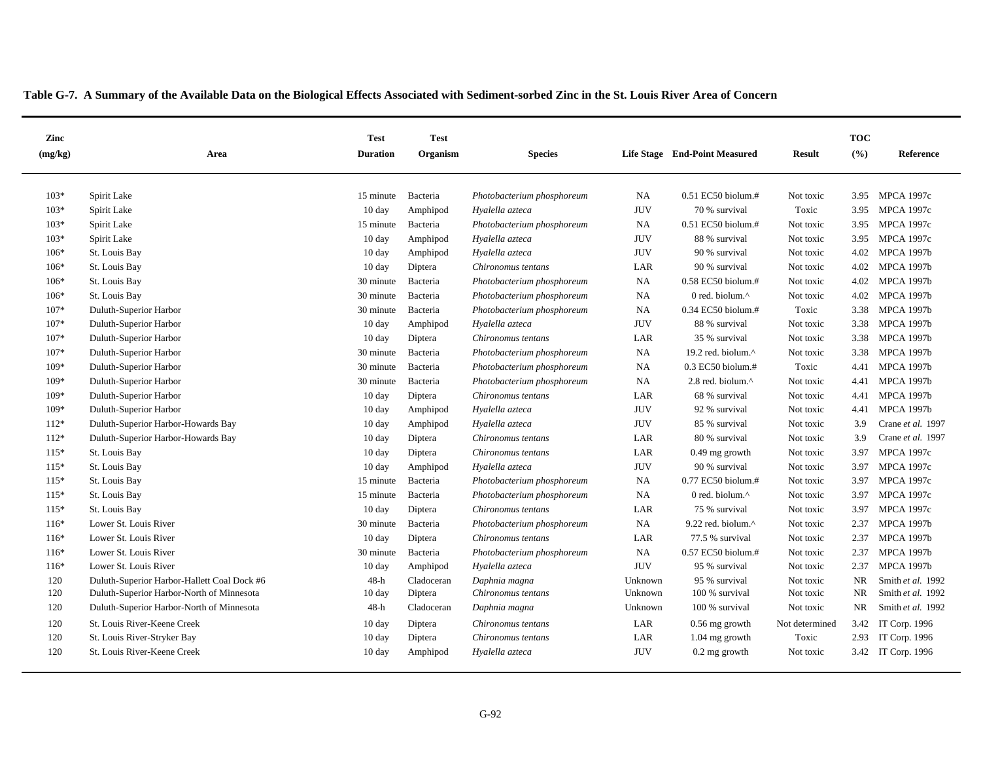| Zinc    |                                             | <b>Test</b>      | <b>Test</b> |                            |            |                               |                | <b>TOC</b> |                    |
|---------|---------------------------------------------|------------------|-------------|----------------------------|------------|-------------------------------|----------------|------------|--------------------|
| (mg/kg) | Area                                        | <b>Duration</b>  | Organism    | <b>Species</b>             |            | Life Stage End-Point Measured | <b>Result</b>  | (%)        | Reference          |
| $103*$  | Spirit Lake                                 | 15 minute        | Bacteria    | Photobacterium phosphoreum | <b>NA</b>  | 0.51 EC50 biolum.#            | Not toxic      | 3.95       | <b>MPCA 1997c</b>  |
| $103*$  | Spirit Lake                                 | $10 \text{ day}$ | Amphipod    | Hyalella azteca            | <b>JUV</b> | 70 % survival                 | Toxic          | 3.95       | <b>MPCA 1997c</b>  |
| $103*$  | Spirit Lake                                 | 15 minute        | Bacteria    | Photobacterium phosphoreum | <b>NA</b>  | 0.51 EC50 biolum.#            | Not toxic      | 3.95       | <b>MPCA 1997c</b>  |
| $103*$  | Spirit Lake                                 | $10 \text{ day}$ | Amphipod    | Hyalella azteca            | <b>JUV</b> | 88 % survival                 | Not toxic      | 3.95       | <b>MPCA 1997c</b>  |
| $106*$  | St. Louis Bay                               | 10 day           | Amphipod    | Hyalella azteca            | <b>JUV</b> | 90 % survival                 | Not toxic      | 4.02       | <b>MPCA 1997b</b>  |
| $106*$  | St. Louis Bay                               | $10 \text{ day}$ | Diptera     | Chironomus tentans         | LAR        | 90 % survival                 | Not toxic      | 4.02       | <b>MPCA 1997b</b>  |
| $106*$  | St. Louis Bay                               | 30 minute        | Bacteria    | Photobacterium phosphoreum | <b>NA</b>  | $0.58$ EC50 biolum.#          | Not toxic      | 4.02       | <b>MPCA 1997b</b>  |
| $106*$  | St. Louis Bay                               | 30 minute        | Bacteria    | Photobacterium phosphoreum | <b>NA</b>  | 0 red. biolum.^               | Not toxic      | 4.02       | <b>MPCA 1997b</b>  |
| 107*    | Duluth-Superior Harbor                      | 30 minute        | Bacteria    | Photobacterium phosphoreum | <b>NA</b>  | 0.34 EC50 biolum.#            | Toxic          | 3.38       | <b>MPCA 1997b</b>  |
| $107*$  | Duluth-Superior Harbor                      | $10 \text{ day}$ | Amphipod    | Hyalella azteca            | <b>JUV</b> | 88 % survival                 | Not toxic      | 3.38       | <b>MPCA 1997b</b>  |
| 107*    | Duluth-Superior Harbor                      | 10 day           | Diptera     | Chironomus tentans         | LAR        | 35 % survival                 | Not toxic      | 3.38       | <b>MPCA 1997b</b>  |
| 107*    | Duluth-Superior Harbor                      | 30 minute        | Bacteria    | Photobacterium phosphoreum | NA         | 19.2 red. biolum.^            | Not toxic      | 3.38       | <b>MPCA 1997b</b>  |
| 109*    | Duluth-Superior Harbor                      | 30 minute        | Bacteria    | Photobacterium phosphoreum | <b>NA</b>  | $0.3$ EC50 biolum.#           | Toxic          | 4.41       | <b>MPCA 1997b</b>  |
| 109*    | Duluth-Superior Harbor                      | 30 minute        | Bacteria    | Photobacterium phosphoreum | <b>NA</b>  | 2.8 red. biolum.^             | Not toxic      | 4.41       | <b>MPCA 1997b</b>  |
| 109*    | Duluth-Superior Harbor                      | $10 \text{ day}$ | Diptera     | Chironomus tentans         | LAR        | 68 % survival                 | Not toxic      | 4.41       | <b>MPCA 1997b</b>  |
| 109*    | Duluth-Superior Harbor                      | $10 \text{ day}$ | Amphipod    | Hyalella azteca            | <b>JUV</b> | 92 % survival                 | Not toxic      | 4.41       | <b>MPCA 1997b</b>  |
| 112*    | Duluth-Superior Harbor-Howards Bay          | 10 day           | Amphipod    | Hyalella azteca            | <b>JUV</b> | 85 % survival                 | Not toxic      | 3.9        | Crane et al. 1997  |
| $112*$  | Duluth-Superior Harbor-Howards Bay          | $10 \text{ day}$ | Diptera     | Chironomus tentans         | LAR        | 80 % survival                 | Not toxic      | 3.9        | Crane et al. 1997  |
| $115*$  | St. Louis Bay                               | 10 day           | Diptera     | Chironomus tentans         | LAR        | $0.49$ mg growth              | Not toxic      | 3.97       | <b>MPCA 1997c</b>  |
| $115*$  | St. Louis Bay                               | $10 \text{ day}$ | Amphipod    | Hyalella azteca            | <b>JUV</b> | 90 % survival                 | Not toxic      | 3.97       | <b>MPCA 1997c</b>  |
| $115*$  | St. Louis Bay                               | 15 minute        | Bacteria    | Photobacterium phosphoreum | <b>NA</b>  | 0.77 EC50 biolum.#            | Not toxic      | 3.97       | <b>MPCA 1997c</b>  |
| $115*$  | St. Louis Bay                               | 15 minute        | Bacteria    | Photobacterium phosphoreum | <b>NA</b>  | 0 red. biolum.^               | Not toxic      | 3.97       | <b>MPCA 1997c</b>  |
| $115*$  | St. Louis Bay                               | $10 \text{ day}$ | Diptera     | Chironomus tentans         | LAR        | 75 % survival                 | Not toxic      | 3.97       | <b>MPCA 1997c</b>  |
| $116*$  | Lower St. Louis River                       | 30 minute        | Bacteria    | Photobacterium phosphoreum | <b>NA</b>  | 9.22 red. biolum.^            | Not toxic      | 2.37       | <b>MPCA 1997b</b>  |
| $116*$  | Lower St. Louis River                       | $10 \text{ day}$ | Diptera     | Chironomus tentans         | LAR        | 77.5 % survival               | Not toxic      | 2.37       | <b>MPCA 1997b</b>  |
| $116*$  | Lower St. Louis River                       | 30 minute        | Bacteria    | Photobacterium phosphoreum | <b>NA</b>  | $0.57$ EC50 biolum.#          | Not toxic      | 2.37       | <b>MPCA 1997b</b>  |
| $116*$  | Lower St. Louis River                       | 10 day           | Amphipod    | Hyalella azteca            | <b>JUV</b> | 95 % survival                 | Not toxic      | 2.37       | <b>MPCA 1997b</b>  |
| 120     | Duluth-Superior Harbor-Hallett Coal Dock #6 | $48-h$           | Cladoceran  | Daphnia magna              | Unknown    | 95 % survival                 | Not toxic      | NR         | Smith et al. 1992  |
| 120     | Duluth-Superior Harbor-North of Minnesota   | 10 day           | Diptera     | Chironomus tentans         | Unknown    | 100 % survival                | Not toxic      | NR         | Smith et al. 1992  |
| 120     | Duluth-Superior Harbor-North of Minnesota   | $48-h$           | Cladoceran  | Daphnia magna              | Unknown    | 100 % survival                | Not toxic      | <b>NR</b>  | Smith et al. 1992  |
| 120     | St. Louis River-Keene Creek                 | $10 \text{ day}$ | Diptera     | Chironomus tentans         | LAR        | $0.56$ mg growth              | Not determined | 3.42       | IT Corp. 1996      |
| 120     | St. Louis River-Stryker Bay                 | $10 \text{ day}$ | Diptera     | Chironomus tentans         | LAR        | $1.04$ mg growth              | Toxic          | 2.93       | IT Corp. 1996      |
| 120     | St. Louis River-Keene Creek                 | $10 \text{ day}$ | Amphipod    | Hyalella azteca            | <b>JUV</b> | $0.2$ mg growth               | Not toxic      |            | 3.42 IT Corp. 1996 |
|         |                                             |                  |             |                            |            |                               |                |            |                    |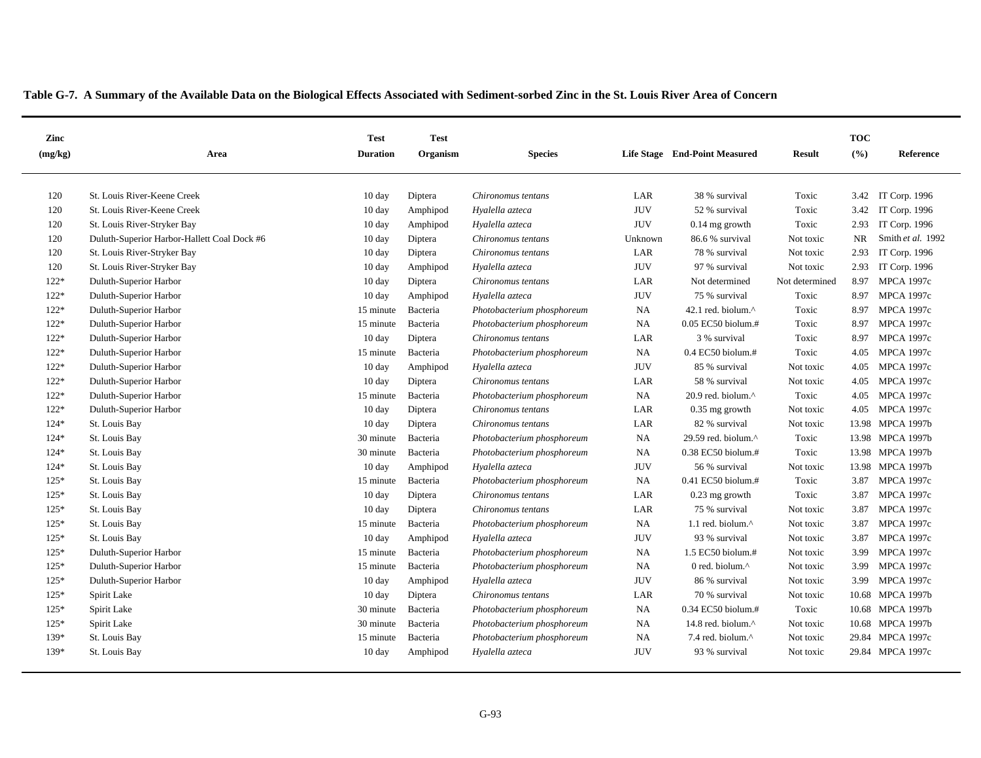| Zinc    |                                             | <b>Test</b>      | <b>Test</b> |                            |            |                                |                | <b>TOC</b> |                      |
|---------|---------------------------------------------|------------------|-------------|----------------------------|------------|--------------------------------|----------------|------------|----------------------|
| (mg/kg) | Area                                        | <b>Duration</b>  | Organism    | <b>Species</b>             |            | Life Stage End-Point Measured  | <b>Result</b>  | (%)        | Reference            |
|         |                                             |                  |             |                            |            |                                |                |            |                      |
| 120     | St. Louis River-Keene Creek                 | $10 \text{ day}$ | Diptera     | Chironomus tentans         | LAR        | 38 % survival                  | Toxic          |            | 3.42 IT Corp. 1996   |
| 120     | St. Louis River-Keene Creek                 | $10 \text{ day}$ | Amphipod    | Hyalella azteca            | <b>JUV</b> | 52 % survival                  | Toxic          | 3.42       | <b>IT Corp. 1996</b> |
| 120     | St. Louis River-Stryker Bay                 | 10 day           | Amphipod    | Hyalella azteca            | <b>JUV</b> | $0.14$ mg growth               | Toxic          | 2.93       | IT Corp. 1996        |
| 120     | Duluth-Superior Harbor-Hallett Coal Dock #6 | $10 \text{ day}$ | Diptera     | Chironomus tentans         | Unknown    | 86.6 % survival                | Not toxic      | <b>NR</b>  | Smith et al. 1992    |
| 120     | St. Louis River-Stryker Bay                 | $10 \text{ day}$ | Diptera     | Chironomus tentans         | LAR        | 78 % survival                  | Not toxic      | 2.93       | IT Corp. 1996        |
| 120     | St. Louis River-Stryker Bay                 | $10 \text{ day}$ | Amphipod    | Hyalella azteca            | <b>JUV</b> | 97 % survival                  | Not toxic      |            | 2.93 IT Corp. 1996   |
| $122*$  | Duluth-Superior Harbor                      | 10 day           | Diptera     | Chironomus tentans         | LAR        | Not determined                 | Not determined | 8.97       | <b>MPCA 1997c</b>    |
| $122*$  | Duluth-Superior Harbor                      | 10 day           | Amphipod    | Hyalella azteca            | <b>JUV</b> | 75 % survival                  | Toxic          | 8.97       | <b>MPCA 1997c</b>    |
| $122*$  | Duluth-Superior Harbor                      | 15 minute        | Bacteria    | Photobacterium phosphoreum | NA         | 42.1 red. biolum.^             | Toxic          | 8.97       | <b>MPCA 1997c</b>    |
| $122*$  | Duluth-Superior Harbor                      | 15 minute        | Bacteria    | Photobacterium phosphoreum | NA         | $0.05$ EC50 biolum.#           | Toxic          | 8.97       | <b>MPCA 1997c</b>    |
| $122*$  | Duluth-Superior Harbor                      | 10 day           | Diptera     | Chironomus tentans         | LAR        | 3 % survival                   | Toxic          | 8.97       | <b>MPCA 1997c</b>    |
| $122*$  | Duluth-Superior Harbor                      | 15 minute        | Bacteria    | Photobacterium phosphoreum | <b>NA</b>  | $0.4$ EC50 biolum.#            | Toxic          | 4.05       | <b>MPCA 1997c</b>    |
| $122*$  | Duluth-Superior Harbor                      | 10 day           | Amphipod    | Hyalella azteca            | <b>JUV</b> | 85 % survival                  | Not toxic      | 4.05       | <b>MPCA 1997c</b>    |
| $122*$  | Duluth-Superior Harbor                      | $10 \text{ day}$ | Diptera     | Chironomus tentans         | LAR        | 58 % survival                  | Not toxic      | 4.05       | <b>MPCA 1997c</b>    |
| $122*$  | Duluth-Superior Harbor                      | 15 minute        | Bacteria    | Photobacterium phosphoreum | NA         | 20.9 red. biolum.^             | Toxic          | 4.05       | <b>MPCA 1997c</b>    |
| $122*$  | Duluth-Superior Harbor                      | $10 \text{ day}$ | Diptera     | Chironomus tentans         | LAR        | $0.35$ mg growth               | Not toxic      | 4.05       | <b>MPCA 1997c</b>    |
| $124*$  | St. Louis Bay                               | $10 \text{ day}$ | Diptera     | Chironomus tentans         | LAR        | 82 % survival                  | Not toxic      |            | 13.98 MPCA 1997b     |
| $124*$  | St. Louis Bay                               | 30 minute        | Bacteria    | Photobacterium phosphoreum | NA         | 29.59 red. biolum. $^{\wedge}$ | Toxic          |            | 13.98 MPCA 1997b     |
| 124*    | St. Louis Bay                               | 30 minute        | Bacteria    | Photobacterium phosphoreum | NA         | 0.38 EC50 biolum.#             | Toxic          |            | 13.98 MPCA 1997b     |
| $124*$  | St. Louis Bay                               | $10 \text{ day}$ | Amphipod    | Hyalella azteca            | <b>JUV</b> | 56 % survival                  | Not toxic      |            | 13.98 MPCA 1997b     |
| $125*$  | St. Louis Bay                               | 15 minute        | Bacteria    | Photobacterium phosphoreum | NA         | 0.41 EC50 biolum.#             | Toxic          | 3.87       | <b>MPCA 1997c</b>    |
| $125*$  | St. Louis Bay                               | $10 \text{ day}$ | Diptera     | Chironomus tentans         | LAR        | $0.23$ mg growth               | Toxic          | 3.87       | <b>MPCA 1997c</b>    |
| $125*$  | St. Louis Bay                               | 10 day           | Diptera     | Chironomus tentans         | LAR        | 75 % survival                  | Not toxic      | 3.87       | <b>MPCA 1997c</b>    |
| $125*$  | St. Louis Bay                               | 15 minute        | Bacteria    | Photobacterium phosphoreum | <b>NA</b>  | 1.1 red. biolum.^              | Not toxic      | 3.87       | <b>MPCA 1997c</b>    |
| $125*$  | St. Louis Bay                               | $10 \text{ day}$ | Amphipod    | Hyalella azteca            | <b>JUV</b> | 93 % survival                  | Not toxic      | 3.87       | <b>MPCA 1997c</b>    |
| $125*$  | Duluth-Superior Harbor                      | 15 minute        | Bacteria    | Photobacterium phosphoreum | <b>NA</b>  | $1.5$ EC50 biolum.#            | Not toxic      | 3.99       | <b>MPCA 1997c</b>    |
| $125*$  | Duluth-Superior Harbor                      | 15 minute        | Bacteria    | Photobacterium phosphoreum | NA         | 0 red. biolum.^                | Not toxic      | 3.99       | <b>MPCA 1997c</b>    |
| $125*$  | Duluth-Superior Harbor                      | $10 \text{ day}$ | Amphipod    | Hyalella azteca            | <b>JUV</b> | 86 % survival                  | Not toxic      | 3.99       | <b>MPCA 1997c</b>    |
| $125*$  | Spirit Lake                                 | 10 day           | Diptera     | Chironomus tentans         | LAR        | 70 % survival                  | Not toxic      |            | 10.68 MPCA 1997b     |
| $125*$  | Spirit Lake                                 | 30 minute        | Bacteria    | Photobacterium phosphoreum | <b>NA</b>  | $0.34$ EC50 biolum.#           | Toxic          |            | 10.68 MPCA 1997b     |
| $125*$  | Spirit Lake                                 | 30 minute        | Bacteria    | Photobacterium phosphoreum | NA         | 14.8 red. biolum.^             | Not toxic      |            | 10.68 MPCA 1997b     |
| 139*    | St. Louis Bay                               | 15 minute        | Bacteria    | Photobacterium phosphoreum | <b>NA</b>  | 7.4 red. biolum.^              | Not toxic      |            | 29.84 MPCA 1997c     |
| 139*    | St. Louis Bay                               | $10 \text{ day}$ | Amphipod    | Hyalella azteca            | <b>JUV</b> | 93 % survival                  | Not toxic      |            | 29.84 MPCA 1997c     |
|         |                                             |                  |             |                            |            |                                |                |            |                      |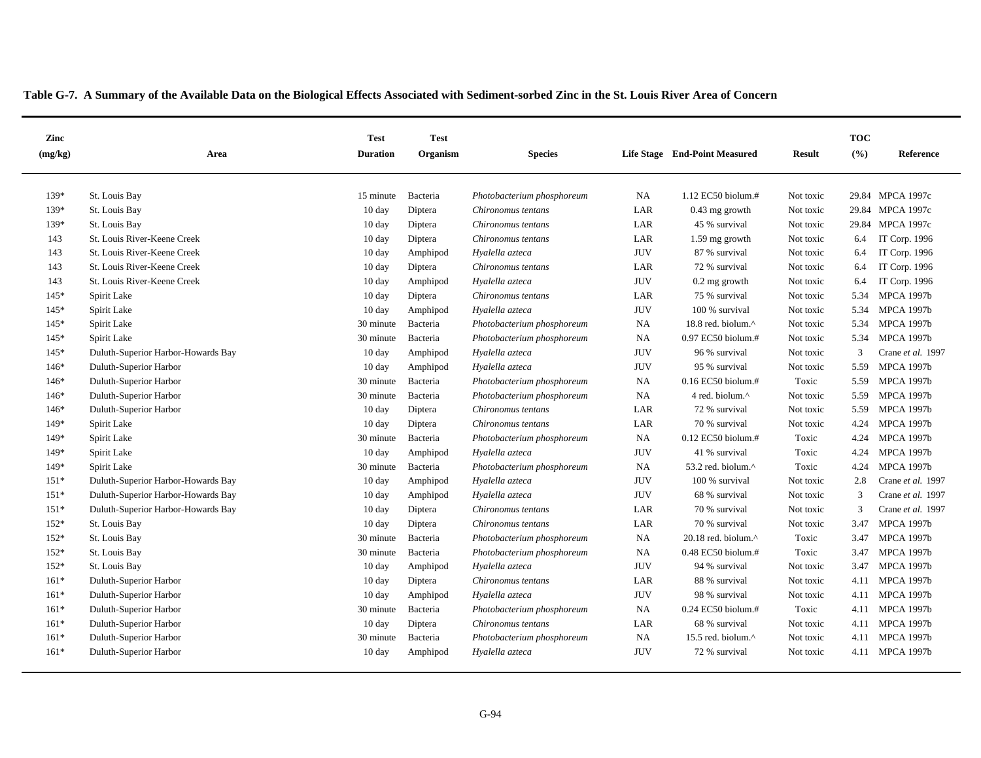| Zinc    |                                    | <b>Test</b>      | <b>Test</b> |                            |            |                                  |               | <b>TOC</b>    |                   |
|---------|------------------------------------|------------------|-------------|----------------------------|------------|----------------------------------|---------------|---------------|-------------------|
| (mg/kg) | Area                               | <b>Duration</b>  | Organism    | <b>Species</b>             |            | Life Stage End-Point Measured    | <b>Result</b> | (%)           | Reference         |
| 139*    | St. Louis Bay                      | 15 minute        | Bacteria    | Photobacterium phosphoreum | <b>NA</b>  | $1.12$ EC50 biolum.#             | Not toxic     |               | 29.84 MPCA 1997c  |
| 139*    | St. Louis Bay                      | $10 \text{ day}$ | Diptera     | Chironomus tentans         | LAR        | $0.43$ mg growth                 | Not toxic     |               | 29.84 MPCA 1997c  |
| 139*    | St. Louis Bay                      | $10 \text{ day}$ | Diptera     | Chironomus tentans         | LAR        | 45 % survival                    | Not toxic     |               | 29.84 MPCA 1997c  |
| 143     | St. Louis River-Keene Creek        | 10 day           | Diptera     | Chironomus tentans         | LAR        | 1.59 mg growth                   | Not toxic     | 6.4           | IT Corp. 1996     |
| 143     | St. Louis River-Keene Creek        | $10 \text{ day}$ | Amphipod    | Hyalella azteca            | <b>JUV</b> | 87 % survival                    | Not toxic     | 6.4           | IT Corp. 1996     |
| 143     | St. Louis River-Keene Creek        | 10 day           | Diptera     | Chironomus tentans         | LAR        | 72 % survival                    | Not toxic     | 6.4           | IT Corp. 1996     |
| 143     | St. Louis River-Keene Creek        | $10 \text{ day}$ | Amphipod    | Hyalella azteca            | <b>JUV</b> | $0.2$ mg growth                  | Not toxic     | 6.4           | IT Corp. 1996     |
| 145*    | Spirit Lake                        | $10 \text{ day}$ | Diptera     | Chironomus tentans         | LAR        | 75 % survival                    | Not toxic     | 5.34          | <b>MPCA 1997b</b> |
| 145*    | Spirit Lake                        | $10 \text{ day}$ | Amphipod    | Hyalella azteca            | <b>JUV</b> | 100 % survival                   | Not toxic     | 5.34          | <b>MPCA 1997b</b> |
| $145*$  | Spirit Lake                        | 30 minute        | Bacteria    | Photobacterium phosphoreum | <b>NA</b>  | 18.8 red. biolum.^               | Not toxic     | 5.34          | <b>MPCA 1997b</b> |
| 145*    | Spirit Lake                        | 30 minute        | Bacteria    | Photobacterium phosphoreum | <b>NA</b>  | 0.97 EC50 biolum.#               | Not toxic     | 5.34          | <b>MPCA 1997b</b> |
| $145*$  | Duluth-Superior Harbor-Howards Bay | 10 day           | Amphipod    | Hyalella azteca            | <b>JUV</b> | 96 % survival                    | Not toxic     | 3             | Crane et al. 1997 |
| $146*$  | Duluth-Superior Harbor             | $10 \text{ day}$ | Amphipod    | Hyalella azteca            | <b>JUV</b> | 95 % survival                    | Not toxic     | 5.59          | <b>MPCA 1997b</b> |
| $146*$  | Duluth-Superior Harbor             | 30 minute        | Bacteria    | Photobacterium phosphoreum | <b>NA</b>  | $0.16$ EC50 biolum.#             | Toxic         | 5.59          | <b>MPCA 1997b</b> |
| $146*$  | Duluth-Superior Harbor             | 30 minute        | Bacteria    | Photobacterium phosphoreum | NA         | 4 red. biolum.^                  | Not toxic     | 5.59          | <b>MPCA 1997b</b> |
| 146*    | Duluth-Superior Harbor             | $10 \text{ day}$ | Diptera     | Chironomus tentans         | LAR        | 72 % survival                    | Not toxic     | 5.59          | <b>MPCA 1997b</b> |
| 149*    | Spirit Lake                        | 10 day           | Diptera     | Chironomus tentans         | LAR        | 70 % survival                    | Not toxic     | 4.24          | <b>MPCA 1997b</b> |
| 149*    | Spirit Lake                        | 30 minute        | Bacteria    | Photobacterium phosphoreum | NA         | 0.12 EC50 biolum.#               | Toxic         | 4.24          | <b>MPCA 1997b</b> |
| 149*    | Spirit Lake                        | $10 \text{ day}$ | Amphipod    | Hyalella azteca            | <b>JUV</b> | 41 % survival                    | Toxic         | 4.24          | <b>MPCA 1997b</b> |
| 149*    | Spirit Lake                        | 30 minute        | Bacteria    | Photobacterium phosphoreum | NA         | 53.2 red. biolum.^               | Toxic         | 4.24          | <b>MPCA 1997b</b> |
| $151*$  | Duluth-Superior Harbor-Howards Bay | $10 \text{ day}$ | Amphipod    | Hyalella azteca            | <b>JUV</b> | 100 % survival                   | Not toxic     | 2.8           | Crane et al. 1997 |
| $151*$  | Duluth-Superior Harbor-Howards Bay | 10 day           | Amphipod    | Hyalella azteca            | <b>JUV</b> | 68 % survival                    | Not toxic     | 3             | Crane et al. 1997 |
| $151*$  | Duluth-Superior Harbor-Howards Bay | $10 \text{ day}$ | Diptera     | Chironomus tentans         | LAR        | 70 % survival                    | Not toxic     | $\mathcal{R}$ | Crane et al. 1997 |
| 152*    | St. Louis Bay                      | $10 \text{ day}$ | Diptera     | Chironomus tentans         | LAR        | 70 % survival                    | Not toxic     | 3.47          | <b>MPCA 1997b</b> |
| $152*$  | St. Louis Bay                      | 30 minute        | Bacteria    | Photobacterium phosphoreum | <b>NA</b>  | $20.18$ red. biolum. $^{\wedge}$ | Toxic         | 3.47          | <b>MPCA 1997b</b> |
| 152*    | St. Louis Bay                      | 30 minute        | Bacteria    | Photobacterium phosphoreum | NA         | 0.48 EC50 biolum.#               | Toxic         | 3.47          | <b>MPCA 1997b</b> |
| 152*    | St. Louis Bay                      | $10 \text{ day}$ | Amphipod    | Hyalella azteca            | <b>JUV</b> | 94 % survival                    | Not toxic     | 3.47          | <b>MPCA 1997b</b> |
| $161*$  | Duluth-Superior Harbor             | 10 day           | Diptera     | Chironomus tentans         | LAR        | 88 % survival                    | Not toxic     |               | 4.11 MPCA 1997b   |
| $161*$  | Duluth-Superior Harbor             | $10 \text{ day}$ | Amphipod    | Hyalella azteca            | <b>JUV</b> | 98 % survival                    | Not toxic     |               | 4.11 MPCA 1997b   |
| $161*$  | Duluth-Superior Harbor             | 30 minute        | Bacteria    | Photobacterium phosphoreum | <b>NA</b>  | $0.24$ EC50 biolum.#             | Toxic         |               | 4.11 MPCA 1997b   |
| $161*$  | Duluth-Superior Harbor             | 10 day           | Diptera     | Chironomus tentans         | LAR        | 68 % survival                    | Not toxic     |               | 4.11 MPCA 1997b   |
| $161*$  | Duluth-Superior Harbor             | 30 minute        | Bacteria    | Photobacterium phosphoreum | <b>NA</b>  | 15.5 red. biolum. $^{\wedge}$    | Not toxic     |               | 4.11 MPCA 1997b   |
| $161*$  | Duluth-Superior Harbor             | $10 \text{ day}$ | Amphipod    | Hyalella azteca            | <b>JUV</b> | 72 % survival                    | Not toxic     |               | 4.11 MPCA 1997b   |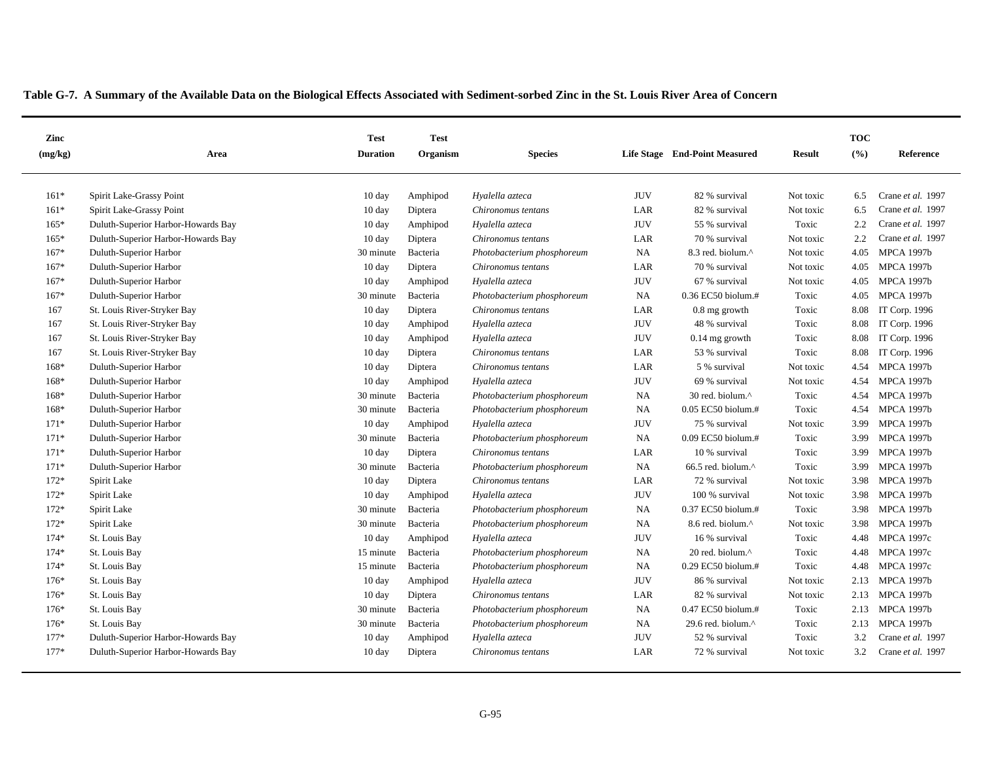| Zinc    |                                    | <b>Test</b>      | <b>Test</b> |                            |              |                                 |               | <b>TOC</b>        |                   |
|---------|------------------------------------|------------------|-------------|----------------------------|--------------|---------------------------------|---------------|-------------------|-------------------|
| (mg/kg) | Area                               | <b>Duration</b>  | Organism    | <b>Species</b>             |              | Life Stage End-Point Measured   | <b>Result</b> | (° <sub>0</sub> ) | Reference         |
| $161*$  | Spirit Lake-Grassy Point           | 10 day           | Amphipod    | Hyalella azteca            | <b>JUV</b>   | 82 % survival                   | Not toxic     | 6.5               | Crane et al. 1997 |
| $161*$  | Spirit Lake-Grassy Point           | 10 day           | Diptera     | Chironomus tentans         | LAR          | 82 % survival                   | Not toxic     | 6.5               | Crane et al. 1997 |
| $165*$  | Duluth-Superior Harbor-Howards Bay | 10 day           | Amphipod    | Hyalella azteca            | <b>JUV</b>   | 55 % survival                   | Toxic         | 2.2               | Crane et al. 1997 |
| $165*$  | Duluth-Superior Harbor-Howards Bay | 10 day           | Diptera     | Chironomus tentans         | LAR          | 70 % survival                   | Not toxic     | 2.2               | Crane et al. 1997 |
| $167*$  | Duluth-Superior Harbor             | 30 minute        | Bacteria    | Photobacterium phosphoreum | NA           | 8.3 red. biolum.^               | Not toxic     | 4.05              | <b>MPCA 1997b</b> |
| 167*    | Duluth-Superior Harbor             | 10 day           | Diptera     | Chironomus tentans         | LAR          | 70 % survival                   | Not toxic     | 4.05              | <b>MPCA 1997b</b> |
| 167*    | Duluth-Superior Harbor             | 10 day           | Amphipod    | Hyalella azteca            | <b>JUV</b>   | 67 % survival                   | Not toxic     | 4.05              | <b>MPCA 1997b</b> |
| $167*$  | Duluth-Superior Harbor             | 30 minute        | Bacteria    | Photobacterium phosphoreum | <b>NA</b>    | $0.36$ EC50 biolum.#            | Toxic         | 4.05              | <b>MPCA 1997b</b> |
| 167     | St. Louis River-Stryker Bay        | 10 day           | Diptera     | Chironomus tentans         | LAR          | 0.8 mg growth                   | Toxic         | 8.08              | IT Corp. 1996     |
| 167     | St. Louis River-Stryker Bay        | 10 day           | Amphipod    | Hyalella azteca            | <b>JUV</b>   | 48 % survival                   | Toxic         | 8.08              | IT Corp. 1996     |
| 167     | St. Louis River-Stryker Bay        | $10 \text{ day}$ | Amphipod    | Hyalella azteca            | <b>JUV</b>   | $0.14$ mg growth                | Toxic         | 8.08              | IT Corp. 1996     |
| 167     | St. Louis River-Stryker Bay        | 10 day           | Diptera     | Chironomus tentans         | LAR          | 53 % survival                   | Toxic         | 8.08              | IT Corp. 1996     |
| 168*    | Duluth-Superior Harbor             | $10 \text{ day}$ | Diptera     | Chironomus tentans         | LAR          | 5 % survival                    | Not toxic     | 4.54              | <b>MPCA 1997b</b> |
| 168*    | Duluth-Superior Harbor             | 10 day           | Amphipod    | Hyalella azteca            | <b>JUV</b>   | 69 % survival                   | Not toxic     | 4.54              | <b>MPCA 1997b</b> |
| 168*    | Duluth-Superior Harbor             | 30 minute        | Bacteria    | Photobacterium phosphoreum | NA           | 30 red. biolum.^                | Toxic         | 4.54              | <b>MPCA 1997b</b> |
| 168*    | Duluth-Superior Harbor             | 30 minute        | Bacteria    | Photobacterium phosphoreum | <b>NA</b>    | 0.05 EC50 biolum.#              | Toxic         | 4.54              | <b>MPCA 1997b</b> |
| $171*$  | Duluth-Superior Harbor             | 10 day           | Amphipod    | Hyalella azteca            | <b>JUV</b>   | 75 % survival                   | Not toxic     | 3.99              | <b>MPCA 1997b</b> |
| $171*$  | Duluth-Superior Harbor             | 30 minute        | Bacteria    | Photobacterium phosphoreum | <b>NA</b>    | $0.09$ EC50 biolum.#            | Toxic         | 3.99              | <b>MPCA 1997b</b> |
| $171*$  | Duluth-Superior Harbor             | $10 \text{ day}$ | Diptera     | Chironomus tentans         | LAR          | 10 % survival                   | Toxic         | 3.99              | <b>MPCA 1997b</b> |
| $171*$  | Duluth-Superior Harbor             | 30 minute        | Bacteria    | Photobacterium phosphoreum | <b>NA</b>    | $66.5$ red. biolum. $^{\wedge}$ | Toxic         | 3.99              | <b>MPCA 1997b</b> |
| 172*    | Spirit Lake                        | 10 day           | Diptera     | Chironomus tentans         | LAR          | 72 % survival                   | Not toxic     | 3.98              | <b>MPCA 1997b</b> |
| 172*    | Spirit Lake                        | $10 \text{ day}$ | Amphipod    | Hyalella azteca            | <b>JUV</b>   | 100 % survival                  | Not toxic     | 3.98              | <b>MPCA 1997b</b> |
| 172*    | Spirit Lake                        | 30 minute        | Bacteria    | Photobacterium phosphoreum | <b>NA</b>    | 0.37 EC50 biolum.#              | Toxic         | 3.98              | <b>MPCA 1997b</b> |
| $172*$  | Spirit Lake                        | 30 minute        | Bacteria    | Photobacterium phosphoreum | <b>NA</b>    | 8.6 red. biolum.^               | Not toxic     | 3.98              | <b>MPCA 1997b</b> |
| $174*$  | St. Louis Bay                      | $10 \text{ day}$ | Amphipod    | Hyalella azteca            | <b>JUV</b>   | 16 % survival                   | Toxic         | 4.48              | <b>MPCA 1997c</b> |
| $174*$  | St. Louis Bay                      | 15 minute        | Bacteria    | Photobacterium phosphoreum | <b>NA</b>    | 20 red. biolum.^                | Toxic         | 4.48              | <b>MPCA 1997c</b> |
| $174*$  | St. Louis Bay                      | 15 minute        | Bacteria    | Photobacterium phosphoreum | <b>NA</b>    | 0.29 EC50 biolum.#              | Toxic         | 4.48              | <b>MPCA 1997c</b> |
| $176*$  | St. Louis Bay                      | $10 \text{ day}$ | Amphipod    | Hyalella azteca            | <b>JUV</b>   | 86 % survival                   | Not toxic     | 2.13              | <b>MPCA 1997b</b> |
| $176*$  | St. Louis Bay                      | $10 \text{ day}$ | Diptera     | Chironomus tentans         | $_{\rm LAR}$ | 82 % survival                   | Not toxic     | 2.13              | <b>MPCA 1997b</b> |
| $176*$  | St. Louis Bay                      | 30 minute        | Bacteria    | Photobacterium phosphoreum | <b>NA</b>    | 0.47 EC50 biolum.#              | Toxic         | 2.13              | <b>MPCA 1997b</b> |
| 176*    | St. Louis Bay                      | 30 minute        | Bacteria    | Photobacterium phosphoreum | <b>NA</b>    | 29.6 red. biolum.^              | Toxic         | 2.13              | <b>MPCA 1997b</b> |
| $177*$  | Duluth-Superior Harbor-Howards Bay | $10 \text{ day}$ | Amphipod    | Hyalella azteca            | <b>JUV</b>   | 52 % survival                   | Toxic         | 3.2               | Crane et al. 1997 |
| $177*$  | Duluth-Superior Harbor-Howards Bay | $10 \text{ day}$ | Diptera     | Chironomus tentans         | LAR          | 72 % survival                   | Not toxic     | 3.2               | Crane et al. 1997 |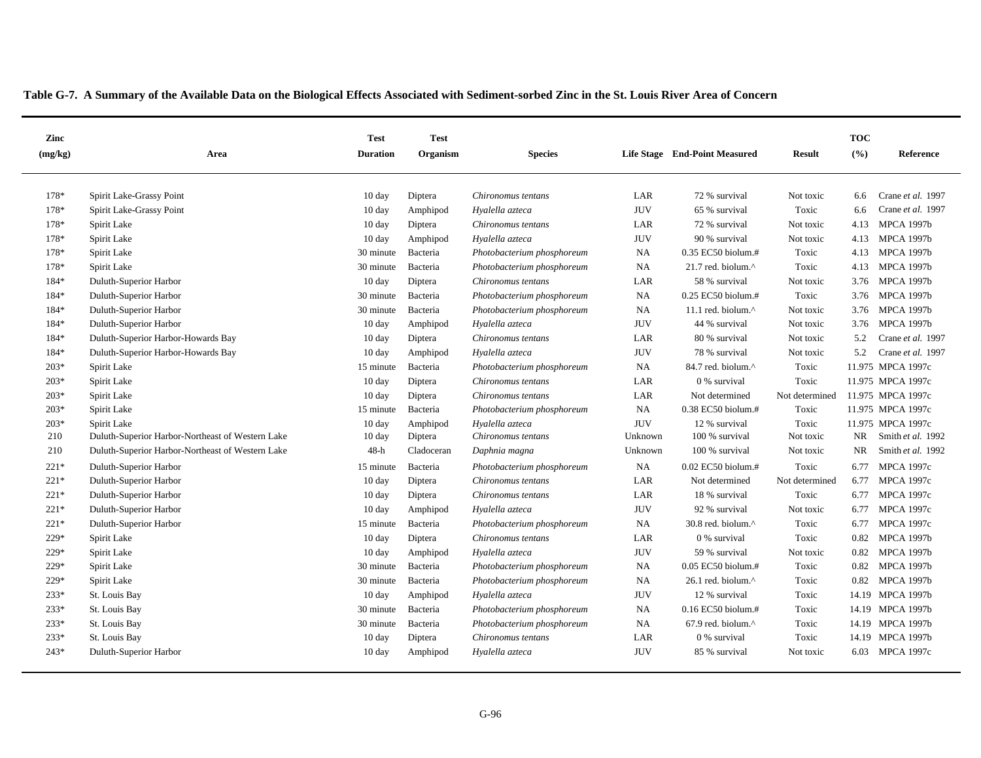| Zinc    |                                                  | <b>Test</b>      | <b>Test</b> |                            |            |                                 |                | <b>TOC</b> |                   |
|---------|--------------------------------------------------|------------------|-------------|----------------------------|------------|---------------------------------|----------------|------------|-------------------|
| (mg/kg) | Area                                             | <b>Duration</b>  | Organism    | <b>Species</b>             |            | Life Stage End-Point Measured   | <b>Result</b>  | (%)        | <b>Reference</b>  |
| 178*    | Spirit Lake-Grassy Point                         | $10 \text{ day}$ | Diptera     | Chironomus tentans         | LAR        | 72 % survival                   | Not toxic      | 6.6        | Crane et al. 1997 |
| 178*    | Spirit Lake-Grassy Point                         | $10 \text{ day}$ | Amphipod    | Hyalella azteca            | <b>JUV</b> | 65 % survival                   | Toxic          | 6.6        | Crane et al. 1997 |
| 178*    | Spirit Lake                                      | $10 \text{ day}$ | Diptera     | Chironomus tentans         | LAR        | 72 % survival                   | Not toxic      | 4.13       | <b>MPCA 1997b</b> |
| 178*    | Spirit Lake                                      | 10 day           | Amphipod    | Hyalella azteca            | <b>JUV</b> | 90 % survival                   | Not toxic      | 4.13       | <b>MPCA 1997b</b> |
| 178*    | Spirit Lake                                      | 30 minute        | Bacteria    | Photobacterium phosphoreum | <b>NA</b>  | $0.35$ EC50 biolum.#            | Toxic          | 4.13       | <b>MPCA 1997b</b> |
| 178*    | Spirit Lake                                      | 30 minute        | Bacteria    | Photobacterium phosphoreum | <b>NA</b>  | 21.7 red. biolum.^              | Toxic          | 4.13       | <b>MPCA 1997b</b> |
| 184*    | Duluth-Superior Harbor                           | 10 day           | Diptera     | Chironomus tentans         | LAR        | 58 % survival                   | Not toxic      | 3.76       | MPCA 1997b        |
| 184*    | Duluth-Superior Harbor                           | 30 minute        | Bacteria    | Photobacterium phosphoreum | NA         | 0.25 EC50 biolum.#              | Toxic          | 3.76       | <b>MPCA 1997b</b> |
| 184*    | Duluth-Superior Harbor                           | 30 minute        | Bacteria    | Photobacterium phosphoreum | <b>NA</b>  | 11.1 red. biolum.^              | Not toxic      | 3.76       | <b>MPCA 1997b</b> |
| 184*    | Duluth-Superior Harbor                           | $10 \text{ day}$ | Amphipod    | Hyalella azteca            | <b>JUV</b> | 44 % survival                   | Not toxic      | 3.76       | <b>MPCA 1997b</b> |
| 184*    | Duluth-Superior Harbor-Howards Bay               | 10 day           | Diptera     | Chironomus tentans         | LAR        | 80 % survival                   | Not toxic      | 5.2        | Crane et al. 1997 |
| 184*    | Duluth-Superior Harbor-Howards Bay               | $10 \text{ day}$ | Amphipod    | Hyalella azteca            | <b>JUV</b> | 78 % survival                   | Not toxic      | 5.2        | Crane et al. 1997 |
| $203*$  | Spirit Lake                                      | 15 minute        | Bacteria    | Photobacterium phosphoreum | <b>NA</b>  | 84.7 red. biolum.^              | Toxic          |            | 11.975 MPCA 1997c |
| 203*    | Spirit Lake                                      | $10 \text{ day}$ | Diptera     | Chironomus tentans         | LAR        | 0 % survival                    | Toxic          |            | 11.975 MPCA 1997c |
| $203*$  | Spirit Lake                                      | $10 \text{ day}$ | Diptera     | Chironomus tentans         | LAR        | Not determined                  | Not determined |            | 11.975 MPCA 1997c |
| $203*$  | Spirit Lake                                      | 15 minute        | Bacteria    | Photobacterium phosphoreum | <b>NA</b>  | $0.38$ EC50 biolum.#            | Toxic          |            | 11.975 MPCA 1997c |
| $203*$  | Spirit Lake                                      | $10 \text{ day}$ | Amphipod    | Hyalella azteca            | <b>JUV</b> | 12 % survival                   | Toxic          |            | 11.975 MPCA 1997c |
| 210     | Duluth-Superior Harbor-Northeast of Western Lake | $10 \text{ day}$ | Diptera     | Chironomus tentans         | Unknown    | 100 % survival                  | Not toxic      | NR         | Smith et al. 1992 |
| 210     | Duluth-Superior Harbor-Northeast of Western Lake | $48-h$           | Cladoceran  | Daphnia magna              | Unknown    | 100 % survival                  | Not toxic      | NR         | Smith et al. 1992 |
| $221*$  | Duluth-Superior Harbor                           | 15 minute        | Bacteria    | Photobacterium phosphoreum | <b>NA</b>  | 0.02 EC50 biolum.#              | Toxic          | 6.77       | <b>MPCA 1997c</b> |
| $221*$  | Duluth-Superior Harbor                           | $10 \text{ day}$ | Diptera     | Chironomus tentans         | LAR        | Not determined                  | Not determined |            | 6.77 MPCA 1997c   |
| $221*$  | Duluth-Superior Harbor                           | $10 \text{ day}$ | Diptera     | Chironomus tentans         | LAR        | 18 % survival                   | Toxic          |            | 6.77 MPCA 1997c   |
| $221*$  | Duluth-Superior Harbor                           | $10 \text{ day}$ | Amphipod    | Hyalella azteca            | <b>JUV</b> | 92 % survival                   | Not toxic      | 6.77       | <b>MPCA 1997c</b> |
| $221*$  | Duluth-Superior Harbor                           | 15 minute        | Bacteria    | Photobacterium phosphoreum | <b>NA</b>  | 30.8 red. biolum.^              | Toxic          | 6.77       | <b>MPCA 1997c</b> |
| 229*    | Spirit Lake                                      | $10 \text{ day}$ | Diptera     | Chironomus tentans         | LAR        | 0 % survival                    | Toxic          | 0.82       | <b>MPCA 1997b</b> |
| 229*    | Spirit Lake                                      | $10 \text{ day}$ | Amphipod    | Hyalella azteca            | <b>JUV</b> | 59 % survival                   | Not toxic      | 0.82       | <b>MPCA 1997b</b> |
| 229*    | Spirit Lake                                      | 30 minute        | Bacteria    | Photobacterium phosphoreum | <b>NA</b>  | $0.05$ EC50 biolum.#            | Toxic          | 0.82       | <b>MPCA 1997b</b> |
| 229*    | Spirit Lake                                      | 30 minute        | Bacteria    | Photobacterium phosphoreum | <b>NA</b>  | 26.1 red. biolum.^              | Toxic          | 0.82       | <b>MPCA 1997b</b> |
| 233*    | St. Louis Bay                                    | 10 day           | Amphipod    | Hyalella azteca            | <b>JUV</b> | 12 % survival                   | Toxic          |            | 14.19 MPCA 1997b  |
| 233*    | St. Louis Bay                                    | 30 minute        | Bacteria    | Photobacterium phosphoreum | <b>NA</b>  | $0.16$ EC50 biolum.#            | Toxic          |            | 14.19 MPCA 1997b  |
| 233*    | St. Louis Bay                                    | 30 minute        | Bacteria    | Photobacterium phosphoreum | <b>NA</b>  | $67.9$ red. biolum. $^{\wedge}$ | Toxic          |            | 14.19 MPCA 1997b  |
| 233*    | St. Louis Bay                                    | $10 \text{ day}$ | Diptera     | Chironomus tentans         | LAR        | 0 % survival                    | Toxic          |            | 14.19 MPCA 1997b  |
| 243*    | Duluth-Superior Harbor                           | $10 \text{ day}$ | Amphipod    | Hyalella azteca            | <b>JUV</b> | 85 % survival                   | Not toxic      |            | 6.03 MPCA 1997c   |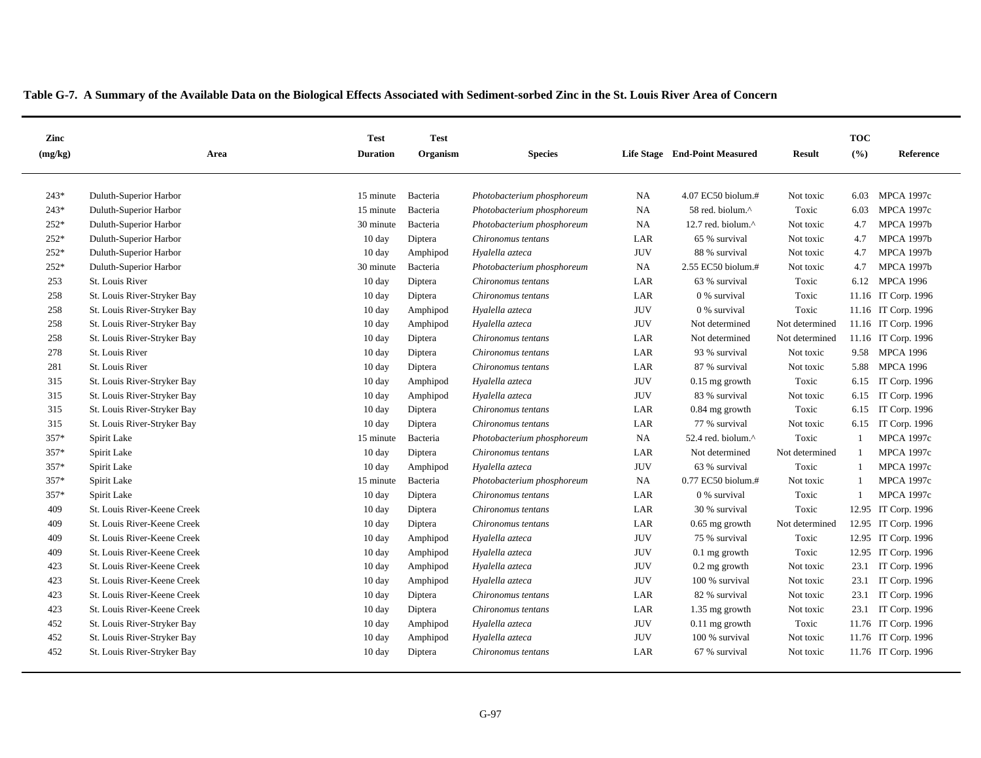| Zinc         |                                                  | <b>Test</b>            | <b>Test</b>          |                                                          |                          |                                        |                    | <b>TOC</b>     |                                        |
|--------------|--------------------------------------------------|------------------------|----------------------|----------------------------------------------------------|--------------------------|----------------------------------------|--------------------|----------------|----------------------------------------|
| (mg/kg)      | Area                                             | <b>Duration</b>        | Organism             | <b>Species</b>                                           |                          | Life Stage End-Point Measured          | <b>Result</b>      | (9/6)          | Reference                              |
|              |                                                  |                        |                      |                                                          |                          |                                        |                    |                |                                        |
| 243*<br>243* | Duluth-Superior Harbor<br>Duluth-Superior Harbor | 15 minute<br>15 minute | Bacteria             | Photobacterium phosphoreum<br>Photobacterium phosphoreum | <b>NA</b><br>NA          | 4.07 EC50 biolum.#<br>58 red. biolum.^ | Not toxic<br>Toxic | 6.03           | <b>MPCA 1997c</b><br><b>MPCA 1997c</b> |
| 252*         | Duluth-Superior Harbor                           | 30 minute              | Bacteria<br>Bacteria | Photobacterium phosphoreum                               | NA                       | 12.7 red. biolum.^                     | Not toxic          | 6.03<br>4.7    | <b>MPCA 1997b</b>                      |
| 252*         | Duluth-Superior Harbor                           | $10 \text{ day}$       | Diptera              | Chironomus tentans                                       | LAR                      | 65 % survival                          | Not toxic          | 4.7            | <b>MPCA 1997b</b>                      |
| 252*         | Duluth-Superior Harbor                           | 10 day                 | Amphipod             | Hyalella azteca                                          | <b>JUV</b>               | 88 % survival                          | Not toxic          | 4.7            | <b>MPCA 1997b</b>                      |
| 252*         | Duluth-Superior Harbor                           | 30 minute              | Bacteria             | Photobacterium phosphoreum                               | NA                       | 2.55 EC50 biolum.#                     | Not toxic          | 4.7            | <b>MPCA 1997b</b>                      |
| 253          | St. Louis River                                  | 10 day                 | Diptera              | Chironomus tentans                                       | LAR                      | 63 % survival                          | Toxic              |                | 6.12 MPCA 1996                         |
| 258          |                                                  | $10 \text{ day}$       |                      |                                                          | LAR                      |                                        | Toxic              |                |                                        |
|              | St. Louis River-Stryker Bay                      |                        | Diptera              | Chironomus tentans                                       |                          | 0 % survival                           |                    |                | 11.16 IT Corp. 1996                    |
| 258          | St. Louis River-Stryker Bay                      | 10 day                 | Amphipod             | Hyalella azteca                                          | <b>JUV</b><br><b>JUV</b> | 0 % survival                           | Toxic              |                | 11.16 IT Corp. 1996                    |
| 258          | St. Louis River-Stryker Bay                      | $10 \text{ day}$       | Amphipod             | Hyalella azteca                                          |                          | Not determined                         | Not determined     |                | 11.16 IT Corp. 1996                    |
| 258          | St. Louis River-Stryker Bay                      | $10 \text{ day}$       | Diptera              | Chironomus tentans                                       | LAR                      | Not determined                         | Not determined     |                | 11.16 IT Corp. 1996                    |
| 278          | St. Louis River                                  | $10 \text{ day}$       | Diptera              | Chironomus tentans                                       | LAR                      | 93 % survival                          | Not toxic          |                | 9.58 MPCA 1996                         |
| 281          | St. Louis River                                  | 10 day                 | Diptera              | Chironomus tentans                                       | LAR                      | 87 % survival                          | Not toxic          | 5.88           | <b>MPCA 1996</b>                       |
| 315          | St. Louis River-Stryker Bay                      | $10 \text{ day}$       | Amphipod             | Hyalella azteca                                          | <b>JUV</b>               | $0.15$ mg growth                       | Toxic              | 6.15           | IT Corp. 1996                          |
| 315          | St. Louis River-Stryker Bay                      | $10 \text{ day}$       | Amphipod             | Hyalella azteca                                          | <b>JUV</b>               | 83 % survival                          | Not toxic          | 6.15           | IT Corp. 1996                          |
| 315          | St. Louis River-Stryker Bay                      | $10 \text{ day}$       | Diptera              | Chironomus tentans                                       | LAR                      | 0.84 mg growth                         | Toxic              | 6.15           | IT Corp. 1996                          |
| 315          | St. Louis River-Stryker Bay                      | $10 \text{ day}$       | Diptera              | Chironomus tentans                                       | LAR                      | 77 % survival                          | Not toxic          | 6.15           | IT Corp. 1996                          |
| 357*         | Spirit Lake                                      | 15 minute              | Bacteria             | Photobacterium phosphoreum                               | NA                       | 52.4 red. biolum. $^{\wedge}$          | Toxic              | -1             | <b>MPCA 1997c</b>                      |
| 357*         | Spirit Lake                                      | 10 day                 | Diptera              | Chironomus tentans                                       | LAR                      | Not determined                         | Not determined     | -1             | <b>MPCA 1997c</b>                      |
| 357*         | Spirit Lake                                      | $10 \text{ day}$       | Amphipod             | Hyalella azteca                                          | <b>JUV</b>               | 63 % survival                          | Toxic              | -1             | <b>MPCA 1997c</b>                      |
| 357*         | Spirit Lake                                      | 15 minute              | Bacteria             | Photobacterium phosphoreum                               | NA                       | 0.77 EC50 biolum.#                     | Not toxic          | $\overline{1}$ | <b>MPCA 1997c</b>                      |
| 357*         | Spirit Lake                                      | $10 \text{ day}$       | Diptera              | Chironomus tentans                                       | LAR                      | 0 % survival                           | Toxic              |                | <b>MPCA 1997c</b>                      |
| 409          | St. Louis River-Keene Creek                      | $10 \text{ day}$       | Diptera              | Chironomus tentans                                       | LAR                      | 30 % survival                          | Toxic              |                | 12.95 IT Corp. 1996                    |
| 409          | St. Louis River-Keene Creek                      | $10 \text{ day}$       | Diptera              | Chironomus tentans                                       | LAR                      | $0.65$ mg growth                       | Not determined     |                | 12.95 IT Corp. 1996                    |
| 409          | St. Louis River-Keene Creek                      | 10 day                 | Amphipod             | Hyalella azteca                                          | <b>JUV</b>               | 75 % survival                          | Toxic              |                | 12.95 IT Corp. 1996                    |
| 409          | St. Louis River-Keene Creek                      | $10 \text{ day}$       | Amphipod             | Hyalella azteca                                          | <b>JUV</b>               | $0.1$ mg growth                        | Toxic              |                | 12.95 IT Corp. 1996                    |
| 423          | St. Louis River-Keene Creek                      | $10 \text{ day}$       | Amphipod             | Hyalella azteca                                          | <b>JUV</b>               | $0.2$ mg growth                        | Not toxic          |                | 23.1 IT Corp. 1996                     |
| 423          | St. Louis River-Keene Creek                      | $10 \text{ day}$       | Amphipod             | Hyalella azteca                                          | <b>JUV</b>               | 100 % survival                         | Not toxic          |                | 23.1 IT Corp. 1996                     |
| 423          | St. Louis River-Keene Creek                      | 10 day                 | Diptera              | Chironomus tentans                                       | LAR                      | 82 % survival                          | Not toxic          |                | 23.1 IT Corp. 1996                     |
| 423          | St. Louis River-Keene Creek                      | $10 \text{ day}$       | Diptera              | Chironomus tentans                                       | LAR                      | $1.35$ mg growth                       | Not toxic          |                | 23.1 IT Corp. 1996                     |
| 452          | St. Louis River-Stryker Bay                      | 10 day                 | Amphipod             | Hyalella azteca                                          | <b>JUV</b>               | $0.11$ mg growth                       | Toxic              |                | 11.76 IT Corp. 1996                    |
| 452          | St. Louis River-Stryker Bay                      | $10 \text{ day}$       | Amphipod             | Hyalella azteca                                          | <b>JUV</b>               | 100 % survival                         | Not toxic          |                | 11.76 IT Corp. 1996                    |
| 452          | St. Louis River-Stryker Bay                      | $10 \text{ day}$       | Diptera              | Chironomus tentans                                       | LAR                      | 67 % survival                          | Not toxic          |                | 11.76 IT Corp. 1996                    |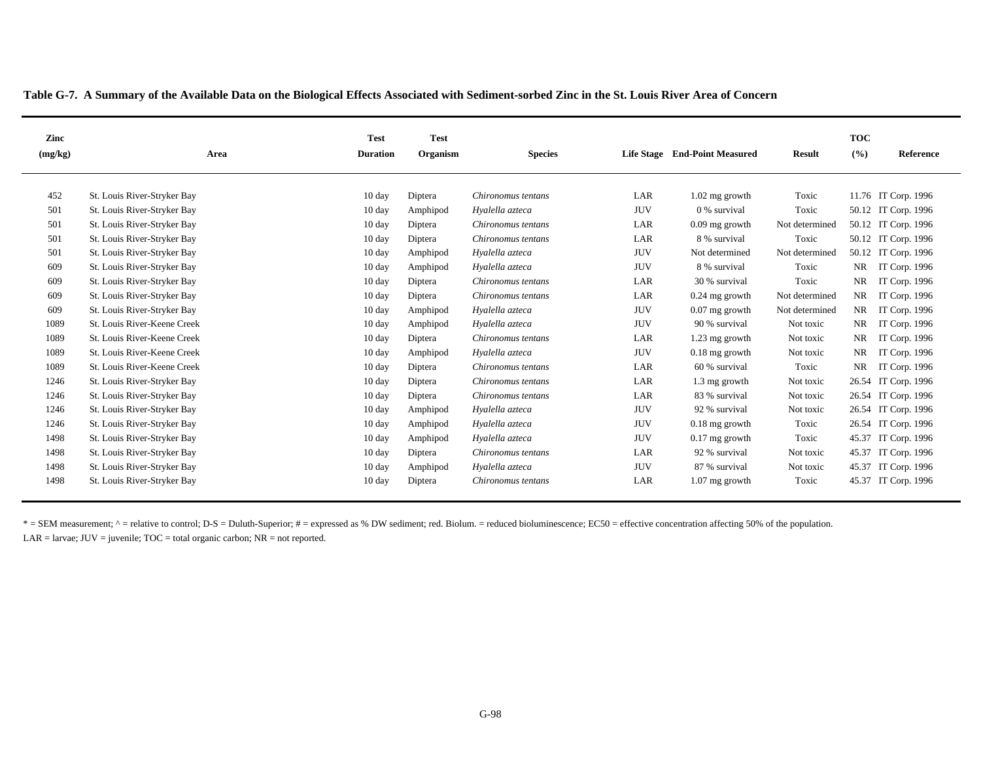| Zinc    |                             | <b>Test</b>      | <b>Test</b> |                    |            |                               |                | <b>TOC</b> |                     |
|---------|-----------------------------|------------------|-------------|--------------------|------------|-------------------------------|----------------|------------|---------------------|
| (mg/kg) | Area                        | <b>Duration</b>  | Organism    | <b>Species</b>     |            | Life Stage End-Point Measured | <b>Result</b>  | (%)        | Reference           |
|         |                             |                  |             |                    |            |                               |                |            |                     |
| 452     | St. Louis River-Stryker Bay | 10 day           | Diptera     | Chironomus tentans | LAR        | $1.02$ mg growth              | Toxic          |            | 11.76 IT Corp. 1996 |
| 501     | St. Louis River-Stryker Bay |                  |             |                    | <b>JUV</b> | 0 % survival                  | Toxic          |            |                     |
|         |                             | $10 \text{ day}$ | Amphipod    | Hyalella azteca    |            |                               |                |            | 50.12 IT Corp. 1996 |
| 501     | St. Louis River-Stryker Bay | $10 \text{ day}$ | Diptera     | Chironomus tentans | LAR        | $0.09$ mg growth              | Not determined |            | 50.12 IT Corp. 1996 |
| 501     | St. Louis River-Stryker Bay | 10 day           | Diptera     | Chironomus tentans | LAR        | 8 % survival                  | Toxic          |            | 50.12 IT Corp. 1996 |
| 501     | St. Louis River-Stryker Bay | $10 \text{ day}$ | Amphipod    | Hyalella azteca    | <b>JUV</b> | Not determined                | Not determined |            | 50.12 IT Corp. 1996 |
| 609     | St. Louis River-Stryker Bay | $10 \text{ day}$ | Amphipod    | Hyalella azteca    | <b>JUV</b> | 8 % survival                  | Toxic          | NR         | IT Corp. 1996       |
| 609     | St. Louis River-Stryker Bay | $10 \text{ day}$ | Diptera     | Chironomus tentans | LAR        | 30 % survival                 | Toxic          | <b>NR</b>  | IT Corp. 1996       |
| 609     | St. Louis River-Stryker Bay | $10 \text{ day}$ | Diptera     | Chironomus tentans | LAR        | $0.24$ mg growth              | Not determined | NR         | IT Corp. 1996       |
| 609     | St. Louis River-Stryker Bay | 10 day           | Amphipod    | Hyalella azteca    | <b>JUV</b> | $0.07$ mg growth              | Not determined | <b>NR</b>  | IT Corp. 1996       |
| 1089    | St. Louis River-Keene Creek | $10 \text{ day}$ | Amphipod    | Hyalella azteca    | <b>JUV</b> | 90 % survival                 | Not toxic      | <b>NR</b>  | IT Corp. 1996       |
| 1089    | St. Louis River-Keene Creek | $10 \text{ day}$ | Diptera     | Chironomus tentans | LAR        | 1.23 mg growth                | Not toxic      | <b>NR</b>  | IT Corp. 1996       |
| 1089    | St. Louis River-Keene Creek | $10 \text{ day}$ | Amphipod    | Hyalella azteca    | <b>JUV</b> | $0.18$ mg growth              | Not toxic      | <b>NR</b>  | IT Corp. 1996       |
| 1089    | St. Louis River-Keene Creek | $10 \text{ day}$ | Diptera     | Chironomus tentans | LAR        | 60 % survival                 | Toxic          | NR         | IT Corp. 1996       |
| 1246    | St. Louis River-Stryker Bay | $10 \text{ day}$ | Diptera     | Chironomus tentans | LAR        | 1.3 mg growth                 | Not toxic      | 26.54      | IT Corp. 1996       |
| 1246    | St. Louis River-Stryker Bay | $10 \text{ day}$ | Diptera     | Chironomus tentans | LAR        | 83 % survival                 | Not toxic      |            | 26.54 IT Corp. 1996 |
| 1246    | St. Louis River-Stryker Bay | $10 \text{ day}$ | Amphipod    | Hyalella azteca    | <b>JUV</b> | 92 % survival                 | Not toxic      | 26.54      | IT Corp. 1996       |
| 1246    | St. Louis River-Stryker Bay | $10 \text{ day}$ | Amphipod    | Hyalella azteca    | <b>JUV</b> | $0.18$ mg growth              | Toxic          | 26.54      | IT Corp. 1996       |
| 1498    | St. Louis River-Stryker Bay | $10 \text{ day}$ | Amphipod    | Hyalella azteca    | <b>JUV</b> | $0.17$ mg growth              | Toxic          | 45.37      | IT Corp. 1996       |
| 1498    | St. Louis River-Stryker Bay | $10 \text{ day}$ | Diptera     | Chironomus tentans | LAR        | 92 % survival                 | Not toxic      | 45.37      | IT Corp. 1996       |
| 1498    | St. Louis River-Stryker Bay | $10 \text{ day}$ | Amphipod    | Hyalella azteca    | <b>JUV</b> | 87 % survival                 | Not toxic      |            | 45.37 IT Corp. 1996 |
| 1498    | St. Louis River-Stryker Bay | $10 \text{ day}$ | Diptera     | Chironomus tentans | LAR        | $1.07$ mg growth              | Toxic          |            | 45.37 IT Corp. 1996 |

\* = SEM measurement; ^ = relative to control; D-S = Duluth-Superior; # = expressed as % DW sediment; red. Biolum. = reduced bioluminescence; EC50 = effective concentration affecting 50% of the population. LAR = larvae;  $JUV =$  juvenile;  $TOC =$  total organic carbon;  $NR =$  not reported.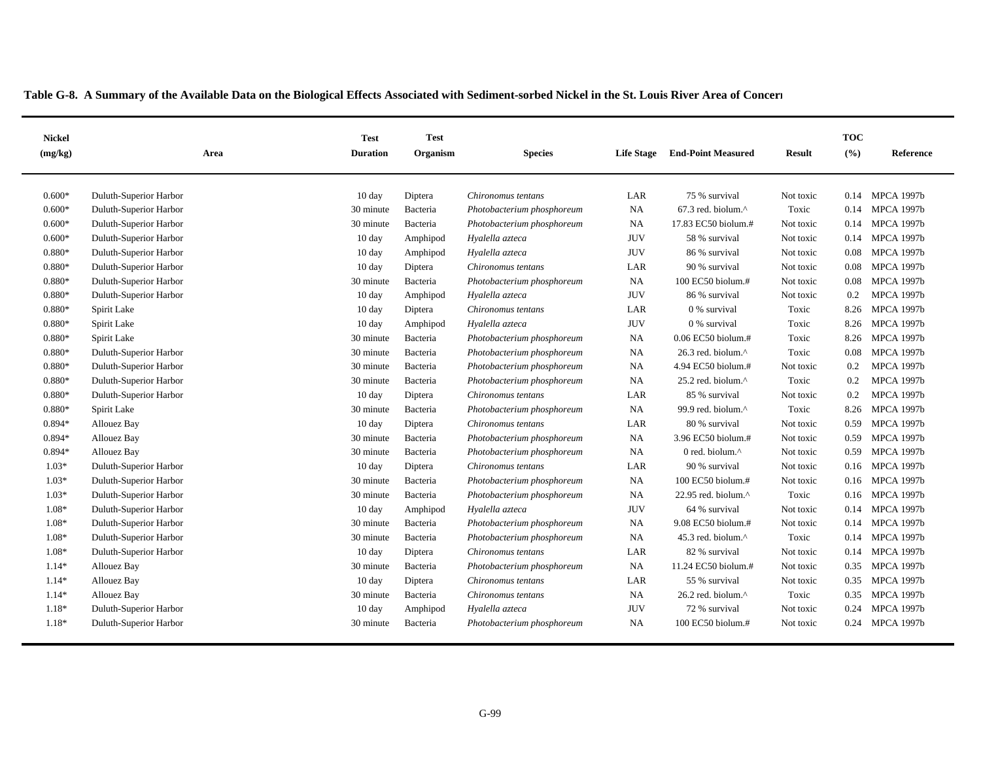| LAR<br>$0.600*$<br>Duluth-Superior Harbor<br>$10 \text{ day}$<br>Diptera<br>Chironomus tentans<br>75 % survival<br>Not toxic<br><b>MPCA 1997b</b><br>0.14<br><b>NA</b><br>$0.600*$<br>Duluth-Superior Harbor<br>30 minute<br>Bacteria<br>$67.3$ red. biolum. $^{\wedge}$<br>Toxic<br><b>MPCA 1997b</b><br>Photobacterium phosphoreum<br>0.14<br>$0.600*$<br>Duluth-Superior Harbor<br>30 minute<br>Bacteria<br><b>NA</b><br>17.83 EC50 biolum.#<br><b>MPCA 1997b</b><br>Photobacterium phosphoreum<br>Not toxic<br>0.14<br><b>JUV</b><br>58 % survival<br><b>MPCA 1997b</b><br>$0.600*$<br>Duluth-Superior Harbor<br>$10 \text{ day}$<br>Amphipod<br>Hyalella azteca<br>Not toxic<br>0.14<br><b>JUV</b><br>$0.880*$<br>Duluth-Superior Harbor<br>$10 \text{ day}$<br>Hyalella azteca<br>86 % survival<br>Not toxic<br>0.08<br><b>MPCA 1997b</b><br>Amphipod<br>$0.880*$<br><b>MPCA 1997b</b><br>Duluth-Superior Harbor<br>$10 \text{ day}$<br>Diptera<br>LAR<br>90 % survival<br>Not toxic<br>0.08<br>Chironomus tentans<br><b>MPCA 1997b</b><br>$0.880*$<br>Duluth-Superior Harbor<br>30 minute<br>NA<br>100 EC50 biolum.#<br>Not toxic<br>Bacteria<br>Photobacterium phosphoreum<br>0.08<br><b>JUV</b><br><b>MPCA 1997b</b><br>$0.880*$<br>Duluth-Superior Harbor<br>86 % survival<br>$10 \text{ day}$<br>Amphipod<br>Hyalella azteca<br>Not toxic<br>0.2<br>0.880*<br>Toxic<br><b>MPCA 1997b</b><br>Spirit Lake<br>$10 \text{ day}$<br>Diptera<br>Chironomus tentans<br>LAR<br>0 % survival<br>8.26<br><b>JUV</b><br>0.880*<br><b>MPCA 1997b</b><br>Spirit Lake<br>$10 \text{ day}$<br>Amphipod<br>Hyalella azteca<br>0 % survival<br>Toxic<br>8.26<br><b>MPCA 1997b</b><br>$0.880*$<br>Spirit Lake<br>30 minute<br>Bacteria<br>Photobacterium phosphoreum<br><b>NA</b><br>$0.06$ EC50 biolum.#<br>Toxic<br>8.26<br>$0.880*$<br>Duluth-Superior Harbor<br>30 minute<br>Bacteria<br>NA<br>$26.3$ red. biolum. $^{\wedge}$<br>Toxic<br>0.08<br><b>MPCA 1997b</b><br>Photobacterium phosphoreum<br>0.880*<br><b>NA</b><br><b>MPCA 1997b</b><br>Duluth-Superior Harbor<br>30 minute<br>Bacteria<br>Photobacterium phosphoreum<br>4.94 EC50 biolum.#<br>Not toxic<br>0.2<br>$0.880*$<br>NA<br><b>MPCA 1997b</b><br>Duluth-Superior Harbor<br>30 minute<br>Bacteria<br>Photobacterium phosphoreum<br>$25.2$ red. biolum. $^{\wedge}$<br>Toxic<br>0.2<br>LAR<br><b>MPCA 1997b</b><br>$0.880*$<br>Duluth-Superior Harbor<br>10 day<br>Diptera<br>85 % survival<br>Not toxic<br>0.2<br>Chironomus tentans<br><b>NA</b><br><b>MPCA 1997b</b><br>$0.880*$<br>Bacteria<br>99.9 red. biolum.^<br>Toxic<br>8.26<br>Spirit Lake<br>30 minute<br>Photobacterium phosphoreum<br>$0.894*$<br>10 day<br>LAR<br><b>MPCA 1997b</b><br>Allouez Bay<br>Diptera<br>Chironomus tentans<br>80 % survival<br>Not toxic<br>0.59<br>NA<br>3.96 EC50 biolum.#<br>Not toxic<br><b>MPCA 1997b</b><br>$0.894*$<br>Allouez Bay<br>30 minute<br>Bacteria<br>Photobacterium phosphoreum<br>0.59<br><b>NA</b><br>0 red. biolum.^<br>0.59<br>0.894*<br>Allouez Bay<br>30 minute<br>Bacteria<br>Photobacterium phosphoreum<br>Not toxic<br><b>MPCA 1997b</b><br>$1.03*$<br>LAR<br>Duluth-Superior Harbor<br>$10 \text{ day}$<br>Diptera<br>90 % survival<br>Not toxic<br>0.16<br><b>MPCA 1997b</b><br>Chironomus tentans<br>$1.03*$<br>Duluth-Superior Harbor<br>Bacteria<br>NA<br>100 EC50 biolum.#<br><b>MPCA 1997b</b><br>30 minute<br>Photobacterium phosphoreum<br>Not toxic<br>0.16<br>$1.03*$<br>NA<br>Toxic<br>Duluth-Superior Harbor<br>30 minute<br>Bacteria<br>Photobacterium phosphoreum<br>22.95 red. biolum. $^{\wedge}$<br><b>MPCA 1997b</b><br>0.16<br>$1.08*$<br><b>JUV</b><br>64 % survival<br><b>MPCA 1997b</b><br>Duluth-Superior Harbor<br>$10 \text{ day}$<br>Hyalella azteca<br>Not toxic<br>Amphipod<br>0.14<br>$1.08*$<br><b>NA</b><br>9.08 EC50 biolum.#<br><b>MPCA 1997b</b><br>Duluth-Superior Harbor<br>30 minute<br>Bacteria<br>Photobacterium phosphoreum<br>Not toxic<br>0.14<br>NA<br>Toxic<br><b>MPCA 1997b</b><br>1.08*<br>Duluth-Superior Harbor<br>45.3 red. biolum.^<br>30 minute<br>Bacteria<br>Photobacterium phosphoreum<br>0.14<br><b>MPCA 1997b</b><br>1.08*<br>Duluth-Superior Harbor<br>10 day<br>LAR<br>82 % survival<br>Diptera<br>Chironomus tentans<br>Not toxic<br>0.14<br>$1.14*$<br><b>NA</b><br>11.24 EC50 biolum.#<br>Not toxic<br>0.35<br><b>MPCA 1997b</b><br>Allouez Bay<br>30 minute<br>Bacteria<br>Photobacterium phosphoreum<br>LAR<br>55 % survival<br><b>MPCA 1997b</b><br>$1.14*$<br>Allouez Bay<br>$10 \text{ day}$<br>Chironomus tentans<br>Not toxic<br>0.35<br>Diptera<br>NA<br>Toxic<br>$1.14*$<br>Allouez Bay<br>30 minute<br>Bacteria<br>26.2 red. biolum.^<br>0.35<br><b>MPCA 1997b</b><br>Chironomus tentans<br><b>JUV</b><br>$1.18*$<br>Duluth-Superior Harbor<br>72 % survival<br><b>MPCA 1997b</b><br>$10 \text{ day}$<br>Hyalella azteca<br>Not toxic<br>0.24<br>Amphipod<br>$1.18*$<br><b>MPCA 1997b</b><br>Duluth-Superior Harbor<br>30 minute<br>Bacteria<br><b>NA</b><br>$100$ EC50 biolum.#<br>Not toxic<br>0.24<br>Photobacterium phosphoreum | <b>Nickel</b><br>(mg/kg) | Area | <b>Test</b><br><b>Duration</b> | <b>Test</b><br>Organism | <b>Species</b> | <b>Life Stage</b> | <b>End-Point Measured</b> | Result | <b>TOC</b><br>(%) | Reference |
|---------------------------------------------------------------------------------------------------------------------------------------------------------------------------------------------------------------------------------------------------------------------------------------------------------------------------------------------------------------------------------------------------------------------------------------------------------------------------------------------------------------------------------------------------------------------------------------------------------------------------------------------------------------------------------------------------------------------------------------------------------------------------------------------------------------------------------------------------------------------------------------------------------------------------------------------------------------------------------------------------------------------------------------------------------------------------------------------------------------------------------------------------------------------------------------------------------------------------------------------------------------------------------------------------------------------------------------------------------------------------------------------------------------------------------------------------------------------------------------------------------------------------------------------------------------------------------------------------------------------------------------------------------------------------------------------------------------------------------------------------------------------------------------------------------------------------------------------------------------------------------------------------------------------------------------------------------------------------------------------------------------------------------------------------------------------------------------------------------------------------------------------------------------------------------------------------------------------------------------------------------------------------------------------------------------------------------------------------------------------------------------------------------------------------------------------------------------------------------------------------------------------------------------------------------------------------------------------------------------------------------------------------------------------------------------------------------------------------------------------------------------------------------------------------------------------------------------------------------------------------------------------------------------------------------------------------------------------------------------------------------------------------------------------------------------------------------------------------------------------------------------------------------------------------------------------------------------------------------------------------------------------------------------------------------------------------------------------------------------------------------------------------------------------------------------------------------------------------------------------------------------------------------------------------------------------------------------------------------------------------------------------------------------------------------------------------------------------------------------------------------------------------------------------------------------------------------------------------------------------------------------------------------------------------------------------------------------------------------------------------------------------------------------------------------------------------------------------------------------------------------------------------------------------------------------------------------------------------------------------------------------------------------------------------------------------------------------------------------------------------------------------------------------------------------------------------------------------------------------------------------------------------------------------------------------------------------------------------------------------------------------------------------------------------------------------------------------------------------------------------------------------------------------------------------------------------------------------------------------------------------------------------------------------------------------------------------------------------------------------------------------------------------------------------------------------------------------------|--------------------------|------|--------------------------------|-------------------------|----------------|-------------------|---------------------------|--------|-------------------|-----------|
|                                                                                                                                                                                                                                                                                                                                                                                                                                                                                                                                                                                                                                                                                                                                                                                                                                                                                                                                                                                                                                                                                                                                                                                                                                                                                                                                                                                                                                                                                                                                                                                                                                                                                                                                                                                                                                                                                                                                                                                                                                                                                                                                                                                                                                                                                                                                                                                                                                                                                                                                                                                                                                                                                                                                                                                                                                                                                                                                                                                                                                                                                                                                                                                                                                                                                                                                                                                                                                                                                                                                                                                                                                                                                                                                                                                                                                                                                                                                                                                                                                                                                                                                                                                                                                                                                                                                                                                                                                                                                                                                                                                                                                                                                                                                                                                                                                                                                                                                                                                                                                                                                             |                          |      |                                |                         |                |                   |                           |        |                   |           |
|                                                                                                                                                                                                                                                                                                                                                                                                                                                                                                                                                                                                                                                                                                                                                                                                                                                                                                                                                                                                                                                                                                                                                                                                                                                                                                                                                                                                                                                                                                                                                                                                                                                                                                                                                                                                                                                                                                                                                                                                                                                                                                                                                                                                                                                                                                                                                                                                                                                                                                                                                                                                                                                                                                                                                                                                                                                                                                                                                                                                                                                                                                                                                                                                                                                                                                                                                                                                                                                                                                                                                                                                                                                                                                                                                                                                                                                                                                                                                                                                                                                                                                                                                                                                                                                                                                                                                                                                                                                                                                                                                                                                                                                                                                                                                                                                                                                                                                                                                                                                                                                                                             |                          |      |                                |                         |                |                   |                           |        |                   |           |
|                                                                                                                                                                                                                                                                                                                                                                                                                                                                                                                                                                                                                                                                                                                                                                                                                                                                                                                                                                                                                                                                                                                                                                                                                                                                                                                                                                                                                                                                                                                                                                                                                                                                                                                                                                                                                                                                                                                                                                                                                                                                                                                                                                                                                                                                                                                                                                                                                                                                                                                                                                                                                                                                                                                                                                                                                                                                                                                                                                                                                                                                                                                                                                                                                                                                                                                                                                                                                                                                                                                                                                                                                                                                                                                                                                                                                                                                                                                                                                                                                                                                                                                                                                                                                                                                                                                                                                                                                                                                                                                                                                                                                                                                                                                                                                                                                                                                                                                                                                                                                                                                                             |                          |      |                                |                         |                |                   |                           |        |                   |           |
|                                                                                                                                                                                                                                                                                                                                                                                                                                                                                                                                                                                                                                                                                                                                                                                                                                                                                                                                                                                                                                                                                                                                                                                                                                                                                                                                                                                                                                                                                                                                                                                                                                                                                                                                                                                                                                                                                                                                                                                                                                                                                                                                                                                                                                                                                                                                                                                                                                                                                                                                                                                                                                                                                                                                                                                                                                                                                                                                                                                                                                                                                                                                                                                                                                                                                                                                                                                                                                                                                                                                                                                                                                                                                                                                                                                                                                                                                                                                                                                                                                                                                                                                                                                                                                                                                                                                                                                                                                                                                                                                                                                                                                                                                                                                                                                                                                                                                                                                                                                                                                                                                             |                          |      |                                |                         |                |                   |                           |        |                   |           |
|                                                                                                                                                                                                                                                                                                                                                                                                                                                                                                                                                                                                                                                                                                                                                                                                                                                                                                                                                                                                                                                                                                                                                                                                                                                                                                                                                                                                                                                                                                                                                                                                                                                                                                                                                                                                                                                                                                                                                                                                                                                                                                                                                                                                                                                                                                                                                                                                                                                                                                                                                                                                                                                                                                                                                                                                                                                                                                                                                                                                                                                                                                                                                                                                                                                                                                                                                                                                                                                                                                                                                                                                                                                                                                                                                                                                                                                                                                                                                                                                                                                                                                                                                                                                                                                                                                                                                                                                                                                                                                                                                                                                                                                                                                                                                                                                                                                                                                                                                                                                                                                                                             |                          |      |                                |                         |                |                   |                           |        |                   |           |
|                                                                                                                                                                                                                                                                                                                                                                                                                                                                                                                                                                                                                                                                                                                                                                                                                                                                                                                                                                                                                                                                                                                                                                                                                                                                                                                                                                                                                                                                                                                                                                                                                                                                                                                                                                                                                                                                                                                                                                                                                                                                                                                                                                                                                                                                                                                                                                                                                                                                                                                                                                                                                                                                                                                                                                                                                                                                                                                                                                                                                                                                                                                                                                                                                                                                                                                                                                                                                                                                                                                                                                                                                                                                                                                                                                                                                                                                                                                                                                                                                                                                                                                                                                                                                                                                                                                                                                                                                                                                                                                                                                                                                                                                                                                                                                                                                                                                                                                                                                                                                                                                                             |                          |      |                                |                         |                |                   |                           |        |                   |           |
|                                                                                                                                                                                                                                                                                                                                                                                                                                                                                                                                                                                                                                                                                                                                                                                                                                                                                                                                                                                                                                                                                                                                                                                                                                                                                                                                                                                                                                                                                                                                                                                                                                                                                                                                                                                                                                                                                                                                                                                                                                                                                                                                                                                                                                                                                                                                                                                                                                                                                                                                                                                                                                                                                                                                                                                                                                                                                                                                                                                                                                                                                                                                                                                                                                                                                                                                                                                                                                                                                                                                                                                                                                                                                                                                                                                                                                                                                                                                                                                                                                                                                                                                                                                                                                                                                                                                                                                                                                                                                                                                                                                                                                                                                                                                                                                                                                                                                                                                                                                                                                                                                             |                          |      |                                |                         |                |                   |                           |        |                   |           |
|                                                                                                                                                                                                                                                                                                                                                                                                                                                                                                                                                                                                                                                                                                                                                                                                                                                                                                                                                                                                                                                                                                                                                                                                                                                                                                                                                                                                                                                                                                                                                                                                                                                                                                                                                                                                                                                                                                                                                                                                                                                                                                                                                                                                                                                                                                                                                                                                                                                                                                                                                                                                                                                                                                                                                                                                                                                                                                                                                                                                                                                                                                                                                                                                                                                                                                                                                                                                                                                                                                                                                                                                                                                                                                                                                                                                                                                                                                                                                                                                                                                                                                                                                                                                                                                                                                                                                                                                                                                                                                                                                                                                                                                                                                                                                                                                                                                                                                                                                                                                                                                                                             |                          |      |                                |                         |                |                   |                           |        |                   |           |
|                                                                                                                                                                                                                                                                                                                                                                                                                                                                                                                                                                                                                                                                                                                                                                                                                                                                                                                                                                                                                                                                                                                                                                                                                                                                                                                                                                                                                                                                                                                                                                                                                                                                                                                                                                                                                                                                                                                                                                                                                                                                                                                                                                                                                                                                                                                                                                                                                                                                                                                                                                                                                                                                                                                                                                                                                                                                                                                                                                                                                                                                                                                                                                                                                                                                                                                                                                                                                                                                                                                                                                                                                                                                                                                                                                                                                                                                                                                                                                                                                                                                                                                                                                                                                                                                                                                                                                                                                                                                                                                                                                                                                                                                                                                                                                                                                                                                                                                                                                                                                                                                                             |                          |      |                                |                         |                |                   |                           |        |                   |           |
|                                                                                                                                                                                                                                                                                                                                                                                                                                                                                                                                                                                                                                                                                                                                                                                                                                                                                                                                                                                                                                                                                                                                                                                                                                                                                                                                                                                                                                                                                                                                                                                                                                                                                                                                                                                                                                                                                                                                                                                                                                                                                                                                                                                                                                                                                                                                                                                                                                                                                                                                                                                                                                                                                                                                                                                                                                                                                                                                                                                                                                                                                                                                                                                                                                                                                                                                                                                                                                                                                                                                                                                                                                                                                                                                                                                                                                                                                                                                                                                                                                                                                                                                                                                                                                                                                                                                                                                                                                                                                                                                                                                                                                                                                                                                                                                                                                                                                                                                                                                                                                                                                             |                          |      |                                |                         |                |                   |                           |        |                   |           |
|                                                                                                                                                                                                                                                                                                                                                                                                                                                                                                                                                                                                                                                                                                                                                                                                                                                                                                                                                                                                                                                                                                                                                                                                                                                                                                                                                                                                                                                                                                                                                                                                                                                                                                                                                                                                                                                                                                                                                                                                                                                                                                                                                                                                                                                                                                                                                                                                                                                                                                                                                                                                                                                                                                                                                                                                                                                                                                                                                                                                                                                                                                                                                                                                                                                                                                                                                                                                                                                                                                                                                                                                                                                                                                                                                                                                                                                                                                                                                                                                                                                                                                                                                                                                                                                                                                                                                                                                                                                                                                                                                                                                                                                                                                                                                                                                                                                                                                                                                                                                                                                                                             |                          |      |                                |                         |                |                   |                           |        |                   |           |
|                                                                                                                                                                                                                                                                                                                                                                                                                                                                                                                                                                                                                                                                                                                                                                                                                                                                                                                                                                                                                                                                                                                                                                                                                                                                                                                                                                                                                                                                                                                                                                                                                                                                                                                                                                                                                                                                                                                                                                                                                                                                                                                                                                                                                                                                                                                                                                                                                                                                                                                                                                                                                                                                                                                                                                                                                                                                                                                                                                                                                                                                                                                                                                                                                                                                                                                                                                                                                                                                                                                                                                                                                                                                                                                                                                                                                                                                                                                                                                                                                                                                                                                                                                                                                                                                                                                                                                                                                                                                                                                                                                                                                                                                                                                                                                                                                                                                                                                                                                                                                                                                                             |                          |      |                                |                         |                |                   |                           |        |                   |           |
|                                                                                                                                                                                                                                                                                                                                                                                                                                                                                                                                                                                                                                                                                                                                                                                                                                                                                                                                                                                                                                                                                                                                                                                                                                                                                                                                                                                                                                                                                                                                                                                                                                                                                                                                                                                                                                                                                                                                                                                                                                                                                                                                                                                                                                                                                                                                                                                                                                                                                                                                                                                                                                                                                                                                                                                                                                                                                                                                                                                                                                                                                                                                                                                                                                                                                                                                                                                                                                                                                                                                                                                                                                                                                                                                                                                                                                                                                                                                                                                                                                                                                                                                                                                                                                                                                                                                                                                                                                                                                                                                                                                                                                                                                                                                                                                                                                                                                                                                                                                                                                                                                             |                          |      |                                |                         |                |                   |                           |        |                   |           |
|                                                                                                                                                                                                                                                                                                                                                                                                                                                                                                                                                                                                                                                                                                                                                                                                                                                                                                                                                                                                                                                                                                                                                                                                                                                                                                                                                                                                                                                                                                                                                                                                                                                                                                                                                                                                                                                                                                                                                                                                                                                                                                                                                                                                                                                                                                                                                                                                                                                                                                                                                                                                                                                                                                                                                                                                                                                                                                                                                                                                                                                                                                                                                                                                                                                                                                                                                                                                                                                                                                                                                                                                                                                                                                                                                                                                                                                                                                                                                                                                                                                                                                                                                                                                                                                                                                                                                                                                                                                                                                                                                                                                                                                                                                                                                                                                                                                                                                                                                                                                                                                                                             |                          |      |                                |                         |                |                   |                           |        |                   |           |
|                                                                                                                                                                                                                                                                                                                                                                                                                                                                                                                                                                                                                                                                                                                                                                                                                                                                                                                                                                                                                                                                                                                                                                                                                                                                                                                                                                                                                                                                                                                                                                                                                                                                                                                                                                                                                                                                                                                                                                                                                                                                                                                                                                                                                                                                                                                                                                                                                                                                                                                                                                                                                                                                                                                                                                                                                                                                                                                                                                                                                                                                                                                                                                                                                                                                                                                                                                                                                                                                                                                                                                                                                                                                                                                                                                                                                                                                                                                                                                                                                                                                                                                                                                                                                                                                                                                                                                                                                                                                                                                                                                                                                                                                                                                                                                                                                                                                                                                                                                                                                                                                                             |                          |      |                                |                         |                |                   |                           |        |                   |           |
|                                                                                                                                                                                                                                                                                                                                                                                                                                                                                                                                                                                                                                                                                                                                                                                                                                                                                                                                                                                                                                                                                                                                                                                                                                                                                                                                                                                                                                                                                                                                                                                                                                                                                                                                                                                                                                                                                                                                                                                                                                                                                                                                                                                                                                                                                                                                                                                                                                                                                                                                                                                                                                                                                                                                                                                                                                                                                                                                                                                                                                                                                                                                                                                                                                                                                                                                                                                                                                                                                                                                                                                                                                                                                                                                                                                                                                                                                                                                                                                                                                                                                                                                                                                                                                                                                                                                                                                                                                                                                                                                                                                                                                                                                                                                                                                                                                                                                                                                                                                                                                                                                             |                          |      |                                |                         |                |                   |                           |        |                   |           |
|                                                                                                                                                                                                                                                                                                                                                                                                                                                                                                                                                                                                                                                                                                                                                                                                                                                                                                                                                                                                                                                                                                                                                                                                                                                                                                                                                                                                                                                                                                                                                                                                                                                                                                                                                                                                                                                                                                                                                                                                                                                                                                                                                                                                                                                                                                                                                                                                                                                                                                                                                                                                                                                                                                                                                                                                                                                                                                                                                                                                                                                                                                                                                                                                                                                                                                                                                                                                                                                                                                                                                                                                                                                                                                                                                                                                                                                                                                                                                                                                                                                                                                                                                                                                                                                                                                                                                                                                                                                                                                                                                                                                                                                                                                                                                                                                                                                                                                                                                                                                                                                                                             |                          |      |                                |                         |                |                   |                           |        |                   |           |
|                                                                                                                                                                                                                                                                                                                                                                                                                                                                                                                                                                                                                                                                                                                                                                                                                                                                                                                                                                                                                                                                                                                                                                                                                                                                                                                                                                                                                                                                                                                                                                                                                                                                                                                                                                                                                                                                                                                                                                                                                                                                                                                                                                                                                                                                                                                                                                                                                                                                                                                                                                                                                                                                                                                                                                                                                                                                                                                                                                                                                                                                                                                                                                                                                                                                                                                                                                                                                                                                                                                                                                                                                                                                                                                                                                                                                                                                                                                                                                                                                                                                                                                                                                                                                                                                                                                                                                                                                                                                                                                                                                                                                                                                                                                                                                                                                                                                                                                                                                                                                                                                                             |                          |      |                                |                         |                |                   |                           |        |                   |           |
|                                                                                                                                                                                                                                                                                                                                                                                                                                                                                                                                                                                                                                                                                                                                                                                                                                                                                                                                                                                                                                                                                                                                                                                                                                                                                                                                                                                                                                                                                                                                                                                                                                                                                                                                                                                                                                                                                                                                                                                                                                                                                                                                                                                                                                                                                                                                                                                                                                                                                                                                                                                                                                                                                                                                                                                                                                                                                                                                                                                                                                                                                                                                                                                                                                                                                                                                                                                                                                                                                                                                                                                                                                                                                                                                                                                                                                                                                                                                                                                                                                                                                                                                                                                                                                                                                                                                                                                                                                                                                                                                                                                                                                                                                                                                                                                                                                                                                                                                                                                                                                                                                             |                          |      |                                |                         |                |                   |                           |        |                   |           |
|                                                                                                                                                                                                                                                                                                                                                                                                                                                                                                                                                                                                                                                                                                                                                                                                                                                                                                                                                                                                                                                                                                                                                                                                                                                                                                                                                                                                                                                                                                                                                                                                                                                                                                                                                                                                                                                                                                                                                                                                                                                                                                                                                                                                                                                                                                                                                                                                                                                                                                                                                                                                                                                                                                                                                                                                                                                                                                                                                                                                                                                                                                                                                                                                                                                                                                                                                                                                                                                                                                                                                                                                                                                                                                                                                                                                                                                                                                                                                                                                                                                                                                                                                                                                                                                                                                                                                                                                                                                                                                                                                                                                                                                                                                                                                                                                                                                                                                                                                                                                                                                                                             |                          |      |                                |                         |                |                   |                           |        |                   |           |
|                                                                                                                                                                                                                                                                                                                                                                                                                                                                                                                                                                                                                                                                                                                                                                                                                                                                                                                                                                                                                                                                                                                                                                                                                                                                                                                                                                                                                                                                                                                                                                                                                                                                                                                                                                                                                                                                                                                                                                                                                                                                                                                                                                                                                                                                                                                                                                                                                                                                                                                                                                                                                                                                                                                                                                                                                                                                                                                                                                                                                                                                                                                                                                                                                                                                                                                                                                                                                                                                                                                                                                                                                                                                                                                                                                                                                                                                                                                                                                                                                                                                                                                                                                                                                                                                                                                                                                                                                                                                                                                                                                                                                                                                                                                                                                                                                                                                                                                                                                                                                                                                                             |                          |      |                                |                         |                |                   |                           |        |                   |           |
|                                                                                                                                                                                                                                                                                                                                                                                                                                                                                                                                                                                                                                                                                                                                                                                                                                                                                                                                                                                                                                                                                                                                                                                                                                                                                                                                                                                                                                                                                                                                                                                                                                                                                                                                                                                                                                                                                                                                                                                                                                                                                                                                                                                                                                                                                                                                                                                                                                                                                                                                                                                                                                                                                                                                                                                                                                                                                                                                                                                                                                                                                                                                                                                                                                                                                                                                                                                                                                                                                                                                                                                                                                                                                                                                                                                                                                                                                                                                                                                                                                                                                                                                                                                                                                                                                                                                                                                                                                                                                                                                                                                                                                                                                                                                                                                                                                                                                                                                                                                                                                                                                             |                          |      |                                |                         |                |                   |                           |        |                   |           |
|                                                                                                                                                                                                                                                                                                                                                                                                                                                                                                                                                                                                                                                                                                                                                                                                                                                                                                                                                                                                                                                                                                                                                                                                                                                                                                                                                                                                                                                                                                                                                                                                                                                                                                                                                                                                                                                                                                                                                                                                                                                                                                                                                                                                                                                                                                                                                                                                                                                                                                                                                                                                                                                                                                                                                                                                                                                                                                                                                                                                                                                                                                                                                                                                                                                                                                                                                                                                                                                                                                                                                                                                                                                                                                                                                                                                                                                                                                                                                                                                                                                                                                                                                                                                                                                                                                                                                                                                                                                                                                                                                                                                                                                                                                                                                                                                                                                                                                                                                                                                                                                                                             |                          |      |                                |                         |                |                   |                           |        |                   |           |
|                                                                                                                                                                                                                                                                                                                                                                                                                                                                                                                                                                                                                                                                                                                                                                                                                                                                                                                                                                                                                                                                                                                                                                                                                                                                                                                                                                                                                                                                                                                                                                                                                                                                                                                                                                                                                                                                                                                                                                                                                                                                                                                                                                                                                                                                                                                                                                                                                                                                                                                                                                                                                                                                                                                                                                                                                                                                                                                                                                                                                                                                                                                                                                                                                                                                                                                                                                                                                                                                                                                                                                                                                                                                                                                                                                                                                                                                                                                                                                                                                                                                                                                                                                                                                                                                                                                                                                                                                                                                                                                                                                                                                                                                                                                                                                                                                                                                                                                                                                                                                                                                                             |                          |      |                                |                         |                |                   |                           |        |                   |           |
|                                                                                                                                                                                                                                                                                                                                                                                                                                                                                                                                                                                                                                                                                                                                                                                                                                                                                                                                                                                                                                                                                                                                                                                                                                                                                                                                                                                                                                                                                                                                                                                                                                                                                                                                                                                                                                                                                                                                                                                                                                                                                                                                                                                                                                                                                                                                                                                                                                                                                                                                                                                                                                                                                                                                                                                                                                                                                                                                                                                                                                                                                                                                                                                                                                                                                                                                                                                                                                                                                                                                                                                                                                                                                                                                                                                                                                                                                                                                                                                                                                                                                                                                                                                                                                                                                                                                                                                                                                                                                                                                                                                                                                                                                                                                                                                                                                                                                                                                                                                                                                                                                             |                          |      |                                |                         |                |                   |                           |        |                   |           |
|                                                                                                                                                                                                                                                                                                                                                                                                                                                                                                                                                                                                                                                                                                                                                                                                                                                                                                                                                                                                                                                                                                                                                                                                                                                                                                                                                                                                                                                                                                                                                                                                                                                                                                                                                                                                                                                                                                                                                                                                                                                                                                                                                                                                                                                                                                                                                                                                                                                                                                                                                                                                                                                                                                                                                                                                                                                                                                                                                                                                                                                                                                                                                                                                                                                                                                                                                                                                                                                                                                                                                                                                                                                                                                                                                                                                                                                                                                                                                                                                                                                                                                                                                                                                                                                                                                                                                                                                                                                                                                                                                                                                                                                                                                                                                                                                                                                                                                                                                                                                                                                                                             |                          |      |                                |                         |                |                   |                           |        |                   |           |
|                                                                                                                                                                                                                                                                                                                                                                                                                                                                                                                                                                                                                                                                                                                                                                                                                                                                                                                                                                                                                                                                                                                                                                                                                                                                                                                                                                                                                                                                                                                                                                                                                                                                                                                                                                                                                                                                                                                                                                                                                                                                                                                                                                                                                                                                                                                                                                                                                                                                                                                                                                                                                                                                                                                                                                                                                                                                                                                                                                                                                                                                                                                                                                                                                                                                                                                                                                                                                                                                                                                                                                                                                                                                                                                                                                                                                                                                                                                                                                                                                                                                                                                                                                                                                                                                                                                                                                                                                                                                                                                                                                                                                                                                                                                                                                                                                                                                                                                                                                                                                                                                                             |                          |      |                                |                         |                |                   |                           |        |                   |           |
|                                                                                                                                                                                                                                                                                                                                                                                                                                                                                                                                                                                                                                                                                                                                                                                                                                                                                                                                                                                                                                                                                                                                                                                                                                                                                                                                                                                                                                                                                                                                                                                                                                                                                                                                                                                                                                                                                                                                                                                                                                                                                                                                                                                                                                                                                                                                                                                                                                                                                                                                                                                                                                                                                                                                                                                                                                                                                                                                                                                                                                                                                                                                                                                                                                                                                                                                                                                                                                                                                                                                                                                                                                                                                                                                                                                                                                                                                                                                                                                                                                                                                                                                                                                                                                                                                                                                                                                                                                                                                                                                                                                                                                                                                                                                                                                                                                                                                                                                                                                                                                                                                             |                          |      |                                |                         |                |                   |                           |        |                   |           |
|                                                                                                                                                                                                                                                                                                                                                                                                                                                                                                                                                                                                                                                                                                                                                                                                                                                                                                                                                                                                                                                                                                                                                                                                                                                                                                                                                                                                                                                                                                                                                                                                                                                                                                                                                                                                                                                                                                                                                                                                                                                                                                                                                                                                                                                                                                                                                                                                                                                                                                                                                                                                                                                                                                                                                                                                                                                                                                                                                                                                                                                                                                                                                                                                                                                                                                                                                                                                                                                                                                                                                                                                                                                                                                                                                                                                                                                                                                                                                                                                                                                                                                                                                                                                                                                                                                                                                                                                                                                                                                                                                                                                                                                                                                                                                                                                                                                                                                                                                                                                                                                                                             |                          |      |                                |                         |                |                   |                           |        |                   |           |
|                                                                                                                                                                                                                                                                                                                                                                                                                                                                                                                                                                                                                                                                                                                                                                                                                                                                                                                                                                                                                                                                                                                                                                                                                                                                                                                                                                                                                                                                                                                                                                                                                                                                                                                                                                                                                                                                                                                                                                                                                                                                                                                                                                                                                                                                                                                                                                                                                                                                                                                                                                                                                                                                                                                                                                                                                                                                                                                                                                                                                                                                                                                                                                                                                                                                                                                                                                                                                                                                                                                                                                                                                                                                                                                                                                                                                                                                                                                                                                                                                                                                                                                                                                                                                                                                                                                                                                                                                                                                                                                                                                                                                                                                                                                                                                                                                                                                                                                                                                                                                                                                                             |                          |      |                                |                         |                |                   |                           |        |                   |           |
|                                                                                                                                                                                                                                                                                                                                                                                                                                                                                                                                                                                                                                                                                                                                                                                                                                                                                                                                                                                                                                                                                                                                                                                                                                                                                                                                                                                                                                                                                                                                                                                                                                                                                                                                                                                                                                                                                                                                                                                                                                                                                                                                                                                                                                                                                                                                                                                                                                                                                                                                                                                                                                                                                                                                                                                                                                                                                                                                                                                                                                                                                                                                                                                                                                                                                                                                                                                                                                                                                                                                                                                                                                                                                                                                                                                                                                                                                                                                                                                                                                                                                                                                                                                                                                                                                                                                                                                                                                                                                                                                                                                                                                                                                                                                                                                                                                                                                                                                                                                                                                                                                             |                          |      |                                |                         |                |                   |                           |        |                   |           |
|                                                                                                                                                                                                                                                                                                                                                                                                                                                                                                                                                                                                                                                                                                                                                                                                                                                                                                                                                                                                                                                                                                                                                                                                                                                                                                                                                                                                                                                                                                                                                                                                                                                                                                                                                                                                                                                                                                                                                                                                                                                                                                                                                                                                                                                                                                                                                                                                                                                                                                                                                                                                                                                                                                                                                                                                                                                                                                                                                                                                                                                                                                                                                                                                                                                                                                                                                                                                                                                                                                                                                                                                                                                                                                                                                                                                                                                                                                                                                                                                                                                                                                                                                                                                                                                                                                                                                                                                                                                                                                                                                                                                                                                                                                                                                                                                                                                                                                                                                                                                                                                                                             |                          |      |                                |                         |                |                   |                           |        |                   |           |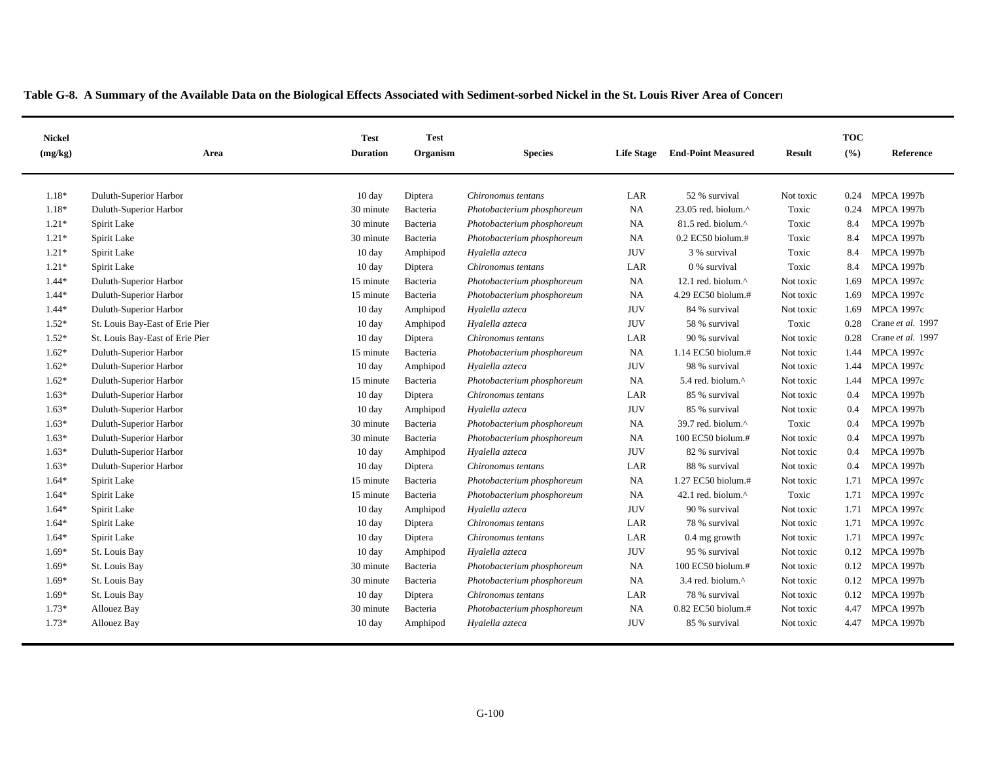| <b>Nickel</b><br>(mg/kg) | Area                            | <b>Test</b><br><b>Duration</b> | <b>Test</b><br>Organism | <b>Species</b>             | <b>Life Stage</b> | <b>End-Point Measured</b>        | Result    | <b>TOC</b><br>(%) | Reference         |
|--------------------------|---------------------------------|--------------------------------|-------------------------|----------------------------|-------------------|----------------------------------|-----------|-------------------|-------------------|
|                          |                                 |                                |                         |                            |                   |                                  |           |                   |                   |
| $1.18*$                  | Duluth-Superior Harbor          | $10 \text{ day}$               | Diptera                 | Chironomus tentans         | LAR               | 52 % survival                    | Not toxic | 0.24              | <b>MPCA 1997b</b> |
| 1.18*                    | Duluth-Superior Harbor          | 30 minute                      | Bacteria                | Photobacterium phosphoreum | <b>NA</b>         | $23.05$ red. biolum. $^{\wedge}$ | Toxic     | 0.24              | <b>MPCA 1997b</b> |
| $1.21*$                  | Spirit Lake                     | 30 minute                      | Bacteria                | Photobacterium phosphoreum | <b>NA</b>         | 81.5 red. biolum.^               | Toxic     | 8.4               | <b>MPCA 1997b</b> |
| $1.21*$                  | Spirit Lake                     | 30 minute                      | Bacteria                | Photobacterium phosphoreum | NA                | $0.2$ EC50 biolum.#              | Toxic     | 8.4               | <b>MPCA 1997b</b> |
| $1.21*$                  | Spirit Lake                     | $10 \text{ day}$               | Amphipod                | Hyalella azteca            | <b>JUV</b>        | 3 % survival                     | Toxic     | 8.4               | <b>MPCA 1997b</b> |
| $1.21*$                  | Spirit Lake                     | $10 \text{ day}$               | Diptera                 | Chironomus tentans         | LAR               | 0 % survival                     | Toxic     | 8.4               | <b>MPCA 1997b</b> |
| $1.44*$                  | Duluth-Superior Harbor          | 15 minute                      | Bacteria                | Photobacterium phosphoreum | NA                | 12.1 red. biolum. $^{\wedge}$    | Not toxic | 1.69              | <b>MPCA 1997c</b> |
| $1.44*$                  | Duluth-Superior Harbor          | 15 minute                      | Bacteria                | Photobacterium phosphoreum | NA                | 4.29 EC50 biolum.#               | Not toxic | 1.69              | <b>MPCA 1997c</b> |
| $1.44*$                  | Duluth-Superior Harbor          | $10 \text{ day}$               | Amphipod                | Hyalella azteca            | <b>JUV</b>        | 84 % survival                    | Not toxic | 1.69              | <b>MPCA 1997c</b> |
| $1.52*$                  | St. Louis Bay-East of Erie Pier | $10 \text{ day}$               | Amphipod                | Hyalella azteca            | <b>JUV</b>        | 58 % survival                    | Toxic     | 0.28              | Crane et al. 1997 |
| $1.52*$                  | St. Louis Bay-East of Erie Pier | $10 \text{ day}$               | Diptera                 | Chironomus tentans         | LAR               | 90 % survival                    | Not toxic | 0.28              | Crane et al. 1997 |
| $1.62*$                  | Duluth-Superior Harbor          | 15 minute                      | Bacteria                | Photobacterium phosphoreum | <b>NA</b>         | 1.14 EC50 biolum.#               | Not toxic | 1.44              | <b>MPCA 1997c</b> |
| $1.62*$                  | Duluth-Superior Harbor          | $10 \text{ day}$               | Amphipod                | Hyalella azteca            | <b>JUV</b>        | 98 % survival                    | Not toxic | 1.44              | <b>MPCA 1997c</b> |
| $1.62*$                  | Duluth-Superior Harbor          | 15 minute                      | Bacteria                | Photobacterium phosphoreum | <b>NA</b>         | 5.4 red. biolum.^                | Not toxic | 1.44              | <b>MPCA 1997c</b> |
| $1.63*$                  | Duluth-Superior Harbor          | $10 \text{ day}$               | Diptera                 | Chironomus tentans         | LAR               | 85 % survival                    | Not toxic | 0.4               | <b>MPCA 1997b</b> |
| $1.63*$                  | Duluth-Superior Harbor          | $10 \text{ day}$               | Amphipod                | Hyalella azteca            | <b>JUV</b>        | 85 % survival                    | Not toxic | 0.4               | <b>MPCA 1997b</b> |
| $1.63*$                  | Duluth-Superior Harbor          | 30 minute                      | Bacteria                | Photobacterium phosphoreum | <b>NA</b>         | 39.7 red. biolum.^               | Toxic     | 0.4               | <b>MPCA 1997b</b> |
| $1.63*$                  | Duluth-Superior Harbor          | 30 minute                      | Bacteria                | Photobacterium phosphoreum | <b>NA</b>         | 100 EC50 biolum.#                | Not toxic | 0.4               | <b>MPCA 1997b</b> |
| $1.63*$                  | Duluth-Superior Harbor          | $10 \text{ day}$               | Amphipod                | Hyalella azteca            | <b>JUV</b>        | 82 % survival                    | Not toxic | 0.4               | <b>MPCA 1997b</b> |
| $1.63*$                  | Duluth-Superior Harbor          | $10 \text{ day}$               | Diptera                 | Chironomus tentans         | LAR               | 88 % survival                    | Not toxic | 0.4               | <b>MPCA 1997b</b> |
| $1.64*$                  | Spirit Lake                     | 15 minute                      | Bacteria                | Photobacterium phosphoreum | <b>NA</b>         | 1.27 EC50 biolum.#               | Not toxic | 1.71              | <b>MPCA 1997c</b> |
| $1.64*$                  | Spirit Lake                     | 15 minute                      | Bacteria                | Photobacterium phosphoreum | <b>NA</b>         | 42.1 red. biolum.^               | Toxic     | 1.71              | <b>MPCA 1997c</b> |
| $1.64*$                  | Spirit Lake                     | $10 \text{ day}$               | Amphipod                | Hyalella azteca            | <b>JUV</b>        | 90 % survival                    | Not toxic | 1.71              | <b>MPCA 1997c</b> |
| $1.64*$                  | Spirit Lake                     | 10 day                         | Diptera                 | Chironomus tentans         | LAR               | 78 % survival                    | Not toxic | 1.71              | <b>MPCA 1997c</b> |
| $1.64*$                  | Spirit Lake                     | $10 \text{ day}$               | Diptera                 | Chironomus tentans         | LAR               | $0.4$ mg growth                  | Not toxic | 1.71              | <b>MPCA 1997c</b> |
| $1.69*$                  | St. Louis Bay                   | $10 \text{ day}$               | Amphipod                | Hyalella azteca            | <b>JUV</b>        | 95 % survival                    | Not toxic | 0.12              | <b>MPCA 1997b</b> |
| $1.69*$                  | St. Louis Bay                   | 30 minute                      | Bacteria                | Photobacterium phosphoreum | NA                | 100 EC50 biolum.#                | Not toxic | 0.12              | <b>MPCA 1997b</b> |
| $1.69*$                  | St. Louis Bay                   | 30 minute                      | Bacteria                | Photobacterium phosphoreum | <b>NA</b>         | 3.4 red. biolum.^                | Not toxic | 0.12              | <b>MPCA 1997b</b> |
| $1.69*$                  | St. Louis Bay                   | $10 \text{ day}$               | Diptera                 | Chironomus tentans         | LAR               | 78 % survival                    | Not toxic | 0.12              | <b>MPCA 1997b</b> |
| $1.73*$                  | Allouez Bay                     | 30 minute                      | Bacteria                | Photobacterium phosphoreum | <b>NA</b>         | $0.82$ EC50 biolum.#             | Not toxic | 4.47              | <b>MPCA 1997b</b> |
| $1.73*$                  | Allouez Bay                     | $10 \text{ day}$               | Amphipod                | Hyalella azteca            | <b>JUV</b>        | 85 % survival                    | Not toxic | 4.47              | <b>MPCA 1997b</b> |
|                          |                                 |                                |                         |                            |                   |                                  |           |                   |                   |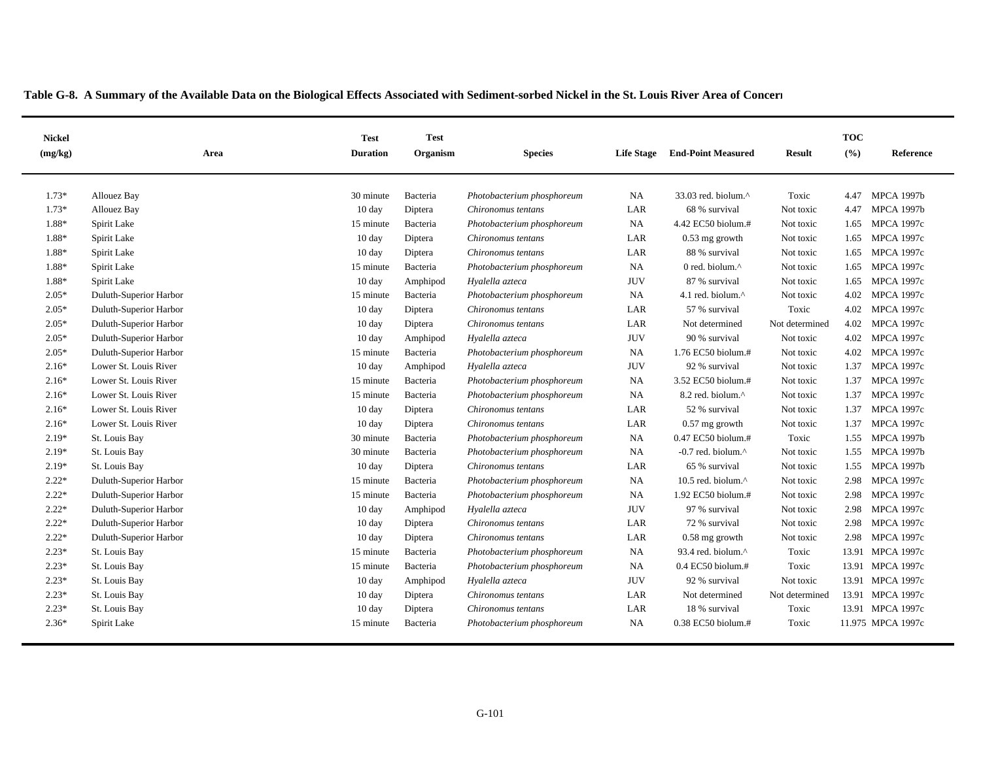|  |  | Table G-8. A Summary of the Available Data on the Biological Effects Associated with Sediment-sorbed Nickel in the St. Louis River Area of Concern |  |
|--|--|----------------------------------------------------------------------------------------------------------------------------------------------------|--|
|  |  |                                                                                                                                                    |  |

| <b>Nickel</b><br>(mg/kg) | Area                   | <b>Test</b><br><b>Duration</b> | <b>Test</b><br>Organism | <b>Species</b>             | <b>Life Stage</b> | <b>End-Point Measured</b>       | <b>Result</b>  | <b>TOC</b><br>(%) | <b>Reference</b>  |
|--------------------------|------------------------|--------------------------------|-------------------------|----------------------------|-------------------|---------------------------------|----------------|-------------------|-------------------|
| $1.73*$                  | <b>Allouez Bay</b>     | 30 minute                      | Bacteria                | Photobacterium phosphoreum | <b>NA</b>         | 33.03 red. biolum.^             | Toxic          | 4.47              | <b>MPCA 1997b</b> |
| $1.73*$                  | Allouez Bay            | $10 \text{ day}$               | Diptera                 | Chironomus tentans         | LAR               | 68 % survival                   | Not toxic      | 4.47              | <b>MPCA 1997b</b> |
| 1.88*                    | Spirit Lake            | 15 minute                      | Bacteria                | Photobacterium phosphoreum | <b>NA</b>         | 4.42 EC50 biolum.#              | Not toxic      | 1.65              | <b>MPCA 1997c</b> |
| 1.88*                    | Spirit Lake            | $10 \text{ day}$               | Diptera                 | Chironomus tentans         | LAR               | 0.53 mg growth                  | Not toxic      | 1.65              | <b>MPCA 1997c</b> |
| 1.88*                    | Spirit Lake            | $10 \text{ day}$               | Diptera                 | Chironomus tentans         | LAR               | 88 % survival                   | Not toxic      | 1.65              | <b>MPCA 1997c</b> |
| 1.88*                    | Spirit Lake            | 15 minute                      | Bacteria                | Photobacterium phosphoreum | <b>NA</b>         | 0 red. biolum.^                 | Not toxic      | 1.65              | <b>MPCA 1997c</b> |
| 1.88*                    | Spirit Lake            | $10 \text{ day}$               | Amphipod                | Hyalella azteca            | <b>JUV</b>        | 87 % survival                   | Not toxic      | 1.65              | <b>MPCA 1997c</b> |
| $2.05*$                  | Duluth-Superior Harbor | 15 minute                      | Bacteria                | Photobacterium phosphoreum | NA                | 4.1 red. biolum.^               | Not toxic      | 4.02              | <b>MPCA 1997c</b> |
| $2.05*$                  | Duluth-Superior Harbor | 10 day                         | Diptera                 | Chironomus tentans         | LAR               | 57 % survival                   | Toxic          | 4.02              | <b>MPCA 1997c</b> |
| $2.05*$                  | Duluth-Superior Harbor | 10 day                         | Diptera                 | Chironomus tentans         | LAR               | Not determined                  | Not determined | 4.02              | <b>MPCA 1997c</b> |
| $2.05*$                  | Duluth-Superior Harbor | 10 day                         | Amphipod                | Hyalella azteca            | <b>JUV</b>        | 90 % survival                   | Not toxic      | 4.02              | <b>MPCA 1997c</b> |
| $2.05*$                  | Duluth-Superior Harbor | 15 minute                      | Bacteria                | Photobacterium phosphoreum | <b>NA</b>         | 1.76 EC50 biolum.#              | Not toxic      | 4.02              | <b>MPCA 1997c</b> |
| $2.16*$                  | Lower St. Louis River  | $10 \text{ day}$               | Amphipod                | Hyalella azteca            | <b>JUV</b>        | 92 % survival                   | Not toxic      | 1.37              | <b>MPCA 1997c</b> |
| $2.16*$                  | Lower St. Louis River  | 15 minute                      | Bacteria                | Photobacterium phosphoreum | <b>NA</b>         | 3.52 EC50 biolum.#              | Not toxic      | 1.37              | <b>MPCA 1997c</b> |
| $2.16*$                  | Lower St. Louis River  | 15 minute                      | Bacteria                | Photobacterium phosphoreum | NA                | 8.2 red. biolum.^               | Not toxic      | 1.37              | <b>MPCA 1997c</b> |
| $2.16*$                  | Lower St. Louis River  | $10 \text{ day}$               | Diptera                 | Chironomus tentans         | LAR               | 52 % survival                   | Not toxic      | 1.37              | <b>MPCA 1997c</b> |
| $2.16*$                  | Lower St. Louis River  | $10 \text{ day}$               | Diptera                 | Chironomus tentans         | LAR               | $0.57$ mg growth                | Not toxic      | 1.37              | <b>MPCA 1997c</b> |
| $2.19*$                  | St. Louis Bay          | 30 minute                      | Bacteria                | Photobacterium phosphoreum | <b>NA</b>         | 0.47 EC50 biolum.#              | Toxic          | 1.55              | <b>MPCA 1997b</b> |
| $2.19*$                  | St. Louis Bay          | 30 minute                      | Bacteria                | Photobacterium phosphoreum | <b>NA</b>         | $-0.7$ red. biolum. $^{\wedge}$ | Not toxic      | 1.55              | <b>MPCA 1997b</b> |
| $2.19*$                  | St. Louis Bay          | $10 \text{ day}$               | Diptera                 | Chironomus tentans         | LAR               | 65 % survival                   | Not toxic      | 1.55              | <b>MPCA 1997b</b> |
| $2.22*$                  | Duluth-Superior Harbor | 15 minute                      | Bacteria                | Photobacterium phosphoreum | <b>NA</b>         | 10.5 red. biolum. $^{\wedge}$   | Not toxic      | 2.98              | <b>MPCA 1997c</b> |
| $2.22*$                  | Duluth-Superior Harbor | 15 minute                      | Bacteria                | Photobacterium phosphoreum | <b>NA</b>         | 1.92 EC50 biolum.#              | Not toxic      | 2.98              | <b>MPCA 1997c</b> |
| $2.22*$                  | Duluth-Superior Harbor | 10 day                         | Amphipod                | Hyalella azteca            | <b>JUV</b>        | 97 % survival                   | Not toxic      | 2.98              | <b>MPCA 1997c</b> |
| $2.22*$                  | Duluth-Superior Harbor | 10 day                         | Diptera                 | Chironomus tentans         | LAR               | 72 % survival                   | Not toxic      | 2.98              | <b>MPCA 1997c</b> |
| $2.22*$                  | Duluth-Superior Harbor | $10 \text{ day}$               | Diptera                 | Chironomus tentans         | LAR               | $0.58$ mg growth                | Not toxic      | 2.98              | <b>MPCA 1997c</b> |
| $2.23*$                  | St. Louis Bay          | 15 minute                      | Bacteria                | Photobacterium phosphoreum | NA                | 93.4 red. biolum.^              | Toxic          |                   | 13.91 MPCA 1997c  |
| $2.23*$                  | St. Louis Bay          | 15 minute                      | Bacteria                | Photobacterium phosphoreum | <b>NA</b>         | $0.4$ EC50 biolum.#             | Toxic          | 13.91             | <b>MPCA 1997c</b> |
| $2.23*$                  | St. Louis Bay          | $10 \text{ day}$               | Amphipod                | Hyalella azteca            | <b>JUV</b>        | 92 % survival                   | Not toxic      |                   | 13.91 MPCA 1997c  |
| $2.23*$                  | St. Louis Bay          | $10 \text{ day}$               | Diptera                 | Chironomus tentans         | LAR               | Not determined                  | Not determined |                   | 13.91 MPCA 1997c  |
| $2.23*$                  | St. Louis Bay          | 10 day                         | Diptera                 | Chironomus tentans         | LAR               | 18 % survival                   | Toxic          |                   | 13.91 MPCA 1997c  |
| $2.36*$                  | Spirit Lake            | 15 minute                      | Bacteria                | Photobacterium phosphoreum | NA                | 0.38 EC50 biolum.#              | Toxic          |                   | 11.975 MPCA 1997c |
|                          |                        |                                |                         |                            |                   |                                 |                |                   |                   |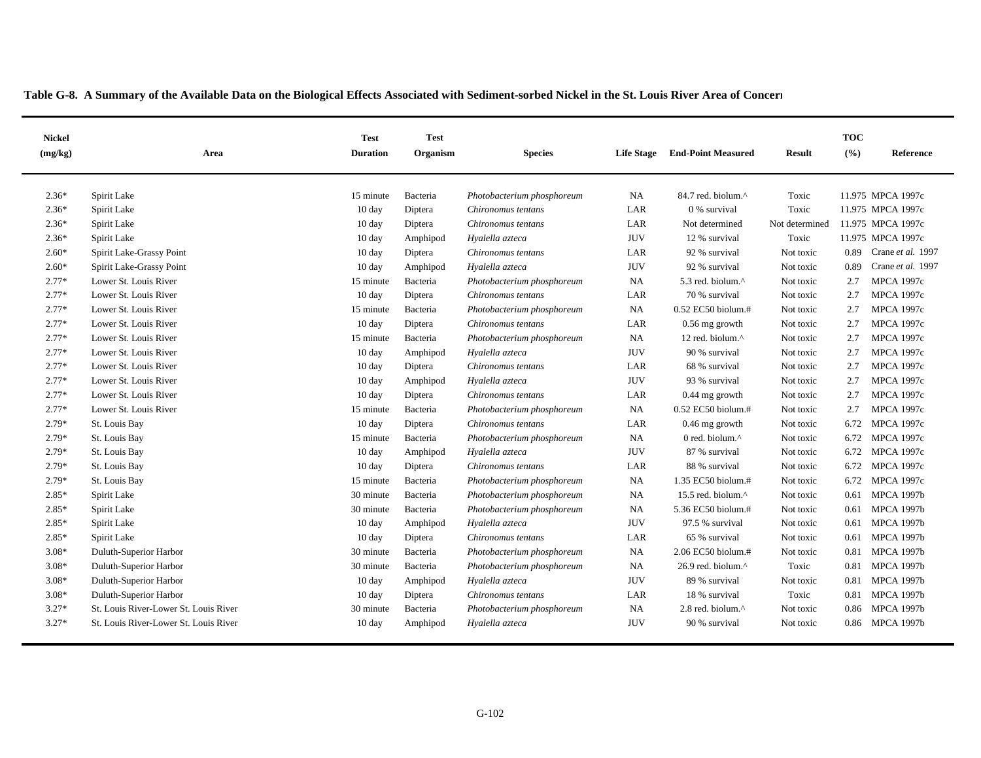| <b>Nickel</b><br>(mg/kg) | Area                                  | <b>Test</b><br><b>Duration</b> | <b>Test</b><br>Organism | <b>Species</b>             | <b>Life Stage</b> | <b>End-Point Measured</b>       | <b>Result</b>  | <b>TOC</b><br>(%) | Reference         |
|--------------------------|---------------------------------------|--------------------------------|-------------------------|----------------------------|-------------------|---------------------------------|----------------|-------------------|-------------------|
| $2.36*$                  | Spirit Lake                           | 15 minute                      | Bacteria                | Photobacterium phosphoreum | <b>NA</b>         | $84.7$ red. biolum. $^{\wedge}$ | Toxic          |                   | 11.975 MPCA 1997c |
| $2.36*$                  | Spirit Lake                           | 10 day                         | Diptera                 | Chironomus tentans         | LAR               | 0 % survival                    | Toxic          |                   | 11.975 MPCA 1997c |
| $2.36*$                  | Spirit Lake                           | 10 day                         | Diptera                 | Chironomus tentans         | LAR               | Not determined                  | Not determined |                   | 11.975 MPCA 1997c |
| $2.36*$                  | Spirit Lake                           | 10 day                         | Amphipod                | Hyalella azteca            | <b>JUV</b>        | 12 % survival                   | Toxic          |                   | 11.975 MPCA 1997c |
| $2.60*$                  | Spirit Lake-Grassy Point              | 10 day                         | Diptera                 | Chironomus tentans         | LAR               | 92 % survival                   | Not toxic      | 0.89              | Crane et al. 1997 |
| $2.60*$                  | Spirit Lake-Grassy Point              | 10 day                         | Amphipod                | Hyalella azteca            | <b>JUV</b>        | 92 % survival                   | Not toxic      | 0.89              | Crane et al. 1997 |
| $2.77*$                  | Lower St. Louis River                 | 15 minute                      | Bacteria                | Photobacterium phosphoreum | NA                | 5.3 red. biolum.^               | Not toxic      | 2.7               | <b>MPCA 1997c</b> |
| $2.77*$                  | Lower St. Louis River                 | 10 day                         | Diptera                 | Chironomus tentans         | LAR               | 70 % survival                   | Not toxic      | 2.7               | <b>MPCA 1997c</b> |
| $2.77*$                  | Lower St. Louis River                 | 15 minute                      | Bacteria                | Photobacterium phosphoreum | <b>NA</b>         | $0.52$ EC50 biolum.#            | Not toxic      | 2.7               | <b>MPCA 1997c</b> |
| $2.77*$                  | Lower St. Louis River                 | 10 day                         | Diptera                 | Chironomus tentans         | LAR               | $0.56$ mg growth                | Not toxic      | 2.7               | <b>MPCA 1997c</b> |
| $2.77*$                  | Lower St. Louis River                 | 15 minute                      | Bacteria                | Photobacterium phosphoreum | NA                | 12 red. biolum.^                | Not toxic      | 2.7               | <b>MPCA 1997c</b> |
| $2.77*$                  | Lower St. Louis River                 | $10 \text{ day}$               | Amphipod                | Hyalella azteca            | <b>JUV</b>        | 90 % survival                   | Not toxic      | 2.7               | <b>MPCA 1997c</b> |
| $2.77*$                  | Lower St. Louis River                 | 10 day                         | Diptera                 | Chironomus tentans         | LAR               | 68 % survival                   | Not toxic      | 2.7               | <b>MPCA 1997c</b> |
| $2.77*$                  | Lower St. Louis River                 | 10 day                         | Amphipod                | Hyalella azteca            | <b>JUV</b>        | 93 % survival                   | Not toxic      | 2.7               | <b>MPCA 1997c</b> |
| $2.77*$                  | Lower St. Louis River                 | 10 day                         | Diptera                 | Chironomus tentans         | LAR               | $0.44$ mg growth                | Not toxic      | 2.7               | <b>MPCA 1997c</b> |
| $2.77*$                  | Lower St. Louis River                 | 15 minute                      | Bacteria                | Photobacterium phosphoreum | NA                | 0.52 EC50 biolum.#              | Not toxic      | 2.7               | <b>MPCA 1997c</b> |
| 2.79*                    | St. Louis Bay                         | 10 day                         | Diptera                 | Chironomus tentans         | LAR               | $0.46$ mg growth                | Not toxic      | 6.72              | <b>MPCA 1997c</b> |
| 2.79*                    | St. Louis Bay                         | 15 minute                      | Bacteria                | Photobacterium phosphoreum | <b>NA</b>         | 0 red. biolum.^                 | Not toxic      | 6.72              | <b>MPCA 1997c</b> |
| $2.79*$                  | St. Louis Bay                         | 10 day                         | Amphipod                | Hyalella azteca            | <b>JUV</b>        | 87 % survival                   | Not toxic      | 6.72              | <b>MPCA 1997c</b> |
| $2.79*$                  | St. Louis Bay                         | 10 day                         | Diptera                 | Chironomus tentans         | LAR               | 88 % survival                   | Not toxic      | 6.72              | <b>MPCA 1997c</b> |
| $2.79*$                  | St. Louis Bay                         | 15 minute                      | Bacteria                | Photobacterium phosphoreum | NA                | 1.35 EC50 biolum.#              | Not toxic      | 6.72              | <b>MPCA 1997c</b> |
| $2.85*$                  | Spirit Lake                           | 30 minute                      | Bacteria                | Photobacterium phosphoreum | NA                | 15.5 red. biolum. $^{\wedge}$   | Not toxic      | 0.61              | <b>MPCA 1997b</b> |
| 2.85*                    | Spirit Lake                           | 30 minute                      | Bacteria                | Photobacterium phosphoreum | NA                | 5.36 EC50 biolum.#              | Not toxic      | 0.61              | <b>MPCA 1997b</b> |
| $2.85*$                  | Spirit Lake                           | 10 day                         | Amphipod                | Hyalella azteca            | <b>JUV</b>        | 97.5 % survival                 | Not toxic      | 0.61              | <b>MPCA 1997b</b> |
| $2.85*$                  | Spirit Lake                           | 10 day                         | Diptera                 | Chironomus tentans         | LAR               | 65 % survival                   | Not toxic      | 0.61              | <b>MPCA 1997b</b> |
| $3.08*$                  | Duluth-Superior Harbor                | 30 minute                      | Bacteria                | Photobacterium phosphoreum | NA                | 2.06 EC50 biolum.#              | Not toxic      | 0.81              | <b>MPCA 1997b</b> |
| $3.08*$                  | Duluth-Superior Harbor                | 30 minute                      | Bacteria                | Photobacterium phosphoreum | NA                | 26.9 red. biolum. $^{\wedge}$   | Toxic          | 0.81              | <b>MPCA 1997b</b> |
| $3.08*$                  | Duluth-Superior Harbor                | 10 day                         | Amphipod                | Hyalella azteca            | <b>JUV</b>        | 89 % survival                   | Not toxic      | 0.81              | <b>MPCA 1997b</b> |
| $3.08*$                  | Duluth-Superior Harbor                | $10 \text{ day}$               | Diptera                 | Chironomus tentans         | LAR               | 18 % survival                   | Toxic          | 0.81              | <b>MPCA 1997b</b> |
| $3.27*$                  | St. Louis River-Lower St. Louis River | 30 minute                      | Bacteria                | Photobacterium phosphoreum | NA                | 2.8 red. biolum.^               | Not toxic      | 0.86              | <b>MPCA 1997b</b> |
| $3.27*$                  | St. Louis River-Lower St. Louis River | $10 \text{ day}$               | Amphipod                | Hyalella azteca            | <b>JUV</b>        | 90 % survival                   | Not toxic      |                   | 0.86 MPCA 1997b   |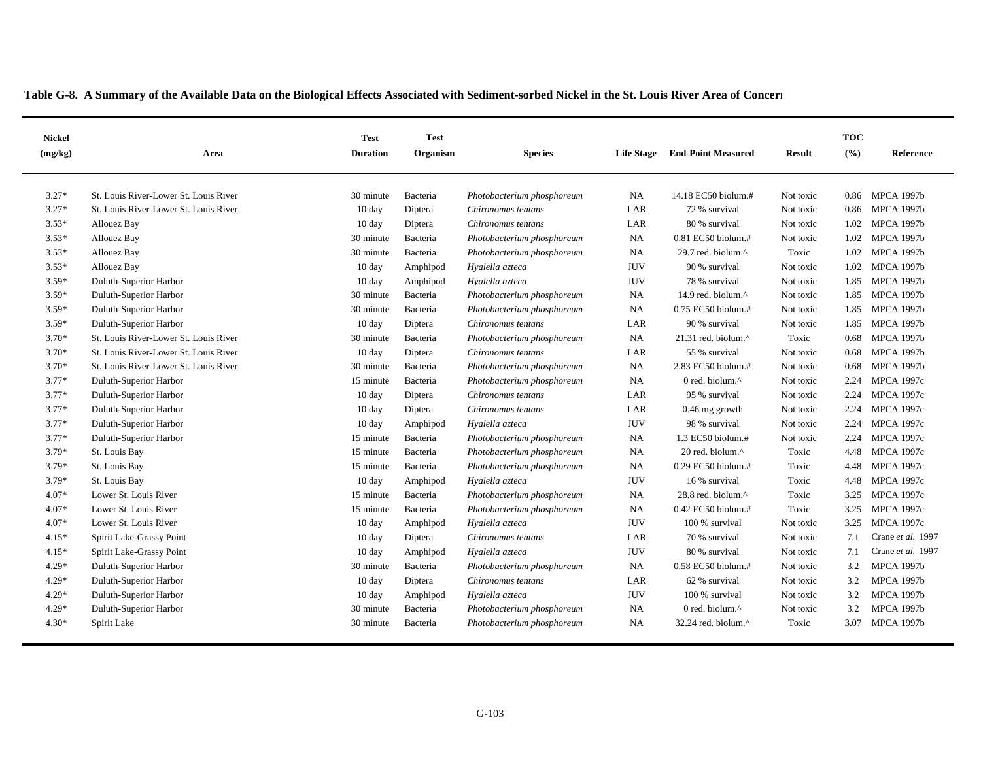| <b>Nickel</b><br>(mg/kg) | Area                                  | <b>Test</b><br><b>Duration</b> | <b>Test</b><br>Organism | <b>Species</b>             | <b>Life Stage</b> | <b>End-Point Measured</b>        | <b>Result</b> | <b>TOC</b><br>(%) | <b>Reference</b>  |
|--------------------------|---------------------------------------|--------------------------------|-------------------------|----------------------------|-------------------|----------------------------------|---------------|-------------------|-------------------|
| $3.27*$                  |                                       |                                |                         |                            |                   |                                  |               |                   |                   |
|                          | St. Louis River-Lower St. Louis River | 30 minute                      | Bacteria                | Photobacterium phosphoreum | <b>NA</b>         | 14.18 EC50 biolum.#              | Not toxic     | 0.86              | <b>MPCA 1997b</b> |
| $3.27*$                  | St. Louis River-Lower St. Louis River | $10 \text{ day}$               | Diptera                 | Chironomus tentans         | LAR               | 72 % survival                    | Not toxic     | 0.86              | <b>MPCA 1997b</b> |
| $3.53*$                  | Allouez Bay                           | 10 day                         | Diptera                 | Chironomus tentans         | LAR               | 80 % survival                    | Not toxic     | 1.02              | <b>MPCA 1997b</b> |
| $3.53*$                  | Allouez Bay                           | 30 minute                      | Bacteria                | Photobacterium phosphoreum | <b>NA</b>         | 0.81 EC50 biolum.#               | Not toxic     | 1.02              | <b>MPCA 1997b</b> |
| $3.53*$                  | Allouez Bay                           | 30 minute                      | Bacteria                | Photobacterium phosphoreum | <b>NA</b>         | 29.7 red. biolum.^               | Toxic         |                   | 1.02 MPCA 1997b   |
| $3.53*$                  | Allouez Bay                           | $10 \text{ day}$               | Amphipod                | Hyalella azteca            | <b>JUV</b>        | 90 % survival                    | Not toxic     |                   | 1.02 MPCA 1997b   |
| $3.59*$                  | Duluth-Superior Harbor                | $10 \text{ day}$               | Amphipod                | Hyalella azteca            | <b>JUV</b>        | 78 % survival                    | Not toxic     | 1.85              | <b>MPCA 1997b</b> |
| $3.59*$                  | Duluth-Superior Harbor                | 30 minute                      | Bacteria                | Photobacterium phosphoreum | <b>NA</b>         | 14.9 red. biolum.^               | Not toxic     | 1.85              | <b>MPCA 1997b</b> |
| $3.59*$                  | Duluth-Superior Harbor                | 30 minute                      | Bacteria                | Photobacterium phosphoreum | <b>NA</b>         | 0.75 EC50 biolum.#               | Not toxic     |                   | 1.85 MPCA 1997b   |
| $3.59*$                  | Duluth-Superior Harbor                | 10 day                         | Diptera                 | Chironomus tentans         | LAR               | 90 % survival                    | Not toxic     | 1.85              | <b>MPCA 1997b</b> |
| $3.70*$                  | St. Louis River-Lower St. Louis River | 30 minute                      | Bacteria                | Photobacterium phosphoreum | NA                | 21.31 red. biolum. $^{\wedge}$   | Toxic         | 0.68              | <b>MPCA 1997b</b> |
| $3.70*$                  | St. Louis River-Lower St. Louis River | 10 day                         | Diptera                 | Chironomus tentans         | LAR               | 55 % survival                    | Not toxic     | 0.68              | <b>MPCA 1997b</b> |
| $3.70*$                  | St. Louis River-Lower St. Louis River | 30 minute                      | Bacteria                | Photobacterium phosphoreum | <b>NA</b>         | 2.83 EC50 biolum.#               | Not toxic     | 0.68              | <b>MPCA 1997b</b> |
| $3.77*$                  | Duluth-Superior Harbor                | 15 minute                      | Bacteria                | Photobacterium phosphoreum | <b>NA</b>         | 0 red. biolum.^                  | Not toxic     | 2.24              | <b>MPCA 1997c</b> |
| $3.77*$                  | Duluth-Superior Harbor                | 10 day                         | Diptera                 | Chironomus tentans         | LAR               | 95 % survival                    | Not toxic     | 2.24              | <b>MPCA 1997c</b> |
| $3.77*$                  | Duluth-Superior Harbor                | 10 day                         | Diptera                 | Chironomus tentans         | LAR               | $0.46$ mg growth                 | Not toxic     | 2.24              | <b>MPCA 1997c</b> |
| $3.77*$                  | Duluth-Superior Harbor                | $10 \text{ day}$               | Amphipod                | Hyalella azteca            | <b>JUV</b>        | 98 % survival                    | Not toxic     | 2.24              | <b>MPCA 1997c</b> |
| $3.77*$                  | Duluth-Superior Harbor                | 15 minute                      | Bacteria                | Photobacterium phosphoreum | <b>NA</b>         | 1.3 EC50 biolum.#                | Not toxic     | 2.24              | <b>MPCA 1997c</b> |
| $3.79*$                  | St. Louis Bay                         | 15 minute                      | Bacteria                | Photobacterium phosphoreum | <b>NA</b>         | 20 red. biolum.^                 | Toxic         | 4.48              | <b>MPCA 1997c</b> |
| $3.79*$                  | St. Louis Bay                         | 15 minute                      | Bacteria                | Photobacterium phosphoreum | <b>NA</b>         | 0.29 EC50 biolum.#               | Toxic         | 4.48              | <b>MPCA 1997c</b> |
| $3.79*$                  | St. Louis Bay                         | $10 \text{ day}$               | Amphipod                | Hyalella azteca            | <b>JUV</b>        | 16 % survival                    | Toxic         | 4.48              | <b>MPCA 1997c</b> |
| $4.07*$                  | Lower St. Louis River                 | 15 minute                      | Bacteria                | Photobacterium phosphoreum | <b>NA</b>         | 28.8 red. biolum.^               | Toxic         | 3.25              | <b>MPCA 1997c</b> |
| $4.07*$                  | Lower St. Louis River                 | 15 minute                      | Bacteria                | Photobacterium phosphoreum | NA                | $0.42$ EC50 biolum.#             | Toxic         | 3.25              | <b>MPCA 1997c</b> |
| $4.07*$                  | Lower St. Louis River                 | 10 day                         | Amphipod                | Hyalella azteca            | <b>JUV</b>        | 100 % survival                   | Not toxic     | 3.25              | <b>MPCA 1997c</b> |
| $4.15*$                  | Spirit Lake-Grassy Point              | 10 day                         | Diptera                 | Chironomus tentans         | LAR               | 70 % survival                    | Not toxic     | 7.1               | Crane et al. 1997 |
| $4.15*$                  | Spirit Lake-Grassy Point              | $10 \text{ day}$               | Amphipod                | Hyalella azteca            | <b>JUV</b>        | 80 % survival                    | Not toxic     | 7.1               | Crane et al. 1997 |
| $4.29*$                  | Duluth-Superior Harbor                | 30 minute                      | Bacteria                | Photobacterium phosphoreum | <b>NA</b>         | $0.58$ EC50 biolum.#             | Not toxic     | 3.2               | <b>MPCA 1997b</b> |
| $4.29*$                  | Duluth-Superior Harbor                | 10 day                         | Diptera                 | Chironomus tentans         | LAR               | 62 % survival                    | Not toxic     | 3.2               | <b>MPCA 1997b</b> |
| $4.29*$                  | Duluth-Superior Harbor                | 10 day                         | Amphipod                | Hyalella azteca            | <b>JUV</b>        | 100 % survival                   | Not toxic     | 3.2               | <b>MPCA 1997b</b> |
| $4.29*$                  | Duluth-Superior Harbor                | 30 minute                      | Bacteria                | Photobacterium phosphoreum | <b>NA</b>         | 0 red. biolum.^                  | Not toxic     | 3.2               | <b>MPCA 1997b</b> |
| $4.30*$                  | Spirit Lake                           | 30 minute                      | Bacteria                | Photobacterium phosphoreum | <b>NA</b>         | $32.24$ red. biolum. $^{\wedge}$ | Toxic         | 3.07              | <b>MPCA 1997b</b> |
|                          |                                       |                                |                         |                            |                   |                                  |               |                   |                   |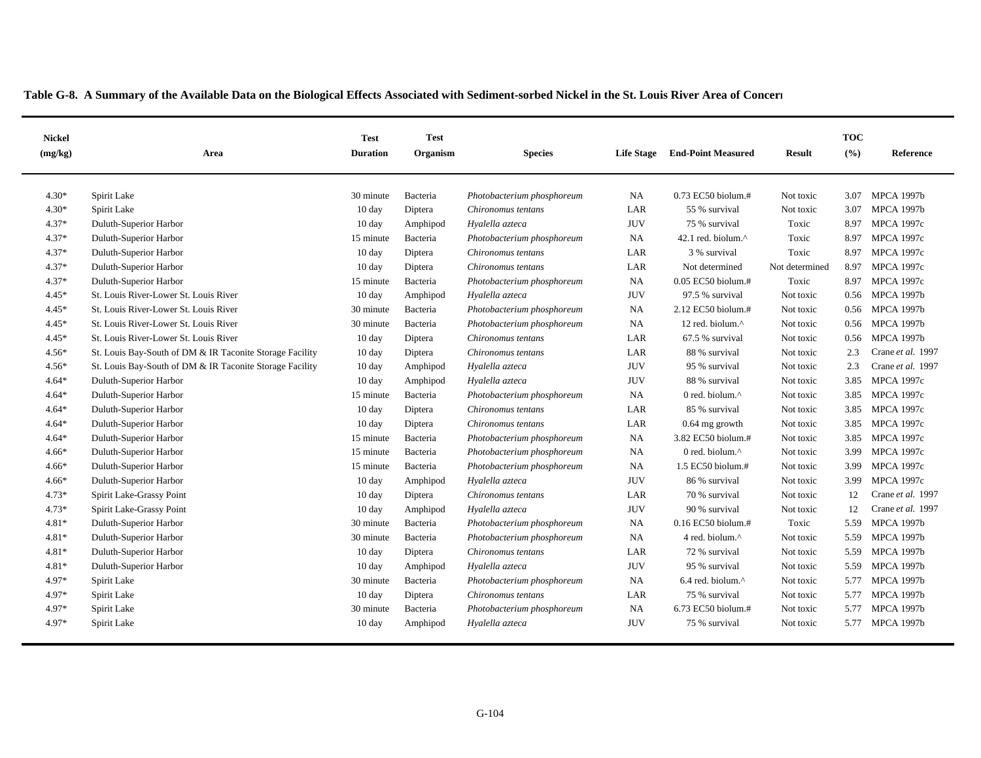| <b>Nickel</b><br>(mg/kg) | Area                                                     | <b>Test</b><br><b>Duration</b> | <b>Test</b><br>Organism | <b>Species</b>             | <b>Life Stage</b> | <b>End-Point Measured</b>     | <b>Result</b>  | <b>TOC</b><br>(%) | Reference         |
|--------------------------|----------------------------------------------------------|--------------------------------|-------------------------|----------------------------|-------------------|-------------------------------|----------------|-------------------|-------------------|
|                          |                                                          |                                |                         |                            |                   |                               |                |                   |                   |
| $4.30*$                  | Spirit Lake                                              | 30 minute                      | Bacteria                | Photobacterium phosphoreum | <b>NA</b>         | $0.73$ EC50 biolum.#          | Not toxic      | 3.07              | <b>MPCA 1997b</b> |
| $4.30*$                  | Spirit Lake                                              | 10 day                         | Diptera                 | Chironomus tentans         | LAR               | 55 % survival                 | Not toxic      | 3.07              | <b>MPCA 1997b</b> |
| $4.37*$                  | Duluth-Superior Harbor                                   | $10 \text{ day}$               | Amphipod                | Hyalella azteca            | <b>JUV</b>        | 75 % survival                 | Toxic          | 8.97              | MPCA 1997c        |
| $4.37*$                  | Duluth-Superior Harbor                                   | 15 minute                      | Bacteria                | Photobacterium phosphoreum | <b>NA</b>         | 42.1 red. biolum. $^{\wedge}$ | Toxic          | 8.97              | <b>MPCA 1997c</b> |
| $4.37*$                  | Duluth-Superior Harbor                                   | $10 \text{ day}$               | Diptera                 | Chironomus tentans         | LAR               | 3 % survival                  | Toxic          | 8.97              | MPCA 1997c        |
| $4.37*$                  | Duluth-Superior Harbor                                   | $10 \text{ day}$               | Diptera                 | Chironomus tentans         | LAR               | Not determined                | Not determined | 8.97              | <b>MPCA 1997c</b> |
| $4.37*$                  | Duluth-Superior Harbor                                   | 15 minute                      | Bacteria                | Photobacterium phosphoreum | <b>NA</b>         | $0.05$ EC50 biolum.#          | Toxic          |                   | 8.97 MPCA 1997c   |
| $4.45*$                  | St. Louis River-Lower St. Louis River                    | $10 \text{ day}$               | Amphipod                | Hyalella azteca            | <b>JUV</b>        | 97.5 % survival               | Not toxic      |                   | 0.56 MPCA 1997b   |
| $4.45*$                  | St. Louis River-Lower St. Louis River                    | 30 minute                      | Bacteria                | Photobacterium phosphoreum | <b>NA</b>         | 2.12 EC50 biolum.#            | Not toxic      |                   | 0.56 MPCA 1997b   |
| $4.45*$                  | St. Louis River-Lower St. Louis River                    | 30 minute                      | Bacteria                | Photobacterium phosphoreum | <b>NA</b>         | 12 red. biolum.^              | Not toxic      |                   | 0.56 MPCA 1997b   |
| $4.45*$                  | St. Louis River-Lower St. Louis River                    | 10 day                         | Diptera                 | Chironomus tentans         | LAR               | 67.5 % survival               | Not toxic      | 0.56              | <b>MPCA 1997b</b> |
| $4.56*$                  | St. Louis Bay-South of DM & IR Taconite Storage Facility | $10 \text{ day}$               | Diptera                 | Chironomus tentans         | LAR               | 88 % survival                 | Not toxic      | 2.3               | Crane et al. 1997 |
| $4.56*$                  | St. Louis Bay-South of DM & IR Taconite Storage Facility | $10 \text{ day}$               | Amphipod                | Hyalella azteca            | <b>JUV</b>        | 95 % survival                 | Not toxic      | 2.3               | Crane et al. 1997 |
| $4.64*$                  | Duluth-Superior Harbor                                   | 10 day                         | Amphipod                | Hyalella azteca            | <b>JUV</b>        | 88 % survival                 | Not toxic      | 3.85              | <b>MPCA 1997c</b> |
| $4.64*$                  | Duluth-Superior Harbor                                   | 15 minute                      | Bacteria                | Photobacterium phosphoreum | NA                | 0 red. biolum.^               | Not toxic      | 3.85              | <b>MPCA 1997c</b> |
| $4.64*$                  | Duluth-Superior Harbor                                   | $10 \text{ day}$               | Diptera                 | Chironomus tentans         | LAR               | 85 % survival                 | Not toxic      | 3.85              | <b>MPCA 1997c</b> |
| $4.64*$                  | Duluth-Superior Harbor                                   | $10 \text{ day}$               | Diptera                 | Chironomus tentans         | LAR               | $0.64$ mg growth              | Not toxic      | 3.85              | <b>MPCA 1997c</b> |
| $4.64*$                  | Duluth-Superior Harbor                                   | 15 minute                      | Bacteria                | Photobacterium phosphoreum | <b>NA</b>         | 3.82 EC50 biolum.#            | Not toxic      | 3.85              | <b>MPCA 1997c</b> |
| $4.66*$                  | Duluth-Superior Harbor                                   | 15 minute                      | Bacteria                | Photobacterium phosphoreum | <b>NA</b>         | 0 red. biolum.^               | Not toxic      | 3.99              | <b>MPCA 1997c</b> |
| $4.66*$                  | Duluth-Superior Harbor                                   | 15 minute                      | Bacteria                | Photobacterium phosphoreum | <b>NA</b>         | 1.5 EC50 biolum.#             | Not toxic      | 3.99              | <b>MPCA 1997c</b> |
| $4.66*$                  | Duluth-Superior Harbor                                   | $10 \text{ day}$               | Amphipod                | Hyalella azteca            | <b>JUV</b>        | 86 % survival                 | Not toxic      | 3.99              | <b>MPCA 1997c</b> |
| $4.73*$                  | Spirit Lake-Grassy Point                                 | 10 day                         | Diptera                 | Chironomus tentans         | LAR               | 70 % survival                 | Not toxic      | 12                | Crane et al. 1997 |
| $4.73*$                  | Spirit Lake-Grassy Point                                 | $10 \text{ day}$               | Amphipod                | Hyalella azteca            | <b>JUV</b>        | 90 % survival                 | Not toxic      | 12                | Crane et al. 1997 |
| 4.81*                    | Duluth-Superior Harbor                                   | 30 minute                      | Bacteria                | Photobacterium phosphoreum | <b>NA</b>         | 0.16 EC50 biolum.#            | Toxic          | 5.59              | <b>MPCA 1997b</b> |
| 4.81*                    | Duluth-Superior Harbor                                   | 30 minute                      | Bacteria                | Photobacterium phosphoreum | <b>NA</b>         | 4 red. biolum.^               | Not toxic      | 5.59              | <b>MPCA 1997b</b> |
| 4.81*                    | Duluth-Superior Harbor                                   | 10 day                         | Diptera                 | Chironomus tentans         | LAR               | 72 % survival                 | Not toxic      | 5.59              | <b>MPCA 1997b</b> |
| 4.81*                    | Duluth-Superior Harbor                                   | 10 day                         | Amphipod                | Hyalella azteca            | <b>JUV</b>        | 95 % survival                 | Not toxic      | 5.59              | <b>MPCA 1997b</b> |
| 4.97*                    | Spirit Lake                                              | 30 minute                      | Bacteria                | Photobacterium phosphoreum | <b>NA</b>         | 6.4 red. biolum.^             | Not toxic      | 5.77              | <b>MPCA 1997b</b> |
| 4.97*                    | Spirit Lake                                              | 10 day                         | Diptera                 | Chironomus tentans         | LAR               | 75 % survival                 | Not toxic      | 5.77              | <b>MPCA 1997b</b> |
| 4.97*                    | Spirit Lake                                              | 30 minute                      | Bacteria                | Photobacterium phosphoreum | <b>NA</b>         | $6.73$ EC50 biolum.#          | Not toxic      | 5.77              | <b>MPCA 1997b</b> |
| 4.97*                    | Spirit Lake                                              | $10 \text{ day}$               | Amphipod                | Hyalella azteca            | <b>JUV</b>        | 75 % survival                 | Not toxic      |                   | 5.77 MPCA 1997b   |
|                          |                                                          |                                |                         |                            |                   |                               |                |                   |                   |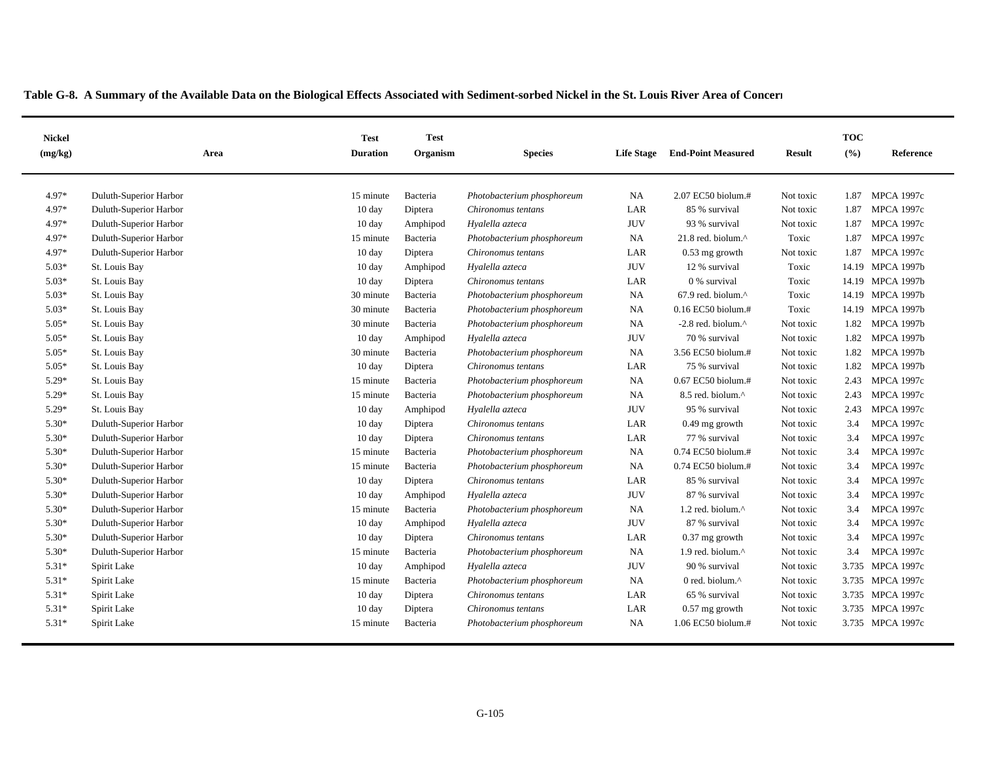| <b>Nickel</b><br>(mg/kg) | Area                   | <b>Test</b><br><b>Duration</b> | <b>Test</b><br>Organism | <b>Species</b>             | <b>Life Stage</b> | <b>End-Point Measured</b>                          | Result    | <b>TOC</b><br>(%) | Reference         |
|--------------------------|------------------------|--------------------------------|-------------------------|----------------------------|-------------------|----------------------------------------------------|-----------|-------------------|-------------------|
|                          |                        |                                |                         |                            |                   |                                                    |           |                   |                   |
| 4.97*                    | Duluth-Superior Harbor | 15 minute                      | Bacteria                | Photobacterium phosphoreum | <b>NA</b>         | 2.07 EC50 biolum.#                                 | Not toxic | 1.87              | <b>MPCA 1997c</b> |
| 4.97*                    | Duluth-Superior Harbor | 10 day                         | Diptera                 | Chironomus tentans         | LAR               | 85 % survival                                      | Not toxic | 1.87              | <b>MPCA 1997c</b> |
| 4.97*                    | Duluth-Superior Harbor | $10 \text{ day}$               | Amphipod                | Hyalella azteca            | <b>JUV</b>        | 93 % survival                                      | Not toxic | 1.87              | <b>MPCA 1997c</b> |
| 4.97*                    | Duluth-Superior Harbor | 15 minute                      | Bacteria                | Photobacterium phosphoreum | <b>NA</b>         | 21.8 red. biolum.^                                 | Toxic     | 1.87              | <b>MPCA 1997c</b> |
| 4.97*                    | Duluth-Superior Harbor | $10 \text{ day}$               | Diptera                 | Chironomus tentans         | LAR               | 0.53 mg growth                                     | Not toxic | 1.87              | <b>MPCA 1997c</b> |
| $5.03*$                  | St. Louis Bay          | 10 day                         | Amphipod                | Hyalella azteca            | <b>JUV</b>        | 12 % survival                                      | Toxic     |                   | 14.19 MPCA 1997b  |
| $5.03*$                  | St. Louis Bay          | 10 day                         | Diptera                 | Chironomus tentans         | LAR               | 0 % survival                                       | Toxic     |                   | 14.19 MPCA 1997b  |
| $5.03*$                  | St. Louis Bay          | 30 minute                      | Bacteria                | Photobacterium phosphoreum | NA                | $67.9$ red. biolum. <sup><math>\wedge</math></sup> | Toxic     |                   | 14.19 MPCA 1997b  |
| $5.03*$                  | St. Louis Bay          | 30 minute                      | Bacteria                | Photobacterium phosphoreum | NA                | 0.16 EC50 biolum.#                                 | Toxic     |                   | 14.19 MPCA 1997b  |
| $5.05*$                  | St. Louis Bay          | 30 minute                      | Bacteria                | Photobacterium phosphoreum | <b>NA</b>         | $-2.8$ red. biolum. $^{\wedge}$                    | Not toxic | 1.82              | <b>MPCA 1997b</b> |
| $5.05*$                  | St. Louis Bay          | $10 \text{ day}$               | Amphipod                | Hyalella azteca            | <b>JUV</b>        | 70 % survival                                      | Not toxic | 1.82              | <b>MPCA 1997b</b> |
| $5.05*$                  | St. Louis Bay          | 30 minute                      | Bacteria                | Photobacterium phosphoreum | <b>NA</b>         | 3.56 EC50 biolum.#                                 | Not toxic | 1.82              | <b>MPCA 1997b</b> |
| $5.05*$                  | St. Louis Bay          | 10 day                         | Diptera                 | Chironomus tentans         | LAR               | 75 % survival                                      | Not toxic | 1.82              | <b>MPCA 1997b</b> |
| $5.29*$                  | St. Louis Bay          | 15 minute                      | Bacteria                | Photobacterium phosphoreum | NA                | 0.67 EC50 biolum.#                                 | Not toxic | 2.43              | <b>MPCA 1997c</b> |
| $5.29*$                  | St. Louis Bay          | 15 minute                      | Bacteria                | Photobacterium phosphoreum | NA                | 8.5 red. biolum. <sup>^</sup>                      | Not toxic | 2.43              | <b>MPCA 1997c</b> |
| 5.29*                    | St. Louis Bay          | $10 \text{ day}$               | Amphipod                | Hyalella azteca            | <b>JUV</b>        | 95 % survival                                      | Not toxic | 2.43              | <b>MPCA 1997c</b> |
| 5.30*                    | Duluth-Superior Harbor | $10 \text{ day}$               | Diptera                 | Chironomus tentans         | LAR               | $0.49$ mg growth                                   | Not toxic | 3.4               | <b>MPCA 1997c</b> |
| 5.30*                    | Duluth-Superior Harbor | $10 \text{ day}$               | Diptera                 | Chironomus tentans         | LAR               | 77 % survival                                      | Not toxic | 3.4               | <b>MPCA 1997c</b> |
| 5.30*                    | Duluth-Superior Harbor | 15 minute                      | Bacteria                | Photobacterium phosphoreum | NA                | 0.74 EC50 biolum.#                                 | Not toxic | 3.4               | <b>MPCA 1997c</b> |
| 5.30*                    | Duluth-Superior Harbor | 15 minute                      | Bacteria                | Photobacterium phosphoreum | NA                | 0.74 EC50 biolum.#                                 | Not toxic | 3.4               | <b>MPCA 1997c</b> |
| 5.30*                    | Duluth-Superior Harbor | $10 \text{ day}$               | Diptera                 | Chironomus tentans         | LAR               | 85 % survival                                      | Not toxic | 3.4               | <b>MPCA 1997c</b> |
| 5.30*                    | Duluth-Superior Harbor | $10 \text{ day}$               | Amphipod                | Hyalella azteca            | <b>JUV</b>        | 87 % survival                                      | Not toxic | 3.4               | <b>MPCA 1997c</b> |
| 5.30*                    | Duluth-Superior Harbor | 15 minute                      | Bacteria                | Photobacterium phosphoreum | <b>NA</b>         | 1.2 red. biolum. $^{\wedge}$                       | Not toxic | 3.4               | <b>MPCA 1997c</b> |
| 5.30*                    | Duluth-Superior Harbor | 10 day                         | Amphipod                | Hyalella azteca            | <b>JUV</b>        | 87 % survival                                      | Not toxic | 3.4               | <b>MPCA 1997c</b> |
| 5.30*                    | Duluth-Superior Harbor | $10 \text{ day}$               | Diptera                 | Chironomus tentans         | LAR               | $0.37$ mg growth                                   | Not toxic | 3.4               | <b>MPCA 1997c</b> |
| 5.30*                    | Duluth-Superior Harbor | 15 minute                      | Bacteria                | Photobacterium phosphoreum | NA                | 1.9 red. biolum.^                                  | Not toxic | 3.4               | <b>MPCA 1997c</b> |
| $5.31*$                  | Spirit Lake            | $10 \text{ day}$               | Amphipod                | Hyalella azteca            | <b>JUV</b>        | 90 % survival                                      | Not toxic | 3.735             | <b>MPCA 1997c</b> |
| $5.31*$                  | Spirit Lake            | 15 minute                      | Bacteria                | Photobacterium phosphoreum | <b>NA</b>         | 0 red. biolum.^                                    | Not toxic | 3.735             | <b>MPCA 1997c</b> |
| 5.31*                    | Spirit Lake            | 10 day                         | Diptera                 | Chironomus tentans         | LAR               | 65 % survival                                      | Not toxic | 3.735             | <b>MPCA 1997c</b> |
| $5.31*$                  | Spirit Lake            | $10 \text{ day}$               | Diptera                 | Chironomus tentans         | LAR               | 0.57 mg growth                                     | Not toxic | 3.735             | <b>MPCA 1997c</b> |
| $5.31*$                  | Spirit Lake            | 15 minute                      | Bacteria                | Photobacterium phosphoreum | NA                | 1.06 EC50 biolum.#                                 | Not toxic |                   | 3.735 MPCA 1997c  |
|                          |                        |                                |                         |                            |                   |                                                    |           |                   |                   |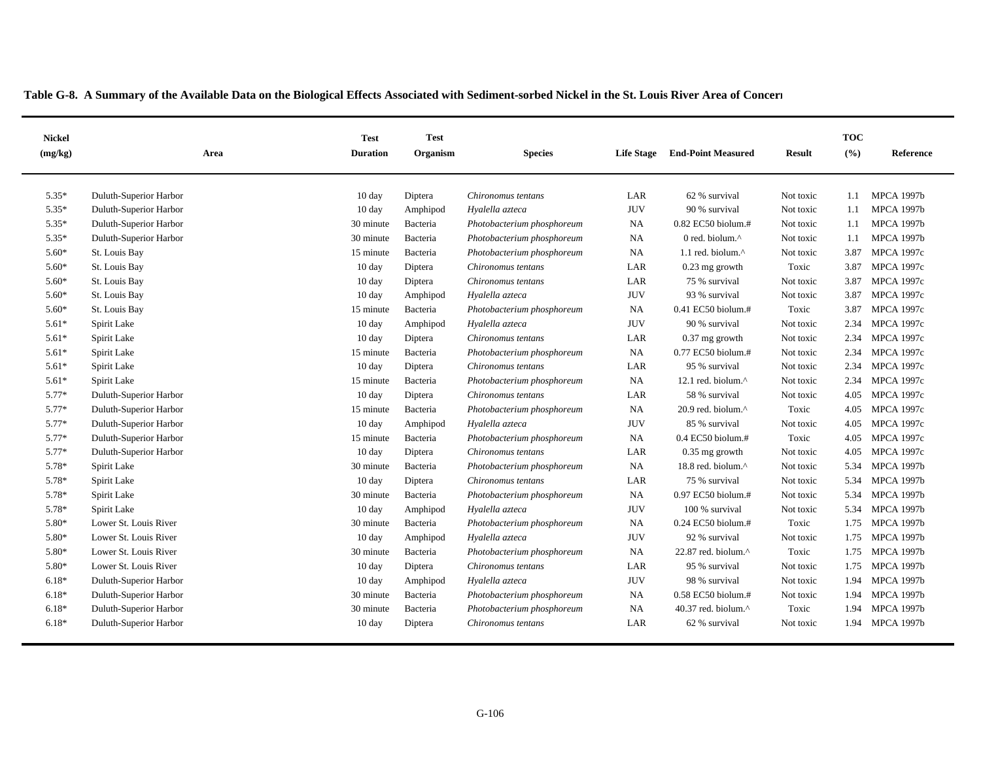| <b>Nickel</b><br>(mg/kg) | Area                   | <b>Test</b><br><b>Duration</b> | <b>Test</b><br>Organism | <b>Species</b>             | <b>Life Stage</b> | <b>End-Point Measured</b>      | Result    | <b>TOC</b><br>(%) | Reference         |
|--------------------------|------------------------|--------------------------------|-------------------------|----------------------------|-------------------|--------------------------------|-----------|-------------------|-------------------|
|                          |                        |                                |                         |                            |                   |                                |           |                   |                   |
| $5.35*$                  | Duluth-Superior Harbor | $10 \text{ day}$               | Diptera                 | Chironomus tentans         | LAR               | 62 % survival                  | Not toxic | 1.1               | <b>MPCA 1997b</b> |
| $5.35*$                  | Duluth-Superior Harbor | 10 day                         | Amphipod                | Hyalella azteca            | <b>JUV</b>        | 90 % survival                  | Not toxic | 1.1               | <b>MPCA 1997b</b> |
| 5.35*                    | Duluth-Superior Harbor | 30 minute                      | Bacteria                | Photobacterium phosphoreum | <b>NA</b>         | 0.82 EC50 biolum.#             | Not toxic | 1.1               | <b>MPCA 1997b</b> |
| 5.35*                    | Duluth-Superior Harbor | 30 minute                      | Bacteria                | Photobacterium phosphoreum | NA                | 0 red. biolum.^                | Not toxic | 1.1               | <b>MPCA 1997b</b> |
| 5.60*                    | St. Louis Bay          | 15 minute                      | Bacteria                | Photobacterium phosphoreum | NA                | 1.1 red. biolum. $\wedge$      | Not toxic | 3.87              | <b>MPCA 1997c</b> |
| $5.60*$                  | St. Louis Bay          | $10 \text{ day}$               | Diptera                 | Chironomus tentans         | LAR               | $0.23$ mg growth               | Toxic     | 3.87              | <b>MPCA 1997c</b> |
| $5.60*$                  | St. Louis Bay          | $10 \text{ day}$               | Diptera                 | Chironomus tentans         | LAR               | 75 % survival                  | Not toxic | 3.87              | <b>MPCA 1997c</b> |
| $5.60*$                  | St. Louis Bay          | $10 \text{ day}$               | Amphipod                | Hyalella azteca            | <b>JUV</b>        | 93 % survival                  | Not toxic | 3.87              | <b>MPCA 1997c</b> |
| $5.60*$                  | St. Louis Bay          | 15 minute                      | Bacteria                | Photobacterium phosphoreum | <b>NA</b>         | $0.41$ EC50 biolum.#           | Toxic     | 3.87              | <b>MPCA 1997c</b> |
| $5.61*$                  | Spirit Lake            | $10 \text{ day}$               | Amphipod                | Hyalella azteca            | <b>JUV</b>        | 90 % survival                  | Not toxic | 2.34              | <b>MPCA 1997c</b> |
| $5.61*$                  | Spirit Lake            | $10 \text{ day}$               | Diptera                 | Chironomus tentans         | LAR               | $0.37$ mg growth               | Not toxic | 2.34              | <b>MPCA 1997c</b> |
| $5.61*$                  | Spirit Lake            | 15 minute                      | Bacteria                | Photobacterium phosphoreum | NA                | $0.77$ EC50 biolum.#           | Not toxic | 2.34              | <b>MPCA 1997c</b> |
| $5.61*$                  | Spirit Lake            | $10 \text{ day}$               | Diptera                 | Chironomus tentans         | LAR               | 95 % survival                  | Not toxic | 2.34              | <b>MPCA 1997c</b> |
| $5.61*$                  | Spirit Lake            | 15 minute                      | Bacteria                | Photobacterium phosphoreum | NA                | 12.1 red. biolum. $^{\wedge}$  | Not toxic | 2.34              | <b>MPCA 1997c</b> |
| 5.77*                    | Duluth-Superior Harbor | $10 \text{ day}$               | Diptera                 | Chironomus tentans         | LAR               | 58 % survival                  | Not toxic | 4.05              | <b>MPCA 1997c</b> |
| 5.77*                    | Duluth-Superior Harbor | 15 minute                      | Bacteria                | Photobacterium phosphoreum | NA                | 20.9 red. biolum. $^{\wedge}$  | Toxic     | 4.05              | <b>MPCA 1997c</b> |
| 5.77*                    | Duluth-Superior Harbor | $10 \text{ day}$               | Amphipod                | Hyalella azteca            | <b>JUV</b>        | 85 % survival                  | Not toxic | 4.05              | <b>MPCA 1997c</b> |
| 5.77*                    | Duluth-Superior Harbor | 15 minute                      | Bacteria                | Photobacterium phosphoreum | <b>NA</b>         | $0.4$ EC50 biolum.#            | Toxic     | 4.05              | <b>MPCA 1997c</b> |
| 5.77*                    | Duluth-Superior Harbor | 10 day                         | Diptera                 | Chironomus tentans         | LAR               | $0.35$ mg growth               | Not toxic | 4.05              | <b>MPCA 1997c</b> |
| 5.78*                    | Spirit Lake            | 30 minute                      | Bacteria                | Photobacterium phosphoreum | <b>NA</b>         | 18.8 red. biolum.^             | Not toxic | 5.34              | <b>MPCA 1997b</b> |
| 5.78*                    | Spirit Lake            | $10 \text{ day}$               | Diptera                 | Chironomus tentans         | LAR               | 75 % survival                  | Not toxic | 5.34              | <b>MPCA 1997b</b> |
| 5.78*                    | Spirit Lake            | 30 minute                      | Bacteria                | Photobacterium phosphoreum | NA                | 0.97 EC50 biolum.#             | Not toxic | 5.34              | <b>MPCA 1997b</b> |
| 5.78*                    | Spirit Lake            | $10 \text{ day}$               | Amphipod                | Hyalella azteca            | <b>JUV</b>        | 100 % survival                 | Not toxic | 5.34              | <b>MPCA 1997b</b> |
| 5.80*                    | Lower St. Louis River  | 30 minute                      | Bacteria                | Photobacterium phosphoreum | NA                | 0.24 EC50 biolum.#             | Toxic     | 1.75              | <b>MPCA 1997b</b> |
| 5.80*                    | Lower St. Louis River  | $10 \text{ day}$               | Amphipod                | Hyalella azteca            | <b>JUV</b>        | 92 % survival                  | Not toxic | 1.75              | <b>MPCA 1997b</b> |
| 5.80*                    | Lower St. Louis River  | 30 minute                      | Bacteria                | Photobacterium phosphoreum | <b>NA</b>         | 22.87 red. biolum.^            | Toxic     | 1.75              | <b>MPCA 1997b</b> |
| 5.80*                    | Lower St. Louis River  | $10 \text{ day}$               | Diptera                 | Chironomus tentans         | LAR               | 95 % survival                  | Not toxic | 1.75              | <b>MPCA 1997b</b> |
| $6.18*$                  | Duluth-Superior Harbor | $10 \text{ day}$               | Amphipod                | Hyalella azteca            | <b>JUV</b>        | 98 % survival                  | Not toxic | 1.94              | <b>MPCA 1997b</b> |
| $6.18*$                  | Duluth-Superior Harbor | 30 minute                      | Bacteria                | Photobacterium phosphoreum | <b>NA</b>         | 0.58 EC50 biolum.#             | Not toxic | 1.94              | <b>MPCA 1997b</b> |
| $6.18*$                  | Duluth-Superior Harbor | 30 minute                      | Bacteria                | Photobacterium phosphoreum | <b>NA</b>         | 40.37 red. biolum. $^{\wedge}$ | Toxic     | 1.94              | <b>MPCA 1997b</b> |
| $6.18*$                  | Duluth-Superior Harbor | $10 \text{ day}$               | Diptera                 | Chironomus tentans         | LAR               | 62 % survival                  | Not toxic | 1.94              | <b>MPCA 1997b</b> |
|                          |                        |                                |                         |                            |                   |                                |           |                   |                   |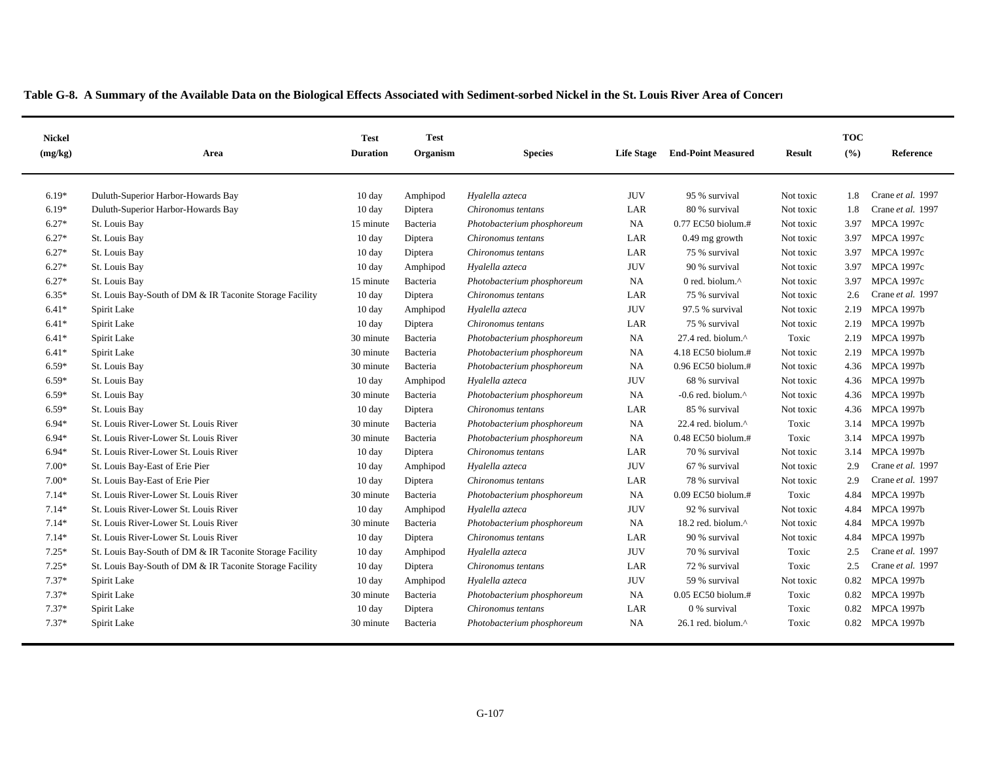| <b>Nickel</b><br>(mg/kg) | Area                                                     | <b>Test</b><br><b>Duration</b> | <b>Test</b><br>Organism | <b>Species</b>             | <b>Life Stage</b> | <b>End-Point Measured</b>       | Result    | <b>TOC</b><br>(%) | Reference         |
|--------------------------|----------------------------------------------------------|--------------------------------|-------------------------|----------------------------|-------------------|---------------------------------|-----------|-------------------|-------------------|
|                          |                                                          |                                |                         |                            |                   |                                 |           |                   |                   |
| $6.19*$                  | Duluth-Superior Harbor-Howards Bay                       | $10 \text{ day}$               | Amphipod                | Hyalella azteca            | <b>JUV</b>        | 95 % survival                   | Not toxic | 1.8               | Crane et al. 1997 |
| $6.19*$                  | Duluth-Superior Harbor-Howards Bay                       | $10 \text{ day}$               | Diptera                 | Chironomus tentans         | LAR               | 80 % survival                   | Not toxic | 1.8               | Crane et al. 1997 |
| $6.27*$                  | St. Louis Bay                                            | 15 minute                      | Bacteria                | Photobacterium phosphoreum | <b>NA</b>         | 0.77 EC50 biolum.#              | Not toxic | 3.97              | <b>MPCA 1997c</b> |
| $6.27*$                  | St. Louis Bay                                            | $10 \text{ day}$               | Diptera                 | Chironomus tentans         | LAR               | $0.49$ mg growth                | Not toxic | 3.97              | <b>MPCA 1997c</b> |
| $6.27*$                  | St. Louis Bay                                            | $10 \text{ day}$               | Diptera                 | Chironomus tentans         | LAR               | 75 % survival                   | Not toxic | 3.97              | <b>MPCA 1997c</b> |
| $6.27*$                  | St. Louis Bay                                            | $10 \text{ day}$               | Amphipod                | Hyalella azteca            | <b>JUV</b>        | 90 % survival                   | Not toxic | 3.97              | <b>MPCA 1997c</b> |
| $6.27*$                  | St. Louis Bay                                            | 15 minute                      | Bacteria                | Photobacterium phosphoreum | NA                | 0 red. biolum.^                 | Not toxic | 3.97              | <b>MPCA 1997c</b> |
| $6.35*$                  | St. Louis Bay-South of DM & IR Taconite Storage Facility | $10 \text{ day}$               | Diptera                 | Chironomus tentans         | LAR               | 75 % survival                   | Not toxic | 2.6               | Crane et al. 1997 |
| $6.41*$                  | Spirit Lake                                              | $10 \text{ day}$               | Amphipod                | Hyalella azteca            | <b>JUV</b>        | 97.5 % survival                 | Not toxic | 2.19              | <b>MPCA 1997b</b> |
| $6.41*$                  | Spirit Lake                                              | $10 \text{ day}$               | Diptera                 | Chironomus tentans         | LAR               | 75 % survival                   | Not toxic | 2.19              | <b>MPCA 1997b</b> |
| $6.41*$                  | Spirit Lake                                              | 30 minute                      | Bacteria                | Photobacterium phosphoreum | <b>NA</b>         | 27.4 red. biolum.^              | Toxic     | 2.19              | <b>MPCA 1997b</b> |
| $6.41*$                  | Spirit Lake                                              | 30 minute                      | Bacteria                | Photobacterium phosphoreum | <b>NA</b>         | 4.18 EC50 biolum.#              | Not toxic | 2.19              | <b>MPCA 1997b</b> |
| $6.59*$                  | St. Louis Bay                                            | 30 minute                      | Bacteria                | Photobacterium phosphoreum | <b>NA</b>         | 0.96 EC50 biolum.#              | Not toxic | 4.36              | <b>MPCA 1997b</b> |
| $6.59*$                  | St. Louis Bay                                            | 10 day                         | Amphipod                | Hyalella azteca            | <b>JUV</b>        | 68 % survival                   | Not toxic | 4.36              | <b>MPCA 1997b</b> |
| $6.59*$                  | St. Louis Bay                                            | 30 minute                      | Bacteria                | Photobacterium phosphoreum | NA                | -0.6 red. biolum. $^{\wedge}$   | Not toxic | 4.36              | <b>MPCA 1997b</b> |
| $6.59*$                  | St. Louis Bay                                            | $10 \text{ day}$               | Diptera                 | Chironomus tentans         | LAR               | 85 % survival                   | Not toxic | 4.36              | <b>MPCA 1997b</b> |
| $6.94*$                  | St. Louis River-Lower St. Louis River                    | 30 minute                      | Bacteria                | Photobacterium phosphoreum | <b>NA</b>         | 22.4 red. biolum.^              | Toxic     | 3.14              | <b>MPCA 1997b</b> |
| $6.94*$                  | St. Louis River-Lower St. Louis River                    | 30 minute                      | Bacteria                | Photobacterium phosphoreum | <b>NA</b>         | 0.48 EC50 biolum.#              | Toxic     | 3.14              | <b>MPCA 1997b</b> |
| $6.94*$                  | St. Louis River-Lower St. Louis River                    | $10 \text{ day}$               | Diptera                 | Chironomus tentans         | LAR               | 70 % survival                   | Not toxic | 3.14              | <b>MPCA 1997b</b> |
| $7.00*$                  | St. Louis Bay-East of Erie Pier                          | $10 \text{ day}$               | Amphipod                | Hyalella azteca            | <b>JUV</b>        | 67 % survival                   | Not toxic | 2.9               | Crane et al. 1997 |
| $7.00*$                  | St. Louis Bay-East of Erie Pier                          | $10 \text{ day}$               | Diptera                 | Chironomus tentans         | LAR               | 78 % survival                   | Not toxic | 2.9               | Crane et al. 1997 |
| $7.14*$                  | St. Louis River-Lower St. Louis River                    | 30 minute                      | Bacteria                | Photobacterium phosphoreum | NA                | 0.09 EC50 biolum.#              | Toxic     | 4.84              | <b>MPCA 1997b</b> |
| $7.14*$                  | St. Louis River-Lower St. Louis River                    | $10 \text{ day}$               | Amphipod                | Hyalella azteca            | <b>JUV</b>        | 92 % survival                   | Not toxic | 4.84              | <b>MPCA 1997b</b> |
| $7.14*$                  | St. Louis River-Lower St. Louis River                    | 30 minute                      | Bacteria                | Photobacterium phosphoreum | <b>NA</b>         | 18.2 red. biolum.^              | Not toxic | 4.84              | <b>MPCA 1997b</b> |
| $7.14*$                  | St. Louis River-Lower St. Louis River                    | $10 \text{ day}$               | Diptera                 | Chironomus tentans         | LAR               | 90 % survival                   | Not toxic | 4.84              | <b>MPCA 1997b</b> |
| $7.25*$                  | St. Louis Bay-South of DM & IR Taconite Storage Facility | $10 \text{ day}$               | Amphipod                | Hyalella azteca            | <b>JUV</b>        | 70 % survival                   | Toxic     | 2.5               | Crane et al. 1997 |
| $7.25*$                  | St. Louis Bay-South of DM & IR Taconite Storage Facility | 10 day                         | Diptera                 | Chironomus tentans         | LAR               | 72 % survival                   | Toxic     | 2.5               | Crane et al. 1997 |
| $7.37*$                  | Spirit Lake                                              | $10 \text{ day}$               | Amphipod                | Hyalella azteca            | <b>JUV</b>        | 59 % survival                   | Not toxic | 0.82              | <b>MPCA 1997b</b> |
| $7.37*$                  | Spirit Lake                                              | 30 minute                      | Bacteria                | Photobacterium phosphoreum | <b>NA</b>         | $0.05$ EC50 biolum.#            | Toxic     | 0.82              | <b>MPCA 1997b</b> |
| $7.37*$                  | Spirit Lake                                              | $10 \text{ day}$               | Diptera                 | Chironomus tentans         | LAR               | 0 % survival                    | Toxic     | 0.82              | <b>MPCA 1997b</b> |
| $7.37*$                  | Spirit Lake                                              | 30 minute                      | Bacteria                | Photobacterium phosphoreum | NA                | $26.1$ red. biolum. $^{\wedge}$ | Toxic     |                   | 0.82 MPCA 1997b   |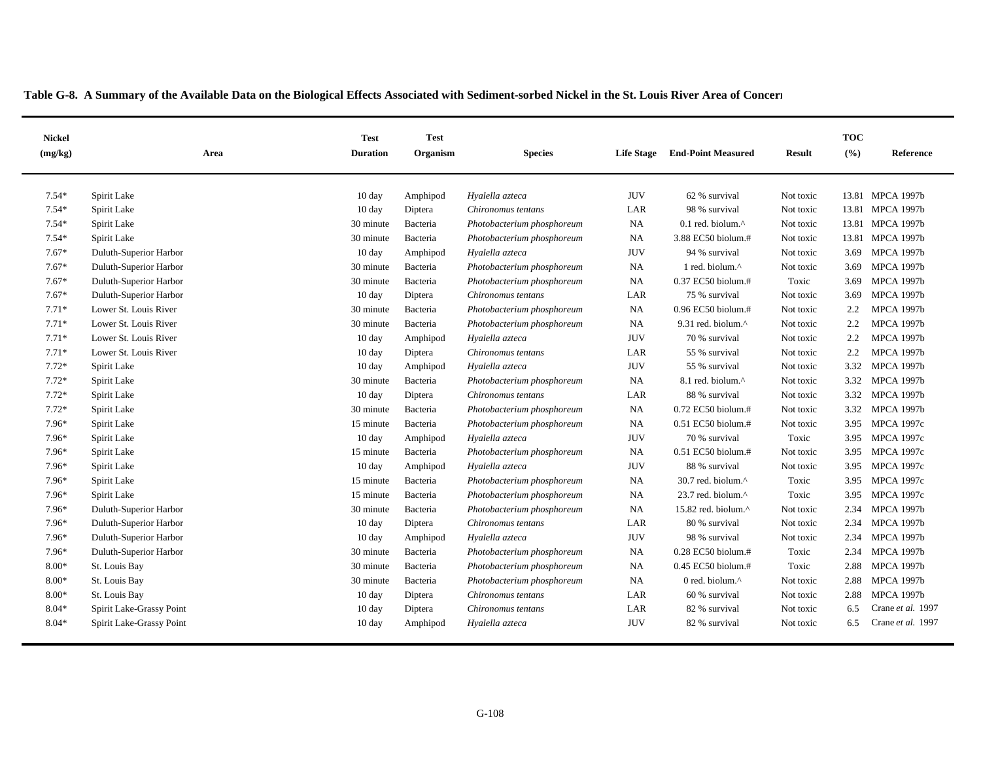| <b>Nickel</b><br>(mg/kg) | Area                     | <b>Test</b><br><b>Duration</b> | <b>Test</b><br>Organism | <b>Species</b>             | <b>Life Stage</b> | <b>End-Point Measured</b>      | <b>Result</b> | <b>TOC</b><br>(%) | Reference         |
|--------------------------|--------------------------|--------------------------------|-------------------------|----------------------------|-------------------|--------------------------------|---------------|-------------------|-------------------|
| $7.54*$                  | Spirit Lake              | 10 day                         | Amphipod                | Hyalella azteca            | <b>JUV</b>        | 62 % survival                  | Not toxic     |                   | 13.81 MPCA 1997b  |
| $7.54*$                  | Spirit Lake              | $10 \text{ day}$               | Diptera                 | Chironomus tentans         | LAR               | 98 % survival                  | Not toxic     |                   | 13.81 MPCA 1997b  |
| $7.54*$                  | Spirit Lake              | 30 minute                      | Bacteria                | Photobacterium phosphoreum | NA                | $0.1$ red. biolum. $^{\wedge}$ | Not toxic     |                   | 13.81 MPCA 1997b  |
| $7.54*$                  | Spirit Lake              | 30 minute                      | Bacteria                | Photobacterium phosphoreum | NA                | 3.88 EC50 biolum.#             | Not toxic     |                   | 13.81 MPCA 1997b  |
| $7.67*$                  | Duluth-Superior Harbor   | $10 \text{ day}$               | Amphipod                | Hyalella azteca            | <b>JUV</b>        | 94 % survival                  | Not toxic     | 3.69              | <b>MPCA 1997b</b> |
| $7.67*$                  | Duluth-Superior Harbor   | 30 minute                      | Bacteria                | Photobacterium phosphoreum | <b>NA</b>         | 1 red. biolum.^                | Not toxic     | 3.69              | <b>MPCA 1997b</b> |
| $7.67*$                  | Duluth-Superior Harbor   | 30 minute                      | Bacteria                | Photobacterium phosphoreum | NA                | 0.37 EC50 biolum.#             | Toxic         | 3.69              | <b>MPCA 1997b</b> |
| $7.67*$                  | Duluth-Superior Harbor   | $10 \text{ day}$               | Diptera                 | Chironomus tentans         | LAR               | 75 % survival                  | Not toxic     | 3.69              | <b>MPCA 1997b</b> |
| $7.71*$                  | Lower St. Louis River    | 30 minute                      | Bacteria                | Photobacterium phosphoreum | NA                | $0.96$ EC50 biolum.#           | Not toxic     | $2.2^{\circ}$     | <b>MPCA 1997b</b> |
| $7.71*$                  | Lower St. Louis River    | 30 minute                      | Bacteria                | Photobacterium phosphoreum | NA                | 9.31 red. biolum.^             | Not toxic     | 2.2               | <b>MPCA 1997b</b> |
| $7.71*$                  | Lower St. Louis River    | $10 \text{ day}$               | Amphipod                | Hyalella azteca            | <b>JUV</b>        | 70 % survival                  | Not toxic     | 2.2               | <b>MPCA 1997b</b> |
| $7.71*$                  | Lower St. Louis River    | 10 day                         | Diptera                 | Chironomus tentans         | LAR               | 55 % survival                  | Not toxic     | 2.2               | <b>MPCA 1997b</b> |
| $7.72*$                  | Spirit Lake              | $10 \text{ day}$               | Amphipod                | Hyalella azteca            | <b>JUV</b>        | 55 % survival                  | Not toxic     | 3.32              | <b>MPCA 1997b</b> |
| $7.72*$                  | Spirit Lake              | 30 minute                      | Bacteria                | Photobacterium phosphoreum | NA                | 8.1 red. biolum.^              | Not toxic     | 3.32              | <b>MPCA 1997b</b> |
| $7.72*$                  | Spirit Lake              | 10 day                         | Diptera                 | Chironomus tentans         | LAR               | 88 % survival                  | Not toxic     | 3.32              | <b>MPCA 1997b</b> |
| $7.72*$                  | Spirit Lake              | 30 minute                      | Bacteria                | Photobacterium phosphoreum | NA                | 0.72 EC50 biolum.#             | Not toxic     | 3.32              | <b>MPCA 1997b</b> |
| 7.96*                    | Spirit Lake              | 15 minute                      | Bacteria                | Photobacterium phosphoreum | NA                | 0.51 EC50 biolum.#             | Not toxic     | 3.95              | <b>MPCA 1997c</b> |
| 7.96*                    | Spirit Lake              | $10 \text{ day}$               | Amphipod                | Hyalella azteca            | <b>JUV</b>        | 70 % survival                  | Toxic         | 3.95              | <b>MPCA 1997c</b> |
| 7.96*                    | Spirit Lake              | 15 minute                      | Bacteria                | Photobacterium phosphoreum | NA                | 0.51 EC50 biolum.#             | Not toxic     | 3.95              | <b>MPCA 1997c</b> |
| 7.96*                    | Spirit Lake              | $10 \text{ day}$               | Amphipod                | Hyalella azteca            | <b>JUV</b>        | 88 % survival                  | Not toxic     | 3.95              | <b>MPCA 1997c</b> |
| 7.96*                    | Spirit Lake              | 15 minute                      | Bacteria                | Photobacterium phosphoreum | NA                | 30.7 red. biolum.^             | Toxic         | 3.95              | <b>MPCA 1997c</b> |
| 7.96*                    | Spirit Lake              | 15 minute                      | Bacteria                | Photobacterium phosphoreum | NA                | 23.7 red. biolum.^             | Toxic         | 3.95              | <b>MPCA 1997c</b> |
| 7.96*                    | Duluth-Superior Harbor   | 30 minute                      | Bacteria                | Photobacterium phosphoreum | NA                | 15.82 red. biolum.^            | Not toxic     | 2.34              | <b>MPCA 1997b</b> |
| 7.96*                    | Duluth-Superior Harbor   | 10 day                         | Diptera                 | Chironomus tentans         | LAR               | 80 % survival                  | Not toxic     | 2.34              | <b>MPCA 1997b</b> |
| 7.96*                    | Duluth-Superior Harbor   | $10 \text{ day}$               | Amphipod                | Hyalella azteca            | <b>JUV</b>        | 98 % survival                  | Not toxic     | 2.34              | <b>MPCA 1997b</b> |
| 7.96*                    | Duluth-Superior Harbor   | 30 minute                      | Bacteria                | Photobacterium phosphoreum | NA                | 0.28 EC50 biolum.#             | Toxic         | 2.34              | <b>MPCA 1997b</b> |
| $8.00*$                  | St. Louis Bay            | 30 minute                      | Bacteria                | Photobacterium phosphoreum | NA                | 0.45 EC50 biolum.#             | Toxic         | 2.88              | <b>MPCA 1997b</b> |
| $8.00*$                  | St. Louis Bay            | 30 minute                      | Bacteria                | Photobacterium phosphoreum | NA                | 0 red. biolum.^                | Not toxic     | 2.88              | <b>MPCA 1997b</b> |
| $8.00*$                  | St. Louis Bay            | $10 \text{ day}$               | Diptera                 | Chironomus tentans         | LAR               | 60 % survival                  | Not toxic     | 2.88              | <b>MPCA 1997b</b> |
| $8.04*$                  | Spirit Lake-Grassy Point | $10 \text{ day}$               | Diptera                 | Chironomus tentans         | LAR               | 82 % survival                  | Not toxic     | 6.5               | Crane et al. 1997 |
| $8.04*$                  | Spirit Lake-Grassy Point | $10 \text{ day}$               | Amphipod                | Hyalella azteca            | <b>JUV</b>        | 82 % survival                  | Not toxic     | 6.5               | Crane et al. 1997 |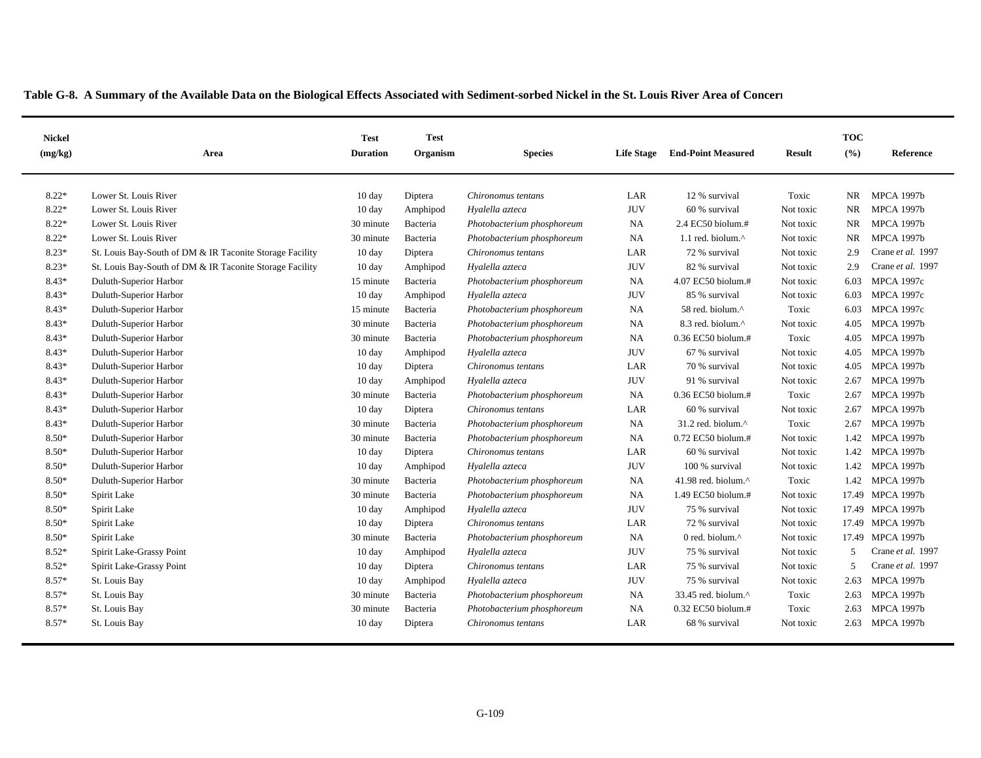| <b>Nickel</b><br>(mg/kg) | Area                                                     | <b>Test</b><br><b>Duration</b> | <b>Test</b><br>Organism | <b>Species</b>             | <b>Life Stage</b> | <b>End-Point Measured</b> | Result    | <b>TOC</b><br>(%) | Reference         |
|--------------------------|----------------------------------------------------------|--------------------------------|-------------------------|----------------------------|-------------------|---------------------------|-----------|-------------------|-------------------|
|                          |                                                          |                                |                         |                            |                   |                           |           |                   |                   |
| $8.22*$                  | Lower St. Louis River                                    | $10 \text{ day}$               | Diptera                 | Chironomus tentans         | LAR               | 12 % survival             | Toxic     | NR.               | <b>MPCA 1997b</b> |
| $8.22*$                  | Lower St. Louis River                                    | 10 day                         | Amphipod                | Hyalella azteca            | <b>JUV</b>        | 60 % survival             | Not toxic | <b>NR</b>         | <b>MPCA 1997b</b> |
| $8.22*$                  | Lower St. Louis River                                    | 30 minute                      | Bacteria                | Photobacterium phosphoreum | <b>NA</b>         | 2.4 EC50 biolum.#         | Not toxic | NR                | <b>MPCA 1997b</b> |
| $8.22*$                  | Lower St. Louis River                                    | 30 minute                      | Bacteria                | Photobacterium phosphoreum | NA                | 1.1 red. biolum.^         | Not toxic | NR                | <b>MPCA 1997b</b> |
| $8.23*$                  | St. Louis Bay-South of DM & IR Taconite Storage Facility | $10 \text{ day}$               | Diptera                 | Chironomus tentans         | LAR               | 72 % survival             | Not toxic | 2.9               | Crane et al. 1997 |
| $8.23*$                  | St. Louis Bay-South of DM & IR Taconite Storage Facility | $10 \text{ day}$               | Amphipod                | Hyalella azteca            | <b>JUV</b>        | 82 % survival             | Not toxic | 2.9               | Crane et al. 1997 |
| 8.43*                    | Duluth-Superior Harbor                                   | 15 minute                      | Bacteria                | Photobacterium phosphoreum | <b>NA</b>         | 4.07 EC50 biolum.#        | Not toxic | 6.03              | <b>MPCA 1997c</b> |
| 8.43*                    | Duluth-Superior Harbor                                   | $10 \text{ day}$               | Amphipod                | Hyalella azteca            | <b>JUV</b>        | 85 % survival             | Not toxic | 6.03              | <b>MPCA 1997c</b> |
| 8.43*                    | Duluth-Superior Harbor                                   | 15 minute                      | Bacteria                | Photobacterium phosphoreum | NA                | 58 red. biolum.^          | Toxic     | 6.03              | <b>MPCA 1997c</b> |
| 8.43*                    | Duluth-Superior Harbor                                   | 30 minute                      | Bacteria                | Photobacterium phosphoreum | <b>NA</b>         | 8.3 red. biolum.^         | Not toxic | 4.05              | <b>MPCA 1997b</b> |
| 8.43*                    | Duluth-Superior Harbor                                   | 30 minute                      | Bacteria                | Photobacterium phosphoreum | <b>NA</b>         | 0.36 EC50 biolum.#        | Toxic     | 4.05              | <b>MPCA 1997b</b> |
| 8.43*                    | Duluth-Superior Harbor                                   | $10 \text{ day}$               | Amphipod                | Hyalella azteca            | <b>JUV</b>        | 67 % survival             | Not toxic | 4.05              | <b>MPCA 1997b</b> |
| 8.43*                    | Duluth-Superior Harbor                                   | 10 day                         | Diptera                 | Chironomus tentans         | LAR               | 70 % survival             | Not toxic | 4.05              | <b>MPCA 1997b</b> |
| 8.43*                    | Duluth-Superior Harbor                                   | $10 \text{ day}$               | Amphipod                | Hyalella azteca            | <b>JUV</b>        | 91 % survival             | Not toxic | 2.67              | <b>MPCA 1997b</b> |
| 8.43*                    | Duluth-Superior Harbor                                   | 30 minute                      | Bacteria                | Photobacterium phosphoreum | NA                | $0.36$ EC50 biolum.#      | Toxic     | 2.67              | <b>MPCA 1997b</b> |
| 8.43*                    | Duluth-Superior Harbor                                   | 10 day                         | Diptera                 | Chironomus tentans         | LAR               | 60 % survival             | Not toxic | 2.67              | <b>MPCA 1997b</b> |
| 8.43*                    | Duluth-Superior Harbor                                   | 30 minute                      | Bacteria                | Photobacterium phosphoreum | <b>NA</b>         | 31.2 red. biolum.^        | Toxic     | 2.67              | <b>MPCA 1997b</b> |
| 8.50*                    | Duluth-Superior Harbor                                   | 30 minute                      | Bacteria                | Photobacterium phosphoreum | <b>NA</b>         | 0.72 EC50 biolum.#        | Not toxic | 1.42              | <b>MPCA 1997b</b> |
| 8.50*                    | Duluth-Superior Harbor                                   | $10 \text{ day}$               | Diptera                 | Chironomus tentans         | LAR               | 60 % survival             | Not toxic | 1.42              | <b>MPCA 1997b</b> |
| 8.50*                    | Duluth-Superior Harbor                                   | $10 \text{ day}$               | Amphipod                | Hyalella azteca            | <b>JUV</b>        | 100 % survival            | Not toxic | 1.42              | <b>MPCA 1997b</b> |
| $8.50*$                  | Duluth-Superior Harbor                                   | 30 minute                      | Bacteria                | Photobacterium phosphoreum | <b>NA</b>         | 41.98 red. biolum.^       | Toxic     | 1.42              | <b>MPCA 1997b</b> |
| 8.50*                    | Spirit Lake                                              | 30 minute                      | Bacteria                | Photobacterium phosphoreum | <b>NA</b>         | 1.49 EC50 biolum.#        | Not toxic |                   | 17.49 MPCA 1997b  |
| $8.50*$                  | Spirit Lake                                              | 10 day                         | Amphipod                | Hyalella azteca            | <b>JUV</b>        | 75 % survival             | Not toxic |                   | 17.49 MPCA 1997b  |
| 8.50*                    | Spirit Lake                                              | $10 \text{ day}$               | Diptera                 | Chironomus tentans         | LAR               | 72 % survival             | Not toxic |                   | 17.49 MPCA 1997b  |
| $8.50*$                  | Spirit Lake                                              | 30 minute                      | Bacteria                | Photobacterium phosphoreum | NA                | 0 red. biolum. $\wedge$   | Not toxic |                   | 17.49 MPCA 1997b  |
| $8.52*$                  | Spirit Lake-Grassy Point                                 | $10 \text{ day}$               | Amphipod                | Hyalella azteca            | <b>JUV</b>        | 75 % survival             | Not toxic | $\overline{5}$    | Crane et al. 1997 |
| $8.52*$                  | Spirit Lake-Grassy Point                                 | $10 \text{ day}$               | Diptera                 | Chironomus tentans         | LAR               | 75 % survival             | Not toxic | 5                 | Crane et al. 1997 |
| 8.57*                    | St. Louis Bay                                            | $10 \text{ day}$               | Amphipod                | Hyalella azteca            | <b>JUV</b>        | 75 % survival             | Not toxic | 2.63              | <b>MPCA 1997b</b> |
| 8.57*                    | St. Louis Bay                                            | 30 minute                      | Bacteria                | Photobacterium phosphoreum | <b>NA</b>         | 33.45 red. biolum.^       | Toxic     | 2.63              | <b>MPCA 1997b</b> |
| 8.57*                    | St. Louis Bay                                            | 30 minute                      | Bacteria                | Photobacterium phosphoreum | NA                | $0.32$ EC50 biolum.#      | Toxic     | 2.63              | <b>MPCA 1997b</b> |
| $8.57*$                  | St. Louis Bay                                            | $10 \text{ day}$               | Diptera                 | Chironomus tentans         | LAR               | 68 % survival             | Not toxic | 2.63              | <b>MPCA 1997b</b> |
|                          |                                                          |                                |                         |                            |                   |                           |           |                   |                   |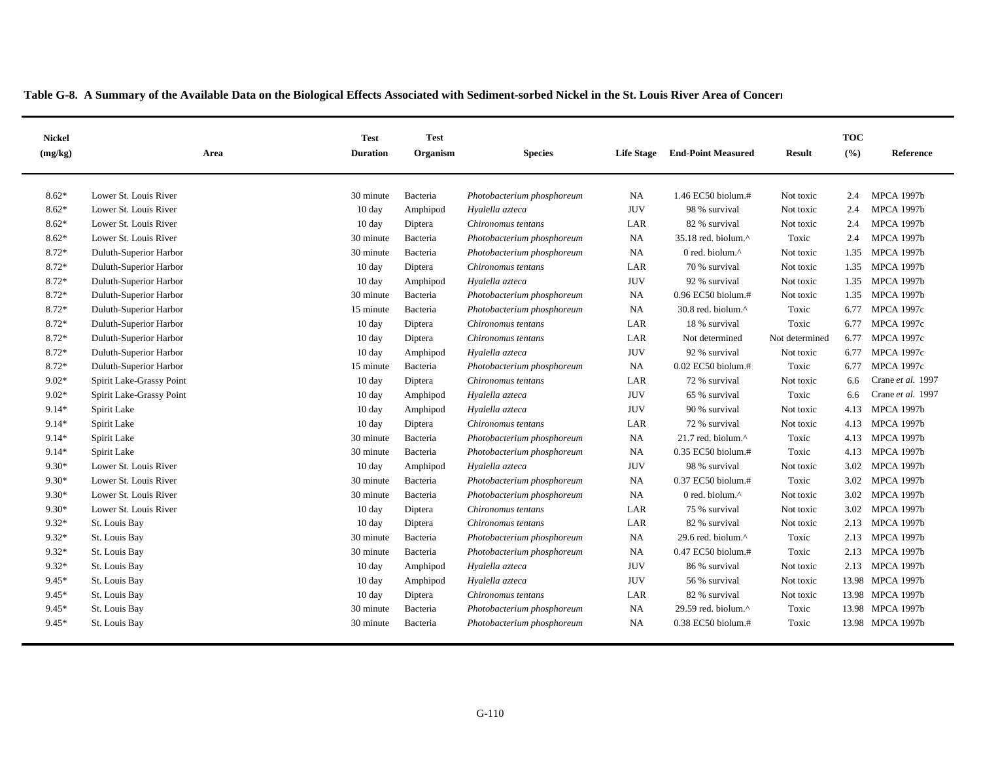| <b>Nickel</b><br>(mg/kg) | Area                     | <b>Test</b><br><b>Duration</b> | <b>Test</b><br>Organism | <b>Species</b>             | <b>Life Stage</b> | <b>End-Point Measured</b>      | Result         | <b>TOC</b><br>(%) | Reference         |
|--------------------------|--------------------------|--------------------------------|-------------------------|----------------------------|-------------------|--------------------------------|----------------|-------------------|-------------------|
|                          |                          |                                |                         |                            |                   |                                |                |                   |                   |
| $8.62*$                  | Lower St. Louis River    | 30 minute                      | Bacteria                | Photobacterium phosphoreum | <b>NA</b>         | 1.46 EC50 biolum.#             | Not toxic      | 2.4               | <b>MPCA 1997b</b> |
| $8.62*$                  | Lower St. Louis River    | 10 day                         | Amphipod                | Hyalella azteca            | <b>JUV</b>        | 98 % survival                  | Not toxic      | 2.4               | <b>MPCA 1997b</b> |
| $8.62*$                  | Lower St. Louis River    | $10 \text{ day}$               | Diptera                 | Chironomus tentans         | LAR               | 82 % survival                  | Not toxic      | 2.4               | <b>MPCA 1997b</b> |
| $8.62*$                  | Lower St. Louis River    | 30 minute                      | Bacteria                | Photobacterium phosphoreum | NA                | 35.18 red. biolum.^            | Toxic          | 2.4               | <b>MPCA 1997b</b> |
| 8.72*                    | Duluth-Superior Harbor   | 30 minute                      | Bacteria                | Photobacterium phosphoreum | NA                | 0 red. biolum. $\wedge$        | Not toxic      | 1.35              | <b>MPCA 1997b</b> |
| 8.72*                    | Duluth-Superior Harbor   | $10 \text{ day}$               | Diptera                 | Chironomus tentans         | LAR               | 70 % survival                  | Not toxic      | 1.35              | <b>MPCA 1997b</b> |
| 8.72*                    | Duluth-Superior Harbor   | $10 \text{ day}$               | Amphipod                | Hyalella azteca            | <b>JUV</b>        | 92 % survival                  | Not toxic      | 1.35              | <b>MPCA 1997b</b> |
| 8.72*                    | Duluth-Superior Harbor   | 30 minute                      | Bacteria                | Photobacterium phosphoreum | NA                | 0.96 EC50 biolum.#             | Not toxic      |                   | 1.35 MPCA 1997b   |
| 8.72*                    | Duluth-Superior Harbor   | 15 minute                      | Bacteria                | Photobacterium phosphoreum | <b>NA</b>         | 30.8 red. biolum.^             | Toxic          | 6.77              | <b>MPCA 1997c</b> |
| 8.72*                    | Duluth-Superior Harbor   | $10 \text{ day}$               | Diptera                 | Chironomus tentans         | LAR               | 18 % survival                  | Toxic          | 6.77              | <b>MPCA 1997c</b> |
| 8.72*                    | Duluth-Superior Harbor   | $10 \text{ day}$               | Diptera                 | Chironomus tentans         | LAR               | Not determined                 | Not determined | 6.77              | <b>MPCA 1997c</b> |
| 8.72*                    | Duluth-Superior Harbor   | $10 \text{ day}$               | Amphipod                | Hyalella azteca            | <b>JUV</b>        | 92 % survival                  | Not toxic      | 6.77              | <b>MPCA 1997c</b> |
| 8.72*                    | Duluth-Superior Harbor   | 15 minute                      | Bacteria                | Photobacterium phosphoreum | <b>NA</b>         | 0.02 EC50 biolum.#             | Toxic          | 6.77              | <b>MPCA 1997c</b> |
| $9.02*$                  | Spirit Lake-Grassy Point | $10 \text{ day}$               | Diptera                 | Chironomus tentans         | LAR               | 72 % survival                  | Not toxic      | 6.6               | Crane et al. 1997 |
| $9.02*$                  | Spirit Lake-Grassy Point | $10 \text{ day}$               | Amphipod                | Hyalella azteca            | <b>JUV</b>        | 65 % survival                  | Toxic          | 6.6               | Crane et al. 1997 |
| $9.14*$                  | Spirit Lake              | $10 \text{ day}$               | Amphipod                | Hyalella azteca            | <b>JUV</b>        | 90 % survival                  | Not toxic      | 4.13              | <b>MPCA 1997b</b> |
| 9.14*                    | Spirit Lake              | $10 \text{ day}$               | Diptera                 | Chironomus tentans         | LAR               | 72 % survival                  | Not toxic      | 4.13              | <b>MPCA 1997b</b> |
| 9.14*                    | Spirit Lake              | 30 minute                      | Bacteria                | Photobacterium phosphoreum | <b>NA</b>         | 21.7 red. biolum.^             | Toxic          | 4.13              | <b>MPCA 1997b</b> |
| 9.14*                    | Spirit Lake              | 30 minute                      | Bacteria                | Photobacterium phosphoreum | <b>NA</b>         | 0.35 EC50 biolum.#             | Toxic          | 4.13              | <b>MPCA 1997b</b> |
| $9.30*$                  | Lower St. Louis River    | $10 \text{ day}$               | Amphipod                | Hyalella azteca            | <b>JUV</b>        | 98 % survival                  | Not toxic      | 3.02              | <b>MPCA 1997b</b> |
| $9.30*$                  | Lower St. Louis River    | 30 minute                      | Bacteria                | Photobacterium phosphoreum | <b>NA</b>         | 0.37 EC50 biolum.#             | Toxic          | 3.02              | <b>MPCA 1997b</b> |
| $9.30*$                  | Lower St. Louis River    | 30 minute                      | Bacteria                | Photobacterium phosphoreum | <b>NA</b>         | 0 red. biolum.^                | Not toxic      | 3.02              | <b>MPCA 1997b</b> |
| $9.30*$                  | Lower St. Louis River    | 10 day                         | Diptera                 | Chironomus tentans         | LAR               | 75 % survival                  | Not toxic      | 3.02              | <b>MPCA 1997b</b> |
| $9.32*$                  | St. Louis Bay            | $10 \text{ day}$               | Diptera                 | Chironomus tentans         | LAR               | 82 % survival                  | Not toxic      | 2.13              | <b>MPCA 1997b</b> |
| $9.32*$                  | St. Louis Bay            | 30 minute                      | Bacteria                | Photobacterium phosphoreum | NA                | 29.6 red. biolum. $^{\wedge}$  | Toxic          | 2.13              | <b>MPCA 1997b</b> |
| $9.32*$                  | St. Louis Bay            | 30 minute                      | Bacteria                | Photobacterium phosphoreum | <b>NA</b>         | 0.47 EC50 biolum.#             | Toxic          | 2.13              | <b>MPCA 1997b</b> |
| $9.32*$                  | St. Louis Bay            | $10 \text{ day}$               | Amphipod                | Hyalella azteca            | <b>JUV</b>        | 86 % survival                  | Not toxic      | 2.13              | <b>MPCA 1997b</b> |
| 9.45*                    | St. Louis Bay            | 10 day                         | Amphipod                | Hyalella azteca            | <b>JUV</b>        | 56 % survival                  | Not toxic      | 13.98             | <b>MPCA 1997b</b> |
| $9.45*$                  | St. Louis Bay            | $10 \text{ day}$               | Diptera                 | Chironomus tentans         | LAR               | 82 % survival                  | Not toxic      |                   | 13.98 MPCA 1997b  |
| 9.45*                    | St. Louis Bay            | 30 minute                      | Bacteria                | Photobacterium phosphoreum | NA                | 29.59 red. biolum. $^{\wedge}$ | Toxic          |                   | 13.98 MPCA 1997b  |
| $9.45*$                  | St. Louis Bay            | 30 minute                      | Bacteria                | Photobacterium phosphoreum | <b>NA</b>         | $0.38$ EC50 biolum.#           | Toxic          |                   | 13.98 MPCA 1997b  |
|                          |                          |                                |                         |                            |                   |                                |                |                   |                   |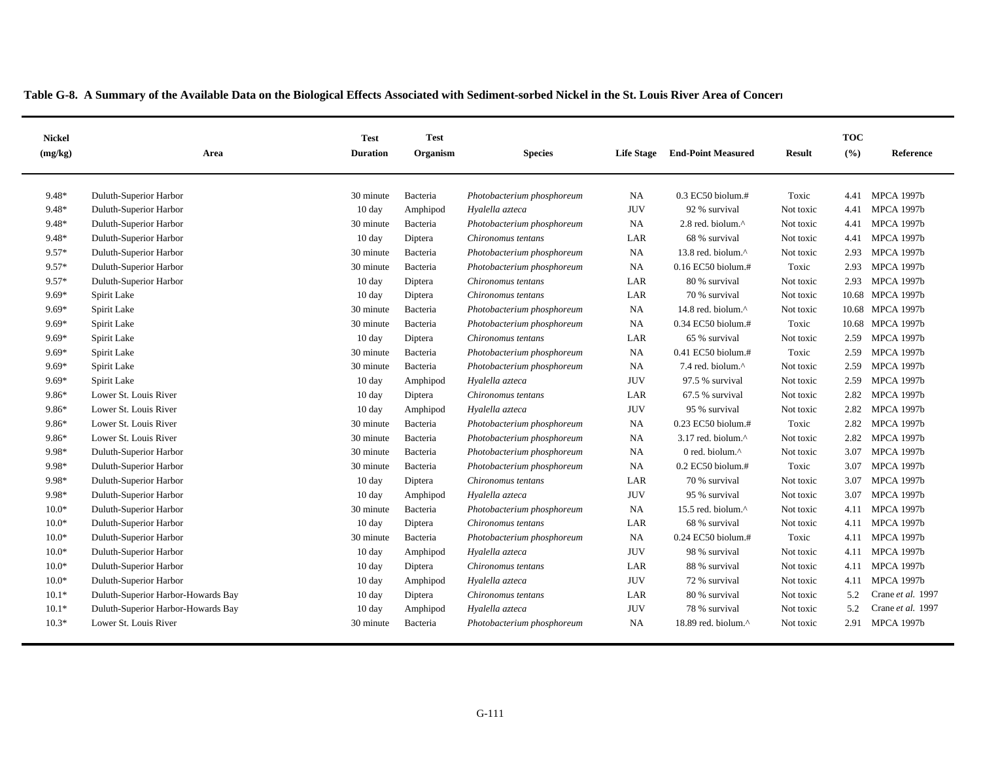| <b>Nickel</b><br>(mg/kg) | Area                               | <b>Test</b><br><b>Duration</b> | <b>Test</b><br>Organism | <b>Species</b>             | <b>Life Stage</b> | <b>End-Point Measured</b>      | <b>Result</b> | <b>TOC</b><br>(%) | Reference         |
|--------------------------|------------------------------------|--------------------------------|-------------------------|----------------------------|-------------------|--------------------------------|---------------|-------------------|-------------------|
|                          |                                    |                                |                         |                            |                   |                                |               |                   |                   |
| 9.48*                    | Duluth-Superior Harbor             | 30 minute                      | Bacteria                | Photobacterium phosphoreum | <b>NA</b>         | $0.3$ EC50 biolum.#            | Toxic         | 4.41              | <b>MPCA 1997b</b> |
| 9.48*                    | Duluth-Superior Harbor             | $10 \text{ day}$               | Amphipod                | Hyalella azteca            | <b>JUV</b>        | 92 % survival                  | Not toxic     | 4.41              | <b>MPCA 1997b</b> |
| 9.48*                    | Duluth-Superior Harbor             | 30 minute                      | Bacteria                | Photobacterium phosphoreum | NA                | 2.8 red. biolum.^              | Not toxic     | 4.41              | <b>MPCA 1997b</b> |
| 9.48*                    | Duluth-Superior Harbor             | $10 \text{ day}$               | Diptera                 | Chironomus tentans         | LAR               | 68 % survival                  | Not toxic     | 4.41              | <b>MPCA 1997b</b> |
| 9.57*                    | Duluth-Superior Harbor             | 30 minute                      | Bacteria                | Photobacterium phosphoreum | NA                | 13.8 red. biolum.^             | Not toxic     | 2.93              | <b>MPCA 1997b</b> |
| 9.57*                    | Duluth-Superior Harbor             | 30 minute                      | Bacteria                | Photobacterium phosphoreum | NA                | 0.16 EC50 biolum.#             | Toxic         | 2.93              | <b>MPCA 1997b</b> |
| 9.57*                    | Duluth-Superior Harbor             | $10 \text{ day}$               | Diptera                 | Chironomus tentans         | LAR               | 80 % survival                  | Not toxic     | 2.93              | <b>MPCA 1997b</b> |
| $9.69*$                  | Spirit Lake                        | $10 \text{ day}$               | Diptera                 | Chironomus tentans         | LAR               | 70 % survival                  | Not toxic     |                   | 10.68 MPCA 1997b  |
| $9.69*$                  | Spirit Lake                        | 30 minute                      | Bacteria                | Photobacterium phosphoreum | <b>NA</b>         | 14.8 red. biolum.^             | Not toxic     |                   | 10.68 MPCA 1997b  |
| $9.69*$                  | Spirit Lake                        | 30 minute                      | Bacteria                | Photobacterium phosphoreum | NA                | 0.34 EC50 biolum.#             | Toxic         | 10.68             | <b>MPCA 1997b</b> |
| $9.69*$                  | Spirit Lake                        | $10 \text{ day}$               | Diptera                 | Chironomus tentans         | LAR               | 65 % survival                  | Not toxic     | 2.59              | <b>MPCA 1997b</b> |
| $9.69*$                  | Spirit Lake                        | 30 minute                      | Bacteria                | Photobacterium phosphoreum | NA                | 0.41 EC50 biolum.#             | Toxic         | 2.59              | <b>MPCA 1997b</b> |
| $9.69*$                  | Spirit Lake                        | 30 minute                      | Bacteria                | Photobacterium phosphoreum | <b>NA</b>         | 7.4 red. biolum. <sup>^</sup>  | Not toxic     | 2.59              | <b>MPCA 1997b</b> |
| $9.69*$                  | Spirit Lake                        | $10 \text{ day}$               | Amphipod                | Hyalella azteca            | <b>JUV</b>        | 97.5 % survival                | Not toxic     | 2.59              | <b>MPCA 1997b</b> |
| 9.86*                    | Lower St. Louis River              | 10 day                         | Diptera                 | Chironomus tentans         | LAR               | 67.5 % survival                | Not toxic     | 2.82              | <b>MPCA 1997b</b> |
| 9.86*                    | Lower St. Louis River              | $10 \text{ day}$               | Amphipod                | Hyalella azteca            | <b>JUV</b>        | 95 % survival                  | Not toxic     | 2.82              | <b>MPCA 1997b</b> |
| 9.86*                    | Lower St. Louis River              | 30 minute                      | Bacteria                | Photobacterium phosphoreum | <b>NA</b>         | $0.23$ EC50 biolum.#           | Toxic         | 2.82              | <b>MPCA 1997b</b> |
| 9.86*                    | Lower St. Louis River              | 30 minute                      | Bacteria                | Photobacterium phosphoreum | <b>NA</b>         | 3.17 red. biolum.^             | Not toxic     | 2.82              | <b>MPCA 1997b</b> |
| 9.98*                    | Duluth-Superior Harbor             | 30 minute                      | Bacteria                | Photobacterium phosphoreum | <b>NA</b>         | 0 red. biolum.^                | Not toxic     | 3.07              | <b>MPCA 1997b</b> |
| 9.98*                    | Duluth-Superior Harbor             | 30 minute                      | Bacteria                | Photobacterium phosphoreum | NA                | $0.2$ EC50 biolum.#            | Toxic         | 3.07              | <b>MPCA 1997b</b> |
| 9.98*                    | Duluth-Superior Harbor             | $10 \text{ day}$               | Diptera                 | Chironomus tentans         | LAR               | 70 % survival                  | Not toxic     | 3.07              | <b>MPCA 1997b</b> |
| 9.98*                    | Duluth-Superior Harbor             | $10 \text{ day}$               | Amphipod                | Hyalella azteca            | <b>JUV</b>        | 95 % survival                  | Not toxic     | 3.07              | <b>MPCA 1997b</b> |
| $10.0*$                  | Duluth-Superior Harbor             | 30 minute                      | Bacteria                | Photobacterium phosphoreum | NA                | 15.5 red. biolum.^             | Not toxic     | 4.11              | <b>MPCA 1997b</b> |
| $10.0*$                  | Duluth-Superior Harbor             | $10 \text{ day}$               | Diptera                 | Chironomus tentans         | LAR               | 68 % survival                  | Not toxic     | 4.11              | <b>MPCA 1997b</b> |
| $10.0*$                  | Duluth-Superior Harbor             | 30 minute                      | Bacteria                | Photobacterium phosphoreum | NA                | $0.24$ EC50 biolum.#           | Toxic         | 4.11              | <b>MPCA 1997b</b> |
| $10.0*$                  | Duluth-Superior Harbor             | 10 day                         | Amphipod                | Hyalella azteca            | <b>JUV</b>        | 98 % survival                  | Not toxic     | 4.11              | <b>MPCA 1997b</b> |
| $10.0*$                  | Duluth-Superior Harbor             | $10 \text{ day}$               | Diptera                 | Chironomus tentans         | LAR               | 88 % survival                  | Not toxic     | 4.11              | <b>MPCA 1997b</b> |
| $10.0*$                  | Duluth-Superior Harbor             | $10 \text{ day}$               | Amphipod                | Hyalella azteca            | <b>JUV</b>        | 72 % survival                  | Not toxic     | 4.11              | <b>MPCA 1997b</b> |
| $10.1*$                  | Duluth-Superior Harbor-Howards Bay | 10 day                         | Diptera                 | Chironomus tentans         | LAR               | 80 % survival                  | Not toxic     | 5.2               | Crane et al. 1997 |
| $10.1*$                  | Duluth-Superior Harbor-Howards Bay | $10 \text{ day}$               | Amphipod                | Hyalella azteca            | <b>JUV</b>        | 78 % survival                  | Not toxic     | 5.2               | Crane et al. 1997 |
| $10.3*$                  | Lower St. Louis River              | 30 minute                      | Bacteria                | Photobacterium phosphoreum | <b>NA</b>         | 18.89 red. biolum. $^{\wedge}$ | Not toxic     | 2.91              | <b>MPCA 1997b</b> |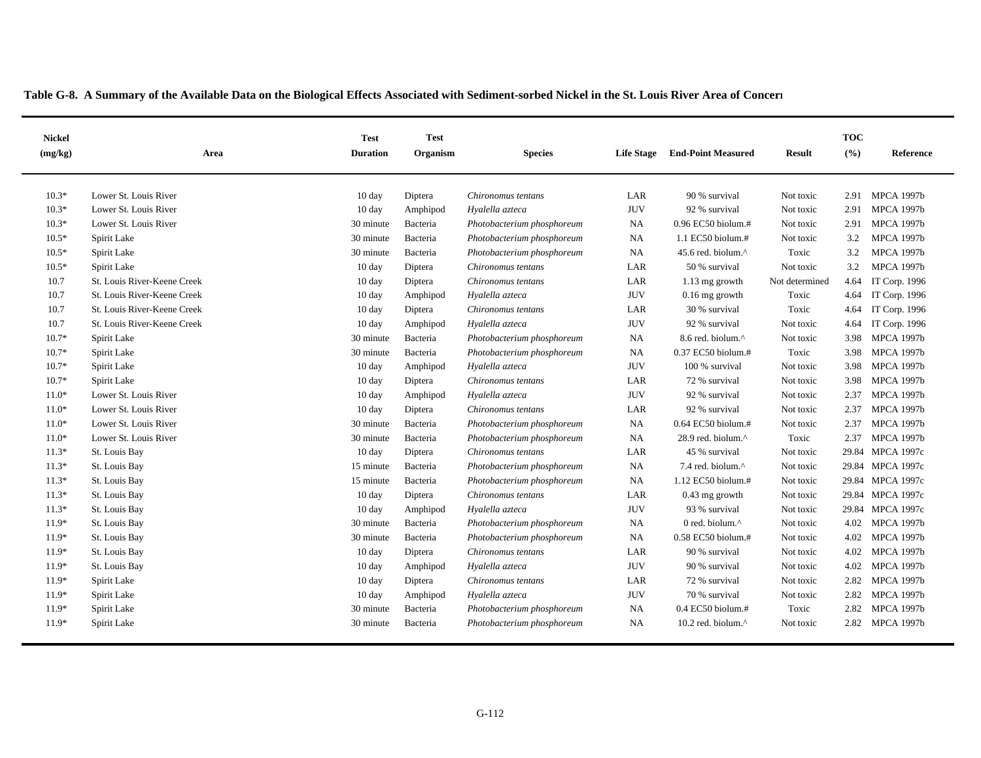| <b>Nickel</b><br>(mg/kg) | Area                        | <b>Test</b><br><b>Duration</b> | <b>Test</b><br>Organism | <b>Species</b>             | <b>End-Point Measured</b><br><b>Life Stage</b><br>Result |                                |                | <b>TOC</b><br>(%) | Reference            |
|--------------------------|-----------------------------|--------------------------------|-------------------------|----------------------------|----------------------------------------------------------|--------------------------------|----------------|-------------------|----------------------|
|                          |                             |                                |                         |                            |                                                          |                                |                |                   |                      |
| $10.3*$                  | Lower St. Louis River       | $10 \text{ day}$               | Diptera                 | Chironomus tentans         | LAR                                                      | 90 % survival                  | Not toxic      | 2.91              | <b>MPCA 1997b</b>    |
| $10.3*$                  | Lower St. Louis River       | 10 day                         | Amphipod                | Hyalella azteca            | <b>JUV</b>                                               | 92 % survival                  | Not toxic      | 2.91              | <b>MPCA 1997b</b>    |
| $10.3*$                  | Lower St. Louis River       | 30 minute                      | Bacteria                | Photobacterium phosphoreum | <b>NA</b>                                                | 0.96 EC50 biolum.#             | Not toxic      | 2.91              | <b>MPCA 1997b</b>    |
| $10.5*$                  | Spirit Lake                 | 30 minute                      | Bacteria                | Photobacterium phosphoreum | <b>NA</b>                                                | 1.1 EC50 biolum.#              | Not toxic      | 3.2               | <b>MPCA 1997b</b>    |
| $10.5*$                  | Spirit Lake                 | 30 minute                      | Bacteria                | Photobacterium phosphoreum | <b>NA</b>                                                | 45.6 red. biolum. <sup>^</sup> | Toxic          | 3.2               | <b>MPCA 1997b</b>    |
| $10.5*$                  | Spirit Lake                 | 10 day                         | Diptera                 | Chironomus tentans         | LAR                                                      | 50 % survival                  | Not toxic      | 3.2               | <b>MPCA 1997b</b>    |
| 10.7                     | St. Louis River-Keene Creek | 10 day                         | Diptera                 | Chironomus tentans         | LAR                                                      | $1.13$ mg growth               | Not determined | 4.64              | IT Corp. 1996        |
| 10.7                     | St. Louis River-Keene Creek | $10 \text{ day}$               | Amphipod                | Hyalella azteca            | <b>JUV</b>                                               | $0.16$ mg growth               | Toxic          | 4.64              | <b>IT Corp. 1996</b> |
| 10.7                     | St. Louis River-Keene Creek | $10 \text{ day}$               | Diptera                 | Chironomus tentans         | LAR                                                      | 30 % survival                  | Toxic          | 4.64              | IT Corp. 1996        |
| 10.7                     | St. Louis River-Keene Creek | $10 \text{ day}$               | Amphipod                | Hyalella azteca            | <b>JUV</b>                                               | 92 % survival                  | Not toxic      | 4.64              | IT Corp. 1996        |
| $10.7*$                  | Spirit Lake                 | 30 minute                      | Bacteria                | Photobacterium phosphoreum | <b>NA</b>                                                | 8.6 red. biolum.^              | Not toxic      | 3.98              | <b>MPCA 1997b</b>    |
| $10.7*$                  | Spirit Lake                 | 30 minute                      | Bacteria                | Photobacterium phosphoreum | <b>NA</b>                                                | 0.37 EC50 biolum.#             | Toxic          | 3.98              | <b>MPCA 1997b</b>    |
| $10.7*$                  | Spirit Lake                 | $10 \text{ day}$               | Amphipod                | Hyalella azteca            | <b>JUV</b>                                               | 100 % survival                 | Not toxic      | 3.98              | <b>MPCA 1997b</b>    |
| $10.7*$                  | Spirit Lake                 | $10 \text{ day}$               | Diptera                 | Chironomus tentans         | LAR                                                      | 72 % survival                  | Not toxic      | 3.98              | <b>MPCA 1997b</b>    |
| $11.0*$                  | Lower St. Louis River       | 10 day                         | Amphipod                | Hyalella azteca            | <b>JUV</b>                                               | 92 % survival                  | Not toxic      | 2.37              | <b>MPCA 1997b</b>    |
| $11.0*$                  | Lower St. Louis River       | $10 \text{ day}$               | Diptera                 | Chironomus tentans         | LAR                                                      | 92 % survival                  | Not toxic      | 2.37              | <b>MPCA 1997b</b>    |
| $11.0*$                  | Lower St. Louis River       | 30 minute                      | Bacteria                | Photobacterium phosphoreum | NA                                                       | 0.64 EC50 biolum.#             | Not toxic      | 2.37              | <b>MPCA 1997b</b>    |
| $11.0*$                  | Lower St. Louis River       | 30 minute                      | Bacteria                | Photobacterium phosphoreum | <b>NA</b>                                                | 28.9 red. biolum.^             | Toxic          | 2.37              | <b>MPCA 1997b</b>    |
| $11.3*$                  | St. Louis Bay               | $10 \text{ day}$               | Diptera                 | Chironomus tentans         | LAR                                                      | 45 % survival                  | Not toxic      | 29.84             | <b>MPCA 1997c</b>    |
| $11.3*$                  | St. Louis Bay               | 15 minute                      | Bacteria                | Photobacterium phosphoreum | <b>NA</b>                                                | 7.4 red. biolum.^              | Not toxic      | 29.84             | <b>MPCA 1997c</b>    |
| $11.3*$                  | St. Louis Bay               | 15 minute                      | Bacteria                | Photobacterium phosphoreum | <b>NA</b>                                                | 1.12 EC50 biolum.#             | Not toxic      | 29.84             | <b>MPCA 1997c</b>    |
| $11.3*$                  | St. Louis Bay               | $10 \text{ day}$               | Diptera                 | Chironomus tentans         | LAR                                                      | $0.43$ mg growth               | Not toxic      | 29.84             | <b>MPCA 1997c</b>    |
| $11.3*$                  | St. Louis Bay               | $10 \text{ day}$               | Amphipod                | Hyalella azteca            | <b>JUV</b>                                               | 93 % survival                  | Not toxic      | 29.84             | <b>MPCA 1997c</b>    |
| 11.9*                    | St. Louis Bay               | 30 minute                      | Bacteria                | Photobacterium phosphoreum | <b>NA</b>                                                | 0 red. biolum.^                | Not toxic      | 4.02              | <b>MPCA 1997b</b>    |
| $11.9*$                  | St. Louis Bay               | 30 minute                      | Bacteria                | Photobacterium phosphoreum | NA                                                       | 0.58 EC50 biolum.#             | Not toxic      | 4.02              | <b>MPCA 1997b</b>    |
| $11.9*$                  | St. Louis Bay               | $10 \text{ day}$               | Diptera                 | Chironomus tentans         | LAR                                                      | 90 % survival                  | Not toxic      | 4.02              | <b>MPCA 1997b</b>    |
| $11.9*$                  | St. Louis Bay               | $10 \text{ day}$               | Amphipod                | Hyalella azteca            | <b>JUV</b>                                               | 90 % survival                  | Not toxic      | 4.02              | <b>MPCA 1997b</b>    |
| 11.9*                    | Spirit Lake                 | 10 day                         | Diptera                 | Chironomus tentans         | LAR                                                      | 72 % survival                  | Not toxic      | 2.82              | <b>MPCA 1997b</b>    |
| $11.9*$                  | Spirit Lake                 | 10 day                         | Amphipod                | Hyalella azteca            | <b>JUV</b>                                               | 70 % survival                  | Not toxic      | 2.82              | <b>MPCA 1997b</b>    |
| $11.9*$                  | Spirit Lake                 | 30 minute                      | Bacteria                | Photobacterium phosphoreum | NA                                                       | $0.4$ EC50 biolum.#            | Toxic          | 2.82              | <b>MPCA 1997b</b>    |
| $11.9*$                  | Spirit Lake                 | 30 minute                      | Bacteria                | Photobacterium phosphoreum | <b>NA</b>                                                | 10.2 red. biolum. $^{\wedge}$  | Not toxic      |                   | 2.82 MPCA 1997b      |
|                          |                             |                                |                         |                            |                                                          |                                |                |                   |                      |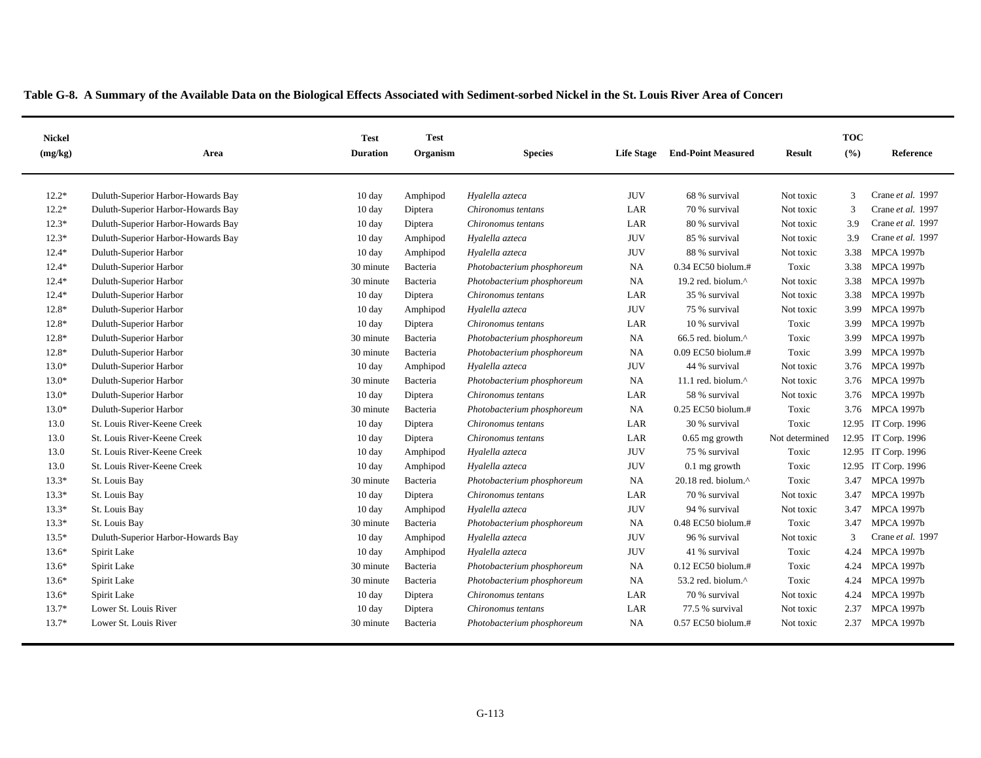| <b>Nickel</b><br>(mg/kg) | Area                               | <b>Test</b><br><b>Test</b><br><b>Duration</b><br>Organism<br><b>Species</b><br><b>Life Stage</b><br><b>End-Point Measured</b> |          | <b>Result</b>              | <b>TOC</b><br>(%) | Reference                     |                |               |                     |
|--------------------------|------------------------------------|-------------------------------------------------------------------------------------------------------------------------------|----------|----------------------------|-------------------|-------------------------------|----------------|---------------|---------------------|
|                          |                                    |                                                                                                                               |          |                            |                   |                               |                |               |                     |
| $12.2*$                  | Duluth-Superior Harbor-Howards Bay | 10 day                                                                                                                        | Amphipod | Hyalella azteca            | <b>JUV</b>        | 68 % survival                 | Not toxic      | $\mathcal{R}$ | Crane et al. 1997   |
| $12.2*$                  | Duluth-Superior Harbor-Howards Bay | 10 day                                                                                                                        | Diptera  | Chironomus tentans         | LAR               | 70 % survival                 | Not toxic      | 3             | Crane et al. 1997   |
| $12.3*$                  | Duluth-Superior Harbor-Howards Bay | 10 day                                                                                                                        | Diptera  | Chironomus tentans         | LAR               | 80 % survival                 | Not toxic      | 3.9           | Crane et al. 1997   |
| $12.3*$                  | Duluth-Superior Harbor-Howards Bay | 10 day                                                                                                                        | Amphipod | Hyalella azteca            | <b>JUV</b>        | 85 % survival                 | Not toxic      | 3.9           | Crane et al. 1997   |
| $12.4*$                  | Duluth-Superior Harbor             | 10 day                                                                                                                        | Amphipod | Hyalella azteca            | <b>JUV</b>        | 88 % survival                 | Not toxic      | 3.38          | <b>MPCA 1997b</b>   |
| $12.4*$                  | Duluth-Superior Harbor             | 30 minute                                                                                                                     | Bacteria | Photobacterium phosphoreum | NA                | 0.34 EC50 biolum.#            | Toxic          | 3.38          | <b>MPCA 1997b</b>   |
| $12.4*$                  | Duluth-Superior Harbor             | 30 minute                                                                                                                     | Bacteria | Photobacterium phosphoreum | NA                | 19.2 red. biolum.^            | Not toxic      | 3.38          | <b>MPCA 1997b</b>   |
| $12.4*$                  | Duluth-Superior Harbor             | 10 day                                                                                                                        | Diptera  | Chironomus tentans         | LAR               | 35 % survival                 | Not toxic      | 3.38          | <b>MPCA 1997b</b>   |
| 12.8*                    | Duluth-Superior Harbor             | 10 day                                                                                                                        | Amphipod | Hyalella azteca            | <b>JUV</b>        | 75 % survival                 | Not toxic      | 3.99          | <b>MPCA 1997b</b>   |
| 12.8*                    | Duluth-Superior Harbor             | 10 day                                                                                                                        | Diptera  | Chironomus tentans         | LAR               | 10 % survival                 | Toxic          | 3.99          | <b>MPCA 1997b</b>   |
| $12.8*$                  | Duluth-Superior Harbor             | 30 minute                                                                                                                     | Bacteria | Photobacterium phosphoreum | NA                | 66.5 red. biolum. $^{\wedge}$ | Toxic          | 3.99          | <b>MPCA 1997b</b>   |
| $12.8*$                  | Duluth-Superior Harbor             | 30 minute                                                                                                                     | Bacteria | Photobacterium phosphoreum | NA                | 0.09 EC50 biolum.#            | Toxic          | 3.99          | <b>MPCA 1997b</b>   |
| $13.0*$                  | Duluth-Superior Harbor             | $10 \text{ day}$                                                                                                              | Amphipod | Hyalella azteca            | <b>JUV</b>        | 44 % survival                 | Not toxic      | 3.76          | <b>MPCA 1997b</b>   |
| $13.0*$                  | Duluth-Superior Harbor             | 30 minute                                                                                                                     | Bacteria | Photobacterium phosphoreum | NA                | 11.1 red. biolum. $^{\wedge}$ | Not toxic      | 3.76          | <b>MPCA 1997b</b>   |
| $13.0*$                  | Duluth-Superior Harbor             | $10 \text{ day}$                                                                                                              | Diptera  | Chironomus tentans         | LAR               | 58 % survival                 | Not toxic      | 3.76          | <b>MPCA 1997b</b>   |
| $13.0*$                  | Duluth-Superior Harbor             | 30 minute                                                                                                                     | Bacteria | Photobacterium phosphoreum | NA                | 0.25 EC50 biolum.#            | Toxic          | 3.76          | <b>MPCA 1997b</b>   |
| 13.0                     | St. Louis River-Keene Creek        | 10 day                                                                                                                        | Diptera  | Chironomus tentans         | LAR               | 30 % survival                 | Toxic          |               | 12.95 IT Corp. 1996 |
| 13.0                     | St. Louis River-Keene Creek        | 10 day                                                                                                                        | Diptera  | Chironomus tentans         | LAR               | $0.65$ mg growth              | Not determined |               | 12.95 IT Corp. 1996 |
| 13.0                     | St. Louis River-Keene Creek        | 10 day                                                                                                                        | Amphipod | Hyalella azteca            | <b>JUV</b>        | 75 % survival                 | Toxic          |               | 12.95 IT Corp. 1996 |
| 13.0                     | St. Louis River-Keene Creek        | 10 day                                                                                                                        | Amphipod | Hyalella azteca            | <b>JUV</b>        | $0.1$ mg growth               | Toxic          |               | 12.95 IT Corp. 1996 |
| $13.3*$                  | St. Louis Bay                      | 30 minute                                                                                                                     | Bacteria | Photobacterium phosphoreum | NA                | 20.18 red. biolum.^           | Toxic          | 3.47          | <b>MPCA 1997b</b>   |
| $13.3*$                  | St. Louis Bay                      | 10 day                                                                                                                        | Diptera  | Chironomus tentans         | LAR               | 70 % survival                 | Not toxic      | 3.47          | <b>MPCA 1997b</b>   |
| $13.3*$                  | St. Louis Bay                      | $10 \text{ day}$                                                                                                              | Amphipod | Hyalella azteca            | <b>JUV</b>        | 94 % survival                 | Not toxic      | 3.47          | <b>MPCA 1997b</b>   |
| $13.3*$                  | St. Louis Bay                      | 30 minute                                                                                                                     | Bacteria | Photobacterium phosphoreum | NA                | 0.48 EC50 biolum.#            | Toxic          | 3.47          | <b>MPCA 1997b</b>   |
| $13.5*$                  | Duluth-Superior Harbor-Howards Bay | 10 day                                                                                                                        | Amphipod | Hyalella azteca            | <b>JUV</b>        | 96 % survival                 | Not toxic      | 3             | Crane et al. 1997   |
| $13.6*$                  | Spirit Lake                        | 10 day                                                                                                                        | Amphipod | Hyalella azteca            | <b>JUV</b>        | 41 % survival                 | Toxic          | 4.24          | <b>MPCA 1997b</b>   |
| $13.6*$                  | Spirit Lake                        | 30 minute                                                                                                                     | Bacteria | Photobacterium phosphoreum | NA                | $0.12$ EC50 biolum.#          | Toxic          | 4.24          | <b>MPCA 1997b</b>   |
| $13.6*$                  | Spirit Lake                        | 30 minute                                                                                                                     | Bacteria | Photobacterium phosphoreum | NA                | 53.2 red. biolum.^            | Toxic          | 4.24          | <b>MPCA 1997b</b>   |
| $13.6*$                  | Spirit Lake                        | 10 day                                                                                                                        | Diptera  | Chironomus tentans         | LAR               | 70 % survival                 | Not toxic      | 4.24          | <b>MPCA 1997b</b>   |
| $13.7*$                  | Lower St. Louis River              | $10 \text{ day}$                                                                                                              | Diptera  | Chironomus tentans         | LAR               | 77.5 % survival               | Not toxic      | 2.37          | <b>MPCA 1997b</b>   |
| $13.7*$                  | Lower St. Louis River              | 30 minute                                                                                                                     | Bacteria | Photobacterium phosphoreum | NA                | $0.57$ EC50 biolum.#          | Not toxic      | 2.37          | <b>MPCA 1997b</b>   |
|                          |                                    |                                                                                                                               |          |                            |                   |                               |                |               |                     |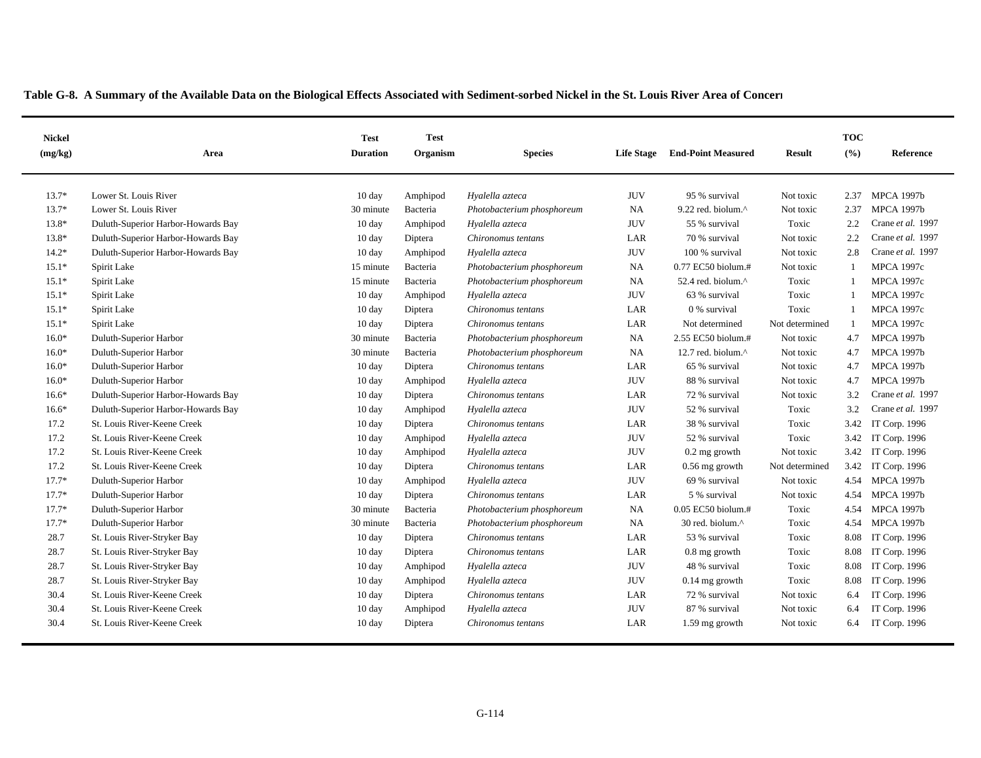| <b>Nickel</b><br>(mg/kg) | Area                               | <b>Test</b><br><b>Duration</b> | <b>Test</b><br>Organism | <b>Species</b>             | <b>End-Point Measured</b><br><b>Life Stage</b> |                               | <b>Result</b>  | <b>TOC</b><br>(%) | Reference         |
|--------------------------|------------------------------------|--------------------------------|-------------------------|----------------------------|------------------------------------------------|-------------------------------|----------------|-------------------|-------------------|
|                          |                                    |                                |                         |                            |                                                |                               |                |                   |                   |
| $13.7*$                  | Lower St. Louis River              | $10 \text{ day}$               | Amphipod                | Hyalella azteca            | <b>JUV</b>                                     | 95 % survival                 | Not toxic      | 2.37              | <b>MPCA 1997b</b> |
| $13.7*$                  | Lower St. Louis River              | 30 minute                      | Bacteria                | Photobacterium phosphoreum | <b>NA</b>                                      | 9.22 red. biolum.^            | Not toxic      | 2.37              | <b>MPCA 1997b</b> |
| 13.8*                    | Duluth-Superior Harbor-Howards Bay | $10 \text{ day}$               | Amphipod                | Hyalella azteca            | <b>JUV</b>                                     | 55 % survival                 | Toxic          | 2.2               | Crane et al. 1997 |
| $13.8*$                  | Duluth-Superior Harbor-Howards Bay | 10 day                         | Diptera                 | Chironomus tentans         | LAR                                            | 70 % survival                 | Not toxic      | 2.2               | Crane et al. 1997 |
| $14.2*$                  | Duluth-Superior Harbor-Howards Bay | $10 \text{ day}$               | Amphipod                | Hyalella azteca            | <b>JUV</b>                                     | 100 % survival                | Not toxic      | 2.8               | Crane et al. 1997 |
| $15.1*$                  | Spirit Lake                        | 15 minute                      | Bacteria                | Photobacterium phosphoreum | <b>NA</b>                                      | 0.77 EC50 biolum.#            | Not toxic      |                   | <b>MPCA 1997c</b> |
| $15.1*$                  | Spirit Lake                        | 15 minute                      | Bacteria                | Photobacterium phosphoreum | <b>NA</b>                                      | 52.4 red. biolum.^            | Toxic          |                   | <b>MPCA 1997c</b> |
| $15.1*$                  | Spirit Lake                        | $10 \text{ day}$               | Amphipod                | Hyalella azteca            | <b>JUV</b>                                     | 63 % survival                 | Toxic          |                   | <b>MPCA 1997c</b> |
| $15.1*$                  | Spirit Lake                        | $10 \text{ day}$               | Diptera                 | Chironomus tentans         | LAR                                            | 0 % survival                  | Toxic          |                   | <b>MPCA 1997c</b> |
| $15.1*$                  | Spirit Lake                        | 10 day                         | Diptera                 | Chironomus tentans         | LAR                                            | Not determined                | Not determined | -1                | <b>MPCA 1997c</b> |
| $16.0*$                  | Duluth-Superior Harbor             | 30 minute                      | Bacteria                | Photobacterium phosphoreum | <b>NA</b>                                      | 2.55 EC50 biolum.#            | Not toxic      | 4.7               | <b>MPCA 1997b</b> |
| $16.0*$                  | Duluth-Superior Harbor             | 30 minute                      | Bacteria                | Photobacterium phosphoreum | <b>NA</b>                                      | 12.7 red. biolum. $^{\wedge}$ | Not toxic      | 4.7               | <b>MPCA 1997b</b> |
| $16.0*$                  | Duluth-Superior Harbor             | 10 day                         | Diptera                 | Chironomus tentans         | LAR                                            | 65 % survival                 | Not toxic      | 4.7               | <b>MPCA 1997b</b> |
| $16.0*$                  | Duluth-Superior Harbor             | 10 day                         | Amphipod                | Hyalella azteca            | <b>JUV</b>                                     | 88 % survival                 | Not toxic      | 4.7               | <b>MPCA 1997b</b> |
| $16.6*$                  | Duluth-Superior Harbor-Howards Bay | $10 \text{ day}$               | Diptera                 | Chironomus tentans         | LAR                                            | 72 % survival                 | Not toxic      | 3.2               | Crane et al. 1997 |
| $16.6*$                  | Duluth-Superior Harbor-Howards Bay | 10 day                         | Amphipod                | Hyalella azteca            | <b>JUV</b>                                     | 52 % survival                 | Toxic          | 3.2               | Crane et al. 1997 |
| 17.2                     | St. Louis River-Keene Creek        | 10 day                         | Diptera                 | Chironomus tentans         | LAR                                            | 38 % survival                 | Toxic          | 3.42              | IT Corp. 1996     |
| 17.2                     | St. Louis River-Keene Creek        | 10 day                         | Amphipod                | Hyalella azteca            | <b>JUV</b>                                     | 52 % survival                 | Toxic          | 3.42              | IT Corp. 1996     |
| 17.2                     | St. Louis River-Keene Creek        | $10 \text{ day}$               | Amphipod                | Hyalella azteca            | <b>JUV</b>                                     | $0.2$ mg growth               | Not toxic      | 3.42              | IT Corp. 1996     |
| 17.2                     | St. Louis River-Keene Creek        | 10 day                         | Diptera                 | Chironomus tentans         | LAR                                            | $0.56$ mg growth              | Not determined | 3.42              | IT Corp. 1996     |
| $17.7*$                  | Duluth-Superior Harbor             | 10 day                         | Amphipod                | Hyalella azteca            | <b>JUV</b>                                     | 69 % survival                 | Not toxic      | 4.54              | <b>MPCA 1997b</b> |
| $17.7*$                  | Duluth-Superior Harbor             | $10 \text{ day}$               | Diptera                 | Chironomus tentans         | LAR                                            | 5 % survival                  | Not toxic      | 4.54              | <b>MPCA 1997b</b> |
| $17.7*$                  | Duluth-Superior Harbor             | 30 minute                      | Bacteria                | Photobacterium phosphoreum | <b>NA</b>                                      | 0.05 EC50 biolum.#            | Toxic          | 4.54              | <b>MPCA 1997b</b> |
| $17.7*$                  | Duluth-Superior Harbor             | 30 minute                      | Bacteria                | Photobacterium phosphoreum | <b>NA</b>                                      | 30 red. biolum.^              | Toxic          | 4.54              | <b>MPCA 1997b</b> |
| 28.7                     | St. Louis River-Stryker Bay        | $10 \text{ day}$               | Diptera                 | Chironomus tentans         | LAR                                            | 53 % survival                 | Toxic          | 8.08              | IT Corp. 1996     |
| 28.7                     | St. Louis River-Stryker Bay        | 10 day                         | Diptera                 | Chironomus tentans         | LAR                                            | $0.8$ mg growth               | Toxic          | 8.08              | IT Corp. 1996     |
| 28.7                     | St. Louis River-Stryker Bay        | 10 day                         | Amphipod                | Hyalella azteca            | <b>JUV</b>                                     | 48 % survival                 | Toxic          | 8.08              | IT Corp. 1996     |
| 28.7                     | St. Louis River-Stryker Bay        | 10 day                         | Amphipod                | Hyalella azteca            | <b>JUV</b>                                     | $0.14$ mg growth              | Toxic          | 8.08              | IT Corp. 1996     |
| 30.4                     | St. Louis River-Keene Creek        | 10 day                         | Diptera                 | Chironomus tentans         | LAR                                            | 72 % survival                 | Not toxic      | 6.4               | IT Corp. 1996     |
| 30.4                     | St. Louis River-Keene Creek        | 10 day                         | Amphipod                | Hyalella azteca            | <b>JUV</b>                                     | 87 % survival                 | Not toxic      | 6.4               | IT Corp. 1996     |
| 30.4                     | St. Louis River-Keene Creek        | 10 day                         | Diptera                 | Chironomus tentans         | LAR                                            | $1.59$ mg growth              | Not toxic      | 6.4               | IT Corp. 1996     |
|                          |                                    |                                |                         |                            |                                                |                               |                |                   |                   |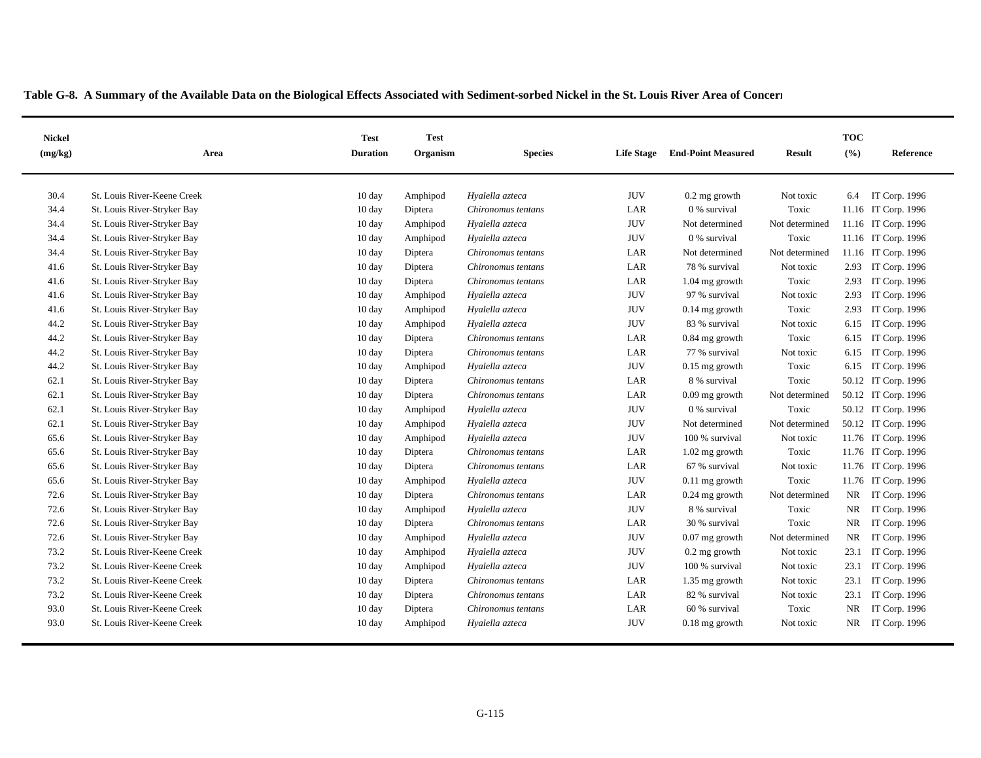| <b>Nickel</b><br>(mg/kg) | Area                        | <b>Test</b><br><b>Duration</b> | <b>Test</b><br>Organism | <b>Species</b>     | <b>Life Stage</b> | <b>End-Point Measured</b> | Result         | <b>TOC</b><br>(%) | Reference           |
|--------------------------|-----------------------------|--------------------------------|-------------------------|--------------------|-------------------|---------------------------|----------------|-------------------|---------------------|
|                          |                             |                                |                         |                    |                   |                           |                |                   |                     |
| 30.4                     | St. Louis River-Keene Creek | $10 \text{ day}$               | Amphipod                | Hyalella azteca    | <b>JUV</b>        | $0.2$ mg growth           | Not toxic      | 6.4               | IT Corp. 1996       |
| 34.4                     | St. Louis River-Stryker Bay | 10 day                         | Diptera                 | Chironomus tentans | LAR               | 0 % survival              | Toxic          |                   | 11.16 IT Corp. 1996 |
| 34.4                     | St. Louis River-Stryker Bay | $10 \text{ day}$               | Amphipod                | Hyalella azteca    | <b>JUV</b>        | Not determined            | Not determined |                   | 11.16 IT Corp. 1996 |
| 34.4                     | St. Louis River-Stryker Bay | $10 \text{ day}$               | Amphipod                | Hyalella azteca    | <b>JUV</b>        | 0 % survival              | Toxic          |                   | 11.16 IT Corp. 1996 |
| 34.4                     | St. Louis River-Stryker Bay | $10 \text{ day}$               | Diptera                 | Chironomus tentans | LAR               | Not determined            | Not determined |                   | 11.16 IT Corp. 1996 |
| 41.6                     | St. Louis River-Stryker Bay | $10 \text{ day}$               | Diptera                 | Chironomus tentans | LAR               | 78 % survival             | Not toxic      | 2.93              | IT Corp. 1996       |
| 41.6                     | St. Louis River-Stryker Bay | $10 \text{ day}$               | Diptera                 | Chironomus tentans | LAR               | $1.04$ mg growth          | Toxic          | 2.93              | IT Corp. 1996       |
| 41.6                     | St. Louis River-Stryker Bay | 10 <sub>day</sub>              | Amphipod                | Hyalella azteca    | <b>JUV</b>        | 97 % survival             | Not toxic      | 2.93              | IT Corp. 1996       |
| 41.6                     | St. Louis River-Stryker Bay | 10 <sub>day</sub>              | Amphipod                | Hyalella azteca    | <b>JUV</b>        | $0.14$ mg growth          | Toxic          | 2.93              | IT Corp. 1996       |
| 44.2                     | St. Louis River-Stryker Bay | $10 \text{ day}$               | Amphipod                | Hyalella azteca    | <b>JUV</b>        | 83 % survival             | Not toxic      | 6.15              | IT Corp. 1996       |
| 44.2                     | St. Louis River-Stryker Bay | $10 \text{ day}$               | Diptera                 | Chironomus tentans | LAR               | $0.84$ mg growth          | Toxic          | 6.15              | IT Corp. 1996       |
| 44.2                     | St. Louis River-Stryker Bay | $10 \text{ day}$               | Diptera                 | Chironomus tentans | LAR               | 77 % survival             | Not toxic      | 6.15              | IT Corp. 1996       |
| 44.2                     | St. Louis River-Stryker Bay | 10 <sub>day</sub>              | Amphipod                | Hyalella azteca    | <b>JUV</b>        | $0.15$ mg growth          | Toxic          | 6.15              | IT Corp. 1996       |
| 62.1                     | St. Louis River-Stryker Bay | 10 day                         | Diptera                 | Chironomus tentans | LAR               | 8 % survival              | Toxic          |                   | 50.12 IT Corp. 1996 |
| 62.1                     | St. Louis River-Stryker Bay | 10 day                         | Diptera                 | Chironomus tentans | LAR               | $0.09$ mg growth          | Not determined |                   | 50.12 IT Corp. 1996 |
| 62.1                     | St. Louis River-Stryker Bay | $10 \text{ day}$               | Amphipod                | Hyalella azteca    | <b>JUV</b>        | 0 % survival              | Toxic          |                   | 50.12 IT Corp. 1996 |
| 62.1                     | St. Louis River-Stryker Bay | 10 day                         | Amphipod                | Hyalella azteca    | <b>JUV</b>        | Not determined            | Not determined |                   | 50.12 IT Corp. 1996 |
| 65.6                     | St. Louis River-Stryker Bay | $10 \text{ day}$               | Amphipod                | Hyalella azteca    | <b>JUV</b>        | 100 % survival            | Not toxic      |                   | 11.76 IT Corp. 1996 |
| 65.6                     | St. Louis River-Stryker Bay | $10 \text{ day}$               | Diptera                 | Chironomus tentans | LAR               | $1.02$ mg growth          | Toxic          |                   | 11.76 IT Corp. 1996 |
| 65.6                     | St. Louis River-Stryker Bay | $10 \text{ day}$               | Diptera                 | Chironomus tentans | LAR               | 67 % survival             | Not toxic      |                   | 11.76 IT Corp. 1996 |
| 65.6                     | St. Louis River-Stryker Bay | $10 \text{ day}$               | Amphipod                | Hyalella azteca    | <b>JUV</b>        | $0.11$ mg growth          | Toxic          |                   | 11.76 IT Corp. 1996 |
| 72.6                     | St. Louis River-Stryker Bay | $10 \text{ day}$               | Diptera                 | Chironomus tentans | LAR               | $0.24$ mg growth          | Not determined | NR.               | IT Corp. 1996       |
| 72.6                     | St. Louis River-Stryker Bay | $10 \text{ day}$               | Amphipod                | Hyalella azteca    | <b>JUV</b>        | 8 % survival              | Toxic          | NR                | IT Corp. 1996       |
| 72.6                     | St. Louis River-Stryker Bay | $10 \text{ day}$               | Diptera                 | Chironomus tentans | LAR               | 30 % survival             | Toxic          | NR                | IT Corp. 1996       |
| 72.6                     | St. Louis River-Stryker Bay | $10 \text{ day}$               | Amphipod                | Hyalella azteca    | <b>JUV</b>        | $0.07$ mg growth          | Not determined | <b>NR</b>         | IT Corp. 1996       |
| 73.2                     | St. Louis River-Keene Creek | 10 <sub>day</sub>              | Amphipod                | Hyalella azteca    | <b>JUV</b>        | $0.2$ mg growth           | Not toxic      | 23.1              | IT Corp. 1996       |
| 73.2                     | St. Louis River-Keene Creek | $10 \text{ day}$               | Amphipod                | Hyalella azteca    | <b>JUV</b>        | 100 % survival            | Not toxic      | 23.1              | IT Corp. 1996       |
| 73.2                     | St. Louis River-Keene Creek | $10 \text{ day}$               | Diptera                 | Chironomus tentans | LAR               | 1.35 mg growth            | Not toxic      | 23.1              | IT Corp. 1996       |
| 73.2                     | St. Louis River-Keene Creek | $10 \text{ day}$               | Diptera                 | Chironomus tentans | LAR               | 82 % survival             | Not toxic      | 23.1              | IT Corp. 1996       |
| 93.0                     | St. Louis River-Keene Creek | $10 \text{ day}$               | Diptera                 | Chironomus tentans | LAR               | 60 % survival             | Toxic          | NR                | IT Corp. 1996       |
| 93.0                     | St. Louis River-Keene Creek | 10 day                         | Amphipod                | Hyalella azteca    | <b>JUV</b>        | $0.18$ mg growth          | Not toxic      |                   | NR IT Corp. 1996    |
|                          |                             |                                |                         |                    |                   |                           |                |                   |                     |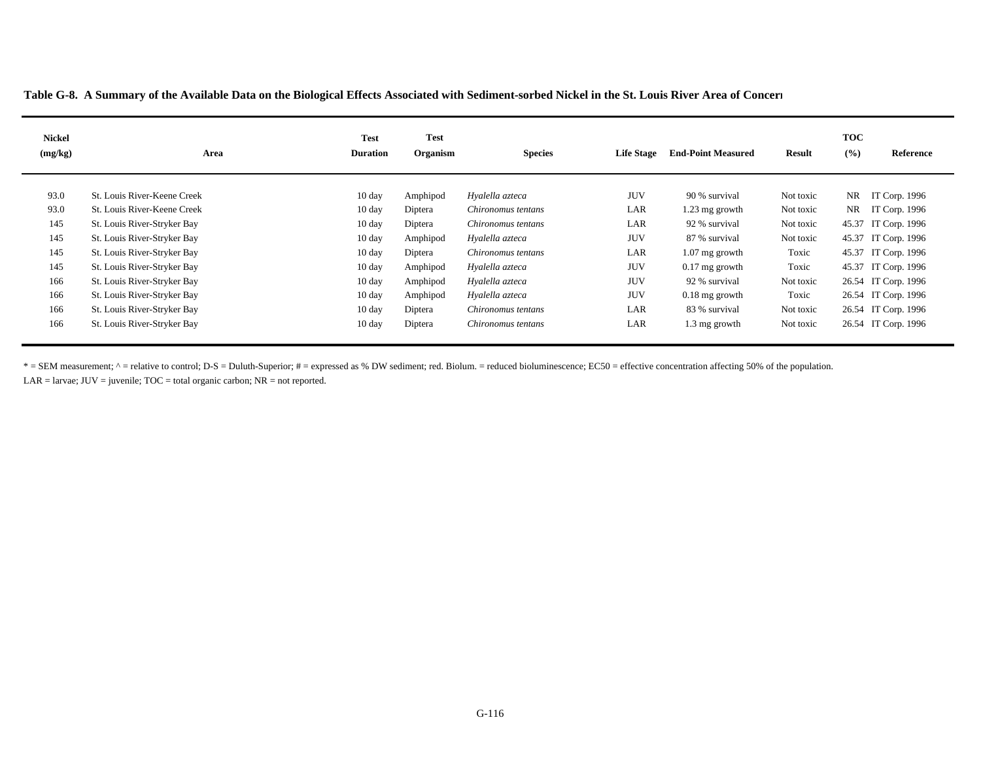| <b>Nickel</b><br>(mg/kg) | Area                        | <b>Test</b><br><b>Duration</b> | <b>Test</b><br>Organism | <b>Species</b>     | <b>Life Stage</b> | <b>End-Point Measured</b> | <b>Result</b> | <b>TOC</b><br>(9/6) | Reference           |
|--------------------------|-----------------------------|--------------------------------|-------------------------|--------------------|-------------------|---------------------------|---------------|---------------------|---------------------|
| 93.0                     | St. Louis River-Keene Creek | $10 \text{ day}$               | Amphipod                | Hyalella azteca    | <b>JUV</b>        | 90 % survival             | Not toxic     |                     | NR IT Corp. 1996    |
| 93.0                     | St. Louis River-Keene Creek | $10 \text{ day}$               | Diptera                 | Chironomus tentans | LAR               | $1.23$ mg growth          | Not toxic     |                     | NR IT Corp. 1996    |
| 145                      | St. Louis River-Stryker Bay | $10 \text{ day}$               | Diptera                 | Chironomus tentans | LAR               | 92 % survival             | Not toxic     |                     | 45.37 IT Corp. 1996 |
| 145                      | St. Louis River-Stryker Bay | $10 \text{ day}$               | Amphipod                | Hyalella azteca    | <b>JUV</b>        | 87 % survival             | Not toxic     |                     | 45.37 IT Corp. 1996 |
| 145                      | St. Louis River-Stryker Bay | $10 \text{ day}$               | Diptera                 | Chironomus tentans | LAR               | $1.07$ mg growth          | Toxic         |                     | 45.37 IT Corp. 1996 |
| 145                      | St. Louis River-Stryker Bay | $10 \text{ day}$               | Amphipod                | Hyalella azteca    | <b>JUV</b>        | $0.17$ mg growth          | Toxic         |                     | 45.37 IT Corp. 1996 |
| 166                      | St. Louis River-Stryker Bay | $10 \text{ day}$               | Amphipod                | Hyalella azteca    | <b>JUV</b>        | 92 % survival             | Not toxic     |                     | 26.54 IT Corp. 1996 |
| 166                      | St. Louis River-Stryker Bay | $10 \text{ day}$               | Amphipod                | Hyalella azteca    | <b>JUV</b>        | $0.18$ mg growth          | Toxic         |                     | 26.54 IT Corp. 1996 |
| 166                      | St. Louis River-Stryker Bay | $10 \text{ day}$               | Diptera                 | Chironomus tentans | LAR               | 83 % survival             | Not toxic     |                     | 26.54 IT Corp. 1996 |
| 166                      | St. Louis River-Stryker Bay | $10 \text{ day}$               | Diptera                 | Chironomus tentans | LAR               | 1.3 mg growth             | Not toxic     |                     | 26.54 IT Corp. 1996 |

\* = SEM measurement;  $\land$  = relative to control; D-S = Duluth-Superior; # = expressed as % DW sediment; red. Biolum. = reduced bioluminescence; EC50 = effective concentration affecting 50% of the population.

LAR = larvae;  $JUV =$  juvenile;  $TOC =$  total organic carbon;  $NR =$  not reported.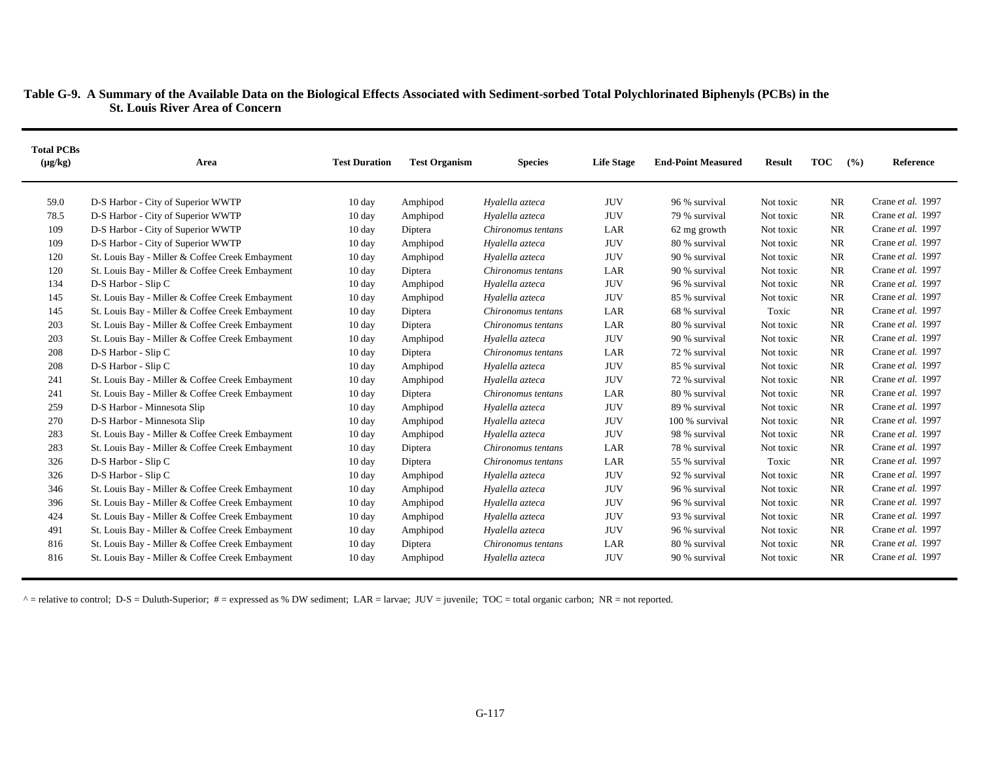# **Table G-9. A Summary of the Available Data on the Biological Effects Associated with Sediment-sorbed Total Polychlorinated Biphenyls (PCBs) in the St. Louis River Area of Concern**

| <b>Total PCBs</b><br>$(\mu g/kg)$ | Area                                            | <b>Test Duration</b> | <b>Test Organism</b> | <b>Species</b>     | <b>Life Stage</b> | <b>End-Point Measured</b> | <b>Result</b> | <b>TOC</b><br>(%) | <b>Reference</b>  |
|-----------------------------------|-------------------------------------------------|----------------------|----------------------|--------------------|-------------------|---------------------------|---------------|-------------------|-------------------|
| 59.0                              | D-S Harbor - City of Superior WWTP              | $10 \text{ day}$     | Amphipod             | Hyalella azteca    | <b>JUV</b>        | 96 % survival             | Not toxic     | <b>NR</b>         | Crane et al. 1997 |
| 78.5                              | D-S Harbor - City of Superior WWTP              | $10 \text{ day}$     | Amphipod             | Hyalella azteca    | <b>JUV</b>        | 79 % survival             | Not toxic     | <b>NR</b>         | Crane et al. 1997 |
| 109                               | D-S Harbor - City of Superior WWTP              | $10 \text{ day}$     | Diptera              | Chironomus tentans | LAR               | 62 mg growth              | Not toxic     | <b>NR</b>         | Crane et al. 1997 |
| 109                               | D-S Harbor - City of Superior WWTP              | $10 \text{ day}$     | Amphipod             | Hyalella azteca    | <b>JUV</b>        | 80 % survival             | Not toxic     | <b>NR</b>         | Crane et al. 1997 |
| 120                               | St. Louis Bay - Miller & Coffee Creek Embayment | 10 day               | Amphipod             | Hyalella azteca    | <b>JUV</b>        | 90 % survival             | Not toxic     | <b>NR</b>         | Crane et al. 1997 |
| 120                               | St. Louis Bay - Miller & Coffee Creek Embayment | 10 day               | Diptera              | Chironomus tentans | LAR               | 90 % survival             | Not toxic     | <b>NR</b>         | Crane et al. 1997 |
| 134                               | D-S Harbor - Slip C                             | $10 \text{ day}$     | Amphipod             | Hyalella azteca    | <b>JUV</b>        | 96 % survival             | Not toxic     | <b>NR</b>         | Crane et al. 1997 |
| 145                               | St. Louis Bay - Miller & Coffee Creek Embayment | $10 \text{ day}$     | Amphipod             | Hyalella azteca    | <b>JUV</b>        | 85 % survival             | Not toxic     | <b>NR</b>         | Crane et al. 1997 |
| 145                               | St. Louis Bay - Miller & Coffee Creek Embayment | $10 \text{ day}$     | Diptera              | Chironomus tentans | LAR               | 68 % survival             | Toxic         | <b>NR</b>         | Crane et al. 1997 |
| 203                               | St. Louis Bay - Miller & Coffee Creek Embayment | 10 day               | Diptera              | Chironomus tentans | LAR               | 80 % survival             | Not toxic     | <b>NR</b>         | Crane et al. 1997 |
| 203                               | St. Louis Bay - Miller & Coffee Creek Embayment | 10 day               | Amphipod             | Hyalella azteca    | <b>JUV</b>        | 90 % survival             | Not toxic     | <b>NR</b>         | Crane et al. 1997 |
| 208                               | D-S Harbor - Slip C                             | $10 \text{ day}$     | Diptera              | Chironomus tentans | LAR               | 72 % survival             | Not toxic     | <b>NR</b>         | Crane et al. 1997 |
| 208                               | D-S Harbor - Slip C                             | $10 \text{ day}$     | Amphipod             | Hyalella azteca    | <b>JUV</b>        | 85 % survival             | Not toxic     | <b>NR</b>         | Crane et al. 1997 |
| 241                               | St. Louis Bay - Miller & Coffee Creek Embayment | 10 day               | Amphipod             | Hyalella azteca    | <b>JUV</b>        | 72 % survival             | Not toxic     | <b>NR</b>         | Crane et al. 1997 |
| 241                               | St. Louis Bay - Miller & Coffee Creek Embayment | $10 \text{ day}$     | Diptera              | Chironomus tentans | LAR               | 80 % survival             | Not toxic     | <b>NR</b>         | Crane et al. 1997 |
| 259                               | D-S Harbor - Minnesota Slip                     | $10 \text{ day}$     | Amphipod             | Hyalella azteca    | <b>JUV</b>        | 89 % survival             | Not toxic     | <b>NR</b>         | Crane et al. 1997 |
| 270                               | D-S Harbor - Minnesota Slip                     | $10 \text{ day}$     | Amphipod             | Hyalella azteca    | <b>JUV</b>        | 100 % survival            | Not toxic     | <b>NR</b>         | Crane et al. 1997 |
| 283                               | St. Louis Bay - Miller & Coffee Creek Embayment | $10 \text{ day}$     | Amphipod             | Hyalella azteca    | <b>JUV</b>        | 98 % survival             | Not toxic     | <b>NR</b>         | Crane et al. 1997 |
| 283                               | St. Louis Bay - Miller & Coffee Creek Embayment | $10 \text{ day}$     | Diptera              | Chironomus tentans | LAR               | 78 % survival             | Not toxic     | <b>NR</b>         | Crane et al. 1997 |
| 326                               | D-S Harbor - Slip C                             | $10 \text{ day}$     | Diptera              | Chironomus tentans | LAR               | 55 % survival             | Toxic         | <b>NR</b>         | Crane et al. 1997 |
| 326                               | D-S Harbor - Slip C                             | $10 \text{ day}$     | Amphipod             | Hyalella azteca    | <b>JUV</b>        | 92 % survival             | Not toxic     | <b>NR</b>         | Crane et al. 1997 |
| 346                               | St. Louis Bay - Miller & Coffee Creek Embayment | $10 \text{ day}$     | Amphipod             | Hyalella azteca    | <b>JUV</b>        | 96 % survival             | Not toxic     | <b>NR</b>         | Crane et al. 1997 |
| 396                               | St. Louis Bay - Miller & Coffee Creek Embayment | 10 day               | Amphipod             | Hyalella azteca    | <b>JUV</b>        | 96 % survival             | Not toxic     | <b>NR</b>         | Crane et al. 1997 |
| 424                               | St. Louis Bay - Miller & Coffee Creek Embayment | $10 \text{ day}$     | Amphipod             | Hyalella azteca    | <b>JUV</b>        | 93 % survival             | Not toxic     | <b>NR</b>         | Crane et al. 1997 |
| 491                               | St. Louis Bay - Miller & Coffee Creek Embayment | $10 \text{ day}$     | Amphipod             | Hyalella azteca    | <b>JUV</b>        | 96 % survival             | Not toxic     | <b>NR</b>         | Crane et al. 1997 |
| 816                               | St. Louis Bay - Miller & Coffee Creek Embayment | $10 \text{ day}$     | Diptera              | Chironomus tentans | LAR               | 80 % survival             | Not toxic     | NR                | Crane et al. 1997 |
| 816                               | St. Louis Bay - Miller & Coffee Creek Embayment | $10 \text{ day}$     | Amphipod             | Hyalella azteca    | <b>JUV</b>        | 90 % survival             | Not toxic     | NR                | Crane et al. 1997 |

 $^{\circ}$  = relative to control; D-S = Duluth-Superior; # = expressed as % DW sediment; LAR = larvae; JUV = juvenile; TOC = total organic carbon; NR = not reported.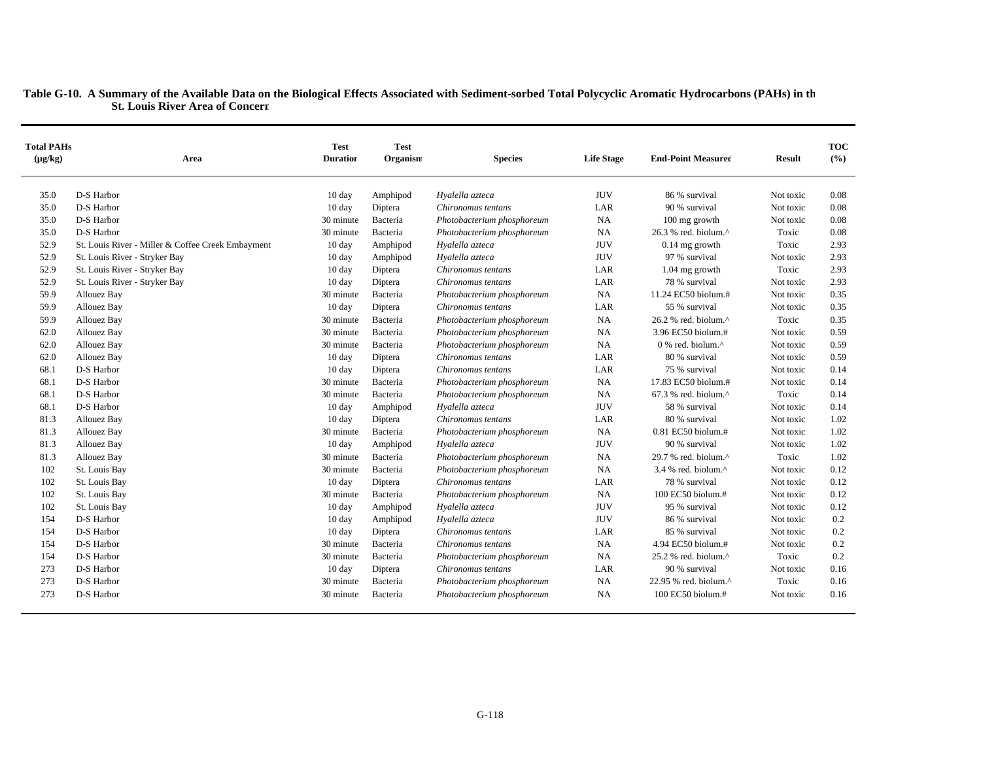| <b>Total PAHs</b><br>$(\mu g/kg)$ | Area                                              | <b>Test</b><br><b>Duration</b> | <b>Test</b><br>Organism | <b>Species</b>             | <b>Life Stage</b> | <b>End-Point Measured</b>                           | <b>Result</b> | <b>TOC</b><br>(%) |
|-----------------------------------|---------------------------------------------------|--------------------------------|-------------------------|----------------------------|-------------------|-----------------------------------------------------|---------------|-------------------|
| 35.0                              | D-S Harbor                                        | $10 \text{ day}$               | Amphipod                | Hyalella azteca            | <b>JUV</b>        | 86 % survival                                       | Not toxic     | 0.08              |
| 35.0                              | D-S Harbor                                        | $10 \text{ day}$               | Diptera                 | Chironomus tentans         | LAR               | 90 % survival                                       | Not toxic     | 0.08              |
| 35.0                              | D-S Harbor                                        | 30 minute                      | Bacteria                | Photobacterium phosphoreum | <b>NA</b>         | 100 mg growth                                       | Not toxic     | 0.08              |
| 35.0                              | D-S Harbor                                        | 30 minute                      | Bacteria                | Photobacterium phosphoreum | <b>NA</b>         | 26.3 % red. biolum.^                                | Toxic         | 0.08              |
| 52.9                              | St. Louis River - Miller & Coffee Creek Embayment | 10 day                         | Amphipod                | Hyalella azteca            | <b>JUV</b>        | $0.14$ mg growth                                    | Toxic         | 2.93              |
| 52.9                              | St. Louis River - Stryker Bay                     | $10 \text{ day}$               | Amphipod                | Hyalella azteca            | <b>JUV</b>        | 97 % survival                                       | Not toxic     | 2.93              |
| 52.9                              | St. Louis River - Stryker Bay                     | $10 \text{ day}$               | Diptera                 | Chironomus tentans         | LAR               | 1.04 mg growth                                      | Toxic         | 2.93              |
| 52.9                              | St. Louis River - Stryker Bay                     | 10 day                         | Diptera                 | Chironomus tentans         | LAR               | 78 % survival                                       | Not toxic     | 2.93              |
| 59.9                              | Allouez Bay                                       | 30 minute                      | Bacteria                | Photobacterium phosphoreum | <b>NA</b>         | 11.24 EC50 biolum.#                                 | Not toxic     | 0.35              |
| 59.9                              | <b>Allouez Bay</b>                                | $10 \text{ day}$               | Diptera                 | Chironomus tentans         | LAR               | 55 % survival                                       | Not toxic     | 0.35              |
| 59.9                              | <b>Allouez Bay</b>                                | 30 minute                      | Bacteria                | Photobacterium phosphoreum | NA                | 26.2 % red. biolum.^                                | Toxic         | 0.35              |
| 62.0                              | <b>Allouez Bay</b>                                | 30 minute                      | Bacteria                | Photobacterium phosphoreum | <b>NA</b>         | 3.96 EC50 biolum.#                                  | Not toxic     | 0.59              |
| 62.0                              | Allouez Bay                                       | 30 minute                      | Bacteria                | Photobacterium phosphoreum | <b>NA</b>         | $0\%$ red. biolum. <sup><math>\wedge</math></sup>   | Not toxic     | 0.59              |
| 62.0                              | Allouez Bay                                       | 10 day                         | Diptera                 | Chironomus tentans         | LAR               | 80 % survival                                       | Not toxic     | 0.59              |
| 68.1                              | D-S Harbor                                        | $10 \text{ day}$               | Diptera                 | Chironomus tentans         | LAR               | 75 % survival                                       | Not toxic     | 0.14              |
| 68.1                              | D-S Harbor                                        | 30 minute                      | Bacteria                | Photobacterium phosphoreum | NA                | 17.83 EC50 biolum.#                                 | Not toxic     | 0.14              |
| 68.1                              | D-S Harbor                                        | 30 minute                      | Bacteria                | Photobacterium phosphoreum | <b>NA</b>         | $67.3$ % red. biolum. <sup><math>\land</math></sup> | Toxic         | 0.14              |
| 68.1                              | D-S Harbor                                        | $10 \text{ day}$               | Amphipod                | Hyalella azteca            | <b>JUV</b>        | 58 % survival                                       | Not toxic     | 0.14              |
| 81.3                              | <b>Allouez Bay</b>                                | 10 day                         | Diptera                 | Chironomus tentans         | LAR               | 80 % survival                                       | Not toxic     | 1.02              |
| 81.3                              | Allouez Bay                                       | 30 minute                      | Bacteria                | Photobacterium phosphoreum | <b>NA</b>         | $0.81$ EC50 biolum.#                                | Not toxic     | 1.02              |
| 81.3                              | <b>Allouez Bay</b>                                | $10 \text{ day}$               | Amphipod                | Hyalella azteca            | <b>JUV</b>        | 90 % survival                                       | Not toxic     | 1.02              |
| 81.3                              | Allouez Bay                                       | 30 minute                      | Bacteria                | Photobacterium phosphoreum | <b>NA</b>         | 29.7 % red. biolum.^                                | Toxic         | 1.02              |
| 102                               | St. Louis Bay                                     | 30 minute                      | Bacteria                | Photobacterium phosphoreum | <b>NA</b>         | $3.4$ % red. biolum. <sup><math>\land</math></sup>  | Not toxic     | 0.12              |
| 102                               | St. Louis Bay                                     | $10 \text{ day}$               | Diptera                 | Chironomus tentans         | LAR               | 78 % survival                                       | Not toxic     | 0.12              |
| 102                               | St. Louis Bay                                     | 30 minute                      | Bacteria                | Photobacterium phosphoreum | <b>NA</b>         | 100 EC50 biolum.#                                   | Not toxic     | 0.12              |
| 102                               | St. Louis Bay                                     | $10 \text{ day}$               | Amphipod                | Hyalella azteca            | <b>JUV</b>        | 95 % survival                                       | Not toxic     | 0.12              |
| 154                               | D-S Harbor                                        | $10 \text{ day}$               | Amphipod                | Hyalella azteca            | <b>JUV</b>        | 86 % survival                                       | Not toxic     | 0.2               |
| 154                               | D-S Harbor                                        | $10 \text{ day}$               | Diptera                 | Chironomus tentans         | LAR               | 85 % survival                                       | Not toxic     | 0.2               |
| 154                               | D-S Harbor                                        | 30 minute                      | Bacteria                | Chironomus tentans         | <b>NA</b>         | 4.94 EC50 biolum.#                                  | Not toxic     | 0.2               |
| 154                               | D-S Harbor                                        | 30 minute                      | Bacteria                | Photobacterium phosphoreum | <b>NA</b>         | 25.2 % red. biolum.^                                | Toxic         | 0.2               |
| 273                               | D-S Harbor                                        | $10 \text{ day}$               | Diptera                 | Chironomus tentans         | LAR               | 90 % survival                                       | Not toxic     | 0.16              |
| 273                               | D-S Harbor                                        | 30 minute                      | Bacteria                | Photobacterium phosphoreum | <b>NA</b>         | 22.95 % red. biolum.^                               | Toxic         | 0.16              |
| 273                               | D-S Harbor                                        | 30 minute                      | Bacteria                | Photobacterium phosphoreum | <b>NA</b>         | 100 EC50 biolum.#                                   | Not toxic     | 0.16              |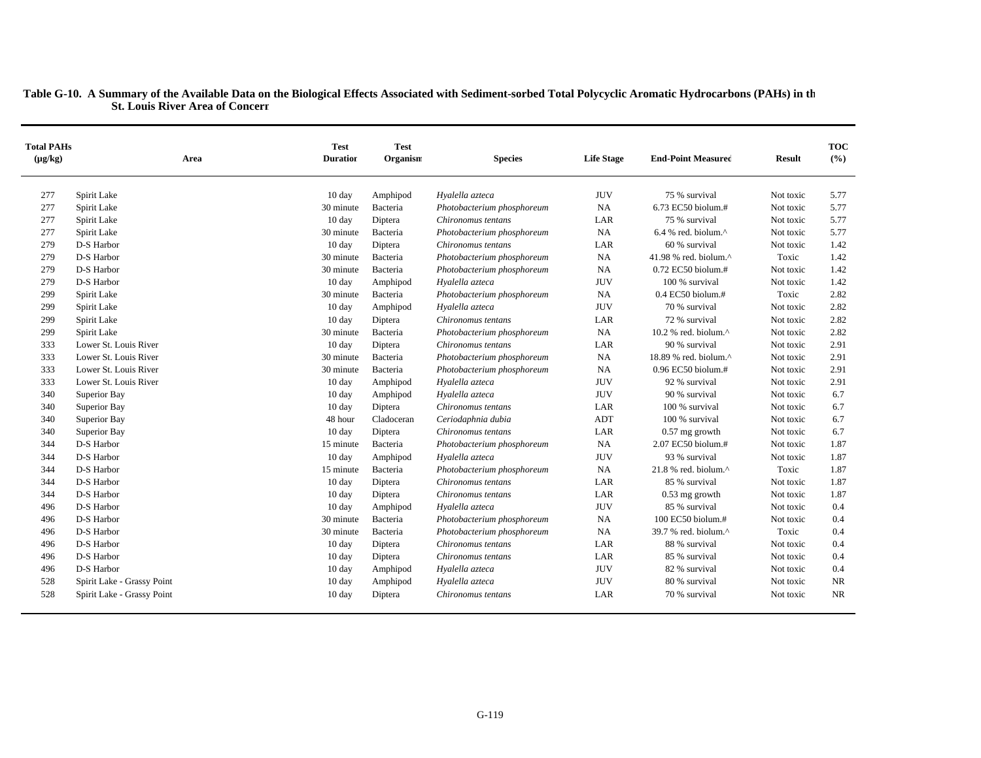| <b>Total PAHs</b><br>$(\mu g/kg)$ | Area                       | <b>Test</b><br><b>Duration</b> | <b>Test</b><br>Organism | <b>Species</b>             | <b>Life Stage</b> | <b>End-Point Measured</b>         | <b>Result</b> | <b>TOC</b><br>(%) |
|-----------------------------------|----------------------------|--------------------------------|-------------------------|----------------------------|-------------------|-----------------------------------|---------------|-------------------|
| 277                               | Spirit Lake                | 10 day                         | Amphipod                | Hyalella azteca            | <b>JUV</b>        | 75 % survival                     | Not toxic     | 5.77              |
| 277                               | Spirit Lake                | 30 minute                      | Bacteria                | Photobacterium phosphoreum | <b>NA</b>         | 6.73 EC50 biolum.#                | Not toxic     | 5.77              |
| 277                               | Spirit Lake                | $10 \text{ day}$               | Diptera                 | Chironomus tentans         | LAR               | 75 % survival                     | Not toxic     | 5.77              |
| 277                               | Spirit Lake                | 30 minute                      | Bacteria                | Photobacterium phosphoreum | <b>NA</b>         | 6.4 % red. biolum.^               | Not toxic     | 5.77              |
| 279                               | D-S Harbor                 | $10 \text{ day}$               | Diptera                 | Chironomus tentans         | LAR               | 60 % survival                     | Not toxic     | 1.42              |
| 279                               | D-S Harbor                 | 30 minute                      | Bacteria                | Photobacterium phosphoreum | NA                | 41.98 % red. biolum. $^{\wedge}$  | Toxic         | 1.42              |
| 279                               | D-S Harbor                 | 30 minute                      | Bacteria                | Photobacterium phosphoreum | NA                | $0.72$ EC50 biolum.#              | Not toxic     | 1.42              |
| 279                               | D-S Harbor                 | $10 \text{ day}$               | Amphipod                | Hyalella azteca            | <b>JUV</b>        | 100 % survival                    | Not toxic     | 1.42              |
| 299                               | Spirit Lake                | 30 minute                      | Bacteria                | Photobacterium phosphoreum | NA                | $0.4$ EC50 biolum.#               | Toxic         | 2.82              |
| 299                               | Spirit Lake                | 10 day                         | Amphipod                | Hyalella azteca            | <b>JUV</b>        | 70 % survival                     | Not toxic     | 2.82              |
| 299                               | Spirit Lake                | 10 day                         | Diptera                 | Chironomus tentans         | LAR               | 72 % survival                     | Not toxic     | 2.82              |
| 299                               | Spirit Lake                | 30 minute                      | Bacteria                | Photobacterium phosphoreum | <b>NA</b>         | 10.2 % red. biolum.^              | Not toxic     | 2.82              |
| 333                               | Lower St. Louis River      | 10 day                         | Diptera                 | Chironomus tentans         | LAR               | 90 % survival                     | Not toxic     | 2.91              |
| 333                               | Lower St. Louis River      | 30 minute                      | Bacteria                | Photobacterium phosphoreum | <b>NA</b>         | 18.89 % red. biolum.^             | Not toxic     | 2.91              |
| 333                               | Lower St. Louis River      | 30 minute                      | Bacteria                | Photobacterium phosphoreum | NA                | $0.96$ EC50 biolum.#              | Not toxic     | 2.91              |
| 333                               | Lower St. Louis River      | 10 day                         | Amphipod                | Hyalella azteca            | <b>JUV</b>        | 92 % survival                     | Not toxic     | 2.91              |
| 340                               | Superior Bay               | $10 \text{ day}$               | Amphipod                | Hyalella azteca            | <b>JUV</b>        | 90 % survival                     | Not toxic     | 6.7               |
| 340                               | Superior Bay               | 10 day                         | Diptera                 | Chironomus tentans         | LAR               | 100 % survival                    | Not toxic     | 6.7               |
| 340                               | Superior Bay               | 48 hour                        | Cladoceran              | Ceriodaphnia dubia         | ADT               | 100 % survival                    | Not toxic     | 6.7               |
| 340                               | Superior Bay               | 10 day                         | Diptera                 | Chironomus tentans         | LAR               | $0.57$ mg growth                  | Not toxic     | 6.7               |
| 344                               | D-S Harbor                 | 15 minute                      | Bacteria                | Photobacterium phosphoreum | <b>NA</b>         | 2.07 EC50 biolum.#                | Not toxic     | 1.87              |
| 344                               | D-S Harbor                 | 10 day                         | Amphipod                | Hyalella azteca            | <b>JUV</b>        | 93 % survival                     | Not toxic     | 1.87              |
| 344                               | D-S Harbor                 | 15 minute                      | Bacteria                | Photobacterium phosphoreum | <b>NA</b>         | $21.8$ % red. biolum. $^{\wedge}$ | Toxic         | 1.87              |
| 344                               | D-S Harbor                 | $10 \text{ day}$               | Diptera                 | Chironomus tentans         | LAR               | 85 % survival                     | Not toxic     | 1.87              |
| 344                               | D-S Harbor                 | $10 \text{ day}$               | Diptera                 | Chironomus tentans         | LAR               | $0.53$ mg growth                  | Not toxic     | 1.87              |
| 496                               | D-S Harbor                 | $10 \text{ day}$               | Amphipod                | Hyalella azteca            | <b>JUV</b>        | 85 % survival                     | Not toxic     | 0.4               |
| 496                               | D-S Harbor                 | 30 minute                      | Bacteria                | Photobacterium phosphoreum | NA                | 100 EC50 biolum.#                 | Not toxic     | 0.4               |
| 496                               | D-S Harbor                 | 30 minute                      | Bacteria                | Photobacterium phosphoreum | <b>NA</b>         | 39.7 % red. biolum.^              | Toxic         | 0.4               |
| 496                               | D-S Harbor                 | $10 \text{ day}$               | Diptera                 | Chironomus tentans         | LAR               | 88 % survival                     | Not toxic     | 0.4               |
| 496                               | D-S Harbor                 | $10 \text{ day}$               | Diptera                 | Chironomus tentans         | LAR               | 85 % survival                     | Not toxic     | 0.4               |
| 496                               | D-S Harbor                 | $10 \text{ day}$               | Amphipod                | Hyalella azteca            | <b>JUV</b>        | 82 % survival                     | Not toxic     | 0.4               |
| 528                               | Spirit Lake - Grassy Point | $10 \text{ day}$               | Amphipod                | Hyalella azteca            | <b>JUV</b>        | 80 % survival                     | Not toxic     | <b>NR</b>         |
| 528                               | Spirit Lake - Grassy Point | $10 \text{ day}$               | Diptera                 | Chironomus tentans         | LAR               | 70 % survival                     | Not toxic     | <b>NR</b>         |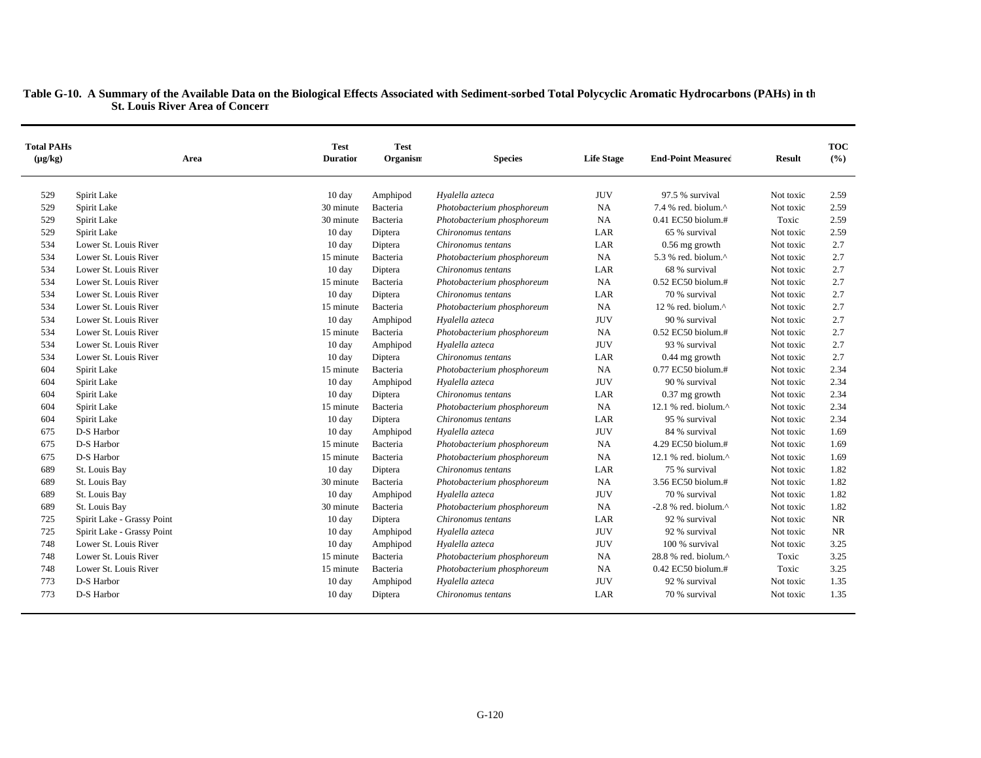| <b>Total PAHs</b><br>$(\mu g/kg)$ | Area                       | <b>Test</b><br><b>Duration</b> | <b>Test</b><br>Organism | <b>Species</b>             | <b>Life Stage</b> | <b>End-Point Measured</b>       | <b>Result</b> | <b>TOC</b><br>(%) |
|-----------------------------------|----------------------------|--------------------------------|-------------------------|----------------------------|-------------------|---------------------------------|---------------|-------------------|
| 529                               | Spirit Lake                | 10 day                         | Amphipod                | Hyalella azteca            | <b>JUV</b>        | 97.5 % survival                 | Not toxic     | 2.59              |
| 529                               | Spirit Lake                | 30 minute                      | Bacteria                | Photobacterium phosphoreum | <b>NA</b>         | 7.4 % red. biolum. $\wedge$     | Not toxic     | 2.59              |
| 529                               | Spirit Lake                | 30 minute                      | Bacteria                | Photobacterium phosphoreum | NA                | $0.41$ EC50 biolum.#            | Toxic         | 2.59              |
| 529                               | Spirit Lake                | 10 day                         | Diptera                 | Chironomus tentans         | LAR               | 65 % survival                   | Not toxic     | 2.59              |
| 534                               | Lower St. Louis River      | $10 \text{ day}$               | Diptera                 | Chironomus tentans         | LAR               | $0.56$ mg growth                | Not toxic     | 2.7               |
| 534                               | Lower St. Louis River      | 15 minute                      | Bacteria                | Photobacterium phosphoreum | NA                | 5.3 % red. biolum. $\wedge$     | Not toxic     | 2.7               |
| 534                               | Lower St. Louis River      | $10 \text{ day}$               | Diptera                 | Chironomus tentans         | LAR               | 68 % survival                   | Not toxic     | 2.7               |
| 534                               | Lower St. Louis River      | 15 minute                      | Bacteria                | Photobacterium phosphoreum | NA                | $0.52$ EC50 biolum.#            | Not toxic     | 2.7               |
| 534                               | Lower St. Louis River      | $10 \text{ day}$               | Diptera                 | Chironomus tentans         | LAR               | 70 % survival                   | Not toxic     | 2.7               |
| 534                               | Lower St. Louis River      | 15 minute                      | Bacteria                | Photobacterium phosphoreum | NA                | 12 % red. biolum.^              | Not toxic     | 2.7               |
| 534                               | Lower St. Louis River      | 10 day                         | Amphipod                | Hyalella azteca            | <b>JUV</b>        | 90 % survival                   | Not toxic     | 2.7               |
| 534                               | Lower St. Louis River      | 15 minute                      | Bacteria                | Photobacterium phosphoreum | <b>NA</b>         | $0.52$ EC50 biolum.#            | Not toxic     | 2.7               |
| 534                               | Lower St. Louis River      | 10 day                         | Amphipod                | Hyalella azteca            | <b>JUV</b>        | 93 % survival                   | Not toxic     | 2.7               |
| 534                               | Lower St. Louis River      | 10 day                         | Diptera                 | Chironomus tentans         | LAR               | $0.44$ mg growth                | Not toxic     | 2.7               |
| 604                               | Spirit Lake                | 15 minute                      | Bacteria                | Photobacterium phosphoreum | NA                | $0.77$ EC50 biolum.#            | Not toxic     | 2.34              |
| 604                               | Spirit Lake                | 10 day                         | Amphipod                | Hyalella azteca            | <b>JUV</b>        | 90 % survival                   | Not toxic     | 2.34              |
| 604                               | Spirit Lake                | 10 day                         | Diptera                 | Chironomus tentans         | LAR               | $0.37$ mg growth                | Not toxic     | 2.34              |
| 604                               | Spirit Lake                | 15 minute                      | Bacteria                | Photobacterium phosphoreum | <b>NA</b>         | 12.1 % red. biolum. $^{\wedge}$ | Not toxic     | 2.34              |
| 604                               | Spirit Lake                | 10 day                         | Diptera                 | Chironomus tentans         | LAR               | 95 % survival                   | Not toxic     | 2.34              |
| 675                               | D-S Harbor                 | $10 \text{ day}$               | Amphipod                | Hyalella azteca            | <b>JUV</b>        | 84 % survival                   | Not toxic     | 1.69              |
| 675                               | D-S Harbor                 | 15 minute                      | Bacteria                | Photobacterium phosphoreum | <b>NA</b>         | 4.29 EC50 biolum.#              | Not toxic     | 1.69              |
| 675                               | D-S Harbor                 | 15 minute                      | Bacteria                | Photobacterium phosphoreum | NA                | 12.1 % red. biolum.^            | Not toxic     | 1.69              |
| 689                               | St. Louis Bay              | 10 day                         | Diptera                 | Chironomus tentans         | LAR               | 75 % survival                   | Not toxic     | 1.82              |
| 689                               | St. Louis Bay              | 30 minute                      | Bacteria                | Photobacterium phosphoreum | <b>NA</b>         | 3.56 EC50 biolum.#              | Not toxic     | 1.82              |
| 689                               | St. Louis Bay              | 10 day                         | Amphipod                | Hyalella azteca            | <b>JUV</b>        | 70 % survival                   | Not toxic     | 1.82              |
| 689                               | St. Louis Bay              | 30 minute                      | Bacteria                | Photobacterium phosphoreum | NA                | -2.8 % red. biolum. $^{\wedge}$ | Not toxic     | 1.82              |
| 725                               | Spirit Lake - Grassy Point | 10 day                         | Diptera                 | Chironomus tentans         | LAR               | 92 % survival                   | Not toxic     | <b>NR</b>         |
| 725                               | Spirit Lake - Grassy Point | $10 \text{ day}$               | Amphipod                | Hyalella azteca            | <b>JUV</b>        | 92 % survival                   | Not toxic     | <b>NR</b>         |
| 748                               | Lower St. Louis River      | 10 day                         | Amphipod                | Hyalella azteca            | <b>JUV</b>        | 100 % survival                  | Not toxic     | 3.25              |
| 748                               | Lower St. Louis River      | 15 minute                      | Bacteria                | Photobacterium phosphoreum | <b>NA</b>         | 28.8 % red. biolum.^            | Toxic         | 3.25              |
| 748                               | Lower St. Louis River      | 15 minute                      | Bacteria                | Photobacterium phosphoreum | NA                | $0.42$ EC50 biolum.#            | Toxic         | 3.25              |
| 773                               | D-S Harbor                 | $10 \text{ day}$               | Amphipod                | Hyalella azteca            | <b>JUV</b>        | 92 % survival                   | Not toxic     | 1.35              |
| 773                               | D-S Harbor                 | $10 \text{ day}$               | Diptera                 | Chironomus tentans         | LAR               | 70 % survival                   | Not toxic     | 1.35              |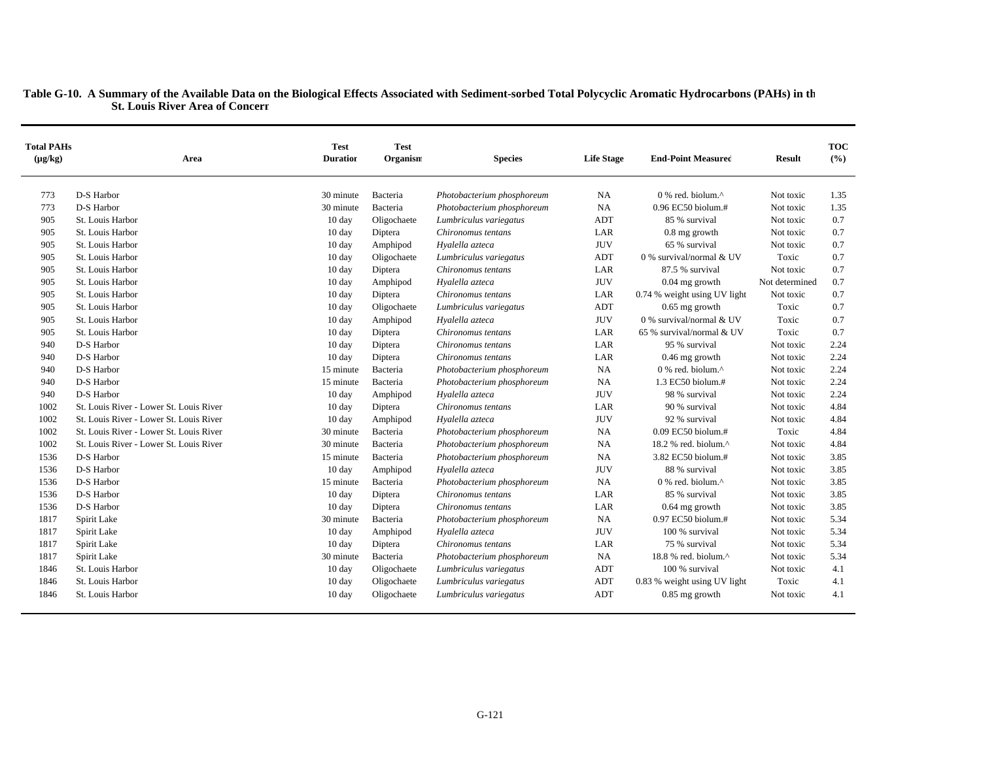| <b>Total PAHs</b><br>$(\mu g/kg)$ | Area                                    | <b>Test</b><br><b>Duration</b> | <b>Test</b><br>Organism | <b>Species</b>             | <b>Life Stage</b> | <b>End-Point Measured</b>                         | <b>Result</b>  | <b>TOC</b><br>(%) |
|-----------------------------------|-----------------------------------------|--------------------------------|-------------------------|----------------------------|-------------------|---------------------------------------------------|----------------|-------------------|
| 773                               | D-S Harbor                              | 30 minute                      | Bacteria                | Photobacterium phosphoreum | <b>NA</b>         | 0 % red. biolum.^                                 | Not toxic      | 1.35              |
| 773                               | D-S Harbor                              | 30 minute                      | Bacteria                | Photobacterium phosphoreum | <b>NA</b>         | 0.96 EC50 biolum.#                                | Not toxic      | 1.35              |
| 905                               | St. Louis Harbor                        | 10 day                         | Oligochaete             | Lumbriculus variegatus     | ADT               | 85 % survival                                     | Not toxic      | 0.7               |
| 905                               | St. Louis Harbor                        | 10 day                         | Diptera                 | Chironomus tentans         | LAR               | $0.8$ mg growth                                   | Not toxic      | 0.7               |
| 905                               | St. Louis Harbor                        | $10 \text{ day}$               | Amphipod                | Hyalella azteca            | <b>JUV</b>        | 65 % survival                                     | Not toxic      | 0.7               |
| 905                               | St. Louis Harbor                        | $10 \text{ day}$               | Oligochaete             | Lumbriculus variegatus     | ADT               | 0 % survival/normal & UV                          | Toxic          | 0.7               |
| 905                               | St. Louis Harbor                        | 10 day                         | Diptera                 | Chironomus tentans         | LAR               | 87.5 % survival                                   | Not toxic      | 0.7               |
| 905                               | St. Louis Harbor                        | $10 \text{ day}$               | Amphipod                | Hyalella azteca            | <b>JUV</b>        | $0.04$ mg growth                                  | Not determined | 0.7               |
| 905                               | St. Louis Harbor                        | 10 day                         | Diptera                 | Chironomus tentans         | LAR               | 0.74 % weight using UV light                      | Not toxic      | 0.7               |
| 905                               | St. Louis Harbor                        | $10 \text{ day}$               | Oligochaete             | Lumbriculus variegatus     | ADT               | $0.65$ mg growth                                  | Toxic          | 0.7               |
| 905                               | St. Louis Harbor                        | 10 day                         | Amphipod                | Hyalella azteca            | <b>JUV</b>        | 0 % survival/normal & UV                          | Toxic          | 0.7               |
| 905                               | St. Louis Harbor                        | $10 \text{ day}$               | Diptera                 | Chironomus tentans         | LAR               | 65 % survival/normal & UV                         | Toxic          | 0.7               |
| 940                               | D-S Harbor                              | $10 \text{ day}$               | Diptera                 | Chironomus tentans         | LAR               | 95 % survival                                     | Not toxic      | 2.24              |
| 940                               | D-S Harbor                              | $10 \text{ day}$               | Diptera                 | Chironomus tentans         | LAR               | 0.46 mg growth                                    | Not toxic      | 2.24              |
| 940                               | D-S Harbor                              | 15 minute                      | Bacteria                | Photobacterium phosphoreum | <b>NA</b>         | $0\%$ red. biolum. <sup><math>\wedge</math></sup> | Not toxic      | 2.24              |
| 940                               | D-S Harbor                              | 15 minute                      | Bacteria                | Photobacterium phosphoreum | <b>NA</b>         | 1.3 EC50 biolum.#                                 | Not toxic      | 2.24              |
| 940                               | D-S Harbor                              | $10 \text{ day}$               | Amphipod                | Hyalella azteca            | <b>JUV</b>        | 98 % survival                                     | Not toxic      | 2.24              |
| 1002                              | St. Louis River - Lower St. Louis River | $10 \text{ day}$               | Diptera                 | Chironomus tentans         | LAR               | 90 % survival                                     | Not toxic      | 4.84              |
| 1002                              | St. Louis River - Lower St. Louis River | 10 day                         | Amphipod                | Hyalella azteca            | <b>JUV</b>        | 92 % survival                                     | Not toxic      | 4.84              |
| 1002                              | St. Louis River - Lower St. Louis River | 30 minute                      | Bacteria                | Photobacterium phosphoreum | <b>NA</b>         | $0.09$ EC50 biolum.#                              | Toxic          | 4.84              |
| 1002                              | St. Louis River - Lower St. Louis River | 30 minute                      | Bacteria                | Photobacterium phosphoreum | <b>NA</b>         | 18.2 % red. biolum. $\wedge$                      | Not toxic      | 4.84              |
| 1536                              | D-S Harbor                              | 15 minute                      | Bacteria                | Photobacterium phosphoreum | <b>NA</b>         | 3.82 EC50 biolum.#                                | Not toxic      | 3.85              |
| 1536                              | D-S Harbor                              | $10 \text{ day}$               | Amphipod                | Hyalella azteca            | <b>JUV</b>        | 88 % survival                                     | Not toxic      | 3.85              |
| 1536                              | D-S Harbor                              | 15 minute                      | Bacteria                | Photobacterium phosphoreum | <b>NA</b>         | $0\%$ red. biolum. <sup><math>\wedge</math></sup> | Not toxic      | 3.85              |
| 1536                              | D-S Harbor                              | $10 \text{ day}$               | Diptera                 | Chironomus tentans         | LAR               | 85 % survival                                     | Not toxic      | 3.85              |
| 1536                              | D-S Harbor                              | $10 \text{ day}$               | Diptera                 | Chironomus tentans         | LAR               | $0.64$ mg growth                                  | Not toxic      | 3.85              |
| 1817                              | Spirit Lake                             | 30 minute                      | Bacteria                | Photobacterium phosphoreum | <b>NA</b>         | 0.97 EC50 biolum.#                                | Not toxic      | 5.34              |
| 1817                              | Spirit Lake                             | $10 \text{ day}$               | Amphipod                | Hyalella azteca            | <b>JUV</b>        | 100 % survival                                    | Not toxic      | 5.34              |
| 1817                              | Spirit Lake                             | $10 \text{ day}$               | Diptera                 | Chironomus tentans         | LAR               | 75 % survival                                     | Not toxic      | 5.34              |
| 1817                              | Spirit Lake                             | 30 minute                      | Bacteria                | Photobacterium phosphoreum | NA                | 18.8 % red. biolum.^                              | Not toxic      | 5.34              |
| 1846                              | St. Louis Harbor                        | $10 \text{ day}$               | Oligochaete             | Lumbriculus variegatus     | ADT               | 100 % survival                                    | Not toxic      | 4.1               |
| 1846                              | St. Louis Harbor                        | $10 \text{ day}$               | Oligochaete             | Lumbriculus variegatus     | ADT               | 0.83 % weight using UV light                      | Toxic          | 4.1               |
| 1846                              | St. Louis Harbor                        | $10 \text{ day}$               | Oligochaete             | Lumbriculus variegatus     | ADT               | $0.85$ mg growth                                  | Not toxic      | 4.1               |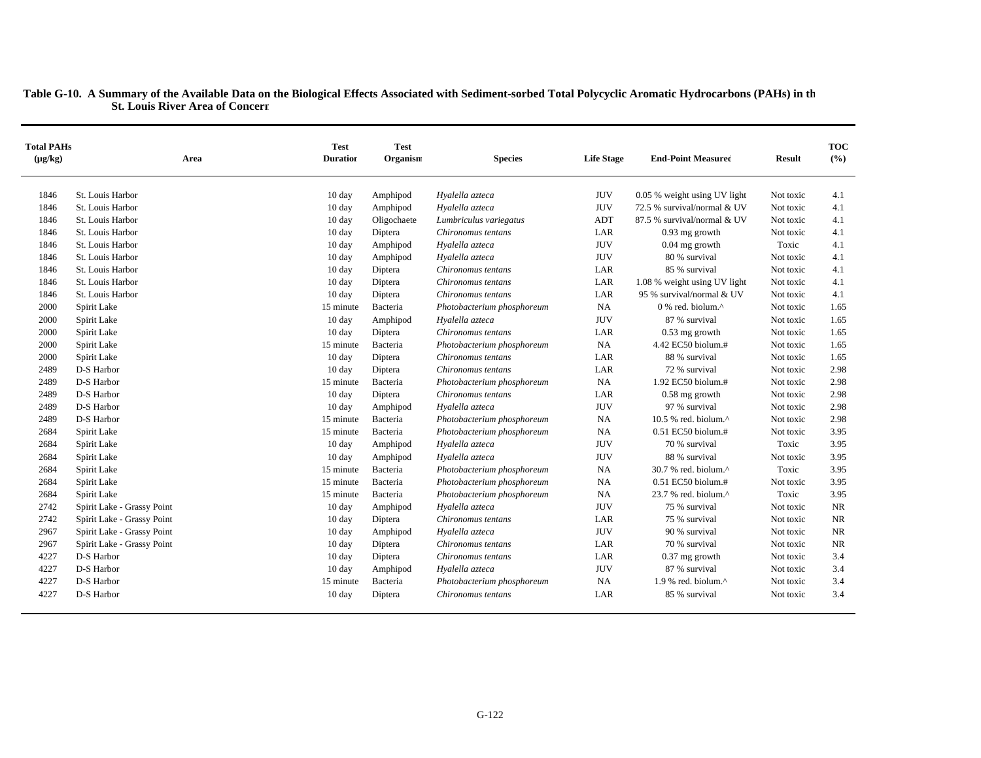| <b>Total PAHs</b><br>$(\mu g/kg)$ | Area                       | <b>Test</b><br><b>Duration</b> | <b>Test</b><br>Organism | <b>Species</b>             | <b>Life Stage</b> | <b>End-Point Measured</b>                         | <b>Result</b> | <b>TOC</b><br>(%) |
|-----------------------------------|----------------------------|--------------------------------|-------------------------|----------------------------|-------------------|---------------------------------------------------|---------------|-------------------|
| 1846                              | St. Louis Harbor           | 10 day                         | Amphipod                | Hyalella azteca            | <b>JUV</b>        | 0.05 % weight using UV light                      | Not toxic     | 4.1               |
| 1846                              | St. Louis Harbor           | 10 day                         | Amphipod                | Hyalella azteca            | <b>JUV</b>        | 72.5 % survival/normal & UV                       | Not toxic     | 4.1               |
| 1846                              | St. Louis Harbor           | 10 day                         | Oligochaete             | Lumbriculus variegatus     | <b>ADT</b>        | 87.5 % survival/normal & UV                       | Not toxic     | 4.1               |
| 1846                              | St. Louis Harbor           | $10 \text{ day}$               | Diptera                 | Chironomus tentans         | LAR               | $0.93$ mg growth                                  | Not toxic     | 4.1               |
| 1846                              | St. Louis Harbor           | $10 \text{ day}$               | Amphipod                | Hyalella azteca            | <b>JUV</b>        | $0.04$ mg growth                                  | Toxic         | 4.1               |
| 1846                              | St. Louis Harbor           | 10 day                         | Amphipod                | Hyalella azteca            | <b>JUV</b>        | 80 % survival                                     | Not toxic     | 4.1               |
| 1846                              | St. Louis Harbor           | $10 \text{ day}$               | Diptera                 | Chironomus tentans         | LAR               | 85 % survival                                     | Not toxic     | 4.1               |
| 1846                              | St. Louis Harbor           | 10 day                         | Diptera                 | Chironomus tentans         | LAR               | 1.08 % weight using UV light                      | Not toxic     | 4.1               |
| 1846                              | St. Louis Harbor           | 10 day                         | Diptera                 | Chironomus tentans         | LAR               | 95 % survival/normal & UV                         | Not toxic     | 4.1               |
| 2000                              | Spirit Lake                | 15 minute                      | Bacteria                | Photobacterium phosphoreum | <b>NA</b>         | $0$ % red. biolum. <sup><math>\wedge</math></sup> | Not toxic     | 1.65              |
| 2000                              | Spirit Lake                | 10 day                         | Amphipod                | Hyalella azteca            | <b>JUV</b>        | 87 % survival                                     | Not toxic     | 1.65              |
| 2000                              | Spirit Lake                | 10 day                         | Diptera                 | Chironomus tentans         | LAR               | $0.53$ mg growth                                  | Not toxic     | 1.65              |
| 2000                              | Spirit Lake                | 15 minute                      | Bacteria                | Photobacterium phosphoreum | <b>NA</b>         | 4.42 EC50 biolum.#                                | Not toxic     | 1.65              |
| 2000                              | Spirit Lake                | 10 day                         | Diptera                 | Chironomus tentans         | LAR               | 88 % survival                                     | Not toxic     | 1.65              |
| 2489                              | D-S Harbor                 | 10 day                         | Diptera                 | Chironomus tentans         | LAR               | 72 % survival                                     | Not toxic     | 2.98              |
| 2489                              | D-S Harbor                 | 15 minute                      | Bacteria                | Photobacterium phosphoreum | <b>NA</b>         | 1.92 EC50 biolum.#                                | Not toxic     | 2.98              |
| 2489                              | D-S Harbor                 | 10 day                         | Diptera                 | Chironomus tentans         | LAR               | $0.58$ mg growth                                  | Not toxic     | 2.98              |
| 2489                              | D-S Harbor                 | 10 day                         | Amphipod                | Hyalella azteca            | <b>JUV</b>        | 97 % survival                                     | Not toxic     | 2.98              |
| 2489                              | D-S Harbor                 | 15 minute                      | Bacteria                | Photobacterium phosphoreum | NA                | 10.5 % red. biolum. $^{\wedge}$                   | Not toxic     | 2.98              |
| 2684                              | Spirit Lake                | 15 minute                      | Bacteria                | Photobacterium phosphoreum | <b>NA</b>         | $0.51$ EC50 biolum.#                              | Not toxic     | 3.95              |
| 2684                              | Spirit Lake                | 10 day                         | Amphipod                | Hyalella azteca            | <b>JUV</b>        | 70 % survival                                     | Toxic         | 3.95              |
| 2684                              | Spirit Lake                | 10 day                         | Amphipod                | Hyalella azteca            | <b>JUV</b>        | 88 % survival                                     | Not toxic     | 3.95              |
| 2684                              | Spirit Lake                | 15 minute                      | Bacteria                | Photobacterium phosphoreum | <b>NA</b>         | 30.7 % red. biolum.^                              | Toxic         | 3.95              |
| 2684                              | Spirit Lake                | 15 minute                      | Bacteria                | Photobacterium phosphoreum | <b>NA</b>         | 0.51 EC50 biolum.#                                | Not toxic     | 3.95              |
| 2684                              | Spirit Lake                | 15 minute                      | Bacteria                | Photobacterium phosphoreum | NA                | 23.7 % red. biolum.^                              | Toxic         | 3.95              |
| 2742                              | Spirit Lake - Grassy Point | 10 day                         | Amphipod                | Hyalella azteca            | <b>JUV</b>        | 75 % survival                                     | Not toxic     | <b>NR</b>         |
| 2742                              | Spirit Lake - Grassy Point | $10 \text{ day}$               | Diptera                 | Chironomus tentans         | LAR               | 75 % survival                                     | Not toxic     | <b>NR</b>         |
| 2967                              | Spirit Lake - Grassy Point | 10 day                         | Amphipod                | Hyalella azteca            | <b>JUV</b>        | 90 % survival                                     | Not toxic     | <b>NR</b>         |
| 2967                              | Spirit Lake - Grassy Point | 10 day                         | Diptera                 | Chironomus tentans         | LAR               | 70 % survival                                     | Not toxic     | <b>NR</b>         |
| 4227                              | D-S Harbor                 | $10 \text{ day}$               | Diptera                 | Chironomus tentans         | LAR               | $0.37$ mg growth                                  | Not toxic     | 3.4               |
| 4227                              | D-S Harbor                 | 10 day                         | Amphipod                | Hyalella azteca            | <b>JUV</b>        | 87 % survival                                     | Not toxic     | 3.4               |
| 4227                              | D-S Harbor                 | 15 minute                      | Bacteria                | Photobacterium phosphoreum | <b>NA</b>         | 1.9 % red. biolum.^                               | Not toxic     | 3.4               |
| 4227                              | D-S Harbor                 | 10 day                         | Diptera                 | Chironomus tentans         | LAR               | 85 % survival                                     | Not toxic     | 3.4               |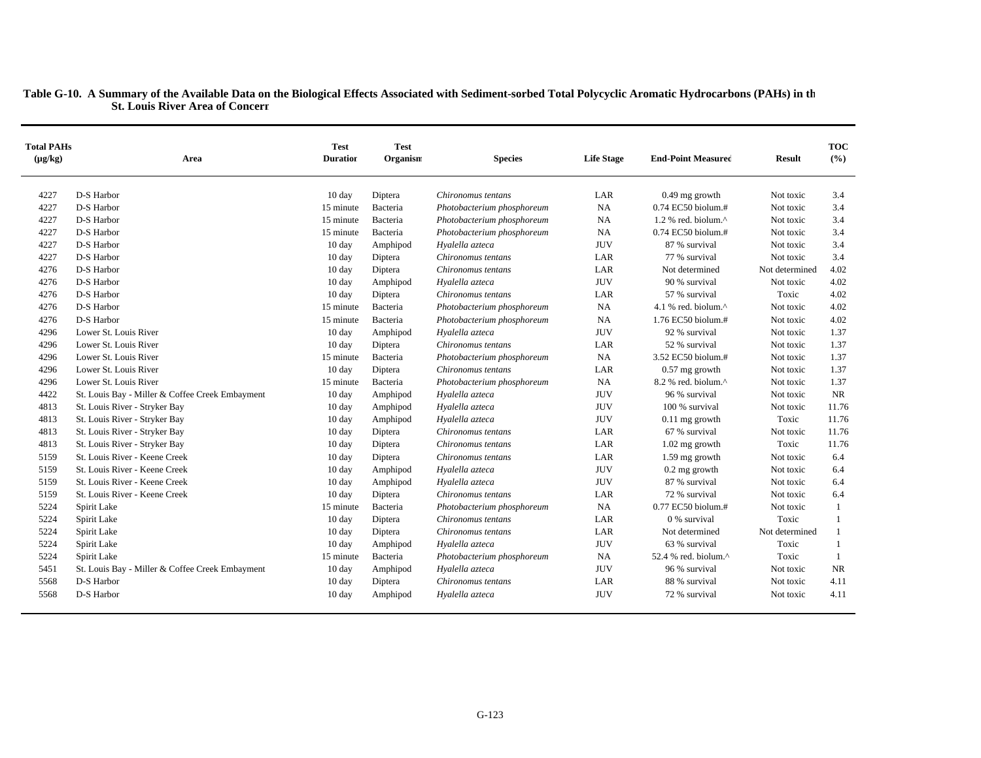| <b>Total PAHs</b><br>$(\mu g/kg)$ | Area                                            | <b>Test</b><br><b>Duration</b> | <b>Test</b><br>Organism | <b>Species</b>             | <b>Life Stage</b> | <b>End-Point Measured</b>      | <b>Result</b>  | <b>TOC</b><br>(%) |
|-----------------------------------|-------------------------------------------------|--------------------------------|-------------------------|----------------------------|-------------------|--------------------------------|----------------|-------------------|
| 4227                              | D-S Harbor                                      | $10 \text{ day}$               | Diptera                 | Chironomus tentans         | LAR               | $0.49$ mg growth               | Not toxic      | 3.4               |
| 4227                              | D-S Harbor                                      | 15 minute                      | Bacteria                | Photobacterium phosphoreum | <b>NA</b>         | 0.74 EC50 biolum.#             | Not toxic      | 3.4               |
| 4227                              | D-S Harbor                                      | 15 minute                      | Bacteria                | Photobacterium phosphoreum | <b>NA</b>         | 1.2 % red. biolum. $^{\wedge}$ | Not toxic      | 3.4               |
| 4227                              | D-S Harbor                                      | 15 minute                      | Bacteria                | Photobacterium phosphoreum | <b>NA</b>         | 0.74 EC50 biolum.#             | Not toxic      | 3.4               |
| 4227                              | D-S Harbor                                      | $10 \text{ day}$               | Amphipod                | Hyalella azteca            | <b>JUV</b>        | 87 % survival                  | Not toxic      | 3.4               |
| 4227                              | D-S Harbor                                      | $10 \text{ day}$               | Diptera                 | Chironomus tentans         | LAR               | 77 % survival                  | Not toxic      | 3.4               |
| 4276                              | D-S Harbor                                      | $10 \text{ day}$               | Diptera                 | Chironomus tentans         | LAR               | Not determined                 | Not determined | 4.02              |
| 4276                              | D-S Harbor                                      | $10 \text{ day}$               | Amphipod                | Hyalella azteca            | <b>JUV</b>        | 90 % survival                  | Not toxic      | 4.02              |
| 4276                              | D-S Harbor                                      | 10 day                         | Diptera                 | Chironomus tentans         | LAR               | 57 % survival                  | Toxic          | 4.02              |
| 4276                              | D-S Harbor                                      | 15 minute                      | Bacteria                | Photobacterium phosphoreum | <b>NA</b>         | 4.1 % red. biolum. $\wedge$    | Not toxic      | 4.02              |
| 4276                              | D-S Harbor                                      | 15 minute                      | Bacteria                | Photobacterium phosphoreum | <b>NA</b>         | 1.76 EC50 biolum.#             | Not toxic      | 4.02              |
| 4296                              | Lower St. Louis River                           | 10 day                         | Amphipod                | Hyalella azteca            | <b>JUV</b>        | 92 % survival                  | Not toxic      | 1.37              |
| 4296                              | Lower St. Louis River                           | 10 day                         | Diptera                 | Chironomus tentans         | LAR               | 52 % survival                  | Not toxic      | 1.37              |
| 4296                              | Lower St. Louis River                           | 15 minute                      | Bacteria                | Photobacterium phosphoreum | <b>NA</b>         | 3.52 EC50 biolum.#             | Not toxic      | 1.37              |
| 4296                              | Lower St. Louis River                           | 10 day                         | Diptera                 | Chironomus tentans         | LAR               | $0.57$ mg growth               | Not toxic      | 1.37              |
| 4296                              | Lower St. Louis River                           | 15 minute                      | Bacteria                | Photobacterium phosphoreum | <b>NA</b>         | 8.2 % red. biolum.^            | Not toxic      | 1.37              |
| 4422                              | St. Louis Bay - Miller & Coffee Creek Embayment | 10 day                         | Amphipod                | Hyalella azteca            | <b>JUV</b>        | 96 % survival                  | Not toxic      | NR                |
| 4813                              | St. Louis River - Stryker Bay                   | $10 \text{ day}$               | Amphipod                | Hyalella azteca            | <b>JUV</b>        | 100 % survival                 | Not toxic      | 11.76             |
| 4813                              | St. Louis River - Stryker Bay                   | 10 day                         | Amphipod                | Hyalella azteca            | <b>JUV</b>        | $0.11$ mg growth               | Toxic          | 11.76             |
| 4813                              | St. Louis River - Stryker Bay                   | 10 day                         | Diptera                 | Chironomus tentans         | LAR               | 67 % survival                  | Not toxic      | 11.76             |
| 4813                              | St. Louis River - Stryker Bay                   | $10 \text{ day}$               | Diptera                 | Chironomus tentans         | LAR               | 1.02 mg growth                 | Toxic          | 11.76             |
| 5159                              | St. Louis River - Keene Creek                   | 10 day                         | Diptera                 | Chironomus tentans         | LAR               | 1.59 mg growth                 | Not toxic      | 6.4               |
| 5159                              | St. Louis River - Keene Creek                   | $10 \text{ day}$               | Amphipod                | Hyalella azteca            | <b>JUV</b>        | $0.2$ mg growth                | Not toxic      | 6.4               |
| 5159                              | St. Louis River - Keene Creek                   | 10 day                         | Amphipod                | Hyalella azteca            | <b>JUV</b>        | 87 % survival                  | Not toxic      | 6.4               |
| 5159                              | St. Louis River - Keene Creek                   | 10 day                         | Diptera                 | Chironomus tentans         | LAR               | 72 % survival                  | Not toxic      | 6.4               |
| 5224                              | Spirit Lake                                     | 15 minute                      | Bacteria                | Photobacterium phosphoreum | NA                | 0.77 EC50 biolum.#             | Not toxic      | 1                 |
| 5224                              | Spirit Lake                                     | 10 day                         | Diptera                 | Chironomus tentans         | LAR               | 0 % survival                   | Toxic          | -1                |
| 5224                              | Spirit Lake                                     | $10 \text{ day}$               | Diptera                 | Chironomus tentans         | LAR               | Not determined                 | Not determined | 1                 |
| 5224                              | Spirit Lake                                     | 10 day                         | Amphipod                | Hyalella azteca            | <b>JUV</b>        | 63 % survival                  | Toxic          | $\mathbf{1}$      |
| 5224                              | Spirit Lake                                     | 15 minute                      | Bacteria                | Photobacterium phosphoreum | <b>NA</b>         | 52.4 % red. biolum.^           | Toxic          | 1                 |
| 5451                              | St. Louis Bay - Miller & Coffee Creek Embayment | 10 day                         | Amphipod                | Hyalella azteca            | <b>JUV</b>        | 96 % survival                  | Not toxic      | <b>NR</b>         |
| 5568                              | D-S Harbor                                      | $10 \text{ day}$               | Diptera                 | Chironomus tentans         | LAR               | 88 % survival                  | Not toxic      | 4.11              |
| 5568                              | D-S Harbor                                      | $10 \text{ day}$               | Amphipod                | Hyalella azteca            | <b>JUV</b>        | 72 % survival                  | Not toxic      | 4.11              |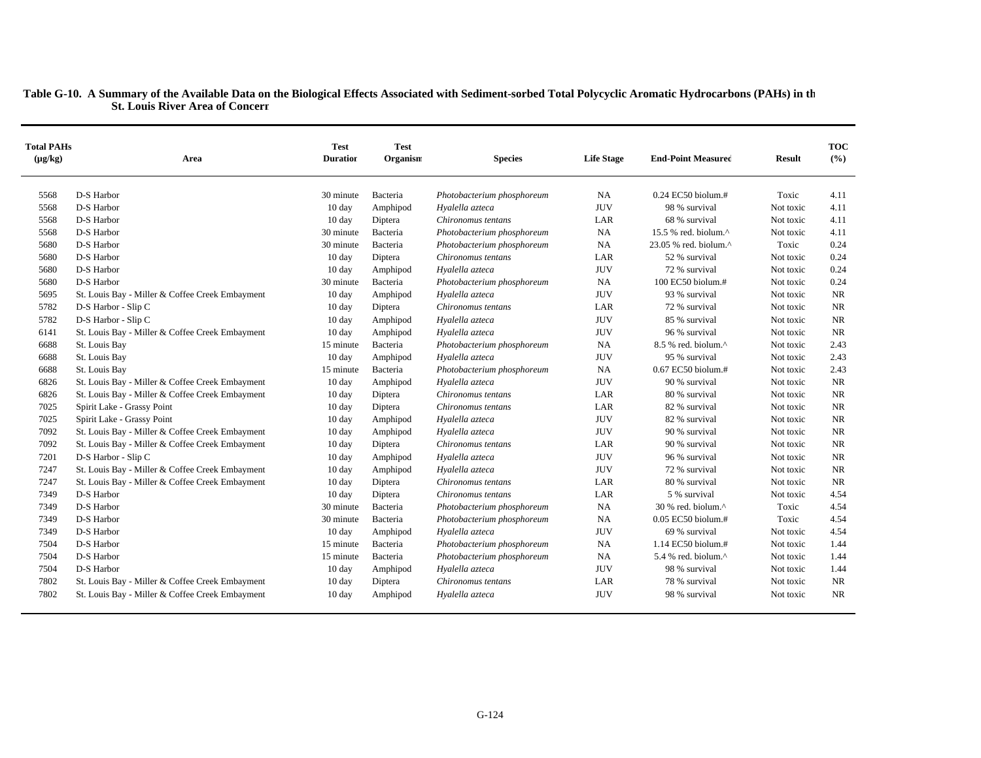| <b>Total PAHs</b><br>$(\mu g/kg)$ | Area                                            | <b>Test</b><br><b>Duration</b> | <b>Test</b><br>Organism | <b>Species</b>             | <b>Life Stage</b> | <b>End-Point Measured</b>       | <b>Result</b> | <b>TOC</b><br>(%) |
|-----------------------------------|-------------------------------------------------|--------------------------------|-------------------------|----------------------------|-------------------|---------------------------------|---------------|-------------------|
|                                   |                                                 |                                |                         |                            |                   |                                 |               |                   |
| 5568                              | D-S Harbor                                      | 30 minute                      | Bacteria                | Photobacterium phosphoreum | NA                | 0.24 EC50 biolum.#              | Toxic         | 4.11              |
| 5568                              | D-S Harbor                                      | 10 day                         | Amphipod                | Hyalella azteca            | <b>JUV</b>        | 98 % survival                   | Not toxic     | 4.11              |
| 5568                              | D-S Harbor                                      | $10 \text{ day}$               | Diptera                 | Chironomus tentans         | LAR               | 68 % survival                   | Not toxic     | 4.11              |
| 5568                              | D-S Harbor                                      | 30 minute                      | Bacteria                | Photobacterium phosphoreum | <b>NA</b>         | 15.5 % red. biolum. $^{\wedge}$ | Not toxic     | 4.11              |
| 5680                              | D-S Harbor                                      | 30 minute                      | Bacteria                | Photobacterium phosphoreum | <b>NA</b>         | 23.05 % red. biolum.^           | Toxic         | 0.24              |
| 5680                              | D-S Harbor                                      | $10 \text{ day}$               | Diptera                 | Chironomus tentans         | LAR               | 52 % survival                   | Not toxic     | 0.24              |
| 5680                              | D-S Harbor                                      | $10 \text{ day}$               | Amphipod                | Hyalella azteca            | <b>JUV</b>        | 72 % survival                   | Not toxic     | 0.24              |
| 5680                              | D-S Harbor                                      | 30 minute                      | Bacteria                | Photobacterium phosphoreum | <b>NA</b>         | 100 EC50 biolum.#               | Not toxic     | 0.24              |
| 5695                              | St. Louis Bay - Miller & Coffee Creek Embayment | $10 \text{ day}$               | Amphipod                | Hyalella azteca            | <b>JUV</b>        | 93 % survival                   | Not toxic     | <b>NR</b>         |
| 5782                              | D-S Harbor - Slip C                             | $10 \text{ day}$               | Diptera                 | Chironomus tentans         | LAR               | 72 % survival                   | Not toxic     | <b>NR</b>         |
| 5782                              | D-S Harbor - Slip C                             | $10 \text{ day}$               | Amphipod                | Hyalella azteca            | <b>JUV</b>        | 85 % survival                   | Not toxic     | NR.               |
| 6141                              | St. Louis Bay - Miller & Coffee Creek Embayment | 10 day                         | Amphipod                | Hyalella azteca            | <b>JUV</b>        | 96 % survival                   | Not toxic     | <b>NR</b>         |
| 6688                              | St. Louis Bay                                   | 15 minute                      | Bacteria                | Photobacterium phosphoreum | <b>NA</b>         | 8.5 % red. biolum.^             | Not toxic     | 2.43              |
| 6688                              | St. Louis Bay                                   | $10 \text{ day}$               | Amphipod                | Hyalella azteca            | <b>JUV</b>        | 95 % survival                   | Not toxic     | 2.43              |
| 6688                              | St. Louis Bay                                   | 15 minute                      | Bacteria                | Photobacterium phosphoreum | <b>NA</b>         | 0.67 EC50 biolum.#              | Not toxic     | 2.43              |
| 6826                              | St. Louis Bay - Miller & Coffee Creek Embayment | 10 day                         | Amphipod                | Hyalella azteca            | <b>JUV</b>        | 90 % survival                   | Not toxic     | <b>NR</b>         |
| 6826                              | St. Louis Bay - Miller & Coffee Creek Embayment | $10 \text{ day}$               | Diptera                 | Chironomus tentans         | LAR               | 80 % survival                   | Not toxic     | NR.               |
| 7025                              | Spirit Lake - Grassy Point                      | 10 day                         | Diptera                 | Chironomus tentans         | LAR               | 82 % survival                   | Not toxic     | <b>NR</b>         |
| 7025                              | Spirit Lake - Grassy Point                      | 10 day                         | Amphipod                | Hyalella azteca            | <b>JUV</b>        | 82 % survival                   | Not toxic     | NR.               |
| 7092                              | St. Louis Bay - Miller & Coffee Creek Embayment | 10 day                         | Amphipod                | Hyalella azteca            | <b>JUV</b>        | 90 % survival                   | Not toxic     | <b>NR</b>         |
| 7092                              | St. Louis Bay - Miller & Coffee Creek Embayment | $10 \text{ day}$               | Diptera                 | Chironomus tentans         | LAR               | 90 % survival                   | Not toxic     | NR                |
| 7201                              | D-S Harbor - Slip C                             | $10 \text{ day}$               | Amphipod                | Hyalella azteca            | <b>JUV</b>        | 96 % survival                   | Not toxic     | <b>NR</b>         |
| 7247                              | St. Louis Bay - Miller & Coffee Creek Embayment | $10 \text{ day}$               | Amphipod                | Hyalella azteca            | <b>JUV</b>        | 72 % survival                   | Not toxic     | <b>NR</b>         |
| 7247                              | St. Louis Bay - Miller & Coffee Creek Embayment | $10 \text{ day}$               | Diptera                 | Chironomus tentans         | LAR               | 80 % survival                   | Not toxic     | <b>NR</b>         |
| 7349                              | D-S Harbor                                      | 10 day                         | Diptera                 | Chironomus tentans         | LAR               | 5 % survival                    | Not toxic     | 4.54              |
| 7349                              | D-S Harbor                                      | 30 minute                      | Bacteria                | Photobacterium phosphoreum | <b>NA</b>         | $30%$ red. biolum. $^{\wedge}$  | Toxic         | 4.54              |
| 7349                              | D-S Harbor                                      | 30 minute                      | Bacteria                | Photobacterium phosphoreum | <b>NA</b>         | 0.05 EC50 biolum.#              | Toxic         | 4.54              |
| 7349                              | D-S Harbor                                      | $10 \text{ day}$               | Amphipod                | Hyalella azteca            | <b>JUV</b>        | 69 % survival                   | Not toxic     | 4.54              |
| 7504                              | D-S Harbor                                      | 15 minute                      | Bacteria                | Photobacterium phosphoreum | <b>NA</b>         | 1.14 EC50 biolum.#              | Not toxic     | 1.44              |
| 7504                              | D-S Harbor                                      | 15 minute                      | Bacteria                | Photobacterium phosphoreum | <b>NA</b>         | 5.4 % red. biolum.^             | Not toxic     | 1.44              |
| 7504                              | D-S Harbor                                      | $10 \text{ day}$               | Amphipod                | Hyalella azteca            | <b>JUV</b>        | 98 % survival                   | Not toxic     | 1.44              |
| 7802                              | St. Louis Bay - Miller & Coffee Creek Embayment | $10 \text{ day}$               | Diptera                 | Chironomus tentans         | LAR               | 78 % survival                   | Not toxic     | <b>NR</b>         |
| 7802                              | St. Louis Bay - Miller & Coffee Creek Embayment | 10 day                         | Amphipod                | Hyalella azteca            | <b>JUV</b>        | 98 % survival                   | Not toxic     | <b>NR</b>         |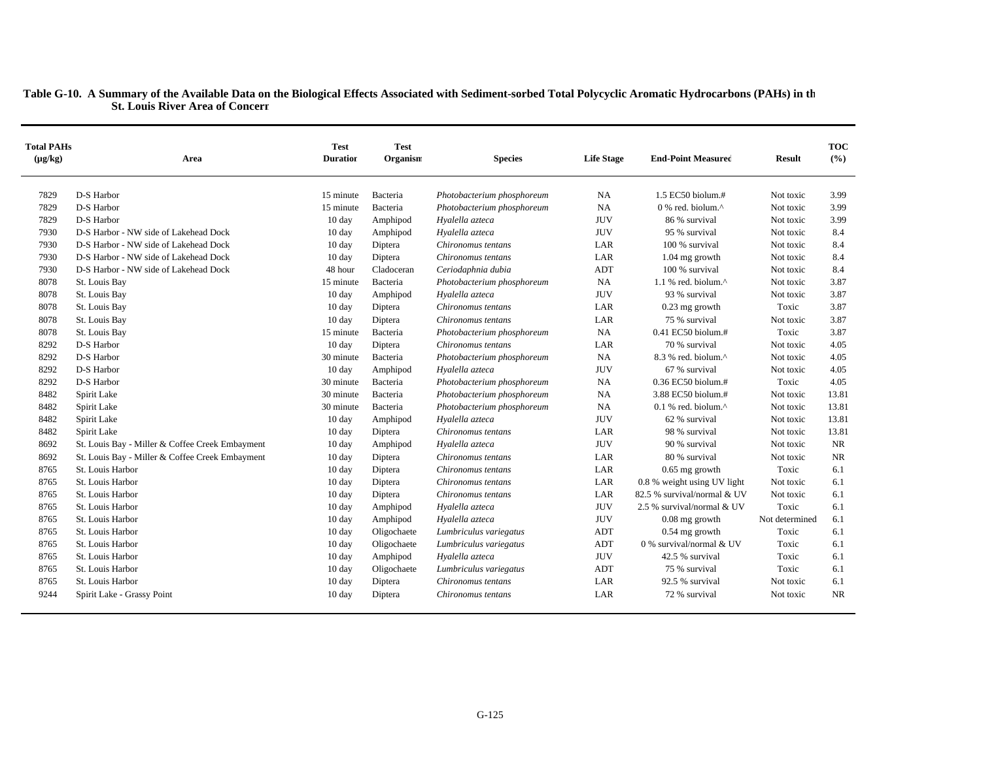| <b>Total PAHs</b><br>$(\mu g/kg)$ | Area                                            | <b>Test</b><br><b>Duration</b> | <b>Test</b><br>Organism | <b>Species</b>             | <b>Life Stage</b> | <b>End-Point Measured</b>        | <b>Result</b>  | <b>TOC</b><br>(%) |
|-----------------------------------|-------------------------------------------------|--------------------------------|-------------------------|----------------------------|-------------------|----------------------------------|----------------|-------------------|
| 7829                              | D-S Harbor                                      | 15 minute                      | Bacteria                | Photobacterium phosphoreum | NA                | 1.5 EC50 biolum.#                | Not toxic      | 3.99              |
| 7829                              | D-S Harbor                                      | 15 minute                      | Bacteria                | Photobacterium phosphoreum | <b>NA</b>         | 0 % red. biolum.^                | Not toxic      | 3.99              |
| 7829                              | D-S Harbor                                      | $10 \text{ day}$               | Amphipod                | Hyalella azteca            | <b>JUV</b>        | 86 % survival                    | Not toxic      | 3.99              |
| 7930                              | D-S Harbor - NW side of Lakehead Dock           | 10 day                         | Amphipod                | Hyalella azteca            | <b>JUV</b>        | 95 % survival                    | Not toxic      | 8.4               |
| 7930                              | D-S Harbor - NW side of Lakehead Dock           | $10 \text{ day}$               | Diptera                 | Chironomus tentans         | LAR               | 100 % survival                   | Not toxic      | 8.4               |
| 7930                              | D-S Harbor - NW side of Lakehead Dock           | $10 \text{ day}$               | Diptera                 | Chironomus tentans         | LAR               | $1.04$ mg growth                 | Not toxic      | 8.4               |
| 7930                              | D-S Harbor - NW side of Lakehead Dock           | 48 hour                        | Cladoceran              | Ceriodaphnia dubia         | <b>ADT</b>        | 100 % survival                   | Not toxic      | 8.4               |
| 8078                              | St. Louis Bay                                   | 15 minute                      | Bacteria                | Photobacterium phosphoreum | NA                | 1.1 % red. biolum. $^{\wedge}$   | Not toxic      | 3.87              |
| 8078                              | St. Louis Bay                                   | 10 day                         | Amphipod                | Hyalella azteca            | <b>JUV</b>        | 93 % survival                    | Not toxic      | 3.87              |
| 8078                              | St. Louis Bay                                   | $10 \text{ day}$               | Diptera                 | Chironomus tentans         | LAR               | $0.23$ mg growth                 | Toxic          | 3.87              |
| 8078                              | St. Louis Bay                                   | 10 day                         | Diptera                 | Chironomus tentans         | LAR               | 75 % survival                    | Not toxic      | 3.87              |
| 8078                              | St. Louis Bay                                   | 15 minute                      | Bacteria                | Photobacterium phosphoreum | NA                | 0.41 EC50 biolum.#               | Toxic          | 3.87              |
| 8292                              | D-S Harbor                                      | 10 day                         | Diptera                 | Chironomus tentans         | LAR               | 70 % survival                    | Not toxic      | 4.05              |
| 8292                              | D-S Harbor                                      | 30 minute                      | Bacteria                | Photobacterium phosphoreum | NA                | 8.3 % red. biolum.^              | Not toxic      | 4.05              |
| 8292                              | D-S Harbor                                      | 10 day                         | Amphipod                | Hyalella azteca            | <b>JUV</b>        | 67 % survival                    | Not toxic      | 4.05              |
| 8292                              | D-S Harbor                                      | 30 minute                      | Bacteria                | Photobacterium phosphoreum | NA                | 0.36 EC50 biolum.#               | Toxic          | 4.05              |
| 8482                              | Spirit Lake                                     | 30 minute                      | Bacteria                | Photobacterium phosphoreum | <b>NA</b>         | 3.88 EC50 biolum.#               | Not toxic      | 13.81             |
| 8482                              | Spirit Lake                                     | 30 minute                      | Bacteria                | Photobacterium phosphoreum | <b>NA</b>         | $0.1$ % red. biolum. $^{\wedge}$ | Not toxic      | 13.81             |
| 8482                              | Spirit Lake                                     | 10 day                         | Amphipod                | Hyalella azteca            | <b>JUV</b>        | 62 % survival                    | Not toxic      | 13.81             |
| 8482                              | Spirit Lake                                     | $10 \text{ day}$               | Diptera                 | Chironomus tentans         | LAR               | 98 % survival                    | Not toxic      | 13.81             |
| 8692                              | St. Louis Bay - Miller & Coffee Creek Embayment | 10 day                         | Amphipod                | Hyalella azteca            | <b>JUV</b>        | 90 % survival                    | Not toxic      | <b>NR</b>         |
| 8692                              | St. Louis Bay - Miller & Coffee Creek Embayment | $10 \text{ day}$               | Diptera                 | Chironomus tentans         | LAR               | 80 % survival                    | Not toxic      | <b>NR</b>         |
| 8765                              | St. Louis Harbor                                | $10 \text{ day}$               | Diptera                 | Chironomus tentans         | LAR               | $0.65$ mg growth                 | Toxic          | 6.1               |
| 8765                              | St. Louis Harbor                                | $10 \text{ day}$               | Diptera                 | Chironomus tentans         | LAR               | 0.8 % weight using UV light      | Not toxic      | 6.1               |
| 8765                              | St. Louis Harbor                                | $10 \text{ day}$               | Diptera                 | Chironomus tentans         | LAR               | 82.5 % survival/normal & UV      | Not toxic      | 6.1               |
| 8765                              | St. Louis Harbor                                | 10 day                         | Amphipod                | Hyalella azteca            | <b>JUV</b>        | 2.5 % survival/normal & UV       | Toxic          | 6.1               |
| 8765                              | St. Louis Harbor                                | $10 \text{ day}$               | Amphipod                | Hyalella azteca            | <b>JUV</b>        | $0.08$ mg growth                 | Not determined | 6.1               |
| 8765                              | St. Louis Harbor                                | $10 \text{ day}$               | Oligochaete             | Lumbriculus variegatus     | ADT               | $0.54$ mg growth                 | Toxic          | 6.1               |
| 8765                              | St. Louis Harbor                                | 10 day                         | Oligochaete             | Lumbriculus variegatus     | ADT               | 0 % survival/normal & UV         | Toxic          | 6.1               |
| 8765                              | St. Louis Harbor                                | $10 \text{ day}$               | Amphipod                | Hyalella azteca            | <b>JUV</b>        | 42.5 % survival                  | Toxic          | 6.1               |
| 8765                              | St. Louis Harbor                                | 10 day                         | Oligochaete             | Lumbriculus variegatus     | <b>ADT</b>        | 75 % survival                    | Toxic          | 6.1               |
| 8765                              | St. Louis Harbor                                | $10 \text{ day}$               | Diptera                 | Chironomus tentans         | LAR               | 92.5 % survival                  | Not toxic      | 6.1               |
| 9244                              | Spirit Lake - Grassy Point                      | $10 \text{ day}$               | Diptera                 | Chironomus tentans         | LAR               | 72 % survival                    | Not toxic      | <b>NR</b>         |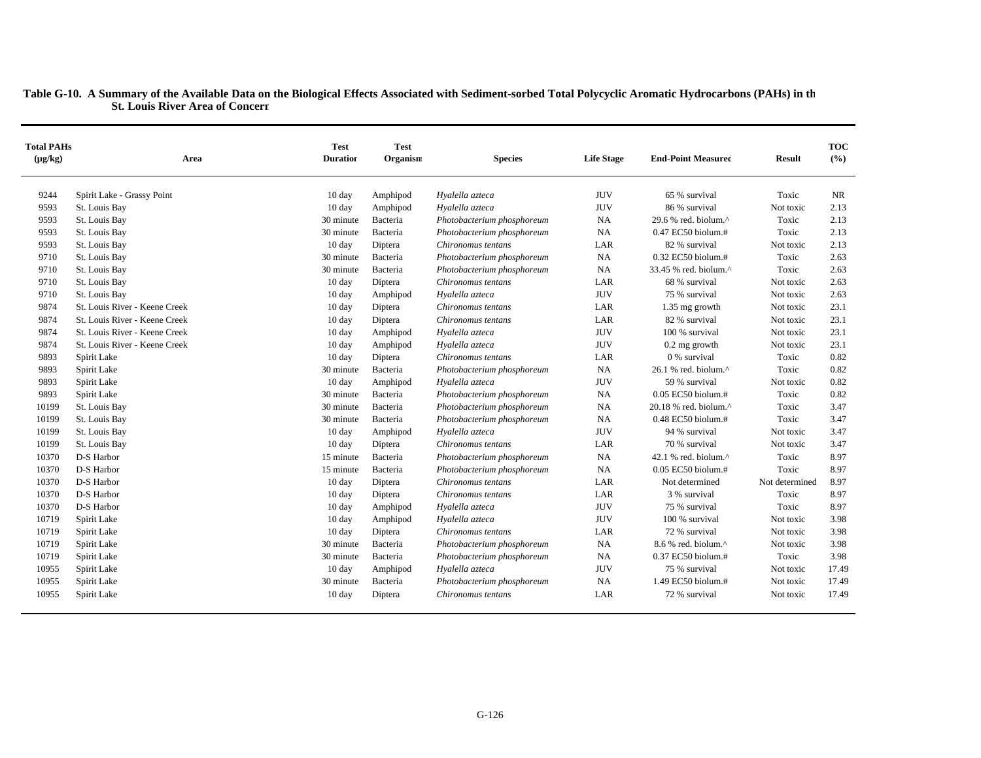| <b>Total PAHs</b><br>$(\mu g/kg)$ | Area                          | <b>Test</b><br><b>Duration</b> | <b>Test</b><br>Organism | <b>Species</b>             | <b>Life Stage</b> | <b>End-Point Measured</b>                           | <b>Result</b>  | <b>TOC</b><br>(%) |
|-----------------------------------|-------------------------------|--------------------------------|-------------------------|----------------------------|-------------------|-----------------------------------------------------|----------------|-------------------|
| 9244                              | Spirit Lake - Grassy Point    | 10 day                         | Amphipod                | Hyalella azteca            | <b>JUV</b>        | 65 % survival                                       | Toxic          | <b>NR</b>         |
| 9593                              | St. Louis Bay                 | 10 day                         | Amphipod                | Hyalella azteca            | <b>JUV</b>        | 86 % survival                                       | Not toxic      | 2.13              |
| 9593                              | St. Louis Bay                 | 30 minute                      | Bacteria                | Photobacterium phosphoreum | <b>NA</b>         | 29.6 % red. biolum. $\wedge$                        | Toxic          | 2.13              |
| 9593                              | St. Louis Bay                 | 30 minute                      | Bacteria                | Photobacterium phosphoreum | <b>NA</b>         | 0.47 EC50 biolum.#                                  | Toxic          | 2.13              |
| 9593                              | St. Louis Bay                 | $10 \text{ day}$               | Diptera                 | Chironomus tentans         | LAR               | 82 % survival                                       | Not toxic      | 2.13              |
| 9710                              | St. Louis Bay                 | 30 minute                      | Bacteria                | Photobacterium phosphoreum | <b>NA</b>         | 0.32 EC50 biolum.#                                  | Toxic          | 2.63              |
| 9710                              | St. Louis Bay                 | 30 minute                      | Bacteria                | Photobacterium phosphoreum | <b>NA</b>         | 33.45 % red. biolum.^                               | Toxic          | 2.63              |
| 9710                              | St. Louis Bay                 | $10 \text{ day}$               | Diptera                 | Chironomus tentans         | LAR               | 68 % survival                                       | Not toxic      | 2.63              |
| 9710                              | St. Louis Bay                 | $10 \text{ day}$               | Amphipod                | Hyalella azteca            | <b>JUV</b>        | 75 % survival                                       | Not toxic      | 2.63              |
| 9874                              | St. Louis River - Keene Creek | $10 \text{ day}$               | Diptera                 | Chironomus tentans         | LAR               | 1.35 mg growth                                      | Not toxic      | 23.1              |
| 9874                              | St. Louis River - Keene Creek | 10 day                         | Diptera                 | Chironomus tentans         | LAR               | 82 % survival                                       | Not toxic      | 23.1              |
| 9874                              | St. Louis River - Keene Creek | $10 \text{ day}$               | Amphipod                | Hyalella azteca            | <b>JUV</b>        | 100 % survival                                      | Not toxic      | 23.1              |
| 9874                              | St. Louis River - Keene Creek | $10 \text{ day}$               | Amphipod                | Hyalella azteca            | <b>JUV</b>        | $0.2$ mg growth                                     | Not toxic      | 23.1              |
| 9893                              | Spirit Lake                   | 10 day                         | Diptera                 | Chironomus tentans         | LAR               | 0 % survival                                        | Toxic          | 0.82              |
| 9893                              | Spirit Lake                   | 30 minute                      | Bacteria                | Photobacterium phosphoreum | <b>NA</b>         | $26.1$ % red. biolum. <sup><math>\land</math></sup> | Toxic          | 0.82              |
| 9893                              | Spirit Lake                   | 10 day                         | Amphipod                | Hyalella azteca            | <b>JUV</b>        | 59 % survival                                       | Not toxic      | 0.82              |
| 9893                              | Spirit Lake                   | 30 minute                      | Bacteria                | Photobacterium phosphoreum | <b>NA</b>         | $0.05$ EC50 biolum.#                                | Toxic          | 0.82              |
| 10199                             | St. Louis Bay                 | 30 minute                      | Bacteria                | Photobacterium phosphoreum | <b>NA</b>         | 20.18 % red. biolum.^                               | Toxic          | 3.47              |
| 10199                             | St. Louis Bay                 | 30 minute                      | Bacteria                | Photobacterium phosphoreum | NA                | 0.48 EC50 biolum.#                                  | Toxic          | 3.47              |
| 10199                             | St. Louis Bay                 | 10 day                         | Amphipod                | Hyalella azteca            | <b>JUV</b>        | 94 % survival                                       | Not toxic      | 3.47              |
| 10199                             | St. Louis Bay                 | 10 day                         | Diptera                 | Chironomus tentans         | LAR               | 70 % survival                                       | Not toxic      | 3.47              |
| 10370                             | D-S Harbor                    | 15 minute                      | Bacteria                | Photobacterium phosphoreum | <b>NA</b>         | 42.1 % red. biolum. $^{\wedge}$                     | Toxic          | 8.97              |
| 10370                             | D-S Harbor                    | 15 minute                      | Bacteria                | Photobacterium phosphoreum | <b>NA</b>         | $0.05$ EC50 biolum.#                                | Toxic          | 8.97              |
| 10370                             | D-S Harbor                    | 10 day                         | Diptera                 | Chironomus tentans         | LAR               | Not determined                                      | Not determined | 8.97              |
| 10370                             | D-S Harbor                    | 10 day                         | Diptera                 | Chironomus tentans         | LAR               | 3 % survival                                        | Toxic          | 8.97              |
| 10370                             | D-S Harbor                    | 10 day                         | Amphipod                | Hyalella azteca            | <b>JUV</b>        | 75 % survival                                       | Toxic          | 8.97              |
| 10719                             | Spirit Lake                   | $10 \text{ day}$               | Amphipod                | Hyalella azteca            | <b>JUV</b>        | 100 % survival                                      | Not toxic      | 3.98              |
| 10719                             | Spirit Lake                   | 10 day                         | Diptera                 | Chironomus tentans         | LAR               | 72 % survival                                       | Not toxic      | 3.98              |
| 10719                             | Spirit Lake                   | 30 minute                      | Bacteria                | Photobacterium phosphoreum | <b>NA</b>         | 8.6 % red. biolum.^                                 | Not toxic      | 3.98              |
| 10719                             | Spirit Lake                   | 30 minute                      | Bacteria                | Photobacterium phosphoreum | <b>NA</b>         | 0.37 EC50 biolum.#                                  | Toxic          | 3.98              |
| 10955                             | Spirit Lake                   | $10 \text{ day}$               | Amphipod                | Hyalella azteca            | <b>JUV</b>        | 75 % survival                                       | Not toxic      | 17.49             |
| 10955                             | Spirit Lake                   | 30 minute                      | Bacteria                | Photobacterium phosphoreum | <b>NA</b>         | 1.49 EC50 biolum.#                                  | Not toxic      | 17.49             |
| 10955                             | Spirit Lake                   | $10 \text{ day}$               | Diptera                 | Chironomus tentans         | LAR               | 72 % survival                                       | Not toxic      | 17.49             |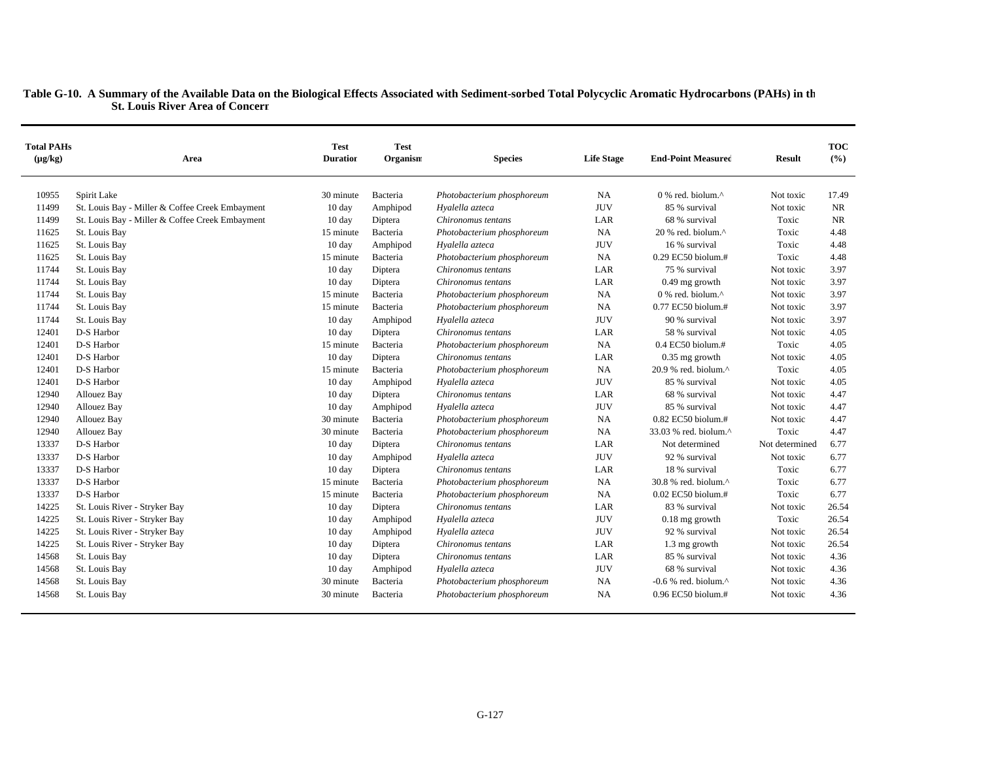| <b>Total PAHs</b><br>$(\mu g/kg)$ | Area                                            | <b>Test</b><br><b>Duration</b> | <b>Test</b><br>Organism | <b>Species</b>             | <b>Life Stage</b> | <b>End-Point Measured</b>                            | Result         | <b>TOC</b><br>(%) |
|-----------------------------------|-------------------------------------------------|--------------------------------|-------------------------|----------------------------|-------------------|------------------------------------------------------|----------------|-------------------|
| 10955                             | Spirit Lake                                     | 30 minute                      | Bacteria                | Photobacterium phosphoreum | <b>NA</b>         | 0 % red. biolum.^                                    | Not toxic      | 17.49             |
| 11499                             | St. Louis Bay - Miller & Coffee Creek Embayment | 10 day                         | Amphipod                | Hyalella azteca            | <b>JUV</b>        | 85 % survival                                        | Not toxic      | <b>NR</b>         |
| 11499                             | St. Louis Bay - Miller & Coffee Creek Embayment | 10 day                         | Diptera                 | Chironomus tentans         | LAR               | 68 % survival                                        | Toxic          | <b>NR</b>         |
| 11625                             | St. Louis Bay                                   | 15 minute                      | Bacteria                | Photobacterium phosphoreum | <b>NA</b>         | 20 % red. biolum.^                                   | Toxic          | 4.48              |
| 11625                             | St. Louis Bay                                   | 10 day                         | Amphipod                | Hyalella azteca            | <b>JUV</b>        | 16 % survival                                        | Toxic          | 4.48              |
| 11625                             | St. Louis Bay                                   | 15 minute                      | Bacteria                | Photobacterium phosphoreum | NA                | $0.29$ EC50 biolum.#                                 | Toxic          | 4.48              |
| 11744                             | St. Louis Bay                                   | $10 \text{ day}$               | Diptera                 | Chironomus tentans         | LAR               | 75 % survival                                        | Not toxic      | 3.97              |
| 11744                             | St. Louis Bay                                   | 10 day                         | Diptera                 | Chironomus tentans         | LAR               | $0.49$ mg growth                                     | Not toxic      | 3.97              |
| 11744                             | St. Louis Bay                                   | 15 minute                      | Bacteria                | Photobacterium phosphoreum | NA                | 0 % red. biolum.^                                    | Not toxic      | 3.97              |
| 11744                             | St. Louis Bay                                   | 15 minute                      | Bacteria                | Photobacterium phosphoreum | <b>NA</b>         | 0.77 EC50 biolum.#                                   | Not toxic      | 3.97              |
| 11744                             | St. Louis Bay                                   | 10 day                         | Amphipod                | Hyalella azteca            | <b>JUV</b>        | 90 % survival                                        | Not toxic      | 3.97              |
| 12401                             | D-S Harbor                                      | $10 \text{ day}$               | Diptera                 | Chironomus tentans         | LAR               | 58 % survival                                        | Not toxic      | 4.05              |
| 12401                             | D-S Harbor                                      | 15 minute                      | Bacteria                | Photobacterium phosphoreum | <b>NA</b>         | $0.4$ EC50 biolum.#                                  | Toxic          | 4.05              |
| 12401                             | D-S Harbor                                      | $10 \text{ day}$               | Diptera                 | Chironomus tentans         | LAR               | $0.35$ mg growth                                     | Not toxic      | 4.05              |
| 12401                             | D-S Harbor                                      | 15 minute                      | Bacteria                | Photobacterium phosphoreum | NA                | $20.9$ % red. biolum. $^{\wedge}$                    | Toxic          | 4.05              |
| 12401                             | D-S Harbor                                      | $10 \text{ day}$               | Amphipod                | Hyalella azteca            | <b>JUV</b>        | 85 % survival                                        | Not toxic      | 4.05              |
| 12940                             | Allouez Bay                                     | 10 day                         | Diptera                 | Chironomus tentans         | LAR               | 68 % survival                                        | Not toxic      | 4.47              |
| 12940                             | Allouez Bay                                     | 10 day                         | Amphipod                | Hyalella azteca            | <b>JUV</b>        | 85 % survival                                        | Not toxic      | 4.47              |
| 12940                             | Allouez Bay                                     | 30 minute                      | Bacteria                | Photobacterium phosphoreum | <b>NA</b>         | 0.82 EC50 biolum.#                                   | Not toxic      | 4.47              |
| 12940                             | Allouez Bay                                     | 30 minute                      | Bacteria                | Photobacterium phosphoreum | <b>NA</b>         | $33.03$ % red. biolum. <sup><math>\land</math></sup> | Toxic          | 4.47              |
| 13337                             | D-S Harbor                                      | $10 \text{ day}$               | Diptera                 | Chironomus tentans         | LAR               | Not determined                                       | Not determined | 6.77              |
| 13337                             | D-S Harbor                                      | $10 \text{ day}$               | Amphipod                | Hyalella azteca            | <b>JUV</b>        | 92 % survival                                        | Not toxic      | 6.77              |
| 13337                             | D-S Harbor                                      | $10 \text{ day}$               | Diptera                 | Chironomus tentans         | LAR               | 18 % survival                                        | Toxic          | 6.77              |
| 13337                             | D-S Harbor                                      | 15 minute                      | Bacteria                | Photobacterium phosphoreum | <b>NA</b>         | 30.8 % red. biolum.^                                 | Toxic          | 6.77              |
| 13337                             | D-S Harbor                                      | 15 minute                      | Bacteria                | Photobacterium phosphoreum | <b>NA</b>         | $0.02$ EC50 biolum.#                                 | Toxic          | 6.77              |
| 14225                             | St. Louis River - Stryker Bay                   | 10 day                         | Diptera                 | Chironomus tentans         | LAR               | 83 % survival                                        | Not toxic      | 26.54             |
| 14225                             | St. Louis River - Stryker Bay                   | 10 day                         | Amphipod                | Hyalella azteca            | <b>JUV</b>        | $0.18$ mg growth                                     | Toxic          | 26.54             |
| 14225                             | St. Louis River - Stryker Bay                   | $10 \text{ day}$               | Amphipod                | Hyalella azteca            | <b>JUV</b>        | 92 % survival                                        | Not toxic      | 26.54             |
| 14225                             | St. Louis River - Stryker Bay                   | 10 day                         | Diptera                 | Chironomus tentans         | LAR               | 1.3 mg growth                                        | Not toxic      | 26.54             |
| 14568                             | St. Louis Bay                                   | $10 \text{ day}$               | Diptera                 | Chironomus tentans         | LAR               | 85 % survival                                        | Not toxic      | 4.36              |
| 14568                             | St. Louis Bay                                   | 10 day                         | Amphipod                | Hyalella azteca            | <b>JUV</b>        | 68 % survival                                        | Not toxic      | 4.36              |
| 14568                             | St. Louis Bay                                   | 30 minute                      | Bacteria                | Photobacterium phosphoreum | <b>NA</b>         | -0.6 % red. biolum. $^{\wedge}$                      | Not toxic      | 4.36              |
| 14568                             | St. Louis Bay                                   | 30 minute                      | Bacteria                | Photobacterium phosphoreum | <b>NA</b>         | $0.96$ EC50 biolum.#                                 | Not toxic      | 4.36              |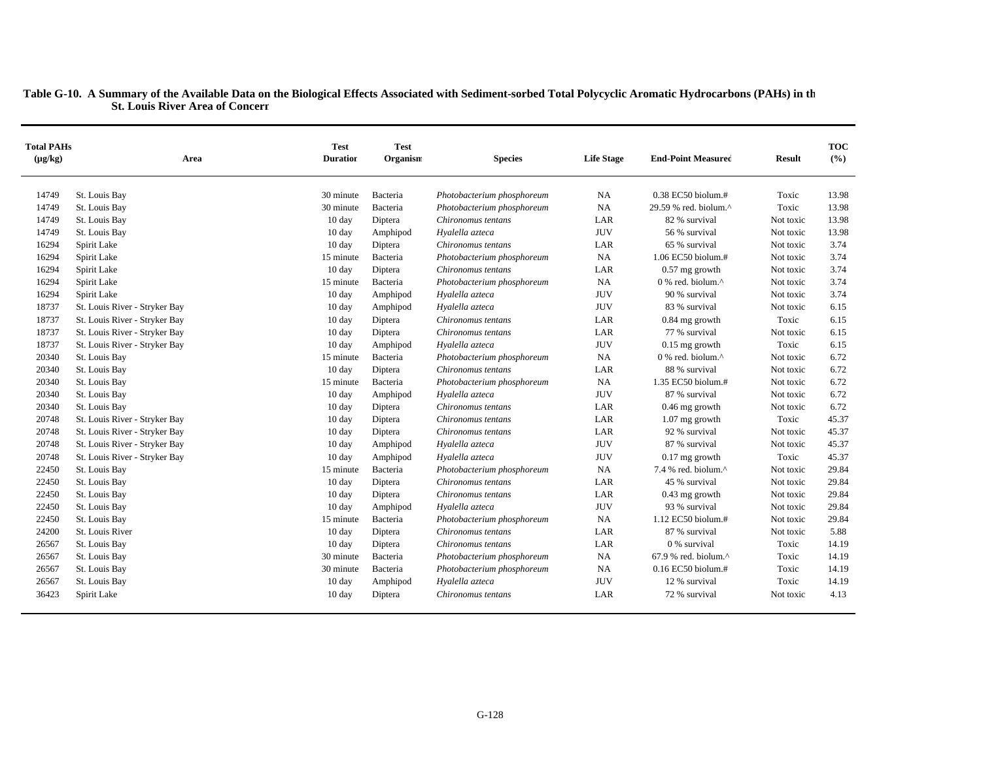| <b>Total PAHs</b><br>$(\mu g/kg)$ | Area                          | <b>Test</b><br><b>Duration</b> | <b>Test</b><br>Organism | <b>Species</b>             | <b>Life Stage</b> | <b>End-Point Measured</b>                           | <b>Result</b> | <b>TOC</b><br>(%) |
|-----------------------------------|-------------------------------|--------------------------------|-------------------------|----------------------------|-------------------|-----------------------------------------------------|---------------|-------------------|
| 14749                             | St. Louis Bay                 | 30 minute                      | Bacteria                | Photobacterium phosphoreum | <b>NA</b>         | 0.38 EC50 biolum.#                                  | Toxic         | 13.98             |
| 14749                             | St. Louis Bay                 | 30 minute                      | Bacteria                | Photobacterium phosphoreum | <b>NA</b>         | 29.59 % red. biolum.^                               | Toxic         | 13.98             |
| 14749                             | St. Louis Bay                 | 10 day                         | Diptera                 | Chironomus tentans         | LAR               | 82 % survival                                       | Not toxic     | 13.98             |
| 14749                             | St. Louis Bay                 | 10 day                         | Amphipod                | Hyalella azteca            | <b>JUV</b>        | 56 % survival                                       | Not toxic     | 13.98             |
| 16294                             | Spirit Lake                   | 10 day                         | Diptera                 | Chironomus tentans         | LAR               | 65 % survival                                       | Not toxic     | 3.74              |
| 16294                             | Spirit Lake                   | 15 minute                      | Bacteria                | Photobacterium phosphoreum | <b>NA</b>         | 1.06 EC50 biolum.#                                  | Not toxic     | 3.74              |
| 16294                             | Spirit Lake                   | 10 day                         | Diptera                 | Chironomus tentans         | LAR               | $0.57$ mg growth                                    | Not toxic     | 3.74              |
| 16294                             | Spirit Lake                   | 15 minute                      | Bacteria                | Photobacterium phosphoreum | <b>NA</b>         | $0$ % red. biolum. <sup><math>\wedge</math></sup>   | Not toxic     | 3.74              |
| 16294                             | Spirit Lake                   | 10 day                         | Amphipod                | Hyalella azteca            | <b>JUV</b>        | 90 % survival                                       | Not toxic     | 3.74              |
| 18737                             | St. Louis River - Stryker Bay | $10 \text{ day}$               | Amphipod                | Hyalella azteca            | <b>JUV</b>        | 83 % survival                                       | Not toxic     | 6.15              |
| 18737                             | St. Louis River - Stryker Bay | $10 \text{ day}$               | Diptera                 | Chironomus tentans         | LAR               | $0.84$ mg growth                                    | Toxic         | 6.15              |
| 18737                             | St. Louis River - Stryker Bay | $10 \text{ day}$               | Diptera                 | Chironomus tentans         | LAR               | 77 % survival                                       | Not toxic     | 6.15              |
| 18737                             | St. Louis River - Stryker Bay | 10 day                         | Amphipod                | Hyalella azteca            | <b>JUV</b>        | $0.15$ mg growth                                    | Toxic         | 6.15              |
| 20340                             | St. Louis Bay                 | 15 minute                      | Bacteria                | Photobacterium phosphoreum | <b>NA</b>         | $0\%$ red. biolum. <sup><math>\wedge</math></sup>   | Not toxic     | 6.72              |
| 20340                             | St. Louis Bay                 | 10 day                         | Diptera                 | Chironomus tentans         | LAR               | 88 % survival                                       | Not toxic     | 6.72              |
| 20340                             | St. Louis Bay                 | 15 minute                      | Bacteria                | Photobacterium phosphoreum | <b>NA</b>         | 1.35 EC50 biolum.#                                  | Not toxic     | 6.72              |
| 20340                             | St. Louis Bay                 | 10 day                         | Amphipod                | Hyalella azteca            | <b>JUV</b>        | 87 % survival                                       | Not toxic     | 6.72              |
| 20340                             | St. Louis Bay                 | $10 \text{ day}$               | Diptera                 | Chironomus tentans         | LAR               | $0.46$ mg growth                                    | Not toxic     | 6.72              |
| 20748                             | St. Louis River - Stryker Bay | 10 day                         | Diptera                 | Chironomus tentans         | LAR               | 1.07 mg growth                                      | Toxic         | 45.37             |
| 20748                             | St. Louis River - Stryker Bay | 10 day                         | Diptera                 | Chironomus tentans         | LAR               | 92 % survival                                       | Not toxic     | 45.37             |
| 20748                             | St. Louis River - Stryker Bay | $10 \text{ day}$               | Amphipod                | Hyalella azteca            | <b>JUV</b>        | 87 % survival                                       | Not toxic     | 45.37             |
| 20748                             | St. Louis River - Stryker Bay | 10 day                         | Amphipod                | Hyalella azteca            | <b>JUV</b>        | $0.17$ mg growth                                    | Toxic         | 45.37             |
| 22450                             | St. Louis Bay                 | 15 minute                      | Bacteria                | Photobacterium phosphoreum | <b>NA</b>         | 7.4 % red. biolum. $^{\wedge}$                      | Not toxic     | 29.84             |
| 22450                             | St. Louis Bay                 | $10 \text{ day}$               | Diptera                 | Chironomus tentans         | LAR               | 45 % survival                                       | Not toxic     | 29.84             |
| 22450                             | St. Louis Bay                 | $10 \text{ day}$               | Diptera                 | Chironomus tentans         | LAR               | $0.43$ mg growth                                    | Not toxic     | 29.84             |
| 22450                             | St. Louis Bay                 | 10 day                         | Amphipod                | Hyalella azteca            | <b>JUV</b>        | 93 % survival                                       | Not toxic     | 29.84             |
| 22450                             | St. Louis Bay                 | 15 minute                      | Bacteria                | Photobacterium phosphoreum | <b>NA</b>         | 1.12 EC50 biolum.#                                  | Not toxic     | 29.84             |
| 24200                             | St. Louis River               | $10 \text{ day}$               | Diptera                 | Chironomus tentans         | LAR               | 87 % survival                                       | Not toxic     | 5.88              |
| 26567                             | St. Louis Bay                 | $10 \text{ day}$               | Diptera                 | Chironomus tentans         | LAR               | 0 % survival                                        | Toxic         | 14.19             |
| 26567                             | St. Louis Bay                 | 30 minute                      | Bacteria                | Photobacterium phosphoreum | NA                | $67.9$ % red. biolum. <sup><math>\land</math></sup> | Toxic         | 14.19             |
| 26567                             | St. Louis Bay                 | 30 minute                      | Bacteria                | Photobacterium phosphoreum | <b>NA</b>         | $0.16$ EC50 biolum.#                                | Toxic         | 14.19             |
| 26567                             | St. Louis Bay                 | 10 day                         | Amphipod                | Hyalella azteca            | <b>JUV</b>        | 12 % survival                                       | Toxic         | 14.19             |
| 36423                             | Spirit Lake                   | $10 \text{ day}$               | Diptera                 | Chironomus tentans         | LAR               | 72 % survival                                       | Not toxic     | 4.13              |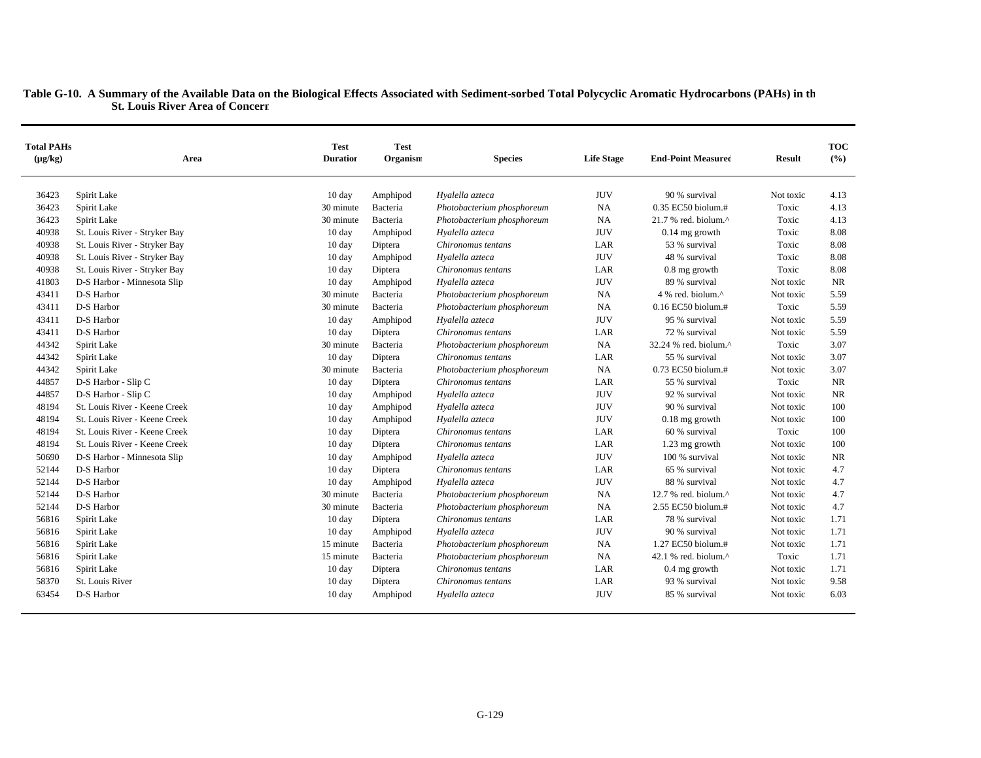| <b>Total PAHs</b><br>$(\mu g/kg)$ | Area                          | <b>Test</b><br><b>Duration</b> | <b>Test</b><br>Organism | <b>Species</b>             | <b>Life Stage</b> | <b>End-Point Measured</b>         | <b>Result</b> | <b>TOC</b><br>(%) |
|-----------------------------------|-------------------------------|--------------------------------|-------------------------|----------------------------|-------------------|-----------------------------------|---------------|-------------------|
| 36423                             | Spirit Lake                   | 10 day                         | Amphipod                | Hyalella azteca            | <b>JUV</b>        | 90 % survival                     | Not toxic     | 4.13              |
| 36423                             | Spirit Lake                   | 30 minute                      | Bacteria                | Photobacterium phosphoreum | <b>NA</b>         | 0.35 EC50 biolum.#                | Toxic         | 4.13              |
| 36423                             | Spirit Lake                   | 30 minute                      | Bacteria                | Photobacterium phosphoreum | NA                | $21.7$ % red. biolum. $^{\wedge}$ | Toxic         | 4.13              |
| 40938                             | St. Louis River - Stryker Bay | 10 day                         | Amphipod                | Hyalella azteca            | <b>JUV</b>        | $0.14$ mg growth                  | Toxic         | 8.08              |
| 40938                             | St. Louis River - Stryker Bay | $10 \text{ day}$               | Diptera                 | Chironomus tentans         | LAR               | 53 % survival                     | Toxic         | 8.08              |
| 40938                             | St. Louis River - Stryker Bay | $10 \text{ day}$               | Amphipod                | Hyalella azteca            | <b>JUV</b>        | 48 % survival                     | Toxic         | 8.08              |
| 40938                             | St. Louis River - Stryker Bay | 10 day                         | Diptera                 | Chironomus tentans         | LAR               | $0.8$ mg growth                   | Toxic         | 8.08              |
| 41803                             | D-S Harbor - Minnesota Slip   | 10 day                         | Amphipod                | Hyalella azteca            | <b>JUV</b>        | 89 % survival                     | Not toxic     | <b>NR</b>         |
| 43411                             | D-S Harbor                    | 30 minute                      | Bacteria                | Photobacterium phosphoreum | <b>NA</b>         | 4 % red. biolum.^                 | Not toxic     | 5.59              |
| 43411                             | D-S Harbor                    | 30 minute                      | Bacteria                | Photobacterium phosphoreum | <b>NA</b>         | $0.16$ EC50 biolum.#              | Toxic         | 5.59              |
| 43411                             | D-S Harbor                    | $10 \text{ day}$               | Amphipod                | Hyalella azteca            | <b>JUV</b>        | 95 % survival                     | Not toxic     | 5.59              |
| 43411                             | D-S Harbor                    | $10 \text{ day}$               | Diptera                 | Chironomus tentans         | LAR               | 72 % survival                     | Not toxic     | 5.59              |
| 44342                             | Spirit Lake                   | 30 minute                      | Bacteria                | Photobacterium phosphoreum | <b>NA</b>         | 32.24 % red. biolum.^             | Toxic         | 3.07              |
| 44342                             | Spirit Lake                   | 10 day                         | Diptera                 | Chironomus tentans         | LAR               | 55 % survival                     | Not toxic     | 3.07              |
| 44342                             | Spirit Lake                   | 30 minute                      | Bacteria                | Photobacterium phosphoreum | <b>NA</b>         | 0.73 EC50 biolum.#                | Not toxic     | 3.07              |
| 44857                             | D-S Harbor - Slip C           | $10 \text{ day}$               | Diptera                 | Chironomus tentans         | LAR               | 55 % survival                     | Toxic         | <b>NR</b>         |
| 44857                             | D-S Harbor - Slip C           | $10 \text{ day}$               | Amphipod                | Hyalella azteca            | <b>JUV</b>        | 92 % survival                     | Not toxic     | <b>NR</b>         |
| 48194                             | St. Louis River - Keene Creek | $10 \text{ day}$               | Amphipod                | Hyalella azteca            | <b>JUV</b>        | 90 % survival                     | Not toxic     | 100               |
| 48194                             | St. Louis River - Keene Creek | 10 day                         | Amphipod                | Hyalella azteca            | <b>JUV</b>        | $0.18$ mg growth                  | Not toxic     | 100               |
| 48194                             | St. Louis River - Keene Creek | $10 \text{ day}$               | Diptera                 | Chironomus tentans         | LAR               | 60 % survival                     | Toxic         | 100               |
| 48194                             | St. Louis River - Keene Creek | $10 \text{ day}$               | Diptera                 | Chironomus tentans         | LAR               | 1.23 mg growth                    | Not toxic     | 100               |
| 50690                             | D-S Harbor - Minnesota Slip   | $10 \text{ day}$               | Amphipod                | Hyalella azteca            | <b>JUV</b>        | 100 % survival                    | Not toxic     | NR                |
| 52144                             | D-S Harbor                    | $10 \text{ day}$               | Diptera                 | Chironomus tentans         | LAR               | 65 % survival                     | Not toxic     | 4.7               |
| 52144                             | D-S Harbor                    | $10 \text{ day}$               | Amphipod                | Hyalella azteca            | <b>JUV</b>        | 88 % survival                     | Not toxic     | 4.7               |
| 52144                             | D-S Harbor                    | 30 minute                      | Bacteria                | Photobacterium phosphoreum | <b>NA</b>         | 12.7 % red. biolum. $^{\wedge}$   | Not toxic     | 4.7               |
| 52144                             | D-S Harbor                    | 30 minute                      | Bacteria                | Photobacterium phosphoreum | NA                | 2.55 EC50 biolum.#                | Not toxic     | 4.7               |
| 56816                             | Spirit Lake                   | 10 day                         | Diptera                 | Chironomus tentans         | LAR               | 78 % survival                     | Not toxic     | 1.71              |
| 56816                             | Spirit Lake                   | 10 day                         | Amphipod                | Hyalella azteca            | <b>JUV</b>        | 90 % survival                     | Not toxic     | 1.71              |
| 56816                             | Spirit Lake                   | 15 minute                      | Bacteria                | Photobacterium phosphoreum | <b>NA</b>         | 1.27 EC50 biolum.#                | Not toxic     | 1.71              |
| 56816                             | Spirit Lake                   | 15 minute                      | Bacteria                | Photobacterium phosphoreum | <b>NA</b>         | 42.1 % red. biolum. $^{\wedge}$   | Toxic         | 1.71              |
| 56816                             | Spirit Lake                   | 10 day                         | Diptera                 | Chironomus tentans         | LAR               | 0.4 mg growth                     | Not toxic     | 1.71              |
| 58370                             | St. Louis River               | $10 \text{ day}$               | Diptera                 | Chironomus tentans         | LAR               | 93 % survival                     | Not toxic     | 9.58              |
| 63454                             | D-S Harbor                    | $10 \text{ day}$               | Amphipod                | Hyalella azteca            | <b>JUV</b>        | 85 % survival                     | Not toxic     | 6.03              |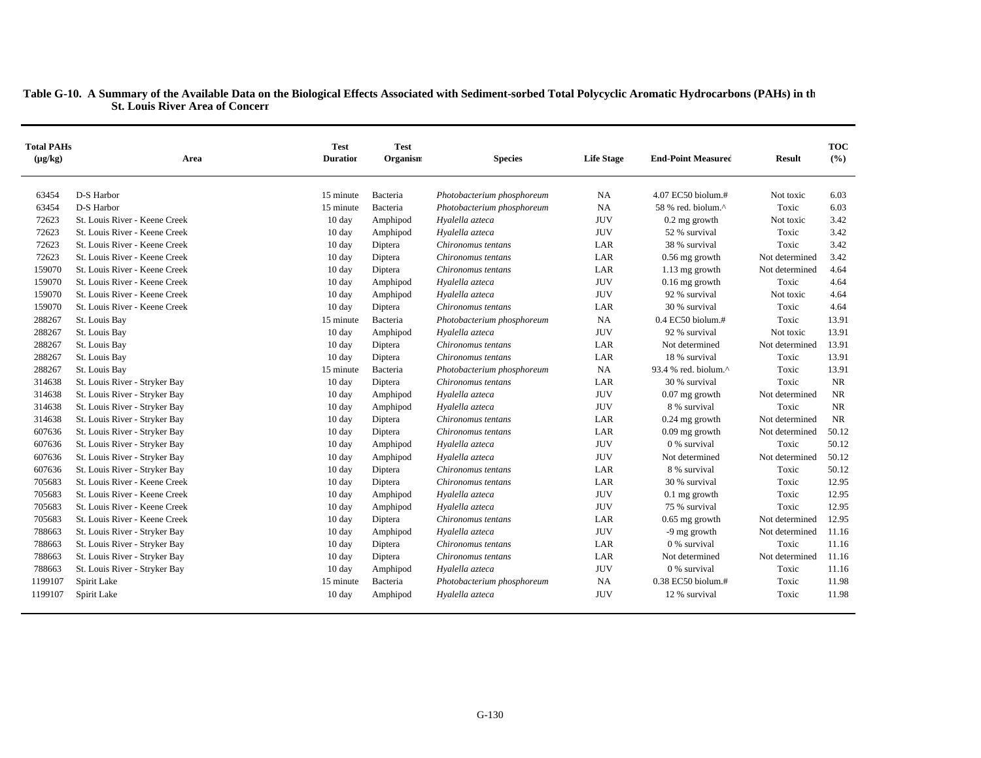| <b>Total PAHs</b><br>$(\mu g/kg)$ | Area                          | <b>Test</b><br><b>Duration</b> | <b>Test</b><br>Organism | <b>Species</b>                        | <b>Life Stage</b> | <b>End-Point Measured</b> | <b>Result</b>               | <b>TOC</b><br>(%) |
|-----------------------------------|-------------------------------|--------------------------------|-------------------------|---------------------------------------|-------------------|---------------------------|-----------------------------|-------------------|
| 63454                             | D-S Harbor                    | 15 minute                      | Bacteria                | Photobacterium phosphoreum            | <b>NA</b>         | 4.07 EC50 biolum.#        | Not toxic                   | 6.03              |
| 63454                             | D-S Harbor                    | 15 minute                      | Bacteria                | Photobacterium phosphoreum            | <b>NA</b>         | 58 % red. biolum.^        | Toxic                       | 6.03              |
| 72623                             | St. Louis River - Keene Creek | 10 day                         | Amphipod                | Hyalella azteca                       | <b>JUV</b>        | $0.2$ mg growth           | Not toxic                   | 3.42              |
| 72623                             | St. Louis River - Keene Creek | $10 \text{ day}$               | Amphipod                | Hyalella azteca                       | <b>JUV</b>        | 52 % survival             | Toxic                       | 3.42              |
| 72623                             | St. Louis River - Keene Creek | $10 \text{ day}$               | Diptera                 | Chironomus tentans                    | LAR               | 38 % survival             | Toxic                       | 3.42              |
| 72623                             | St. Louis River - Keene Creek | 10 day                         | Diptera                 | Chironomus tentans                    | LAR               | $0.56$ mg growth          | Not determined              | 3.42              |
| 159070                            | St. Louis River - Keene Creek | 10 day                         | Diptera                 | Chironomus tentans                    | LAR               | $1.13$ mg growth          | Not determined              | 4.64              |
| 159070                            | St. Louis River - Keene Creek | $10 \text{ day}$               | Amphipod                | Hyalella azteca                       | <b>JUV</b>        | $0.16$ mg growth          | Toxic                       | 4.64              |
| 159070                            | St. Louis River - Keene Creek | $10 \text{ day}$               | Amphipod                | Hyalella azteca                       | <b>JUV</b>        | 92 % survival             | Not toxic                   | 4.64              |
| 159070                            | St. Louis River - Keene Creek |                                |                         | Chironomus tentans                    | LAR               | 30 % survival             | Toxic                       | 4.64              |
| 288267                            |                               | 10 day                         | Diptera                 |                                       | <b>NA</b>         | $0.4$ EC50 biolum.#       | Toxic                       | 13.91             |
|                                   | St. Louis Bay                 | 15 minute                      | Bacteria                | Photobacterium phosphoreum            | <b>JUV</b>        | 92 % survival             |                             | 13.91             |
| 288267                            | St. Louis Bay                 | $10 \text{ day}$               | Amphipod                | Hyalella azteca<br>Chironomus tentans |                   | Not determined            | Not toxic<br>Not determined | 13.91             |
| 288267                            | St. Louis Bay                 | 10 day                         | Diptera                 |                                       | LAR               | 18 % survival             |                             |                   |
| 288267                            | St. Louis Bay                 | 10 day                         | Diptera                 | Chironomus tentans                    | LAR               |                           | Toxic                       | 13.91             |
| 288267                            | St. Louis Bay                 | 15 minute                      | Bacteria                | Photobacterium phosphoreum            | <b>NA</b>         | 93.4 % red. biolum.^      | Toxic                       | 13.91             |
| 314638                            | St. Louis River - Stryker Bay | 10 day                         | Diptera                 | Chironomus tentans                    | LAR               | 30 % survival             | Toxic                       | NR                |
| 314638                            | St. Louis River - Stryker Bay | 10 day                         | Amphipod                | Hyalella azteca                       | <b>JUV</b>        | $0.07$ mg growth          | Not determined              | <b>NR</b>         |
| 314638                            | St. Louis River - Stryker Bay | 10 day                         | Amphipod                | Hyalella azteca                       | <b>JUV</b>        | 8 % survival              | Toxic                       | <b>NR</b>         |
| 314638                            | St. Louis River - Stryker Bay | 10 day                         | Diptera                 | Chironomus tentans                    | LAR               | $0.24$ mg growth          | Not determined              | NR                |
| 607636                            | St. Louis River - Stryker Bay | 10 day                         | Diptera                 | Chironomus tentans                    | LAR               | $0.09$ mg growth          | Not determined              | 50.12             |
| 607636                            | St. Louis River - Stryker Bay | 10 day                         | Amphipod                | Hyalella azteca                       | <b>JUV</b>        | 0 % survival              | Toxic                       | 50.12             |
| 607636                            | St. Louis River - Stryker Bay | 10 day                         | Amphipod                | Hyalella azteca                       | <b>JUV</b>        | Not determined            | Not determined              | 50.12             |
| 607636                            | St. Louis River - Stryker Bay | $10 \text{ day}$               | Diptera                 | Chironomus tentans                    | LAR               | 8 % survival              | Toxic                       | 50.12             |
| 705683                            | St. Louis River - Keene Creek | 10 day                         | Diptera                 | Chironomus tentans                    | LAR               | 30 % survival             | Toxic                       | 12.95             |
| 705683                            | St. Louis River - Keene Creek | $10 \text{ day}$               | Amphipod                | Hyalella azteca                       | <b>JUV</b>        | $0.1$ mg growth           | Toxic                       | 12.95             |
| 705683                            | St. Louis River - Keene Creek | $10 \text{ day}$               | Amphipod                | Hyalella azteca                       | <b>JUV</b>        | 75 % survival             | Toxic                       | 12.95             |
| 705683                            | St. Louis River - Keene Creek | 10 day                         | Diptera                 | Chironomus tentans                    | LAR               | $0.65$ mg growth          | Not determined              | 12.95             |
| 788663                            | St. Louis River - Stryker Bay | 10 day                         | Amphipod                | Hyalella azteca                       | <b>JUV</b>        | -9 mg growth              | Not determined              | 11.16             |
| 788663                            | St. Louis River - Stryker Bay | $10 \text{ day}$               | Diptera                 | Chironomus tentans                    | LAR               | 0 % survival              | Toxic                       | 11.16             |
| 788663                            | St. Louis River - Stryker Bay | $10 \text{ day}$               | Diptera                 | Chironomus tentans                    | LAR               | Not determined            | Not determined              | 11.16             |
| 788663                            | St. Louis River - Stryker Bay | 10 day                         | Amphipod                | Hyalella azteca                       | <b>JUV</b>        | 0 % survival              | Toxic                       | 11.16             |
| 1199107                           | Spirit Lake                   | 15 minute                      | Bacteria                | Photobacterium phosphoreum            | <b>NA</b>         | 0.38 EC50 biolum.#        | Toxic                       | 11.98             |
| 1199107                           | Spirit Lake                   | 10 day                         | Amphipod                | Hyalella azteca                       | <b>JUV</b>        | 12 % survival             | Toxic                       | 11.98             |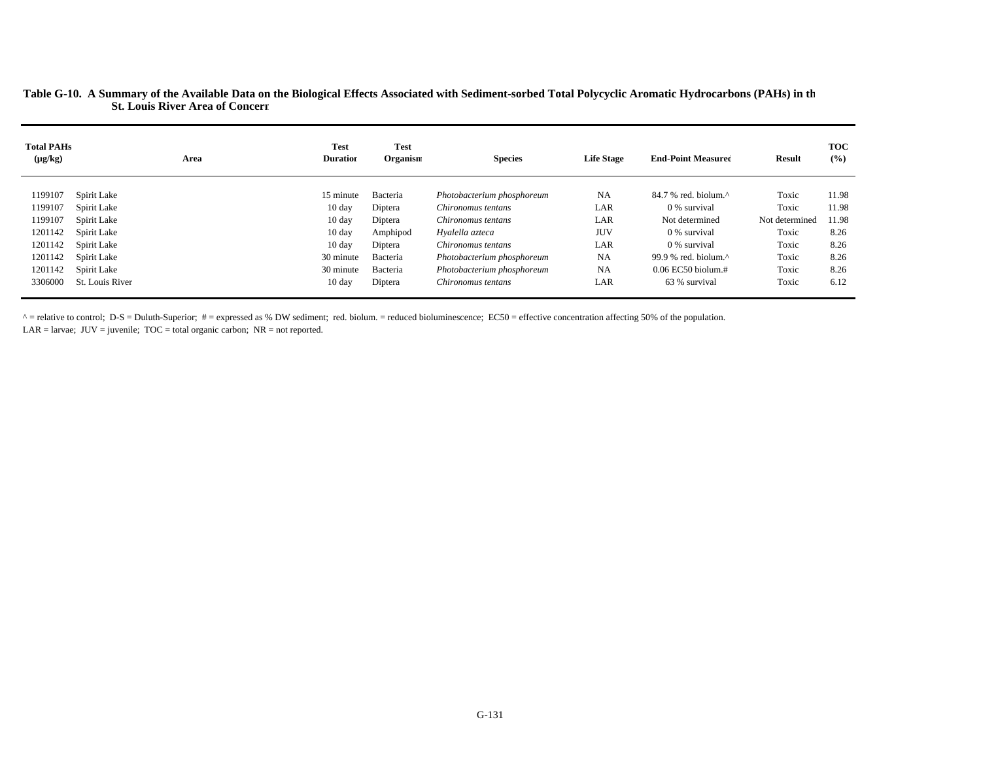| <b>Total PAHs</b><br>$(\mu g/kg)$ | Area            | <b>Test</b><br><b>Duration</b> | <b>Test</b><br>Organism | <b>Species</b>             | <b>Life Stage</b> | <b>End-Point Measured</b>                           | <b>Result</b>  | <b>TOC</b><br>(%) |
|-----------------------------------|-----------------|--------------------------------|-------------------------|----------------------------|-------------------|-----------------------------------------------------|----------------|-------------------|
|                                   |                 |                                |                         |                            |                   |                                                     |                |                   |
| 1199107                           | Spirit Lake     | 15 minute                      | Bacteria                | Photobacterium phosphoreum | NA                | $84.7$ % red. biolum. <sup><math>\land</math></sup> | Toxic          | 11.98             |
| 1199107                           | Spirit Lake     | $10 \text{ day}$               | Diptera                 | Chironomus tentans         | LAR               | 0 % survival                                        | Toxic          | 11.98             |
| 1199107                           | Spirit Lake     | $10 \text{ day}$               | Diptera                 | Chironomus tentans         | LAR               | Not determined                                      | Not determined | 11.98             |
| 1201142                           | Spirit Lake     | $10 \text{ day}$               | Amphipod                | Hyalella azteca            | <b>JUV</b>        | 0 % survival                                        | Toxic          | 8.26              |
| 1201142                           | Spirit Lake     | $10 \text{ day}$               | Diptera                 | Chironomus tentans         | LAR               | 0 % survival                                        | Toxic          | 8.26              |
| 1201142                           | Spirit Lake     | 30 minute                      | Bacteria                | Photobacterium phosphoreum | <b>NA</b>         | 99.9 % red. biolum. $\wedge$                        | Toxic          | 8.26              |
| 1201142                           | Spirit Lake     | 30 minute                      | Bacteria                | Photobacterium phosphoreum | <b>NA</b>         | $0.06$ EC50 biolum.#                                | Toxic          | 8.26              |
| 3306000                           | St. Louis River | $10 \text{ day}$               | Diptera                 | Chironomus tentans         | LAR               | 63 % survival                                       | Toxic          | 6.12              |
|                                   |                 |                                |                         |                            |                   |                                                     |                |                   |

 $\land$  = relative to control; D-S = Duluth-Superior; # = expressed as % DW sediment; red. biolum. = reduced bioluminescence; EC50 = effective concentration affecting 50% of the population.  $LAR =$  larvae;  $JUV =$  juvenile;  $TOC =$  total organic carbon;  $NR =$  not reported.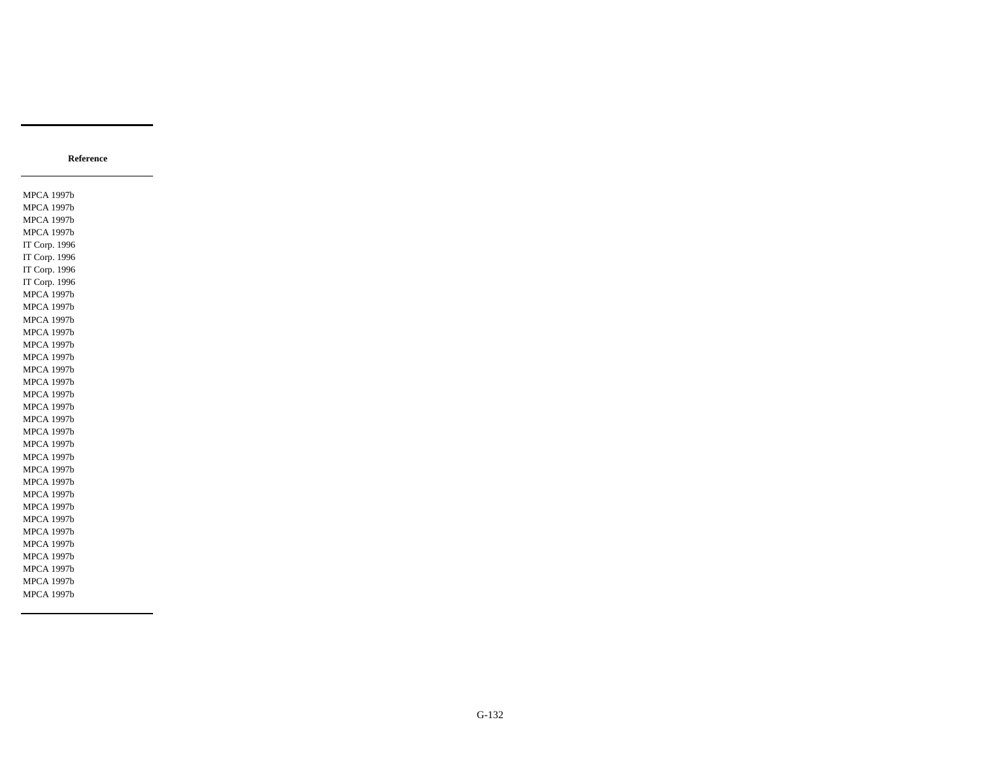MPCA 1997b MPCA 1997b MPCA 1997b MPCA 1997b IT Corp. 1996 IT Corp. 1996 IT Corp. 1996 IT Corp. 1996 MPCA 1997b MPCA 1997b MPCA 1997b MPCA 1997b MPCA 1997b MPCA 1997b MPCA 1997b MPCA 1997b MPCA 1997b MPCA 1997b MPCA 1997b MPCA 1997b MPCA 1997b MPCA 1997b MPCA 1997b MPCA 1997b MPCA 1997b MPCA 1997b MPCA 1997b MPCA 1997b MPCA 1997b MPCA 1997b MPCA 1997b MPCA 1997b MPCA 1997b

**Reference**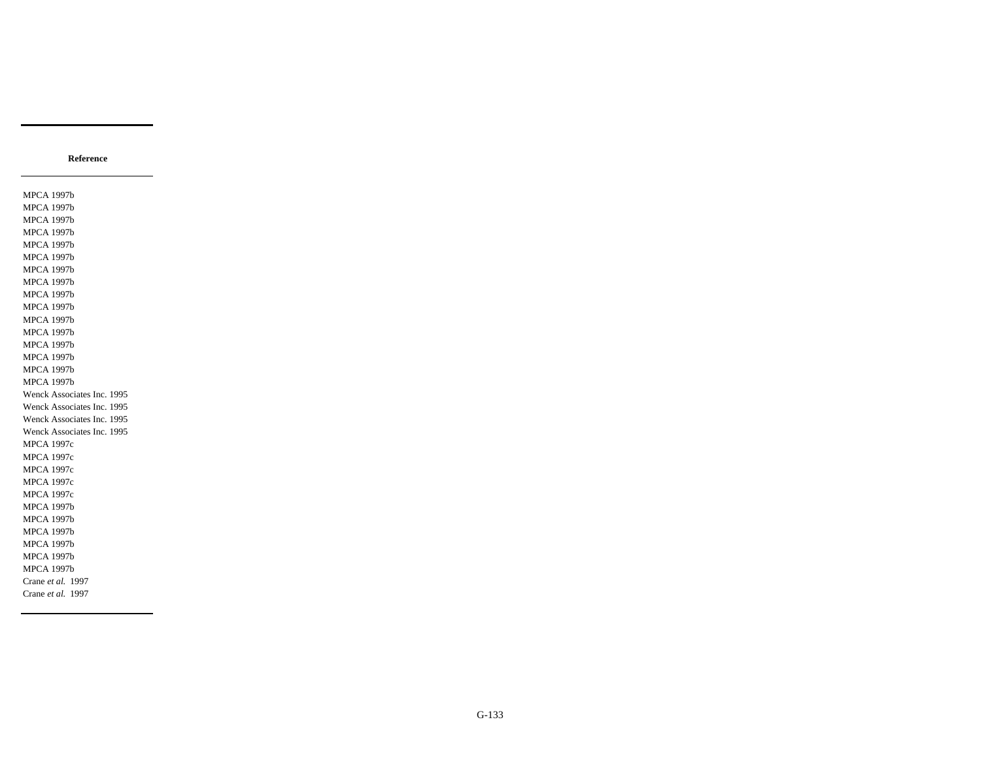MPCA 1997b MPCA 1997b MPCA 1997b MPCA 1997b MPCA 1997b MPCA 1997b MPCA 1997b MPCA 1997b MPCA 1997b MPCA 1997b MPCA 1997b MPCA 1997b MPCA 1997b MPCA 1997b MPCA 1997b MPCA 1997b Wenck Associates Inc. 1995 Wenck Associates Inc. 1995 Wenck Associates Inc. 1995 Wenck Associates Inc. 1995 MPCA 1997c MPCA 1997c MPCA 1997c MPCA 1997c MPCA 1997c MPCA 1997b MPCA 1997b MPCA 1997b MPCA 1997b MPCA 1997b MPCA 1997b Crane *et al.* 1997 Crane *et al.* 1997

**Reference**

G-133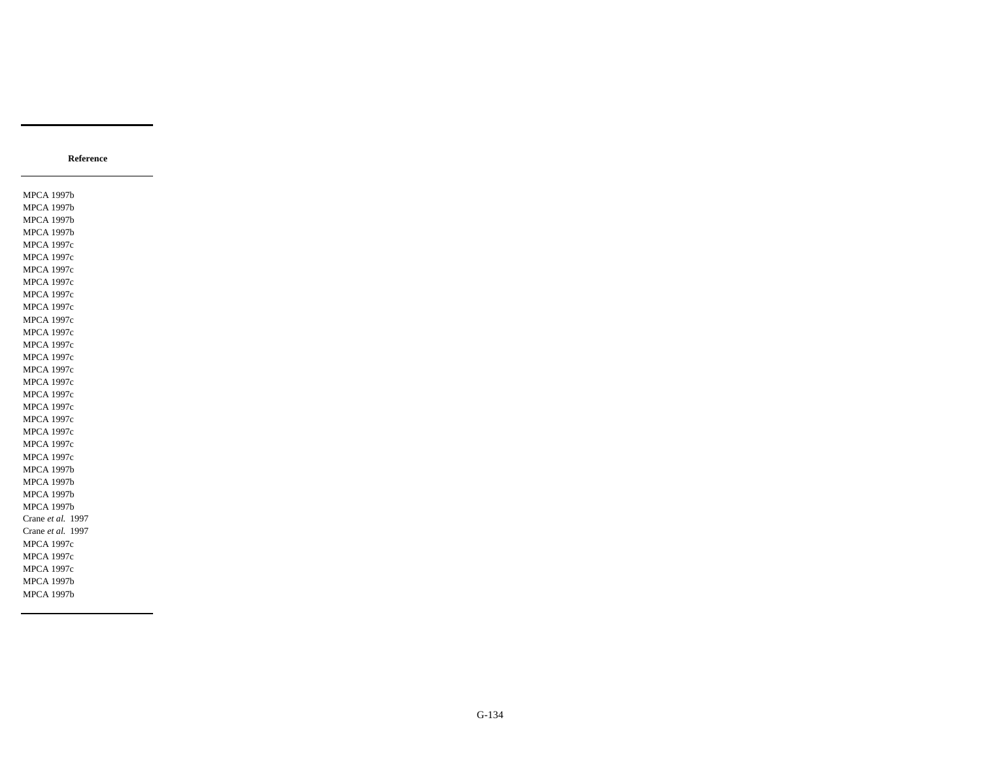MPCA 1997b MPCA 1997b MPCA 1997b MPCA 1997b MPCA 1997c MPCA 1997c MPCA 1997c MPCA 1997c MPCA 1997c MPCA 1997c MPCA 1997c MPCA 1997c MPCA 1997c MPCA 1997c MPCA 1997c MPCA 1997c MPCA 1997c MPCA 1997c MPCA 1997c MPCA 1997c MPCA 1997c MPCA 1997c MPCA 1997b MPCA 1997b MPCA 1997b MPCA 1997b Crane *et al.* 1997 Crane *et al.* 1997 MPCA 1997c MPCA 1997c MPCA 1997c MPCA 1997b MPCA 1997b

**Reference**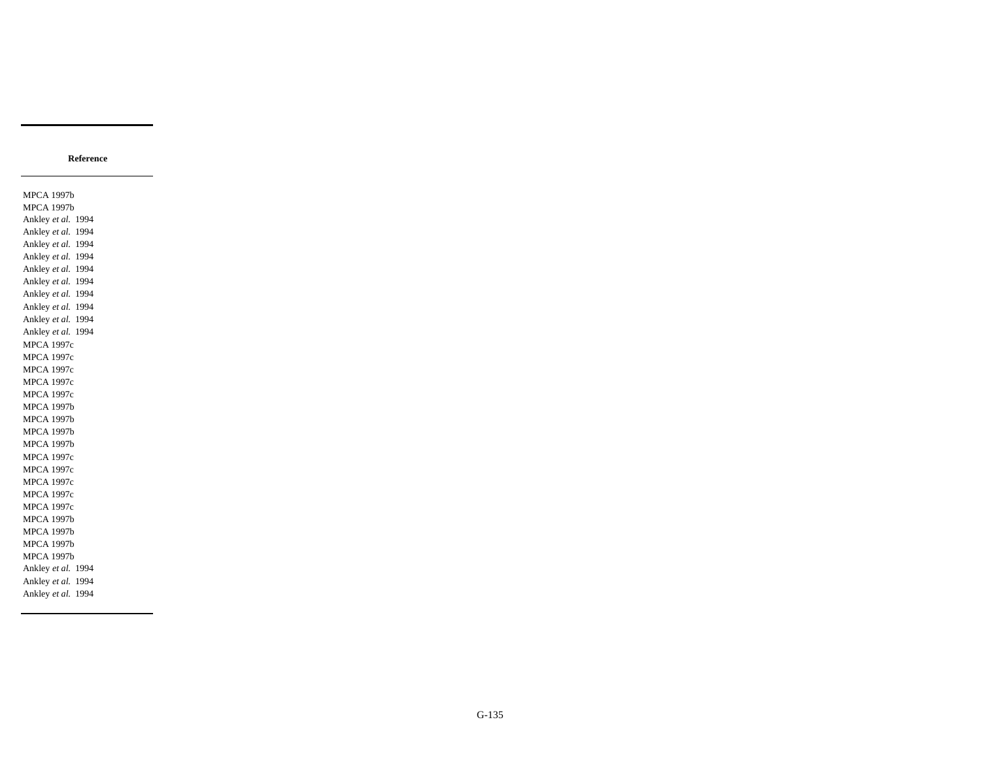**Reference**

MPCA 1997b MPCA 1997b Ankley *et al.* 1994 Ankley *et al.* 1994 Ankley *et al.* 1994 Ankley *et al.* 1994 Ankley *et al.* 1994 Ankley *et al.* 1994 Ankley *et al.* 1994 Ankley *et al.* 1994 Ankley *et al.* 1994 Ankley *et al.* 1994 MPCA 1997c MPCA 1997c MPCA 1997c MPCA 1997c MPCA 1997c MPCA 1997b MPCA 1997b MPCA 1997b MPCA 1997b MPCA 1997c MPCA 1997c MPCA 1997c MPCA 1997c MPCA 1997c MPCA 1997b MPCA 1997b MPCA 1997b MPCA 1997b Ankley *et al.* 1994 Ankley *et al.* 1994 Ankley *et al.* 1994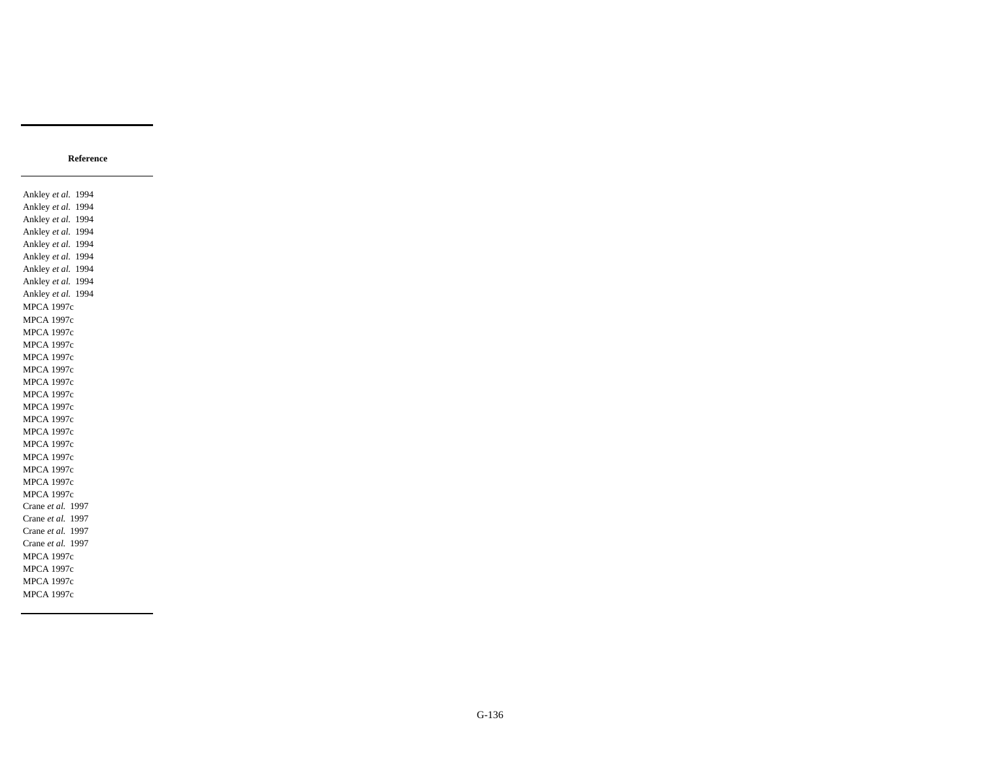#### **Reference**

Ankley *et al.* 1994 Ankley *et al.* 1994 Ankley *et al.* 1994 Ankley *et al.* 1994 Ankley *et al.* 1994 Ankley *et al.* 1994 Ankley *et al.* 1994 Ankley *et al.* 1994 Ankley *et al.* 1994 MPCA 1997c MPCA 1997c MPCA 1997c MPCA 1997c MPCA 1997c MPCA 1997c MPCA 1997c MPCA 1997c MPCA 1997c MPCA 1997c MPCA 1997c MPCA 1997c MPCA 1997c MPCA 1997c MPCA 1997c MPCA 1997c Crane *et al.* 1997 Crane *et al.* 1997 Crane *et al.* 1997 Crane *et al.* 1997 MPCA 1997c MPCA 1997c MPCA 1997c MPCA 1997c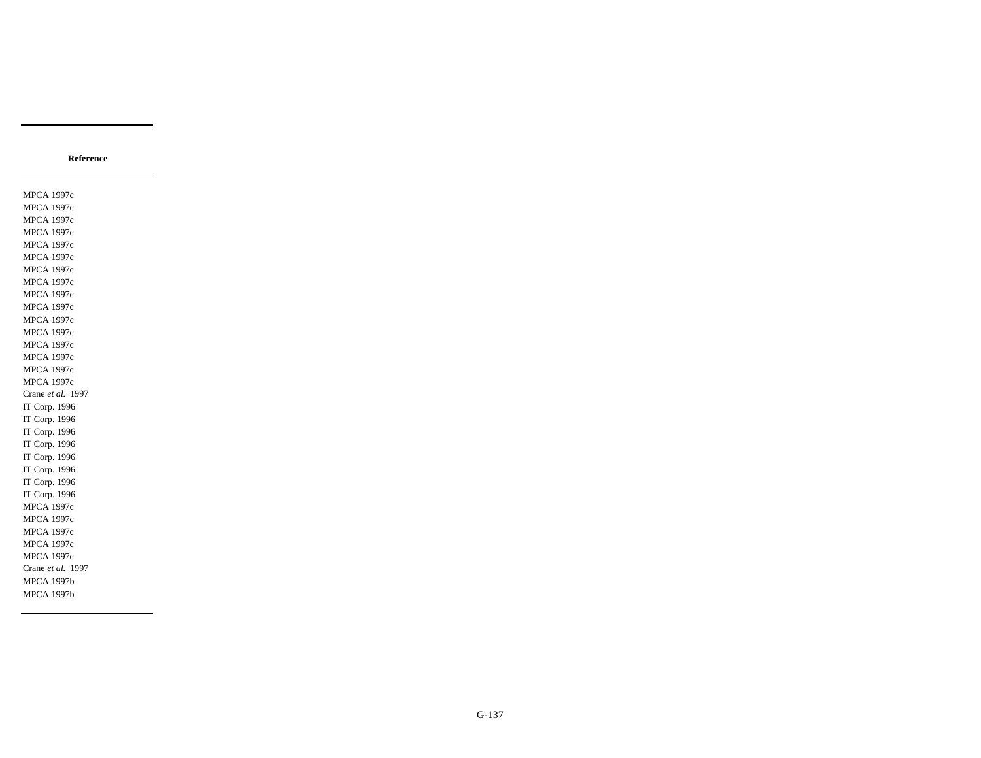MPCA 1997c MPCA 1997c MPCA 1997c MPCA 1997c MPCA 1997c MPCA 1997c MPCA 1997c MPCA 1997c MPCA 1997c MPCA 1997c MPCA 1997c MPCA 1997c MPCA 1997c MPCA 1997c MPCA 1997c MPCA 1997c Crane *et al.* 1997 IT Corp. 1996 IT Corp. 1996 IT Corp. 1996 IT Corp. 1996 IT Corp. 1996 IT Corp. 1996 IT Corp. 1996 IT Corp. 1996 MPCA 1997c MPCA 1997c MPCA 1997c MPCA 1997c MPCA 1997c Crane *et al.* 1997 MPCA 1997b MPCA 1997b

**Reference**

G-137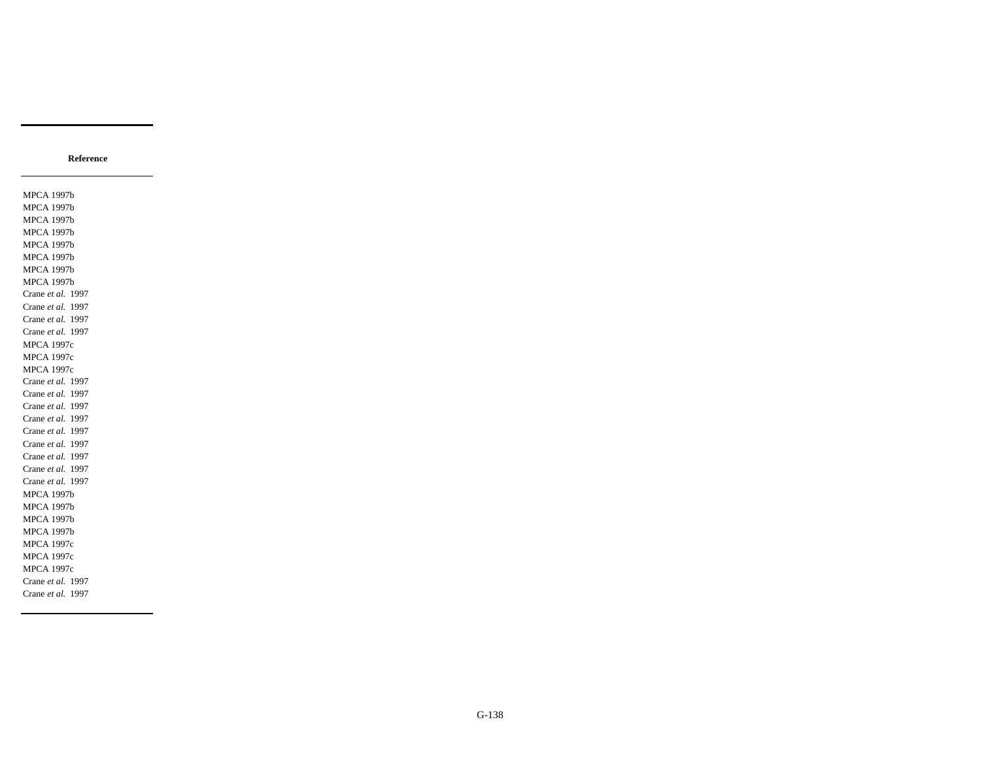MPCA 1997b MPCA 1997b MPCA 1997b MPCA 1997b MPCA 1997b MPCA 1997b MPCA 1997b MPCA 1997b Crane *et al.* 1997 Crane *et al.* 1997 Crane *et al.* 1997 Crane *et al.* 1997 MPCA 1997c MPCA 1997c MPCA 1997c Crane *et al.* 1997 Crane *et al.* 1997 Crane *et al.* 1997 Crane *et al.* 1997 Crane *et al.* 1997 Crane *et al.* 1997 Crane *et al.* 1997 Crane *et al.* 1997 Crane *et al.* 1997 MPCA 1997b MPCA 1997b MPCA 1997b MPCA 1997b MPCA 1997c MPCA 1997c MPCA 1997c Crane *et al.* 1997 Crane *et al.* 1997

**Reference**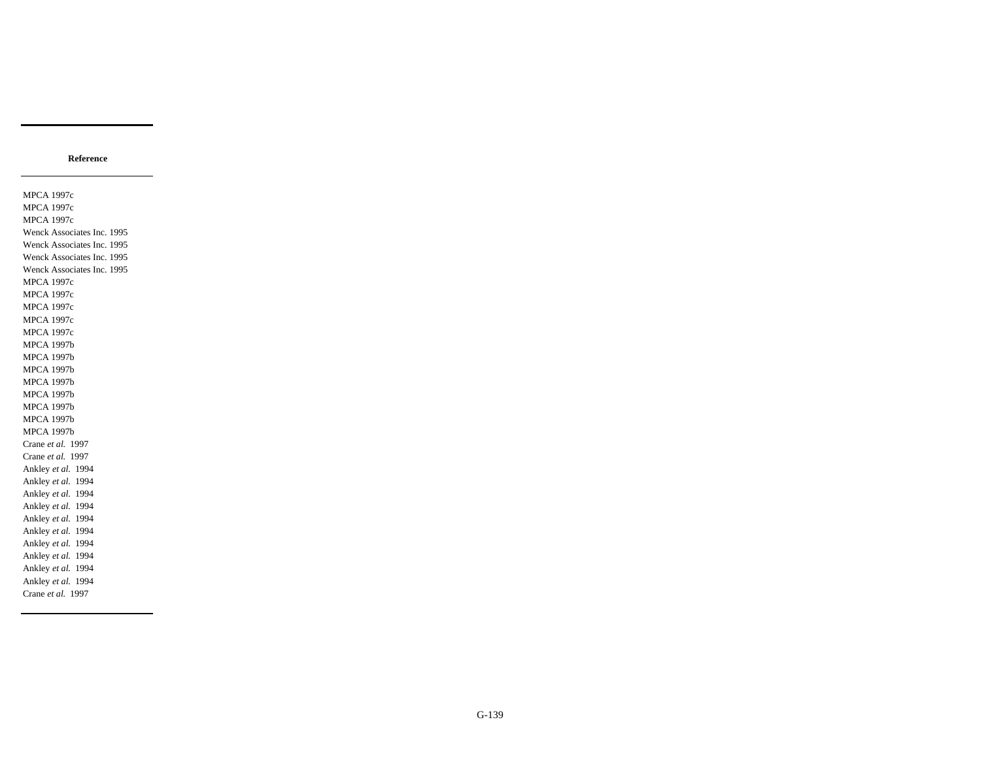#### **Reference**

MPCA 1997c MPCA 1997c MPCA 1997c Wenck Associates Inc. 1995 Wenck Associates Inc. 1995 Wenck Associates Inc. 1995 Wenck Associates Inc. 1995 MPCA 1997c MPCA 1997c MPCA 1997c MPCA 1997c MPCA 1997c MPCA 1997b MPCA 1997b MPCA 1997b MPCA 1997b MPCA 1997b MPCA 1997b MPCA 1997b MPCA 1997b Crane *et al.* 1997 Crane *et al.* 1997 Ankley *et al.* 1994 Ankley *et al.* 1994 Ankley *et al.* 1994 Ankley *et al.* 1994 Ankley *et al.* 1994 Ankley *et al.* 1994 Ankley *et al.* 1994 Ankley *et al.* 1994 Ankley *et al.* 1994 Ankley *et al.* 1994 Crane *et al.* 1997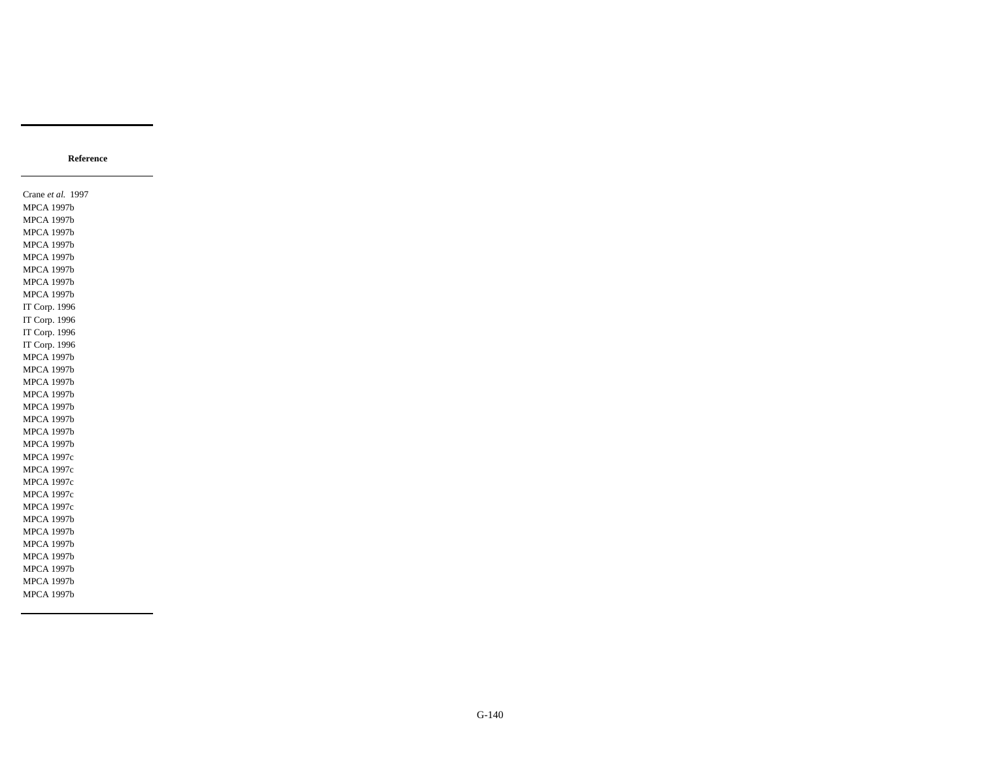#### **Reference**

Crane *et al.* 1997 MPCA 1997b MPCA 1997b MPCA 1997b MPCA 1997b MPCA 1997b MPCA 1997b MPCA 1997b MPCA 1997b IT Corp. 1996 IT Corp. 1996 IT Corp. 1996 IT Corp. 1996 MPCA 1997b MPCA 1997b MPCA 1997b MPCA 1997b MPCA 1997b MPCA 1997b MPCA 1997b MPCA 1997b MPCA 1997c MPCA 1997c MPCA 1997c MPCA 1997c MPCA 1997c MPCA 1997b MPCA 1997b MPCA 1997b MPCA 1997b MPCA 1997b MPCA 1997b MPCA 1997b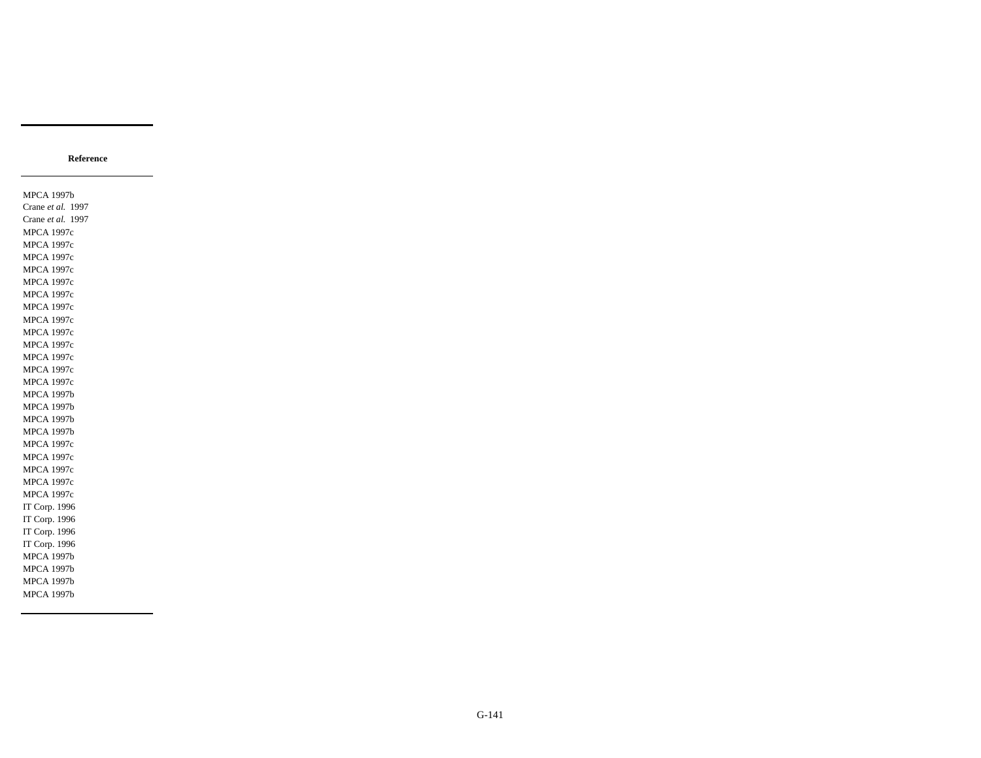MPCA 1997b Crane *et al.* 1997 Crane *et al.* 1997 MPCA 1997c MPCA 1997c MPCA 1997c MPCA 1997c MPCA 1997c MPCA 1997c MPCA 1997c MPCA 1997c MPCA 1997c MPCA 1997c MPCA 1997c MPCA 1997c MPCA 1997c MPCA 1997b MPCA 1997b MPCA 1997b MPCA 1997b MPCA 1997c MPCA 1997c MPCA 1997c MPCA 1997c MPCA 1997c IT Corp. 1996 IT Corp. 1996 IT Corp. 1996 IT Corp. 1996 MPCA 1997b MPCA 1997b MPCA 1997b MPCA 1997b

**Reference**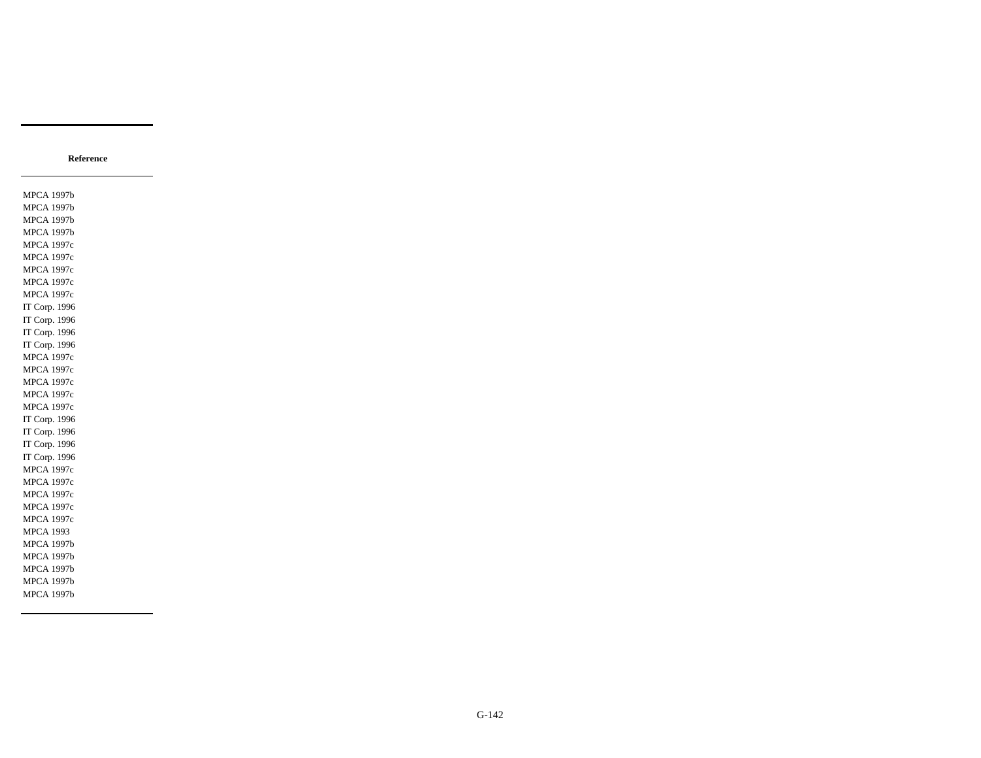MPCA 1997b MPCA 1997b MPCA 1997b MPCA 1997b MPCA 1997c MPCA 1997c MPCA 1997c MPCA 1997c MPCA 1997c IT Corp. 1996 IT Corp. 1996 IT Corp. 1996 IT Corp. 1996 MPCA 1997c MPCA 1997c MPCA 1997c MPCA 1997c MPCA 1997c IT Corp. 1996 IT Corp. 1996 IT Corp. 1996 IT Corp. 1996 MPCA 1997c MPCA 1997c MPCA 1997c MPCA 1997c MPCA 1997c MPCA 1993 MPCA 1997b MPCA 1997b MPCA 1997b MPCA 1997b MPCA 1997b

**Reference**

G-142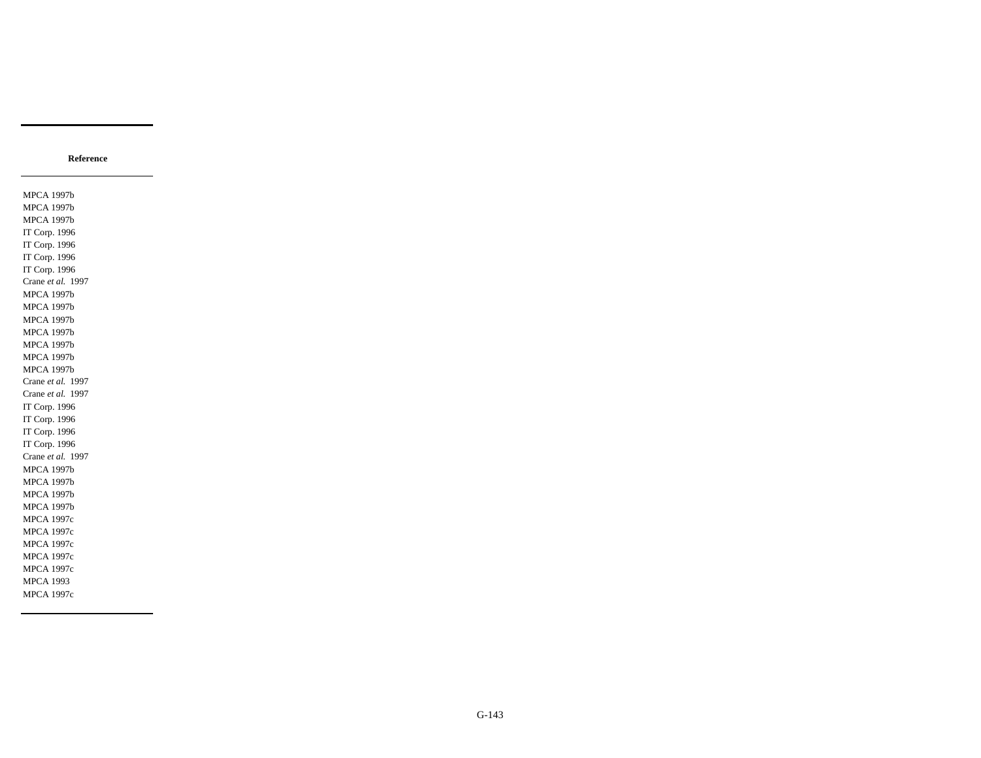#### **Reference**

MPCA 1997b MPCA 1997b MPCA 1997b IT Corp. 1996 IT Corp. 1996 IT Corp. 1996 IT Corp. 1996 Crane *et al.* 1997 MPCA 1997b MPCA 1997b MPCA 1997b MPCA 1997b MPCA 1997b MPCA 1997b MPCA 1997b Crane *et al.* 1997 Crane *et al.* 1997 IT Corp. 1996 IT Corp. 1996 IT Corp. 1996 IT Corp. 1996 Crane *et al.* 1997 MPCA 1997b MPCA 1997b MPCA 1997b MPCA 1997b MPCA 1997c MPCA 1997c MPCA 1997c MPCA 1997c MPCA 1997c MPCA 1993 MPCA 1997c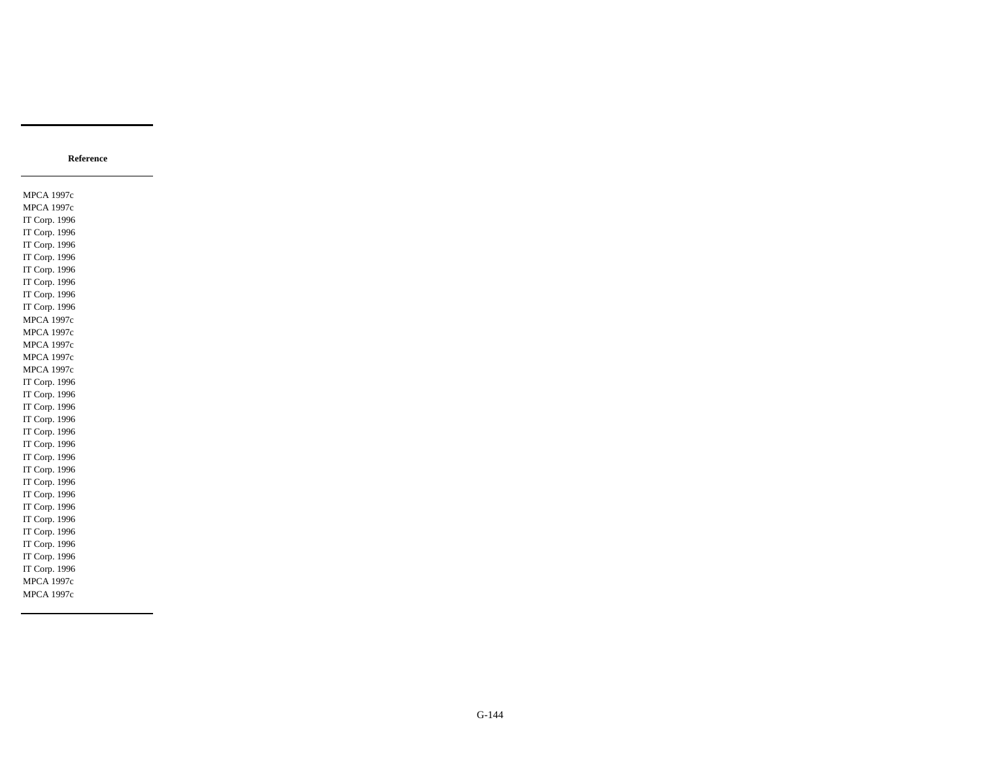## **Reference**

MPCA 1997c MPCA 1997c IT Corp. 1996 IT Corp. 1996 IT Corp. 1996 IT Corp. 1996 IT Corp. 1996 IT Corp. 1996 IT Corp. 1996 IT Corp. 1996 MPCA 1997c MPCA 1997c MPCA 1997c MPCA 1997c MPCA 1997c IT Corp. 1996 IT Corp. 1996 IT Corp. 1996 IT Corp. 1996 IT Corp. 1996 IT Corp. 1996 IT Corp. 1996 IT Corp. 1996 IT Corp. 1996 IT Corp. 1996 IT Corp. 1996 IT Corp. 1996 IT Corp. 1996 IT Corp. 1996 IT Corp. 1996 IT Corp. 1996 MPCA 1997c MPCA 1997c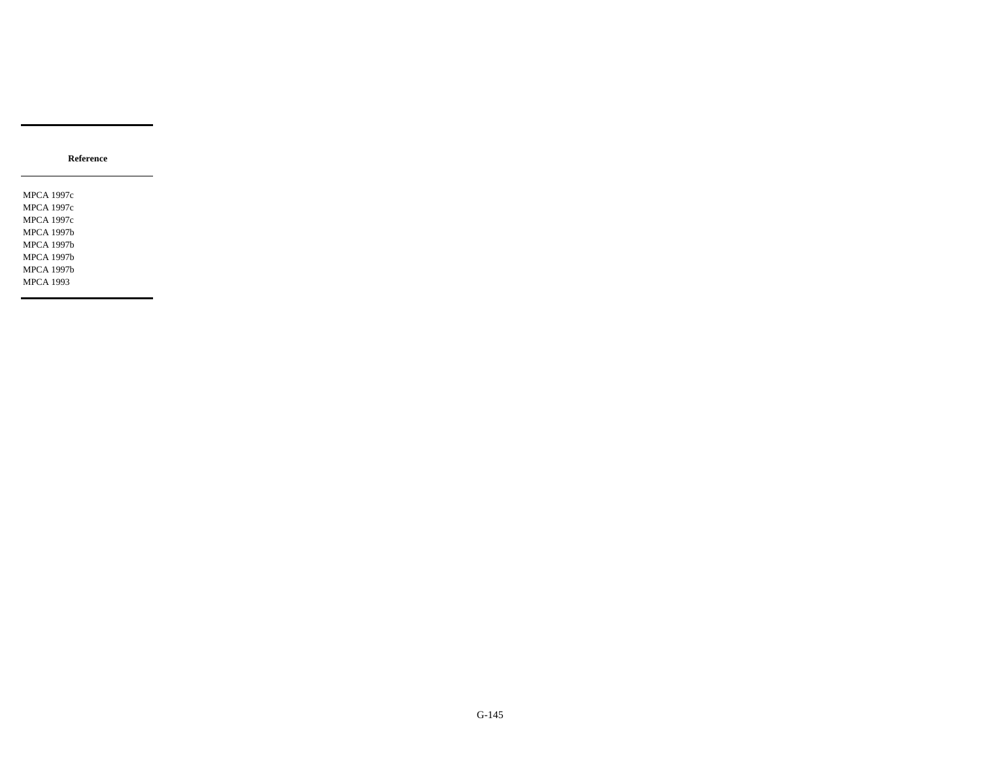MPCA 1997c MPCA 1997c MPCA 1997c MPCA 1997b MPCA 1997b MPCA 1997b MPCA 1997b MPCA 1993

**Reference**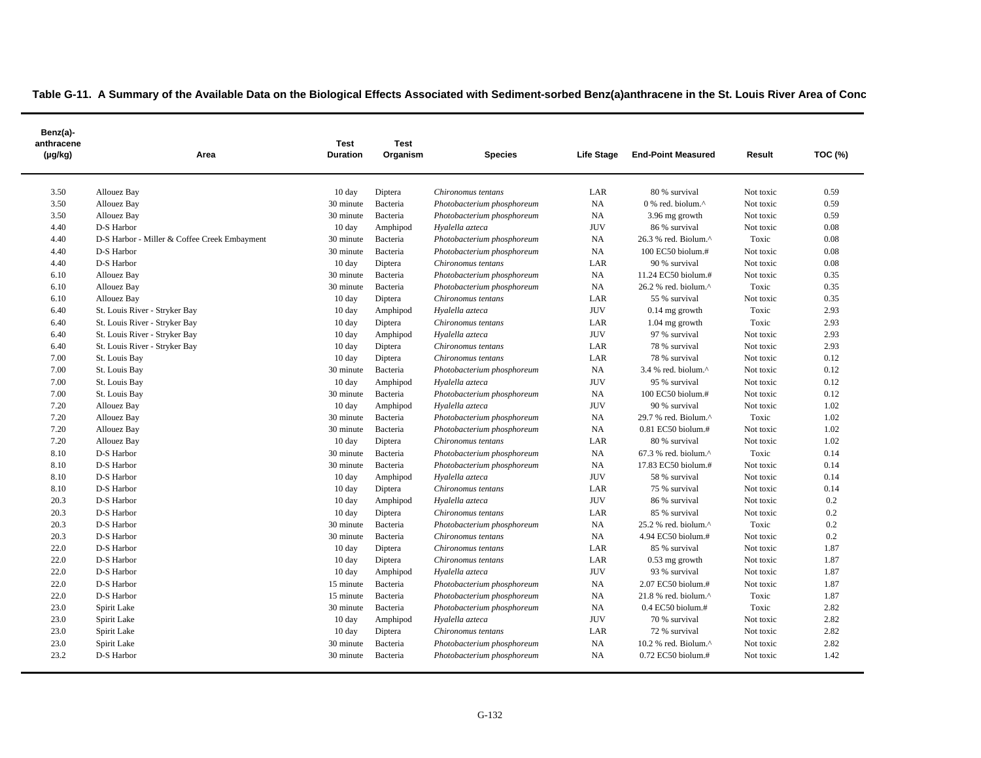| Benz(a)-<br>anthracene<br>$(\mu g/kg)$ | Area                                         | Test<br><b>Duration</b> | <b>Test</b><br>Organism | <b>Species</b>             | Life Stage | <b>End-Point Measured</b>                            | Result    | <b>TOC (%)</b> |
|----------------------------------------|----------------------------------------------|-------------------------|-------------------------|----------------------------|------------|------------------------------------------------------|-----------|----------------|
| 3.50                                   | Allouez Bay                                  | $10 \text{ day}$        | Diptera                 | Chironomus tentans         | LAR        | 80 % survival                                        | Not toxic | 0.59           |
| 3.50                                   | Allouez Bay                                  | 30 minute               | Bacteria                | Photobacterium phosphoreum | NA         | 0 % red. biolum.^                                    | Not toxic | 0.59           |
| 3.50                                   | <b>Allouez Bay</b>                           | 30 minute               | Bacteria                | Photobacterium phosphoreum | NA         | 3.96 mg growth                                       | Not toxic | 0.59           |
| 4.40                                   | D-S Harbor                                   | $10 \text{ day}$        | Amphipod                | Hyalella azteca            | <b>JUV</b> | 86 % survival                                        | Not toxic | 0.08           |
| 4.40                                   | D-S Harbor - Miller & Coffee Creek Embayment | 30 minute               | Bacteria                | Photobacterium phosphoreum | NA         | 26.3 % red. Biolum.^                                 | Toxic     | 0.08           |
| 4.40                                   | D-S Harbor                                   | 30 minute               | Bacteria                | Photobacterium phosphoreum | NA         | 100 EC50 biolum.#                                    | Not toxic | 0.08           |
| 4.40                                   | D-S Harbor                                   | 10 day                  | Diptera                 | Chironomus tentans         | LAR        | 90 % survival                                        | Not toxic | 0.08           |
| 6.10                                   | Allouez Bay                                  | 30 minute               | Bacteria                | Photobacterium phosphoreum | NA         | 11.24 EC50 biolum.#                                  | Not toxic | 0.35           |
| 6.10                                   | Allouez Bay                                  | 30 minute               | Bacteria                | Photobacterium phosphoreum | NA         | $26.2$ % red. biolum. <sup><math>\wedge</math></sup> | Toxic     | 0.35           |
| 6.10                                   | Allouez Bay                                  | 10 day                  | Diptera                 | Chironomus tentans         | LAR        | 55 % survival                                        | Not toxic | 0.35           |
| 6.40                                   | St. Louis River - Stryker Bay                | $10 \text{ day}$        | Amphipod                | Hyalella azteca            | <b>JUV</b> | $0.14$ mg growth                                     | Toxic     | 2.93           |
| 6.40                                   | St. Louis River - Stryker Bay                | $10 \text{ day}$        | Diptera                 | Chironomus tentans         | LAR        | $1.04$ mg growth                                     | Toxic     | 2.93           |
| 6.40                                   | St. Louis River - Stryker Bay                | 10 day                  | Amphipod                | Hyalella azteca            | <b>JUV</b> | 97 % survival                                        | Not toxic | 2.93           |
| 6.40                                   | St. Louis River - Stryker Bay                | $10 \text{ day}$        | Diptera                 | Chironomus tentans         | LAR        | 78 % survival                                        | Not toxic | 2.93           |
| 7.00                                   | St. Louis Bay                                | $10 \text{ day}$        | Diptera                 | Chironomus tentans         | LAR        | 78 % survival                                        | Not toxic | 0.12           |
| 7.00                                   | St. Louis Bay                                | 30 minute               | Bacteria                | Photobacterium phosphoreum | NA         | 3.4 % red. biolum.^                                  | Not toxic | 0.12           |
| 7.00                                   | St. Louis Bay                                | 10 day                  | Amphipod                | Hyalella azteca            | <b>JUV</b> | 95 % survival                                        | Not toxic | 0.12           |
| 7.00                                   | St. Louis Bay                                | 30 minute               | Bacteria                | Photobacterium phosphoreum | NA         | 100 EC50 biolum.#                                    | Not toxic | 0.12           |
| 7.20                                   | Allouez Bay                                  | 10 day                  | Amphipod                | Hyalella azteca            | <b>JUV</b> | 90 % survival                                        | Not toxic | 1.02           |
| 7.20                                   | Allouez Bay                                  | 30 minute               | Bacteria                | Photobacterium phosphoreum | NA         | 29.7 % red. Biolum.^                                 | Toxic     | 1.02           |
| 7.20                                   | Allouez Bay                                  | 30 minute               | Bacteria                | Photobacterium phosphoreum | NA         | $0.81$ EC50 biolum.#                                 | Not toxic | 1.02           |
| 7.20                                   | Allouez Bay                                  | 10 day                  | Diptera                 | Chironomus tentans         | LAR        | 80 % survival                                        | Not toxic | 1.02           |
| 8.10                                   | D-S Harbor                                   | 30 minute               | Bacteria                | Photobacterium phosphoreum | NA         | $67.3$ % red. biolum. $^{\wedge}$                    | Toxic     | 0.14           |
| 8.10                                   | D-S Harbor                                   | 30 minute               | Bacteria                | Photobacterium phosphoreum | NA         | 17.83 EC50 biolum.#                                  | Not toxic | 0.14           |
| 8.10                                   | D-S Harbor                                   | 10 day                  | Amphipod                | Hyalella azteca            | <b>JUV</b> | 58 % survival                                        | Not toxic | 0.14           |
| 8.10                                   | D-S Harbor                                   | 10 day                  | Diptera                 | Chironomus tentans         | LAR        | 75 % survival                                        | Not toxic | 0.14           |
| 20.3                                   | D-S Harbor                                   | $10 \text{ day}$        | Amphipod                | Hyalella azteca            | <b>JUV</b> | 86 % survival                                        | Not toxic | 0.2            |
| 20.3                                   | D-S Harbor                                   | 10 day                  | Diptera                 | Chironomus tentans         | LAR        | 85 % survival                                        | Not toxic | 0.2            |
| 20.3                                   | D-S Harbor                                   | 30 minute               | Bacteria                | Photobacterium phosphoreum | NA         | 25.2 % red. biolum.^                                 | Toxic     | 0.2            |
| 20.3                                   | D-S Harbor                                   | 30 minute               | Bacteria                | Chironomus tentans         | NA         | 4.94 EC50 biolum.#                                   | Not toxic | 0.2            |
| 22.0                                   | D-S Harbor                                   | $10 \text{ day}$        | Diptera                 | Chironomus tentans         | LAR        | 85 % survival                                        | Not toxic | 1.87           |
| 22.0                                   | D-S Harbor                                   | $10 \text{ day}$        | Diptera                 | Chironomus tentans         | LAR        | $0.53$ mg growth                                     | Not toxic | 1.87           |
| 22.0                                   | D-S Harbor                                   | $10 \text{ day}$        | Amphipod                | Hyalella azteca            | <b>JUV</b> | 93 % survival                                        | Not toxic | 1.87           |
| 22.0                                   | D-S Harbor                                   | 15 minute               | Bacteria                | Photobacterium phosphoreum | NA         | 2.07 EC50 biolum.#                                   | Not toxic | 1.87           |
| 22.0                                   | D-S Harbor                                   | 15 minute               | Bacteria                | Photobacterium phosphoreum | NA         | $21.8$ % red. biolum. $^{\wedge}$                    | Toxic     | 1.87           |
| 23.0                                   | Spirit Lake                                  | 30 minute               | Bacteria                | Photobacterium phosphoreum | NA         | $0.4$ EC50 biolum.#                                  | Toxic     | 2.82           |
| 23.0                                   | Spirit Lake                                  | 10 day                  | Amphipod                | Hyalella azteca            | <b>JUV</b> | 70 % survival                                        | Not toxic | 2.82           |
| 23.0                                   | Spirit Lake                                  | $10 \text{ day}$        | Diptera                 | Chironomus tentans         | LAR        | 72 % survival                                        | Not toxic | 2.82           |
| 23.0                                   | Spirit Lake                                  | 30 minute               | Bacteria                | Photobacterium phosphoreum | NA         | 10.2 % red. Biolum.^                                 | Not toxic | 2.82           |
| 23.2                                   | D-S Harbor                                   | 30 minute               | Bacteria                | Photobacterium phosphoreum | NA         | 0.72 EC50 biolum.#                                   | Not toxic | 1.42           |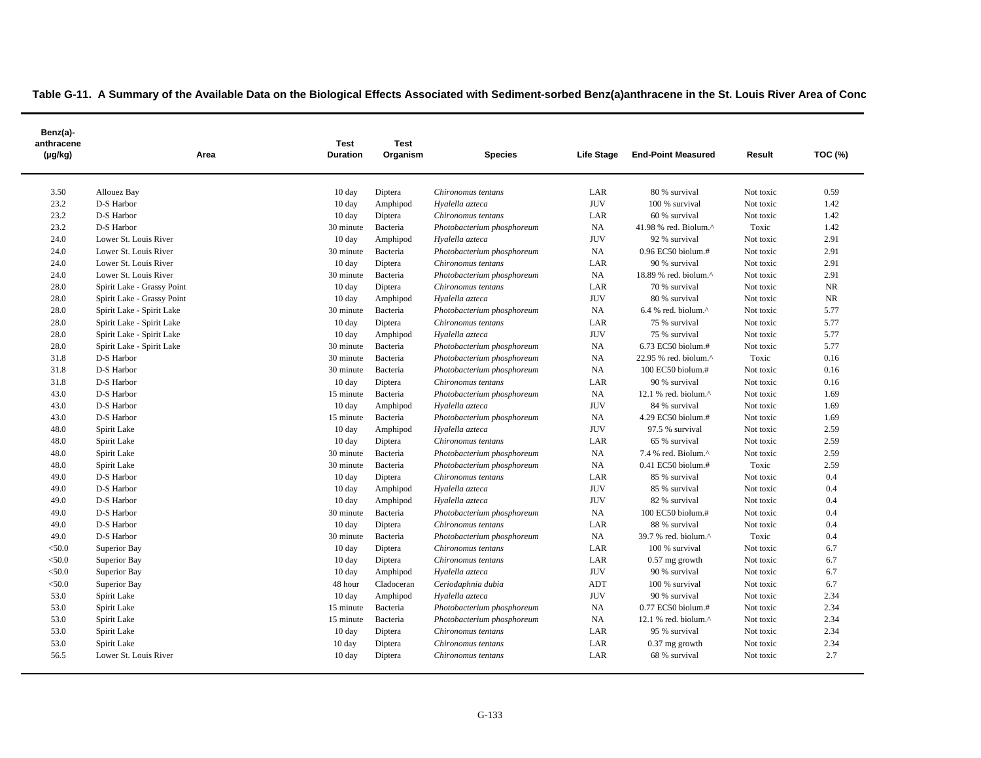| Benz(a)-<br>anthracene<br>$(\mu g/kg)$ | Area                       | <b>Test</b><br><b>Duration</b> | <b>Test</b><br>Organism | <b>Species</b>             | Life Stage | <b>End-Point Measured</b>       | Result    | <b>TOC (%)</b> |
|----------------------------------------|----------------------------|--------------------------------|-------------------------|----------------------------|------------|---------------------------------|-----------|----------------|
| 3.50                                   | Allouez Bay                | $10 \text{ day}$               | Diptera                 | Chironomus tentans         | LAR        | 80 % survival                   | Not toxic | 0.59           |
| 23.2                                   | D-S Harbor                 | $10 \text{ day}$               | Amphipod                | Hyalella azteca            | <b>JUV</b> | 100 % survival                  | Not toxic | 1.42           |
| 23.2                                   | D-S Harbor                 | $10 \text{ day}$               | Diptera                 | Chironomus tentans         | LAR        | 60 % survival                   | Not toxic | 1.42           |
| 23.2                                   | D-S Harbor                 | 30 minute                      | Bacteria                | Photobacterium phosphoreum | NA         | 41.98 % red. Biolum.^           | Toxic     | 1.42           |
| 24.0                                   | Lower St. Louis River      | $10 \text{ day}$               | Amphipod                | Hyalella azteca            | <b>JUV</b> | 92 % survival                   | Not toxic | 2.91           |
| 24.0                                   | Lower St. Louis River      | 30 minute                      | Bacteria                | Photobacterium phosphoreum | NA         | 0.96 EC50 biolum.#              | Not toxic | 2.91           |
| 24.0                                   | Lower St. Louis River      | $10 \text{ day}$               | Diptera                 | Chironomus tentans         | LAR        | 90 % survival                   | Not toxic | 2.91           |
| 24.0                                   | Lower St. Louis River      | 30 minute                      | Bacteria                | Photobacterium phosphoreum | NA         | 18.89 % red. biolum.^           | Not toxic | 2.91           |
| 28.0                                   | Spirit Lake - Grassy Point | $10 \text{ day}$               | Diptera                 | Chironomus tentans         | LAR        | 70 % survival                   | Not toxic | NR             |
| 28.0                                   | Spirit Lake - Grassy Point | 10 day                         | Amphipod                | Hyalella azteca            | <b>JUV</b> | 80 % survival                   | Not toxic | <b>NR</b>      |
| 28.0                                   | Spirit Lake - Spirit Lake  | 30 minute                      | Bacteria                | Photobacterium phosphoreum | NA         | 6.4 % red. biolum. $^{\wedge}$  | Not toxic | 5.77           |
| 28.0                                   | Spirit Lake - Spirit Lake  | $10 \text{ day}$               | Diptera                 | Chironomus tentans         | LAR        | 75 % survival                   | Not toxic | 5.77           |
| 28.0                                   | Spirit Lake - Spirit Lake  | 10 day                         | Amphipod                | Hyalella azteca            | <b>JUV</b> | 75 % survival                   | Not toxic | 5.77           |
| 28.0                                   | Spirit Lake - Spirit Lake  | 30 minute                      | Bacteria                | Photobacterium phosphoreum | NA         | 6.73 EC50 biolum.#              | Not toxic | 5.77           |
| 31.8                                   | D-S Harbor                 | 30 minute                      | Bacteria                | Photobacterium phosphoreum | NA         | 22.95 % red. biolum.^           | Toxic     | 0.16           |
| 31.8                                   | D-S Harbor                 | 30 minute                      | Bacteria                | Photobacterium phosphoreum | NA         | 100 EC50 biolum.#               | Not toxic | 0.16           |
| 31.8                                   | D-S Harbor                 | 10 day                         | Diptera                 | Chironomus tentans         | LAR        | 90 % survival                   | Not toxic | 0.16           |
| 43.0                                   | D-S Harbor                 | 15 minute                      | Bacteria                | Photobacterium phosphoreum | NA         | 12.1 % red. biolum. $^{\wedge}$ | Not toxic | 1.69           |
| 43.0                                   | D-S Harbor                 | 10 day                         | Amphipod                | Hyalella azteca            | <b>JUV</b> | 84 % survival                   | Not toxic | 1.69           |
| 43.0                                   | D-S Harbor                 | 15 minute                      | Bacteria                | Photobacterium phosphoreum | NA         | 4.29 EC50 biolum.#              | Not toxic | 1.69           |
| 48.0                                   | Spirit Lake                | $10 \text{ day}$               | Amphipod                | Hyalella azteca            | <b>JUV</b> | 97.5 % survival                 | Not toxic | 2.59           |
| 48.0                                   | Spirit Lake                | 10 day                         | Diptera                 | Chironomus tentans         | LAR        | 65 % survival                   | Not toxic | 2.59           |
| 48.0                                   | Spirit Lake                | 30 minute                      | Bacteria                | Photobacterium phosphoreum | NA         | 7.4 % red. Biolum.^             | Not toxic | 2.59           |
| 48.0                                   | Spirit Lake                | 30 minute                      | Bacteria                | Photobacterium phosphoreum | NA         | 0.41 EC50 biolum.#              | Toxic     | 2.59           |
| 49.0                                   | D-S Harbor                 | $10 \text{ day}$               | Diptera                 | Chironomus tentans         | LAR        | 85 % survival                   | Not toxic | 0.4            |
| 49.0                                   | D-S Harbor                 | 10 day                         | Amphipod                | Hyalella azteca            | <b>JUV</b> | 85 % survival                   | Not toxic | 0.4            |
| 49.0                                   | D-S Harbor                 | 10 day                         | Amphipod                | Hyalella azteca            | <b>JUV</b> | 82 % survival                   | Not toxic | 0.4            |
| 49.0                                   | D-S Harbor                 | 30 minute                      | Bacteria                | Photobacterium phosphoreum | NA         | 100 EC50 biolum.#               | Not toxic | 0.4            |
| 49.0                                   | D-S Harbor                 | 10 day                         | Diptera                 | Chironomus tentans         | LAR        | 88 % survival                   | Not toxic | 0.4            |
| 49.0                                   | D-S Harbor                 | 30 minute                      | Bacteria                | Photobacterium phosphoreum | NA         | 39.7 % red. biolum.^            | Toxic     | 0.4            |
| < 50.0                                 | Superior Bay               | 10 day                         | Diptera                 | Chironomus tentans         | LAR        | 100 % survival                  | Not toxic | 6.7            |
| < 50.0                                 | Superior Bay               | $10 \text{ day}$               | Diptera                 | Chironomus tentans         | LAR        | $0.57$ mg growth                | Not toxic | 6.7            |
| < 50.0                                 | Superior Bay               | $10 \text{ day}$               | Amphipod                | Hyalella azteca            | <b>JUV</b> | 90 % survival                   | Not toxic | 6.7            |
| $<$ 50.0                               | Superior Bay               | 48 hour                        | Cladoceran              | Ceriodaphnia dubia         | <b>ADT</b> | 100 % survival                  | Not toxic | 6.7            |
| 53.0                                   | Spirit Lake                | $10 \text{ day}$               | Amphipod                | Hyalella azteca            | <b>JUV</b> | 90 % survival                   | Not toxic | 2.34           |
| 53.0                                   | Spirit Lake                | 15 minute                      | Bacteria                | Photobacterium phosphoreum | NA         | 0.77 EC50 biolum.#              | Not toxic | 2.34           |
| 53.0                                   | Spirit Lake                | 15 minute                      | Bacteria                | Photobacterium phosphoreum | NA         | 12.1 % red. biolum.^            | Not toxic | 2.34           |
| 53.0                                   | Spirit Lake                | $10 \text{ day}$               | Diptera                 | Chironomus tentans         | LAR        | 95 % survival                   | Not toxic | 2.34           |
| 53.0                                   | Spirit Lake                | 10 day                         | Diptera                 | Chironomus tentans         | LAR        | 0.37 mg growth                  | Not toxic | 2.34           |
| 56.5                                   | Lower St. Louis River      | $10 \text{ day}$               | Diptera                 | Chironomus tentans         | LAR        | 68 % survival                   | Not toxic | 2.7            |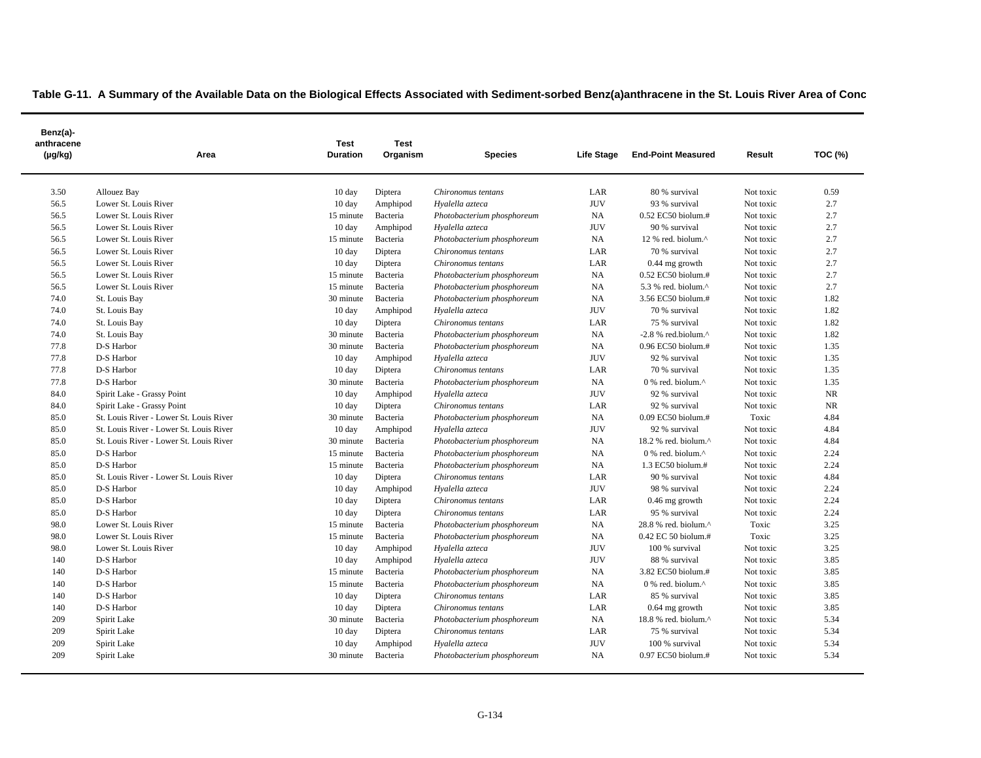| Benz(a)-<br>anthracene<br>$(\mu g/kg)$ | Area                                    | <b>Test</b><br><b>Duration</b> | <b>Test</b><br>Organism | <b>Species</b>             | Life Stage | <b>End-Point Measured</b>                         | Result    | TOC (%)   |
|----------------------------------------|-----------------------------------------|--------------------------------|-------------------------|----------------------------|------------|---------------------------------------------------|-----------|-----------|
| 3.50                                   | Allouez Bay                             | $10 \text{ day}$               | Diptera                 | Chironomus tentans         | LAR        | 80 % survival                                     | Not toxic | 0.59      |
| 56.5                                   | Lower St. Louis River                   | $10 \text{ day}$               | Amphipod                | Hyalella azteca            | <b>JUV</b> | 93 % survival                                     | Not toxic | 2.7       |
| 56.5                                   | Lower St. Louis River                   | 15 minute                      | Bacteria                | Photobacterium phosphoreum | NA         | $0.52$ EC50 biolum.#                              | Not toxic | 2.7       |
| 56.5                                   | Lower St. Louis River                   | 10 day                         | Amphipod                | Hyalella azteca            | <b>JUV</b> | 90 % survival                                     | Not toxic | 2.7       |
| 56.5                                   | Lower St. Louis River                   | 15 minute                      | Bacteria                | Photobacterium phosphoreum | NA         | 12 % red. biolum.^                                | Not toxic | 2.7       |
| 56.5                                   | Lower St. Louis River                   | $10 \text{ day}$               | Diptera                 | Chironomus tentans         | LAR        | 70 % survival                                     | Not toxic | 2.7       |
| 56.5                                   | Lower St. Louis River                   | $10 \text{ day}$               | Diptera                 | Chironomus tentans         | LAR        | 0.44 mg growth                                    | Not toxic | 2.7       |
| 56.5                                   | Lower St. Louis River                   | 15 minute                      | Bacteria                | Photobacterium phosphoreum | NA         | $0.52$ EC50 biolum.#                              | Not toxic | 2.7       |
| 56.5                                   | Lower St. Louis River                   | 15 minute                      | Bacteria                | Photobacterium phosphoreum | NA         | 5.3 % red. biolum. $\wedge$                       | Not toxic | 2.7       |
| 74.0                                   | St. Louis Bay                           | 30 minute                      | Bacteria                | Photobacterium phosphoreum | NA         | 3.56 EC50 biolum.#                                | Not toxic | 1.82      |
| 74.0                                   | St. Louis Bay                           | $10 \text{ day}$               | Amphipod                | Hyalella azteca            | <b>JUV</b> | 70 % survival                                     | Not toxic | 1.82      |
| 74.0                                   | St. Louis Bay                           | 10 day                         | Diptera                 | Chironomus tentans         | LAR        | 75 % survival                                     | Not toxic | 1.82      |
| 74.0                                   | St. Louis Bay                           | 30 minute                      | Bacteria                | Photobacterium phosphoreum | NA         | $-2.8$ % red.biolum. $^{\wedge}$                  | Not toxic | 1.82      |
| 77.8                                   | D-S Harbor                              | 30 minute                      | Bacteria                | Photobacterium phosphoreum | NA         | 0.96 EC50 biolum.#                                | Not toxic | 1.35      |
| 77.8                                   | D-S Harbor                              | 10 day                         | Amphipod                | Hyalella azteca            | <b>JUV</b> | 92 % survival                                     | Not toxic | 1.35      |
| 77.8                                   | D-S Harbor                              | $10 \text{ day}$               | Diptera                 | Chironomus tentans         | LAR        | 70 % survival                                     | Not toxic | 1.35      |
| 77.8                                   | D-S Harbor                              | 30 minute                      | Bacteria                | Photobacterium phosphoreum | NA         | $0\%$ red. biolum. <sup><math>\wedge</math></sup> | Not toxic | 1.35      |
| 84.0                                   | Spirit Lake - Grassy Point              | $10 \text{ day}$               | Amphipod                | Hyalella azteca            | <b>JUV</b> | 92 % survival                                     | Not toxic | NR        |
| 84.0                                   | Spirit Lake - Grassy Point              | $10 \text{ day}$               | Diptera                 | Chironomus tentans         | LAR        | 92 % survival                                     | Not toxic | <b>NR</b> |
| 85.0                                   | St. Louis River - Lower St. Louis River | 30 minute                      | Bacteria                | Photobacterium phosphoreum | NA         | 0.09 EC50 biolum.#                                | Toxic     | 4.84      |
| 85.0                                   | St. Louis River - Lower St. Louis River | 10 day                         | Amphipod                | Hyalella azteca            | <b>JUV</b> | 92 % survival                                     | Not toxic | 4.84      |
| 85.0                                   | St. Louis River - Lower St. Louis River | 30 minute                      | Bacteria                | Photobacterium phosphoreum | NA         | 18.2 % red. biolum.^                              | Not toxic | 4.84      |
| 85.0                                   | D-S Harbor                              | 15 minute                      | Bacteria                | Photobacterium phosphoreum | NA         | 0 % red. biolum.^                                 | Not toxic | 2.24      |
| 85.0                                   | D-S Harbor                              | 15 minute                      | Bacteria                | Photobacterium phosphoreum | NA         | 1.3 EC50 biolum.#                                 | Not toxic | 2.24      |
| 85.0                                   | St. Louis River - Lower St. Louis River | $10 \text{ day}$               | Diptera                 | Chironomus tentans         | LAR        | 90 % survival                                     | Not toxic | 4.84      |
| 85.0                                   | D-S Harbor                              | $10 \text{ day}$               | Amphipod                | Hyalella azteca            | <b>JUV</b> | 98 % survival                                     | Not toxic | 2.24      |
| 85.0                                   | D-S Harbor                              | $10 \text{ day}$               | Diptera                 | Chironomus tentans         | LAR        | $0.46$ mg growth                                  | Not toxic | 2.24      |
| 85.0                                   | D-S Harbor                              | $10 \text{ day}$               | Diptera                 | Chironomus tentans         | LAR        | 95 % survival                                     | Not toxic | 2.24      |
| 98.0                                   | Lower St. Louis River                   | 15 minute                      | Bacteria                | Photobacterium phosphoreum | NA         | 28.8 % red. biolum.^                              | Toxic     | 3.25      |
| 98.0                                   | Lower St. Louis River                   | 15 minute                      | Bacteria                | Photobacterium phosphoreum | NA.        | 0.42 EC 50 biolum.#                               | Toxic     | 3.25      |
| 98.0                                   | Lower St. Louis River                   | $10 \text{ day}$               | Amphipod                | Hyalella azteca            | <b>JUV</b> | 100 % survival                                    | Not toxic | 3.25      |
| 140                                    | D-S Harbor                              | 10 day                         | Amphipod                | Hyalella azteca            | <b>JUV</b> | 88 % survival                                     | Not toxic | 3.85      |
| 140                                    | D-S Harbor                              | 15 minute                      | Bacteria                | Photobacterium phosphoreum | NA         | 3.82 EC50 biolum.#                                | Not toxic | 3.85      |
| 140                                    | D-S Harbor                              | 15 minute                      | Bacteria                | Photobacterium phosphoreum | NA         | 0 % red. biolum.^                                 | Not toxic | 3.85      |
| 140                                    | D-S Harbor                              | 10 day                         | Diptera                 | Chironomus tentans         | LAR        | 85 % survival                                     | Not toxic | 3.85      |
| 140                                    | D-S Harbor                              | $10 \text{ day}$               | Diptera                 | Chironomus tentans         | LAR        | $0.64$ mg growth                                  | Not toxic | 3.85      |
| 209                                    | Spirit Lake                             | 30 minute                      | Bacteria                | Photobacterium phosphoreum | NA         | 18.8 % red. biolum.^                              | Not toxic | 5.34      |
| 209                                    | Spirit Lake                             | 10 day                         | Diptera                 | Chironomus tentans         | LAR        | 75 % survival                                     | Not toxic | 5.34      |
| 209                                    | Spirit Lake                             | 10 day                         | Amphipod                | Hyalella azteca            | <b>JUV</b> | 100 % survival                                    | Not toxic | 5.34      |
| 209                                    | Spirit Lake                             | 30 minute                      | Bacteria                | Photobacterium phosphoreum | NA         | 0.97 EC50 biolum.#                                | Not toxic | 5.34      |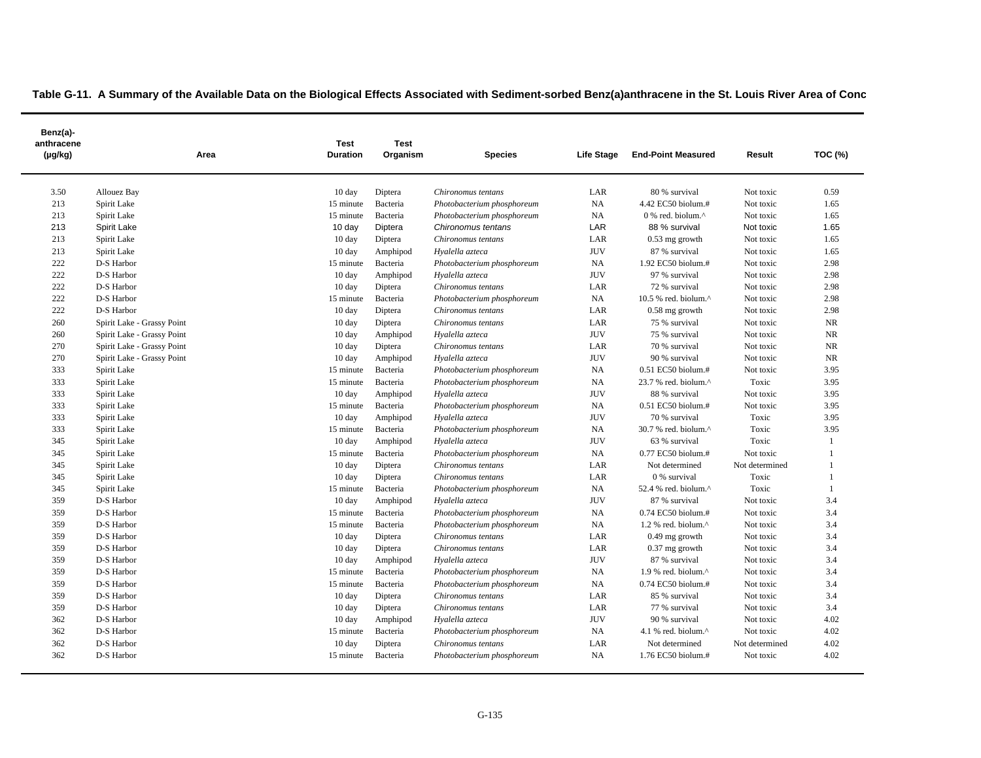| Benz(a)-<br>anthracene<br>(µg/kg) | Area                       | Test<br><b>Duration</b> | <b>Test</b><br>Organism | <b>Species</b>             | Life Stage | <b>End-Point Measured</b>        | Result         | TOC (%) |
|-----------------------------------|----------------------------|-------------------------|-------------------------|----------------------------|------------|----------------------------------|----------------|---------|
| 3.50                              | Allouez Bay                | 10 day                  | Diptera                 | Chironomus tentans         | LAR        | 80 % survival                    | Not toxic      | 0.59    |
| 213                               | Spirit Lake                | 15 minute               | Bacteria                | Photobacterium phosphoreum | NA         | 4.42 EC50 biolum.#               | Not toxic      | 1.65    |
| 213                               | Spirit Lake                | 15 minute               | Bacteria                | Photobacterium phosphoreum | NA         | 0 % red. biolum.^                | Not toxic      | 1.65    |
| 213                               | Spirit Lake                | 10 day                  | Diptera                 | Chironomus tentans         | LAR        | 88 % survival                    | Not toxic      | 1.65    |
| 213                               | Spirit Lake                | $10 \text{ day}$        | Diptera                 | Chironomus tentans         | LAR        | $0.53$ mg growth                 | Not toxic      | 1.65    |
| 213                               | Spirit Lake                | $10 \text{ day}$        | Amphipod                | Hyalella azteca            | <b>JUV</b> | 87 % survival                    | Not toxic      | 1.65    |
| 222                               | D-S Harbor                 | 15 minute               | Bacteria                | Photobacterium phosphoreum | NA         | 1.92 EC50 biolum.#               | Not toxic      | 2.98    |
| 222                               | D-S Harbor                 | $10 \text{ day}$        | Amphipod                | Hyalella azteca            | <b>JUV</b> | 97 % survival                    | Not toxic      | 2.98    |
| 222                               | D-S Harbor                 | $10 \text{ day}$        | Diptera                 | Chironomus tentans         | LAR        | 72 % survival                    | Not toxic      | 2.98    |
| 222                               | D-S Harbor                 | 15 minute               | Bacteria                | Photobacterium phosphoreum | NA         | 10.5 % red. biolum. $^{\wedge}$  | Not toxic      | 2.98    |
| 222                               | D-S Harbor                 | 10 day                  | Diptera                 | Chironomus tentans         | LAR        | 0.58 mg growth                   | Not toxic      | 2.98    |
| 260                               | Spirit Lake - Grassy Point | 10 day                  | Diptera                 | Chironomus tentans         | LAR        | 75 % survival                    | Not toxic      | NR      |
| 260                               | Spirit Lake - Grassy Point | 10 day                  | Amphipod                | Hyalella azteca            | <b>JUV</b> | 75 % survival                    | Not toxic      | NR      |
| 270                               | Spirit Lake - Grassy Point | $10 \text{ day}$        | Diptera                 | Chironomus tentans         | LAR        | 70 % survival                    | Not toxic      | NR      |
| 270                               | Spirit Lake - Grassy Point | $10 \text{ day}$        | Amphipod                | Hyalella azteca            | <b>JUV</b> | 90 % survival                    | Not toxic      | NR      |
| 333                               | Spirit Lake                | 15 minute               | Bacteria                | Photobacterium phosphoreum | NA         | 0.51 EC50 biolum.#               | Not toxic      | 3.95    |
| 333                               | Spirit Lake                | 15 minute               | Bacteria                | Photobacterium phosphoreum | NA         | 23.7 % red. biolum.^             | Toxic          | 3.95    |
| 333                               | Spirit Lake                | $10 \text{ day}$        | Amphipod                | Hyalella azteca            | <b>JUV</b> | 88 % survival                    | Not toxic      | 3.95    |
| 333                               | Spirit Lake                | 15 minute               | Bacteria                | Photobacterium phosphoreum | NA         | 0.51 EC50 biolum.#               | Not toxic      | 3.95    |
| 333                               | Spirit Lake                | $10 \text{ day}$        | Amphipod                | Hyalella azteca            | <b>JUV</b> | 70 % survival                    | Toxic          | 3.95    |
| 333                               | Spirit Lake                | 15 minute               | Bacteria                | Photobacterium phosphoreum | NA         | 30.7 % red. biolum.^             | Toxic          | 3.95    |
| 345                               | Spirit Lake                | 10 day                  | Amphipod                | Hyalella azteca            | <b>JUV</b> | 63 % survival                    | Toxic          |         |
| 345                               | Spirit Lake                | 15 minute               | Bacteria                | Photobacterium phosphoreum | <b>NA</b>  | 0.77 EC50 biolum.#               | Not toxic      |         |
| 345                               | Spirit Lake                | $10 \text{ day}$        | Diptera                 | Chironomus tentans         | LAR        | Not determined                   | Not determined |         |
| 345                               | Spirit Lake                | 10 day                  | Diptera                 | Chironomus tentans         | LAR        | 0 % survival                     | Toxic          |         |
| 345                               | Spirit Lake                | 15 minute               | Bacteria                | Photobacterium phosphoreum | NA         | 52.4 % red. biolum.^             | Toxic          |         |
| 359                               | D-S Harbor                 | 10 day                  | Amphipod                | Hyalella azteca            | <b>JUV</b> | 87 % survival                    | Not toxic      | 3.4     |
| 359                               | D-S Harbor                 | 15 minute               | Bacteria                | Photobacterium phosphoreum | NA         | $0.74$ EC50 biolum.#             | Not toxic      | 3.4     |
| 359                               | D-S Harbor                 | 15 minute               | Bacteria                | Photobacterium phosphoreum | NA         | 1.2 % red. biolum. $^{\wedge}$   | Not toxic      | 3.4     |
| 359                               | D-S Harbor                 | 10 day                  | Diptera                 | Chironomus tentans         | LAR        | 0.49 mg growth                   | Not toxic      | 3.4     |
| 359                               | D-S Harbor                 | $10 \text{ day}$        | Diptera                 | Chironomus tentans         | LAR        | 0.37 mg growth                   | Not toxic      | 3.4     |
| 359                               | D-S Harbor                 | $10 \text{ day}$        | Amphipod                | Hyalella azteca            | <b>JUV</b> | 87 % survival                    | Not toxic      | 3.4     |
| 359                               | D-S Harbor                 | 15 minute               | Bacteria                | Photobacterium phosphoreum | NA         | $1.9$ % red. biolum. $^{\wedge}$ | Not toxic      | 3.4     |
| 359                               | D-S Harbor                 | 15 minute               | Bacteria                | Photobacterium phosphoreum | NA         | 0.74 EC50 biolum.#               | Not toxic      | 3.4     |
| 359                               | D-S Harbor                 | $10 \text{ day}$        | Diptera                 | Chironomus tentans         | LAR        | 85 % survival                    | Not toxic      | 3.4     |
| 359                               | D-S Harbor                 | $10 \text{ day}$        | Diptera                 | Chironomus tentans         | LAR        | 77 % survival                    | Not toxic      | 3.4     |
| 362                               | D-S Harbor                 | $10 \text{ day}$        | Amphipod                | Hyalella azteca            | <b>JUV</b> | 90 % survival                    | Not toxic      | 4.02    |
| 362                               | D-S Harbor                 | 15 minute               | Bacteria                | Photobacterium phosphoreum | NA         | 4.1 % red. biolum. $^{\wedge}$   | Not toxic      | 4.02    |
| 362                               | D-S Harbor                 | $10 \text{ day}$        | Diptera                 | Chironomus tentans         | LAR        | Not determined                   | Not determined | 4.02    |
| 362                               | D-S Harbor                 | 15 minute               | Bacteria                | Photobacterium phosphoreum | NA         | 1.76 EC50 biolum.#               | Not toxic      | 4.02    |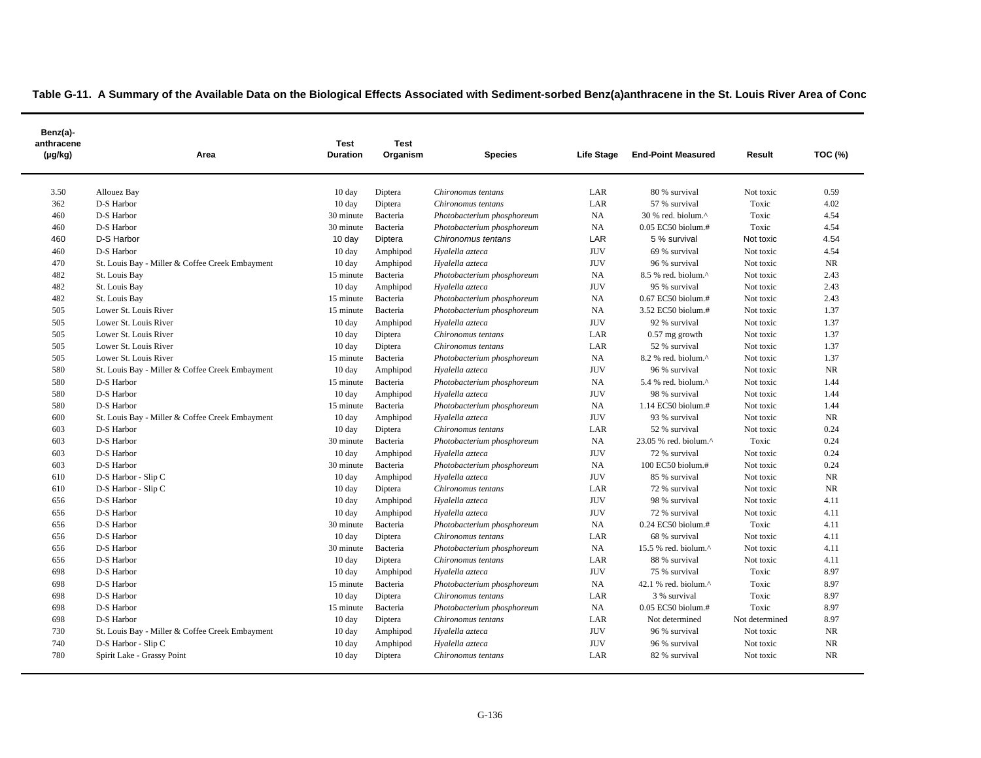| Benz(a)-<br>anthracene<br>$(\mu g/kg)$ | Area                                            | Test<br><b>Duration</b> | <b>Test</b><br>Organism | <b>Species</b>             | Life Stage | <b>End-Point Measured</b>        | Result         | <b>TOC (%)</b> |
|----------------------------------------|-------------------------------------------------|-------------------------|-------------------------|----------------------------|------------|----------------------------------|----------------|----------------|
| 3.50                                   | Allouez Bay                                     | 10 day                  | Diptera                 | Chironomus tentans         | LAR        | 80 % survival                    | Not toxic      | 0.59           |
| 362                                    | D-S Harbor                                      | 10 day                  | Diptera                 | Chironomus tentans         | LAR        | 57 % survival                    | Toxic          | 4.02           |
| 460                                    | D-S Harbor                                      | 30 minute               | Bacteria                | Photobacterium phosphoreum | NA         | 30 % red. biolum.^               | Toxic          | 4.54           |
| 460                                    | D-S Harbor                                      | 30 minute               | Bacteria                | Photobacterium phosphoreum | NA         | 0.05 EC50 biolum.#               | Toxic          | 4.54           |
| 460                                    | D-S Harbor                                      | 10 day                  | Diptera                 | Chironomus tentans         | LAR        | 5 % survival                     | Not toxic      | 4.54           |
| 460                                    | D-S Harbor                                      | $10 \text{ day}$        | Amphipod                | Hyalella azteca            | <b>JUV</b> | 69 % survival                    | Not toxic      | 4.54           |
| 470                                    | St. Louis Bay - Miller & Coffee Creek Embayment | 10 day                  | Amphipod                | Hyalella azteca            | <b>JUV</b> | 96 % survival                    | Not toxic      | <b>NR</b>      |
| 482                                    | St. Louis Bay                                   | 15 minute               | Bacteria                | Photobacterium phosphoreum | NA         | 8.5 % red. biolum.^              | Not toxic      | 2.43           |
| 482                                    | St. Louis Bay                                   | $10 \text{ day}$        | Amphipod                | Hyalella azteca            | <b>JUV</b> | 95 % survival                    | Not toxic      | 2.43           |
| 482                                    | St. Louis Bay                                   | 15 minute               | Bacteria                | Photobacterium phosphoreum | NA         | 0.67 EC50 biolum.#               | Not toxic      | 2.43           |
| 505                                    | Lower St. Louis River                           | 15 minute               | Bacteria                | Photobacterium phosphoreum | NA         | 3.52 EC50 biolum.#               | Not toxic      | 1.37           |
| 505                                    | Lower St. Louis River                           | $10 \text{ day}$        | Amphipod                | Hyalella azteca            | <b>JUV</b> | 92 % survival                    | Not toxic      | 1.37           |
| 505                                    | Lower St. Louis River                           | 10 day                  | Diptera                 | Chironomus tentans         | LAR        | $0.57$ mg growth                 | Not toxic      | 1.37           |
| 505                                    | Lower St. Louis River                           | 10 day                  | Diptera                 | Chironomus tentans         | LAR        | 52 % survival                    | Not toxic      | 1.37           |
| 505                                    | Lower St. Louis River                           | 15 minute               | Bacteria                | Photobacterium phosphoreum | NA         | $8.2$ % red. biolum. $^{\wedge}$ | Not toxic      | 1.37           |
| 580                                    | St. Louis Bay - Miller & Coffee Creek Embayment | $10 \text{ day}$        | Amphipod                | Hyalella azteca            | <b>JUV</b> | 96 % survival                    | Not toxic      | NR             |
| 580                                    | D-S Harbor                                      | 15 minute               | Bacteria                | Photobacterium phosphoreum | NA         | 5.4 % red. biolum.^              | Not toxic      | 1.44           |
| 580                                    | D-S Harbor                                      | $10 \text{ day}$        | Amphipod                | Hyalella azteca            | <b>JUV</b> | 98 % survival                    | Not toxic      | 1.44           |
| 580                                    | D-S Harbor                                      | 15 minute               | Bacteria                | Photobacterium phosphoreum | NA         | 1.14 EC50 biolum.#               | Not toxic      | 1.44           |
| 600                                    | St. Louis Bay - Miller & Coffee Creek Embayment | $10 \text{ day}$        | Amphipod                | Hyalella azteca            | <b>JUV</b> | 93 % survival                    | Not toxic      | NR             |
| 603                                    | D-S Harbor                                      | $10 \text{ day}$        | Diptera                 | Chironomus tentans         | LAR        | 52 % survival                    | Not toxic      | 0.24           |
| 603                                    | D-S Harbor                                      | 30 minute               | Bacteria                | Photobacterium phosphoreum | NA         | 23.05 % red. biolum.^            | Toxic          | 0.24           |
| 603                                    | D-S Harbor                                      | 10 day                  | Amphipod                | Hyalella azteca            | <b>JUV</b> | 72 % survival                    | Not toxic      | 0.24           |
| 603                                    | D-S Harbor                                      | 30 minute               | Bacteria                | Photobacterium phosphoreum | NA         | $100$ EC50 biolum.#              | Not toxic      | 0.24           |
| 610                                    | D-S Harbor - Slip C                             | $10 \text{ day}$        | Amphipod                | Hyalella azteca            | <b>JUV</b> | 85 % survival                    | Not toxic      | NR             |
| 610                                    | D-S Harbor - Slip C                             | 10 day                  | Diptera                 | Chironomus tentans         | LAR        | 72 % survival                    | Not toxic      | NR             |
| 656                                    | D-S Harbor                                      | $10 \text{ day}$        | Amphipod                | Hyalella azteca            | <b>JUV</b> | 98 % survival                    | Not toxic      | 4.11           |
| 656                                    | D-S Harbor                                      | $10 \text{ day}$        | Amphipod                | Hyalella azteca            | <b>JUV</b> | 72 % survival                    | Not toxic      | 4.11           |
| 656                                    | D-S Harbor                                      | 30 minute               | Bacteria                | Photobacterium phosphoreum | NA         | 0.24 EC50 biolum.#               | Toxic          | 4.11           |
| 656                                    | D-S Harbor                                      | $10 \text{ day}$        | Diptera                 | Chironomus tentans         | LAR        | 68 % survival                    | Not toxic      | 4.11           |
| 656                                    | D-S Harbor                                      | 30 minute               | Bacteria                | Photobacterium phosphoreum | NA         | 15.5 % red. biolum.^             | Not toxic      | 4.11           |
| 656                                    | D-S Harbor                                      | $10 \text{ day}$        | Diptera                 | Chironomus tentans         | LAR        | 88 % survival                    | Not toxic      | 4.11           |
| 698                                    | D-S Harbor                                      | $10 \text{ day}$        | Amphipod                | Hyalella azteca            | <b>JUV</b> | 75 % survival                    | Toxic          | 8.97           |
| 698                                    | D-S Harbor                                      | 15 minute               | Bacteria                | Photobacterium phosphoreum | NA         | 42.1 % red. biolum.^             | Toxic          | 8.97           |
| 698                                    | D-S Harbor                                      | $10 \text{ day}$        | Diptera                 | Chironomus tentans         | LAR        | 3 % survival                     | Toxic          | 8.97           |
| 698                                    | D-S Harbor                                      | 15 minute               | Bacteria                | Photobacterium phosphoreum | NA         | $0.05$ EC50 biolum.#             | Toxic          | 8.97           |
| 698                                    | D-S Harbor                                      | $10 \text{ day}$        | Diptera                 | Chironomus tentans         | LAR        | Not determined                   | Not determined | 8.97           |
| 730                                    | St. Louis Bay - Miller & Coffee Creek Embayment | $10 \text{ day}$        | Amphipod                | Hyalella azteca            | <b>JUV</b> | 96 % survival                    | Not toxic      | <b>NR</b>      |
| 740                                    | D-S Harbor - Slip C                             | $10 \text{ day}$        | Amphipod                | Hyalella azteca            | <b>JUV</b> | 96 % survival                    | Not toxic      | <b>NR</b>      |
| 780                                    | Spirit Lake - Grassy Point                      | 10 day                  | Diptera                 | Chironomus tentans         | LAR        | 82 % survival                    | Not toxic      | <b>NR</b>      |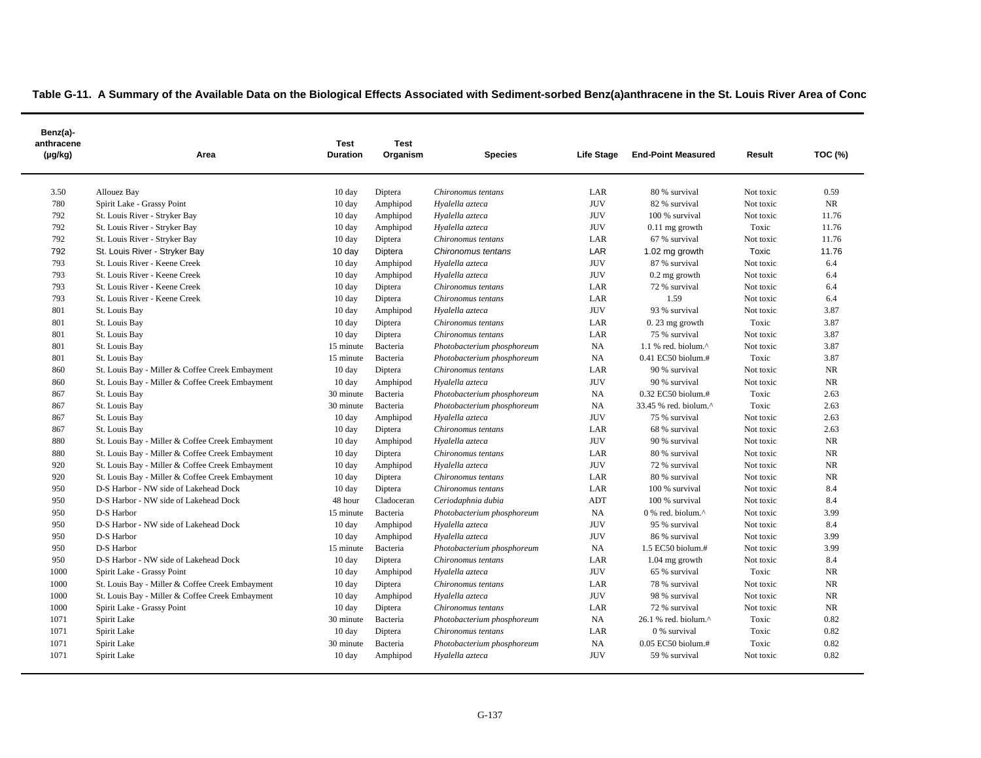$\blacksquare$ 

| Benz(a)-<br>anthracene<br>$(\mu g/kg)$ | Area                                            | <b>Test</b><br><b>Duration</b> | <b>Test</b><br>Organism | <b>Species</b>             | Life Stage | <b>End-Point Measured</b>                         | Result    | <b>TOC (%)</b> |
|----------------------------------------|-------------------------------------------------|--------------------------------|-------------------------|----------------------------|------------|---------------------------------------------------|-----------|----------------|
| 3.50                                   | <b>Allouez Bay</b>                              | 10 day                         | Diptera                 | Chironomus tentans         | LAR        | 80 % survival                                     | Not toxic | 0.59           |
| 780                                    | Spirit Lake - Grassy Point                      | 10 day                         | Amphipod                | Hyalella azteca            | <b>JUV</b> | 82 % survival                                     | Not toxic | NR             |
| 792                                    | St. Louis River - Stryker Bay                   | $10 \text{ day}$               | Amphipod                | Hyalella azteca            | <b>JUV</b> | 100 % survival                                    | Not toxic | 11.76          |
| 792                                    | St. Louis River - Stryker Bay                   | $10 \text{ day}$               | Amphipod                | Hyalella azteca            | <b>JUV</b> | $0.11$ mg growth                                  | Toxic     | 11.76          |
| 792                                    | St. Louis River - Stryker Bay                   | $10 \text{ day}$               | Diptera                 | Chironomus tentans         | LAR        | 67 % survival                                     | Not toxic | 11.76          |
| 792                                    | St. Louis River - Stryker Bay                   | $10 \text{ day}$               | Diptera                 | Chironomus tentans         | LAR        | 1.02 mg growth                                    | Toxic     | 11.76          |
| 793                                    | St. Louis River - Keene Creek                   | $10 \text{ day}$               | Amphipod                | Hyalella azteca            | <b>JUV</b> | 87 % survival                                     | Not toxic | 6.4            |
| 793                                    | St. Louis River - Keene Creek                   | 10 day                         | Amphipod                | Hyalella azteca            | <b>JUV</b> | $0.2$ mg growth                                   | Not toxic | 6.4            |
| 793                                    | St. Louis River - Keene Creek                   | 10 day                         | Diptera                 | Chironomus tentans         | LAR        | 72 % survival                                     | Not toxic | 6.4            |
| 793                                    | St. Louis River - Keene Creek                   | 10 day                         | Diptera                 | Chironomus tentans         | LAR        | 1.59                                              | Not toxic | 6.4            |
| 801                                    | St. Louis Bay                                   | 10 day                         | Amphipod                | Hyalella azteca            | <b>JUV</b> | 93 % survival                                     | Not toxic | 3.87           |
| 801                                    | St. Louis Bay                                   | 10 day                         | Diptera                 | Chironomus tentans         | LAR        | $0.23$ mg growth                                  | Toxic     | 3.87           |
| 801                                    | St. Louis Bay                                   | 10 day                         | Diptera                 | Chironomus tentans         | LAR        | 75 % survival                                     | Not toxic | 3.87           |
| 801                                    | St. Louis Bay                                   | 15 minute                      | Bacteria                | Photobacterium phosphoreum | <b>NA</b>  | $1.1$ % red. biolum. $^{\wedge}$                  | Not toxic | 3.87           |
| 801                                    | St. Louis Bay                                   | 15 minute                      | Bacteria                | Photobacterium phosphoreum | <b>NA</b>  | $0.41$ EC50 biolum.#                              | Toxic     | 3.87           |
| 860                                    | St. Louis Bay - Miller & Coffee Creek Embayment | 10 day                         | Diptera                 | Chironomus tentans         | LAR        | 90 % survival                                     | Not toxic | NR             |
| 860                                    | St. Louis Bay - Miller & Coffee Creek Embayment | 10 day                         | Amphipod                | Hyalella azteca            | <b>JUV</b> | 90 % survival                                     | Not toxic | <b>NR</b>      |
| 867                                    | St. Louis Bay                                   | 30 minute                      | Bacteria                | Photobacterium phosphoreum | NA         | $0.32$ EC50 biolum.#                              | Toxic     | 2.63           |
| 867                                    | St. Louis Bay                                   | 30 minute                      | Bacteria                | Photobacterium phosphoreum | <b>NA</b>  | 33.45 % red. biolum.^                             | Toxic     | 2.63           |
| 867                                    | St. Louis Bay                                   | 10 day                         | Amphipod                | Hyalella azteca            | <b>JUV</b> | 75 % survival                                     | Not toxic | 2.63           |
| 867                                    | St. Louis Bay                                   | $10 \text{ day}$               | Diptera                 | Chironomus tentans         | LAR        | 68 % survival                                     | Not toxic | 2.63           |
| 880                                    | St. Louis Bay - Miller & Coffee Creek Embayment | 10 day                         | Amphipod                | Hyalella azteca            | <b>JUV</b> | 90 % survival                                     | Not toxic | NR             |
| 880                                    | St. Louis Bay - Miller & Coffee Creek Embayment | 10 day                         | Diptera                 | Chironomus tentans         | LAR        | 80 % survival                                     | Not toxic | $\rm NR$       |
| 920                                    | St. Louis Bay - Miller & Coffee Creek Embayment | 10 day                         | Amphipod                | Hyalella azteca            | <b>JUV</b> | 72 % survival                                     | Not toxic | <b>NR</b>      |
| 920                                    | St. Louis Bay - Miller & Coffee Creek Embayment | 10 day                         | Diptera                 | Chironomus tentans         | LAR        | 80 % survival                                     | Not toxic | NR             |
| 950                                    | D-S Harbor - NW side of Lakehead Dock           | $10 \text{ day}$               | Diptera                 | Chironomus tentans         | LAR        | 100 % survival                                    | Not toxic | 8.4            |
| 950                                    | D-S Harbor - NW side of Lakehead Dock           | 48 hour                        | Cladoceran              | Ceriodaphnia dubia         | ADT        | 100 % survival                                    | Not toxic | 8.4            |
| 950                                    | D-S Harbor                                      | 15 minute                      | Bacteria                | Photobacterium phosphoreum | NA         | $0\%$ red. biolum. <sup><math>\wedge</math></sup> | Not toxic | 3.99           |
| 950                                    | D-S Harbor - NW side of Lakehead Dock           | 10 day                         | Amphipod                | Hyalella azteca            | <b>JUV</b> | 95 % survival                                     | Not toxic | 8.4            |
| 950                                    | D-S Harbor                                      | $10 \text{ day}$               | Amphipod                | Hyalella azteca            | <b>JUV</b> | 86 % survival                                     | Not toxic | 3.99           |
| 950                                    | D-S Harbor                                      | 15 minute                      | Bacteria                | Photobacterium phosphoreum | <b>NA</b>  | 1.5 EC50 biolum.#                                 | Not toxic | 3.99           |
| 950                                    | D-S Harbor - NW side of Lakehead Dock           | 10 day                         | Diptera                 | Chironomus tentans         | LAR        | $1.04$ mg growth                                  | Not toxic | 8.4            |
| 1000                                   | Spirit Lake - Grassy Point                      | $10 \text{ day}$               | Amphipod                | Hyalella azteca            | <b>JUV</b> | 65 % survival                                     | Toxic     | <b>NR</b>      |
| 1000                                   | St. Louis Bay - Miller & Coffee Creek Embayment | 10 day                         | Diptera                 | Chironomus tentans         | LAR        | 78 % survival                                     | Not toxic | <b>NR</b>      |
| 1000                                   | St. Louis Bay - Miller & Coffee Creek Embayment | $10 \text{ day}$               | Amphipod                | Hyalella azteca            | <b>JUV</b> | 98 % survival                                     | Not toxic | <b>NR</b>      |
| 1000                                   | Spirit Lake - Grassy Point                      | $10 \text{ day}$               | Diptera                 | Chironomus tentans         | LAR        | 72 % survival                                     | Not toxic | NR             |
| 1071                                   | Spirit Lake                                     | 30 minute                      | Bacteria                | Photobacterium phosphoreum | <b>NA</b>  | $26.1$ % red. biolum. $^{\wedge}$                 | Toxic     | 0.82           |
| 1071                                   | Spirit Lake                                     | $10 \text{ day}$               | Diptera                 | Chironomus tentans         | LAR        | 0 % survival                                      | Toxic     | 0.82           |
| 1071                                   | Spirit Lake                                     | 30 minute                      | Bacteria                | Photobacterium phosphoreum | <b>NA</b>  | 0.05 EC50 biolum.#                                | Toxic     | 0.82           |
| 1071                                   | Spirit Lake                                     | 10 day                         | Amphipod                | Hyalella azteca            | <b>JUV</b> | 59 % survival                                     | Not toxic | 0.82           |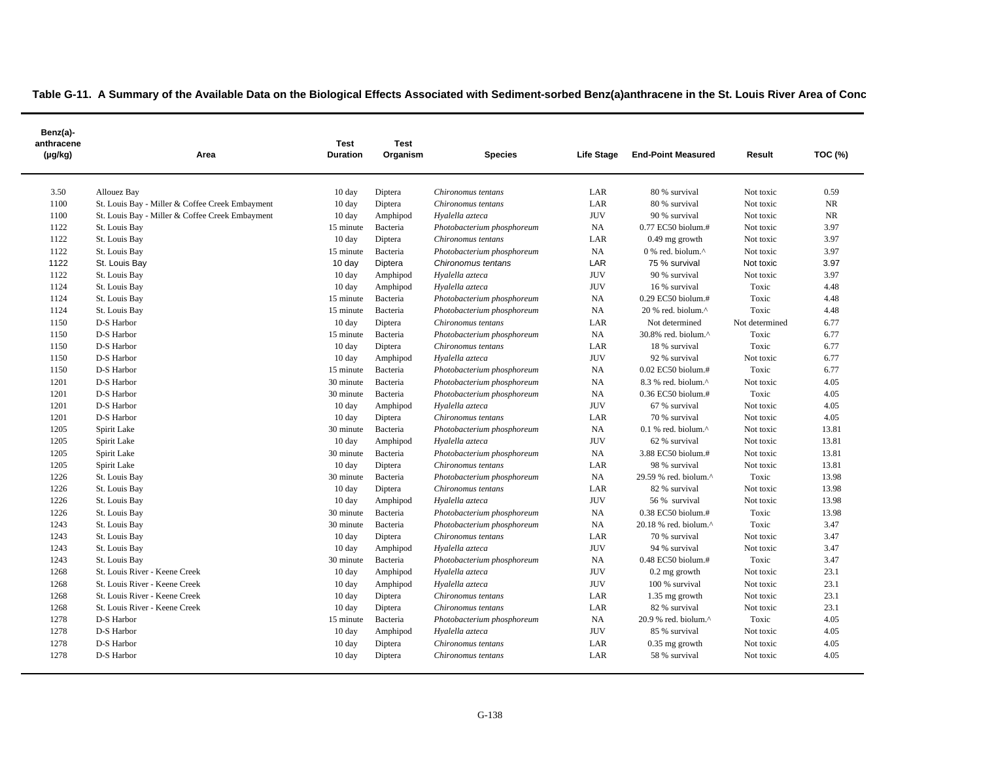| Benz(a)-<br>anthracene<br>$(\mu g/kg)$ | Area                                            | <b>Test</b><br><b>Duration</b> | <b>Test</b><br>Organism | <b>Species</b>             | Life Stage | <b>End-Point Measured</b>        | Result         | TOC (%)   |
|----------------------------------------|-------------------------------------------------|--------------------------------|-------------------------|----------------------------|------------|----------------------------------|----------------|-----------|
| 3.50                                   | Allouez Bay                                     | 10 day                         | Diptera                 | Chironomus tentans         | LAR        | 80 % survival                    | Not toxic      | 0.59      |
| 1100                                   | St. Louis Bay - Miller & Coffee Creek Embayment | $10 \text{ day}$               | Diptera                 | Chironomus tentans         | LAR        | 80 % survival                    | Not toxic      | <b>NR</b> |
| 1100                                   | St. Louis Bay - Miller & Coffee Creek Embayment | $10 \text{ day}$               | Amphipod                | Hyalella azteca            | <b>JUV</b> | 90 % survival                    | Not toxic      | <b>NR</b> |
| 1122                                   | St. Louis Bay                                   | 15 minute                      | Bacteria                | Photobacterium phosphoreum | NA         | 0.77 EC50 biolum.#               | Not toxic      | 3.97      |
| 1122                                   | St. Louis Bay                                   | $10 \text{ day}$               | Diptera                 | Chironomus tentans         | LAR        | $0.49$ mg growth                 | Not toxic      | 3.97      |
| 1122                                   | St. Louis Bay                                   | 15 minute                      | Bacteria                | Photobacterium phosphoreum | NA         | 0 % red. biolum.^                | Not toxic      | 3.97      |
| 1122                                   | St. Louis Bay                                   | $10 \text{ day}$               | Diptera                 | Chironomus tentans         | LAR        | 75 % survival                    | Not toxic      | 3.97      |
| 1122                                   | St. Louis Bay                                   | $10 \text{ day}$               | Amphipod                | Hyalella azteca            | <b>JUV</b> | 90 % survival                    | Not toxic      | 3.97      |
| 1124                                   | St. Louis Bay                                   | 10 day                         | Amphipod                | Hyalella azteca            | <b>JUV</b> | 16 % survival                    | Toxic          | 4.48      |
| 1124                                   | St. Louis Bay                                   | 15 minute                      | Bacteria                | Photobacterium phosphoreum | NA         | 0.29 EC50 biolum.#               | Toxic          | 4.48      |
| 1124                                   | St. Louis Bay                                   | 15 minute                      | Bacteria                | Photobacterium phosphoreum | NA         | $20%$ red. biolum. $^{\wedge}$   | Toxic          | 4.48      |
| 1150                                   | D-S Harbor                                      | $10 \text{ day}$               | Diptera                 | Chironomus tentans         | LAR        | Not determined                   | Not determined | 6.77      |
| 1150                                   | D-S Harbor                                      | 15 minute                      | Bacteria                | Photobacterium phosphoreum | NA         | 30.8% red. biolum.^              | Toxic          | 6.77      |
| 1150                                   | D-S Harbor                                      | $10 \text{ day}$               | Diptera                 | Chironomus tentans         | LAR        | 18 % survival                    | Toxic          | 6.77      |
| 1150                                   | D-S Harbor                                      | $10 \text{ day}$               | Amphipod                | Hyalella azteca            | <b>JUV</b> | 92 % survival                    | Not toxic      | 6.77      |
| 1150                                   | D-S Harbor                                      | 15 minute                      | Bacteria                | Photobacterium phosphoreum | NA         | 0.02 EC50 biolum.#               | Toxic          | 6.77      |
| 1201                                   | D-S Harbor                                      | 30 minute                      | Bacteria                | Photobacterium phosphoreum | NA         | $8.3$ % red. biolum. $^{\wedge}$ | Not toxic      | 4.05      |
| 1201                                   | D-S Harbor                                      | 30 minute                      | Bacteria                | Photobacterium phosphoreum | NA         | 0.36 EC50 biolum.#               | Toxic          | 4.05      |
| 1201                                   | D-S Harbor                                      | $10 \text{ day}$               | Amphipod                | Hyalella azteca            | <b>JUV</b> | 67 % survival                    | Not toxic      | 4.05      |
| 1201                                   | D-S Harbor                                      | $10 \text{ day}$               | Diptera                 | Chironomus tentans         | LAR        | 70 % survival                    | Not toxic      | 4.05      |
| 1205                                   | Spirit Lake                                     | 30 minute                      | Bacteria                | Photobacterium phosphoreum | NA         | $0.1$ % red. biolum. $^{\wedge}$ | Not toxic      | 13.81     |
| 1205                                   | Spirit Lake                                     | $10 \text{ day}$               | Amphipod                | Hyalella azteca            | <b>JUV</b> | 62 % survival                    | Not toxic      | 13.81     |
| 1205                                   | Spirit Lake                                     | 30 minute                      | Bacteria                | Photobacterium phosphoreum | NA         | 3.88 EC50 biolum.#               | Not toxic      | 13.81     |
| 1205                                   | Spirit Lake                                     | $10 \text{ day}$               | Diptera                 | Chironomus tentans         | LAR        | 98 % survival                    | Not toxic      | 13.81     |
| 1226                                   | St. Louis Bay                                   | 30 minute                      | Bacteria                | Photobacterium phosphoreum | NA         | 29.59 % red. biolum.^            | Toxic          | 13.98     |
| 1226                                   | St. Louis Bay                                   | 10 day                         | Diptera                 | Chironomus tentans         | LAR        | 82 % survival                    | Not toxic      | 13.98     |
| 1226                                   | St. Louis Bay                                   | $10 \text{ day}$               | Amphipod                | Hyalella azteca            | <b>JUV</b> | 56 % survival                    | Not toxic      | 13.98     |
| 1226                                   | St. Louis Bay                                   | 30 minute                      | Bacteria                | Photobacterium phosphoreum | NA         | $0.38$ EC50 biolum.#             | Toxic          | 13.98     |
| 1243                                   | St. Louis Bay                                   | 30 minute                      | Bacteria                | Photobacterium phosphoreum | NA         | 20.18 % red. biolum.^            | Toxic          | 3.47      |
| 1243                                   | St. Louis Bay                                   | 10 day                         | Diptera                 | Chironomus tentans         | LAR        | 70 % survival                    | Not toxic      | 3.47      |
| 1243                                   | St. Louis Bay                                   | $10 \text{ day}$               | Amphipod                | Hyalella azteca            | <b>JUV</b> | 94 % survival                    | Not toxic      | 3.47      |
| 1243                                   | St. Louis Bay                                   | 30 minute                      | Bacteria                | Photobacterium phosphoreum | NA         | 0.48 EC50 biolum.#               | Toxic          | 3.47      |
| 1268                                   | St. Louis River - Keene Creek                   | $10 \text{ day}$               | Amphipod                | Hyalella azteca            | <b>JUV</b> | 0.2 mg growth                    | Not toxic      | 23.1      |
| 1268                                   | St. Louis River - Keene Creek                   | $10 \text{ day}$               | Amphipod                | Hyalella azteca            | <b>JUV</b> | 100 % survival                   | Not toxic      | 23.1      |
| 1268                                   | St. Louis River - Keene Creek                   | $10 \text{ day}$               | Diptera                 | Chironomus tentans         | LAR        | 1.35 mg growth                   | Not toxic      | 23.1      |
| 1268                                   | St. Louis River - Keene Creek                   | $10 \text{ day}$               | Diptera                 | Chironomus tentans         | LAR        | 82 % survival                    | Not toxic      | 23.1      |
| 1278                                   | D-S Harbor                                      | 15 minute                      | Bacteria                | Photobacterium phosphoreum | NA         | 20.9 % red. biolum.^             | Toxic          | 4.05      |
| 1278                                   | D-S Harbor                                      | 10 day                         | Amphipod                | Hyalella azteca            | <b>JUV</b> | 85 % survival                    | Not toxic      | 4.05      |
| 1278                                   | D-S Harbor                                      | 10 <sub>day</sub>              | Diptera                 | Chironomus tentans         | LAR        | $0.35$ mg growth                 | Not toxic      | 4.05      |
| 1278                                   | D-S Harbor                                      | $10 \text{ day}$               | Diptera                 | Chironomus tentans         | LAR        | 58 % survival                    | Not toxic      | 4.05      |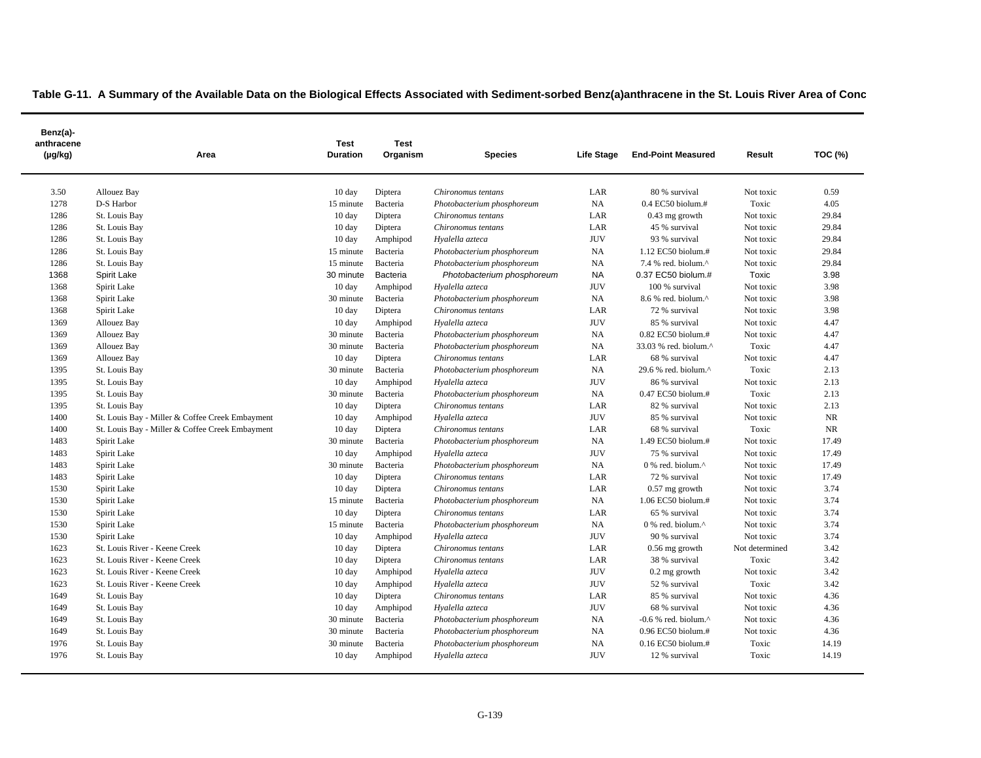| Benz(a)-<br>anthracene<br>(µg/kg) | Area                                            | Test<br><b>Duration</b> | <b>Test</b><br>Organism | <b>Species</b>             | Life Stage | <b>End-Point Measured</b>         | Result         | <b>TOC (%)</b> |
|-----------------------------------|-------------------------------------------------|-------------------------|-------------------------|----------------------------|------------|-----------------------------------|----------------|----------------|
| 3.50                              | Allouez Bay                                     | $10 \text{ day}$        | Diptera                 | Chironomus tentans         | LAR        | 80 % survival                     | Not toxic      | 0.59           |
| 1278                              | D-S Harbor                                      | 15 minute               | Bacteria                | Photobacterium phosphoreum | NA         | $0.4$ EC50 biolum.#               | Toxic          | 4.05           |
| 1286                              | St. Louis Bay                                   | $10 \text{ day}$        | Diptera                 | Chironomus tentans         | LAR        | $0.43$ mg growth                  | Not toxic      | 29.84          |
| 1286                              | St. Louis Bay                                   | 10 day                  | Diptera                 | Chironomus tentans         | LAR        | 45 % survival                     | Not toxic      | 29.84          |
| 1286                              | St. Louis Bay                                   | $10 \text{ day}$        | Amphipod                | Hyalella azteca            | <b>JUV</b> | 93 % survival                     | Not toxic      | 29.84          |
| 1286                              | St. Louis Bay                                   | 15 minute               | Bacteria                | Photobacterium phosphoreum | <b>NA</b>  | 1.12 EC50 biolum.#                | Not toxic      | 29.84          |
| 1286                              | St. Louis Bay                                   | 15 minute               | Bacteria                | Photobacterium phosphoreum | <b>NA</b>  | 7.4 % red. biolum.^               | Not toxic      | 29.84          |
| 1368                              | Spirit Lake                                     | 30 minute               | Bacteria                | Photobacterium phosphoreum | <b>NA</b>  | 0.37 EC50 biolum.#                | Toxic          | 3.98           |
| 1368                              | Spirit Lake                                     | $10 \text{ day}$        | Amphipod                | Hyalella azteca            | <b>JUV</b> | 100 % survival                    | Not toxic      | 3.98           |
| 1368                              | Spirit Lake                                     | 30 minute               | Bacteria                | Photobacterium phosphoreum | NA         | 8.6 % red. biolum.^               | Not toxic      | 3.98           |
| 1368                              | Spirit Lake                                     | $10 \text{ day}$        | Diptera                 | Chironomus tentans         | LAR        | 72 % survival                     | Not toxic      | 3.98           |
| 1369                              | Allouez Bay                                     | $10 \text{ day}$        | Amphipod                | Hyalella azteca            | <b>JUV</b> | 85 % survival                     | Not toxic      | 4.47           |
| 1369                              | Allouez Bay                                     | 30 minute               | Bacteria                | Photobacterium phosphoreum | <b>NA</b>  | $0.82$ EC50 biolum.#              | Not toxic      | 4.47           |
| 1369                              | Allouez Bay                                     | 30 minute               | Bacteria                | Photobacterium phosphoreum | NA         | 33.03 % red. biolum.^             | Toxic          | 4.47           |
| 1369                              | Allouez Bay                                     | $10 \text{ day}$        | Diptera                 | Chironomus tentans         | LAR        | 68 % survival                     | Not toxic      | 4.47           |
| 1395                              | St. Louis Bay                                   | 30 minute               | Bacteria                | Photobacterium phosphoreum | <b>NA</b>  | 29.6 % red. biolum.^              | Toxic          | 2.13           |
| 1395                              | St. Louis Bay                                   | $10 \text{ day}$        | Amphipod                | Hyalella azteca            | <b>JUV</b> | 86 % survival                     | Not toxic      | 2.13           |
| 1395                              | St. Louis Bay                                   | 30 minute               | Bacteria                | Photobacterium phosphoreum | <b>NA</b>  | $0.47$ EC50 biolum.#              | Toxic          | 2.13           |
| 1395                              | St. Louis Bay                                   | $10 \text{ day}$        | Diptera                 | Chironomus tentans         | LAR        | 82 % survival                     | Not toxic      | 2.13           |
| 1400                              | St. Louis Bay - Miller & Coffee Creek Embayment | $10 \text{ day}$        | Amphipod                | Hyalella azteca            | <b>JUV</b> | 85 % survival                     | Not toxic      | NR             |
| 1400                              | St. Louis Bay - Miller & Coffee Creek Embayment | $10 \text{ day}$        | Diptera                 | Chironomus tentans         | LAR        | 68 % survival                     | Toxic          | <b>NR</b>      |
| 1483                              | Spirit Lake                                     | 30 minute               | Bacteria                | Photobacterium phosphoreum | <b>NA</b>  | 1.49 EC50 biolum.#                | Not toxic      | 17.49          |
| 1483                              | Spirit Lake                                     | $10 \text{ day}$        | Amphipod                | Hyalella azteca            | <b>JUV</b> | 75 % survival                     | Not toxic      | 17.49          |
| 1483                              | Spirit Lake                                     | 30 minute               | Bacteria                | Photobacterium phosphoreum | NA         | 0 % red. biolum.^                 | Not toxic      | 17.49          |
| 1483                              | Spirit Lake                                     | $10 \text{ day}$        | Diptera                 | Chironomus tentans         | LAR        | 72 % survival                     | Not toxic      | 17.49          |
| 1530                              | Spirit Lake                                     | $10 \text{ day}$        | Diptera                 | Chironomus tentans         | LAR        | $0.57$ mg growth                  | Not toxic      | 3.74           |
| 1530                              | Spirit Lake                                     | 15 minute               | Bacteria                | Photobacterium phosphoreum | NA         | 1.06 EC50 biolum.#                | Not toxic      | 3.74           |
| 1530                              | Spirit Lake                                     | $10 \text{ day}$        | Diptera                 | Chironomus tentans         | LAR        | 65 % survival                     | Not toxic      | 3.74           |
| 1530                              | Spirit Lake                                     | 15 minute               | Bacteria                | Photobacterium phosphoreum | NA         | $0$ % red. biolum. $^{\wedge}$    | Not toxic      | 3.74           |
| 1530                              | Spirit Lake                                     | $10 \text{ day}$        | Amphipod                | Hyalella azteca            | <b>JUV</b> | 90 % survival                     | Not toxic      | 3.74           |
| 1623                              | St. Louis River - Keene Creek                   | $10 \text{ day}$        | Diptera                 | Chironomus tentans         | LAR        | $0.56$ mg growth                  | Not determined | 3.42           |
| 1623                              | St. Louis River - Keene Creek                   | 10 day                  | Diptera                 | Chironomus tentans         | LAR        | 38 % survival                     | Toxic          | 3.42           |
| 1623                              | St. Louis River - Keene Creek                   | $10 \text{ day}$        | Amphipod                | Hyalella azteca            | <b>JUV</b> | $0.2$ mg growth                   | Not toxic      | 3.42           |
| 1623                              | St. Louis River - Keene Creek                   | $10 \text{ day}$        | Amphipod                | Hyalella azteca            | <b>JUV</b> | 52 % survival                     | Toxic          | 3.42           |
| 1649                              | St. Louis Bay                                   | $10 \text{ day}$        | Diptera                 | Chironomus tentans         | LAR        | 85 % survival                     | Not toxic      | 4.36           |
| 1649                              | St. Louis Bay                                   | $10 \text{ day}$        | Amphipod                | Hyalella azteca            | <b>JUV</b> | 68 % survival                     | Not toxic      | 4.36           |
| 1649                              | St. Louis Bay                                   | 30 minute               | Bacteria                | Photobacterium phosphoreum | NA         | $-0.6$ % red. biolum. $^{\wedge}$ | Not toxic      | 4.36           |
| 1649                              | St. Louis Bay                                   | 30 minute               | Bacteria                | Photobacterium phosphoreum | NA         | 0.96 EC50 biolum.#                | Not toxic      | 4.36           |
| 1976                              | St. Louis Bay                                   | 30 minute               | Bacteria                | Photobacterium phosphoreum | <b>NA</b>  | $0.16$ EC50 biolum.#              | Toxic          | 14.19          |
| 1976                              | St. Louis Bay                                   | $10 \text{ day}$        | Amphipod                | Hyalella azteca            | <b>JUV</b> | 12 % survival                     | Toxic          | 14.19          |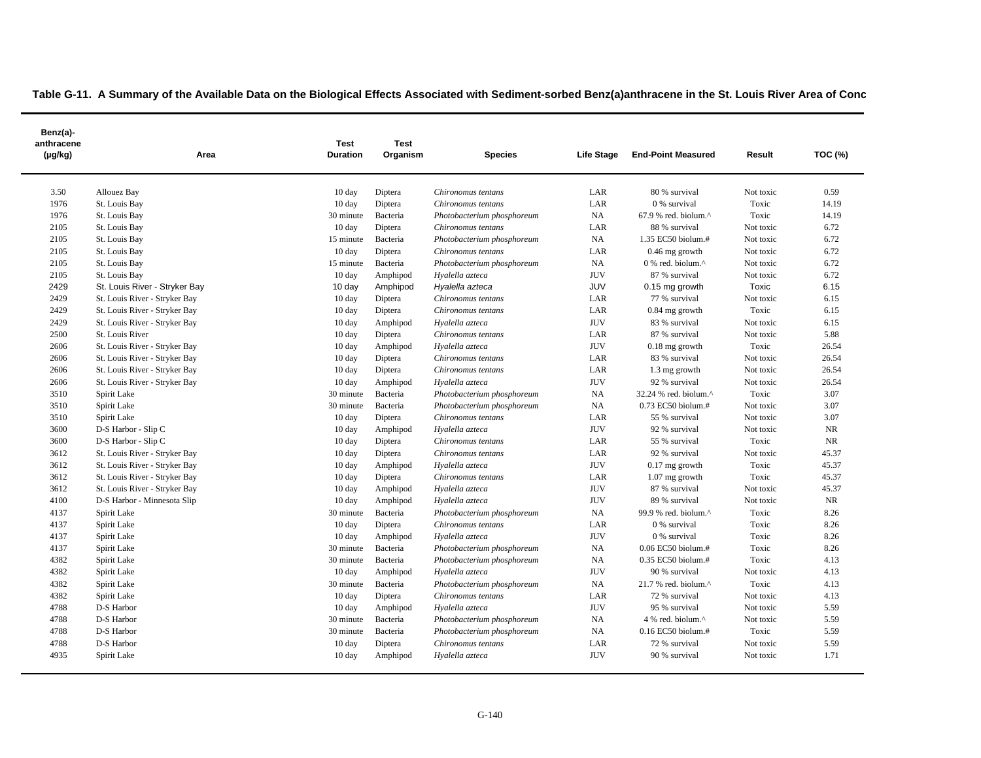| Benz(a)-<br>anthracene<br>(µg/kg) | Area                          | <b>Test</b><br><b>Duration</b> | <b>Test</b><br>Organism | <b>Species</b>             | Life Stage | <b>End-Point Measured</b>                         | Result    | TOC (%) |
|-----------------------------------|-------------------------------|--------------------------------|-------------------------|----------------------------|------------|---------------------------------------------------|-----------|---------|
| 3.50                              | Allouez Bay                   | 10 day                         | Diptera                 | Chironomus tentans         | LAR        | 80 % survival                                     | Not toxic | 0.59    |
| 1976                              | St. Louis Bay                 | $10 \text{ day}$               | Diptera                 | Chironomus tentans         | LAR        | 0 % survival                                      | Toxic     | 14.19   |
| 1976                              | St. Louis Bay                 | 30 minute                      | Bacteria                | Photobacterium phosphoreum | NA         | 67.9 % red. biolum.^                              | Toxic     | 14.19   |
| 2105                              | St. Louis Bay                 | 10 day                         | Diptera                 | Chironomus tentans         | LAR        | 88 % survival                                     | Not toxic | 6.72    |
| 2105                              | St. Louis Bay                 | 15 minute                      | Bacteria                | Photobacterium phosphoreum | NA         | 1.35 EC50 biolum.#                                | Not toxic | 6.72    |
| 2105                              | St. Louis Bay                 | 10 day                         | Diptera                 | Chironomus tentans         | LAR        | $0.46$ mg growth                                  | Not toxic | 6.72    |
| 2105                              | St. Louis Bay                 | 15 minute                      | Bacteria                | Photobacterium phosphoreum | NA         | $0$ % red. biolum. <sup><math>\wedge</math></sup> | Not toxic | 6.72    |
| 2105                              | St. Louis Bay                 | 10 day                         | Amphipod                | Hyalella azteca            | <b>JUV</b> | 87 % survival                                     | Not toxic | 6.72    |
| 2429                              | St. Louis River - Stryker Bay | 10 day                         | Amphipod                | Hyalella azteca            | <b>JUV</b> | 0.15 mg growth                                    | Toxic     | 6.15    |
| 2429                              | St. Louis River - Stryker Bay | 10 day                         | Diptera                 | Chironomus tentans         | LAR        | 77 % survival                                     | Not toxic | 6.15    |
| 2429                              | St. Louis River - Stryker Bay | $10 \text{ day}$               | Diptera                 | Chironomus tentans         | LAR        | $0.84$ mg growth                                  | Toxic     | 6.15    |
| 2429                              | St. Louis River - Stryker Bay | $10 \text{ day}$               | Amphipod                | Hyalella azteca            | <b>JUV</b> | 83 % survival                                     | Not toxic | 6.15    |
| 2500                              | St. Louis River               | $10 \text{ day}$               | Diptera                 | Chironomus tentans         | LAR        | 87 % survival                                     | Not toxic | 5.88    |
| 2606                              | St. Louis River - Stryker Bay | $10 \text{ day}$               | Amphipod                | Hyalella azteca            | <b>JUV</b> | $0.18$ mg growth                                  | Toxic     | 26.54   |
| 2606                              | St. Louis River - Stryker Bay | 10 day                         | Diptera                 | Chironomus tentans         | LAR        | 83 % survival                                     | Not toxic | 26.54   |
| 2606                              | St. Louis River - Stryker Bay | 10 day                         | Diptera                 | Chironomus tentans         | LAR        | 1.3 mg growth                                     | Not toxic | 26.54   |
| 2606                              | St. Louis River - Stryker Bay | $10 \text{ day}$               | Amphipod                | Hyalella azteca            | <b>JUV</b> | 92 % survival                                     | Not toxic | 26.54   |
| 3510                              | Spirit Lake                   | 30 minute                      | Bacteria                | Photobacterium phosphoreum | NA         | 32.24 % red. biolum.^                             | Toxic     | 3.07    |
| 3510                              | Spirit Lake                   | 30 minute                      | Bacteria                | Photobacterium phosphoreum | NA         | 0.73 EC50 biolum.#                                | Not toxic | 3.07    |
| 3510                              | Spirit Lake                   | 10 day                         | Diptera                 | Chironomus tentans         | LAR        | 55 % survival                                     | Not toxic | 3.07    |
| 3600                              | D-S Harbor - Slip C           | 10 day                         | Amphipod                | Hyalella azteca            | <b>JUV</b> | 92 % survival                                     | Not toxic | NR      |
| 3600                              | D-S Harbor - Slip C           | $10 \text{ day}$               | Diptera                 | Chironomus tentans         | LAR        | 55 % survival                                     | Toxic     | NR      |
| 3612                              | St. Louis River - Stryker Bay | $10 \text{ day}$               | Diptera                 | Chironomus tentans         | LAR        | 92 % survival                                     | Not toxic | 45.37   |
| 3612                              | St. Louis River - Stryker Bay | 10 day                         | Amphipod                | Hyalella azteca            | <b>JUV</b> | $0.17$ mg growth                                  | Toxic     | 45.37   |
| 3612                              | St. Louis River - Stryker Bay | $10 \text{ day}$               | Diptera                 | Chironomus tentans         | LAR        | $1.07$ mg growth                                  | Toxic     | 45.37   |
| 3612                              | St. Louis River - Stryker Bay | 10 day                         | Amphipod                | Hyalella azteca            | <b>JUV</b> | 87 % survival                                     | Not toxic | 45.37   |
| 4100                              | D-S Harbor - Minnesota Slip   | $10 \text{ day}$               | Amphipod                | Hyalella azteca            | <b>JUV</b> | 89 % survival                                     | Not toxic | NR      |
| 4137                              | Spirit Lake                   | 30 minute                      | Bacteria                | Photobacterium phosphoreum | NA         | 99.9 % red. biolum.^                              | Toxic     | 8.26    |
| 4137                              | Spirit Lake                   | $10 \text{ day}$               | Diptera                 | Chironomus tentans         | LAR        | 0 % survival                                      | Toxic     | 8.26    |
| 4137                              | Spirit Lake                   | $10 \text{ day}$               | Amphipod                | Hyalella azteca            | <b>JUV</b> | 0 % survival                                      | Toxic     | 8.26    |
| 4137                              | Spirit Lake                   | 30 minute                      | Bacteria                | Photobacterium phosphoreum | NA         | $0.06$ EC50 biolum.#                              | Toxic     | 8.26    |
| 4382                              | Spirit Lake                   | 30 minute                      | Bacteria                | Photobacterium phosphoreum | NA         | 0.35 EC50 biolum.#                                | Toxic     | 4.13    |
| 4382                              | Spirit Lake                   | 10 day                         | Amphipod                | Hyalella azteca            | <b>JUV</b> | 90 % survival                                     | Not toxic | 4.13    |
| 4382                              | Spirit Lake                   | 30 minute                      | Bacteria                | Photobacterium phosphoreum | <b>NA</b>  | $21.7$ % red. biolum. $^{\wedge}$                 | Toxic     | 4.13    |
| 4382                              | Spirit Lake                   | $10 \text{ day}$               | Diptera                 | Chironomus tentans         | LAR        | 72 % survival                                     | Not toxic | 4.13    |
| 4788                              | D-S Harbor                    | $10 \text{ day}$               | Amphipod                | Hyalella azteca            | <b>JUV</b> | 95 % survival                                     | Not toxic | 5.59    |
| 4788                              | D-S Harbor                    | 30 minute                      | Bacteria                | Photobacterium phosphoreum | NA         | 4 % red. biolum.^                                 | Not toxic | 5.59    |
| 4788                              | D-S Harbor                    | 30 minute                      | Bacteria                | Photobacterium phosphoreum | NA         | 0.16 EC50 biolum.#                                | Toxic     | 5.59    |
| 4788                              | D-S Harbor                    | $10 \text{ day}$               | Diptera                 | Chironomus tentans         | LAR        | 72 % survival                                     | Not toxic | 5.59    |
| 4935                              | Spirit Lake                   | $10 \text{ day}$               | Amphipod                | Hyalella azteca            | <b>JUV</b> | 90 % survival                                     | Not toxic | 1.71    |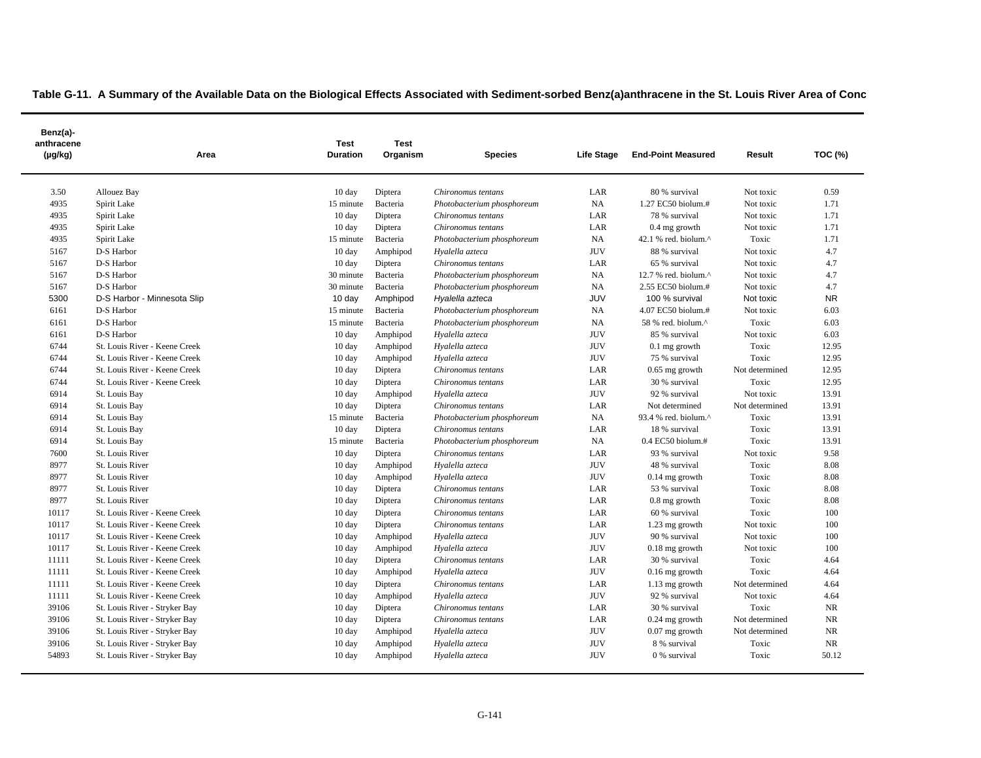| Benz(a)-<br>anthracene<br>$(\mu g/kg)$ | Area                          | Test<br><b>Duration</b> | <b>Test</b><br>Organism | <b>Species</b>             | Life Stage | <b>End-Point Measured</b> | Result         | <b>TOC (%)</b> |
|----------------------------------------|-------------------------------|-------------------------|-------------------------|----------------------------|------------|---------------------------|----------------|----------------|
| 3.50                                   | Allouez Bay                   | $10 \text{ day}$        | Diptera                 | Chironomus tentans         | LAR        | 80 % survival             | Not toxic      | 0.59           |
| 4935                                   | Spirit Lake                   | 15 minute               | Bacteria                | Photobacterium phosphoreum | NA         | 1.27 EC50 biolum.#        | Not toxic      | 1.71           |
| 4935                                   | Spirit Lake                   | $10 \text{ day}$        | Diptera                 | Chironomus tentans         | LAR        | 78 % survival             | Not toxic      | 1.71           |
| 4935                                   | Spirit Lake                   | $10 \text{ day}$        | Diptera                 | Chironomus tentans         | LAR        | $0.4$ mg growth           | Not toxic      | 1.71           |
| 4935                                   | Spirit Lake                   | 15 minute               | Bacteria                | Photobacterium phosphoreum | NA         | 42.1 % red. biolum.^      | Toxic          | 1.71           |
| 5167                                   | D-S Harbor                    | $10 \text{ day}$        | Amphipod                | Hyalella azteca            | <b>JUV</b> | 88 % survival             | Not toxic      | 4.7            |
| 5167                                   | D-S Harbor                    | 10 day                  | Diptera                 | Chironomus tentans         | LAR        | 65 % survival             | Not toxic      | 4.7            |
| 5167                                   | D-S Harbor                    | 30 minute               | Bacteria                | Photobacterium phosphoreum | NA         | 12.7 % red. biolum.^      | Not toxic      | 4.7            |
| 5167                                   | D-S Harbor                    | 30 minute               | Bacteria                | Photobacterium phosphoreum | NA         | 2.55 EC50 biolum.#        | Not toxic      | 4.7            |
| 5300                                   | D-S Harbor - Minnesota Slip   | 10 day                  | Amphipod                | Hyalella azteca            | JUV        | 100 % survival            | Not toxic      | <b>NR</b>      |
| 6161                                   | D-S Harbor                    | 15 minute               | Bacteria                | Photobacterium phosphoreum | NA         | 4.07 EC50 biolum.#        | Not toxic      | 6.03           |
| 6161                                   | D-S Harbor                    | 15 minute               | Bacteria                | Photobacterium phosphoreum | NA         | 58 % red. biolum.^        | Toxic          | 6.03           |
| 6161                                   | D-S Harbor                    | $10 \text{ day}$        | Amphipod                | Hyalella azteca            | <b>JUV</b> | 85 % survival             | Not toxic      | 6.03           |
| 6744                                   | St. Louis River - Keene Creek | $10 \text{ day}$        | Amphipod                | Hyalella azteca            | <b>JUV</b> | $0.1$ mg growth           | Toxic          | 12.95          |
| 6744                                   | St. Louis River - Keene Creek | $10 \text{ day}$        | Amphipod                | Hyalella azteca            | <b>JUV</b> | 75 % survival             | Toxic          | 12.95          |
| 6744                                   | St. Louis River - Keene Creek | $10 \text{ day}$        | Diptera                 | Chironomus tentans         | LAR        | $0.65$ mg growth          | Not determined | 12.95          |
| 6744                                   | St. Louis River - Keene Creek | $10 \text{ day}$        | Diptera                 | Chironomus tentans         | LAR        | 30 % survival             | Toxic          | 12.95          |
| 6914                                   | St. Louis Bay                 | $10 \text{ day}$        | Amphipod                | Hyalella azteca            | <b>JUV</b> | 92 % survival             | Not toxic      | 13.91          |
| 6914                                   | St. Louis Bay                 | $10 \text{ day}$        | Diptera                 | Chironomus tentans         | LAR        | Not determined            | Not determined | 13.91          |
| 6914                                   | St. Louis Bay                 | 15 minute               | Bacteria                | Photobacterium phosphoreum | NA         | 93.4 % red. biolum.^      | Toxic          | 13.91          |
| 6914                                   | St. Louis Bay                 | $10 \text{ day}$        | Diptera                 | Chironomus tentans         | LAR        | 18 % survival             | Toxic          | 13.91          |
| 6914                                   | St. Louis Bay                 | 15 minute               | Bacteria                | Photobacterium phosphoreum | NA         | $0.4$ EC50 biolum.#       | Toxic          | 13.91          |
| 7600                                   | St. Louis River               | $10 \text{ day}$        | Diptera                 | Chironomus tentans         | LAR        | 93 % survival             | Not toxic      | 9.58           |
| 8977                                   | St. Louis River               | $10 \text{ day}$        | Amphipod                | Hyalella azteca            | <b>JUV</b> | 48 % survival             | Toxic          | 8.08           |
| 8977                                   | St. Louis River               | $10 \text{ day}$        | Amphipod                | Hyalella azteca            | <b>JUV</b> | $0.14$ mg growth          | Toxic          | 8.08           |
| 8977                                   | St. Louis River               | $10 \text{ day}$        | Diptera                 | Chironomus tentans         | LAR        | 53 % survival             | Toxic          | 8.08           |
| 8977                                   | St. Louis River               | 10 day                  | Diptera                 | Chironomus tentans         | LAR        | $0.8$ mg growth           | Toxic          | 8.08           |
| 10117                                  | St. Louis River - Keene Creek | $10 \text{ day}$        | Diptera                 | Chironomus tentans         | LAR        | 60 % survival             | Toxic          | 100            |
| 10117                                  | St. Louis River - Keene Creek | $10 \text{ day}$        | Diptera                 | Chironomus tentans         | LAR        | 1.23 mg growth            | Not toxic      | 100            |
| 10117                                  | St. Louis River - Keene Creek | $10 \text{ day}$        | Amphipod                | Hyalella azteca            | <b>JUV</b> | 90 % survival             | Not toxic      | 100            |
| 10117                                  | St. Louis River - Keene Creek | $10 \text{ day}$        | Amphipod                | Hyalella azteca            | <b>JUV</b> | $0.18$ mg growth          | Not toxic      | 100            |
| 11111                                  | St. Louis River - Keene Creek | 10 day                  | Diptera                 | Chironomus tentans         | LAR        | 30 % survival             | Toxic          | 4.64           |
| 11111                                  | St. Louis River - Keene Creek | 10 day                  | Amphipod                | Hyalella azteca            | <b>JUV</b> | $0.16$ mg growth          | Toxic          | 4.64           |
| 11111                                  | St. Louis River - Keene Creek | 10 day                  | Diptera                 | Chironomus tentans         | LAR        | 1.13 mg growth            | Not determined | 4.64           |
| 11111                                  | St. Louis River - Keene Creek | $10 \text{ day}$        | Amphipod                | Hyalella azteca            | <b>JUV</b> | 92 % survival             | Not toxic      | 4.64           |
| 39106                                  | St. Louis River - Stryker Bay | $10 \text{ day}$        | Diptera                 | Chironomus tentans         | LAR        | 30 % survival             | Toxic          | <b>NR</b>      |
| 39106                                  | St. Louis River - Stryker Bay | 10 day                  | Diptera                 | Chironomus tentans         | LAR        | $0.24$ mg growth          | Not determined | <b>NR</b>      |
| 39106                                  | St. Louis River - Stryker Bay | $10 \text{ day}$        | Amphipod                | Hyalella azteca            | <b>JUV</b> | $0.07$ mg growth          | Not determined | <b>NR</b>      |
| 39106                                  | St. Louis River - Stryker Bay | $10 \text{ day}$        | Amphipod                | Hyalella azteca            | <b>JUV</b> | 8 % survival              | Toxic          | <b>NR</b>      |
| 54893                                  | St. Louis River - Stryker Bay | $10 \text{ day}$        | Amphipod                | Hyalella azteca            | <b>JUV</b> | 0 % survival              | Toxic          | 50.12          |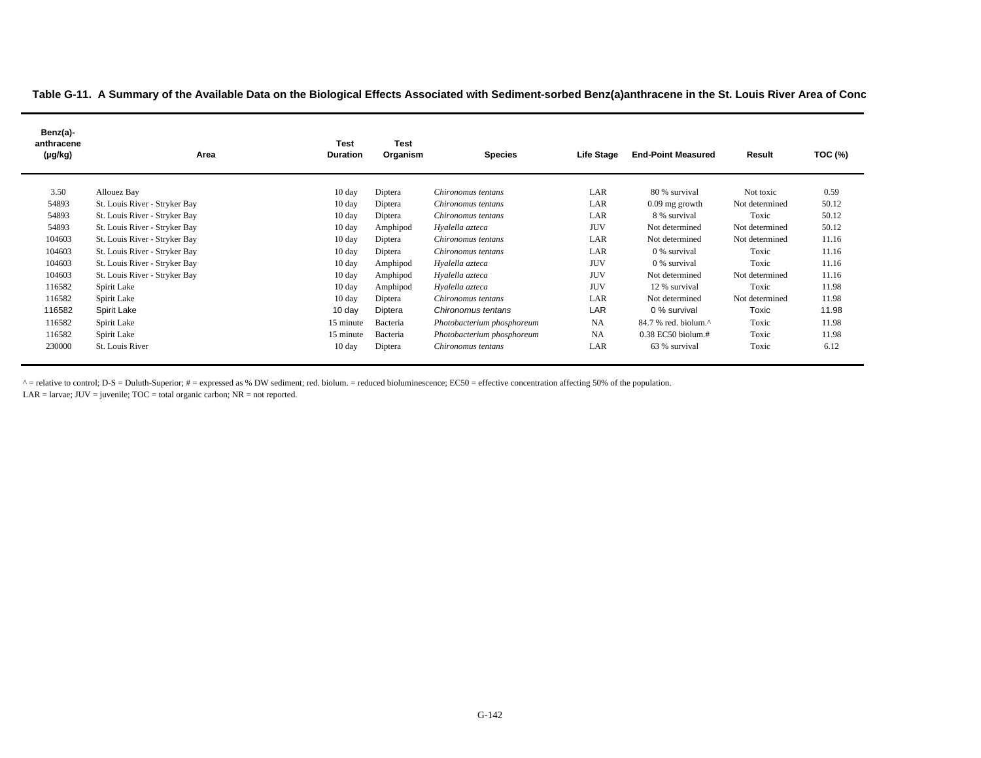| Benz(a)-<br>anthracene<br>(µg/kg) | Area                          | <b>Test</b><br><b>Duration</b> | <b>Test</b><br>Organism | <b>Species</b>             | <b>Life Stage</b> | <b>End-Point Measured</b>                           | Result         | TOC (%) |
|-----------------------------------|-------------------------------|--------------------------------|-------------------------|----------------------------|-------------------|-----------------------------------------------------|----------------|---------|
| 3.50                              | Allouez Bay                   | 10 day                         | Diptera                 | Chironomus tentans         | LAR               | 80 % survival                                       | Not toxic      | 0.59    |
| 54893                             | St. Louis River - Stryker Bay | $10 \text{ day}$               | Diptera                 | Chironomus tentans         | LAR               | $0.09$ mg growth                                    | Not determined | 50.12   |
| 54893                             | St. Louis River - Stryker Bay | $10 \text{ day}$               | Diptera                 | Chironomus tentans         | LAR               | 8 % survival                                        | Toxic          | 50.12   |
| 54893                             | St. Louis River - Stryker Bay | $10 \text{ day}$               | Amphipod                | Hyalella azteca            | <b>JUV</b>        | Not determined                                      | Not determined | 50.12   |
| 104603                            | St. Louis River - Stryker Bay | 10 day                         | Diptera                 | Chironomus tentans         | LAR               | Not determined                                      | Not determined | 11.16   |
| 104603                            | St. Louis River - Stryker Bay | 10 day                         | Diptera                 | Chironomus tentans         | LAR               | 0 % survival                                        | Toxic          | 11.16   |
| 104603                            | St. Louis River - Stryker Bay | $10 \text{ day}$               | Amphipod                | Hyalella azteca            | <b>JUV</b>        | 0 % survival                                        | Toxic          | 11.16   |
| 104603                            | St. Louis River - Stryker Bay | $10 \text{ day}$               | Amphipod                | Hyalella azteca            | <b>JUV</b>        | Not determined                                      | Not determined | 11.16   |
| 116582                            | Spirit Lake                   | $10 \text{ day}$               | Amphipod                | Hyalella azteca            | <b>JUV</b>        | 12 % survival                                       | Toxic          | 11.98   |
| 116582                            | Spirit Lake                   | 10 day                         | Diptera                 | Chironomus tentans         | LAR               | Not determined                                      | Not determined | 11.98   |
| 116582                            | Spirit Lake                   | $10 \text{ day}$               | Diptera                 | Chironomus tentans         | LAR               | 0 % survival                                        | Toxic          | 11.98   |
| 116582                            | Spirit Lake                   | 15 minute                      | Bacteria                | Photobacterium phosphoreum | <b>NA</b>         | $84.7$ % red, biolum. <sup><math>\land</math></sup> | Toxic          | 11.98   |
| 116582                            | Spirit Lake                   | 15 minute                      | Bacteria                | Photobacterium phosphoreum | <b>NA</b>         | $0.38$ EC50 biolum.#                                | Toxic          | 11.98   |
| 230000                            | St. Louis River               | $10 \text{ day}$               | Diptera                 | Chironomus tentans         | LAR               | 63 % survival                                       | Toxic          | 6.12    |

^ = relative to control; D-S = Duluth-Superior; # = expressed as % DW sediment; red. biolum. = reduced bioluminescence; EC50 = effective concentration affecting 50% of the population.

 $LAR =$  larvae;  $JUV =$  juvenile;  $TOC =$  total organic carbon;  $NR =$  not reported.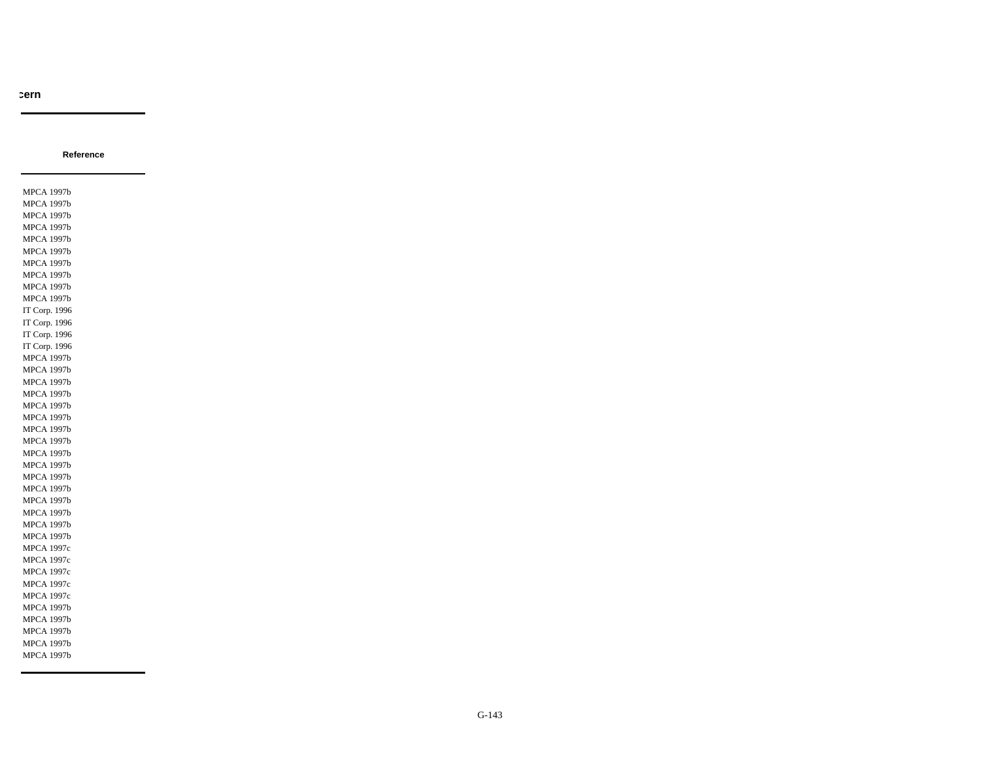**Reference**

MPCA 1997b MPCA 1997b MPCA 1997b MPCA 1997b MPCA 1997b MPCA 1997b MPCA 1997b MPCA 1997b MPCA 1997b MPCA 1997b IT Corp. 1996 IT Corp. 1996 IT Corp. 1996 IT Corp. 1996 MPCA 1997b MPCA 1997b MPCA 1997b MPCA 1997b MPCA 1997b MPCA 1997b MPCA 1997b MPCA 1997b MPCA 1997b MPCA 1997b MPCA 1997b MPCA 1997b MPCA 1997b MPCA 1997b MPCA 1997b MPCA 1997b MPCA 1997c MPCA 1997c MPCA 1997c MPCA 1997c MPCA 1997c MPCA 1997b MPCA 1997b MPCA 1997b MPCA 1997b MPCA 1997b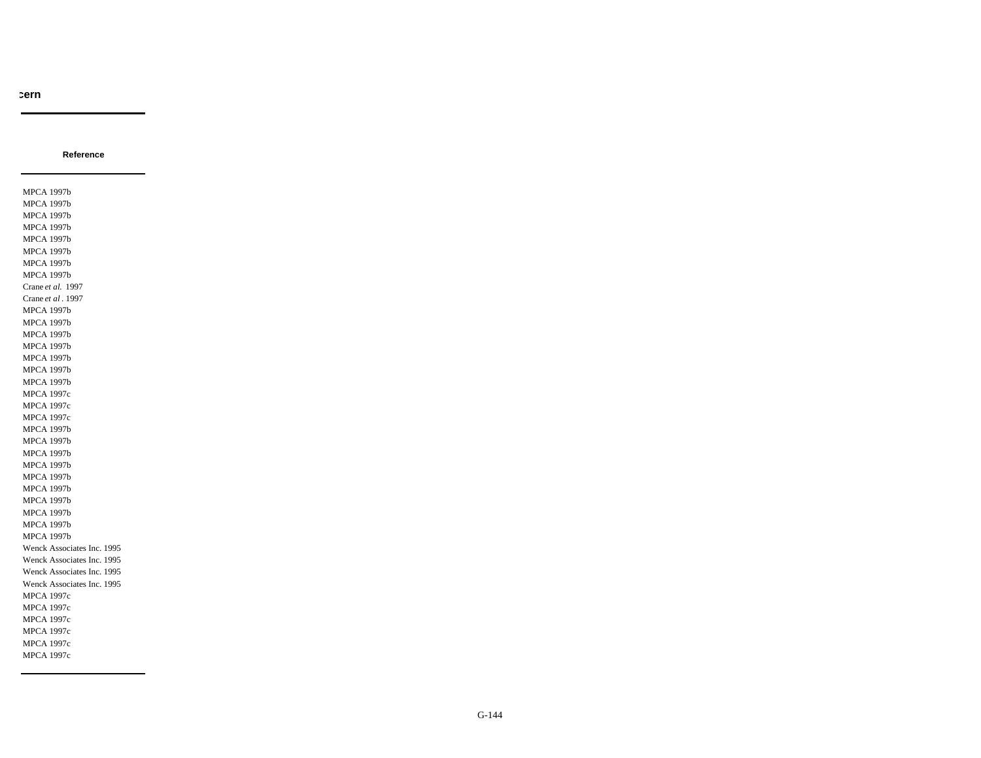MPCA 1997b MPCA 1997b MPCA 1997b MPCA 1997b MPCA 1997b MPCA 1997b MPCA 1997b MPCA 1997b Crane *et al.* 1997 Crane *et al* . 1997 MPCA 1997b MPCA 1997b MPCA 1997b MPCA 1997b MPCA 1997b MPCA 1997b MPCA 1997b MPCA 1997c MPCA 1997c MPCA 1997c MPCA 1997b MPCA 1997b MPCA 1997b MPCA 1997b MPCA 1997b MPCA 1997b MPCA 1997b MPCA 1997b MPCA 1997b MPCA 1997b Wenck Associates Inc. 1995 Wenck Associates Inc. 1995 Wenck Associates Inc. 1995 Wenck Associates Inc. 1995 MPCA 1997c MPCA 1997c MPCA 1997c MPCA 1997c MPCA 1997c MPCA 1997c

**Reference**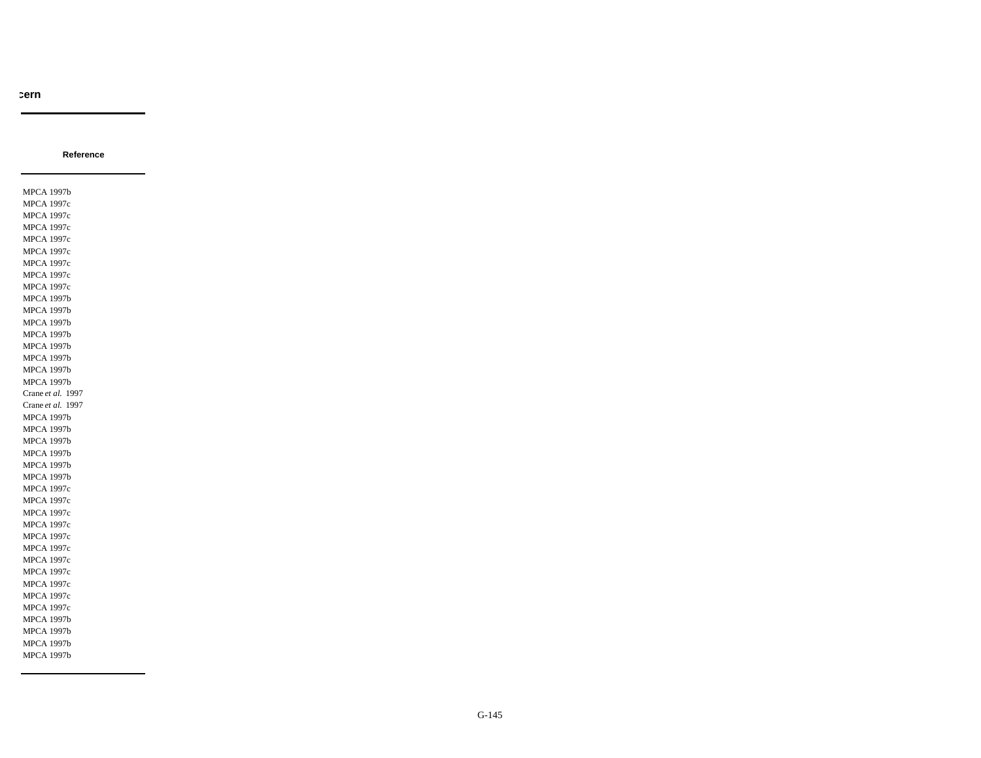**Reference**

MPCA 1997b MPCA 1997c MPCA 1997c MPCA 1997c MPCA 1997c MPCA 1997c MPCA 1997c MPCA 1997c MPCA 1997c MPCA 1997b MPCA 1997b MPCA 1997b MPCA 1997b MPCA 1997b MPCA 1997b MPCA 1997b MPCA 1997b Crane *et al.* 1997 Crane *et al.* 1997 MPCA 1997b MPCA 1997b MPCA 1997b MPCA 1997b MPCA 1997b MPCA 1997b MPCA 1997c MPCA 1997c MPCA 1997c MPCA 1997c MPCA 1997c MPCA 1997c MPCA 1997c MPCA 1997c MPCA 1997c MPCA 1997c MPCA 1997c MPCA 1997b MPCA 1997b MPCA 1997b MPCA 1997b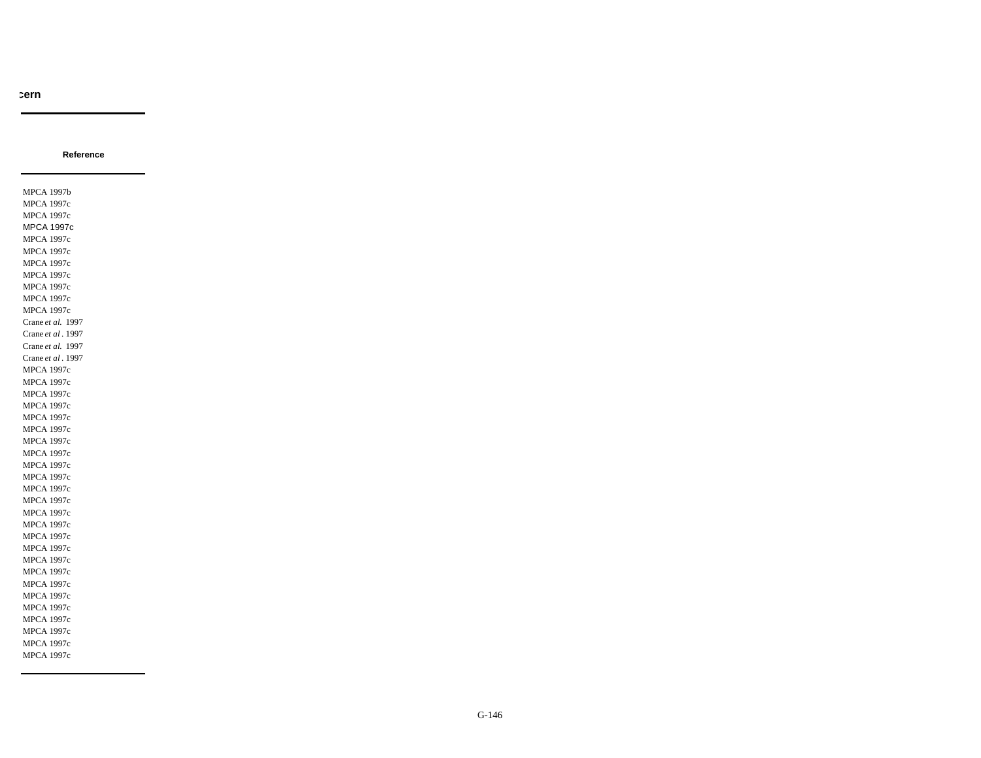**Reference**

MPCA 1997b MPCA 1997c MPCA 1997c MPCA 1997c MPCA 1997c MPCA 1997c MPCA 1997c MPCA 1997c MPCA 1997c MPCA 1997c MPCA 1997c Crane *et al.* 1997 Crane *et al* . 1997 Crane *et al.* 1997 Crane *et al* . 1997 MPCA 1997c MPCA 1997c MPCA 1997c MPCA 1997c MPCA 1997c MPCA 1997c MPCA 1997c MPCA 1997c MPCA 1997c MPCA 1997c MPCA 1997c MPCA 1997c MPCA 1997c MPCA 1997c MPCA 1997c MPCA 1997c MPCA 1997c MPCA 1997c MPCA 1997c MPCA 1997c MPCA 1997c MPCA 1997c MPCA 1997c MPCA 1997c MPCA 1997c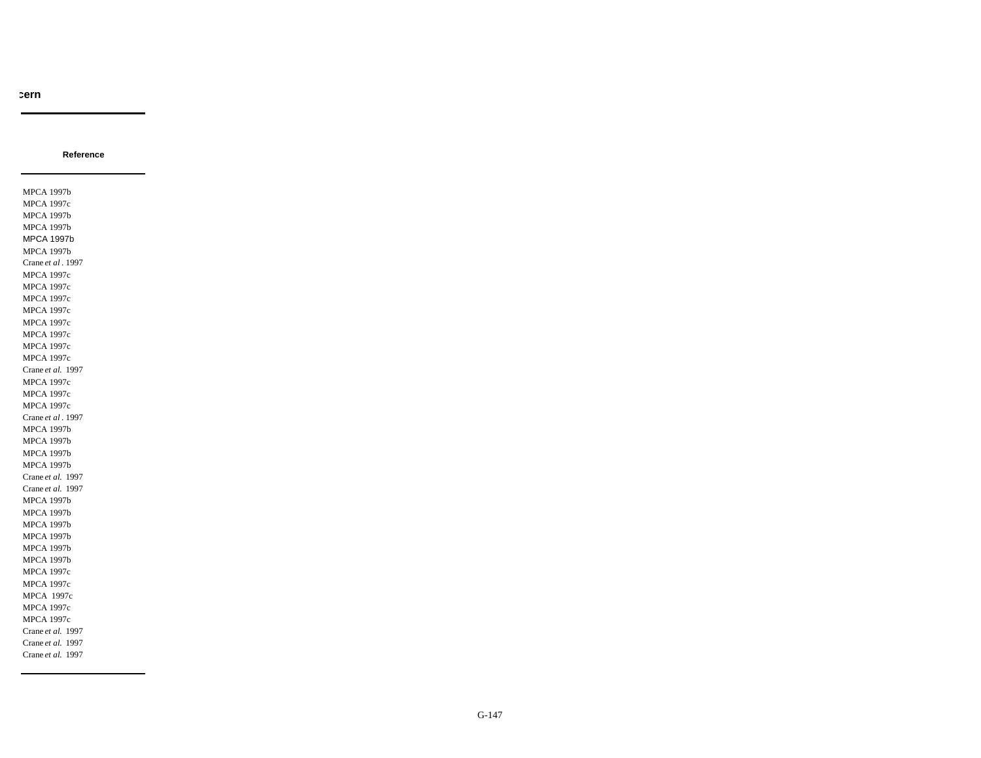**Reference**

MPCA 1997b MPCA 1997c MPCA 1997b MPCA 1997b MPCA 1997b MPCA 1997b Crane *et al* . 1997 MPCA 1997c MPCA 1997c MPCA 1997c MPCA 1997c MPCA 1997c MPCA 1997c MPCA 1997c MPCA 1997c Crane *et al.* 1997 MPCA 1997c MPCA 1997c MPCA 1997c Crane *et al* . 1997 MPCA 1997b MPCA 1997b MPCA 1997b MPCA 1997b Crane *et al.* 1997 Crane *et al.* 1997 MPCA 1997b MPCA 1997b MPCA 1997b MPCA 1997b MPCA 1997b MPCA 1997b MPCA 1997c MPCA 1997c MPCA 1997c MPCA 1997c MPCA 1997c Crane *et al.* 1997 Crane *et al.* 1997 Crane *et al.* 1997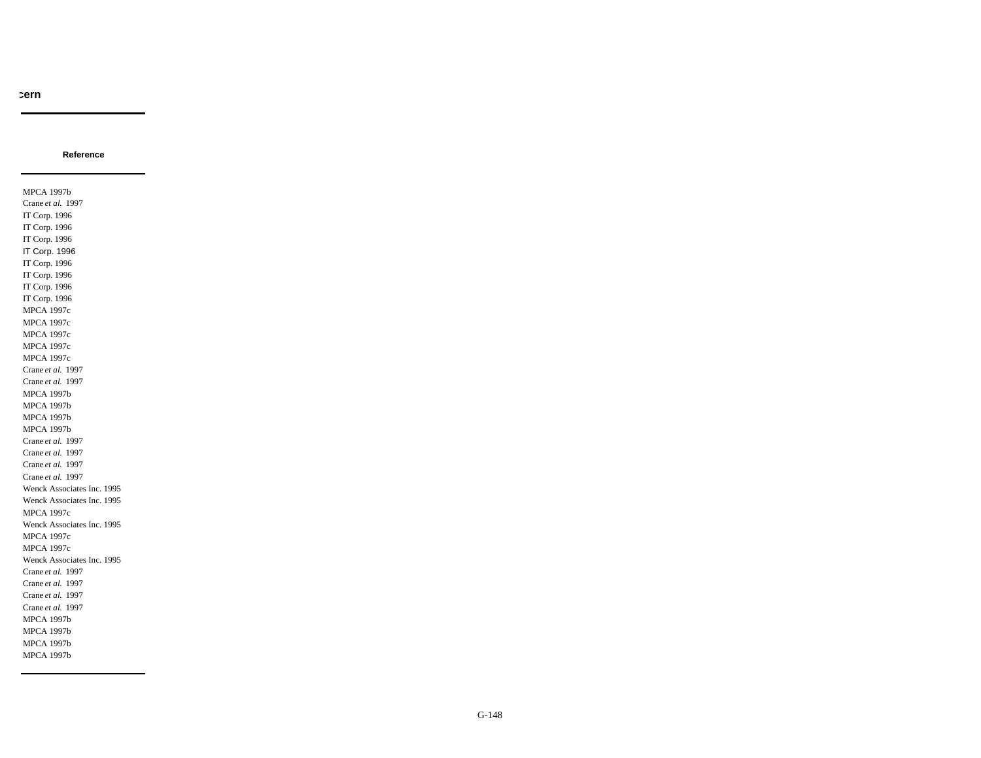**Reference**

MPCA 1997b Crane *et al.* 1997 IT Corp. 1996 IT Corp. 1996 IT Corp. 1996 IT Corp. 1996 IT Corp. 1996 IT Corp. 1996 IT Corp. 1996 IT Corp. 1996 MPCA 1997c MPCA 1997c MPCA 1997c MPCA 1997c MPCA 1997c Crane *et al.* 1997 Crane *et al.* 1997 MPCA 1997b MPCA 1997b MPCA 1997b MPCA 1997b Crane *et al.* 1997 Crane *et al.* 1997 Crane *et al.* 1997 Crane *et al.* 1997 Wenck Associates Inc. 1995 Wenck Associates Inc. 1995 MPCA 1997c Wenck Associates Inc. 1995 MPCA 1997c MPCA 1997c Wenck Associates Inc. 1995 Crane *et al.* 1997 Crane *et al.* 1997 Crane *et al.* 1997 Crane *et al.* 1997 MPCA 1997b MPCA 1997b MPCA 1997b MPCA 1997b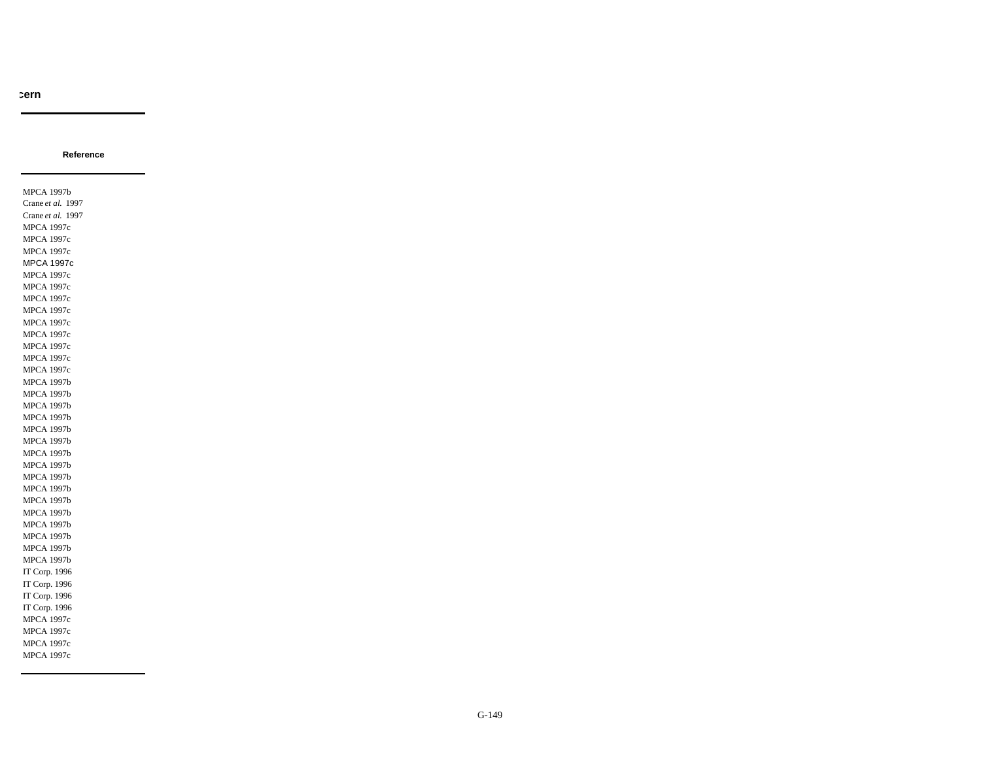**Reference**

MPCA 1997b Crane *et al.* 1997 Crane *et al.* 1997 MPCA 1997c MPCA 1997c MPCA 1997c MPCA 1997c MPCA 1997c MPCA 1997c MPCA 1997c MPCA 1997c MPCA 1997c MPCA 1997c MPCA 1997c MPCA 1997c MPCA 1997c MPCA 1997b MPCA 1997b MPCA 1997b MPCA 1997b MPCA 1997b MPCA 1997b MPCA 1997b MPCA 1997b MPCA 1997b MPCA 1997b MPCA 1997b MPCA 1997b MPCA 1997b MPCA 1997b MPCA 1997b MPCA 1997b IT Corp. 1996 IT Corp. 1996 IT Corp. 1996 IT Corp. 1996 MPCA 1997c MPCA 1997c MPCA 1997c MPCA 1997c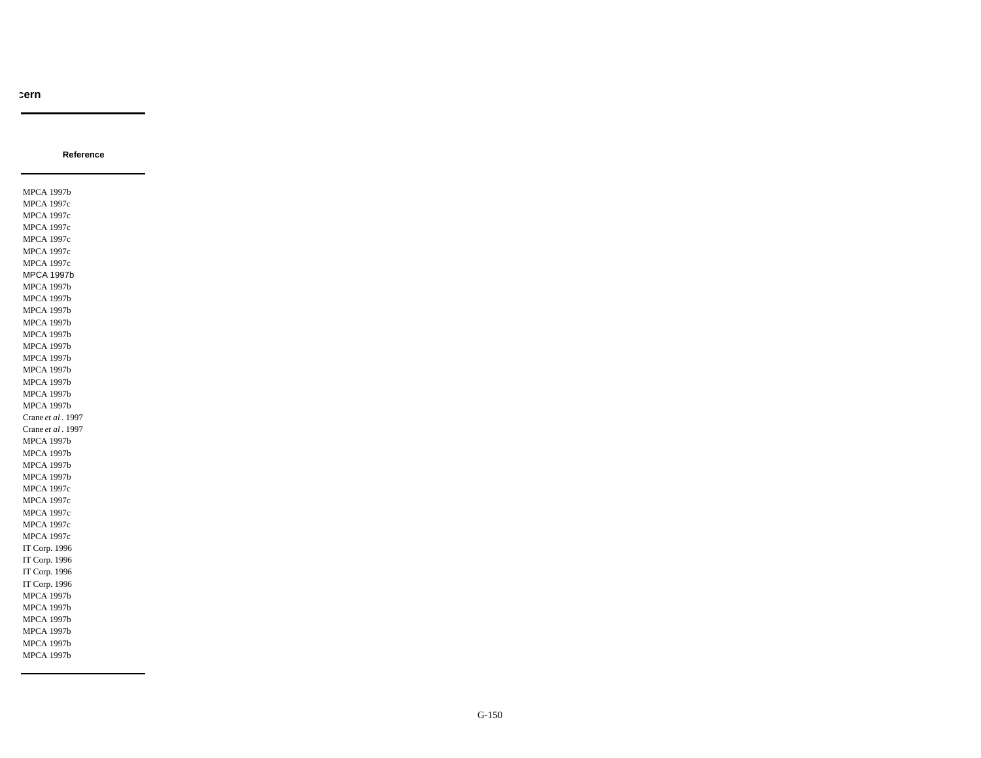**Reference**

MPCA 1997b MPCA 1997c MPCA 1997c MPCA 1997c MPCA 1997c MPCA 1997c MPCA 1997c MPCA 1997b MPCA 1997b MPCA 1997b MPCA 1997b MPCA 1997b MPCA 1997b MPCA 1997b MPCA 1997b MPCA 1997b MPCA 1997b MPCA 1997b MPCA 1997b Crane *et al* . 1997 Crane *et al* . 1997 MPCA 1997b MPCA 1997b MPCA 1997b MPCA 1997b MPCA 1997c MPCA 1997c MPCA 1997c MPCA 1997c MPCA 1997c IT Corp. 1996 IT Corp. 1996 IT Corp. 1996 IT Corp. 1996 MPCA 1997b MPCA 1997b MPCA 1997b MPCA 1997b MPCA 1997b MPCA 1997b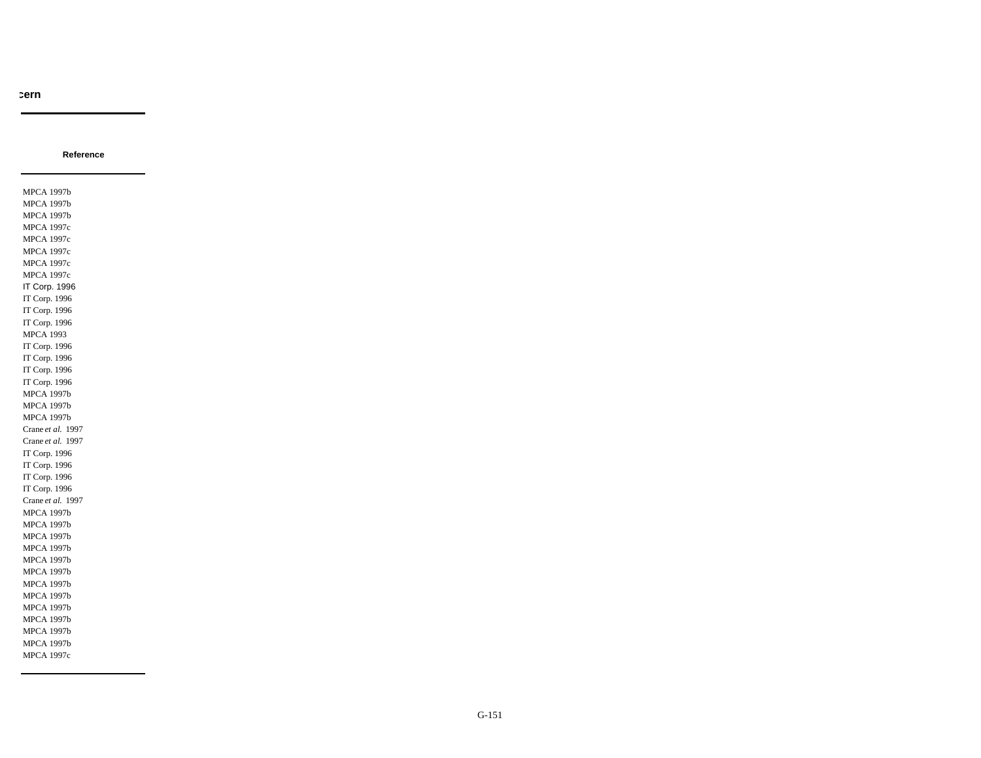**Reference**

MPCA 1997b MPCA 1997b MPCA 1997b MPCA 1997c MPCA 1997c MPCA 1997c MPCA 1997c MPCA 1997c IT Corp. 1996 IT Corp. 1996 IT Corp. 1996 IT Corp. 1996 MPCA 1993 IT Corp. 1996 IT Corp. 1996 IT Corp. 1996 IT Corp. 1996 MPCA 1997b MPCA 1997b MPCA 1997b Crane *et al.* 1997 Crane *et al.* 1997 IT Corp. 1996 IT Corp. 1996 IT Corp. 1996 IT Corp. 1996 Crane *et al.* 1997 MPCA 1997b MPCA 1997b MPCA 1997b MPCA 1997b MPCA 1997b MPCA 1997b MPCA 1997b MPCA 1997b MPCA 1997b MPCA 1997b MPCA 1997b MPCA 1997b MPCA 1997c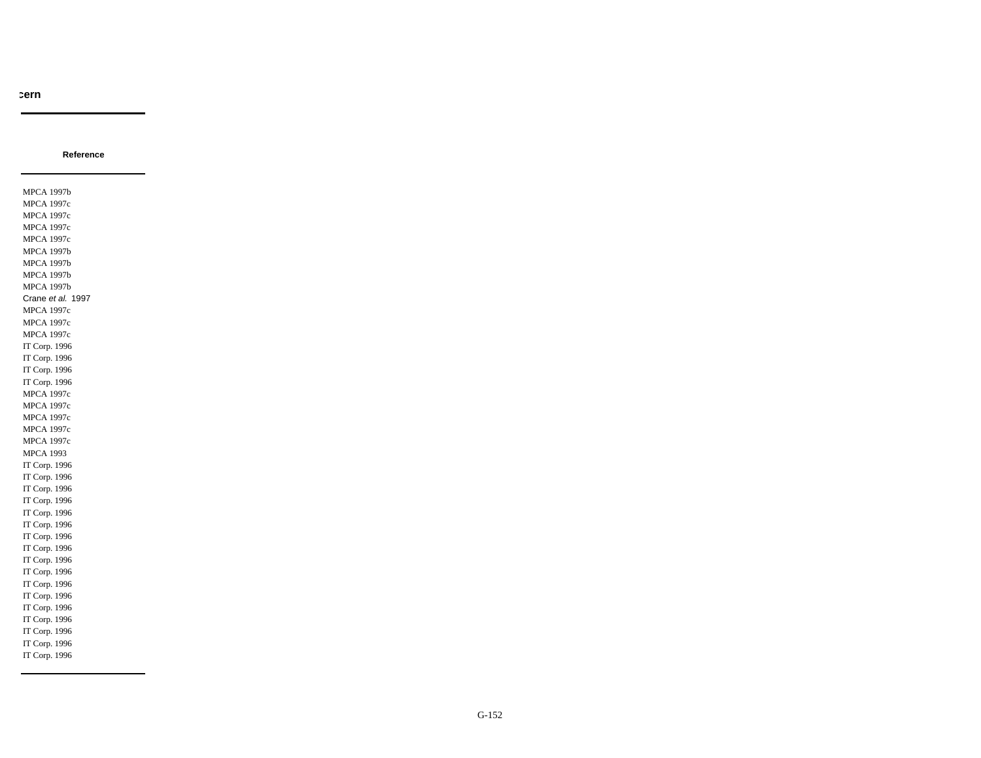**Reference**

MPCA 1997b MPCA 1997c MPCA 1997c MPCA 1997c MPCA 1997c MPCA 1997b MPCA 1997b MPCA 1997b MPCA 1997b Crane *et al.* 1997 MPCA 1997c MPCA 1997c MPCA 1997c IT Corp. 1996 IT Corp. 1996 IT Corp. 1996 IT Corp. 1996 MPCA 1997c MPCA 1997c MPCA 1997c MPCA 1997c MPCA 1997c MPCA 1993 IT Corp. 1996 IT Corp. 1996 IT Corp. 1996 IT Corp. 1996 IT Corp. 1996 IT Corp. 1996 IT Corp. 1996 IT Corp. 1996 IT Corp. 1996 IT Corp. 1996 IT Corp. 1996 IT Corp. 1996 IT Corp. 1996 IT Corp. 1996 IT Corp. 1996 IT Corp. 1996 IT Corp. 1996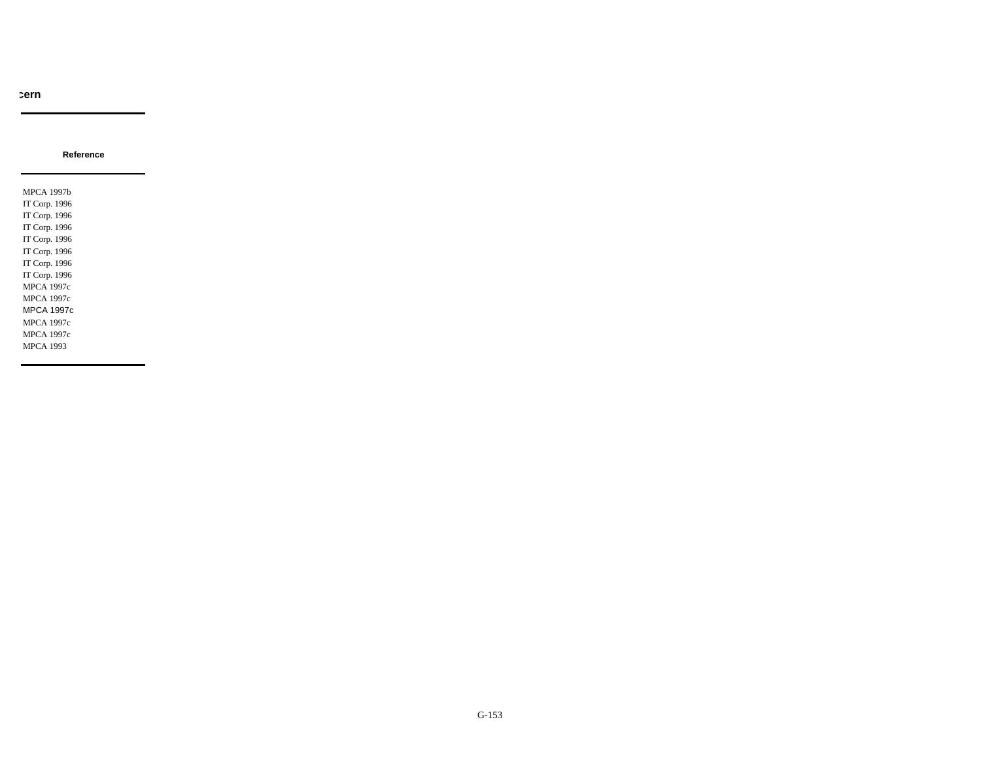**Reference**

MPCA 1997b IT Corp. 1996 IT Corp. 1996 IT Corp. 1996 IT Corp. 1996 IT Corp. 1996 IT Corp. 1996 IT Corp. 1996 MPCA 1997c MPCA 1997c MPCA 1997c MPCA 1997c MPCA 1997c MPCA 1993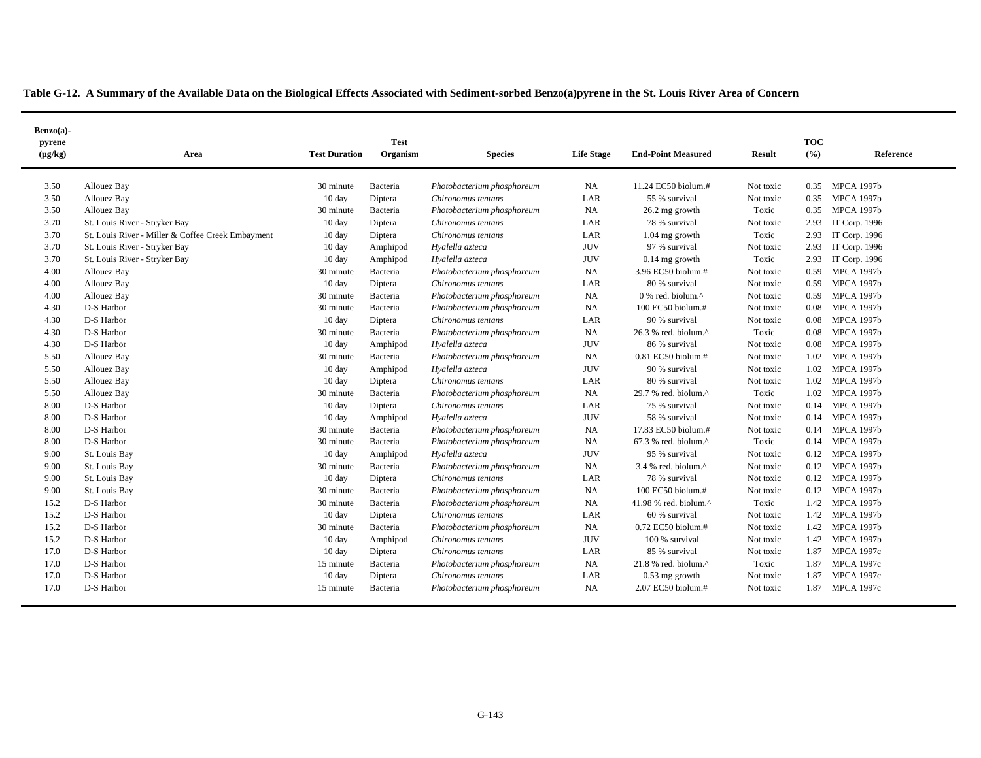|  | Table G-12. A Summary of the Available Data on the Biological Effects Associated with Sediment-sorbed Benzo(a)pyrene in the St. Louis River Area of Concern |  |
|--|-------------------------------------------------------------------------------------------------------------------------------------------------------------|--|
|  |                                                                                                                                                             |  |

| Benzo(a)-              |                                                   |                      |                         |                            |                   |                              |               |                      |                   |
|------------------------|---------------------------------------------------|----------------------|-------------------------|----------------------------|-------------------|------------------------------|---------------|----------------------|-------------------|
| pyrene<br>$(\mu g/kg)$ | Area                                              | <b>Test Duration</b> | <b>Test</b><br>Organism | <b>Species</b>             | <b>Life Stage</b> | <b>End-Point Measured</b>    | <b>Result</b> | <b>TOC</b><br>$($ %) | Reference         |
| 3.50                   | <b>Allouez Bay</b>                                | 30 minute            | Bacteria                | Photobacterium phosphoreum | NA                | 11.24 EC50 biolum.#          | Not toxic     | 0.35                 | MPCA 1997b        |
| 3.50                   | <b>Allouez Bay</b>                                | $10 \text{ day}$     | Diptera                 | Chironomus tentans         | LAR               | 55 % survival                | Not toxic     | 0.35                 | <b>MPCA 1997b</b> |
| 3.50                   | <b>Allouez Bay</b>                                | 30 minute            | Bacteria                | Photobacterium phosphoreum | NA                | 26.2 mg growth               | Toxic         | 0.35                 | <b>MPCA 1997b</b> |
| 3.70                   | St. Louis River - Stryker Bay                     | 10 day               | Diptera                 | Chironomus tentans         | LAR               | 78 % survival                | Not toxic     | 2.93                 | IT Corp. 1996     |
| 3.70                   | St. Louis River - Miller & Coffee Creek Embayment | 10 day               | Diptera                 | Chironomus tentans         | LAR               | $1.04$ mg growth             | Toxic         | 2.93                 | IT Corp. 1996     |
| 3.70                   | St. Louis River - Stryker Bay                     | 10 day               | Amphipod                | Hyalella azteca            | <b>JUV</b>        | 97 % survival                | Not toxic     | 2.93                 | IT Corp. 1996     |
| 3.70                   | St. Louis River - Stryker Bay                     | 10 day               | Amphipod                | Hyalella azteca            | <b>JUV</b>        | $0.14$ mg growth             | Toxic         | 2.93                 | IT Corp. 1996     |
| 4.00                   | Allouez Bay                                       | 30 minute            | Bacteria                | Photobacterium phosphoreum | NA                | 3.96 EC50 biolum.#           | Not toxic     | 0.59                 | <b>MPCA 1997b</b> |
| 4.00                   | Allouez Bay                                       | 10 day               | Diptera                 | Chironomus tentans         | LAR               | 80 % survival                | Not toxic     | 0.59                 | <b>MPCA 1997b</b> |
| 4.00                   | <b>Allouez Bay</b>                                | 30 minute            | Bacteria                | Photobacterium phosphoreum | NA                | 0 % red. biolum.^            | Not toxic     | 0.59                 | <b>MPCA 1997b</b> |
| 4.30                   | D-S Harbor                                        | 30 minute            | Bacteria                | Photobacterium phosphoreum | NA                | 100 EC50 biolum.#            | Not toxic     | 0.08                 | <b>MPCA 1997b</b> |
| 4.30                   | D-S Harbor                                        | $10 \text{ day}$     | Diptera                 | Chironomus tentans         | LAR               | 90 % survival                | Not toxic     | 0.08                 | <b>MPCA 1997b</b> |
| 4.30                   | D-S Harbor                                        | 30 minute            | Bacteria                | Photobacterium phosphoreum | NA                | 26.3 % red. biolum.^         | Toxic         | 0.08                 | <b>MPCA 1997b</b> |
| 4.30                   | D-S Harbor                                        | $10 \text{ day}$     | Amphipod                | Hyalella azteca            | <b>JUV</b>        | 86 % survival                | Not toxic     | 0.08                 | <b>MPCA 1997b</b> |
| 5.50                   | <b>Allouez Bay</b>                                | 30 minute            | Bacteria                | Photobacterium phosphoreum | NA                | 0.81 EC50 biolum.#           | Not toxic     | 1.02                 | <b>MPCA 1997b</b> |
| 5.50                   | Allouez Bay                                       | $10 \text{ day}$     | Amphipod                | Hyalella azteca            | <b>JUV</b>        | 90 % survival                | Not toxic     | 1.02                 | <b>MPCA 1997b</b> |
| 5.50                   | <b>Allouez Bay</b>                                | 10 day               | Diptera                 | Chironomus tentans         | LAR               | 80 % survival                | Not toxic     |                      | 1.02 MPCA 1997b   |
| 5.50                   | <b>Allouez Bay</b>                                | 30 minute            | Bacteria                | Photobacterium phosphoreum | NA                | 29.7 % red. biolum. $\wedge$ | Toxic         | $1.02 -$             | <b>MPCA 1997b</b> |
| 8.00                   | D-S Harbor                                        | 10 day               | Diptera                 | Chironomus tentans         | LAR               | 75 % survival                | Not toxic     | 0.14                 | <b>MPCA 1997b</b> |
| 8.00                   | D-S Harbor                                        | 10 day               | Amphipod                | Hyalella azteca            | <b>JUV</b>        | 58 % survival                | Not toxic     | 0.14                 | <b>MPCA 1997b</b> |
| 8.00                   | D-S Harbor                                        | 30 minute            | Bacteria                | Photobacterium phosphoreum | NA                | 17.83 EC50 biolum.#          | Not toxic     | 0.14                 | <b>MPCA 1997b</b> |
| 8.00                   | D-S Harbor                                        | 30 minute            | Bacteria                | Photobacterium phosphoreum | NA                | 67.3 % red. biolum.^         | Toxic         | 0.14                 | <b>MPCA 1997b</b> |
| 9.00                   | St. Louis Bay                                     | 10 day               | Amphipod                | Hyalella azteca            | <b>JUV</b>        | 95 % survival                | Not toxic     | 0.12                 | <b>MPCA 1997b</b> |
| 9.00                   | St. Louis Bay                                     | 30 minute            | Bacteria                | Photobacterium phosphoreum | NA                | 3.4 % red. biolum.^          | Not toxic     |                      | 0.12 MPCA 1997b   |
| 9.00                   | St. Louis Bay                                     | 10 day               | Diptera                 | Chironomus tentans         | LAR               | 78 % survival                | Not toxic     |                      | 0.12 MPCA 1997b   |
| 9.00                   | St. Louis Bay                                     | 30 minute            | Bacteria                | Photobacterium phosphoreum | NA                | 100 EC50 biolum.#            | Not toxic     |                      | 0.12 MPCA 1997b   |
| 15.2                   | D-S Harbor                                        | 30 minute            | Bacteria                | Photobacterium phosphoreum | NA                | 41.98 % red. biolum.^        | Toxic         |                      | 1.42 MPCA 1997b   |
| 15.2                   | D-S Harbor                                        | 10 day               | Diptera                 | Chironomus tentans         | LAR               | 60 % survival                | Not toxic     | 1.42                 | <b>MPCA 1997b</b> |
| 15.2                   | D-S Harbor                                        | 30 minute            | Bacteria                | Photobacterium phosphoreum | NA                | 0.72 EC50 biolum.#           | Not toxic     | 1.42                 | <b>MPCA 1997b</b> |
| 15.2                   | D-S Harbor                                        | $10 \text{ day}$     | Amphipod                | Chironomus tentans         | <b>JUV</b>        | 100 % survival               | Not toxic     |                      | 1.42 MPCA 1997b   |
| 17.0                   | D-S Harbor                                        | $10 \text{ day}$     | Diptera                 | Chironomus tentans         | LAR               | 85 % survival                | Not toxic     | 1.87                 | <b>MPCA 1997c</b> |
| 17.0                   | D-S Harbor                                        | 15 minute            | Bacteria                | Photobacterium phosphoreum | NA                | 21.8 % red. biolum.^         | Toxic         | 1.87                 | <b>MPCA 1997c</b> |
| 17.0                   | D-S Harbor                                        | $10 \text{ day}$     | Diptera                 | Chironomus tentans         | LAR               | $0.53$ mg growth             | Not toxic     | 1.87                 | <b>MPCA 1997c</b> |
| 17.0                   | D-S Harbor                                        | 15 minute            | Bacteria                | Photobacterium phosphoreum | NA                | 2.07 EC50 biolum.#           | Not toxic     | 1.87                 | <b>MPCA 1997c</b> |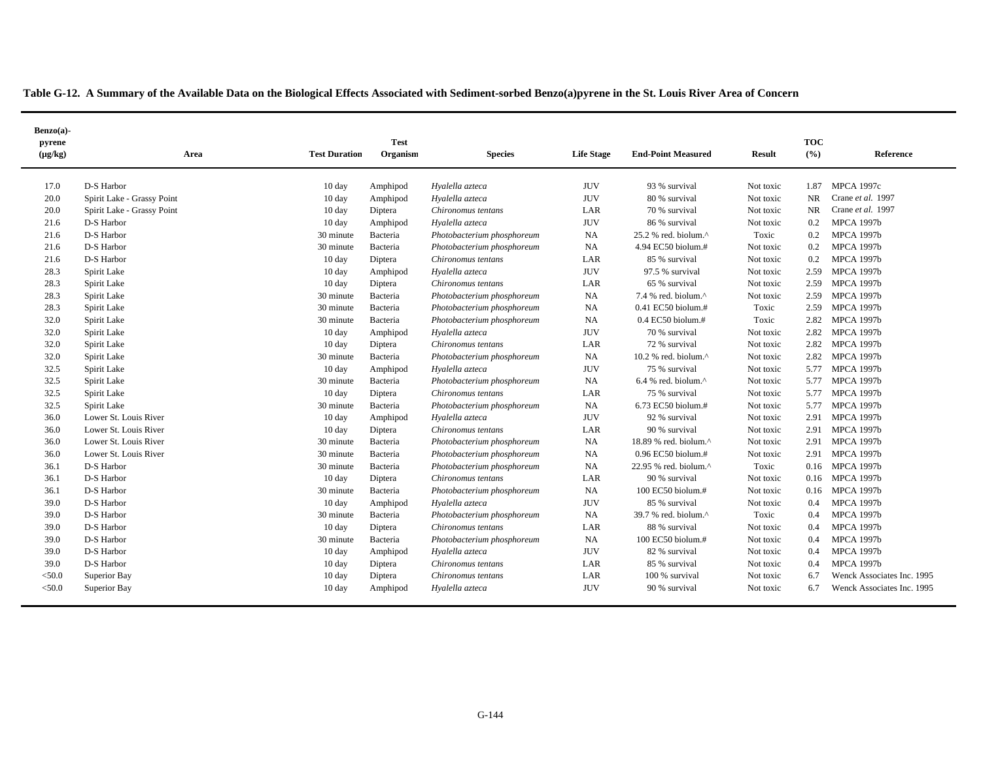| $Benzo(a)$ -<br>pyrene |                            |                      | <b>Test</b> |                            |                   |                                                      |               | <b>TOC</b>    |                            |
|------------------------|----------------------------|----------------------|-------------|----------------------------|-------------------|------------------------------------------------------|---------------|---------------|----------------------------|
| $(\mu g/kg)$           | Area                       | <b>Test Duration</b> | Organism    | <b>Species</b>             | <b>Life Stage</b> | <b>End-Point Measured</b>                            | <b>Result</b> | (9/6)         | Reference                  |
| 17.0                   | D-S Harbor                 | $10 \text{ day}$     | Amphipod    | Hyalella azteca            | <b>JUV</b>        | 93 % survival                                        | Not toxic     | 1.87          | <b>MPCA 1997c</b>          |
| 20.0                   | Spirit Lake - Grassy Point | 10 day               | Amphipod    | Hyalella azteca            | <b>JUV</b>        | 80 % survival                                        | Not toxic     | <b>NR</b>     | Crane et al. 1997          |
| 20.0                   | Spirit Lake - Grassy Point | $10 \text{ day}$     | Diptera     | Chironomus tentans         | LAR               | 70 % survival                                        | Not toxic     | <b>NR</b>     | Crane et al. 1997          |
| 21.6                   | D-S Harbor                 | $10 \text{ day}$     | Amphipod    | Hyalella azteca            | <b>JUV</b>        | 86 % survival                                        | Not toxic     | 0.2           | <b>MPCA 1997b</b>          |
| 21.6                   | D-S Harbor                 | 30 minute            | Bacteria    | Photobacterium phosphoreum | NA                | $25.2$ % red. biolum. <sup><math>\wedge</math></sup> | Toxic         | 0.2           | <b>MPCA 1997b</b>          |
| 21.6                   | D-S Harbor                 | 30 minute            | Bacteria    | Photobacterium phosphoreum | NA                | 4.94 EC50 biolum.#                                   | Not toxic     | 0.2           | <b>MPCA 1997b</b>          |
| 21.6                   | D-S Harbor                 | 10 day               | Diptera     | Chironomus tentans         | LAR               | 85 % survival                                        | Not toxic     | 0.2           | <b>MPCA 1997b</b>          |
| 28.3                   | Spirit Lake                | 10 day               | Amphipod    | Hyalella azteca            | <b>JUV</b>        | 97.5 % survival                                      | Not toxic     | 2.59          | <b>MPCA 1997b</b>          |
| 28.3                   | Spirit Lake                | 10 day               | Diptera     | Chironomus tentans         | LAR               | 65 % survival                                        | Not toxic     | 2.59          | <b>MPCA 1997b</b>          |
| 28.3                   | Spirit Lake                | 30 minute            | Bacteria    | Photobacterium phosphoreum | NA                | 7.4 % red. biolum.^                                  | Not toxic     | 2.59          | <b>MPCA 1997b</b>          |
| 28.3                   | Spirit Lake                | 30 minute            | Bacteria    | Photobacterium phosphoreum | <b>NA</b>         | 0.41 EC50 biolum.#                                   | Toxic         | 2.59          | <b>MPCA 1997b</b>          |
| 32.0                   | Spirit Lake                | 30 minute            | Bacteria    | Photobacterium phosphoreum | NA                | 0.4 EC50 biolum.#                                    | Toxic         | 2.82          | <b>MPCA 1997b</b>          |
| 32.0                   | Spirit Lake                | 10 day               | Amphipod    | Hyalella azteca            | <b>JUV</b>        | 70 % survival                                        | Not toxic     | 2.82          | <b>MPCA 1997b</b>          |
| 32.0                   | Spirit Lake                | $10 \text{ day}$     | Diptera     | Chironomus tentans         | LAR               | 72 % survival                                        | Not toxic     | 2.82          | <b>MPCA 1997b</b>          |
| 32.0                   | Spirit Lake                | 30 minute            | Bacteria    | Photobacterium phosphoreum | NA                | 10.2 % red. biolum. $^{\wedge}$                      | Not toxic     | 2.82          | <b>MPCA 1997b</b>          |
| 32.5                   | Spirit Lake                | 10 day               | Amphipod    | Hyalella azteca            | <b>JUV</b>        | 75 % survival                                        | Not toxic     | 5.77          | <b>MPCA 1997b</b>          |
| 32.5                   | Spirit Lake                | 30 minute            | Bacteria    | Photobacterium phosphoreum | NA                | $6.4$ % red. biolum. <sup><math>\land</math></sup>   | Not toxic     | 5.77          | <b>MPCA 1997b</b>          |
| 32.5                   | Spirit Lake                | 10 day               | Diptera     | Chironomus tentans         | LAR               | 75 % survival                                        | Not toxic     | 5.77          | <b>MPCA 1997b</b>          |
| 32.5                   | Spirit Lake                | 30 minute            | Bacteria    | Photobacterium phosphoreum | NA                | 6.73 EC50 biolum.#                                   | Not toxic     | 5.77          | <b>MPCA 1997b</b>          |
| 36.0                   | Lower St. Louis River      | 10 day               | Amphipod    | Hyalella azteca            | <b>JUV</b>        | 92 % survival                                        | Not toxic     | 2.91          | <b>MPCA 1997b</b>          |
| 36.0                   | Lower St. Louis River      | 10 day               | Diptera     | Chironomus tentans         | LAR               | 90 % survival                                        | Not toxic     | 2.91          | <b>MPCA 1997b</b>          |
| 36.0                   | Lower St. Louis River      | 30 minute            | Bacteria    | Photobacterium phosphoreum | NA                | 18.89 % red. biolum.^                                | Not toxic     | 2.91          | <b>MPCA 1997b</b>          |
| 36.0                   | Lower St. Louis River      | 30 minute            | Bacteria    | Photobacterium phosphoreum | NA                | $0.96$ EC50 biolum.#                                 | Not toxic     | 2.91          | <b>MPCA 1997b</b>          |
| 36.1                   | D-S Harbor                 | 30 minute            | Bacteria    | Photobacterium phosphoreum | NA                | 22.95 % red. biolum.^                                | Toxic         | 0.16          | <b>MPCA 1997b</b>          |
| 36.1                   | D-S Harbor                 | 10 day               | Diptera     | Chironomus tentans         | LAR               | 90 % survival                                        | Not toxic     | 0.16          | <b>MPCA 1997b</b>          |
| 36.1                   | D-S Harbor                 | 30 minute            | Bacteria    | Photobacterium phosphoreum | NA                | 100 EC50 biolum.#                                    | Not toxic     |               | 0.16 MPCA 1997b            |
| 39.0                   | D-S Harbor                 | 10 day               | Amphipod    | Hyalella azteca            | <b>JUV</b>        | 85 % survival                                        | Not toxic     | $0.4^{\circ}$ | <b>MPCA 1997b</b>          |
| 39.0                   | D-S Harbor                 | 30 minute            | Bacteria    | Photobacterium phosphoreum | <b>NA</b>         | 39.7 % red. biolum.^                                 | Toxic         | 0.4           | <b>MPCA 1997b</b>          |
| 39.0                   | D-S Harbor                 | 10 day               | Diptera     | Chironomus tentans         | LAR               | 88 % survival                                        | Not toxic     | 0.4           | <b>MPCA 1997b</b>          |
| 39.0                   | D-S Harbor                 | 30 minute            | Bacteria    | Photobacterium phosphoreum | <b>NA</b>         | 100 EC50 biolum.#                                    | Not toxic     | 0.4           | <b>MPCA 1997b</b>          |
| 39.0                   | D-S Harbor                 | $10 \text{ day}$     | Amphipod    | Hyalella azteca            | <b>JUV</b>        | 82 % survival                                        | Not toxic     | 0.4           | <b>MPCA 1997b</b>          |
| 39.0                   | D-S Harbor                 | 10 day               | Diptera     | Chironomus tentans         | LAR               | 85 % survival                                        | Not toxic     | 0.4           | <b>MPCA 1997b</b>          |
| $<$ 50.0               | Superior Bay               | $10 \text{ day}$     | Diptera     | Chironomus tentans         | LAR               | 100 % survival                                       | Not toxic     | 6.7           | Wenck Associates Inc. 1995 |
| $<$ 50.0               | Superior Bay               | $10 \text{ day}$     | Amphipod    | Hyalella azteca            | <b>JUV</b>        | 90 % survival                                        | Not toxic     | 6.7           | Wenck Associates Inc. 1995 |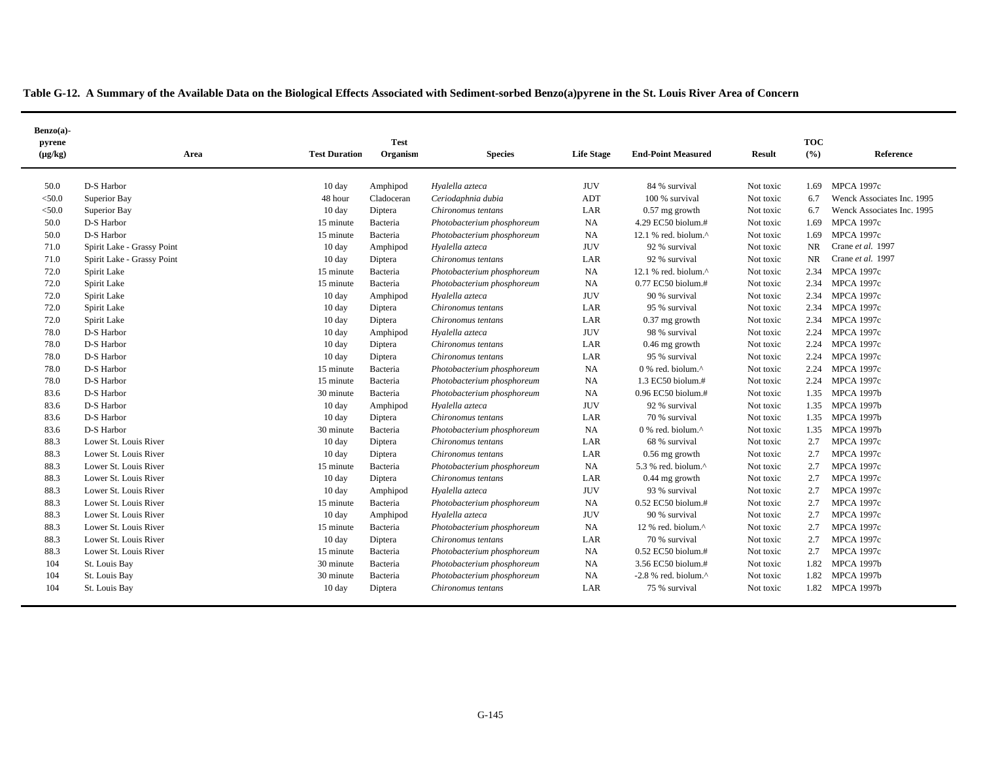| $Benzo(a)$ -<br>pyrene |                            |                      | <b>Test</b>         |                            |                   |                                        |                        | <b>TOC</b> |                                                          |
|------------------------|----------------------------|----------------------|---------------------|----------------------------|-------------------|----------------------------------------|------------------------|------------|----------------------------------------------------------|
| $(\mu g/kg)$           | Area                       | <b>Test Duration</b> | Organism            | <b>Species</b>             | <b>Life Stage</b> | <b>End-Point Measured</b>              | <b>Result</b>          | (9/6)      | Reference                                                |
|                        |                            |                      |                     |                            |                   |                                        |                        |            |                                                          |
| 50.0                   | D-S Harbor                 | 10 day               | Amphipod            | Hyalella azteca            | <b>JUV</b><br>ADT | 84 % survival<br>100 % survival        | Not toxic              | 1.69       | <b>MPCA 1997c</b>                                        |
| $<$ 50.0               | Superior Bay               | 48 hour              | Cladoceran          | Ceriodaphnia dubia         |                   |                                        | Not toxic              | 6.7<br>6.7 | Wenck Associates Inc. 1995<br>Wenck Associates Inc. 1995 |
| < 50.0<br>50.0         | Superior Bay<br>D-S Harbor | 10 day<br>15 minute  | Diptera<br>Bacteria | Chironomus tentans         | LAR<br><b>NA</b>  | $0.57$ mg growth<br>4.29 EC50 biolum.# | Not toxic<br>Not toxic | 1.69       | <b>MPCA 1997c</b>                                        |
|                        |                            |                      |                     | Photobacterium phosphoreum | <b>NA</b>         |                                        |                        |            |                                                          |
| 50.0                   | D-S Harbor                 | 15 minute            | Bacteria            | Photobacterium phosphoreum |                   | 12.1 % red. biolum.^                   | Not toxic              | 1.69       | <b>MPCA 1997c</b><br>Crane et al. 1997                   |
| 71.0                   | Spirit Lake - Grassy Point | 10 day               | Amphipod            | Hyalella azteca            | <b>JUV</b>        | 92 % survival                          | Not toxic              | <b>NR</b>  | Crane et al. 1997                                        |
| 71.0                   | Spirit Lake - Grassy Point | 10 day               | Diptera             | Chironomus tentans         | LAR               | 92 % survival                          | Not toxic              | <b>NR</b>  |                                                          |
| 72.0                   | Spirit Lake                | 15 minute            | Bacteria            | Photobacterium phosphoreum | <b>NA</b>         | 12.1 % red. biolum.^                   | Not toxic              | 2.34       | <b>MPCA 1997c</b>                                        |
| 72.0                   | Spirit Lake                | 15 minute            | Bacteria            | Photobacterium phosphoreum | <b>NA</b>         | 0.77 EC50 biolum.#                     | Not toxic              | 2.34       | <b>MPCA 1997c</b>                                        |
| 72.0                   | Spirit Lake                | 10 day               | Amphipod            | Hyalella azteca            | <b>JUV</b>        | 90 % survival                          | Not toxic              | 2.34       | MPCA 1997c                                               |
| 72.0                   | Spirit Lake                | $10 \text{ day}$     | Diptera             | Chironomus tentans         | LAR               | 95 % survival                          | Not toxic              | 2.34       | <b>MPCA 1997c</b>                                        |
| 72.0                   | Spirit Lake                | $10 \text{ day}$     | Diptera             | Chironomus tentans         | LAR               | $0.37$ mg growth                       | Not toxic              | 2.34       | <b>MPCA 1997c</b>                                        |
| 78.0                   | D-S Harbor                 | $10 \text{ day}$     | Amphipod            | Hyalella azteca            | <b>JUV</b>        | 98 % survival                          | Not toxic              | 2.24       | <b>MPCA 1997c</b>                                        |
| 78.0                   | D-S Harbor                 | 10 day               | Diptera             | Chironomus tentans         | LAR               | $0.46$ mg growth                       | Not toxic              | 2.24       | <b>MPCA 1997c</b>                                        |
| 78.0                   | D-S Harbor                 | $10 \text{ day}$     | Diptera             | Chironomus tentans         | LAR               | 95 % survival                          | Not toxic              | 2.24       | <b>MPCA 1997c</b>                                        |
| 78.0                   | D-S Harbor                 | 15 minute            | Bacteria            | Photobacterium phosphoreum | <b>NA</b>         | $0$ % red. biolum. $^{\wedge}$         | Not toxic              | 2.24       | <b>MPCA 1997c</b>                                        |
| 78.0                   | D-S Harbor                 | 15 minute            | Bacteria            | Photobacterium phosphoreum | <b>NA</b>         | 1.3 EC50 biolum.#                      | Not toxic              | 2.24       | <b>MPCA 1997c</b>                                        |
| 83.6                   | D-S Harbor                 | 30 minute            | Bacteria            | Photobacterium phosphoreum | <b>NA</b>         | 0.96 EC50 biolum.#                     | Not toxic              | 1.35       | <b>MPCA 1997b</b>                                        |
| 83.6                   | D-S Harbor                 | 10 day               | Amphipod            | Hyalella azteca            | <b>JUV</b>        | 92 % survival                          | Not toxic              | 1.35       | <b>MPCA 1997b</b>                                        |
| 83.6                   | D-S Harbor                 | 10 day               | Diptera             | Chironomus tentans         | LAR               | 70 % survival                          | Not toxic              |            | 1.35 MPCA 1997b                                          |
| 83.6                   | D-S Harbor                 | 30 minute            | Bacteria            | Photobacterium phosphoreum | <b>NA</b>         | 0 % red. biolum.^                      | Not toxic              | 1.35       | <b>MPCA 1997b</b>                                        |
| 88.3                   | Lower St. Louis River      | 10 day               | Diptera             | Chironomus tentans         | LAR               | 68 % survival                          | Not toxic              | 2.7        | <b>MPCA 1997c</b>                                        |
| 88.3                   | Lower St. Louis River      | 10 day               | Diptera             | Chironomus tentans         | LAR               | 0.56 mg growth                         | Not toxic              | 2.7        | <b>MPCA 1997c</b>                                        |
| 88.3                   | Lower St. Louis River      | 15 minute            | Bacteria            | Photobacterium phosphoreum | <b>NA</b>         | 5.3 % red. biolum. $\wedge$            | Not toxic              | 2.7        | <b>MPCA 1997c</b>                                        |
| 88.3                   | Lower St. Louis River      | $10 \text{ day}$     | Diptera             | Chironomus tentans         | LAR               | 0.44 mg growth                         | Not toxic              | 2.7        | <b>MPCA 1997c</b>                                        |
| 88.3                   | Lower St. Louis River      | 10 day               | Amphipod            | Hyalella azteca            | <b>JUV</b>        | 93 % survival                          | Not toxic              | 2.7        | <b>MPCA 1997c</b>                                        |
| 88.3                   | Lower St. Louis River      | 15 minute            | Bacteria            | Photobacterium phosphoreum | NA                | $0.52$ EC50 biolum.#                   | Not toxic              | 2.7        | <b>MPCA 1997c</b>                                        |
| 88.3                   | Lower St. Louis River      | 10 day               | Amphipod            | Hyalella azteca            | <b>JUV</b>        | 90 % survival                          | Not toxic              | 2.7        | <b>MPCA 1997c</b>                                        |
| 88.3                   | Lower St. Louis River      | 15 minute            | Bacteria            | Photobacterium phosphoreum | NA                | 12 % red. biolum.^                     | Not toxic              | 2.7        | <b>MPCA 1997c</b>                                        |
| 88.3                   | Lower St. Louis River      | 10 day               | Diptera             | Chironomus tentans         | LAR               | 70 % survival                          | Not toxic              | 2.7        | <b>MPCA 1997c</b>                                        |
| 88.3                   | Lower St. Louis River      | 15 minute            | Bacteria            | Photobacterium phosphoreum | <b>NA</b>         | 0.52 EC50 biolum.#                     | Not toxic              | 2.7        | <b>MPCA 1997c</b>                                        |
| 104                    | St. Louis Bay              | 30 minute            | Bacteria            | Photobacterium phosphoreum | <b>NA</b>         | 3.56 EC50 biolum.#                     | Not toxic              | 1.82       | <b>MPCA 1997b</b>                                        |
| 104                    | St. Louis Bay              | 30 minute            | Bacteria            | Photobacterium phosphoreum | <b>NA</b>         | $-2.8$ % red. biolum. $^{\wedge}$      | Not toxic              | 1.82       | <b>MPCA 1997b</b>                                        |
| 104                    | St. Louis Bay              | 10 day               | Diptera             | Chironomus tentans         | LAR               | 75 % survival                          | Not toxic              |            | 1.82 MPCA 1997b                                          |
|                        |                            |                      |                     |                            |                   |                                        |                        |            |                                                          |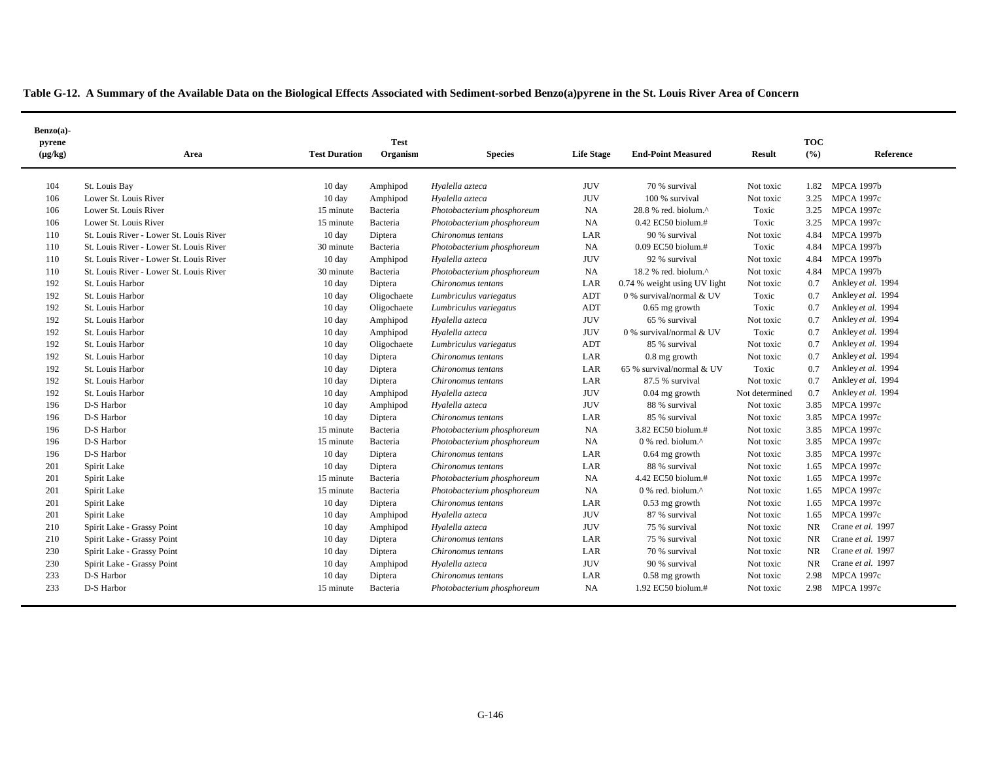| $Benzo(a)$ -<br>pyrene<br>$(\mu g/kg)$ | Area                                    | <b>Test Duration</b> | <b>Test</b><br>Organism | <b>Species</b>             | <b>Life Stage</b> | <b>End-Point Measured</b>                         | <b>Result</b>  | <b>TOC</b><br>(%) | Reference          |
|----------------------------------------|-----------------------------------------|----------------------|-------------------------|----------------------------|-------------------|---------------------------------------------------|----------------|-------------------|--------------------|
|                                        |                                         |                      |                         |                            |                   |                                                   |                |                   |                    |
| 104                                    | St. Louis Bay                           | 10 day               | Amphipod                | Hyalella azteca            | <b>JUV</b>        | 70 % survival                                     | Not toxic      | 1.82              | <b>MPCA 1997b</b>  |
| 106                                    | Lower St. Louis River                   | 10 day               | Amphipod                | Hyalella azteca            | <b>JUV</b>        | 100 % survival                                    | Not toxic      | 3.25              | <b>MPCA 1997c</b>  |
| 106                                    | Lower St. Louis River                   | 15 minute            | Bacteria                | Photobacterium phosphoreum | <b>NA</b>         | 28.8 % red. biolum.^                              | Toxic          | 3.25              | <b>MPCA 1997c</b>  |
| 106                                    | Lower St. Louis River                   | 15 minute            | Bacteria                | Photobacterium phosphoreum | <b>NA</b>         | $0.42$ EC50 biolum.#                              | Toxic          | 3.25              | <b>MPCA 1997c</b>  |
| 110                                    | St. Louis River - Lower St. Louis River | 10 day               | Diptera                 | Chironomus tentans         | LAR               | 90 % survival                                     | Not toxic      | 4.84              | <b>MPCA 1997b</b>  |
| 110                                    | St. Louis River - Lower St. Louis River | 30 minute            | Bacteria                | Photobacterium phosphoreum | <b>NA</b>         | $0.09$ EC50 biolum.#                              | Toxic          | 4.84              | <b>MPCA 1997b</b>  |
| 110                                    | St. Louis River - Lower St. Louis River | 10 day               | Amphipod                | Hyalella azteca            | <b>JUV</b>        | 92 % survival                                     | Not toxic      | 4.84              | <b>MPCA 1997b</b>  |
| 110                                    | St. Louis River - Lower St. Louis River | 30 minute            | Bacteria                | Photobacterium phosphoreum | NA                | 18.2 % red. biolum.^                              | Not toxic      | 4.84              | <b>MPCA 1997b</b>  |
| 192                                    | St. Louis Harbor                        | $10 \text{ day}$     | Diptera                 | Chironomus tentans         | LAR               | 0.74 % weight using UV light                      | Not toxic      | 0.7               | Ankley et al. 1994 |
| 192                                    | St. Louis Harbor                        | $10 \text{ day}$     | Oligochaete             | Lumbriculus variegatus     | ADT               | 0 % survival/normal & UV                          | Toxic          | 0.7               | Ankley et al. 1994 |
| 192                                    | St. Louis Harbor                        | $10 \text{ day}$     | Oligochaete             | Lumbriculus variegatus     | ADT               | $0.65$ mg growth                                  | Toxic          | 0.7               | Ankley et al. 1994 |
| 192                                    | St. Louis Harbor                        | 10 day               | Amphipod                | Hyalella azteca            | <b>JUV</b>        | 65 % survival                                     | Not toxic      | 0.7               | Ankley et al. 1994 |
| 192                                    | St. Louis Harbor                        | 10 day               | Amphipod                | Hyalella azteca            | <b>JUV</b>        | 0 % survival/normal & UV                          | Toxic          | 0.7               | Ankley et al. 1994 |
| 192                                    | St. Louis Harbor                        | $10 \text{ day}$     | Oligochaete             | Lumbriculus variegatus     | ADT               | 85 % survival                                     | Not toxic      | 0.7               | Ankley et al. 1994 |
| 192                                    | St. Louis Harbor                        | 10 day               | Diptera                 | Chironomus tentans         | LAR               | $0.8$ mg growth                                   | Not toxic      | 0.7               | Ankley et al. 1994 |
| 192                                    | St. Louis Harbor                        | $10 \text{ day}$     | Diptera                 | Chironomus tentans         | LAR               | 65 % survival/normal & UV                         | Toxic          | 0.7               | Ankley et al. 1994 |
| 192                                    | St. Louis Harbor                        | 10 day               | Diptera                 | Chironomus tentans         | LAR               | 87.5 % survival                                   | Not toxic      | 0.7               | Ankley et al. 1994 |
| 192                                    | St. Louis Harbor                        | $10 \text{ day}$     | Amphipod                | Hyalella azteca            | <b>JUV</b>        | $0.04$ mg growth                                  | Not determined | 0.7               | Ankley et al. 1994 |
| 196                                    | D-S Harbor                              | $10 \text{ day}$     | Amphipod                | Hyalella azteca            | <b>JUV</b>        | 88 % survival                                     | Not toxic      | 3.85              | <b>MPCA 1997c</b>  |
| 196                                    | D-S Harbor                              | $10 \text{ day}$     | Diptera                 | Chironomus tentans         | LAR               | 85 % survival                                     | Not toxic      | 3.85              | <b>MPCA 1997c</b>  |
| 196                                    | D-S Harbor                              | 15 minute            | Bacteria                | Photobacterium phosphoreum | <b>NA</b>         | 3.82 EC50 biolum.#                                | Not toxic      | 3.85              | <b>MPCA 1997c</b>  |
| 196                                    | D-S Harbor                              | 15 minute            | Bacteria                | Photobacterium phosphoreum | <b>NA</b>         | $0\%$ red. biolum. <sup><math>\wedge</math></sup> | Not toxic      | 3.85              | <b>MPCA 1997c</b>  |
| 196                                    | D-S Harbor                              | $10 \text{ day}$     | Diptera                 | Chironomus tentans         | LAR               | $0.64$ mg growth                                  | Not toxic      | 3.85              | <b>MPCA 1997c</b>  |
| 201                                    | Spirit Lake                             | 10 day               | Diptera                 | Chironomus tentans         | LAR               | 88 % survival                                     | Not toxic      | 1.65              | <b>MPCA 1997c</b>  |
| 201                                    | Spirit Lake                             | 15 minute            | Bacteria                | Photobacterium phosphoreum | <b>NA</b>         | 4.42 EC50 biolum.#                                | Not toxic      | 1.65              | <b>MPCA 1997c</b>  |
| 201                                    | Spirit Lake                             | 15 minute            | Bacteria                | Photobacterium phosphoreum | <b>NA</b>         | $0$ % red. biolum. $^{\wedge}$                    | Not toxic      | 1.65              | <b>MPCA 1997c</b>  |
| 201                                    | Spirit Lake                             | $10 \text{ day}$     | Diptera                 | Chironomus tentans         | LAR               | $0.53$ mg growth                                  | Not toxic      | 1.65              | <b>MPCA 1997c</b>  |
| 201                                    | Spirit Lake                             | 10 day               | Amphipod                | Hyalella azteca            | <b>JUV</b>        | 87 % survival                                     | Not toxic      | 1.65              | <b>MPCA 1997c</b>  |
| 210                                    | Spirit Lake - Grassy Point              | $10 \text{ day}$     | Amphipod                | Hyalella azteca            | <b>JUV</b>        | 75 % survival                                     | Not toxic      | NR.               | Crane et al. 1997  |
| 210                                    | Spirit Lake - Grassy Point              | 10 day               | Diptera                 | Chironomus tentans         | LAR               | 75 % survival                                     | Not toxic      | NR.               | Crane et al. 1997  |
| 230                                    | Spirit Lake - Grassy Point              | $10 \text{ day}$     | Diptera                 | Chironomus tentans         | LAR               | 70 % survival                                     | Not toxic      | NR.               | Crane et al. 1997  |
| 230                                    | Spirit Lake - Grassy Point              | $10 \text{ day}$     | Amphipod                | Hyalella azteca            | <b>JUV</b>        | 90 % survival                                     | Not toxic      | NR                | Crane et al. 1997  |
| 233                                    | D-S Harbor                              | 10 day               | Diptera                 | Chironomus tentans         | LAR               | $0.58$ mg growth                                  | Not toxic      | 2.98              | <b>MPCA 1997c</b>  |
| 233                                    | D-S Harbor                              | 15 minute            | Bacteria                | Photobacterium phosphoreum | <b>NA</b>         | 1.92 EC50 biolum.#                                | Not toxic      | 2.98              | <b>MPCA 1997c</b>  |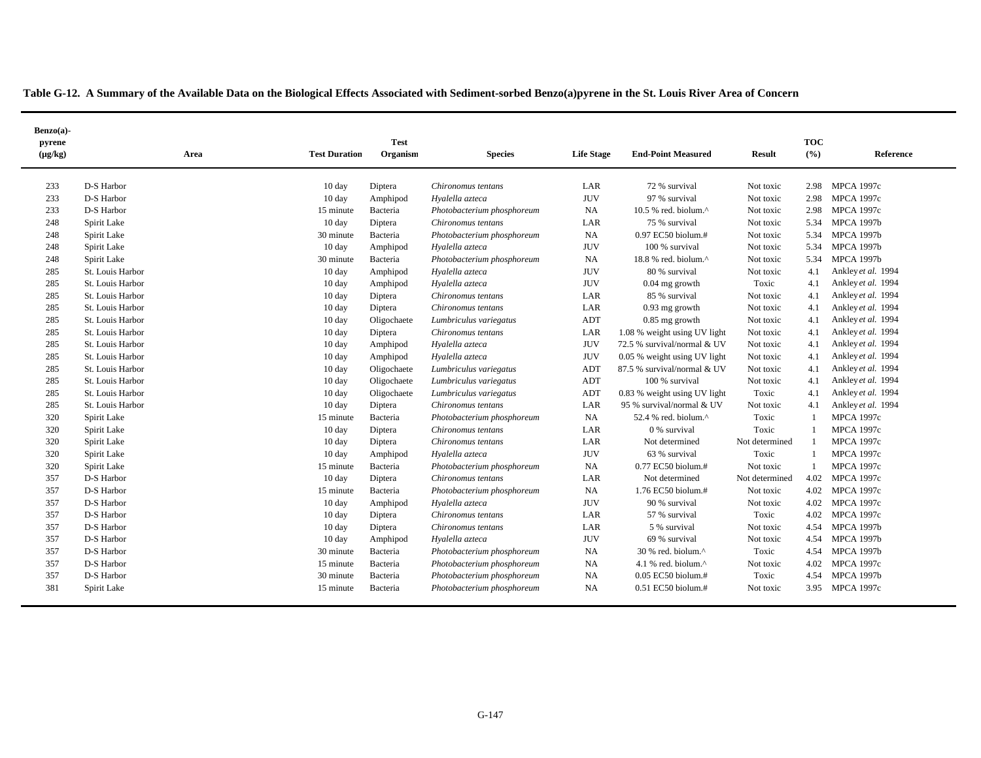| $Benzo(a)$ -           |                  |                      |                         |                            |                   |                                   | <b>TOC</b>     |              |                    |  |
|------------------------|------------------|----------------------|-------------------------|----------------------------|-------------------|-----------------------------------|----------------|--------------|--------------------|--|
| pyrene<br>$(\mu g/kg)$ | Area             | <b>Test Duration</b> | <b>Test</b><br>Organism | <b>Species</b>             | <b>Life Stage</b> | <b>End-Point Measured</b>         | <b>Result</b>  | (%)          | Reference          |  |
| 233                    | D-S Harbor       | 10 day               | Diptera                 | Chironomus tentans         | LAR               | 72 % survival                     | Not toxic      | 2.98         | <b>MPCA 1997c</b>  |  |
| 233                    | D-S Harbor       | 10 day               | Amphipod                | Hyalella azteca            | <b>JUV</b>        | 97 % survival                     | Not toxic      | 2.98         | <b>MPCA 1997c</b>  |  |
| 233                    | D-S Harbor       | 15 minute            | Bacteria                | Photobacterium phosphoreum | <b>NA</b>         | 10.5 % red. biolum.^              | Not toxic      | 2.98         | <b>MPCA 1997c</b>  |  |
| 248                    | Spirit Lake      | 10 day               | Diptera                 | Chironomus tentans         | LAR               | 75 % survival                     | Not toxic      | 5.34         | <b>MPCA 1997b</b>  |  |
| 248                    | Spirit Lake      | 30 minute            | Bacteria                | Photobacterium phosphoreum | NA                | $0.97$ EC50 biolum.#              | Not toxic      | 5.34         | <b>MPCA 1997b</b>  |  |
| 248                    | Spirit Lake      | $10 \text{ day}$     | Amphipod                | Hyalella azteca            | <b>JUV</b>        | 100 % survival                    | Not toxic      | 5.34         | <b>MPCA 1997b</b>  |  |
| 248                    | Spirit Lake      | 30 minute            | Bacteria                | Photobacterium phosphoreum | <b>NA</b>         | $18.8$ % red. biolum. $^{\wedge}$ | Not toxic      | 5.34         | <b>MPCA 1997b</b>  |  |
| 285                    | St. Louis Harbor | $10 \text{ day}$     | Amphipod                | Hyalella azteca            | <b>JUV</b>        | 80 % survival                     | Not toxic      | 4.1          | Ankley et al. 1994 |  |
| 285                    | St. Louis Harbor | $10 \text{ day}$     | Amphipod                | Hyalella azteca            | <b>JUV</b>        | $0.04$ mg growth                  | Toxic          | 4.1          | Ankley et al. 1994 |  |
| 285                    | St. Louis Harbor | 10 day               | Diptera                 | Chironomus tentans         | LAR               | 85 % survival                     | Not toxic      | 4.1          | Ankley et al. 1994 |  |
| 285                    | St. Louis Harbor | 10 day               | Diptera                 | Chironomus tentans         | LAR               | $0.93$ mg growth                  | Not toxic      | 4.1          | Ankley et al. 1994 |  |
| 285                    | St. Louis Harbor | 10 day               | Oligochaete             | Lumbriculus variegatus     | ADT               | $0.85$ mg growth                  | Not toxic      | 4.1          | Ankley et al. 1994 |  |
| 285                    | St. Louis Harbor | 10 day               | Diptera                 | Chironomus tentans         | LAR               | 1.08 % weight using UV light      | Not toxic      | 4.1          | Ankley et al. 1994 |  |
| 285                    | St. Louis Harbor | 10 day               | Amphipod                | Hyalella azteca            | <b>JUV</b>        | 72.5 % survival/normal & UV       | Not toxic      | 4.1          | Ankley et al. 1994 |  |
| 285                    | St. Louis Harbor | 10 day               | Amphipod                | Hyalella azteca            | <b>JUV</b>        | 0.05 % weight using UV light      | Not toxic      | 4.1          | Ankley et al. 1994 |  |
| 285                    | St. Louis Harbor | 10 day               | Oligochaete             | Lumbriculus variegatus     | ADT               | 87.5 % survival/normal & UV       | Not toxic      | 4.1          | Ankley et al. 1994 |  |
| 285                    | St. Louis Harbor | 10 day               | Oligochaete             | Lumbriculus variegatus     | ADT               | 100 % survival                    | Not toxic      | 4.1          | Ankley et al. 1994 |  |
| 285                    | St. Louis Harbor | 10 day               | Oligochaete             | Lumbriculus variegatus     | <b>ADT</b>        | 0.83 % weight using UV light      | Toxic          | 4.1          | Ankley et al. 1994 |  |
| 285                    | St. Louis Harbor | 10 day               | Diptera                 | Chironomus tentans         | LAR               | 95 % survival/normal & UV         | Not toxic      | 4.1          | Ankley et al. 1994 |  |
| 320                    | Spirit Lake      | 15 minute            | Bacteria                | Photobacterium phosphoreum | <b>NA</b>         | 52.4 % red. biolum.^              | Toxic          | $\mathbf{1}$ | <b>MPCA 1997c</b>  |  |
| 320                    | Spirit Lake      | $10 \text{ day}$     | Diptera                 | Chironomus tentans         | LAR               | 0 % survival                      | Toxic          | 1            | <b>MPCA 1997c</b>  |  |
| 320                    | Spirit Lake      | $10 \text{ day}$     | Diptera                 | Chironomus tentans         | LAR               | Not determined                    | Not determined | -1           | <b>MPCA 1997c</b>  |  |
| 320                    | Spirit Lake      | 10 day               | Amphipod                | Hyalella azteca            | <b>JUV</b>        | 63 % survival                     | Toxic          | 1            | <b>MPCA 1997c</b>  |  |
| 320                    | Spirit Lake      | 15 minute            | Bacteria                | Photobacterium phosphoreum | NA                | 0.77 EC50 biolum.#                | Not toxic      | $\mathbf{1}$ | <b>MPCA 1997c</b>  |  |
| 357                    | D-S Harbor       | 10 day               | Diptera                 | Chironomus tentans         | LAR               | Not determined                    | Not determined | 4.02         | <b>MPCA 1997c</b>  |  |
| 357                    | D-S Harbor       | 15 minute            | Bacteria                | Photobacterium phosphoreum | NA                | 1.76 EC50 biolum.#                | Not toxic      | 4.02         | <b>MPCA 1997c</b>  |  |
| 357                    | D-S Harbor       | $10 \text{ day}$     | Amphipod                | Hyalella azteca            | <b>JUV</b>        | 90 % survival                     | Not toxic      | 4.02         | <b>MPCA 1997c</b>  |  |
| 357                    | D-S Harbor       | 10 day               | Diptera                 | Chironomus tentans         | LAR               | 57 % survival                     | Toxic          | 4.02         | <b>MPCA 1997c</b>  |  |
| 357                    | D-S Harbor       | 10 day               | Diptera                 | Chironomus tentans         | LAR               | 5 % survival                      | Not toxic      | 4.54         | <b>MPCA 1997b</b>  |  |
| 357                    | D-S Harbor       | 10 day               | Amphipod                | Hyalella azteca            | <b>JUV</b>        | 69 % survival                     | Not toxic      | 4.54         | <b>MPCA 1997b</b>  |  |
| 357                    | D-S Harbor       | 30 minute            | Bacteria                | Photobacterium phosphoreum | <b>NA</b>         | 30 % red. biolum.^                | Toxic          | 4.54         | <b>MPCA 1997b</b>  |  |
| 357                    | D-S Harbor       | 15 minute            | Bacteria                | Photobacterium phosphoreum | <b>NA</b>         | 4.1 % red. biolum.^               | Not toxic      | 4.02         | <b>MPCA 1997c</b>  |  |
| 357                    | D-S Harbor       | 30 minute            | Bacteria                | Photobacterium phosphoreum | <b>NA</b>         | 0.05 EC50 biolum.#                | Toxic          | 4.54         | <b>MPCA 1997b</b>  |  |
| 381                    | Spirit Lake      | 15 minute            | Bacteria                | Photobacterium phosphoreum | <b>NA</b>         | $0.51$ EC50 biolum.#              | Not toxic      |              | 3.95 MPCA 1997c    |  |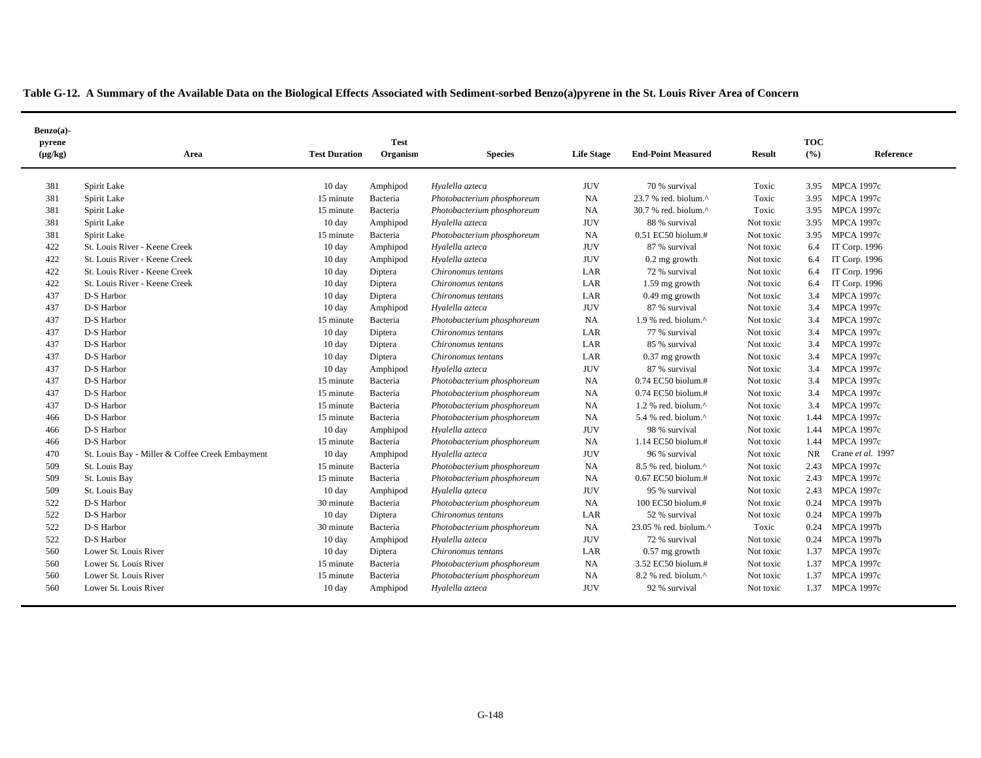|  | Table G-12. A Summary of the Available Data on the Biological Effects Associated with Sediment-sorbed Benzo(a)pyrene in the St. Louis River Area of Concern |  |
|--|-------------------------------------------------------------------------------------------------------------------------------------------------------------|--|
|  |                                                                                                                                                             |  |

| Benzo(a)-              |                                                 |                      |                         |                            |                   |                                  |               |                     |                   |
|------------------------|-------------------------------------------------|----------------------|-------------------------|----------------------------|-------------------|----------------------------------|---------------|---------------------|-------------------|
| pyrene<br>$(\mu g/kg)$ | Area                                            | <b>Test Duration</b> | <b>Test</b><br>Organism | <b>Species</b>             | <b>Life Stage</b> | <b>End-Point Measured</b>        | <b>Result</b> | <b>TOC</b><br>(°/0) | Reference         |
| 381                    | Spirit Lake                                     | 10 day               | Amphipod                | Hyalella azteca            | <b>JUV</b>        | 70 % survival                    | Toxic         | 3.95                | <b>MPCA 1997c</b> |
| 381                    | Spirit Lake                                     | 15 minute            | Bacteria                | Photobacterium phosphoreum | NA                | 23.7 % red. biolum.^             | Toxic         | 3.95                | <b>MPCA 1997c</b> |
| 381                    | Spirit Lake                                     | 15 minute            | Bacteria                | Photobacterium phosphoreum | <b>NA</b>         | 30.7 % red. biolum.^             | Toxic         | 3.95                | <b>MPCA 1997c</b> |
| 381                    | Spirit Lake                                     | 10 day               | Amphipod                | Hyalella azteca            | <b>JUV</b>        | 88 % survival                    | Not toxic     | 3.95                | <b>MPCA 1997c</b> |
| 381                    | Spirit Lake                                     | 15 minute            | Bacteria                | Photobacterium phosphoreum | <b>NA</b>         | 0.51 EC50 biolum.#               | Not toxic     | 3.95                | <b>MPCA 1997c</b> |
| 422                    | St. Louis River - Keene Creek                   | 10 day               | Amphipod                | Hyalella azteca            | <b>JUV</b>        | 87 % survival                    | Not toxic     | 6.4                 | IT Corp. 1996     |
| 422                    | St. Louis River - Keene Creek                   | $10 \text{ day}$     | Amphipod                | Hyalella azteca            | <b>JUV</b>        | 0.2 mg growth                    | Not toxic     | 6.4                 | IT Corp. 1996     |
| 422                    | St. Louis River - Keene Creek                   | $10 \text{ day}$     | Diptera                 | Chironomus tentans         | LAR               | 72 % survival                    | Not toxic     | 6.4                 | IT Corp. 1996     |
| 422                    | St. Louis River - Keene Creek                   | 10 day               | Diptera                 | Chironomus tentans         | LAR               | 1.59 mg growth                   | Not toxic     | 6.4                 | IT Corp. 1996     |
| 437                    | D-S Harbor                                      | 10 day               | Diptera                 | Chironomus tentans         | LAR               | 0.49 mg growth                   | Not toxic     | 3.4                 | <b>MPCA 1997c</b> |
| 437                    | D-S Harbor                                      | 10 day               | Amphipod                | Hyalella azteca            | <b>JUV</b>        | 87 % survival                    | Not toxic     | 3.4                 | <b>MPCA 1997c</b> |
| 437                    | D-S Harbor                                      | 15 minute            | Bacteria                | Photobacterium phosphoreum | <b>NA</b>         | 1.9 % red. biolum.^              | Not toxic     | 3.4                 | <b>MPCA 1997c</b> |
| 437                    | D-S Harbor                                      | 10 day               | Diptera                 | Chironomus tentans         | LAR               | 77 % survival                    | Not toxic     | 3.4                 | <b>MPCA 1997c</b> |
| 437                    | D-S Harbor                                      | $10 \text{ day}$     | Diptera                 | Chironomus tentans         | LAR               | 85 % survival                    | Not toxic     | 3.4                 | <b>MPCA 1997c</b> |
| 437                    | D-S Harbor                                      | $10 \text{ day}$     | Diptera                 | Chironomus tentans         | LAR               | $0.37$ mg growth                 | Not toxic     | 3.4                 | <b>MPCA 1997c</b> |
| 437                    | D-S Harbor                                      | $10 \text{ day}$     | Amphipod                | Hyalella azteca            | <b>JUV</b>        | 87 % survival                    | Not toxic     | 3.4                 | <b>MPCA 1997c</b> |
| 437                    | D-S Harbor                                      | 15 minute            | Bacteria                | Photobacterium phosphoreum | NA                | $0.74$ EC50 biolum.#             | Not toxic     | 3.4                 | <b>MPCA 1997c</b> |
| 437                    | D-S Harbor                                      | 15 minute            | Bacteria                | Photobacterium phosphoreum | <b>NA</b>         | 0.74 EC50 biolum.#               | Not toxic     | 3.4                 | <b>MPCA 1997c</b> |
| 437                    | D-S Harbor                                      | 15 minute            | Bacteria                | Photobacterium phosphoreum | <b>NA</b>         | 1.2 % red. biolum.^              | Not toxic     | 3.4                 | <b>MPCA 1997c</b> |
| 466                    | D-S Harbor                                      | 15 minute            | Bacteria                | Photobacterium phosphoreum | <b>NA</b>         | 5.4 % red. biolum.^              | Not toxic     | 1.44                | <b>MPCA 1997c</b> |
| 466                    | D-S Harbor                                      | 10 day               | Amphipod                | Hyalella azteca            | <b>JUV</b>        | 98 % survival                    | Not toxic     | 1.44                | <b>MPCA 1997c</b> |
| 466                    | D-S Harbor                                      | 15 minute            | Bacteria                | Photobacterium phosphoreum | NA                | $1.14$ EC50 biolum.#             | Not toxic     | 1.44                | <b>MPCA 1997c</b> |
| 470                    | St. Louis Bay - Miller & Coffee Creek Embayment | 10 day               | Amphipod                | Hyalella azteca            | <b>JUV</b>        | 96 % survival                    | Not toxic     | <b>NR</b>           | Crane et al. 1997 |
| 509                    | St. Louis Bay                                   | 15 minute            | Bacteria                | Photobacterium phosphoreum | NA                | $8.5$ % red. biolum. $^{\wedge}$ | Not toxic     | 2.43                | <b>MPCA 1997c</b> |
| 509                    | St. Louis Bay                                   | 15 minute            | Bacteria                | Photobacterium phosphoreum | NA                | $0.67$ EC50 biolum.#             | Not toxic     | 2.43                | <b>MPCA 1997c</b> |
| 509                    | St. Louis Bay                                   | 10 day               | Amphipod                | Hyalella azteca            | <b>JUV</b>        | 95 % survival                    | Not toxic     | 2.43                | <b>MPCA 1997c</b> |
| 522                    | D-S Harbor                                      | 30 minute            | Bacteria                | Photobacterium phosphoreum | NA                | 100 EC50 biolum.#                | Not toxic     | 0.24                | <b>MPCA 1997b</b> |
| 522                    | D-S Harbor                                      | 10 day               | Diptera                 | Chironomus tentans         | LAR               | 52 % survival                    | Not toxic     | 0.24                | <b>MPCA 1997b</b> |
| 522                    | D-S Harbor                                      | 30 minute            | Bacteria                | Photobacterium phosphoreum | <b>NA</b>         | 23.05 % red. biolum.^            | Toxic         | 0.24                | <b>MPCA 1997b</b> |
| 522                    | D-S Harbor                                      | 10 day               | Amphipod                | Hyalella azteca            | <b>JUV</b>        | 72 % survival                    | Not toxic     | 0.24                | <b>MPCA 1997b</b> |
| 560                    | Lower St. Louis River                           | 10 day               | Diptera                 | Chironomus tentans         | LAR               | $0.57$ mg growth                 | Not toxic     | 1.37                | <b>MPCA 1997c</b> |
| 560                    | Lower St. Louis River                           | 15 minute            | Bacteria                | Photobacterium phosphoreum | NA                | 3.52 EC50 biolum.#               | Not toxic     | 1.37                | <b>MPCA 1997c</b> |
| 560                    | Lower St. Louis River                           | 15 minute            | Bacteria                | Photobacterium phosphoreum | <b>NA</b>         | $8.2$ % red. biolum. $^{\wedge}$ | Not toxic     | 1.37                | <b>MPCA 1997c</b> |
| 560                    | Lower St. Louis River                           | $10 \text{ day}$     | Amphipod                | Hyalella azteca            | <b>JUV</b>        | 92 % survival                    | Not toxic     | 1.37                | <b>MPCA 1997c</b> |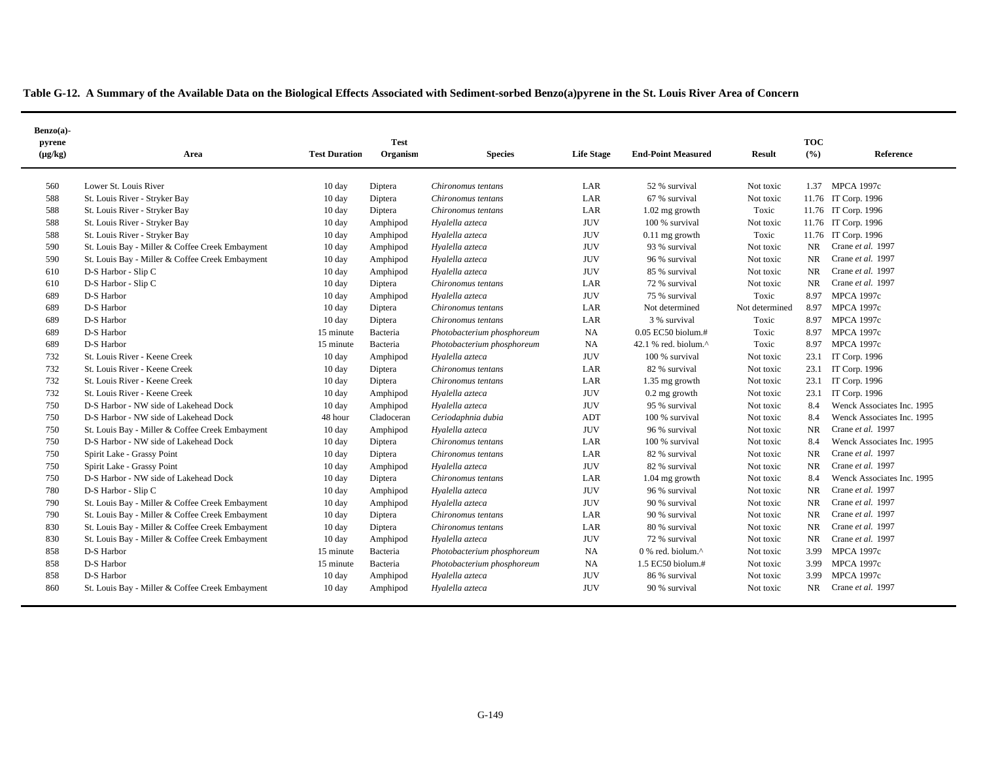|  | Table G-12. A Summary of the Available Data on the Biological Effects Associated with Sediment-sorbed Benzo(a)pyrene in the St. Louis River Area of Concern |  |
|--|-------------------------------------------------------------------------------------------------------------------------------------------------------------|--|
|  |                                                                                                                                                             |  |

| Benzo(a)-<br>pyrene |                                                 | <b>Test Duration</b> | <b>Test</b><br>Organism |                            | <b>Life Stage</b> | <b>End-Point Measured</b>      | <b>Result</b>  | <b>TOC</b><br>(°/0) | Reference                  |
|---------------------|-------------------------------------------------|----------------------|-------------------------|----------------------------|-------------------|--------------------------------|----------------|---------------------|----------------------------|
| $(\mu g/kg)$        | Area                                            |                      |                         | <b>Species</b>             |                   |                                |                |                     |                            |
| 560                 | Lower St. Louis River                           | 10 day               | Diptera                 | Chironomus tentans         | LAR               | 52 % survival                  | Not toxic      | 1.37                | <b>MPCA 1997c</b>          |
| 588                 | St. Louis River - Stryker Bay                   | 10 day               | Diptera                 | Chironomus tentans         | LAR               | 67 % survival                  | Not toxic      |                     | 11.76 IT Corp. 1996        |
| 588                 | St. Louis River - Stryker Bay                   | $10 \text{ day}$     | Diptera                 | Chironomus tentans         | LAR               | $1.02$ mg growth               | Toxic          |                     | 11.76 IT Corp. 1996        |
| 588                 | St. Louis River - Stryker Bay                   | 10 day               | Amphipod                | Hyalella azteca            | <b>JUV</b>        | 100 % survival                 | Not toxic      |                     | 11.76 IT Corp. 1996        |
| 588                 | St. Louis River - Stryker Bay                   | $10 \text{ day}$     | Amphipod                | Hyalella azteca            | <b>JUV</b>        | $0.11$ mg growth               | Toxic          |                     | 11.76 IT Corp. 1996        |
| 590                 | St. Louis Bay - Miller & Coffee Creek Embayment | $10 \text{ day}$     | Amphipod                | Hyalella azteca            | <b>JUV</b>        | 93 % survival                  | Not toxic      | <b>NR</b>           | Crane et al. 1997          |
| 590                 | St. Louis Bay - Miller & Coffee Creek Embayment | $10 \text{ day}$     | Amphipod                | Hyalella azteca            | <b>JUV</b>        | 96 % survival                  | Not toxic      | NR.                 | Crane et al. 1997          |
| 610                 | D-S Harbor - Slip C                             | $10 \text{ day}$     | Amphipod                | Hyalella azteca            | <b>JUV</b>        | 85 % survival                  | Not toxic      | NR.                 | Crane et al. 1997          |
| 610                 | D-S Harbor - Slip C                             | 10 day               | Diptera                 | Chironomus tentans         | LAR               | 72 % survival                  | Not toxic      | NR.                 | Crane et al. 1997          |
| 689                 | D-S Harbor                                      | 10 day               | Amphipod                | Hyalella azteca            | <b>JUV</b>        | 75 % survival                  | Toxic          | 8.97                | <b>MPCA 1997c</b>          |
| 689                 | D-S Harbor                                      | 10 day               | Diptera                 | Chironomus tentans         | LAR               | Not determined                 | Not determined | 8.97                | <b>MPCA 1997c</b>          |
| 689                 | D-S Harbor                                      | 10 day               | Diptera                 | Chironomus tentans         | LAR               | 3 % survival                   | Toxic          | 8.97                | <b>MPCA 1997c</b>          |
| 689                 | D-S Harbor                                      | 15 minute            | Bacteria                | Photobacterium phosphoreum | <b>NA</b>         | 0.05 EC50 biolum.#             | Toxic          | 8.97                | <b>MPCA 1997c</b>          |
| 689                 | D-S Harbor                                      | 15 minute            | Bacteria                | Photobacterium phosphoreum | NA                | 42.1 % red. biolum. $\wedge$   | Toxic          | 8.97                | <b>MPCA 1997c</b>          |
| 732                 | St. Louis River - Keene Creek                   | 10 day               | Amphipod                | Hyalella azteca            | <b>JUV</b>        | 100 % survival                 | Not toxic      | 23.1                | IT Corp. 1996              |
| 732                 | St. Louis River - Keene Creek                   | $10 \text{ day}$     | Diptera                 | Chironomus tentans         | LAR               | 82 % survival                  | Not toxic      | 23.1                | IT Corp. 1996              |
| 732                 | St. Louis River - Keene Creek                   | 10 day               | Diptera                 | Chironomus tentans         | LAR               | 1.35 mg growth                 | Not toxic      | 23.1                | IT Corp. 1996              |
| 732                 | St. Louis River - Keene Creek                   | 10 day               | Amphipod                | Hyalella azteca            | <b>JUV</b>        | $0.2$ mg growth                | Not toxic      | 23.1                | IT Corp. 1996              |
| 750                 | D-S Harbor - NW side of Lakehead Dock           | 10 day               | Amphipod                | Hyalella azteca            | <b>JUV</b>        | 95 % survival                  | Not toxic      | 8.4                 | Wenck Associates Inc. 1995 |
| 750                 | D-S Harbor - NW side of Lakehead Dock           | 48 hour              | Cladoceran              | Ceriodaphnia dubia         | ADT               | 100 % survival                 | Not toxic      | 8.4                 | Wenck Associates Inc. 1995 |
| 750                 | St. Louis Bay - Miller & Coffee Creek Embayment | 10 day               | Amphipod                | Hyalella azteca            | <b>JUV</b>        | 96 % survival                  | Not toxic      | <b>NR</b>           | Crane et al. 1997          |
| 750                 | D-S Harbor - NW side of Lakehead Dock           | $10 \text{ day}$     | Diptera                 | Chironomus tentans         | LAR               | 100 % survival                 | Not toxic      | 8.4                 | Wenck Associates Inc. 1995 |
| 750                 | Spirit Lake - Grassy Point                      | $10 \text{ day}$     | Diptera                 | Chironomus tentans         | LAR               | 82 % survival                  | Not toxic      | <b>NR</b>           | Crane et al. 1997          |
| 750                 | Spirit Lake - Grassy Point                      | 10 day               | Amphipod                | Hyalella azteca            | <b>JUV</b>        | 82 % survival                  | Not toxic      | NR.                 | Crane et al. 1997          |
| 750                 | D-S Harbor - NW side of Lakehead Dock           | $10 \text{ day}$     | Diptera                 | Chironomus tentans         | LAR               | 1.04 mg growth                 | Not toxic      | 8.4                 | Wenck Associates Inc. 1995 |
| 780                 | D-S Harbor - Slip C                             | 10 day               | Amphipod                | Hyalella azteca            | <b>JUV</b>        | 96 % survival                  | Not toxic      | <b>NR</b>           | Crane et al. 1997          |
| 790                 | St. Louis Bay - Miller & Coffee Creek Embayment | 10 day               | Amphipod                | Hyalella azteca            | <b>JUV</b>        | 90 % survival                  | Not toxic      | <b>NR</b>           | Crane et al. 1997          |
| 790                 | St. Louis Bay - Miller & Coffee Creek Embayment | 10 day               | Diptera                 | Chironomus tentans         | LAR               | 90 % survival                  | Not toxic      | <b>NR</b>           | Crane et al. 1997          |
| 830                 | St. Louis Bay - Miller & Coffee Creek Embayment | 10 day               | Diptera                 | Chironomus tentans         | LAR               | 80 % survival                  | Not toxic      | <b>NR</b>           | Crane et al. 1997          |
| 830                 | St. Louis Bay - Miller & Coffee Creek Embayment | 10 day               | Amphipod                | Hyalella azteca            | <b>JUV</b>        | 72 % survival                  | Not toxic      | NR.                 | Crane et al. 1997          |
| 858                 | D-S Harbor                                      | 15 minute            | Bacteria                | Photobacterium phosphoreum | <b>NA</b>         | $0$ % red. biolum. $^{\wedge}$ | Not toxic      | 3.99                | <b>MPCA 1997c</b>          |
| 858                 | D-S Harbor                                      | 15 minute            | Bacteria                | Photobacterium phosphoreum | NA                | 1.5 EC50 biolum.#              | Not toxic      | 3.99                | <b>MPCA 1997c</b>          |
| 858                 | D-S Harbor                                      | $10 \text{ day}$     | Amphipod                | Hyalella azteca            | <b>JUV</b>        | 86 % survival                  | Not toxic      | 3.99                | <b>MPCA 1997c</b>          |
| 860                 | St. Louis Bay - Miller & Coffee Creek Embayment | $10 \text{ day}$     | Amphipod                | Hyalella azteca            | <b>JUV</b>        | 90 % survival                  | Not toxic      | <b>NR</b>           | Crane et al. 1997          |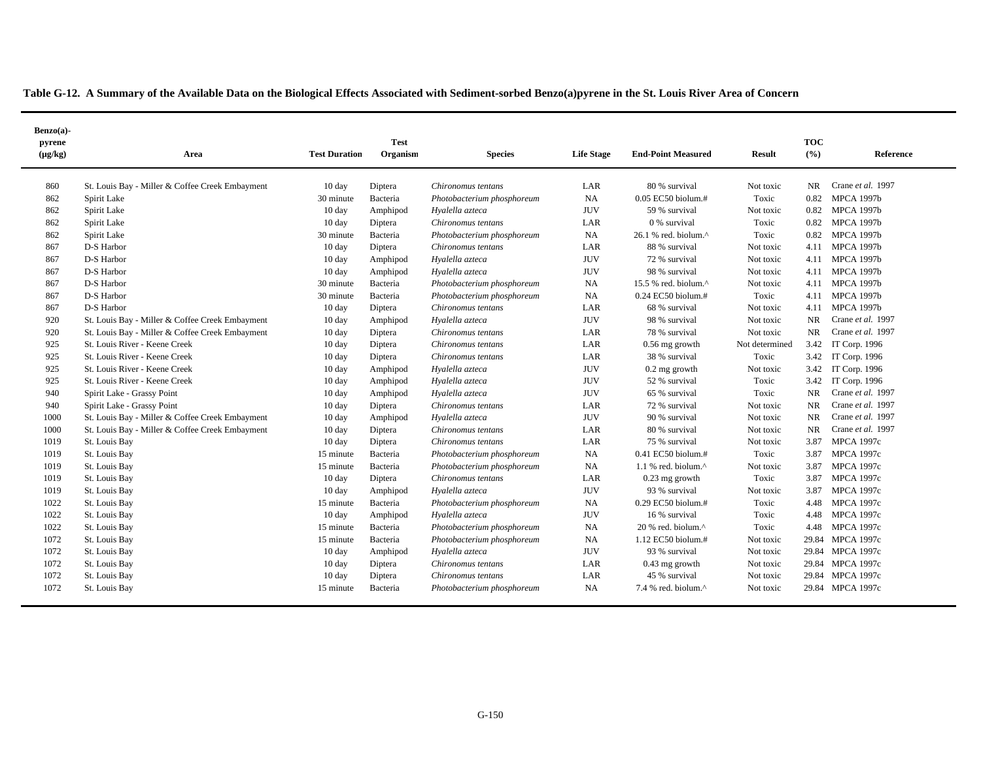| $Benzo(a)$ -           |                                                 |                      |                         |                            |                   |                             |                |                   |                   |
|------------------------|-------------------------------------------------|----------------------|-------------------------|----------------------------|-------------------|-----------------------------|----------------|-------------------|-------------------|
| pyrene<br>$(\mu g/kg)$ | Area                                            | <b>Test Duration</b> | <b>Test</b><br>Organism | <b>Species</b>             | <b>Life Stage</b> | <b>End-Point Measured</b>   | <b>Result</b>  | <b>TOC</b><br>(%) | Reference         |
| 860                    | St. Louis Bay - Miller & Coffee Creek Embayment | $10 \text{ day}$     | Diptera                 | Chironomus tentans         | LAR               | 80 % survival               | Not toxic      | NR.               | Crane et al. 1997 |
| 862                    | Spirit Lake                                     | 30 minute            | Bacteria                | Photobacterium phosphoreum | NA                | $0.05$ EC50 biolum.#        | Toxic          | 0.82              | <b>MPCA 1997b</b> |
| 862                    | Spirit Lake                                     | $10 \text{ day}$     | Amphipod                | Hyalella azteca            | <b>JUV</b>        | 59 % survival               | Not toxic      | 0.82              | <b>MPCA 1997b</b> |
| 862                    | Spirit Lake                                     | $10 \text{ day}$     | Diptera                 | Chironomus tentans         | LAR               | 0 % survival                | Toxic          | 0.82              | <b>MPCA 1997b</b> |
| 862                    | Spirit Lake                                     | 30 minute            | Bacteria                | Photobacterium phosphoreum | <b>NA</b>         | 26.1 % red. biolum.^        | Toxic          | 0.82              | <b>MPCA 1997b</b> |
| 867                    | D-S Harbor                                      | 10 day               | Diptera                 | Chironomus tentans         | LAR               | 88 % survival               | Not toxic      | 4.11              | <b>MPCA 1997b</b> |
| 867                    | D-S Harbor                                      | 10 day               | Amphipod                | Hyalella azteca            | <b>JUV</b>        | 72 % survival               | Not toxic      | 4.11              | <b>MPCA 1997b</b> |
| 867                    | D-S Harbor                                      | 10 day               | Amphipod                | Hyalella azteca            | <b>JUV</b>        | 98 % survival               | Not toxic      |                   | 4.11 MPCA 1997b   |
| 867                    | D-S Harbor                                      | 30 minute            | Bacteria                | Photobacterium phosphoreum | NA                | 15.5 % red. biolum.^        | Not toxic      |                   | 4.11 MPCA 1997b   |
| 867                    | D-S Harbor                                      | 30 minute            | Bacteria                | Photobacterium phosphoreum | <b>NA</b>         | 0.24 EC50 biolum.#          | Toxic          | 4.11              | <b>MPCA 1997b</b> |
| 867                    | D-S Harbor                                      | 10 day               | Diptera                 | Chironomus tentans         | LAR               | 68 % survival               | Not toxic      | 4.11              | <b>MPCA 1997b</b> |
| 920                    | St. Louis Bay - Miller & Coffee Creek Embayment | 10 day               | Amphipod                | Hyalella azteca            | <b>JUV</b>        | 98 % survival               | Not toxic      | NR.               | Crane et al. 1997 |
| 920                    | St. Louis Bay - Miller & Coffee Creek Embayment | $10 \text{ day}$     | Diptera                 | Chironomus tentans         | LAR               | 78 % survival               | Not toxic      | NR.               | Crane et al. 1997 |
| 925                    | St. Louis River - Keene Creek                   | $10 \text{ day}$     | Diptera                 | Chironomus tentans         | LAR               | $0.56$ mg growth            | Not determined | 3.42              | IT Corp. 1996     |
| 925                    | St. Louis River - Keene Creek                   | $10 \text{ day}$     | Diptera                 | Chironomus tentans         | LAR               | 38 % survival               | Toxic          | 3.42              | IT Corp. 1996     |
| 925                    | St. Louis River - Keene Creek                   | 10 day               | Amphipod                | Hyalella azteca            | <b>JUV</b>        | $0.2$ mg growth             | Not toxic      | 3.42              | IT Corp. 1996     |
| 925                    | St. Louis River - Keene Creek                   | 10 day               | Amphipod                | Hyalella azteca            | <b>JUV</b>        | 52 % survival               | Toxic          | 3.42              | IT Corp. 1996     |
| 940                    | Spirit Lake - Grassy Point                      | $10 \text{ day}$     | Amphipod                | Hyalella azteca            | <b>JUV</b>        | 65 % survival               | Toxic          | NR.               | Crane et al. 1997 |
| 940                    | Spirit Lake - Grassy Point                      | 10 day               | Diptera                 | Chironomus tentans         | LAR               | 72 % survival               | Not toxic      | NR.               | Crane et al. 1997 |
| 1000                   | St. Louis Bay - Miller & Coffee Creek Embayment | $10 \text{ day}$     | Amphipod                | Hyalella azteca            | <b>JUV</b>        | 90 % survival               | Not toxic      | NR.               | Crane et al. 1997 |
| 1000                   | St. Louis Bay - Miller & Coffee Creek Embayment | $10 \text{ day}$     | Diptera                 | Chironomus tentans         | LAR               | 80 % survival               | Not toxic      | NR.               | Crane et al. 1997 |
| 1019                   | St. Louis Bay                                   | $10 \text{ day}$     | Diptera                 | Chironomus tentans         | LAR               | 75 % survival               | Not toxic      | 3.87              | <b>MPCA 1997c</b> |
| 1019                   | St. Louis Bay                                   | 15 minute            | Bacteria                | Photobacterium phosphoreum | <b>NA</b>         | $0.41$ EC50 biolum.#        | Toxic          | 3.87              | <b>MPCA 1997c</b> |
| 1019                   | St. Louis Bay                                   | 15 minute            | Bacteria                | Photobacterium phosphoreum | <b>NA</b>         | 1.1 % red. biolum.^         | Not toxic      | 3.87              | <b>MPCA 1997c</b> |
| 1019                   | St. Louis Bay                                   | 10 day               | Diptera                 | Chironomus tentans         | LAR               | $0.23$ mg growth            | Toxic          | 3.87              | <b>MPCA 1997c</b> |
| 1019                   | St. Louis Bay                                   | 10 day               | Amphipod                | Hyalella azteca            | <b>JUV</b>        | 93 % survival               | Not toxic      | 3.87              | <b>MPCA 1997c</b> |
| 1022                   | St. Louis Bay                                   | 15 minute            | Bacteria                | Photobacterium phosphoreum | <b>NA</b>         | 0.29 EC50 biolum.#          | Toxic          | 4.48              | <b>MPCA 1997c</b> |
| 1022                   | St. Louis Bay                                   | 10 day               | Amphipod                | Hyalella azteca            | <b>JUV</b>        | 16 % survival               | Toxic          |                   | 4.48 MPCA 1997c   |
| 1022                   | St. Louis Bay                                   | 15 minute            | Bacteria                | Photobacterium phosphoreum | NA                | 20 % red. biolum.^          | Toxic          |                   | 4.48 MPCA 1997c   |
| 1072                   | St. Louis Bay                                   | 15 minute            | Bacteria                | Photobacterium phosphoreum | <b>NA</b>         | 1.12 EC50 biolum.#          | Not toxic      |                   | 29.84 MPCA 1997c  |
| 1072                   | St. Louis Bay                                   | $10 \text{ day}$     | Amphipod                | Hyalella azteca            | <b>JUV</b>        | 93 % survival               | Not toxic      |                   | 29.84 MPCA 1997c  |
| 1072                   | St. Louis Bay                                   | $10 \text{ day}$     | Diptera                 | Chironomus tentans         | LAR               | $0.43$ mg growth            | Not toxic      |                   | 29.84 MPCA 1997c  |
| 1072                   | St. Louis Bay                                   | $10 \text{ day}$     | Diptera                 | Chironomus tentans         | LAR               | 45 % survival               | Not toxic      |                   | 29.84 MPCA 1997c  |
| 1072                   | St. Louis Bay                                   | 15 minute            | Bacteria                | Photobacterium phosphoreum | NA                | 7.4 % red. biolum. $\wedge$ | Not toxic      |                   | 29.84 MPCA 1997c  |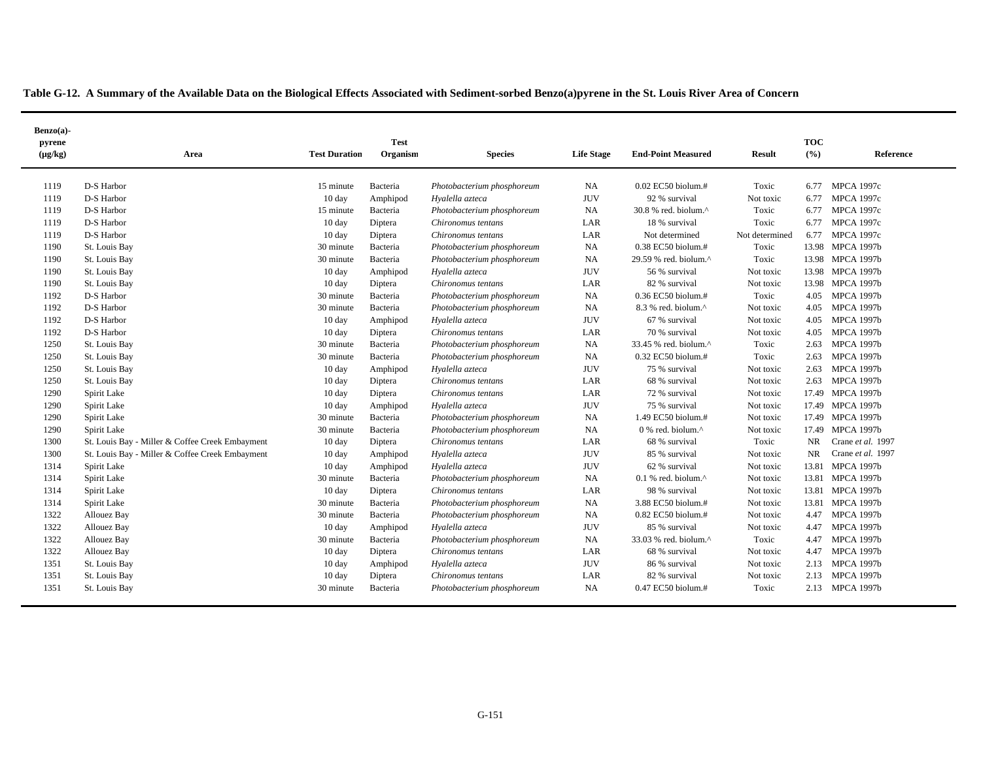| Table G-12. A Summary of the Available Data on the Biological Effects Associated with Sediment-sorbed Benzo(a)pyrene in the St. Louis River Area of Concern |  |
|-------------------------------------------------------------------------------------------------------------------------------------------------------------|--|
|                                                                                                                                                             |  |

| Benzo(a)-<br>pyrene<br>$(\mu g/kg)$ | Area                                            | <b>Test Duration</b> | <b>Test</b><br>Organism | <b>Species</b>             | <b>Life Stage</b> | <b>End-Point Measured</b>        | <b>Result</b>  | <b>TOC</b><br>(°/0) | Reference         |
|-------------------------------------|-------------------------------------------------|----------------------|-------------------------|----------------------------|-------------------|----------------------------------|----------------|---------------------|-------------------|
| 1119                                | D-S Harbor                                      | 15 minute            | Bacteria                | Photobacterium phosphoreum | NA                | $0.02$ EC50 biolum.#             | Toxic          | 6.77                | MPCA 1997c        |
| 1119                                | D-S Harbor                                      | 10 day               | Amphipod                | Hyalella azteca            | <b>JUV</b>        | 92 % survival                    | Not toxic      | 6.77                | <b>MPCA 1997c</b> |
| 1119                                | D-S Harbor                                      | 15 minute            | Bacteria                | Photobacterium phosphoreum | <b>NA</b>         | 30.8 % red. biolum.^             | Toxic          | 6.77                | <b>MPCA 1997c</b> |
| 1119                                | D-S Harbor                                      | 10 day               | Diptera                 | Chironomus tentans         | LAR               | 18 % survival                    | Toxic          | 6.77                | <b>MPCA 1997c</b> |
| 1119                                | D-S Harbor                                      | 10 day               | Diptera                 | Chironomus tentans         | LAR               | Not determined                   | Not determined | 6.77                | <b>MPCA 1997c</b> |
| 1190                                | St. Louis Bay                                   | 30 minute            | Bacteria                | Photobacterium phosphoreum | NA                | 0.38 EC50 biolum.#               | Toxic          |                     | 13.98 MPCA 1997b  |
| 1190                                | St. Louis Bay                                   | 30 minute            | Bacteria                | Photobacterium phosphoreum | NA                | 29.59 % red. biolum. $\wedge$    | Toxic          |                     | 13.98 MPCA 1997b  |
| 1190                                | St. Louis Bay                                   | 10 day               | Amphipod                | Hyalella azteca            | <b>JUV</b>        | 56 % survival                    | Not toxic      | 13.98               | <b>MPCA 1997b</b> |
| 1190                                | St. Louis Bay                                   | $10 \text{ day}$     | Diptera                 | Chironomus tentans         | LAR               | 82 % survival                    | Not toxic      | 13.98               | <b>MPCA 1997b</b> |
| 1192                                | D-S Harbor                                      | 30 minute            | Bacteria                | Photobacterium phosphoreum | <b>NA</b>         | 0.36 EC50 biolum.#               | Toxic          | 4.05                | <b>MPCA 1997b</b> |
| 1192                                | D-S Harbor                                      | 30 minute            | Bacteria                | Photobacterium phosphoreum | NA                | 8.3 % red. biolum.^              | Not toxic      | 4.05                | <b>MPCA 1997b</b> |
| 1192                                | D-S Harbor                                      | $10 \text{ day}$     | Amphipod                | Hyalella azteca            | <b>JUV</b>        | 67 % survival                    | Not toxic      | 4.05                | <b>MPCA 1997b</b> |
| 1192                                | D-S Harbor                                      | $10 \text{ day}$     | Diptera                 | Chironomus tentans         | LAR               | 70 % survival                    | Not toxic      | 4.05                | <b>MPCA 1997b</b> |
| 1250                                | St. Louis Bay                                   | 30 minute            | Bacteria                | Photobacterium phosphoreum | NA                | 33.45 % red. biolum.^            | Toxic          | 2.63                | <b>MPCA 1997b</b> |
| 1250                                | St. Louis Bay                                   | 30 minute            | Bacteria                | Photobacterium phosphoreum | NA                | 0.32 EC50 biolum.#               | Toxic          | 2.63                | <b>MPCA 1997b</b> |
| 1250                                | St. Louis Bay                                   | $10 \text{ day}$     | Amphipod                | Hyalella azteca            | <b>JUV</b>        | 75 % survival                    | Not toxic      | 2.63                | <b>MPCA 1997b</b> |
| 1250                                | St. Louis Bay                                   | 10 day               | Diptera                 | Chironomus tentans         | LAR               | 68 % survival                    | Not toxic      | 2.63                | <b>MPCA 1997b</b> |
| 1290                                | Spirit Lake                                     | $10 \text{ day}$     | Diptera                 | Chironomus tentans         | LAR               | 72 % survival                    | Not toxic      | 17.49               | <b>MPCA 1997b</b> |
| 1290                                | Spirit Lake                                     | $10 \text{ day}$     | Amphipod                | Hyalella azteca            | <b>JUV</b>        | 75 % survival                    | Not toxic      | 17.49               | <b>MPCA 1997b</b> |
| 1290                                | Spirit Lake                                     | 30 minute            | Bacteria                | Photobacterium phosphoreum | NA                | 1.49 EC50 biolum.#               | Not toxic      | 17.49               | <b>MPCA 1997b</b> |
| 1290                                | Spirit Lake                                     | 30 minute            | Bacteria                | Photobacterium phosphoreum | <b>NA</b>         | $0$ % red. biolum. $^{\wedge}$   | Not toxic      | 17.49               | <b>MPCA 1997b</b> |
| 1300                                | St. Louis Bay - Miller & Coffee Creek Embayment | 10 day               | Diptera                 | Chironomus tentans         | LAR               | 68 % survival                    | Toxic          | NR.                 | Crane et al. 1997 |
| 1300                                | St. Louis Bay - Miller & Coffee Creek Embayment | $10 \text{ day}$     | Amphipod                | Hyalella azteca            | <b>JUV</b>        | 85 % survival                    | Not toxic      | NR.                 | Crane et al. 1997 |
| 1314                                | Spirit Lake                                     | $10 \text{ day}$     | Amphipod                | Hyalella azteca            | <b>JUV</b>        | 62 % survival                    | Not toxic      |                     | 13.81 MPCA 1997b  |
| 1314                                | Spirit Lake                                     | 30 minute            | Bacteria                | Photobacterium phosphoreum | NA                | $0.1$ % red. biolum. $^{\wedge}$ | Not toxic      |                     | 13.81 MPCA 1997b  |
| 1314                                | Spirit Lake                                     | $10 \text{ day}$     | Diptera                 | Chironomus tentans         | LAR               | 98 % survival                    | Not toxic      |                     | 13.81 MPCA 1997b  |
| 1314                                | Spirit Lake                                     | 30 minute            | Bacteria                | Photobacterium phosphoreum | NA                | 3.88 EC50 biolum.#               | Not toxic      |                     | 13.81 MPCA 1997b  |
| 1322                                | <b>Allouez Bay</b>                              | 30 minute            | Bacteria                | Photobacterium phosphoreum | <b>NA</b>         | $0.82$ EC50 biolum.#             | Not toxic      | 4.47                | <b>MPCA 1997b</b> |
| 1322                                | Allouez Bay                                     | 10 day               | Amphipod                | Hyalella azteca            | <b>JUV</b>        | 85 % survival                    | Not toxic      | 4.47                | <b>MPCA 1997b</b> |
| 1322                                | Allouez Bay                                     | 30 minute            | Bacteria                | Photobacterium phosphoreum | NA                | 33.03 % red. biolum.^            | Toxic          | 4.47                | <b>MPCA 1997b</b> |
| 1322                                | <b>Allouez Bay</b>                              | $10 \text{ day}$     | Diptera                 | Chironomus tentans         | LAR               | 68 % survival                    | Not toxic      | 4.47                | <b>MPCA 1997b</b> |
| 1351                                | St. Louis Bay                                   | $10 \text{ day}$     | Amphipod                | Hyalella azteca            | <b>JUV</b>        | 86 % survival                    | Not toxic      | 2.13                | <b>MPCA 1997b</b> |
| 1351                                | St. Louis Bay                                   | $10 \text{ day}$     | Diptera                 | Chironomus tentans         | LAR               | 82 % survival                    | Not toxic      | 2.13                | <b>MPCA 1997b</b> |
| 1351                                | St. Louis Bay                                   | 30 minute            | Bacteria                | Photobacterium phosphoreum | <b>NA</b>         | 0.47 EC50 biolum.#               | Toxic          |                     | 2.13 MPCA 1997b   |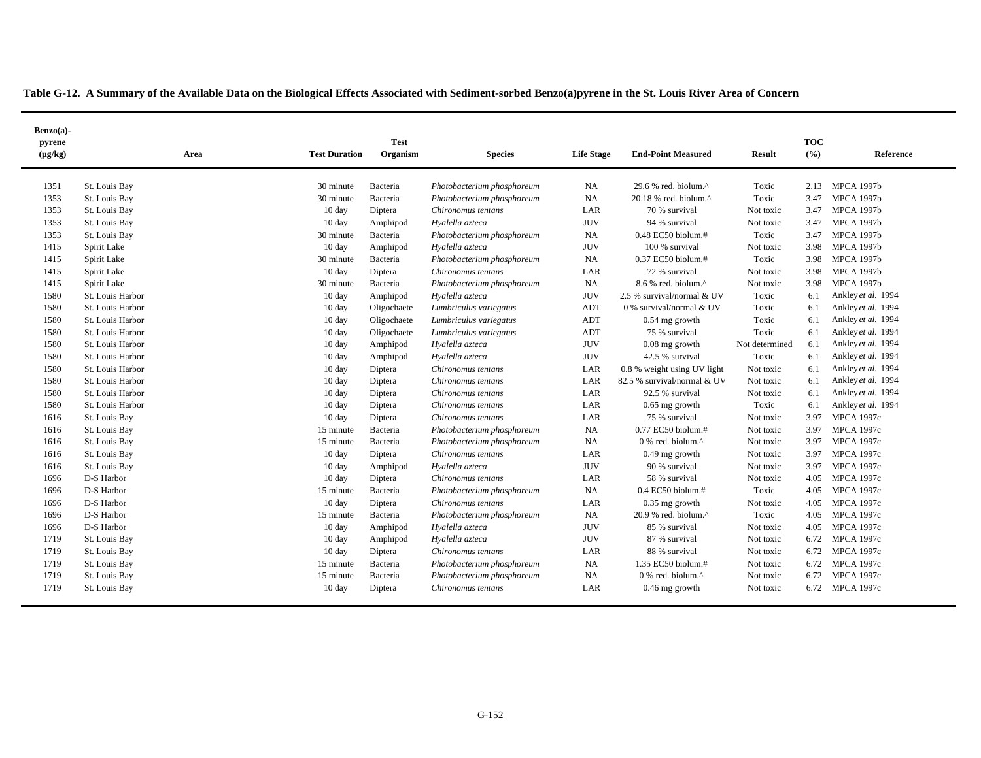| $Benzo(a)$ -           |                  |                      |                         |                            |                   |                                   |                |                     |                    |  |
|------------------------|------------------|----------------------|-------------------------|----------------------------|-------------------|-----------------------------------|----------------|---------------------|--------------------|--|
| pyrene<br>$(\mu g/kg)$ | Area             | <b>Test Duration</b> | <b>Test</b><br>Organism | <b>Species</b>             | <b>Life Stage</b> | <b>End-Point Measured</b>         | <b>Result</b>  | <b>TOC</b><br>(9/6) | Reference          |  |
| 1351                   | St. Louis Bay    | 30 minute            | Bacteria                | Photobacterium phosphoreum | NA                | 29.6 % red. biolum.^              | Toxic          | 2.13                | <b>MPCA 1997b</b>  |  |
| 1353                   | St. Louis Bay    | 30 minute            | Bacteria                | Photobacterium phosphoreum | <b>NA</b>         | 20.18 % red. biolum.^             | Toxic          | 3.47                | <b>MPCA 1997b</b>  |  |
| 1353                   | St. Louis Bay    | 10 day               | Diptera                 | Chironomus tentans         | LAR               | 70 % survival                     | Not toxic      | 3.47                | <b>MPCA 1997b</b>  |  |
| 1353                   | St. Louis Bay    | 10 day               | Amphipod                | Hyalella azteca            | <b>JUV</b>        | 94 % survival                     | Not toxic      | 3.47                | <b>MPCA 1997b</b>  |  |
| 1353                   | St. Louis Bay    | 30 minute            | Bacteria                | Photobacterium phosphoreum | <b>NA</b>         | 0.48 EC50 biolum.#                | Toxic          | 3.47                | <b>MPCA 1997b</b>  |  |
| 1415                   | Spirit Lake      | $10 \text{ day}$     | Amphipod                | Hyalella azteca            | <b>JUV</b>        | 100 % survival                    | Not toxic      | 3.98                | <b>MPCA 1997b</b>  |  |
| 1415                   | Spirit Lake      | 30 minute            | Bacteria                | Photobacterium phosphoreum | <b>NA</b>         | 0.37 EC50 biolum.#                | Toxic          | 3.98                | <b>MPCA 1997b</b>  |  |
| 1415                   | Spirit Lake      | 10 day               | Diptera                 | Chironomus tentans         | LAR               | 72 % survival                     | Not toxic      | 3.98                | <b>MPCA 1997b</b>  |  |
| 1415                   | Spirit Lake      | 30 minute            | Bacteria                | Photobacterium phosphoreum | <b>NA</b>         | 8.6 % red. biolum.^               | Not toxic      | 3.98                | <b>MPCA 1997b</b>  |  |
| 1580                   | St. Louis Harbor | 10 day               | Amphipod                | Hyalella azteca            | <b>JUV</b>        | 2.5 % survival/normal & UV        | Toxic          | 6.1                 | Ankley et al. 1994 |  |
| 1580                   | St. Louis Harbor | $10 \text{ day}$     | Oligochaete             | Lumbriculus variegatus     | ADT               | 0 % survival/normal & UV          | Toxic          | 6.1                 | Ankley et al. 1994 |  |
| 1580                   | St. Louis Harbor | 10 day               | Oligochaete             | Lumbriculus variegatus     | ADT               | $0.54$ mg growth                  | Toxic          | 6.1                 | Ankley et al. 1994 |  |
| 1580                   | St. Louis Harbor | 10 day               | Oligochaete             | Lumbriculus variegatus     | ADT               | 75 % survival                     | Toxic          | 6.1                 | Ankley et al. 1994 |  |
| 1580                   | St. Louis Harbor | 10 day               | Amphipod                | Hyalella azteca            | <b>JUV</b>        | $0.08$ mg growth                  | Not determined | 6.1                 | Ankley et al. 1994 |  |
| 1580                   | St. Louis Harbor | 10 day               | Amphipod                | Hyalella azteca            | <b>JUV</b>        | 42.5 % survival                   | Toxic          | 6.1                 | Ankley et al. 1994 |  |
| 1580                   | St. Louis Harbor | 10 day               | Diptera                 | Chironomus tentans         | LAR               | 0.8 % weight using UV light       | Not toxic      | 6.1                 | Ankley et al. 1994 |  |
| 1580                   | St. Louis Harbor | 10 day               | Diptera                 | Chironomus tentans         | LAR               | 82.5 % survival/normal & UV       | Not toxic      | 6.1                 | Ankley et al. 1994 |  |
| 1580                   | St. Louis Harbor | 10 day               | Diptera                 | Chironomus tentans         | LAR               | 92.5 % survival                   | Not toxic      | 6.1                 | Ankley et al. 1994 |  |
| 1580                   | St. Louis Harbor | 10 day               | Diptera                 | Chironomus tentans         | LAR               | $0.65$ mg growth                  | Toxic          | 6.1                 | Ankley et al. 1994 |  |
| 1616                   | St. Louis Bay    | 10 day               | Diptera                 | Chironomus tentans         | LAR               | 75 % survival                     | Not toxic      | 3.97                | <b>MPCA 1997c</b>  |  |
| 1616                   | St. Louis Bay    | 15 minute            | Bacteria                | Photobacterium phosphoreum | <b>NA</b>         | 0.77 EC50 biolum.#                | Not toxic      | 3.97                | <b>MPCA 1997c</b>  |  |
| 1616                   | St. Louis Bay    | 15 minute            | Bacteria                | Photobacterium phosphoreum | <b>NA</b>         | 0 % red. biolum.^                 | Not toxic      | 3.97                | <b>MPCA 1997c</b>  |  |
| 1616                   | St. Louis Bay    | 10 day               | Diptera                 | Chironomus tentans         | LAR               | 0.49 mg growth                    | Not toxic      | 3.97                | <b>MPCA 1997c</b>  |  |
| 1616                   | St. Louis Bay    | 10 day               | Amphipod                | Hyalella azteca            | <b>JUV</b>        | 90 % survival                     | Not toxic      | 3.97                | <b>MPCA 1997c</b>  |  |
| 1696                   | D-S Harbor       | 10 day               | Diptera                 | Chironomus tentans         | LAR               | 58 % survival                     | Not toxic      | 4.05                | <b>MPCA 1997c</b>  |  |
| 1696                   | D-S Harbor       | 15 minute            | Bacteria                | Photobacterium phosphoreum | <b>NA</b>         | 0.4 EC50 biolum.#                 | Toxic          | 4.05                | <b>MPCA 1997c</b>  |  |
| 1696                   | D-S Harbor       | 10 day               | Diptera                 | Chironomus tentans         | LAR               | $0.35$ mg growth                  | Not toxic      | 4.05                | <b>MPCA 1997c</b>  |  |
| 1696                   | D-S Harbor       | 15 minute            | Bacteria                | Photobacterium phosphoreum | <b>NA</b>         | $20.9$ % red. biolum. $^{\wedge}$ | Toxic          | 4.05                | <b>MPCA 1997c</b>  |  |
| 1696                   | D-S Harbor       | 10 day               | Amphipod                | Hyalella azteca            | <b>JUV</b>        | 85 % survival                     | Not toxic      | 4.05                | <b>MPCA 1997c</b>  |  |
| 1719                   | St. Louis Bay    | $10 \text{ day}$     | Amphipod                | Hyalella azteca            | <b>JUV</b>        | 87 % survival                     | Not toxic      | 6.72                | <b>MPCA 1997c</b>  |  |
| 1719                   | St. Louis Bay    | 10 day               | Diptera                 | Chironomus tentans         | LAR               | 88 % survival                     | Not toxic      | 6.72                | <b>MPCA 1997c</b>  |  |
| 1719                   | St. Louis Bay    | 15 minute            | Bacteria                | Photobacterium phosphoreum | <b>NA</b>         | 1.35 EC50 biolum.#                | Not toxic      | 6.72                | MPCA 1997c         |  |
| 1719                   | St. Louis Bay    | 15 minute            | Bacteria                | Photobacterium phosphoreum | <b>NA</b>         | 0 % red. biolum.^                 | Not toxic      | 6.72                | <b>MPCA 1997c</b>  |  |
| 1719                   | St. Louis Bay    | $10 \text{ day}$     | Diptera                 | Chironomus tentans         | LAR               | $0.46$ mg growth                  | Not toxic      |                     | 6.72 MPCA 1997c    |  |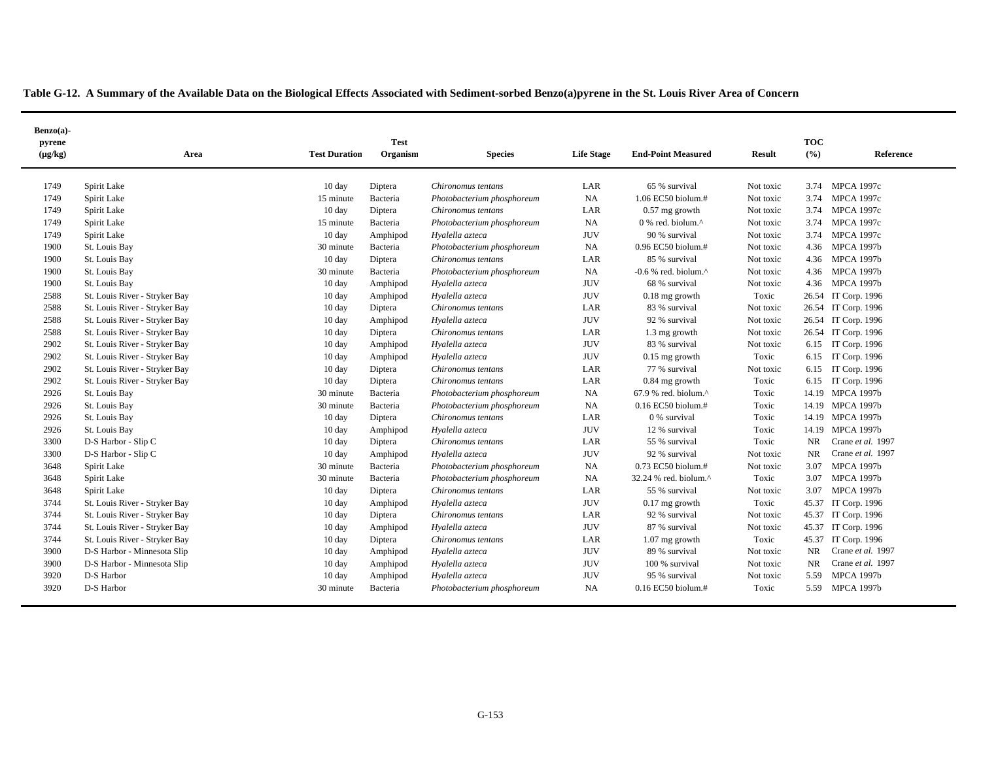|  | Table G-12. A Summary of the Available Data on the Biological Effects Associated with Sediment-sorbed Benzo(a)pyrene in the St. Louis River Area of Concern |  |  |  |
|--|-------------------------------------------------------------------------------------------------------------------------------------------------------------|--|--|--|
|  |                                                                                                                                                             |  |  |  |

| Benzo(a)-<br>pyrene |                               |                      | <b>Test</b> |                            |                   |                                                   |               | <b>TOC</b> |                     |
|---------------------|-------------------------------|----------------------|-------------|----------------------------|-------------------|---------------------------------------------------|---------------|------------|---------------------|
| $(\mu g/kg)$        | Area                          | <b>Test Duration</b> | Organism    | <b>Species</b>             | <b>Life Stage</b> | <b>End-Point Measured</b>                         | <b>Result</b> | (9/6)      | Reference           |
| 1749                | Spirit Lake                   | $10 \text{ day}$     | Diptera     | Chironomus tentans         | LAR               | 65 % survival                                     | Not toxic     |            | 3.74 MPCA 1997c     |
| 1749                | Spirit Lake                   | 15 minute            | Bacteria    | Photobacterium phosphoreum | <b>NA</b>         | 1.06 EC50 biolum.#                                | Not toxic     | 3.74       | <b>MPCA 1997c</b>   |
| 1749                | Spirit Lake                   | 10 day               | Diptera     | Chironomus tentans         | LAR               | $0.57$ mg growth                                  | Not toxic     | 3.74       | <b>MPCA 1997c</b>   |
| 1749                | Spirit Lake                   | 15 minute            | Bacteria    | Photobacterium phosphoreum | NA                | $0\%$ red, biolum. <sup><math>\wedge</math></sup> | Not toxic     | 3.74       | <b>MPCA 1997c</b>   |
| 1749                | Spirit Lake                   | $10 \text{ day}$     | Amphipod    | Hyalella azteca            | <b>JUV</b>        | 90 % survival                                     | Not toxic     | 3.74       | <b>MPCA 1997c</b>   |
| 1900                | St. Louis Bay                 | 30 minute            | Bacteria    | Photobacterium phosphoreum | <b>NA</b>         | $0.96$ EC50 biolum.#                              | Not toxic     | 4.36       | <b>MPCA 1997b</b>   |
| 1900                | St. Louis Bay                 | 10 day               | Diptera     | Chironomus tentans         | LAR               | 85 % survival                                     | Not toxic     |            | 4.36 MPCA 1997b     |
| 1900                | St. Louis Bay                 | 30 minute            | Bacteria    | Photobacterium phosphoreum | <b>NA</b>         | $-0.6$ % red. biolum. $^{\wedge}$                 | Not toxic     |            | 4.36 MPCA 1997b     |
| 1900                | St. Louis Bay                 | 10 day               | Amphipod    | Hyalella azteca            | <b>JUV</b>        | 68 % survival                                     | Not toxic     |            | 4.36 MPCA 1997b     |
| 2588                | St. Louis River - Stryker Bay | 10 day               | Amphipod    | Hyalella azteca            | <b>JUV</b>        | $0.18$ mg growth                                  | Toxic         |            | 26.54 IT Corp. 1996 |
| 2588                | St. Louis River - Stryker Bay | 10 day               | Diptera     | Chironomus tentans         | LAR               | 83 % survival                                     | Not toxic     |            | 26.54 IT Corp. 1996 |
| 2588                | St. Louis River - Stryker Bay | 10 day               | Amphipod    | Hyalella azteca            | <b>JUV</b>        | 92 % survival                                     | Not toxic     |            | 26.54 IT Corp. 1996 |
| 2588                | St. Louis River - Stryker Bay | 10 day               | Diptera     | Chironomus tentans         | LAR               | 1.3 mg growth                                     | Not toxic     |            | 26.54 IT Corp. 1996 |
| 2902                | St. Louis River - Stryker Bay | 10 day               | Amphipod    | Hyalella azteca            | <b>JUV</b>        | 83 % survival                                     | Not toxic     | 6.15       | IT Corp. 1996       |
| 2902                | St. Louis River - Stryker Bay | $10 \text{ day}$     | Amphipod    | Hyalella azteca            | <b>JUV</b>        | $0.15$ mg growth                                  | Toxic         | 6.15       | IT Corp. 1996       |
| 2902                | St. Louis River - Stryker Bay | 10 day               | Diptera     | Chironomus tentans         | LAR               | 77 % survival                                     | Not toxic     | 6.15       | IT Corp. 1996       |
| 2902                | St. Louis River - Stryker Bay | 10 day               | Diptera     | Chironomus tentans         | LAR               | $0.84$ mg growth                                  | Toxic         |            | 6.15 IT Corp. 1996  |
| 2926                | St. Louis Bay                 | 30 minute            | Bacteria    | Photobacterium phosphoreum | NA                | 67.9 % red. biolum.^                              | Toxic         |            | 14.19 MPCA 1997b    |
| 2926                | St. Louis Bay                 | 30 minute            | Bacteria    | Photobacterium phosphoreum | <b>NA</b>         | 0.16 EC50 biolum.#                                | Toxic         |            | 14.19 MPCA 1997b    |
| 2926                | St. Louis Bay                 | 10 day               | Diptera     | Chironomus tentans         | LAR               | 0 % survival                                      | Toxic         |            | 14.19 MPCA 1997b    |
| 2926                | St. Louis Bay                 | 10 day               | Amphipod    | Hyalella azteca            | <b>JUV</b>        | 12 % survival                                     | Toxic         |            | 14.19 MPCA 1997b    |
| 3300                | D-S Harbor - Slip C           | 10 day               | Diptera     | Chironomus tentans         | LAR               | 55 % survival                                     | Toxic         | NR.        | Crane et al. 1997   |
| 3300                | D-S Harbor - Slip C           | $10 \text{ day}$     | Amphipod    | Hyalella azteca            | <b>JUV</b>        | 92 % survival                                     | Not toxic     | <b>NR</b>  | Crane et al. 1997   |
| 3648                | Spirit Lake                   | 30 minute            | Bacteria    | Photobacterium phosphoreum | <b>NA</b>         | 0.73 EC50 biolum.#                                | Not toxic     | 3.07       | <b>MPCA 1997b</b>   |
| 3648                | Spirit Lake                   | 30 minute            | Bacteria    | Photobacterium phosphoreum | <b>NA</b>         | 32.24 % red. biolum.^                             | Toxic         | 3.07       | <b>MPCA 1997b</b>   |
| 3648                | Spirit Lake                   | 10 day               | Diptera     | Chironomus tentans         | LAR               | 55 % survival                                     | Not toxic     | 3.07       | <b>MPCA 1997b</b>   |
| 3744                | St. Louis River - Stryker Bay | $10 \text{ day}$     | Amphipod    | Hyalella azteca            | <b>JUV</b>        | $0.17$ mg growth                                  | Toxic         |            | 45.37 IT Corp. 1996 |
| 3744                | St. Louis River - Stryker Bay | $10 \text{ day}$     | Diptera     | Chironomus tentans         | LAR               | 92 % survival                                     | Not toxic     |            | 45.37 IT Corp. 1996 |
| 3744                | St. Louis River - Stryker Bay | $10 \text{ day}$     | Amphipod    | Hyalella azteca            | <b>JUV</b>        | 87 % survival                                     | Not toxic     |            | 45.37 IT Corp. 1996 |
| 3744                | St. Louis River - Stryker Bay | $10 \text{ day}$     | Diptera     | Chironomus tentans         | LAR               | $1.07$ mg growth                                  | Toxic         |            | 45.37 IT Corp. 1996 |
| 3900                | D-S Harbor - Minnesota Slip   | $10 \text{ day}$     | Amphipod    | Hyalella azteca            | <b>JUV</b>        | 89 % survival                                     | Not toxic     | <b>NR</b>  | Crane et al. 1997   |
| 3900                | D-S Harbor - Minnesota Slip   | $10 \text{ day}$     | Amphipod    | Hyalella azteca            | <b>JUV</b>        | 100 % survival                                    | Not toxic     | <b>NR</b>  | Crane et al. 1997   |
| 3920                | D-S Harbor                    | $10 \text{ day}$     | Amphipod    | Hyalella azteca            | <b>JUV</b>        | 95 % survival                                     | Not toxic     | 5.59       | <b>MPCA 1997b</b>   |
| 3920                | D-S Harbor                    | 30 minute            | Bacteria    | Photobacterium phosphoreum | NA                | $0.16$ EC50 biolum.#                              | Toxic         | 5.59       | <b>MPCA 1997b</b>   |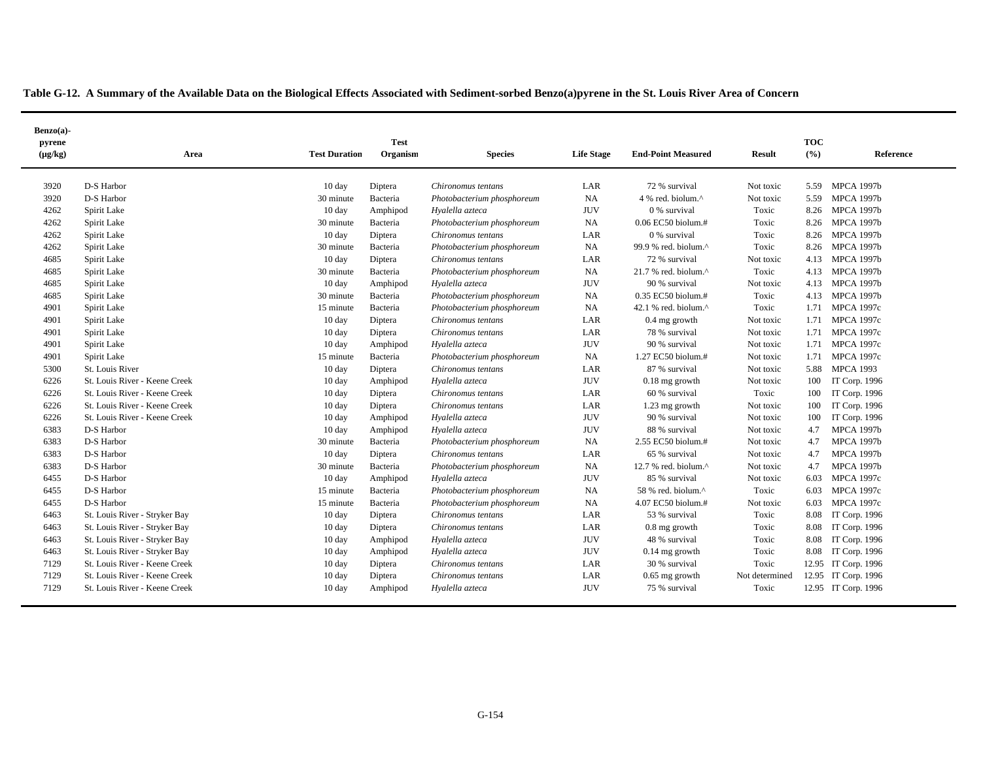|  | Table G-12. A Summary of the Available Data on the Biological Effects Associated with Sediment-sorbed Benzo(a)pyrene in the St. Louis River Area of Concern |
|--|-------------------------------------------------------------------------------------------------------------------------------------------------------------|
|  |                                                                                                                                                             |

| Benzo(a)-<br>pyrene<br>$(\mu g/kg)$ | Area                          | <b>Test Duration</b> | <b>Test</b><br>Organism | <b>Species</b>             | <b>Life Stage</b> | <b>End-Point Measured</b> | Result         | <b>TOC</b><br>(%) | Reference           |
|-------------------------------------|-------------------------------|----------------------|-------------------------|----------------------------|-------------------|---------------------------|----------------|-------------------|---------------------|
| 3920                                | D-S Harbor                    | 10 day               | Diptera                 | Chironomus tentans         | LAR               | 72 % survival             | Not toxic      | 5.59              | <b>MPCA 1997b</b>   |
| 3920                                | D-S Harbor                    | 30 minute            | Bacteria                | Photobacterium phosphoreum | <b>NA</b>         | 4 % red. biolum.^         | Not toxic      | 5.59              | <b>MPCA 1997b</b>   |
| 4262                                | Spirit Lake                   | 10 day               | Amphipod                | Hyalella azteca            | <b>JUV</b>        | 0 % survival              | Toxic          | 8.26              | <b>MPCA 1997b</b>   |
| 4262                                | Spirit Lake                   | 30 minute            | Bacteria                | Photobacterium phosphoreum | NA                | 0.06 EC50 biolum.#        | Toxic          | 8.26              | <b>MPCA 1997b</b>   |
| 4262                                | Spirit Lake                   | 10 day               | Diptera                 | Chironomus tentans         | LAR               | 0 % survival              | Toxic          | 8.26              | <b>MPCA 1997b</b>   |
| 4262                                | Spirit Lake                   | 30 minute            | Bacteria                | Photobacterium phosphoreum | NA                | 99.9 % red. biolum.^      | Toxic          | 8.26              | <b>MPCA 1997b</b>   |
| 4685                                | Spirit Lake                   | 10 day               | Diptera                 | Chironomus tentans         | LAR               | 72 % survival             | Not toxic      |                   | 4.13 MPCA 1997b     |
| 4685                                | Spirit Lake                   | 30 minute            | Bacteria                | Photobacterium phosphoreum | NA                | 21.7 % red. biolum.^      | Toxic          |                   | 4.13 MPCA 1997b     |
| 4685                                | Spirit Lake                   | 10 day               | Amphipod                | Hyalella azteca            | <b>JUV</b>        | 90 % survival             | Not toxic      | 4.13              | <b>MPCA 1997b</b>   |
| 4685                                | Spirit Lake                   | 30 minute            | Bacteria                | Photobacterium phosphoreum | <b>NA</b>         | $0.35$ EC50 biolum.#      | Toxic          | 4.13              | <b>MPCA 1997b</b>   |
| 4901                                | Spirit Lake                   | 15 minute            | Bacteria                | Photobacterium phosphoreum | NA                | 42.1 % red. biolum.^      | Toxic          |                   | 1.71 MPCA 1997c     |
| 4901                                | Spirit Lake                   | $10 \text{ day}$     | Diptera                 | Chironomus tentans         | LAR               | $0.4$ mg growth           | Not toxic      | 1.71              | <b>MPCA 1997c</b>   |
| 4901                                | Spirit Lake                   | $10 \text{ day}$     | Diptera                 | Chironomus tentans         | LAR               | 78 % survival             | Not toxic      | 1.71              | <b>MPCA 1997c</b>   |
| 4901                                | Spirit Lake                   | $10 \text{ day}$     | Amphipod                | Hyalella azteca            | <b>JUV</b>        | 90 % survival             | Not toxic      | 1.71              | <b>MPCA 1997c</b>   |
| 4901                                | Spirit Lake                   | 15 minute            | Bacteria                | Photobacterium phosphoreum | NA                | 1.27 EC50 biolum.#        | Not toxic      | 1.71              | <b>MPCA 1997c</b>   |
| 5300                                | St. Louis River               | $10 \text{ day}$     | Diptera                 | Chironomus tentans         | LAR               | 87 % survival             | Not toxic      | 5.88              | <b>MPCA 1993</b>    |
| 6226                                | St. Louis River - Keene Creek | 10 day               | Amphipod                | Hyalella azteca            | <b>JUV</b>        | $0.18$ mg growth          | Not toxic      | 100               | IT Corp. 1996       |
| 6226                                | St. Louis River - Keene Creek | 10 day               | Diptera                 | Chironomus tentans         | LAR               | 60 % survival             | Toxic          | 100               | IT Corp. 1996       |
| 6226                                | St. Louis River - Keene Creek | 10 day               | Diptera                 | Chironomus tentans         | LAR               | 1.23 mg growth            | Not toxic      | 100               | IT Corp. 1996       |
| 6226                                | St. Louis River - Keene Creek | 10 day               | Amphipod                | Hyalella azteca            | <b>JUV</b>        | 90 % survival             | Not toxic      | 100               | IT Corp. 1996       |
| 6383                                | D-S Harbor                    | 10 day               | Amphipod                | Hyalella azteca            | <b>JUV</b>        | 88 % survival             | Not toxic      | 4.7               | <b>MPCA 1997b</b>   |
| 6383                                | D-S Harbor                    | 30 minute            | Bacteria                | Photobacterium phosphoreum | NA                | 2.55 EC50 biolum.#        | Not toxic      | 4.7               | <b>MPCA 1997b</b>   |
| 6383                                | D-S Harbor                    | 10 day               | Diptera                 | Chironomus tentans         | LAR               | 65 % survival             | Not toxic      | 4.7               | <b>MPCA 1997b</b>   |
| 6383                                | D-S Harbor                    | 30 minute            | Bacteria                | Photobacterium phosphoreum | NA                | 12.7 % red. biolum.^      | Not toxic      | 4.7               | <b>MPCA 1997b</b>   |
| 6455                                | D-S Harbor                    | 10 day               | Amphipod                | Hyalella azteca            | <b>JUV</b>        | 85 % survival             | Not toxic      | 6.03              | <b>MPCA 1997c</b>   |
| 6455                                | D-S Harbor                    | 15 minute            | Bacteria                | Photobacterium phosphoreum | NA                | 58 % red. biolum.^        | Toxic          | 6.03              | <b>MPCA 1997c</b>   |
| 6455                                | D-S Harbor                    | 15 minute            | Bacteria                | Photobacterium phosphoreum | <b>NA</b>         | 4.07 EC50 biolum.#        | Not toxic      | 6.03              | <b>MPCA 1997c</b>   |
| 6463                                | St. Louis River - Stryker Bay | 10 day               | Diptera                 | Chironomus tentans         | LAR               | 53 % survival             | Toxic          | 8.08              | IT Corp. 1996       |
| 6463                                | St. Louis River - Stryker Bay | 10 day               | Diptera                 | Chironomus tentans         | LAR               | 0.8 mg growth             | Toxic          | 8.08              | IT Corp. 1996       |
| 6463                                | St. Louis River - Stryker Bay | $10 \text{ day}$     | Amphipod                | Hyalella azteca            | <b>JUV</b>        | 48 % survival             | Toxic          | 8.08              | IT Corp. 1996       |
| 6463                                | St. Louis River - Stryker Bay | $10 \text{ day}$     | Amphipod                | Hyalella azteca            | <b>JUV</b>        | $0.14$ mg growth          | Toxic          | 8.08              | IT Corp. 1996       |
| 7129                                | St. Louis River - Keene Creek | $10 \text{ day}$     | Diptera                 | Chironomus tentans         | LAR               | 30 % survival             | Toxic          |                   | 12.95 IT Corp. 1996 |
| 7129                                | St. Louis River - Keene Creek | 10 day               | Diptera                 | Chironomus tentans         | LAR               | $0.65$ mg growth          | Not determined |                   | 12.95 IT Corp. 1996 |
| 7129                                | St. Louis River - Keene Creek | $10 \text{ day}$     | Amphipod                | Hyalella azteca            | <b>JUV</b>        | 75 % survival             | Toxic          |                   | 12.95 IT Corp. 1996 |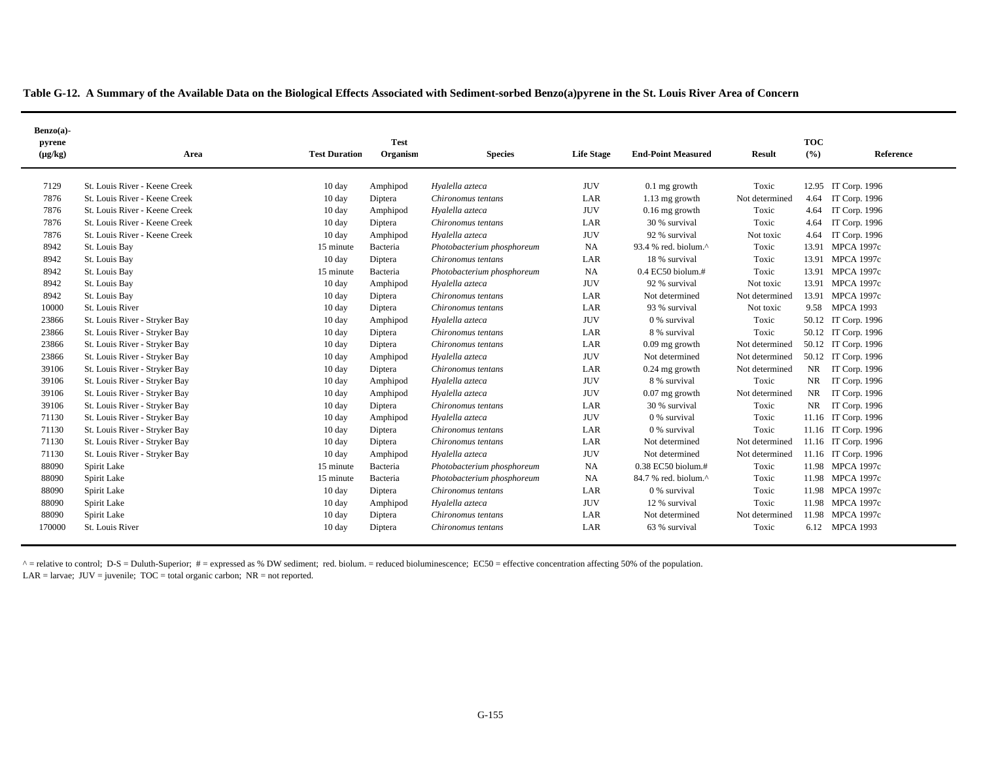|  | Table G-12. A Summary of the Available Data on the Biological Effects Associated with Sediment-sorbed Benzo(a)pyrene in the St. Louis River Area of Concern |  |
|--|-------------------------------------------------------------------------------------------------------------------------------------------------------------|--|
|  |                                                                                                                                                             |  |

| $Benzo(a)$ - |                               |                      |             |                            |                   |                           |                |            |                     |
|--------------|-------------------------------|----------------------|-------------|----------------------------|-------------------|---------------------------|----------------|------------|---------------------|
| pyrene       |                               |                      | <b>Test</b> |                            |                   |                           |                | <b>TOC</b> |                     |
| $(\mu g/kg)$ | Area                          | <b>Test Duration</b> | Organism    | <b>Species</b>             | <b>Life Stage</b> | <b>End-Point Measured</b> | <b>Result</b>  | (9/6)      | Reference           |
| 7129         | St. Louis River - Keene Creek | $10 \text{ day}$     | Amphipod    | Hyalella azteca            | <b>JUV</b>        | $0.1$ mg growth           | Toxic          |            | 12.95 IT Corp. 1996 |
| 7876         | St. Louis River - Keene Creek | 10 day               | Diptera     | Chironomus tentans         | LAR               | 1.13 mg growth            | Not determined | 4.64       | IT Corp. 1996       |
| 7876         | St. Louis River - Keene Creek | $10 \text{ day}$     | Amphipod    | Hyalella azteca            | <b>JUV</b>        | $0.16$ mg growth          | Toxic          | 4.64       | IT Corp. 1996       |
| 7876         | St. Louis River - Keene Creek | $10 \text{ day}$     | Diptera     | Chironomus tentans         | LAR               | 30 % survival             | Toxic          | 4.64       | IT Corp. 1996       |
| 7876         | St. Louis River - Keene Creek | $10 \text{ day}$     | Amphipod    | Hyalella azteca            | <b>JUV</b>        | 92 % survival             | Not toxic      | 4.64       | IT Corp. 1996       |
| 8942         | St. Louis Bay                 | 15 minute            | Bacteria    | Photobacterium phosphoreum | NA                | 93.4 % red. biolum.^      | Toxic          | 13.91      | <b>MPCA 1997c</b>   |
| 8942         | St. Louis Bay                 | 10 day               | Diptera     | Chironomus tentans         | LAR               | 18 % survival             | Toxic          | 13.91      | <b>MPCA 1997c</b>   |
| 8942         | St. Louis Bay                 | 15 minute            | Bacteria    | Photobacterium phosphoreum | NA                | $0.4$ EC50 biolum.#       | Toxic          |            | 13.91 MPCA 1997c    |
| 8942         | St. Louis Bay                 | $10 \text{ day}$     | Amphipod    | Hyalella azteca            | <b>JUV</b>        | 92 % survival             | Not toxic      |            | 13.91 MPCA 1997c    |
| 8942         | St. Louis Bay                 | $10 \text{ day}$     | Diptera     | Chironomus tentans         | LAR               | Not determined            | Not determined |            | 13.91 MPCA 1997c    |
| 10000        | St. Louis River               | $10 \text{ day}$     | Diptera     | Chironomus tentans         | LAR               | 93 % survival             | Not toxic      |            | 9.58 MPCA 1993      |
| 23866        | St. Louis River - Stryker Bay | $10 \text{ day}$     | Amphipod    | Hyalella azteca            | <b>JUV</b>        | 0 % survival              | Toxic          |            | 50.12 IT Corp. 1996 |
| 23866        | St. Louis River - Stryker Bay | 10 day               | Diptera     | Chironomus tentans         | LAR               | 8 % survival              | Toxic          |            | 50.12 IT Corp. 1996 |
| 23866        | St. Louis River - Stryker Bay | $10 \text{ day}$     | Diptera     | Chironomus tentans         | LAR               | $0.09$ mg growth          | Not determined |            | 50.12 IT Corp. 1996 |
| 23866        | St. Louis River - Stryker Bay | $10 \text{ day}$     | Amphipod    | Hyalella azteca            | <b>JUV</b>        | Not determined            | Not determined |            | 50.12 IT Corp. 1996 |
| 39106        | St. Louis River - Stryker Bay | 10 day               | Diptera     | Chironomus tentans         | LAR               | $0.24$ mg growth          | Not determined | NR         | IT Corp. 1996       |
| 39106        | St. Louis River - Stryker Bay | $10 \text{ day}$     | Amphipod    | Hyalella azteca            | <b>JUV</b>        | 8 % survival              | Toxic          | <b>NR</b>  | IT Corp. 1996       |
| 39106        | St. Louis River - Stryker Bay | $10 \text{ day}$     | Amphipod    | Hyalella azteca            | <b>JUV</b>        | $0.07$ mg growth          | Not determined | NR         | IT Corp. 1996       |
| 39106        | St. Louis River - Stryker Bay | $10 \text{ day}$     | Diptera     | Chironomus tentans         | LAR               | 30 % survival             | Toxic          | <b>NR</b>  | IT Corp. 1996       |
| 71130        | St. Louis River - Stryker Bay | $10 \text{ day}$     | Amphipod    | Hyalella azteca            | <b>JUV</b>        | 0 % survival              | Toxic          | 11.16      | IT Corp. 1996       |
| 71130        | St. Louis River - Stryker Bay | $10 \text{ day}$     | Diptera     | Chironomus tentans         | LAR               | 0 % survival              | Toxic          |            | 11.16 IT Corp. 1996 |
| 71130        | St. Louis River - Stryker Bay | $10 \text{ day}$     | Diptera     | Chironomus tentans         | LAR               | Not determined            | Not determined |            | 11.16 IT Corp. 1996 |
| 71130        | St. Louis River - Stryker Bay | $10 \text{ day}$     | Amphipod    | Hyalella azteca            | <b>JUV</b>        | Not determined            | Not determined |            | 11.16 IT Corp. 1996 |
| 88090        | Spirit Lake                   | 15 minute            | Bacteria    | Photobacterium phosphoreum | <b>NA</b>         | $0.38$ EC50 biolum.#      | Toxic          |            | 11.98 MPCA 1997c    |
| 88090        | Spirit Lake                   | 15 minute            | Bacteria    | Photobacterium phosphoreum | NA                | 84.7 % red. biolum.^      | Toxic          |            | 11.98 MPCA 1997c    |
| 88090        | Spirit Lake                   | $10 \text{ day}$     | Diptera     | Chironomus tentans         | LAR               | 0 % survival              | Toxic          |            | 11.98 MPCA 1997c    |
| 88090        | Spirit Lake                   | $10 \text{ day}$     | Amphipod    | Hyalella azteca            | <b>JUV</b>        | 12 % survival             | Toxic          |            | 11.98 MPCA 1997c    |
| 88090        | Spirit Lake                   | $10 \text{ day}$     | Diptera     | Chironomus tentans         | LAR               | Not determined            | Not determined |            | 11.98 MPCA 1997c    |
| 170000       | St. Louis River               | $10 \text{ day}$     | Diptera     | Chironomus tentans         | LAR               | 63 % survival             | Toxic          |            | 6.12 MPCA 1993      |

 $^{\circ}$  = relative to control; D-S = Duluth-Superior; # = expressed as % DW sediment; red. biolum. = reduced bioluminescence; EC50 = effective concentration affecting 50% of the population.  $LAR =$  larvae;  $JUV =$  juvenile;  $TOC =$  total organic carbon;  $NR =$  not reported.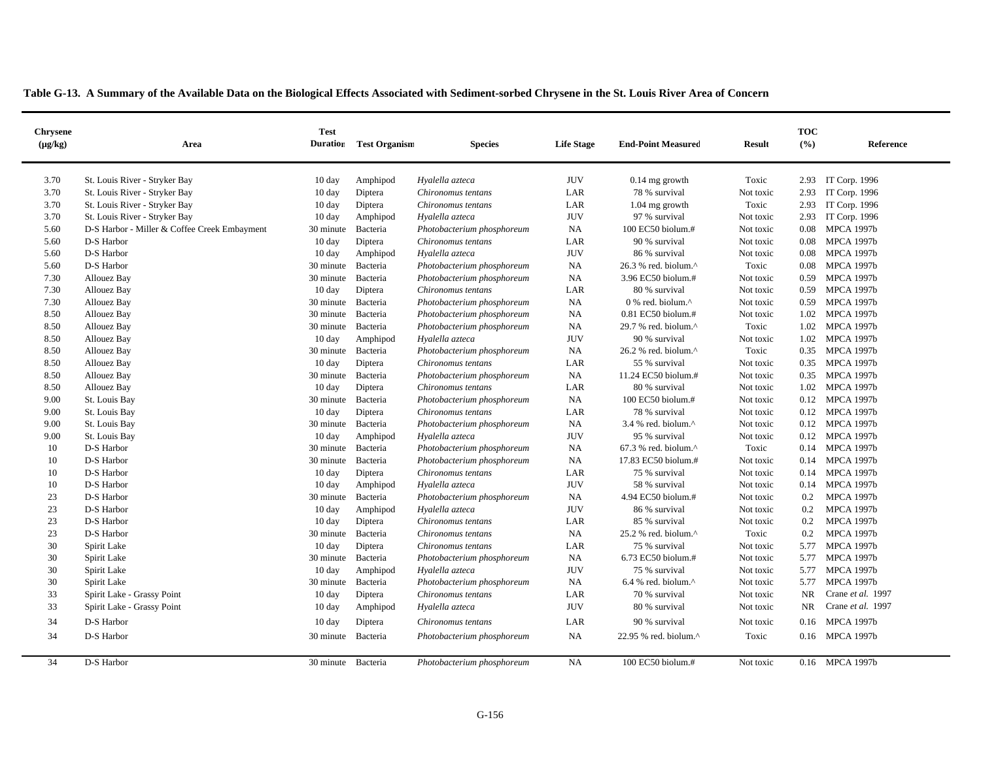| <b>Chrysene</b><br>$(\mu g/kg)$ | Area                                         | <b>Test</b><br><b>Duration</b> | <b>Test Organism</b> | <b>Species</b>             | <b>Life Stage</b> | <b>End-Point Measured</b>                           | <b>Result</b> | <b>TOC</b><br>(%) | Reference         |
|---------------------------------|----------------------------------------------|--------------------------------|----------------------|----------------------------|-------------------|-----------------------------------------------------|---------------|-------------------|-------------------|
| 3.70                            | St. Louis River - Stryker Bay                | $10 \text{ day}$               | Amphipod             | Hyalella azteca            | <b>JUV</b>        | $0.14$ mg growth                                    | Toxic         | 2.93              | IT Corp. 1996     |
| 3.70                            | St. Louis River - Stryker Bay                | $10 \text{ day}$               | Diptera              | Chironomus tentans         | LAR               | 78 % survival                                       | Not toxic     | 2.93              | IT Corp. 1996     |
| 3.70                            | St. Louis River - Stryker Bay                | $10 \text{ day}$               | Diptera              | Chironomus tentans         | LAR               | $1.04$ mg growth                                    | Toxic         | 2.93              | IT Corp. 1996     |
| 3.70                            | St. Louis River - Stryker Bay                | $10 \text{ day}$               | Amphipod             | Hyalella azteca            | <b>JUV</b>        | 97 % survival                                       | Not toxic     | 2.93              | IT Corp. 1996     |
| 5.60                            | D-S Harbor - Miller & Coffee Creek Embayment | 30 minute                      | Bacteria             | Photobacterium phosphoreum | NA                | 100 EC50 biolum.#                                   | Not toxic     | 0.08              | <b>MPCA 1997b</b> |
| 5.60                            | D-S Harbor                                   | $10 \text{ day}$               | Diptera              | Chironomus tentans         | LAR               | 90 % survival                                       | Not toxic     | 0.08              | <b>MPCA 1997b</b> |
| 5.60                            | D-S Harbor                                   | $10 \text{ day}$               | Amphipod             | Hyalella azteca            | <b>JUV</b>        | 86 % survival                                       | Not toxic     | 0.08              | <b>MPCA 1997b</b> |
| 5.60                            | D-S Harbor                                   | 30 minute                      | Bacteria             | Photobacterium phosphoreum | NA                | 26.3 % red. biolum.^                                | Toxic         | 0.08              | <b>MPCA 1997b</b> |
| 7.30                            | Allouez Bay                                  | 30 minute                      | Bacteria             | Photobacterium phosphoreum | NA                | 3.96 EC50 biolum.#                                  | Not toxic     | 0.59              | <b>MPCA 1997b</b> |
| 7.30                            | Allouez Bay                                  | $10 \text{ day}$               | Diptera              | Chironomus tentans         | LAR               | 80 % survival                                       | Not toxic     | 0.59              | <b>MPCA 1997b</b> |
| 7.30                            | Allouez Bay                                  | 30 minute                      | Bacteria             | Photobacterium phosphoreum | NA                | $0\%$ red. biolum. <sup><math>\wedge</math></sup>   | Not toxic     | 0.59              | <b>MPCA 1997b</b> |
| 8.50                            | Allouez Bay                                  | 30 minute                      | Bacteria             | Photobacterium phosphoreum | NA                | $0.81$ EC50 biolum.#                                | Not toxic     | 1.02              | <b>MPCA 1997b</b> |
| 8.50                            | Allouez Bay                                  | 30 minute                      | Bacteria             | Photobacterium phosphoreum | NA                | 29.7 % red. biolum.^                                | Toxic         |                   | 1.02 MPCA 1997b   |
| 8.50                            | Allouez Bay                                  | 10 day                         | Amphipod             | Hyalella azteca            | <b>JUV</b>        | 90 % survival                                       | Not toxic     | 1.02              | <b>MPCA 1997b</b> |
| 8.50                            | <b>Allouez Bay</b>                           | 30 minute                      | Bacteria             | Photobacterium phosphoreum | NA                | $26.2$ % red. biolum. $^{\wedge}$                   | Toxic         | 0.35              | <b>MPCA 1997b</b> |
| 8.50                            | Allouez Bay                                  | $10 \text{ day}$               | Diptera              | Chironomus tentans         | LAR               | 55 % survival                                       | Not toxic     |                   | 0.35 MPCA 1997b   |
| 8.50                            | Allouez Bay                                  | 30 minute                      | Bacteria             | Photobacterium phosphoreum | NA                | 11.24 EC50 biolum.#                                 | Not toxic     | 0.35              | <b>MPCA 1997b</b> |
| 8.50                            | Allouez Bay                                  | $10 \text{ day}$               | Diptera              | Chironomus tentans         | LAR               | 80 % survival                                       | Not toxic     | 1.02              | <b>MPCA 1997b</b> |
| 9.00                            | St. Louis Bay                                | 30 minute                      | Bacteria             | Photobacterium phosphoreum | NA                | 100 EC50 biolum.#                                   | Not toxic     |                   | 0.12 MPCA 1997b   |
| 9.00                            | St. Louis Bay                                | $10 \text{ day}$               | Diptera              | Chironomus tentans         | LAR               | 78 % survival                                       | Not toxic     | 0.12              | <b>MPCA 1997b</b> |
| 9.00                            | St. Louis Bay                                | 30 minute                      | Bacteria             | Photobacterium phosphoreum | NA                | 3.4 % red. biolum.^                                 | Not toxic     |                   | 0.12 MPCA 1997b   |
| 9.00                            | St. Louis Bay                                | $10 \text{ day}$               | Amphipod             | Hyalella azteca            | <b>JUV</b>        | 95 % survival                                       | Not toxic     | 0.12              | <b>MPCA 1997b</b> |
| 10                              | D-S Harbor                                   | 30 minute                      | Bacteria             | Photobacterium phosphoreum | NA                | 67.3 % red. biolum.^                                | Toxic         | 0.14              | <b>MPCA 1997b</b> |
| 10                              | D-S Harbor                                   | 30 minute                      | Bacteria             | Photobacterium phosphoreum | NA                | 17.83 EC50 biolum.#                                 | Not toxic     |                   | 0.14 MPCA 1997b   |
| 10                              | D-S Harbor                                   | $10 \text{ day}$               | Diptera              | Chironomus tentans         | LAR               | 75 % survival                                       | Not toxic     | 0.14              | <b>MPCA 1997b</b> |
| 10                              | D-S Harbor                                   | $10 \text{ day}$               | Amphipod             | Hyalella azteca            | <b>JUV</b>        | 58 % survival                                       | Not toxic     | 0.14              | <b>MPCA 1997b</b> |
| 23                              | D-S Harbor                                   | 30 minute                      | Bacteria             | Photobacterium phosphoreum | NA                | 4.94 EC50 biolum.#                                  | Not toxic     | 0.2               | <b>MPCA 1997b</b> |
| 23                              | D-S Harbor                                   | $10 \text{ day}$               | Amphipod             | Hyalella azteca            | <b>JUV</b>        | 86 % survival                                       | Not toxic     | 0.2               | <b>MPCA 1997b</b> |
| 23                              | D-S Harbor                                   | $10 \text{ day}$               | Diptera              | Chironomus tentans         | LAR               | 85 % survival                                       | Not toxic     | 0.2               | <b>MPCA 1997b</b> |
| 23                              | D-S Harbor                                   | 30 minute                      | Bacteria             | Chironomus tentans         | NA                | 25.2 % red. biolum.^                                | Toxic         | 0.2               | <b>MPCA 1997b</b> |
| 30                              | Spirit Lake                                  | $10 \text{ day}$               | Diptera              | Chironomus tentans         | LAR               | 75 % survival                                       | Not toxic     | 5.77              | <b>MPCA 1997b</b> |
| 30                              | Spirit Lake                                  | 30 minute Bacteria             |                      | Photobacterium phosphoreum | NA                | 6.73 EC50 biolum.#                                  | Not toxic     | 5.77              | <b>MPCA 1997b</b> |
| 30                              | Spirit Lake                                  | 10 day                         | Amphipod             | Hyalella azteca            | <b>JUV</b>        | 75 % survival                                       | Not toxic     | 5.77              | <b>MPCA 1997b</b> |
| 30                              | Spirit Lake                                  | 30 minute                      | Bacteria             | Photobacterium phosphoreum | NA                | $6.4$ % red. biolum. <sup><math>\wedge</math></sup> | Not toxic     | 5.77              | <b>MPCA 1997b</b> |
| 33                              | Spirit Lake - Grassy Point                   | $10 \text{ day}$               | Diptera              | Chironomus tentans         | LAR               | 70 % survival                                       | Not toxic     | <b>NR</b>         | Crane et al. 1997 |
| 33                              | Spirit Lake - Grassy Point                   | $10 \text{ day}$               | Amphipod             | Hyalella azteca            | <b>JUV</b>        | 80 % survival                                       | Not toxic     | <b>NR</b>         | Crane et al. 1997 |
| 34                              | D-S Harbor                                   | $10 \text{ day}$               | Diptera              | Chironomus tentans         | LAR               | 90 % survival                                       | Not toxic     | 0.16              | <b>MPCA 1997b</b> |
| 34                              | D-S Harbor                                   | 30 minute                      | Bacteria             | Photobacterium phosphoreum | NA                | 22.95 % red. biolum.^                               | Toxic         | 0.16              | <b>MPCA 1997b</b> |
| 34                              | D-S Harbor                                   | 30 minute Bacteria             |                      | Photobacterium phosphoreum | NA                | 100 EC50 biolum.#                                   | Not toxic     |                   | 0.16 MPCA 1997b   |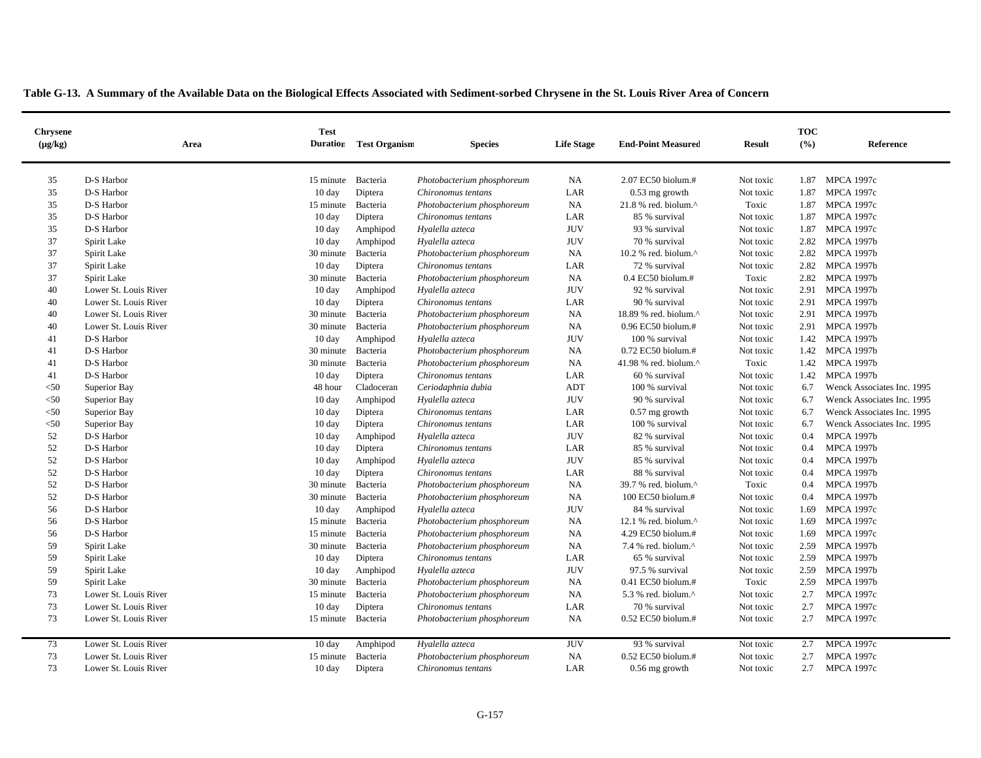| <b>Chrysene</b> |                       | Area | <b>Test</b><br><b>Duration</b> | <b>Test Organism</b> |                            | <b>Life Stage</b> | <b>End-Point Measured</b>        | <b>Result</b> | <b>TOC</b><br>(%) | Reference                  |
|-----------------|-----------------------|------|--------------------------------|----------------------|----------------------------|-------------------|----------------------------------|---------------|-------------------|----------------------------|
| $(\mu g/kg)$    |                       |      |                                |                      | <b>Species</b>             |                   |                                  |               |                   |                            |
|                 |                       |      |                                |                      |                            |                   |                                  |               |                   |                            |
| 35              | D-S Harbor            |      | 15 minute                      | Bacteria             | Photobacterium phosphoreum | <b>NA</b>         | 2.07 EC50 biolum.#               | Not toxic     | 1.87              | <b>MPCA 1997c</b>          |
| 35              | D-S Harbor            |      | 10 day                         | Diptera              | Chironomus tentans         | LAR               | $0.53$ mg growth                 | Not toxic     | 1.87              | <b>MPCA 1997c</b>          |
| 35              | D-S Harbor            |      | 15 minute                      | Bacteria             | Photobacterium phosphoreum | NA                | 21.8 % red. biolum.^             | Toxic         | 1.87              | <b>MPCA 1997c</b>          |
| 35              | D-S Harbor            |      | $10 \text{ day}$               | Diptera              | Chironomus tentans         | LAR               | 85 % survival                    | Not toxic     | 1.87              | <b>MPCA 1997c</b>          |
| 35              | D-S Harbor            |      | $10 \text{ day}$               | Amphipod             | Hyalella azteca            | <b>JUV</b>        | 93 % survival                    | Not toxic     | 1.87              | <b>MPCA 1997c</b>          |
| 37              | Spirit Lake           |      | $10 \text{ day}$               | Amphipod             | Hyalella azteca            | <b>JUV</b>        | 70 % survival                    | Not toxic     | 2.82              | <b>MPCA 1997b</b>          |
| 37              | Spirit Lake           |      | 30 minute                      | Bacteria             | Photobacterium phosphoreum | NA                | 10.2 % red. biolum.^             | Not toxic     | 2.82              | <b>MPCA 1997b</b>          |
| 37              | Spirit Lake           |      | $10 \text{ day}$               | Diptera              | Chironomus tentans         | LAR               | 72 % survival                    | Not toxic     |                   | 2.82 MPCA 1997b            |
| 37              | Spirit Lake           |      | 30 minute                      | Bacteria             | Photobacterium phosphoreum | <b>NA</b>         | $0.4$ EC50 biolum.#              | Toxic         | 2.82              | <b>MPCA 1997b</b>          |
| 40              | Lower St. Louis River |      | 10 day                         | Amphipod             | Hyalella azteca            | <b>JUV</b>        | 92 % survival                    | Not toxic     | 2.91              | <b>MPCA 1997b</b>          |
| 40              | Lower St. Louis River |      | $10 \text{ day}$               | Diptera              | Chironomus tentans         | LAR               | 90 % survival                    | Not toxic     | 2.91              | <b>MPCA 1997b</b>          |
| 40              | Lower St. Louis River |      | 30 minute                      | Bacteria             | Photobacterium phosphoreum | <b>NA</b>         | 18.89 % red. biolum.^            | Not toxic     | 2.91              | <b>MPCA 1997b</b>          |
| 40              | Lower St. Louis River |      | 30 minute                      | Bacteria             | Photobacterium phosphoreum | <b>NA</b>         | $0.96$ EC50 biolum.#             | Not toxic     |                   | 2.91 MPCA 1997b            |
| 41              | D-S Harbor            |      | $10 \text{ day}$               | Amphipod             | Hyalella azteca            | <b>JUV</b>        | 100 % survival                   | Not toxic     | 1.42              | <b>MPCA 1997b</b>          |
| 41              | D-S Harbor            |      | 30 minute                      | Bacteria             | Photobacterium phosphoreum | <b>NA</b>         | 0.72 EC50 biolum.#               | Not toxic     | 1.42              | <b>MPCA 1997b</b>          |
| 41              | D-S Harbor            |      | 30 minute                      | Bacteria             | Photobacterium phosphoreum | <b>NA</b>         | 41.98 % red. biolum. $^{\wedge}$ | Toxic         |                   | 1.42 MPCA 1997b            |
| 41              | D-S Harbor            |      | 10 day                         | Diptera              | Chironomus tentans         | LAR               | 60 % survival                    | Not toxic     | 1.42              | <b>MPCA 1997b</b>          |
| $50$            | Superior Bay          |      | 48 hour                        | Cladoceran           | Ceriodaphnia dubia         | <b>ADT</b>        | 100 % survival                   | Not toxic     | 6.7               | Wenck Associates Inc. 1995 |
| $<$ 50          | Superior Bay          |      | $10 \text{ day}$               | Amphipod             | Hyalella azteca            | <b>JUV</b>        | 90 % survival                    | Not toxic     | 6.7               | Wenck Associates Inc. 1995 |
| < 50            | Superior Bay          |      | $10 \text{ day}$               | Diptera              | Chironomus tentans         | LAR               | $0.57$ mg growth                 | Not toxic     | 6.7               | Wenck Associates Inc. 1995 |
| $50$            | Superior Bay          |      | 10 day                         | Diptera              | Chironomus tentans         | LAR               | 100 % survival                   | Not toxic     | 6.7               | Wenck Associates Inc. 1995 |
| 52              | D-S Harbor            |      | $10 \text{ day}$               | Amphipod             | Hyalella azteca            | <b>JUV</b>        | 82 % survival                    | Not toxic     | 0.4               | <b>MPCA 1997b</b>          |
| 52              | D-S Harbor            |      | $10 \text{ day}$               | Diptera              | Chironomus tentans         | LAR               | 85 % survival                    | Not toxic     | 0.4               | <b>MPCA 1997b</b>          |
| 52              | D-S Harbor            |      | $10 \text{ day}$               | Amphipod             | Hyalella azteca            | <b>JUV</b>        | 85 % survival                    | Not toxic     | 0.4               | <b>MPCA 1997b</b>          |
| 52              | D-S Harbor            |      | $10 \text{ day}$               | Diptera              | Chironomus tentans         | LAR               | 88 % survival                    | Not toxic     | 0.4               | <b>MPCA 1997b</b>          |
| 52              | D-S Harbor            |      | 30 minute                      | Bacteria             | Photobacterium phosphoreum | <b>NA</b>         | 39.7 % red. biolum.^             | Toxic         | 0.4               | <b>MPCA 1997b</b>          |
| 52              | D-S Harbor            |      | 30 minute                      | Bacteria             | Photobacterium phosphoreum | <b>NA</b>         | 100 EC50 biolum.#                | Not toxic     | 0.4               | <b>MPCA 1997b</b>          |
| 56              | D-S Harbor            |      | $10 \text{ day}$               | Amphipod             | Hyalella azteca            | <b>JUV</b>        | 84 % survival                    | Not toxic     | 1.69              | <b>MPCA 1997c</b>          |
| 56              | D-S Harbor            |      | 15 minute                      | Bacteria             | Photobacterium phosphoreum | NA                | 12.1 % red. biolum.^             | Not toxic     | 1.69              | <b>MPCA 1997c</b>          |
| 56              | D-S Harbor            |      | 15 minute                      | Bacteria             | Photobacterium phosphoreum | <b>NA</b>         | 4.29 EC50 biolum.#               | Not toxic     | 1.69              | <b>MPCA 1997c</b>          |
| 59              | Spirit Lake           |      | 30 minute                      | Bacteria             | Photobacterium phosphoreum | <b>NA</b>         | 7.4 % red. biolum.^              | Not toxic     | 2.59              | <b>MPCA 1997b</b>          |
| 59              | Spirit Lake           |      | $10 \text{ day}$               | Diptera              | Chironomus tentans         | LAR               | 65 % survival                    | Not toxic     | 2.59              | <b>MPCA 1997b</b>          |
| 59              | Spirit Lake           |      | $10 \text{ day}$               | Amphipod             | Hyalella azteca            | <b>JUV</b>        | 97.5 % survival                  | Not toxic     | 2.59              | <b>MPCA 1997b</b>          |
| 59              | Spirit Lake           |      | 30 minute                      | Bacteria             | Photobacterium phosphoreum | <b>NA</b>         | 0.41 EC50 biolum.#               | Toxic         | 2.59              | <b>MPCA 1997b</b>          |
| 73              | Lower St. Louis River |      | 15 minute                      | Bacteria             | Photobacterium phosphoreum | <b>NA</b>         | 5.3 % red. biolum.^              | Not toxic     | 2.7               | <b>MPCA 1997c</b>          |
| 73              | Lower St. Louis River |      | $10 \text{ day}$               | Diptera              | Chironomus tentans         | LAR               | 70 % survival                    | Not toxic     | 2.7               | <b>MPCA 1997c</b>          |
| 73              | Lower St. Louis River |      | 15 minute                      | Bacteria             | Photobacterium phosphoreum | <b>NA</b>         | 0.52 EC50 biolum.#               | Not toxic     | 2.7               | <b>MPCA 1997c</b>          |
|                 |                       |      |                                |                      |                            |                   |                                  |               |                   |                            |
| 73              | Lower St. Louis River |      | $10 \text{ day}$               | Amphipod             | Hyalella azteca            | <b>JUV</b>        | 93 % survival                    | Not toxic     | 2.7               | <b>MPCA 1997c</b>          |
| 73              | Lower St. Louis River |      | 15 minute                      | Bacteria             | Photobacterium phosphoreum | NA                | $0.52$ EC50 biolum.#             | Not toxic     | 2.7               | <b>MPCA 1997c</b>          |
| 73              | Lower St. Louis River |      | $10 \text{ day}$               | Diptera              | Chironomus tentans         | LAR               | $0.56$ mg growth                 | Not toxic     | 2.7               | <b>MPCA 1997c</b>          |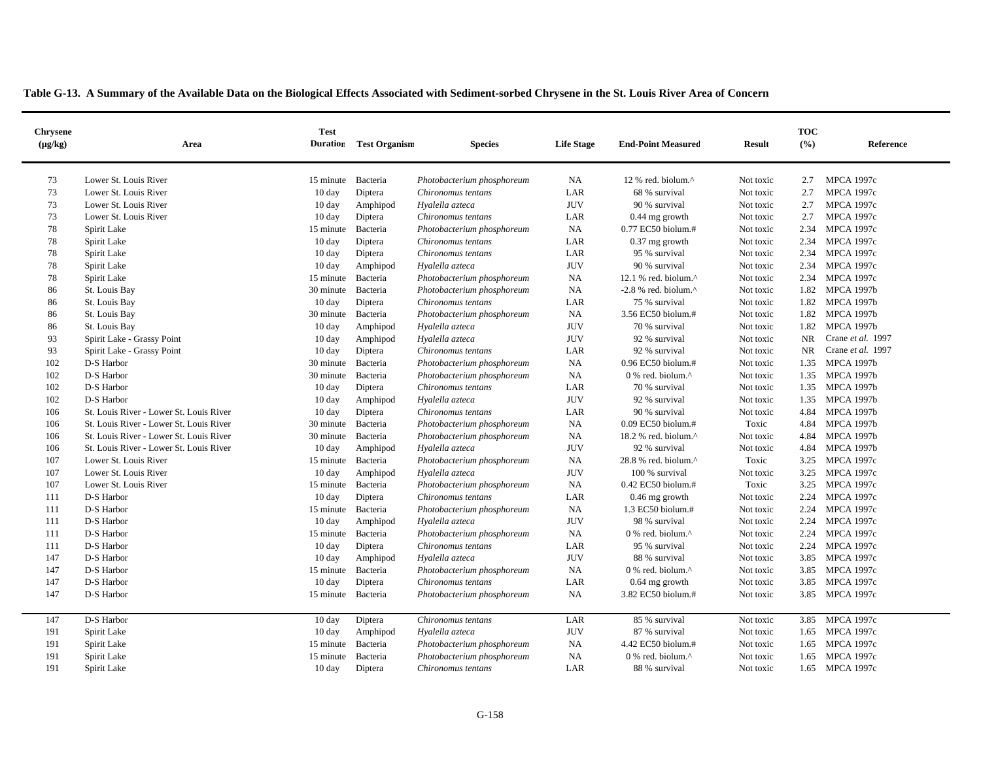|  |  |  |  | Table G-13. A Summary of the Available Data on the Biological Effects Associated with Sediment-sorbed Chrysene in the St. Louis River Area of Concern |  |
|--|--|--|--|-------------------------------------------------------------------------------------------------------------------------------------------------------|--|
|--|--|--|--|-------------------------------------------------------------------------------------------------------------------------------------------------------|--|

| <b>Chrysene</b><br>$(\mu g/kg)$ | Area                                    | <b>Test</b>      | <b>Duration</b> Test Organism | <b>Species</b>             | <b>Life Stage</b> | <b>End-Point Measured</b>                         | <b>Result</b> | <b>TOC</b><br>(%) | Reference         |
|---------------------------------|-----------------------------------------|------------------|-------------------------------|----------------------------|-------------------|---------------------------------------------------|---------------|-------------------|-------------------|
|                                 |                                         |                  |                               |                            |                   |                                                   |               |                   |                   |
| 73                              | Lower St. Louis River                   | 15 minute        | Bacteria                      | Photobacterium phosphoreum | NA                | 12 % red. biolum.^                                | Not toxic     | 2.7               | <b>MPCA 1997c</b> |
| 73                              | Lower St. Louis River                   | 10 day           | Diptera                       | Chironomus tentans         | LAR               | 68 % survival                                     | Not toxic     | 2.7               | <b>MPCA 1997c</b> |
| 73                              | Lower St. Louis River                   | $10 \text{ day}$ | Amphipod                      | Hyalella azteca            | <b>JUV</b>        | 90 % survival                                     | Not toxic     | 2.7               | <b>MPCA 1997c</b> |
| 73                              | Lower St. Louis River                   | $10 \text{ day}$ | Diptera                       | Chironomus tentans         | LAR               | $0.44$ mg growth                                  | Not toxic     | 2.7               | <b>MPCA 1997c</b> |
| 78                              | Spirit Lake                             | 15 minute        | Bacteria                      | Photobacterium phosphoreum | NA                | 0.77 EC50 biolum.#                                | Not toxic     | 2.34              | <b>MPCA 1997c</b> |
| 78                              | Spirit Lake                             | $10 \text{ day}$ | Diptera                       | Chironomus tentans         | LAR               | $0.37$ mg growth                                  | Not toxic     | 2.34              | <b>MPCA 1997c</b> |
| 78                              | Spirit Lake                             | 10 day           | Diptera                       | Chironomus tentans         | LAR               | 95 % survival                                     | Not toxic     | 2.34              | <b>MPCA 1997c</b> |
| 78                              | Spirit Lake                             | 10 day           | Amphipod                      | Hyalella azteca            | <b>JUV</b>        | 90 % survival                                     | Not toxic     | 2.34              | <b>MPCA 1997c</b> |
| 78                              | Spirit Lake                             | 15 minute        | Bacteria                      | Photobacterium phosphoreum | NA.               | 12.1 % red. biolum.^                              | Not toxic     | 2.34              | <b>MPCA 1997c</b> |
| 86                              | St. Louis Bay                           | 30 minute        | Bacteria                      | Photobacterium phosphoreum | NA                | -2.8 % red. biolum. $^{\wedge}$                   | Not toxic     | 1.82              | <b>MPCA 1997b</b> |
| 86                              | St. Louis Bay                           | $10 \text{ day}$ | Diptera                       | Chironomus tentans         | LAR               | 75 % survival                                     | Not toxic     | 1.82              | <b>MPCA 1997b</b> |
| 86                              | St. Louis Bay                           | 30 minute        | Bacteria                      | Photobacterium phosphoreum | <b>NA</b>         | 3.56 EC50 biolum.#                                | Not toxic     | 1.82              | <b>MPCA 1997b</b> |
| 86                              | St. Louis Bay                           | 10 day           | Amphipod                      | Hyalella azteca            | <b>JUV</b>        | 70 % survival                                     | Not toxic     | 1.82              | <b>MPCA 1997b</b> |
| 93                              | Spirit Lake - Grassy Point              | 10 day           | Amphipod                      | Hyalella azteca            | <b>JUV</b>        | 92 % survival                                     | Not toxic     | <b>NR</b>         | Crane et al. 1997 |
| 93                              | Spirit Lake - Grassy Point              | $10 \text{ day}$ | Diptera                       | Chironomus tentans         | LAR               | 92 % survival                                     | Not toxic     | NR.               | Crane et al. 1997 |
| 102                             | D-S Harbor                              | 30 minute        | Bacteria                      | Photobacterium phosphoreum | NA                | 0.96 EC50 biolum.#                                | Not toxic     | 1.35              | <b>MPCA 1997b</b> |
| 102                             | D-S Harbor                              | 30 minute        | Bacteria                      | Photobacterium phosphoreum | NA                | 0 % red. biolum.^                                 | Not toxic     | 1.35              | <b>MPCA 1997b</b> |
| 102                             | D-S Harbor                              | $10 \text{ day}$ | Diptera                       | Chironomus tentans         | LAR               | 70 % survival                                     | Not toxic     |                   | 1.35 MPCA 1997b   |
| 102                             | D-S Harbor                              | 10 day           | Amphipod                      | Hyalella azteca            | <b>JUV</b>        | 92 % survival                                     | Not toxic     | 1.35              | <b>MPCA 1997b</b> |
| 106                             | St. Louis River - Lower St. Louis River | $10 \text{ day}$ | Diptera                       | Chironomus tentans         | LAR               | 90 % survival                                     | Not toxic     | 4.84              | <b>MPCA 1997b</b> |
| 106                             | St. Louis River - Lower St. Louis River | 30 minute        | Bacteria                      | Photobacterium phosphoreum | NA                | 0.09 EC50 biolum.#                                | Toxic         | 4.84              | <b>MPCA 1997b</b> |
| 106                             | St. Louis River - Lower St. Louis River | 30 minute        | Bacteria                      | Photobacterium phosphoreum | <b>NA</b>         | 18.2 % red. biolum.^                              | Not toxic     | 4.84              | <b>MPCA 1997b</b> |
| 106                             | St. Louis River - Lower St. Louis River | $10 \text{ day}$ | Amphipod                      | Hyalella azteca            | <b>JUV</b>        | 92 % survival                                     | Not toxic     | 4.84              | <b>MPCA 1997b</b> |
| 107                             | Lower St. Louis River                   | 15 minute        | Bacteria                      | Photobacterium phosphoreum | <b>NA</b>         | 28.8 % red. biolum.^                              | Toxic         | 3.25              | MPCA 1997c        |
| 107                             | Lower St. Louis River                   | 10 day           | Amphipod                      | Hyalella azteca            | <b>JUV</b>        | 100 % survival                                    | Not toxic     | 3.25              | <b>MPCA 1997c</b> |
| 107                             | Lower St. Louis River                   | 15 minute        | Bacteria                      | Photobacterium phosphoreum | NA                | 0.42 EC50 biolum.#                                | Toxic         | 3.25              | <b>MPCA 1997c</b> |
| 111                             | D-S Harbor                              | $10 \text{ day}$ | Diptera                       | Chironomus tentans         | LAR               | $0.46$ mg growth                                  | Not toxic     | 2.24              | <b>MPCA 1997c</b> |
| 111                             | D-S Harbor                              | 15 minute        | Bacteria                      | Photobacterium phosphoreum | <b>NA</b>         | 1.3 EC50 biolum.#                                 | Not toxic     | 2.24              | <b>MPCA 1997c</b> |
| 111                             | D-S Harbor                              | 10 day           | Amphipod                      | Hyalella azteca            | <b>JUV</b>        | 98 % survival                                     | Not toxic     | 2.24              | <b>MPCA 1997c</b> |
| 111                             | D-S Harbor                              | 15 minute        | Bacteria                      | Photobacterium phosphoreum | NA                | 0 % red. biolum.^                                 | Not toxic     | 2.24              | <b>MPCA 1997c</b> |
| 111                             | D-S Harbor                              | $10 \text{ day}$ | Diptera                       | Chironomus tentans         | LAR               | 95 % survival                                     | Not toxic     | 2.24              | <b>MPCA 1997c</b> |
| 147                             | D-S Harbor                              | $10 \text{ day}$ | Amphipod                      | Hyalella azteca            | <b>JUV</b>        | 88 % survival                                     | Not toxic     | 3.85              | MPCA 1997c        |
| 147                             | D-S Harbor                              | 15 minute        | Bacteria                      | Photobacterium phosphoreum | <b>NA</b>         | 0 % red. biolum.^                                 | Not toxic     | 3.85              | MPCA 1997c        |
| 147                             | D-S Harbor                              | $10 \text{ day}$ | Diptera                       | Chironomus tentans         | LAR               | $0.64$ mg growth                                  | Not toxic     | 3.85              | <b>MPCA 1997c</b> |
| 147                             | D-S Harbor                              | 15 minute        | Bacteria                      | Photobacterium phosphoreum | NA                | 3.82 EC50 biolum.#                                | Not toxic     |                   | 3.85 MPCA 1997c   |
| 147                             | D-S Harbor                              | $10 \text{ day}$ | Diptera                       | Chironomus tentans         | LAR               | 85 % survival                                     | Not toxic     | 3.85              | <b>MPCA 1997c</b> |
| 191                             | Spirit Lake                             | $10 \text{ day}$ | Amphipod                      | Hyalella azteca            | <b>JUV</b>        | 87 % survival                                     | Not toxic     | 1.65              | <b>MPCA 1997c</b> |
| 191                             | Spirit Lake                             | 15 minute        | Bacteria                      | Photobacterium phosphoreum | <b>NA</b>         | 4.42 EC50 biolum.#                                | Not toxic     | 1.65              | <b>MPCA 1997c</b> |
| 191                             | Spirit Lake                             | 15 minute        | Bacteria                      | Photobacterium phosphoreum | NA                | $0\%$ red. biolum. <sup><math>\wedge</math></sup> | Not toxic     | 1.65              | <b>MPCA 1997c</b> |
| 191                             | Spirit Lake                             | $10 \text{ day}$ | Diptera                       | Chironomus tentans         | LAR               | 88 % survival                                     | Not toxic     |                   | 1.65 MPCA 1997c   |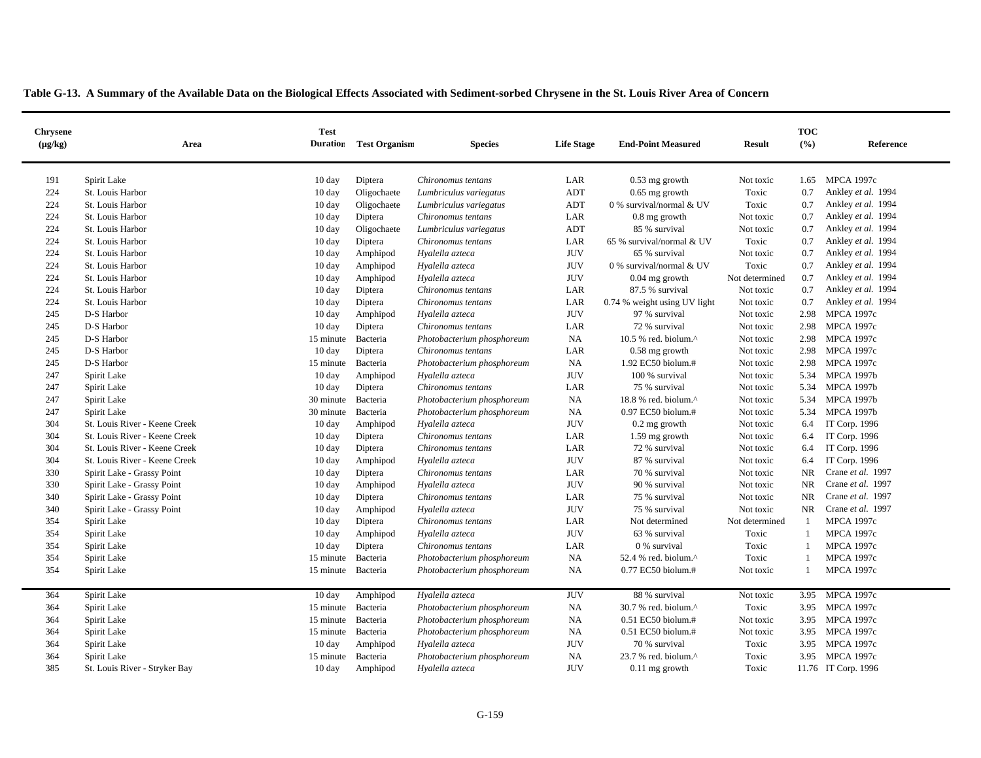|  |  |  |  |  | Table G-13. A Summary of the Available Data on the Biological Effects Associated with Sediment-sorbed Chrysene in the St. Louis River Area of Concern |
|--|--|--|--|--|-------------------------------------------------------------------------------------------------------------------------------------------------------|
|  |  |  |  |  |                                                                                                                                                       |

| <b>Chrysene</b><br>$(\mu g/kg)$ | Area                          | <b>Test</b>        | <b>Duration</b> Test Organism | <b>Species</b>             | <b>Life Stage</b> | <b>End-Point Measured</b>    | <b>Result</b>  | <b>TOC</b><br>(%) | Reference           |
|---------------------------------|-------------------------------|--------------------|-------------------------------|----------------------------|-------------------|------------------------------|----------------|-------------------|---------------------|
|                                 |                               |                    |                               |                            |                   |                              |                |                   |                     |
| 191                             | Spirit Lake                   | $10 \text{ day}$   | Diptera                       | Chironomus tentans         | LAR               | $0.53$ mg growth             | Not toxic      | 1.65              | <b>MPCA 1997c</b>   |
| 224                             | St. Louis Harbor              | 10 day             | Oligochaete                   | Lumbriculus variegatus     | ADT               | $0.65$ mg growth             | Toxic          | 0.7               | Ankley et al. 1994  |
| 224                             | St. Louis Harbor              | 10 day             | Oligochaete                   | Lumbriculus variegatus     | ADT               | 0 % survival/normal $&$ UV   | Toxic          | 0.7               | Ankley et al. 1994  |
| 224                             | St. Louis Harbor              | $10 \text{ day}$   | Diptera                       | Chironomus tentans         | LAR               | $0.8$ mg growth              | Not toxic      | 0.7               | Ankley et al. 1994  |
| 224                             | St. Louis Harbor              | $10 \text{ day}$   | Oligochaete                   | Lumbriculus variegatus     | ADT               | 85 % survival                | Not toxic      | 0.7               | Ankley et al. 1994  |
| 224                             | St. Louis Harbor              | $10 \text{ day}$   | Diptera                       | Chironomus tentans         | LAR               | 65 % survival/normal & UV    | Toxic          | 0.7               | Ankley et al. 1994  |
| 224                             | St. Louis Harbor              | $10 \text{ day}$   | Amphipod                      | Hyalella azteca            | <b>JUV</b>        | 65 % survival                | Not toxic      | 0.7               | Ankley et al. 1994  |
| 224                             | St. Louis Harbor              | $10 \text{ day}$   | Amphipod                      | Hyalella azteca            | <b>JUV</b>        | 0 % survival/normal $&$ UV   | Toxic          | 0.7               | Ankley et al. 1994  |
| 224                             | St. Louis Harbor              | 10 day             | Amphipod                      | Hyalella azteca            | <b>JUV</b>        | $0.04$ mg growth             | Not determined | 0.7               | Ankley et al. 1994  |
| 224                             | St. Louis Harbor              | 10 day             | Diptera                       | Chironomus tentans         | LAR               | 87.5 % survival              | Not toxic      | 0.7               | Ankley et al. 1994  |
| 224                             | St. Louis Harbor              | 10 day             | Diptera                       | Chironomus tentans         | LAR               | 0.74 % weight using UV light | Not toxic      | 0.7               | Ankley et al. 1994  |
| 245                             | D-S Harbor                    | $10 \text{ day}$   | Amphipod                      | Hyalella azteca            | <b>JUV</b>        | 97 % survival                | Not toxic      | 2.98              | <b>MPCA 1997c</b>   |
| 245                             | D-S Harbor                    | $10 \text{ day}$   | Diptera                       | Chironomus tentans         | LAR               | 72 % survival                | Not toxic      | 2.98              | <b>MPCA 1997c</b>   |
| 245                             | D-S Harbor                    | 15 minute          | Bacteria                      | Photobacterium phosphoreum | NA                | 10.5 % red. biolum.^         | Not toxic      | 2.98              | <b>MPCA 1997c</b>   |
| 245                             | D-S Harbor                    | $10 \text{ day}$   | Diptera                       | Chironomus tentans         | LAR               | 0.58 mg growth               | Not toxic      | 2.98              | <b>MPCA 1997c</b>   |
| 245                             | D-S Harbor                    | 15 minute          | Bacteria                      | Photobacterium phosphoreum | NA                | 1.92 EC50 biolum.#           | Not toxic      | 2.98              | <b>MPCA 1997c</b>   |
| 247                             | Spirit Lake                   | 10 day             | Amphipod                      | Hyalella azteca            | <b>JUV</b>        | 100 % survival               | Not toxic      | 5.34              | <b>MPCA 1997b</b>   |
| 247                             | Spirit Lake                   | $10 \text{ day}$   | Diptera                       | Chironomus tentans         | LAR               | 75 % survival                | Not toxic      | 5.34              | <b>MPCA 1997b</b>   |
| 247                             | Spirit Lake                   | 30 minute          | Bacteria                      | Photobacterium phosphoreum | NA                | 18.8 % red. biolum.^         | Not toxic      | 5.34              | <b>MPCA 1997b</b>   |
| 247                             | Spirit Lake                   | 30 minute          | Bacteria                      | Photobacterium phosphoreum | NA                | $0.97$ EC50 biolum.#         | Not toxic      | 5.34              | <b>MPCA 1997b</b>   |
| 304                             | St. Louis River - Keene Creek | $10 \text{ day}$   | Amphipod                      | Hyalella azteca            | <b>JUV</b>        | 0.2 mg growth                | Not toxic      | 6.4               | IT Corp. 1996       |
| 304                             | St. Louis River - Keene Creek | 10 day             | Diptera                       | Chironomus tentans         | LAR               | 1.59 mg growth               | Not toxic      | 6.4               | IT Corp. 1996       |
| 304                             | St. Louis River - Keene Creek | 10 day             | Diptera                       | Chironomus tentans         | LAR               | 72 % survival                | Not toxic      | 6.4               | IT Corp. 1996       |
| 304                             | St. Louis River - Keene Creek | 10 day             | Amphipod                      | Hyalella azteca            | <b>JUV</b>        | 87 % survival                | Not toxic      | 6.4               | IT Corp. 1996       |
| 330                             | Spirit Lake - Grassy Point    | 10 day             | Diptera                       | Chironomus tentans         | LAR               | 70 % survival                | Not toxic      | <b>NR</b>         | Crane et al. 1997   |
| 330                             | Spirit Lake - Grassy Point    | $10 \text{ day}$   | Amphipod                      | Hyalella azteca            | <b>JUV</b>        | 90 % survival                | Not toxic      | <b>NR</b>         | Crane et al. 1997   |
| 340                             | Spirit Lake - Grassy Point    | $10 \text{ day}$   | Diptera                       | Chironomus tentans         | LAR               | 75 % survival                | Not toxic      | <b>NR</b>         | Crane et al. 1997   |
| 340                             | Spirit Lake - Grassy Point    | $10 \text{ day}$   | Amphipod                      | Hyalella azteca            | <b>JUV</b>        | 75 % survival                | Not toxic      | NR.               | Crane et al. 1997   |
| 354                             | Spirit Lake                   | 10 day             | Diptera                       | Chironomus tentans         | LAR               | Not determined               | Not determined | 1                 | <b>MPCA 1997c</b>   |
| 354                             | Spirit Lake                   | 10 day             | Amphipod                      | Hyalella azteca            | <b>JUV</b>        | 63 % survival                | Toxic          | $\mathbf{1}$      | <b>MPCA 1997c</b>   |
| 354                             | Spirit Lake                   | $10 \text{ day}$   | Diptera                       | Chironomus tentans         | LAR               | 0 % survival                 | Toxic          | $\overline{1}$    | <b>MPCA 1997c</b>   |
| 354                             | Spirit Lake                   | 15 minute          | Bacteria                      | Photobacterium phosphoreum | NA                | 52.4 % red. biolum.^         | Toxic          | $\overline{1}$    | <b>MPCA 1997c</b>   |
| 354                             | Spirit Lake                   | 15 minute Bacteria |                               | Photobacterium phosphoreum | NA                | 0.77 EC50 biolum.#           | Not toxic      | $\mathbf{1}$      | <b>MPCA 1997c</b>   |
| 364                             | Spirit Lake                   | $10 \text{ day}$   | Amphipod                      | Hyalella azteca            | <b>JUV</b>        | 88 % survival                | Not toxic      | 3.95              | <b>MPCA 1997c</b>   |
| 364                             | Spirit Lake                   | 15 minute          | Bacteria                      | Photobacterium phosphoreum | NA                | 30.7 % red. biolum.^         | Toxic          | 3.95              | <b>MPCA 1997c</b>   |
| 364                             | Spirit Lake                   | 15 minute          | Bacteria                      | Photobacterium phosphoreum | NA                | 0.51 EC50 biolum.#           | Not toxic      | 3.95              | <b>MPCA 1997c</b>   |
| 364                             | Spirit Lake                   | 15 minute          | Bacteria                      | Photobacterium phosphoreum | NA                | 0.51 EC50 biolum.#           | Not toxic      |                   | 3.95 MPCA 1997c     |
| 364                             | Spirit Lake                   | $10 \text{ day}$   | Amphipod                      | Hyalella azteca            | <b>JUV</b>        | 70 % survival                | Toxic          | 3.95              | <b>MPCA 1997c</b>   |
| 364                             | Spirit Lake                   | 15 minute          | Bacteria                      | Photobacterium phosphoreum | NA                | 23.7 % red. biolum.^         | Toxic          |                   | 3.95 MPCA 1997c     |
| 385                             | St. Louis River - Stryker Bay | $10 \text{ day}$   | Amphipod                      | Hyalella azteca            | <b>JUV</b>        | $0.11$ mg growth             | Toxic          |                   | 11.76 IT Corp. 1996 |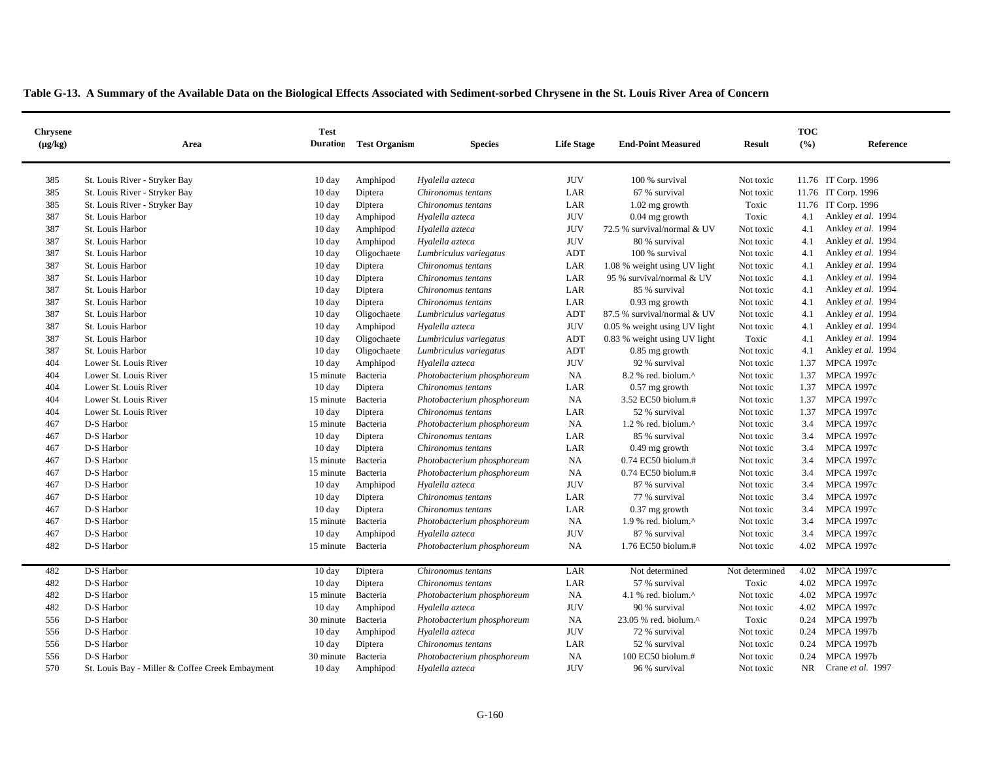| Table G-13. A Summary of the Available Data on the Biological Effects Associated with Sediment-sorbed Chrysene in the St. Louis River Area of Concern |  |  |
|-------------------------------------------------------------------------------------------------------------------------------------------------------|--|--|
|                                                                                                                                                       |  |  |

| <b>Chrysene</b><br>$(\mu g/kg)$ | Area                                            | <b>Test</b><br><b>Duration</b> | <b>Test Organism</b> | <b>Species</b>             | <b>Life Stage</b> | <b>End-Point Measured</b>    | <b>Result</b>  | <b>TOC</b><br>(%) | Reference           |
|---------------------------------|-------------------------------------------------|--------------------------------|----------------------|----------------------------|-------------------|------------------------------|----------------|-------------------|---------------------|
|                                 |                                                 |                                |                      |                            |                   |                              |                |                   |                     |
| 385                             | St. Louis River - Stryker Bay                   | $10 \text{ day}$               | Amphipod             | Hyalella azteca            | <b>JUV</b>        | 100 % survival               | Not toxic      |                   | 11.76 IT Corp. 1996 |
| 385                             | St. Louis River - Stryker Bay                   | 10 day                         | Diptera              | Chironomus tentans         | LAR               | 67 % survival                | Not toxic      |                   | 11.76 IT Corp. 1996 |
| 385                             | St. Louis River - Stryker Bay                   | 10 day                         | Diptera              | Chironomus tentans         | LAR               | $1.02$ mg growth             | Toxic          |                   | 11.76 IT Corp. 1996 |
| 387                             | St. Louis Harbor                                | $10 \text{ day}$               | Amphipod             | Hyalella azteca            | <b>JUV</b>        | $0.04$ mg growth             | Toxic          | 4.1               | Ankley et al. 1994  |
| 387                             | St. Louis Harbor                                | 10 day                         | Amphipod             | Hyalella azteca            | <b>JUV</b>        | 72.5 % survival/normal & UV  | Not toxic      | 4.1               | Ankley et al. 1994  |
| 387                             | St. Louis Harbor                                | $10 \text{ day}$               | Amphipod             | Hyalella azteca            | <b>JUV</b>        | 80 % survival                | Not toxic      | 4.1               | Ankley et al. 1994  |
| 387                             | St. Louis Harbor                                | $10 \text{ day}$               | Oligochaete          | Lumbriculus variegatus     | ADT               | 100 % survival               | Not toxic      | 4.1               | Ankley et al. 1994  |
| 387                             | St. Louis Harbor                                | $10 \text{ day}$               | Diptera              | Chironomus tentans         | LAR               | 1.08 % weight using UV light | Not toxic      | 4.1               | Ankley et al. 1994  |
| 387                             | St. Louis Harbor                                | 10 day                         | Diptera              | Chironomus tentans         | LAR               | 95 % survival/normal & UV    | Not toxic      | 4.1               | Ankley et al. 1994  |
| 387                             | St. Louis Harbor                                | $10 \text{ day}$               | Diptera              | Chironomus tentans         | LAR               | 85 % survival                | Not toxic      | 4.1               | Ankley et al. 1994  |
| 387                             | St. Louis Harbor                                | 10 day                         | Diptera              | Chironomus tentans         | LAR               | $0.93$ mg growth             | Not toxic      | 4.1               | Ankley et al. 1994  |
| 387                             | St. Louis Harbor                                | $10 \text{ day}$               | Oligochaete          | Lumbriculus variegatus     | <b>ADT</b>        | 87.5 % survival/normal & UV  | Not toxic      | 4.1               | Ankley et al. 1994  |
| 387                             | St. Louis Harbor                                | $10 \text{ day}$               | Amphipod             | Hyalella azteca            | <b>JUV</b>        | 0.05 % weight using UV light | Not toxic      | 4.1               | Ankley et al. 1994  |
| 387                             | St. Louis Harbor                                | $10 \text{ day}$               | Oligochaete          | Lumbriculus variegatus     | ADT               | 0.83 % weight using UV light | Toxic          | 4.1               | Ankley et al. 1994  |
| 387                             | St. Louis Harbor                                | 10 day                         | Oligochaete          | Lumbriculus variegatus     | <b>ADT</b>        | 0.85 mg growth               | Not toxic      | 4.1               | Ankley et al. 1994  |
| 404                             | Lower St. Louis River                           | $10 \text{ day}$               | Amphipod             | Hyalella azteca            | <b>JUV</b>        | 92 % survival                | Not toxic      | 1.37              | <b>MPCA 1997c</b>   |
| 404                             | Lower St. Louis River                           | 15 minute                      | Bacteria             | Photobacterium phosphoreum | <b>NA</b>         | 8.2 % red. biolum.^          | Not toxic      | 1.37              | <b>MPCA 1997c</b>   |
| 404                             | Lower St. Louis River                           | $10 \text{ day}$               | Diptera              | Chironomus tentans         | LAR               | $0.57$ mg growth             | Not toxic      | 1.37              | <b>MPCA 1997c</b>   |
| 404                             | Lower St. Louis River                           | 15 minute                      | Bacteria             | Photobacterium phosphoreum | <b>NA</b>         | 3.52 EC50 biolum.#           | Not toxic      | 1.37              | <b>MPCA 1997c</b>   |
| 404                             | Lower St. Louis River                           | 10 day                         | Diptera              | Chironomus tentans         | LAR               | 52 % survival                | Not toxic      | 1.37              | <b>MPCA 1997c</b>   |
| 467                             | D-S Harbor                                      | 15 minute                      | Bacteria             | Photobacterium phosphoreum | NA                | 1.2 % red. biolum.^          | Not toxic      | 3.4               | <b>MPCA 1997c</b>   |
| 467                             | D-S Harbor                                      | 10 day                         | Diptera              | Chironomus tentans         | LAR               | 85 % survival                | Not toxic      | 3.4               | <b>MPCA 1997c</b>   |
| 467                             | D-S Harbor                                      | $10 \text{ day}$               | Diptera              | Chironomus tentans         | LAR               | $0.49$ mg growth             | Not toxic      | 3.4               | <b>MPCA 1997c</b>   |
| 467                             | D-S Harbor                                      | 15 minute                      | Bacteria             | Photobacterium phosphoreum | <b>NA</b>         | 0.74 EC50 biolum.#           | Not toxic      | 3.4               | <b>MPCA 1997c</b>   |
| 467                             | D-S Harbor                                      | 15 minute                      | Bacteria             | Photobacterium phosphoreum | NA                | 0.74 EC50 biolum.#           | Not toxic      | 3.4               | <b>MPCA 1997c</b>   |
| 467                             | D-S Harbor                                      | $10 \text{ day}$               | Amphipod             | Hyalella azteca            | <b>JUV</b>        | 87 % survival                | Not toxic      | 3.4               | <b>MPCA 1997c</b>   |
| 467                             | D-S Harbor                                      | 10 day                         | Diptera              | Chironomus tentans         | LAR               | 77 % survival                | Not toxic      | 3.4               | <b>MPCA 1997c</b>   |
| 467                             | D-S Harbor                                      | $10 \text{ day}$               | Diptera              | Chironomus tentans         | LAR               | $0.37$ mg growth             | Not toxic      | 3.4               | <b>MPCA 1997c</b>   |
| 467                             | D-S Harbor                                      | 15 minute                      | Bacteria             | Photobacterium phosphoreum | <b>NA</b>         | 1.9 % red. biolum.^          | Not toxic      | 3.4               | <b>MPCA 1997c</b>   |
| 467                             | D-S Harbor                                      | $10 \text{ day}$               | Amphipod             | Hyalella azteca            | <b>JUV</b>        | 87 % survival                | Not toxic      | 3.4               | <b>MPCA 1997c</b>   |
| 482                             | D-S Harbor                                      | 15 minute                      | Bacteria             | Photobacterium phosphoreum | NA                | 1.76 EC50 biolum.#           | Not toxic      | 4.02              | <b>MPCA 1997c</b>   |
| 482                             | D-S Harbor                                      | $10 \text{ day}$               | Diptera              | Chironomus tentans         | LAR               | Not determined               | Not determined | 4.02              | <b>MPCA 1997c</b>   |
| 482                             | D-S Harbor                                      | $10 \text{ day}$               | Diptera              | Chironomus tentans         | LAR               | 57 % survival                | Toxic          | 4.02              | <b>MPCA 1997c</b>   |
| 482                             | D-S Harbor                                      | 15 minute                      | Bacteria             | Photobacterium phosphoreum | NA                | 4.1 % red. biolum.^          | Not toxic      |                   | 4.02 MPCA 1997c     |
| 482                             | D-S Harbor                                      | $10 \text{ day}$               | Amphipod             | Hyalella azteca            | <b>JUV</b>        | 90 % survival                | Not toxic      | 4.02              | MPCA 1997c          |
| 556                             | D-S Harbor                                      | 30 minute                      | Bacteria             | Photobacterium phosphoreum | <b>NA</b>         | 23.05 % red. biolum.^        | Toxic          | 0.24              | <b>MPCA 1997b</b>   |
| 556                             | D-S Harbor                                      | $10 \text{ day}$               | Amphipod             | Hyalella azteca            | <b>JUV</b>        | 72 % survival                | Not toxic      | 0.24              | <b>MPCA 1997b</b>   |
| 556                             | D-S Harbor                                      | 10 day                         | Diptera              | Chironomus tentans         | LAR               | 52 % survival                | Not toxic      | 0.24              | <b>MPCA 1997b</b>   |
| 556                             | D-S Harbor                                      | 30 minute                      | Bacteria             | Photobacterium phosphoreum | NA                | 100 EC50 biolum.#            | Not toxic      | 0.24              | <b>MPCA 1997b</b>   |
| 570                             | St. Louis Bay - Miller & Coffee Creek Embayment | 10 day                         | Amphipod             | Hyalella azteca            | <b>JUV</b>        | 96 % survival                | Not toxic      | <b>NR</b>         | Crane et al. 1997   |
|                                 |                                                 |                                |                      |                            |                   |                              |                |                   |                     |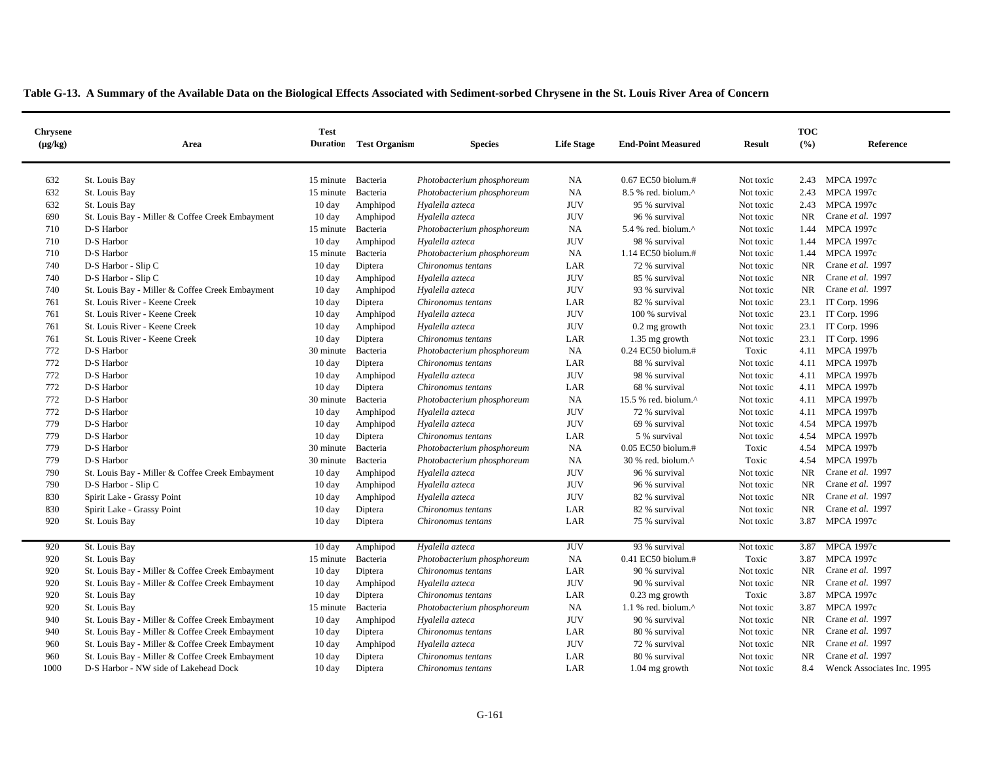| Table G-13. A Summary of the Available Data on the Biological Effects Associated with Sediment-sorbed Chrysene in the St. Louis River Area of Concern |  |  |  |  |  |  |  |  |  |  |  |  |  |  |  |  |  |  |  |  |  |  |
|-------------------------------------------------------------------------------------------------------------------------------------------------------|--|--|--|--|--|--|--|--|--|--|--|--|--|--|--|--|--|--|--|--|--|--|
|-------------------------------------------------------------------------------------------------------------------------------------------------------|--|--|--|--|--|--|--|--|--|--|--|--|--|--|--|--|--|--|--|--|--|--|

| <b>Chrysene</b><br>$(\mu g/kg)$ | Area                                            | <b>Test</b><br><b>Duration</b> | <b>Test Organism</b> | <b>Species</b>             | <b>Life Stage</b> | <b>End-Point Measured</b>   | <b>Result</b> | <b>TOC</b><br>(%) | Reference                  |
|---------------------------------|-------------------------------------------------|--------------------------------|----------------------|----------------------------|-------------------|-----------------------------|---------------|-------------------|----------------------------|
| 632                             | St. Louis Bay                                   | 15 minute                      | Bacteria             | Photobacterium phosphoreum | NA                | 0.67 EC50 biolum.#          | Not toxic     | 2.43              | <b>MPCA 1997c</b>          |
| 632                             | St. Louis Bay                                   | 15 minute                      | Bacteria             | Photobacterium phosphoreum | NA                | 8.5 % red. biolum.^         | Not toxic     | 2.43              | <b>MPCA 1997c</b>          |
| 632                             | St. Louis Bay                                   | $10 \text{ day}$               | Amphipod             | Hyalella azteca            | <b>JUV</b>        | 95 % survival               | Not toxic     | 2.43              | <b>MPCA 1997c</b>          |
| 690                             | St. Louis Bay - Miller & Coffee Creek Embayment | $10 \text{ day}$               | Amphipod             | Hyalella azteca            | <b>JUV</b>        | 96 % survival               | Not toxic     | <b>NR</b>         | Crane et al. 1997          |
| 710                             | D-S Harbor                                      | 15 minute                      | Bacteria             | Photobacterium phosphoreum | NA                | 5.4 % red. biolum. $\wedge$ | Not toxic     | 1.44              | <b>MPCA 1997c</b>          |
| 710                             | D-S Harbor                                      | $10 \text{ day}$               | Amphipod             | Hyalella azteca            | <b>JUV</b>        | 98 % survival               | Not toxic     | 1.44              | <b>MPCA 1997c</b>          |
| 710                             | D-S Harbor                                      | 15 minute                      | Bacteria             | Photobacterium phosphoreum | <b>NA</b>         | 1.14 EC50 biolum.#          | Not toxic     | 1.44              | <b>MPCA 1997c</b>          |
| 740                             | D-S Harbor - Slip C                             | 10 day                         | Diptera              | Chironomus tentans         | LAR               | 72 % survival               | Not toxic     | NR.               | Crane et al. 1997          |
| 740                             | D-S Harbor - Slip C                             | 10 day                         | Amphipod             | Hyalella azteca            | <b>JUV</b>        | 85 % survival               | Not toxic     | <b>NR</b>         | Crane et al. 1997          |
| 740                             | St. Louis Bay - Miller & Coffee Creek Embayment | $10 \text{ day}$               | Amphipod             | Hyalella azteca            | <b>JUV</b>        | 93 % survival               | Not toxic     | <b>NR</b>         | Crane et al. 1997          |
| 761                             | St. Louis River - Keene Creek                   | $10 \text{ day}$               | Diptera              | Chironomus tentans         | LAR               | 82 % survival               | Not toxic     | 23.1              | IT Corp. 1996              |
| 761                             | St. Louis River - Keene Creek                   | $10 \text{ day}$               | Amphipod             | Hyalella azteca            | <b>JUV</b>        | 100 % survival              | Not toxic     |                   | 23.1 IT Corp. 1996         |
| 761                             | St. Louis River - Keene Creek                   | 10 day                         | Amphipod             | Hyalella azteca            | <b>JUV</b>        | 0.2 mg growth               | Not toxic     |                   | 23.1 IT Corp. 1996         |
| 761                             | St. Louis River - Keene Creek                   | 10 day                         | Diptera              | Chironomus tentans         | LAR               | 1.35 mg growth              | Not toxic     |                   | 23.1 IT Corp. 1996         |
| 772                             | D-S Harbor                                      | 30 minute                      | Bacteria             | Photobacterium phosphoreum | NA                | $0.24$ EC50 biolum.#        | Toxic         |                   | 4.11 MPCA 1997b            |
| 772                             | D-S Harbor                                      | $10 \text{ day}$               | Diptera              | Chironomus tentans         | LAR               | 88 % survival               | Not toxic     |                   | 4.11 MPCA 1997b            |
| 772                             | D-S Harbor                                      | $10 \text{ day}$               | Amphipod             | Hyalella azteca            | <b>JUV</b>        | 98 % survival               | Not toxic     |                   | 4.11 MPCA 1997b            |
| 772                             | D-S Harbor                                      | $10 \text{ day}$               | Diptera              | Chironomus tentans         | LAR               | 68 % survival               | Not toxic     |                   | 4.11 MPCA 1997b            |
| 772                             | D-S Harbor                                      | 30 minute                      | Bacteria             | Photobacterium phosphoreum | NA                | 15.5 % red. biolum.^        | Not toxic     |                   | 4.11 MPCA 1997b            |
| 772                             | D-S Harbor                                      | $10 \text{ day}$               | Amphipod             | Hyalella azteca            | <b>JUV</b>        | 72 % survival               | Not toxic     |                   | 4.11 MPCA 1997b            |
| 779                             | D-S Harbor                                      | 10 day                         | Amphipod             | Hyalella azteca            | <b>JUV</b>        | 69 % survival               | Not toxic     |                   | 4.54 MPCA 1997b            |
| 779                             | D-S Harbor                                      | $10 \text{ day}$               | Diptera              | Chironomus tentans         | LAR               | 5 % survival                | Not toxic     | 4.54              | <b>MPCA 1997b</b>          |
| 779                             | D-S Harbor                                      | 30 minute                      | Bacteria             | Photobacterium phosphoreum | NA                | $0.05$ EC50 biolum.#        | Toxic         | 4.54              | <b>MPCA 1997b</b>          |
| 779                             | D-S Harbor                                      | 30 minute                      | Bacteria             | Photobacterium phosphoreum | NA                | 30 % red. biolum.^          | Toxic         | 4.54              | <b>MPCA 1997b</b>          |
| 790                             | St. Louis Bay - Miller & Coffee Creek Embayment | 10 day                         | Amphipod             | Hyalella azteca            | <b>JUV</b>        | 96 % survival               | Not toxic     | <b>NR</b>         | Crane et al. 1997          |
| 790                             | D-S Harbor - Slip C                             | 10 day                         | Amphipod             | Hyalella azteca            | <b>JUV</b>        | 96 % survival               | Not toxic     | <b>NR</b>         | Crane et al. 1997          |
| 830                             | Spirit Lake - Grassy Point                      | $10 \text{ day}$               | Amphipod             | Hyalella azteca            | <b>JUV</b>        | 82 % survival               | Not toxic     | <b>NR</b>         | Crane et al. 1997          |
| 830                             | Spirit Lake - Grassy Point                      | $10 \text{ day}$               | Diptera              | Chironomus tentans         | LAR               | 82 % survival               | Not toxic     | <b>NR</b>         | Crane et al. 1997          |
| 920                             | St. Louis Bay                                   | $10 \text{ day}$               | Diptera              | Chironomus tentans         | LAR               | 75 % survival               | Not toxic     | 3.87              | <b>MPCA 1997c</b>          |
| 920                             | St. Louis Bay                                   | 10 day                         | Amphipod             | Hyalella azteca            | <b>JUV</b>        | 93 % survival               | Not toxic     | 3.87              | <b>MPCA 1997c</b>          |
| 920                             | St. Louis Bay                                   | 15 minute                      | Bacteria             | Photobacterium phosphoreum | <b>NA</b>         | 0.41 EC50 biolum.#          | Toxic         | 3.87              | <b>MPCA 1997c</b>          |
| 920                             | St. Louis Bay - Miller & Coffee Creek Embayment | $10 \text{ day}$               | Diptera              | Chironomus tentans         | LAR               | 90 % survival               | Not toxic     | <b>NR</b>         | Crane et al. 1997          |
| 920                             | St. Louis Bay - Miller & Coffee Creek Embayment | $10 \text{ day}$               | Amphipod             | Hyalella azteca            | <b>JUV</b>        | 90 % survival               | Not toxic     | <b>NR</b>         | Crane et al. 1997          |
| 920                             | St. Louis Bay                                   | 10 day                         | Diptera              | Chironomus tentans         | LAR               | $0.23$ mg growth            | Toxic         | 3.87              | <b>MPCA 1997c</b>          |
| 920                             | St. Louis Bay                                   | 15 minute                      | Bacteria             | Photobacterium phosphoreum | <b>NA</b>         | 1.1 % red. biolum.^         | Not toxic     | 3.87              | <b>MPCA 1997c</b>          |
| 940                             | St. Louis Bay - Miller & Coffee Creek Embayment | 10 day                         | Amphipod             | Hyalella azteca            | <b>JUV</b>        | 90 % survival               | Not toxic     | NR.               | Crane et al. 1997          |
| 940                             | St. Louis Bay - Miller & Coffee Creek Embayment | 10 day                         | Diptera              | Chironomus tentans         | LAR               | 80 % survival               | Not toxic     | <b>NR</b>         | Crane et al. 1997          |
| 960                             | St. Louis Bay - Miller & Coffee Creek Embayment | $10 \text{ day}$               | Amphipod             | Hyalella azteca            | <b>JUV</b>        | 72 % survival               | Not toxic     | <b>NR</b>         | Crane et al. 1997          |
| 960                             | St. Louis Bay - Miller & Coffee Creek Embayment | $10 \text{ day}$               | Diptera              | Chironomus tentans         | LAR               | 80 % survival               | Not toxic     | <b>NR</b>         | Crane et al. 1997          |
| 1000                            | D-S Harbor - NW side of Lakehead Dock           | $10 \text{ day}$               | Diptera              | Chironomus tentans         | LAR               | $1.04$ mg growth            | Not toxic     | 8.4               | Wenck Associates Inc. 1995 |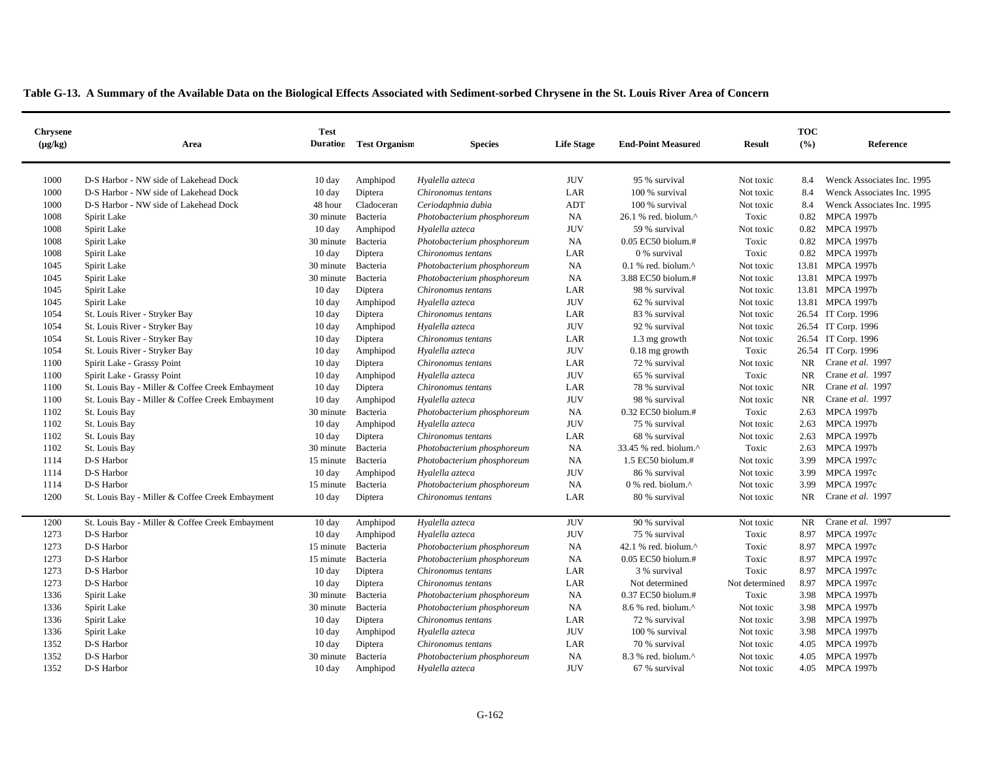| <b>Chrysene</b><br>$(\mu g/kg)$ | Area                                            | <b>Test</b><br><b>Duration</b> | <b>Test Organism</b> | <b>Species</b>             | <b>Life Stage</b> | <b>End-Point Measured</b>        | <b>Result</b>  | <b>TOC</b><br>(%) | Reference                  |
|---------------------------------|-------------------------------------------------|--------------------------------|----------------------|----------------------------|-------------------|----------------------------------|----------------|-------------------|----------------------------|
| 1000                            | D-S Harbor - NW side of Lakehead Dock           | 10 day                         | Amphipod             | Hyalella azteca            | <b>JUV</b>        | 95 % survival                    | Not toxic      | 8.4               | Wenck Associates Inc. 1995 |
| 1000                            | D-S Harbor - NW side of Lakehead Dock           | $10 \text{ day}$               | Diptera              | Chironomus tentans         | LAR               | 100 % survival                   | Not toxic      | 8.4               | Wenck Associates Inc. 1995 |
| 1000                            | D-S Harbor - NW side of Lakehead Dock           | 48 hour                        | Cladoceran           | Ceriodaphnia dubia         | ADT               | 100 % survival                   | Not toxic      | 8.4               | Wenck Associates Inc. 1995 |
| 1008                            | Spirit Lake                                     | 30 minute                      | Bacteria             | Photobacterium phosphoreum | <b>NA</b>         | 26.1 % red. biolum.^             | Toxic          | 0.82              | <b>MPCA 1997b</b>          |
| 1008                            | Spirit Lake                                     | $10 \text{ day}$               | Amphipod             | Hyalella azteca            | <b>JUV</b>        | 59 % survival                    | Not toxic      | 0.82              | <b>MPCA 1997b</b>          |
| 1008                            | Spirit Lake                                     | 30 minute                      | Bacteria             | Photobacterium phosphoreum | NA                | 0.05 EC50 biolum.#               | Toxic          |                   | 0.82 MPCA 1997b            |
| 1008                            | Spirit Lake                                     | $10 \text{ day}$               | Diptera              | Chironomus tentans         | LAR               | 0 % survival                     | Toxic          |                   | 0.82 MPCA 1997b            |
| 1045                            | Spirit Lake                                     | 30 minute                      | Bacteria             | Photobacterium phosphoreum | NA                | $0.1$ % red. biolum. $^{\wedge}$ | Not toxic      |                   | 13.81 MPCA 1997b           |
| 1045                            | Spirit Lake                                     | 30 minute                      | Bacteria             | Photobacterium phosphoreum | NA                | 3.88 EC50 biolum.#               | Not toxic      |                   | 13.81 MPCA 1997b           |
| 1045                            | Spirit Lake                                     | $10 \text{ day}$               | Diptera              | Chironomus tentans         | LAR               | 98 % survival                    | Not toxic      |                   | 13.81 MPCA 1997b           |
| 1045                            | Spirit Lake                                     | 10 day                         | Amphipod             | Hyalella azteca            | <b>JUV</b>        | 62 % survival                    | Not toxic      |                   | 13.81 MPCA 1997b           |
| 1054                            | St. Louis River - Stryker Bay                   | $10 \text{ day}$               | Diptera              | Chironomus tentans         | LAR               | 83 % survival                    | Not toxic      |                   | 26.54 IT Corp. 1996        |
| 1054                            | St. Louis River - Stryker Bay                   | 10 day                         | Amphipod             | Hyalella azteca            | <b>JUV</b>        | 92 % survival                    | Not toxic      |                   | 26.54 IT Corp. 1996        |
| 1054                            | St. Louis River - Stryker Bay                   | $10 \text{ day}$               | Diptera              | Chironomus tentans         | LAR               | 1.3 mg growth                    | Not toxic      |                   | 26.54 IT Corp. 1996        |
| 1054                            | St. Louis River - Stryker Bay                   | $10 \text{ day}$               | Amphipod             | Hyalella azteca            | <b>JUV</b>        | $0.18$ mg growth                 | Toxic          |                   | 26.54 IT Corp. 1996        |
| 1100                            | Spirit Lake - Grassy Point                      | 10 day                         | Diptera              | Chironomus tentans         | LAR               | 72 % survival                    | Not toxic      | NR                | Crane et al. 1997          |
| 1100                            | Spirit Lake - Grassy Point                      | 10 day                         | Amphipod             | Hyalella azteca            | <b>JUV</b>        | 65 % survival                    | Toxic          | <b>NR</b>         | Crane et al. 1997          |
| 1100                            | St. Louis Bay - Miller & Coffee Creek Embayment | $10 \text{ day}$               | Diptera              | Chironomus tentans         | LAR               | 78 % survival                    | Not toxic      | NR                | Crane et al. 1997          |
| 1100                            | St. Louis Bay - Miller & Coffee Creek Embayment | $10 \text{ day}$               | Amphipod             | Hyalella azteca            | <b>JUV</b>        | 98 % survival                    | Not toxic      | <b>NR</b>         | Crane et al. 1997          |
| 1102                            | St. Louis Bay                                   | 30 minute                      | Bacteria             | Photobacterium phosphoreum | <b>NA</b>         | 0.32 EC50 biolum.#               | Toxic          | 2.63              | <b>MPCA 1997b</b>          |
| 1102                            | St. Louis Bay                                   | 10 day                         | Amphipod             | Hyalella azteca            | <b>JUV</b>        | 75 % survival                    | Not toxic      | 2.63              | <b>MPCA 1997b</b>          |
| 1102                            | St. Louis Bay                                   | $10 \text{ day}$               | Diptera              | Chironomus tentans         | LAR               | 68 % survival                    | Not toxic      | 2.63              | <b>MPCA 1997b</b>          |
| 1102                            | St. Louis Bay                                   | 30 minute                      | Bacteria             | Photobacterium phosphoreum | NA                | 33.45 % red. biolum.^            | Toxic          | 2.63              | <b>MPCA 1997b</b>          |
| 1114                            | D-S Harbor                                      | 15 minute                      | Bacteria             | Photobacterium phosphoreum | NA                | 1.5 EC50 biolum.#                | Not toxic      | 3.99              | <b>MPCA 1997c</b>          |
| 1114                            | D-S Harbor                                      | 10 day                         | Amphipod             | Hyalella azteca            | <b>JUV</b>        | 86 % survival                    | Not toxic      | 3.99              | <b>MPCA 1997c</b>          |
| 1114                            | D-S Harbor                                      | 15 minute                      | Bacteria             | Photobacterium phosphoreum | NA                | 0 % red. biolum.^                | Not toxic      | 3.99              | <b>MPCA 1997c</b>          |
| 1200                            | St. Louis Bay - Miller & Coffee Creek Embayment | 10 day                         | Diptera              | Chironomus tentans         | LAR               | 80 % survival                    | Not toxic      | NR.               | Crane et al. 1997          |
| 1200                            | St. Louis Bay - Miller & Coffee Creek Embayment | 10 day                         | Amphipod             | Hyalella azteca            | <b>JUV</b>        | 90 % survival                    | Not toxic      | NR.               | Crane et al. 1997          |
| 1273                            | D-S Harbor                                      | $10 \text{ day}$               | Amphipod             | Hyalella azteca            | <b>JUV</b>        | 75 % survival                    | Toxic          |                   | 8.97 MPCA 1997c            |
| 1273                            | D-S Harbor                                      | 15 minute                      | Bacteria             | Photobacterium phosphoreum | NA                | 42.1 % red. biolum.^             | Toxic          | 8.97              | <b>MPCA 1997c</b>          |
| 1273                            | D-S Harbor                                      | 15 minute                      | Bacteria             | Photobacterium phosphoreum | NA                | 0.05 EC50 biolum.#               | Toxic          | 8.97              | <b>MPCA 1997c</b>          |
| 1273                            | D-S Harbor                                      | $10 \text{ day}$               | Diptera              | Chironomus tentans         | LAR               | 3 % survival                     | Toxic          | 8.97              | MPCA 1997c                 |
| 1273                            | D-S Harbor                                      | $10 \text{ day}$               | Diptera              | Chironomus tentans         | LAR               | Not determined                   | Not determined | 8.97              | <b>MPCA 1997c</b>          |
| 1336                            | Spirit Lake                                     | 30 minute                      | Bacteria             | Photobacterium phosphoreum | <b>NA</b>         | $0.37$ EC50 biolum.#             | Toxic          |                   | 3.98 MPCA 1997b            |
| 1336                            | Spirit Lake                                     | 30 minute                      | Bacteria             | Photobacterium phosphoreum | NA                | $8.6$ % red. biolum. $^{\wedge}$ | Not toxic      | 3.98              | <b>MPCA 1997b</b>          |
| 1336                            | Spirit Lake                                     | 10 day                         | Diptera              | Chironomus tentans         | LAR               | 72 % survival                    | Not toxic      | 3.98              | <b>MPCA 1997b</b>          |
| 1336                            | Spirit Lake                                     | 10 day                         | Amphipod             | Hyalella azteca            | <b>JUV</b>        | 100 % survival                   | Not toxic      |                   | 3.98 MPCA 1997b            |
| 1352                            | D-S Harbor                                      | $10 \text{ day}$               | Diptera              | Chironomus tentans         | LAR               | 70 % survival                    | Not toxic      | 4.05              | <b>MPCA 1997b</b>          |
| 1352                            | D-S Harbor                                      | 30 minute                      | Bacteria             | Photobacterium phosphoreum | <b>NA</b>         | 8.3 % red. biolum.^              | Not toxic      | 4.05              | <b>MPCA 1997b</b>          |
| 1352                            | D-S Harbor                                      | $10 \text{ day}$               | Amphipod             | Hvalella azteca            | <b>JUV</b>        | 67 % survival                    | Not toxic      |                   | 4.05 MPCA 1997b            |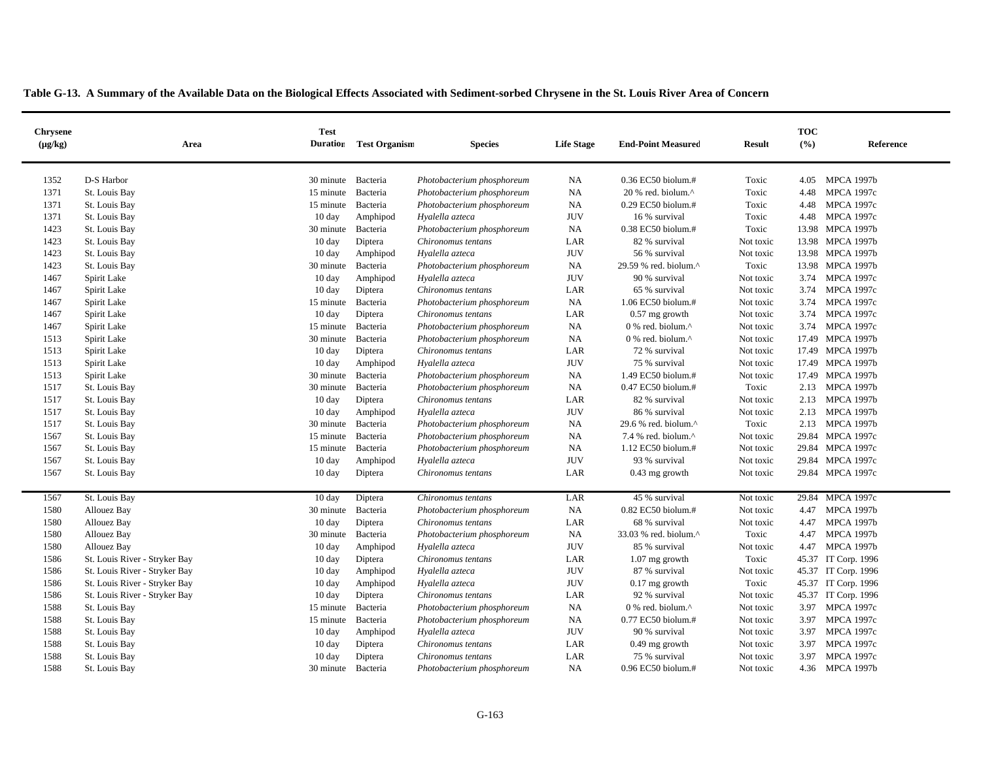|  | Table G-13. A Summary of the Available Data on the Biological Effects Associated with Sediment-sorbed Chrysene in the St. Louis River Area of Concern |  |  |  |  |  |  |  |  |  |  |  |  |
|--|-------------------------------------------------------------------------------------------------------------------------------------------------------|--|--|--|--|--|--|--|--|--|--|--|--|
|  |                                                                                                                                                       |  |  |  |  |  |  |  |  |  |  |  |  |

| <b>Chrysene</b><br>$(\mu g/kg)$ | Area                          | <b>Test</b><br><b>Duration</b> | <b>Test Organism</b> | <b>Species</b>             | <b>Life Stage</b> | <b>End-Point Measured</b>                         | <b>Result</b> | <b>TOC</b><br>(%) | Reference           |
|---------------------------------|-------------------------------|--------------------------------|----------------------|----------------------------|-------------------|---------------------------------------------------|---------------|-------------------|---------------------|
| 1352                            | D-S Harbor                    | 30 minute                      | Bacteria             | Photobacterium phosphoreum | NA                | $0.36$ EC50 biolum.#                              | Toxic         | 4.05              | <b>MPCA 1997b</b>   |
| 1371                            | St. Louis Bay                 | 15 minute                      | Bacteria             | Photobacterium phosphoreum | NA                | 20 % red. biolum.^                                | Toxic         | 4.48              | <b>MPCA 1997c</b>   |
| 1371                            | St. Louis Bay                 | 15 minute                      | Bacteria             | Photobacterium phosphoreum | <b>NA</b>         | 0.29 EC50 biolum.#                                | Toxic         | 4.48              | <b>MPCA 1997c</b>   |
| 1371                            | St. Louis Bay                 | $10 \text{ day}$               | Amphipod             | Hyalella azteca            | <b>JUV</b>        | 16 % survival                                     | Toxic         | 4.48              | <b>MPCA 1997c</b>   |
| 1423                            | St. Louis Bay                 | 30 minute                      | Bacteria             | Photobacterium phosphoreum | <b>NA</b>         | 0.38 EC50 biolum.#                                | Toxic         |                   | 13.98 MPCA 1997b    |
| 1423                            | St. Louis Bay                 | $10 \text{ day}$               | Diptera              | Chironomus tentans         | LAR               | 82 % survival                                     | Not toxic     |                   | 13.98 MPCA 1997b    |
| 1423                            | St. Louis Bay                 | $10 \text{ day}$               | Amphipod             | Hyalella azteca            | $\rm JUV$         | 56 % survival                                     | Not toxic     |                   | 13.98 MPCA 1997b    |
| 1423                            | St. Louis Bay                 | 30 minute                      | Bacteria             | Photobacterium phosphoreum | NA                | 29.59 % red. biolum.^                             | Toxic         |                   | 13.98 MPCA 1997b    |
| 1467                            | Spirit Lake                   | $10 \text{ day}$               | Amphipod             | Hyalella azteca            | <b>JUV</b>        | 90 % survival                                     | Not toxic     |                   | 3.74 MPCA 1997c     |
| 1467                            | Spirit Lake                   | $10 \text{ day}$               | Diptera              | Chironomus tentans         | LAR               | 65 % survival                                     | Not toxic     | 3.74              | <b>MPCA 1997c</b>   |
| 1467                            | Spirit Lake                   | 15 minute                      | Bacteria             | Photobacterium phosphoreum | <b>NA</b>         | 1.06 EC50 biolum.#                                | Not toxic     | 3.74              | <b>MPCA 1997c</b>   |
| 1467                            | Spirit Lake                   | $10 \text{ day}$               | Diptera              | Chironomus tentans         | LAR               | $0.57$ mg growth                                  | Not toxic     | 3.74              | <b>MPCA 1997c</b>   |
| 1467                            | Spirit Lake                   | 15 minute                      | Bacteria             | Photobacterium phosphoreum | NA                | 0 % red. biolum.^                                 | Not toxic     |                   | 3.74 MPCA 1997c     |
| 1513                            | Spirit Lake                   | 30 minute                      | Bacteria             | Photobacterium phosphoreum | NA                | 0 % red. biolum.^                                 | Not toxic     | 17.49             | <b>MPCA 1997b</b>   |
| 1513                            | Spirit Lake                   | $10 \text{ day}$               | Diptera              | Chironomus tentans         | LAR               | 72 % survival                                     | Not toxic     |                   | 17.49 MPCA 1997b    |
| 1513                            | Spirit Lake                   | $10 \text{ day}$               | Amphipod             | Hyalella azteca            | <b>JUV</b>        | 75 % survival                                     | Not toxic     |                   | 17.49 MPCA 1997b    |
| 1513                            | Spirit Lake                   | 30 minute                      | Bacteria             | Photobacterium phosphoreum | NA                | 1.49 EC50 biolum.#                                | Not toxic     |                   | 17.49 MPCA 1997b    |
| 1517                            | St. Louis Bay                 | 30 minute                      | Bacteria             | Photobacterium phosphoreum | <b>NA</b>         | 0.47 EC50 biolum.#                                | Toxic         |                   | 2.13 MPCA 1997b     |
| 1517                            | St. Louis Bay                 | 10 day                         | Diptera              | Chironomus tentans         | LAR               | 82 % survival                                     | Not toxic     |                   | 2.13 MPCA 1997b     |
| 1517                            | St. Louis Bay                 | $10 \text{ day}$               | Amphipod             | Hyalella azteca            | <b>JUV</b>        | 86 % survival                                     | Not toxic     | 2.13              | <b>MPCA 1997b</b>   |
| 1517                            | St. Louis Bay                 | 30 minute                      | Bacteria             | Photobacterium phosphoreum | <b>NA</b>         | 29.6 % red. biolum.^                              | Toxic         |                   | 2.13 MPCA 1997b     |
| 1567                            | St. Louis Bay                 | 15 minute                      | Bacteria             | Photobacterium phosphoreum | <b>NA</b>         | 7.4 % red. biolum. $^{\wedge}$                    | Not toxic     |                   | 29.84 MPCA 1997c    |
| 1567                            | St. Louis Bay                 | 15 minute                      | Bacteria             | Photobacterium phosphoreum | NA                | 1.12 EC50 biolum.#                                | Not toxic     |                   | 29.84 MPCA 1997c    |
| 1567                            | St. Louis Bay                 | $10 \text{ day}$               | Amphipod             | Hyalella azteca            | <b>JUV</b>        | 93 % survival                                     | Not toxic     |                   | 29.84 MPCA 1997c    |
| 1567                            | St. Louis Bay                 | $10 \text{ day}$               | Diptera              | Chironomus tentans         | LAR               | $0.43$ mg growth                                  | Not toxic     |                   | 29.84 MPCA 1997c    |
| 1567                            | St. Louis Bay                 | $10 \text{ day}$               | Diptera              | Chironomus tentans         | LAR               | 45 % survival                                     | Not toxic     |                   | 29.84 MPCA 1997c    |
| 1580                            | <b>Allouez Bay</b>            | 30 minute                      | Bacteria             | Photobacterium phosphoreum | NA                | 0.82 EC50 biolum.#                                | Not toxic     | 4.47              | <b>MPCA 1997b</b>   |
| 1580                            | Allouez Bay                   | $10 \text{ day}$               | Diptera              | Chironomus tentans         | LAR               | 68 % survival                                     | Not toxic     | 4.47              | <b>MPCA 1997b</b>   |
| 1580                            | Allouez Bay                   | 30 minute                      | Bacteria             | Photobacterium phosphoreum | NA                | 33.03 % red. biolum.^                             | Toxic         | 4.47              | <b>MPCA 1997b</b>   |
| 1580                            | <b>Allouez Bay</b>            | $10 \text{ day}$               | Amphipod             | Hyalella azteca            | <b>JUV</b>        | 85 % survival                                     | Not toxic     | 4.47              | <b>MPCA 1997b</b>   |
| 1586                            | St. Louis River - Stryker Bay | $10 \text{ day}$               | Diptera              | Chironomus tentans         | LAR               | $1.07$ mg growth                                  | Toxic         |                   | 45.37 IT Corp. 1996 |
| 1586                            | St. Louis River - Stryker Bay | 10 day                         | Amphipod             | Hyalella azteca            | <b>JUV</b>        | 87 % survival                                     | Not toxic     |                   | 45.37 IT Corp. 1996 |
| 1586                            | St. Louis River - Stryker Bay | $10 \text{ day}$               | Amphipod             | Hyalella azteca            | <b>JUV</b>        | $0.17$ mg growth                                  | Toxic         |                   | 45.37 IT Corp. 1996 |
| 1586                            | St. Louis River - Stryker Bay | $10 \text{ day}$               | Diptera              | Chironomus tentans         | LAR               | 92 % survival                                     | Not toxic     |                   | 45.37 IT Corp. 1996 |
| 1588                            | St. Louis Bay                 | 15 minute                      | Bacteria             | Photobacterium phosphoreum | NA                | $0\%$ red. biolum. <sup><math>\wedge</math></sup> | Not toxic     | 3.97              | <b>MPCA 1997c</b>   |
| 1588                            | St. Louis Bay                 | 15 minute                      | Bacteria             | Photobacterium phosphoreum | NA                | 0.77 EC50 biolum.#                                | Not toxic     | 3.97              | <b>MPCA 1997c</b>   |
| 1588                            | St. Louis Bay                 | 10 day                         | Amphipod             | Hyalella azteca            | <b>JUV</b>        | 90 % survival                                     | Not toxic     | 3.97              | <b>MPCA 1997c</b>   |
| 1588                            | St. Louis Bay                 | 10 day                         | Diptera              | Chironomus tentans         | LAR               | $0.49$ mg growth                                  | Not toxic     | 3.97              | <b>MPCA 1997c</b>   |
| 1588                            | St. Louis Bay                 | $10 \text{ day}$               | Diptera              | Chironomus tentans         | LAR               | 75 % survival                                     | Not toxic     | 3.97              | <b>MPCA 1997c</b>   |
| 1588                            | St. Louis Bay                 | 30 minute Bacteria             |                      | Photobacterium phosphoreum | NA                | 0.96 EC50 biolum.#                                | Not toxic     |                   | 4.36 MPCA 1997b     |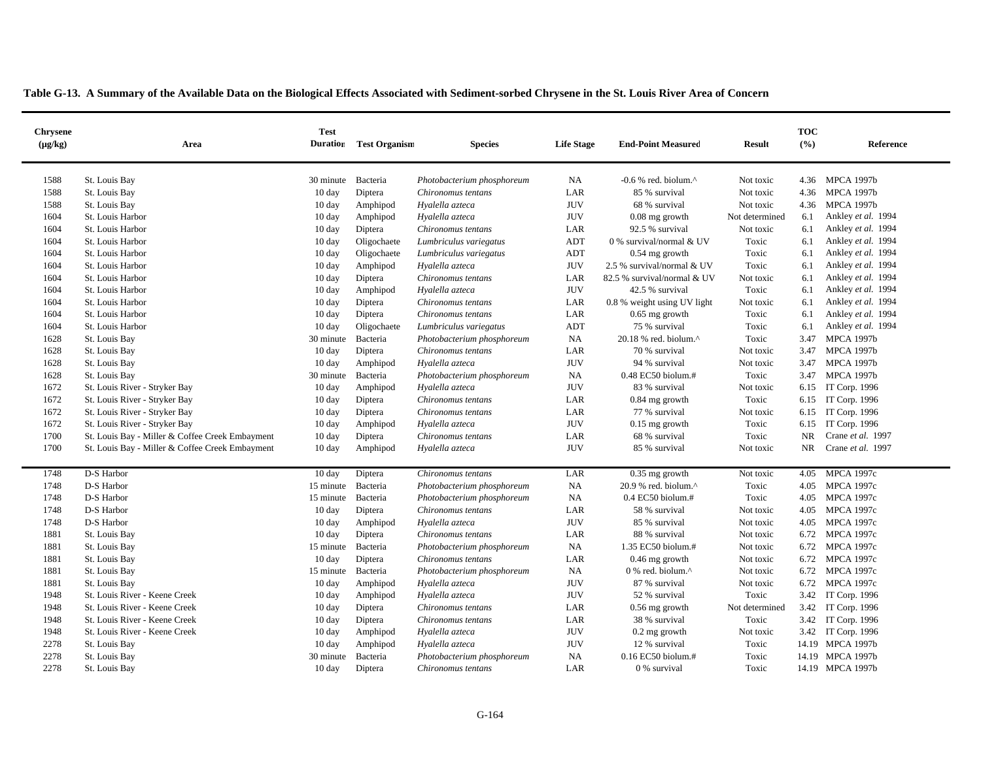|  |  | Table G-13. A Summary of the Available Data on the Biological Effects Associated with Sediment-sorbed Chrysene in the St. Louis River Area of Concern |
|--|--|-------------------------------------------------------------------------------------------------------------------------------------------------------|
|  |  |                                                                                                                                                       |

| <b>Chrysene</b><br>$(\mu g/kg)$ | Area                                            | <b>Test</b><br><b>Duration</b> | <b>Test Organism</b> | <b>Species</b>             | <b>Life Stage</b> | <b>End-Point Measured</b>                            | <b>Result</b>  | <b>TOC</b><br>(%) | Reference          |
|---------------------------------|-------------------------------------------------|--------------------------------|----------------------|----------------------------|-------------------|------------------------------------------------------|----------------|-------------------|--------------------|
| 1588                            | St. Louis Bay                                   | 30 minute                      | Bacteria             | Photobacterium phosphoreum | NA                | $-0.6$ % red. biolum. <sup><math>\wedge</math></sup> | Not toxic      | 4.36              | <b>MPCA 1997b</b>  |
| 1588                            | St. Louis Bay                                   | 10 day                         | Diptera              | Chironomus tentans         | LAR               | 85 % survival                                        | Not toxic      | 4.36              | MPCA 1997b         |
| 1588                            | St. Louis Bay                                   | $10 \text{ day}$               | Amphipod             | Hyalella azteca            | <b>JUV</b>        | 68 % survival                                        | Not toxic      | 4.36              | <b>MPCA 1997b</b>  |
| 1604                            | St. Louis Harbor                                | $10 \text{ day}$               | Amphipod             | Hyalella azteca            | <b>JUV</b>        | $0.08$ mg growth                                     | Not determined | 6.1               | Ankley et al. 1994 |
| 1604                            | St. Louis Harbor                                | $10 \text{ day}$               | Diptera              | Chironomus tentans         | LAR               | 92.5 % survival                                      | Not toxic      | 6.1               | Ankley et al. 1994 |
| 1604                            | St. Louis Harbor                                | $10 \text{ day}$               | Oligochaete          | Lumbriculus variegatus     | <b>ADT</b>        | 0 % survival/normal & UV                             | Toxic          | 6.1               | Ankley et al. 1994 |
| 1604                            | St. Louis Harbor                                | 10 day                         | Oligochaete          | Lumbriculus variegatus     | <b>ADT</b>        | 0.54 mg growth                                       | Toxic          | 6.1               | Ankley et al. 1994 |
| 1604                            | St. Louis Harbor                                | $10 \text{ day}$               | Amphipod             | Hyalella azteca            | <b>JUV</b>        | 2.5 % survival/normal & UV                           | Toxic          | 6.1               | Ankley et al. 1994 |
| 1604                            | St. Louis Harbor                                | $10 \text{ day}$               | Diptera              | Chironomus tentans         | LAR               | 82.5 % survival/normal & UV                          | Not toxic      | 6.1               | Ankley et al. 1994 |
| 1604                            | St. Louis Harbor                                | $10 \text{ day}$               | Amphipod             | Hyalella azteca            | <b>JUV</b>        | 42.5 % survival                                      | Toxic          | 6.1               | Ankley et al. 1994 |
| 1604                            | St. Louis Harbor                                | $10 \text{ day}$               | Diptera              | Chironomus tentans         | LAR               | 0.8 % weight using UV light                          | Not toxic      | 6.1               | Ankley et al. 1994 |
| 1604                            | St. Louis Harbor                                | 10 day                         | Diptera              | Chironomus tentans         | LAR               | $0.65$ mg growth                                     | Toxic          | 6.1               | Ankley et al. 1994 |
| 1604                            | St. Louis Harbor                                | 10 day                         | Oligochaete          | Lumbriculus variegatus     | <b>ADT</b>        | 75 % survival                                        | Toxic          | 6.1               | Ankley et al. 1994 |
| 1628                            | St. Louis Bay                                   | 30 minute                      | Bacteria             | Photobacterium phosphoreum | NA                | 20.18 % red. biolum.^                                | Toxic          | 3.47              | <b>MPCA 1997b</b>  |
| 1628                            | St. Louis Bay                                   | $10 \text{ day}$               | Diptera              | Chironomus tentans         | LAR               | 70 % survival                                        | Not toxic      | 3.47              | <b>MPCA 1997b</b>  |
| 1628                            | St. Louis Bay                                   | 10 day                         | Amphipod             | Hyalella azteca            | <b>JUV</b>        | 94 % survival                                        | Not toxic      | 3.47              | <b>MPCA 1997b</b>  |
| 1628                            | St. Louis Bay                                   | 30 minute                      | Bacteria             | Photobacterium phosphoreum | NA                | $0.48$ EC50 biolum.#                                 | Toxic          | 3.47              | <b>MPCA 1997b</b>  |
| 1672                            | St. Louis River - Stryker Bay                   | 10 day                         | Amphipod             | Hyalella azteca            | <b>JUV</b>        | 83 % survival                                        | Not toxic      |                   | 6.15 IT Corp. 1996 |
| 1672                            | St. Louis River - Stryker Bay                   | 10 day                         | Diptera              | Chironomus tentans         | LAR               | 0.84 mg growth                                       | Toxic          |                   | 6.15 IT Corp. 1996 |
| 1672                            | St. Louis River - Stryker Bay                   | $10 \text{ day}$               | Diptera              | Chironomus tentans         | LAR               | 77 % survival                                        | Not toxic      | 6.15              | IT Corp. 1996      |
| 1672                            | St. Louis River - Stryker Bay                   | 10 day                         | Amphipod             | Hyalella azteca            | <b>JUV</b>        | $0.15$ mg growth                                     | Toxic          | 6.15              | IT Corp. 1996      |
| 1700                            | St. Louis Bay - Miller & Coffee Creek Embayment | $10 \text{ day}$               | Diptera              | Chironomus tentans         | LAR               | 68 % survival                                        | Toxic          | <b>NR</b>         | Crane et al. 1997  |
| 1700                            | St. Louis Bay - Miller & Coffee Creek Embayment | $10 \text{ day}$               | Amphipod             | Hyalella azteca            | <b>JUV</b>        | 85 % survival                                        | Not toxic      | <b>NR</b>         | Crane et al. 1997  |
|                                 |                                                 |                                |                      |                            |                   |                                                      |                |                   |                    |
| 1748                            | D-S Harbor                                      | 10 day                         | Diptera              | Chironomus tentans         | LAR               | $0.35$ mg growth                                     | Not toxic      | 4.05              | <b>MPCA 1997c</b>  |
| 1748                            | D-S Harbor                                      | 15 minute                      | Bacteria             | Photobacterium phosphoreum | <b>NA</b>         | 20.9 % red. biolum.^                                 | Toxic          | 4.05              | <b>MPCA 1997c</b>  |
| 1748                            | D-S Harbor                                      | 15 minute                      | Bacteria             | Photobacterium phosphoreum | NA                | $0.4$ EC50 biolum.#                                  | Toxic          | 4.05              | <b>MPCA 1997c</b>  |
| 1748                            | D-S Harbor                                      | 10 day                         | Diptera              | Chironomus tentans         | LAR               | 58 % survival                                        | Not toxic      | 4.05              | <b>MPCA 1997c</b>  |
| 1748                            | D-S Harbor                                      | 10 day                         | Amphipod             | Hyalella azteca            | <b>JUV</b>        | 85 % survival                                        | Not toxic      |                   | 4.05 MPCA 1997c    |
| 1881                            | St. Louis Bay                                   | 10 day                         | Diptera              | Chironomus tentans         | LAR               | 88 % survival                                        | Not toxic      |                   | 6.72 MPCA 1997c    |
| 1881                            | St. Louis Bay                                   | 15 minute                      | Bacteria             | Photobacterium phosphoreum | NA                | 1.35 EC50 biolum.#                                   | Not toxic      |                   | 6.72 MPCA 1997c    |
| 1881                            | St. Louis Bay                                   | $10 \text{ day}$               | Diptera              | Chironomus tentans         | LAR               | $0.46$ mg growth                                     | Not toxic      |                   | 6.72 MPCA 1997c    |
| 1881                            | St. Louis Bay                                   | 15 minute                      | Bacteria             | Photobacterium phosphoreum | NA                | 0 % red. biolum.^                                    | Not toxic      |                   | 6.72 MPCA 1997c    |
| 1881                            | St. Louis Bay                                   | $10 \text{ day}$               | Amphipod             | Hyalella azteca            | <b>JUV</b>        | 87 % survival                                        | Not toxic      |                   | 6.72 MPCA 1997c    |
| 1948                            | St. Louis River - Keene Creek                   | 10 day                         | Amphipod             | Hyalella azteca            | <b>JUV</b>        | 52 % survival                                        | Toxic          |                   | 3.42 IT Corp. 1996 |
| 1948                            | St. Louis River - Keene Creek                   | 10 day                         | Diptera              | Chironomus tentans         | LAR               | 0.56 mg growth                                       | Not determined | 3.42              | IT Corp. 1996      |
| 1948                            | St. Louis River - Keene Creek                   | 10 day                         | Diptera              | Chironomus tentans         | LAR               | 38 % survival                                        | Toxic          |                   | 3.42 IT Corp. 1996 |
| 1948                            | St. Louis River - Keene Creek                   | 10 day                         | Amphipod             | Hyalella azteca            | <b>JUV</b>        | $0.2$ mg growth                                      | Not toxic      |                   | 3.42 IT Corp. 1996 |
| 2278                            | St. Louis Bay                                   | $10 \text{ day}$               | Amphipod             | Hyalella azteca            | <b>JUV</b>        | 12 % survival                                        | Toxic          |                   | 14.19 MPCA 1997b   |
| 2278                            | St. Louis Bay                                   | 30 minute                      | Bacteria             | Photobacterium phosphoreum | NA                | 0.16 EC50 biolum.#                                   | Toxic          |                   | 14.19 MPCA 1997b   |
| 2278                            | St. Louis Bay                                   | $10\:\rm{day}$                 | Diptera              | Chironomus tentans         | LAR               | 0 % survival                                         | Toxic          |                   | 14.19 MPCA 1997b   |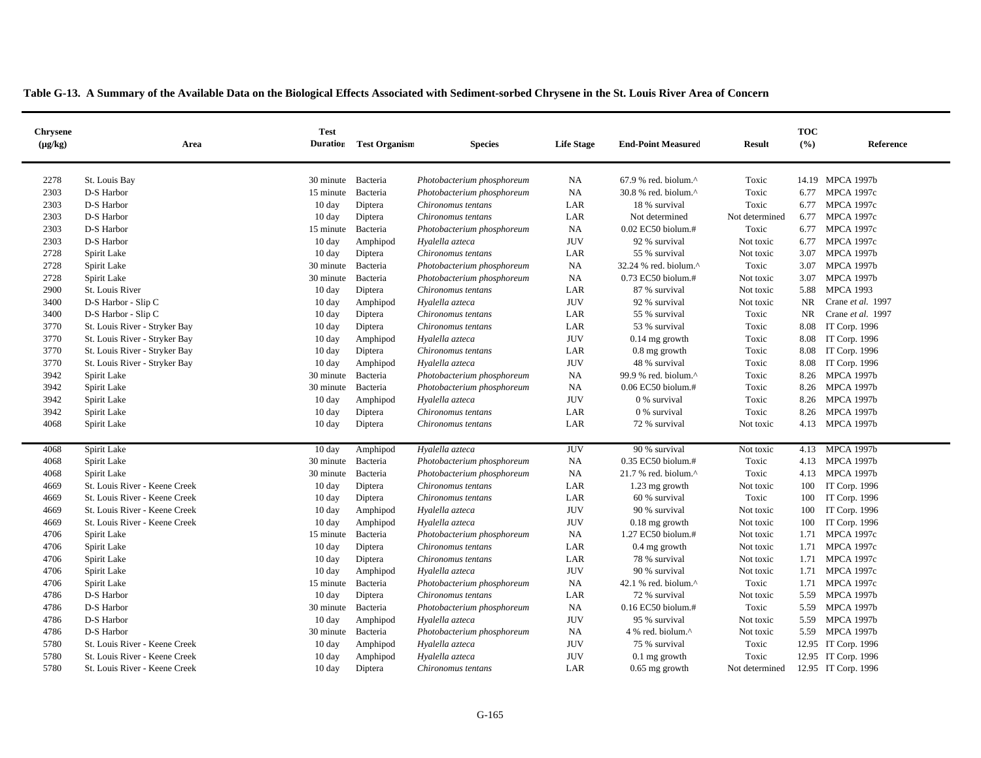|  |  | Table G-13. A Summary of the Available Data on the Biological Effects Associated with Sediment-sorbed Chrysene in the St. Louis River Area of Concern |  |
|--|--|-------------------------------------------------------------------------------------------------------------------------------------------------------|--|
|--|--|-------------------------------------------------------------------------------------------------------------------------------------------------------|--|

| <b>Chrysene</b><br>$(\mu g/kg)$ | Area                          | <b>Test</b><br><b>Duration</b> | <b>Test Organism</b> | <b>Species</b>             | <b>Life Stage</b> | <b>End-Point Measured</b>         | <b>Result</b>  | <b>TOC</b><br>(%) | Reference           |
|---------------------------------|-------------------------------|--------------------------------|----------------------|----------------------------|-------------------|-----------------------------------|----------------|-------------------|---------------------|
|                                 |                               |                                |                      |                            |                   |                                   |                |                   |                     |
| 2278                            | St. Louis Bay                 | 30 minute                      | Bacteria             | Photobacterium phosphoreum | NA                | $67.9$ % red. biolum. $^{\wedge}$ | Toxic          |                   | 14.19 MPCA 1997b    |
| 2303                            | D-S Harbor                    | 15 minute                      | Bacteria             | Photobacterium phosphoreum | <b>NA</b>         | 30.8 % red. biolum.^              | Toxic          | 6.77              | <b>MPCA 1997c</b>   |
| 2303                            | D-S Harbor                    | 10 day                         | Diptera              | Chironomus tentans         | LAR               | 18 % survival                     | Toxic          | 6.77              | <b>MPCA 1997c</b>   |
| 2303                            | D-S Harbor                    | $10 \text{ day}$               | Diptera              | Chironomus tentans         | LAR               | Not determined                    | Not determined | 6.77              | <b>MPCA 1997c</b>   |
| 2303                            | D-S Harbor                    | 15 minute                      | Bacteria             | Photobacterium phosphoreum | NA                | 0.02 EC50 biolum.#                | Toxic          | 6.77              | <b>MPCA 1997c</b>   |
| 2303                            | D-S Harbor                    | $10 \text{ day}$               | Amphipod             | Hyalella azteca            | <b>JUV</b>        | 92 % survival                     | Not toxic      | 6.77              | <b>MPCA 1997c</b>   |
| 2728                            | Spirit Lake                   | 10 day                         | Diptera              | Chironomus tentans         | LAR               | 55 % survival                     | Not toxic      | 3.07              | <b>MPCA 1997b</b>   |
| 2728                            | Spirit Lake                   | 30 minute                      | Bacteria             | Photobacterium phosphoreum | NA                | 32.24 % red. biolum.^             | Toxic          | 3.07              | <b>MPCA 1997b</b>   |
| 2728                            | Spirit Lake                   | 30 minute                      | Bacteria             | Photobacterium phosphoreum | <b>NA</b>         | 0.73 EC50 biolum.#                | Not toxic      | 3.07              | <b>MPCA 1997b</b>   |
| 2900                            | St. Louis River               | 10 day                         | Diptera              | Chironomus tentans         | LAR               | 87 % survival                     | Not toxic      | 5.88              | <b>MPCA 1993</b>    |
| 3400                            | D-S Harbor - Slip C           | 10 day                         | Amphipod             | Hyalella azteca            | <b>JUV</b>        | 92 % survival                     | Not toxic      | NR                | Crane et al. 1997   |
| 3400                            | D-S Harbor - Slip C           | $10 \text{ day}$               | Diptera              | Chironomus tentans         | LAR               | 55 % survival                     | Toxic          | <b>NR</b>         | Crane et al. 1997   |
| 3770                            | St. Louis River - Stryker Bay | $10 \text{ day}$               | Diptera              | Chironomus tentans         | LAR               | 53 % survival                     | Toxic          | 8.08              | IT Corp. 1996       |
| 3770                            | St. Louis River - Stryker Bay | $10 \text{ day}$               | Amphipod             | Hyalella azteca            | <b>JUV</b>        | $0.14$ mg growth                  | Toxic          | 8.08              | IT Corp. 1996       |
| 3770                            | St. Louis River - Stryker Bay | 10 day                         | Diptera              | Chironomus tentans         | LAR               | 0.8 mg growth                     | Toxic          | 8.08              | IT Corp. 1996       |
| 3770                            | St. Louis River - Stryker Bay | 10 day                         | Amphipod             | Hyalella azteca            | <b>JUV</b>        | 48 % survival                     | Toxic          | 8.08              | IT Corp. 1996       |
| 3942                            | Spirit Lake                   | 30 minute                      | Bacteria             | Photobacterium phosphoreum | NA                | 99.9 % red. biolum.^              | Toxic          | 8.26              | <b>MPCA 1997b</b>   |
| 3942                            | Spirit Lake                   | 30 minute                      | Bacteria             | Photobacterium phosphoreum | <b>NA</b>         | 0.06 EC50 biolum.#                | Toxic          | 8.26              | <b>MPCA 1997b</b>   |
| 3942                            | Spirit Lake                   | $10 \text{ day}$               | Amphipod             | Hyalella azteca            | <b>JUV</b>        | 0 % survival                      | Toxic          | 8.26              | <b>MPCA 1997b</b>   |
| 3942                            | Spirit Lake                   | $10 \text{ day}$               | Diptera              | Chironomus tentans         | LAR               | 0 % survival                      | Toxic          | 8.26              | <b>MPCA 1997b</b>   |
| 4068                            | Spirit Lake                   | $10 \text{ day}$               | Diptera              | Chironomus tentans         | LAR               | 72 % survival                     | Not toxic      |                   | 4.13 MPCA 1997b     |
|                                 |                               |                                |                      |                            |                   |                                   |                |                   |                     |
| 4068                            | Spirit Lake                   | $10 \text{ day}$               | Amphipod             | Hyalella azteca            | <b>JUV</b>        | 90 % survival                     | Not toxic      | 4.13              | <b>MPCA 1997b</b>   |
| 4068                            | Spirit Lake                   | 30 minute                      | Bacteria             | Photobacterium phosphoreum | <b>NA</b>         | 0.35 EC50 biolum.#                | Toxic          | 4.13              | <b>MPCA 1997b</b>   |
| 4068                            | Spirit Lake                   | 30 minute                      | Bacteria             | Photobacterium phosphoreum | NA                | 21.7 % red. biolum.^              | Toxic          | 4.13              | <b>MPCA 1997b</b>   |
| 4669                            | St. Louis River - Keene Creek | $10 \text{ day}$               | Diptera              | Chironomus tentans         | LAR               | $1.23$ mg growth                  | Not toxic      | 100               | IT Corp. 1996       |
| 4669                            | St. Louis River - Keene Creek | $10 \text{ day}$               | Diptera              | Chironomus tentans         | LAR               | 60 % survival                     | Toxic          | 100               | IT Corp. 1996       |
| 4669                            | St. Louis River - Keene Creek | $10 \text{ day}$               | Amphipod             | Hyalella azteca            | <b>JUV</b>        | 90 % survival                     | Not toxic      | 100               | IT Corp. 1996       |
| 4669                            | St. Louis River - Keene Creek | 10 day                         | Amphipod             | Hyalella azteca            | <b>JUV</b>        | $0.18$ mg growth                  | Not toxic      | 100               | IT Corp. 1996       |
| 4706                            | Spirit Lake                   | 15 minute                      | Bacteria             | Photobacterium phosphoreum | NA                | 1.27 EC50 biolum.#                | Not toxic      | 1.71              | <b>MPCA 1997c</b>   |
| 4706                            | Spirit Lake                   | $10 \text{ day}$               | Diptera              | Chironomus tentans         | LAR               | $0.4$ mg growth                   | Not toxic      | 1.71              | <b>MPCA 1997c</b>   |
| 4706                            | Spirit Lake                   | 10 day                         | Diptera              | Chironomus tentans         | LAR               | 78 % survival                     | Not toxic      | 1.71              | <b>MPCA 1997c</b>   |
| 4706                            | Spirit Lake                   | 10 day                         | Amphipod             | Hyalella azteca            | <b>JUV</b>        | 90 % survival                     | Not toxic      | 1.71              | <b>MPCA 1997c</b>   |
| 4706                            | Spirit Lake                   | 15 minute                      | Bacteria             | Photobacterium phosphoreum | NA                | 42.1 % red. biolum. $^{\wedge}$   | Toxic          | 1.71              | <b>MPCA 1997c</b>   |
| 4786                            | D-S Harbor                    | 10 day                         | Diptera              | Chironomus tentans         | LAR               | 72 % survival                     | Not toxic      | 5.59              | <b>MPCA 1997b</b>   |
| 4786                            | D-S Harbor                    | 30 minute                      | Bacteria             | Photobacterium phosphoreum | NA                | 0.16 EC50 biolum.#                | Toxic          | 5.59              | <b>MPCA 1997b</b>   |
| 4786                            | D-S Harbor                    | 10 day                         | Amphipod             | Hyalella azteca            | <b>JUV</b>        | 95 % survival                     | Not toxic      | 5.59              | <b>MPCA 1997b</b>   |
| 4786                            | D-S Harbor                    | 30 minute                      | Bacteria             | Photobacterium phosphoreum | <b>NA</b>         | 4 % red. biolum.^                 | Not toxic      | 5.59              | <b>MPCA 1997b</b>   |
| 5780                            | St. Louis River - Keene Creek | $10 \text{ day}$               | Amphipod             | Hyalella azteca            | <b>JUV</b>        | 75 % survival                     | Toxic          |                   | 12.95 IT Corp. 1996 |
| 5780                            | St. Louis River - Keene Creek | 10 day                         | Amphipod             | Hyalella azteca            | <b>JUV</b>        | $0.1$ mg growth                   | Toxic          |                   | 12.95 IT Corp. 1996 |
| 5780                            | St. Louis River - Keene Creek | 10 day                         | Diptera              | Chironomus tentans         | LAR               | $0.65$ mg growth                  | Not determined |                   | 12.95 IT Corp. 1996 |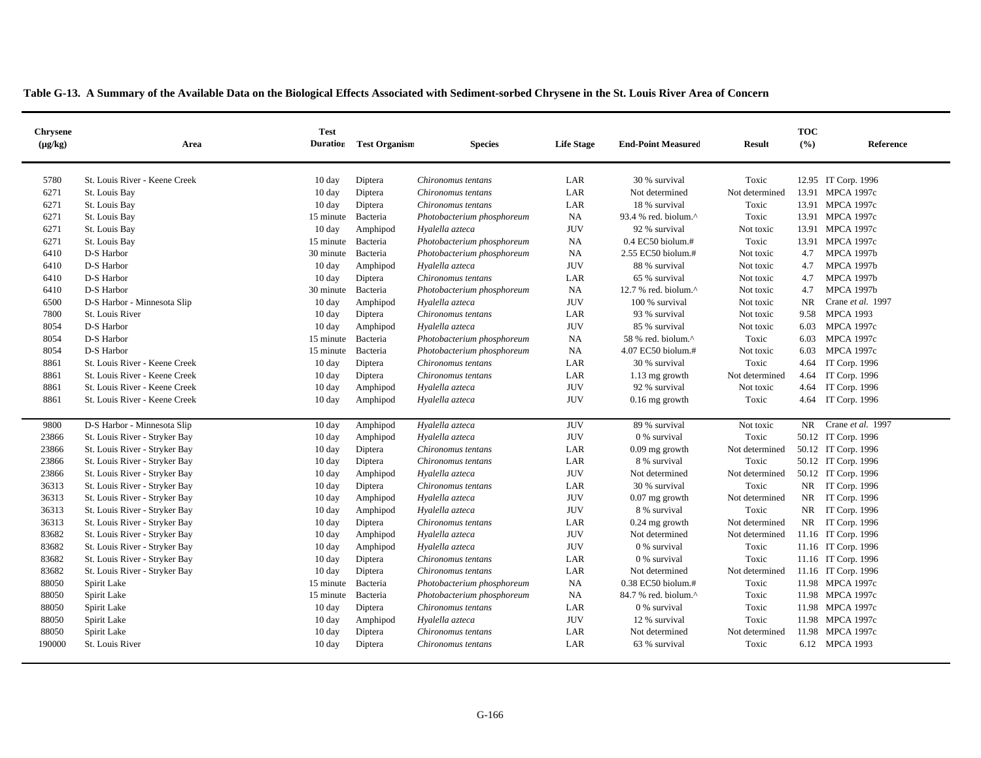|  | Table G-13. A Summary of the Available Data on the Biological Effects Associated with Sediment-sorbed Chrysene in the St. Louis River Area of Concern |
|--|-------------------------------------------------------------------------------------------------------------------------------------------------------|
|  |                                                                                                                                                       |

| <b>Chrysene</b><br>$(\mu g/kg)$ | Area                          | <b>Test</b>        | <b>Duration</b> Test Organism | <b>Species</b>             | <b>Life Stage</b> | <b>End-Point Measured</b> | <b>Result</b>  | <b>TOC</b><br>(%) | Reference           |
|---------------------------------|-------------------------------|--------------------|-------------------------------|----------------------------|-------------------|---------------------------|----------------|-------------------|---------------------|
|                                 |                               |                    |                               |                            |                   |                           |                |                   |                     |
| 5780                            | St. Louis River - Keene Creek | $10 \text{ day}$   | Diptera                       | Chironomus tentans         | LAR               | 30 % survival             | Toxic          |                   | 12.95 IT Corp. 1996 |
| 6271                            | St. Louis Bay                 | $10 \text{ day}$   | Diptera                       | Chironomus tentans         | LAR               | Not determined            | Not determined |                   | 13.91 MPCA 1997c    |
| 6271                            | St. Louis Bay                 | $10 \text{ day}$   | Diptera                       | Chironomus tentans         | LAR               | 18 % survival             | Toxic          |                   | 13.91 MPCA 1997c    |
| 6271                            | St. Louis Bay                 | 15 minute          | Bacteria                      | Photobacterium phosphoreum | <b>NA</b>         | 93.4 % red. biolum.^      | Toxic          |                   | 13.91 MPCA 1997c    |
| 6271                            | St. Louis Bay                 | $10 \text{ day}$   | Amphipod                      | Hyalella azteca            | <b>JUV</b>        | 92 % survival             | Not toxic      |                   | 13.91 MPCA 1997c    |
| 6271                            | St. Louis Bay                 | 15 minute Bacteria |                               | Photobacterium phosphoreum | NA.               | $0.4$ EC50 biolum.#       | Toxic          |                   | 13.91 MPCA 1997c    |
| 6410                            | D-S Harbor                    | 30 minute          | Bacteria                      | Photobacterium phosphoreum | NA                | 2.55 EC50 biolum.#        | Not toxic      | 4.7               | <b>MPCA 1997b</b>   |
| 6410                            | D-S Harbor                    | $10 \text{ day}$   | Amphipod                      | Hyalella azteca            | <b>JUV</b>        | 88 % survival             | Not toxic      | 4.7               | <b>MPCA 1997b</b>   |
| 6410                            | D-S Harbor                    | $10 \text{ day}$   | Diptera                       | Chironomus tentans         | LAR               | 65 % survival             | Not toxic      | 4.7               | <b>MPCA 1997b</b>   |
| 6410                            | D-S Harbor                    | 30 minute          | Bacteria                      | Photobacterium phosphoreum | NA                | 12.7 % red. biolum.^      | Not toxic      | 4.7               | <b>MPCA 1997b</b>   |
| 6500                            | D-S Harbor - Minnesota Slip   | 10 day             | Amphipod                      | Hyalella azteca            | <b>JUV</b>        | 100 % survival            | Not toxic      | NR.               | Crane et al. 1997   |
| 7800                            | St. Louis River               | $10 \text{ day}$   | Diptera                       | Chironomus tentans         | LAR               | 93 % survival             | Not toxic      | 9.58              | <b>MPCA 1993</b>    |
| 8054                            | D-S Harbor                    | $10 \text{ day}$   | Amphipod                      | Hyalella azteca            | <b>JUV</b>        | 85 % survival             | Not toxic      | 6.03              | <b>MPCA 1997c</b>   |
| 8054                            | D-S Harbor                    | 15 minute          | Bacteria                      | Photobacterium phosphoreum | NA                | 58 % red. biolum.^        | Toxic          | 6.03              | <b>MPCA 1997c</b>   |
| 8054                            | D-S Harbor                    | 15 minute          | Bacteria                      | Photobacterium phosphoreum | NA                | 4.07 EC50 biolum.#        | Not toxic      | 6.03              | <b>MPCA 1997c</b>   |
| 8861                            | St. Louis River - Keene Creek | $10 \text{ day}$   | Diptera                       | Chironomus tentans         | LAR               | 30 % survival             | Toxic          | 4.64              | IT Corp. 1996       |
| 8861                            | St. Louis River - Keene Creek | $10 \text{ day}$   | Diptera                       | Chironomus tentans         | LAR               | 1.13 mg growth            | Not determined | 4.64              | IT Corp. 1996       |
| 8861                            | St. Louis River - Keene Creek | $10 \text{ day}$   | Amphipod                      | Hyalella azteca            | <b>JUV</b>        | 92 % survival             | Not toxic      | 4.64              | IT Corp. 1996       |
| 8861                            | St. Louis River - Keene Creek | $10 \text{ day}$   | Amphipod                      | Hyalella azteca            | <b>JUV</b>        | $0.16$ mg growth          | Toxic          |                   | 4.64 IT Corp. 1996  |
|                                 |                               |                    |                               |                            |                   |                           |                |                   |                     |
| 9800                            | D-S Harbor - Minnesota Slip   | 10 day             | Amphipod                      | Hyalella azteca            | <b>JUV</b>        | 89 % survival             | Not toxic      | NR.               | Crane et al. 1997   |
| 23866                           | St. Louis River - Stryker Bay | $10 \text{ day}$   | Amphipod                      | Hyalella azteca            | <b>JUV</b>        | 0 % survival              | Toxic          |                   | 50.12 IT Corp. 1996 |
| 23866                           | St. Louis River - Stryker Bay | $10 \text{ day}$   | Diptera                       | Chironomus tentans         | LAR               | $0.09$ mg growth          | Not determined |                   | 50.12 IT Corp. 1996 |
| 23866                           | St. Louis River - Stryker Bay | $10 \text{ day}$   | Diptera                       | Chironomus tentans         | LAR               | 8 % survival              | Toxic          |                   | 50.12 IT Corp. 1996 |
| 23866                           | St. Louis River - Stryker Bay | $10 \text{ day}$   | Amphipod                      | Hyalella azteca            | <b>JUV</b>        | Not determined            | Not determined |                   | 50.12 IT Corp. 1996 |
| 36313                           | St. Louis River - Stryker Bay | $10 \text{ day}$   | Diptera                       | Chironomus tentans         | LAR               | 30 % survival             | Toxic          |                   | NR IT Corp. 1996    |
| 36313                           | St. Louis River - Stryker Bay | $10 \text{ day}$   | Amphipod                      | Hyalella azteca            | <b>JUV</b>        | $0.07$ mg growth          | Not determined |                   | NR IT Corp. 1996    |
| 36313                           | St. Louis River - Stryker Bay | $10 \text{ day}$   | Amphipod                      | Hyalella azteca            | <b>JUV</b>        | 8 % survival              | Toxic          |                   | NR IT Corp. 1996    |
| 36313                           | St. Louis River - Stryker Bay | $10 \text{ day}$   | Diptera                       | Chironomus tentans         | LAR               | $0.24$ mg growth          | Not determined |                   | NR IT Corp. 1996    |
| 83682                           | St. Louis River - Stryker Bay | $10 \text{ day}$   | Amphipod                      | Hyalella azteca            | <b>JUV</b>        | Not determined            | Not determined |                   | 11.16 IT Corp. 1996 |
| 83682                           | St. Louis River - Stryker Bay | $10 \text{ day}$   | Amphipod                      | Hyalella azteca            | <b>JUV</b>        | 0 % survival              | Toxic          |                   | 11.16 IT Corp. 1996 |
| 83682                           | St. Louis River - Stryker Bay | $10 \text{ day}$   | Diptera                       | Chironomus tentans         | LAR               | 0 % survival              | Toxic          |                   | 11.16 IT Corp. 1996 |
| 83682                           | St. Louis River - Stryker Bay | $10 \text{ day}$   | Diptera                       | Chironomus tentans         | LAR               | Not determined            | Not determined |                   | 11.16 IT Corp. 1996 |
| 88050                           | Spirit Lake                   | 15 minute          | Bacteria                      | Photobacterium phosphoreum | NA                | $0.38$ EC50 biolum.#      | Toxic          |                   | 11.98 MPCA 1997c    |
| 88050                           | Spirit Lake                   | 15 minute          | Bacteria                      | Photobacterium phosphoreum | NA                | 84.7 % red. biolum.^      | Toxic          |                   | 11.98 MPCA 1997c    |
| 88050                           | Spirit Lake                   | $10 \text{ day}$   | Diptera                       | Chironomus tentans         | LAR               | 0 % survival              | Toxic          |                   | 11.98 MPCA 1997c    |
| 88050                           | Spirit Lake                   | $10 \text{ day}$   | Amphipod                      | Hyalella azteca            | <b>JUV</b>        | 12 % survival             | Toxic          |                   | 11.98 MPCA 1997c    |
| 88050                           | Spirit Lake                   | $10 \text{ day}$   | Diptera                       | Chironomus tentans         | LAR               | Not determined            | Not determined |                   | 11.98 MPCA 1997c    |
| 190000                          | St. Louis River               | $10 \text{ day}$   | Diptera                       | Chironomus tentans         | LAR               | 63 % survival             | Toxic          |                   | 6.12 MPCA 1993      |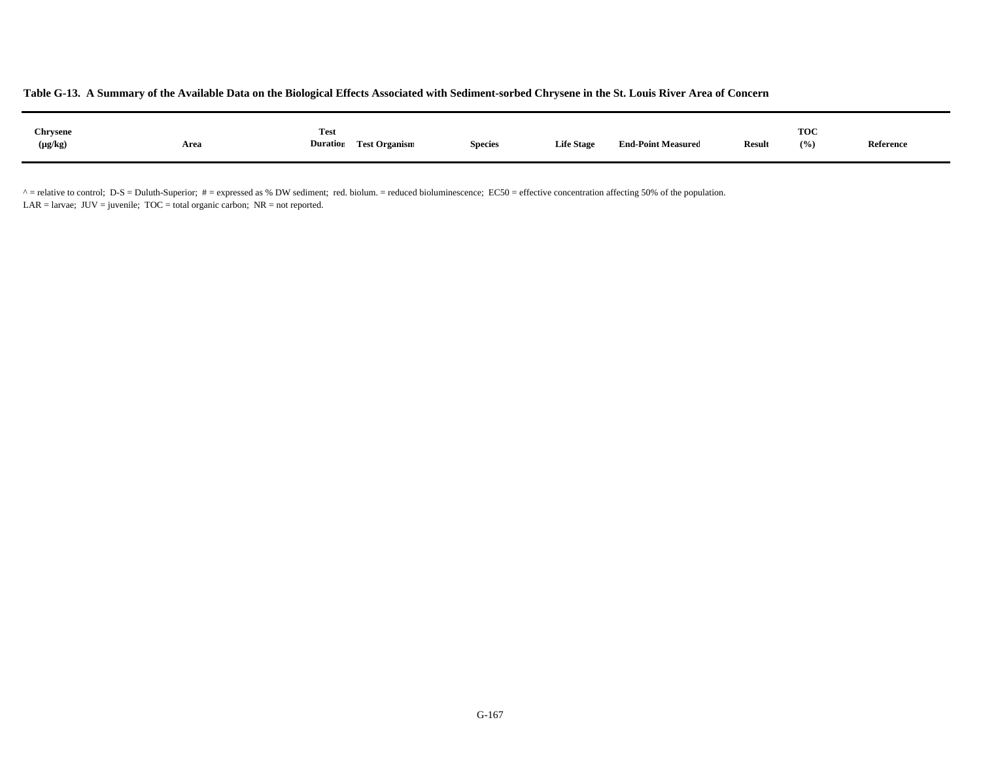| Chrysene<br>$(\mu g/kg)$ | Area | <b>Test</b><br><b>Test Organism</b><br><b>Duration</b> | <b>Species</b> | <b>Life Stage</b> | <b>End-Point Measured</b> | <b>Result</b> | <b>TOC</b><br>(9/0) | Reference |  |
|--------------------------|------|--------------------------------------------------------|----------------|-------------------|---------------------------|---------------|---------------------|-----------|--|
|                          |      |                                                        |                |                   |                           |               |                     |           |  |

 $^{\circ}$  = relative to control; D-S = Duluth-Superior;  $\#$  = expressed as % DW sediment; red. biolum. = reduced bioluminescence; EC50 = effective concentration affecting 50% of the population. LAR = larvae;  $JUV =$  juvenile;  $TOC =$  total organic carbon;  $NR =$  not reported.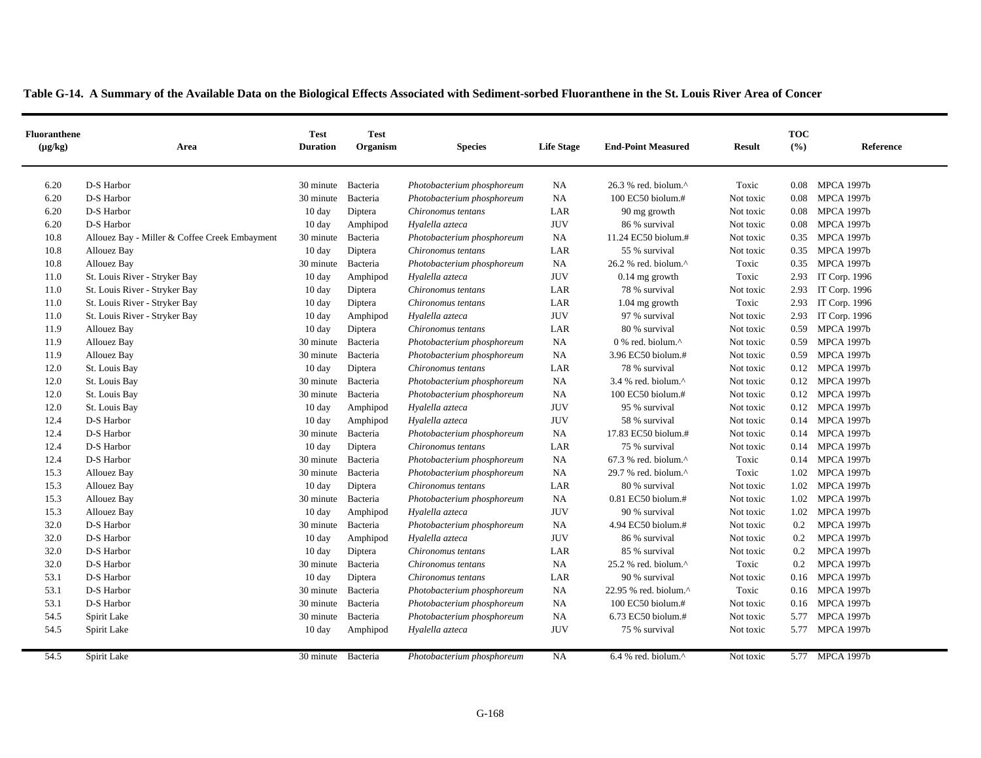| <b>Fluoranthene</b><br>$(\mu g/kg)$ | Area                                          | <b>Test</b><br><b>Duration</b> | <b>Test</b><br>Organism | <b>Species</b>             | <b>Life Stage</b> | <b>End-Point Measured</b>          | <b>Result</b> | <b>TOC</b><br>(%) | Reference         |
|-------------------------------------|-----------------------------------------------|--------------------------------|-------------------------|----------------------------|-------------------|------------------------------------|---------------|-------------------|-------------------|
| 6.20                                | D-S Harbor                                    | 30 minute Bacteria             |                         | Photobacterium phosphoreum | <b>NA</b>         | 26.3 % red. biolum.^               | Toxic         | 0.08              | <b>MPCA 1997b</b> |
| 6.20                                | D-S Harbor                                    | 30 minute                      | Bacteria                | Photobacterium phosphoreum | NA                | 100 EC50 biolum.#                  | Not toxic     | 0.08              | <b>MPCA 1997b</b> |
| 6.20                                | D-S Harbor                                    | 10 day                         | Diptera                 | Chironomus tentans         | LAR               | 90 mg growth                       | Not toxic     | 0.08              | <b>MPCA 1997b</b> |
| 6.20                                | D-S Harbor                                    | $10 \text{ day}$               | Amphipod                | Hyalella azteca            | <b>JUV</b>        | 86 % survival                      | Not toxic     | 0.08              | <b>MPCA 1997b</b> |
| 10.8                                | Allouez Bay - Miller & Coffee Creek Embayment | 30 minute                      | Bacteria                | Photobacterium phosphoreum | <b>NA</b>         | 11.24 EC50 biolum.#                | Not toxic     | 0.35              | <b>MPCA 1997b</b> |
| 10.8                                | Allouez Bay                                   | $10 \text{ day}$               | Diptera                 | Chironomus tentans         | LAR               | 55 % survival                      | Not toxic     | 0.35              | <b>MPCA 1997b</b> |
| 10.8                                | Allouez Bay                                   | 30 minute                      | Bacteria                | Photobacterium phosphoreum | <b>NA</b>         | 26.2 % red. biolum.^               | Toxic         | 0.35              | <b>MPCA 1997b</b> |
| 11.0                                | St. Louis River - Stryker Bay                 | $10 \text{ day}$               | Amphipod                | Hyalella azteca            | <b>JUV</b>        | $0.14$ mg growth                   | Toxic         | 2.93              | IT Corp. 1996     |
| 11.0                                | St. Louis River - Stryker Bay                 | $10 \text{ day}$               | Diptera                 | Chironomus tentans         | LAR               | 78 % survival                      | Not toxic     | 2.93              | IT Corp. 1996     |
| 11.0                                | St. Louis River - Stryker Bay                 | 10 day                         | Diptera                 | Chironomus tentans         | LAR               | $1.04$ mg growth                   | Toxic         | 2.93              | IT Corp. 1996     |
| 11.0                                | St. Louis River - Stryker Bay                 | 10 day                         | Amphipod                | Hyalella azteca            | <b>JUV</b>        | 97 % survival                      | Not toxic     | 2.93              | IT Corp. 1996     |
| 11.9                                | Allouez Bay                                   | $10 \text{ day}$               | Diptera                 | Chironomus tentans         | LAR               | 80 % survival                      | Not toxic     | 0.59              | <b>MPCA 1997b</b> |
| 11.9                                | Allouez Bay                                   | 30 minute                      | Bacteria                | Photobacterium phosphoreum | NA                | 0 % red. biolum.^                  | Not toxic     | 0.59              | <b>MPCA 1997b</b> |
| 11.9                                | Allouez Bay                                   | 30 minute                      | Bacteria                | Photobacterium phosphoreum | <b>NA</b>         | 3.96 EC50 biolum.#                 | Not toxic     | 0.59              | <b>MPCA 1997b</b> |
| 12.0                                | St. Louis Bay                                 | $10 \text{ day}$               | Diptera                 | Chironomus tentans         | LAR               | 78 % survival                      | Not toxic     | 0.12              | <b>MPCA 1997b</b> |
| 12.0                                | St. Louis Bay                                 | 30 minute                      | Bacteria                | Photobacterium phosphoreum | <b>NA</b>         | 3.4 % red. biolum.^                | Not toxic     | 0.12              | <b>MPCA 1997b</b> |
| 12.0                                | St. Louis Bay                                 | 30 minute                      | Bacteria                | Photobacterium phosphoreum | NA                | 100 EC50 biolum.#                  | Not toxic     | 0.12              | <b>MPCA 1997b</b> |
| 12.0                                | St. Louis Bay                                 | $10 \text{ day}$               | Amphipod                | Hyalella azteca            | <b>JUV</b>        | 95 % survival                      | Not toxic     | 0.12              | <b>MPCA 1997b</b> |
| 12.4                                | D-S Harbor                                    | $10 \text{ day}$               | Amphipod                | Hyalella azteca            | <b>JUV</b>        | 58 % survival                      | Not toxic     | 0.14              | <b>MPCA 1997b</b> |
| 12.4                                | D-S Harbor                                    | 30 minute                      | Bacteria                | Photobacterium phosphoreum | <b>NA</b>         | 17.83 EC50 biolum.#                | Not toxic     | 0.14              | <b>MPCA 1997b</b> |
| 12.4                                | D-S Harbor                                    | $10 \text{ day}$               | Diptera                 | Chironomus tentans         | LAR               | 75 % survival                      | Not toxic     |                   | 0.14 MPCA 1997b   |
| 12.4                                | D-S Harbor                                    | 30 minute                      | Bacteria                | Photobacterium phosphoreum | <b>NA</b>         | $67.3$ % red. biolum. <sup>^</sup> | Toxic         |                   | 0.14 MPCA 1997b   |
| 15.3                                | Allouez Bay                                   | 30 minute                      | Bacteria                | Photobacterium phosphoreum | <b>NA</b>         | 29.7 % red. biolum.^               | Toxic         | 1.02              | <b>MPCA 1997b</b> |
| 15.3                                | Allouez Bay                                   | $10 \text{ day}$               | Diptera                 | Chironomus tentans         | LAR               | 80 % survival                      | Not toxic     | 1.02              | <b>MPCA 1997b</b> |
| 15.3                                | <b>Allouez Bay</b>                            | 30 minute Bacteria             |                         | Photobacterium phosphoreum | <b>NA</b>         | $0.81$ EC50 biolum.#               | Not toxic     | 1.02              | <b>MPCA 1997b</b> |
| 15.3                                | <b>Allouez Bay</b>                            | $10 \text{ day}$               | Amphipod                | Hyalella azteca            | <b>JUV</b>        | 90 % survival                      | Not toxic     | 1.02              | <b>MPCA 1997b</b> |
| 32.0                                | D-S Harbor                                    | 30 minute                      | Bacteria                | Photobacterium phosphoreum | <b>NA</b>         | 4.94 EC50 biolum.#                 | Not toxic     | 0.2               | <b>MPCA 1997b</b> |
| 32.0                                | D-S Harbor                                    | $10 \text{ day}$               | Amphipod                | Hyalella azteca            | <b>JUV</b>        | 86 % survival                      | Not toxic     | 0.2               | <b>MPCA 1997b</b> |
| 32.0                                | D-S Harbor                                    | $10 \text{ day}$               | Diptera                 | Chironomus tentans         | LAR               | 85 % survival                      | Not toxic     | 0.2               | <b>MPCA 1997b</b> |
| 32.0                                | D-S Harbor                                    | 30 minute                      | Bacteria                | Chironomus tentans         | <b>NA</b>         | 25.2 % red. biolum.^               | Toxic         | 0.2               | <b>MPCA 1997b</b> |
| 53.1                                | D-S Harbor                                    | 10 day                         | Diptera                 | Chironomus tentans         | LAR               | 90 % survival                      | Not toxic     | 0.16              | <b>MPCA 1997b</b> |
| 53.1                                | D-S Harbor                                    | 30 minute Bacteria             |                         | Photobacterium phosphoreum | <b>NA</b>         | 22.95 % red. biolum.^              | Toxic         | 0.16              | <b>MPCA 1997b</b> |
| 53.1                                | D-S Harbor                                    | 30 minute                      | Bacteria                | Photobacterium phosphoreum | <b>NA</b>         | 100 EC50 biolum.#                  | Not toxic     | 0.16              | <b>MPCA 1997b</b> |
| 54.5                                | Spirit Lake                                   | 30 minute                      | Bacteria                | Photobacterium phosphoreum | <b>NA</b>         | 6.73 EC50 biolum.#                 | Not toxic     | 5.77              | <b>MPCA 1997b</b> |
| 54.5                                | Spirit Lake                                   | $10 \text{ day}$               | Amphipod                | Hyalella azteca            | <b>JUV</b>        | 75 % survival                      | Not toxic     | 5.77              | <b>MPCA 1997b</b> |
| 54.5                                | Spirit Lake                                   | 30 minute Bacteria             |                         | Photobacterium phosphoreum | <b>NA</b>         | 6.4 % red. biolum. $^{\wedge}$     | Not toxic     |                   | 5.77 MPCA 1997b   |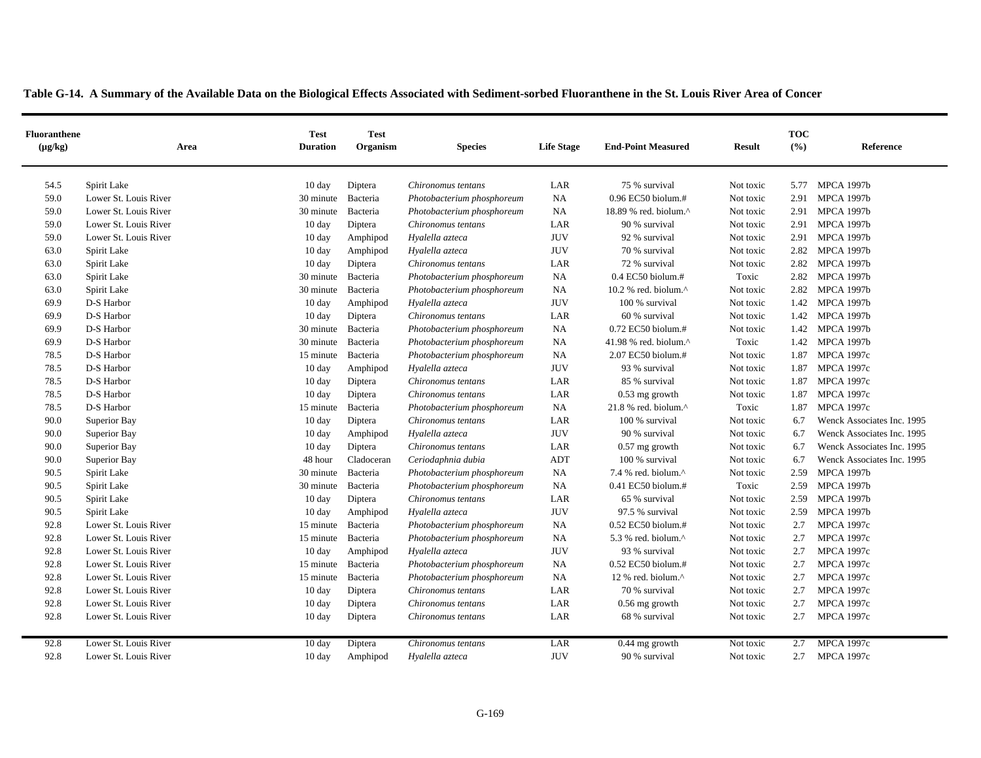| <b>Fluoranthene</b><br>$(\mu g/kg)$ | Area                  | <b>Test</b><br><b>Duration</b> | <b>Test</b><br>Organism | <b>Species</b>             | <b>Life Stage</b> | <b>End-Point Measured</b>                            | <b>Result</b> | <b>TOC</b><br>$($ %) | Reference                  |
|-------------------------------------|-----------------------|--------------------------------|-------------------------|----------------------------|-------------------|------------------------------------------------------|---------------|----------------------|----------------------------|
| 54.5                                | Spirit Lake           | $10 \text{ day}$               | Diptera                 | Chironomus tentans         | LAR               | 75 % survival                                        | Not toxic     | 5.77                 | <b>MPCA 1997b</b>          |
| 59.0                                | Lower St. Louis River | 30 minute                      | Bacteria                | Photobacterium phosphoreum | <b>NA</b>         | $0.96$ EC50 biolum.#                                 | Not toxic     | 2.91                 | <b>MPCA 1997b</b>          |
| 59.0                                | Lower St. Louis River | 30 minute                      | Bacteria                | Photobacterium phosphoreum | <b>NA</b>         | 18.89 % red. biolum. $^{\wedge}$                     | Not toxic     | 2.91                 | <b>MPCA 1997b</b>          |
| 59.0                                | Lower St. Louis River | 10 day                         | Diptera                 | Chironomus tentans         | LAR               | 90 % survival                                        | Not toxic     | 2.91                 | <b>MPCA 1997b</b>          |
| 59.0                                | Lower St. Louis River | 10 day                         | Amphipod                | Hyalella azteca            | <b>JUV</b>        | 92 % survival                                        | Not toxic     | 2.91                 | <b>MPCA 1997b</b>          |
| 63.0                                | Spirit Lake           | 10 day                         | Amphipod                | Hyalella azteca            | <b>JUV</b>        | 70 % survival                                        | Not toxic     | 2.82                 | <b>MPCA 1997b</b>          |
| 63.0                                | Spirit Lake           | 10 day                         | Diptera                 | Chironomus tentans         | LAR               | 72 % survival                                        | Not toxic     | 2.82                 | MPCA 1997b                 |
| 63.0                                | Spirit Lake           | 30 minute                      | Bacteria                | Photobacterium phosphoreum | <b>NA</b>         | $0.4$ EC50 biolum.#                                  | Toxic         | 2.82                 | <b>MPCA 1997b</b>          |
| 63.0                                | Spirit Lake           | 30 minute                      | Bacteria                | Photobacterium phosphoreum | <b>NA</b>         | 10.2 % red. biolum. $^{\wedge}$                      | Not toxic     | 2.82                 | <b>MPCA 1997b</b>          |
| 69.9                                | D-S Harbor            | 10 day                         | Amphipod                | Hyalella azteca            | <b>JUV</b>        | 100 % survival                                       | Not toxic     | 1.42                 | <b>MPCA 1997b</b>          |
| 69.9                                | D-S Harbor            | $10 \text{ day}$               | Diptera                 | Chironomus tentans         | LAR               | 60 % survival                                        | Not toxic     | 1.42                 | <b>MPCA 1997b</b>          |
| 69.9                                | D-S Harbor            | 30 minute                      | Bacteria                | Photobacterium phosphoreum | <b>NA</b>         | $0.72$ EC50 biolum.#                                 | Not toxic     | 1.42                 | <b>MPCA 1997b</b>          |
| 69.9                                | D-S Harbor            | 30 minute                      | Bacteria                | Photobacterium phosphoreum | <b>NA</b>         | 41.98 % red. biolum.^                                | Toxic         | 1.42                 | <b>MPCA 1997b</b>          |
| 78.5                                | D-S Harbor            | 15 minute                      | Bacteria                | Photobacterium phosphoreum | <b>NA</b>         | 2.07 EC50 biolum.#                                   | Not toxic     | 1.87                 | <b>MPCA 1997c</b>          |
| 78.5                                | D-S Harbor            | 10 day                         | Amphipod                | Hyalella azteca            | <b>JUV</b>        | 93 % survival                                        | Not toxic     | 1.87                 | <b>MPCA 1997c</b>          |
| 78.5                                | D-S Harbor            | 10 day                         | Diptera                 | Chironomus tentans         | LAR               | 85 % survival                                        | Not toxic     | 1.87                 | <b>MPCA 1997c</b>          |
| 78.5                                | D-S Harbor            | $10 \text{ day}$               | Diptera                 | Chironomus tentans         | LAR               | $0.53$ mg growth                                     | Not toxic     | 1.87                 | <b>MPCA 1997c</b>          |
| 78.5                                | D-S Harbor            | 15 minute                      | Bacteria                | Photobacterium phosphoreum | <b>NA</b>         | $21.8$ % red. biolum. <sup><math>\wedge</math></sup> | Toxic         | 1.87                 | <b>MPCA 1997c</b>          |
| 90.0                                | Superior Bay          | 10 day                         | Diptera                 | Chironomus tentans         | LAR               | 100 % survival                                       | Not toxic     | 6.7                  | Wenck Associates Inc. 1995 |
| 90.0                                | Superior Bay          | 10 day                         | Amphipod                | Hyalella azteca            | <b>JUV</b>        | 90 % survival                                        | Not toxic     | 6.7                  | Wenck Associates Inc. 1995 |
| 90.0                                | Superior Bay          | $10 \text{ day}$               | Diptera                 | Chironomus tentans         | LAR               | $0.57$ mg growth                                     | Not toxic     | 6.7                  | Wenck Associates Inc. 1995 |
| 90.0                                | Superior Bay          | 48 hour                        | Cladoceran              | Ceriodaphnia dubia         | ADT               | 100 % survival                                       | Not toxic     | 6.7                  | Wenck Associates Inc. 1995 |
| 90.5                                | Spirit Lake           | 30 minute                      | Bacteria                | Photobacterium phosphoreum | <b>NA</b>         | 7.4 % red. biolum. $^{\wedge}$                       | Not toxic     | 2.59                 | <b>MPCA 1997b</b>          |
| 90.5                                | Spirit Lake           | 30 minute                      | Bacteria                | Photobacterium phosphoreum | <b>NA</b>         | 0.41 EC50 biolum.#                                   | Toxic         | 2.59                 | <b>MPCA 1997b</b>          |
| 90.5                                | Spirit Lake           | 10 day                         | Diptera                 | Chironomus tentans         | LAR               | 65 % survival                                        | Not toxic     | 2.59                 | <b>MPCA 1997b</b>          |
| 90.5                                | Spirit Lake           | 10 day                         | Amphipod                | Hyalella azteca            | <b>JUV</b>        | 97.5 % survival                                      | Not toxic     | 2.59                 | <b>MPCA 1997b</b>          |
| 92.8                                | Lower St. Louis River | 15 minute                      | Bacteria                | Photobacterium phosphoreum | <b>NA</b>         | 0.52 EC50 biolum.#                                   | Not toxic     | 2.7                  | <b>MPCA 1997c</b>          |
| 92.8                                | Lower St. Louis River | 15 minute                      | Bacteria                | Photobacterium phosphoreum | <b>NA</b>         | 5.3 % red. biolum. $^{\wedge}$                       | Not toxic     | 2.7                  | <b>MPCA 1997c</b>          |
| 92.8                                | Lower St. Louis River | 10 day                         | Amphipod                | Hyalella azteca            | <b>JUV</b>        | 93 % survival                                        | Not toxic     | 2.7                  | <b>MPCA 1997c</b>          |
| 92.8                                | Lower St. Louis River | 15 minute                      | Bacteria                | Photobacterium phosphoreum | <b>NA</b>         | 0.52 EC50 biolum.#                                   | Not toxic     | 2.7                  | <b>MPCA 1997c</b>          |
| 92.8                                | Lower St. Louis River | 15 minute                      | Bacteria                | Photobacterium phosphoreum | <b>NA</b>         | 12 % red. biolum. $\wedge$                           | Not toxic     | 2.7                  | <b>MPCA 1997c</b>          |
| 92.8                                | Lower St. Louis River | 10 day                         | Diptera                 | Chironomus tentans         | LAR               | 70 % survival                                        | Not toxic     | 2.7                  | <b>MPCA 1997c</b>          |
| 92.8                                | Lower St. Louis River | 10 day                         | Diptera                 | Chironomus tentans         | LAR               | 0.56 mg growth                                       | Not toxic     | 2.7                  | <b>MPCA 1997c</b>          |
| 92.8                                | Lower St. Louis River | $10 \text{ day}$               | Diptera                 | Chironomus tentans         | LAR               | 68 % survival                                        | Not toxic     | 2.7                  | <b>MPCA 1997c</b>          |
| 92.8                                | Lower St. Louis River | 10 day                         | Diptera                 | Chironomus tentans         | LAR               | 0.44 mg growth                                       | Not toxic     | 2.7                  | <b>MPCA 1997c</b>          |
| 92.8                                | Lower St. Louis River | 10 day                         |                         | Hyalella azteca            | <b>JUV</b>        | 90 % survival                                        | Not toxic     | 2.7                  | <b>MPCA 1997c</b>          |
|                                     |                       |                                | Amphipod                |                            |                   |                                                      |               |                      |                            |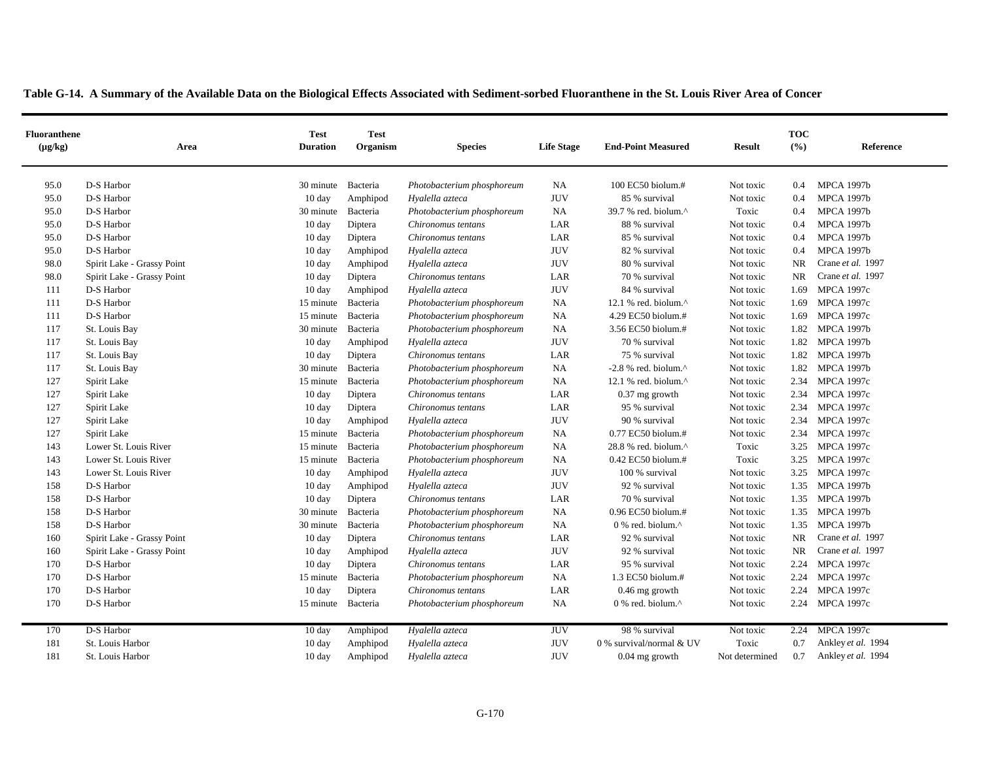|  | Table G-14. A Summary of the Available Data on the Biological Effects Associated with Sediment-sorbed Fluoranthene in the St. Louis River Area of Concer |  |
|--|----------------------------------------------------------------------------------------------------------------------------------------------------------|--|
|  |                                                                                                                                                          |  |

| <b>Fluoranthene</b><br>$(\mu g/kg)$ | Area                       | <b>Test</b><br><b>Duration</b> | <b>Test</b><br>Organism | <b>Species</b>             | <b>Life Stage</b> | <b>End-Point Measured</b>                            | <b>Result</b>  | <b>TOC</b><br>(9/6) | Reference          |
|-------------------------------------|----------------------------|--------------------------------|-------------------------|----------------------------|-------------------|------------------------------------------------------|----------------|---------------------|--------------------|
| 95.0                                | D-S Harbor                 | 30 minute Bacteria             |                         | Photobacterium phosphoreum | NA                | 100 EC50 biolum.#                                    | Not toxic      | 0.4                 | <b>MPCA 1997b</b>  |
| 95.0                                | D-S Harbor                 | $10 \text{ day}$               | Amphipod                | Hyalella azteca            | <b>JUV</b>        | 85 % survival                                        | Not toxic      | 0.4                 | <b>MPCA 1997b</b>  |
| 95.0                                | D-S Harbor                 | 30 minute                      | Bacteria                | Photobacterium phosphoreum | <b>NA</b>         | 39.7 % red. biolum.^                                 | Toxic          | 0.4                 | <b>MPCA 1997b</b>  |
| 95.0                                | D-S Harbor                 | $10 \text{ day}$               | Diptera                 | Chironomus tentans         | LAR               | 88 % survival                                        | Not toxic      | 0.4                 | <b>MPCA 1997b</b>  |
| 95.0                                | D-S Harbor                 | $10 \text{ day}$               | Diptera                 | Chironomus tentans         | LAR               | 85 % survival                                        | Not toxic      | 0.4                 | <b>MPCA 1997b</b>  |
| 95.0                                | D-S Harbor                 | $10 \text{ day}$               | Amphipod                | Hyalella azteca            | <b>JUV</b>        | 82 % survival                                        | Not toxic      | 0.4                 | <b>MPCA 1997b</b>  |
| 98.0                                | Spirit Lake - Grassy Point | 10 day                         | Amphipod                | Hyalella azteca            | <b>JUV</b>        | 80 % survival                                        | Not toxic      | <b>NR</b>           | Crane et al. 1997  |
| 98.0                                | Spirit Lake - Grassy Point | $10 \text{ day}$               | Diptera                 | Chironomus tentans         | LAR               | 70 % survival                                        | Not toxic      | <b>NR</b>           | Crane et al. 1997  |
| 111                                 | D-S Harbor                 | $10 \text{ day}$               | Amphipod                | Hyalella azteca            | <b>JUV</b>        | 84 % survival                                        | Not toxic      | 1.69                | <b>MPCA 1997c</b>  |
| 111                                 | D-S Harbor                 | 15 minute                      | Bacteria                | Photobacterium phosphoreum | NA                | 12.1 % red. biolum. $^{\wedge}$                      | Not toxic      | 1.69                | <b>MPCA 1997c</b>  |
| 111                                 | D-S Harbor                 | 15 minute                      | Bacteria                | Photobacterium phosphoreum | NA                | 4.29 EC50 biolum.#                                   | Not toxic      | 1.69                | <b>MPCA 1997c</b>  |
| 117                                 | St. Louis Bay              | 30 minute                      | Bacteria                | Photobacterium phosphoreum | NA                | 3.56 EC50 biolum.#                                   | Not toxic      | 1.82                | <b>MPCA 1997b</b>  |
| 117                                 | St. Louis Bay              | $10 \text{ day}$               | Amphipod                | Hyalella azteca            | <b>JUV</b>        | 70 % survival                                        | Not toxic      | 1.82                | <b>MPCA 1997b</b>  |
| 117                                 | St. Louis Bay              | $10 \text{ day}$               | Diptera                 | Chironomus tentans         | LAR               | 75 % survival                                        | Not toxic      |                     | 1.82 MPCA 1997b    |
| 117                                 | St. Louis Bay              | 30 minute Bacteria             |                         | Photobacterium phosphoreum | NA                | $-2.8$ % red. biolum. <sup><math>\wedge</math></sup> | Not toxic      | 1.82                | <b>MPCA 1997b</b>  |
| 127                                 | Spirit Lake                | 15 minute                      | Bacteria                | Photobacterium phosphoreum | NA                | 12.1 % red. biolum. $^{\wedge}$                      | Not toxic      | 2.34                | <b>MPCA 1997c</b>  |
| 127                                 | Spirit Lake                | $10 \text{ day}$               | Diptera                 | Chironomus tentans         | LAR               | 0.37 mg growth                                       | Not toxic      | 2.34                | <b>MPCA 1997c</b>  |
| 127                                 | Spirit Lake                | $10 \text{ day}$               | Diptera                 | Chironomus tentans         | LAR               | 95 % survival                                        | Not toxic      | 2.34                | <b>MPCA 1997c</b>  |
| 127                                 | Spirit Lake                | $10 \text{ day}$               | Amphipod                | Hyalella azteca            | <b>JUV</b>        | 90 % survival                                        | Not toxic      | 2.34                | <b>MPCA 1997c</b>  |
| 127                                 | Spirit Lake                | 15 minute                      | Bacteria                | Photobacterium phosphoreum | NA                | $0.77$ EC50 biolum.#                                 | Not toxic      | 2.34                | <b>MPCA 1997c</b>  |
| 143                                 | Lower St. Louis River      | 15 minute                      | Bacteria                | Photobacterium phosphoreum | NA                | 28.8 % red. biolum.^                                 | Toxic          | 3.25                | <b>MPCA 1997c</b>  |
| 143                                 | Lower St. Louis River      | 15 minute                      | Bacteria                | Photobacterium phosphoreum | NA                | 0.42 EC50 biolum.#                                   | Toxic          | 3.25                | <b>MPCA 1997c</b>  |
| 143                                 | Lower St. Louis River      | $10 \text{ day}$               | Amphipod                | Hyalella azteca            | <b>JUV</b>        | 100 % survival                                       | Not toxic      | 3.25                | <b>MPCA 1997c</b>  |
| 158                                 | D-S Harbor                 | $10 \text{ day}$               | Amphipod                | Hyalella azteca            | <b>JUV</b>        | 92 % survival                                        | Not toxic      |                     | 1.35 MPCA 1997b    |
| 158                                 | D-S Harbor                 | $10 \text{ day}$               | Diptera                 | Chironomus tentans         | LAR               | 70 % survival                                        | Not toxic      |                     | 1.35 MPCA 1997b    |
| 158                                 | D-S Harbor                 | 30 minute                      | Bacteria                | Photobacterium phosphoreum | NA                | $0.96$ EC50 biolum.#                                 | Not toxic      | 1.35                | <b>MPCA 1997b</b>  |
| 158                                 | D-S Harbor                 | 30 minute                      | Bacteria                | Photobacterium phosphoreum | NA                | 0 % red. biolum.^                                    | Not toxic      | 1.35                | <b>MPCA 1997b</b>  |
| 160                                 | Spirit Lake - Grassy Point | 10 day                         | Diptera                 | Chironomus tentans         | LAR               | 92 % survival                                        | Not toxic      | NR                  | Crane et al. 1997  |
| 160                                 | Spirit Lake - Grassy Point | $10 \text{ day}$               | Amphipod                | Hyalella azteca            | <b>JUV</b>        | 92 % survival                                        | Not toxic      | NR                  | Crane et al. 1997  |
| 170                                 | D-S Harbor                 | $10 \text{ day}$               | Diptera                 | Chironomus tentans         | LAR               | 95 % survival                                        | Not toxic      | 2.24                | <b>MPCA 1997c</b>  |
| 170                                 | D-S Harbor                 | 15 minute                      | Bacteria                | Photobacterium phosphoreum | NA                | 1.3 EC50 biolum.#                                    | Not toxic      | 2.24                | <b>MPCA 1997c</b>  |
| 170                                 | D-S Harbor                 | $10 \text{ day}$               | Diptera                 | Chironomus tentans         | LAR               | $0.46$ mg growth                                     | Not toxic      | 2.24                | <b>MPCA 1997c</b>  |
| 170                                 | D-S Harbor                 | 15 minute Bacteria             |                         | Photobacterium phosphoreum | NA                | 0 % red. biolum.^                                    | Not toxic      |                     | 2.24 MPCA 1997c    |
| 170                                 | D-S Harbor                 | $10 \text{ day}$               | Amphipod                | Hyalella azteca            | <b>JUV</b>        | 98 % survival                                        | Not toxic      | 2.24                | <b>MPCA 1997c</b>  |
| 181                                 | St. Louis Harbor           | $10 \text{ day}$               | Amphipod                | Hyalella azteca            | <b>JUV</b>        | 0 % survival/normal & UV                             | Toxic          | 0.7                 | Ankley et al. 1994 |
| 181                                 | St. Louis Harbor           | $10 \text{ day}$               | Amphipod                | Hyalella azteca            | <b>JUV</b>        | $0.04$ mg growth                                     | Not determined | 0.7                 | Ankley et al. 1994 |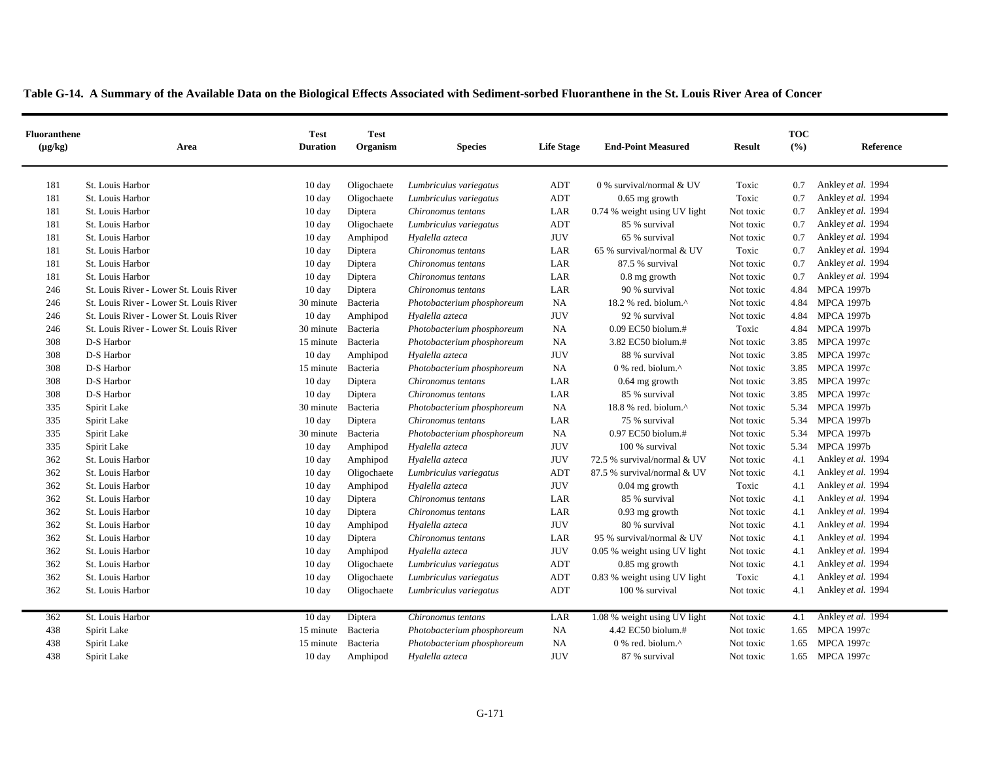| <b>Fluoranthene</b><br>$(\mu g/kg)$ | Area                                    | <b>Test</b><br><b>Duration</b> | <b>Test</b><br><b>Organism</b> | <b>Species</b>             | <b>Life Stage</b> | <b>End-Point Measured</b>    | <b>Result</b> | <b>TOC</b><br>(%) | Reference          |
|-------------------------------------|-----------------------------------------|--------------------------------|--------------------------------|----------------------------|-------------------|------------------------------|---------------|-------------------|--------------------|
| 181                                 | St. Louis Harbor                        | 10 day                         | Oligochaete                    | Lumbriculus variegatus     | ADT               | 0 % survival/normal & UV     | Toxic         | 0.7               | Ankley et al. 1994 |
| 181                                 | St. Louis Harbor                        | $10 \text{ day}$               | Oligochaete                    | Lumbriculus variegatus     | ADT               | $0.65$ mg growth             | Toxic         | 0.7               | Ankley et al. 1994 |
| 181                                 | St. Louis Harbor                        | 10 day                         | Diptera                        | Chironomus tentans         | LAR               | 0.74 % weight using UV light | Not toxic     | 0.7               | Ankley et al. 1994 |
| 181                                 | St. Louis Harbor                        | 10 day                         | Oligochaete                    | Lumbriculus variegatus     | <b>ADT</b>        | 85 % survival                | Not toxic     | 0.7               | Ankley et al. 1994 |
| 181                                 | St. Louis Harbor                        | 10 day                         | Amphipod                       | Hyalella azteca            | <b>JUV</b>        | 65 % survival                | Not toxic     | 0.7               | Ankley et al. 1994 |
| 181                                 | St. Louis Harbor                        | 10 day                         | Diptera                        | Chironomus tentans         | LAR               | 65 % survival/normal & UV    | Toxic         | 0.7               | Ankley et al. 1994 |
| 181                                 | St. Louis Harbor                        | 10 day                         | Diptera                        | Chironomus tentans         | LAR               | 87.5 % survival              | Not toxic     | 0.7               | Ankley et al. 1994 |
| 181                                 | St. Louis Harbor                        | 10 day                         | Diptera                        | Chironomus tentans         | LAR               | $0.8$ mg growth              | Not toxic     | 0.7               | Ankley et al. 1994 |
| 246                                 | St. Louis River - Lower St. Louis River | 10 day                         | Diptera                        | Chironomus tentans         | LAR               | 90 % survival                | Not toxic     | 4.84              | <b>MPCA 1997b</b>  |
| 246                                 | St. Louis River - Lower St. Louis River | 30 minute                      | Bacteria                       | Photobacterium phosphoreum | NA                | 18.2 % red. biolum.^         | Not toxic     | 4.84              | <b>MPCA 1997b</b>  |
| 246                                 | St. Louis River - Lower St. Louis River | 10 day                         | Amphipod                       | Hyalella azteca            | <b>JUV</b>        | 92 % survival                | Not toxic     | 4.84              | <b>MPCA 1997b</b>  |
| 246                                 | St. Louis River - Lower St. Louis River | 30 minute                      | Bacteria                       | Photobacterium phosphoreum | NA                | 0.09 EC50 biolum.#           | Toxic         | 4.84              | <b>MPCA 1997b</b>  |
| 308                                 | D-S Harbor                              | 15 minute                      | Bacteria                       | Photobacterium phosphoreum | NA                | 3.82 EC50 biolum.#           | Not toxic     | 3.85              | <b>MPCA 1997c</b>  |
| 308                                 | D-S Harbor                              | $10 \text{ day}$               | Amphipod                       | Hyalella azteca            | <b>JUV</b>        | 88 % survival                | Not toxic     | 3.85              | <b>MPCA 1997c</b>  |
| 308                                 | D-S Harbor                              | 15 minute                      | Bacteria                       | Photobacterium phosphoreum | NA                | 0 % red. biolum.^            | Not toxic     | 3.85              | <b>MPCA 1997c</b>  |
| 308                                 | D-S Harbor                              | 10 day                         | Diptera                        | Chironomus tentans         | LAR               | $0.64$ mg growth             | Not toxic     | 3.85              | <b>MPCA 1997c</b>  |
| 308                                 | D-S Harbor                              | 10 day                         | Diptera                        | Chironomus tentans         | LAR               | 85 % survival                | Not toxic     | 3.85              | <b>MPCA 1997c</b>  |
| 335                                 | Spirit Lake                             | 30 minute                      | Bacteria                       | Photobacterium phosphoreum | <b>NA</b>         | 18.8 % red. biolum.^         | Not toxic     | 5.34              | <b>MPCA 1997b</b>  |
| 335                                 | Spirit Lake                             | $10 \text{ day}$               | Diptera                        | Chironomus tentans         | LAR               | 75 % survival                | Not toxic     | 5.34              | <b>MPCA 1997b</b>  |
| 335                                 | Spirit Lake                             | 30 minute                      | Bacteria                       | Photobacterium phosphoreum | NA                | $0.97$ EC50 biolum.#         | Not toxic     | 5.34              | <b>MPCA 1997b</b>  |
| 335                                 | Spirit Lake                             | 10 day                         | Amphipod                       | Hyalella azteca            | <b>JUV</b>        | 100 % survival               | Not toxic     | 5.34              | <b>MPCA 1997b</b>  |
| 362                                 | St. Louis Harbor                        | 10 day                         | Amphipod                       | Hyalella azteca            | <b>JUV</b>        | 72.5 % survival/normal & UV  | Not toxic     | 4.1               | Ankley et al. 1994 |
| 362                                 | St. Louis Harbor                        | 10 day                         | Oligochaete                    | Lumbriculus variegatus     | <b>ADT</b>        | 87.5 % survival/normal & UV  | Not toxic     | 4.1               | Ankley et al. 1994 |
| 362                                 | St. Louis Harbor                        | 10 day                         | Amphipod                       | Hyalella azteca            | <b>JUV</b>        | $0.04$ mg growth             | Toxic         | 4.1               | Ankley et al. 1994 |
| 362                                 | St. Louis Harbor                        | 10 day                         | Diptera                        | Chironomus tentans         | LAR               | 85 % survival                | Not toxic     | 4.1               | Ankley et al. 1994 |
| 362                                 | St. Louis Harbor                        | 10 day                         | Diptera                        | Chironomus tentans         | LAR               | $0.93$ mg growth             | Not toxic     | 4.1               | Ankley et al. 1994 |
| 362                                 | St. Louis Harbor                        | 10 day                         | Amphipod                       | Hyalella azteca            | <b>JUV</b>        | 80 % survival                | Not toxic     | 4.1               | Ankley et al. 1994 |
| 362                                 | St. Louis Harbor                        | 10 day                         | Diptera                        | Chironomus tentans         | LAR               | 95 % survival/normal & UV    | Not toxic     | 4.1               | Ankley et al. 1994 |
| 362                                 | St. Louis Harbor                        | 10 day                         | Amphipod                       | Hyalella azteca            | <b>JUV</b>        | 0.05 % weight using UV light | Not toxic     | 4.1               | Ankley et al. 1994 |
| 362                                 | St. Louis Harbor                        | 10 day                         | Oligochaete                    | Lumbriculus variegatus     | <b>ADT</b>        | $0.85$ mg growth             | Not toxic     | 4.1               | Ankley et al. 1994 |
| 362                                 | St. Louis Harbor                        | 10 day                         | Oligochaete                    | Lumbriculus variegatus     | ADT               | 0.83 % weight using UV light | Toxic         | 4.1               | Ankley et al. 1994 |
| 362                                 | St. Louis Harbor                        | 10 day                         | Oligochaete                    | Lumbriculus variegatus     | ADT               | 100 % survival               | Not toxic     | 4.1               | Ankley et al. 1994 |
| 362                                 | St. Louis Harbor                        | 10 day                         | Diptera                        | Chironomus tentans         | LAR               | 1.08 % weight using UV light | Not toxic     | 4.1               | Ankley et al. 1994 |
| 438                                 | Spirit Lake                             | 15 minute                      | Bacteria                       | Photobacterium phosphoreum | NA                | 4.42 EC50 biolum.#           | Not toxic     | 1.65              | <b>MPCA 1997c</b>  |
| 438                                 | Spirit Lake                             | 15 minute                      | Bacteria                       | Photobacterium phosphoreum | NA                | 0 % red. biolum.^            | Not toxic     | 1.65              | <b>MPCA 1997c</b>  |
| 438                                 | Spirit Lake                             | $10 \text{ day}$               | Amphipod                       | Hyalella azteca            | <b>JUV</b>        | 87 % survival                | Not toxic     |                   | 1.65 MPCA 1997c    |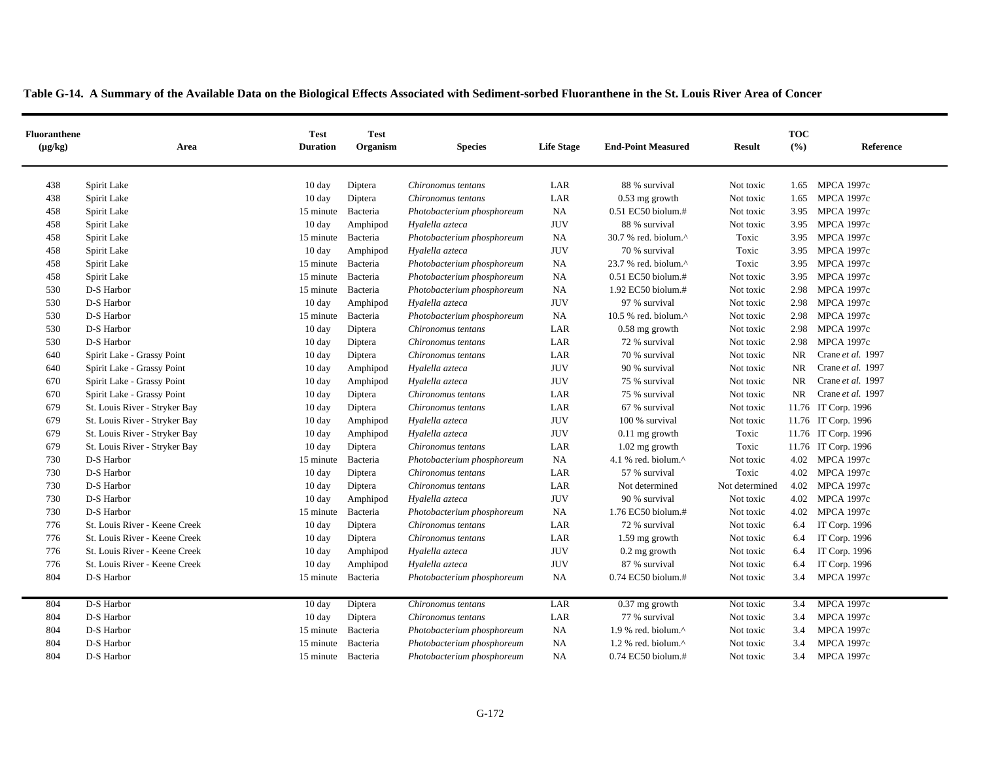|  | Table G-14. A Summary of the Available Data on the Biological Effects Associated with Sediment-sorbed Fluoranthene in the St. Louis River Area of Concer |  |  |  |  |
|--|----------------------------------------------------------------------------------------------------------------------------------------------------------|--|--|--|--|
|  |                                                                                                                                                          |  |  |  |  |

| <b>Fluoranthene</b><br>$(\mu g/kg)$ | Area                          | <b>Test</b><br><b>Duration</b> | <b>Test</b><br>Organism | <b>Species</b>             | <b>Life Stage</b> | <b>End-Point Measured</b>       | <b>Result</b>  | <b>TOC</b><br>(° <sub>0</sub> ) | Reference           |
|-------------------------------------|-------------------------------|--------------------------------|-------------------------|----------------------------|-------------------|---------------------------------|----------------|---------------------------------|---------------------|
| 438                                 | Spirit Lake                   | $10 \text{ day}$               | Diptera                 | Chironomus tentans         | LAR               | 88 % survival                   | Not toxic      |                                 | 1.65 MPCA 1997c     |
| 438                                 | Spirit Lake                   | $10 \text{ day}$               | Diptera                 | Chironomus tentans         | LAR               | $0.53$ mg growth                | Not toxic      | 1.65                            | <b>MPCA 1997c</b>   |
| 458                                 | Spirit Lake                   | 15 minute                      | Bacteria                | Photobacterium phosphoreum | NA                | 0.51 EC50 biolum.#              | Not toxic      | 3.95                            | <b>MPCA 1997c</b>   |
| 458                                 | Spirit Lake                   | $10 \text{ day}$               | Amphipod                | Hyalella azteca            | <b>JUV</b>        | 88 % survival                   | Not toxic      | 3.95                            | <b>MPCA 1997c</b>   |
| 458                                 | Spirit Lake                   | 15 minute                      | Bacteria                | Photobacterium phosphoreum | NA                | 30.7 % red. biolum.^            | Toxic          | 3.95                            | <b>MPCA 1997c</b>   |
| 458                                 | Spirit Lake                   | 10 day                         | Amphipod                | Hyalella azteca            | <b>JUV</b>        | 70 % survival                   | Toxic          | 3.95                            | <b>MPCA 1997c</b>   |
| 458                                 | Spirit Lake                   | 15 minute                      | Bacteria                | Photobacterium phosphoreum | NA                | 23.7 % red. biolum.^            | Toxic          | 3.95                            | <b>MPCA 1997c</b>   |
| 458                                 | Spirit Lake                   | 15 minute Bacteria             |                         | Photobacterium phosphoreum | NA                | 0.51 EC50 biolum.#              | Not toxic      | 3.95                            | <b>MPCA 1997c</b>   |
| 530                                 | D-S Harbor                    | 15 minute                      | Bacteria                | Photobacterium phosphoreum | NA                | 1.92 EC50 biolum.#              | Not toxic      | 2.98                            | <b>MPCA 1997c</b>   |
| 530                                 | D-S Harbor                    | 10 day                         | Amphipod                | Hyalella azteca            | <b>JUV</b>        | 97 % survival                   | Not toxic      | 2.98                            | <b>MPCA 1997c</b>   |
| 530                                 | D-S Harbor                    | 15 minute                      | Bacteria                | Photobacterium phosphoreum | NA                | 10.5 % red. biolum. $^{\wedge}$ | Not toxic      | 2.98                            | <b>MPCA 1997c</b>   |
| 530                                 | D-S Harbor                    | $10 \text{ day}$               | Diptera                 | Chironomus tentans         | LAR               | $0.58$ mg growth                | Not toxic      | 2.98                            | <b>MPCA 1997c</b>   |
| 530                                 | D-S Harbor                    | $10 \text{ day}$               | Diptera                 | Chironomus tentans         | LAR               | 72 % survival                   | Not toxic      | 2.98                            | <b>MPCA 1997c</b>   |
| 640                                 | Spirit Lake - Grassy Point    | $10 \text{ day}$               | Diptera                 | Chironomus tentans         | LAR               | 70 % survival                   | Not toxic      | <b>NR</b>                       | Crane et al. 1997   |
| 640                                 | Spirit Lake - Grassy Point    | $10 \text{ day}$               | Amphipod                | Hyalella azteca            | <b>JUV</b>        | 90 % survival                   | Not toxic      | NR                              | Crane et al. 1997   |
| 670                                 | Spirit Lake - Grassy Point    | $10 \text{ day}$               | Amphipod                | Hyalella azteca            | <b>JUV</b>        | 75 % survival                   | Not toxic      | <b>NR</b>                       | Crane et al. 1997   |
| 670                                 | Spirit Lake - Grassy Point    | 10 day                         | Diptera                 | Chironomus tentans         | LAR               | 75 % survival                   | Not toxic      | NR                              | Crane et al. 1997   |
| 679                                 | St. Louis River - Stryker Bay | $10 \text{ day}$               | Diptera                 | Chironomus tentans         | LAR               | 67 % survival                   | Not toxic      |                                 | 11.76 IT Corp. 1996 |
| 679                                 | St. Louis River - Stryker Bay | 10 day                         | Amphipod                | Hyalella azteca            | <b>JUV</b>        | 100 % survival                  | Not toxic      |                                 | 11.76 IT Corp. 1996 |
| 679                                 | St. Louis River - Stryker Bay | $10 \text{ day}$               | Amphipod                | Hyalella azteca            | <b>JUV</b>        | $0.11$ mg growth                | Toxic          |                                 | 11.76 IT Corp. 1996 |
| 679                                 | St. Louis River - Stryker Bay | $10 \text{ day}$               | Diptera                 | Chironomus tentans         | LAR               | $1.02$ mg growth                | Toxic          |                                 | 11.76 IT Corp. 1996 |
| 730                                 | D-S Harbor                    | 15 minute                      | Bacteria                | Photobacterium phosphoreum | NA                | 4.1 % red. biolum.^             | Not toxic      | 4.02                            | <b>MPCA 1997c</b>   |
| 730                                 | D-S Harbor                    | 10 day                         | Diptera                 | Chironomus tentans         | LAR               | 57 % survival                   | Toxic          | 4.02                            | <b>MPCA 1997c</b>   |
| 730                                 | D-S Harbor                    | 10 day                         | Diptera                 | Chironomus tentans         | LAR               | Not determined                  | Not determined | 4.02                            | <b>MPCA 1997c</b>   |
| 730                                 | D-S Harbor                    | $10 \text{ day}$               | Amphipod                | Hyalella azteca            | <b>JUV</b>        | 90 % survival                   | Not toxic      | 4.02                            | <b>MPCA 1997c</b>   |
| 730                                 | D-S Harbor                    | 15 minute                      | Bacteria                | Photobacterium phosphoreum | NA                | 1.76 EC50 biolum.#              | Not toxic      | 4.02                            | <b>MPCA 1997c</b>   |
| 776                                 | St. Louis River - Keene Creek | 10 day                         | Diptera                 | Chironomus tentans         | LAR               | 72 % survival                   | Not toxic      | 6.4                             | IT Corp. 1996       |
| 776                                 | St. Louis River - Keene Creek | $10 \text{ day}$               | Diptera                 | Chironomus tentans         | LAR               | 1.59 mg growth                  | Not toxic      | 6.4                             | IT Corp. 1996       |
| 776                                 | St. Louis River - Keene Creek | 10 day                         | Amphipod                | Hyalella azteca            | <b>JUV</b>        | 0.2 mg growth                   | Not toxic      | 6.4                             | IT Corp. 1996       |
| 776                                 | St. Louis River - Keene Creek | 10 day                         | Amphipod                | Hyalella azteca            | <b>JUV</b>        | 87 % survival                   | Not toxic      | 6.4                             | IT Corp. 1996       |
| 804                                 | D-S Harbor                    | 15 minute                      | Bacteria                | Photobacterium phosphoreum | NA                | 0.74 EC50 biolum.#              | Not toxic      | 3.4                             | <b>MPCA 1997c</b>   |
| 804                                 | D-S Harbor                    | 10 day                         | Diptera                 | Chironomus tentans         | LAR               | $0.37$ mg growth                | Not toxic      | 3.4                             | <b>MPCA 1997c</b>   |
| 804                                 | D-S Harbor                    | $10 \text{ day}$               | Diptera                 | Chironomus tentans         | LAR               | 77 % survival                   | Not toxic      | 3.4                             | <b>MPCA 1997c</b>   |
| 804                                 | D-S Harbor                    | 15 minute                      | Bacteria                | Photobacterium phosphoreum | NA                | 1.9 % red. biolum.^             | Not toxic      | 3.4                             | <b>MPCA 1997c</b>   |
| 804                                 | D-S Harbor                    | 15 minute                      | Bacteria                | Photobacterium phosphoreum | NA                | 1.2 % red. biolum.^             | Not toxic      | 3.4                             | <b>MPCA 1997c</b>   |
| 804                                 | D-S Harbor                    | 15 minute Bacteria             |                         | Photobacterium phosphoreum | NA                | 0.74 EC50 biolum.#              | Not toxic      | 3.4                             | <b>MPCA 1997c</b>   |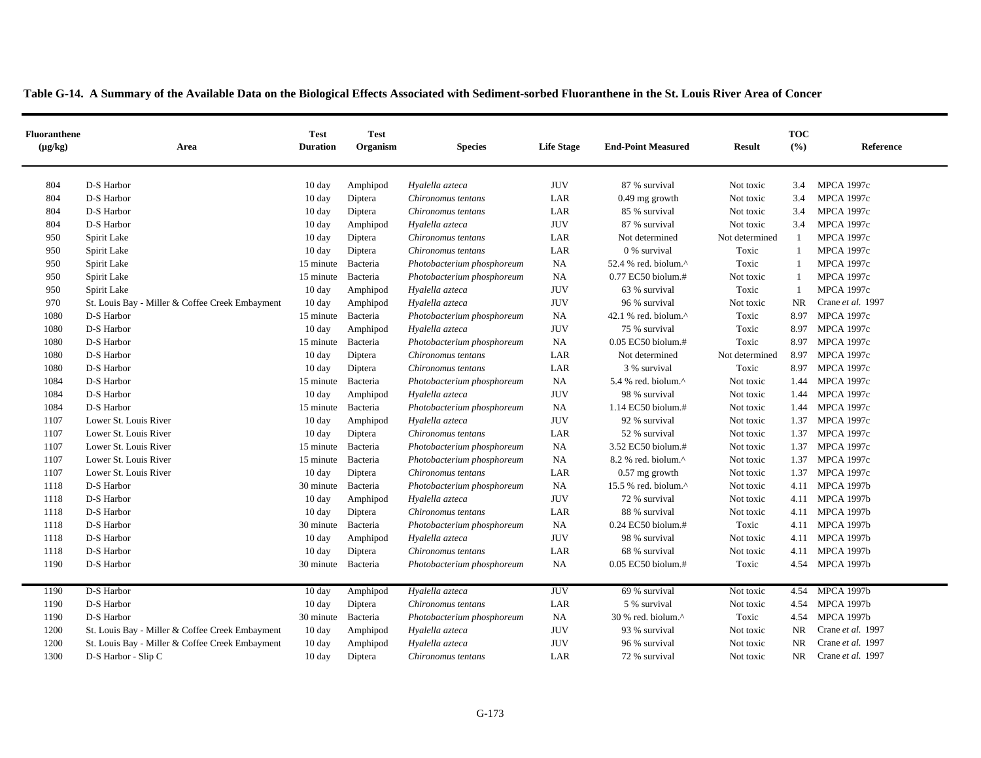| <b>Fluoranthene</b><br>$(\mu g/kg)$ | Area                                            | <b>Test</b><br><b>Duration</b> | <b>Test</b><br>Organism | <b>Species</b>             | <b>Life Stage</b> | <b>End-Point Measured</b>       | <b>Result</b>  | <b>TOC</b><br>(9/6) | Reference         |
|-------------------------------------|-------------------------------------------------|--------------------------------|-------------------------|----------------------------|-------------------|---------------------------------|----------------|---------------------|-------------------|
| 804                                 | D-S Harbor                                      | $10 \text{ day}$               | Amphipod                | Hyalella azteca            | <b>JUV</b>        | 87 % survival                   | Not toxic      | 3.4                 | <b>MPCA 1997c</b> |
| 804                                 | D-S Harbor                                      | $10 \text{ day}$               | Diptera                 | Chironomus tentans         | LAR               | 0.49 mg growth                  | Not toxic      | 3.4                 | <b>MPCA 1997c</b> |
| 804                                 | D-S Harbor                                      | $10 \text{ day}$               | Diptera                 | Chironomus tentans         | LAR               | 85 % survival                   | Not toxic      | 3.4                 | <b>MPCA 1997c</b> |
| 804                                 | D-S Harbor                                      | $10 \text{ day}$               | Amphipod                | Hyalella azteca            | <b>JUV</b>        | 87 % survival                   | Not toxic      | 3.4                 | <b>MPCA 1997c</b> |
| 950                                 | Spirit Lake                                     | $10 \text{ day}$               | Diptera                 | Chironomus tentans         | LAR               | Not determined                  | Not determined | $\overline{1}$      | <b>MPCA 1997c</b> |
| 950                                 | Spirit Lake                                     | $10 \text{ day}$               | Diptera                 | Chironomus tentans         | LAR               | 0 % survival                    | Toxic          | $\overline{1}$      | <b>MPCA 1997c</b> |
| 950                                 | Spirit Lake                                     | 15 minute                      | Bacteria                | Photobacterium phosphoreum | NA                | 52.4 % red. biolum.^            | Toxic          | $\overline{1}$      | <b>MPCA 1997c</b> |
| 950                                 | Spirit Lake                                     | 15 minute                      | Bacteria                | Photobacterium phosphoreum | NA                | 0.77 EC50 biolum.#              | Not toxic      |                     | <b>MPCA 1997c</b> |
| 950                                 | Spirit Lake                                     | 10 day                         | Amphipod                | Hyalella azteca            | <b>JUV</b>        | 63 % survival                   | Toxic          | $\overline{1}$      | <b>MPCA 1997c</b> |
| 970                                 | St. Louis Bay - Miller & Coffee Creek Embayment | $10 \text{ day}$               | Amphipod                | Hyalella azteca            | <b>JUV</b>        | 96 % survival                   | Not toxic      | <b>NR</b>           | Crane et al. 1997 |
| 1080                                | D-S Harbor                                      | 15 minute                      | Bacteria                | Photobacterium phosphoreum | <b>NA</b>         | 42.1 % red. biolum. $^{\wedge}$ | Toxic          | 8.97                | <b>MPCA 1997c</b> |
| 1080                                | D-S Harbor                                      | $10 \text{ day}$               | Amphipod                | Hyalella azteca            | <b>JUV</b>        | 75 % survival                   | Toxic          | 8.97                | <b>MPCA 1997c</b> |
| 1080                                | D-S Harbor                                      | 15 minute                      | Bacteria                | Photobacterium phosphoreum | <b>NA</b>         | $0.05$ EC50 biolum.#            | Toxic          | 8.97                | <b>MPCA 1997c</b> |
| 1080                                | D-S Harbor                                      | $10 \text{ day}$               | Diptera                 | Chironomus tentans         | LAR               | Not determined                  | Not determined | 8.97                | <b>MPCA 1997c</b> |
| 1080                                | D-S Harbor                                      | $10 \text{ day}$               | Diptera                 | Chironomus tentans         | LAR               | 3 % survival                    | Toxic          | 8.97                | <b>MPCA 1997c</b> |
| 1084                                | D-S Harbor                                      | 15 minute                      | Bacteria                | Photobacterium phosphoreum | <b>NA</b>         | 5.4 % red. biolum.^             | Not toxic      | 1.44                | <b>MPCA 1997c</b> |
| 1084                                | D-S Harbor                                      | 10 day                         | Amphipod                | Hyalella azteca            | <b>JUV</b>        | 98 % survival                   | Not toxic      | 1.44                | <b>MPCA 1997c</b> |
| 1084                                | D-S Harbor                                      | 15 minute                      | Bacteria                | Photobacterium phosphoreum | <b>NA</b>         | 1.14 EC50 biolum.#              | Not toxic      | 1.44                | <b>MPCA 1997c</b> |
| 1107                                | Lower St. Louis River                           | $10 \text{ day}$               | Amphipod                | Hyalella azteca            | <b>JUV</b>        | 92 % survival                   | Not toxic      | 1.37                | <b>MPCA 1997c</b> |
| 1107                                | Lower St. Louis River                           | $10 \text{ day}$               | Diptera                 | Chironomus tentans         | LAR               | 52 % survival                   | Not toxic      | 1.37                | <b>MPCA 1997c</b> |
| 1107                                | Lower St. Louis River                           | 15 minute                      | Bacteria                | Photobacterium phosphoreum | <b>NA</b>         | 3.52 EC50 biolum.#              | Not toxic      | 1.37                | <b>MPCA 1997c</b> |
| 1107                                | Lower St. Louis River                           | 15 minute                      | Bacteria                | Photobacterium phosphoreum | <b>NA</b>         | 8.2 % red. biolum.^             | Not toxic      | 1.37                | <b>MPCA 1997c</b> |
| 1107                                | Lower St. Louis River                           | $10 \text{ day}$               | Diptera                 | Chironomus tentans         | LAR               | $0.57$ mg growth                | Not toxic      | 1.37                | <b>MPCA 1997c</b> |
| 1118                                | D-S Harbor                                      | 30 minute                      | Bacteria                | Photobacterium phosphoreum | <b>NA</b>         | 15.5 % red. biolum. $^{\wedge}$ | Not toxic      | 4.11                | <b>MPCA 1997b</b> |
| 1118                                | D-S Harbor                                      | 10 day                         | Amphipod                | Hyalella azteca            | <b>JUV</b>        | 72 % survival                   | Not toxic      | 4.11                | <b>MPCA 1997b</b> |
| 1118                                | D-S Harbor                                      | 10 day                         | Diptera                 | Chironomus tentans         | LAR               | 88 % survival                   | Not toxic      | 4.11                | <b>MPCA 1997b</b> |
| 1118                                | D-S Harbor                                      | 30 minute                      | Bacteria                | Photobacterium phosphoreum | <b>NA</b>         | 0.24 EC50 biolum.#              | Toxic          | 4.11                | <b>MPCA 1997b</b> |
| 1118                                | D-S Harbor                                      | 10 day                         | Amphipod                | Hyalella azteca            | <b>JUV</b>        | 98 % survival                   | Not toxic      | 4.11                | <b>MPCA 1997b</b> |
| 1118                                | D-S Harbor                                      | 10 day                         | Diptera                 | Chironomus tentans         | LAR               | 68 % survival                   | Not toxic      | 4.11                | <b>MPCA 1997b</b> |
| 1190                                | D-S Harbor                                      | 30 minute Bacteria             |                         | Photobacterium phosphoreum | <b>NA</b>         | 0.05 EC50 biolum.#              | Toxic          | 4.54                | <b>MPCA 1997b</b> |
| 1190                                | D-S Harbor                                      | 10 day                         | Amphipod                | Hyalella azteca            | <b>JUV</b>        | 69 % survival                   | Not toxic      | 4.54                | <b>MPCA 1997b</b> |
| 1190                                | D-S Harbor                                      | 10 day                         | Diptera                 | Chironomus tentans         | LAR               | 5 % survival                    | Not toxic      | 4.54                | <b>MPCA 1997b</b> |
| 1190                                | D-S Harbor                                      | 30 minute                      | Bacteria                | Photobacterium phosphoreum | <b>NA</b>         | 30 % red. biolum.^              | Toxic          | 4.54                | <b>MPCA 1997b</b> |
| 1200                                | St. Louis Bay - Miller & Coffee Creek Embayment | $10 \text{ day}$               | Amphipod                | Hyalella azteca            | <b>JUV</b>        | 93 % survival                   | Not toxic      | <b>NR</b>           | Crane et al. 1997 |
| 1200                                | St. Louis Bay - Miller & Coffee Creek Embayment | 10 day                         | Amphipod                | Hyalella azteca            | <b>JUV</b>        | 96 % survival                   | Not toxic      | <b>NR</b>           | Crane et al. 1997 |
| 1300                                | D-S Harbor - Slip C                             | $10 \text{ day}$               | Diptera                 | Chironomus tentans         | LAR               | 72 % survival                   | Not toxic      | NR                  | Crane et al. 1997 |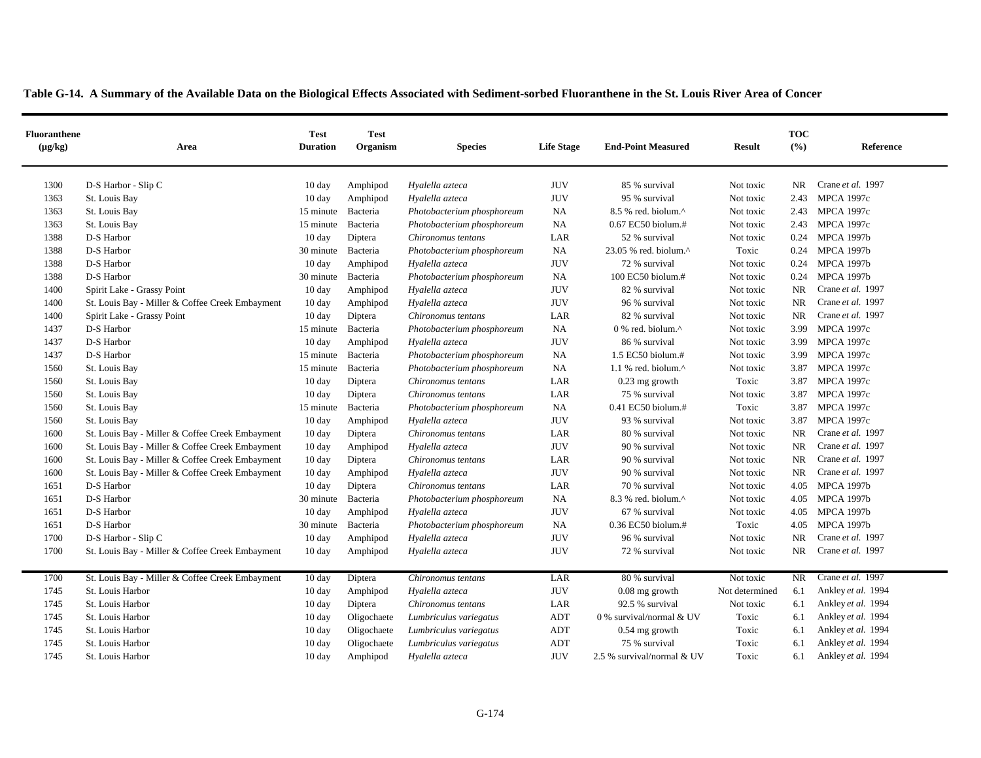| <b>Fluoranthene</b><br>$(\mu g/kg)$ | Area                                            | <b>Test</b><br><b>Duration</b> | <b>Test</b><br>Organism | <b>Species</b>             | <b>Life Stage</b>                | <b>End-Point Measured</b>                         | <b>Result</b>  | <b>TOC</b><br>(%) | Reference          |
|-------------------------------------|-------------------------------------------------|--------------------------------|-------------------------|----------------------------|----------------------------------|---------------------------------------------------|----------------|-------------------|--------------------|
| 1300                                | D-S Harbor - Slip C                             | $10 \text{ day}$               | Amphipod                | Hyalella azteca            | <b>JUV</b>                       | 85 % survival                                     | Not toxic      | NR                | Crane et al. 1997  |
| 1363                                | St. Louis Bay                                   | 10 day                         | Amphipod                | Hyalella azteca            | <b>JUV</b>                       | 95 % survival                                     | Not toxic      | 2.43              | <b>MPCA 1997c</b>  |
| 1363                                | St. Louis Bay                                   | 15 minute                      | Bacteria                | Photobacterium phosphoreum | NA                               | 8.5 % red. biolum.^                               | Not toxic      | 2.43              | <b>MPCA 1997c</b>  |
| 1363                                | St. Louis Bay                                   | 15 minute                      | Bacteria                | Photobacterium phosphoreum | NA                               | 0.67 EC50 biolum.#                                | Not toxic      | 2.43              | <b>MPCA 1997c</b>  |
| 1388                                | D-S Harbor                                      | $10 \text{ day}$               | Diptera                 | Chironomus tentans         | LAR                              | 52 % survival                                     | Not toxic      | 0.24              | <b>MPCA 1997b</b>  |
| 1388                                | D-S Harbor                                      | 30 minute                      | Bacteria                | Photobacterium phosphoreum | NA                               | 23.05 % red. biolum.^                             | Toxic          | 0.24              | <b>MPCA 1997b</b>  |
| 1388                                | D-S Harbor                                      | $10 \text{ day}$               | Amphipod                | Hyalella azteca            | <b>JUV</b>                       | 72 % survival                                     | Not toxic      | 0.24              | <b>MPCA 1997b</b>  |
| 1388                                | D-S Harbor                                      | 30 minute                      | Bacteria                | Photobacterium phosphoreum | NA                               | 100 EC50 biolum.#                                 | Not toxic      | 0.24              | <b>MPCA 1997b</b>  |
| 1400                                | Spirit Lake - Grassy Point                      | 10 day                         | Amphipod                | Hyalella azteca            | <b>JUV</b>                       | 82 % survival                                     | Not toxic      | <b>NR</b>         | Crane et al. 1997  |
| 1400                                | St. Louis Bay - Miller & Coffee Creek Embayment | $10 \text{ day}$               | Amphipod                | Hyalella azteca            | <b>JUV</b>                       | 96 % survival                                     | Not toxic      | <b>NR</b>         | Crane et al. 1997  |
| 1400                                | Spirit Lake - Grassy Point                      | $10 \text{ day}$               | Diptera                 | Chironomus tentans         | LAR                              | 82 % survival                                     | Not toxic      | <b>NR</b>         | Crane et al. 1997  |
| 1437                                | D-S Harbor                                      | 15 minute                      | Bacteria                | Photobacterium phosphoreum | <b>NA</b>                        | $0\%$ red. biolum. <sup><math>\wedge</math></sup> | Not toxic      | 3.99              | <b>MPCA 1997c</b>  |
| 1437                                | D-S Harbor                                      | $10 \text{ day}$               | Amphipod                | Hyalella azteca            | <b>JUV</b>                       | 86 % survival                                     | Not toxic      | 3.99              | <b>MPCA 1997c</b>  |
| 1437                                | D-S Harbor                                      | 15 minute                      | Bacteria                | Photobacterium phosphoreum | NA                               | 1.5 EC50 biolum.#                                 | Not toxic      | 3.99              | <b>MPCA 1997c</b>  |
| 1560                                | St. Louis Bay                                   | 15 minute                      | Bacteria                | Photobacterium phosphoreum | NA                               | $1.1$ % red. biolum. $^{\wedge}$                  | Not toxic      | 3.87              | <b>MPCA 1997c</b>  |
| 1560                                | St. Louis Bay                                   | $10 \text{ day}$               | Diptera                 | Chironomus tentans         | LAR                              | $0.23$ mg growth                                  | Toxic          | 3.87              | <b>MPCA 1997c</b>  |
| 1560                                | St. Louis Bay                                   | $10 \text{ day}$               | Diptera                 | Chironomus tentans         | LAR                              | 75 % survival                                     | Not toxic      | 3.87              | <b>MPCA 1997c</b>  |
| 1560                                | St. Louis Bay                                   | 15 minute                      | Bacteria                | Photobacterium phosphoreum | NA                               | 0.41 EC50 biolum.#                                | Toxic          | 3.87              | <b>MPCA 1997c</b>  |
| 1560                                | St. Louis Bay                                   | 10 day                         | Amphipod                | Hyalella azteca            | <b>JUV</b>                       | 93 % survival                                     | Not toxic      | 3.87              | <b>MPCA 1997c</b>  |
| 1600                                | St. Louis Bay - Miller & Coffee Creek Embayment | $10 \text{ day}$               | Diptera                 | Chironomus tentans         | LAR                              | 80 % survival                                     | Not toxic      | <b>NR</b>         | Crane et al. 1997  |
| 1600                                | St. Louis Bay - Miller & Coffee Creek Embayment | 10 day                         | Amphipod                | Hyalella azteca            | <b>JUV</b>                       | 90 % survival                                     | Not toxic      | NR                | Crane et al. 1997  |
| 1600                                | St. Louis Bay - Miller & Coffee Creek Embayment | $10 \text{ day}$               | Diptera                 | Chironomus tentans         | LAR                              | 90 % survival                                     | Not toxic      | <b>NR</b>         | Crane et al. 1997  |
| 1600                                | St. Louis Bay - Miller & Coffee Creek Embayment | $10 \text{ day}$               | Amphipod                | Hyalella azteca            | <b>JUV</b>                       | 90 % survival                                     | Not toxic      | <b>NR</b>         | Crane et al. 1997  |
| 1651                                | D-S Harbor                                      | $10 \text{ day}$               | Diptera                 | Chironomus tentans         | LAR                              | 70 % survival                                     | Not toxic      | 4.05              | <b>MPCA 1997b</b>  |
| 1651                                | D-S Harbor                                      | 30 minute                      | Bacteria                | Photobacterium phosphoreum | NA                               | 8.3 % red. biolum.^                               | Not toxic      | 4.05              | <b>MPCA 1997b</b>  |
| 1651                                | D-S Harbor                                      | $10 \text{ day}$               | Amphipod                | Hyalella azteca            | <b>JUV</b>                       | 67 % survival                                     | Not toxic      | 4.05              | <b>MPCA 1997b</b>  |
| 1651                                | D-S Harbor                                      | 30 minute                      | Bacteria                | Photobacterium phosphoreum | NA                               | 0.36 EC50 biolum.#                                | Toxic          | 4.05              | <b>MPCA 1997b</b>  |
| 1700                                | D-S Harbor - Slip C                             | 10 day                         | Amphipod                | Hyalella azteca            | <b>JUV</b>                       | 96 % survival                                     | Not toxic      | <b>NR</b>         | Crane et al. 1997  |
| 1700                                | St. Louis Bay - Miller & Coffee Creek Embayment | $10 \text{ day}$               | Amphipod                | Hyalella azteca            | <b>JUV</b>                       | 72 % survival                                     | Not toxic      | <b>NR</b>         | Crane et al. 1997  |
| 1700                                | St. Louis Bay - Miller & Coffee Creek Embayment | 10 day                         | Diptera                 | Chironomus tentans         | LAR                              | 80 % survival                                     | Not toxic      | NR.               | Crane et al. 1997  |
| 1745                                | St. Louis Harbor                                | $10 \text{ day}$               | Amphipod                | Hyalella azteca            | <b>JUV</b>                       | $0.08$ mg growth                                  | Not determined | 6.1               | Ankley et al. 1994 |
| 1745                                | St. Louis Harbor                                | $10 \text{ day}$               | Diptera                 | Chironomus tentans         | LAR                              | 92.5 % survival                                   | Not toxic      | 6.1               | Ankley et al. 1994 |
| 1745                                | St. Louis Harbor                                | $10 \text{ day}$               | Oligochaete             | Lumbriculus variegatus     | <b>ADT</b>                       | 0 % survival/normal & UV                          | Toxic          | 6.1               | Ankley et al. 1994 |
| 1745                                | St. Louis Harbor                                | $10 \text{ day}$               | Oligochaete             | Lumbriculus variegatus     | $\mathbf{A}\mathbf{D}\mathbf{T}$ | 0.54 mg growth                                    | Toxic          | 6.1               | Ankley et al. 1994 |
| 1745                                | St. Louis Harbor                                | 10 day                         | Oligochaete             | Lumbriculus variegatus     | ADT                              | 75 % survival                                     | Toxic          | 6.1               | Ankley et al. 1994 |
| 1745                                | St. Louis Harbor                                | $10 \text{ day}$               | Amphipod                | Hyalella azteca            | <b>JUV</b>                       | 2.5 % survival/normal & UV                        | Toxic          | 6.1               | Ankley et al. 1994 |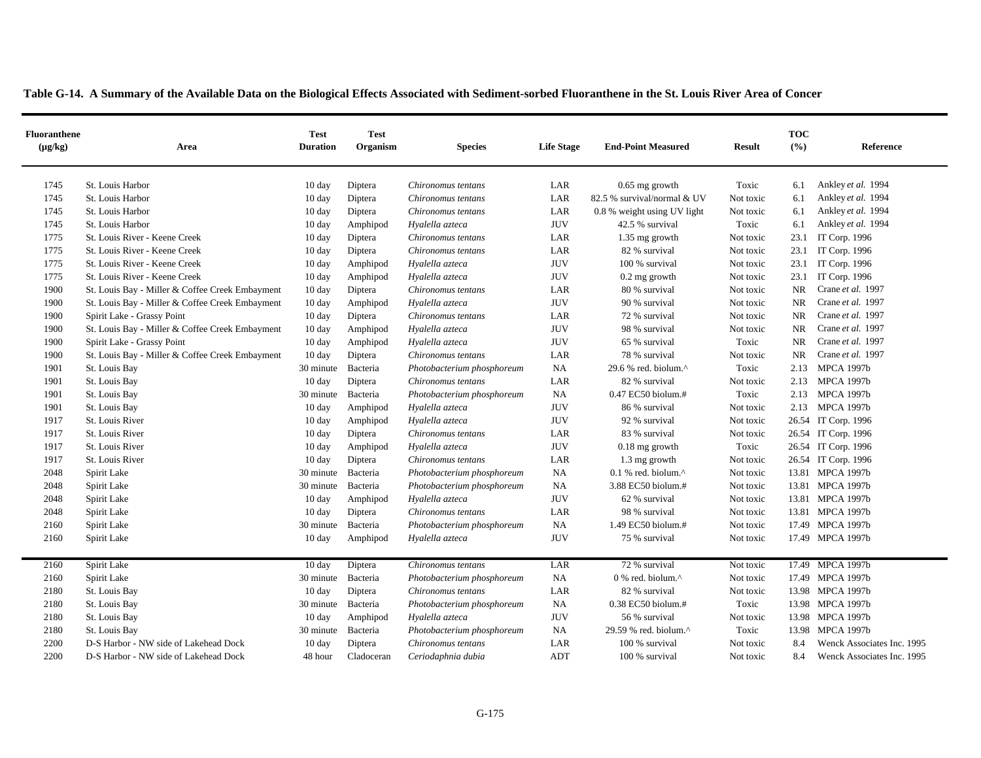| <b>Fluoranthene</b><br>$(\mu g/kg)$ | Area                                            | <b>Test</b><br><b>Duration</b> | <b>Test</b><br>Organism | <b>Species</b>             | <b>Life Stage</b> | <b>End-Point Measured</b>                           | <b>Result</b> | <b>TOC</b><br>(° <sub>0</sub> ) | Reference                  |
|-------------------------------------|-------------------------------------------------|--------------------------------|-------------------------|----------------------------|-------------------|-----------------------------------------------------|---------------|---------------------------------|----------------------------|
| 1745                                | St. Louis Harbor                                | $10 \text{ day}$               | Diptera                 | Chironomus tentans         | LAR               | $0.65$ mg growth                                    | Toxic         | 6.1                             | Ankley et al. 1994         |
| 1745                                | St. Louis Harbor                                | 10 day                         | Diptera                 | Chironomus tentans         | LAR               | 82.5 % survival/normal & UV                         | Not toxic     | 6.1                             | Ankley et al. 1994         |
| 1745                                | St. Louis Harbor                                | 10 day                         | Diptera                 | Chironomus tentans         | LAR               | 0.8 % weight using UV light                         | Not toxic     | 6.1                             | Ankley et al. 1994         |
| 1745                                | St. Louis Harbor                                | 10 day                         | Amphipod                | Hyalella azteca            | <b>JUV</b>        | 42.5 % survival                                     | Toxic         | 6.1                             | Ankley et al. 1994         |
| 1775                                | St. Louis River - Keene Creek                   | 10 day                         | Diptera                 | Chironomus tentans         | LAR               | 1.35 mg growth                                      | Not toxic     | 23.1                            | IT Corp. 1996              |
| 1775                                | St. Louis River - Keene Creek                   | 10 day                         | Diptera                 | Chironomus tentans         | LAR               | 82 % survival                                       | Not toxic     | 23.1                            | IT Corp. 1996              |
| 1775                                | St. Louis River - Keene Creek                   | 10 day                         | Amphipod                | Hyalella azteca            | $\rm JUV$         | 100 % survival                                      | Not toxic     | 23.1                            | IT Corp. 1996              |
| 1775                                | St. Louis River - Keene Creek                   | 10 day                         | Amphipod                | Hyalella azteca            | $\rm JUV$         | $0.2$ mg growth                                     | Not toxic     | 23.1                            | IT Corp. 1996              |
| 1900                                | St. Louis Bay - Miller & Coffee Creek Embayment | 10 day                         | Diptera                 | Chironomus tentans         | LAR               | 80 % survival                                       | Not toxic     | NR                              | Crane et al. 1997          |
| 1900                                | St. Louis Bay - Miller & Coffee Creek Embayment | $10 \text{ day}$               | Amphipod                | Hyalella azteca            | $\rm JUV$         | 90 % survival                                       | Not toxic     | <b>NR</b>                       | Crane et al. 1997          |
| 1900                                | Spirit Lake - Grassy Point                      | 10 day                         | Diptera                 | Chironomus tentans         | LAR               | 72 % survival                                       | Not toxic     | NR                              | Crane et al. 1997          |
| 1900                                | St. Louis Bay - Miller & Coffee Creek Embayment | $10 \text{ day}$               | Amphipod                | Hyalella azteca            | <b>JUV</b>        | 98 % survival                                       | Not toxic     | <b>NR</b>                       | Crane et al. 1997          |
| 1900                                | Spirit Lake - Grassy Point                      | 10 day                         | Amphipod                | Hyalella azteca            | $\rm JUV$         | 65 % survival                                       | Toxic         | <b>NR</b>                       | Crane et al. 1997          |
| 1900                                | St. Louis Bay - Miller & Coffee Creek Embayment | $10 \text{ day}$               | Diptera                 | Chironomus tentans         | LAR               | 78 % survival                                       | Not toxic     | <b>NR</b>                       | Crane et al. 1997          |
| 1901                                | St. Louis Bay                                   | 30 minute                      | Bacteria                | Photobacterium phosphoreum | <b>NA</b>         | 29.6 % red. biolum.^                                | Toxic         | 2.13                            | <b>MPCA 1997b</b>          |
| 1901                                | St. Louis Bay                                   | $10 \text{ day}$               | Diptera                 | Chironomus tentans         | LAR               | 82 % survival                                       | Not toxic     |                                 | 2.13 MPCA 1997b            |
| 1901                                | St. Louis Bay                                   | 30 minute                      | Bacteria                | Photobacterium phosphoreum | <b>NA</b>         | 0.47 EC50 biolum.#                                  | Toxic         |                                 | 2.13 MPCA 1997b            |
| 1901                                | St. Louis Bay                                   | $10 \text{ day}$               | Amphipod                | Hyalella azteca            | <b>JUV</b>        | 86 % survival                                       | Not toxic     |                                 | 2.13 MPCA 1997b            |
| 1917                                | St. Louis River                                 | 10 day                         | Amphipod                | Hyalella azteca            | $\rm JUV$         | 92 % survival                                       | Not toxic     |                                 | 26.54 IT Corp. 1996        |
| 1917                                | St. Louis River                                 | $10 \text{ day}$               | Diptera                 | Chironomus tentans         | LAR               | 83 % survival                                       | Not toxic     |                                 | 26.54 IT Corp. 1996        |
| 1917                                | St. Louis River                                 | 10 day                         | Amphipod                | Hyalella azteca            | <b>JUV</b>        | $0.18$ mg growth                                    | Toxic         |                                 | 26.54 IT Corp. 1996        |
| 1917                                | St. Louis River                                 | $10 \text{ day}$               | Diptera                 | Chironomus tentans         | LAR               | 1.3 mg growth                                       | Not toxic     |                                 | 26.54 IT Corp. 1996        |
| 2048                                | Spirit Lake                                     | 30 minute Bacteria             |                         | Photobacterium phosphoreum | <b>NA</b>         | $0.1$ % red. biolum. <sup><math>\wedge</math></sup> | Not toxic     |                                 | 13.81 MPCA 1997b           |
| 2048                                | Spirit Lake                                     | 30 minute                      | Bacteria                | Photobacterium phosphoreum | NA                | 3.88 EC50 biolum.#                                  | Not toxic     |                                 | 13.81 MPCA 1997b           |
| 2048                                | Spirit Lake                                     | 10 day                         | Amphipod                | Hyalella azteca            | <b>JUV</b>        | 62 % survival                                       | Not toxic     |                                 | 13.81 MPCA 1997b           |
| 2048                                | Spirit Lake                                     | 10 day                         | Diptera                 | Chironomus tentans         | LAR               | 98 % survival                                       | Not toxic     |                                 | 13.81 MPCA 1997b           |
| 2160                                | Spirit Lake                                     | 30 minute                      | Bacteria                | Photobacterium phosphoreum | <b>NA</b>         | 1.49 EC50 biolum.#                                  | Not toxic     |                                 | 17.49 MPCA 1997b           |
| 2160                                | Spirit Lake                                     | $10 \text{ day}$               | Amphipod                | Hyalella azteca            | <b>JUV</b>        | 75 % survival                                       | Not toxic     |                                 | 17.49 MPCA 1997b           |
|                                     |                                                 |                                |                         |                            |                   |                                                     |               |                                 |                            |
| 2160                                | Spirit Lake                                     | 10 day                         | Diptera                 | Chironomus tentans         | LAR               | 72 % survival                                       | Not toxic     |                                 | 17.49 MPCA 1997b           |
| 2160                                | Spirit Lake                                     | 30 minute                      | Bacteria                | Photobacterium phosphoreum | NA                | 0 % red. biolum.^                                   | Not toxic     |                                 | 17.49 MPCA 1997b           |
| 2180                                | St. Louis Bay                                   | $10 \text{ day}$               | Diptera                 | Chironomus tentans         | LAR               | 82 % survival                                       | Not toxic     |                                 | 13.98 MPCA 1997b           |
| 2180                                | St. Louis Bay                                   | 30 minute                      | Bacteria                | Photobacterium phosphoreum | <b>NA</b>         | 0.38 EC50 biolum.#                                  | Toxic         |                                 | 13.98 MPCA 1997b           |
| 2180                                | St. Louis Bay                                   | $10 \text{ day}$               | Amphipod                | Hyalella azteca            | <b>JUV</b>        | 56 % survival                                       | Not toxic     |                                 | 13.98 MPCA 1997b           |
| 2180                                | St. Louis Bay                                   | 30 minute                      | Bacteria                | Photobacterium phosphoreum | NA                | 29.59 % red. biolum.^                               | Toxic         |                                 | 13.98 MPCA 1997b           |
| 2200                                | D-S Harbor - NW side of Lakehead Dock           | 10 day                         | Diptera                 | Chironomus tentans         | LAR               | 100 % survival                                      | Not toxic     | 8.4                             | Wenck Associates Inc. 1995 |
| 2200                                | D-S Harbor - NW side of Lakehead Dock           | 48 hour                        | Cladoceran              | Ceriodaphnia dubia         | ADT               | 100 % survival                                      | Not toxic     | 8.4                             | Wenck Associates Inc. 1995 |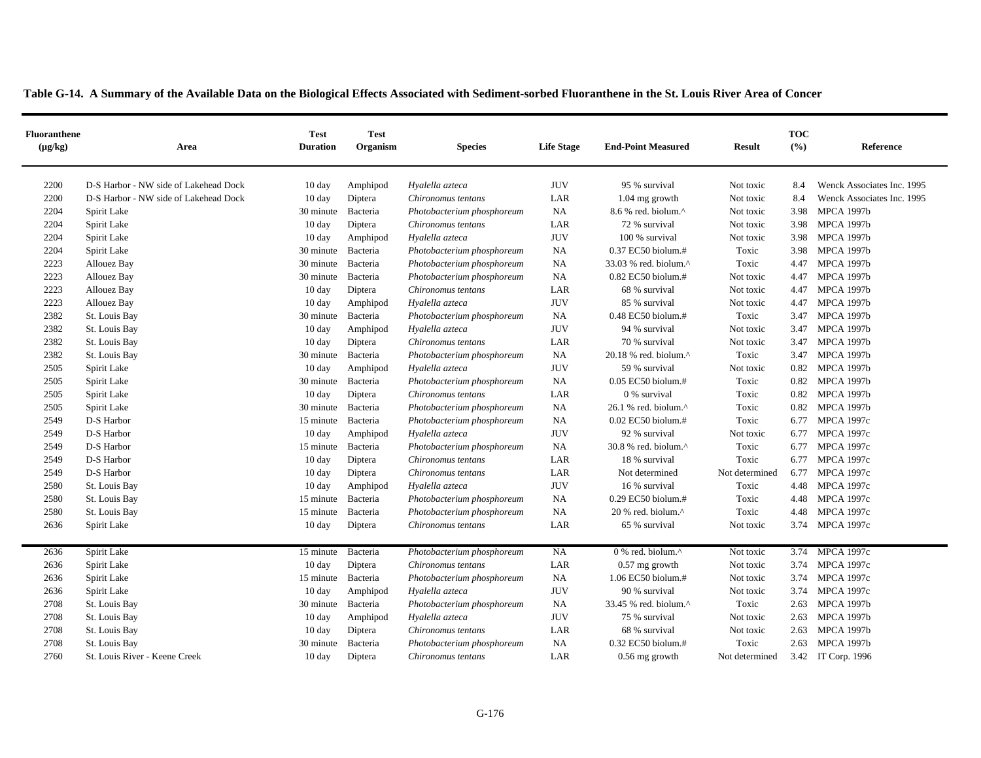| <b>Fluoranthene</b><br>$(\mu g/kg)$ | Area                                  | <b>Test</b><br><b>Duration</b> | <b>Test</b><br>Organism | <b>Species</b>             | <b>Life Stage</b> | <b>End-Point Measured</b>                             | <b>Result</b>  | <b>TOC</b><br>(9/6) | Reference                  |
|-------------------------------------|---------------------------------------|--------------------------------|-------------------------|----------------------------|-------------------|-------------------------------------------------------|----------------|---------------------|----------------------------|
| 2200                                | D-S Harbor - NW side of Lakehead Dock | $10 \text{ day}$               | Amphipod                | Hyalella azteca            | <b>JUV</b>        | 95 % survival                                         | Not toxic      | 8.4                 | Wenck Associates Inc. 1995 |
| 2200                                | D-S Harbor - NW side of Lakehead Dock | 10 day                         | Diptera                 | Chironomus tentans         | LAR               | $1.04$ mg growth                                      | Not toxic      | 8.4                 | Wenck Associates Inc. 1995 |
| 2204                                | Spirit Lake                           | 30 minute                      | Bacteria                | Photobacterium phosphoreum | NA                | 8.6 % red. biolum.^                                   | Not toxic      | 3.98                | <b>MPCA 1997b</b>          |
| 2204                                | Spirit Lake                           | 10 day                         | Diptera                 | Chironomus tentans         | LAR               | 72 % survival                                         | Not toxic      | 3.98                | <b>MPCA 1997b</b>          |
| 2204                                | Spirit Lake                           | $10 \text{ day}$               | Amphipod                | Hyalella azteca            | <b>JUV</b>        | 100 % survival                                        | Not toxic      | 3.98                | <b>MPCA 1997b</b>          |
| 2204                                | Spirit Lake                           | 30 minute                      | Bacteria                | Photobacterium phosphoreum | NA                | 0.37 EC50 biolum.#                                    | Toxic          | 3.98                | <b>MPCA 1997b</b>          |
| 2223                                | Allouez Bay                           | 30 minute                      | Bacteria                | Photobacterium phosphoreum | NA                | 33.03 % red. biolum.^                                 | Toxic          | 4.47                | <b>MPCA 1997b</b>          |
| 2223                                | Allouez Bay                           | 30 minute                      | Bacteria                | Photobacterium phosphoreum | NA                | 0.82 EC50 biolum.#                                    | Not toxic      | 4.47                | <b>MPCA 1997b</b>          |
| 2223                                | Allouez Bay                           | $10 \text{ day}$               | Diptera                 | Chironomus tentans         | LAR               | 68 % survival                                         | Not toxic      | 4.47                | <b>MPCA 1997b</b>          |
| 2223                                | Allouez Bay                           | $10 \text{ day}$               | Amphipod                | Hyalella azteca            | <b>JUV</b>        | 85 % survival                                         | Not toxic      | 4.47                | <b>MPCA 1997b</b>          |
| 2382                                | St. Louis Bay                         | 30 minute                      | Bacteria                | Photobacterium phosphoreum | NA                | 0.48 EC50 biolum.#                                    | Toxic          | 3.47                | <b>MPCA 1997b</b>          |
| 2382                                | St. Louis Bay                         | $10 \text{ day}$               | Amphipod                | Hyalella azteca            | <b>JUV</b>        | 94 % survival                                         | Not toxic      | 3.47                | <b>MPCA 1997b</b>          |
| 2382                                | St. Louis Bay                         | 10 day                         | Diptera                 | Chironomus tentans         | LAR               | 70 % survival                                         | Not toxic      | 3.47                | <b>MPCA 1997b</b>          |
| 2382                                | St. Louis Bay                         | 30 minute                      | Bacteria                | Photobacterium phosphoreum | NA                | $20.18$ % red. biolum. <sup><math>\wedge</math></sup> | Toxic          | 3.47                | <b>MPCA 1997b</b>          |
| 2505                                | Spirit Lake                           | $10 \text{ day}$               | Amphipod                | Hyalella azteca            | <b>JUV</b>        | 59 % survival                                         | Not toxic      | 0.82                | <b>MPCA 1997b</b>          |
| 2505                                | Spirit Lake                           | 30 minute                      | Bacteria                | Photobacterium phosphoreum | NA                | $0.05$ EC50 biolum.#                                  | Toxic          | 0.82                | <b>MPCA 1997b</b>          |
| 2505                                | Spirit Lake                           | $10 \text{ day}$               | Diptera                 | Chironomus tentans         | LAR               | 0 % survival                                          | Toxic          | 0.82                | <b>MPCA 1997b</b>          |
| 2505                                | Spirit Lake                           | 30 minute                      | Bacteria                | Photobacterium phosphoreum | NA                | 26.1 % red. biolum.^                                  | Toxic          | 0.82                | <b>MPCA 1997b</b>          |
| 2549                                | D-S Harbor                            | 15 minute                      | Bacteria                | Photobacterium phosphoreum | <b>NA</b>         | $0.02$ EC50 biolum.#                                  | Toxic          | 6.77                | <b>MPCA 1997c</b>          |
| 2549                                | D-S Harbor                            | $10 \text{ day}$               | Amphipod                | Hyalella azteca            | <b>JUV</b>        | 92 % survival                                         | Not toxic      | 6.77                | <b>MPCA 1997c</b>          |
| 2549                                | D-S Harbor                            | 15 minute                      | Bacteria                | Photobacterium phosphoreum | NA                | 30.8 % red. biolum.^                                  | Toxic          | 6.77                | <b>MPCA 1997c</b>          |
| 2549                                | D-S Harbor                            | 10 day                         | Diptera                 | Chironomus tentans         | LAR               | 18 % survival                                         | Toxic          | 6.77                | <b>MPCA 1997c</b>          |
| 2549                                | D-S Harbor                            | 10 day                         | Diptera                 | Chironomus tentans         | LAR               | Not determined                                        | Not determined | 6.77                | <b>MPCA 1997c</b>          |
| 2580                                | St. Louis Bay                         | $10 \text{ day}$               | Amphipod                | Hyalella azteca            | <b>JUV</b>        | 16 % survival                                         | Toxic          |                     | 4.48 MPCA 1997c            |
| 2580                                | St. Louis Bay                         | 15 minute                      | Bacteria                | Photobacterium phosphoreum | NA                | $0.29$ EC50 biolum.#                                  | Toxic          |                     | 4.48 MPCA 1997c            |
| 2580                                | St. Louis Bay                         | 15 minute                      | Bacteria                | Photobacterium phosphoreum | <b>NA</b>         | 20 % red. biolum.^                                    | Toxic          | 4.48                | <b>MPCA 1997c</b>          |
| 2636                                | Spirit Lake                           | 10 day                         | Diptera                 | Chironomus tentans         | LAR               | 65 % survival                                         | Not toxic      | 3.74                | <b>MPCA 1997c</b>          |
|                                     |                                       |                                |                         |                            |                   |                                                       |                |                     |                            |
| 2636                                | Spirit Lake                           | 15 minute                      | Bacteria                | Photobacterium phosphoreum | NA                | $0$ % red. biolum. <sup><math>\wedge</math></sup>     | Not toxic      |                     | 3.74 MPCA 1997c            |
| 2636                                | Spirit Lake                           | $10 \text{ day}$               | Diptera                 | Chironomus tentans         | LAR               | $0.57$ mg growth                                      | Not toxic      | 3.74                | <b>MPCA 1997c</b>          |
| 2636                                | Spirit Lake                           | 15 minute Bacteria             |                         | Photobacterium phosphoreum | NA                | 1.06 EC50 biolum.#                                    | Not toxic      | 3.74                | <b>MPCA 1997c</b>          |
| 2636                                | Spirit Lake                           | 10 day                         | Amphipod                | Hyalella azteca            | <b>JUV</b>        | 90 % survival                                         | Not toxic      | 3.74                | <b>MPCA 1997c</b>          |
| 2708                                | St. Louis Bay                         | 30 minute                      | Bacteria                | Photobacterium phosphoreum | NA                | 33.45 % red. biolum.^                                 | Toxic          | 2.63                | <b>MPCA 1997b</b>          |
| 2708                                | St. Louis Bay                         | 10 day                         | Amphipod                | Hyalella azteca            | <b>JUV</b>        | 75 % survival                                         | Not toxic      |                     | 2.63 MPCA 1997b            |
| 2708                                | St. Louis Bay                         | 10 day                         | Diptera                 | Chironomus tentans         | LAR               | 68 % survival                                         | Not toxic      | 2.63                | <b>MPCA 1997b</b>          |
| 2708                                | St. Louis Bay                         | 30 minute                      | Bacteria                | Photobacterium phosphoreum | NA                | 0.32 EC50 biolum.#                                    | Toxic          | 2.63                | <b>MPCA 1997b</b>          |
| 2760                                | St. Louis River - Keene Creek         | $10 \text{ day}$               | Diptera                 | Chironomus tentans         | LAR               | $0.56$ mg growth                                      | Not determined |                     | 3.42 IT Corp. 1996         |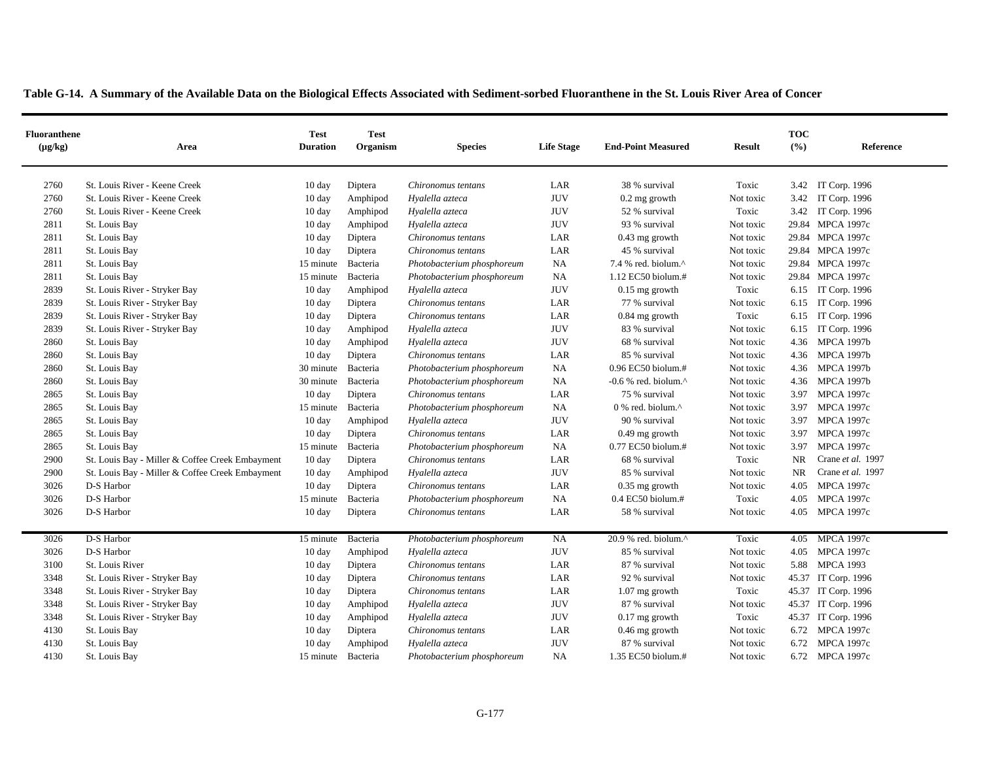|  | Table G-14. A Summary of the Available Data on the Biological Effects Associated with Sediment-sorbed Fluoranthene in the St. Louis River Area of Concer |  |
|--|----------------------------------------------------------------------------------------------------------------------------------------------------------|--|
|  |                                                                                                                                                          |  |

| <b>Fluoranthene</b><br>$(\mu g/kg)$ | Area                                            | <b>Test</b><br><b>Duration</b> | <b>Test</b><br>Organism | <b>Species</b>             | <b>Life Stage</b> | <b>End-Point Measured</b>                            | <b>Result</b> | <b>TOC</b><br>(%) | Reference           |
|-------------------------------------|-------------------------------------------------|--------------------------------|-------------------------|----------------------------|-------------------|------------------------------------------------------|---------------|-------------------|---------------------|
| 2760                                | St. Louis River - Keene Creek                   | $10 \text{ day}$               | Diptera                 | Chironomus tentans         | LAR               | 38 % survival                                        | Toxic         |                   | 3.42 IT Corp. 1996  |
| 2760                                | St. Louis River - Keene Creek                   | $10 \text{ day}$               | Amphipod                | Hyalella azteca            | <b>JUV</b>        | $0.2$ mg growth                                      | Not toxic     |                   | 3.42 IT Corp. 1996  |
| 2760                                | St. Louis River - Keene Creek                   | $10 \text{ day}$               | Amphipod                | Hyalella azteca            | <b>JUV</b>        | 52 % survival                                        | Toxic         |                   | 3.42 IT Corp. 1996  |
| 2811                                | St. Louis Bay                                   | $10 \text{ day}$               | Amphipod                | Hyalella azteca            | <b>JUV</b>        | 93 % survival                                        | Not toxic     |                   | 29.84 MPCA 1997c    |
| 2811                                | St. Louis Bay                                   | $10 \text{ day}$               | Diptera                 | Chironomus tentans         | LAR               | $0.43$ mg growth                                     | Not toxic     |                   | 29.84 MPCA 1997c    |
| 2811                                | St. Louis Bay                                   | $10 \text{ day}$               | Diptera                 | Chironomus tentans         | LAR               | 45 % survival                                        | Not toxic     |                   | 29.84 MPCA 1997c    |
| 2811                                | St. Louis Bay                                   | 15 minute                      | Bacteria                | Photobacterium phosphoreum | NA                | 7.4 % red. biolum.^                                  | Not toxic     |                   | 29.84 MPCA 1997c    |
| 2811                                | St. Louis Bay                                   | 15 minute                      | Bacteria                | Photobacterium phosphoreum | <b>NA</b>         | 1.12 EC50 biolum.#                                   | Not toxic     |                   | 29.84 MPCA 1997c    |
| 2839                                | St. Louis River - Stryker Bay                   | $10 \text{ day}$               | Amphipod                | Hyalella azteca            | <b>JUV</b>        | $0.15$ mg growth                                     | Toxic         |                   | 6.15 IT Corp. 1996  |
| 2839                                | St. Louis River - Stryker Bay                   | 10 day                         | Diptera                 | Chironomus tentans         | LAR               | 77 % survival                                        | Not toxic     |                   | 6.15 IT Corp. 1996  |
| 2839                                | St. Louis River - Stryker Bay                   | 10 day                         | Diptera                 | Chironomus tentans         | LAR               | 0.84 mg growth                                       | Toxic         |                   | 6.15 IT Corp. 1996  |
| 2839                                | St. Louis River - Stryker Bay                   | 10 day                         | Amphipod                | Hyalella azteca            | <b>JUV</b>        | 83 % survival                                        | Not toxic     |                   | 6.15 IT Corp. 1996  |
| 2860                                | St. Louis Bay                                   | $10 \text{ day}$               | Amphipod                | Hyalella azteca            | <b>JUV</b>        | 68 % survival                                        | Not toxic     | 4.36              | <b>MPCA 1997b</b>   |
| 2860                                | St. Louis Bay                                   | 10 day                         | Diptera                 | Chironomus tentans         | LAR               | 85 % survival                                        | Not toxic     |                   | 4.36 MPCA 1997b     |
| 2860                                | St. Louis Bay                                   | 30 minute                      | Bacteria                | Photobacterium phosphoreum | NA                | 0.96 EC50 biolum.#                                   | Not toxic     |                   | 4.36 MPCA 1997b     |
| 2860                                | St. Louis Bay                                   | 30 minute                      | Bacteria                | Photobacterium phosphoreum | NA                | $-0.6$ % red. biolum. <sup><math>\wedge</math></sup> | Not toxic     |                   | 4.36 MPCA 1997b     |
| 2865                                | St. Louis Bay                                   | 10 day                         | Diptera                 | Chironomus tentans         | LAR               | 75 % survival                                        | Not toxic     | 3.97              | <b>MPCA 1997c</b>   |
| 2865                                | St. Louis Bay                                   | 15 minute                      | Bacteria                | Photobacterium phosphoreum | <b>NA</b>         | 0 % red. biolum.^                                    | Not toxic     | 3.97              | <b>MPCA 1997c</b>   |
| 2865                                | St. Louis Bay                                   | $10 \text{ day}$               | Amphipod                | Hyalella azteca            | <b>JUV</b>        | 90 % survival                                        | Not toxic     | 3.97              | <b>MPCA 1997c</b>   |
| 2865                                | St. Louis Bay                                   | $10 \text{ day}$               | Diptera                 | Chironomus tentans         | LAR               | $0.49$ mg growth                                     | Not toxic     | 3.97              | <b>MPCA 1997c</b>   |
| 2865                                | St. Louis Bay                                   | 15 minute                      | Bacteria                | Photobacterium phosphoreum | <b>NA</b>         | $0.77$ EC50 biolum.#                                 | Not toxic     | 3.97              | <b>MPCA 1997c</b>   |
| 2900                                | St. Louis Bay - Miller & Coffee Creek Embayment | $10 \text{ day}$               | Diptera                 | Chironomus tentans         | LAR               | 68 % survival                                        | Toxic         | NR                | Crane et al. 1997   |
| 2900                                | St. Louis Bay - Miller & Coffee Creek Embayment | $10 \text{ day}$               | Amphipod                | Hyalella azteca            | <b>JUV</b>        | 85 % survival                                        | Not toxic     | NR                | Crane et al. 1997   |
| 3026                                | D-S Harbor                                      | $10 \text{ day}$               | Diptera                 | Chironomus tentans         | LAR               | $0.35$ mg growth                                     | Not toxic     | 4.05              | <b>MPCA 1997c</b>   |
| 3026                                | D-S Harbor                                      | 15 minute                      | Bacteria                | Photobacterium phosphoreum | NA                | $0.4$ EC50 biolum.#                                  | Toxic         | 4.05              | <b>MPCA 1997c</b>   |
| 3026                                | D-S Harbor                                      | $10 \text{ day}$               | Diptera                 | Chironomus tentans         | LAR               | 58 % survival                                        | Not toxic     |                   | 4.05 MPCA 1997c     |
| 3026                                | D-S Harbor                                      | 15 minute                      | Bacteria                | Photobacterium phosphoreum | NA                | 20.9 % red. biolum.^                                 | Toxic         | 4.05              | <b>MPCA 1997c</b>   |
| 3026                                | D-S Harbor                                      | $10 \text{ day}$               | Amphipod                | Hyalella azteca            | <b>JUV</b>        | 85 % survival                                        | Not toxic     | 4.05              | <b>MPCA 1997c</b>   |
| 3100                                | St. Louis River                                 | $10 \text{ day}$               | Diptera                 | Chironomus tentans         | LAR               | 87 % survival                                        | Not toxic     |                   | 5.88 MPCA 1993      |
| 3348                                | St. Louis River - Stryker Bay                   | $10 \text{ day}$               | Diptera                 | Chironomus tentans         | LAR               | 92 % survival                                        | Not toxic     |                   | 45.37 IT Corp. 1996 |
| 3348                                | St. Louis River - Stryker Bay                   | $10 \text{ day}$               | Diptera                 | Chironomus tentans         | LAR               | $1.07$ mg growth                                     | Toxic         |                   | 45.37 IT Corp. 1996 |
| 3348                                | St. Louis River - Stryker Bay                   | $10 \text{ day}$               | Amphipod                | Hyalella azteca            | <b>JUV</b>        | 87 % survival                                        | Not toxic     |                   | 45.37 IT Corp. 1996 |
| 3348                                | St. Louis River - Stryker Bay                   | $10 \text{ day}$               | Amphipod                | Hyalella azteca            | <b>JUV</b>        | $0.17$ mg growth                                     | Toxic         |                   | 45.37 IT Corp. 1996 |
| 4130                                | St. Louis Bay                                   | 10 day                         | Diptera                 | Chironomus tentans         | LAR               | 0.46 mg growth                                       | Not toxic     |                   | 6.72 MPCA 1997c     |
| 4130                                | St. Louis Bay                                   | 10 day                         | Amphipod                | Hyalella azteca            | <b>JUV</b>        | 87 % survival                                        | Not toxic     | 6.72              | <b>MPCA 1997c</b>   |
| 4130                                | St. Louis Bay                                   | 15 minute Bacteria             |                         | Photobacterium phosphoreum | NA                | 1.35 EC50 biolum.#                                   | Not toxic     |                   | 6.72 MPCA 1997c     |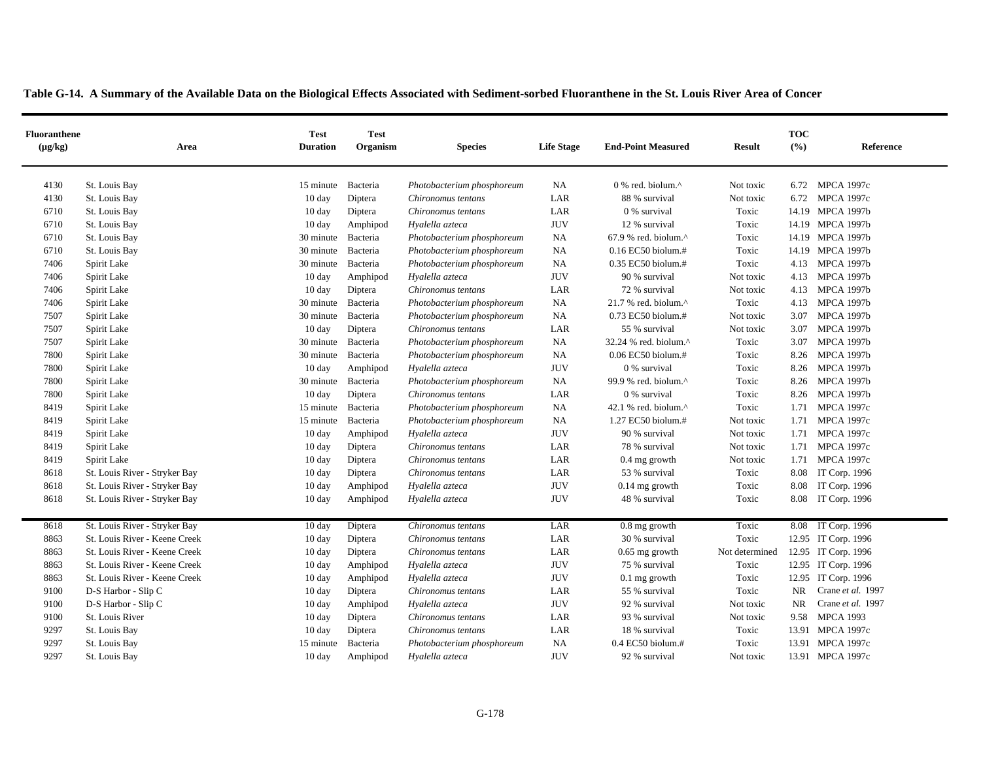|  |  | Table G-14. A Summary of the Available Data on the Biological Effects Associated with Sediment-sorbed Fluoranthene in the St. Louis River Area of Concer |
|--|--|----------------------------------------------------------------------------------------------------------------------------------------------------------|
|  |  |                                                                                                                                                          |

| <b>Fluoranthene</b><br>$(\mu g/kg)$ | Area                          | <b>Test</b><br><b>Duration</b> | <b>Test</b><br>Organism | <b>Species</b>             | <b>Life Stage</b> | <b>End-Point Measured</b>                            | <b>Result</b>  | <b>TOC</b><br>(%) | Reference           |
|-------------------------------------|-------------------------------|--------------------------------|-------------------------|----------------------------|-------------------|------------------------------------------------------|----------------|-------------------|---------------------|
| 4130                                | St. Louis Bay                 | 15 minute                      | Bacteria                | Photobacterium phosphoreum | NA                | $0\%$ red. biolum. <sup><math>\wedge</math></sup>    | Not toxic      |                   | 6.72 MPCA 1997c     |
| 4130                                | St. Louis Bay                 | $10 \text{ day}$               | Diptera                 | Chironomus tentans         | LAR               | 88 % survival                                        | Not toxic      | 6.72              | <b>MPCA 1997c</b>   |
| 6710                                | St. Louis Bay                 | $10 \text{ day}$               | Diptera                 | Chironomus tentans         | LAR               | 0 % survival                                         | Toxic          |                   | 14.19 MPCA 1997b    |
| 6710                                | St. Louis Bay                 | $10 \text{ day}$               | Amphipod                | Hyalella azteca            | <b>JUV</b>        | 12 % survival                                        | Toxic          |                   | 14.19 MPCA 1997b    |
| 6710                                | St. Louis Bay                 | 30 minute                      | Bacteria                | Photobacterium phosphoreum | <b>NA</b>         | $67.9$ % red. biolum. <sup><math>\wedge</math></sup> | Toxic          |                   | 14.19 MPCA 1997b    |
| 6710                                | St. Louis Bay                 | 30 minute                      | Bacteria                | Photobacterium phosphoreum | NA                | 0.16 EC50 biolum.#                                   | Toxic          |                   | 14.19 MPCA 1997b    |
| 7406                                | Spirit Lake                   | 30 minute                      | Bacteria                | Photobacterium phosphoreum | NA                | 0.35 EC50 biolum.#                                   | Toxic          | 4.13              | <b>MPCA 1997b</b>   |
| 7406                                | Spirit Lake                   | $10 \text{ day}$               | Amphipod                | Hyalella azteca            | <b>JUV</b>        | 90 % survival                                        | Not toxic      | 4.13              | <b>MPCA 1997b</b>   |
| 7406                                | Spirit Lake                   | $10 \text{ day}$               | Diptera                 | Chironomus tentans         | LAR               | 72 % survival                                        | Not toxic      | 4.13              | <b>MPCA 1997b</b>   |
| 7406                                | Spirit Lake                   | 30 minute                      | Bacteria                | Photobacterium phosphoreum | NA                | 21.7 % red. biolum.^                                 | Toxic          | 4.13              | <b>MPCA 1997b</b>   |
| 7507                                | Spirit Lake                   | 30 minute                      | Bacteria                | Photobacterium phosphoreum | <b>NA</b>         | 0.73 EC50 biolum.#                                   | Not toxic      | 3.07              | <b>MPCA 1997b</b>   |
| 7507                                | Spirit Lake                   | $10 \text{ day}$               | Diptera                 | Chironomus tentans         | LAR               | 55 % survival                                        | Not toxic      | 3.07              | <b>MPCA 1997b</b>   |
| 7507                                | Spirit Lake                   | 30 minute                      | Bacteria                | Photobacterium phosphoreum | NA                | 32.24 % red. biolum.^                                | Toxic          | 3.07              | <b>MPCA 1997b</b>   |
| 7800                                | Spirit Lake                   | 30 minute                      | Bacteria                | Photobacterium phosphoreum | NA                | 0.06 EC50 biolum.#                                   | Toxic          | 8.26              | <b>MPCA 1997b</b>   |
| 7800                                | Spirit Lake                   | $10 \text{ day}$               | Amphipod                | Hyalella azteca            | <b>JUV</b>        | 0 % survival                                         | Toxic          | 8.26              | <b>MPCA 1997b</b>   |
| 7800                                | Spirit Lake                   | 30 minute                      | Bacteria                | Photobacterium phosphoreum | NA                | 99.9 % red. biolum.^                                 | Toxic          |                   | 8.26 MPCA 1997b     |
| 7800                                | Spirit Lake                   | $10 \text{ day}$               | Diptera                 | Chironomus tentans         | LAR               | 0 % survival                                         | Toxic          | 8.26              | <b>MPCA 1997b</b>   |
| 8419                                | Spirit Lake                   | 15 minute                      | Bacteria                | Photobacterium phosphoreum | NA                | 42.1 % red. biolum.^                                 | Toxic          | 1.71              | <b>MPCA 1997c</b>   |
| 8419                                | Spirit Lake                   | 15 minute                      | Bacteria                | Photobacterium phosphoreum | NA                | 1.27 EC50 biolum.#                                   | Not toxic      | 1.71              | <b>MPCA 1997c</b>   |
| 8419                                | Spirit Lake                   | 10 day                         | Amphipod                | Hyalella azteca            | <b>JUV</b>        | 90 % survival                                        | Not toxic      | 1.71              | <b>MPCA 1997c</b>   |
| 8419                                | Spirit Lake                   | 10 day                         | Diptera                 | Chironomus tentans         | LAR               | 78 % survival                                        | Not toxic      | 1.71              | <b>MPCA 1997c</b>   |
| 8419                                | Spirit Lake                   | 10 day                         | Diptera                 | Chironomus tentans         | LAR               | $0.4$ mg growth                                      | Not toxic      | 1.71              | <b>MPCA 1997c</b>   |
| 8618                                | St. Louis River - Stryker Bay | 10 day                         | Diptera                 | Chironomus tentans         | LAR               | 53 % survival                                        | Toxic          | 8.08              | IT Corp. 1996       |
| 8618                                | St. Louis River - Stryker Bay | 10 day                         | Amphipod                | Hyalella azteca            | <b>JUV</b>        | $0.14$ mg growth                                     | Toxic          | 8.08              | IT Corp. 1996       |
| 8618                                | St. Louis River - Stryker Bay | $10 \text{ day}$               | Amphipod                | Hyalella azteca            | <b>JUV</b>        | 48 % survival                                        | Toxic          |                   | 8.08 IT Corp. 1996  |
| 8618                                | St. Louis River - Stryker Bay | 10 day                         | Diptera                 | Chironomus tentans         | LAR               | 0.8 mg growth                                        | Toxic          |                   | 8.08 IT Corp. 1996  |
| 8863                                | St. Louis River - Keene Creek | 10 day                         | Diptera                 | Chironomus tentans         | LAR               | 30 % survival                                        | Toxic          |                   | 12.95 IT Corp. 1996 |
| 8863                                | St. Louis River - Keene Creek | $10\ \mathrm{day}$             | Diptera                 | Chironomus tentans         | LAR               | $0.65$ mg growth                                     | Not determined |                   | 12.95 IT Corp. 1996 |
| 8863                                | St. Louis River - Keene Creek | $10 \text{ day}$               | Amphipod                | Hyalella azteca            | <b>JUV</b>        | 75 % survival                                        | Toxic          |                   | 12.95 IT Corp. 1996 |
| 8863                                | St. Louis River - Keene Creek | 10 day                         | Amphipod                | Hyalella azteca            | <b>JUV</b>        | $0.1$ mg growth                                      | Toxic          |                   | 12.95 IT Corp. 1996 |
| 9100                                | D-S Harbor - Slip C           | $10 \text{ day}$               | Diptera                 | Chironomus tentans         | LAR               | 55 % survival                                        | Toxic          | <b>NR</b>         | Crane et al. 1997   |
| 9100                                | D-S Harbor - Slip C           | 10 day                         | Amphipod                | Hyalella azteca            | <b>JUV</b>        | 92 % survival                                        | Not toxic      | <b>NR</b>         | Crane et al. 1997   |
| 9100                                | St. Louis River               | 10 day                         | Diptera                 | Chironomus tentans         | LAR               | 93 % survival                                        | Not toxic      | 9.58              | <b>MPCA 1993</b>    |
| 9297                                | St. Louis Bay                 | 10 day                         | Diptera                 | Chironomus tentans         | LAR               | 18 % survival                                        | Toxic          |                   | 13.91 MPCA 1997c    |
| 9297                                | St. Louis Bay                 | 15 minute                      | Bacteria                | Photobacterium phosphoreum | <b>NA</b>         | $0.4$ EC50 biolum.#                                  | Toxic          |                   | 13.91 MPCA 1997c    |
| 9297                                | St. Louis Bay                 | $10 \text{ day}$               | Amphipod                | Hyalella azteca            | <b>JUV</b>        | 92 % survival                                        | Not toxic      |                   | 13.91 MPCA 1997c    |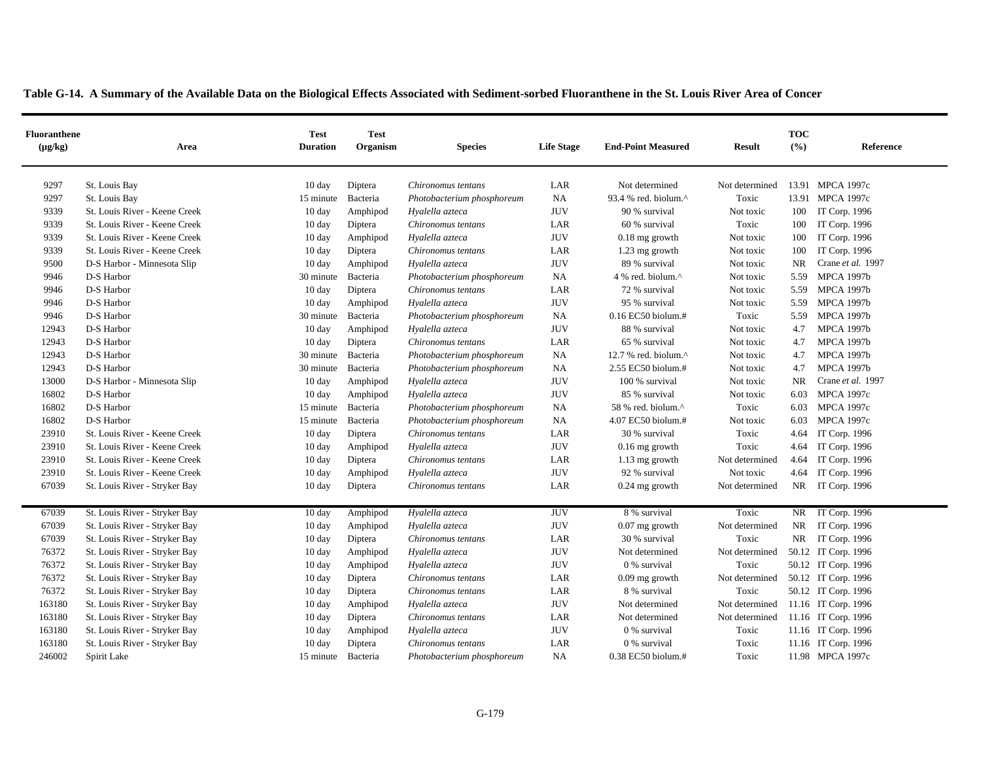| Table G-14. A Summary of the Available Data on the Biological Effects Associated with Sediment-sorbed Fluoranthene in the St. Louis River Area of Concer |  |  |
|----------------------------------------------------------------------------------------------------------------------------------------------------------|--|--|
|                                                                                                                                                          |  |  |

| <b>Fluoranthene</b><br>$(\mu g/kg)$ | Area                          | <b>Test</b><br><b>Duration</b> | <b>Test</b><br>Organism | <b>Species</b>             | <b>Life Stage</b> | <b>End-Point Measured</b> | <b>Result</b>  | <b>TOC</b><br>(%) | Reference           |
|-------------------------------------|-------------------------------|--------------------------------|-------------------------|----------------------------|-------------------|---------------------------|----------------|-------------------|---------------------|
| 9297                                | St. Louis Bay                 | $10 \text{ day}$               | Diptera                 | Chironomus tentans         | LAR               | Not determined            | Not determined |                   | 13.91 MPCA 1997c    |
| 9297                                | St. Louis Bay                 | 15 minute                      | Bacteria                | Photobacterium phosphoreum | <b>NA</b>         | 93.4 % red. biolum.^      | Toxic          |                   | 13.91 MPCA 1997c    |
| 9339                                | St. Louis River - Keene Creek | $10 \text{ day}$               | Amphipod                | Hyalella azteca            | <b>JUV</b>        | 90 % survival             | Not toxic      | 100               | IT Corp. 1996       |
| 9339                                | St. Louis River - Keene Creek | $10 \text{ day}$               | Diptera                 | Chironomus tentans         | LAR               | 60 % survival             | Toxic          | 100               | IT Corp. 1996       |
| 9339                                | St. Louis River - Keene Creek | $10 \text{ day}$               | Amphipod                | Hyalella azteca            | <b>JUV</b>        | $0.18$ mg growth          | Not toxic      | 100               | IT Corp. 1996       |
| 9339                                | St. Louis River - Keene Creek | $10 \text{ day}$               | Diptera                 | Chironomus tentans         | LAR               | 1.23 mg growth            | Not toxic      | 100               | IT Corp. 1996       |
| 9500                                | D-S Harbor - Minnesota Slip   | $10 \text{ day}$               | Amphipod                | Hyalella azteca            | <b>JUV</b>        | 89 % survival             | Not toxic      | <b>NR</b>         | Crane et al. 1997   |
| 9946                                | D-S Harbor                    | 30 minute                      | Bacteria                | Photobacterium phosphoreum | <b>NA</b>         | 4 % red. biolum.^         | Not toxic      | 5.59              | <b>MPCA 1997b</b>   |
| 9946                                | D-S Harbor                    | $10 \text{ day}$               | Diptera                 | Chironomus tentans         | LAR               | 72 % survival             | Not toxic      | 5.59              | <b>MPCA 1997b</b>   |
| 9946                                | D-S Harbor                    | $10 \text{ day}$               | Amphipod                | Hyalella azteca            | <b>JUV</b>        | 95 % survival             | Not toxic      | 5.59              | <b>MPCA 1997b</b>   |
| 9946                                | D-S Harbor                    | 30 minute                      | Bacteria                | Photobacterium phosphoreum | <b>NA</b>         | 0.16 EC50 biolum.#        | Toxic          |                   | 5.59 MPCA 1997b     |
| 12943                               | D-S Harbor                    | $10 \text{ day}$               | Amphipod                | Hyalella azteca            | <b>JUV</b>        | 88 % survival             | Not toxic      | 4.7               | <b>MPCA 1997b</b>   |
| 12943                               | D-S Harbor                    | $10 \text{ day}$               | Diptera                 | Chironomus tentans         | LAR               | 65 % survival             | Not toxic      | 4.7               | <b>MPCA 1997b</b>   |
| 12943                               | D-S Harbor                    | 30 minute                      | Bacteria                | Photobacterium phosphoreum | <b>NA</b>         | 12.7 % red. biolum.^      | Not toxic      | 4.7               | <b>MPCA 1997b</b>   |
| 12943                               | D-S Harbor                    | 30 minute                      | Bacteria                | Photobacterium phosphoreum | <b>NA</b>         | 2.55 EC50 biolum.#        | Not toxic      | 4.7               | <b>MPCA 1997b</b>   |
| 13000                               | D-S Harbor - Minnesota Slip   | 10 day                         | Amphipod                | Hyalella azteca            | <b>JUV</b>        | 100 % survival            | Not toxic      | NR                | Crane et al. 1997   |
| 16802                               | D-S Harbor                    | $10 \text{ day}$               | Amphipod                | Hyalella azteca            | <b>JUV</b>        | 85 % survival             | Not toxic      | 6.03              | <b>MPCA 1997c</b>   |
| 16802                               | D-S Harbor                    | 15 minute                      | Bacteria                | Photobacterium phosphoreum | NA                | 58 % red. biolum.^        | Toxic          | 6.03              | <b>MPCA 1997c</b>   |
| 16802                               | D-S Harbor                    | 15 minute                      | Bacteria                | Photobacterium phosphoreum | <b>NA</b>         | 4.07 EC50 biolum.#        | Not toxic      | 6.03              | <b>MPCA 1997c</b>   |
| 23910                               | St. Louis River - Keene Creek | $10 \text{ day}$               | Diptera                 | Chironomus tentans         | LAR               | 30 % survival             | Toxic          | 4.64              | IT Corp. 1996       |
| 23910                               | St. Louis River - Keene Creek | $10 \text{ day}$               | Amphipod                | Hyalella azteca            | <b>JUV</b>        | $0.16$ mg growth          | Toxic          | 4.64              | IT Corp. 1996       |
| 23910                               | St. Louis River - Keene Creek | $10 \text{ day}$               | Diptera                 | Chironomus tentans         | LAR               | 1.13 mg growth            | Not determined | 4.64              | IT Corp. 1996       |
| 23910                               | St. Louis River - Keene Creek | $10 \text{ day}$               | Amphipod                | Hyalella azteca            | <b>JUV</b>        | 92 % survival             | Not toxic      | 4.64              | IT Corp. 1996       |
| 67039                               | St. Louis River - Stryker Bay | $10 \text{ day}$               | Diptera                 | Chironomus tentans         | LAR               | $0.24$ mg growth          | Not determined |                   | NR IT Corp. 1996    |
| 67039                               | St. Louis River - Stryker Bay | 10 day                         | Amphipod                | Hyalella azteca            | <b>JUV</b>        | 8 % survival              | Toxic          |                   | NR IT Corp. 1996    |
| 67039                               | St. Louis River - Stryker Bay | $10 \text{ day}$               | Amphipod                | Hyalella azteca            | <b>JUV</b>        | $0.07$ mg growth          | Not determined | NR.               | IT Corp. 1996       |
| 67039                               | St. Louis River - Stryker Bay | 10 day                         | Diptera                 | Chironomus tentans         | LAR               | 30 % survival             | Toxic          |                   | NR IT Corp. 1996    |
| 76372                               | St. Louis River - Stryker Bay | $10 \text{ day}$               | Amphipod                | Hyalella azteca            | <b>JUV</b>        | Not determined            | Not determined |                   | 50.12 IT Corp. 1996 |
| 76372                               | St. Louis River - Stryker Bay | $10 \text{ day}$               | Amphipod                | Hyalella azteca            | <b>JUV</b>        | 0 % survival              | Toxic          |                   | 50.12 IT Corp. 1996 |
| 76372                               | St. Louis River - Stryker Bay | $10 \text{ day}$               | Diptera                 | Chironomus tentans         | LAR               | $0.09$ mg growth          | Not determined |                   | 50.12 IT Corp. 1996 |
| 76372                               | St. Louis River - Stryker Bay | $10 \text{ day}$               | Diptera                 | Chironomus tentans         | LAR               | 8 % survival              | Toxic          |                   | 50.12 IT Corp. 1996 |
| 163180                              | St. Louis River - Stryker Bay | $10 \text{ day}$               | Amphipod                | Hyalella azteca            | <b>JUV</b>        | Not determined            | Not determined |                   | 11.16 IT Corp. 1996 |
| 163180                              | St. Louis River - Stryker Bay | 10 day                         | Diptera                 | Chironomus tentans         | LAR               | Not determined            | Not determined |                   | 11.16 IT Corp. 1996 |
| 163180                              | St. Louis River - Stryker Bay | 10 day                         | Amphipod                | Hyalella azteca            | <b>JUV</b>        | 0 % survival              | Toxic          |                   | 11.16 IT Corp. 1996 |
| 163180                              | St. Louis River - Stryker Bay | $10 \text{ day}$               | Diptera                 | Chironomus tentans         | LAR               | 0 % survival              | Toxic          |                   | 11.16 IT Corp. 1996 |
| 246002                              | Spirit Lake                   | 15 minute Bacteria             |                         | Photobacterium phosphoreum | <b>NA</b>         | 0.38 EC50 biolum.#        | Toxic          |                   | 11.98 MPCA 1997c    |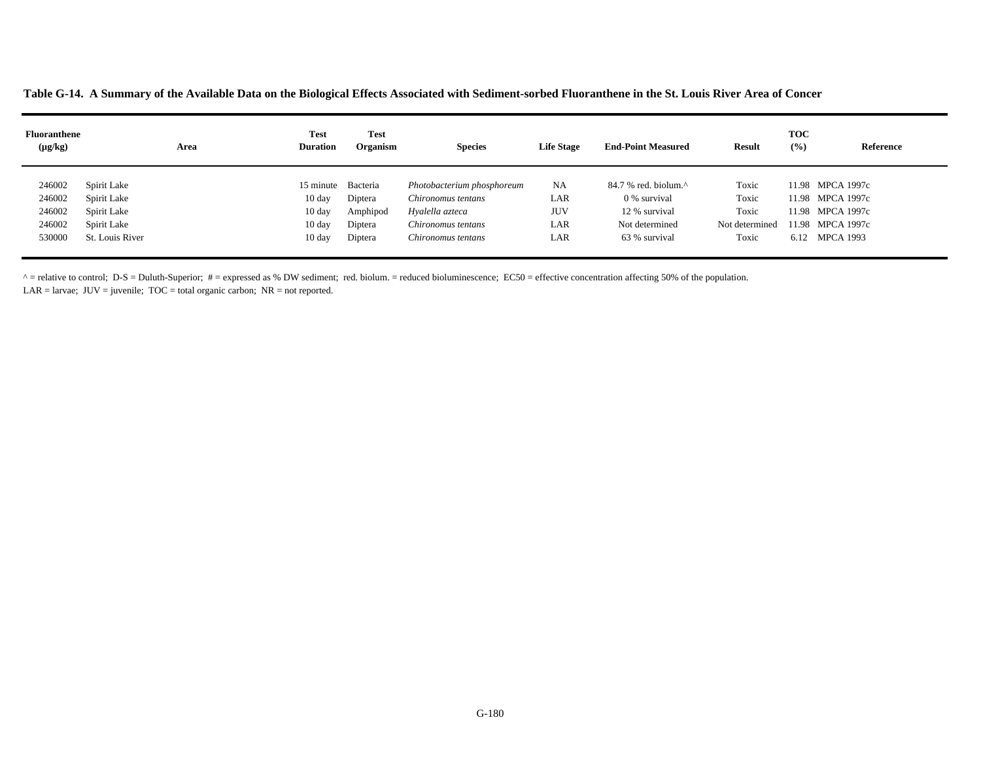**Table G-14. A Summary of the Available Data on the Biological Effects Associated with Sediment-sorbed Fluoranthene in the St. Louis River Area of Concer**

| <b>Fluoranthene</b><br>$(\mu g/kg)$ | Area            | <b>Test</b><br><b>Duration</b> | <b>Test</b><br>Organism | <b>Species</b>             | <b>Life Stage</b> | <b>End-Point Measured</b>                            | <b>Result</b>  | <b>TOC</b><br>(%) | Reference        |
|-------------------------------------|-----------------|--------------------------------|-------------------------|----------------------------|-------------------|------------------------------------------------------|----------------|-------------------|------------------|
| 246002                              | Spirit Lake     | 15 minute                      | Bacteria                | Photobacterium phosphoreum | <b>NA</b>         | $84.7$ % red. biolum. <sup><math>\wedge</math></sup> | Toxic          |                   | 11.98 MPCA 1997c |
| 246002                              | Spirit Lake     | $10 \text{ day}$               | Diptera                 | Chironomus tentans         | LAR               | 0 % survival                                         | Toxic          |                   | 11.98 MPCA 1997c |
| 246002                              | Spirit Lake     | $10 \text{ day}$               | Amphipod                | Hyalella azteca            | <b>JUV</b>        | 12 % survival                                        | Toxic          |                   | 11.98 MPCA 1997c |
| 246002                              | Spirit Lake     | $10 \text{ day}$               | Diptera                 | Chironomus tentans         | LAR               | Not determined                                       | Not determined |                   | 11.98 MPCA 1997c |
| 530000                              | St. Louis River | $10 \text{ day}$               | Diptera                 | Chironomus tentans         | LAR               | 63 % survival                                        | Toxic          |                   | 6.12 MPCA 1993   |

 $^{\circ}$  = relative to control; D-S = Duluth-Superior; # = expressed as % DW sediment; red. biolum. = reduced bioluminescence; EC50 = effective concentration affecting 50% of the population.

LAR = larvae;  $JUV =$  juvenile;  $TOC =$  total organic carbon;  $NR =$  not reported.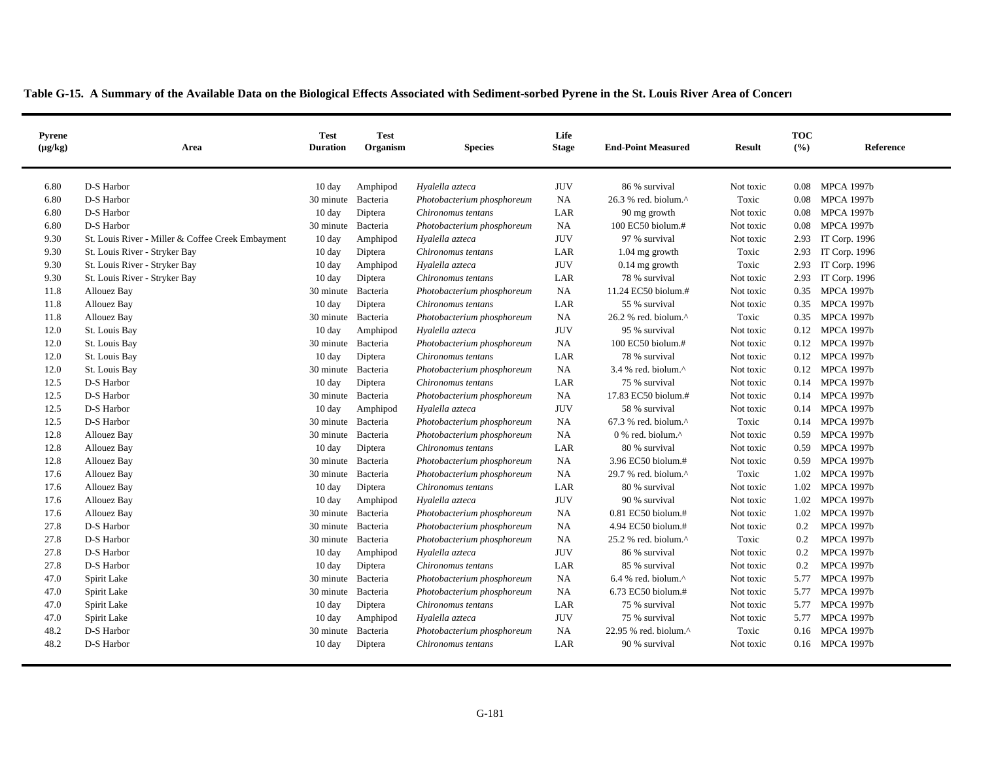| <b>Pyrene</b><br>$(\mu g/kg)$ | Area                                              | <b>Test</b><br><b>Duration</b> | <b>Test</b><br>Organism | <b>Species</b>             | Life<br><b>Stage</b> | <b>End-Point Measured</b>                           | <b>Result</b> | <b>TOC</b><br>(9/6) | Reference         |
|-------------------------------|---------------------------------------------------|--------------------------------|-------------------------|----------------------------|----------------------|-----------------------------------------------------|---------------|---------------------|-------------------|
| 6.80                          | D-S Harbor                                        | 10 day                         | Amphipod                | Hyalella azteca            | <b>JUV</b>           | 86 % survival                                       | Not toxic     | 0.08                | <b>MPCA 1997b</b> |
| 6.80                          | D-S Harbor                                        | 30 minute                      | Bacteria                | Photobacterium phosphoreum | NA                   | 26.3 % red. biolum.^                                | Toxic         | 0.08                | <b>MPCA 1997b</b> |
| 6.80                          | D-S Harbor                                        | $10 \text{ day}$               | Diptera                 | Chironomus tentans         | LAR                  | 90 mg growth                                        | Not toxic     | 0.08                | <b>MPCA 1997b</b> |
| 6.80                          | D-S Harbor                                        | 30 minute                      | Bacteria                | Photobacterium phosphoreum | <b>NA</b>            | 100 EC50 biolum.#                                   | Not toxic     | 0.08                | <b>MPCA 1997b</b> |
| 9.30                          | St. Louis River - Miller & Coffee Creek Embayment | $10 \text{ day}$               | Amphipod                | Hyalella azteca            | <b>JUV</b>           | 97 % survival                                       | Not toxic     | 2.93                | IT Corp. 1996     |
| 9.30                          | St. Louis River - Stryker Bay                     | 10 day                         | Diptera                 | Chironomus tentans         | LAR                  | 1.04 mg growth                                      | Toxic         | 2.93                | IT Corp. 1996     |
| 9.30                          | St. Louis River - Stryker Bay                     | $10 \text{ day}$               | Amphipod                | Hyalella azteca            | <b>JUV</b>           | $0.14$ mg growth                                    | Toxic         | 2.93                | IT Corp. 1996     |
| 9.30                          | St. Louis River - Stryker Bay                     | 10 day                         | Diptera                 | Chironomus tentans         | LAR                  | 78 % survival                                       | Not toxic     | 2.93                | IT Corp. 1996     |
| 11.8                          | Allouez Bay                                       | 30 minute                      | Bacteria                | Photobacterium phosphoreum | NA                   | 11.24 EC50 biolum.#                                 | Not toxic     | 0.35                | <b>MPCA 1997b</b> |
| 11.8                          | Allouez Bay                                       | 10 day                         | Diptera                 | Chironomus tentans         | LAR                  | 55 % survival                                       | Not toxic     | 0.35                | <b>MPCA 1997b</b> |
| 11.8                          | Allouez Bay                                       | 30 minute Bacteria             |                         | Photobacterium phosphoreum | NA                   | 26.2 % red. biolum.^                                | Toxic         | 0.35                | <b>MPCA 1997b</b> |
| 12.0                          | St. Louis Bay                                     | $10 \text{ day}$               | Amphipod                | Hyalella azteca            | <b>JUV</b>           | 95 % survival                                       | Not toxic     | 0.12                | <b>MPCA 1997b</b> |
| 12.0                          | St. Louis Bay                                     | 30 minute Bacteria             |                         | Photobacterium phosphoreum | <b>NA</b>            | 100 EC50 biolum.#                                   | Not toxic     |                     | 0.12 MPCA 1997b   |
| 12.0                          | St. Louis Bay                                     | $10 \text{ day}$               | Diptera                 | Chironomus tentans         | LAR                  | 78 % survival                                       | Not toxic     | 0.12                | <b>MPCA 1997b</b> |
| 12.0                          | St. Louis Bay                                     | 30 minute Bacteria             |                         | Photobacterium phosphoreum | NA                   | 3.4 % red. biolum. $^{\wedge}$                      | Not toxic     | 0.12                | <b>MPCA 1997b</b> |
| 12.5                          | D-S Harbor                                        | 10 day                         | Diptera                 | Chironomus tentans         | LAR                  | 75 % survival                                       | Not toxic     | 0.14                | <b>MPCA 1997b</b> |
| 12.5                          | D-S Harbor                                        | 30 minute                      | Bacteria                | Photobacterium phosphoreum | <b>NA</b>            | 17.83 EC50 biolum.#                                 | Not toxic     | 0.14                | <b>MPCA 1997b</b> |
| 12.5                          | D-S Harbor                                        | 10 day                         | Amphipod                | Hyalella azteca            | <b>JUV</b>           | 58 % survival                                       | Not toxic     | 0.14                | <b>MPCA 1997b</b> |
| 12.5                          | D-S Harbor                                        | 30 minute                      | Bacteria                | Photobacterium phosphoreum | NA                   | $67.3$ % red. biolum. <sup>^</sup>                  | Toxic         | 0.14                | <b>MPCA 1997b</b> |
| 12.8                          | Allouez Bay                                       | 30 minute                      | Bacteria                | Photobacterium phosphoreum | <b>NA</b>            | $0\%$ red. biolum. <sup><math>\wedge</math></sup>   | Not toxic     | 0.59                | <b>MPCA 1997b</b> |
| 12.8                          | Allouez Bay                                       | 10 day                         | Diptera                 | Chironomus tentans         | LAR                  | 80 % survival                                       | Not toxic     | 0.59                | <b>MPCA 1997b</b> |
| 12.8                          | Allouez Bay                                       | 30 minute                      | Bacteria                | Photobacterium phosphoreum | NA                   | 3.96 EC50 biolum.#                                  | Not toxic     | 0.59                | <b>MPCA 1997b</b> |
| 17.6                          | Allouez Bay                                       | 30 minute                      | Bacteria                | Photobacterium phosphoreum | <b>NA</b>            | 29.7 % red. biolum.^                                | Toxic         | 1.02                | <b>MPCA 1997b</b> |
| 17.6                          | Allouez Bay                                       | $10 \text{ day}$               | Diptera                 | Chironomus tentans         | LAR                  | 80 % survival                                       | Not toxic     | 1.02                | <b>MPCA 1997b</b> |
| 17.6                          | Allouez Bay                                       | 10 day                         | Amphipod                | Hyalella azteca            | <b>JUV</b>           | 90 % survival                                       | Not toxic     | 1.02                | <b>MPCA 1997b</b> |
| 17.6                          | Allouez Bay                                       | 30 minute Bacteria             |                         | Photobacterium phosphoreum | NA                   | 0.81 EC50 biolum.#                                  | Not toxic     | 1.02                | <b>MPCA 1997b</b> |
| 27.8                          | D-S Harbor                                        | 30 minute                      | Bacteria                | Photobacterium phosphoreum | <b>NA</b>            | 4.94 EC50 biolum.#                                  | Not toxic     | 0.2                 | <b>MPCA 1997b</b> |
| 27.8                          | D-S Harbor                                        | 30 minute                      | Bacteria                | Photobacterium phosphoreum | NA                   | 25.2 % red. biolum.^                                | Toxic         | 0.2                 | <b>MPCA 1997b</b> |
| 27.8                          | D-S Harbor                                        | 10 day                         | Amphipod                | Hyalella azteca            | <b>JUV</b>           | 86 % survival                                       | Not toxic     | 0.2                 | <b>MPCA 1997b</b> |
| 27.8                          | D-S Harbor                                        | $10 \text{ day}$               | Diptera                 | Chironomus tentans         | LAR                  | 85 % survival                                       | Not toxic     | 0.2                 | <b>MPCA 1997b</b> |
| 47.0                          | Spirit Lake                                       | 30 minute Bacteria             |                         | Photobacterium phosphoreum | NA                   | $6.4$ % red. biolum. <sup><math>\wedge</math></sup> | Not toxic     | 5.77                | <b>MPCA 1997b</b> |
| 47.0                          | Spirit Lake                                       | 30 minute                      | Bacteria                | Photobacterium phosphoreum | NA                   | 6.73 EC50 biolum.#                                  | Not toxic     | 5.77                | <b>MPCA 1997b</b> |
| 47.0                          | Spirit Lake                                       | 10 day                         | Diptera                 | Chironomus tentans         | LAR                  | 75 % survival                                       | Not toxic     | 5.77                | <b>MPCA 1997b</b> |
| 47.0                          | Spirit Lake                                       | 10 day                         | Amphipod                | Hyalella azteca            | <b>JUV</b>           | 75 % survival                                       | Not toxic     | 5.77                | <b>MPCA 1997b</b> |
| 48.2                          | D-S Harbor                                        | 30 minute                      | Bacteria                | Photobacterium phosphoreum | NA                   | 22.95 % red. biolum.^                               | Toxic         | 0.16                | <b>MPCA 1997b</b> |
| 48.2                          | D-S Harbor                                        | $10 \text{ day}$               | Diptera                 | Chironomus tentans         | LAR                  | 90 % survival                                       | Not toxic     |                     | 0.16 MPCA 1997b   |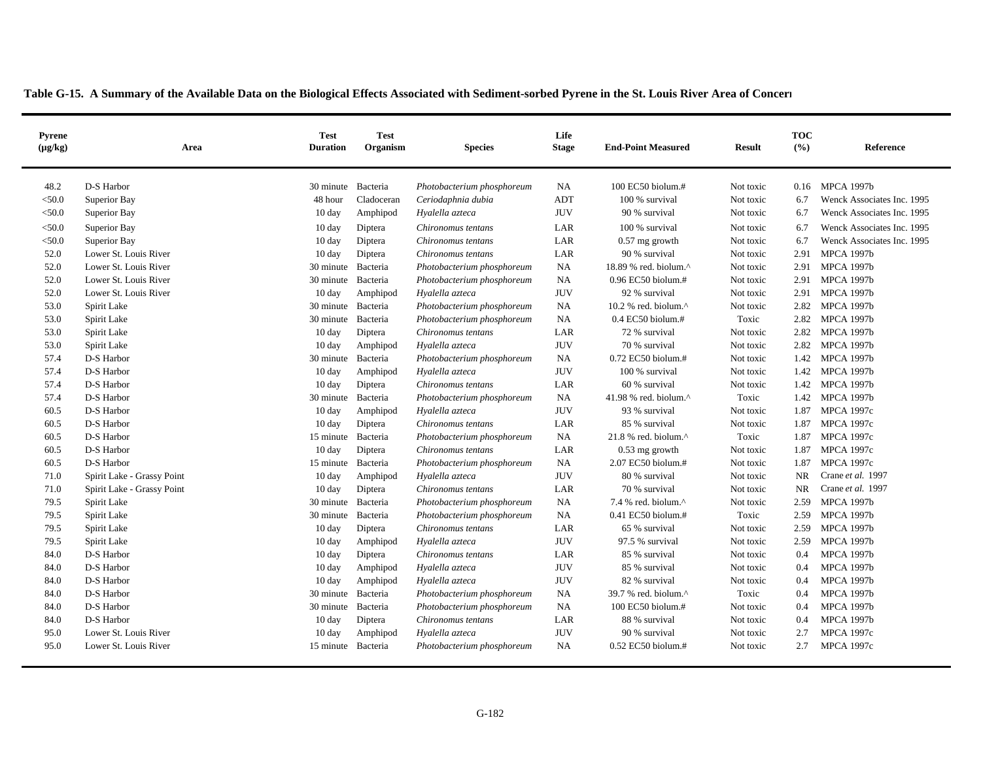| Pyrene<br>$(\mu g/kg)$ | Area                       | <b>Test</b><br><b>Duration</b> | <b>Test</b><br>Organism | <b>Species</b>             | Life<br><b>Stage</b> | <b>End-Point Measured</b>                           | <b>Result</b> | <b>TOC</b><br>(9/6) | Reference                  |
|------------------------|----------------------------|--------------------------------|-------------------------|----------------------------|----------------------|-----------------------------------------------------|---------------|---------------------|----------------------------|
| 48.2                   | D-S Harbor                 | 30 minute                      | Bacteria                | Photobacterium phosphoreum | <b>NA</b>            | 100 EC50 biolum.#                                   | Not toxic     |                     | 0.16 MPCA 1997b            |
| $<$ 50.0               | Superior Bay               | 48 hour                        | Cladoceran              | Ceriodaphnia dubia         | ADT                  | 100 % survival                                      | Not toxic     | 6.7                 | Wenck Associates Inc. 1995 |
| $<$ 50.0               | Superior Bay               | $10 \text{ day}$               | Amphipod                | Hyalella azteca            | <b>JUV</b>           | 90 % survival                                       | Not toxic     | 6.7                 | Wenck Associates Inc. 1995 |
| $<$ 50.0               | Superior Bay               | $10 \text{ day}$               | Diptera                 | Chironomus tentans         | LAR                  | 100 % survival                                      | Not toxic     | 6.7                 | Wenck Associates Inc. 1995 |
| $<$ 50.0               | Superior Bay               | $10 \text{ day}$               | Diptera                 | Chironomus tentans         | LAR                  | $0.57$ mg growth                                    | Not toxic     | 6.7                 | Wenck Associates Inc. 1995 |
| 52.0                   | Lower St. Louis River      | 10 day                         | Diptera                 | Chironomus tentans         | LAR                  | 90 % survival                                       | Not toxic     | 2.91                | <b>MPCA 1997b</b>          |
| 52.0                   | Lower St. Louis River      | 30 minute Bacteria             |                         | Photobacterium phosphoreum | <b>NA</b>            | 18.89 % red. biolum.^                               | Not toxic     | 2.91                | <b>MPCA 1997b</b>          |
| 52.0                   | Lower St. Louis River      | 30 minute                      | Bacteria                | Photobacterium phosphoreum | <b>NA</b>            | $0.96$ EC50 biolum.#                                | Not toxic     | 2.91                | <b>MPCA 1997b</b>          |
| 52.0                   | Lower St. Louis River      | $10 \text{ day}$               | Amphipod                | Hyalella azteca            | <b>JUV</b>           | 92 % survival                                       | Not toxic     | 2.91                | <b>MPCA 1997b</b>          |
| 53.0                   | Spirit Lake                | 30 minute                      | Bacteria                | Photobacterium phosphoreum | <b>NA</b>            | 10.2 % red. biolum.^                                | Not toxic     | 2.82                | <b>MPCA 1997b</b>          |
| 53.0                   | Spirit Lake                | 30 minute                      | Bacteria                | Photobacterium phosphoreum | <b>NA</b>            | $0.4$ EC50 biolum.#                                 | Toxic         | 2.82                | <b>MPCA 1997b</b>          |
| 53.0                   | Spirit Lake                | 10 day                         | Diptera                 | Chironomus tentans         | LAR                  | 72 % survival                                       | Not toxic     | 2.82                | <b>MPCA 1997b</b>          |
| 53.0                   | Spirit Lake                | $10 \text{ day}$               | Amphipod                | Hyalella azteca            | <b>JUV</b>           | 70 % survival                                       | Not toxic     | 2.82                | <b>MPCA 1997b</b>          |
| 57.4                   | D-S Harbor                 | 30 minute                      | Bacteria                | Photobacterium phosphoreum | <b>NA</b>            | $0.72$ EC50 biolum.#                                | Not toxic     | 1.42                | <b>MPCA 1997b</b>          |
| 57.4                   | D-S Harbor                 | $10 \text{ day}$               | Amphipod                | Hyalella azteca            | <b>JUV</b>           | 100 % survival                                      | Not toxic     | 1.42                | <b>MPCA 1997b</b>          |
| 57.4                   | D-S Harbor                 | $10 \text{ day}$               | Diptera                 | Chironomus tentans         | LAR                  | 60 % survival                                       | Not toxic     | 1.42                | <b>MPCA 1997b</b>          |
| 57.4                   | D-S Harbor                 | 30 minute                      | Bacteria                | Photobacterium phosphoreum | <b>NA</b>            | 41.98 % red. biolum. $\wedge$                       | Toxic         | 1.42                | <b>MPCA 1997b</b>          |
| 60.5                   | D-S Harbor                 | $10 \text{ day}$               | Amphipod                | Hyalella azteca            | <b>JUV</b>           | 93 % survival                                       | Not toxic     | 1.87                | <b>MPCA 1997c</b>          |
| 60.5                   | D-S Harbor                 | $10 \text{ day}$               | Diptera                 | Chironomus tentans         | LAR                  | 85 % survival                                       | Not toxic     | 1.87                | <b>MPCA 1997c</b>          |
| 60.5                   | D-S Harbor                 | 15 minute                      | Bacteria                | Photobacterium phosphoreum | <b>NA</b>            | $21.8$ % red. biolum. <sup><math>\land</math></sup> | Toxic         | 1.87                | <b>MPCA 1997c</b>          |
| 60.5                   | D-S Harbor                 | $10 \text{ day}$               | Diptera                 | Chironomus tentans         | LAR                  | $0.53$ mg growth                                    | Not toxic     | 1.87                | <b>MPCA 1997c</b>          |
| 60.5                   | D-S Harbor                 | 15 minute                      | Bacteria                | Photobacterium phosphoreum | <b>NA</b>            | 2.07 EC50 biolum.#                                  | Not toxic     | 1.87                | <b>MPCA 1997c</b>          |
| 71.0                   | Spirit Lake - Grassy Point | $10 \text{ day}$               | Amphipod                | Hyalella azteca            | <b>JUV</b>           | 80 % survival                                       | Not toxic     | <b>NR</b>           | Crane et al. 1997          |
| 71.0                   | Spirit Lake - Grassy Point | $10 \text{ day}$               | Diptera                 | Chironomus tentans         | LAR                  | 70 % survival                                       | Not toxic     | <b>NR</b>           | Crane et al. 1997          |
| 79.5                   | Spirit Lake                | 30 minute                      | Bacteria                | Photobacterium phosphoreum | <b>NA</b>            | 7.4 % red. biolum. $^{\wedge}$                      | Not toxic     | 2.59                | <b>MPCA 1997b</b>          |
| 79.5                   | Spirit Lake                | 30 minute Bacteria             |                         | Photobacterium phosphoreum | <b>NA</b>            | 0.41 EC50 biolum.#                                  | Toxic         | 2.59                | <b>MPCA 1997b</b>          |
| 79.5                   | Spirit Lake                | $10 \text{ day}$               | Diptera                 | Chironomus tentans         | LAR                  | 65 % survival                                       | Not toxic     | 2.59                | <b>MPCA 1997b</b>          |
| 79.5                   | Spirit Lake                | $10 \text{ day}$               | Amphipod                | Hyalella azteca            | <b>JUV</b>           | 97.5 % survival                                     | Not toxic     | 2.59                | <b>MPCA 1997b</b>          |
| 84.0                   | D-S Harbor                 | 10 day                         | Diptera                 | Chironomus tentans         | LAR                  | 85 % survival                                       | Not toxic     | 0.4                 | <b>MPCA 1997b</b>          |
| 84.0                   | D-S Harbor                 | $10 \text{ day}$               | Amphipod                | Hyalella azteca            | <b>JUV</b>           | 85 % survival                                       | Not toxic     | 0.4                 | <b>MPCA 1997b</b>          |
| 84.0                   | D-S Harbor                 | $10 \text{ day}$               | Amphipod                | Hyalella azteca            | <b>JUV</b>           | 82 % survival                                       | Not toxic     | 0.4                 | <b>MPCA 1997b</b>          |
| 84.0                   | D-S Harbor                 | 30 minute                      | Bacteria                | Photobacterium phosphoreum | <b>NA</b>            | 39.7 % red. biolum.^                                | Toxic         | 0.4                 | <b>MPCA 1997b</b>          |
| 84.0                   | D-S Harbor                 | 30 minute                      | Bacteria                | Photobacterium phosphoreum | NA                   | 100 EC50 biolum.#                                   | Not toxic     | 0.4                 | <b>MPCA 1997b</b>          |
| 84.0                   | D-S Harbor                 | $10 \text{ day}$               | Diptera                 | Chironomus tentans         | LAR                  | 88 % survival                                       | Not toxic     | 0.4                 | <b>MPCA 1997b</b>          |
| 95.0                   | Lower St. Louis River      | 10 day                         | Amphipod                | Hyalella azteca            | <b>JUV</b>           | 90 % survival                                       | Not toxic     | 2.7                 | <b>MPCA 1997c</b>          |
| 95.0                   | Lower St. Louis River      | 15 minute Bacteria             |                         | Photobacterium phosphoreum | <b>NA</b>            | 0.52 EC50 biolum.#                                  | Not toxic     | 2.7                 | <b>MPCA 1997c</b>          |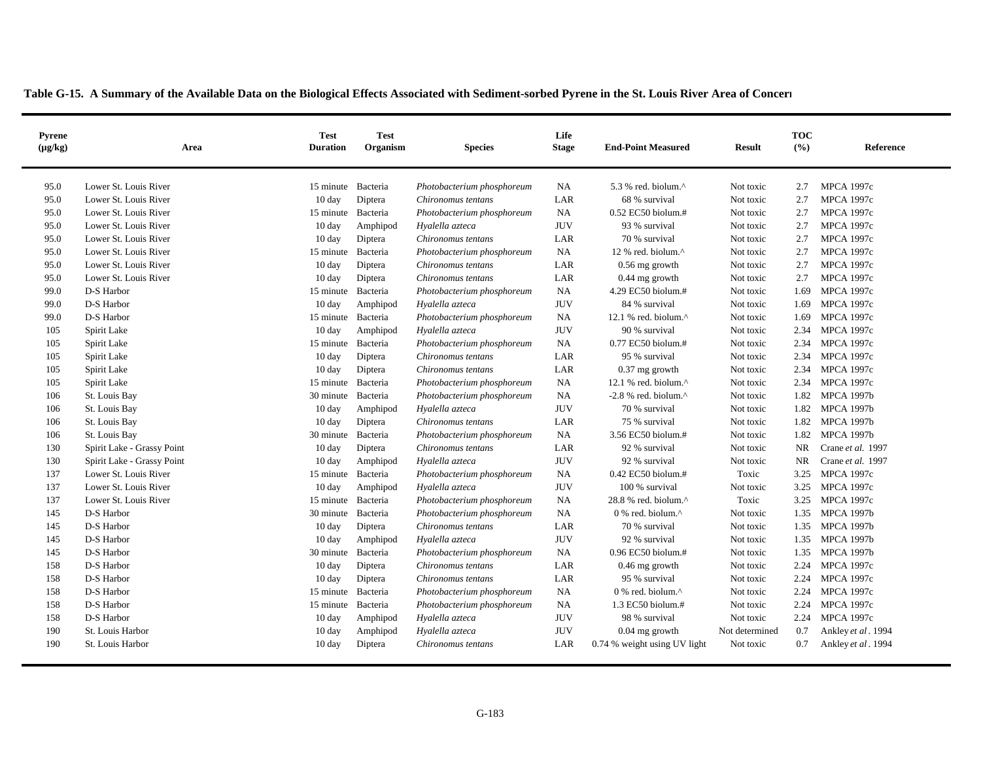| <b>Pyrene</b><br>$(\mu g/kg)$ | Area                       | <b>Test</b><br><b>Duration</b> | <b>Test</b><br>Organism | <b>Species</b>             | Life<br><b>Stage</b> | <b>End-Point Measured</b>                         | <b>Result</b>  | <b>TOC</b><br>(9/6) | Reference          |
|-------------------------------|----------------------------|--------------------------------|-------------------------|----------------------------|----------------------|---------------------------------------------------|----------------|---------------------|--------------------|
| 95.0                          | Lower St. Louis River      | 15 minute                      | Bacteria                | Photobacterium phosphoreum | <b>NA</b>            | 5.3 % red. biolum. $\wedge$                       | Not toxic      | 2.7                 | <b>MPCA 1997c</b>  |
| 95.0                          | Lower St. Louis River      | $10 \text{ day}$               | Diptera                 | Chironomus tentans         | LAR                  | 68 % survival                                     | Not toxic      | 2.7                 | <b>MPCA 1997c</b>  |
| 95.0                          | Lower St. Louis River      | 15 minute Bacteria             |                         | Photobacterium phosphoreum | NA                   | 0.52 EC50 biolum.#                                | Not toxic      | 2.7                 | <b>MPCA 1997c</b>  |
| 95.0                          | Lower St. Louis River      | $10 \text{ day}$               | Amphipod                | Hyalella azteca            | <b>JUV</b>           | 93 % survival                                     | Not toxic      | 2.7                 | <b>MPCA 1997c</b>  |
| 95.0                          | Lower St. Louis River      | $10 \text{ day}$               | Diptera                 | Chironomus tentans         | LAR                  | 70 % survival                                     | Not toxic      | 2.7                 | <b>MPCA 1997c</b>  |
| 95.0                          | Lower St. Louis River      | 15 minute                      | Bacteria                | Photobacterium phosphoreum | <b>NA</b>            | 12 % red. biolum. $\wedge$                        | Not toxic      | 2.7                 | <b>MPCA 1997c</b>  |
| 95.0                          | Lower St. Louis River      | $10 \text{ day}$               | Diptera                 | Chironomus tentans         | LAR                  | $0.56$ mg growth                                  | Not toxic      | 2.7                 | <b>MPCA 1997c</b>  |
| 95.0                          | Lower St. Louis River      | $10 \text{ day}$               | Diptera                 | Chironomus tentans         | LAR                  | 0.44 mg growth                                    | Not toxic      | 2.7                 | <b>MPCA 1997c</b>  |
| 99.0                          | D-S Harbor                 | 15 minute                      | Bacteria                | Photobacterium phosphoreum | <b>NA</b>            | 4.29 EC50 biolum.#                                | Not toxic      | 1.69                | <b>MPCA 1997c</b>  |
| 99.0                          | D-S Harbor                 | $10 \text{ day}$               | Amphipod                | Hyalella azteca            | <b>JUV</b>           | 84 % survival                                     | Not toxic      | 1.69                | <b>MPCA 1997c</b>  |
| 99.0                          | D-S Harbor                 | 15 minute                      | Bacteria                | Photobacterium phosphoreum | <b>NA</b>            | 12.1 % red. biolum. $^{\wedge}$                   | Not toxic      | 1.69                | <b>MPCA 1997c</b>  |
| 105                           | Spirit Lake                | $10 \text{ day}$               | Amphipod                | Hyalella azteca            | <b>JUV</b>           | 90 % survival                                     | Not toxic      | 2.34                | <b>MPCA 1997c</b>  |
| 105                           | Spirit Lake                | 15 minute                      | Bacteria                | Photobacterium phosphoreum | <b>NA</b>            | 0.77 EC50 biolum.#                                | Not toxic      | 2.34                | <b>MPCA 1997c</b>  |
| 105                           | Spirit Lake                | $10 \text{ day}$               | Diptera                 | Chironomus tentans         | LAR                  | 95 % survival                                     | Not toxic      | 2.34                | <b>MPCA 1997c</b>  |
| 105                           | Spirit Lake                | $10 \text{ day}$               | Diptera                 | Chironomus tentans         | LAR                  | $0.37$ mg growth                                  | Not toxic      | 2.34                | <b>MPCA 1997c</b>  |
| 105                           | Spirit Lake                | 15 minute Bacteria             |                         | Photobacterium phosphoreum | NA                   | 12.1 % red. biolum. $^{\wedge}$                   | Not toxic      | 2.34                | <b>MPCA 1997c</b>  |
| 106                           | St. Louis Bay              | 30 minute                      | Bacteria                | Photobacterium phosphoreum | <b>NA</b>            | $-2.8$ % red. biolum. $^{\wedge}$                 | Not toxic      | 1.82                | <b>MPCA 1997b</b>  |
| 106                           | St. Louis Bay              | $10 \text{ day}$               | Amphipod                | Hyalella azteca            | <b>JUV</b>           | 70 % survival                                     | Not toxic      | 1.82                | <b>MPCA 1997b</b>  |
| 106                           | St. Louis Bay              | $10 \text{ day}$               | Diptera                 | Chironomus tentans         | LAR                  | 75 % survival                                     | Not toxic      | 1.82                | <b>MPCA 1997b</b>  |
| 106                           | St. Louis Bay              | 30 minute                      | Bacteria                | Photobacterium phosphoreum | <b>NA</b>            | 3.56 EC50 biolum.#                                | Not toxic      | 1.82                | <b>MPCA 1997b</b>  |
| 130                           | Spirit Lake - Grassy Point | 10 day                         | Diptera                 | Chironomus tentans         | LAR                  | 92 % survival                                     | Not toxic      | <b>NR</b>           | Crane et al. 1997  |
| 130                           | Spirit Lake - Grassy Point | $10 \text{ day}$               | Amphipod                | Hyalella azteca            | <b>JUV</b>           | 92 % survival                                     | Not toxic      | NR                  | Crane et al. 1997  |
| 137                           | Lower St. Louis River      | 15 minute                      | Bacteria                | Photobacterium phosphoreum | <b>NA</b>            | $0.42$ EC50 biolum.#                              | Toxic          | 3.25                | <b>MPCA 1997c</b>  |
| 137                           | Lower St. Louis River      | $10 \text{ day}$               | Amphipod                | Hyalella azteca            | <b>JUV</b>           | 100 % survival                                    | Not toxic      | 3.25                | <b>MPCA 1997c</b>  |
| 137                           | Lower St. Louis River      | 15 minute                      | Bacteria                | Photobacterium phosphoreum | <b>NA</b>            | 28.8 % red. biolum.^                              | Toxic          | 3.25                | <b>MPCA 1997c</b>  |
| 145                           | D-S Harbor                 | 30 minute Bacteria             |                         | Photobacterium phosphoreum | <b>NA</b>            | $0$ % red. biolum. <sup><math>\wedge</math></sup> | Not toxic      | 1.35                | <b>MPCA 1997b</b>  |
| 145                           | D-S Harbor                 | $10 \text{ day}$               | Diptera                 | Chironomus tentans         | LAR                  | 70 % survival                                     | Not toxic      | 1.35                | <b>MPCA 1997b</b>  |
| 145                           | D-S Harbor                 | $10 \text{ day}$               | Amphipod                | Hyalella azteca            | <b>JUV</b>           | 92 % survival                                     | Not toxic      | 1.35                | <b>MPCA 1997b</b>  |
| 145                           | D-S Harbor                 | 30 minute                      | Bacteria                | Photobacterium phosphoreum | <b>NA</b>            | 0.96 EC50 biolum.#                                | Not toxic      | 1.35                | <b>MPCA 1997b</b>  |
| 158                           | D-S Harbor                 | 10 day                         | Diptera                 | Chironomus tentans         | LAR                  | $0.46$ mg growth                                  | Not toxic      | 2.24                | <b>MPCA 1997c</b>  |
| 158                           | D-S Harbor                 | $10 \text{ day}$               | Diptera                 | Chironomus tentans         | LAR                  | 95 % survival                                     | Not toxic      | 2.24                | <b>MPCA 1997c</b>  |
| 158                           | D-S Harbor                 | 15 minute                      | Bacteria                | Photobacterium phosphoreum | <b>NA</b>            | $0\%$ red. biolum. <sup><math>\land</math></sup>  | Not toxic      | 2.24                | <b>MPCA 1997c</b>  |
| 158                           | D-S Harbor                 | 15 minute                      | Bacteria                | Photobacterium phosphoreum | <b>NA</b>            | 1.3 EC50 biolum.#                                 | Not toxic      | 2.24                | <b>MPCA 1997c</b>  |
| 158                           | D-S Harbor                 | 10 day                         | Amphipod                | Hyalella azteca            | <b>JUV</b>           | 98 % survival                                     | Not toxic      | 2.24                | <b>MPCA 1997c</b>  |
| 190                           | St. Louis Harbor           | $10 \text{ day}$               | Amphipod                | Hyalella azteca            | <b>JUV</b>           | $0.04$ mg growth                                  | Not determined | 0.7                 | Ankley et al. 1994 |
| 190                           | St. Louis Harbor           | $10 \text{ day}$               | Diptera                 | Chironomus tentans         | LAR                  | 0.74 % weight using UV light                      | Not toxic      | 0.7                 | Ankley et al. 1994 |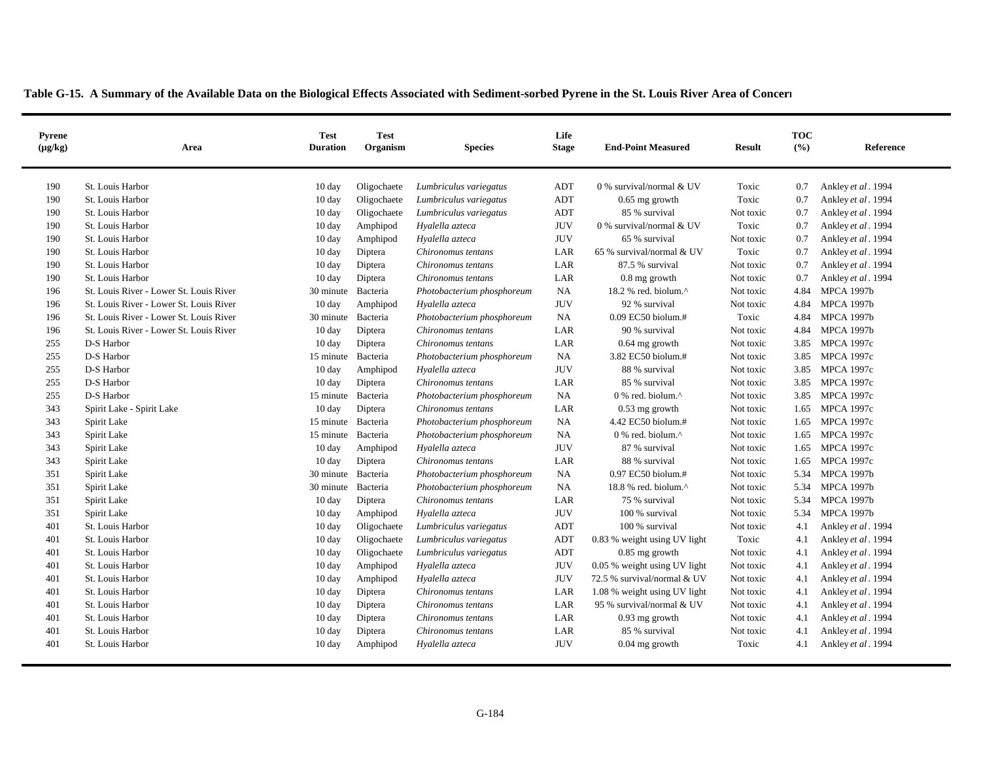| <b>Pyrene</b><br>$(\mu g/kg)$ | Area                                    | <b>Test</b><br><b>Duration</b> | <b>Test</b><br>Organism | <b>Species</b>             | Life<br><b>Stage</b> | <b>End-Point Measured</b>                         | <b>Result</b> | <b>TOC</b><br>(9/6) | Reference          |
|-------------------------------|-----------------------------------------|--------------------------------|-------------------------|----------------------------|----------------------|---------------------------------------------------|---------------|---------------------|--------------------|
| 190                           | St. Louis Harbor                        | $10 \text{ day}$               | Oligochaete             | Lumbriculus variegatus     | ADT                  | 0 % survival/normal & UV                          | Toxic         | 0.7                 | Ankley et al. 1994 |
| 190                           | St. Louis Harbor                        | $10 \text{ day}$               | Oligochaete             | Lumbriculus variegatus     | ADT                  | $0.65$ mg growth                                  | Toxic         | 0.7                 | Ankley et al. 1994 |
| 190                           | St. Louis Harbor                        | 10 day                         | Oligochaete             | Lumbriculus variegatus     | ADT                  | 85 % survival                                     | Not toxic     | 0.7                 | Ankley et al. 1994 |
| 190                           | St. Louis Harbor                        | $10 \text{ day}$               | Amphipod                | Hyalella azteca            | <b>JUV</b>           | 0 % survival/normal & UV                          | Toxic         | 0.7                 | Ankley et al. 1994 |
| 190                           | St. Louis Harbor                        | $10 \text{ day}$               | Amphipod                | Hyalella azteca            | <b>JUV</b>           | 65 % survival                                     | Not toxic     | 0.7                 | Ankley et al. 1994 |
| 190                           | St. Louis Harbor                        | $10 \text{ day}$               | Diptera                 | Chironomus tentans         | LAR                  | 65 % survival/normal & UV                         | Toxic         | 0.7                 | Ankley et al. 1994 |
| 190                           | St. Louis Harbor                        | 10 day                         | Diptera                 | Chironomus tentans         | LAR                  | 87.5 % survival                                   | Not toxic     | 0.7                 | Ankley et al. 1994 |
| 190                           | St. Louis Harbor                        | $10 \text{ day}$               | Diptera                 | Chironomus tentans         | LAR                  | $0.8$ mg growth                                   | Not toxic     | 0.7                 | Ankley et al. 1994 |
| 196                           | St. Louis River - Lower St. Louis River | 30 minute                      | Bacteria                | Photobacterium phosphoreum | <b>NA</b>            | 18.2 % red. biolum.^                              | Not toxic     | 4.84                | <b>MPCA 1997b</b>  |
| 196                           | St. Louis River - Lower St. Louis River | $10 \text{ day}$               | Amphipod                | Hyalella azteca            | <b>JUV</b>           | 92 % survival                                     | Not toxic     | 4.84                | <b>MPCA 1997b</b>  |
| 196                           | St. Louis River - Lower St. Louis River | 30 minute                      | Bacteria                | Photobacterium phosphoreum | <b>NA</b>            | $0.09$ EC50 biolum.#                              | Toxic         | 4.84                | <b>MPCA 1997b</b>  |
| 196                           | St. Louis River - Lower St. Louis River | $10 \text{ day}$               | Diptera                 | Chironomus tentans         | LAR                  | 90 % survival                                     | Not toxic     | 4.84                | <b>MPCA 1997b</b>  |
| 255                           | D-S Harbor                              | $10 \text{ day}$               | Diptera                 | Chironomus tentans         | LAR                  | $0.64$ mg growth                                  | Not toxic     | 3.85                | <b>MPCA 1997c</b>  |
| 255                           | D-S Harbor                              | 15 minute                      | Bacteria                | Photobacterium phosphoreum | <b>NA</b>            | 3.82 EC50 biolum.#                                | Not toxic     | 3.85                | <b>MPCA 1997c</b>  |
| 255                           | D-S Harbor                              | $10 \text{ day}$               | Amphipod                | Hyalella azteca            | <b>JUV</b>           | 88 % survival                                     | Not toxic     | 3.85                | <b>MPCA 1997c</b>  |
| 255                           | D-S Harbor                              | 10 day                         | Diptera                 | Chironomus tentans         | LAR                  | 85 % survival                                     | Not toxic     | 3.85                | <b>MPCA 1997c</b>  |
| 255                           | D-S Harbor                              | 15 minute                      | Bacteria                | Photobacterium phosphoreum | <b>NA</b>            | 0 % red. biolum.^                                 | Not toxic     | 3.85                | <b>MPCA 1997c</b>  |
| 343                           | Spirit Lake - Spirit Lake               | $10 \text{ day}$               | Diptera                 | Chironomus tentans         | LAR                  | $0.53$ mg growth                                  | Not toxic     | 1.65                | <b>MPCA 1997c</b>  |
| 343                           | Spirit Lake                             | 15 minute                      | Bacteria                | Photobacterium phosphoreum | <b>NA</b>            | 4.42 EC50 biolum.#                                | Not toxic     | 1.65                | <b>MPCA 1997c</b>  |
| 343                           | Spirit Lake                             | 15 minute                      | Bacteria                | Photobacterium phosphoreum | <b>NA</b>            | $0$ % red. biolum. <sup><math>\wedge</math></sup> | Not toxic     | 1.65                | <b>MPCA 1997c</b>  |
| 343                           | Spirit Lake                             | 10 day                         | Amphipod                | Hyalella azteca            | <b>JUV</b>           | 87 % survival                                     | Not toxic     | 1.65                | <b>MPCA 1997c</b>  |
| 343                           | Spirit Lake                             | $10 \text{ day}$               | Diptera                 | Chironomus tentans         | LAR                  | 88 % survival                                     | Not toxic     | 1.65                | <b>MPCA 1997c</b>  |
| 351                           | Spirit Lake                             | 30 minute Bacteria             |                         | Photobacterium phosphoreum | <b>NA</b>            | $0.97$ EC50 biolum.#                              | Not toxic     | 5.34                | <b>MPCA 1997b</b>  |
| 351                           | Spirit Lake                             | 30 minute                      | Bacteria                | Photobacterium phosphoreum | <b>NA</b>            | 18.8 % red. biolum. $^{\wedge}$                   | Not toxic     | 5.34                | <b>MPCA 1997b</b>  |
| 351                           | Spirit Lake                             | 10 day                         | Diptera                 | Chironomus tentans         | LAR                  | 75 % survival                                     | Not toxic     | 5.34                | <b>MPCA 1997b</b>  |
| 351                           | Spirit Lake                             | $10 \text{ day}$               | Amphipod                | Hyalella azteca            | <b>JUV</b>           | 100 % survival                                    | Not toxic     | 5.34                | <b>MPCA 1997b</b>  |
| 401                           | St. Louis Harbor                        | $10 \text{ day}$               | Oligochaete             | Lumbriculus variegatus     | ADT                  | 100 % survival                                    | Not toxic     | 4.1                 | Ankley et al. 1994 |
| 401                           | St. Louis Harbor                        | $10 \text{ day}$               | Oligochaete             | Lumbriculus variegatus     | ADT                  | 0.83 % weight using UV light                      | Toxic         | 4.1                 | Ankley et al. 1994 |
| 401                           | St. Louis Harbor                        | 10 day                         | Oligochaete             | Lumbriculus variegatus     | ADT                  | $0.85$ mg growth                                  | Not toxic     | 4.1                 | Ankley et al. 1994 |
| 401                           | St. Louis Harbor                        | 10 day                         | Amphipod                | Hyalella azteca            | <b>JUV</b>           | 0.05 % weight using UV light                      | Not toxic     | 4.1                 | Ankley et al. 1994 |
| 401                           | St. Louis Harbor                        | $10 \text{ day}$               | Amphipod                | Hyalella azteca            | <b>JUV</b>           | 72.5 % survival/normal & UV                       | Not toxic     | 4.1                 | Ankley et al. 1994 |
| 401                           | St. Louis Harbor                        | $10 \text{ day}$               | Diptera                 | Chironomus tentans         | LAR                  | 1.08 % weight using UV light                      | Not toxic     | 4.1                 | Ankley et al. 1994 |
| 401                           | St. Louis Harbor                        | $10 \text{ day}$               | Diptera                 | Chironomus tentans         | LAR                  | 95 % survival/normal & UV                         | Not toxic     | 4.1                 | Ankley et al. 1994 |
| 401                           | St. Louis Harbor                        | 10 day                         | Diptera                 | Chironomus tentans         | LAR                  | $0.93$ mg growth                                  | Not toxic     | 4.1                 | Ankley et al. 1994 |
| 401                           | St. Louis Harbor                        | 10 day                         | Diptera                 | Chironomus tentans         | LAR                  | 85 % survival                                     | Not toxic     | 4.1                 | Ankley et al. 1994 |
| 401                           | St. Louis Harbor                        | $10 \text{ day}$               | Amphipod                | Hyalella azteca            | <b>JUV</b>           | $0.04$ mg growth                                  | Toxic         | 4.1                 | Ankley et al. 1994 |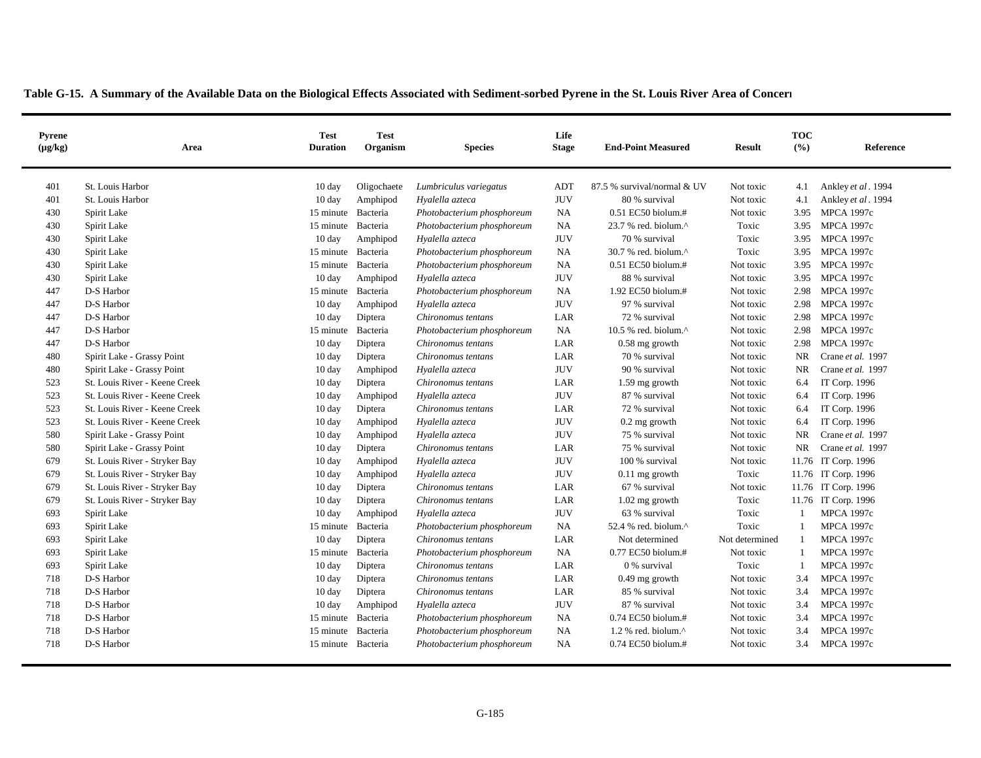| Pyrene<br>$(\mu g/kg)$ | Area                          | <b>Test</b><br><b>Duration</b> | <b>Test</b><br>Organism | <b>Species</b>             | Life<br><b>Stage</b> | <b>End-Point Measured</b>       | <b>Result</b>  | <b>TOC</b><br>(9/6) | Reference           |
|------------------------|-------------------------------|--------------------------------|-------------------------|----------------------------|----------------------|---------------------------------|----------------|---------------------|---------------------|
| 401                    | St. Louis Harbor              | $10 \text{ day}$               | Oligochaete             | Lumbriculus variegatus     | ADT                  | 87.5 % survival/normal & UV     | Not toxic      | 4.1                 | Ankley et al. 1994  |
| 401                    | St. Louis Harbor              | $10 \text{ day}$               | Amphipod                | Hyalella azteca            | <b>JUV</b>           | 80 % survival                   | Not toxic      | 4.1                 | Ankley et al. 1994  |
| 430                    | Spirit Lake                   | 15 minute Bacteria             |                         | Photobacterium phosphoreum | <b>NA</b>            | $0.51$ EC50 biolum.#            | Not toxic      | 3.95                | <b>MPCA 1997c</b>   |
| 430                    | Spirit Lake                   | 15 minute                      | Bacteria                | Photobacterium phosphoreum | <b>NA</b>            | 23.7 % red. biolum.^            | Toxic          | 3.95                | <b>MPCA 1997c</b>   |
| 430                    | Spirit Lake                   | 10 day                         | Amphipod                | Hyalella azteca            | <b>JUV</b>           | 70 % survival                   | Toxic          | 3.95                | <b>MPCA 1997c</b>   |
| 430                    | Spirit Lake                   | 15 minute                      | Bacteria                | Photobacterium phosphoreum | <b>NA</b>            | 30.7 % red. biolum.^            | Toxic          | 3.95                | <b>MPCA 1997c</b>   |
| 430                    | Spirit Lake                   | 15 minute                      | Bacteria                | Photobacterium phosphoreum | <b>NA</b>            | $0.51$ EC50 biolum.#            | Not toxic      | 3.95                | <b>MPCA 1997c</b>   |
| 430                    | Spirit Lake                   | $10 \text{ day}$               | Amphipod                | Hyalella azteca            | <b>JUV</b>           | 88 % survival                   | Not toxic      | 3.95                | <b>MPCA 1997c</b>   |
| 447                    | D-S Harbor                    | 15 minute                      | Bacteria                | Photobacterium phosphoreum | <b>NA</b>            | 1.92 EC50 biolum.#              | Not toxic      | 2.98                | <b>MPCA 1997c</b>   |
| 447                    | D-S Harbor                    | $10 \text{ day}$               | Amphipod                | Hyalella azteca            | <b>JUV</b>           | 97 % survival                   | Not toxic      | 2.98                | <b>MPCA 1997c</b>   |
| 447                    | D-S Harbor                    | $10 \text{ day}$               | Diptera                 | Chironomus tentans         | LAR                  | 72 % survival                   | Not toxic      | 2.98                | <b>MPCA 1997c</b>   |
| 447                    | D-S Harbor                    | 15 minute                      | Bacteria                | Photobacterium phosphoreum | <b>NA</b>            | 10.5 % red. biolum. $^{\wedge}$ | Not toxic      | 2.98                | <b>MPCA 1997c</b>   |
| 447                    | D-S Harbor                    | 10 day                         | Diptera                 | Chironomus tentans         | LAR                  | $0.58$ mg growth                | Not toxic      | 2.98                | <b>MPCA 1997c</b>   |
| 480                    | Spirit Lake - Grassy Point    | 10 day                         | Diptera                 | Chironomus tentans         | LAR                  | 70 % survival                   | Not toxic      | <b>NR</b>           | Crane et al. 1997   |
| 480                    | Spirit Lake - Grassy Point    | 10 day                         | Amphipod                | Hyalella azteca            | <b>JUV</b>           | 90 % survival                   | Not toxic      | <b>NR</b>           | Crane et al. 1997   |
| 523                    | St. Louis River - Keene Creek | $10 \text{ day}$               | Diptera                 | Chironomus tentans         | LAR                  | 1.59 mg growth                  | Not toxic      | 6.4                 | IT Corp. 1996       |
| 523                    | St. Louis River - Keene Creek | $10 \text{ day}$               | Amphipod                | Hyalella azteca            | <b>JUV</b>           | 87 % survival                   | Not toxic      | 6.4                 | IT Corp. 1996       |
| 523                    | St. Louis River - Keene Creek | 10 day                         | Diptera                 | Chironomus tentans         | LAR                  | 72 % survival                   | Not toxic      | 6.4                 | IT Corp. 1996       |
| 523                    | St. Louis River - Keene Creek | 10 day                         | Amphipod                | Hyalella azteca            | <b>JUV</b>           | $0.2$ mg growth                 | Not toxic      | 6.4                 | IT Corp. 1996       |
| 580                    | Spirit Lake - Grassy Point    | $10 \text{ day}$               | Amphipod                | Hyalella azteca            | <b>JUV</b>           | 75 % survival                   | Not toxic      | <b>NR</b>           | Crane et al. 1997   |
| 580                    | Spirit Lake - Grassy Point    | $10 \text{ day}$               | Diptera                 | Chironomus tentans         | LAR                  | 75 % survival                   | Not toxic      | NR                  | Crane et al. 1997   |
| 679                    | St. Louis River - Stryker Bay | $10 \text{ day}$               | Amphipod                | Hyalella azteca            | <b>JUV</b>           | 100 % survival                  | Not toxic      |                     | 11.76 IT Corp. 1996 |
| 679                    | St. Louis River - Stryker Bay | 10 day                         | Amphipod                | Hyalella azteca            | <b>JUV</b>           | $0.11$ mg growth                | Toxic          |                     | 11.76 IT Corp. 1996 |
| 679                    | St. Louis River - Stryker Bay | 10 day                         | Diptera                 | Chironomus tentans         | LAR                  | 67 % survival                   | Not toxic      |                     | 11.76 IT Corp. 1996 |
| 679                    | St. Louis River - Stryker Bay | $10 \text{ day}$               | Diptera                 | Chironomus tentans         | LAR                  | $1.02$ mg growth                | Toxic          |                     | 11.76 IT Corp. 1996 |
| 693                    | Spirit Lake                   | 10 day                         | Amphipod                | Hyalella azteca            | <b>JUV</b>           | 63 % survival                   | Toxic          |                     | <b>MPCA 1997c</b>   |
| 693                    | Spirit Lake                   | 15 minute                      | Bacteria                | Photobacterium phosphoreum | <b>NA</b>            | 52.4 % red. biolum. $^{\wedge}$ | Toxic          | -1                  | <b>MPCA 1997c</b>   |
| 693                    | Spirit Lake                   | $10 \text{ day}$               | Diptera                 | Chironomus tentans         | LAR                  | Not determined                  | Not determined |                     | <b>MPCA 1997c</b>   |
| 693                    | Spirit Lake                   | 15 minute                      | Bacteria                | Photobacterium phosphoreum | <b>NA</b>            | $0.77$ EC50 biolum.#            | Not toxic      | -1                  | <b>MPCA 1997c</b>   |
| 693                    | Spirit Lake                   | 10 day                         | Diptera                 | Chironomus tentans         | LAR                  | 0 % survival                    | Toxic          | -1                  | <b>MPCA 1997c</b>   |
| 718                    | D-S Harbor                    | $10 \text{ day}$               | Diptera                 | Chironomus tentans         | LAR                  | $0.49$ mg growth                | Not toxic      | 3.4                 | <b>MPCA 1997c</b>   |
| 718                    | D-S Harbor                    | $10 \text{ day}$               | Diptera                 | Chironomus tentans         | LAR                  | 85 % survival                   | Not toxic      | 3.4                 | <b>MPCA 1997c</b>   |
| 718                    | D-S Harbor                    | 10 day                         | Amphipod                | Hyalella azteca            | <b>JUV</b>           | 87 % survival                   | Not toxic      | 3.4                 | <b>MPCA 1997c</b>   |
| 718                    | D-S Harbor                    | 15 minute Bacteria             |                         | Photobacterium phosphoreum | <b>NA</b>            | 0.74 EC50 biolum.#              | Not toxic      | 3.4                 | <b>MPCA 1997c</b>   |
| 718                    | D-S Harbor                    | 15 minute                      | Bacteria                | Photobacterium phosphoreum | <b>NA</b>            | 1.2 % red. biolum.^             | Not toxic      | 3.4                 | <b>MPCA 1997c</b>   |
| 718                    | D-S Harbor                    | 15 minute Bacteria             |                         | Photobacterium phosphoreum | <b>NA</b>            | $0.74$ EC50 biolum.#            | Not toxic      | 3.4                 | <b>MPCA 1997c</b>   |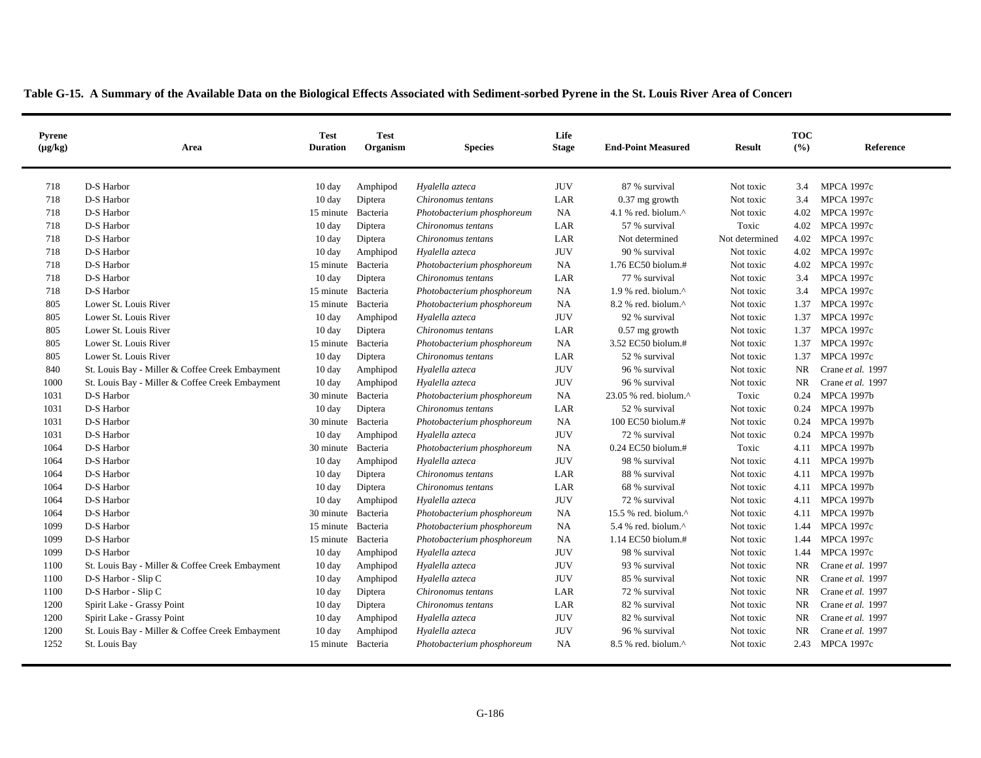| Pyrene<br>$(\mu g/kg)$ | Area                                            | <b>Test</b><br><b>Duration</b> | <b>Test</b><br>Organism | <b>Species</b>             | Life<br><b>Stage</b> | <b>End-Point Measured</b>                          | <b>Result</b>  | <b>TOC</b><br>$($ %) | Reference         |
|------------------------|-------------------------------------------------|--------------------------------|-------------------------|----------------------------|----------------------|----------------------------------------------------|----------------|----------------------|-------------------|
| 718                    | D-S Harbor                                      | 10 day                         | Amphipod                | Hyalella azteca            | <b>JUV</b>           | 87 % survival                                      | Not toxic      | 3.4                  | <b>MPCA 1997c</b> |
| 718                    | D-S Harbor                                      | $10 \text{ day}$               | Diptera                 | Chironomus tentans         | LAR                  | $0.37$ mg growth                                   | Not toxic      | 3.4                  | <b>MPCA 1997c</b> |
| 718                    | D-S Harbor                                      | 15 minute                      | Bacteria                | Photobacterium phosphoreum | NA                   | 4.1 % red. biolum. $^{\wedge}$                     | Not toxic      | 4.02                 | <b>MPCA 1997c</b> |
| 718                    | D-S Harbor                                      | $10 \text{ day}$               | Diptera                 | Chironomus tentans         | LAR                  | 57 % survival                                      | Toxic          | 4.02                 | <b>MPCA 1997c</b> |
| 718                    | D-S Harbor                                      | 10 day                         | Diptera                 | Chironomus tentans         | LAR                  | Not determined                                     | Not determined | 4.02                 | <b>MPCA 1997c</b> |
| 718                    | D-S Harbor                                      | 10 day                         | Amphipod                | Hyalella azteca            | <b>JUV</b>           | 90 % survival                                      | Not toxic      | 4.02                 | <b>MPCA 1997c</b> |
| 718                    | D-S Harbor                                      | 15 minute                      | Bacteria                | Photobacterium phosphoreum | <b>NA</b>            | 1.76 EC50 biolum.#                                 | Not toxic      | 4.02                 | <b>MPCA 1997c</b> |
| 718                    | D-S Harbor                                      | $10 \text{ day}$               | Diptera                 | Chironomus tentans         | LAR                  | 77 % survival                                      | Not toxic      | 3.4                  | <b>MPCA 1997c</b> |
| 718                    | D-S Harbor                                      | 15 minute                      | Bacteria                | Photobacterium phosphoreum | <b>NA</b>            | 1.9 % red. biolum. $^{\wedge}$                     | Not toxic      | 3.4                  | <b>MPCA 1997c</b> |
| 805                    | Lower St. Louis River                           | 15 minute                      | Bacteria                | Photobacterium phosphoreum | NA                   | 8.2 % red. biolum.^                                | Not toxic      | 1.37                 | <b>MPCA 1997c</b> |
| 805                    | Lower St. Louis River                           | $10 \text{ day}$               | Amphipod                | Hyalella azteca            | <b>JUV</b>           | 92 % survival                                      | Not toxic      | 1.37                 | <b>MPCA 1997c</b> |
| 805                    | Lower St. Louis River                           | $10 \text{ day}$               | Diptera                 | Chironomus tentans         | LAR                  | $0.57$ mg growth                                   | Not toxic      | 1.37                 | <b>MPCA 1997c</b> |
| 805                    | Lower St. Louis River                           | 15 minute                      | Bacteria                | Photobacterium phosphoreum | <b>NA</b>            | 3.52 EC50 biolum.#                                 | Not toxic      | 1.37                 | <b>MPCA 1997c</b> |
| 805                    | Lower St. Louis River                           | $10 \text{ day}$               | Diptera                 | Chironomus tentans         | LAR                  | 52 % survival                                      | Not toxic      | 1.37                 | <b>MPCA 1997c</b> |
| 840                    | St. Louis Bay - Miller & Coffee Creek Embayment | $10 \text{ day}$               | Amphipod                | Hyalella azteca            | <b>JUV</b>           | 96 % survival                                      | Not toxic      | <b>NR</b>            | Crane et al. 1997 |
| 1000                   | St. Louis Bay - Miller & Coffee Creek Embayment | $10 \text{ day}$               | Amphipod                | Hyalella azteca            | <b>JUV</b>           | 96 % survival                                      | Not toxic      | <b>NR</b>            | Crane et al. 1997 |
| 1031                   | D-S Harbor                                      | 30 minute                      | Bacteria                | Photobacterium phosphoreum | NA                   | 23.05 % red. biolum.^                              | Toxic          | 0.24                 | <b>MPCA 1997b</b> |
| 1031                   | D-S Harbor                                      | $10 \text{ day}$               | Diptera                 | Chironomus tentans         | LAR                  | 52 % survival                                      | Not toxic      | 0.24                 | <b>MPCA 1997b</b> |
| 1031                   | D-S Harbor                                      | 30 minute Bacteria             |                         | Photobacterium phosphoreum | NA                   | 100 EC50 biolum.#                                  | Not toxic      | 0.24                 | <b>MPCA 1997b</b> |
| 1031                   | D-S Harbor                                      | $10 \text{ day}$               | Amphipod                | Hyalella azteca            | <b>JUV</b>           | 72 % survival                                      | Not toxic      | 0.24                 | <b>MPCA 1997b</b> |
| 1064                   | D-S Harbor                                      | 30 minute Bacteria             |                         | Photobacterium phosphoreum | <b>NA</b>            | $0.24$ EC50 biolum.#                               | Toxic          | 4.11                 | <b>MPCA 1997b</b> |
| 1064                   | D-S Harbor                                      | $10 \text{ day}$               | Amphipod                | Hyalella azteca            | <b>JUV</b>           | 98 % survival                                      | Not toxic      | 4.11                 | <b>MPCA 1997b</b> |
| 1064                   | D-S Harbor                                      | 10 day                         | Diptera                 | Chironomus tentans         | LAR                  | 88 % survival                                      | Not toxic      | 4.11                 | <b>MPCA 1997b</b> |
| 1064                   | D-S Harbor                                      | 10 day                         | Diptera                 | Chironomus tentans         | LAR                  | 68 % survival                                      | Not toxic      | 4.11                 | <b>MPCA 1997b</b> |
| 1064                   | D-S Harbor                                      | $10 \text{ day}$               | Amphipod                | Hyalella azteca            | <b>JUV</b>           | 72 % survival                                      | Not toxic      | 4.11                 | <b>MPCA 1997b</b> |
| 1064                   | D-S Harbor                                      | 30 minute                      | Bacteria                | Photobacterium phosphoreum | $\rm NA$             | 15.5 % red. biolum.^                               | Not toxic      | 4.11                 | <b>MPCA 1997b</b> |
| 1099                   | D-S Harbor                                      | 15 minute                      | Bacteria                | Photobacterium phosphoreum | NA                   | 5.4 % red. biolum.^                                | Not toxic      | 1.44                 | <b>MPCA 1997c</b> |
| 1099                   | D-S Harbor                                      | 15 minute                      | Bacteria                | Photobacterium phosphoreum | NA                   | 1.14 EC50 biolum.#                                 | Not toxic      | 1.44                 | <b>MPCA 1997c</b> |
| 1099                   | D-S Harbor                                      | $10 \text{ day}$               | Amphipod                | Hyalella azteca            | <b>JUV</b>           | 98 % survival                                      | Not toxic      | 1.44                 | <b>MPCA 1997c</b> |
| 1100                   | St. Louis Bay - Miller & Coffee Creek Embayment | $10 \text{ day}$               | Amphipod                | Hyalella azteca            | <b>JUV</b>           | 93 % survival                                      | Not toxic      | <b>NR</b>            | Crane et al. 1997 |
| 1100                   | D-S Harbor - Slip C                             | $10 \text{ day}$               | Amphipod                | Hyalella azteca            | <b>JUV</b>           | 85 % survival                                      | Not toxic      | <b>NR</b>            | Crane et al. 1997 |
| 1100                   | D-S Harbor - Slip C                             | 10 day                         | Diptera                 | Chironomus tentans         | LAR                  | 72 % survival                                      | Not toxic      | <b>NR</b>            | Crane et al. 1997 |
| 1200                   | Spirit Lake - Grassy Point                      | 10 day                         | Diptera                 | Chironomus tentans         | LAR                  | 82 % survival                                      | Not toxic      | <b>NR</b>            | Crane et al. 1997 |
| 1200                   | Spirit Lake - Grassy Point                      | $10 \text{ day}$               | Amphipod                | Hyalella azteca            | <b>JUV</b>           | 82 % survival                                      | Not toxic      | <b>NR</b>            | Crane et al. 1997 |
| 1200                   | St. Louis Bay - Miller & Coffee Creek Embayment | $10 \text{ day}$               | Amphipod                | Hyalella azteca            | <b>JUV</b>           | 96 % survival                                      | Not toxic      | <b>NR</b>            | Crane et al. 1997 |
| 1252                   | St. Louis Bay                                   | 15 minute Bacteria             |                         | Photobacterium phosphoreum | <b>NA</b>            | $8.5\%$ red. biolum. <sup><math>\land</math></sup> | Not toxic      | 2.43                 | MPCA 1997c        |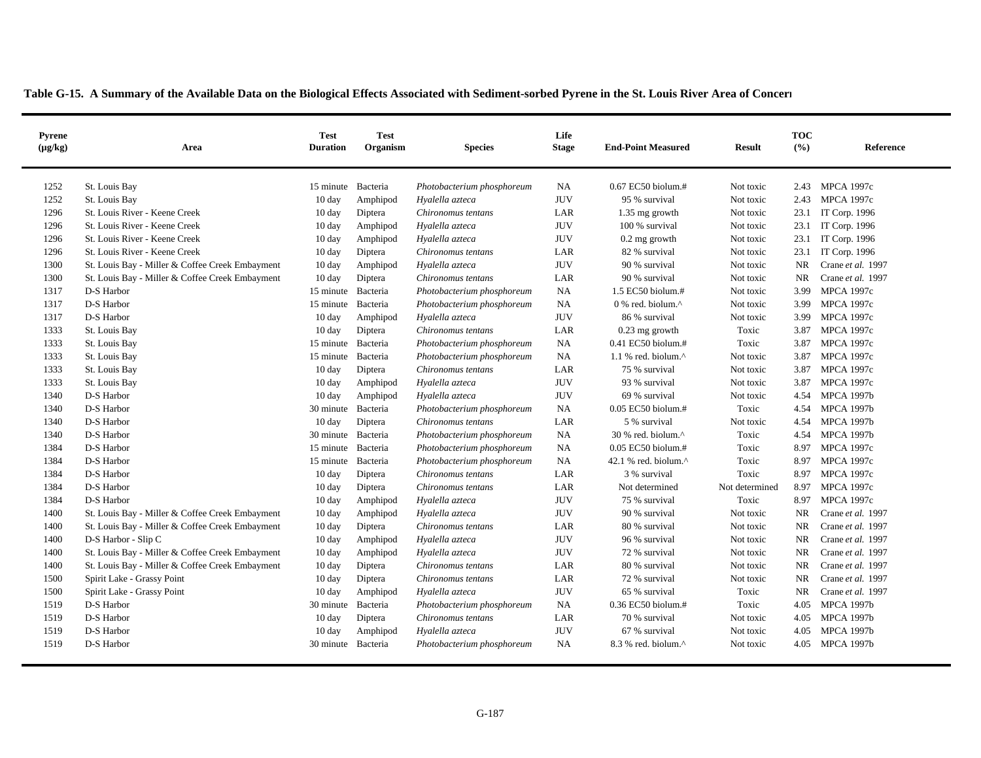| <b>Pyrene</b><br>$(\mu g/kg)$ | Area                                            | <b>Test</b><br><b>Duration</b> | <b>Test</b><br>Organism | <b>Species</b>             | Life<br><b>Stage</b> | <b>End-Point Measured</b>                         | <b>Result</b>  | <b>TOC</b><br>(%) | Reference          |
|-------------------------------|-------------------------------------------------|--------------------------------|-------------------------|----------------------------|----------------------|---------------------------------------------------|----------------|-------------------|--------------------|
|                               |                                                 |                                |                         |                            |                      |                                                   |                |                   |                    |
| 1252                          | St. Louis Bay                                   | 15 minute Bacteria             |                         | Photobacterium phosphoreum | <b>NA</b>            | 0.67 EC50 biolum.#                                | Not toxic      |                   | 2.43 MPCA 1997c    |
| 1252                          | St. Louis Bay                                   | $10 \text{ day}$               | Amphipod                | Hyalella azteca            | <b>JUV</b>           | 95 % survival                                     | Not toxic      | 2.43              | <b>MPCA 1997c</b>  |
| 1296                          | St. Louis River - Keene Creek                   | $10 \text{ day}$               | Diptera                 | Chironomus tentans         | LAR                  | 1.35 mg growth                                    | Not toxic      |                   | 23.1 IT Corp. 1996 |
| 1296                          | St. Louis River - Keene Creek                   | $10 \text{ day}$               | Amphipod                | Hyalella azteca            | <b>JUV</b>           | 100 % survival                                    | Not toxic      | 23.1              | IT Corp. 1996      |
| 1296                          | St. Louis River - Keene Creek                   | $10 \text{ day}$               | Amphipod                | Hyalella azteca            | <b>JUV</b>           | $0.2$ mg growth                                   | Not toxic      | 23.1              | IT Corp. 1996      |
| 1296                          | St. Louis River - Keene Creek                   | $10 \text{ day}$               | Diptera                 | Chironomus tentans         | LAR                  | 82 % survival                                     | Not toxic      | 23.1              | IT Corp. 1996      |
| 1300                          | St. Louis Bay - Miller & Coffee Creek Embayment | 10 day                         | Amphipod                | Hyalella azteca            | <b>JUV</b>           | 90 % survival                                     | Not toxic      | <b>NR</b>         | Crane et al. 1997  |
| 1300                          | St. Louis Bay - Miller & Coffee Creek Embayment | $10 \text{ day}$               | Diptera                 | Chironomus tentans         | LAR                  | 90 % survival                                     | Not toxic      | <b>NR</b>         | Crane et al. 1997  |
| 1317                          | D-S Harbor                                      | 15 minute                      | Bacteria                | Photobacterium phosphoreum | <b>NA</b>            | 1.5 EC50 biolum.#                                 | Not toxic      | 3.99              | MPCA 1997c         |
| 1317                          | D-S Harbor                                      | 15 minute                      | Bacteria                | Photobacterium phosphoreum | <b>NA</b>            | $0\%$ red. biolum. <sup><math>\wedge</math></sup> | Not toxic      | 3.99              | <b>MPCA 1997c</b>  |
| 1317                          | D-S Harbor                                      | $10 \text{ day}$               | Amphipod                | Hyalella azteca            | <b>JUV</b>           | 86 % survival                                     | Not toxic      | 3.99              | <b>MPCA 1997c</b>  |
| 1333                          | St. Louis Bay                                   | $10 \text{ day}$               | Diptera                 | Chironomus tentans         | LAR                  | $0.23$ mg growth                                  | Toxic          | 3.87              | <b>MPCA 1997c</b>  |
| 1333                          | St. Louis Bay                                   | 15 minute Bacteria             |                         | Photobacterium phosphoreum | <b>NA</b>            | $0.41$ EC50 biolum.#                              | Toxic          | 3.87              | <b>MPCA 1997c</b>  |
| 1333                          | St. Louis Bay                                   | 15 minute                      | Bacteria                | Photobacterium phosphoreum | <b>NA</b>            | 1.1 % red. biolum. $^{\wedge}$                    | Not toxic      | 3.87              | <b>MPCA 1997c</b>  |
| 1333                          | St. Louis Bay                                   | $10 \text{ day}$               | Diptera                 | Chironomus tentans         | LAR                  | 75 % survival                                     | Not toxic      | 3.87              | <b>MPCA 1997c</b>  |
| 1333                          | St. Louis Bay                                   | $10 \text{ day}$               | Amphipod                | Hyalella azteca            | <b>JUV</b>           | 93 % survival                                     | Not toxic      | 3.87              | <b>MPCA 1997c</b>  |
| 1340                          | D-S Harbor                                      | $10 \text{ day}$               | Amphipod                | Hyalella azteca            | <b>JUV</b>           | 69 % survival                                     | Not toxic      | 4.54              | <b>MPCA 1997b</b>  |
| 1340                          | D-S Harbor                                      | 30 minute Bacteria             |                         | Photobacterium phosphoreum | <b>NA</b>            | 0.05 EC50 biolum.#                                | Toxic          |                   | 4.54 MPCA 1997b    |
| 1340                          | D-S Harbor                                      | $10 \text{ day}$               | Diptera                 | Chironomus tentans         | LAR                  | 5 % survival                                      | Not toxic      |                   | 4.54 MPCA 1997b    |
| 1340                          | D-S Harbor                                      | 30 minute                      | Bacteria                | Photobacterium phosphoreum | <b>NA</b>            | 30 % red. biolum.^                                | Toxic          | 4.54              | <b>MPCA 1997b</b>  |
| 1384                          | D-S Harbor                                      | 15 minute                      | Bacteria                | Photobacterium phosphoreum | <b>NA</b>            | 0.05 EC50 biolum.#                                | Toxic          | 8.97              | <b>MPCA 1997c</b>  |
| 1384                          | D-S Harbor                                      | 15 minute                      | Bacteria                | Photobacterium phosphoreum | <b>NA</b>            | 42.1 % red. biolum.^                              | Toxic          | 8.97              | <b>MPCA 1997c</b>  |
| 1384                          | D-S Harbor                                      | $10 \text{ day}$               | Diptera                 | Chironomus tentans         | LAR                  | 3 % survival                                      | Toxic          | 8.97              | <b>MPCA 1997c</b>  |
| 1384                          | D-S Harbor                                      | $10 \text{ day}$               | Diptera                 | Chironomus tentans         | LAR                  | Not determined                                    | Not determined |                   | 8.97 MPCA 1997c    |
| 1384                          | D-S Harbor                                      | $10 \text{ day}$               | Amphipod                | Hyalella azteca            | <b>JUV</b>           | 75 % survival                                     | Toxic          | 8.97              | <b>MPCA 1997c</b>  |
| 1400                          | St. Louis Bay - Miller & Coffee Creek Embayment | $10 \text{ day}$               | Amphipod                | Hyalella azteca            | <b>JUV</b>           | 90 % survival                                     | Not toxic      | NR                | Crane et al. 1997  |
| 1400                          | St. Louis Bay - Miller & Coffee Creek Embayment | $10 \text{ day}$               | Diptera                 | Chironomus tentans         | LAR                  | 80 % survival                                     | Not toxic      | <b>NR</b>         | Crane et al. 1997  |
| 1400                          | D-S Harbor - Slip C                             | $10 \text{ day}$               | Amphipod                | Hyalella azteca            | <b>JUV</b>           | 96 % survival                                     | Not toxic      | <b>NR</b>         | Crane et al. 1997  |
| 1400                          | St. Louis Bay - Miller & Coffee Creek Embayment | $10 \text{ day}$               | Amphipod                | Hyalella azteca            | <b>JUV</b>           | 72 % survival                                     | Not toxic      | NR.               | Crane et al. 1997  |
| 1400                          | St. Louis Bay - Miller & Coffee Creek Embayment | $10 \text{ day}$               | Diptera                 | Chironomus tentans         | LAR                  | 80 % survival                                     | Not toxic      | <b>NR</b>         | Crane et al. 1997  |
| 1500                          | Spirit Lake - Grassy Point                      | $10 \text{ day}$               | Diptera                 | Chironomus tentans         | LAR                  | 72 % survival                                     | Not toxic      | NR                | Crane et al. 1997  |
| 1500                          | Spirit Lake - Grassy Point                      | $10 \text{ day}$               | Amphipod                | Hyalella azteca            | <b>JUV</b>           | 65 % survival                                     | Toxic          | <b>NR</b>         | Crane et al. 1997  |
| 1519                          | D-S Harbor                                      | 30 minute                      | Bacteria                | Photobacterium phosphoreum | <b>NA</b>            | 0.36 EC50 biolum.#                                | Toxic          | 4.05              | <b>MPCA 1997b</b>  |
| 1519                          | D-S Harbor                                      | $10 \text{ day}$               | Diptera                 | Chironomus tentans         | LAR                  | 70 % survival                                     | Not toxic      | 4.05              | <b>MPCA 1997b</b>  |
| 1519                          | D-S Harbor                                      | $10 \text{ day}$               | Amphipod                | Hyalella azteca            | $\rm JUV$            | 67 % survival                                     | Not toxic      | 4.05              | <b>MPCA 1997b</b>  |
| 1519                          | D-S Harbor                                      | 30 minute Bacteria             |                         | Photobacterium phosphoreum | <b>NA</b>            | $8.3$ % red. biolum. $^{\wedge}$                  | Not toxic      |                   | 4.05 MPCA 1997b    |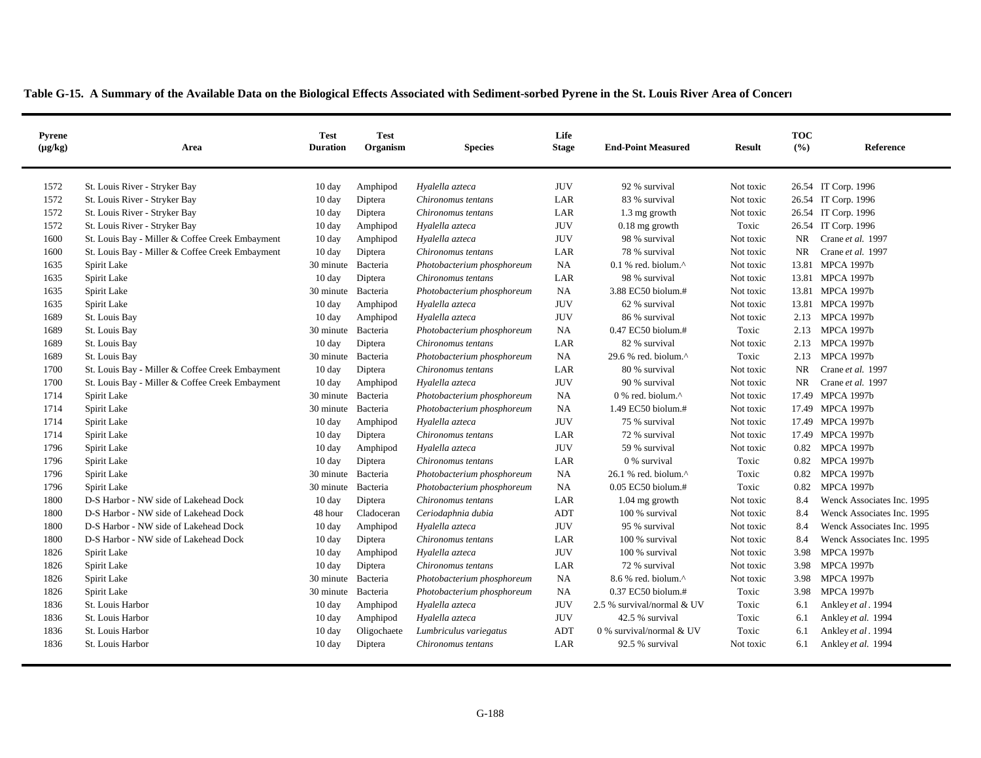| <b>Pyrene</b><br>$(\mu g/kg)$ | Area                                            | Test<br><b>Duration</b> | <b>Test</b><br>Organism | <b>Species</b>             | Life<br><b>Stage</b> | <b>End-Point Measured</b>                           | <b>Result</b> | <b>TOC</b><br>(%) | Reference                  |
|-------------------------------|-------------------------------------------------|-------------------------|-------------------------|----------------------------|----------------------|-----------------------------------------------------|---------------|-------------------|----------------------------|
| 1572                          | St. Louis River - Stryker Bay                   | $10 \text{ day}$        | Amphipod                | Hyalella azteca            | <b>JUV</b>           | 92 % survival                                       | Not toxic     |                   | 26.54 IT Corp. 1996        |
| 1572                          | St. Louis River - Stryker Bay                   | 10 day                  | Diptera                 | Chironomus tentans         | LAR                  | 83 % survival                                       | Not toxic     |                   | 26.54 IT Corp. 1996        |
| 1572                          | St. Louis River - Stryker Bay                   | 10 day                  | Diptera                 | Chironomus tentans         | LAR                  | 1.3 mg growth                                       | Not toxic     |                   | 26.54 IT Corp. 1996        |
| 1572                          | St. Louis River - Stryker Bay                   | 10 day                  | Amphipod                | Hyalella azteca            | <b>JUV</b>           | $0.18$ mg growth                                    | Toxic         |                   | 26.54 IT Corp. 1996        |
| 1600                          | St. Louis Bay - Miller & Coffee Creek Embayment | $10 \text{ day}$        | Amphipod                | Hyalella azteca            | <b>JUV</b>           | 98 % survival                                       | Not toxic     | <b>NR</b>         | Crane et al. 1997          |
| 1600                          | St. Louis Bay - Miller & Coffee Creek Embayment | $10 \text{ day}$        | Diptera                 | Chironomus tentans         | LAR                  | 78 % survival                                       | Not toxic     | <b>NR</b>         | Crane et al. 1997          |
| 1635                          | Spirit Lake                                     | 30 minute Bacteria      |                         | Photobacterium phosphoreum | <b>NA</b>            | $0.1$ % red. biolum. <sup><math>\wedge</math></sup> | Not toxic     |                   | 13.81 MPCA 1997b           |
| 1635                          | Spirit Lake                                     | $10 \text{ day}$        | Diptera                 | Chironomus tentans         | LAR                  | 98 % survival                                       | Not toxic     |                   | 13.81 MPCA 1997b           |
| 1635                          | Spirit Lake                                     | 30 minute               | Bacteria                | Photobacterium phosphoreum | <b>NA</b>            | 3.88 EC50 biolum.#                                  | Not toxic     | 13.81             | MPCA 1997b                 |
| 1635                          | Spirit Lake                                     | $10 \text{ day}$        | Amphipod                | Hyalella azteca            | <b>JUV</b>           | 62 % survival                                       | Not toxic     | 13.81             | <b>MPCA 1997b</b>          |
| 1689                          | St. Louis Bay                                   | $10 \text{ day}$        | Amphipod                | Hyalella azteca            | <b>JUV</b>           | 86 % survival                                       | Not toxic     | 2.13              | <b>MPCA 1997b</b>          |
| 1689                          | St. Louis Bay                                   | 30 minute Bacteria      |                         | Photobacterium phosphoreum | <b>NA</b>            | 0.47 EC50 biolum.#                                  | Toxic         | 2.13              | <b>MPCA 1997b</b>          |
| 1689                          | St. Louis Bay                                   | $10 \text{ day}$        | Diptera                 | Chironomus tentans         | LAR                  | 82 % survival                                       | Not toxic     | 2.13              | <b>MPCA 1997b</b>          |
| 1689                          | St. Louis Bay                                   | 30 minute               | Bacteria                | Photobacterium phosphoreum | NA                   | 29.6 % red. biolum.^                                | Toxic         | 2.13              | <b>MPCA 1997b</b>          |
| 1700                          | St. Louis Bay - Miller & Coffee Creek Embayment | $10 \text{ day}$        | Diptera                 | Chironomus tentans         | LAR                  | 80 % survival                                       | Not toxic     | <b>NR</b>         | Crane et al. 1997          |
| 1700                          | St. Louis Bay - Miller & Coffee Creek Embayment | $10 \text{ day}$        | Amphipod                | Hyalella azteca            | <b>JUV</b>           | 90 % survival                                       | Not toxic     | <b>NR</b>         | Crane et al. 1997          |
| 1714                          | Spirit Lake                                     | 30 minute Bacteria      |                         | Photobacterium phosphoreum | <b>NA</b>            | $0\%$ red. biolum. <sup><math>\wedge</math></sup>   | Not toxic     |                   | 17.49 MPCA 1997b           |
| 1714                          | Spirit Lake                                     | 30 minute Bacteria      |                         | Photobacterium phosphoreum | NA                   | 1.49 EC50 biolum.#                                  | Not toxic     |                   | 17.49 MPCA 1997b           |
| 1714                          | Spirit Lake                                     | 10 day                  | Amphipod                | Hyalella azteca            | <b>JUV</b>           | 75 % survival                                       | Not toxic     |                   | 17.49 MPCA 1997b           |
| 1714                          | Spirit Lake                                     | $10 \text{ day}$        | Diptera                 | Chironomus tentans         | LAR                  | 72 % survival                                       | Not toxic     |                   | 17.49 MPCA 1997b           |
| 1796                          | Spirit Lake                                     | 10 day                  | Amphipod                | Hyalella azteca            | <b>JUV</b>           | 59 % survival                                       | Not toxic     | 0.82              | <b>MPCA 1997b</b>          |
| 1796                          | Spirit Lake                                     | $10 \text{ day}$        | Diptera                 | Chironomus tentans         | LAR                  | 0 % survival                                        | Toxic         | 0.82              | <b>MPCA 1997b</b>          |
| 1796                          | Spirit Lake                                     | 30 minute Bacteria      |                         | Photobacterium phosphoreum | NA                   | 26.1 % red. biolum.^                                | Toxic         | 0.82              | <b>MPCA 1997b</b>          |
| 1796                          | Spirit Lake                                     | 30 minute               | Bacteria                | Photobacterium phosphoreum | <b>NA</b>            | $0.05$ EC50 biolum.#                                | Toxic         | 0.82              | <b>MPCA 1997b</b>          |
| 1800                          | D-S Harbor - NW side of Lakehead Dock           | 10 day                  | Diptera                 | Chironomus tentans         | LAR                  | $1.04$ mg growth                                    | Not toxic     | 8.4               | Wenck Associates Inc. 1995 |
| 1800                          | D-S Harbor - NW side of Lakehead Dock           | 48 hour                 | Cladoceran              | Ceriodaphnia dubia         | ADT                  | 100 % survival                                      | Not toxic     | 8.4               | Wenck Associates Inc. 1995 |
| 1800                          | D-S Harbor - NW side of Lakehead Dock           | 10 day                  | Amphipod                | Hyalella azteca            | <b>JUV</b>           | 95 % survival                                       | Not toxic     | 8.4               | Wenck Associates Inc. 1995 |
| 1800                          | D-S Harbor - NW side of Lakehead Dock           | 10 day                  | Diptera                 | Chironomus tentans         | LAR                  | 100 % survival                                      | Not toxic     | 8.4               | Wenck Associates Inc. 1995 |
| 1826                          | Spirit Lake                                     | $10 \text{ day}$        | Amphipod                | Hyalella azteca            | <b>JUV</b>           | 100 % survival                                      | Not toxic     | 3.98              | <b>MPCA 1997b</b>          |
| 1826                          | Spirit Lake                                     | 10 day                  | Diptera                 | Chironomus tentans         | LAR                  | 72 % survival                                       | Not toxic     | 3.98              | <b>MPCA 1997b</b>          |
| 1826                          | Spirit Lake                                     | 30 minute Bacteria      |                         | Photobacterium phosphoreum | <b>NA</b>            | 8.6 % red. biolum.^                                 | Not toxic     | 3.98              | <b>MPCA 1997b</b>          |
| 1826                          | Spirit Lake                                     | 30 minute               | Bacteria                | Photobacterium phosphoreum | <b>NA</b>            | $0.37$ EC50 biolum.#                                | Toxic         | 3.98              | <b>MPCA 1997b</b>          |
| 1836                          | St. Louis Harbor                                | $10 \text{ day}$        | Amphipod                | Hyalella azteca            | <b>JUV</b>           | 2.5 % survival/normal & UV                          | Toxic         | 6.1               | Ankley et al. 1994         |
| 1836                          | St. Louis Harbor                                | 10 day                  | Amphipod                | Hyalella azteca            | <b>JUV</b>           | 42.5 % survival                                     | Toxic         | 6.1               | Ankley et al. 1994         |
| 1836                          | St. Louis Harbor                                | 10 day                  | Oligochaete             | Lumbriculus variegatus     | ADT                  | 0 % survival/normal & UV                            | Toxic         | 6.1               | Ankley et al. 1994         |
| 1836                          | St. Louis Harbor                                | $10 \text{ day}$        | Diptera                 | Chironomus tentans         | LAR                  | 92.5 % survival                                     | Not toxic     | 6.1               | Ankley et al. 1994         |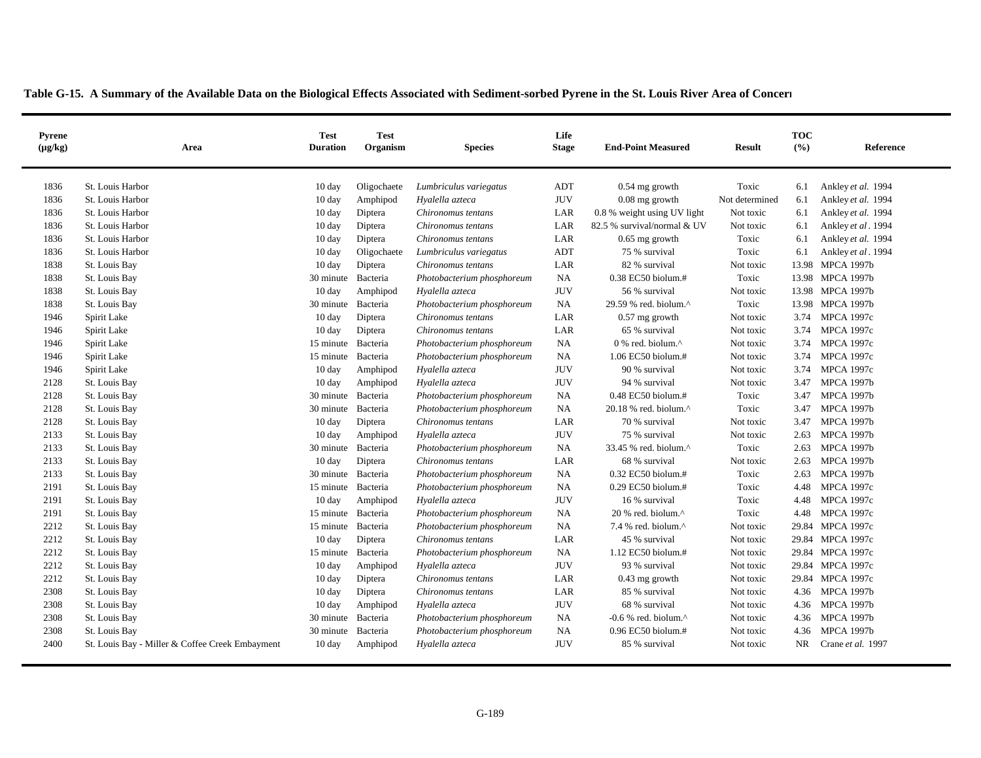| <b>Pyrene</b><br>$(\mu g/kg)$ | Area                                            | <b>Test</b><br><b>Duration</b> | <b>Test</b><br>Organism | <b>Species</b>             | Life<br><b>Stage</b> | <b>End-Point Measured</b>                             | <b>Result</b>  | <b>TOC</b><br>(%) | Reference          |
|-------------------------------|-------------------------------------------------|--------------------------------|-------------------------|----------------------------|----------------------|-------------------------------------------------------|----------------|-------------------|--------------------|
| 1836                          | St. Louis Harbor                                | $10 \text{ day}$               | Oligochaete             | Lumbriculus variegatus     | ADT                  | $0.54$ mg growth                                      | Toxic          | 6.1               | Ankley et al. 1994 |
| 1836                          | St. Louis Harbor                                | 10 day                         | Amphipod                | Hyalella azteca            | <b>JUV</b>           | $0.08$ mg growth                                      | Not determined | 6.1               | Ankley et al. 1994 |
| 1836                          | St. Louis Harbor                                | $10 \text{ day}$               | Diptera                 | Chironomus tentans         | LAR                  | 0.8 % weight using UV light                           | Not toxic      | 6.1               | Ankley et al. 1994 |
| 1836                          | St. Louis Harbor                                | $10 \text{ day}$               | Diptera                 | Chironomus tentans         | LAR                  | 82.5 % survival/normal & UV                           | Not toxic      | 6.1               | Ankley et al. 1994 |
| 1836                          | St. Louis Harbor                                | $10 \text{ day}$               | Diptera                 | Chironomus tentans         | LAR                  | $0.65$ mg growth                                      | Toxic          | 6.1               | Ankley et al. 1994 |
| 1836                          | St. Louis Harbor                                | $10 \text{ day}$               | Oligochaete             | Lumbriculus variegatus     | ADT                  | 75 % survival                                         | Toxic          | 6.1               | Ankley et al. 1994 |
| 1838                          | St. Louis Bay                                   | 10 day                         | Diptera                 | Chironomus tentans         | LAR                  | 82 % survival                                         | Not toxic      |                   | 13.98 MPCA 1997b   |
| 1838                          | St. Louis Bay                                   | 30 minute                      | Bacteria                | Photobacterium phosphoreum | <b>NA</b>            | 0.38 EC50 biolum.#                                    | Toxic          |                   | 13.98 MPCA 1997b   |
| 1838                          | St. Louis Bay                                   | 10 day                         | Amphipod                | Hyalella azteca            | <b>JUV</b>           | 56 % survival                                         | Not toxic      |                   | 13.98 MPCA 1997b   |
| 1838                          | St. Louis Bay                                   | 30 minute                      | Bacteria                | Photobacterium phosphoreum | <b>NA</b>            | 29.59 % red. biolum.^                                 | Toxic          |                   | 13.98 MPCA 1997b   |
| 1946                          | Spirit Lake                                     | $10 \text{ day}$               | Diptera                 | Chironomus tentans         | LAR                  | $0.57$ mg growth                                      | Not toxic      | 3.74              | <b>MPCA 1997c</b>  |
| 1946                          | Spirit Lake                                     | 10 day                         | Diptera                 | Chironomus tentans         | LAR                  | 65 % survival                                         | Not toxic      | 3.74              | <b>MPCA 1997c</b>  |
| 1946                          | Spirit Lake                                     | 15 minute Bacteria             |                         | Photobacterium phosphoreum | NA                   | $0\%$ red. biolum. <sup><math>\wedge</math></sup>     | Not toxic      | 3.74              | <b>MPCA 1997c</b>  |
| 1946                          | Spirit Lake                                     | 15 minute Bacteria             |                         | Photobacterium phosphoreum | NA                   | 1.06 EC50 biolum.#                                    | Not toxic      | 3.74              | <b>MPCA 1997c</b>  |
| 1946                          | Spirit Lake                                     | 10 day                         | Amphipod                | Hyalella azteca            | <b>JUV</b>           | 90 % survival                                         | Not toxic      | 3.74              | <b>MPCA 1997c</b>  |
| 2128                          | St. Louis Bay                                   | 10 day                         | Amphipod                | Hyalella azteca            | <b>JUV</b>           | 94 % survival                                         | Not toxic      | 3.47              | <b>MPCA 1997b</b>  |
| 2128                          | St. Louis Bay                                   | 30 minute Bacteria             |                         | Photobacterium phosphoreum | <b>NA</b>            | $0.48$ EC50 biolum.#                                  | Toxic          | 3.47              | <b>MPCA 1997b</b>  |
| 2128                          | St. Louis Bay                                   | 30 minute                      | Bacteria                | Photobacterium phosphoreum | <b>NA</b>            | $20.18$ % red. biolum. <sup><math>\wedge</math></sup> | Toxic          | 3.47              | <b>MPCA 1997b</b>  |
| 2128                          | St. Louis Bay                                   | $10 \text{ day}$               | Diptera                 | Chironomus tentans         | LAR                  | 70 % survival                                         | Not toxic      | 3.47              | <b>MPCA 1997b</b>  |
| 2133                          | St. Louis Bay                                   | $10 \text{ day}$               | Amphipod                | Hyalella azteca            | <b>JUV</b>           | 75 % survival                                         | Not toxic      | 2.63              | <b>MPCA 1997b</b>  |
| 2133                          | St. Louis Bay                                   | 30 minute                      | Bacteria                | Photobacterium phosphoreum | <b>NA</b>            | 33.45 % red. biolum.^                                 | Toxic          | 2.63              | <b>MPCA 1997b</b>  |
| 2133                          | St. Louis Bay                                   | $10 \text{ day}$               | Diptera                 | Chironomus tentans         | LAR                  | 68 % survival                                         | Not toxic      | 2.63              | <b>MPCA 1997b</b>  |
| 2133                          | St. Louis Bay                                   | 30 minute                      | Bacteria                | Photobacterium phosphoreum | <b>NA</b>            | $0.32$ EC50 biolum.#                                  | Toxic          | 2.63              | <b>MPCA 1997b</b>  |
| 2191                          | St. Louis Bay                                   | 15 minute                      | Bacteria                | Photobacterium phosphoreum | <b>NA</b>            | 0.29 EC50 biolum.#                                    | Toxic          | 4.48              | <b>MPCA 1997c</b>  |
| 2191                          | St. Louis Bay                                   | 10 day                         | Amphipod                | Hyalella azteca            | <b>JUV</b>           | 16 % survival                                         | Toxic          | 4.48              | <b>MPCA 1997c</b>  |
| 2191                          | St. Louis Bay                                   | 15 minute                      | Bacteria                | Photobacterium phosphoreum | <b>NA</b>            | $20%$ red. biolum. <sup><math>\wedge</math></sup>     | Toxic          | 4.48              | <b>MPCA 1997c</b>  |
| 2212                          | St. Louis Bay                                   | 15 minute                      | Bacteria                | Photobacterium phosphoreum | <b>NA</b>            | 7.4 % red. biolum.^                                   | Not toxic      | 29.84             | <b>MPCA 1997c</b>  |
| 2212                          | St. Louis Bay                                   | 10 day                         | Diptera                 | Chironomus tentans         | LAR                  | 45 % survival                                         | Not toxic      | 29.84             | <b>MPCA 1997c</b>  |
| 2212                          | St. Louis Bay                                   | 15 minute                      | Bacteria                | Photobacterium phosphoreum | NA                   | 1.12 EC50 biolum.#                                    | Not toxic      | 29.84             | <b>MPCA 1997c</b>  |
| 2212                          | St. Louis Bay                                   | 10 day                         | Amphipod                | Hyalella azteca            | <b>JUV</b>           | 93 % survival                                         | Not toxic      |                   | 29.84 MPCA 1997c   |
| 2212                          | St. Louis Bay                                   | 10 day                         | Diptera                 | Chironomus tentans         | LAR                  | $0.43$ mg growth                                      | Not toxic      |                   | 29.84 MPCA 1997c   |
| 2308                          | St. Louis Bay                                   | 10 day                         | Diptera                 | Chironomus tentans         | LAR                  | 85 % survival                                         | Not toxic      | 4.36              | <b>MPCA 1997b</b>  |
| 2308                          | St. Louis Bay                                   | 10 day                         | Amphipod                | Hyalella azteca            | <b>JUV</b>           | 68 % survival                                         | Not toxic      | 4.36              | <b>MPCA 1997b</b>  |
| 2308                          | St. Louis Bay                                   | 30 minute                      | Bacteria                | Photobacterium phosphoreum | NA                   | -0.6 % red. biolum. $^{\wedge}$                       | Not toxic      | 4.36              | <b>MPCA 1997b</b>  |
| 2308                          | St. Louis Bay                                   | 30 minute                      | Bacteria                | Photobacterium phosphoreum | <b>NA</b>            | $0.96$ EC50 biolum.#                                  | Not toxic      | 4.36              | <b>MPCA 1997b</b>  |
| 2400                          | St. Louis Bay - Miller & Coffee Creek Embayment | $10 \text{ day}$               | Amphipod                | Hyalella azteca            | <b>JUV</b>           | 85 % survival                                         | Not toxic      | NR.               | Crane et al. 1997  |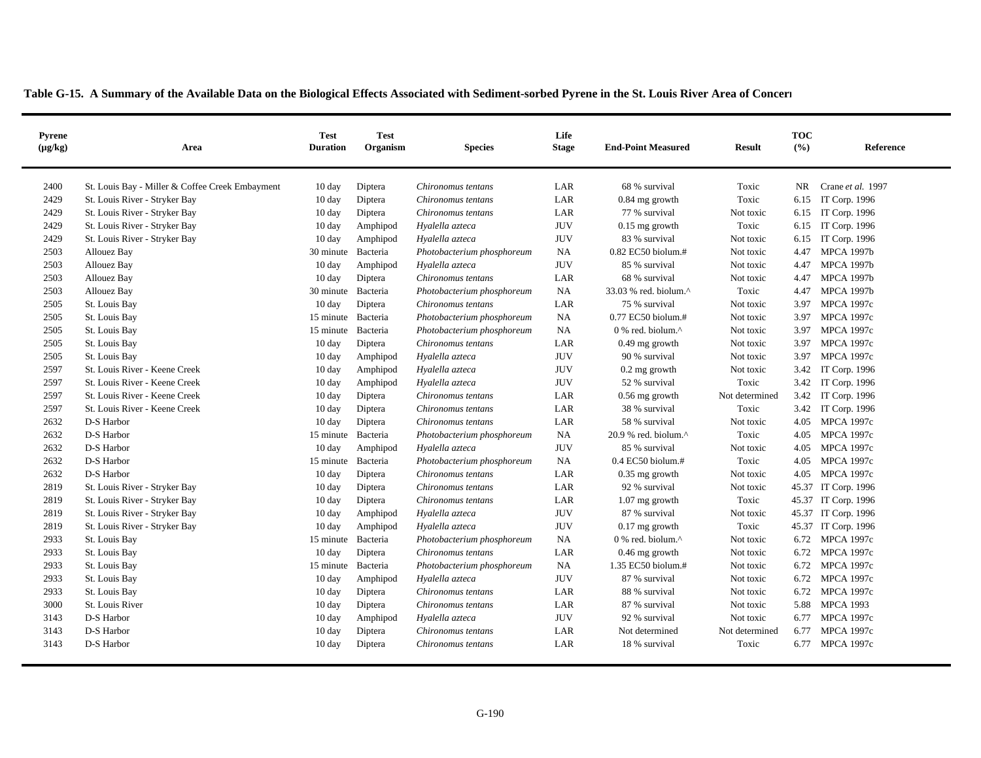| <b>Pyrene</b><br>$(\mu g/kg)$ | Area                                            | <b>Test</b><br><b>Duration</b> | <b>Test</b><br>Organism | <b>Species</b>             | Life<br><b>Stage</b> | <b>End-Point Measured</b>                         | <b>Result</b>  | <b>TOC</b><br>(9/6) | Reference           |
|-------------------------------|-------------------------------------------------|--------------------------------|-------------------------|----------------------------|----------------------|---------------------------------------------------|----------------|---------------------|---------------------|
| 2400                          | St. Louis Bay - Miller & Coffee Creek Embayment | $10 \text{ day}$               | Diptera                 | Chironomus tentans         | LAR                  | 68 % survival                                     | Toxic          | NR.                 | Crane et al. 1997   |
| 2429                          | St. Louis River - Stryker Bay                   | 10 day                         | Diptera                 | Chironomus tentans         | LAR                  | $0.84$ mg growth                                  | Toxic          | 6.15                | IT Corp. 1996       |
| 2429                          | St. Louis River - Stryker Bay                   | 10 day                         | Diptera                 | Chironomus tentans         | LAR                  | 77 % survival                                     | Not toxic      | 6.15                | IT Corp. 1996       |
| 2429                          | St. Louis River - Stryker Bay                   | $10 \text{ day}$               | Amphipod                | Hyalella azteca            | <b>JUV</b>           | $0.15$ mg growth                                  | Toxic          | 6.15                | IT Corp. 1996       |
| 2429                          | St. Louis River - Stryker Bay                   | 10 day                         | Amphipod                | Hyalella azteca            | <b>JUV</b>           | 83 % survival                                     | Not toxic      | 6.15                | IT Corp. 1996       |
| 2503                          | Allouez Bay                                     | 30 minute                      | Bacteria                | Photobacterium phosphoreum | <b>NA</b>            | 0.82 EC50 biolum.#                                | Not toxic      | 4.47                | <b>MPCA 1997b</b>   |
| 2503                          | Allouez Bay                                     | 10 day                         | Amphipod                | Hyalella azteca            | <b>JUV</b>           | 85 % survival                                     | Not toxic      | 4.47                | <b>MPCA 1997b</b>   |
| 2503                          | Allouez Bay                                     | $10 \text{ day}$               | Diptera                 | Chironomus tentans         | LAR                  | 68 % survival                                     | Not toxic      | 4.47                | <b>MPCA 1997b</b>   |
| 2503                          | Allouez Bay                                     | 30 minute                      | Bacteria                | Photobacterium phosphoreum | NA                   | 33.03 % red. biolum.^                             | Toxic          | 4.47                | <b>MPCA 1997b</b>   |
| 2505                          | St. Louis Bay                                   | 10 day                         | Diptera                 | Chironomus tentans         | LAR                  | 75 % survival                                     | Not toxic      | 3.97                | <b>MPCA 1997c</b>   |
| 2505                          | St. Louis Bay                                   | 15 minute                      | Bacteria                | Photobacterium phosphoreum | <b>NA</b>            | $0.77$ EC50 biolum.#                              | Not toxic      | 3.97                | <b>MPCA 1997c</b>   |
| 2505                          | St. Louis Bay                                   | 15 minute                      | Bacteria                | Photobacterium phosphoreum | <b>NA</b>            | $0\%$ red. biolum. <sup><math>\wedge</math></sup> | Not toxic      | 3.97                | <b>MPCA 1997c</b>   |
| 2505                          | St. Louis Bay                                   | 10 day                         | Diptera                 | Chironomus tentans         | LAR                  | $0.49$ mg growth                                  | Not toxic      | 3.97                | <b>MPCA 1997c</b>   |
| 2505                          | St. Louis Bay                                   | $10 \text{ day}$               | Amphipod                | Hyalella azteca            | <b>JUV</b>           | 90 % survival                                     | Not toxic      | 3.97                | <b>MPCA 1997c</b>   |
| 2597                          | St. Louis River - Keene Creek                   | $10 \text{ day}$               | Amphipod                | Hyalella azteca            | <b>JUV</b>           | $0.2$ mg growth                                   | Not toxic      | 3.42                | IT Corp. 1996       |
| 2597                          | St. Louis River - Keene Creek                   | 10 day                         | Amphipod                | Hyalella azteca            | <b>JUV</b>           | 52 % survival                                     | Toxic          | 3.42                | IT Corp. 1996       |
| 2597                          | St. Louis River - Keene Creek                   | 10 day                         | Diptera                 | Chironomus tentans         | LAR                  | $0.56$ mg growth                                  | Not determined | 3.42                | IT Corp. 1996       |
| 2597                          | St. Louis River - Keene Creek                   | $10 \text{ day}$               | Diptera                 | Chironomus tentans         | LAR                  | 38 % survival                                     | Toxic          |                     | 3.42 IT Corp. 1996  |
| 2632                          | D-S Harbor                                      | $10 \text{ day}$               | Diptera                 | Chironomus tentans         | LAR                  | 58 % survival                                     | Not toxic      | 4.05                | <b>MPCA 1997c</b>   |
| 2632                          | D-S Harbor                                      | 15 minute                      | Bacteria                | Photobacterium phosphoreum | <b>NA</b>            | 20.9 % red. biolum.^                              | Toxic          | 4.05                | <b>MPCA 1997c</b>   |
| 2632                          | D-S Harbor                                      | $10 \text{ day}$               | Amphipod                | Hyalella azteca            | <b>JUV</b>           | 85 % survival                                     | Not toxic      | 4.05                | <b>MPCA 1997c</b>   |
| 2632                          | D-S Harbor                                      | 15 minute                      | Bacteria                | Photobacterium phosphoreum | <b>NA</b>            | $0.4$ EC50 biolum.#                               | Toxic          | 4.05                | <b>MPCA 1997c</b>   |
| 2632                          | D-S Harbor                                      | $10 \text{ day}$               | Diptera                 | Chironomus tentans         | LAR                  | $0.35$ mg growth                                  | Not toxic      | 4.05                | <b>MPCA 1997c</b>   |
| 2819                          | St. Louis River - Stryker Bay                   | $10 \text{ day}$               | Diptera                 | Chironomus tentans         | LAR                  | 92 % survival                                     | Not toxic      |                     | 45.37 IT Corp. 1996 |
| 2819                          | St. Louis River - Stryker Bay                   | $10 \text{ day}$               | Diptera                 | Chironomus tentans         | LAR                  | $1.07$ mg growth                                  | Toxic          |                     | 45.37 IT Corp. 1996 |
| 2819                          | St. Louis River - Stryker Bay                   | $10 \text{ day}$               | Amphipod                | Hyalella azteca            | <b>JUV</b>           | 87 % survival                                     | Not toxic      |                     | 45.37 IT Corp. 1996 |
| 2819                          | St. Louis River - Stryker Bay                   | $10 \text{ day}$               | Amphipod                | Hyalella azteca            | <b>JUV</b>           | $0.17$ mg growth                                  | Toxic          |                     | 45.37 IT Corp. 1996 |
| 2933                          | St. Louis Bay                                   | 15 minute Bacteria             |                         | Photobacterium phosphoreum | NA                   | 0 % red. biolum.^                                 | Not toxic      | 6.72                | <b>MPCA 1997c</b>   |
| 2933                          | St. Louis Bay                                   | $10 \text{ day}$               | Diptera                 | Chironomus tentans         | LAR                  | $0.46$ mg growth                                  | Not toxic      | 6.72                | <b>MPCA 1997c</b>   |
| 2933                          | St. Louis Bay                                   | 15 minute                      | Bacteria                | Photobacterium phosphoreum | <b>NA</b>            | 1.35 EC50 biolum.#                                | Not toxic      | 6.72                | <b>MPCA 1997c</b>   |
| 2933                          | St. Louis Bay                                   | $10 \text{ day}$               | Amphipod                | Hyalella azteca            | <b>JUV</b>           | 87 % survival                                     | Not toxic      | 6.72                | <b>MPCA 1997c</b>   |
| 2933                          | St. Louis Bay                                   | 10 day                         | Diptera                 | Chironomus tentans         | LAR                  | 88 % survival                                     | Not toxic      | 6.72                | <b>MPCA 1997c</b>   |
| 3000                          | St. Louis River                                 | $10 \text{ day}$               | Diptera                 | Chironomus tentans         | LAR                  | 87 % survival                                     | Not toxic      | 5.88                | <b>MPCA 1993</b>    |
| 3143                          | D-S Harbor                                      | 10 day                         | Amphipod                | Hyalella azteca            | <b>JUV</b>           | 92 % survival                                     | Not toxic      | 6.77                | <b>MPCA 1997c</b>   |
| 3143                          | D-S Harbor                                      | 10 day                         | Diptera                 | Chironomus tentans         | LAR                  | Not determined                                    | Not determined | 6.77                | <b>MPCA 1997c</b>   |
| 3143                          | D-S Harbor                                      | $10 \text{ day}$               | Diptera                 | Chironomus tentans         | LAR                  | 18 % survival                                     | Toxic          | 6.77                | <b>MPCA 1997c</b>   |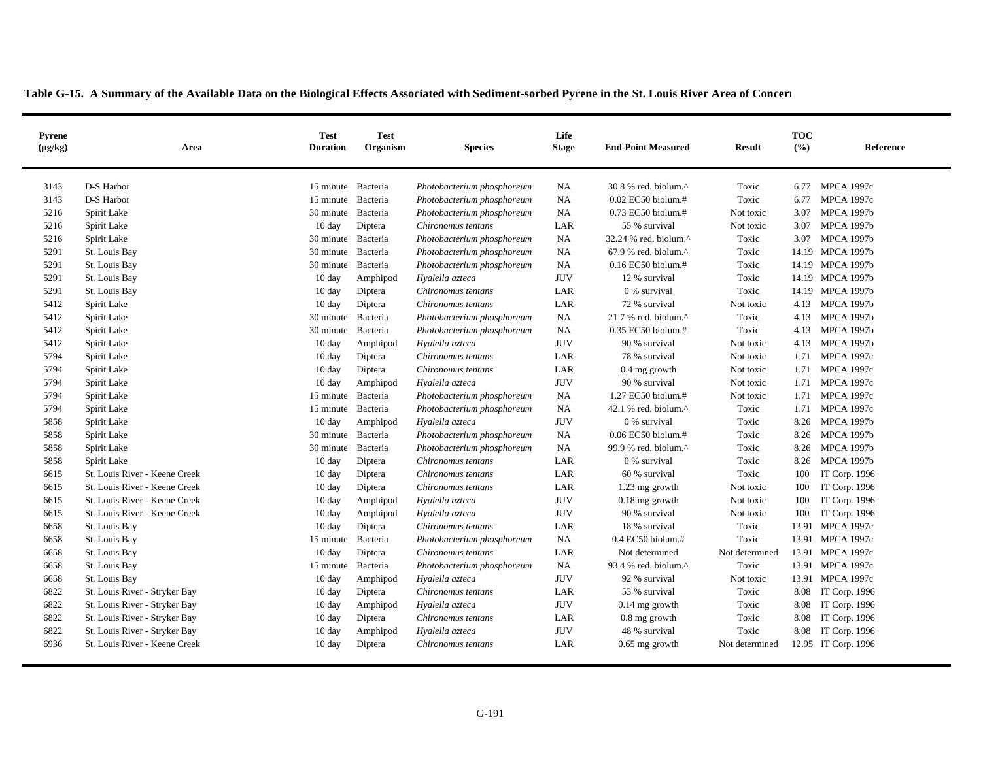| <b>Pyrene</b><br>$(\mu g/kg)$ | Area                          | <b>Test</b><br><b>Duration</b> | <b>Test</b><br>Organism | <b>Species</b>             | Life<br><b>Stage</b> | <b>End-Point Measured</b>       | <b>Result</b>  | <b>TOC</b><br>(9/6) | Reference           |
|-------------------------------|-------------------------------|--------------------------------|-------------------------|----------------------------|----------------------|---------------------------------|----------------|---------------------|---------------------|
| 3143                          | D-S Harbor                    | 15 minute Bacteria             |                         | Photobacterium phosphoreum | NA                   | 30.8 % red. biolum.^            | Toxic          | 6.77                | <b>MPCA 1997c</b>   |
| 3143                          | D-S Harbor                    | 15 minute Bacteria             |                         | Photobacterium phosphoreum | <b>NA</b>            | 0.02 EC50 biolum.#              | Toxic          | 6.77                | <b>MPCA 1997c</b>   |
| 5216                          | Spirit Lake                   | 30 minute Bacteria             |                         | Photobacterium phosphoreum | <b>NA</b>            | 0.73 EC50 biolum.#              | Not toxic      | 3.07                | <b>MPCA 1997b</b>   |
| 5216                          | Spirit Lake                   | 10 day                         | Diptera                 | Chironomus tentans         | LAR                  | 55 % survival                   | Not toxic      | 3.07                | <b>MPCA 1997b</b>   |
| 5216                          | Spirit Lake                   | 30 minute Bacteria             |                         | Photobacterium phosphoreum | <b>NA</b>            | 32.24 % red. biolum.^           | Toxic          | 3.07                | <b>MPCA 1997b</b>   |
| 5291                          | St. Louis Bay                 | 30 minute                      | Bacteria                | Photobacterium phosphoreum | NA                   | 67.9 % red. biolum.^            | Toxic          |                     | 14.19 MPCA 1997b    |
| 5291                          | St. Louis Bay                 | 30 minute                      | Bacteria                | Photobacterium phosphoreum | <b>NA</b>            | $0.16$ EC50 biolum.#            | Toxic          |                     | 14.19 MPCA 1997b    |
| 5291                          | St. Louis Bay                 | $10 \text{ day}$               | Amphipod                | Hyalella azteca            | <b>JUV</b>           | 12 % survival                   | Toxic          |                     | 14.19 MPCA 1997b    |
| 5291                          | St. Louis Bay                 | 10 day                         | Diptera                 | Chironomus tentans         | LAR                  | 0 % survival                    | Toxic          |                     | 14.19 MPCA 1997b    |
| 5412                          | Spirit Lake                   | $10 \text{ day}$               | Diptera                 | Chironomus tentans         | LAR                  | 72 % survival                   | Not toxic      | 4.13                | <b>MPCA 1997b</b>   |
| 5412                          | Spirit Lake                   | 30 minute                      | Bacteria                | Photobacterium phosphoreum | <b>NA</b>            | 21.7 % red. biolum.^            | Toxic          | 4.13                | <b>MPCA 1997b</b>   |
| 5412                          | Spirit Lake                   | 30 minute                      | Bacteria                | Photobacterium phosphoreum | <b>NA</b>            | 0.35 EC50 biolum.#              | Toxic          | 4.13                | <b>MPCA 1997b</b>   |
| 5412                          | Spirit Lake                   | 10 day                         | Amphipod                | Hyalella azteca            | <b>JUV</b>           | 90 % survival                   | Not toxic      | 4.13                | <b>MPCA 1997b</b>   |
| 5794                          | Spirit Lake                   | 10 day                         | Diptera                 | Chironomus tentans         | LAR                  | 78 % survival                   | Not toxic      | 1.71                | <b>MPCA 1997c</b>   |
| 5794                          | Spirit Lake                   | 10 day                         | Diptera                 | Chironomus tentans         | LAR                  | $0.4$ mg growth                 | Not toxic      | 1.71                | <b>MPCA 1997c</b>   |
| 5794                          | Spirit Lake                   | 10 day                         | Amphipod                | Hyalella azteca            | <b>JUV</b>           | 90 % survival                   | Not toxic      | 1.71                | <b>MPCA 1997c</b>   |
| 5794                          | Spirit Lake                   | 15 minute                      | Bacteria                | Photobacterium phosphoreum | <b>NA</b>            | 1.27 EC50 biolum.#              | Not toxic      | 1.71                | <b>MPCA 1997c</b>   |
| 5794                          | Spirit Lake                   | 15 minute Bacteria             |                         | Photobacterium phosphoreum | <b>NA</b>            | 42.1 % red. biolum.^            | Toxic          | 1.71                | <b>MPCA 1997c</b>   |
| 5858                          | Spirit Lake                   | $10 \text{ day}$               | Amphipod                | Hyalella azteca            | <b>JUV</b>           | 0 % survival                    | Toxic          | 8.26                | <b>MPCA 1997b</b>   |
| 5858                          | Spirit Lake                   | 30 minute Bacteria             |                         | Photobacterium phosphoreum | <b>NA</b>            | 0.06 EC50 biolum.#              | Toxic          | 8.26                | <b>MPCA 1997b</b>   |
| 5858                          | Spirit Lake                   | 30 minute                      | Bacteria                | Photobacterium phosphoreum | <b>NA</b>            | 99.9 % red. biolum.^            | Toxic          | 8.26                | <b>MPCA 1997b</b>   |
| 5858                          | Spirit Lake                   | 10 day                         | Diptera                 | Chironomus tentans         | LAR                  | 0 % survival                    | Toxic          | 8.26                | <b>MPCA 1997b</b>   |
| 6615                          | St. Louis River - Keene Creek | 10 day                         | Diptera                 | Chironomus tentans         | LAR                  | 60 % survival                   | Toxic          | 100                 | IT Corp. 1996       |
| 6615                          | St. Louis River - Keene Creek | $10 \text{ day}$               | Diptera                 | Chironomus tentans         | LAR                  | 1.23 mg growth                  | Not toxic      | 100                 | IT Corp. 1996       |
| 6615                          | St. Louis River - Keene Creek | 10 day                         | Amphipod                | Hyalella azteca            | <b>JUV</b>           | $0.18$ mg growth                | Not toxic      | 100                 | IT Corp. 1996       |
| 6615                          | St. Louis River - Keene Creek | $10 \text{ day}$               | Amphipod                | Hyalella azteca            | <b>JUV</b>           | 90 % survival                   | Not toxic      | 100                 | IT Corp. 1996       |
| 6658                          | St. Louis Bay                 | $10 \text{ day}$               | Diptera                 | Chironomus tentans         | LAR                  | 18 % survival                   | Toxic          | 13.91               | <b>MPCA 1997c</b>   |
| 6658                          | St. Louis Bay                 | 15 minute                      | Bacteria                | Photobacterium phosphoreum | NA                   | $0.4$ EC50 biolum.#             | Toxic          |                     | 13.91 MPCA 1997c    |
| 6658                          | St. Louis Bay                 | $10 \text{ day}$               | Diptera                 | Chironomus tentans         | LAR                  | Not determined                  | Not determined |                     | 13.91 MPCA 1997c    |
| 6658                          | St. Louis Bay                 | 15 minute                      | Bacteria                | Photobacterium phosphoreum | <b>NA</b>            | 93.4 % red. biolum. $^{\wedge}$ | Toxic          |                     | 13.91 MPCA 1997c    |
| 6658                          | St. Louis Bay                 | 10 day                         | Amphipod                | Hyalella azteca            | <b>JUV</b>           | 92 % survival                   | Not toxic      |                     | 13.91 MPCA 1997c    |
| 6822                          | St. Louis River - Stryker Bay | 10 day                         | Diptera                 | Chironomus tentans         | LAR                  | 53 % survival                   | Toxic          | 8.08                | IT Corp. 1996       |
| 6822                          | St. Louis River - Stryker Bay | $10 \text{ day}$               | Amphipod                | Hyalella azteca            | <b>JUV</b>           | $0.14$ mg growth                | Toxic          | 8.08                | IT Corp. 1996       |
| 6822                          | St. Louis River - Stryker Bay | 10 day                         | Diptera                 | Chironomus tentans         | LAR                  | $0.8$ mg growth                 | Toxic          | 8.08                | IT Corp. 1996       |
| 6822                          | St. Louis River - Stryker Bay | $10 \text{ day}$               | Amphipod                | Hyalella azteca            | $\rm JUV$            | 48 % survival                   | Toxic          | 8.08                | IT Corp. 1996       |
| 6936                          | St. Louis River - Keene Creek | $10 \text{ day}$               | Diptera                 | Chironomus tentans         | LAR                  | $0.65$ mg growth                | Not determined |                     | 12.95 IT Corp. 1996 |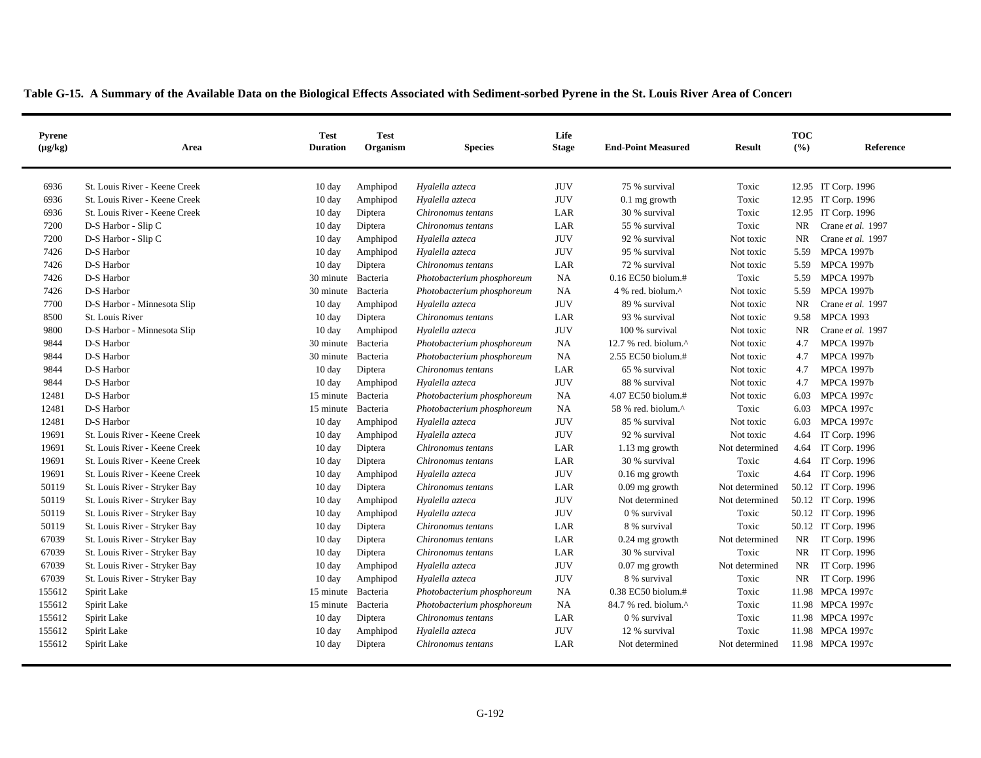| <b>Pyrene</b><br>$(\mu g/kg)$ | Area                          | <b>Test</b><br><b>Duration</b> | <b>Test</b><br>Organism | <b>Species</b>             | Life<br><b>Stage</b> | <b>End-Point Measured</b> | <b>Result</b>  | <b>TOC</b><br>(9/6) | Reference           |
|-------------------------------|-------------------------------|--------------------------------|-------------------------|----------------------------|----------------------|---------------------------|----------------|---------------------|---------------------|
|                               |                               |                                |                         |                            |                      |                           |                |                     |                     |
| 6936                          | St. Louis River - Keene Creek | $10 \text{ day}$               | Amphipod                | Hyalella azteca            | <b>JUV</b>           | 75 % survival             | Toxic          |                     | 12.95 IT Corp. 1996 |
| 6936                          | St. Louis River - Keene Creek | $10 \text{ day}$               | Amphipod                | Hyalella azteca            | <b>JUV</b>           | $0.1$ mg growth           | Toxic          |                     | 12.95 IT Corp. 1996 |
| 6936                          | St. Louis River - Keene Creek | 10 day                         | Diptera                 | Chironomus tentans         | LAR                  | 30 % survival             | Toxic          |                     | 12.95 IT Corp. 1996 |
| 7200                          | D-S Harbor - Slip C           | 10 day                         | Diptera                 | Chironomus tentans         | LAR                  | 55 % survival             | Toxic          | <b>NR</b>           | Crane et al. 1997   |
| 7200                          | D-S Harbor - Slip C           | $10 \text{ day}$               | Amphipod                | Hyalella azteca            | <b>JUV</b>           | 92 % survival             | Not toxic      | NR                  | Crane et al. 1997   |
| 7426                          | D-S Harbor                    | $10 \text{ day}$               | Amphipod                | Hyalella azteca            | <b>JUV</b>           | 95 % survival             | Not toxic      | 5.59                | <b>MPCA 1997b</b>   |
| 7426                          | D-S Harbor                    | $10 \text{ day}$               | Diptera                 | Chironomus tentans         | LAR                  | 72 % survival             | Not toxic      | 5.59                | <b>MPCA 1997b</b>   |
| 7426                          | D-S Harbor                    | 30 minute Bacteria             |                         | Photobacterium phosphoreum | NA                   | 0.16 EC50 biolum.#        | Toxic          | 5.59                | <b>MPCA 1997b</b>   |
| 7426                          | D-S Harbor                    | 30 minute                      | Bacteria                | Photobacterium phosphoreum | <b>NA</b>            | 4 % red. biolum.^         | Not toxic      | 5.59                | <b>MPCA 1997b</b>   |
| 7700                          | D-S Harbor - Minnesota Slip   | $10 \text{ day}$               | Amphipod                | Hyalella azteca            | <b>JUV</b>           | 89 % survival             | Not toxic      | NR                  | Crane et al. 1997   |
| 8500                          | St. Louis River               | $10 \text{ day}$               | Diptera                 | Chironomus tentans         | LAR                  | 93 % survival             | Not toxic      | 9.58                | <b>MPCA 1993</b>    |
| 9800                          | D-S Harbor - Minnesota Slip   | 10 day                         | Amphipod                | Hyalella azteca            | <b>JUV</b>           | 100 % survival            | Not toxic      | <b>NR</b>           | Crane et al. 1997   |
| 9844                          | D-S Harbor                    | 30 minute Bacteria             |                         | Photobacterium phosphoreum | <b>NA</b>            | 12.7 % red. biolum.^      | Not toxic      | 4.7                 | <b>MPCA 1997b</b>   |
| 9844                          | D-S Harbor                    | 30 minute                      | Bacteria                | Photobacterium phosphoreum | <b>NA</b>            | 2.55 EC50 biolum.#        | Not toxic      | 4.7                 | <b>MPCA 1997b</b>   |
| 9844                          | D-S Harbor                    | $10 \text{ day}$               | Diptera                 | Chironomus tentans         | LAR                  | 65 % survival             | Not toxic      | 4.7                 | <b>MPCA 1997b</b>   |
| 9844                          | D-S Harbor                    | $10 \text{ day}$               | Amphipod                | Hyalella azteca            | <b>JUV</b>           | 88 % survival             | Not toxic      | 4.7                 | <b>MPCA 1997b</b>   |
| 12481                         | D-S Harbor                    | 15 minute                      | Bacteria                | Photobacterium phosphoreum | <b>NA</b>            | 4.07 EC50 biolum.#        | Not toxic      | 6.03                | <b>MPCA 1997c</b>   |
| 12481                         | D-S Harbor                    | 15 minute                      | Bacteria                | Photobacterium phosphoreum | <b>NA</b>            | 58 % red. biolum.^        | Toxic          | 6.03                | <b>MPCA 1997c</b>   |
| 12481                         | D-S Harbor                    | $10 \text{ day}$               | Amphipod                | Hyalella azteca            | <b>JUV</b>           | 85 % survival             | Not toxic      | 6.03                | <b>MPCA 1997c</b>   |
| 19691                         | St. Louis River - Keene Creek | $10 \text{ day}$               | Amphipod                | Hyalella azteca            | <b>JUV</b>           | 92 % survival             | Not toxic      | 4.64                | IT Corp. 1996       |
| 19691                         | St. Louis River - Keene Creek | 10 day                         | Diptera                 | Chironomus tentans         | LAR                  | 1.13 mg growth            | Not determined | 4.64                | IT Corp. 1996       |
| 19691                         | St. Louis River - Keene Creek | $10 \text{ day}$               | Diptera                 | Chironomus tentans         | LAR                  | 30 % survival             | Toxic          | 4.64                | IT Corp. 1996       |
| 19691                         | St. Louis River - Keene Creek | $10 \text{ day}$               | Amphipod                | Hyalella azteca            | <b>JUV</b>           | $0.16$ mg growth          | Toxic          |                     | 4.64 IT Corp. 1996  |
| 50119                         | St. Louis River - Stryker Bay | $10 \text{ day}$               | Diptera                 | Chironomus tentans         | LAR                  | $0.09$ mg growth          | Not determined |                     | 50.12 IT Corp. 1996 |
| 50119                         | St. Louis River - Stryker Bay | 10 day                         | Amphipod                | Hyalella azteca            | <b>JUV</b>           | Not determined            | Not determined |                     | 50.12 IT Corp. 1996 |
| 50119                         | St. Louis River - Stryker Bay | $10 \text{ day}$               | Amphipod                | Hyalella azteca            | <b>JUV</b>           | 0 % survival              | Toxic          |                     | 50.12 IT Corp. 1996 |
| 50119                         | St. Louis River - Stryker Bay | $10 \text{ day}$               | Diptera                 | Chironomus tentans         | LAR                  | 8 % survival              | Toxic          |                     | 50.12 IT Corp. 1996 |
| 67039                         | St. Louis River - Stryker Bay | $10 \text{ day}$               | Diptera                 | Chironomus tentans         | LAR                  | $0.24$ mg growth          | Not determined | NR.                 | IT Corp. 1996       |
| 67039                         | St. Louis River - Stryker Bay | 10 day                         | Diptera                 | Chironomus tentans         | LAR                  | 30 % survival             | Toxic          |                     | NR IT Corp. 1996    |
| 67039                         | St. Louis River - Stryker Bay | 10 day                         | Amphipod                | Hyalella azteca            | <b>JUV</b>           | $0.07$ mg growth          | Not determined | NR                  | IT Corp. 1996       |
| 67039                         | St. Louis River - Stryker Bay | $10 \text{ day}$               | Amphipod                | Hyalella azteca            | <b>JUV</b>           | 8 % survival              | Toxic          | NR                  | IT Corp. 1996       |
| 155612                        | Spirit Lake                   | 15 minute                      | Bacteria                | Photobacterium phosphoreum | <b>NA</b>            | $0.38$ EC50 biolum.#      | Toxic          |                     | 11.98 MPCA 1997c    |
| 155612                        | Spirit Lake                   | 15 minute                      | Bacteria                | Photobacterium phosphoreum | <b>NA</b>            | 84.7 % red. biolum.^      | Toxic          |                     | 11.98 MPCA 1997c    |
| 155612                        | Spirit Lake                   | 10 day                         | Diptera                 | Chironomus tentans         | LAR                  | 0 % survival              | Toxic          |                     | 11.98 MPCA 1997c    |
| 155612                        | Spirit Lake                   | $10 \text{ day}$               | Amphipod                | Hyalella azteca            | <b>JUV</b>           | 12 % survival             | Toxic          |                     | 11.98 MPCA 1997c    |
| 155612                        |                               |                                |                         | Chironomus tentans         | LAR                  | Not determined            | Not determined |                     | 11.98 MPCA 1997c    |
|                               | Spirit Lake                   | $10 \text{ day}$               | Diptera                 |                            |                      |                           |                |                     |                     |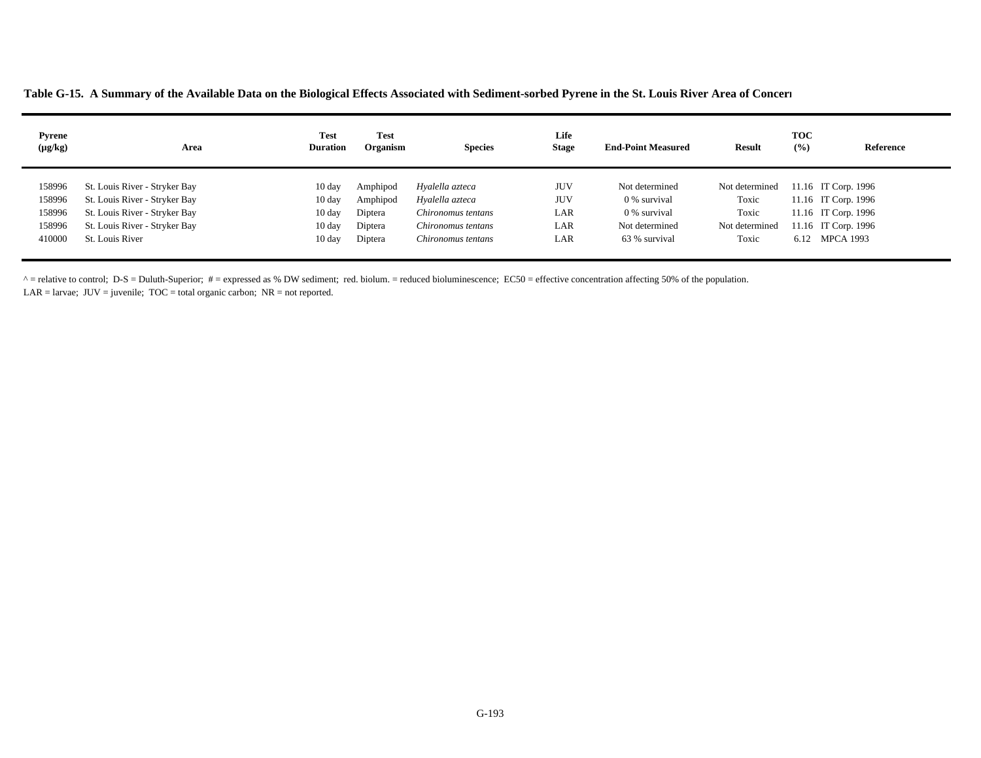**Table G-15. A Summary of the Available Data on the Biological Effects Associated with Sediment-sorbed Pyrene in the St. Louis River Area of Concer n**

| <b>Pyrene</b><br>$(\mu g/kg)$ | Area                          | <b>Test</b><br><b>Duration</b> | <b>Test</b><br>Organism | <b>Species</b>     | Life<br><b>Stage</b> | <b>End-Point Measured</b> | <b>Result</b>  | <b>TOC</b><br>(%) | Reference           |
|-------------------------------|-------------------------------|--------------------------------|-------------------------|--------------------|----------------------|---------------------------|----------------|-------------------|---------------------|
| 158996                        | St. Louis River - Stryker Bay | $10 \text{ day}$               | Amphipod                | Hyalella azteca    | <b>JUV</b>           | Not determined            | Not determined |                   | 11.16 IT Corp. 1996 |
| 158996                        | St. Louis River - Stryker Bay | $10 \text{ day}$               | Amphipod                | Hyalella azteca    | <b>JUV</b>           | 0 % survival              | Toxic          |                   | 11.16 IT Corp. 1996 |
| 158996                        | St. Louis River - Stryker Bay | $10 \text{ day}$               | Diptera                 | Chironomus tentans | LAR                  | 0 % survival              | Toxic          |                   | 11.16 IT Corp. 1996 |
| 158996                        | St. Louis River - Stryker Bay | $10 \text{ day}$               | Diptera                 | Chironomus tentans | LAR                  | Not determined            | Not determined |                   | 11.16 IT Corp. 1996 |
| 410000                        | St. Louis River               | $10 \text{ day}$               | Diptera                 | Chironomus tentans | LAR                  | 63 % survival             | Toxic          | 6.12              | <b>MPCA 1993</b>    |

 $^{\circ}$  = relative to control; D-S = Duluth-Superior; # = expressed as % DW sediment; red. biolum. = reduced bioluminescence; EC50 = effective concentration affecting 50% of the population.

LAR = larvae;  $JUV =$  juvenile;  $TOC =$  total organic carbon;  $NR =$  not reported.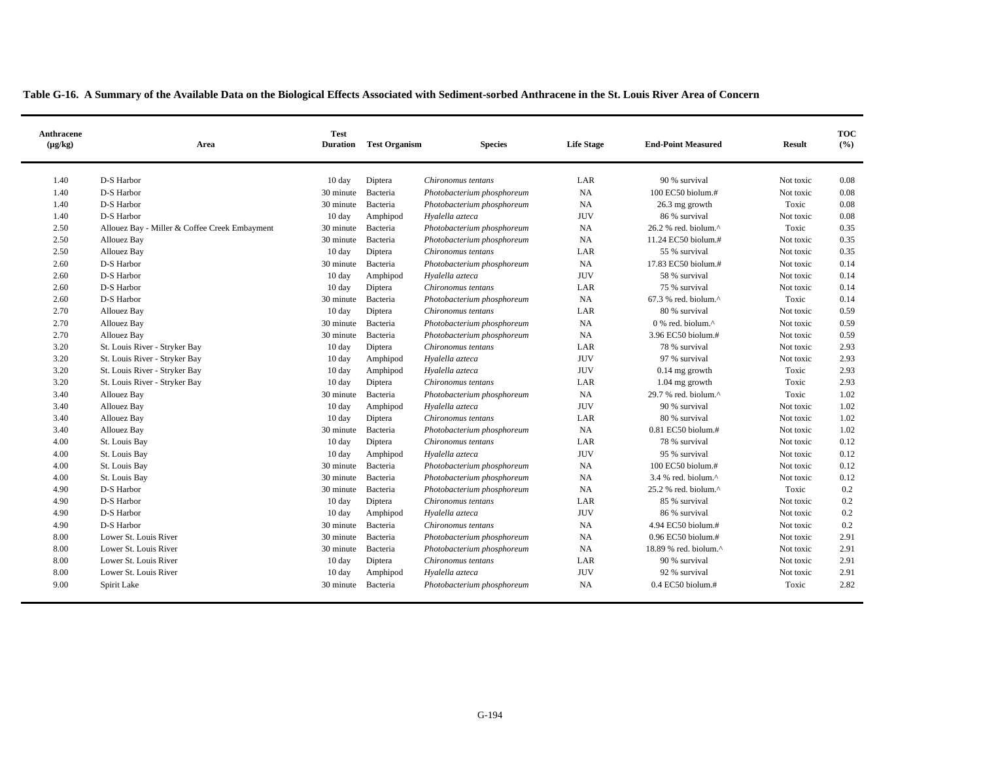| Anthracene<br>$(\mu g/kg)$ | Area                                          | <b>Test</b><br><b>Duration</b> | <b>Test Organism</b> | <b>Species</b>             | <b>Life Stage</b> | <b>End-Point Measured</b>                           | <b>Result</b> | <b>TOC</b><br>(%) |
|----------------------------|-----------------------------------------------|--------------------------------|----------------------|----------------------------|-------------------|-----------------------------------------------------|---------------|-------------------|
| 1.40                       | D-S Harbor                                    | 10 day                         | Diptera              | Chironomus tentans         | LAR               | 90 % survival                                       | Not toxic     | 0.08              |
| 1.40                       | D-S Harbor                                    | 30 minute                      | Bacteria             | Photobacterium phosphoreum | NA                | 100 EC50 biolum.#                                   | Not toxic     | 0.08              |
| 1.40                       | D-S Harbor                                    | 30 minute                      | Bacteria             | Photobacterium phosphoreum | NA                | 26.3 mg growth                                      | Toxic         | 0.08              |
| 1.40                       | D-S Harbor                                    | 10 day                         | Amphipod             | Hyalella azteca            | <b>JUV</b>        | 86 % survival                                       | Not toxic     | 0.08              |
| 2.50                       | Allouez Bay - Miller & Coffee Creek Embayment | 30 minute                      | Bacteria             | Photobacterium phosphoreum | NA                | 26.2 % red. biolum.^                                | Toxic         | 0.35              |
| 2.50                       | <b>Allouez Bay</b>                            | 30 minute                      | Bacteria             | Photobacterium phosphoreum | NA                | 11.24 EC50 biolum.#                                 | Not toxic     | 0.35              |
| 2.50                       | Allouez Bay                                   | 10 day                         | Diptera              | Chironomus tentans         | LAR               | 55 % survival                                       | Not toxic     | 0.35              |
| 2.60                       | D-S Harbor                                    | 30 minute                      | Bacteria             | Photobacterium phosphoreum | NA                | 17.83 EC50 biolum.#                                 | Not toxic     | 0.14              |
| 2.60                       | D-S Harbor                                    | $10 \text{ day}$               | Amphipod             | Hyalella azteca            | <b>JUV</b>        | 58 % survival                                       | Not toxic     | 0.14              |
| 2.60                       | D-S Harbor                                    | 10 day                         | Diptera              | Chironomus tentans         | LAR               | 75 % survival                                       | Not toxic     | 0.14              |
| 2.60                       | D-S Harbor                                    | 30 minute                      | Bacteria             | Photobacterium phosphoreum | NA                | $67.3$ % red. biolum. <sup><math>\land</math></sup> | Toxic         | 0.14              |
| 2.70                       | Allouez Bay                                   | 10 day                         | Diptera              | Chironomus tentans         | LAR               | 80 % survival                                       | Not toxic     | 0.59              |
| 2.70                       | Allouez Bay                                   | 30 minute                      | Bacteria             | Photobacterium phosphoreum | <b>NA</b>         | $0\%$ red. biolum. $\wedge$                         | Not toxic     | 0.59              |
| 2.70                       | Allouez Bay                                   | 30 minute                      | Bacteria             | Photobacterium phosphoreum | NA                | 3.96 EC50 biolum.#                                  | Not toxic     | 0.59              |
| 3.20                       | St. Louis River - Stryker Bay                 | 10 day                         | Diptera              | Chironomus tentans         | LAR               | 78 % survival                                       | Not toxic     | 2.93              |
| 3.20                       | St. Louis River - Stryker Bay                 | 10 day                         | Amphipod             | Hyalella azteca            | <b>JUV</b>        | 97 % survival                                       | Not toxic     | 2.93              |
| 3.20                       | St. Louis River - Stryker Bay                 | 10 day                         | Amphipod             | Hyalella azteca            | <b>JUV</b>        | $0.14$ mg growth                                    | Toxic         | 2.93              |
| 3.20                       | St. Louis River - Stryker Bay                 | $10 \text{ day}$               | Diptera              | Chironomus tentans         | LAR               | $1.04$ mg growth                                    | Toxic         | 2.93              |
| 3.40                       | Allouez Bay                                   | 30 minute                      | Bacteria             | Photobacterium phosphoreum | <b>NA</b>         | 29.7 % red. biolum.^                                | Toxic         | 1.02              |
| 3.40                       | Allouez Bay                                   | 10 day                         | Amphipod             | Hyalella azteca            | <b>JUV</b>        | 90 % survival                                       | Not toxic     | 1.02              |
| 3.40                       | Allouez Bay                                   | $10 \text{ day}$               | Diptera              | Chironomus tentans         | LAR               | 80 % survival                                       | Not toxic     | 1.02              |
| 3.40                       | Allouez Bay                                   | 30 minute                      | Bacteria             | Photobacterium phosphoreum | NA                | $0.81$ EC50 biolum.#                                | Not toxic     | 1.02              |
| 4.00                       | St. Louis Bay                                 | 10 day                         | Diptera              | Chironomus tentans         | LAR               | 78 % survival                                       | Not toxic     | 0.12              |
| 4.00                       | St. Louis Bay                                 | 10 day                         | Amphipod             | Hyalella azteca            | <b>JUV</b>        | 95 % survival                                       | Not toxic     | 0.12              |
| 4.00                       | St. Louis Bay                                 | 30 minute                      | Bacteria             | Photobacterium phosphoreum | NA                | 100 EC50 biolum.#                                   | Not toxic     | 0.12              |
| 4.00                       | St. Louis Bay                                 | 30 minute                      | Bacteria             | Photobacterium phosphoreum | NA                | $3.4$ % red. biolum. $^{\wedge}$                    | Not toxic     | 0.12              |
| 4.90                       | D-S Harbor                                    | 30 minute                      | Bacteria             | Photobacterium phosphoreum | NA                | 25.2 % red. biolum.^                                | Toxic         | 0.2               |
| 4.90                       | D-S Harbor                                    | $10 \text{ day}$               | Diptera              | Chironomus tentans         | LAR               | 85 % survival                                       | Not toxic     | 0.2               |
| 4.90                       | D-S Harbor                                    | 10 day                         | Amphipod             | Hyalella azteca            | <b>JUV</b>        | 86 % survival                                       | Not toxic     | 0.2               |
| 4.90                       | D-S Harbor                                    | 30 minute                      | Bacteria             | Chironomus tentans         | NA                | 4.94 EC50 biolum.#                                  | Not toxic     | 0.2               |
| 8.00                       | Lower St. Louis River                         | 30 minute                      | Bacteria             | Photobacterium phosphoreum | NA                | $0.96$ EC50 biolum.#                                | Not toxic     | 2.91              |
| 8.00                       | Lower St. Louis River                         | 30 minute                      | Bacteria             | Photobacterium phosphoreum | NA                | 18.89 % red. biolum.^                               | Not toxic     | 2.91              |
| 8.00                       | Lower St. Louis River                         | 10 day                         | Diptera              | Chironomus tentans         | LAR               | 90 % survival                                       | Not toxic     | 2.91              |
| 8.00                       | Lower St. Louis River                         | 10 day                         | Amphipod             | Hyalella azteca            | <b>JUV</b>        | 92 % survival                                       | Not toxic     | 2.91              |
| 9.00                       | Spirit Lake                                   | 30 minute                      | Bacteria             | Photobacterium phosphoreum | NA                | $0.4$ EC50 biolum.#                                 | Toxic         | 2.82              |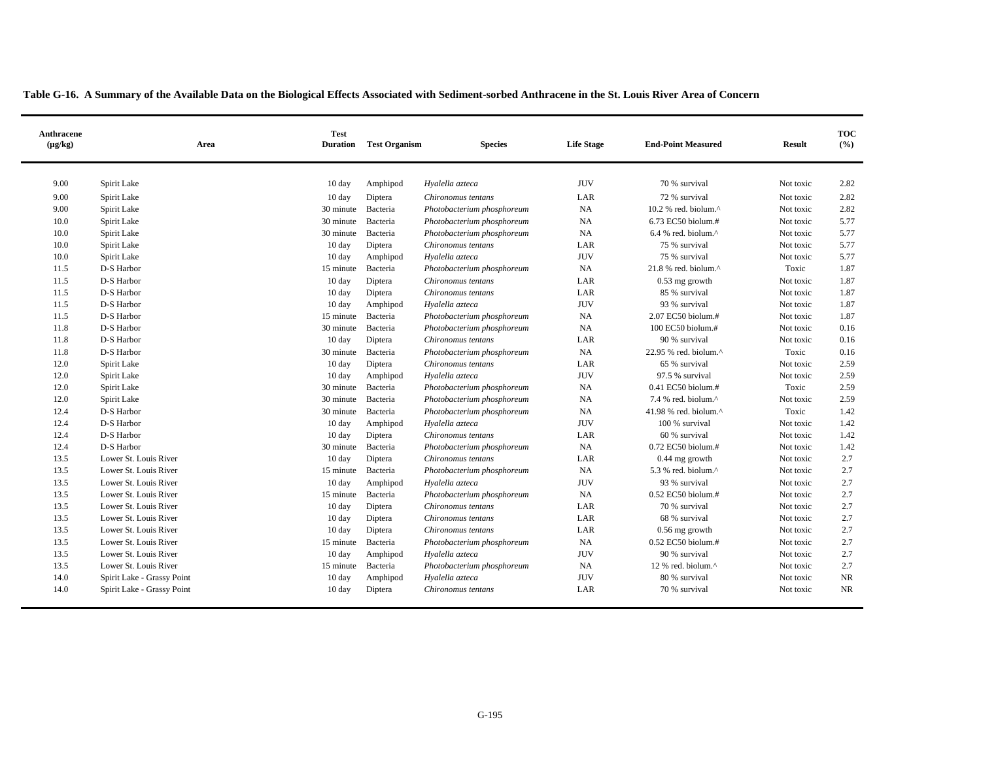| Anthracene<br>$(\mu g/kg)$ | Area                       | <b>Test</b><br><b>Duration</b> | <b>Test Organism</b> | <b>Species</b>                                           | <b>Life Stage</b> | <b>End-Point Measured</b>         | <b>Result</b>      | <b>TOC</b><br>(%) |
|----------------------------|----------------------------|--------------------------------|----------------------|----------------------------------------------------------|-------------------|-----------------------------------|--------------------|-------------------|
| 9.00                       | Spirit Lake                | 10 day                         | Amphipod             | Hyalella azteca                                          | <b>JUV</b>        | 70 % survival                     | Not toxic          | 2.82              |
| 9.00                       | Spirit Lake                | 10 day                         | Diptera              | Chironomus tentans                                       | LAR               | 72 % survival                     | Not toxic          | 2.82              |
| 9.00                       | Spirit Lake                | 30 minute                      | Bacteria             |                                                          | <b>NA</b>         | $10.2$ % red. biolum. $^{\wedge}$ | Not toxic          | 2.82              |
| 10.0                       | Spirit Lake                | 30 minute                      | Bacteria             | Photobacterium phosphoreum<br>Photobacterium phosphoreum | <b>NA</b>         | 6.73 EC50 biolum.#                | Not toxic          | 5.77              |
| 10.0                       | Spirit Lake                | 30 minute                      | Bacteria             |                                                          | NA                | $6.4$ % red. biolum. $^{\wedge}$  | Not toxic          | 5.77              |
| 10.0                       | Spirit Lake                | 10 day                         | Diptera              | Photobacterium phosphoreum<br>Chironomus tentans         | LAR               | 75 % survival                     | Not toxic          | 5.77              |
| 10.0                       | Spirit Lake                | 10 day                         |                      | Hyalella azteca                                          | <b>JUV</b>        | 75 % survival                     |                    | 5.77              |
| 11.5                       | D-S Harbor                 | 15 minute                      | Amphipod             |                                                          | <b>NA</b>         | $21.8$ % red. biolum. $^{\wedge}$ | Not toxic<br>Toxic | 1.87              |
| 11.5                       | D-S Harbor                 |                                | Bacteria             | Photobacterium phosphoreum                               |                   |                                   |                    | 1.87              |
|                            | D-S Harbor                 | 10 day                         | Diptera              | Chironomus tentans                                       | LAR               | $0.53$ mg growth<br>85 % survival | Not toxic          |                   |
| 11.5<br>11.5               |                            | 10 day                         | Diptera              | Chironomus tentans                                       | LAR<br><b>JUV</b> |                                   | Not toxic          | 1.87<br>1.87      |
|                            | D-S Harbor                 | $10 \text{ day}$               | Amphipod             | Hyalella azteca                                          |                   | 93 % survival                     | Not toxic          |                   |
| 11.5                       | D-S Harbor                 | 15 minute                      | Bacteria             | Photobacterium phosphoreum                               | <b>NA</b>         | 2.07 EC50 biolum.#                | Not toxic          | 1.87              |
| 11.8                       | D-S Harbor                 | 30 minute                      | Bacteria             | Photobacterium phosphoreum                               | NA                | 100 EC50 biolum.#                 | Not toxic          | 0.16              |
| 11.8                       | D-S Harbor                 | 10 day                         | Diptera              | Chironomus tentans                                       | LAR               | 90 % survival                     | Not toxic          | 0.16              |
| 11.8                       | D-S Harbor                 | 30 minute                      | Bacteria             | Photobacterium phosphoreum                               | <b>NA</b>         | 22.95 % red. biolum.^             | Toxic              | 0.16              |
| 12.0                       | Spirit Lake                | 10 day                         | Diptera              | Chironomus tentans                                       | LAR               | 65 % survival                     | Not toxic          | 2.59              |
| 12.0                       | Spirit Lake                | $10 \text{ day}$               | Amphipod             | Hyalella azteca                                          | <b>JUV</b>        | 97.5 % survival                   | Not toxic          | 2.59              |
| 12.0                       | Spirit Lake                | 30 minute                      | Bacteria             | Photobacterium phosphoreum                               | <b>NA</b>         | $0.41$ EC50 biolum.#              | Toxic              | 2.59              |
| 12.0                       | Spirit Lake                | 30 minute                      | Bacteria             | Photobacterium phosphoreum                               | NA                | 7.4 % red. biolum.^               | Not toxic          | 2.59              |
| 12.4                       | D-S Harbor                 | 30 minute                      | Bacteria             | Photobacterium phosphoreum                               | NA                | 41.98 % red. biolum. $\wedge$     | Toxic              | 1.42              |
| 12.4                       | D-S Harbor                 | 10 day                         | Amphipod             | Hyalella azteca                                          | <b>JUV</b>        | 100 % survival                    | Not toxic          | 1.42              |
| 12.4                       | D-S Harbor                 | 10 day                         | Diptera              | Chironomus tentans                                       | LAR               | 60 % survival                     | Not toxic          | 1.42              |
| 12.4                       | D-S Harbor                 | 30 minute                      | Bacteria             | Photobacterium phosphoreum                               | NA                | 0.72 EC50 biolum.#                | Not toxic          | 1.42              |
| 13.5                       | Lower St. Louis River      | $10 \text{ day}$               | Diptera              | Chironomus tentans                                       | LAR               | $0.44$ mg growth                  | Not toxic          | 2.7               |
| 13.5                       | Lower St. Louis River      | 15 minute                      | Bacteria             | Photobacterium phosphoreum                               | <b>NA</b>         | 5.3 % red. biolum.^               | Not toxic          | 2.7               |
| 13.5                       | Lower St. Louis River      | 10 day                         | Amphipod             | Hyalella azteca                                          | <b>JUV</b>        | 93 % survival                     | Not toxic          | 2.7               |
| 13.5                       | Lower St. Louis River      | 15 minute                      | Bacteria             | Photobacterium phosphoreum                               | NA                | $0.52$ EC50 biolum.#              | Not toxic          | 2.7               |
| 13.5                       | Lower St. Louis River      | $10 \text{ day}$               | Diptera              | Chironomus tentans                                       | LAR               | 70 % survival                     | Not toxic          | 2.7               |
| 13.5                       | Lower St. Louis River      | 10 day                         | Diptera              | Chironomus tentans                                       | LAR               | 68 % survival                     | Not toxic          | 2.7               |
| 13.5                       | Lower St. Louis River      | 10 day                         | Diptera              | Chironomus tentans                                       | LAR               | $0.56$ mg growth                  | Not toxic          | 2.7               |
| 13.5                       | Lower St. Louis River      | 15 minute                      | Bacteria             | Photobacterium phosphoreum                               | <b>NA</b>         | 0.52 EC50 biolum.#                | Not toxic          | 2.7               |
| 13.5                       | Lower St. Louis River      | 10 day                         | Amphipod             | Hyalella azteca                                          | <b>JUV</b>        | 90 % survival                     | Not toxic          | 2.7               |
| 13.5                       | Lower St. Louis River      | 15 minute                      | Bacteria             | Photobacterium phosphoreum                               | <b>NA</b>         | 12 % red. biolum. $\wedge$        | Not toxic          | 2.7               |
| 14.0                       | Spirit Lake - Grassy Point | 10 day                         | Amphipod             | Hvalella azteca                                          | <b>JUV</b>        | 80 % survival                     | Not toxic          | <b>NR</b>         |
| 14.0                       | Spirit Lake - Grassy Point | $10 \text{ day}$               | Diptera              | Chironomus tentans                                       | LAR               | 70 % survival                     | Not toxic          | <b>NR</b>         |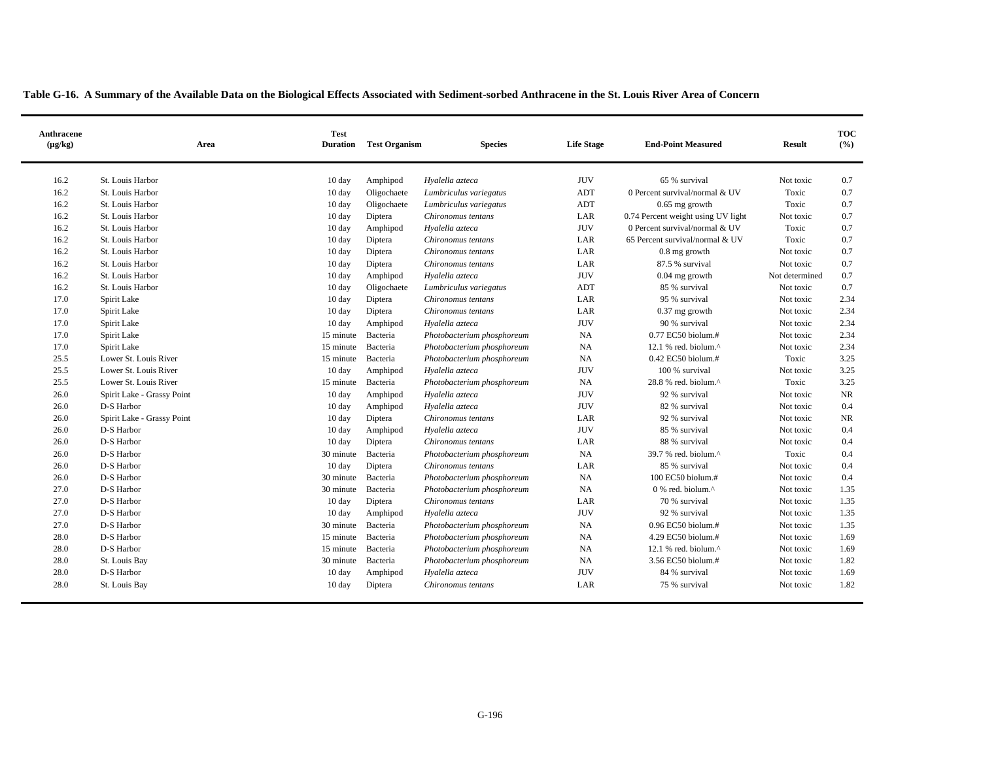| <b>Anthracene</b><br>$(\mu g/kg)$ | Area                       | <b>Test</b><br><b>Duration</b> | <b>Test Organism</b> | <b>Species</b>             | <b>Life Stage</b> | <b>End-Point Measured</b>          | <b>Result</b>  | <b>TOC</b><br>(%) |
|-----------------------------------|----------------------------|--------------------------------|----------------------|----------------------------|-------------------|------------------------------------|----------------|-------------------|
| 16.2                              | St. Louis Harbor           | $10 \text{ day}$               | Amphipod             | Hyalella azteca            | <b>JUV</b>        | 65 % survival                      | Not toxic      | 0.7               |
| 16.2                              | St. Louis Harbor           | 10 day                         | Oligochaete          | Lumbriculus variegatus     | ADT               | 0 Percent survival/normal & UV     | Toxic          | 0.7               |
| 16.2                              | St. Louis Harbor           | $10 \text{ day}$               | Oligochaete          | Lumbriculus variegatus     | ADT               | $0.65$ mg growth                   | Toxic          | 0.7               |
| 16.2                              | St. Louis Harbor           | 10 day                         | Diptera              | Chironomus tentans         | LAR               | 0.74 Percent weight using UV light | Not toxic      | 0.7               |
| 16.2                              | St. Louis Harbor           | 10 day                         | Amphipod             | Hyalella azteca            | <b>JUV</b>        | 0 Percent survival/normal & UV     | Toxic          | 0.7               |
| 16.2                              | St. Louis Harbor           | 10 day                         | Diptera              | Chironomus tentans         | LAR               | 65 Percent survival/normal & UV    | Toxic          | 0.7               |
| 16.2                              | St. Louis Harbor           | $10 \text{ day}$               | Diptera              | Chironomus tentans         | LAR               | $0.8$ mg growth                    | Not toxic      | 0.7               |
| 16.2                              | St. Louis Harbor           | $10 \text{ day}$               | Diptera              | Chironomus tentans         | LAR               | 87.5 % survival                    | Not toxic      | 0.7               |
| 16.2                              | St. Louis Harbor           | $10 \text{ day}$               | Amphipod             | Hyalella azteca            | <b>JUV</b>        | $0.04$ mg growth                   | Not determined | 0.7               |
| 16.2                              | St. Louis Harbor           | $10 \text{ day}$               | Oligochaete          | Lumbriculus variegatus     | ADT               | 85 % survival                      | Not toxic      | 0.7               |
| 17.0                              | Spirit Lake                | 10 day                         | Diptera              | Chironomus tentans         | LAR               | 95 % survival                      | Not toxic      | 2.34              |
| 17.0                              | Spirit Lake                | 10 day                         | Diptera              | Chironomus tentans         | LAR               | $0.37$ mg growth                   | Not toxic      | 2.34              |
| 17.0                              | Spirit Lake                | 10 day                         | Amphipod             | Hyalella azteca            | <b>JUV</b>        | 90 % survival                      | Not toxic      | 2.34              |
| 17.0                              | Spirit Lake                | 15 minute                      | Bacteria             | Photobacterium phosphoreum | NA                | 0.77 EC50 biolum.#                 | Not toxic      | 2.34              |
| 17.0                              | Spirit Lake                | 15 minute                      | Bacteria             | Photobacterium phosphoreum | NA                | 12.1 % red. biolum. $\wedge$       | Not toxic      | 2.34              |
| 25.5                              | Lower St. Louis River      | 15 minute                      | Bacteria             | Photobacterium phosphoreum | NA                | $0.42$ EC50 biolum.#               | Toxic          | 3.25              |
| 25.5                              | Lower St. Louis River      | 10 day                         | Amphipod             | Hyalella azteca            | <b>JUV</b>        | 100 % survival                     | Not toxic      | 3.25              |
| 25.5                              | Lower St. Louis River      | 15 minute                      | Bacteria             | Photobacterium phosphoreum | NA                | 28.8 % red. biolum.^               | Toxic          | 3.25              |
| 26.0                              | Spirit Lake - Grassy Point | $10 \text{ day}$               | Amphipod             | Hyalella azteca            | <b>JUV</b>        | 92 % survival                      | Not toxic      | NR                |
| 26.0                              | D-S Harbor                 | 10 day                         | Amphipod             | Hyalella azteca            | <b>JUV</b>        | 82 % survival                      | Not toxic      | 0.4               |
| 26.0                              | Spirit Lake - Grassy Point | $10 \text{ day}$               | Diptera              | Chironomus tentans         | LAR               | 92 % survival                      | Not toxic      | NR                |
| 26.0                              | D-S Harbor                 | $10 \text{ day}$               | Amphipod             | Hyalella azteca            | <b>JUV</b>        | 85 % survival                      | Not toxic      | 0.4               |
| 26.0                              | D-S Harbor                 | 10 day                         | Diptera              | Chironomus tentans         | LAR               | 88 % survival                      | Not toxic      | 0.4               |
| 26.0                              | D-S Harbor                 | 30 minute                      | Bacteria             | Photobacterium phosphoreum | NA                | 39.7 % red. biolum.^               | Toxic          | 0.4               |
| 26.0                              | D-S Harbor                 | 10 day                         | Diptera              | Chironomus tentans         | LAR               | 85 % survival                      | Not toxic      | 0.4               |
| 26.0                              | D-S Harbor                 | 30 minute                      | Bacteria             | Photobacterium phosphoreum | NA                | 100 EC50 biolum.#                  | Not toxic      | 0.4               |
| 27.0                              | D-S Harbor                 | 30 minute                      | Bacteria             | Photobacterium phosphoreum | NA                | $0\%$ red. biolum. $\wedge$        | Not toxic      | 1.35              |
| 27.0                              | D-S Harbor                 | 10 day                         | Diptera              | Chironomus tentans         | LAR               | 70 % survival                      | Not toxic      | 1.35              |
| 27.0                              | D-S Harbor                 | $10 \text{ day}$               | Amphipod             | Hyalella azteca            | <b>JUV</b>        | 92 % survival                      | Not toxic      | 1.35              |
| 27.0                              | D-S Harbor                 | 30 minute                      | Bacteria             | Photobacterium phosphoreum | NA                | 0.96 EC50 biolum.#                 | Not toxic      | 1.35              |
| 28.0                              | D-S Harbor                 | 15 minute                      | Bacteria             | Photobacterium phosphoreum | NA                | 4.29 EC50 biolum.#                 | Not toxic      | 1.69              |
| 28.0                              | D-S Harbor                 | 15 minute                      | Bacteria             | Photobacterium phosphoreum | $_{\rm NA}$       | 12.1 % red. biolum.^               | Not toxic      | 1.69              |
| 28.0                              | St. Louis Bay              | 30 minute                      | Bacteria             | Photobacterium phosphoreum | NA                | 3.56 EC50 biolum.#                 | Not toxic      | 1.82              |
| 28.0                              | D-S Harbor                 | 10 day                         | Amphipod             | Hyalella azteca            | <b>JUV</b>        | 84 % survival                      | Not toxic      | 1.69              |
| 28.0                              | St. Louis Bay              | $10 \text{ day}$               | Diptera              | Chironomus tentans         | LAR               | 75 % survival                      | Not toxic      | 1.82              |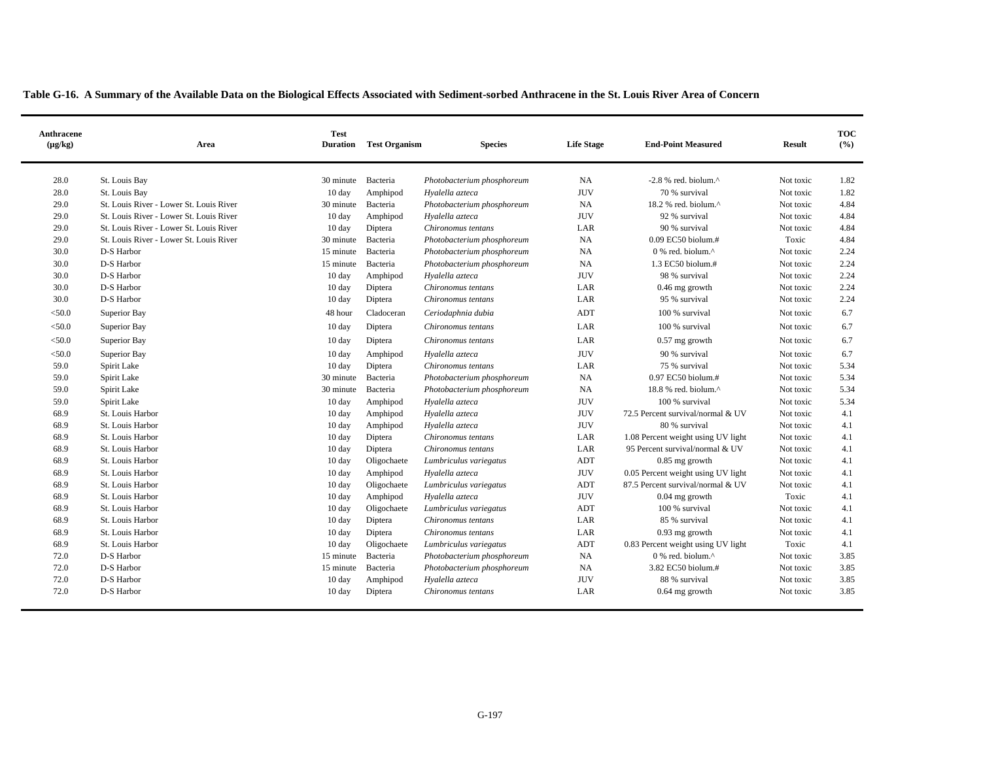| Anthracene<br>$(\mu g/kg)$ | Area                                    | <b>Test</b><br><b>Duration</b> | <b>Test Organism</b> | <b>Species</b>             | <b>Life Stage</b> | <b>End-Point Measured</b>          | <b>Result</b> | <b>TOC</b><br>(9/6) |
|----------------------------|-----------------------------------------|--------------------------------|----------------------|----------------------------|-------------------|------------------------------------|---------------|---------------------|
| 28.0                       | St. Louis Bay                           | 30 minute                      | Bacteria             | Photobacterium phosphoreum | <b>NA</b>         | $-2.8$ % red. biolum. $\wedge$     | Not toxic     | 1.82                |
| 28.0                       | St. Louis Bay                           | 10 day                         | Amphipod             | Hyalella azteca            | <b>JUV</b>        | 70 % survival                      | Not toxic     | 1.82                |
| 29.0                       | St. Louis River - Lower St. Louis River | 30 minute                      | Bacteria             | Photobacterium phosphoreum | <b>NA</b>         | 18.2 % red. biolum.^               | Not toxic     | 4.84                |
| 29.0                       | St. Louis River - Lower St. Louis River | 10 day                         | Amphipod             | Hyalella azteca            | <b>JUV</b>        | 92 % survival                      | Not toxic     | 4.84                |
| 29.0                       | St. Louis River - Lower St. Louis River | 10 day                         | Diptera              | Chironomus tentans         | LAR               | 90 % survival                      | Not toxic     | 4.84                |
| 29.0                       | St. Louis River - Lower St. Louis River | 30 minute                      | Bacteria             | Photobacterium phosphoreum | <b>NA</b>         | $0.09$ EC50 biolum.#               | Toxic         | 4.84                |
| 30.0                       | D-S Harbor                              | 15 minute                      | Bacteria             | Photobacterium phosphoreum | NA                | $0\%$ red. biolum. $\wedge$        | Not toxic     | 2.24                |
| 30.0                       | D-S Harbor                              | 15 minute                      | Bacteria             | Photobacterium phosphoreum | <b>NA</b>         | 1.3 EC50 biolum.#                  | Not toxic     | 2.24                |
| 30.0                       | D-S Harbor                              | 10 day                         | Amphipod             | Hyalella azteca            | <b>JUV</b>        | 98 % survival                      | Not toxic     | 2.24                |
| 30.0                       | D-S Harbor                              | 10 day                         | Diptera              | Chironomus tentans         | LAR               | $0.46$ mg growth                   | Not toxic     | 2.24                |
| 30.0                       | D-S Harbor                              | 10 day                         | Diptera              | Chironomus tentans         | LAR               | 95 % survival                      | Not toxic     | 2.24                |
| $<$ 50.0                   | Superior Bay                            | 48 hour                        | Cladoceran           | Ceriodaphnia dubia         | ADT               | 100 % survival                     | Not toxic     | 6.7                 |
| $<$ 50.0                   | Superior Bay                            | 10 day                         | Diptera              | Chironomus tentans         | LAR               | 100 % survival                     | Not toxic     | 6.7                 |
| $<$ 50.0                   | Superior Bay                            | 10 day                         | Diptera              | Chironomus tentans         | LAR               | $0.57$ mg growth                   | Not toxic     | 6.7                 |
| $<$ 50.0                   | Superior Bay                            | 10 day                         | Amphipod             | Hyalella azteca            | <b>JUV</b>        | 90 % survival                      | Not toxic     | 6.7                 |
| 59.0                       | Spirit Lake                             | 10 day                         | Diptera              | Chironomus tentans         | LAR               | 75 % survival                      | Not toxic     | 5.34                |
| 59.0                       | Spirit Lake                             | 30 minute                      | Bacteria             | Photobacterium phosphoreum | NA                | 0.97 EC50 biolum.#                 | Not toxic     | 5.34                |
| 59.0                       | Spirit Lake                             | 30 minute                      | Bacteria             | Photobacterium phosphoreum | NA                | $18.8%$ red. biolum. $^{\wedge}$   | Not toxic     | 5.34                |
| 59.0                       | Spirit Lake                             | $10 \text{ day}$               | Amphipod             | Hyalella azteca            | <b>JUV</b>        | 100 % survival                     | Not toxic     | 5.34                |
| 68.9                       | St. Louis Harbor                        | 10 day                         | Amphipod             | Hyalella azteca            | <b>JUV</b>        | 72.5 Percent survival/normal & UV  | Not toxic     | 4.1                 |
| 68.9                       | St. Louis Harbor                        | 10 day                         | Amphipod             | Hyalella azteca            | <b>JUV</b>        | 80 % survival                      | Not toxic     | 4.1                 |
| 68.9                       | St. Louis Harbor                        | 10 day                         | Diptera              | Chironomus tentans         | LAR               | 1.08 Percent weight using UV light | Not toxic     | 4.1                 |
| 68.9                       | St. Louis Harbor                        | 10 day                         | Diptera              | Chironomus tentans         | LAR               | 95 Percent survival/normal & UV    | Not toxic     | 4.1                 |
| 68.9                       | St. Louis Harbor                        | 10 day                         | Oligochaete          | Lumbriculus variegatus     | ADT               | $0.85$ mg growth                   | Not toxic     | 4.1                 |
| 68.9                       | St. Louis Harbor                        | 10 day                         | Amphipod             | Hyalella azteca            | <b>JUV</b>        | 0.05 Percent weight using UV light | Not toxic     | 4.1                 |
| 68.9                       | St. Louis Harbor                        | 10 day                         | Oligochaete          | Lumbriculus variegatus     | ADT               | 87.5 Percent survival/normal & UV  | Not toxic     | 4.1                 |
| 68.9                       | St. Louis Harbor                        | 10 day                         | Amphipod             | Hyalella azteca            | <b>JUV</b>        | $0.04$ mg growth                   | Toxic         | 4.1                 |
| 68.9                       | St. Louis Harbor                        | 10 day                         | Oligochaete          | Lumbriculus variegatus     | ADT               | 100 % survival                     | Not toxic     | 4.1                 |
| 68.9                       | St. Louis Harbor                        | 10 day                         | Diptera              | Chironomus tentans         | LAR               | 85 % survival                      | Not toxic     | 4.1                 |
| 68.9                       | St. Louis Harbor                        | 10 day                         | Diptera              | Chironomus tentans         | LAR               | $0.93$ mg growth                   | Not toxic     | 4.1                 |
| 68.9                       | St. Louis Harbor                        | 10 day                         | Oligochaete          | Lumbriculus variegatus     | ADT               | 0.83 Percent weight using UV light | Toxic         | 4.1                 |
| 72.0                       | D-S Harbor                              | 15 minute                      | Bacteria             | Photobacterium phosphoreum | NA                | $0\%$ red. biolum. $\land$         | Not toxic     | 3.85                |
| 72.0                       | D-S Harbor                              | 15 minute                      | Bacteria             | Photobacterium phosphoreum | NA                | 3.82 EC50 biolum.#                 | Not toxic     | 3.85                |
| 72.0                       | D-S Harbor                              | 10 day                         | Amphipod             | Hyalella azteca            | <b>JUV</b>        | 88 % survival                      | Not toxic     | 3.85                |
| 72.0                       | D-S Harbor                              | 10 day                         | Diptera              | Chironomus tentans         | LAR               | $0.64$ mg growth                   | Not toxic     | 3.85                |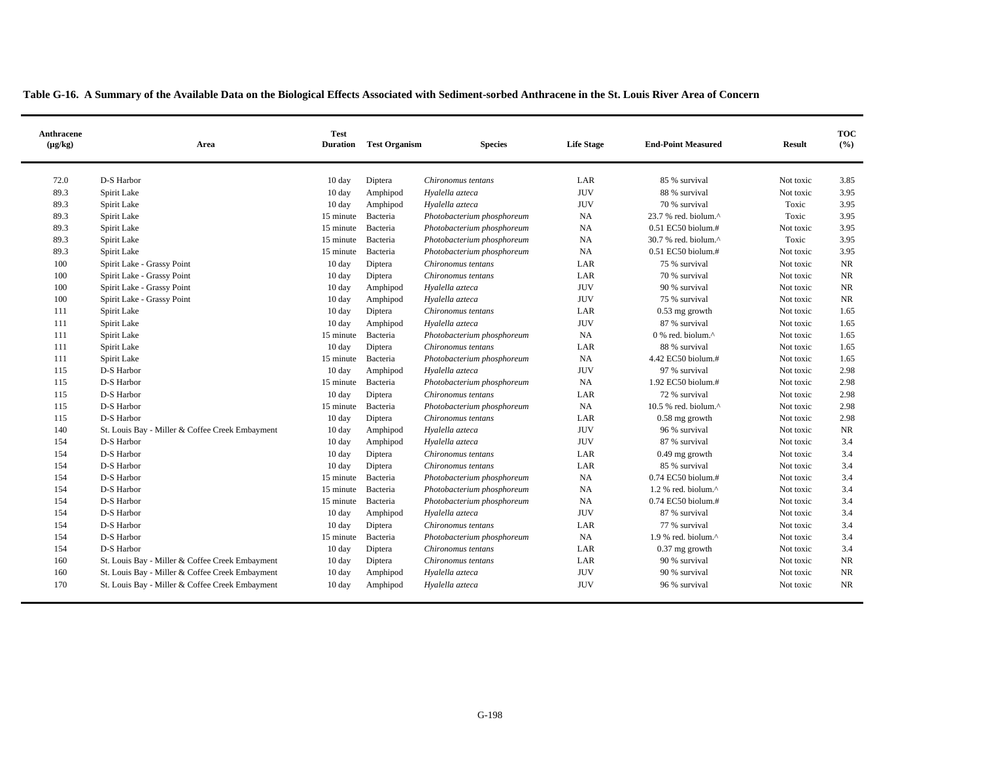| Anthracene<br>$(\mu g/kg)$ | Area                                            | <b>Test</b><br><b>Duration</b> | <b>Test Organism</b> | <b>Species</b>             | <b>Life Stage</b> | <b>End-Point Measured</b>        | <b>Result</b> | <b>TOC</b><br>(9/0) |
|----------------------------|-------------------------------------------------|--------------------------------|----------------------|----------------------------|-------------------|----------------------------------|---------------|---------------------|
| 72.0                       | D-S Harbor                                      | $10 \text{ day}$               | Diptera              | Chironomus tentans         | LAR               | 85 % survival                    | Not toxic     | 3.85                |
| 89.3                       | Spirit Lake                                     | 10 day                         | Amphipod             | Hyalella azteca            | <b>JUV</b>        | 88 % survival                    | Not toxic     | 3.95                |
| 89.3                       | Spirit Lake                                     | 10 day                         | Amphipod             | Hyalella azteca            | <b>JUV</b>        | 70 % survival                    | Toxic         | 3.95                |
| 89.3                       | Spirit Lake                                     | 15 minute                      | Bacteria             | Photobacterium phosphoreum | NA                | 23.7 % red. biolum.^             | Toxic         | 3.95                |
| 89.3                       | Spirit Lake                                     | 15 minute                      | Bacteria             | Photobacterium phosphoreum | NA                | $0.51$ EC50 biolum.#             | Not toxic     | 3.95                |
| 89.3                       | Spirit Lake                                     | 15 minute                      | Bacteria             | Photobacterium phosphoreum | NA                | 30.7 % red. biolum.^             | Toxic         | 3.95                |
| 89.3                       | Spirit Lake                                     | 15 minute                      | Bacteria             | Photobacterium phosphoreum | NA                | 0.51 EC50 biolum.#               | Not toxic     | 3.95                |
| 100                        | Spirit Lake - Grassy Point                      | 10 day                         | Diptera              | Chironomus tentans         | LAR               | 75 % survival                    | Not toxic     | NR                  |
| 100                        | Spirit Lake - Grassy Point                      | 10 day                         | Diptera              | Chironomus tentans         | LAR               | 70 % survival                    | Not toxic     | <b>NR</b>           |
| 100                        | Spirit Lake - Grassy Point                      | 10 day                         | Amphipod             | Hyalella azteca            | <b>JUV</b>        | 90 % survival                    | Not toxic     | NR                  |
| 100                        | Spirit Lake - Grassy Point                      | 10 day                         | Amphipod             | Hyalella azteca            | <b>JUV</b>        | 75 % survival                    | Not toxic     | NR                  |
| 111                        | Spirit Lake                                     | 10 day                         | Diptera              | Chironomus tentans         | LAR               | 0.53 mg growth                   | Not toxic     | 1.65                |
| 111                        | Spirit Lake                                     | 10 day                         | Amphipod             | Hyalella azteca            | <b>JUV</b>        | 87 % survival                    | Not toxic     | 1.65                |
| 111                        | Spirit Lake                                     | 15 minute                      | Bacteria             | Photobacterium phosphoreum | NA                | 0 % red. biolum.^                | Not toxic     | 1.65                |
| 111                        | Spirit Lake                                     | 10 day                         | Diptera              | Chironomus tentans         | LAR               | 88 % survival                    | Not toxic     | 1.65                |
| 111                        | Spirit Lake                                     | 15 minute                      | Bacteria             | Photobacterium phosphoreum | NA                | 4.42 EC50 biolum.#               | Not toxic     | 1.65                |
| 115                        | D-S Harbor                                      | 10 day                         | Amphipod             | Hyalella azteca            | <b>JUV</b>        | 97 % survival                    | Not toxic     | 2.98                |
| 115                        | D-S Harbor                                      | 15 minute                      | Bacteria             | Photobacterium phosphoreum | NA                | 1.92 EC50 biolum.#               | Not toxic     | 2.98                |
| 115                        | D-S Harbor                                      | 10 day                         | Diptera              | Chironomus tentans         | LAR               | 72 % survival                    | Not toxic     | 2.98                |
| 115                        | D-S Harbor                                      | 15 minute                      | Bacteria             | Photobacterium phosphoreum | NA                | 10.5 % red. biolum.^             | Not toxic     | 2.98                |
| 115                        | D-S Harbor                                      | 10 day                         | Diptera              | Chironomus tentans         | LAR               | $0.58$ mg growth                 | Not toxic     | 2.98                |
| 140                        | St. Louis Bay - Miller & Coffee Creek Embayment | 10 day                         | Amphipod             | Hyalella azteca            | <b>JUV</b>        | 96 % survival                    | Not toxic     | <b>NR</b>           |
| 154                        | D-S Harbor                                      | 10 day                         | Amphipod             | Hyalella azteca            | <b>JUV</b>        | 87 % survival                    | Not toxic     | 3.4                 |
| 154                        | D-S Harbor                                      | 10 day                         | Diptera              | Chironomus tentans         | LAR               | $0.49$ mg growth                 | Not toxic     | 3.4                 |
| 154                        | D-S Harbor                                      | 10 day                         | Diptera              | Chironomus tentans         | LAR               | 85 % survival                    | Not toxic     | 3.4                 |
| 154                        | D-S Harbor                                      | 15 minute                      | Bacteria             | Photobacterium phosphoreum | NA                | 0.74 EC50 biolum.#               | Not toxic     | 3.4                 |
| 154                        | D-S Harbor                                      | 15 minute                      | Bacteria             | Photobacterium phosphoreum | NA                | 1.2 % red. biolum. $^{\wedge}$   | Not toxic     | 3.4                 |
| 154                        | D-S Harbor                                      | 15 minute                      | Bacteria             | Photobacterium phosphoreum | NA                | $0.74$ EC50 biolum.#             | Not toxic     | 3.4                 |
| 154                        | D-S Harbor                                      | 10 day                         | Amphipod             | Hyalella azteca            | <b>JUV</b>        | 87 % survival                    | Not toxic     | 3.4                 |
| 154                        | D-S Harbor                                      | 10 day                         | Diptera              | Chironomus tentans         | LAR               | 77 % survival                    | Not toxic     | 3.4                 |
| 154                        | D-S Harbor                                      | 15 minute                      | Bacteria             | Photobacterium phosphoreum | <b>NA</b>         | $1.9$ % red. biolum. $^{\wedge}$ | Not toxic     | 3.4                 |
| 154                        | D-S Harbor                                      | $10 \text{ day}$               | Diptera              | Chironomus tentans         | LAR               | $0.37$ mg growth                 | Not toxic     | 3.4                 |
| 160                        | St. Louis Bay - Miller & Coffee Creek Embayment | 10 day                         | Diptera              | Chironomus tentans         | LAR               | 90 % survival                    | Not toxic     | NR                  |
| 160                        | St. Louis Bay - Miller & Coffee Creek Embayment | 10 day                         | Amphipod             | Hyalella azteca            | <b>JUV</b>        | 90 % survival                    | Not toxic     | NR                  |
| 170                        | St. Louis Bay - Miller & Coffee Creek Embayment | $10 \text{ day}$               | Amphipod             | Hyalella azteca            | <b>JUV</b>        | 96 % survival                    | Not toxic     | <b>NR</b>           |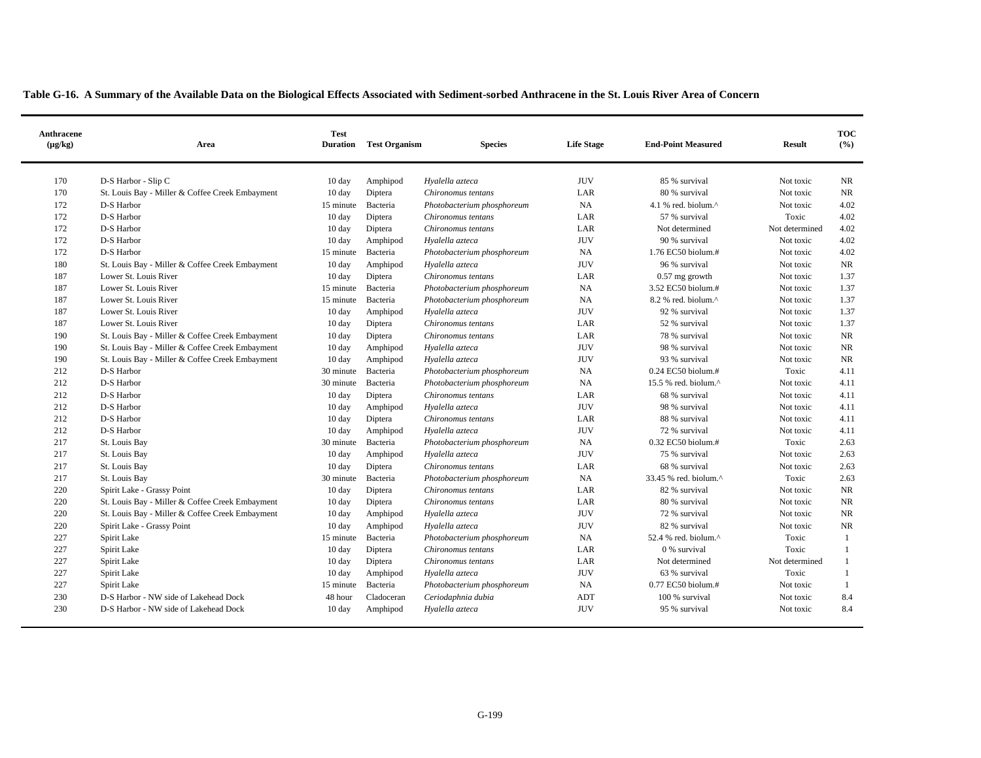| Anthracene<br>$(\mu g/kg)$ | Area                                            | <b>Test</b><br><b>Duration</b> | <b>Test Organism</b> | <b>Species</b>             | <b>Life Stage</b> | <b>End-Point Measured</b> | <b>Result</b>  | <b>TOC</b><br>(%) |
|----------------------------|-------------------------------------------------|--------------------------------|----------------------|----------------------------|-------------------|---------------------------|----------------|-------------------|
| 170                        | D-S Harbor - Slip C                             | 10 day                         | Amphipod             | Hyalella azteca            | <b>JUV</b>        | 85 % survival             | Not toxic      | NR                |
| 170                        | St. Louis Bay - Miller & Coffee Creek Embayment | 10 day                         | Diptera              | Chironomus tentans         | LAR               | 80 % survival             | Not toxic      | <b>NR</b>         |
| 172                        | D-S Harbor                                      | 15 minute                      | Bacteria             | Photobacterium phosphoreum | NA                | 4.1 % red. biolum.^       | Not toxic      | 4.02              |
| 172                        | D-S Harbor                                      | $10 \text{ day}$               | Diptera              | Chironomus tentans         | LAR               | 57 % survival             | Toxic          | 4.02              |
| 172                        | D-S Harbor                                      | 10 day                         | Diptera              | Chironomus tentans         | LAR               | Not determined            | Not determined | 4.02              |
| 172                        | D-S Harbor                                      | 10 day                         | Amphipod             | Hyalella azteca            | <b>JUV</b>        | 90 % survival             | Not toxic      | 4.02              |
| 172                        | D-S Harbor                                      | 15 minute                      | Bacteria             | Photobacterium phosphoreum | <b>NA</b>         | 1.76 EC50 biolum.#        | Not toxic      | 4.02              |
| 180                        | St. Louis Bay - Miller & Coffee Creek Embayment | $10 \text{ day}$               | Amphipod             | Hyalella azteca            | <b>JUV</b>        | 96 % survival             | Not toxic      | <b>NR</b>         |
| 187                        | Lower St. Louis River                           | 10 day                         | Diptera              | Chironomus tentans         | LAR               | $0.57$ mg growth          | Not toxic      | 1.37              |
| 187                        | Lower St. Louis River                           | 15 minute                      | Bacteria             | Photobacterium phosphoreum | NA                | 3.52 EC50 biolum.#        | Not toxic      | 1.37              |
| 187                        | Lower St. Louis River                           | 15 minute                      | Bacteria             | Photobacterium phosphoreum | NA                | 8.2 % red. biolum.^       | Not toxic      | 1.37              |
| 187                        | Lower St. Louis River                           | 10 day                         | Amphipod             | Hyalella azteca            | <b>JUV</b>        | 92 % survival             | Not toxic      | 1.37              |
| 187                        | Lower St. Louis River                           | $10 \text{ day}$               | Diptera              | Chironomus tentans         | LAR               | 52 % survival             | Not toxic      | 1.37              |
| 190                        | St. Louis Bay - Miller & Coffee Creek Embayment | $10 \text{ day}$               | Diptera              | Chironomus tentans         | LAR               | 78 % survival             | Not toxic      | NR                |
| 190                        | St. Louis Bay - Miller & Coffee Creek Embayment | $10 \text{ day}$               | Amphipod             | Hyalella azteca            | <b>JUV</b>        | 98 % survival             | Not toxic      | <b>NR</b>         |
| 190                        | St. Louis Bay - Miller & Coffee Creek Embayment | 10 day                         | Amphipod             | Hyalella azteca            | <b>JUV</b>        | 93 % survival             | Not toxic      | <b>NR</b>         |
| 212                        | D-S Harbor                                      | 30 minute                      | Bacteria             | Photobacterium phosphoreum | NA                | $0.24$ EC50 biolum.#      | Toxic          | 4.11              |
| 212                        | D-S Harbor                                      | 30 minute                      | Bacteria             | Photobacterium phosphoreum | <b>NA</b>         | 15.5 % red. biolum.^      | Not toxic      | 4.11              |
| 212                        | D-S Harbor                                      | $10 \text{ day}$               | Diptera              | Chironomus tentans         | LAR               | 68 % survival             | Not toxic      | 4.11              |
| 212                        | D-S Harbor                                      | $10 \text{ day}$               | Amphipod             | Hyalella azteca            | <b>JUV</b>        | 98 % survival             | Not toxic      | 4.11              |
| 212                        | D-S Harbor                                      | 10 day                         | Diptera              | Chironomus tentans         | LAR               | 88 % survival             | Not toxic      | 4.11              |
| 212                        | D-S Harbor                                      | 10 day                         | Amphipod             | Hyalella azteca            | <b>JUV</b>        | 72 % survival             | Not toxic      | 4.11              |
| 217                        | St. Louis Bay                                   | 30 minute                      | Bacteria             | Photobacterium phosphoreum | <b>NA</b>         | 0.32 EC50 biolum.#        | Toxic          | 2.63              |
| 217                        | St. Louis Bay                                   | $10 \text{ day}$               | Amphipod             | Hyalella azteca            | <b>JUV</b>        | 75 % survival             | Not toxic      | 2.63              |
| 217                        | St. Louis Bay                                   | 10 day                         | Diptera              | Chironomus tentans         | LAR               | 68 % survival             | Not toxic      | 2.63              |
| 217                        | St. Louis Bay                                   | 30 minute                      | Bacteria             | Photobacterium phosphoreum | <b>NA</b>         | 33.45 % red. biolum.^     | Toxic          | 2.63              |
| 220                        | Spirit Lake - Grassy Point                      | $10 \text{ day}$               | Diptera              | Chironomus tentans         | LAR               | 82 % survival             | Not toxic      | NR                |
| 220                        | St. Louis Bay - Miller & Coffee Creek Embayment | $10 \text{ day}$               | Diptera              | Chironomus tentans         | LAR               | 80 % survival             | Not toxic      | <b>NR</b>         |
| 220                        | St. Louis Bay - Miller & Coffee Creek Embayment | 10 day                         | Amphipod             | Hyalella azteca            | <b>JUV</b>        | 72 % survival             | Not toxic      | NR                |
| 220                        | Spirit Lake - Grassy Point                      | $10 \text{ day}$               | Amphipod             | Hyalella azteca            | <b>JUV</b>        | 82 % survival             | Not toxic      | <b>NR</b>         |
| 227                        | Spirit Lake                                     | 15 minute                      | Bacteria             | Photobacterium phosphoreum | <b>NA</b>         | 52.4 % red. biolum.^      | Toxic          | 1                 |
| 227                        | Spirit Lake                                     | $10 \text{ day}$               | Diptera              | Chironomus tentans         | LAR               | 0 % survival              | Toxic          | $\mathbf{1}$      |
| 227                        | Spirit Lake                                     | $10 \text{ day}$               | Diptera              | Chironomus tentans         | LAR               | Not determined            | Not determined | -1                |
| 227                        | Spirit Lake                                     | $10 \text{ day}$               | Amphipod             | Hyalella azteca            | <b>JUV</b>        | 63 % survival             | Toxic          | $\mathbf{1}$      |
| 227                        | Spirit Lake                                     | 15 minute                      | Bacteria             | Photobacterium phosphoreum | <b>NA</b>         | 0.77 EC50 biolum.#        | Not toxic      | $\mathbf{1}$      |
| 230                        | D-S Harbor - NW side of Lakehead Dock           | 48 hour                        | Cladoceran           | Ceriodaphnia dubia         | ADT               | 100 % survival            | Not toxic      | 8.4               |
| 230                        | D-S Harbor - NW side of Lakehead Dock           | $10 \text{ day}$               | Amphipod             | Hyalella azteca            | <b>JUV</b>        | 95 % survival             | Not toxic      | 8.4               |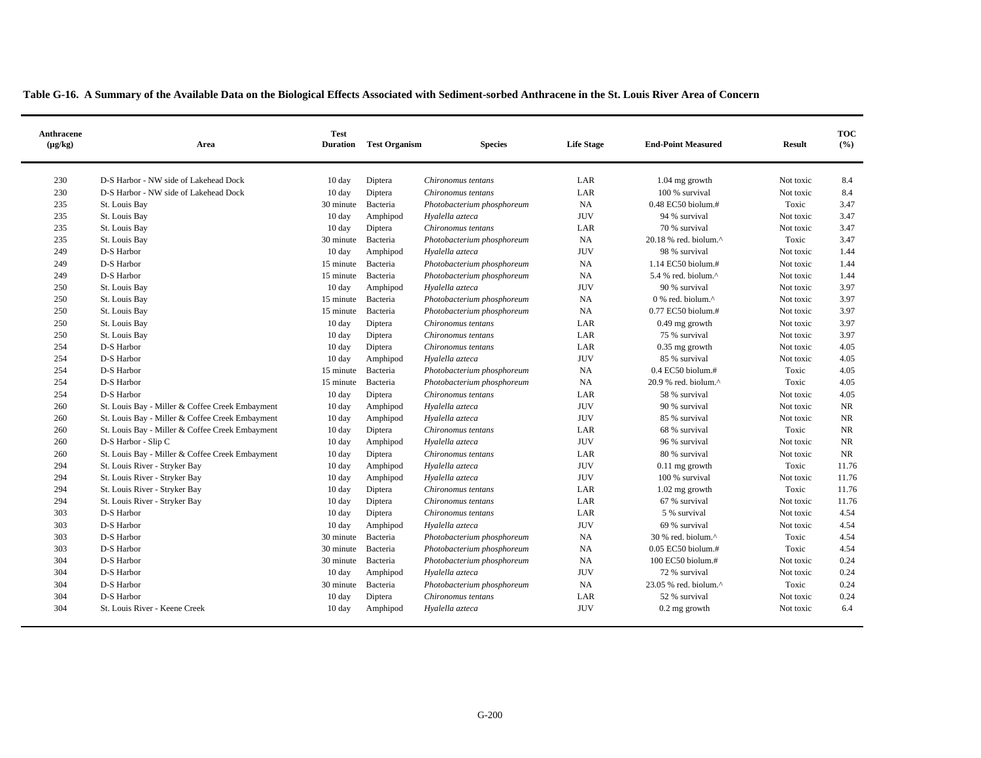| Anthracene<br>$(\mu g/kg)$ | Area                                            | <b>Test</b><br><b>Duration</b> | <b>Test Organism</b> | <b>Species</b>             | <b>Life Stage</b> | <b>End-Point Measured</b>                        | <b>Result</b> | <b>TOC</b><br>(%) |
|----------------------------|-------------------------------------------------|--------------------------------|----------------------|----------------------------|-------------------|--------------------------------------------------|---------------|-------------------|
| 230                        | D-S Harbor - NW side of Lakehead Dock           | 10 day                         | Diptera              | Chironomus tentans         | LAR               | $1.04$ mg growth                                 | Not toxic     | 8.4               |
| 230                        | D-S Harbor - NW side of Lakehead Dock           | 10 day                         | Diptera              | Chironomus tentans         | LAR               | 100 % survival                                   | Not toxic     | 8.4               |
| 235                        | St. Louis Bay                                   | 30 minute                      | Bacteria             | Photobacterium phosphoreum | NA                | $0.48$ EC50 biolum.#                             | Toxic         | 3.47              |
| 235                        | St. Louis Bay                                   | $10 \text{ day}$               | Amphipod             | Hyalella azteca            | <b>JUV</b>        | 94 % survival                                    | Not toxic     | 3.47              |
| 235                        | St. Louis Bay                                   | 10 day                         | Diptera              | Chironomus tentans         | LAR               | 70 % survival                                    | Not toxic     | 3.47              |
| 235                        | St. Louis Bay                                   | 30 minute                      | Bacteria             | Photobacterium phosphoreum | NA                | 20.18 % red. biolum. $^{\wedge}$                 | Toxic         | 3.47              |
| 249                        | D-S Harbor                                      | 10 day                         | Amphipod             | Hyalella azteca            | <b>JUV</b>        | 98 % survival                                    | Not toxic     | 1.44              |
| 249                        | D-S Harbor                                      | 15 minute                      | Bacteria             | Photobacterium phosphoreum | <b>NA</b>         | 1.14 EC50 biolum.#                               | Not toxic     | 1.44              |
| 249                        | D-S Harbor                                      | 15 minute                      | Bacteria             | Photobacterium phosphoreum | <b>NA</b>         | 5.4 % red. biolum.^                              | Not toxic     | 1.44              |
| 250                        | St. Louis Bay                                   | $10 \text{ day}$               | Amphipod             | Hyalella azteca            | <b>JUV</b>        | 90 % survival                                    | Not toxic     | 3.97              |
| 250                        | St. Louis Bay                                   | 15 minute                      | Bacteria             | Photobacterium phosphoreum | <b>NA</b>         | $0\%$ red. biolum. <sup><math>\land</math></sup> | Not toxic     | 3.97              |
| 250                        | St. Louis Bay                                   | 15 minute                      | Bacteria             | Photobacterium phosphoreum | NA                | 0.77 EC50 biolum.#                               | Not toxic     | 3.97              |
| 250                        | St. Louis Bay                                   | $10 \text{ day}$               | Diptera              | Chironomus tentans         | LAR               | $0.49$ mg growth                                 | Not toxic     | 3.97              |
| 250                        | St. Louis Bay                                   | 10 day                         | Diptera              | Chironomus tentans         | LAR               | 75 % survival                                    | Not toxic     | 3.97              |
| 254                        | D-S Harbor                                      | 10 day                         | Diptera              | Chironomus tentans         | LAR               | $0.35$ mg growth                                 | Not toxic     | 4.05              |
| 254                        | D-S Harbor                                      | 10 day                         | Amphipod             | Hyalella azteca            | <b>JUV</b>        | 85 % survival                                    | Not toxic     | 4.05              |
| 254                        | D-S Harbor                                      | 15 minute                      | Bacteria             | Photobacterium phosphoreum | NA                | 0.4 EC50 biolum.#                                | Toxic         | 4.05              |
| 254                        | D-S Harbor                                      | 15 minute                      | Bacteria             | Photobacterium phosphoreum | <b>NA</b>         | $20.9%$ red. biolum. $^{\wedge}$                 | Toxic         | 4.05              |
| 254                        | D-S Harbor                                      | $10 \text{ day}$               | Diptera              | Chironomus tentans         | LAR               | 58 % survival                                    | Not toxic     | 4.05              |
| 260                        | St. Louis Bay - Miller & Coffee Creek Embayment | $10 \text{ day}$               | Amphipod             | Hyalella azteca            | <b>JUV</b>        | 90 % survival                                    | Not toxic     | <b>NR</b>         |
| 260                        | St. Louis Bay - Miller & Coffee Creek Embayment | $10 \text{ day}$               | Amphipod             | Hyalella azteca            | <b>JUV</b>        | 85 % survival                                    | Not toxic     | <b>NR</b>         |
| 260                        | St. Louis Bay - Miller & Coffee Creek Embayment | 10 day                         | Diptera              | Chironomus tentans         | LAR               | 68 % survival                                    | Toxic         | <b>NR</b>         |
| 260                        | D-S Harbor - Slip C                             | $10 \text{ day}$               | Amphipod             | Hyalella azteca            | <b>JUV</b>        | 96 % survival                                    | Not toxic     | <b>NR</b>         |
| 260                        | St. Louis Bay - Miller & Coffee Creek Embayment | 10 day                         | Diptera              | Chironomus tentans         | LAR               | 80 % survival                                    | Not toxic     | NR                |
| 294                        | St. Louis River - Stryker Bay                   | $10 \text{ day}$               | Amphipod             | Hyalella azteca            | <b>JUV</b>        | $0.11$ mg growth                                 | Toxic         | 11.76             |
| 294                        | St. Louis River - Stryker Bay                   | 10 day                         | Amphipod             | Hyalella azteca            | <b>JUV</b>        | 100 % survival                                   | Not toxic     | 11.76             |
| 294                        | St. Louis River - Stryker Bay                   | $10 \text{ day}$               | Diptera              | Chironomus tentans         | LAR               | $1.02$ mg growth                                 | Toxic         | 11.76             |
| 294                        | St. Louis River - Stryker Bay                   | 10 day                         | Diptera              | Chironomus tentans         | LAR               | 67 % survival                                    | Not toxic     | 11.76             |
| 303                        | D-S Harbor                                      | $10 \text{ day}$               | Diptera              | Chironomus tentans         | LAR               | 5 % survival                                     | Not toxic     | 4.54              |
| 303                        | D-S Harbor                                      | 10 day                         | Amphipod             | Hyalella azteca            | <b>JUV</b>        | 69 % survival                                    | Not toxic     | 4.54              |
| 303                        | D-S Harbor                                      | 30 minute                      | Bacteria             | Photobacterium phosphoreum | NA                | 30 % red. biolum.^                               | Toxic         | 4.54              |
| 303                        | D-S Harbor                                      | 30 minute                      | Bacteria             | Photobacterium phosphoreum | <b>NA</b>         | $0.05$ EC50 biolum.#                             | Toxic         | 4.54              |
| 304                        | D-S Harbor                                      | 30 minute                      | Bacteria             | Photobacterium phosphoreum | <b>NA</b>         | 100 EC50 biolum.#                                | Not toxic     | 0.24              |
| 304                        | D-S Harbor                                      | 10 day                         | Amphipod             | Hyalella azteca            | <b>JUV</b>        | 72 % survival                                    | Not toxic     | 0.24              |
| 304                        | D-S Harbor                                      | 30 minute                      | Bacteria             | Photobacterium phosphoreum | <b>NA</b>         | 23.05 % red. biolum.^                            | Toxic         | 0.24              |
| 304                        | D-S Harbor                                      | $10 \text{ day}$               | Diptera              | Chironomus tentans         | LAR               | 52 % survival                                    | Not toxic     | 0.24              |
| 304                        | St. Louis River - Keene Creek                   | $10 \text{ day}$               | Amphipod             | Hyalella azteca            | <b>JUV</b>        | $0.2$ mg growth                                  | Not toxic     | 6.4               |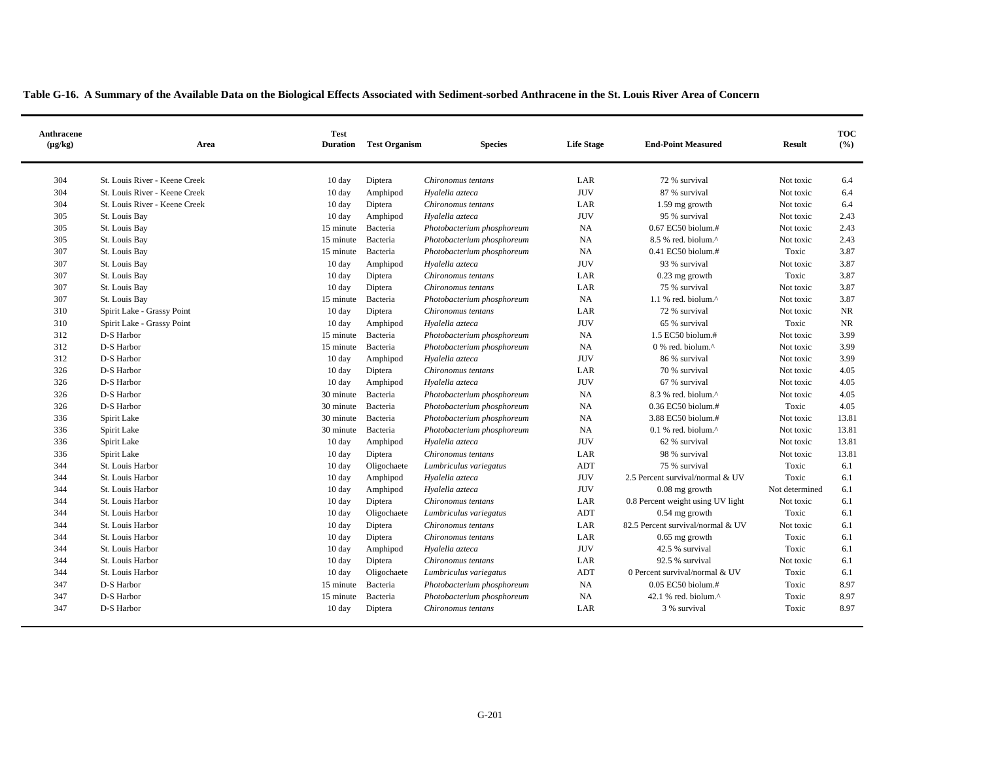| Anthracene<br>$(\mu g/kg)$ | Area                          | <b>Test</b><br><b>Duration</b> | <b>Test Organism</b> | <b>Species</b>             | <b>Life Stage</b> | <b>End-Point Measured</b>         | <b>Result</b>  | <b>TOC</b><br>(%) |
|----------------------------|-------------------------------|--------------------------------|----------------------|----------------------------|-------------------|-----------------------------------|----------------|-------------------|
| 304                        | St. Louis River - Keene Creek | $10 \text{ day}$               | Diptera              | Chironomus tentans         | LAR               | 72 % survival                     | Not toxic      | 6.4               |
| 304                        | St. Louis River - Keene Creek | $10 \text{ day}$               | Amphipod             | Hyalella azteca            | <b>JUV</b>        | 87 % survival                     | Not toxic      | 6.4               |
| 304                        | St. Louis River - Keene Creek | 10 day                         | Diptera              | Chironomus tentans         | LAR               | 1.59 mg growth                    | Not toxic      | 6.4               |
| 305                        | St. Louis Bay                 | $10 \text{ day}$               | Amphipod             | Hyalella azteca            | <b>JUV</b>        | 95 % survival                     | Not toxic      | 2.43              |
| 305                        | St. Louis Bay                 | 15 minute                      | Bacteria             | Photobacterium phosphoreum | <b>NA</b>         | $0.67$ EC50 biolum.#              | Not toxic      | 2.43              |
| 305                        | St. Louis Bay                 | 15 minute                      | Bacteria             | Photobacterium phosphoreum | NA                | 8.5 % red. biolum.^               | Not toxic      | 2.43              |
| 307                        | St. Louis Bay                 | 15 minute                      | Bacteria             | Photobacterium phosphoreum | NA                | $0.41$ EC50 biolum.#              | Toxic          | 3.87              |
| 307                        | St. Louis Bay                 | 10 day                         | Amphipod             | Hyalella azteca            | <b>JUV</b>        | 93 % survival                     | Not toxic      | 3.87              |
| 307                        | St. Louis Bay                 | $10 \text{ day}$               | Diptera              | Chironomus tentans         | LAR               | $0.23$ mg growth                  | Toxic          | 3.87              |
| 307                        | St. Louis Bay                 | $10 \text{ day}$               | Diptera              | Chironomus tentans         | LAR               | 75 % survival                     | Not toxic      | 3.87              |
| 307                        | St. Louis Bay                 | 15 minute                      | Bacteria             | Photobacterium phosphoreum | <b>NA</b>         | $1.1$ % red. biolum. $^{\wedge}$  | Not toxic      | 3.87              |
| 310                        | Spirit Lake - Grassy Point    | 10 day                         | Diptera              | Chironomus tentans         | LAR               | 72 % survival                     | Not toxic      | NR                |
| 310                        | Spirit Lake - Grassy Point    | $10 \text{ day}$               | Amphipod             | Hyalella azteca            | <b>JUV</b>        | 65 % survival                     | Toxic          | NR                |
| 312                        | D-S Harbor                    | 15 minute                      | Bacteria             | Photobacterium phosphoreum | <b>NA</b>         | $1.5$ EC50 biolum.#               | Not toxic      | 3.99              |
| 312                        | D-S Harbor                    | 15 minute                      | Bacteria             | Photobacterium phosphoreum | NA                | 0 % red. biolum.^                 | Not toxic      | 3.99              |
| 312                        | D-S Harbor                    | $10 \text{ day}$               | Amphipod             | Hyalella azteca            | <b>JUV</b>        | 86 % survival                     | Not toxic      | 3.99              |
| 326                        | D-S Harbor                    | $10 \text{ day}$               | Diptera              | Chironomus tentans         | LAR               | 70 % survival                     | Not toxic      | 4.05              |
| 326                        | D-S Harbor                    | 10 day                         | Amphipod             | Hyalella azteca            | <b>JUV</b>        | 67 % survival                     | Not toxic      | 4.05              |
| 326                        | D-S Harbor                    | 30 minute                      | Bacteria             | Photobacterium phosphoreum | NA                | 8.3 % red. biolum.^               | Not toxic      | 4.05              |
| 326                        | D-S Harbor                    | 30 minute                      | Bacteria             | Photobacterium phosphoreum | NA                | $0.36$ EC50 biolum.#              | Toxic          | 4.05              |
| 336                        | Spirit Lake                   | 30 minute                      | Bacteria             | Photobacterium phosphoreum | NA                | 3.88 EC50 biolum.#                | Not toxic      | 13.81             |
| 336                        | Spirit Lake                   | 30 minute                      | Bacteria             | Photobacterium phosphoreum | NA                | $0.1$ % red. biolum. $^{\wedge}$  | Not toxic      | 13.81             |
| 336                        | Spirit Lake                   | $10 \text{ day}$               | Amphipod             | Hyalella azteca            | <b>JUV</b>        | 62 % survival                     | Not toxic      | 13.81             |
| 336                        | Spirit Lake                   | $10 \text{ day}$               | Diptera              | Chironomus tentans         | LAR               | 98 % survival                     | Not toxic      | 13.81             |
| 344                        | St. Louis Harbor              | 10 day                         | Oligochaete          | Lumbriculus variegatus     | <b>ADT</b>        | 75 % survival                     | Toxic          | 6.1               |
| 344                        | St. Louis Harbor              | 10 day                         | Amphipod             | Hyalella azteca            | <b>JUV</b>        | 2.5 Percent survival/normal & UV  | Toxic          | 6.1               |
| 344                        | St. Louis Harbor              | 10 day                         | Amphipod             | Hyalella azteca            | <b>JUV</b>        | 0.08 mg growth                    | Not determined | 6.1               |
| 344                        | St. Louis Harbor              | 10 day                         | Diptera              | Chironomus tentans         | LAR               | 0.8 Percent weight using UV light | Not toxic      | 6.1               |
| 344                        | St. Louis Harbor              | 10 day                         | Oligochaete          | Lumbriculus variegatus     | ADT               | 0.54 mg growth                    | Toxic          | 6.1               |
| 344                        | St. Louis Harbor              | $10 \text{ day}$               | Diptera              | Chironomus tentans         | LAR               | 82.5 Percent survival/normal & UV | Not toxic      | 6.1               |
| 344                        | St. Louis Harbor              | 10 day                         | Diptera              | Chironomus tentans         | LAR               | $0.65$ mg growth                  | Toxic          | 6.1               |
| 344                        | St. Louis Harbor              | 10 day                         | Amphipod             | Hyalella azteca            | <b>JUV</b>        | 42.5 % survival                   | Toxic          | 6.1               |
| 344                        | St. Louis Harbor              | 10 day                         | Diptera              | Chironomus tentans         | LAR               | 92.5 % survival                   | Not toxic      | 6.1               |
| 344                        | St. Louis Harbor              | $10 \text{ day}$               | Oligochaete          | Lumbriculus variegatus     | ADT               | 0 Percent survival/normal & UV    | Toxic          | 6.1               |
| 347                        | D-S Harbor                    | 15 minute                      | Bacteria             | Photobacterium phosphoreum | <b>NA</b>         | $0.05$ EC50 biolum.#              | Toxic          | 8.97              |
| 347                        | D-S Harbor                    | 15 minute                      | Bacteria             | Photobacterium phosphoreum | NA                | 42.1 % red. biolum. $^{\wedge}$   | Toxic          | 8.97              |
| 347                        | D-S Harbor                    | 10 day                         | Diptera              | Chironomus tentans         | LAR               | 3 % survival                      | Toxic          | 8.97              |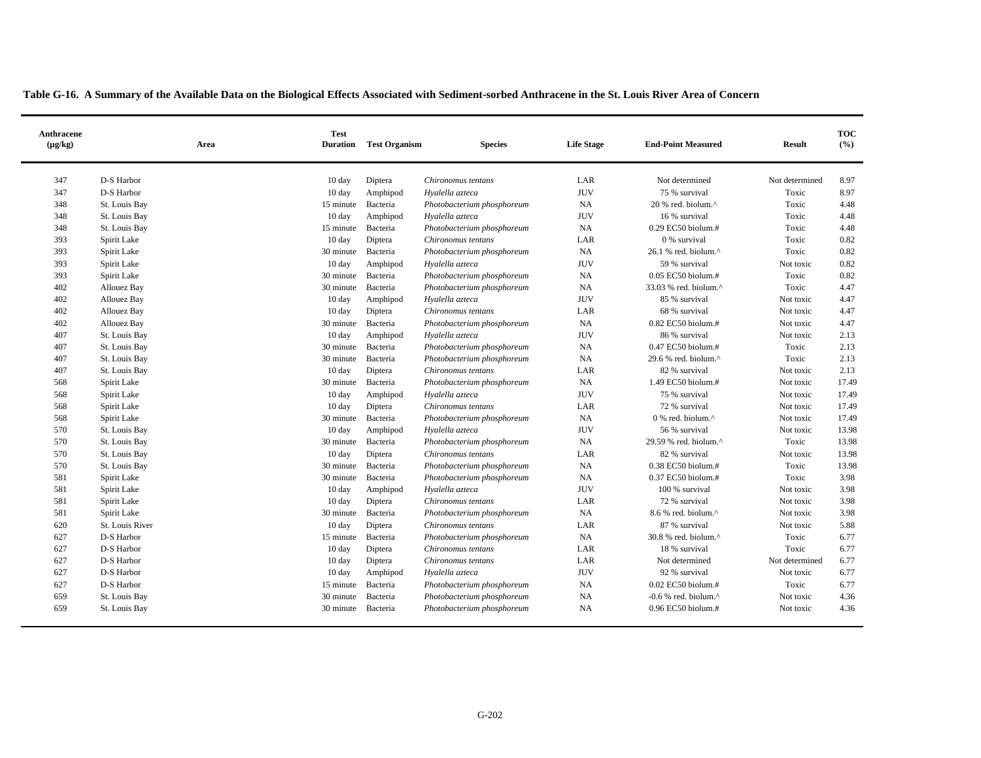| Anthracene<br>$(\mu g/kg)$ | Area            | <b>Test</b><br><b>Duration</b> | <b>Test Organism</b> | <b>Species</b>             | <b>Life Stage</b> | <b>End-Point Measured</b>      | <b>Result</b>  | <b>TOC</b><br>(%) |
|----------------------------|-----------------|--------------------------------|----------------------|----------------------------|-------------------|--------------------------------|----------------|-------------------|
| 347                        | D-S Harbor      | 10 day                         | Diptera              | Chironomus tentans         | LAR               | Not determined                 | Not determined | 8.97              |
| 347                        | D-S Harbor      | 10 day                         | Amphipod             | Hyalella azteca            | <b>JUV</b>        | 75 % survival                  | Toxic          | 8.97              |
| 348                        | St. Louis Bay   | 15 minute                      | Bacteria             | Photobacterium phosphoreum | <b>NA</b>         | $20%$ red. biolum. $^{\wedge}$ | Toxic          | 4.48              |
| 348                        | St. Louis Bay   | $10 \text{ day}$               | Amphipod             | Hyalella azteca            | <b>JUV</b>        | 16 % survival                  | Toxic          | 4.48              |
| 348                        | St. Louis Bay   | 15 minute                      | Bacteria             | Photobacterium phosphoreum | <b>NA</b>         | $0.29$ EC50 biolum.#           | Toxic          | 4.48              |
| 393                        | Spirit Lake     | 10 day                         | Diptera              | Chironomus tentans         | LAR               | 0 % survival                   | Toxic          | 0.82              |
| 393                        | Spirit Lake     | 30 minute                      | Bacteria             | Photobacterium phosphoreum | NA                | 26.1 % red. biolum.^           | Toxic          | 0.82              |
| 393                        | Spirit Lake     | $10 \text{ day}$               | Amphipod             | Hyalella azteca            | <b>JUV</b>        | 59 % survival                  | Not toxic      | 0.82              |
| 393                        | Spirit Lake     | 30 minute                      | Bacteria             | Photobacterium phosphoreum | <b>NA</b>         | $0.05$ EC50 biolum.#           | Toxic          | 0.82              |
| 402                        | Allouez Bay     | 30 minute                      | Bacteria             | Photobacterium phosphoreum | <b>NA</b>         | 33.03 % red. biolum.^          | Toxic          | 4.47              |
| 402                        | Allouez Bay     | 10 day                         | Amphipod             | Hyalella azteca            | <b>JUV</b>        | 85 % survival                  | Not toxic      | 4.47              |
| 402                        | Allouez Bay     | $10 \text{ day}$               | Diptera              | Chironomus tentans         | LAR               | 68 % survival                  | Not toxic      | 4.47              |
| 402                        | Allouez Bay     | 30 minute                      | Bacteria             | Photobacterium phosphoreum | NA                | $0.82$ EC50 biolum.#           | Not toxic      | 4.47              |
| 407                        | St. Louis Bay   | $10 \text{ day}$               | Amphipod             | Hyalella azteca            | <b>JUV</b>        | 86 % survival                  | Not toxic      | 2.13              |
| 407                        | St. Louis Bay   | 30 minute                      | Bacteria             | Photobacterium phosphoreum | NA                | 0.47 EC50 biolum.#             | Toxic          | 2.13              |
| 407                        | St. Louis Bay   | 30 minute                      | Bacteria             | Photobacterium phosphoreum | <b>NA</b>         | 29.6 % red. biolum.^           | Toxic          | 2.13              |
| 407                        | St. Louis Bay   | $10 \text{ day}$               | Diptera              | Chironomus tentans         | LAR               | 82 % survival                  | Not toxic      | 2.13              |
| 568                        | Spirit Lake     | 30 minute                      | Bacteria             | Photobacterium phosphoreum | NA                | 1.49 EC50 biolum.#             | Not toxic      | 17.49             |
| 568                        | Spirit Lake     | 10 day                         | Amphipod             | Hyalella azteca            | <b>JUV</b>        | 75 % survival                  | Not toxic      | 17.49             |
| 568                        | Spirit Lake     | $10 \text{ day}$               | Diptera              | Chironomus tentans         | LAR               | 72 % survival                  | Not toxic      | 17.49             |
| 568                        | Spirit Lake     | 30 minute                      | Bacteria             | Photobacterium phosphoreum | NA                | 0 % red. biolum.^              | Not toxic      | 17.49             |
| 570                        | St. Louis Bay   | $10 \text{ day}$               | Amphipod             | Hyalella azteca            | <b>JUV</b>        | 56 % survival                  | Not toxic      | 13.98             |
| 570                        | St. Louis Bay   | 30 minute                      | Bacteria             | Photobacterium phosphoreum | NA                | 29.59 % red. biolum.^          | Toxic          | 13.98             |
| 570                        | St. Louis Bay   | $10 \text{ day}$               | Diptera              | Chironomus tentans         | LAR               | 82 % survival                  | Not toxic      | 13.98             |
| 570                        | St. Louis Bay   | 30 minute                      | Bacteria             | Photobacterium phosphoreum | <b>NA</b>         | $0.38$ EC50 biolum.#           | Toxic          | 13.98             |
| 581                        | Spirit Lake     | 30 minute                      | Bacteria             | Photobacterium phosphoreum | NA                | 0.37 EC50 biolum.#             | Toxic          | 3.98              |
| 581                        | Spirit Lake     | 10 day                         | Amphipod             | Hyalella azteca            | <b>JUV</b>        | 100 % survival                 | Not toxic      | 3.98              |
| 581                        | Spirit Lake     | $10 \text{ day}$               | Diptera              | Chironomus tentans         | LAR               | 72 % survival                  | Not toxic      | 3.98              |
| 581                        | Spirit Lake     | 30 minute                      | Bacteria             | Photobacterium phosphoreum | NA                | 8.6 % red. biolum.^            | Not toxic      | 3.98              |
| 620                        | St. Louis River | $10 \text{ day}$               | Diptera              | Chironomus tentans         | LAR               | 87 % survival                  | Not toxic      | 5.88              |
| 627                        | D-S Harbor      | 15 minute                      | Bacteria             | Photobacterium phosphoreum | <b>NA</b>         | 30.8 % red. biolum.^           | Toxic          | 6.77              |
| 627                        | D-S Harbor      | 10 day                         | Diptera              | Chironomus tentans         | LAR               | 18 % survival                  | Toxic          | 6.77              |
| 627                        | D-S Harbor      | $10 \text{ day}$               | Diptera              | Chironomus tentans         | LAR               | Not determined                 | Not determined | 6.77              |
| 627                        | D-S Harbor      | $10 \text{ day}$               | Amphipod             | Hyalella azteca            | <b>JUV</b>        | 92 % survival                  | Not toxic      | 6.77              |
| 627                        | D-S Harbor      | 15 minute                      | Bacteria             | Photobacterium phosphoreum | <b>NA</b>         | 0.02 EC50 biolum.#             | Toxic          | 6.77              |
| 659                        | St. Louis Bay   | 30 minute                      | Bacteria             | Photobacterium phosphoreum | <b>NA</b>         | $-0.6$ % red. biolum. $\land$  | Not toxic      | 4.36              |
| 659                        | St. Louis Bay   | 30 minute                      | Bacteria             | Photobacterium phosphoreum | <b>NA</b>         | 0.96 EC50 biolum.#             | Not toxic      | 4.36              |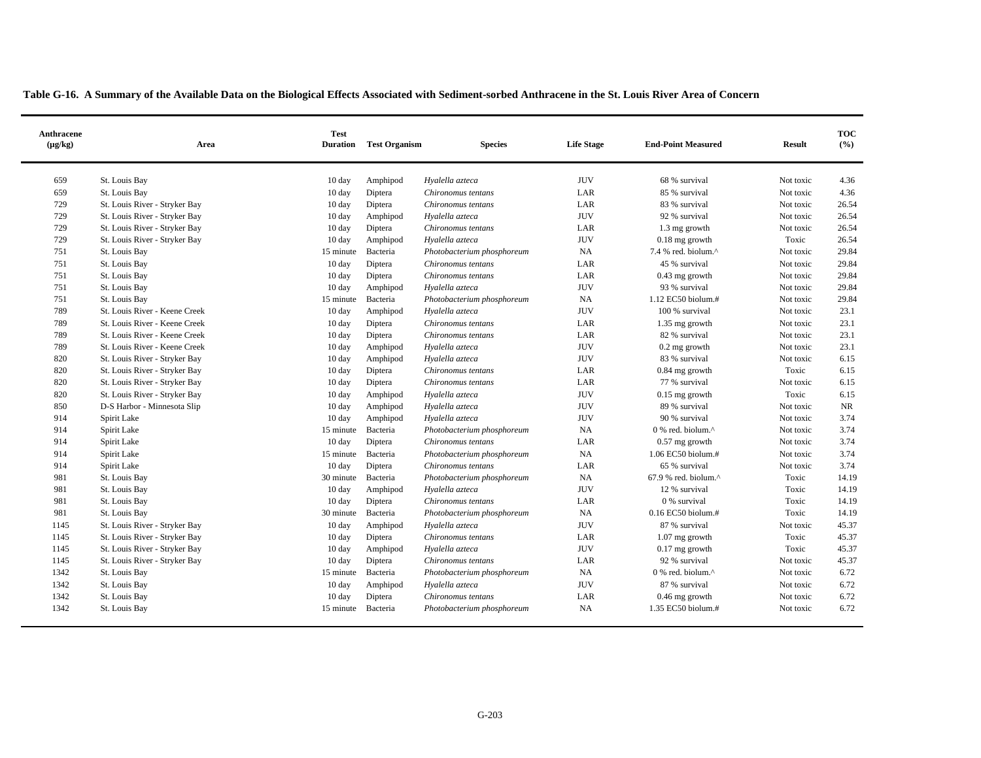| Anthracene<br>$(\mu g/kg)$ | Area                          | <b>Test</b><br><b>Duration</b> | <b>Test Organism</b> | <b>Species</b>             | <b>Life Stage</b> | <b>End-Point Measured</b>         | <b>Result</b> | <b>TOC</b><br>(%) |
|----------------------------|-------------------------------|--------------------------------|----------------------|----------------------------|-------------------|-----------------------------------|---------------|-------------------|
| 659                        | St. Louis Bay                 | 10 day                         | Amphipod             | Hyalella azteca            | <b>JUV</b>        | 68 % survival                     | Not toxic     | 4.36              |
| 659                        | St. Louis Bay                 | 10 day                         | Diptera              | Chironomus tentans         | LAR               | 85 % survival                     | Not toxic     | 4.36              |
| 729                        | St. Louis River - Stryker Bay | 10 day                         | Diptera              | Chironomus tentans         | LAR               | 83 % survival                     | Not toxic     | 26.54             |
| 729                        | St. Louis River - Stryker Bay | 10 day                         | Amphipod             | Hyalella azteca            | <b>JUV</b>        | 92 % survival                     | Not toxic     | 26.54             |
| 729                        | St. Louis River - Stryker Bay | $10 \text{ day}$               | Diptera              | Chironomus tentans         | LAR               | 1.3 mg growth                     | Not toxic     | 26.54             |
| 729                        | St. Louis River - Stryker Bay | 10 day                         | Amphipod             | Hyalella azteca            | <b>JUV</b>        | $0.18$ mg growth                  | Toxic         | 26.54             |
| 751                        | St. Louis Bay                 | 15 minute                      | Bacteria             | Photobacterium phosphoreum | NA                | 7.4 % red. biolum.^               | Not toxic     | 29.84             |
| 751                        | St. Louis Bay                 | 10 day                         | Diptera              | Chironomus tentans         | LAR               | 45 % survival                     | Not toxic     | 29.84             |
| 751                        | St. Louis Bay                 | 10 day                         | Diptera              | Chironomus tentans         | LAR               | $0.43$ mg growth                  | Not toxic     | 29.84             |
| 751                        | St. Louis Bay                 | 10 day                         | Amphipod             | Hvalella azteca            | <b>JUV</b>        | 93 % survival                     | Not toxic     | 29.84             |
| 751                        | St. Louis Bay                 | 15 minute                      | Bacteria             | Photobacterium phosphoreum | $_{\rm NA}$       | 1.12 EC50 biolum.#                | Not toxic     | 29.84             |
| 789                        | St. Louis River - Keene Creek | 10 day                         | Amphipod             | Hyalella azteca            | <b>JUV</b>        | 100 % survival                    | Not toxic     | 23.1              |
| 789                        | St. Louis River - Keene Creek | 10 day                         | Diptera              | Chironomus tentans         | LAR               | 1.35 mg growth                    | Not toxic     | 23.1              |
| 789                        | St. Louis River - Keene Creek | 10 day                         | Diptera              | Chironomus tentans         | LAR               | 82 % survival                     | Not toxic     | 23.1              |
| 789                        | St. Louis River - Keene Creek | $10 \text{ day}$               | Amphipod             | Hyalella azteca            | <b>JUV</b>        | $0.2$ mg growth                   | Not toxic     | 23.1              |
| 820                        | St. Louis River - Stryker Bay | 10 day                         | Amphipod             | Hyalella azteca            | <b>JUV</b>        | 83 % survival                     | Not toxic     | 6.15              |
| 820                        | St. Louis River - Stryker Bay | 10 day                         | Diptera              | Chironomus tentans         | LAR               | 0.84 mg growth                    | Toxic         | 6.15              |
| 820                        | St. Louis River - Stryker Bay | 10 day                         | Diptera              | Chironomus tentans         | LAR               | 77 % survival                     | Not toxic     | 6.15              |
| 820                        | St. Louis River - Stryker Bay | 10 day                         | Amphipod             | Hyalella azteca            | <b>JUV</b>        | $0.15$ mg growth                  | Toxic         | 6.15              |
| 850                        | D-S Harbor - Minnesota Slip   | $10 \text{ day}$               | Amphipod             | Hyalella azteca            | <b>JUV</b>        | 89 % survival                     | Not toxic     | NR                |
| 914                        | Spirit Lake                   | 10 day                         | Amphipod             | Hyalella azteca            | <b>JUV</b>        | 90 % survival                     | Not toxic     | 3.74              |
| 914                        | Spirit Lake                   | 15 minute                      | Bacteria             | Photobacterium phosphoreum | <b>NA</b>         | 0 % red. biolum.^                 | Not toxic     | 3.74              |
| 914                        | Spirit Lake                   | 10 day                         | Diptera              | Chironomus tentans         | LAR               | $0.57$ mg growth                  | Not toxic     | 3.74              |
| 914                        | Spirit Lake                   | 15 minute                      | Bacteria             | Photobacterium phosphoreum | NA                | 1.06 EC50 biolum.#                | Not toxic     | 3.74              |
| 914                        | Spirit Lake                   | 10 day                         | Diptera              | Chironomus tentans         | LAR               | 65 % survival                     | Not toxic     | 3.74              |
| 981                        | St. Louis Bay                 | 30 minute                      | Bacteria             | Photobacterium phosphoreum | NA                | $67.9$ % red. biolum. $^{\wedge}$ | Toxic         | 14.19             |
| 981                        | St. Louis Bay                 | $10 \text{ day}$               | Amphipod             | Hyalella azteca            | <b>JUV</b>        | 12 % survival                     | Toxic         | 14.19             |
| 981                        | St. Louis Bay                 | 10 day                         | Diptera              | Chironomus tentans         | LAR               | 0 % survival                      | Toxic         | 14.19             |
| 981                        | St. Louis Bay                 | 30 minute                      | Bacteria             | Photobacterium phosphoreum | NA                | $0.16$ EC50 biolum.#              | Toxic         | 14.19             |
| 1145                       | St. Louis River - Stryker Bay | 10 day                         | Amphipod             | Hyalella azteca            | <b>JUV</b>        | 87 % survival                     | Not toxic     | 45.37             |
| 1145                       | St. Louis River - Stryker Bay | $10 \text{ day}$               | Diptera              | Chironomus tentans         | LAR               | $1.07$ mg growth                  | Toxic         | 45.37             |
| 1145                       | St. Louis River - Stryker Bay | 10 day                         | Amphipod             | Hyalella azteca            | <b>JUV</b>        | $0.17$ mg growth                  | Toxic         | 45.37             |
| 1145                       | St. Louis River - Stryker Bay | 10 day                         | Diptera              | Chironomus tentans         | LAR               | 92 % survival                     | Not toxic     | 45.37             |
| 1342                       | St. Louis Bay                 | 15 minute                      | Bacteria             | Photobacterium phosphoreum | NA                | 0 % red. biolum.^                 | Not toxic     | 6.72              |
| 1342                       | St. Louis Bay                 | 10 day                         | Amphipod             | Hyalella azteca            | <b>JUV</b>        | 87 % survival                     | Not toxic     | 6.72              |
| 1342                       | St. Louis Bay                 | 10 day                         | Diptera              | Chironomus tentans         | LAR               | $0.46$ mg growth                  | Not toxic     | 6.72              |
| 1342                       | St. Louis Bay                 | 15 minute                      | Bacteria             | Photobacterium phosphoreum | NA                | 1.35 EC50 biolum.#                | Not toxic     | 6.72              |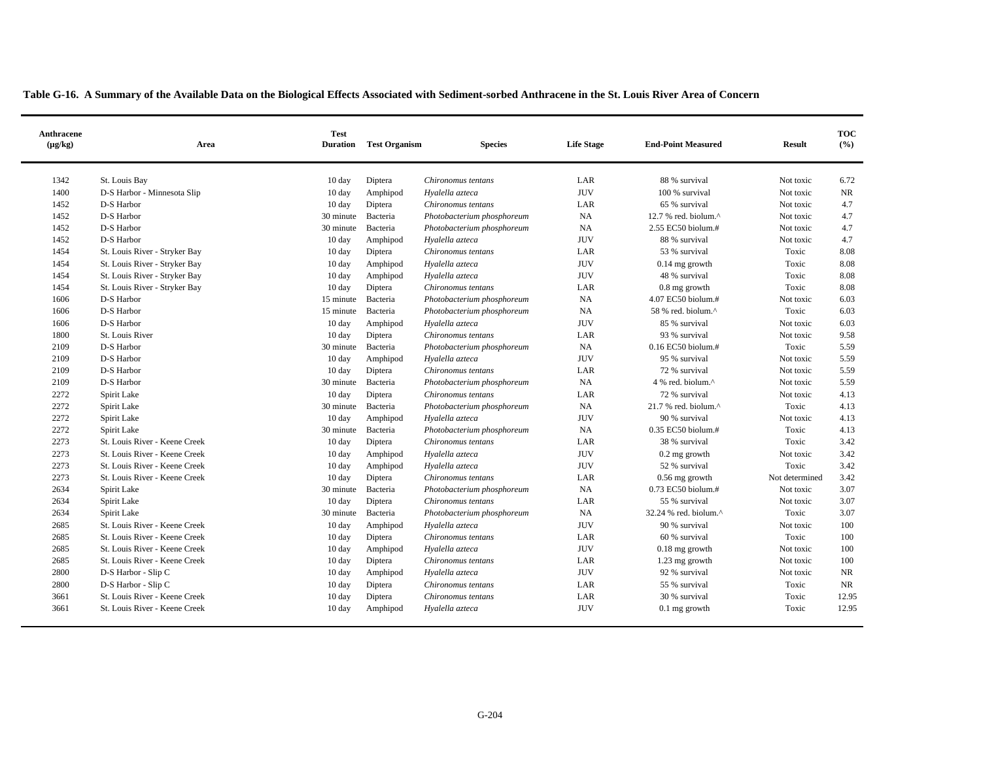| Anthracene<br>$(\mu g/kg)$ | Area                          | <b>Test</b><br><b>Duration</b> | <b>Test Organism</b> | <b>Species</b>             | <b>Life Stage</b> | <b>End-Point Measured</b>         | <b>Result</b>  | <b>TOC</b><br>(%) |
|----------------------------|-------------------------------|--------------------------------|----------------------|----------------------------|-------------------|-----------------------------------|----------------|-------------------|
| 1342                       | St. Louis Bay                 | 10 day                         | Diptera              | Chironomus tentans         | LAR               | 88 % survival                     | Not toxic      | 6.72              |
| 1400                       | D-S Harbor - Minnesota Slip   | 10 day                         | Amphipod             | Hyalella azteca            | <b>JUV</b>        | 100 % survival                    | Not toxic      | NR                |
| 1452                       | D-S Harbor                    | 10 day                         | Diptera              | Chironomus tentans         | LAR               | 65 % survival                     | Not toxic      | 4.7               |
| 1452                       | D-S Harbor                    | 30 minute                      | Bacteria             | Photobacterium phosphoreum | NA                | 12.7 % red. biolum.^              | Not toxic      | 4.7               |
| 1452                       | D-S Harbor                    | 30 minute                      | Bacteria             | Photobacterium phosphoreum | <b>NA</b>         | 2.55 EC50 biolum.#                | Not toxic      | 4.7               |
| 1452                       | D-S Harbor                    | $10 \text{ day}$               | Amphipod             | Hyalella azteca            | <b>JUV</b>        | 88 % survival                     | Not toxic      | 4.7               |
| 1454                       | St. Louis River - Stryker Bay | 10 day                         | Diptera              | Chironomus tentans         | LAR               | 53 % survival                     | Toxic          | 8.08              |
| 1454                       | St. Louis River - Stryker Bay | $10 \text{ day}$               | Amphipod             | Hyalella azteca            | <b>JUV</b>        | $0.14$ mg growth                  | Toxic          | 8.08              |
| 1454                       | St. Louis River - Stryker Bay | 10 day                         | Amphipod             | Hyalella azteca            | <b>JUV</b>        | 48 % survival                     | Toxic          | 8.08              |
| 1454                       | St. Louis River - Stryker Bay | $10 \text{ day}$               | Diptera              | Chironomus tentans         | LAR               | $0.8$ mg growth                   | Toxic          | 8.08              |
| 1606                       | D-S Harbor                    | 15 minute                      | Bacteria             | Photobacterium phosphoreum | NA                | 4.07 EC50 biolum.#                | Not toxic      | 6.03              |
| 1606                       | D-S Harbor                    | 15 minute                      | Bacteria             | Photobacterium phosphoreum | NA                | 58 % red. biolum.^                | Toxic          | 6.03              |
| 1606                       | D-S Harbor                    | 10 day                         | Amphipod             | Hyalella azteca            | <b>JUV</b>        | 85 % survival                     | Not toxic      | 6.03              |
| 1800                       | St. Louis River               | $10 \text{ day}$               | Diptera              | Chironomus tentans         | LAR               | 93 % survival                     | Not toxic      | 9.58              |
| 2109                       | D-S Harbor                    | 30 minute                      | Bacteria             | Photobacterium phosphoreum | <b>NA</b>         | $0.16$ EC50 biolum.#              | Toxic          | 5.59              |
| 2109                       | D-S Harbor                    | 10 day                         | Amphipod             | Hyalella azteca            | <b>JUV</b>        | 95 % survival                     | Not toxic      | 5.59              |
| 2109                       | D-S Harbor                    | $10 \text{ day}$               | Diptera              | Chironomus tentans         | LAR               | 72 % survival                     | Not toxic      | 5.59              |
| 2109                       | D-S Harbor                    | 30 minute                      | Bacteria             | Photobacterium phosphoreum | <b>NA</b>         | 4 % red. biolum.^                 | Not toxic      | 5.59              |
| 2272                       | Spirit Lake                   | $10 \text{ day}$               | Diptera              | Chironomus tentans         | LAR               | 72 % survival                     | Not toxic      | 4.13              |
| 2272                       | Spirit Lake                   | 30 minute                      | Bacteria             | Photobacterium phosphoreum | <b>NA</b>         | $21.7$ % red. biolum. $^{\wedge}$ | Toxic          | 4.13              |
| 2272                       | Spirit Lake                   | $10 \text{ day}$               | Amphipod             | Hyalella azteca            | <b>JUV</b>        | 90 % survival                     | Not toxic      | 4.13              |
| 2272                       | Spirit Lake                   | 30 minute                      | Bacteria             | Photobacterium phosphoreum | NA                | 0.35 EC50 biolum.#                | Toxic          | 4.13              |
| 2273                       | St. Louis River - Keene Creek | $10 \text{ day}$               | Diptera              | Chironomus tentans         | LAR               | 38 % survival                     | Toxic          | 3.42              |
| 2273                       | St. Louis River - Keene Creek | $10 \text{ day}$               | Amphipod             | Hyalella azteca            | <b>JUV</b>        | $0.2$ mg growth                   | Not toxic      | 3.42              |
| 2273                       | St. Louis River - Keene Creek | 10 day                         | Amphipod             | Hyalella azteca            | <b>JUV</b>        | 52 % survival                     | Toxic          | 3.42              |
| 2273                       | St. Louis River - Keene Creek | $10 \text{ day}$               | Diptera              | Chironomus tentans         | LAR               | $0.56$ mg growth                  | Not determined | 3.42              |
| 2634                       | Spirit Lake                   | 30 minute                      | Bacteria             | Photobacterium phosphoreum | <b>NA</b>         | 0.73 EC50 biolum.#                | Not toxic      | 3.07              |
| 2634                       | Spirit Lake                   | $10 \text{ day}$               | Diptera              | Chironomus tentans         | LAR               | 55 % survival                     | Not toxic      | 3.07              |
| 2634                       | Spirit Lake                   | 30 minute                      | Bacteria             | Photobacterium phosphoreum | NA                | 32.24 % red. biolum.^             | Toxic          | 3.07              |
| 2685                       | St. Louis River - Keene Creek | $10 \text{ day}$               | Amphipod             | Hyalella azteca            | <b>JUV</b>        | 90 % survival                     | Not toxic      | 100               |
| 2685                       | St. Louis River - Keene Creek | $10 \text{ day}$               | Diptera              | Chironomus tentans         | LAR               | 60 % survival                     | Toxic          | 100               |
| 2685                       | St. Louis River - Keene Creek | 10 day                         | Amphipod             | Hvalella azteca            | <b>JUV</b>        | $0.18$ mg growth                  | Not toxic      | 100               |
| 2685                       | St. Louis River - Keene Creek | 10 day                         | Diptera              | Chironomus tentans         | LAR               | 1.23 mg growth                    | Not toxic      | 100               |
| 2800                       | D-S Harbor - Slip C           | 10 day                         | Amphipod             | Hyalella azteca            | <b>JUV</b>        | 92 % survival                     | Not toxic      | NR                |
| 2800                       | D-S Harbor - Slip C           | 10 day                         | Diptera              | Chironomus tentans         | LAR               | 55 % survival                     | Toxic          | <b>NR</b>         |
| 3661                       | St. Louis River - Keene Creek | 10 day                         | Diptera              | Chironomus tentans         | LAR               | 30 % survival                     | Toxic          | 12.95             |
| 3661                       | St. Louis River - Keene Creek | 10 day                         | Amphipod             | Hyalella azteca            | <b>JUV</b>        | $0.1$ mg growth                   | Toxic          | 12.95             |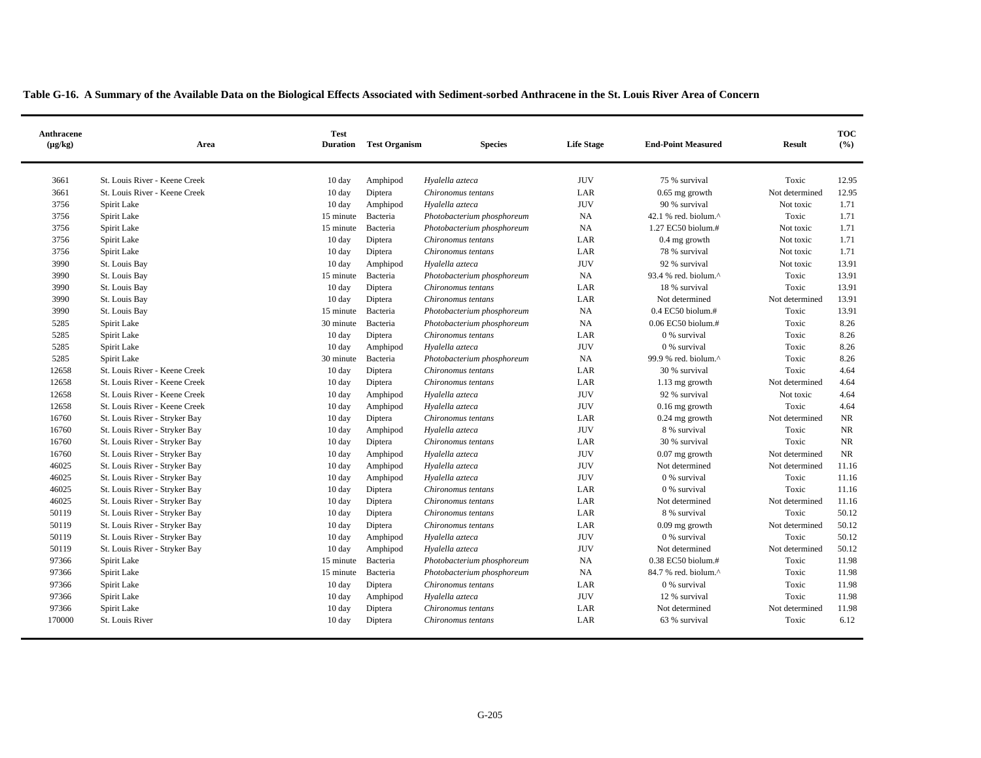| Anthracene<br>$(\mu g/kg)$ | Area                          | <b>Test</b><br><b>Duration</b> | <b>Test Organism</b> | <b>Species</b>             | <b>Life Stage</b> | <b>End-Point Measured</b>       | <b>Result</b>  | <b>TOC</b><br>(%) |
|----------------------------|-------------------------------|--------------------------------|----------------------|----------------------------|-------------------|---------------------------------|----------------|-------------------|
| 3661                       | St. Louis River - Keene Creek | 10 day                         | Amphipod             | Hyalella azteca            | <b>JUV</b>        | 75 % survival                   | Toxic          | 12.95             |
| 3661                       | St. Louis River - Keene Creek | $10 \text{ day}$               | Diptera              | Chironomus tentans         | LAR               | $0.65$ mg growth                | Not determined | 12.95             |
| 3756                       | Spirit Lake                   | $10 \text{ day}$               | Amphipod             | Hvalella azteca            | <b>JUV</b>        | 90 % survival                   | Not toxic      | 1.71              |
| 3756                       | Spirit Lake                   | 15 minute                      | Bacteria             | Photobacterium phosphoreum | NA                | 42.1 % red. biolum.^            | Toxic          | 1.71              |
| 3756                       | Spirit Lake                   | 15 minute                      | Bacteria             | Photobacterium phosphoreum | NA.               | 1.27 EC50 biolum.#              | Not toxic      | 1.71              |
| 3756                       | Spirit Lake                   | $10 \text{ day}$               | Diptera              | Chironomus tentans         | LAR               | $0.4$ mg growth                 | Not toxic      | 1.71              |
| 3756                       | Spirit Lake                   | $10 \text{ day}$               | Diptera              | Chironomus tentans         | LAR               | 78 % survival                   | Not toxic      | 1.71              |
| 3990                       | St. Louis Bay                 | $10 \text{ day}$               | Amphipod             | Hyalella azteca            | <b>JUV</b>        | 92 % survival                   | Not toxic      | 13.91             |
| 3990                       | St. Louis Bay                 | 15 minute                      | Bacteria             | Photobacterium phosphoreum | NA                | 93.4 % red. biolum.^            | Toxic          | 13.91             |
| 3990                       | St. Louis Bay                 | 10 day                         | Diptera              | Chironomus tentans         | LAR               | 18 % survival                   | Toxic          | 13.91             |
| 3990                       | St. Louis Bay                 | $10 \text{ day}$               | Diptera              | Chironomus tentans         | LAR               | Not determined                  | Not determined | 13.91             |
| 3990                       | St. Louis Bay                 | 15 minute                      | Bacteria             | Photobacterium phosphoreum | NA                | $0.4$ EC50 biolum.#             | Toxic          | 13.91             |
| 5285                       | Spirit Lake                   | 30 minute                      | Bacteria             | Photobacterium phosphoreum | NA                | 0.06 EC50 biolum.#              | Toxic          | 8.26              |
| 5285                       | Spirit Lake                   | $10 \text{ day}$               | Diptera              | Chironomus tentans         | LAR               | 0 % survival                    | Toxic          | 8.26              |
| 5285                       | Spirit Lake                   | 10 day                         | Amphipod             | Hyalella azteca            | <b>JUV</b>        | 0 % survival                    | Toxic          | 8.26              |
| 5285                       | Spirit Lake                   | 30 minute                      | Bacteria             | Photobacterium phosphoreum | NA                | 99.9 % red. biolum. $^{\wedge}$ | Toxic          | 8.26              |
| 12658                      | St. Louis River - Keene Creek | 10 day                         | Diptera              | Chironomus tentans         | LAR               | 30 % survival                   | Toxic          | 4.64              |
| 12658                      | St. Louis River - Keene Creek | 10 day                         | Diptera              | Chironomus tentans         | LAR               | 1.13 mg growth                  | Not determined | 4.64              |
| 12658                      | St. Louis River - Keene Creek | $10 \text{ day}$               | Amphipod             | Hyalella azteca            | <b>JUV</b>        | 92 % survival                   | Not toxic      | 4.64              |
| 12658                      | St. Louis River - Keene Creek | 10 day                         | Amphipod             | Hyalella azteca            | <b>JUV</b>        | $0.16$ mg growth                | Toxic          | 4.64              |
| 16760                      | St. Louis River - Stryker Bay | 10 day                         | Diptera              | Chironomus tentans         | LAR               | $0.24$ mg growth                | Not determined | <b>NR</b>         |
| 16760                      | St. Louis River - Stryker Bay | 10 day                         | Amphipod             | Hyalella azteca            | <b>JUV</b>        | 8 % survival                    | Toxic          | <b>NR</b>         |
| 16760                      | St. Louis River - Stryker Bay | $10 \text{ day}$               | Diptera              | Chironomus tentans         | LAR               | 30 % survival                   | Toxic          | <b>NR</b>         |
| 16760                      | St. Louis River - Stryker Bay | 10 day                         | Amphipod             | Hvalella azteca            | <b>JUV</b>        | $0.07$ mg growth                | Not determined | <b>NR</b>         |
| 46025                      | St. Louis River - Stryker Bay | $10 \text{ day}$               | Amphipod             | Hyalella azteca            | <b>JUV</b>        | Not determined                  | Not determined | 11.16             |
| 46025                      | St. Louis River - Stryker Bay | 10 day                         | Amphipod             | Hyalella azteca            | <b>JUV</b>        | 0 % survival                    | Toxic          | 11.16             |
| 46025                      | St. Louis River - Stryker Bay | $10 \text{ day}$               | Diptera              | Chironomus tentans         | LAR               | 0 % survival                    | Toxic          | 11.16             |
| 46025                      | St. Louis River - Stryker Bay | 10 day                         | Diptera              | Chironomus tentans         | LAR               | Not determined                  | Not determined | 11.16             |
| 50119                      | St. Louis River - Stryker Bay | 10 day                         | Diptera              | Chironomus tentans         | LAR               | 8 % survival                    | Toxic          | 50.12             |
| 50119                      | St. Louis River - Stryker Bay | 10 day                         | Diptera              | Chironomus tentans         | LAR               | $0.09$ mg growth                | Not determined | 50.12             |
| 50119                      | St. Louis River - Stryker Bay | $10 \text{ day}$               | Amphipod             | Hyalella azteca            | <b>JUV</b>        | 0 % survival                    | Toxic          | 50.12             |
| 50119                      | St. Louis River - Stryker Bay | $10 \text{ day}$               | Amphipod             | Hyalella azteca            | <b>JUV</b>        | Not determined                  | Not determined | 50.12             |
| 97366                      | Spirit Lake                   | 15 minute                      | Bacteria             | Photobacterium phosphoreum | NA                | $0.38$ EC50 biolum.#            | Toxic          | 11.98             |
| 97366                      | Spirit Lake                   | 15 minute                      | Bacteria             | Photobacterium phosphoreum | NA                | 84.7 % red. biolum.^            | Toxic          | 11.98             |
| 97366                      | Spirit Lake                   | $10 \text{ day}$               | Diptera              | Chironomus tentans         | LAR               | 0 % survival                    | Toxic          | 11.98             |
| 97366                      | Spirit Lake                   | 10 day                         | Amphipod             | Hyalella azteca            | <b>JUV</b>        | 12 % survival                   | Toxic          | 11.98             |
| 97366                      | Spirit Lake                   | 10 day                         | Diptera              | Chironomus tentans         | LAR               | Not determined                  | Not determined | 11.98             |
| 170000                     | St. Louis River               | 10 day                         | Diptera              | Chironomus tentans         | LAR               | 63 % survival                   | Toxic          | 6.12              |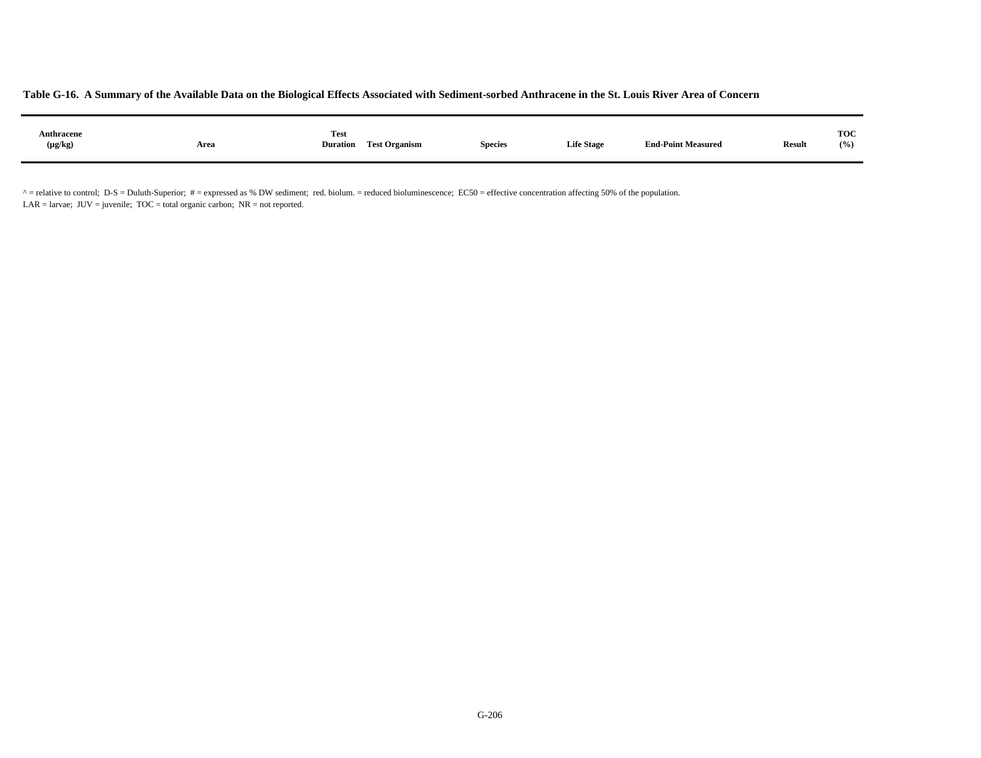| Anthracene<br>.<br>$(\mu g/kg)$ | Area | <b>Test</b><br><b>Duration</b> | <b>Test Organism</b> | <b>Species</b> | <b>Life Stage</b> | <b>End-Point Measured</b> | <b>Result</b> | <b>TOC</b><br>(9/0) |
|---------------------------------|------|--------------------------------|----------------------|----------------|-------------------|---------------------------|---------------|---------------------|
|                                 |      |                                |                      |                |                   |                           |               |                     |

 $^{\circ}$  = relative to control; D-S = Duluth-Superior; # = expressed as % DW sediment; red. biolum. = reduced bioluminescence; EC50 = effective concentration affecting 50% of the population. LAR = larvae;  $JUV =$  juvenile;  $TOC =$  total organic carbon;  $NR =$  not reported.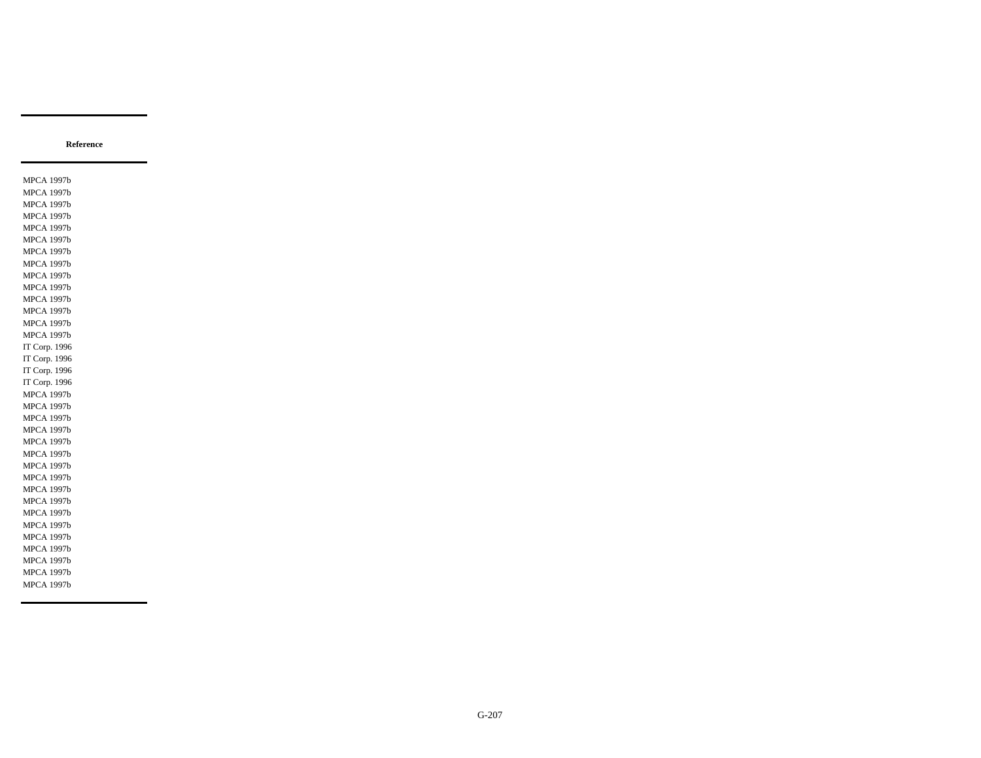MPCA 1997b MPCA 1997b MPCA 1997b MPCA 1997b MPCA 1997b MPCA 1997b MPCA 1997b MPCA 1997b MPCA 1997b MPCA 1997b MPCA 1997b MPCA 1997b MPCA 1997b MPCA 1997b IT Corp. 1996 IT Corp. 1996 IT Corp. 1996 IT Corp. 1996 MPCA 1997b MPCA 1997b MPCA 1997b MPCA 1997b MPCA 1997b MPCA 1997b MPCA 1997b MPCA 1997b MPCA 1997b MPCA 1997b MPCA 1997b MPCA 1997b MPCA 1997b MPCA 1997b MPCA 1997b MPCA 1997b MPCA 1997b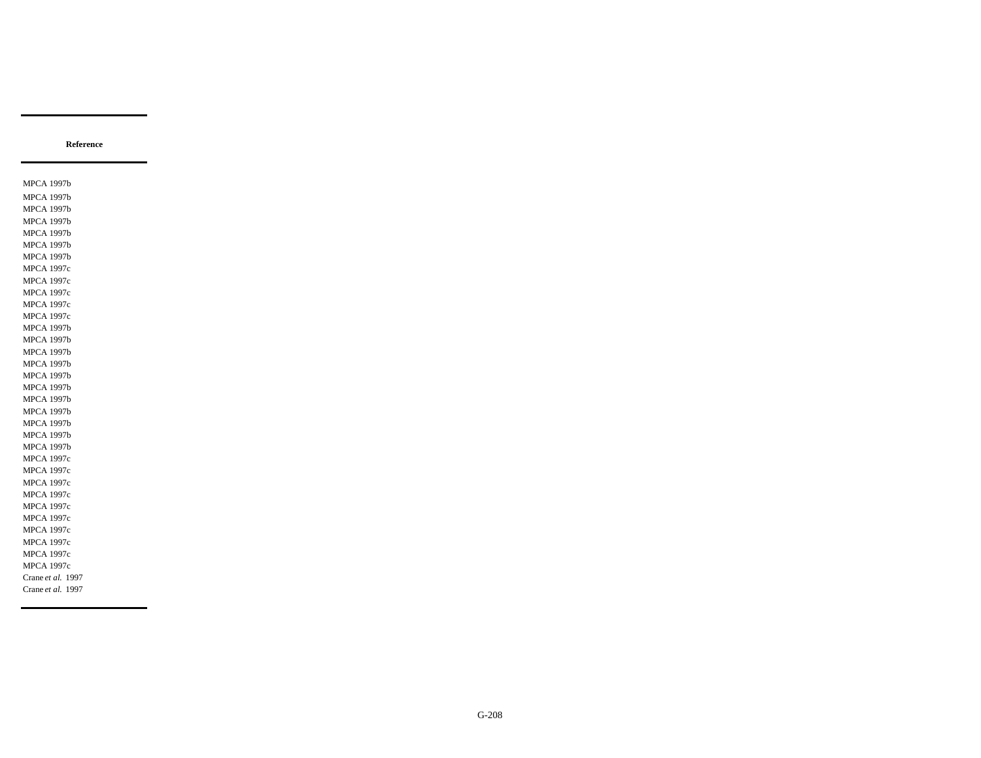MPCA 1997b MPCA 1997b MPCA 1997b MPCA 1997b MPCA 1997b MPCA 1997b MPCA 1997b MPCA 1997c MPCA 1997c MPCA 1997c MPCA 1997c MPCA 1997c MPCA 1997b MPCA 1997b MPCA 1997b MPCA 1997b MPCA 1997b MPCA 1997b MPCA 1997b MPCA 1997b MPCA 1997b MPCA 1997b MPCA 1997b MPCA 1997c MPCA 1997c MPCA 1997c MPCA 1997c MPCA 1997c MPCA 1997c MPCA 1997c MPCA 1997c MPCA 1997c MPCA 1997c Crane *et al.* 1997 Crane *et al.* 1997

**Reference**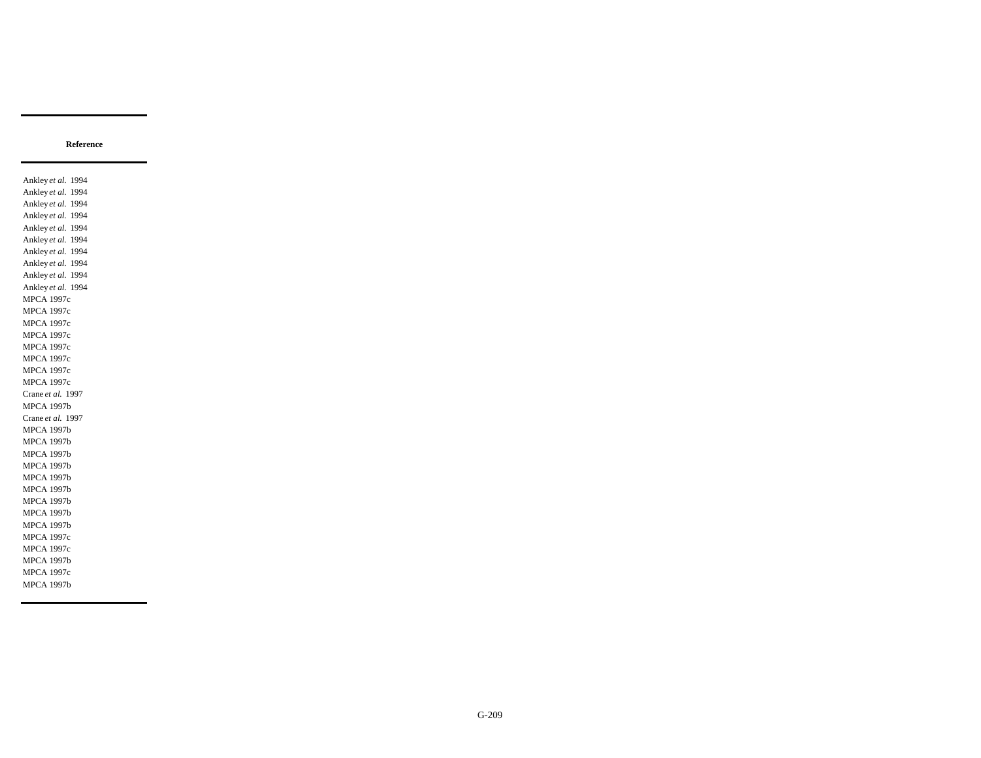Ankley *et al.* 1994 Ankley *et al.* 1994 Ankley *et al.* 1994 Ankley *et al.* 1994 Ankley *et al.* 1994 Ankley *et al.* 1994 Ankley *et al.* 1994 Ankley *et al.* 1994 Ankley *et al.* 1994 Ankley *et al.* 1994 MPCA 1997c MPCA 1997c MPCA 1997c MPCA 1997c MPCA 1997c MPCA 1997c MPCA 1997c MPCA 1997c Crane *et al.* 1997 MPCA 1997b Crane *et al.* 1997 MPCA 1997b MPCA 1997b MPCA 1997b MPCA 1997b MPCA 1997b MPCA 1997b MPCA 1997b MPCA 1997b MPCA 1997b MPCA 1997c MPCA 1997c MPCA 1997b MPCA 1997c MPCA 1997b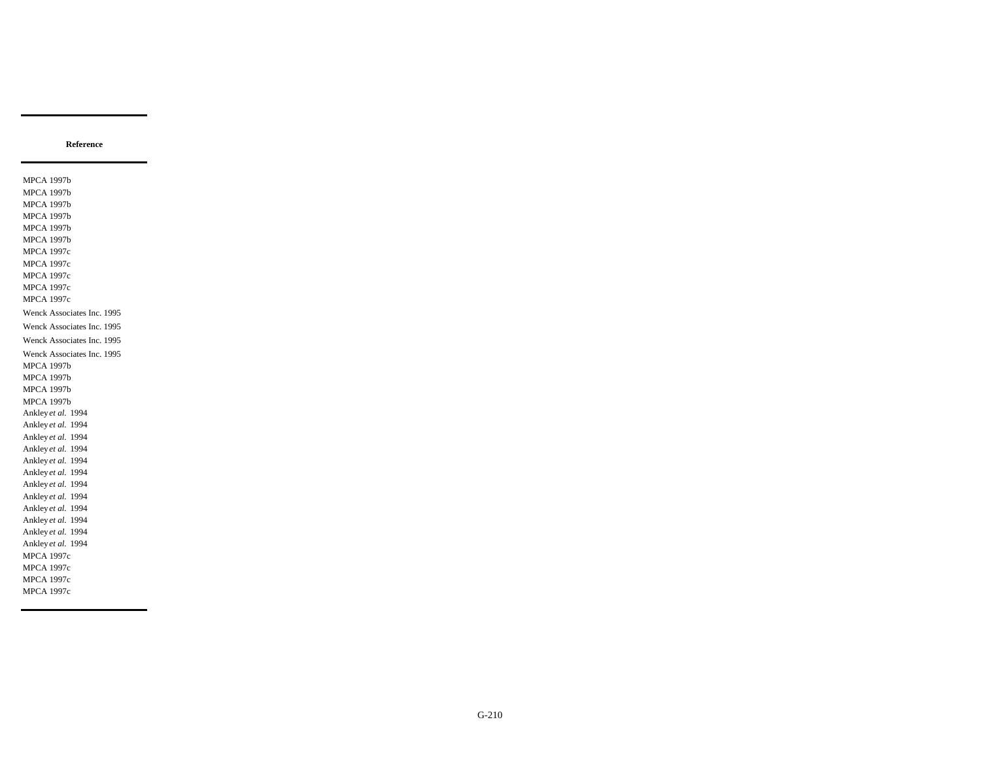MPCA 1997b MPCA 1997b MPCA 1997b MPCA 1997b MPCA 1997b MPCA 1997b MPCA 1997c MPCA 1997c MPCA 1997c MPCA 1997c MPCA 1997c Wenck Associates Inc. 1995 Wenck Associates Inc. 1995 Wenck Associates Inc. 1995 Wenck Associates Inc. 1995 MPCA 1997b MPCA 1997b MPCA 1997b MPCA 1997b Ankley *et al.* 1994 Ankley *et al.* 1994 Ankley *et al.* 1994 Ankley *et al.* 1994 Ankley *et al.* 1994 Ankley *et al.* 1994 Ankley *et al.* 1994 Ankley *et al.* 1994 Ankley *et al.* 1994 Ankley *et al.* 1994 Ankley *et al.* 1994 Ankley *et al.* 1994 MPCA 1997c MPCA 1997c MPCA 1997c MPCA 1997c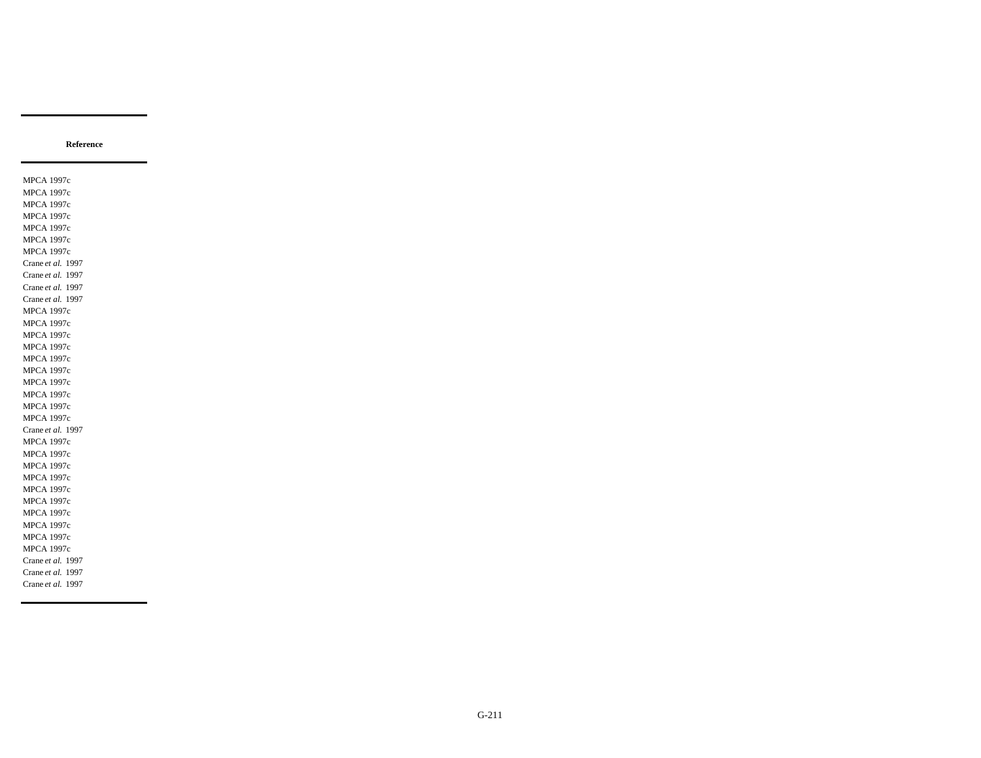MPCA 1997c MPCA 1997c MPCA 1997c MPCA 1997c MPCA 1997c MPCA 1997c MPCA 1997c Crane *et al.* 1997 Crane *et al.* 1997 Crane *et al.* 1997 Crane *et al.* 1997 MPCA 1997c MPCA 1997c MPCA 1997c MPCA 1997c MPCA 1997c MPCA 1997c MPCA 1997c MPCA 1997c MPCA 1997c MPCA 1997c Crane *et al.* 1997 MPCA 1997c MPCA 1997c MPCA 1997c MPCA 1997c MPCA 1997c MPCA 1997c MPCA 1997c MPCA 1997c MPCA 1997c MPCA 1997c Crane *et al.* 1997 Crane *et al.* 1997 Crane *et al.* 1997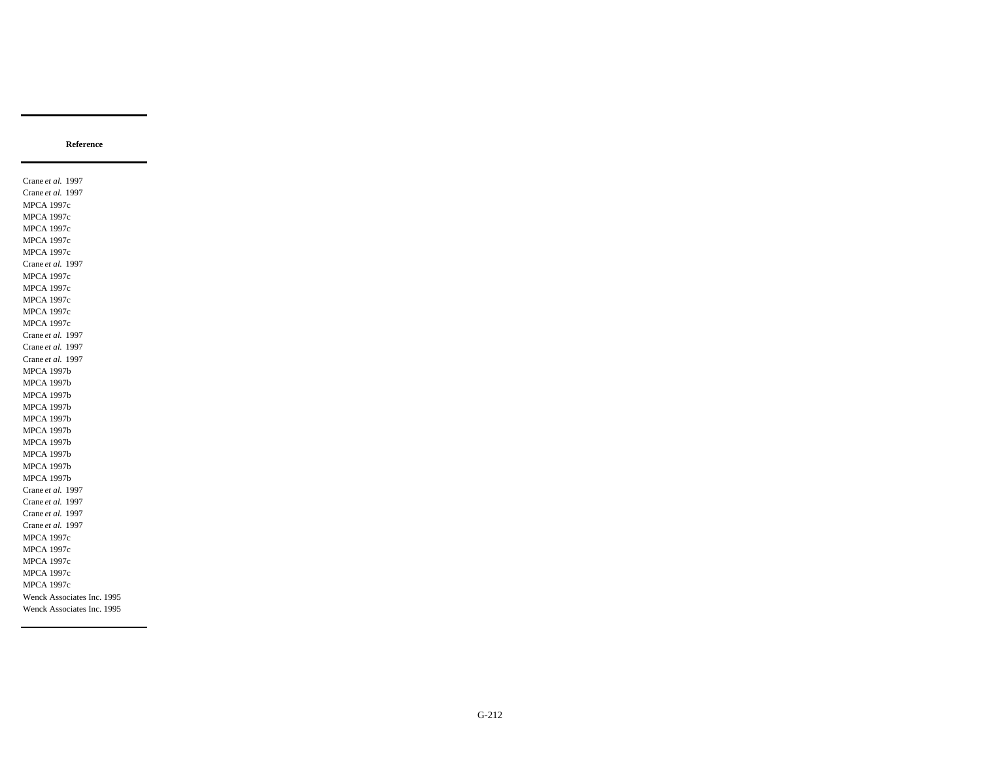Crane *et al.* 1997 Crane *et al.* 1997 MPCA 1997c MPCA 1997c MPCA 1997c MPCA 1997c MPCA 1997c Crane *et al.* 1997 MPCA 1997c MPCA 1997c MPCA 1997c MPCA 1997c MPCA 1997c Crane *et al.* 1997 Crane *et al.* 1997 Crane *et al.* 1997 MPCA 1997b MPCA 1997b MPCA 1997b MPCA 1997b MPCA 1997b MPCA 1997b MPCA 1997b MPCA 1997b MPCA 1997b MPCA 1997b Crane *et al.* 1997 Crane *et al.* 1997 Crane *et al.* 1997 Crane *et al.* 1997 MPCA 1997c MPCA 1997c MPCA 1997c MPCA 1997c MPCA 1997c Wenck Associates Inc. 1995 Wenck Associates Inc. 1995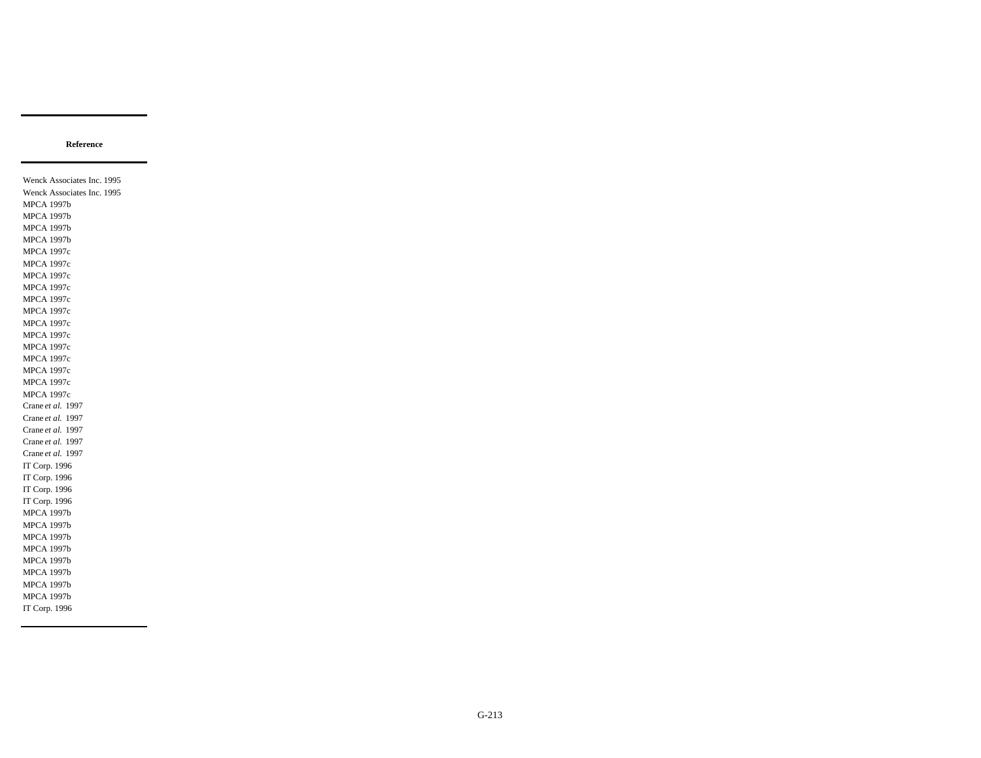Wenck Associates Inc. 1995 Wenck Associates Inc. 1995 MPCA 1997b MPCA 1997b MPCA 1997b MPCA 1997b MPCA 1997c MPCA 1997c MPCA 1997c MPCA 1997c MPCA 1997c MPCA 1997c MPCA 1997c MPCA 1997c MPCA 1997c MPCA 1997c MPCA 1997c MPCA 1997c MPCA 1997c Crane *et al.* 1997 Crane *et al.* 1997 Crane *et al.* 1997 Crane *et al.* 1997 Crane *et al.* 1997 IT Corp. 1996 IT Corp. 1996 IT Corp. 1996 IT Corp. 1996 MPCA 1997b MPCA 1997b MPCA 1997b MPCA 1997b MPCA 1997b MPCA 1997b MPCA 1997b MPCA 1997b IT Corp. 1996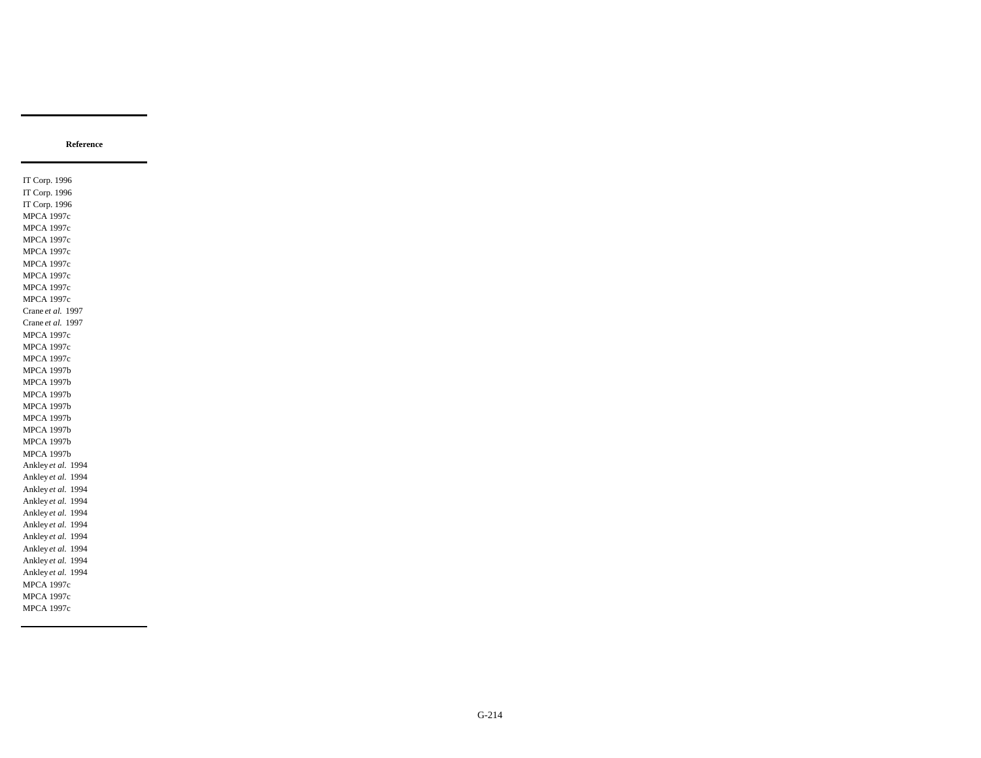IT Corp. 1996 IT Corp. 1996 IT Corp. 1996 MPCA 1997c MPCA 1997c MPCA 1997c MPCA 1997c MPCA 1997c MPCA 1997c MPCA 1997c MPCA 1997c Crane *et al.* 1997 Crane *et al.* 1997 MPCA 1997c MPCA 1997c MPCA 1997c MPCA 1997b MPCA 1997b MPCA 1997b MPCA 1997b MPCA 1997b MPCA 1997b MPCA 1997b MPCA 1997b Ankley *et al.* 1994 Ankley *et al.* 1994 Ankley *et al.* 1994 Ankley *et al.* 1994 Ankley *et al.* 1994 Ankley *et al.* 1994 Ankley *et al.* 1994 Ankley *et al.* 1994 Ankley *et al.* 1994 Ankley *et al.* 1994 MPCA 1997c MPCA 1997c MPCA 1997c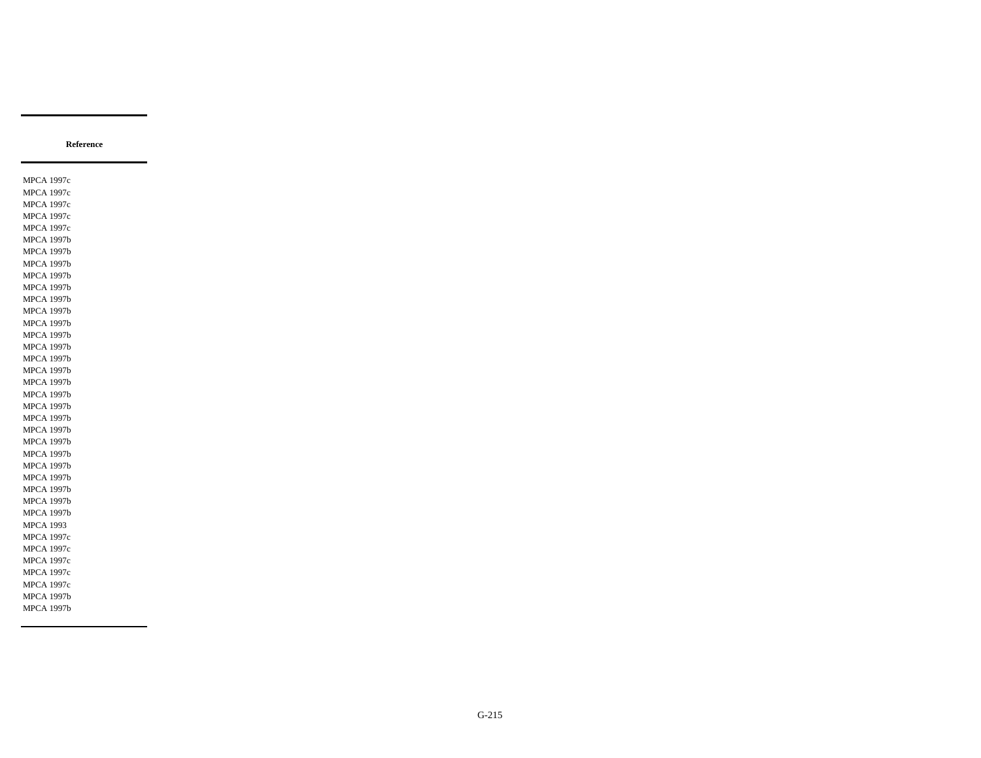MPCA 1997c MPCA 1997c MPCA 1997c MPCA 1997c MPCA 1997c MPCA 1997b MPCA 1997b MPCA 1997b MPCA 1997b MPCA 1997b MPCA 1997b MPCA 1997b MPCA 1997b MPCA 1997b MPCA 1997b MPCA 1997b MPCA 1997b MPCA 1997b MPCA 1997b MPCA 1997b MPCA 1997b MPCA 1997b MPCA 1997b MPCA 1997b MPCA 1997b MPCA 1997b MPCA 1997b MPCA 1997b MPCA 1997b MPCA 1993 MPCA 1997c MPCA 1997c MPCA 1997c MPCA 1997c MPCA 1997c MPCA 1997b MPCA 1997b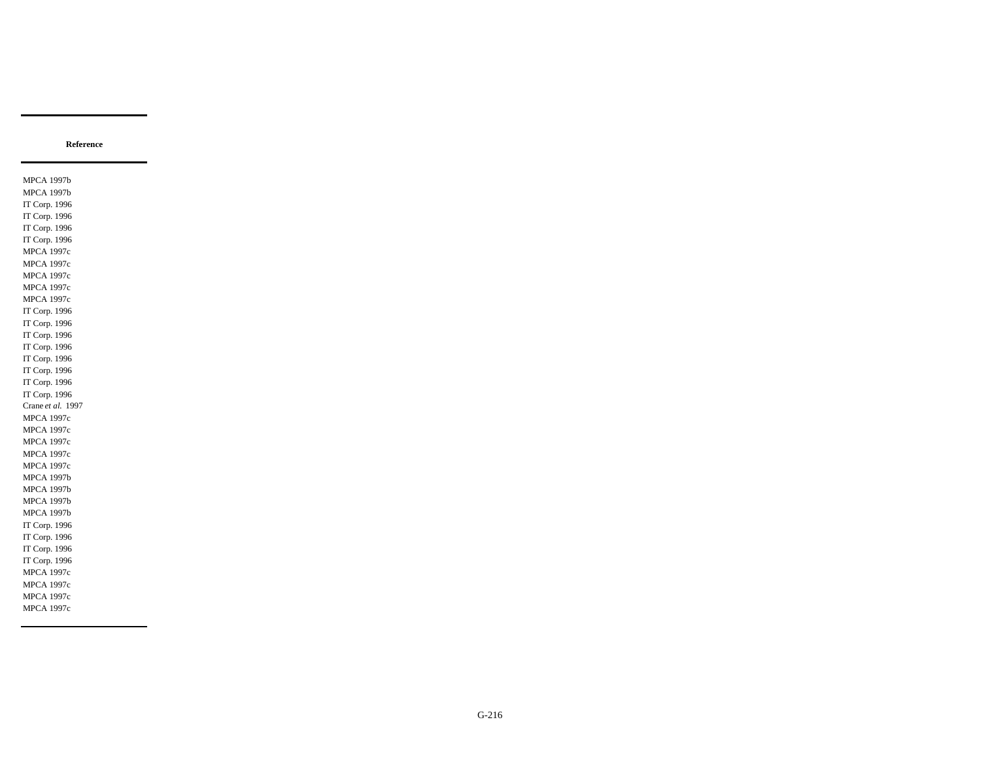MPCA 1997b MPCA 1997b IT Corp. 1996 IT Corp. 1996 IT Corp. 1996 IT Corp. 1996 MPCA 1997c MPCA 1997c MPCA 1997c MPCA 1997c MPCA 1997c IT Corp. 1996 IT Corp. 1996 IT Corp. 1996 IT Corp. 1996 IT Corp. 1996 IT Corp. 1996 IT Corp. 1996 IT Corp. 1996 Crane *et al.* 1997 MPCA 1997c MPCA 1997c MPCA 1997c MPCA 1997c MPCA 1997c MPCA 1997b MPCA 1997b MPCA 1997b MPCA 1997b IT Corp. 1996 IT Corp. 1996 IT Corp. 1996 IT Corp. 1996 MPCA 1997c MPCA 1997c MPCA 1997c MPCA 1997c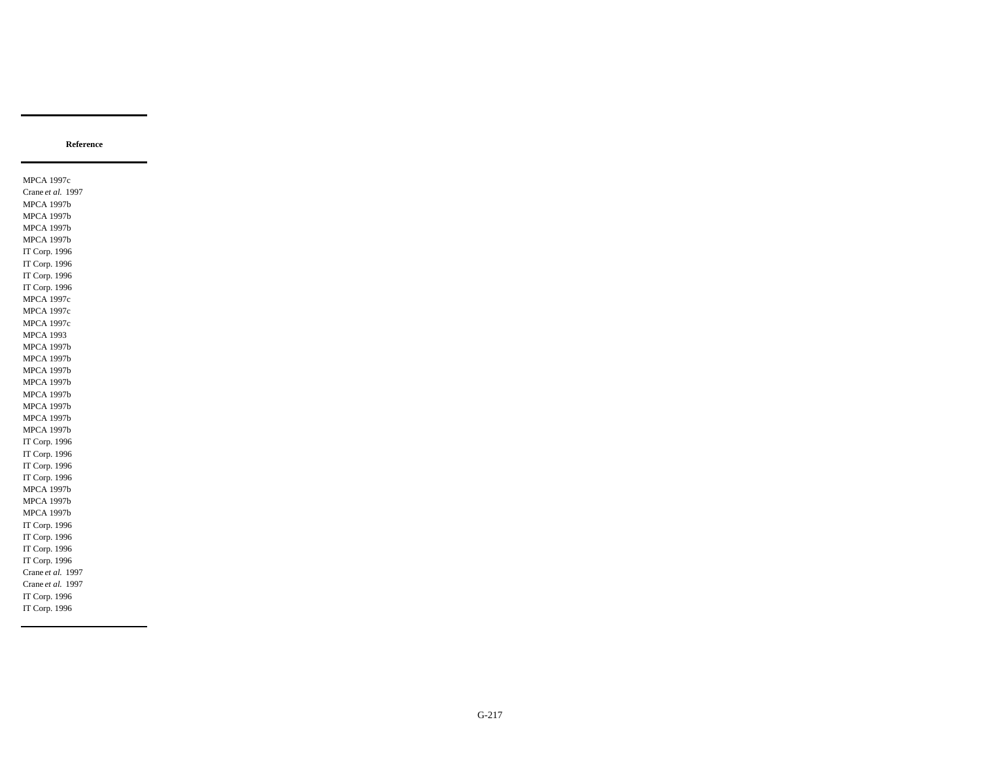MPCA 1997c Crane *et al.* 1997 MPCA 1997b MPCA 1997b MPCA 1997b MPCA 1997b IT Corp. 1996 IT Corp. 1996 IT Corp. 1996 IT Corp. 1996 MPCA 1997c MPCA 1997c MPCA 1997c MPCA 1993 MPCA 1997b MPCA 1997b MPCA 1997b MPCA 1997b MPCA 1997b MPCA 1997b MPCA 1997b MPCA 1997b IT Corp. 1996 IT Corp. 1996 IT Corp. 1996 IT Corp. 1996 MPCA 1997b MPCA 1997b MPCA 1997b IT Corp. 1996 IT Corp. 1996 IT Corp. 1996 IT Corp. 1996 Crane *et al.* 1997 Crane *et al.* 1997 IT Corp. 1996 IT Corp. 1996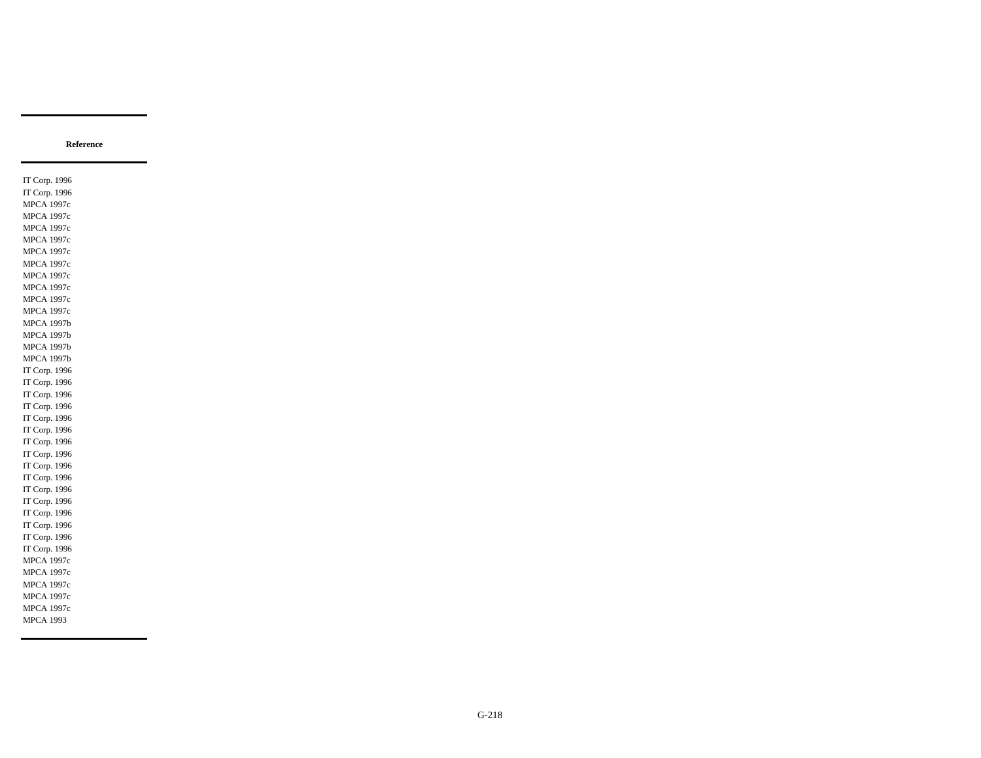IT Corp. 1996 IT Corp. 1996 MPCA 1997c MPCA 1997c MPCA 1997c MPCA 1997c MPCA 1997c MPCA 1997c MPCA 1997c MPCA 1997c MPCA 1997c MPCA 1997c MPCA 1997b MPCA 1997b MPCA 1997b MPCA 1997b IT Corp. 1996 IT Corp. 1996 IT Corp. 1996 IT Corp. 1996 IT Corp. 1996 IT Corp. 1996 IT Corp. 1996 IT Corp. 1996 IT Corp. 1996 IT Corp. 1996 IT Corp. 1996 IT Corp. 1996 IT Corp. 1996 IT Corp. 1996 IT Corp. 1996 IT Corp. 1996 MPCA 1997c MPCA 1997c MPCA 1997c MPCA 1997c MPCA 1997c MPCA 1993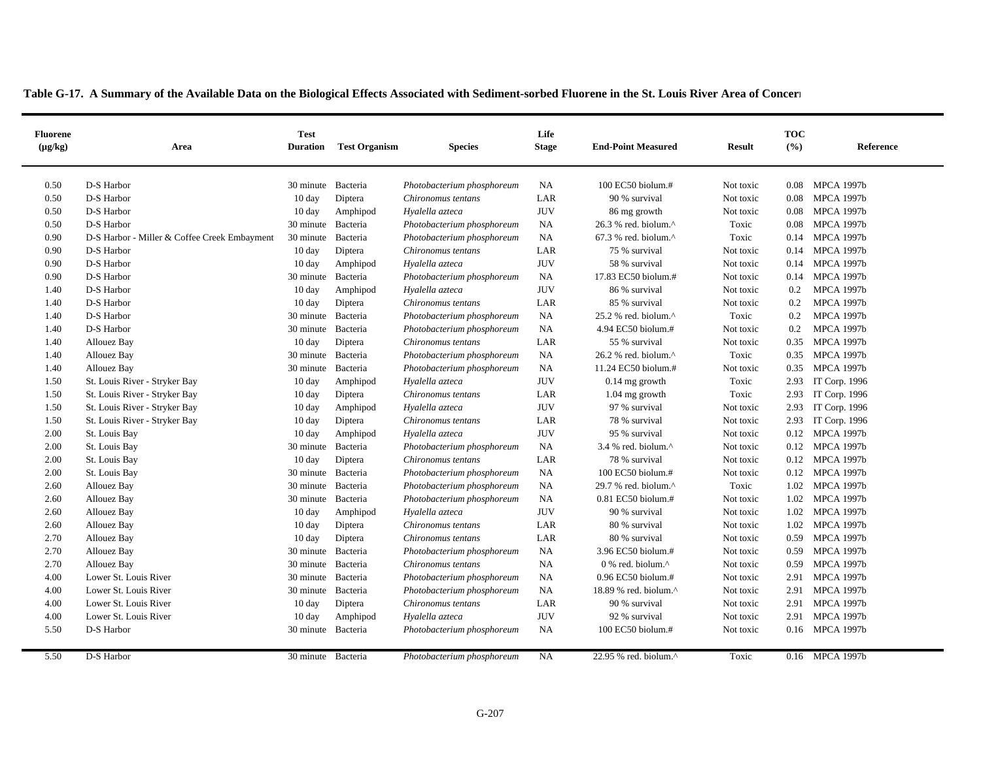| <b>Fluorene</b><br>$(\mu g/kg)$ | Area                                         | <b>Test</b><br><b>Duration</b> | <b>Test Organism</b> | <b>Species</b>             | Life<br><b>Stage</b> | <b>End-Point Measured</b>                            | <b>Result</b> | <b>TOC</b><br>(%) | Reference         |
|---------------------------------|----------------------------------------------|--------------------------------|----------------------|----------------------------|----------------------|------------------------------------------------------|---------------|-------------------|-------------------|
|                                 |                                              |                                |                      |                            |                      |                                                      |               |                   |                   |
| 0.50                            | D-S Harbor                                   | 30 minute Bacteria             |                      | Photobacterium phosphoreum | NA                   | 100 EC50 biolum.#                                    | Not toxic     | 0.08              | <b>MPCA 1997b</b> |
| 0.50                            | D-S Harbor                                   | $10 \text{ day}$               | Diptera              | Chironomus tentans         | LAR                  | 90 % survival                                        | Not toxic     | 0.08              | <b>MPCA 1997b</b> |
| 0.50                            | D-S Harbor                                   | $10 \text{ day}$               | Amphipod             | Hyalella azteca            | <b>JUV</b>           | 86 mg growth                                         | Not toxic     | 0.08              | <b>MPCA 1997b</b> |
| 0.50                            | D-S Harbor                                   | 30 minute Bacteria             |                      | Photobacterium phosphoreum | NA                   | 26.3 % red. biolum.^                                 | Toxic         | 0.08              | <b>MPCA 1997b</b> |
| 0.90                            | D-S Harbor - Miller & Coffee Creek Embayment | 30 minute Bacteria             |                      | Photobacterium phosphoreum | NA                   | $67.3$ % red. biolum. <sup><math>\wedge</math></sup> | Toxic         |                   | 0.14 MPCA 1997b   |
| 0.90                            | D-S Harbor                                   | $10 \text{ day}$               | Diptera              | Chironomus tentans         | LAR                  | 75 % survival                                        | Not toxic     |                   | 0.14 MPCA 1997b   |
| 0.90                            | D-S Harbor                                   | 10 day                         | Amphipod             | Hyalella azteca            | <b>JUV</b>           | 58 % survival                                        | Not toxic     |                   | 0.14 MPCA 1997b   |
| 0.90                            | D-S Harbor                                   | 30 minute Bacteria             |                      | Photobacterium phosphoreum | NA                   | 17.83 EC50 biolum.#                                  | Not toxic     | 0.14              | <b>MPCA 1997b</b> |
| 1.40                            | D-S Harbor                                   | $10 \text{ day}$               | Amphipod             | Hyalella azteca            | <b>JUV</b>           | 86 % survival                                        | Not toxic     | 0.2               | <b>MPCA 1997b</b> |
| 1.40                            | D-S Harbor                                   | $10 \text{ day}$               | Diptera              | Chironomus tentans         | LAR                  | 85 % survival                                        | Not toxic     | 0.2               | <b>MPCA 1997b</b> |
| 1.40                            | D-S Harbor                                   | 30 minute Bacteria             |                      | Photobacterium phosphoreum | NA                   | $25.2$ % red. biolum. <sup><math>\land</math></sup>  | Toxic         | 0.2               | <b>MPCA 1997b</b> |
| 1.40                            | D-S Harbor                                   | 30 minute Bacteria             |                      | Photobacterium phosphoreum | NA                   | 4.94 EC50 biolum.#                                   | Not toxic     | 0.2               | <b>MPCA 1997b</b> |
| 1.40                            | Allouez Bay                                  | $10 \text{ day}$               | Diptera              | Chironomus tentans         | LAR                  | 55 % survival                                        | Not toxic     | 0.35              | <b>MPCA 1997b</b> |
| 1.40                            | Allouez Bay                                  | 30 minute Bacteria             |                      | Photobacterium phosphoreum | NA                   | 26.2 % red. biolum.^                                 | Toxic         |                   | 0.35 MPCA 1997b   |
| 1.40                            | Allouez Bay                                  | 30 minute                      | Bacteria             | Photobacterium phosphoreum | NA                   | 11.24 EC50 biolum.#                                  | Not toxic     | 0.35              | <b>MPCA 1997b</b> |
| 1.50                            | St. Louis River - Stryker Bay                | $10 \text{ day}$               | Amphipod             | Hyalella azteca            | <b>JUV</b>           | $0.14$ mg growth                                     | Toxic         | 2.93              | IT Corp. 1996     |
| 1.50                            | St. Louis River - Stryker Bay                | $10 \text{ day}$               | Diptera              | Chironomus tentans         | LAR                  | $1.04$ mg growth                                     | Toxic         | 2.93              | IT Corp. 1996     |
| 1.50                            | St. Louis River - Stryker Bay                | $10 \text{ day}$               | Amphipod             | Hyalella azteca            | <b>JUV</b>           | 97 % survival                                        | Not toxic     | 2.93              | IT Corp. 1996     |
| 1.50                            | St. Louis River - Stryker Bay                | 10 day                         | Diptera              | Chironomus tentans         | LAR                  | 78 % survival                                        | Not toxic     | 2.93              | IT Corp. 1996     |
| 2.00                            | St. Louis Bay                                | $10 \text{ day}$               | Amphipod             | Hyalella azteca            | <b>JUV</b>           | 95 % survival                                        | Not toxic     |                   | 0.12 MPCA 1997b   |
| 2.00                            | St. Louis Bay                                | 30 minute Bacteria             |                      | Photobacterium phosphoreum | NA                   | 3.4 % red. biolum. $^{\wedge}$                       | Not toxic     | 0.12              | <b>MPCA 1997b</b> |
| 2.00                            | St. Louis Bay                                | $10 \text{ day}$               | Diptera              | Chironomus tentans         | LAR                  | 78 % survival                                        | Not toxic     |                   | 0.12 MPCA 1997b   |
| 2.00                            | St. Louis Bay                                | 30 minute Bacteria             |                      | Photobacterium phosphoreum | NA                   | 100 EC50 biolum.#                                    | Not toxic     |                   | 0.12 MPCA 1997b   |
| 2.60                            | Allouez Bay                                  | 30 minute Bacteria             |                      | Photobacterium phosphoreum | NA                   | 29.7 % red. biolum.^                                 | Toxic         |                   | 1.02 MPCA 1997b   |
| 2.60                            | Allouez Bay                                  | 30 minute Bacteria             |                      | Photobacterium phosphoreum | NA                   | $0.81$ EC50 biolum.#                                 | Not toxic     | 1.02              | <b>MPCA 1997b</b> |
| 2.60                            | Allouez Bay                                  | 10 day                         | Amphipod             | Hyalella azteca            | <b>JUV</b>           | 90 % survival                                        | Not toxic     | 1.02              | <b>MPCA 1997b</b> |
| 2.60                            | Allouez Bay                                  | $10 \text{ day}$               | Diptera              | Chironomus tentans         | LAR                  | 80 % survival                                        | Not toxic     |                   | 1.02 MPCA 1997b   |
| 2.70                            | Allouez Bay                                  | $10 \text{ day}$               | Diptera              | Chironomus tentans         | LAR                  | 80 % survival                                        | Not toxic     |                   | 0.59 MPCA 1997b   |
| 2.70                            | Allouez Bay                                  | 30 minute Bacteria             |                      | Photobacterium phosphoreum | NA                   | 3.96 EC50 biolum.#                                   | Not toxic     | 0.59              | <b>MPCA 1997b</b> |
| 2.70                            | Allouez Bay                                  | 30 minute Bacteria             |                      | Chironomus tentans         | NA                   | 0 % red. biolum. $^{\wedge}$                         | Not toxic     | 0.59              | <b>MPCA 1997b</b> |
| 4.00                            | Lower St. Louis River                        | 30 minute Bacteria             |                      | Photobacterium phosphoreum | NA                   | 0.96 EC50 biolum.#                                   | Not toxic     |                   | 2.91 MPCA 1997b   |
| 4.00                            | Lower St. Louis River                        | 30 minute Bacteria             |                      | Photobacterium phosphoreum | NA                   | 18.89 % red. biolum.^                                | Not toxic     |                   | 2.91 MPCA 1997b   |
| 4.00                            | Lower St. Louis River                        | $10 \text{ day}$               | Diptera              | Chironomus tentans         | LAR                  | 90 % survival                                        | Not toxic     |                   | 2.91 MPCA 1997b   |
| 4.00                            | Lower St. Louis River                        | $10 \text{ day}$               | Amphipod             | Hyalella azteca            | <b>JUV</b>           | 92 % survival                                        | Not toxic     |                   | 2.91 MPCA 1997b   |
| 5.50                            | D-S Harbor                                   | 30 minute Bacteria             |                      | Photobacterium phosphoreum | <b>NA</b>            | 100 EC50 biolum.#                                    | Not toxic     |                   | 0.16 MPCA 1997b   |
| 5.50                            | D-S Harbor                                   | 30 minute Bacteria             |                      | Photobacterium phosphoreum | NA                   | 22.95 % red. biolum.^                                | Toxic         |                   | 0.16 MPCA 1997b   |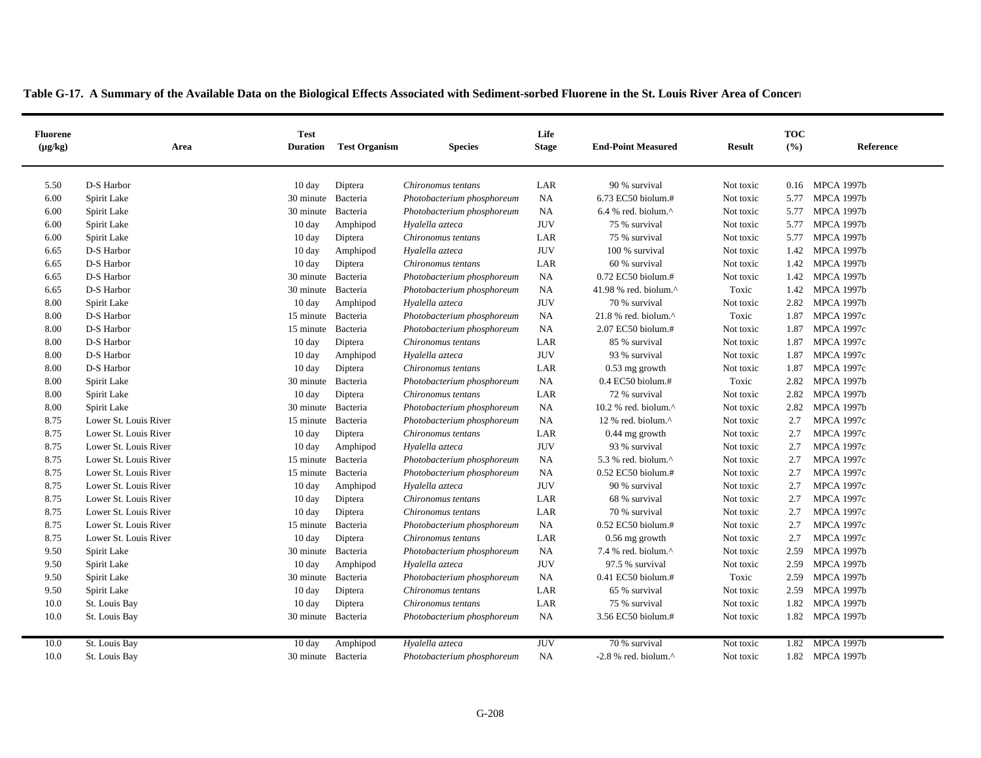| <b>Fluorene</b><br>$(\mu g/kg)$ | Area                  | <b>Test</b><br><b>Duration</b> | <b>Test Organism</b> | <b>Species</b>             | Life<br><b>Stage</b> | <b>End-Point Measured</b>                            | <b>Result</b> | <b>TOC</b><br>(°/°) | Reference         |
|---------------------------------|-----------------------|--------------------------------|----------------------|----------------------------|----------------------|------------------------------------------------------|---------------|---------------------|-------------------|
|                                 |                       |                                |                      |                            |                      |                                                      |               |                     |                   |
| 5.50                            | D-S Harbor            | $10 \text{ day}$               | Diptera              | Chironomus tentans         | LAR                  | 90 % survival                                        | Not toxic     |                     | 0.16 MPCA 1997b   |
| 6.00                            | Spirit Lake           | 30 minute Bacteria             |                      | Photobacterium phosphoreum | NA                   | 6.73 EC50 biolum.#                                   | Not toxic     | 5.77                | <b>MPCA 1997b</b> |
| 6.00                            | Spirit Lake           | 30 minute Bacteria             |                      | Photobacterium phosphoreum | NA                   | $6.4$ % red. biolum. <sup><math>\wedge</math></sup>  | Not toxic     | 5.77                | <b>MPCA 1997b</b> |
| 6.00                            | Spirit Lake           | $10 \text{ day}$               | Amphipod             | Hyalella azteca            | <b>JUV</b>           | 75 % survival                                        | Not toxic     | 5.77                | <b>MPCA 1997b</b> |
| 6.00                            | Spirit Lake           | $10 \text{ day}$               | Diptera              | Chironomus tentans         | LAR                  | 75 % survival                                        | Not toxic     | 5.77                | <b>MPCA 1997b</b> |
| 6.65                            | D-S Harbor            | 10 day                         | Amphipod             | Hyalella azteca            | <b>JUV</b>           | 100 % survival                                       | Not toxic     |                     | 1.42 MPCA 1997b   |
| 6.65                            | D-S Harbor            | $10 \text{ day}$               | Diptera              | Chironomus tentans         | LAR                  | 60 % survival                                        | Not toxic     |                     | 1.42 MPCA 1997b   |
| 6.65                            | D-S Harbor            | 30 minute Bacteria             |                      | Photobacterium phosphoreum | NA                   | 0.72 EC50 biolum.#                                   | Not toxic     |                     | 1.42 MPCA 1997b   |
| 6.65                            | D-S Harbor            | 30 minute Bacteria             |                      | Photobacterium phosphoreum | <b>NA</b>            | 41.98 % red. biolum. $^{\wedge}$                     | Toxic         | 1.42                | <b>MPCA 1997b</b> |
| 8.00                            | Spirit Lake           | $10 \text{ day}$               | Amphipod             | Hyalella azteca            | <b>JUV</b>           | 70 % survival                                        | Not toxic     | 2.82                | <b>MPCA 1997b</b> |
| 8.00                            | D-S Harbor            | 15 minute Bacteria             |                      | Photobacterium phosphoreum | NA                   | 21.8 % red. biolum.^                                 | Toxic         | 1.87                | MPCA 1997c        |
| 8.00                            | D-S Harbor            | 15 minute Bacteria             |                      | Photobacterium phosphoreum | NA                   | 2.07 EC50 biolum.#                                   | Not toxic     | 1.87                | <b>MPCA 1997c</b> |
| 8.00                            | D-S Harbor            | 10 day                         | Diptera              | Chironomus tentans         | LAR                  | 85 % survival                                        | Not toxic     | 1.87                | <b>MPCA 1997c</b> |
| 8.00                            | D-S Harbor            | $10 \text{ day}$               | Amphipod             | Hyalella azteca            | <b>JUV</b>           | 93 % survival                                        | Not toxic     | 1.87                | <b>MPCA 1997c</b> |
| 8.00                            | D-S Harbor            | $10 \text{ day}$               | Diptera              | Chironomus tentans         | LAR                  | $0.53$ mg growth                                     | Not toxic     | 1.87                | <b>MPCA 1997c</b> |
| 8.00                            | Spirit Lake           | 30 minute Bacteria             |                      | Photobacterium phosphoreum | NA                   | 0.4 EC50 biolum.#                                    | Toxic         | 2.82                | <b>MPCA 1997b</b> |
| 8.00                            | Spirit Lake           | $10 \text{ day}$               | Diptera              | Chironomus tentans         | LAR                  | 72 % survival                                        | Not toxic     | 2.82                | <b>MPCA 1997b</b> |
| 8.00                            | Spirit Lake           | 30 minute Bacteria             |                      | Photobacterium phosphoreum | <b>NA</b>            | $10.2$ % red. biolum. <sup><math>\wedge</math></sup> | Not toxic     | 2.82                | <b>MPCA 1997b</b> |
| 8.75                            | Lower St. Louis River | 15 minute Bacteria             |                      | Photobacterium phosphoreum | NA                   | 12 % red. biolum.^                                   | Not toxic     | 2.7                 | <b>MPCA 1997c</b> |
| 8.75                            | Lower St. Louis River | $10 \text{ day}$               | Diptera              | Chironomus tentans         | LAR                  | $0.44$ mg growth                                     | Not toxic     | 2.7                 | <b>MPCA 1997c</b> |
| 8.75                            | Lower St. Louis River | 10 day                         | Amphipod             | Hyalella azteca            | <b>JUV</b>           | 93 % survival                                        | Not toxic     | 2.7                 | <b>MPCA 1997c</b> |
| 8.75                            | Lower St. Louis River | 15 minute Bacteria             |                      | Photobacterium phosphoreum | <b>NA</b>            | 5.3 % red. biolum.^                                  | Not toxic     | 2.7                 | <b>MPCA 1997c</b> |
| 8.75                            | Lower St. Louis River | 15 minute Bacteria             |                      | Photobacterium phosphoreum | NA                   | $0.52$ EC50 biolum.#                                 | Not toxic     | 2.7                 | <b>MPCA 1997c</b> |
| 8.75                            | Lower St. Louis River | $10 \text{ day}$               | Amphipod             | Hyalella azteca            | <b>JUV</b>           | 90 % survival                                        | Not toxic     | 2.7                 | <b>MPCA 1997c</b> |
| 8.75                            | Lower St. Louis River | $10 \text{ day}$               | Diptera              | Chironomus tentans         | LAR                  | 68 % survival                                        | Not toxic     | 2.7                 | <b>MPCA 1997c</b> |
| 8.75                            | Lower St. Louis River | $10 \text{ day}$               | Diptera              | Chironomus tentans         | LAR                  | 70 % survival                                        | Not toxic     | 2.7                 | <b>MPCA 1997c</b> |
| 8.75                            | Lower St. Louis River | 15 minute Bacteria             |                      | Photobacterium phosphoreum | <b>NA</b>            | $0.52$ EC50 biolum.#                                 | Not toxic     | 2.7                 | <b>MPCA 1997c</b> |
| 8.75                            | Lower St. Louis River | $10 \text{ day}$               | Diptera              | Chironomus tentans         | LAR                  | $0.56$ mg growth                                     | Not toxic     | 2.7                 | <b>MPCA 1997c</b> |
| 9.50                            | Spirit Lake           | 30 minute Bacteria             |                      | Photobacterium phosphoreum | NA                   | 7.4 % red. biolum.^                                  | Not toxic     | 2.59                | <b>MPCA 1997b</b> |
| 9.50                            | Spirit Lake           | $10 \text{ day}$               | Amphipod             | Hyalella azteca            | <b>JUV</b>           | 97.5 % survival                                      | Not toxic     | 2.59                | <b>MPCA 1997b</b> |
| 9.50                            | Spirit Lake           | 30 minute Bacteria             |                      | Photobacterium phosphoreum | NA                   | 0.41 EC50 biolum.#                                   | Toxic         | 2.59                | <b>MPCA 1997b</b> |
| 9.50                            | Spirit Lake           | 10 day                         | Diptera              | Chironomus tentans         | LAR                  | 65 % survival                                        | Not toxic     | 2.59                | <b>MPCA 1997b</b> |
| 10.0                            | St. Louis Bay         | $10 \text{ day}$               | Diptera              | Chironomus tentans         | LAR                  | 75 % survival                                        | Not toxic     | 1.82                | <b>MPCA 1997b</b> |
| 10.0                            | St. Louis Bay         | 30 minute Bacteria             |                      | Photobacterium phosphoreum | NA                   | 3.56 EC50 biolum.#                                   | Not toxic     |                     | 1.82 MPCA 1997b   |
| 10.0                            | St. Louis Bay         | $10 \text{ day}$               | Amphipod             | Hyalella azteca            | <b>JUV</b>           | 70 % survival                                        | Not toxic     | 1.82                | <b>MPCA 1997b</b> |
| 10.0                            | St. Louis Bay         | 30 minute Bacteria             |                      | Photobacterium phosphoreum | NA                   | $-2.8$ % red. biolum. <sup><math>\wedge</math></sup> | Not toxic     |                     | 1.82 MPCA 1997b   |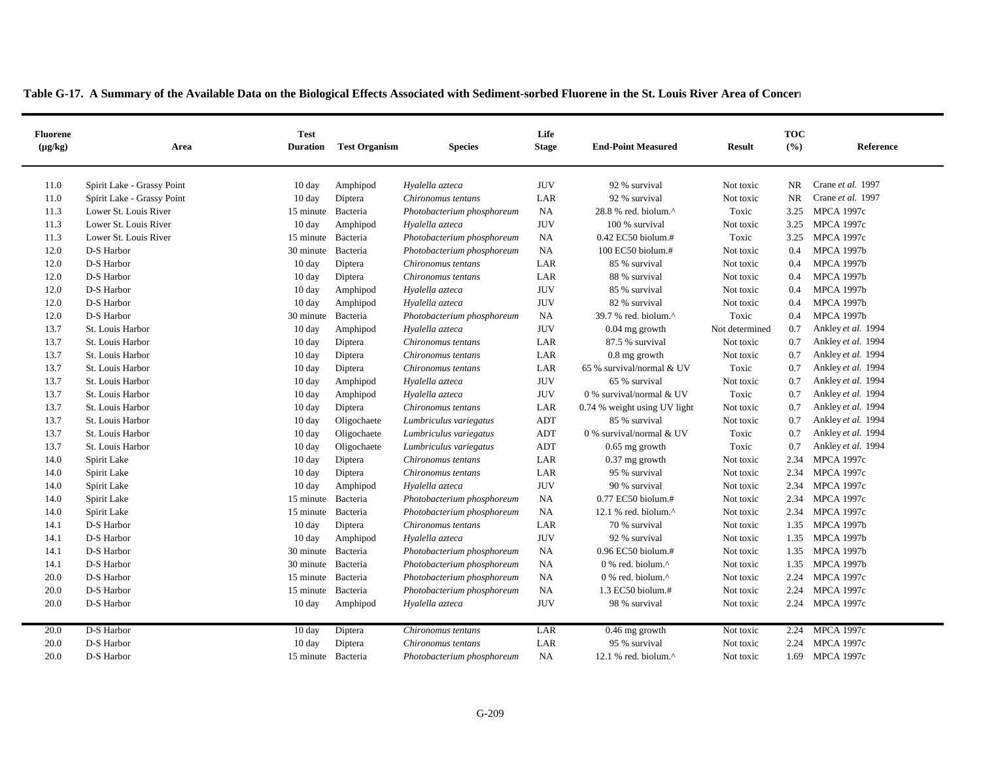| Table G-17. A Summary of the Available Data on the Biological Effects Associated with Sediment-sorbed Fluorene in the St. Louis River Area of Concerners |  |
|----------------------------------------------------------------------------------------------------------------------------------------------------------|--|
|----------------------------------------------------------------------------------------------------------------------------------------------------------|--|

| <b>Fluorene</b><br>$(\mu g/kg)$ | Area                       | <b>Test</b><br><b>Duration</b> | <b>Test Organism</b> | <b>Species</b>             | Life<br><b>Stage</b> | <b>End-Point Measured</b>                         | <b>Result</b>  | <b>TOC</b><br>(%) | Reference          |
|---------------------------------|----------------------------|--------------------------------|----------------------|----------------------------|----------------------|---------------------------------------------------|----------------|-------------------|--------------------|
| 11.0                            | Spirit Lake - Grassy Point | 10 day                         | Amphipod             | Hyalella azteca            | <b>JUV</b>           | 92 % survival                                     | Not toxic      | <b>NR</b>         | Crane et al. 1997  |
| 11.0                            | Spirit Lake - Grassy Point | $10 \text{ day}$               | Diptera              | Chironomus tentans         | LAR                  | 92 % survival                                     | Not toxic      | <b>NR</b>         | Crane et al. 1997  |
| 11.3                            | Lower St. Louis River      | 15 minute Bacteria             |                      | Photobacterium phosphoreum | NA                   | 28.8 % red. biolum.^                              | Toxic          | 3.25              | <b>MPCA 1997c</b>  |
| 11.3                            | Lower St. Louis River      | $10 \text{ day}$               | Amphipod             | Hyalella azteca            | <b>JUV</b>           | 100 % survival                                    | Not toxic      | 3.25              | <b>MPCA 1997c</b>  |
| 11.3                            | Lower St. Louis River      | 15 minute Bacteria             |                      | Photobacterium phosphoreum | <b>NA</b>            | $0.42$ EC50 biolum.#                              | Toxic          | 3.25              | <b>MPCA 1997c</b>  |
| 12.0                            | D-S Harbor                 | 30 minute                      | Bacteria             | Photobacterium phosphoreum | NA                   | 100 EC50 biolum.#                                 | Not toxic      | 0.4               | <b>MPCA 1997b</b>  |
| 12.0                            | D-S Harbor                 | $10 \text{ day}$               | Diptera              | Chironomus tentans         | LAR                  | 85 % survival                                     | Not toxic      | 0.4               | <b>MPCA 1997b</b>  |
| 12.0                            | D-S Harbor                 | $10 \text{ day}$               | Diptera              | Chironomus tentans         | LAR                  | 88 % survival                                     | Not toxic      | 0.4               | <b>MPCA 1997b</b>  |
| 12.0                            | D-S Harbor                 | $10 \text{ day}$               | Amphipod             | Hyalella azteca            | <b>JUV</b>           | 85 % survival                                     | Not toxic      | 0.4               | <b>MPCA 1997b</b>  |
| 12.0                            | D-S Harbor                 | $10 \text{ day}$               | Amphipod             | Hyalella azteca            | <b>JUV</b>           | 82 % survival                                     | Not toxic      | 0.4               | <b>MPCA 1997b</b>  |
| 12.0                            | D-S Harbor                 | 30 minute                      | Bacteria             | Photobacterium phosphoreum | <b>NA</b>            | 39.7 % red. biolum.^                              | Toxic          | 0.4               | <b>MPCA 1997b</b>  |
| 13.7                            | St. Louis Harbor           | $10 \text{ day}$               | Amphipod             | Hyalella azteca            | <b>JUV</b>           | $0.04$ mg growth                                  | Not determined | 0.7               | Ankley et al. 1994 |
| 13.7                            | St. Louis Harbor           | $10 \text{ day}$               | Diptera              | Chironomus tentans         | LAR                  | 87.5 % survival                                   | Not toxic      | 0.7               | Ankley et al. 1994 |
| 13.7                            | St. Louis Harbor           | $10 \text{ day}$               | Diptera              | Chironomus tentans         | LAR                  | $0.8$ mg growth                                   | Not toxic      | 0.7               | Ankley et al. 1994 |
| 13.7                            | St. Louis Harbor           | 10 day                         | Diptera              | Chironomus tentans         | LAR                  | 65 % survival/normal & UV                         | Toxic          | 0.7               | Ankley et al. 1994 |
| 13.7                            | St. Louis Harbor           | 10 day                         | Amphipod             | Hyalella azteca            | <b>JUV</b>           | 65 % survival                                     | Not toxic      | 0.7               | Ankley et al. 1994 |
| 13.7                            | St. Louis Harbor           | 10 day                         | Amphipod             | Hyalella azteca            | <b>JUV</b>           | 0 % survival/normal & UV                          | Toxic          | 0.7               | Ankley et al. 1994 |
| 13.7                            | St. Louis Harbor           | 10 day                         | Diptera              | Chironomus tentans         | LAR                  | 0.74 % weight using UV light                      | Not toxic      | 0.7               | Ankley et al. 1994 |
| 13.7                            | St. Louis Harbor           | 10 day                         | Oligochaete          | Lumbriculus variegatus     | ADT                  | 85 % survival                                     | Not toxic      | 0.7               | Ankley et al. 1994 |
| 13.7                            | St. Louis Harbor           | $10 \text{ day}$               | Oligochaete          | Lumbriculus variegatus     | ADT                  | 0 % survival/normal & UV                          | Toxic          | 0.7               | Ankley et al. 1994 |
| 13.7                            | St. Louis Harbor           | 10 day                         | Oligochaete          | Lumbriculus variegatus     | ADT                  | $0.65$ mg growth                                  | Toxic          | 0.7               | Ankley et al. 1994 |
| 14.0                            | Spirit Lake                | 10 day                         | Diptera              | Chironomus tentans         | LAR                  | $0.37$ mg growth                                  | Not toxic      | 2.34              | <b>MPCA 1997c</b>  |
| 14.0                            | Spirit Lake                | 10 day                         | Diptera              | Chironomus tentans         | LAR                  | 95 % survival                                     | Not toxic      | 2.34              | <b>MPCA 1997c</b>  |
| 14.0                            | Spirit Lake                | $10 \text{ day}$               | Amphipod             | Hyalella azteca            | <b>JUV</b>           | 90 % survival                                     | Not toxic      | 2.34              | <b>MPCA 1997c</b>  |
| 14.0                            | Spirit Lake                | 15 minute Bacteria             |                      | Photobacterium phosphoreum | NA                   | 0.77 EC50 biolum.#                                | Not toxic      | 2.34              | <b>MPCA 1997c</b>  |
| 14.0                            | Spirit Lake                | 15 minute                      | Bacteria             | Photobacterium phosphoreum | NA                   | 12.1 % red. biolum. $^{\wedge}$                   | Not toxic      | 2.34              | <b>MPCA 1997c</b>  |
| 14.1                            | D-S Harbor                 | $10 \text{ day}$               | Diptera              | Chironomus tentans         | LAR                  | 70 % survival                                     | Not toxic      | 1.35              | <b>MPCA 1997b</b>  |
| 14.1                            | D-S Harbor                 | $10 \text{ day}$               | Amphipod             | Hyalella azteca            | <b>JUV</b>           | 92 % survival                                     | Not toxic      | 1.35              | <b>MPCA 1997b</b>  |
| 14.1                            | D-S Harbor                 | 30 minute Bacteria             |                      | Photobacterium phosphoreum | NA                   | $0.96$ EC50 biolum.#                              | Not toxic      | 1.35              | <b>MPCA 1997b</b>  |
| 14.1                            | D-S Harbor                 | 30 minute Bacteria             |                      | Photobacterium phosphoreum | <b>NA</b>            | 0 % red. biolum.^                                 | Not toxic      | 1.35              | <b>MPCA 1997b</b>  |
| 20.0                            | D-S Harbor                 | 15 minute Bacteria             |                      | Photobacterium phosphoreum | <b>NA</b>            | $0\%$ red. biolum. <sup><math>\wedge</math></sup> | Not toxic      | 2.24              | <b>MPCA 1997c</b>  |
| 20.0                            | D-S Harbor                 | 15 minute Bacteria             |                      | Photobacterium phosphoreum | <b>NA</b>            | 1.3 EC50 biolum.#                                 | Not toxic      | 2.24              | <b>MPCA 1997c</b>  |
| 20.0                            | D-S Harbor                 | $10 \text{ day}$               | Amphipod             | Hyalella azteca            | <b>JUV</b>           | 98 % survival                                     | Not toxic      | 2.24              | <b>MPCA 1997c</b>  |
| 20.0                            | D-S Harbor                 | $10 \text{ day}$               | Diptera              | Chironomus tentans         | LAR                  | 0.46 mg growth                                    | Not toxic      |                   | 2.24 MPCA 1997c    |
| 20.0                            | D-S Harbor                 | $10 \text{ day}$               | Diptera              | Chironomus tentans         | LAR                  | 95 % survival                                     | Not toxic      | 2.24              | <b>MPCA 1997c</b>  |
| 20.0                            | D-S Harbor                 | 15 minute Bacteria             |                      | Photobacterium phosphoreum | NA                   | 12.1 % red. biolum. $^{\wedge}$                   | Not toxic      |                   | 1.69 MPCA 1997c    |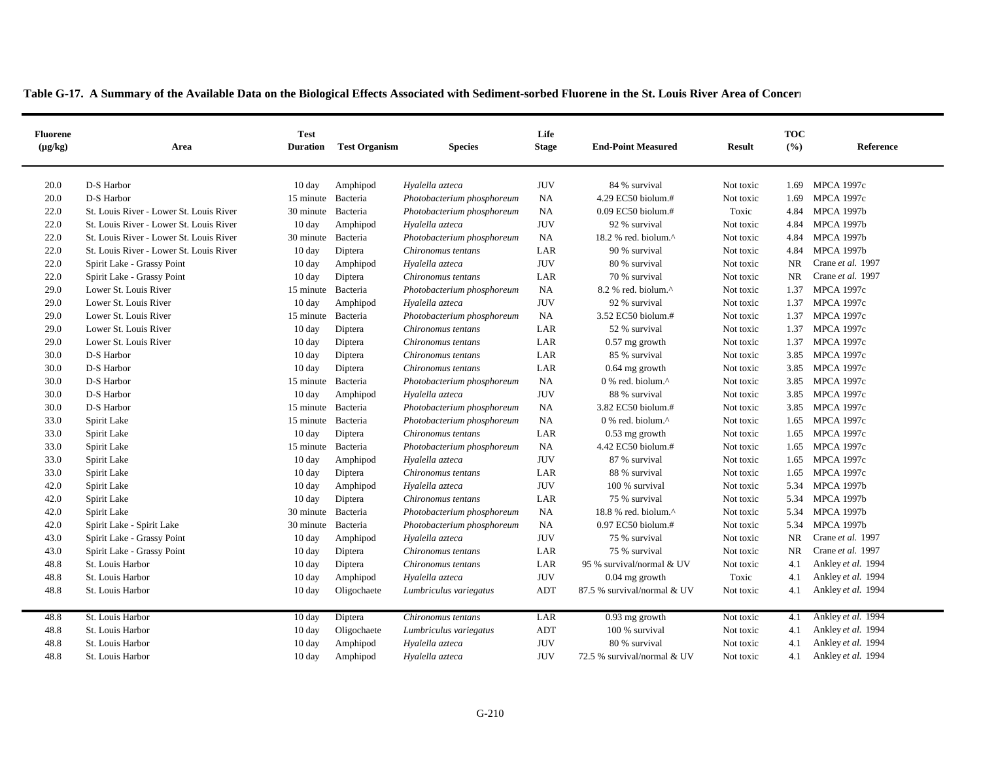| <b>Fluorene</b><br>$(\mu g/kg)$ | Area                                    | <b>Test</b><br><b>Duration</b> | <b>Test Organism</b> | <b>Species</b>             | Life<br><b>Stage</b> | <b>End-Point Measured</b>                         | <b>Result</b> | <b>TOC</b><br>(°/0) | Reference          |
|---------------------------------|-----------------------------------------|--------------------------------|----------------------|----------------------------|----------------------|---------------------------------------------------|---------------|---------------------|--------------------|
|                                 |                                         |                                |                      |                            |                      |                                                   |               |                     |                    |
| 20.0                            | D-S Harbor                              | $10 \text{ day}$               | Amphipod             | Hyalella azteca            | <b>JUV</b>           | 84 % survival                                     | Not toxic     | 1.69                | <b>MPCA 1997c</b>  |
| 20.0                            | D-S Harbor                              | 15 minute Bacteria             |                      | Photobacterium phosphoreum | NA                   | 4.29 EC50 biolum.#                                | Not toxic     | 1.69                | <b>MPCA 1997c</b>  |
| 22.0                            | St. Louis River - Lower St. Louis River | 30 minute Bacteria             |                      | Photobacterium phosphoreum | NA                   | $0.09$ EC50 biolum.#                              | Toxic         | 4.84                | <b>MPCA 1997b</b>  |
| 22.0                            | St. Louis River - Lower St. Louis River | $10 \text{ day}$               | Amphipod             | Hyalella azteca            | <b>JUV</b>           | 92 % survival                                     | Not toxic     | 4.84                | <b>MPCA 1997b</b>  |
| 22.0                            | St. Louis River - Lower St. Louis River | 30 minute                      | Bacteria             | Photobacterium phosphoreum | NA                   | 18.2 % red. biolum.^                              | Not toxic     | 4.84                | <b>MPCA 1997b</b>  |
| 22.0                            | St. Louis River - Lower St. Louis River | $10 \text{ day}$               | Diptera              | Chironomus tentans         | LAR                  | 90 % survival                                     | Not toxic     | 4.84                | <b>MPCA 1997b</b>  |
| 22.0                            | Spirit Lake - Grassy Point              | 10 day                         | Amphipod             | Hyalella azteca            | <b>JUV</b>           | 80 % survival                                     | Not toxic     | <b>NR</b>           | Crane et al. 1997  |
| 22.0                            | Spirit Lake - Grassy Point              | $10 \text{ day}$               | Diptera              | Chironomus tentans         | LAR                  | 70 % survival                                     | Not toxic     | <b>NR</b>           | Crane et al. 1997  |
| 29.0                            | Lower St. Louis River                   | 15 minute Bacteria             |                      | Photobacterium phosphoreum | <b>NA</b>            | 8.2 % red. biolum.^                               | Not toxic     | 1.37                | <b>MPCA 1997c</b>  |
| 29.0                            | Lower St. Louis River                   | $10 \text{ day}$               | Amphipod             | Hyalella azteca            | <b>JUV</b>           | 92 % survival                                     | Not toxic     | 1.37                | <b>MPCA 1997c</b>  |
| 29.0                            | Lower St. Louis River                   | 15 minute Bacteria             |                      | Photobacterium phosphoreum | <b>NA</b>            | 3.52 EC50 biolum.#                                | Not toxic     |                     | 1.37 MPCA 1997c    |
| 29.0                            | Lower St. Louis River                   | $10 \text{ day}$               | Diptera              | Chironomus tentans         | LAR                  | 52 % survival                                     | Not toxic     | 1.37                | <b>MPCA 1997c</b>  |
| 29.0                            | Lower St. Louis River                   | 10 day                         | Diptera              | Chironomus tentans         | LAR                  | $0.57$ mg growth                                  | Not toxic     | 1.37                | <b>MPCA 1997c</b>  |
| 30.0                            | D-S Harbor                              | $10 \text{ day}$               | Diptera              | Chironomus tentans         | LAR                  | 85 % survival                                     | Not toxic     | 3.85                | <b>MPCA 1997c</b>  |
| 30.0                            | D-S Harbor                              | $10 \text{ day}$               | Diptera              | Chironomus tentans         | LAR                  | $0.64$ mg growth                                  | Not toxic     | 3.85                | <b>MPCA 1997c</b>  |
| 30.0                            | D-S Harbor                              | 15 minute Bacteria             |                      | Photobacterium phosphoreum | <b>NA</b>            | 0 % red. biolum.^                                 | Not toxic     |                     | 3.85 MPCA 1997c    |
| 30.0                            | D-S Harbor                              | $10 \text{ day}$               | Amphipod             | Hyalella azteca            | <b>JUV</b>           | 88 % survival                                     | Not toxic     | 3.85                | <b>MPCA 1997c</b>  |
| 30.0                            | D-S Harbor                              | 15 minute Bacteria             |                      | Photobacterium phosphoreum | <b>NA</b>            | 3.82 EC50 biolum.#                                | Not toxic     | 3.85                | <b>MPCA 1997c</b>  |
| 33.0                            | Spirit Lake                             | 15 minute                      | Bacteria             | Photobacterium phosphoreum | NA                   | $0\%$ red. biolum. <sup><math>\wedge</math></sup> | Not toxic     | 1.65                | <b>MPCA 1997c</b>  |
| 33.0                            | Spirit Lake                             | $10 \text{ day}$               | Diptera              | Chironomus tentans         | LAR                  | $0.53$ mg growth                                  | Not toxic     | 1.65                | <b>MPCA 1997c</b>  |
| 33.0                            | Spirit Lake                             | 15 minute Bacteria             |                      | Photobacterium phosphoreum | <b>NA</b>            | 4.42 EC50 biolum.#                                | Not toxic     | 1.65                | <b>MPCA 1997c</b>  |
| 33.0                            | Spirit Lake                             | $10 \text{ day}$               | Amphipod             | Hyalella azteca            | <b>JUV</b>           | 87 % survival                                     | Not toxic     | 1.65                | <b>MPCA 1997c</b>  |
| 33.0                            | Spirit Lake                             | 10 day                         | Diptera              | Chironomus tentans         | LAR                  | 88 % survival                                     | Not toxic     | 1.65                | <b>MPCA 1997c</b>  |
| 42.0                            | Spirit Lake                             | $10 \text{ day}$               | Amphipod             | Hyalella azteca            | <b>JUV</b>           | 100 % survival                                    | Not toxic     | 5.34                | <b>MPCA 1997b</b>  |
| 42.0                            | Spirit Lake                             | $10 \text{ day}$               | Diptera              | Chironomus tentans         | LAR                  | 75 % survival                                     | Not toxic     | 5.34                | <b>MPCA 1997b</b>  |
| 42.0                            | Spirit Lake                             | 30 minute                      | Bacteria             | Photobacterium phosphoreum | <b>NA</b>            | 18.8 % red. biolum.^                              | Not toxic     | 5.34                | <b>MPCA 1997b</b>  |
| 42.0                            | Spirit Lake - Spirit Lake               | 30 minute Bacteria             |                      | Photobacterium phosphoreum | NA                   | 0.97 EC50 biolum.#                                | Not toxic     | 5.34                | <b>MPCA 1997b</b>  |
| 43.0                            | Spirit Lake - Grassy Point              | $10 \text{ day}$               | Amphipod             | Hyalella azteca            | <b>JUV</b>           | 75 % survival                                     | Not toxic     | <b>NR</b>           | Crane et al. 1997  |
| 43.0                            | Spirit Lake - Grassy Point              | 10 day                         | Diptera              | Chironomus tentans         | LAR                  | 75 % survival                                     | Not toxic     | <b>NR</b>           | Crane et al. 1997  |
| 48.8                            | St. Louis Harbor                        | $10 \text{ day}$               | Diptera              | Chironomus tentans         | LAR                  | 95 % survival/normal & UV                         | Not toxic     | 4.1                 | Ankley et al. 1994 |
| 48.8                            | St. Louis Harbor                        | 10 day                         | Amphipod             | Hyalella azteca            | <b>JUV</b>           | $0.04$ mg growth                                  | Toxic         | 4.1                 | Ankley et al. 1994 |
| 48.8                            | St. Louis Harbor                        | $10 \text{ day}$               | Oligochaete          | Lumbriculus variegatus     | <b>ADT</b>           | 87.5 % survival/normal & UV                       | Not toxic     | 4.1                 | Ankley et al. 1994 |
| 48.8                            | St. Louis Harbor                        | 10 day                         | Diptera              | Chironomus tentans         | LAR                  | $0.93$ mg growth                                  | Not toxic     | 4.1                 | Ankley et al. 1994 |
| 48.8                            | St. Louis Harbor                        | $10 \text{ day}$               | Oligochaete          | Lumbriculus variegatus     | <b>ADT</b>           | 100 % survival                                    | Not toxic     | 4.1                 | Ankley et al. 1994 |
| 48.8                            | St. Louis Harbor                        | $10 \text{ day}$               | Amphipod             | Hyalella azteca            | <b>JUV</b>           | 80 % survival                                     | Not toxic     | 4.1                 | Ankley et al. 1994 |
| 48.8                            | St. Louis Harbor                        | $10 \text{ day}$               | Amphipod             | Hyalella azteca            | <b>JUV</b>           | 72.5 % survival/normal & UV                       | Not toxic     | 4.1                 | Ankley et al. 1994 |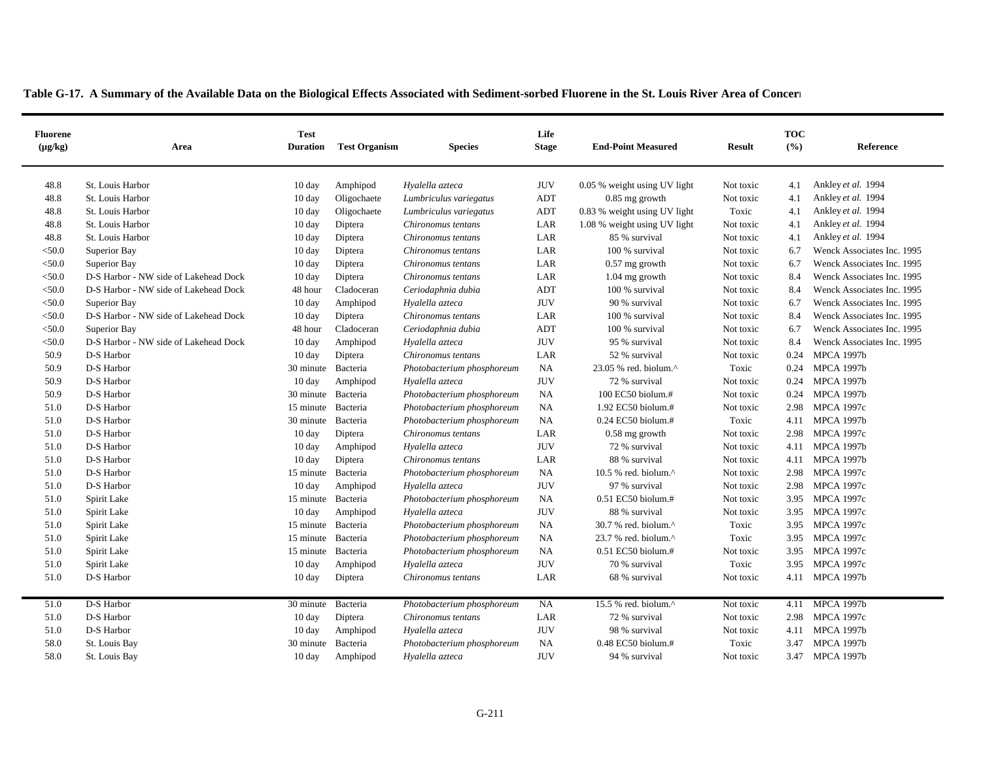|  |  |  | Table G-17. A Summary of the Available Data on the Biological Effects Associated with Sediment-sorbed Fluorene in the St. Louis River Area of Concern |  |
|--|--|--|-------------------------------------------------------------------------------------------------------------------------------------------------------|--|
|  |  |  |                                                                                                                                                       |  |

| <b>Fluorene</b><br>$(\mu g/kg)$ | Area                                  | <b>Test</b><br><b>Duration</b> | <b>Test Organism</b> | <b>Species</b>             | Life<br><b>Stage</b> | <b>End-Point Measured</b>       | <b>Result</b> | <b>TOC</b><br>(° <sub>0</sub> ) | Reference                  |
|---------------------------------|---------------------------------------|--------------------------------|----------------------|----------------------------|----------------------|---------------------------------|---------------|---------------------------------|----------------------------|
| 48.8                            | St. Louis Harbor                      | 10 day                         | Amphipod             | Hyalella azteca            | <b>JUV</b>           | 0.05 % weight using UV light    | Not toxic     | 4.1                             | Ankley et al. 1994         |
| 48.8                            | St. Louis Harbor                      | 10 day                         | Oligochaete          | Lumbriculus variegatus     | ADT                  | $0.85$ mg growth                | Not toxic     | 4.1                             | Ankley et al. 1994         |
| 48.8                            | St. Louis Harbor                      | $10 \text{ day}$               | Oligochaete          | Lumbriculus variegatus     | ADT                  | 0.83 % weight using UV light    | Toxic         | 4.1                             | Ankley et al. 1994         |
| 48.8                            | St. Louis Harbor                      | 10 day                         | Diptera              | Chironomus tentans         | LAR                  | 1.08 % weight using UV light    | Not toxic     | 4.1                             | Ankley et al. 1994         |
| 48.8                            | St. Louis Harbor                      | 10 day                         | Diptera              | Chironomus tentans         | LAR                  | 85 % survival                   | Not toxic     | 4.1                             | Ankley et al. 1994         |
| < 50.0                          | Superior Bay                          | 10 day                         | Diptera              | Chironomus tentans         | LAR                  | 100 % survival                  | Not toxic     | 6.7                             | Wenck Associates Inc. 1995 |
| < 50.0                          | Superior Bay                          | 10 day                         | Diptera              | Chironomus tentans         | LAR                  | $0.57$ mg growth                | Not toxic     | 6.7                             | Wenck Associates Inc. 1995 |
| < 50.0                          | D-S Harbor - NW side of Lakehead Dock | 10 day                         | Diptera              | Chironomus tentans         | LAR                  | 1.04 mg growth                  | Not toxic     | 8.4                             | Wenck Associates Inc. 1995 |
| < 50.0                          | D-S Harbor - NW side of Lakehead Dock | 48 hour                        | Cladoceran           | Ceriodaphnia dubia         | ADT                  | 100 % survival                  | Not toxic     | 8.4                             | Wenck Associates Inc. 1995 |
| < 50.0                          | Superior Bay                          | 10 day                         | Amphipod             | Hyalella azteca            | $\rm JUV$            | 90 % survival                   | Not toxic     | 6.7                             | Wenck Associates Inc. 1995 |
| < 50.0                          | D-S Harbor - NW side of Lakehead Dock | $10 \text{ day}$               | Diptera              | Chironomus tentans         | LAR                  | 100 % survival                  | Not toxic     | 8.4                             | Wenck Associates Inc. 1995 |
| $<$ 50.0                        | Superior Bay                          | 48 hour                        | Cladoceran           | Ceriodaphnia dubia         | ADT                  | 100 % survival                  | Not toxic     | 6.7                             | Wenck Associates Inc. 1995 |
| < 50.0                          | D-S Harbor - NW side of Lakehead Dock | 10 day                         | Amphipod             | Hyalella azteca            | <b>JUV</b>           | 95 % survival                   | Not toxic     | 8.4                             | Wenck Associates Inc. 1995 |
| 50.9                            | D-S Harbor                            | 10 day                         | Diptera              | Chironomus tentans         | LAR                  | 52 % survival                   | Not toxic     | 0.24                            | <b>MPCA 1997b</b>          |
| 50.9                            | D-S Harbor                            | 30 minute                      | Bacteria             | Photobacterium phosphoreum | NA                   | 23.05 % red. biolum.^           | Toxic         | 0.24                            | <b>MPCA 1997b</b>          |
| 50.9                            | D-S Harbor                            | $10 \text{ day}$               | Amphipod             | Hyalella azteca            | <b>JUV</b>           | 72 % survival                   | Not toxic     | 0.24                            | <b>MPCA 1997b</b>          |
| 50.9                            | D-S Harbor                            | 30 minute                      | Bacteria             | Photobacterium phosphoreum | NA                   | 100 EC50 biolum.#               | Not toxic     | 0.24                            | <b>MPCA 1997b</b>          |
| 51.0                            | D-S Harbor                            | 15 minute                      | Bacteria             | Photobacterium phosphoreum | <b>NA</b>            | 1.92 EC50 biolum.#              | Not toxic     | 2.98                            | <b>MPCA 1997c</b>          |
| 51.0                            | D-S Harbor                            | 30 minute                      | Bacteria             | Photobacterium phosphoreum | NA                   | $0.24$ EC50 biolum.#            | Toxic         | 4.11                            | <b>MPCA 1997b</b>          |
| 51.0                            | D-S Harbor                            | 10 day                         | Diptera              | Chironomus tentans         | LAR                  | $0.58$ mg growth                | Not toxic     | 2.98                            | <b>MPCA 1997c</b>          |
| 51.0                            | D-S Harbor                            | 10 day                         | Amphipod             | Hyalella azteca            | <b>JUV</b>           | 72 % survival                   | Not toxic     | 4.11                            | <b>MPCA 1997b</b>          |
| 51.0                            | D-S Harbor                            | $10 \text{ day}$               | Diptera              | Chironomus tentans         | LAR                  | 88 % survival                   | Not toxic     | 4.11                            | <b>MPCA 1997b</b>          |
| 51.0                            | D-S Harbor                            | 15 minute Bacteria             |                      | Photobacterium phosphoreum | NA                   | 10.5 % red. biolum. $^{\wedge}$ | Not toxic     | 2.98                            | <b>MPCA 1997c</b>          |
| 51.0                            | D-S Harbor                            | $10 \text{ day}$               | Amphipod             | Hyalella azteca            | <b>JUV</b>           | 97 % survival                   | Not toxic     | 2.98                            | <b>MPCA 1997c</b>          |
| 51.0                            | Spirit Lake                           | 15 minute Bacteria             |                      | Photobacterium phosphoreum | <b>NA</b>            | $0.51$ EC50 biolum.#            | Not toxic     | 3.95                            | <b>MPCA 1997c</b>          |
| 51.0                            | Spirit Lake                           | $10 \text{ day}$               | Amphipod             | Hyalella azteca            | <b>JUV</b>           | 88 % survival                   | Not toxic     | 3.95                            | <b>MPCA 1997c</b>          |
| 51.0                            | Spirit Lake                           | 15 minute                      | Bacteria             | Photobacterium phosphoreum | NA                   | 30.7 % red. biolum.^            | Toxic         | 3.95                            | <b>MPCA 1997c</b>          |
| 51.0                            | Spirit Lake                           | 15 minute                      | Bacteria             | Photobacterium phosphoreum | <b>NA</b>            | 23.7 % red. biolum.^            | Toxic         | 3.95                            | <b>MPCA 1997c</b>          |
| 51.0                            | Spirit Lake                           | 15 minute                      | Bacteria             | Photobacterium phosphoreum | NA                   | 0.51 EC50 biolum.#              | Not toxic     | 3.95                            | <b>MPCA 1997c</b>          |
| 51.0                            | Spirit Lake                           | $10 \text{ day}$               | Amphipod             | Hyalella azteca            | <b>JUV</b>           | 70 % survival                   | Toxic         | 3.95                            | <b>MPCA 1997c</b>          |
| 51.0                            | D-S Harbor                            | 10 day                         | Diptera              | Chironomus tentans         | LAR                  | 68 % survival                   | Not toxic     |                                 | 4.11 MPCA 1997b            |
|                                 |                                       |                                |                      |                            |                      |                                 |               |                                 |                            |
| 51.0                            | D-S Harbor                            | 30 minute                      | Bacteria             | Photobacterium phosphoreum | NA                   | 15.5 % red. biolum.^            | Not toxic     | 4.11                            | <b>MPCA 1997b</b>          |
| 51.0                            | D-S Harbor                            | $10 \text{ day}$               | Diptera              | Chironomus tentans         | LAR                  | 72 % survival                   | Not toxic     | 2.98                            | <b>MPCA 1997c</b>          |
| 51.0                            | D-S Harbor                            | $10 \text{ day}$               | Amphipod             | Hyalella azteca            | <b>JUV</b>           | 98 % survival                   | Not toxic     | 4.11                            | <b>MPCA 1997b</b>          |
| 58.0                            | St. Louis Bay                         | 30 minute Bacteria             |                      | Photobacterium phosphoreum | <b>NA</b>            | 0.48 EC50 biolum.#              | Toxic         | 3.47                            | <b>MPCA 1997b</b>          |
| 58.0                            | St. Louis Bay                         | 10 day                         | Amphipod             | Hyalella azteca            | <b>JUV</b>           | 94 % survival                   | Not toxic     | 3.47                            | <b>MPCA 1997b</b>          |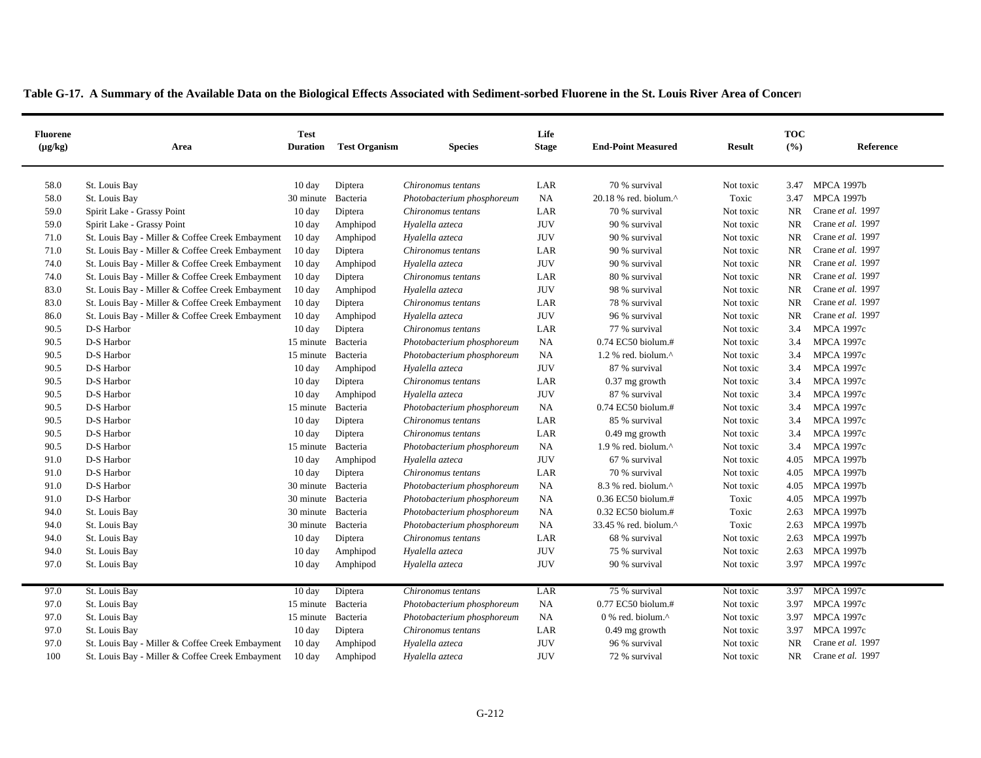| <b>Fluorene</b><br>$(\mu g/kg)$ | Area                                            | <b>Test</b><br><b>Duration</b> | <b>Test Organism</b> | <b>Species</b>             | Life<br><b>Stage</b> | <b>End-Point Measured</b>        | <b>Result</b> | <b>TOC</b><br>(° <sub>0</sub> ) | Reference         |
|---------------------------------|-------------------------------------------------|--------------------------------|----------------------|----------------------------|----------------------|----------------------------------|---------------|---------------------------------|-------------------|
| 58.0                            | St. Louis Bay                                   | 10 day                         | Diptera              | Chironomus tentans         | LAR                  | 70 % survival                    | Not toxic     | 3.47                            | <b>MPCA 1997b</b> |
| 58.0                            | St. Louis Bay                                   | 30 minute                      | Bacteria             | Photobacterium phosphoreum | NA                   | 20.18 % red. biolum.^            | Toxic         | 3.47                            | <b>MPCA 1997b</b> |
| 59.0                            | Spirit Lake - Grassy Point                      | $10 \text{ day}$               | Diptera              | Chironomus tentans         | LAR                  | 70 % survival                    | Not toxic     | <b>NR</b>                       | Crane et al. 1997 |
| 59.0                            | Spirit Lake - Grassy Point                      | $10 \text{ day}$               | Amphipod             | Hyalella azteca            | <b>JUV</b>           | 90 % survival                    | Not toxic     | <b>NR</b>                       | Crane et al. 1997 |
| 71.0                            | St. Louis Bay - Miller & Coffee Creek Embayment | $10 \text{ day}$               | Amphipod             | Hyalella azteca            | <b>JUV</b>           | 90 % survival                    | Not toxic     | <b>NR</b>                       | Crane et al. 1997 |
| 71.0                            | St. Louis Bay - Miller & Coffee Creek Embayment | $10 \text{ day}$               | Diptera              | Chironomus tentans         | LAR                  | 90 % survival                    | Not toxic     | <b>NR</b>                       | Crane et al. 1997 |
| 74.0                            | St. Louis Bay - Miller & Coffee Creek Embayment | $10 \text{ day}$               | Amphipod             | Hyalella azteca            | <b>JUV</b>           | 90 % survival                    | Not toxic     | <b>NR</b>                       | Crane et al. 1997 |
| 74.0                            | St. Louis Bay - Miller & Coffee Creek Embayment | 10 day                         | Diptera              | Chironomus tentans         | LAR                  | 80 % survival                    | Not toxic     | <b>NR</b>                       | Crane et al. 1997 |
| 83.0                            | St. Louis Bay - Miller & Coffee Creek Embayment | $10 \text{ day}$               | Amphipod             | Hyalella azteca            | <b>JUV</b>           | 98 % survival                    | Not toxic     | <b>NR</b>                       | Crane et al. 1997 |
| 83.0                            | St. Louis Bay - Miller & Coffee Creek Embayment | $10 \text{ day}$               | Diptera              | Chironomus tentans         | LAR                  | 78 % survival                    | Not toxic     | <b>NR</b>                       | Crane et al. 1997 |
| 86.0                            | St. Louis Bay - Miller & Coffee Creek Embayment | $10 \text{ day}$               | Amphipod             | Hyalella azteca            | <b>JUV</b>           | 96 % survival                    | Not toxic     | <b>NR</b>                       | Crane et al. 1997 |
| 90.5                            | D-S Harbor                                      | $10 \text{ day}$               | Diptera              | Chironomus tentans         | LAR                  | 77 % survival                    | Not toxic     | 3.4                             | <b>MPCA 1997c</b> |
| 90.5                            | D-S Harbor                                      | 15 minute Bacteria             |                      | Photobacterium phosphoreum | NA                   | 0.74 EC50 biolum.#               | Not toxic     | 3.4                             | <b>MPCA 1997c</b> |
| 90.5                            | D-S Harbor                                      | 15 minute                      | Bacteria             | Photobacterium phosphoreum | NA                   | $1.2$ % red. biolum. $^{\wedge}$ | Not toxic     | 3.4                             | <b>MPCA 1997c</b> |
| 90.5                            | D-S Harbor                                      | 10 day                         | Amphipod             | Hyalella azteca            | <b>JUV</b>           | 87 % survival                    | Not toxic     | 3.4                             | <b>MPCA 1997c</b> |
| 90.5                            | D-S Harbor                                      | $10 \text{ day}$               | Diptera              | Chironomus tentans         | LAR                  | $0.37$ mg growth                 | Not toxic     | 3.4                             | <b>MPCA 1997c</b> |
| 90.5                            | D-S Harbor                                      | 10 day                         | Amphipod             | Hyalella azteca            | <b>JUV</b>           | 87 % survival                    | Not toxic     | 3.4                             | <b>MPCA 1997c</b> |
| 90.5                            | D-S Harbor                                      | 15 minute Bacteria             |                      | Photobacterium phosphoreum | <b>NA</b>            | 0.74 EC50 biolum.#               | Not toxic     | 3.4                             | <b>MPCA 1997c</b> |
| 90.5                            | D-S Harbor                                      | $10 \text{ day}$               | Diptera              | Chironomus tentans         | LAR                  | 85 % survival                    | Not toxic     | 3.4                             | <b>MPCA 1997c</b> |
| 90.5                            | D-S Harbor                                      | $10 \text{ day}$               | Diptera              | Chironomus tentans         | LAR                  | $0.49$ mg growth                 | Not toxic     | 3.4                             | <b>MPCA 1997c</b> |
| 90.5                            | D-S Harbor                                      | 15 minute Bacteria             |                      | Photobacterium phosphoreum | NA                   | $1.9$ % red. biolum. $^{\wedge}$ | Not toxic     | 3.4                             | <b>MPCA 1997c</b> |
| 91.0                            | D-S Harbor                                      | 10 day                         | Amphipod             | Hyalella azteca            | <b>JUV</b>           | 67 % survival                    | Not toxic     | 4.05                            | <b>MPCA 1997b</b> |
| 91.0                            | D-S Harbor                                      | $10 \text{ day}$               | Diptera              | Chironomus tentans         | LAR                  | 70 % survival                    | Not toxic     | 4.05                            | <b>MPCA 1997b</b> |
| 91.0                            | D-S Harbor                                      | 30 minute                      | Bacteria             | Photobacterium phosphoreum | NA                   | 8.3 % red. biolum.^              | Not toxic     | 4.05                            | <b>MPCA 1997b</b> |
| 91.0                            | D-S Harbor                                      | 30 minute Bacteria             |                      | Photobacterium phosphoreum | <b>NA</b>            | $0.36$ EC50 biolum.#             | Toxic         | 4.05                            | <b>MPCA 1997b</b> |
| 94.0                            | St. Louis Bay                                   | 30 minute                      | Bacteria             | Photobacterium phosphoreum | NA                   | 0.32 EC50 biolum.#               | Toxic         | 2.63                            | <b>MPCA 1997b</b> |
| 94.0                            | St. Louis Bay                                   | 30 minute                      | Bacteria             | Photobacterium phosphoreum | <b>NA</b>            | 33.45 % red. biolum.^            | Toxic         | 2.63                            | <b>MPCA 1997b</b> |
| 94.0                            | St. Louis Bay                                   | 10 day                         | Diptera              | Chironomus tentans         | LAR                  | 68 % survival                    | Not toxic     | 2.63                            | <b>MPCA 1997b</b> |
| 94.0                            | St. Louis Bay                                   | $10 \text{ day}$               | Amphipod             | Hyalella azteca            | <b>JUV</b>           | 75 % survival                    | Not toxic     | 2.63                            | <b>MPCA 1997b</b> |
| 97.0                            | St. Louis Bay                                   | $10 \text{ day}$               | Amphipod             | Hyalella azteca            | <b>JUV</b>           | 90 % survival                    | Not toxic     |                                 | 3.97 MPCA 1997c   |
| 97.0                            | St. Louis Bay                                   | $10 \text{ day}$               | Diptera              | Chironomus tentans         | LAR                  | 75 % survival                    | Not toxic     |                                 | 3.97 MPCA 1997c   |
| 97.0                            | St. Louis Bay                                   | 15 minute                      | Bacteria             | Photobacterium phosphoreum | NA                   | 0.77 EC50 biolum.#               | Not toxic     | 3.97                            | <b>MPCA 1997c</b> |
| 97.0                            | St. Louis Bay                                   | 15 minute                      | Bacteria             | Photobacterium phosphoreum | <b>NA</b>            | 0 % red. biolum.^                | Not toxic     | 3.97                            | <b>MPCA 1997c</b> |
| 97.0                            | St. Louis Bay                                   | 10 day                         | Diptera              | Chironomus tentans         | LAR                  | $0.49$ mg growth                 | Not toxic     | 3.97                            | <b>MPCA 1997c</b> |
| 97.0                            | St. Louis Bay - Miller & Coffee Creek Embayment | 10 day                         | Amphipod             | Hyalella azteca            | <b>JUV</b>           | 96 % survival                    | Not toxic     | <b>NR</b>                       | Crane et al. 1997 |
| 100                             | St. Louis Bay - Miller & Coffee Creek Embayment | $10 \text{ day}$               | Amphipod             | Hyalella azteca            | <b>JUV</b>           | 72 % survival                    | Not toxic     | NR                              | Crane et al. 1997 |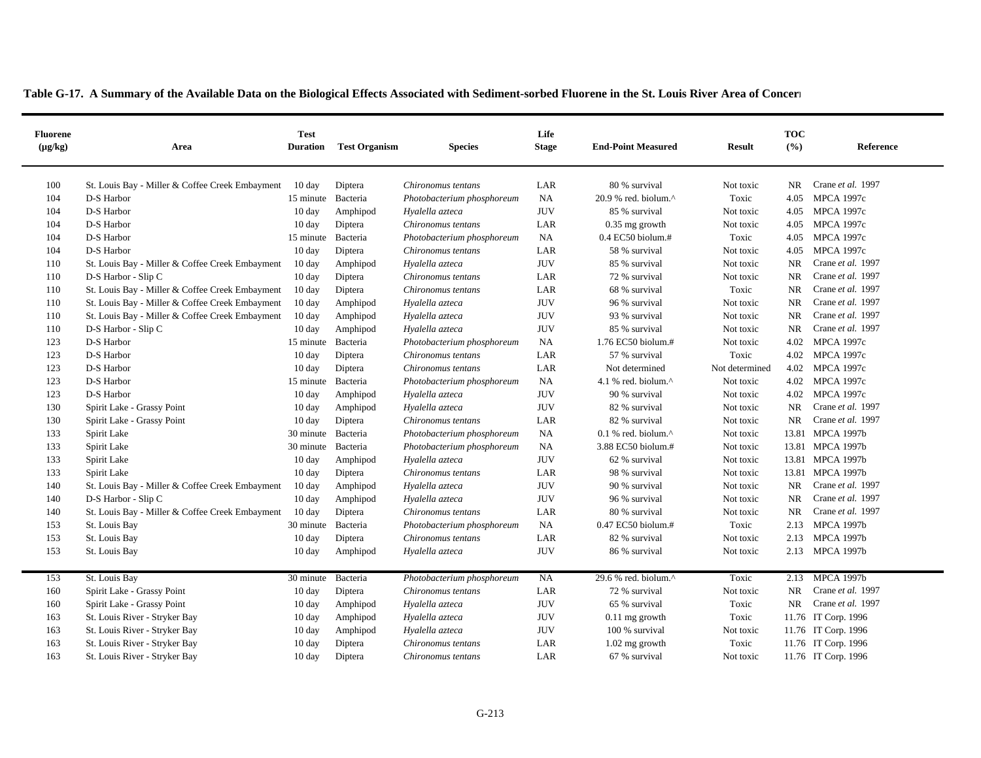|  |  |  | Table G-17. A Summary of the Available Data on the Biological Effects Associated with Sediment-sorbed Fluorene in the St. Louis River Area of Concerners |
|--|--|--|----------------------------------------------------------------------------------------------------------------------------------------------------------|
|--|--|--|----------------------------------------------------------------------------------------------------------------------------------------------------------|

 $\blacksquare$ 

| <b>Fluorene</b><br>$(\mu g/kg)$ | Area                                            | <b>Test</b><br><b>Duration</b> | <b>Test Organism</b> | <b>Species</b>             | Life<br><b>Stage</b> | <b>End-Point Measured</b>                            | <b>Result</b>  | <b>TOC</b><br>(%) | Reference           |
|---------------------------------|-------------------------------------------------|--------------------------------|----------------------|----------------------------|----------------------|------------------------------------------------------|----------------|-------------------|---------------------|
| 100                             | St. Louis Bay - Miller & Coffee Creek Embayment | $10 \text{ day}$               | Diptera              | Chironomus tentans         | LAR                  | 80 % survival                                        | Not toxic      | NR                | Crane et al. 1997   |
| 104                             | D-S Harbor                                      | 15 minute Bacteria             |                      | Photobacterium phosphoreum | NA                   | $20.9$ % red. biolum. <sup><math>\wedge</math></sup> | Toxic          | 4.05              | <b>MPCA 1997c</b>   |
| 104                             | D-S Harbor                                      | $10 \text{ day}$               | Amphipod             | Hyalella azteca            | <b>JUV</b>           | 85 % survival                                        | Not toxic      | 4.05              | <b>MPCA 1997c</b>   |
| 104                             | D-S Harbor                                      | 10 day                         | Diptera              | Chironomus tentans         | LAR                  | $0.35$ mg growth                                     | Not toxic      | 4.05              | <b>MPCA 1997c</b>   |
| 104                             | D-S Harbor                                      | 15 minute                      | Bacteria             | Photobacterium phosphoreum | <b>NA</b>            | $0.4$ EC50 biolum.#                                  | Toxic          | 4.05              | <b>MPCA 1997c</b>   |
| 104                             | D-S Harbor                                      | $10 \text{ day}$               | Diptera              | Chironomus tentans         | LAR                  | 58 % survival                                        | Not toxic      | 4.05              | <b>MPCA 1997c</b>   |
| 110                             | St. Louis Bay - Miller & Coffee Creek Embayment | $10 \text{ day}$               | Amphipod             | Hyalella azteca            | <b>JUV</b>           | 85 % survival                                        | Not toxic      | <b>NR</b>         | Crane et al. 1997   |
| 110                             | D-S Harbor - Slip C                             | 10 day                         | Diptera              | Chironomus tentans         | LAR                  | 72 % survival                                        | Not toxic      | <b>NR</b>         | Crane et al. 1997   |
| 110                             | St. Louis Bay - Miller & Coffee Creek Embayment | $10 \text{ day}$               | Diptera              | Chironomus tentans         | LAR                  | 68 % survival                                        | Toxic          | <b>NR</b>         | Crane et al. 1997   |
| 110                             | St. Louis Bay - Miller & Coffee Creek Embayment | 10 day                         | Amphipod             | Hyalella azteca            | $\rm JUV$            | 96 % survival                                        | Not toxic      | <b>NR</b>         | Crane et al. 1997   |
| 110                             | St. Louis Bay - Miller & Coffee Creek Embayment | $10 \text{ day}$               | Amphipod             | Hyalella azteca            | <b>JUV</b>           | 93 % survival                                        | Not toxic      | NR                | Crane et al. 1997   |
| 110                             | D-S Harbor - Slip C                             | 10 day                         | Amphipod             | Hyalella azteca            | <b>JUV</b>           | 85 % survival                                        | Not toxic      | <b>NR</b>         | Crane et al. 1997   |
| 123                             | D-S Harbor                                      | 15 minute                      | Bacteria             | Photobacterium phosphoreum | <b>NA</b>            | 1.76 EC50 biolum.#                                   | Not toxic      | 4.02              | <b>MPCA 1997c</b>   |
| 123                             | D-S Harbor                                      | 10 day                         | Diptera              | Chironomus tentans         | LAR                  | 57 % survival                                        | Toxic          | 4.02              | <b>MPCA 1997c</b>   |
| 123                             | D-S Harbor                                      | 10 day                         | Diptera              | Chironomus tentans         | LAR                  | Not determined                                       | Not determined | 4.02              | <b>MPCA 1997c</b>   |
| 123                             | D-S Harbor                                      | 15 minute Bacteria             |                      | Photobacterium phosphoreum | <b>NA</b>            | 4.1 % red. biolum. $^{\wedge}$                       | Not toxic      |                   | 4.02 MPCA 1997c     |
| 123                             | D-S Harbor                                      | 10 day                         | Amphipod             | Hyalella azteca            | <b>JUV</b>           | 90 % survival                                        | Not toxic      | 4.02              | <b>MPCA 1997c</b>   |
| 130                             | Spirit Lake - Grassy Point                      | 10 day                         | Amphipod             | Hyalella azteca            | <b>JUV</b>           | 82 % survival                                        | Not toxic      | <b>NR</b>         | Crane et al. 1997   |
| 130                             | Spirit Lake - Grassy Point                      | 10 day                         | Diptera              | Chironomus tentans         | LAR                  | 82 % survival                                        | Not toxic      | <b>NR</b>         | Crane et al. 1997   |
| 133                             | Spirit Lake                                     | 30 minute Bacteria             |                      | Photobacterium phosphoreum | NA                   | $0.1$ % red. biolum. <sup><math>\wedge</math></sup>  | Not toxic      |                   | 13.81 MPCA 1997b    |
| 133                             | Spirit Lake                                     | 30 minute Bacteria             |                      | Photobacterium phosphoreum | NA                   | 3.88 EC50 biolum.#                                   | Not toxic      |                   | 13.81 MPCA 1997b    |
| 133                             | Spirit Lake                                     | $10 \text{ day}$               | Amphipod             | Hyalella azteca            | <b>JUV</b>           | 62 % survival                                        | Not toxic      |                   | 13.81 MPCA 1997b    |
| 133                             | Spirit Lake                                     | $10 \text{ day}$               | Diptera              | Chironomus tentans         | LAR                  | 98 % survival                                        | Not toxic      |                   | 13.81 MPCA 1997b    |
| 140                             | St. Louis Bay - Miller & Coffee Creek Embayment | $10 \text{ day}$               | Amphipod             | Hyalella azteca            | <b>JUV</b>           | 90 % survival                                        | Not toxic      | NR                | Crane et al. 1997   |
| 140                             | D-S Harbor - Slip C                             | 10 day                         | Amphipod             | Hyalella azteca            | <b>JUV</b>           | 96 % survival                                        | Not toxic      | <b>NR</b>         | Crane et al. 1997   |
| 140                             | St. Louis Bay - Miller & Coffee Creek Embayment | $10 \text{ day}$               | Diptera              | Chironomus tentans         | LAR                  | 80 % survival                                        | Not toxic      | <b>NR</b>         | Crane et al. 1997   |
| 153                             | St. Louis Bay                                   | 30 minute                      | Bacteria             | Photobacterium phosphoreum | NA                   | 0.47 EC50 biolum.#                                   | Toxic          | 2.13              | <b>MPCA 1997b</b>   |
| 153                             | St. Louis Bay                                   | $10 \text{ day}$               | Diptera              | Chironomus tentans         | LAR                  | 82 % survival                                        | Not toxic      | 2.13              | <b>MPCA 1997b</b>   |
| 153                             | St. Louis Bay                                   | 10 day                         | Amphipod             | Hyalella azteca            | <b>JUV</b>           | 86 % survival                                        | Not toxic      | 2.13              | <b>MPCA 1997b</b>   |
|                                 |                                                 |                                |                      |                            |                      |                                                      |                |                   |                     |
| 153                             | St. Louis Bay                                   | 30 minute Bacteria             |                      | Photobacterium phosphoreum | NA                   | 29.6 % red. biolum.^                                 | Toxic          |                   | 2.13 MPCA 1997b     |
| 160                             | Spirit Lake - Grassy Point                      | $10 \text{ day}$               | Diptera              | Chironomus tentans         | LAR                  | 72 % survival                                        | Not toxic      | <b>NR</b>         | Crane et al. 1997   |
| 160                             | Spirit Lake - Grassy Point                      | 10 day                         | Amphipod             | Hyalella azteca            | <b>JUV</b>           | 65 % survival                                        | Toxic          | <b>NR</b>         | Crane et al. 1997   |
| 163                             | St. Louis River - Stryker Bay                   | 10 day                         | Amphipod             | Hyalella azteca            | <b>JUV</b>           | $0.11$ mg growth                                     | Toxic          |                   | 11.76 IT Corp. 1996 |
| 163                             | St. Louis River - Stryker Bay                   | 10 day                         | Amphipod             | Hyalella azteca            | <b>JUV</b>           | 100 % survival                                       | Not toxic      |                   | 11.76 IT Corp. 1996 |
| 163                             | St. Louis River - Stryker Bay                   | 10 day                         | Diptera              | Chironomus tentans         | LAR                  | $1.02$ mg growth                                     | Toxic          |                   | 11.76 IT Corp. 1996 |
| 163                             | St. Louis River - Stryker Bay                   | $10 \text{ day}$               | Diptera              | Chironomus tentans         | LAR                  | 67 % survival                                        | Not toxic      |                   | 11.76 IT Corp. 1996 |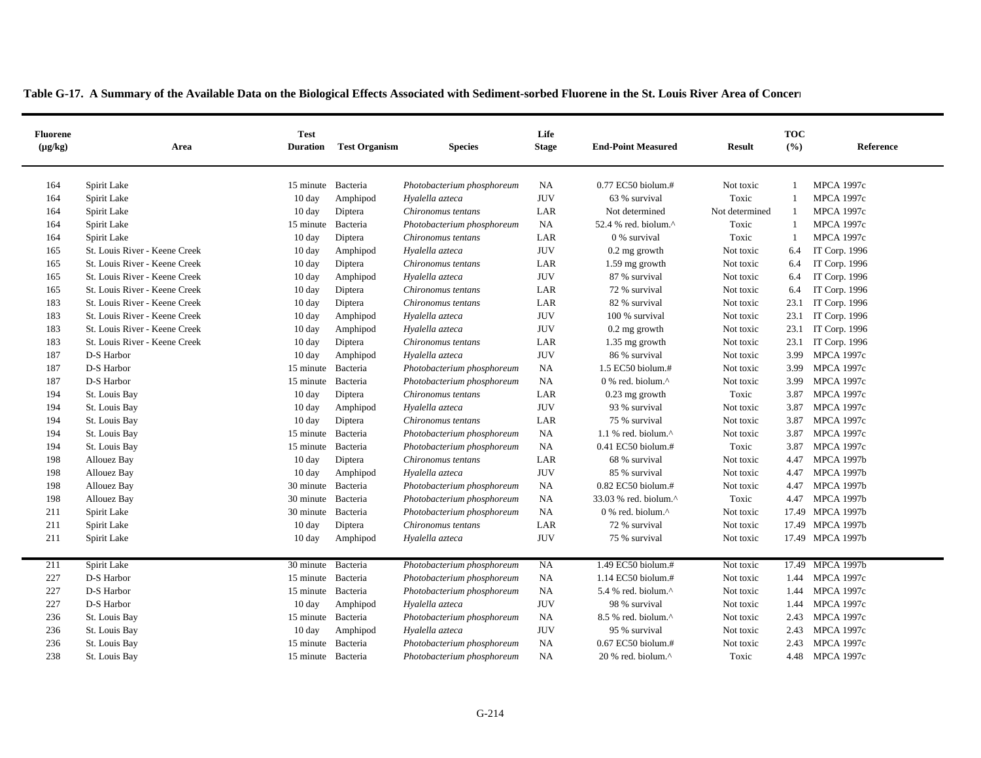| <b>Fluorene</b><br>$(\mu g/kg)$ | Area                          | <b>Test</b><br><b>Duration</b> | <b>Test Organism</b> | <b>Species</b>             | Life<br><b>Stage</b> | <b>End-Point Measured</b>      | <b>Result</b>  | <b>TOC</b><br>(9/6) | Reference         |
|---------------------------------|-------------------------------|--------------------------------|----------------------|----------------------------|----------------------|--------------------------------|----------------|---------------------|-------------------|
|                                 |                               |                                |                      |                            |                      |                                |                |                     |                   |
| 164                             | Spirit Lake                   | 15 minute Bacteria             |                      | Photobacterium phosphoreum | NA                   | 0.77 EC50 biolum.#             | Not toxic      |                     | <b>MPCA 1997c</b> |
| 164                             | Spirit Lake                   | $10 \text{ day}$               | Amphipod             | Hyalella azteca            | <b>JUV</b>           | 63 % survival                  | Toxic          | -1                  | <b>MPCA 1997c</b> |
| 164                             | Spirit Lake                   | 10 day                         | Diptera              | Chironomus tentans         | LAR                  | Not determined                 | Not determined | -1                  | <b>MPCA 1997c</b> |
| 164                             | Spirit Lake                   | 15 minute Bacteria             |                      | Photobacterium phosphoreum | NA                   | 52.4 % red. biolum.^           | Toxic          | -1                  | <b>MPCA 1997c</b> |
| 164                             | Spirit Lake                   | 10 day                         | Diptera              | Chironomus tentans         | LAR                  | 0 % survival                   | Toxic          | -1                  | <b>MPCA 1997c</b> |
| 165                             | St. Louis River - Keene Creek | $10 \text{ day}$               | Amphipod             | Hyalella azteca            | <b>JUV</b>           | $0.2$ mg growth                | Not toxic      | 6.4                 | IT Corp. 1996     |
| 165                             | St. Louis River - Keene Creek | $10 \text{ day}$               | Diptera              | Chironomus tentans         | LAR                  | 1.59 mg growth                 | Not toxic      | 6.4                 | IT Corp. 1996     |
| 165                             | St. Louis River - Keene Creek | $10 \text{ day}$               | Amphipod             | Hyalella azteca            | <b>JUV</b>           | 87 % survival                  | Not toxic      | 6.4                 | IT Corp. 1996     |
| 165                             | St. Louis River - Keene Creek | $10 \text{ day}$               | Diptera              | Chironomus tentans         | LAR                  | 72 % survival                  | Not toxic      | 6.4                 | IT Corp. 1996     |
| 183                             | St. Louis River - Keene Creek | 10 day                         | Diptera              | Chironomus tentans         | LAR                  | 82 % survival                  | Not toxic      | 23.1                | IT Corp. 1996     |
| 183                             | St. Louis River - Keene Creek | 10 day                         | Amphipod             | Hyalella azteca            | <b>JUV</b>           | 100 % survival                 | Not toxic      | 23.1                | IT Corp. 1996     |
| 183                             | St. Louis River - Keene Creek | 10 day                         | Amphipod             | Hyalella azteca            | <b>JUV</b>           | $0.2$ mg growth                | Not toxic      | 23.1                | IT Corp. 1996     |
| 183                             | St. Louis River - Keene Creek | 10 day                         | Diptera              | Chironomus tentans         | LAR                  | 1.35 mg growth                 | Not toxic      | 23.1                | IT Corp. 1996     |
| 187                             | D-S Harbor                    | 10 day                         | Amphipod             | Hyalella azteca            | <b>JUV</b>           | 86 % survival                  | Not toxic      | 3.99                | <b>MPCA 1997c</b> |
| 187                             | D-S Harbor                    | 15 minute                      | Bacteria             | Photobacterium phosphoreum | <b>NA</b>            | 1.5 EC50 biolum.#              | Not toxic      | 3.99                | <b>MPCA 1997c</b> |
| 187                             | D-S Harbor                    | 15 minute Bacteria             |                      | Photobacterium phosphoreum | NA                   | 0 % red. biolum.^              | Not toxic      | 3.99                | <b>MPCA 1997c</b> |
| 194                             | St. Louis Bay                 | $10 \text{ day}$               | Diptera              | Chironomus tentans         | LAR                  | $0.23$ mg growth               | Toxic          | 3.87                | <b>MPCA 1997c</b> |
| 194                             | St. Louis Bay                 | $10 \text{ day}$               | Amphipod             | Hyalella azteca            | <b>JUV</b>           | 93 % survival                  | Not toxic      | 3.87                | <b>MPCA 1997c</b> |
| 194                             | St. Louis Bay                 | $10 \text{ day}$               | Diptera              | Chironomus tentans         | LAR                  | 75 % survival                  | Not toxic      | 3.87                | <b>MPCA 1997c</b> |
| 194                             | St. Louis Bay                 | 15 minute Bacteria             |                      | Photobacterium phosphoreum | NA                   | 1.1 % red. biolum. $^{\wedge}$ | Not toxic      | 3.87                | <b>MPCA 1997c</b> |
| 194                             | St. Louis Bay                 | 15 minute                      | Bacteria             | Photobacterium phosphoreum | NA                   | 0.41 EC50 biolum.#             | Toxic          | 3.87                | <b>MPCA 1997c</b> |
| 198                             | Allouez Bay                   | $10 \text{ day}$               | Diptera              | Chironomus tentans         | LAR                  | 68 % survival                  | Not toxic      | 4.47                | <b>MPCA 1997b</b> |
| 198                             | Allouez Bay                   | 10 day                         | Amphipod             | Hyalella azteca            | <b>JUV</b>           | 85 % survival                  | Not toxic      | 4.47                | <b>MPCA 1997b</b> |
| 198                             | Allouez Bay                   | 30 minute Bacteria             |                      | Photobacterium phosphoreum | NA                   | 0.82 EC50 biolum.#             | Not toxic      | 4.47                | <b>MPCA 1997b</b> |
| 198                             | Allouez Bay                   | 30 minute Bacteria             |                      | Photobacterium phosphoreum | NA                   | 33.03 % red. biolum.^          | Toxic          | 4.47                | <b>MPCA 1997b</b> |
| 211                             | Spirit Lake                   | 30 minute                      | Bacteria             | Photobacterium phosphoreum | NA                   | 0 % red. biolum.^              | Not toxic      |                     | 17.49 MPCA 1997b  |
| 211                             | Spirit Lake                   | $10 \text{ day}$               | Diptera              | Chironomus tentans         | LAR                  | 72 % survival                  | Not toxic      |                     | 17.49 MPCA 1997b  |
| 211                             | Spirit Lake                   | $10 \text{ day}$               | Amphipod             | Hyalella azteca            | <b>JUV</b>           | 75 % survival                  | Not toxic      |                     | 17.49 MPCA 1997b  |
| 211                             | Spirit Lake                   | 30 minute                      | Bacteria             | Photobacterium phosphoreum | NA                   | 1.49 EC50 biolum.#             | Not toxic      |                     | 17.49 MPCA 1997b  |
| 227                             | D-S Harbor                    | 15 minute Bacteria             |                      | Photobacterium phosphoreum | NA                   | 1.14 EC50 biolum.#             | Not toxic      |                     | 1.44 MPCA 1997c   |
| 227                             | D-S Harbor                    | 15 minute Bacteria             |                      | Photobacterium phosphoreum | NA                   | 5.4 % red. biolum.^            | Not toxic      | 1.44                | <b>MPCA 1997c</b> |
| 227                             | D-S Harbor                    | $10 \text{ day}$               | Amphipod             | Hyalella azteca            | <b>JUV</b>           | 98 % survival                  | Not toxic      | 1.44                | <b>MPCA 1997c</b> |
| 236                             | St. Louis Bay                 | 15 minute Bacteria             |                      | Photobacterium phosphoreum | NA                   | 8.5 % red. biolum.^            | Not toxic      | 2.43                | <b>MPCA 1997c</b> |
| 236                             | St. Louis Bay                 | $10 \text{ day}$               | Amphipod             | Hyalella azteca            | <b>JUV</b>           | 95 % survival                  | Not toxic      | 2.43                | <b>MPCA 1997c</b> |
| 236                             | St. Louis Bay                 | 15 minute Bacteria             |                      | Photobacterium phosphoreum | NA                   | 0.67 EC50 biolum.#             | Not toxic      |                     | 2.43 MPCA 1997c   |
| 238                             | St. Louis Bay                 | 15 minute Bacteria             |                      | Photobacterium phosphoreum | NA                   | 20 % red. biolum.^             | Toxic          |                     | 4.48 MPCA 1997c   |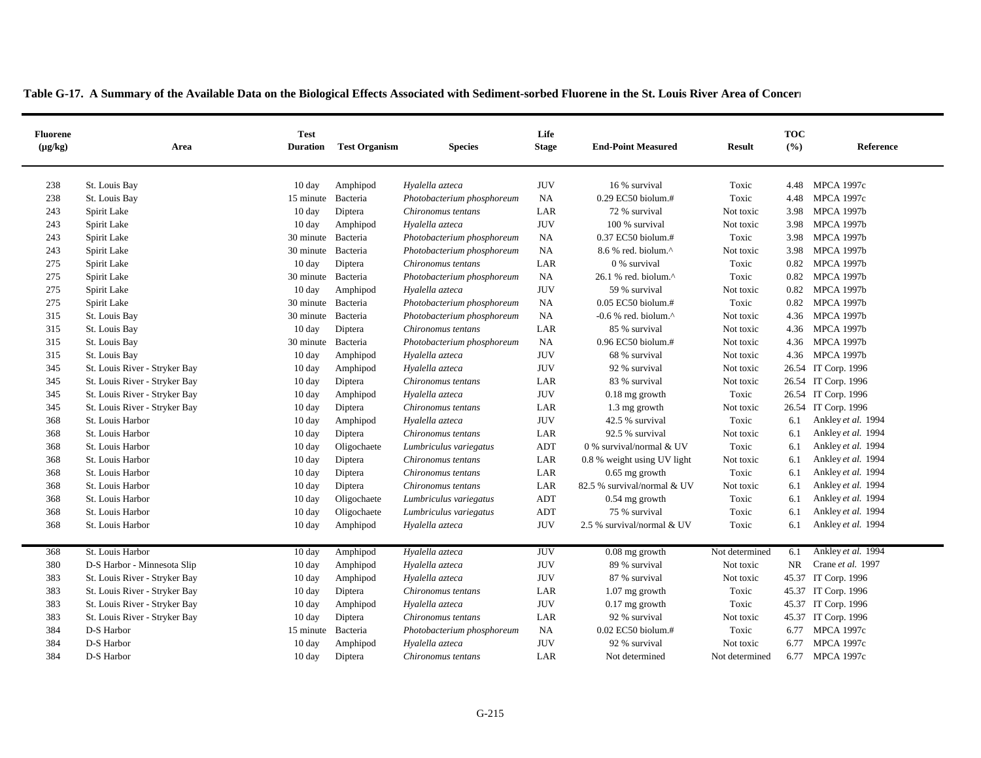| <b>Fluorene</b><br>$(\mu g/kg)$ | Area                          | <b>Test</b><br><b>Duration</b> | <b>Test Organism</b> | <b>Species</b>             | Life<br><b>Stage</b> | <b>End-Point Measured</b>         | <b>Result</b>  | <b>TOC</b><br>(%) | Reference           |
|---------------------------------|-------------------------------|--------------------------------|----------------------|----------------------------|----------------------|-----------------------------------|----------------|-------------------|---------------------|
| 238                             | St. Louis Bay                 | $10 \text{ day}$               | Amphipod             | Hyalella azteca            | <b>JUV</b>           | 16 % survival                     | Toxic          |                   | 4.48 MPCA 1997c     |
| 238                             | St. Louis Bay                 | 15 minute Bacteria             |                      | Photobacterium phosphoreum | NA                   | 0.29 EC50 biolum.#                | Toxic          | 4.48              | <b>MPCA 1997c</b>   |
| 243                             | Spirit Lake                   | $10 \text{ day}$               | Diptera              | Chironomus tentans         | LAR                  | 72 % survival                     | Not toxic      |                   | 3.98 MPCA 1997b     |
| 243                             | Spirit Lake                   | $10 \text{ day}$               | Amphipod             | Hyalella azteca            | <b>JUV</b>           | 100 % survival                    | Not toxic      | 3.98              | <b>MPCA 1997b</b>   |
| 243                             | Spirit Lake                   | 30 minute Bacteria             |                      | Photobacterium phosphoreum | <b>NA</b>            | 0.37 EC50 biolum.#                | Toxic          |                   | 3.98 MPCA 1997b     |
| 243                             | Spirit Lake                   | 30 minute                      | Bacteria             | Photobacterium phosphoreum | <b>NA</b>            | 8.6 % red. biolum.^               | Not toxic      | 3.98              | <b>MPCA 1997b</b>   |
| 275                             | Spirit Lake                   | $10 \text{ day}$               | Diptera              | Chironomus tentans         | LAR                  | 0 % survival                      | Toxic          | 0.82              | MPCA 1997b          |
| 275                             | Spirit Lake                   | 30 minute Bacteria             |                      | Photobacterium phosphoreum | NA                   | 26.1 % red. biolum.^              | Toxic          |                   | 0.82 MPCA 1997b     |
| 275                             | Spirit Lake                   | $10 \text{ day}$               | Amphipod             | Hyalella azteca            | <b>JUV</b>           | 59 % survival                     | Not toxic      | 0.82              | <b>MPCA 1997b</b>   |
| 275                             | Spirit Lake                   | 30 minute Bacteria             |                      | Photobacterium phosphoreum | NA                   | 0.05 EC50 biolum.#                | Toxic          | 0.82              | <b>MPCA 1997b</b>   |
| 315                             | St. Louis Bay                 | 30 minute Bacteria             |                      | Photobacterium phosphoreum | <b>NA</b>            | $-0.6$ % red. biolum. $^{\wedge}$ | Not toxic      |                   | 4.36 MPCA 1997b     |
| 315                             | St. Louis Bay                 | $10 \text{ day}$               | Diptera              | Chironomus tentans         | LAR                  | 85 % survival                     | Not toxic      |                   | 4.36 MPCA 1997b     |
| 315                             | St. Louis Bay                 | 30 minute Bacteria             |                      | Photobacterium phosphoreum | <b>NA</b>            | 0.96 EC50 biolum.#                | Not toxic      |                   | 4.36 MPCA 1997b     |
| 315                             | St. Louis Bay                 | 10 day                         | Amphipod             | Hyalella azteca            | <b>JUV</b>           | 68 % survival                     | Not toxic      | 4.36              | <b>MPCA 1997b</b>   |
| 345                             | St. Louis River - Stryker Bay | $10 \text{ day}$               | Amphipod             | Hyalella azteca            | <b>JUV</b>           | 92 % survival                     | Not toxic      | 26.54             | IT Corp. 1996       |
| 345                             | St. Louis River - Stryker Bay | 10 day                         | Diptera              | Chironomus tentans         | LAR                  | 83 % survival                     | Not toxic      |                   | 26.54 IT Corp. 1996 |
| 345                             | St. Louis River - Stryker Bay | $10 \text{ day}$               | Amphipod             | Hyalella azteca            | <b>JUV</b>           | $0.18$ mg growth                  | Toxic          |                   | 26.54 IT Corp. 1996 |
| 345                             | St. Louis River - Stryker Bay | 10 day                         | Diptera              | Chironomus tentans         | LAR                  | 1.3 mg growth                     | Not toxic      | 26.54             | IT Corp. 1996       |
| 368                             | St. Louis Harbor              | $10 \text{ day}$               | Amphipod             | Hyalella azteca            | <b>JUV</b>           | 42.5 % survival                   | Toxic          | 6.1               | Ankley et al. 1994  |
| 368                             | St. Louis Harbor              | 10 day                         | Diptera              | Chironomus tentans         | LAR                  | 92.5 % survival                   | Not toxic      | 6.1               | Ankley et al. 1994  |
| 368                             | St. Louis Harbor              | 10 day                         | Oligochaete          | Lumbriculus variegatus     | <b>ADT</b>           | 0 % survival/normal & UV          | Toxic          | 6.1               | Ankley et al. 1994  |
| 368                             | St. Louis Harbor              | $10 \text{ day}$               | Diptera              | Chironomus tentans         | LAR                  | 0.8 % weight using UV light       | Not toxic      | 6.1               | Ankley et al. 1994  |
| 368                             | St. Louis Harbor              | $10 \text{ day}$               | Diptera              | Chironomus tentans         | LAR                  | $0.65$ mg growth                  | Toxic          | 6.1               | Ankley et al. 1994  |
| 368                             | St. Louis Harbor              | $10 \text{ day}$               | Diptera              | Chironomus tentans         | LAR                  | 82.5 % survival/normal & UV       | Not toxic      | 6.1               | Ankley et al. 1994  |
| 368                             | St. Louis Harbor              | 10 day                         | Oligochaete          | Lumbriculus variegatus     | <b>ADT</b>           | $0.54$ mg growth                  | Toxic          | 6.1               | Ankley et al. 1994  |
| 368                             | St. Louis Harbor              | $10 \text{ day}$               | Oligochaete          | Lumbriculus variegatus     | <b>ADT</b>           | 75 % survival                     | Toxic          | 6.1               | Ankley et al. 1994  |
| 368                             | St. Louis Harbor              | $10 \text{ day}$               | Amphipod             | Hyalella azteca            | <b>JUV</b>           | 2.5 % survival/normal & UV        | Toxic          | 6.1               | Ankley et al. 1994  |
|                                 |                               |                                |                      |                            |                      |                                   |                |                   |                     |
| 368                             | St. Louis Harbor              | 10 day                         | Amphipod             | Hyalella azteca            | <b>JUV</b>           | 0.08 mg growth                    | Not determined | 6.1               | Ankley et al. 1994  |
| 380                             | D-S Harbor - Minnesota Slip   | $10 \text{ day}$               | Amphipod             | Hyalella azteca            | <b>JUV</b>           | 89 % survival                     | Not toxic      | NR.               | Crane et al. 1997   |
| 383                             | St. Louis River - Stryker Bay | 10 day                         | Amphipod             | Hyalella azteca            | <b>JUV</b>           | 87 % survival                     | Not toxic      |                   | 45.37 IT Corp. 1996 |
| 383                             | St. Louis River - Stryker Bay | $10 \text{ day}$               | Diptera              | Chironomus tentans         | LAR                  | $1.07$ mg growth                  | Toxic          |                   | 45.37 IT Corp. 1996 |
| 383                             | St. Louis River - Stryker Bay | 10 day                         | Amphipod             | Hyalella azteca            | <b>JUV</b>           | $0.17$ mg growth                  | Toxic          | 45.37             | IT Corp. 1996       |
| 383                             | St. Louis River - Stryker Bay | $10 \text{ day}$               | Diptera              | Chironomus tentans         | LAR                  | 92 % survival                     | Not toxic      |                   | 45.37 IT Corp. 1996 |
| 384                             | D-S Harbor                    | 15 minute                      | Bacteria             | Photobacterium phosphoreum | NA                   | 0.02 EC50 biolum.#                | Toxic          | 6.77              | <b>MPCA 1997c</b>   |
| 384                             | D-S Harbor                    | $10 \text{ day}$               | Amphipod             | Hyalella azteca            | <b>JUV</b>           | 92 % survival                     | Not toxic      |                   | 6.77 MPCA 1997c     |
| 384                             | D-S Harbor                    | $10 \text{ day}$               | Diptera              | Chironomus tentans         | LAR                  | Not determined                    | Not determined |                   | 6.77 MPCA 1997c     |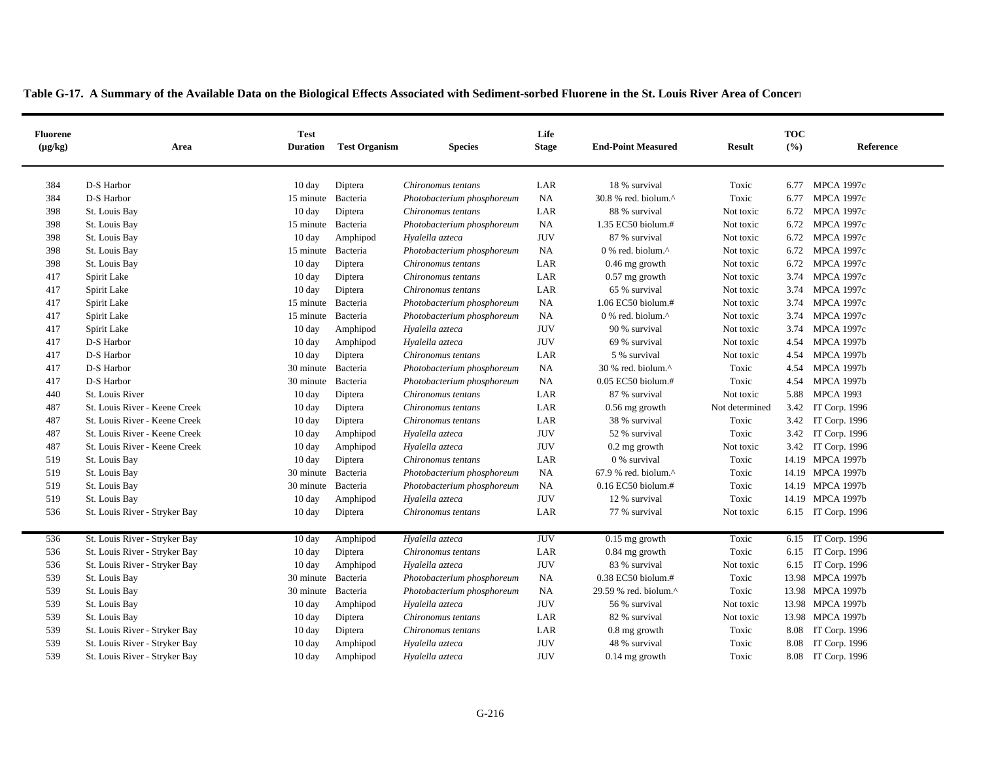| <b>Fluorene</b><br>$(\mu g/kg)$ | Area                          | <b>Test</b><br><b>Duration</b> | <b>Test Organism</b> | <b>Species</b>             | Life<br><b>Stage</b> | <b>End-Point Measured</b>                           | <b>Result</b>  | <b>TOC</b><br>(%) | Reference            |
|---------------------------------|-------------------------------|--------------------------------|----------------------|----------------------------|----------------------|-----------------------------------------------------|----------------|-------------------|----------------------|
|                                 |                               |                                |                      |                            |                      |                                                     |                |                   |                      |
| 384                             | D-S Harbor                    | $10 \text{ day}$               | Diptera              | Chironomus tentans         | LAR                  | 18 % survival                                       | Toxic          |                   | 6.77 MPCA 1997c      |
| 384                             | D-S Harbor                    | 15 minute Bacteria             |                      | Photobacterium phosphoreum | <b>NA</b>            | $30.8$ % red. biolum. <sup>^</sup>                  | Toxic          | 6.77              | <b>MPCA 1997c</b>    |
| 398                             | St. Louis Bay                 | $10 \text{ day}$               | Diptera              | Chironomus tentans         | LAR                  | 88 % survival                                       | Not toxic      |                   | 6.72 MPCA 1997c      |
| 398                             | St. Louis Bay                 | 15 minute Bacteria             |                      | Photobacterium phosphoreum | <b>NA</b>            | 1.35 EC50 biolum.#                                  | Not toxic      | 6.72              | <b>MPCA 1997c</b>    |
| 398                             | St. Louis Bay                 | 10 day                         | Amphipod             | Hyalella azteca            | <b>JUV</b>           | 87 % survival                                       | Not toxic      |                   | 6.72 MPCA 1997c      |
| 398                             | St. Louis Bay                 | 15 minute Bacteria             |                      | Photobacterium phosphoreum | <b>NA</b>            | $0\%$ red. biolum. <sup><math>\wedge</math></sup>   | Not toxic      |                   | 6.72 MPCA 1997c      |
| 398                             | St. Louis Bay                 | $10 \text{ day}$               | Diptera              | Chironomus tentans         | LAR                  | $0.46$ mg growth                                    | Not toxic      |                   | 6.72 MPCA 1997c      |
| 417                             | Spirit Lake                   | $10 \text{ day}$               | Diptera              | Chironomus tentans         | LAR                  | $0.57$ mg growth                                    | Not toxic      | 3.74              | <b>MPCA 1997c</b>    |
| 417                             | Spirit Lake                   | $10 \text{ day}$               | Diptera              | Chironomus tentans         | LAR                  | 65 % survival                                       | Not toxic      | 3.74              | <b>MPCA 1997c</b>    |
| 417                             | Spirit Lake                   | 15 minute Bacteria             |                      | Photobacterium phosphoreum | NA                   | 1.06 EC50 biolum.#                                  | Not toxic      | 3.74              | <b>MPCA 1997c</b>    |
| 417                             | Spirit Lake                   | 15 minute                      | Bacteria             | Photobacterium phosphoreum | <b>NA</b>            | 0 % red. biolum.^                                   | Not toxic      |                   | 3.74 MPCA 1997c      |
| 417                             | Spirit Lake                   | $10 \text{ day}$               | Amphipod             | Hyalella azteca            | <b>JUV</b>           | 90 % survival                                       | Not toxic      | 3.74              | <b>MPCA 1997c</b>    |
| 417                             | D-S Harbor                    | $10 \text{ day}$               | Amphipod             | Hyalella azteca            | <b>JUV</b>           | 69 % survival                                       | Not toxic      | 4.54              | <b>MPCA 1997b</b>    |
| 417                             | D-S Harbor                    | $10 \text{ day}$               | Diptera              | Chironomus tentans         | LAR                  | 5 % survival                                        | Not toxic      |                   | 4.54 MPCA 1997b      |
| 417                             | D-S Harbor                    | 30 minute Bacteria             |                      | Photobacterium phosphoreum | NA                   | 30 % red. biolum.^                                  | Toxic          |                   | 4.54 MPCA 1997b      |
| 417                             | D-S Harbor                    | 30 minute                      | Bacteria             | Photobacterium phosphoreum | NA                   | 0.05 EC50 biolum.#                                  | Toxic          | 4.54              | <b>MPCA 1997b</b>    |
| 440                             | <b>St. Louis River</b>        | $10 \text{ day}$               | Diptera              | Chironomus tentans         | LAR                  | 87 % survival                                       | Not toxic      | 5.88              | <b>MPCA 1993</b>     |
| 487                             | St. Louis River - Keene Creek | $10 \text{ day}$               | Diptera              | Chironomus tentans         | LAR                  | $0.56$ mg growth                                    | Not determined | 3.42              | IT Corp. 1996        |
| 487                             | St. Louis River - Keene Creek | $10 \text{ day}$               | Diptera              | Chironomus tentans         | LAR                  | 38 % survival                                       | Toxic          | 3.42              | IT Corp. 1996        |
| 487                             | St. Louis River - Keene Creek | $10\ \mathrm{day}$             | Amphipod             | Hyalella azteca            | <b>JUV</b>           | 52 % survival                                       | Toxic          | 3.42              | IT Corp. 1996        |
| 487                             | St. Louis River - Keene Creek | 10 day                         | Amphipod             | Hyalella azteca            | <b>JUV</b>           | $0.2$ mg growth                                     | Not toxic      | 3.42              | IT Corp. 1996        |
| 519                             | St. Louis Bay                 | 10 day                         | Diptera              | Chironomus tentans         | LAR                  | 0 % survival                                        | Toxic          |                   | 14.19 MPCA 1997b     |
| 519                             | St. Louis Bay                 | 30 minute Bacteria             |                      | Photobacterium phosphoreum | NA                   | $67.9$ % red. biolum. <sup><math>\land</math></sup> | Toxic          |                   | 14.19 MPCA 1997b     |
| 519                             | St. Louis Bay                 | 30 minute                      | Bacteria             | Photobacterium phosphoreum | NA                   | $0.16$ EC50 biolum.#                                | Toxic          |                   | 14.19 MPCA 1997b     |
| 519                             | St. Louis Bay                 | $10 \text{ day}$               | Amphipod             | Hyalella azteca            | <b>JUV</b>           | 12 % survival                                       | Toxic          |                   | 14.19 MPCA 1997b     |
| 536                             | St. Louis River - Stryker Bay | 10 day                         | Diptera              | Chironomus tentans         | LAR                  | 77 % survival                                       | Not toxic      |                   | 6.15 IT Corp. 1996   |
| 536                             | St. Louis River - Stryker Bay | $10 \text{ day}$               | Amphipod             | Hyalella azteca            | <b>JUV</b>           | $0.15$ mg growth                                    | Toxic          | 6.15              | <b>IT Corp. 1996</b> |
| 536                             | St. Louis River - Stryker Bay | $10 \text{ day}$               | Diptera              | Chironomus tentans         | LAR                  | $0.84$ mg growth                                    | Toxic          | 6.15              | IT Corp. 1996        |
| 536                             |                               |                                |                      | Hyalella azteca            | <b>JUV</b>           | 83 % survival                                       | Not toxic      |                   | IT Corp. 1996        |
|                                 | St. Louis River - Stryker Bay | $10 \text{ day}$               | Amphipod             |                            |                      |                                                     |                | 6.15              |                      |
| 539                             | St. Louis Bay                 | 30 minute Bacteria             |                      | Photobacterium phosphoreum | NA                   | 0.38 EC50 biolum.#                                  | Toxic          |                   | 13.98 MPCA 1997b     |
| 539                             | St. Louis Bay                 | 30 minute                      | Bacteria             | Photobacterium phosphoreum | NA                   | 29.59 % red. biolum.^                               | Toxic          |                   | 13.98 MPCA 1997b     |
| 539                             | St. Louis Bay                 | $10 \text{ day}$               | Amphipod             | Hyalella azteca            | <b>JUV</b>           | 56 % survival                                       | Not toxic      |                   | 13.98 MPCA 1997b     |
| 539                             | St. Louis Bay                 | $10 \text{ day}$               | Diptera              | Chironomus tentans         | LAR                  | 82 % survival                                       | Not toxic      |                   | 13.98 MPCA 1997b     |
| 539                             | St. Louis River - Stryker Bay | 10 day                         | Diptera              | Chironomus tentans         | LAR                  | $0.8$ mg growth                                     | Toxic          | 8.08              | IT Corp. 1996        |
| 539                             | St. Louis River - Stryker Bay | $10 \text{ day}$               | Amphipod             | Hyalella azteca            | <b>JUV</b>           | 48 % survival                                       | Toxic          | 8.08              | IT Corp. 1996        |
| 539                             | St. Louis River - Stryker Bay | $10 \text{ day}$               | Amphipod             | Hyalella azteca            | <b>JUV</b>           | $0.14$ mg growth                                    | Toxic          |                   | 8.08 IT Corp. 1996   |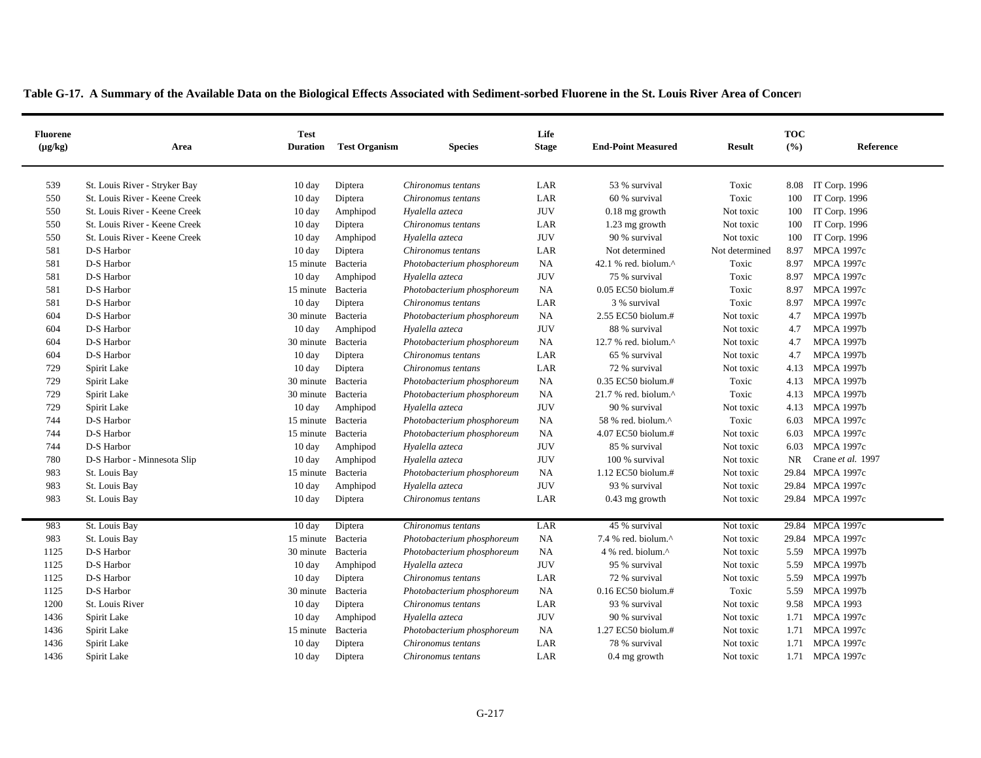| <b>Fluorene</b><br>$(\mu g/kg)$ | Area                          | <b>Test</b><br><b>Duration</b> | <b>Test Organism</b> | <b>Species</b>             | Life<br><b>Stage</b> | <b>End-Point Measured</b>       | <b>Result</b>  | <b>TOC</b><br>(%) | Reference          |
|---------------------------------|-------------------------------|--------------------------------|----------------------|----------------------------|----------------------|---------------------------------|----------------|-------------------|--------------------|
|                                 |                               |                                |                      |                            |                      |                                 |                |                   |                    |
| 539                             | St. Louis River - Stryker Bay | $10 \text{ day}$               | Diptera              | Chironomus tentans         | LAR                  | 53 % survival                   | Toxic          |                   | 8.08 IT Corp. 1996 |
| 550                             | St. Louis River - Keene Creek | $10 \text{ day}$               | Diptera              | Chironomus tentans         | LAR                  | 60 % survival                   | Toxic          | 100               | IT Corp. 1996      |
| 550                             | St. Louis River - Keene Creek | $10 \text{ day}$               | Amphipod             | Hyalella azteca            | <b>JUV</b>           | $0.18$ mg growth                | Not toxic      | 100               | IT Corp. 1996      |
| 550<br>550                      | St. Louis River - Keene Creek | $10 \text{ day}$               | Diptera              | Chironomus tentans         | LAR<br><b>JUV</b>    | 1.23 mg growth<br>90 % survival | Not toxic      | 100               | IT Corp. 1996      |
|                                 | St. Louis River - Keene Creek | $10 \text{ day}$               | Amphipod             | Hyalella azteca            |                      |                                 | Not toxic      | 100               | IT Corp. 1996      |
| 581                             | D-S Harbor                    | $10 \text{ day}$               | Diptera              | Chironomus tentans         | LAR                  | Not determined                  | Not determined | 8.97              | <b>MPCA 1997c</b>  |
| 581                             | D-S Harbor                    | 15 minute Bacteria             |                      | Photobacterium phosphoreum | <b>NA</b>            | 42.1 % red. biolum. $^{\wedge}$ | Toxic          | 8.97              | <b>MPCA 1997c</b>  |
| 581                             | D-S Harbor                    | $10 \text{ day}$               | Amphipod             | Hyalella azteca            | $\rm JUV$            | 75 % survival                   | Toxic          | 8.97              | <b>MPCA 1997c</b>  |
| 581                             | D-S Harbor                    | 15 minute Bacteria             |                      | Photobacterium phosphoreum | NA                   | $0.05$ EC50 biolum.#            | Toxic          | 8.97              | <b>MPCA 1997c</b>  |
| 581                             | D-S Harbor                    | $10 \text{ day}$               | Diptera              | Chironomus tentans         | LAR                  | 3 % survival                    | Toxic          | 8.97              | <b>MPCA 1997c</b>  |
| 604                             | D-S Harbor                    | 30 minute Bacteria             |                      | Photobacterium phosphoreum | <b>NA</b>            | 2.55 EC50 biolum.#              | Not toxic      | 4.7               | <b>MPCA 1997b</b>  |
| 604                             | D-S Harbor                    | $10 \text{ day}$               | Amphipod             | Hyalella azteca            | <b>JUV</b>           | 88 % survival                   | Not toxic      | 4.7               | <b>MPCA 1997b</b>  |
| 604                             | D-S Harbor                    | 30 minute                      | Bacteria             | Photobacterium phosphoreum | NA                   | 12.7 % red. biolum. $^{\wedge}$ | Not toxic      | 4.7               | <b>MPCA 1997b</b>  |
| 604                             | D-S Harbor                    | 10 day                         | Diptera              | Chironomus tentans         | LAR                  | 65 % survival                   | Not toxic      | 4.7               | <b>MPCA 1997b</b>  |
| 729                             | Spirit Lake                   | $10 \text{ day}$               | Diptera              | Chironomus tentans         | LAR                  | 72 % survival                   | Not toxic      | 4.13              | <b>MPCA 1997b</b>  |
| 729                             | Spirit Lake                   | 30 minute Bacteria             |                      | Photobacterium phosphoreum | NA                   | 0.35 EC50 biolum.#              | Toxic          |                   | 4.13 MPCA 1997b    |
| 729                             | Spirit Lake                   | 30 minute                      | Bacteria             | Photobacterium phosphoreum | <b>NA</b>            | 21.7 % red. biolum.^            | Toxic          |                   | 4.13 MPCA 1997b    |
| 729                             | Spirit Lake                   | $10 \text{ day}$               | Amphipod             | Hyalella azteca            | <b>JUV</b>           | 90 % survival                   | Not toxic      | 4.13              | <b>MPCA 1997b</b>  |
| 744                             | D-S Harbor                    | 15 minute Bacteria             |                      | Photobacterium phosphoreum | <b>NA</b>            | 58 % red. biolum.^              | Toxic          | 6.03              | <b>MPCA 1997c</b>  |
| 744                             | D-S Harbor                    | 15 minute                      | Bacteria             | Photobacterium phosphoreum | NA                   | 4.07 EC50 biolum.#              | Not toxic      | 6.03              | <b>MPCA 1997c</b>  |
| 744                             | D-S Harbor                    | $10 \text{ day}$               | Amphipod             | Hyalella azteca            | <b>JUV</b>           | 85 % survival                   | Not toxic      | 6.03              | <b>MPCA 1997c</b>  |
| 780                             | D-S Harbor - Minnesota Slip   | $10 \text{ day}$               | Amphipod             | Hyalella azteca            | <b>JUV</b>           | 100 % survival                  | Not toxic      | <b>NR</b>         | Crane et al. 1997  |
| 983                             | St. Louis Bay                 | 15 minute Bacteria             |                      | Photobacterium phosphoreum | NA                   | 1.12 EC50 biolum.#              | Not toxic      |                   | 29.84 MPCA 1997c   |
| 983                             | St. Louis Bay                 | $10 \text{ day}$               | Amphipod             | Hyalella azteca            | <b>JUV</b>           | 93 % survival                   | Not toxic      |                   | 29.84 MPCA 1997c   |
| 983                             | St. Louis Bay                 | $10 \text{ day}$               | Diptera              | Chironomus tentans         | LAR                  | $0.43$ mg growth                | Not toxic      |                   | 29.84 MPCA 1997c   |
| 983                             | St. Louis Bay                 | $10 \text{ day}$               | Diptera              | Chironomus tentans         | LAR                  | 45 % survival                   | Not toxic      |                   | 29.84 MPCA 1997c   |
| 983                             | St. Louis Bay                 | 15 minute Bacteria             |                      |                            | NA                   | 7.4 % red. biolum. $^{\wedge}$  | Not toxic      |                   | 29.84 MPCA 1997c   |
| 1125                            | D-S Harbor                    | 30 minute Bacteria             |                      | Photobacterium phosphoreum | NA                   | 4 % red. biolum.^               | Not toxic      | 5.59              | <b>MPCA 1997b</b>  |
| 1125                            | D-S Harbor                    |                                |                      | Photobacterium phosphoreum | <b>JUV</b>           | 95 % survival                   | Not toxic      | 5.59              | <b>MPCA 1997b</b>  |
| 1125                            |                               | $10 \text{ day}$               | Amphipod             | Hyalella azteca            | LAR                  |                                 |                |                   | 5.59 MPCA 1997b    |
|                                 | D-S Harbor                    | 10 day                         | Diptera              | Chironomus tentans         |                      | 72 % survival                   | Not toxic      |                   |                    |
| 1125                            | D-S Harbor                    | 30 minute Bacteria             |                      | Photobacterium phosphoreum | <b>NA</b>            | 0.16 EC50 biolum.#              | Toxic          | 5.59              | <b>MPCA 1997b</b>  |
| 1200                            | St. Louis River               | 10 day                         | Diptera              | Chironomus tentans         | LAR                  | 93 % survival                   | Not toxic      | 9.58              | <b>MPCA 1993</b>   |
| 1436                            | Spirit Lake                   | $10 \text{ day}$               | Amphipod             | Hyalella azteca            | <b>JUV</b>           | 90 % survival                   | Not toxic      | 1.71              | <b>MPCA 1997c</b>  |
| 1436                            | Spirit Lake                   | 15 minute                      | Bacteria             | Photobacterium phosphoreum | NA                   | 1.27 EC50 biolum.#              | Not toxic      | 1.71              | <b>MPCA 1997c</b>  |
| 1436                            | Spirit Lake                   | $10 \text{ day}$               | Diptera              | Chironomus tentans         | LAR                  | 78 % survival                   | Not toxic      |                   | 1.71 MPCA 1997c    |
| 1436                            | Spirit Lake                   | $10 \text{ day}$               | Diptera              | Chironomus tentans         | LAR                  | $0.4$ mg growth                 | Not toxic      |                   | 1.71 MPCA 1997c    |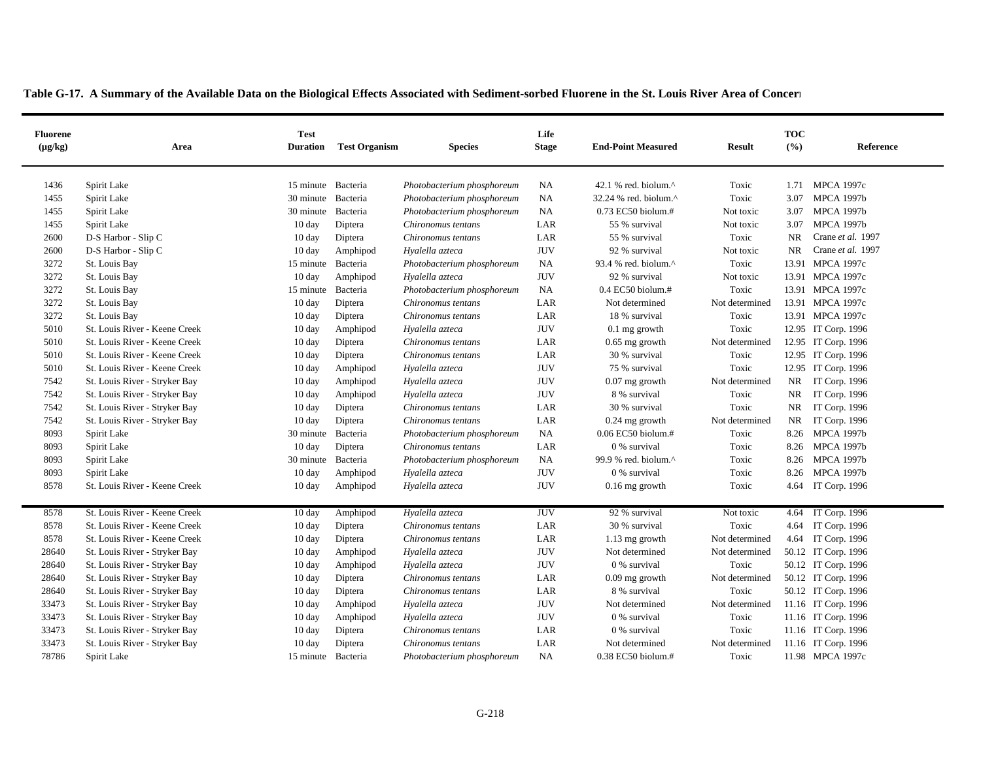| <b>Fluorene</b><br>$(\mu g/kg)$ | Area                          | <b>Test</b><br><b>Duration</b> | <b>Test Organism</b> | <b>Species</b>             | Life<br><b>Stage</b> | <b>End-Point Measured</b>       | <b>Result</b>  | <b>TOC</b><br>(%) | Reference           |
|---------------------------------|-------------------------------|--------------------------------|----------------------|----------------------------|----------------------|---------------------------------|----------------|-------------------|---------------------|
| 1436                            | Spirit Lake                   | 15 minute Bacteria             |                      | Photobacterium phosphoreum | <b>NA</b>            | 42.1 % red. biolum. $^{\wedge}$ | Toxic          | 1.71              | <b>MPCA 1997c</b>   |
| 1455                            | Spirit Lake                   | 30 minute Bacteria             |                      | Photobacterium phosphoreum | NA                   | 32.24 % red. biolum.^           | Toxic          | 3.07              | <b>MPCA 1997b</b>   |
| 1455                            | Spirit Lake                   | 30 minute Bacteria             |                      | Photobacterium phosphoreum | NA                   | $0.73$ EC50 biolum.#            | Not toxic      | 3.07              | <b>MPCA 1997b</b>   |
| 1455                            | Spirit Lake                   | $10 \text{ day}$               | Diptera              | Chironomus tentans         | LAR                  | 55 % survival                   | Not toxic      | 3.07              | <b>MPCA 1997b</b>   |
| 2600                            | D-S Harbor - Slip C           | $10 \text{ day}$               | Diptera              | Chironomus tentans         | LAR                  | 55 % survival                   | Toxic          | <b>NR</b>         | Crane et al. 1997   |
| 2600                            | D-S Harbor - Slip C           | $10 \text{ day}$               | Amphipod             | Hyalella azteca            | <b>JUV</b>           | 92 % survival                   | Not toxic      | <b>NR</b>         | Crane et al. 1997   |
| 3272                            | St. Louis Bay                 | 15 minute Bacteria             |                      | Photobacterium phosphoreum | NA                   | 93.4 % red. biolum.^            | Toxic          |                   | 13.91 MPCA 1997c    |
| 3272                            | St. Louis Bay                 | $10 \text{ day}$               | Amphipod             | Hyalella azteca            | <b>JUV</b>           | 92 % survival                   | Not toxic      |                   | 13.91 MPCA 1997c    |
| 3272                            | St. Louis Bay                 | 15 minute Bacteria             |                      | Photobacterium phosphoreum | <b>NA</b>            | $0.4$ EC50 biolum.#             | Toxic          |                   | 13.91 MPCA 1997c    |
| 3272                            | St. Louis Bay                 | $10 \text{ day}$               | Diptera              | Chironomus tentans         | LAR                  | Not determined                  | Not determined |                   | 13.91 MPCA 1997c    |
| 3272                            | St. Louis Bay                 | $10 \text{ day}$               | Diptera              | Chironomus tentans         | LAR                  | 18 % survival                   | Toxic          |                   | 13.91 MPCA 1997c    |
| 5010                            | St. Louis River - Keene Creek | $10 \text{ day}$               | Amphipod             | Hyalella azteca            | <b>JUV</b>           | $0.1$ mg growth                 | Toxic          |                   | 12.95 IT Corp. 1996 |
| 5010                            | St. Louis River - Keene Creek | 10 day                         | Diptera              | Chironomus tentans         | LAR                  | $0.65$ mg growth                | Not determined |                   | 12.95 IT Corp. 1996 |
| 5010                            | St. Louis River - Keene Creek | 10 day                         | Diptera              | Chironomus tentans         | LAR                  | 30 % survival                   | Toxic          |                   | 12.95 IT Corp. 1996 |
| 5010                            | St. Louis River - Keene Creek | 10 day                         | Amphipod             | Hyalella azteca            | <b>JUV</b>           | 75 % survival                   | Toxic          |                   | 12.95 IT Corp. 1996 |
| 7542                            | St. Louis River - Stryker Bay | $10 \text{ day}$               | Amphipod             | Hyalella azteca            | <b>JUV</b>           | $0.07$ mg growth                | Not determined | NR                | IT Corp. 1996       |
| 7542                            | St. Louis River - Stryker Bay | $10 \text{ day}$               | Amphipod             | Hyalella azteca            | <b>JUV</b>           | 8 % survival                    | Toxic          | NR                | IT Corp. 1996       |
| 7542                            | St. Louis River - Stryker Bay | 10 day                         | Diptera              | Chironomus tentans         | LAR                  | 30 % survival                   | Toxic          | NR                | IT Corp. 1996       |
| 7542                            | St. Louis River - Stryker Bay | 10 day                         | Diptera              | Chironomus tentans         | LAR                  | $0.24$ mg growth                | Not determined | NR                | IT Corp. 1996       |
| 8093                            | Spirit Lake                   | 30 minute                      | Bacteria             | Photobacterium phosphoreum | <b>NA</b>            | $0.06$ EC50 biolum.#            | Toxic          |                   | 8.26 MPCA 1997b     |
| 8093                            | Spirit Lake                   | $10 \text{ day}$               | Diptera              | Chironomus tentans         | LAR                  | 0 % survival                    | Toxic          |                   | 8.26 MPCA 1997b     |
| 8093                            | Spirit Lake                   | 30 minute Bacteria             |                      | Photobacterium phosphoreum | <b>NA</b>            | 99.9 % red. biolum. $^{\wedge}$ | Toxic          |                   | 8.26 MPCA 1997b     |
| 8093                            | Spirit Lake                   | $10 \text{ day}$               | Amphipod             | Hyalella azteca            | <b>JUV</b>           | 0 % survival                    | Toxic          |                   | 8.26 MPCA 1997b     |
| 8578                            | St. Louis River - Keene Creek | $10 \text{ day}$               | Amphipod             | Hyalella azteca            | <b>JUV</b>           | $0.16$ mg growth                | Toxic          |                   | 4.64 IT Corp. 1996  |
|                                 |                               |                                |                      |                            |                      |                                 |                |                   |                     |
| 8578                            | St. Louis River - Keene Creek | 10 day                         | Amphipod             | Hyalella azteca            | <b>JUV</b>           | 92 % survival                   | Not toxic      |                   | 4.64 IT Corp. 1996  |
| 8578                            | St. Louis River - Keene Creek | $10 \text{ day}$               | Diptera              | Chironomus tentans         | LAR                  | 30 % survival                   | Toxic          |                   | 4.64 IT Corp. 1996  |
| 8578                            | St. Louis River - Keene Creek | $10 \text{ day}$               | Diptera              | Chironomus tentans         | LAR                  | $1.13$ mg growth                | Not determined |                   | 4.64 IT Corp. 1996  |
| 28640                           | St. Louis River - Stryker Bay | $10 \text{ day}$               | Amphipod             | Hyalella azteca            | <b>JUV</b>           | Not determined                  | Not determined |                   | 50.12 IT Corp. 1996 |
| 28640                           | St. Louis River - Stryker Bay | $10 \text{ day}$               | Amphipod             | Hyalella azteca            | <b>JUV</b>           | 0 % survival                    | Toxic          |                   | 50.12 IT Corp. 1996 |
| 28640                           | St. Louis River - Stryker Bay | $10 \text{ day}$               | Diptera              | Chironomus tentans         | LAR                  | $0.09$ mg growth                | Not determined |                   | 50.12 IT Corp. 1996 |
| 28640                           | St. Louis River - Stryker Bay | $10 \text{ day}$               | Diptera              | Chironomus tentans         | LAR                  | 8 % survival                    | Toxic          |                   | 50.12 IT Corp. 1996 |
| 33473                           | St. Louis River - Stryker Bay | 10 day                         | Amphipod             | Hvalella azteca            | <b>JUV</b>           | Not determined                  | Not determined |                   | 11.16 IT Corp. 1996 |

 St. Louis River - Stryker Bay 10 day Amphipod *Hyalella azteca* JUV 0 % survival Toxic 11.16 IT Corp. 1996 St. Louis River - Stryker Bay 10 day Diptera *Chironomus tentans* LAR 0 % survival Toxic 11.16 IT Corp. 1996 St. Louis River - Stryker Bay 10 day Diptera *Chironomus tentans* LAR Not determined Not determined 11.16 IT Corp. 1996 Spirit Lake 15 minute Bacteria *Photobacterium phosphoreum* NA 0.38 EC50 biolum.# Toxic 11.98 MPCA 1997c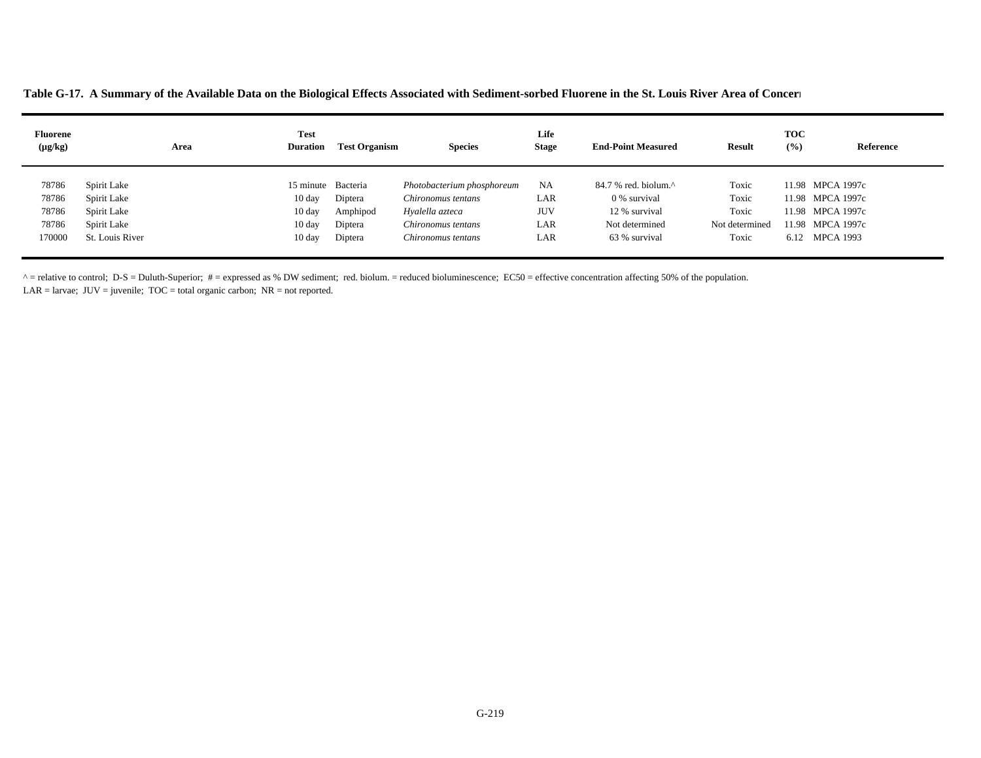**Table G-17. A Summary of the Available Data on the Biological Effects Associated with Sediment-sorbed Fluorene in the St. Louis River Area of Concer n**

| <b>Fluorene</b><br>$(\mu g/kg)$ | Area            | <b>Test</b><br><b>Duration</b> | <b>Test Organism</b> | <b>Species</b>             | Life<br><b>Stage</b> | <b>End-Point Measured</b>                           | <b>Result</b>  | <b>TOC</b><br>(%) | Reference        |
|---------------------------------|-----------------|--------------------------------|----------------------|----------------------------|----------------------|-----------------------------------------------------|----------------|-------------------|------------------|
| 78786                           | Spirit Lake     | 15 minute Bacteria             |                      | Photobacterium phosphoreum | <b>NA</b>            | $84.7$ % red. biolum. <sup><math>\land</math></sup> | Toxic          |                   | 11.98 MPCA 1997c |
| 78786                           | Spirit Lake     | $10 \text{ day}$               | Diptera              | Chironomus tentans         | LAR                  | 0 % survival                                        | Toxic          |                   | 11.98 MPCA 1997c |
| 78786                           | Spirit Lake     | $10 \text{ day}$               | Amphipod             | Hyalella azteca            | <b>JUV</b>           | 12 % survival                                       | Toxic          |                   | 11.98 MPCA 1997c |
| 78786                           | Spirit Lake     | $10 \text{ day}$               | Diptera              | Chironomus tentans         | LAR                  | Not determined                                      | Not determined |                   | 11.98 MPCA 1997c |
| 170000                          | St. Louis River | $10 \text{ day}$               | Diptera              | Chironomus tentans         | LAR                  | 63 % survival                                       | Toxic          | 6.12              | MPCA 1993        |

 $^{\circ}$  = relative to control; D-S = Duluth-Superior; # = expressed as % DW sediment; red. biolum. = reduced bioluminescence; EC50 = effective concentration affecting 50% of the population.

LAR = larvae;  $JUV =$  juvenile;  $TOC =$  total organic carbon;  $NR =$  not reported.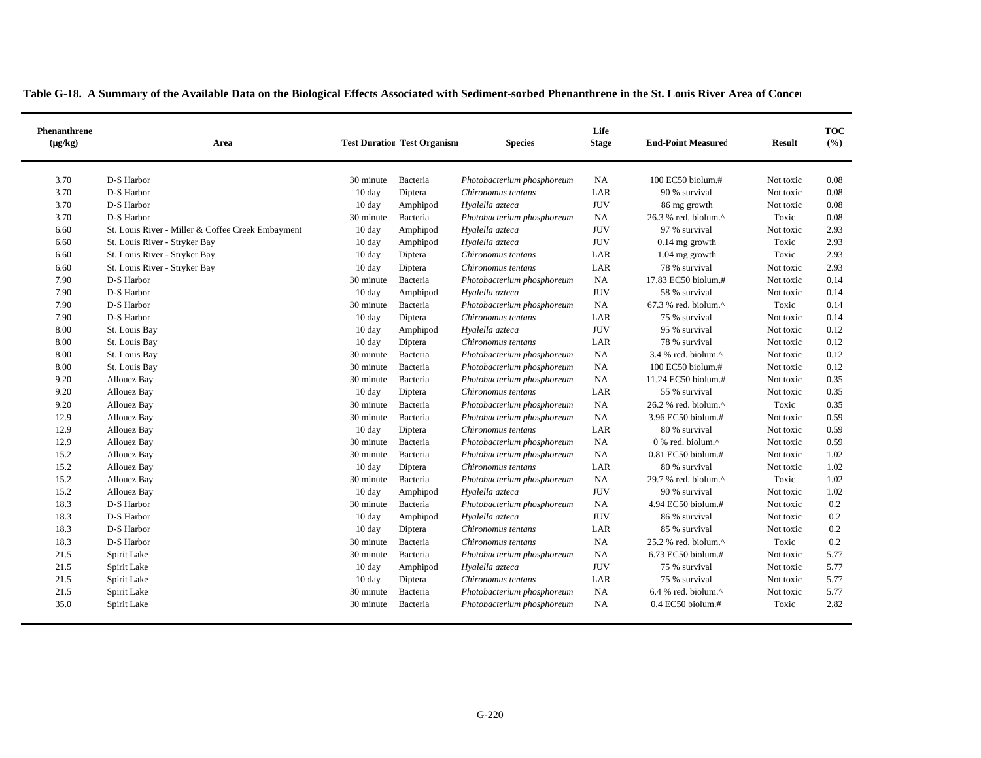|  | Table G-18. A Summary of the Available Data on the Biological Effects Associated with Sediment-sorbed Phenanthrene in the St. Louis River Area of Concer |  |  |  |  |
|--|----------------------------------------------------------------------------------------------------------------------------------------------------------|--|--|--|--|
|--|----------------------------------------------------------------------------------------------------------------------------------------------------------|--|--|--|--|

| Phenanthrene<br>$(\mu g/kg)$ | Area                                              |                  | <b>Test Duration Test Organism</b> | <b>Species</b>             | Life<br><b>Stage</b> | <b>End-Point Measured</b>                           | <b>Result</b> | <b>TOC</b><br>(%) |
|------------------------------|---------------------------------------------------|------------------|------------------------------------|----------------------------|----------------------|-----------------------------------------------------|---------------|-------------------|
| 3.70                         | D-S Harbor                                        | 30 minute        | Bacteria                           | Photobacterium phosphoreum | NA                   | $100$ EC50 biolum. $#$                              | Not toxic     | 0.08              |
| 3.70                         | D-S Harbor                                        | 10 day           | Diptera                            | Chironomus tentans         | LAR                  | 90 % survival                                       | Not toxic     | 0.08              |
| 3.70                         | D-S Harbor                                        | 10 day           | Amphipod                           | Hyalella azteca            | <b>JUV</b>           | 86 mg growth                                        | Not toxic     | 0.08              |
| 3.70                         | D-S Harbor                                        | 30 minute        | Bacteria                           | Photobacterium phosphoreum | NA                   | $26.3$ % red. biolum. <sup><math>\land</math></sup> | Toxic         | 0.08              |
| 6.60                         | St. Louis River - Miller & Coffee Creek Embayment | $10 \text{ day}$ | Amphipod                           | Hyalella azteca            | <b>JUV</b>           | 97 % survival                                       | Not toxic     | 2.93              |
| 6.60                         | St. Louis River - Stryker Bay                     | 10 day           | Amphipod                           | Hyalella azteca            | <b>JUV</b>           | $0.14$ mg growth                                    | Toxic         | 2.93              |
| 6.60                         | St. Louis River - Stryker Bay                     | $10 \text{ day}$ | Diptera                            | Chironomus tentans         | LAR                  | 1.04 mg growth                                      | Toxic         | 2.93              |
| 6.60                         | St. Louis River - Stryker Bay                     | $10 \text{ day}$ | Diptera                            | Chironomus tentans         | LAR                  | 78 % survival                                       | Not toxic     | 2.93              |
| 7.90                         | D-S Harbor                                        | 30 minute        | Bacteria                           | Photobacterium phosphoreum | NA                   | 17.83 EC50 biolum.#                                 | Not toxic     | 0.14              |
| 7.90                         | D-S Harbor                                        | 10 day           | Amphipod                           | Hyalella azteca            | <b>JUV</b>           | 58 % survival                                       | Not toxic     | 0.14              |
| 7.90                         | D-S Harbor                                        | 30 minute        | Bacteria                           | Photobacterium phosphoreum | NA                   | 67.3 % red. biolum.^                                | Toxic         | 0.14              |
| 7.90                         | D-S Harbor                                        | $10 \text{ day}$ | Diptera                            | Chironomus tentans         | LAR                  | 75 % survival                                       | Not toxic     | 0.14              |
| 8.00                         | St. Louis Bay                                     | $10 \text{ day}$ | Amphipod                           | Hyalella azteca            | <b>JUV</b>           | 95 % survival                                       | Not toxic     | 0.12              |
| 8.00                         | St. Louis Bay                                     | $10 \text{ day}$ | Diptera                            | Chironomus tentans         | LAR                  | 78 % survival                                       | Not toxic     | 0.12              |
| 8.00                         | St. Louis Bay                                     | 30 minute        | Bacteria                           | Photobacterium phosphoreum | NA                   | 3.4 % red. biolum.^                                 | Not toxic     | 0.12              |
| 8.00                         | St. Louis Bay                                     | 30 minute        | Bacteria                           | Photobacterium phosphoreum | <b>NA</b>            | $100$ EC50 biolum. $#$                              | Not toxic     | 0.12              |
| 9.20                         | Allouez Bay                                       | 30 minute        | Bacteria                           | Photobacterium phosphoreum | NA                   | 11.24 EC50 biolum.#                                 | Not toxic     | 0.35              |
| 9.20                         | Allouez Bay                                       | 10 day           | Diptera                            | Chironomus tentans         | LAR                  | 55 % survival                                       | Not toxic     | 0.35              |
| 9.20                         | Allouez Bay                                       | 30 minute        | Bacteria                           | Photobacterium phosphoreum | NA                   | 26.2 % red. biolum.^                                | Toxic         | 0.35              |
| 12.9                         | Allouez Bay                                       | 30 minute        | Bacteria                           | Photobacterium phosphoreum | NA                   | 3.96 EC50 biolum.#                                  | Not toxic     | 0.59              |
| 12.9                         | Allouez Bay                                       | 10 day           | Diptera                            | Chironomus tentans         | LAR                  | 80 % survival                                       | Not toxic     | 0.59              |
| 12.9                         | Allouez Bay                                       | 30 minute        | Bacteria                           | Photobacterium phosphoreum | <b>NA</b>            | $0\%$ red. biolum. <sup><math>\wedge</math></sup>   | Not toxic     | 0.59              |
| 15.2                         | Allouez Bay                                       | 30 minute        | Bacteria                           | Photobacterium phosphoreum | <b>NA</b>            | 0.81 EC50 biolum.#                                  | Not toxic     | 1.02              |
| 15.2                         | Allouez Bay                                       | 10 day           | Diptera                            | Chironomus tentans         | LAR                  | 80 % survival                                       | Not toxic     | 1.02              |
| 15.2                         | Allouez Bay                                       | 30 minute        | Bacteria                           | Photobacterium phosphoreum | <b>NA</b>            | 29.7 % red. biolum.^                                | Toxic         | 1.02              |
| 15.2                         | Allouez Bay                                       | $10 \text{ day}$ | Amphipod                           | Hyalella azteca            | <b>JUV</b>           | 90 % survival                                       | Not toxic     | 1.02              |
| 18.3                         | D-S Harbor                                        | 30 minute        | Bacteria                           | Photobacterium phosphoreum | NA                   | 4.94 EC50 biolum.#                                  | Not toxic     | 0.2               |
| 18.3                         | D-S Harbor                                        | $10 \text{ day}$ | Amphipod                           | Hyalella azteca            | <b>JUV</b>           | 86 % survival                                       | Not toxic     | 0.2               |
| 18.3                         | D-S Harbor                                        | 10 day           | Diptera                            | Chironomus tentans         | LAR                  | 85 % survival                                       | Not toxic     | 0.2               |
| 18.3                         | D-S Harbor                                        | 30 minute        | Bacteria                           | Chironomus tentans         | NA                   | 25.2 % red. biolum.^                                | Toxic         | 0.2               |
| 21.5                         | Spirit Lake                                       | 30 minute        | Bacteria                           | Photobacterium phosphoreum | <b>NA</b>            | 6.73 EC50 biolum.#                                  | Not toxic     | 5.77              |
| 21.5                         | Spirit Lake                                       | 10 day           | Amphipod                           | Hyalella azteca            | <b>JUV</b>           | 75 % survival                                       | Not toxic     | 5.77              |
| 21.5                         | Spirit Lake                                       | 10 day           | Diptera                            | Chironomus tentans         | LAR                  | 75 % survival                                       | Not toxic     | 5.77              |
| 21.5                         | Spirit Lake                                       | 30 minute        | Bacteria                           | Photobacterium phosphoreum | NA                   | 6.4 % red. biolum. $^{\wedge}$                      | Not toxic     | 5.77              |
| 35.0                         | Spirit Lake                                       | 30 minute        | Bacteria                           | Photobacterium phosphoreum | NA                   | $0.4$ EC50 biolum.#                                 | Toxic         | 2.82              |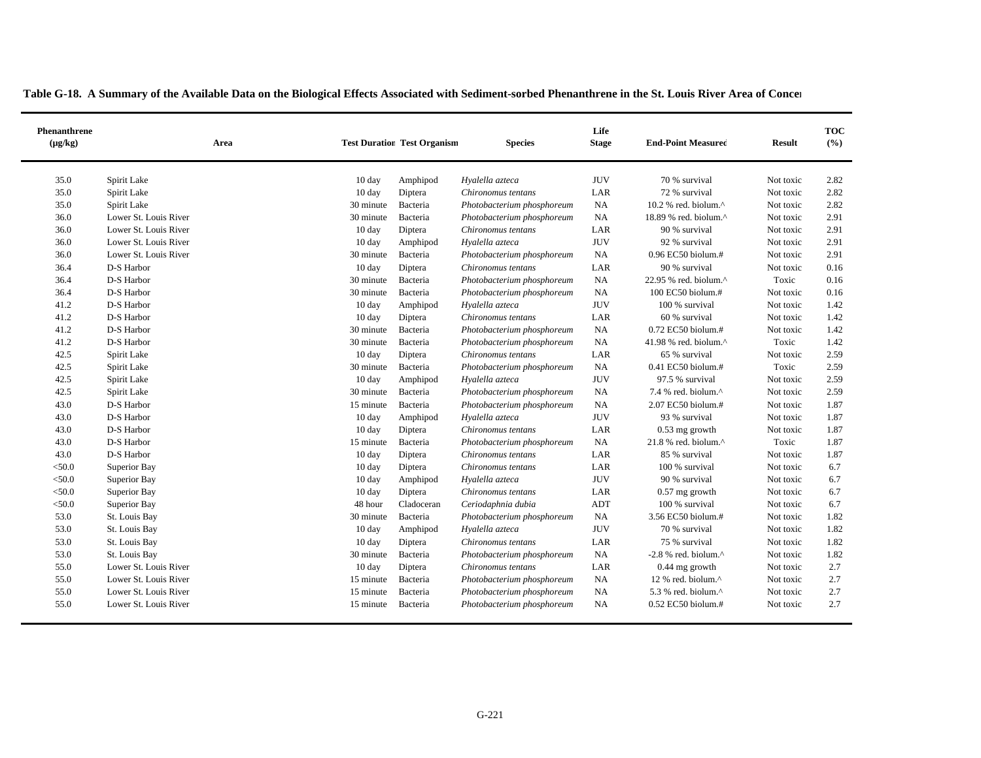| Phenanthrene<br>$(\mu g/kg)$ | Area                  | <b>Test Duration Test Organism</b> |            | <b>Species</b>             | Life<br><b>Stage</b> | <b>End-Point Measured</b>        | <b>Result</b> | <b>TOC</b><br>(%) |
|------------------------------|-----------------------|------------------------------------|------------|----------------------------|----------------------|----------------------------------|---------------|-------------------|
| 35.0                         | Spirit Lake           | 10 day                             | Amphipod   | Hyalella azteca            | <b>JUV</b>           | 70 % survival                    | Not toxic     | 2.82              |
| 35.0                         | Spirit Lake           | $10 \text{ day}$                   | Diptera    | Chironomus tentans         | LAR                  | 72 % survival                    | Not toxic     | 2.82              |
| 35.0                         | Spirit Lake           | 30 minute                          | Bacteria   | Photobacterium phosphoreum | NA                   | 10.2 % red. biolum.^             | Not toxic     | 2.82              |
| 36.0                         | Lower St. Louis River | 30 minute                          | Bacteria   | Photobacterium phosphoreum | NA                   | 18.89 % red. biolum.^            | Not toxic     | 2.91              |
| 36.0                         | Lower St. Louis River | $10 \text{ day}$                   | Diptera    | Chironomus tentans         | LAR                  | 90 % survival                    | Not toxic     | 2.91              |
| 36.0                         | Lower St. Louis River | 10 day                             | Amphipod   | Hyalella azteca            | <b>JUV</b>           | 92 % survival                    | Not toxic     | 2.91              |
| 36.0                         | Lower St. Louis River | 30 minute                          | Bacteria   | Photobacterium phosphoreum | NA                   | 0.96 EC50 biolum.#               | Not toxic     | 2.91              |
| 36.4                         | D-S Harbor            | $10 \text{ day}$                   | Diptera    | Chironomus tentans         | LAR                  | 90 % survival                    | Not toxic     | 0.16              |
| 36.4                         | D-S Harbor            | 30 minute                          | Bacteria   | Photobacterium phosphoreum | NA                   | 22.95 % red. biolum.^            | Toxic         | 0.16              |
| 36.4                         | D-S Harbor            | 30 minute                          | Bacteria   | Photobacterium phosphoreum | NA                   | 100 EC50 biolum.#                | Not toxic     | 0.16              |
| 41.2                         | D-S Harbor            | 10 day                             | Amphipod   | Hyalella azteca            | <b>JUV</b>           | 100 % survival                   | Not toxic     | 1.42              |
| 41.2                         | D-S Harbor            | 10 day                             | Diptera    | Chironomus tentans         | LAR                  | 60 % survival                    | Not toxic     | 1.42              |
| 41.2                         | D-S Harbor            | 30 minute                          | Bacteria   | Photobacterium phosphoreum | NA                   | 0.72 EC50 biolum.#               | Not toxic     | 1.42              |
| 41.2                         | D-S Harbor            | 30 minute                          | Bacteria   | Photobacterium phosphoreum | NA                   | 41.98 % red. biolum. $^{\wedge}$ | Toxic         | 1.42              |
| 42.5                         | Spirit Lake           | $10 \text{ day}$                   | Diptera    | Chironomus tentans         | LAR                  | 65 % survival                    | Not toxic     | 2.59              |
| 42.5                         | Spirit Lake           | 30 minute                          | Bacteria   | Photobacterium phosphoreum | NA                   | 0.41 EC50 biolum.#               | Toxic         | 2.59              |
| 42.5                         | Spirit Lake           | 10 day                             | Amphipod   | Hyalella azteca            | <b>JUV</b>           | 97.5 % survival                  | Not toxic     | 2.59              |
| 42.5                         | Spirit Lake           | 30 minute                          | Bacteria   | Photobacterium phosphoreum | NA                   | 7.4 % red. biolum. $^{\wedge}$   | Not toxic     | 2.59              |
| 43.0                         | D-S Harbor            | 15 minute                          | Bacteria   | Photobacterium phosphoreum | <b>NA</b>            | 2.07 EC50 biolum.#               | Not toxic     | 1.87              |
| 43.0                         | D-S Harbor            | 10 day                             | Amphipod   | Hyalella azteca            | <b>JUV</b>           | 93 % survival                    | Not toxic     | 1.87              |
| 43.0                         | D-S Harbor            | 10 day                             | Diptera    | Chironomus tentans         | LAR                  | $0.53$ mg growth                 | Not toxic     | 1.87              |
| 43.0                         | D-S Harbor            | 15 minute                          | Bacteria   | Photobacterium phosphoreum | NA                   | 21.8 % red. biolum.^             | Toxic         | 1.87              |
| 43.0                         | D-S Harbor            | 10 day                             | Diptera    | Chironomus tentans         | LAR                  | 85 % survival                    | Not toxic     | 1.87              |
| $<$ 50.0                     | Superior Bay          | 10 day                             | Diptera    | Chironomus tentans         | LAR                  | 100 % survival                   | Not toxic     | 6.7               |
| $<$ 50.0                     | Superior Bay          | 10 day                             | Amphipod   | Hyalella azteca            | <b>JUV</b>           | 90 % survival                    | Not toxic     | 6.7               |
| $<$ 50.0                     | Superior Bay          | 10 day                             | Diptera    | Chironomus tentans         | LAR                  | $0.57$ mg growth                 | Not toxic     | 6.7               |
| $<$ 50.0                     | Superior Bay          | 48 hour                            | Cladoceran | Ceriodaphnia dubia         | <b>ADT</b>           | 100 % survival                   | Not toxic     | 6.7               |
| 53.0                         | St. Louis Bay         | 30 minute                          | Bacteria   | Photobacterium phosphoreum | NA                   | 3.56 EC50 biolum.#               | Not toxic     | 1.82              |
| 53.0                         | St. Louis Bay         | 10 day                             | Amphipod   | Hyalella azteca            | <b>JUV</b>           | 70 % survival                    | Not toxic     | 1.82              |
| 53.0                         | St. Louis Bay         | 10 day                             | Diptera    | Chironomus tentans         | LAR                  | 75 % survival                    | Not toxic     | 1.82              |
| 53.0                         | St. Louis Bay         | 30 minute                          | Bacteria   | Photobacterium phosphoreum | NA                   | -2.8 % red. biolum. $^{\wedge}$  | Not toxic     | 1.82              |
| 55.0                         | Lower St. Louis River | 10 day                             | Diptera    | Chironomus tentans         | LAR                  | 0.44 mg growth                   | Not toxic     | 2.7               |
| 55.0                         | Lower St. Louis River | 15 minute                          | Bacteria   | Photobacterium phosphoreum | NA                   | 12 % red. biolum.^               | Not toxic     | 2.7               |
| 55.0                         | Lower St. Louis River | 15 minute                          | Bacteria   | Photobacterium phosphoreum | NA                   | 5.3 % red. biolum. $^{\wedge}$   | Not toxic     | 2.7               |
| 55.0                         | Lower St. Louis River | 15 minute                          | Bacteria   | Photobacterium phosphoreum | NA                   | 0.52 EC50 biolum.#               | Not toxic     | 2.7               |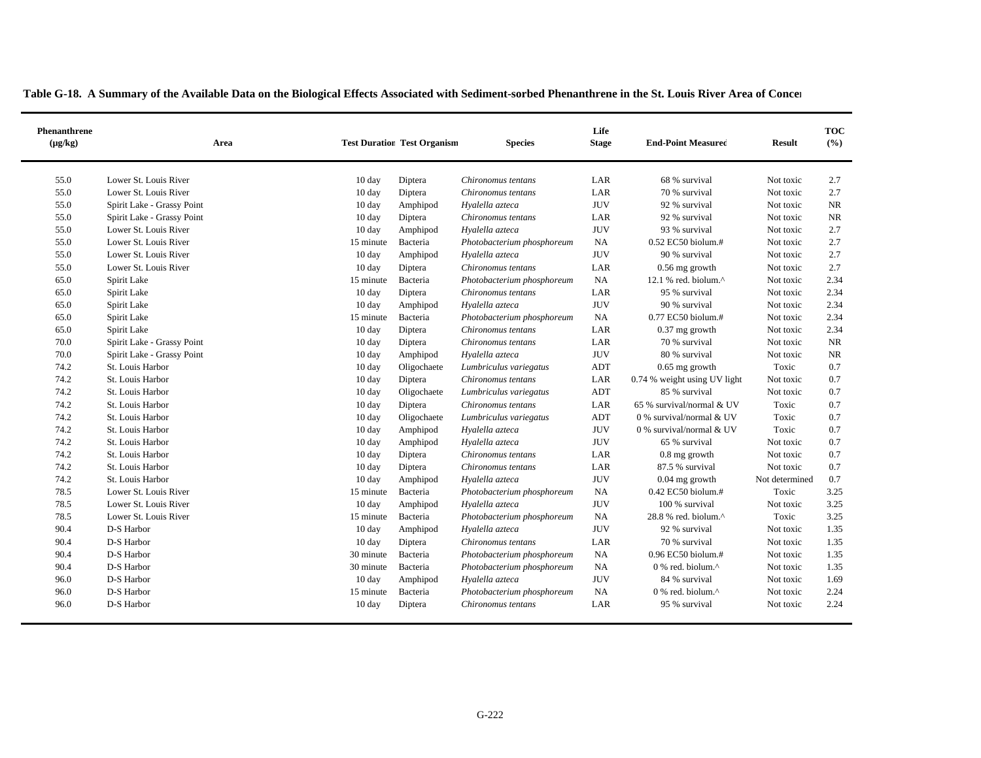|  | Table G-18. A Summary of the Available Data on the Biological Effects Associated with Sediment-sorbed Phenanthrene in the St. Louis River Area of Concer |  |  |  |  |
|--|----------------------------------------------------------------------------------------------------------------------------------------------------------|--|--|--|--|
|--|----------------------------------------------------------------------------------------------------------------------------------------------------------|--|--|--|--|

| Phenanthrene<br>$(\mu g/kg)$ | Area                       |                  | <b>Test Duration Test Organism</b> | <b>Species</b>             | Life<br><b>Stage</b> | <b>End-Point Measured</b>                         | <b>Result</b>  | <b>TOC</b><br>(%) |
|------------------------------|----------------------------|------------------|------------------------------------|----------------------------|----------------------|---------------------------------------------------|----------------|-------------------|
| 55.0                         | Lower St. Louis River      | 10 day           | Diptera                            | Chironomus tentans         | LAR                  | 68 % survival                                     | Not toxic      | 2.7               |
| 55.0                         | Lower St. Louis River      | 10 day           | Diptera                            | Chironomus tentans         | LAR                  | 70 % survival                                     | Not toxic      | 2.7               |
| 55.0                         | Spirit Lake - Grassy Point | $10 \text{ day}$ | Amphipod                           | Hyalella azteca            | <b>JUV</b>           | 92 % survival                                     | Not toxic      | <b>NR</b>         |
| 55.0                         | Spirit Lake - Grassy Point | $10 \text{ day}$ | Diptera                            | Chironomus tentans         | LAR                  | 92 % survival                                     | Not toxic      | NR                |
| 55.0                         | Lower St. Louis River      | $10 \text{ day}$ | Amphipod                           | Hyalella azteca            | <b>JUV</b>           | 93 % survival                                     | Not toxic      | 2.7               |
| 55.0                         | Lower St. Louis River      | 15 minute        | Bacteria                           | Photobacterium phosphoreum | <b>NA</b>            | 0.52 EC50 biolum.#                                | Not toxic      | 2.7               |
| 55.0                         | Lower St. Louis River      | 10 day           | Amphipod                           | Hyalella azteca            | <b>JUV</b>           | 90 % survival                                     | Not toxic      | 2.7               |
| 55.0                         | Lower St. Louis River      | $10 \text{ day}$ | Diptera                            | Chironomus tentans         | LAR                  | $0.56$ mg growth                                  | Not toxic      | 2.7               |
| 65.0                         | Spirit Lake                | 15 minute        | Bacteria                           | Photobacterium phosphoreum | NA                   | 12.1 % red. biolum.^                              | Not toxic      | 2.34              |
| 65.0                         | Spirit Lake                | 10 day           | Diptera                            | Chironomus tentans         | LAR                  | 95 % survival                                     | Not toxic      | 2.34              |
| 65.0                         | Spirit Lake                | 10 day           | Amphipod                           | Hyalella azteca            | <b>JUV</b>           | 90 % survival                                     | Not toxic      | 2.34              |
| 65.0                         | Spirit Lake                | 15 minute        | Bacteria                           | Photobacterium phosphoreum | <b>NA</b>            | $0.77$ EC50 biolum.#                              | Not toxic      | 2.34              |
| 65.0                         | Spirit Lake                | 10 day           | Diptera                            | Chironomus tentans         | LAR                  | $0.37$ mg growth                                  | Not toxic      | 2.34              |
| 70.0                         | Spirit Lake - Grassy Point | 10 day           | Diptera                            | Chironomus tentans         | LAR                  | 70 % survival                                     | Not toxic      | NR                |
| 70.0                         | Spirit Lake - Grassy Point | $10 \text{ day}$ | Amphipod                           | Hyalella azteca            | <b>JUV</b>           | 80 % survival                                     | Not toxic      | <b>NR</b>         |
| 74.2                         | St. Louis Harbor           | $10 \text{ day}$ | Oligochaete                        | Lumbriculus variegatus     | <b>ADT</b>           | $0.65$ mg growth                                  | Toxic          | 0.7               |
| 74.2                         | St. Louis Harbor           | $10 \text{ day}$ | Diptera                            | Chironomus tentans         | LAR                  | 0.74 % weight using UV light                      | Not toxic      | 0.7               |
| 74.2                         | St. Louis Harbor           | $10 \text{ day}$ | Oligochaete                        | Lumbriculus variegatus     | ADT                  | 85 % survival                                     | Not toxic      | 0.7               |
| 74.2                         | St. Louis Harbor           | $10 \text{ day}$ | Diptera                            | Chironomus tentans         | LAR                  | 65 % survival/normal & UV                         | Toxic          | 0.7               |
| 74.2                         | St. Louis Harbor           | $10 \text{ day}$ | Oligochaete                        | Lumbriculus variegatus     | ADT                  | 0 % survival/normal & UV                          | Toxic          | 0.7               |
| 74.2                         | St. Louis Harbor           | 10 day           | Amphipod                           | Hyalella azteca            | <b>JUV</b>           | 0 % survival/normal & UV                          | Toxic          | 0.7               |
| 74.2                         | St. Louis Harbor           | $10 \text{ day}$ | Amphipod                           | Hyalella azteca            | <b>JUV</b>           | 65 % survival                                     | Not toxic      | 0.7               |
| 74.2                         | St. Louis Harbor           | $10 \text{ day}$ | Diptera                            | Chironomus tentans         | LAR                  | 0.8 mg growth                                     | Not toxic      | 0.7               |
| 74.2                         | St. Louis Harbor           | 10 day           | Diptera                            | Chironomus tentans         | LAR                  | 87.5 % survival                                   | Not toxic      | 0.7               |
| 74.2                         | St. Louis Harbor           | $10 \text{ day}$ | Amphipod                           | Hyalella azteca            | <b>JUV</b>           | $0.04$ mg growth                                  | Not determined | 0.7               |
| 78.5                         | Lower St. Louis River      | 15 minute        | Bacteria                           | Photobacterium phosphoreum | <b>NA</b>            | 0.42 EC50 biolum.#                                | Toxic          | 3.25              |
| 78.5                         | Lower St. Louis River      | $10 \text{ day}$ | Amphipod                           | Hyalella azteca            | <b>JUV</b>           | 100 % survival                                    | Not toxic      | 3.25              |
| 78.5                         | Lower St. Louis River      | 15 minute        | Bacteria                           | Photobacterium phosphoreum | NA                   | 28.8 % red. biolum.^                              | Toxic          | 3.25              |
| 90.4                         | D-S Harbor                 | $10 \text{ day}$ | Amphipod                           | Hyalella azteca            | <b>JUV</b>           | 92 % survival                                     | Not toxic      | 1.35              |
| 90.4                         | D-S Harbor                 | $10 \text{ day}$ | Diptera                            | Chironomus tentans         | LAR                  | 70 % survival                                     | Not toxic      | 1.35              |
| 90.4                         | D-S Harbor                 | 30 minute        | Bacteria                           | Photobacterium phosphoreum | <b>NA</b>            | 0.96 EC50 biolum.#                                | Not toxic      | 1.35              |
| 90.4                         | D-S Harbor                 | 30 minute        | Bacteria                           | Photobacterium phosphoreum | NA                   | $0\%$ red. biolum. <sup><math>\wedge</math></sup> | Not toxic      | 1.35              |
| 96.0                         | D-S Harbor                 | 10 day           | Amphipod                           | Hyalella azteca            | <b>JUV</b>           | 84 % survival                                     | Not toxic      | 1.69              |
| 96.0                         | D-S Harbor                 | 15 minute        | Bacteria                           | Photobacterium phosphoreum | <b>NA</b>            | $0\%$ red. biolum. $\land$                        | Not toxic      | 2.24              |
| 96.0                         | D-S Harbor                 | $10 \text{ day}$ | Diptera                            | Chironomus tentans         | LAR                  | 95 % survival                                     | Not toxic      | 2.24              |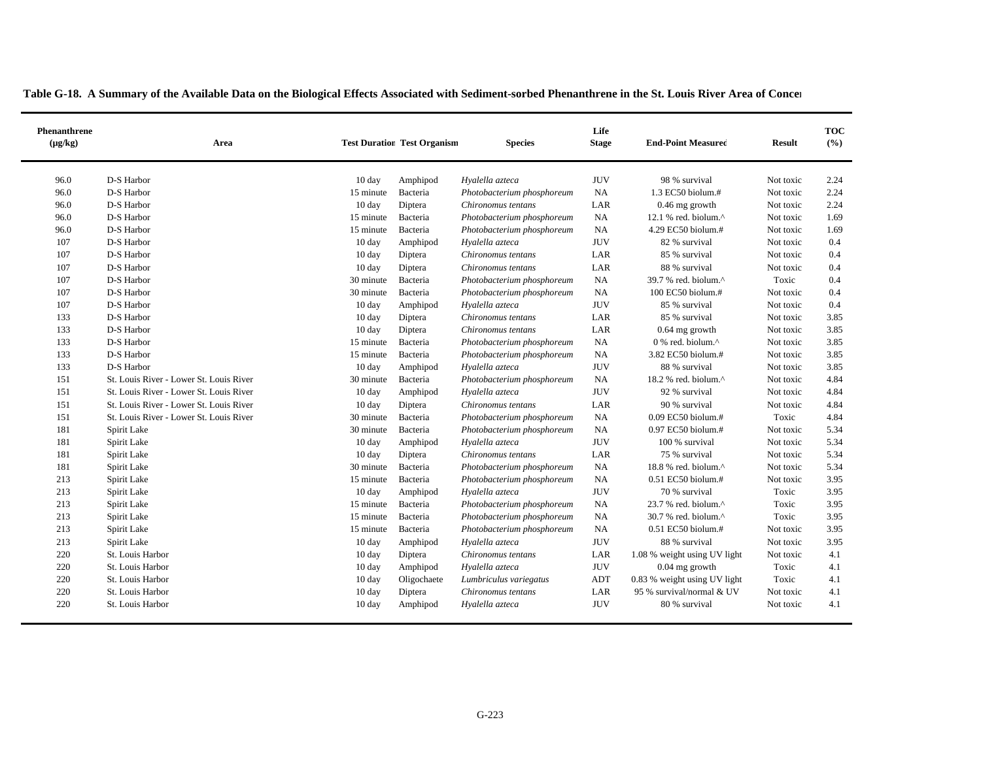| Phenanthrene<br>$(\mu g/kg)$ | Area                                    |                  | <b>Test Duration Test Organism</b> | <b>Species</b>             | Life<br><b>Stage</b> | <b>End-Point Measured</b>                           | <b>Result</b> | <b>TOC</b><br>(%) |
|------------------------------|-----------------------------------------|------------------|------------------------------------|----------------------------|----------------------|-----------------------------------------------------|---------------|-------------------|
| 96.0                         | D-S Harbor                              | $10 \text{ day}$ | Amphipod                           | Hyalella azteca            | <b>JUV</b>           | 98 % survival                                       | Not toxic     | 2.24              |
| 96.0                         | D-S Harbor                              | 15 minute        | Bacteria                           | Photobacterium phosphoreum | <b>NA</b>            | 1.3 EC50 biolum.#                                   | Not toxic     | 2.24              |
| 96.0                         | D-S Harbor                              | $10 \text{ day}$ | Diptera                            | Chironomus tentans         | LAR                  | $0.46$ mg growth                                    | Not toxic     | 2.24              |
| 96.0                         | D-S Harbor                              | 15 minute        | Bacteria                           | Photobacterium phosphoreum | <b>NA</b>            | 12.1 % red. biolum. $^{\wedge}$                     | Not toxic     | 1.69              |
| 96.0                         | D-S Harbor                              | 15 minute        | Bacteria                           | Photobacterium phosphoreum | <b>NA</b>            | 4.29 EC50 biolum.#                                  | Not toxic     | 1.69              |
| 107                          | D-S Harbor                              | $10 \text{ day}$ | Amphipod                           | Hyalella azteca            | <b>JUV</b>           | 82 % survival                                       | Not toxic     | 0.4               |
| 107                          | D-S Harbor                              | 10 day           | Diptera                            | Chironomus tentans         | LAR                  | 85 % survival                                       | Not toxic     | 0.4               |
| 107                          | D-S Harbor                              | 10 day           | Diptera                            | Chironomus tentans         | LAR                  | 88 % survival                                       | Not toxic     | 0.4               |
| 107                          | D-S Harbor                              | 30 minute        | Bacteria                           | Photobacterium phosphoreum | NA                   | 39.7 % red. biolum.^                                | Toxic         | 0.4               |
| 107                          | D-S Harbor                              | 30 minute        | Bacteria                           | Photobacterium phosphoreum | NA                   | 100 EC50 biolum.#                                   | Not toxic     | 0.4               |
| 107                          | D-S Harbor                              | 10 day           | Amphipod                           | Hyalella azteca            | <b>JUV</b>           | 85 % survival                                       | Not toxic     | 0.4               |
| 133                          | D-S Harbor                              | 10 day           | Diptera                            | Chironomus tentans         | LAR                  | 85 % survival                                       | Not toxic     | 3.85              |
| 133                          | D-S Harbor                              | 10 day           | Diptera                            | Chironomus tentans         | LAR                  | $0.64$ mg growth                                    | Not toxic     | 3.85              |
| 133                          | D-S Harbor                              | 15 minute        | Bacteria                           | Photobacterium phosphoreum | NA                   | 0 % red. biolum.^                                   | Not toxic     | 3.85              |
| 133                          | D-S Harbor                              | 15 minute        | Bacteria                           | Photobacterium phosphoreum | <b>NA</b>            | 3.82 EC50 biolum.#                                  | Not toxic     | 3.85              |
| 133                          | D-S Harbor                              | 10 day           | Amphipod                           | Hyalella azteca            | <b>JUV</b>           | 88 % survival                                       | Not toxic     | 3.85              |
| 151                          | St. Louis River - Lower St. Louis River | 30 minute        | Bacteria                           | Photobacterium phosphoreum | <b>NA</b>            | 18.2 % red. biolum.^                                | Not toxic     | 4.84              |
| 151                          | St. Louis River - Lower St. Louis River | $10 \text{ day}$ | Amphipod                           | Hyalella azteca            | <b>JUV</b>           | 92 % survival                                       | Not toxic     | 4.84              |
| 151                          | St. Louis River - Lower St. Louis River | 10 day           | Diptera                            | Chironomus tentans         | LAR                  | 90 % survival                                       | Not toxic     | 4.84              |
| 151                          | St. Louis River - Lower St. Louis River | 30 minute        | Bacteria                           | Photobacterium phosphoreum | <b>NA</b>            | $0.09$ EC50 biolum.#                                | Toxic         | 4.84              |
| 181                          | Spirit Lake                             | 30 minute        | Bacteria                           | Photobacterium phosphoreum | NA                   | 0.97 EC50 biolum.#                                  | Not toxic     | 5.34              |
| 181                          | Spirit Lake                             | 10 day           | Amphipod                           | Hyalella azteca            | <b>JUV</b>           | 100 % survival                                      | Not toxic     | 5.34              |
| 181                          | Spirit Lake                             | $10 \text{ day}$ | Diptera                            | Chironomus tentans         | LAR                  | 75 % survival                                       | Not toxic     | 5.34              |
| 181                          | Spirit Lake                             | 30 minute        | Bacteria                           | Photobacterium phosphoreum | NA                   | $18.8$ % red. biolum. <sup><math>\land</math></sup> | Not toxic     | 5.34              |
| 213                          | Spirit Lake                             | 15 minute        | Bacteria                           | Photobacterium phosphoreum | NA                   | 0.51 EC50 biolum.#                                  | Not toxic     | 3.95              |
| 213                          | Spirit Lake                             | $10 \text{ day}$ | Amphipod                           | Hyalella azteca            | <b>JUV</b>           | 70 % survival                                       | Toxic         | 3.95              |
| 213                          | Spirit Lake                             | 15 minute        | Bacteria                           | Photobacterium phosphoreum | NA                   | $23.7$ % red. biolum. $^{\wedge}$                   | Toxic         | 3.95              |
| 213                          | Spirit Lake                             | 15 minute        | Bacteria                           | Photobacterium phosphoreum | NA                   | 30.7 % red. biolum.^                                | Toxic         | 3.95              |
| 213                          | Spirit Lake                             | 15 minute        | Bacteria                           | Photobacterium phosphoreum | NA                   | 0.51 EC50 biolum.#                                  | Not toxic     | 3.95              |
| 213                          | Spirit Lake                             | 10 day           | Amphipod                           | Hyalella azteca            | <b>JUV</b>           | 88 % survival                                       | Not toxic     | 3.95              |
| 220                          | St. Louis Harbor                        | 10 day           | Diptera                            | Chironomus tentans         | LAR                  | 1.08 % weight using UV light                        | Not toxic     | 4.1               |
| 220                          | St. Louis Harbor                        | $10 \text{ day}$ | Amphipod                           | Hyalella azteca            | <b>JUV</b>           | $0.04$ mg growth                                    | Toxic         | 4.1               |
| 220                          | St. Louis Harbor                        | 10 day           | Oligochaete                        | Lumbriculus variegatus     | ADT                  | 0.83 % weight using UV light                        | Toxic         | 4.1               |
| 220                          | St. Louis Harbor                        | 10 day           | Diptera                            | Chironomus tentans         | LAR                  | 95 % survival/normal & UV                           | Not toxic     | 4.1               |
| 220                          | St. Louis Harbor                        | 10 day           | Amphipod                           | Hyalella azteca            | <b>JUV</b>           | 80 % survival                                       | Not toxic     | 4.1               |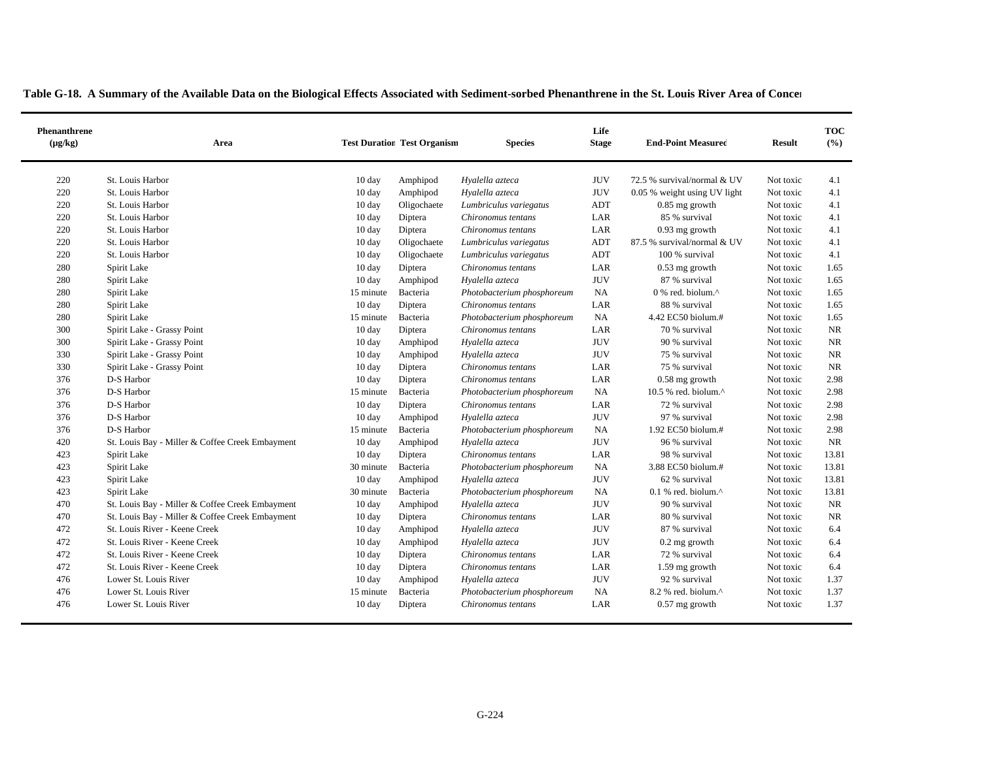| <b>Phenanthrene</b><br>$(\mu g/kg)$ |                  | Area |                  | <b>Test Duration Test Organism</b> | <b>Species</b>             | Life<br><b>Stage</b> | <b>End-Point Measured</b>    | <b>Result</b> | <b>TOC</b><br>(%) |
|-------------------------------------|------------------|------|------------------|------------------------------------|----------------------------|----------------------|------------------------------|---------------|-------------------|
| 220                                 | St. Louis Harbor |      | $10 \text{ day}$ | Amphipod                           | Hyalella azteca            | <b>JUV</b>           | 72.5 % survival/normal & UV  | Not toxic     | 4.1               |
| 220                                 | St. Louis Harbor |      | 10 day           | Amphipod                           | Hyalella azteca            | <b>JUV</b>           | 0.05 % weight using UV light | Not toxic     | 4.1               |
| 220                                 | St. Louis Harbor |      | $10 \text{ day}$ | Oligochaete                        | Lumbriculus variegatus     | ADT                  | $0.85$ mg growth             | Not toxic     | 4.1               |
| 220                                 | St. Louis Harbor |      | $10 \text{ day}$ | Diptera                            | Chironomus tentans         | LAR                  | 85 % survival                | Not toxic     | 4.1               |
| 220                                 | St. Louis Harbor |      | $10 \text{ day}$ | Diptera                            | Chironomus tentans         | LAR                  | $0.93$ mg growth             | Not toxic     | 4.1               |
| 220                                 | St. Louis Harbor |      | $10 \text{ day}$ | Oligochaete                        | Lumbriculus variegatus     | ADT                  | 87.5 % survival/normal & UV  | Not toxic     | 4.1               |
| 220                                 | St. Louis Harbor |      | $10 \text{ day}$ | Oligochaete                        | Lumbriculus variegatus     | ADT                  | 100 % survival               | Not toxic     | 4.1               |
| 280                                 | Spirit Lake      |      | $10 \text{ day}$ | Diptera                            | Chironomus tentans         | LAR                  | $0.53$ mg growth             | Not toxic     | 1.65              |
| 280                                 | Spirit Lake      |      | $10 \text{ day}$ | Amphipod                           | Hyalella azteca            | <b>JUV</b>           | 87 % survival                | Not toxic     | 1.65              |
| 280                                 | Spirit Lake      |      | 15 minute -      | <b>Racteria</b>                    | Photobacterium phosphoreum | <b>NA</b>            | $0\%$ red biolum $\wedge$    | Not toxic     | 1.65              |

| 220 | St. Louis Harbor                                | $10 \text{ day}$ | Diptera     | Chironomus tentans         | LAR        | 85 % survival                                     | Not toxic | 4.1       |
|-----|-------------------------------------------------|------------------|-------------|----------------------------|------------|---------------------------------------------------|-----------|-----------|
| 220 | St. Louis Harbor                                | $10 \text{ day}$ | Diptera     | Chironomus tentans         | LAR        | 0.93 mg growth                                    | Not toxic | 4.1       |
| 220 | St. Louis Harbor                                | $10 \text{ day}$ | Oligochaete | Lumbriculus variegatus     | <b>ADT</b> | 87.5 % survival/normal & UV                       | Not toxic | 4.1       |
| 220 | St. Louis Harbor                                | $10 \text{ day}$ | Oligochaete | Lumbriculus variegatus     | ADT        | 100 % survival                                    | Not toxic | 4.1       |
| 280 | Spirit Lake                                     | 10 day           | Diptera     | Chironomus tentans         | LAR        | $0.53$ mg growth                                  | Not toxic | 1.65      |
| 280 | Spirit Lake                                     | $10 \text{ day}$ | Amphipod    | Hyalella azteca            | <b>JUV</b> | 87 % survival                                     | Not toxic | 1.65      |
| 280 | Spirit Lake                                     | 15 minute        | Bacteria    | Photobacterium phosphoreum | <b>NA</b>  | $0\%$ red. biolum. <sup><math>\wedge</math></sup> | Not toxic | 1.65      |
| 280 | Spirit Lake                                     | 10 day           | Diptera     | Chironomus tentans         | LAR        | 88 % survival                                     | Not toxic | 1.65      |
| 280 | Spirit Lake                                     | 15 minute        | Bacteria    | Photobacterium phosphoreum | NA         | 4.42 EC50 biolum.#                                | Not toxic | 1.65      |
| 300 | Spirit Lake - Grassy Point                      | $10 \text{ day}$ | Diptera     | Chironomus tentans         | LAR        | 70 % survival                                     | Not toxic | NR        |
| 300 | Spirit Lake - Grassy Point                      | 10 day           | Amphipod    | Hyalella azteca            | <b>JUV</b> | 90 % survival                                     | Not toxic | <b>NR</b> |
| 330 | Spirit Lake - Grassy Point                      | $10 \text{ day}$ | Amphipod    | Hyalella azteca            | <b>JUV</b> | 75 % survival                                     | Not toxic | <b>NR</b> |
| 330 | Spirit Lake - Grassy Point                      | $10 \text{ day}$ | Diptera     | Chironomus tentans         | LAR        | 75 % survival                                     | Not toxic | <b>NR</b> |
| 376 | D-S Harbor                                      | $10 \text{ day}$ | Diptera     | Chironomus tentans         | LAR        | $0.58$ mg growth                                  | Not toxic | 2.98      |
| 376 | D-S Harbor                                      | 15 minute        | Bacteria    | Photobacterium phosphoreum | <b>NA</b>  | 10.5 % red. biolum. $^{\wedge}$                   | Not toxic | 2.98      |
| 376 | D-S Harbor                                      | 10 day           | Diptera     | Chironomus tentans         | LAR        | 72 % survival                                     | Not toxic | 2.98      |
| 376 | D-S Harbor                                      | 10 day           | Amphipod    | Hyalella azteca            | <b>JUV</b> | 97 % survival                                     | Not toxic | 2.98      |
| 376 | D-S Harbor                                      | 15 minute        | Bacteria    | Photobacterium phosphoreum | <b>NA</b>  | 1.92 EC50 biolum.#                                | Not toxic | 2.98      |
| 420 | St. Louis Bay - Miller & Coffee Creek Embayment | 10 day           | Amphipod    | Hyalella azteca            | <b>JUV</b> | 96 % survival                                     | Not toxic | NR        |
| 423 | Spirit Lake                                     | $10 \text{ day}$ | Diptera     | Chironomus tentans         | LAR        | 98 % survival                                     | Not toxic | 13.81     |
| 423 | Spirit Lake                                     | 30 minute        | Bacteria    | Photobacterium phosphoreum | NA         | 3.88 EC50 biolum.#                                | Not toxic | 13.81     |
| 423 | Spirit Lake                                     | 10 day           | Amphipod    | Hyalella azteca            | <b>JUV</b> | 62 % survival                                     | Not toxic | 13.81     |
| 423 | Spirit Lake                                     | 30 minute        | Bacteria    | Photobacterium phosphoreum | <b>NA</b>  | $0.1$ % red. biolum. $^{\wedge}$                  | Not toxic | 13.81     |
| 470 | St. Louis Bay - Miller & Coffee Creek Embayment | $10 \text{ day}$ | Amphipod    | Hyalella azteca            | <b>JUV</b> | 90 % survival                                     | Not toxic | NR        |
| 470 | St. Louis Bay - Miller & Coffee Creek Embayment | $10 \text{ day}$ | Diptera     | Chironomus tentans         | LAR        | 80 % survival                                     | Not toxic | NR        |
| 472 | St. Louis River - Keene Creek                   | $10 \text{ day}$ | Amphipod    | Hyalella azteca            | <b>JUV</b> | 87 % survival                                     | Not toxic | 6.4       |
| 472 | St. Louis River - Keene Creek                   | $10 \text{ day}$ | Amphipod    | Hyalella azteca            | <b>JUV</b> | $0.2 \text{ mg}$ growth                           | Not toxic | 6.4       |
| 472 | St. Louis River - Keene Creek                   | $10 \text{ day}$ | Diptera     | Chironomus tentans         | LAR        | 72 % survival                                     | Not toxic | 6.4       |
| 472 | St. Louis River - Keene Creek                   | 10 day           | Diptera     | Chironomus tentans         | LAR        | 1.59 mg growth                                    | Not toxic | 6.4       |
| 476 | Lower St. Louis River                           | 10 day           | Amphipod    | Hyalella azteca            | <b>JUV</b> | 92 % survival                                     | Not toxic | 1.37      |
| 476 | Lower St. Louis River                           | 15 minute        | Bacteria    | Photobacterium phosphoreum | <b>NA</b>  | $8.2$ % red. biolum. $^{\wedge}$                  | Not toxic | 1.37      |
| 476 | Lower St. Louis River                           | 10 day           | Diptera     | Chironomus tentans         | LAR        | $0.57$ mg growth                                  | Not toxic | 1.37      |
|     |                                                 |                  |             |                            |            |                                                   |           |           |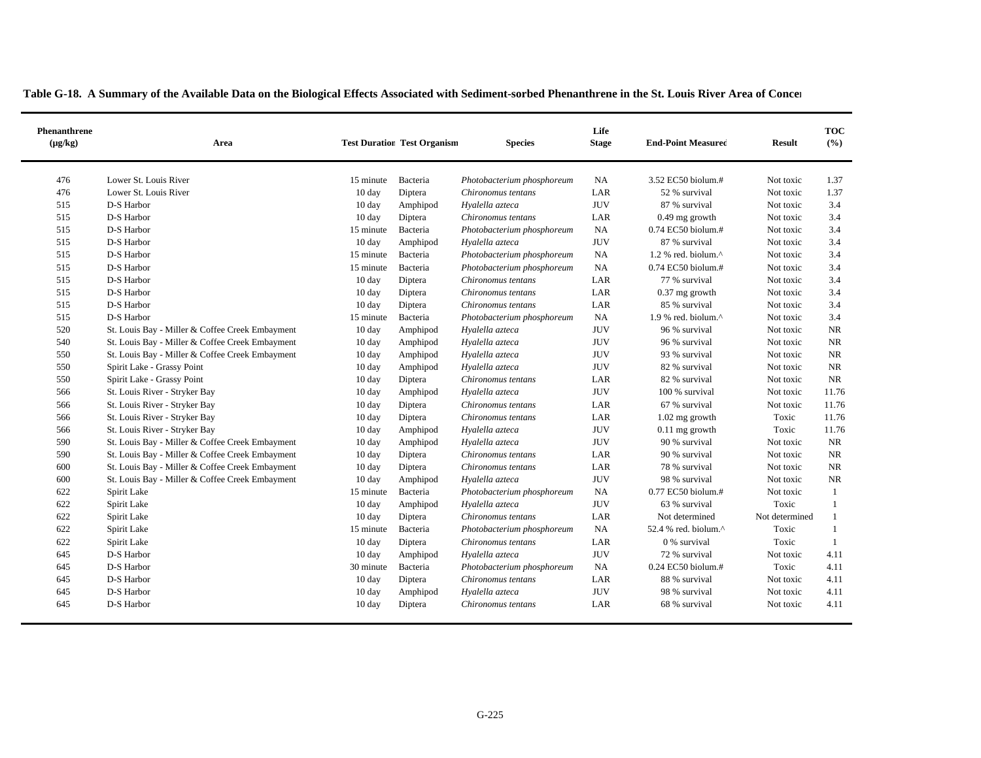| <b>Phenanthrene</b><br>$(\mu g/kg)$ | Area                                            |                  | <b>Test Duration Test Organism</b> | <b>Species</b>             | Life<br><b>Stage</b> | <b>End-Point Measured</b>        | <b>Result</b>  | <b>TOC</b><br>(%) |
|-------------------------------------|-------------------------------------------------|------------------|------------------------------------|----------------------------|----------------------|----------------------------------|----------------|-------------------|
| 476                                 | Lower St. Louis River                           | 15 minute        | Bacteria                           | Photobacterium phosphoreum | NA                   | 3.52 EC50 biolum.#               | Not toxic      | 1.37              |
| 476                                 | Lower St. Louis River                           | 10 day           | Diptera                            | Chironomus tentans         | LAR                  | 52 % survival                    | Not toxic      | 1.37              |
| 515                                 | D-S Harbor                                      | 10 day           | Amphipod                           | Hyalella azteca            | <b>JUV</b>           | 87 % survival                    | Not toxic      | 3.4               |
| 515                                 | D-S Harbor                                      | 10 day           | Diptera                            | Chironomus tentans         | LAR                  | $0.49$ mg growth                 | Not toxic      | 3.4               |
| 515                                 | D-S Harbor                                      | 15 minute        | Bacteria                           | Photobacterium phosphoreum | NA                   | 0.74 EC50 biolum.#               | Not toxic      | 3.4               |
| 515                                 | D-S Harbor                                      | 10 day           | Amphipod                           | Hyalella azteca            | <b>JUV</b>           | 87 % survival                    | Not toxic      | 3.4               |
| 515                                 | D-S Harbor                                      | 15 minute        | Bacteria                           | Photobacterium phosphoreum | NA                   | $1.2$ % red. biolum. $^{\wedge}$ | Not toxic      | 3.4               |
| 515                                 | D-S Harbor                                      | 15 minute        | Bacteria                           | Photobacterium phosphoreum | NA                   | 0.74 EC50 biolum.#               | Not toxic      | 3.4               |
| 515                                 | D-S Harbor                                      | 10 day           | Diptera                            | Chironomus tentans         | LAR                  | 77 % survival                    | Not toxic      | 3.4               |
| 515                                 | D-S Harbor                                      | 10 day           | Diptera                            | Chironomus tentans         | LAR                  | $0.37$ mg growth                 | Not toxic      | 3.4               |
| 515                                 | D-S Harbor                                      | 10 day           | Diptera                            | Chironomus tentans         | LAR                  | 85 % survival                    | Not toxic      | 3.4               |
| 515                                 | D-S Harbor                                      | 15 minute        | Bacteria                           | Photobacterium phosphoreum | NA                   | 1.9 % red. biolum.^              | Not toxic      | 3.4               |
| 520                                 | St. Louis Bay - Miller & Coffee Creek Embayment | $10 \text{ day}$ | Amphipod                           | Hyalella azteca            | <b>JUV</b>           | 96 % survival                    | Not toxic      | NR                |
| 540                                 | St. Louis Bay - Miller & Coffee Creek Embayment | 10 day           | Amphipod                           | Hyalella azteca            | <b>JUV</b>           | 96 % survival                    | Not toxic      | <b>NR</b>         |
| 550                                 | St. Louis Bay - Miller & Coffee Creek Embayment | 10 day           | Amphipod                           | Hyalella azteca            | <b>JUV</b>           | 93 % survival                    | Not toxic      | <b>NR</b>         |
| 550                                 | Spirit Lake - Grassy Point                      | 10 day           | Amphipod                           | Hyalella azteca            | <b>JUV</b>           | 82 % survival                    | Not toxic      | <b>NR</b>         |
| 550                                 | Spirit Lake - Grassy Point                      | 10 day           | Diptera                            | Chironomus tentans         | LAR                  | 82 % survival                    | Not toxic      | NR                |
| 566                                 | St. Louis River - Stryker Bay                   | 10 day           | Amphipod                           | Hyalella azteca            | <b>JUV</b>           | 100 % survival                   | Not toxic      | 11.76             |
| 566                                 | St. Louis River - Stryker Bay                   | 10 day           | Diptera                            | Chironomus tentans         | LAR                  | 67 % survival                    | Not toxic      | 11.76             |
| 566                                 | St. Louis River - Stryker Bay                   | 10 day           | Diptera                            | Chironomus tentans         | LAR                  | $1.02$ mg growth                 | Toxic          | 11.76             |
| 566                                 | St. Louis River - Stryker Bay                   | 10 day           | Amphipod                           | Hyalella azteca            | <b>JUV</b>           | $0.11$ mg growth                 | Toxic          | 11.76             |
| 590                                 | St. Louis Bay - Miller & Coffee Creek Embayment | 10 day           | Amphipod                           | Hyalella azteca            | <b>JUV</b>           | 90 % survival                    | Not toxic      | <b>NR</b>         |
| 590                                 | St. Louis Bay - Miller & Coffee Creek Embayment | 10 day           | Diptera                            | Chironomus tentans         | LAR                  | 90 % survival                    | Not toxic      | <b>NR</b>         |
| 600                                 | St. Louis Bay - Miller & Coffee Creek Embayment | 10 day           | Diptera                            | Chironomus tentans         | LAR                  | 78 % survival                    | Not toxic      | $\rm NR$          |
| 600                                 | St. Louis Bay - Miller & Coffee Creek Embayment | $10 \text{ day}$ | Amphipod                           | Hyalella azteca            | <b>JUV</b>           | 98 % survival                    | Not toxic      | <b>NR</b>         |
| 622                                 | Spirit Lake                                     | 15 minute        | Bacteria                           | Photobacterium phosphoreum | NA                   | 0.77 EC50 biolum.#               | Not toxic      | -1                |
| 622                                 | Spirit Lake                                     | 10 day           | Amphipod                           | Hyalella azteca            | <b>JUV</b>           | 63 % survival                    | Toxic          | $\overline{1}$    |
| 622                                 | Spirit Lake                                     | 10 day           | Diptera                            | Chironomus tentans         | LAR                  | Not determined                   | Not determined |                   |
| 622                                 | Spirit Lake                                     | 15 minute        | Bacteria                           | Photobacterium phosphoreum | <b>NA</b>            | 52.4 % red. biolum. $^{\wedge}$  | Toxic          | -1                |
| 622                                 | Spirit Lake                                     | 10 day           | Diptera                            | Chironomus tentans         | LAR                  | 0 % survival                     | Toxic          | -1                |
| 645                                 | D-S Harbor                                      | 10 day           | Amphipod                           | Hyalella azteca            | <b>JUV</b>           | 72 % survival                    | Not toxic      | 4.11              |
| 645                                 | D-S Harbor                                      | 30 minute        | Bacteria                           | Photobacterium phosphoreum | NA                   | 0.24 EC50 biolum.#               | Toxic          | 4.11              |
| 645                                 | D-S Harbor                                      | 10 day           | Diptera                            | Chironomus tentans         | LAR                  | 88 % survival                    | Not toxic      | 4.11              |
| 645                                 | D-S Harbor                                      | 10 day           | Amphipod                           | Hyalella azteca            | <b>JUV</b>           | 98 % survival                    | Not toxic      | 4.11              |
| 645                                 | D-S Harbor                                      | 10 day           | Diptera                            | Chironomus tentans         | LAR                  | 68 % survival                    | Not toxic      | 4.11              |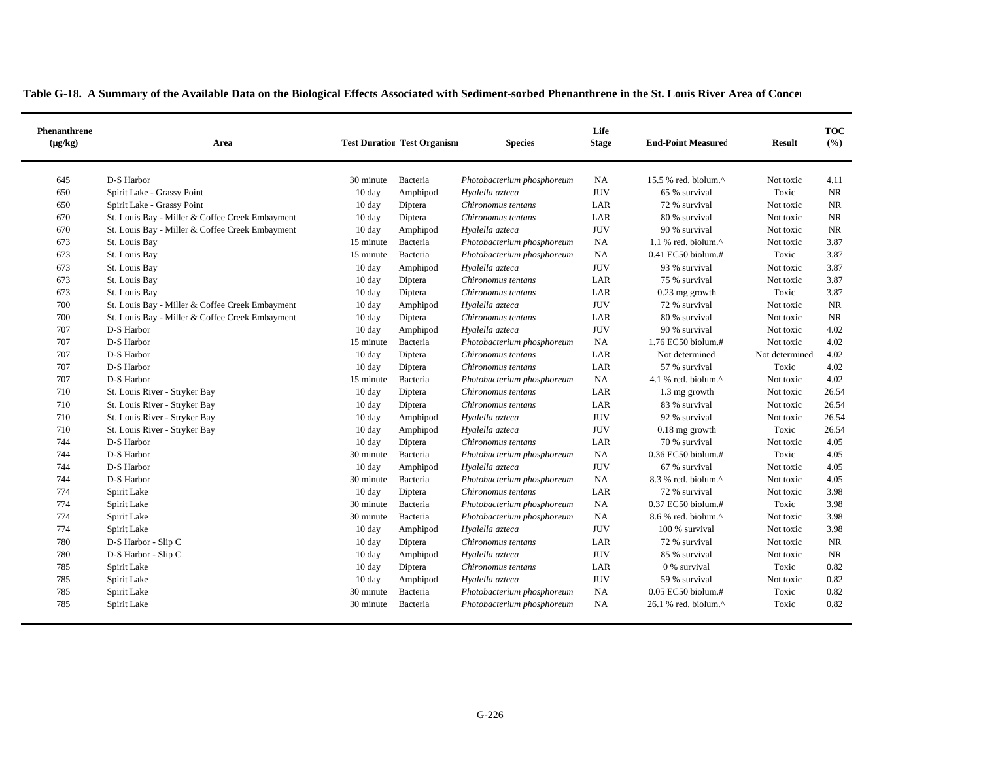| <b>Phenanthrene</b><br>$(\mu g/kg)$ | Area                                            |                  | <b>Test Duration Test Organism</b> | <b>Species</b>             | Life<br><b>Stage</b> | <b>End-Point Measured</b>                            | <b>Result</b>  | <b>TOC</b><br>(%) |
|-------------------------------------|-------------------------------------------------|------------------|------------------------------------|----------------------------|----------------------|------------------------------------------------------|----------------|-------------------|
| 645                                 | D-S Harbor                                      | 30 minute        | Bacteria                           | Photobacterium phosphoreum | <b>NA</b>            | 15.5 % red. biolum. $^{\wedge}$                      | Not toxic      | 4.11              |
| 650                                 | Spirit Lake - Grassy Point                      | 10 day           | Amphipod                           | Hyalella azteca            | <b>JUV</b>           | 65 % survival                                        | Toxic          | NR                |
| 650                                 | Spirit Lake - Grassy Point                      | 10 day           | Diptera                            | Chironomus tentans         | LAR                  | 72 % survival                                        | Not toxic      | NR                |
| 670                                 | St. Louis Bay - Miller & Coffee Creek Embayment | 10 day           | Diptera                            | Chironomus tentans         | LAR                  | 80 % survival                                        | Not toxic      | <b>NR</b>         |
| 670                                 | St. Louis Bay - Miller & Coffee Creek Embayment | 10 day           | Amphipod                           | Hyalella azteca            | <b>JUV</b>           | 90 % survival                                        | Not toxic      | <b>NR</b>         |
| 673                                 | St. Louis Bay                                   | 15 minute        | Bacteria                           | Photobacterium phosphoreum | NA                   | 1.1 % red. biolum. $^{\wedge}$                       | Not toxic      | 3.87              |
| 673                                 | St. Louis Bay                                   | 15 minute        | Bacteria                           | Photobacterium phosphoreum | <b>NA</b>            | $0.41$ EC50 biolum.#                                 | Toxic          | 3.87              |
| 673                                 | St. Louis Bay                                   | 10 day           | Amphipod                           | Hyalella azteca            | <b>JUV</b>           | 93 % survival                                        | Not toxic      | 3.87              |
| 673                                 | St. Louis Bay                                   | 10 day           | Diptera                            | Chironomus tentans         | LAR                  | 75 % survival                                        | Not toxic      | 3.87              |
| 673                                 | St. Louis Bay                                   | 10 day           | Diptera                            | Chironomus tentans         | LAR                  | $0.23$ mg growth                                     | Toxic          | 3.87              |
| 700                                 | St. Louis Bay - Miller & Coffee Creek Embayment | 10 day           | Amphipod                           | Hyalella azteca            | <b>JUV</b>           | 72 % survival                                        | Not toxic      | <b>NR</b>         |
| 700                                 | St. Louis Bay - Miller & Coffee Creek Embayment | 10 day           | Diptera                            | Chironomus tentans         | LAR                  | 80 % survival                                        | Not toxic      | NR                |
| 707                                 | D-S Harbor                                      | $10 \text{ day}$ | Amphipod                           | Hyalella azteca            | <b>JUV</b>           | 90 % survival                                        | Not toxic      | 4.02              |
| 707                                 | D-S Harbor                                      | 15 minute        | Bacteria                           | Photobacterium phosphoreum | <b>NA</b>            | 1.76 EC50 biolum.#                                   | Not toxic      | 4.02              |
| 707                                 | D-S Harbor                                      | 10 day           | Diptera                            | Chironomus tentans         | LAR                  | Not determined                                       | Not determined | 4.02              |
| 707                                 | D-S Harbor                                      | 10 day           | Diptera                            | Chironomus tentans         | LAR                  | 57 % survival                                        | Toxic          | 4.02              |
| 707                                 | D-S Harbor                                      | 15 minute        | Bacteria                           | Photobacterium phosphoreum | NA                   | 4.1 % red. biolum. $^{\wedge}$                       | Not toxic      | 4.02              |
| 710                                 | St. Louis River - Stryker Bay                   | 10 day           | Diptera                            | Chironomus tentans         | LAR                  | 1.3 mg growth                                        | Not toxic      | 26.54             |
| 710                                 | St. Louis River - Stryker Bay                   | 10 day           | Diptera                            | Chironomus tentans         | LAR                  | 83 % survival                                        | Not toxic      | 26.54             |
| 710                                 | St. Louis River - Stryker Bay                   | $10 \text{ day}$ | Amphipod                           | Hyalella azteca            | <b>JUV</b>           | 92 % survival                                        | Not toxic      | 26.54             |
| 710                                 | St. Louis River - Stryker Bay                   | 10 day           | Amphipod                           | Hyalella azteca            | <b>JUV</b>           | $0.18$ mg growth                                     | Toxic          | 26.54             |
| 744                                 | D-S Harbor                                      | 10 day           | Diptera                            | Chironomus tentans         | LAR                  | 70 % survival                                        | Not toxic      | 4.05              |
| 744                                 | D-S Harbor                                      | 30 minute        | Bacteria                           | Photobacterium phosphoreum | NA                   | 0.36 EC50 biolum.#                                   | Toxic          | 4.05              |
| 744                                 | D-S Harbor                                      | 10 day           | Amphipod                           | Hyalella azteca            | <b>JUV</b>           | 67 % survival                                        | Not toxic      | 4.05              |
| 744                                 | D-S Harbor                                      | 30 minute        | Bacteria                           | Photobacterium phosphoreum | NA                   | 8.3 % red. biolum.^                                  | Not toxic      | 4.05              |
| 774                                 | Spirit Lake                                     | $10 \text{ day}$ | Diptera                            | Chironomus tentans         | LAR                  | 72 % survival                                        | Not toxic      | 3.98              |
| 774                                 | Spirit Lake                                     | 30 minute        | Bacteria                           | Photobacterium phosphoreum | NA                   | 0.37 EC50 biolum.#                                   | Toxic          | 3.98              |
| 774                                 | Spirit Lake                                     | 30 minute        | Bacteria                           | Photobacterium phosphoreum | NA                   | 8.6 % red. biolum.^                                  | Not toxic      | 3.98              |
| 774                                 | Spirit Lake                                     | 10 day           | Amphipod                           | Hyalella azteca            | <b>JUV</b>           | 100 % survival                                       | Not toxic      | 3.98              |
| 780                                 | D-S Harbor - Slip C                             | 10 day           | Diptera                            | Chironomus tentans         | LAR                  | 72 % survival                                        | Not toxic      | NR                |
| 780                                 | D-S Harbor - Slip C                             | 10 day           | Amphipod                           | Hyalella azteca            | <b>JUV</b>           | 85 % survival                                        | Not toxic      | NR                |
| 785                                 | Spirit Lake                                     | 10 day           | Diptera                            | Chironomus tentans         | LAR                  | 0 % survival                                         | Toxic          | 0.82              |
| 785                                 | Spirit Lake                                     | 10 day           | Amphipod                           | Hyalella azteca            | <b>JUV</b>           | 59 % survival                                        | Not toxic      | 0.82              |
| 785                                 | Spirit Lake                                     | 30 minute        | Bacteria                           | Photobacterium phosphoreum | <b>NA</b>            | $0.05$ EC50 biolum.#                                 | Toxic          | 0.82              |
| 785                                 | Spirit Lake                                     | 30 minute        | Bacteria                           | Photobacterium phosphoreum | <b>NA</b>            | $26.1$ % red. biolum. <sup><math>\wedge</math></sup> | Toxic          | 0.82              |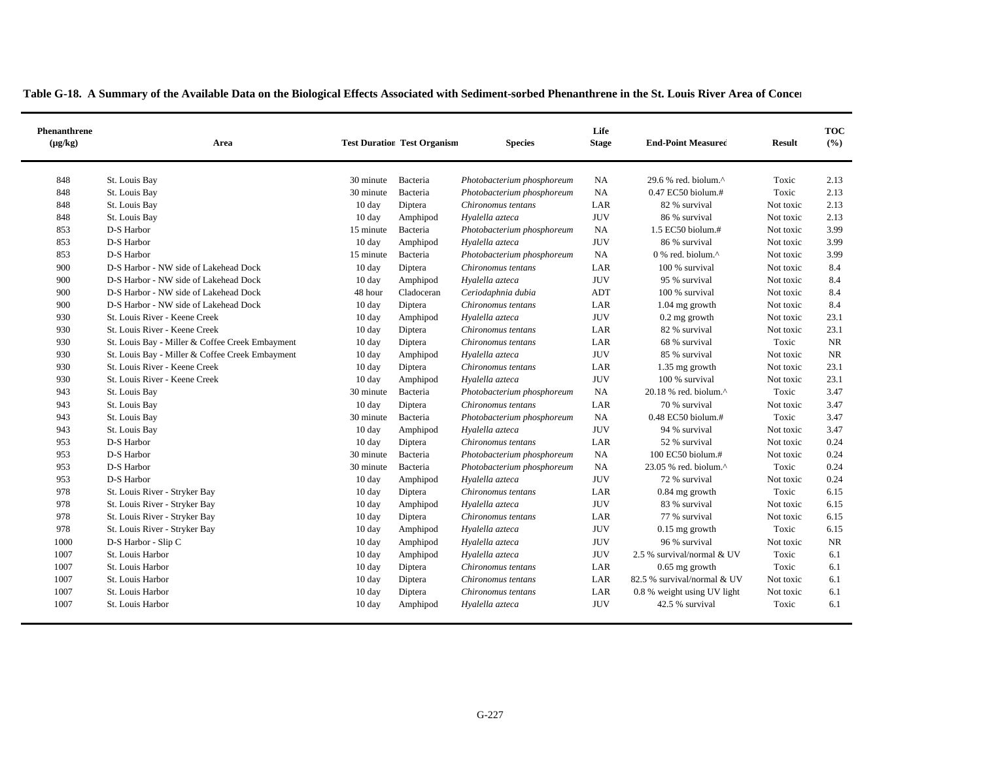| <b>Phenanthrene</b><br>$(\mu g/kg)$ | Area                                            |                  | <b>Test Duration Test Organism</b> | <b>Species</b>             | Life<br><b>Stage</b> | <b>End-Point Measured</b>                         | <b>Result</b> | <b>TOC</b><br>(%) |
|-------------------------------------|-------------------------------------------------|------------------|------------------------------------|----------------------------|----------------------|---------------------------------------------------|---------------|-------------------|
| 848                                 | St. Louis Bay                                   | 30 minute        | Bacteria                           | Photobacterium phosphoreum | NA                   | 29.6 % red. biolum.^                              | Toxic         | 2.13              |
| 848                                 | St. Louis Bay                                   | 30 minute        | Bacteria                           | Photobacterium phosphoreum | <b>NA</b>            | 0.47 EC50 biolum.#                                | Toxic         | 2.13              |
| 848                                 | St. Louis Bay                                   | 10 day           | Diptera                            | Chironomus tentans         | LAR                  | 82 % survival                                     | Not toxic     | 2.13              |
| 848                                 | St. Louis Bay                                   | 10 day           | Amphipod                           | Hyalella azteca            | <b>JUV</b>           | 86 % survival                                     | Not toxic     | 2.13              |
| 853                                 | D-S Harbor                                      | 15 minute        | Bacteria                           | Photobacterium phosphoreum | <b>NA</b>            | 1.5 EC50 biolum.#                                 | Not toxic     | 3.99              |
| 853                                 | D-S Harbor                                      | 10 day           | Amphipod                           | Hyalella azteca            | <b>JUV</b>           | 86 % survival                                     | Not toxic     | 3.99              |
| 853                                 | D-S Harbor                                      | 15 minute        | Bacteria                           | Photobacterium phosphoreum | NA                   | $0\%$ red. biolum. <sup><math>\wedge</math></sup> | Not toxic     | 3.99              |
| 900                                 | D-S Harbor - NW side of Lakehead Dock           | $10 \text{ day}$ | Diptera                            | Chironomus tentans         | LAR                  | 100 % survival                                    | Not toxic     | 8.4               |
| 900                                 | D-S Harbor - NW side of Lakehead Dock           | 10 day           | Amphipod                           | Hyalella azteca            | <b>JUV</b>           | 95 % survival                                     | Not toxic     | 8.4               |
| 900                                 | D-S Harbor - NW side of Lakehead Dock           | 48 hour          | Cladoceran                         | Ceriodaphnia dubia         | ADT                  | 100 % survival                                    | Not toxic     | 8.4               |
| 900                                 | D-S Harbor - NW side of Lakehead Dock           | 10 day           | Diptera                            | Chironomus tentans         | LAR                  | $1.04$ mg growth                                  | Not toxic     | 8.4               |
| 930                                 | St. Louis River - Keene Creek                   | 10 day           | Amphipod                           | Hyalella azteca            | <b>JUV</b>           | $0.2$ mg growth                                   | Not toxic     | 23.1              |
| 930                                 | St. Louis River - Keene Creek                   | 10 day           | Diptera                            | Chironomus tentans         | LAR                  | 82 % survival                                     | Not toxic     | 23.1              |
| 930                                 | St. Louis Bay - Miller & Coffee Creek Embayment | $10 \text{ day}$ | Diptera                            | Chironomus tentans         | LAR                  | 68 % survival                                     | Toxic         | <b>NR</b>         |
| 930                                 | St. Louis Bay - Miller & Coffee Creek Embayment | 10 day           | Amphipod                           | Hyalella azteca            | <b>JUV</b>           | 85 % survival                                     | Not toxic     | <b>NR</b>         |
| 930                                 | St. Louis River - Keene Creek                   | $10 \text{ day}$ | Diptera                            | Chironomus tentans         | LAR                  | 1.35 mg growth                                    | Not toxic     | 23.1              |
| 930                                 | St. Louis River - Keene Creek                   | 10 day           | Amphipod                           | Hyalella azteca            | <b>JUV</b>           | 100 % survival                                    | Not toxic     | 23.1              |
| 943                                 | St. Louis Bay                                   | 30 minute        | Bacteria                           | Photobacterium phosphoreum | NA                   | 20.18 % red. biolum.^                             | Toxic         | 3.47              |
| 943                                 | St. Louis Bay                                   | $10 \text{ day}$ | Diptera                            | Chironomus tentans         | LAR                  | 70 % survival                                     | Not toxic     | 3.47              |
| 943                                 | St. Louis Bay                                   | 30 minute        | Bacteria                           | Photobacterium phosphoreum | <b>NA</b>            | $0.48$ EC50 biolum.#                              | Toxic         | 3.47              |
| 943                                 | St. Louis Bay                                   | $10 \text{ day}$ | Amphipod                           | Hyalella azteca            | <b>JUV</b>           | 94 % survival                                     | Not toxic     | 3.47              |
| 953                                 | D-S Harbor                                      | 10 day           | Diptera                            | Chironomus tentans         | LAR                  | 52 % survival                                     | Not toxic     | 0.24              |
| 953                                 | D-S Harbor                                      | 30 minute        | Bacteria                           | Photobacterium phosphoreum | NA                   | 100 EC50 biolum.#                                 | Not toxic     | 0.24              |
| 953                                 | D-S Harbor                                      | 30 minute        | Bacteria                           | Photobacterium phosphoreum | <b>NA</b>            | 23.05 % red. biolum.^                             | Toxic         | 0.24              |
| 953                                 | D-S Harbor                                      | $10 \text{ day}$ | Amphipod                           | Hyalella azteca            | <b>JUV</b>           | 72 % survival                                     | Not toxic     | 0.24              |
| 978                                 | St. Louis River - Stryker Bay                   | 10 day           | Diptera                            | Chironomus tentans         | LAR                  | $0.84$ mg growth                                  | Toxic         | 6.15              |
| 978                                 | St. Louis River - Stryker Bay                   | 10 day           | Amphipod                           | Hyalella azteca            | <b>JUV</b>           | 83 % survival                                     | Not toxic     | 6.15              |
| 978                                 | St. Louis River - Stryker Bay                   | 10 day           | Diptera                            | Chironomus tentans         | LAR                  | 77 % survival                                     | Not toxic     | 6.15              |
| 978                                 | St. Louis River - Stryker Bay                   | 10 day           | Amphipod                           | Hyalella azteca            | <b>JUV</b>           | $0.15$ mg growth                                  | Toxic         | 6.15              |
| 1000                                | D-S Harbor - Slip C                             | 10 day           | Amphipod                           | Hyalella azteca            | <b>JUV</b>           | 96 % survival                                     | Not toxic     | <b>NR</b>         |
| 1007                                | St. Louis Harbor                                | 10 day           | Amphipod                           | Hyalella azteca            | <b>JUV</b>           | 2.5 % survival/normal & UV                        | Toxic         | 6.1               |
| 1007                                | St. Louis Harbor                                | 10 day           | Diptera                            | Chironomus tentans         | LAR                  | $0.65$ mg growth                                  | Toxic         | 6.1               |
| 1007                                | St. Louis Harbor                                | 10 day           | Diptera                            | Chironomus tentans         | LAR                  | 82.5 % survival/normal & UV                       | Not toxic     | 6.1               |
| 1007                                | St. Louis Harbor                                | 10 day           | Diptera                            | Chironomus tentans         | LAR                  | 0.8 % weight using UV light                       | Not toxic     | 6.1               |
| 1007                                | St. Louis Harbor                                | $10 \text{ day}$ | Amphipod                           | Hyalella azteca            | <b>JUV</b>           | 42.5 % survival                                   | Toxic         | 6.1               |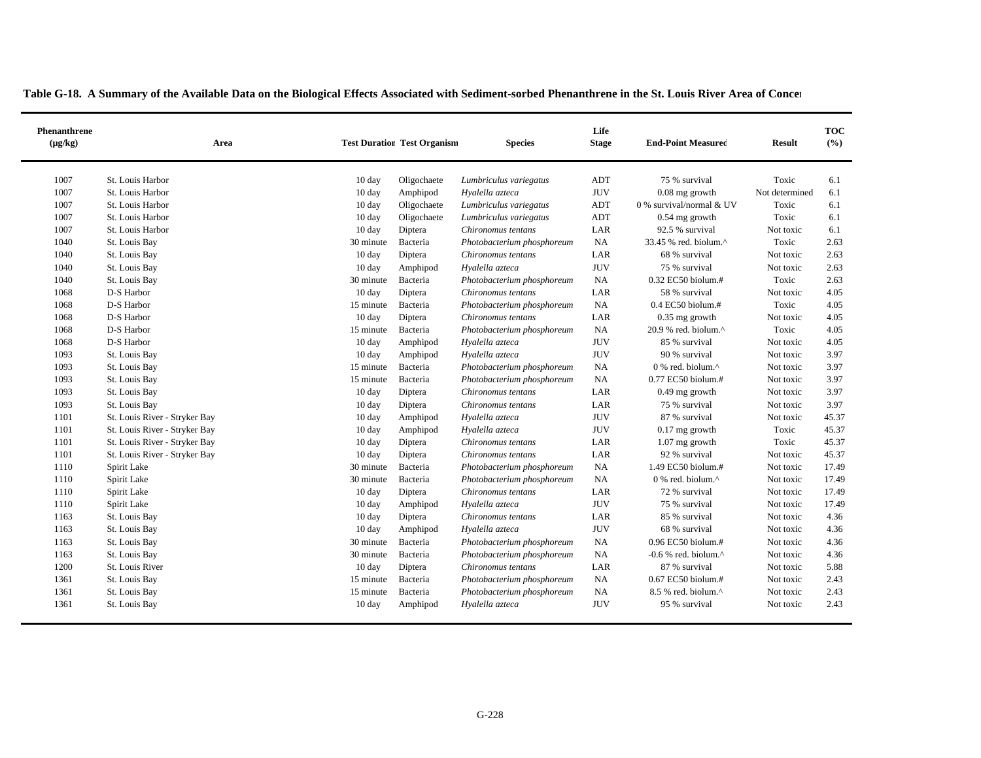| Phenanthrene<br>$(\mu g/kg)$ | Area                          |                  | <b>Test Duration Test Organism</b> | <b>Species</b>             | Life<br><b>Stage</b> | <b>End-Point Measured</b>       | <b>Result</b>  | <b>TOC</b><br>(%) |
|------------------------------|-------------------------------|------------------|------------------------------------|----------------------------|----------------------|---------------------------------|----------------|-------------------|
| 1007                         | St. Louis Harbor              | 10 day           | Oligochaete                        | Lumbriculus variegatus     | <b>ADT</b>           | 75 % survival                   | Toxic          | 6.1               |
| 1007                         | St. Louis Harbor              | 10 day           | Amphipod                           | Hyalella azteca            | <b>JUV</b>           | $0.08$ mg growth                | Not determined | 6.1               |
| 1007                         | St. Louis Harbor              | 10 day           | Oligochaete                        | Lumbriculus variegatus     | ADT                  | 0 % survival/normal & UV        | Toxic          | 6.1               |
| 1007                         | St. Louis Harbor              | 10 day           | Oligochaete                        | Lumbriculus variegatus     | <b>ADT</b>           | $0.54$ mg growth                | Toxic          | 6.1               |
| 1007                         | St. Louis Harbor              | 10 day           | Diptera                            | Chironomus tentans         | LAR                  | 92.5 % survival                 | Not toxic      | 6.1               |
| 1040                         | St. Louis Bay                 | 30 minute        | Bacteria                           | Photobacterium phosphoreum | NA                   | 33.45 % red. biolum.^           | Toxic          | 2.63              |
| 1040                         | St. Louis Bay                 | $10 \text{ day}$ | Diptera                            | Chironomus tentans         | LAR                  | 68 % survival                   | Not toxic      | 2.63              |
| 1040                         | St. Louis Bay                 | $10 \text{ day}$ | Amphipod                           | Hyalella azteca            | <b>JUV</b>           | 75 % survival                   | Not toxic      | 2.63              |
| 1040                         | St. Louis Bay                 | 30 minute        | Bacteria                           | Photobacterium phosphoreum | NA                   | 0.32 EC50 biolum.#              | Toxic          | 2.63              |
| 1068                         | D-S Harbor                    | $10 \text{ day}$ | Diptera                            | Chironomus tentans         | LAR                  | 58 % survival                   | Not toxic      | 4.05              |
| 1068                         | D-S Harbor                    | 15 minute        | Bacteria                           | Photobacterium phosphoreum | NA                   | $0.4$ EC50 biolum.#             | Toxic          | 4.05              |
| 1068                         | D-S Harbor                    | 10 day           | Diptera                            | Chironomus tentans         | LAR                  | $0.35$ mg growth                | Not toxic      | 4.05              |
| 1068                         | D-S Harbor                    | 15 minute        | Bacteria                           | Photobacterium phosphoreum | NA                   | 20.9 % red. biolum.^            | Toxic          | 4.05              |
| 1068                         | D-S Harbor                    | $10 \text{ day}$ | Amphipod                           | Hyalella azteca            | <b>JUV</b>           | 85 % survival                   | Not toxic      | 4.05              |
| 1093                         | St. Louis Bay                 | 10 day           | Amphipod                           | Hyalella azteca            | <b>JUV</b>           | 90 % survival                   | Not toxic      | 3.97              |
| 1093                         | St. Louis Bay                 | 15 minute        | Bacteria                           | Photobacterium phosphoreum | NA                   | 0 % red. biolum.^               | Not toxic      | 3.97              |
| 1093                         | St. Louis Bay                 | 15 minute        | Bacteria                           | Photobacterium phosphoreum | <b>NA</b>            | 0.77 EC50 biolum.#              | Not toxic      | 3.97              |
| 1093                         | St. Louis Bay                 | 10 day           | Diptera                            | Chironomus tentans         | LAR                  | 0.49 mg growth                  | Not toxic      | 3.97              |
| 1093                         | St. Louis Bay                 | 10 day           | Diptera                            | Chironomus tentans         | LAR                  | 75 % survival                   | Not toxic      | 3.97              |
| 1101                         | St. Louis River - Stryker Bay | 10 day           | Amphipod                           | Hyalella azteca            | <b>JUV</b>           | 87 % survival                   | Not toxic      | 45.37             |
| 1101                         | St. Louis River - Stryker Bay | 10 day           | Amphipod                           | Hyalella azteca            | <b>JUV</b>           | $0.17$ mg growth                | Toxic          | 45.37             |
| 1101                         | St. Louis River - Stryker Bay | 10 day           | Diptera                            | Chironomus tentans         | LAR                  | 1.07 mg growth                  | Toxic          | 45.37             |
| 1101                         | St. Louis River - Stryker Bay | 10 day           | Diptera                            | Chironomus tentans         | LAR                  | 92 % survival                   | Not toxic      | 45.37             |
| 1110                         | Spirit Lake                   | 30 minute        | Bacteria                           | Photobacterium phosphoreum | <b>NA</b>            | 1.49 EC50 biolum.#              | Not toxic      | 17.49             |
| 1110                         | Spirit Lake                   | 30 minute        | Bacteria                           | Photobacterium phosphoreum | NA                   | 0 % red. biolum.^               | Not toxic      | 17.49             |
| 1110                         | Spirit Lake                   | $10 \text{ day}$ | Diptera                            | Chironomus tentans         | LAR                  | 72 % survival                   | Not toxic      | 17.49             |
| 1110                         | Spirit Lake                   | 10 day           | Amphipod                           | Hyalella azteca            | <b>JUV</b>           | 75 % survival                   | Not toxic      | 17.49             |
| 1163                         | St. Louis Bay                 | 10 day           | Diptera                            | Chironomus tentans         | LAR                  | 85 % survival                   | Not toxic      | 4.36              |
| 1163                         | St. Louis Bay                 | $10 \text{ day}$ | Amphipod                           | Hyalella azteca            | <b>JUV</b>           | 68 % survival                   | Not toxic      | 4.36              |
| 1163                         | St. Louis Bay                 | 30 minute        | Bacteria                           | Photobacterium phosphoreum | NA                   | 0.96 EC50 biolum.#              | Not toxic      | 4.36              |
| 1163                         | St. Louis Bay                 | 30 minute        | Bacteria                           | Photobacterium phosphoreum | <b>NA</b>            | -0.6 % red. biolum. $^{\wedge}$ | Not toxic      | 4.36              |
| 1200                         | St. Louis River               | 10 day           | Diptera                            | Chironomus tentans         | LAR                  | 87 % survival                   | Not toxic      | 5.88              |
| 1361                         | St. Louis Bay                 | 15 minute        | Bacteria                           | Photobacterium phosphoreum | <b>NA</b>            | 0.67 EC50 biolum.#              | Not toxic      | 2.43              |
| 1361                         | St. Louis Bay                 | 15 minute        | Bacteria                           | Photobacterium phosphoreum | NA                   | 8.5 % red. biolum.^             | Not toxic      | 2.43              |
| 1361                         | St. Louis Bay                 | $10 \text{ day}$ | Amphipod                           | Hyalella azteca            | <b>JUV</b>           | 95 % survival                   | Not toxic      | 2.43              |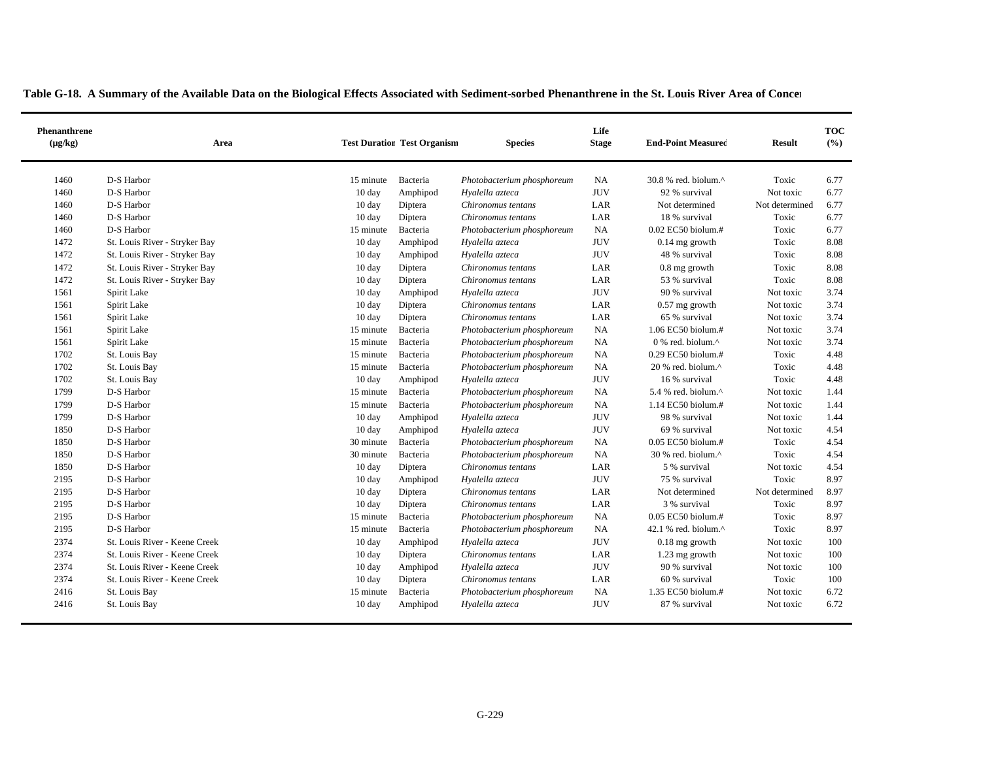| Phenanthrene<br>$(\mu g/kg)$ | Area                          |                  | <b>Test Duration Test Organism</b> | <b>Species</b>             | Life<br><b>Stage</b> | <b>End-Point Measured</b>       | <b>Result</b>  | <b>TOC</b><br>(%) |
|------------------------------|-------------------------------|------------------|------------------------------------|----------------------------|----------------------|---------------------------------|----------------|-------------------|
| 1460                         | D-S Harbor                    | 15 minute        | Bacteria                           | Photobacterium phosphoreum | NA                   | 30.8 % red. biolum.^            | Toxic          | 6.77              |
| 1460                         | D-S Harbor                    | 10 day           | Amphipod                           | Hyalella azteca            | <b>JUV</b>           | 92 % survival                   | Not toxic      | 6.77              |
| 1460                         | D-S Harbor                    | 10 day           | Diptera                            | Chironomus tentans         | LAR                  | Not determined                  | Not determined | 6.77              |
| 1460                         | D-S Harbor                    | 10 day           | Diptera                            | Chironomus tentans         | LAR                  | 18 % survival                   | Toxic          | 6.77              |
| 1460                         | D-S Harbor                    | 15 minute        | Bacteria                           | Photobacterium phosphoreum | NA                   | 0.02 EC50 biolum.#              | Toxic          | 6.77              |
| 1472                         | St. Louis River - Stryker Bay | $10 \text{ day}$ | Amphipod                           | Hyalella azteca            | <b>JUV</b>           | $0.14$ mg growth                | Toxic          | 8.08              |
| 1472                         | St. Louis River - Stryker Bay | 10 day           | Amphipod                           | Hyalella azteca            | <b>JUV</b>           | 48 % survival                   | Toxic          | 8.08              |
| 1472                         | St. Louis River - Stryker Bay | $10 \text{ day}$ | Diptera                            | Chironomus tentans         | LAR                  | 0.8 mg growth                   | Toxic          | 8.08              |
| 1472                         | St. Louis River - Stryker Bay | 10 day           | Diptera                            | Chironomus tentans         | LAR                  | 53 % survival                   | Toxic          | 8.08              |
| 1561                         | Spirit Lake                   | $10 \text{ day}$ | Amphipod                           | Hyalella azteca            | <b>JUV</b>           | 90 % survival                   | Not toxic      | 3.74              |
| 1561                         | Spirit Lake                   | 10 day           | Diptera                            | Chironomus tentans         | LAR                  | $0.57$ mg growth                | Not toxic      | 3.74              |
| 1561                         | Spirit Lake                   | 10 day           | Diptera                            | Chironomus tentans         | LAR                  | 65 % survival                   | Not toxic      | 3.74              |
| 1561                         | Spirit Lake                   | 15 minute        | Bacteria                           | Photobacterium phosphoreum | NA                   | 1.06 EC50 biolum.#              | Not toxic      | 3.74              |
| 1561                         | Spirit Lake                   | 15 minute        | Bacteria                           | Photobacterium phosphoreum | NA                   | 0 % red. biolum.^               | Not toxic      | 3.74              |
| 1702                         | St. Louis Bay                 | 15 minute        | Bacteria                           | Photobacterium phosphoreum | <b>NA</b>            | 0.29 EC50 biolum.#              | Toxic          | 4.48              |
| 1702                         | St. Louis Bay                 | 15 minute        | Bacteria                           | Photobacterium phosphoreum | NA                   | 20 % red. biolum.^              | Toxic          | 4.48              |
| 1702                         | St. Louis Bay                 | 10 day           | Amphipod                           | Hyalella azteca            | <b>JUV</b>           | 16 % survival                   | Toxic          | 4.48              |
| 1799                         | D-S Harbor                    | 15 minute        | Bacteria                           | Photobacterium phosphoreum | <b>NA</b>            | 5.4 % red. biolum. $^{\wedge}$  | Not toxic      | 1.44              |
| 1799                         | D-S Harbor                    | 15 minute        | Bacteria                           | Photobacterium phosphoreum | NA                   | 1.14 EC50 biolum.#              | Not toxic      | 1.44              |
| 1799                         | D-S Harbor                    | $10 \text{ day}$ | Amphipod                           | Hyalella azteca            | <b>JUV</b>           | 98 % survival                   | Not toxic      | 1.44              |
| 1850                         | D-S Harbor                    | 10 day           | Amphipod                           | Hyalella azteca            | <b>JUV</b>           | 69 % survival                   | Not toxic      | 4.54              |
| 1850                         | D-S Harbor                    | 30 minute        | Bacteria                           | Photobacterium phosphoreum | <b>NA</b>            | $0.05$ EC50 biolum.#            | Toxic          | 4.54              |
| 1850                         | D-S Harbor                    | 30 minute        | Bacteria                           | Photobacterium phosphoreum | NA                   | 30 % red. biolum.^              | Toxic          | 4.54              |
| 1850                         | D-S Harbor                    | $10 \text{ day}$ | Diptera                            | Chironomus tentans         | LAR                  | 5 % survival                    | Not toxic      | 4.54              |
| 2195                         | D-S Harbor                    | 10 day           | Amphipod                           | Hyalella azteca            | <b>JUV</b>           | 75 % survival                   | Toxic          | 8.97              |
| 2195                         | D-S Harbor                    | $10 \text{ day}$ | Diptera                            | Chironomus tentans         | LAR                  | Not determined                  | Not determined | 8.97              |
| 2195                         | D-S Harbor                    | 10 day           | Diptera                            | Chironomus tentans         | LAR                  | 3 % survival                    | Toxic          | 8.97              |
| 2195                         | D-S Harbor                    | 15 minute        | Bacteria                           | Photobacterium phosphoreum | NA                   | 0.05 EC50 biolum.#              | Toxic          | 8.97              |
| 2195                         | D-S Harbor                    | 15 minute        | Bacteria                           | Photobacterium phosphoreum | <b>NA</b>            | 42.1 % red. biolum. $^{\wedge}$ | Toxic          | 8.97              |
| 2374                         | St. Louis River - Keene Creek | 10 day           | Amphipod                           | Hyalella azteca            | <b>JUV</b>           | $0.18$ mg growth                | Not toxic      | 100               |
| 2374                         | St. Louis River - Keene Creek | $10 \text{ day}$ | Diptera                            | Chironomus tentans         | LAR                  | 1.23 mg growth                  | Not toxic      | 100               |
| 2374                         | St. Louis River - Keene Creek | $10 \text{ day}$ | Amphipod                           | Hyalella azteca            | <b>JUV</b>           | 90 % survival                   | Not toxic      | 100               |
| 2374                         | St. Louis River - Keene Creek | $10 \text{ day}$ | Diptera                            | Chironomus tentans         | LAR                  | 60 % survival                   | Toxic          | 100               |
| 2416                         | St. Louis Bay                 | 15 minute        | Bacteria                           | Photobacterium phosphoreum | <b>NA</b>            | 1.35 EC50 biolum.#              | Not toxic      | 6.72              |
| 2416                         | St. Louis Bay                 | $10 \text{ day}$ | Amphipod                           | Hyalella azteca            | <b>JUV</b>           | 87 % survival                   | Not toxic      | 6.72              |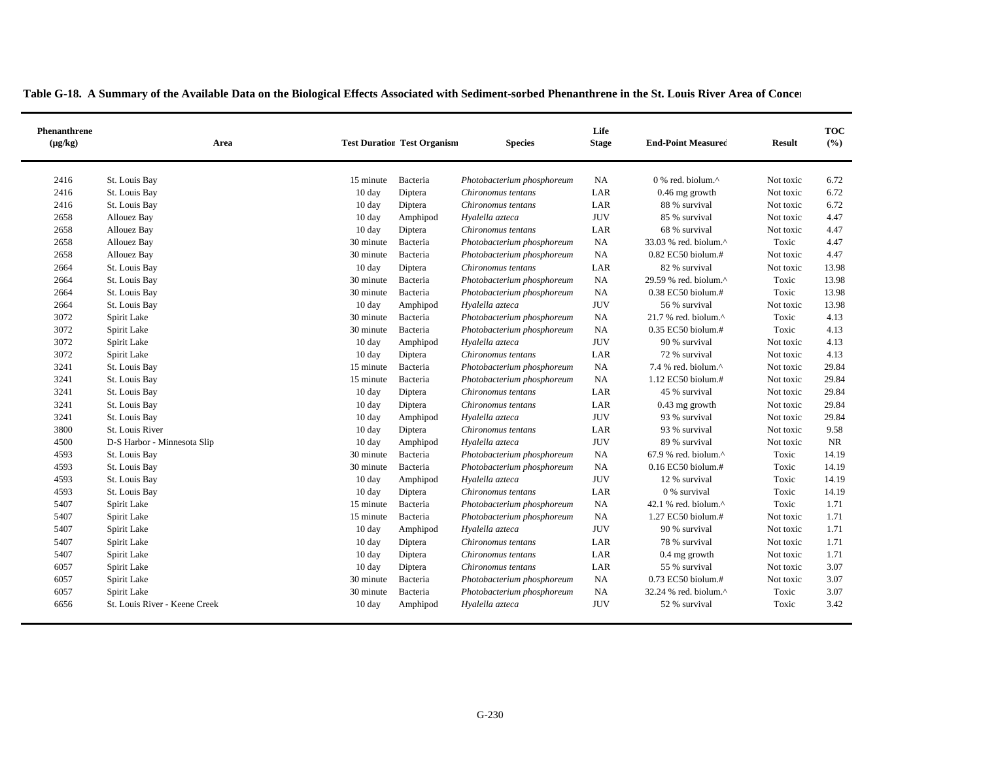| Phenanthrene<br>$(\mu g/kg)$ | Area                          |                  | <b>Test Duration Test Organism</b> | <b>Species</b>             | Life<br><b>Stage</b> | <b>End-Point Measured</b>         | <b>Result</b> | <b>TOC</b><br>(%) |
|------------------------------|-------------------------------|------------------|------------------------------------|----------------------------|----------------------|-----------------------------------|---------------|-------------------|
| 2416                         | St. Louis Bay                 | 15 minute        | Bacteria                           | Photobacterium phosphoreum | <b>NA</b>            | 0 % red. biolum.^                 | Not toxic     | 6.72              |
| 2416                         | St. Louis Bay                 | 10 day           | Diptera                            | Chironomus tentans         | LAR                  | 0.46 mg growth                    | Not toxic     | 6.72              |
| 2416                         | St. Louis Bay                 | 10 day           | Diptera                            | Chironomus tentans         | LAR                  | 88 % survival                     | Not toxic     | 6.72              |
| 2658                         | Allouez Bay                   | 10 day           | Amphipod                           | Hyalella azteca            | <b>JUV</b>           | 85 % survival                     | Not toxic     | 4.47              |
| 2658                         | Allouez Bay                   | 10 day           | Diptera                            | Chironomus tentans         | LAR                  | 68 % survival                     | Not toxic     | 4.47              |
| 2658                         | Allouez Bay                   | 30 minute        | Bacteria                           | Photobacterium phosphoreum | NA                   | 33.03 % red. biolum.^             | Toxic         | 4.47              |
| 2658                         | Allouez Bay                   | 30 minute        | Bacteria                           | Photobacterium phosphoreum | NA                   | $0.82$ EC50 biolum.#              | Not toxic     | 4.47              |
| 2664                         | St. Louis Bay                 | $10 \text{ day}$ | Diptera                            | Chironomus tentans         | LAR                  | 82 % survival                     | Not toxic     | 13.98             |
| 2664                         | St. Louis Bay                 | 30 minute        | Bacteria                           | Photobacterium phosphoreum | <b>NA</b>            | 29.59 % red. biolum.^             | Toxic         | 13.98             |
| 2664                         | St. Louis Bay                 | 30 minute        | Bacteria                           | Photobacterium phosphoreum | NA                   | 0.38 EC50 biolum.#                | Toxic         | 13.98             |
| 2664                         | St. Louis Bay                 | 10 day           | Amphipod                           | Hyalella azteca            | <b>JUV</b>           | 56 % survival                     | Not toxic     | 13.98             |
| 3072                         | Spirit Lake                   | 30 minute        | Bacteria                           | Photobacterium phosphoreum | NA                   | $21.7$ % red. biolum. $^{\wedge}$ | Toxic         | 4.13              |
| 3072                         | Spirit Lake                   | 30 minute        | Bacteria                           | Photobacterium phosphoreum | $_{\rm NA}$          | 0.35 EC50 biolum.#                | Toxic         | 4.13              |
| 3072                         | Spirit Lake                   | $10 \text{ day}$ | Amphipod                           | Hyalella azteca            | <b>JUV</b>           | 90 % survival                     | Not toxic     | 4.13              |
| 3072                         | Spirit Lake                   | $10 \text{ day}$ | Diptera                            | Chironomus tentans         | LAR                  | 72 % survival                     | Not toxic     | 4.13              |
| 3241                         | St. Louis Bay                 | 15 minute        | Bacteria                           | Photobacterium phosphoreum | NA                   | 7.4 % red. biolum.^               | Not toxic     | 29.84             |
| 3241                         | St. Louis Bay                 | 15 minute        | Bacteria                           | Photobacterium phosphoreum | NA                   | 1.12 EC50 biolum.#                | Not toxic     | 29.84             |
| 3241                         | St. Louis Bay                 | 10 day           | Diptera                            | Chironomus tentans         | LAR                  | 45 % survival                     | Not toxic     | 29.84             |
| 3241                         | St. Louis Bay                 | 10 day           | Diptera                            | Chironomus tentans         | LAR                  | $0.43$ mg growth                  | Not toxic     | 29.84             |
| 3241                         | St. Louis Bay                 | $10 \text{ day}$ | Amphipod                           | Hyalella azteca            | <b>JUV</b>           | 93 % survival                     | Not toxic     | 29.84             |
| 3800                         | St. Louis River               | 10 day           | Diptera                            | Chironomus tentans         | LAR                  | 93 % survival                     | Not toxic     | 9.58              |
| 4500                         | D-S Harbor - Minnesota Slip   | 10 day           | Amphipod                           | Hyalella azteca            | <b>JUV</b>           | 89 % survival                     | Not toxic     | <b>NR</b>         |
| 4593                         | St. Louis Bay                 | 30 minute        | Bacteria                           | Photobacterium phosphoreum | NA                   | 67.9 % red. biolum.^              | Toxic         | 14.19             |
| 4593                         | St. Louis Bay                 | 30 minute        | Bacteria                           | Photobacterium phosphoreum | NA                   | 0.16 EC50 biolum.#                | Toxic         | 14.19             |
| 4593                         | St. Louis Bay                 | 10 day           | Amphipod                           | Hyalella azteca            | <b>JUV</b>           | 12 % survival                     | Toxic         | 14.19             |
| 4593                         | St. Louis Bay                 | 10 day           | Diptera                            | Chironomus tentans         | LAR                  | 0 % survival                      | Toxic         | 14.19             |
| 5407                         | Spirit Lake                   | 15 minute        | Bacteria                           | Photobacterium phosphoreum | NA                   | 42.1 % red. biolum. $^{\wedge}$   | Toxic         | 1.71              |
| 5407                         | Spirit Lake                   | 15 minute        | Bacteria                           | Photobacterium phosphoreum | <b>NA</b>            | 1.27 EC50 biolum.#                | Not toxic     | 1.71              |
| 5407                         | Spirit Lake                   | 10 day           | Amphipod                           | Hyalella azteca            | <b>JUV</b>           | 90 % survival                     | Not toxic     | 1.71              |
| 5407                         | Spirit Lake                   | 10 day           | Diptera                            | Chironomus tentans         | LAR                  | 78 % survival                     | Not toxic     | 1.71              |
| 5407                         | Spirit Lake                   | 10 day           | Diptera                            | Chironomus tentans         | LAR                  | 0.4 mg growth                     | Not toxic     | 1.71              |
| 6057                         | Spirit Lake                   | $10 \text{ day}$ | Diptera                            | Chironomus tentans         | LAR                  | 55 % survival                     | Not toxic     | 3.07              |
| 6057                         | Spirit Lake                   | 30 minute        | Bacteria                           | Photobacterium phosphoreum | NA                   | 0.73 EC50 biolum.#                | Not toxic     | 3.07              |
| 6057                         | Spirit Lake                   | 30 minute        | Bacteria                           | Photobacterium phosphoreum | NA                   | 32.24 % red. biolum.^             | Toxic         | 3.07              |
| 6656                         | St. Louis River - Keene Creek | $10 \text{ day}$ | Amphipod                           | Hyalella azteca            | <b>JUV</b>           | 52 % survival                     | Toxic         | 3.42              |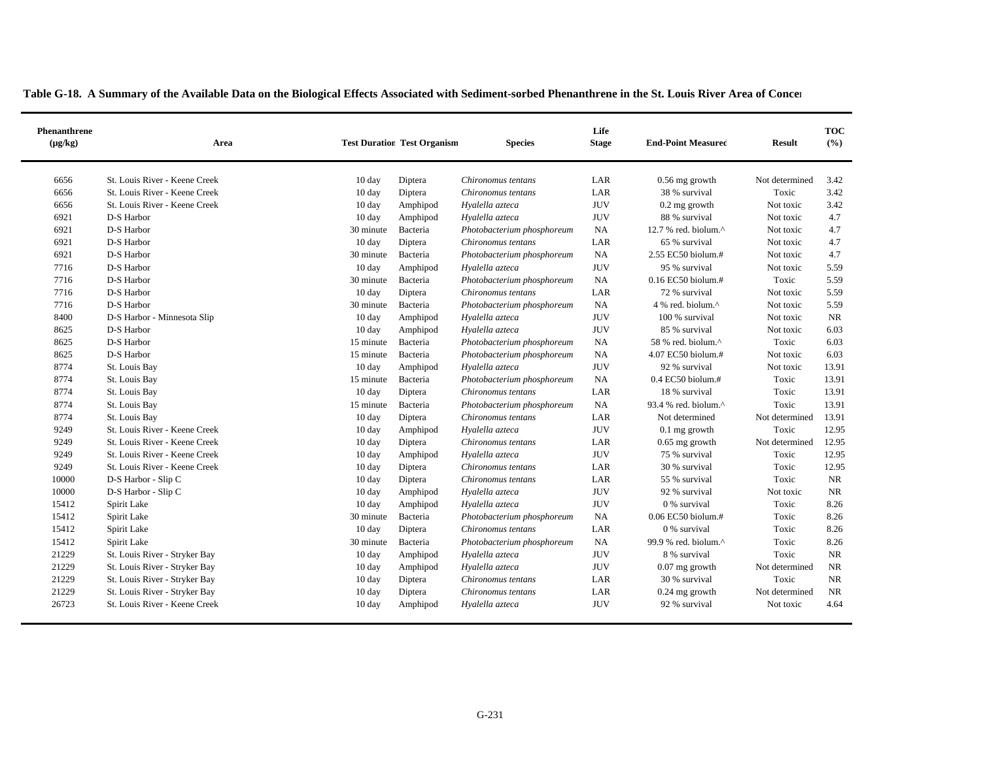|  |  |  | Table G-18. A Summary of the Available Data on the Biological Effects Associated with Sediment-sorbed Phenanthrene in the St. Louis River Area of Concer |  |
|--|--|--|----------------------------------------------------------------------------------------------------------------------------------------------------------|--|
|--|--|--|----------------------------------------------------------------------------------------------------------------------------------------------------------|--|

| Phenanthrene<br>$(\mu g/kg)$ | Area                          |                  | <b>Test Duration Test Organism</b> | <b>Species</b>             | Life<br><b>Stage</b> | <b>End-Point Measured</b>       | <b>Result</b>  | <b>TOC</b><br>(%) |
|------------------------------|-------------------------------|------------------|------------------------------------|----------------------------|----------------------|---------------------------------|----------------|-------------------|
| 6656                         | St. Louis River - Keene Creek | 10 day           | Diptera                            | Chironomus tentans         | LAR                  | $0.56$ mg growth                | Not determined | 3.42              |
| 6656                         | St. Louis River - Keene Creek | 10 day           | Diptera                            | Chironomus tentans         | LAR                  | 38 % survival                   | Toxic          | 3.42              |
| 6656                         | St. Louis River - Keene Creek | $10 \text{ day}$ | Amphipod                           | Hyalella azteca            | <b>JUV</b>           | $0.2$ mg growth                 | Not toxic      | 3.42              |
| 6921                         | D-S Harbor                    | $10 \text{ day}$ | Amphipod                           | Hyalella azteca            | <b>JUV</b>           | 88 % survival                   | Not toxic      | 4.7               |
| 6921                         | D-S Harbor                    | 30 minute        | Bacteria                           | Photobacterium phosphoreum | NA                   | 12.7 % red. biolum. $^{\wedge}$ | Not toxic      | 4.7               |
| 6921                         | D-S Harbor                    | 10 day           | Diptera                            | Chironomus tentans         | LAR                  | 65 % survival                   | Not toxic      | 4.7               |
| 6921                         | D-S Harbor                    | 30 minute        | Bacteria                           | Photobacterium phosphoreum | NA                   | 2.55 EC50 biolum.#              | Not toxic      | 4.7               |
| 7716                         | D-S Harbor                    | $10 \text{ day}$ | Amphipod                           | Hyalella azteca            | <b>JUV</b>           | 95 % survival                   | Not toxic      | 5.59              |
| 7716                         | D-S Harbor                    | 30 minute        | Bacteria                           | Photobacterium phosphoreum | NA                   | 0.16 EC50 biolum.#              | Toxic          | 5.59              |
| 7716                         | D-S Harbor                    | 10 day           | Diptera                            | Chironomus tentans         | LAR                  | 72 % survival                   | Not toxic      | 5.59              |
| 7716                         | D-S Harbor                    | 30 minute        | Bacteria                           | Photobacterium phosphoreum | NA                   | 4 % red. biolum.^               | Not toxic      | 5.59              |
| 8400                         | D-S Harbor - Minnesota Slip   | 10 day           | Amphipod                           | Hyalella azteca            | <b>JUV</b>           | 100 % survival                  | Not toxic      | NR.               |
| 8625                         | D-S Harbor                    | 10 day           | Amphipod                           | Hyalella azteca            | <b>JUV</b>           | 85 % survival                   | Not toxic      | 6.03              |
| 8625                         | D-S Harbor                    | 15 minute        | Bacteria                           | Photobacterium phosphoreum | NA                   | 58 % red. biolum.^              | Toxic          | 6.03              |
| 8625                         | D-S Harbor                    | 15 minute        | Bacteria                           | Photobacterium phosphoreum | NA                   | 4.07 EC50 biolum.#              | Not toxic      | 6.03              |
| 8774                         | St. Louis Bay                 | $10 \text{ day}$ | Amphipod                           | Hyalella azteca            | <b>JUV</b>           | 92 % survival                   | Not toxic      | 13.91             |
| 8774                         | St. Louis Bay                 | 15 minute        | Bacteria                           | Photobacterium phosphoreum | NA                   | $0.4$ EC50 biolum.#             | Toxic          | 13.91             |
| 8774                         | St. Louis Bay                 | $10 \text{ day}$ | Diptera                            | Chironomus tentans         | LAR                  | 18 % survival                   | Toxic          | 13.91             |
| 8774                         | St. Louis Bay                 | 15 minute        | Bacteria                           | Photobacterium phosphoreum | NA                   | 93.4 % red. biolum.^            | Toxic          | 13.91             |
| 8774                         | St. Louis Bay                 | 10 day           | Diptera                            | Chironomus tentans         | LAR                  | Not determined                  | Not determined | 13.91             |
| 9249                         | St. Louis River - Keene Creek | 10 day           | Amphipod                           | Hyalella azteca            | <b>JUV</b>           | $0.1$ mg growth                 | Toxic          | 12.95             |
| 9249                         | St. Louis River - Keene Creek | 10 day           | Diptera                            | Chironomus tentans         | LAR                  | $0.65$ mg growth                | Not determined | 12.95             |
| 9249                         | St. Louis River - Keene Creek | $10 \text{ day}$ | Amphipod                           | Hyalella azteca            | <b>JUV</b>           | 75 % survival                   | Toxic          | 12.95             |
| 9249                         | St. Louis River - Keene Creek | $10 \text{ day}$ | Diptera                            | Chironomus tentans         | LAR                  | 30 % survival                   | Toxic          | 12.95             |
| 10000                        | D-S Harbor - Slip C           | $10 \text{ day}$ | Diptera                            | Chironomus tentans         | LAR                  | 55 % survival                   | Toxic          | NR                |
| 10000                        | D-S Harbor - Slip C           | 10 day           | Amphipod                           | Hyalella azteca            | <b>JUV</b>           | 92 % survival                   | Not toxic      | NR                |
| 15412                        | Spirit Lake                   | $10 \text{ day}$ | Amphipod                           | Hyalella azteca            | <b>JUV</b>           | 0 % survival                    | Toxic          | 8.26              |
| 15412                        | Spirit Lake                   | 30 minute        | Bacteria                           | Photobacterium phosphoreum | NA                   | $0.06$ EC50 biolum.#            | Toxic          | 8.26              |
| 15412                        | Spirit Lake                   | 10 day           | Diptera                            | Chironomus tentans         | LAR                  | 0 % survival                    | Toxic          | 8.26              |
| 15412                        | Spirit Lake                   | 30 minute        | Bacteria                           | Photobacterium phosphoreum | NA                   | 99.9 % red. biolum.^            | Toxic          | 8.26              |
| 21229                        | St. Louis River - Stryker Bay | 10 day           | Amphipod                           | Hyalella azteca            | <b>JUV</b>           | 8 % survival                    | Toxic          | <b>NR</b>         |
| 21229                        | St. Louis River - Stryker Bay | $10 \text{ day}$ | Amphipod                           | Hyalella azteca            | <b>JUV</b>           | $0.07$ mg growth                | Not determined | NR.               |
| 21229                        | St. Louis River - Stryker Bay | 10 day           | Diptera                            | Chironomus tentans         | LAR                  | 30 % survival                   | Toxic          | NR.               |
| 21229                        | St. Louis River - Stryker Bay | $10 \text{ day}$ | Diptera                            | Chironomus tentans         | LAR                  | $0.24$ mg growth                | Not determined | NR                |
| 26723                        | St. Louis River - Keene Creek | $10 \text{ day}$ | Amphipod                           | Hyalella azteca            | <b>JUV</b>           | 92 % survival                   | Not toxic      | 4.64              |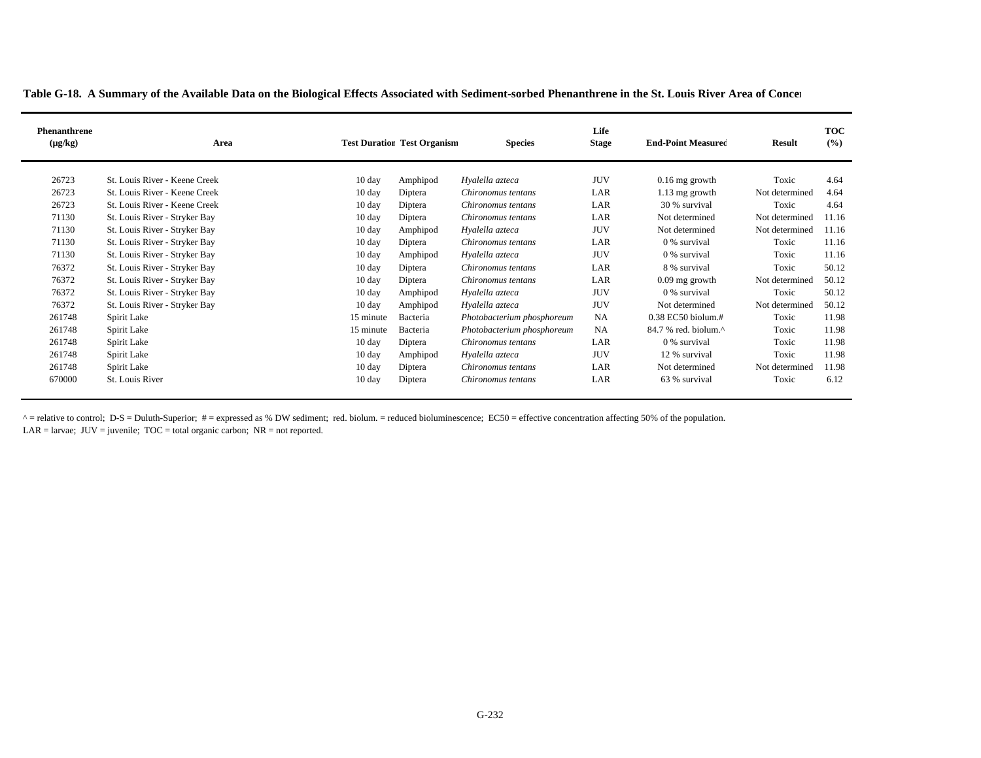|  |  |  |  | Table G-18. A Summary of the Available Data on the Biological Effects Associated with Sediment-sorbed Phenanthrene in the St. Louis River Area of Concer |  |  |  |  |  |  |
|--|--|--|--|----------------------------------------------------------------------------------------------------------------------------------------------------------|--|--|--|--|--|--|
|  |  |  |  |                                                                                                                                                          |  |  |  |  |  |  |

| <b>Phenanthrene</b><br>$(\mu g/kg)$ | Area                          |                  | <b>Test Duration Test Organism</b> | <b>Species</b>             | Life<br><b>Stage</b> | <b>End-Point Measured</b>                           | <b>Result</b>  | <b>TOC</b><br>(%) |
|-------------------------------------|-------------------------------|------------------|------------------------------------|----------------------------|----------------------|-----------------------------------------------------|----------------|-------------------|
| 26723                               | St. Louis River - Keene Creek | $10 \text{ day}$ | Amphipod                           | Hyalella azteca            | <b>JUV</b>           | $0.16$ mg growth                                    | Toxic          | 4.64              |
| 26723                               | St. Louis River - Keene Creek | $10 \text{ day}$ | Diptera                            | Chironomus tentans         | LAR                  | 1.13 mg growth                                      | Not determined | 4.64              |
| 26723                               | St. Louis River - Keene Creek | $10 \text{ day}$ | Diptera                            | Chironomus tentans         | LAR                  | 30 % survival                                       | Toxic          | 4.64              |
| 71130                               | St. Louis River - Stryker Bay | $10 \text{ day}$ | Diptera                            | Chironomus tentans         | LAR                  | Not determined                                      | Not determined | 11.16             |
| 71130                               | St. Louis River - Stryker Bay | $10 \text{ day}$ | Amphipod                           | Hyalella azteca            | <b>JUV</b>           | Not determined                                      | Not determined | 11.16             |
| 71130                               | St. Louis River - Stryker Bay | $10 \text{ day}$ | Diptera                            | Chironomus tentans         | LAR                  | 0 % survival                                        | Toxic          | 11.16             |
| 71130                               | St. Louis River - Stryker Bay | $10 \text{ day}$ | Amphipod                           | Hyalella azteca            | <b>JUV</b>           | 0 % survival                                        | Toxic          | 11.16             |
| 76372                               | St. Louis River - Stryker Bay | $10 \text{ day}$ | Diptera                            | Chironomus tentans         | LAR                  | 8 % survival                                        | Toxic          | 50.12             |
| 76372                               | St. Louis River - Stryker Bay | $10 \text{ day}$ | Diptera                            | Chironomus tentans         | LAR                  | $0.09$ mg growth                                    | Not determined | 50.12             |
| 76372                               | St. Louis River - Stryker Bay | $10 \text{ day}$ | Amphipod                           | Hyalella azteca            | <b>JUV</b>           | 0 % survival                                        | Toxic          | 50.12             |
| 76372                               | St. Louis River - Stryker Bay | $10 \text{ day}$ | Amphipod                           | Hyalella azteca            | <b>JUV</b>           | Not determined                                      | Not determined | 50.12             |
| 261748                              | Spirit Lake                   | 15 minute        | Bacteria                           | Photobacterium phosphoreum | <b>NA</b>            | $0.38$ EC50 biolum.#                                | Toxic          | 11.98             |
| 261748                              | Spirit Lake                   | 15 minute        | Bacteria                           | Photobacterium phosphoreum | <b>NA</b>            | $84.7$ % red. biolum. <sup><math>\land</math></sup> | Toxic          | 11.98             |
| 261748                              | Spirit Lake                   | $10 \text{ day}$ | Diptera                            | Chironomus tentans         | LAR                  | 0 % survival                                        | Toxic          | 11.98             |
| 261748                              | Spirit Lake                   | $10 \text{ day}$ | Amphipod                           | Hyalella azteca            | <b>JUV</b>           | 12 % survival                                       | Toxic          | 11.98             |
| 261748                              | Spirit Lake                   | $10 \text{ day}$ | Diptera                            | Chironomus tentans         | LAR                  | Not determined                                      | Not determined | 11.98             |
| 670000                              | St. Louis River               | $10 \text{ day}$ | Diptera                            | Chironomus tentans         | LAR                  | 63 % survival                                       | Toxic          | 6.12              |

 $^{\wedge}$  = relative to control; D-S = Duluth-Superior; # = expressed as % DW sediment; red. biolum. = reduced bioluminescence; EC50 = effective concentration affecting 50% of the population. LAR = larvae; JUV = juvenile; TOC = total organic carbon; NR = not reported.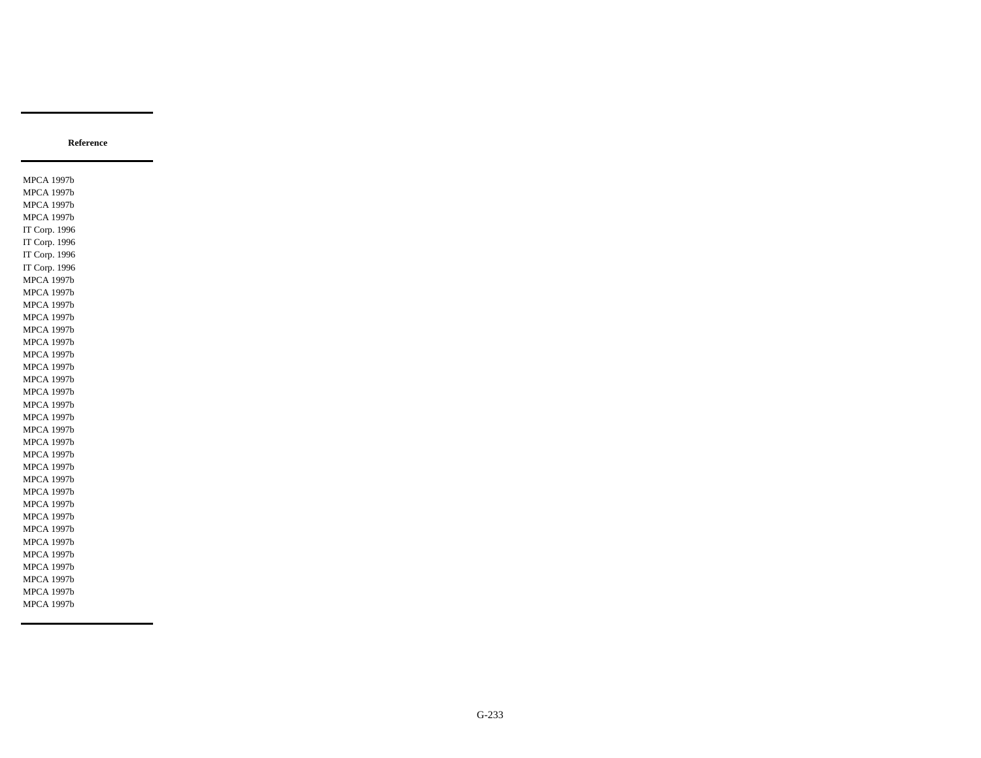MPCA 1997b MPCA 1997b MPCA 1997b MPCA 1997b IT Corp. 1996 IT Corp. 1996 IT Corp. 1996 IT Corp. 1996 MPCA 1997b MPCA 1997b MPCA 1997b MPCA 1997b MPCA 1997b MPCA 1997b MPCA 1997b MPCA 1997b MPCA 1997b MPCA 1997b MPCA 1997b MPCA 1997b MPCA 1997b MPCA 1997b MPCA 1997b MPCA 1997b MPCA 1997b MPCA 1997b MPCA 1997b MPCA 1997b MPCA 1997b MPCA 1997b MPCA 1997b MPCA 1997b MPCA 1997b MPCA 1997b MPCA 1997b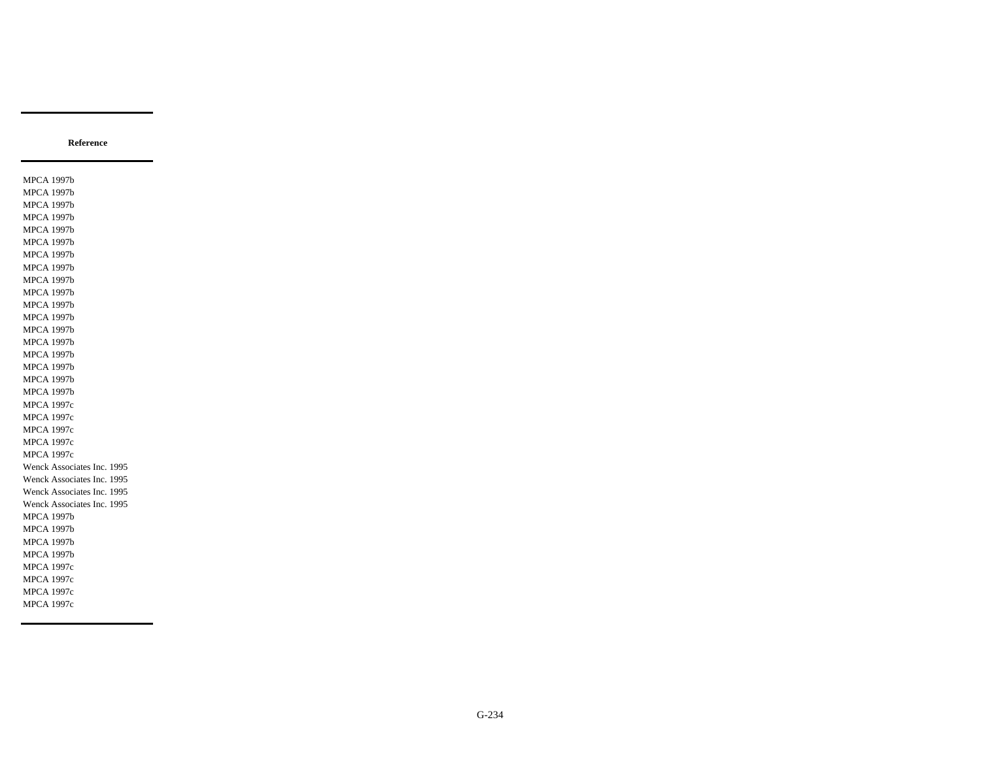MPCA 1997b MPCA 1997b MPCA 1997b MPCA 1997b MPCA 1997b MPCA 1997b MPCA 1997b MPCA 1997b MPCA 1997b MPCA 1997b MPCA 1997b MPCA 1997b MPCA 1997b MPCA 1997b MPCA 1997b MPCA 1997b MPCA 1997b MPCA 1997b MPCA 1997c MPCA 1997c MPCA 1997c MPCA 1997c MPCA 1997c Wenck Associates Inc. 1995 Wenck Associates Inc. 1995 Wenck Associates Inc. 1995 Wenck Associates Inc. 1995 MPCA 1997b MPCA 1997b MPCA 1997b MPCA 1997b MPCA 1997c MPCA 1997c MPCA 1997c MPCA 1997c

**Reference**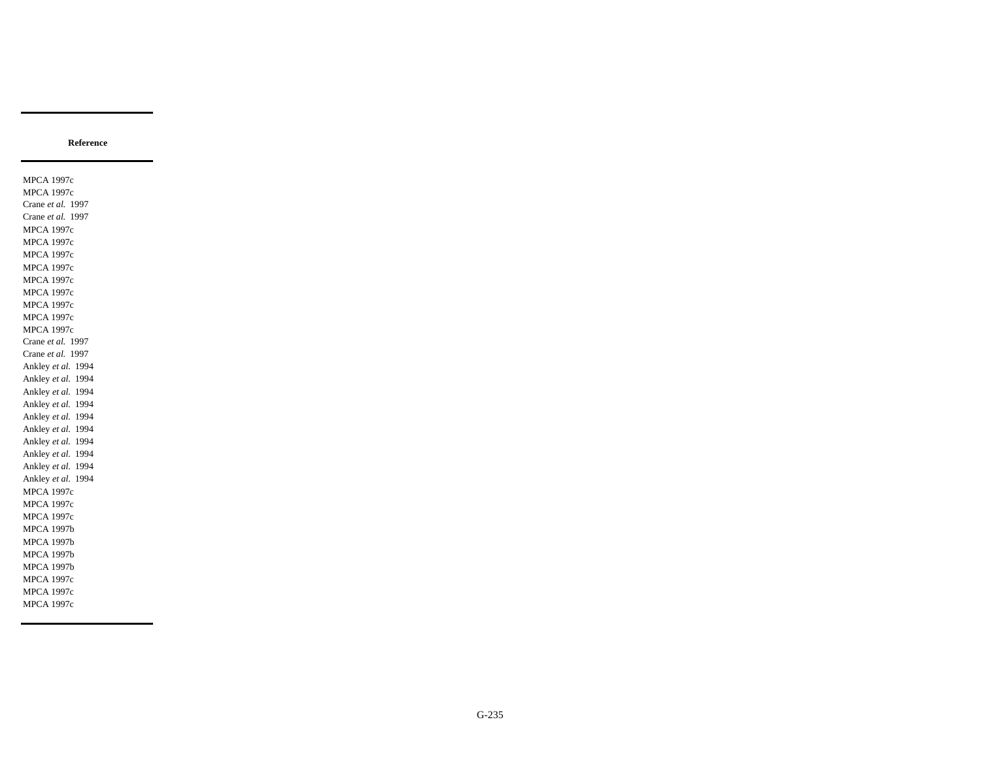MPCA 1997c MPCA 1997c Crane *et al.* 1997 Crane *et al.* 1997 MPCA 1997c MPCA 1997c MPCA 1997c MPCA 1997c MPCA 1997c MPCA 1997c MPCA 1997c MPCA 1997c MPCA 1997c Crane *et al.* 1997 Crane *et al.* 1997 Ankley *et al.* 1994 Ankley *et al.* 1994 Ankley *et al.* 1994 Ankley *et al.* 1994 Ankley *et al.* 1994 Ankley *et al.* 1994 Ankley *et al.* 1994 Ankley *et al.* 1994 Ankley *et al.* 1994 Ankley *et al.* 1994 MPCA 1997c MPCA 1997c MPCA 1997c MPCA 1997b MPCA 1997b MPCA 1997b MPCA 1997b MPCA 1997c MPCA 1997c MPCA 1997c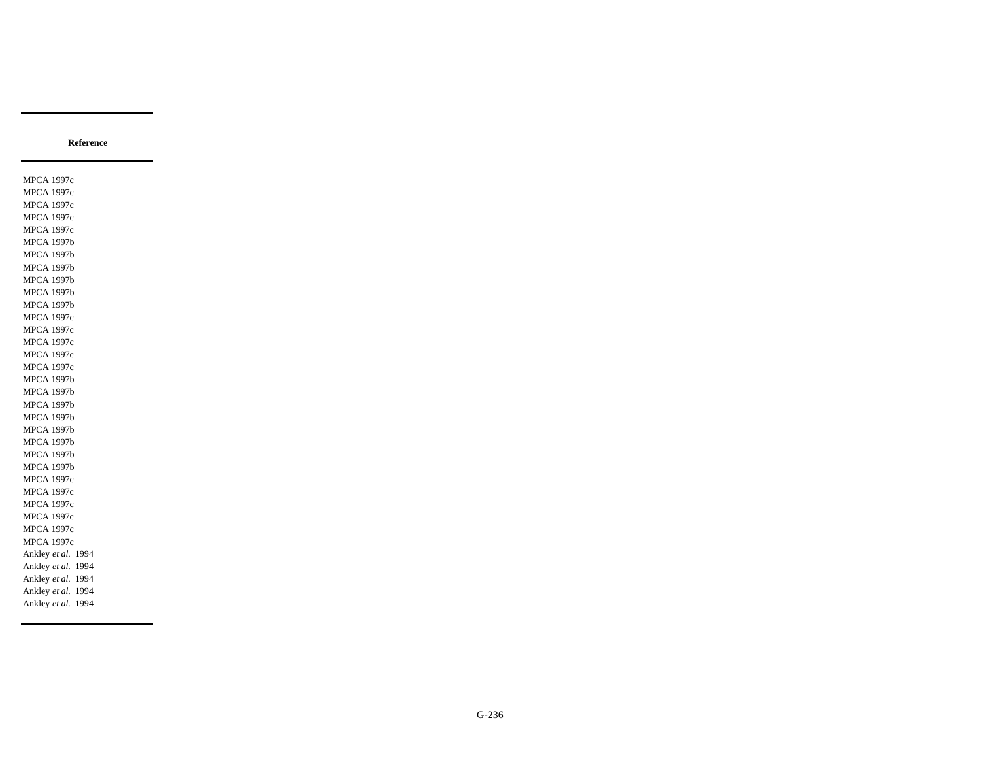MPCA 1997c MPCA 1997c MPCA 1997c MPCA 1997c MPCA 1997c MPCA 1997b MPCA 1997b MPCA 1997b MPCA 1997b MPCA 1997b MPCA 1997b MPCA 1997c MPCA 1997c MPCA 1997c MPCA 1997c MPCA 1997c MPCA 1997b MPCA 1997b MPCA 1997b MPCA 1997b MPCA 1997b MPCA 1997b MPCA 1997b MPCA 1997b MPCA 1997c MPCA 1997c MPCA 1997c MPCA 1997c MPCA 1997c MPCA 1997c Ankley *et al.* 1994 Ankley *et al.* 1994 Ankley *et al.* 1994 Ankley *et al.* 1994 Ankley *et al.* 1994

**Reference**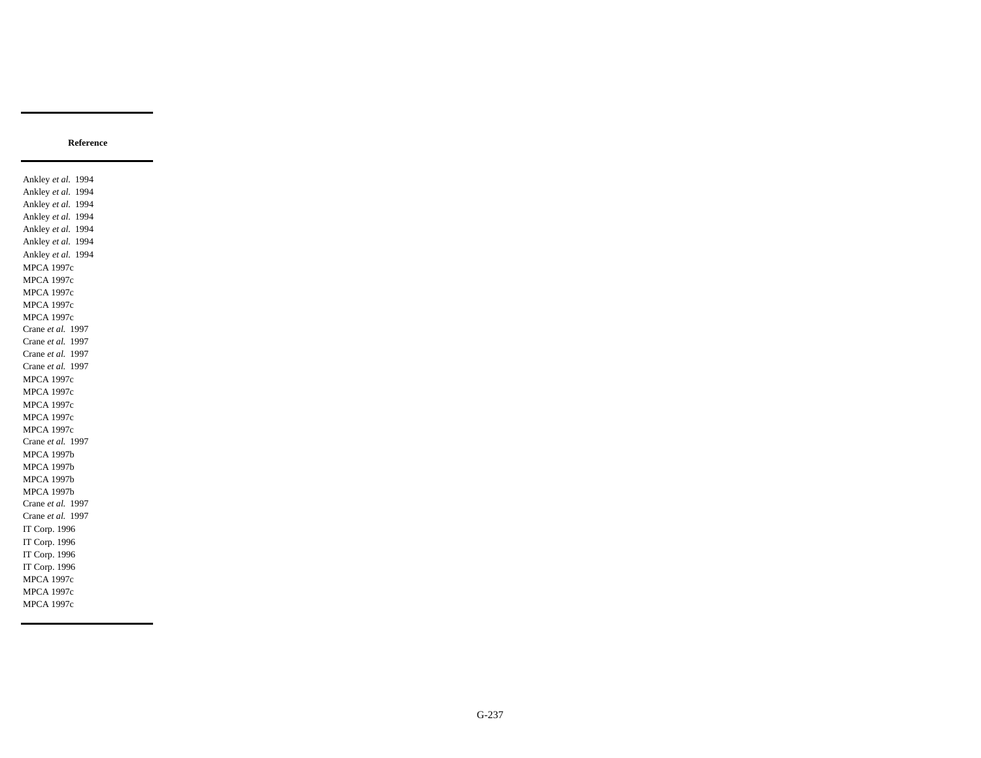Ankley *et al.* 1994 Ankley *et al.* 1994 Ankley *et al.* 1994 Ankley *et al.* 1994 Ankley *et al.* 1994 Ankley *et al.* 1994 Ankley *et al.* 1994 MPCA 1997c MPCA 1997c MPCA 1997c MPCA 1997c MPCA 1997c Crane *et al.* 1997 Crane *et al.* 1997 Crane *et al.* 1997 Crane *et al.* 1997 MPCA 1997c MPCA 1997c MPCA 1997c MPCA 1997c MPCA 1997c Crane *et al.* 1997 MPCA 1997b MPCA 1997b MPCA 1997b MPCA 1997b Crane *et al.* 1997 Crane *et al.* 1997 IT Corp. 1996 IT Corp. 1996 IT Corp. 1996 IT Corp. 1996 MPCA 1997c MPCA 1997c MPCA 1997c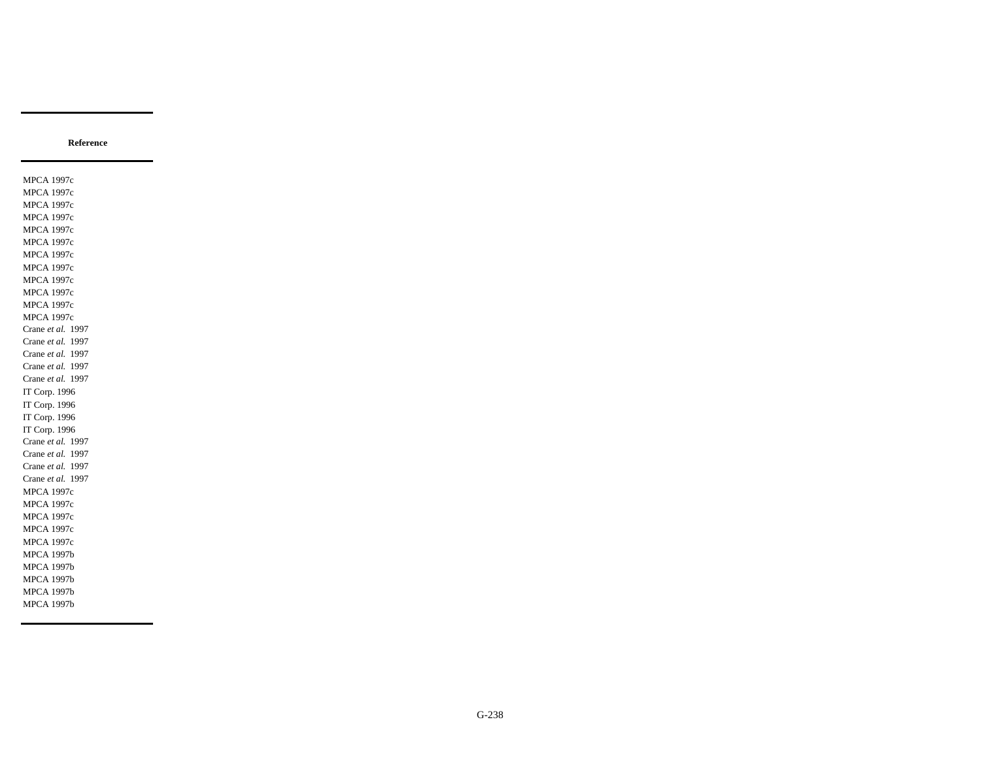MPCA 1997c MPCA 1997c MPCA 1997c MPCA 1997c MPCA 1997c MPCA 1997c MPCA 1997c MPCA 1997c MPCA 1997c MPCA 1997c MPCA 1997c MPCA 1997c Crane *et al.* 1997 Crane *et al.* 1997 Crane *et al.* 1997 Crane *et al.* 1997 Crane *et al.* 1997 IT Corp. 1996 IT Corp. 1996 IT Corp. 1996 IT Corp. 1996 Crane *et al.* 1997 Crane *et al.* 1997 Crane *et al.* 1997 Crane *et al.* 1997 MPCA 1997c MPCA 1997c MPCA 1997c MPCA 1997c MPCA 1997c MPCA 1997b MPCA 1997b MPCA 1997b MPCA 1997b MPCA 1997b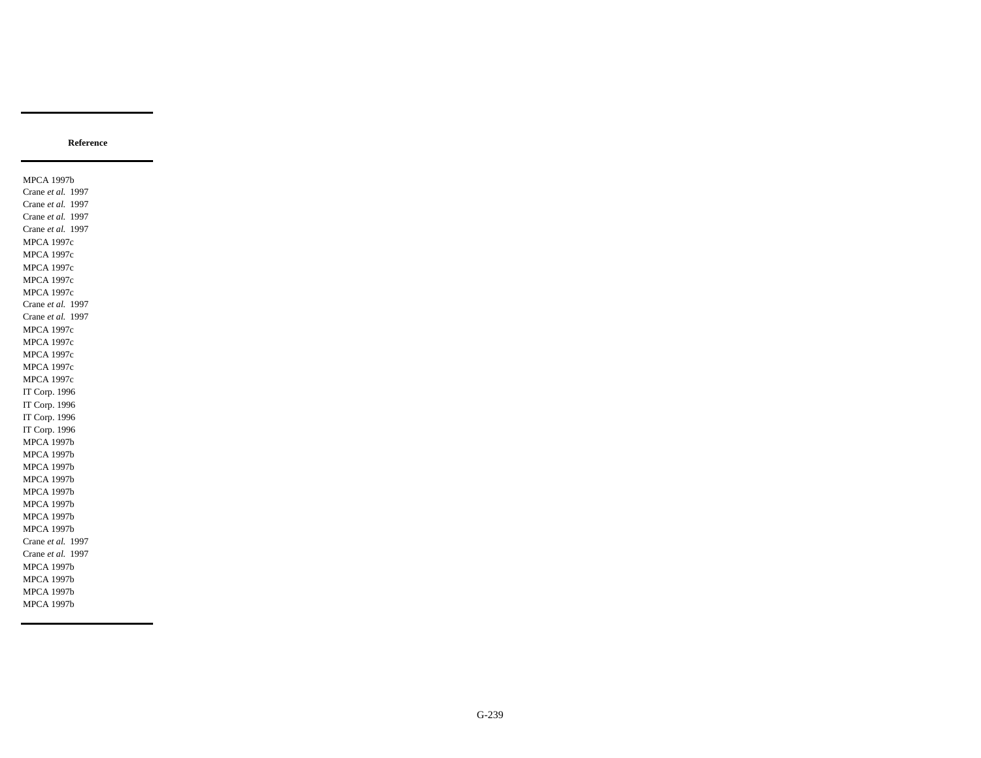MPCA 1997b Crane *et al.* 1997 Crane *et al.* 1997 Crane *et al.* 1997 Crane *et al.* 1997 MPCA 1997c MPCA 1997c MPCA 1997c MPCA 1997c MPCA 1997c Crane *et al.* 1997 Crane *et al.* 1997 MPCA 1997c MPCA 1997c MPCA 1997c MPCA 1997c MPCA 1997c IT Corp. 1996 IT Corp. 1996 IT Corp. 1996 IT Corp. 1996 MPCA 1997b MPCA 1997b MPCA 1997b MPCA 1997b MPCA 1997b MPCA 1997b MPCA 1997b MPCA 1997b Crane *et al.* 1997 Crane *et al.* 1997 MPCA 1997b MPCA 1997b MPCA 1997b MPCA 1997b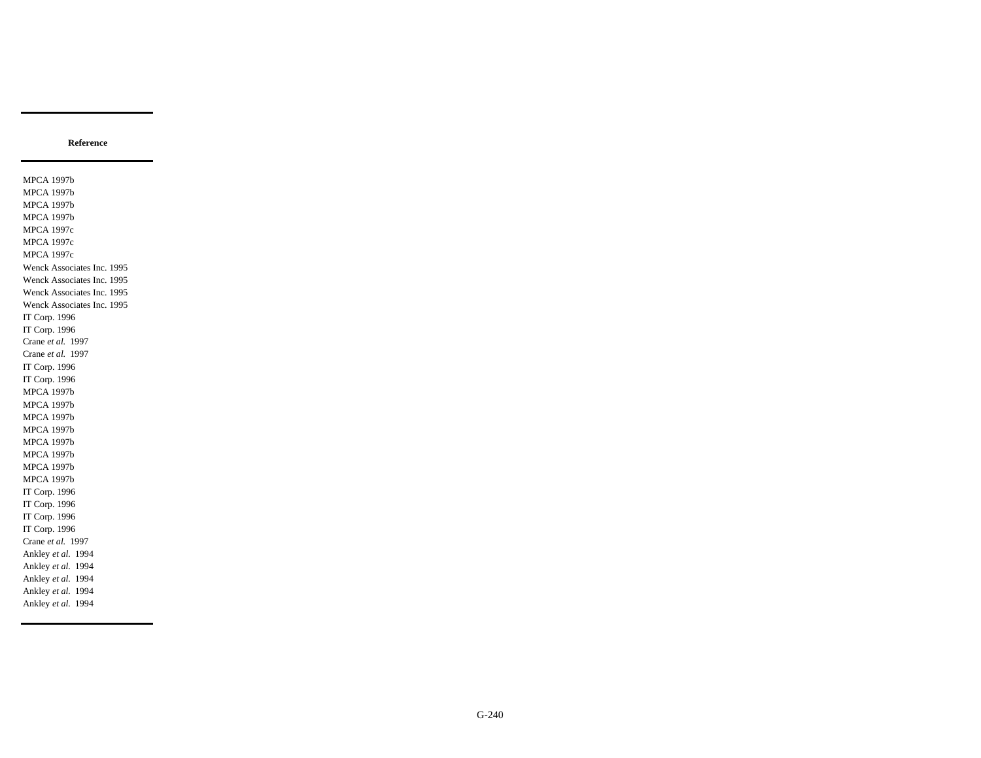MPCA 1997b MPCA 1997b MPCA 1997b MPCA 1997b MPCA 1997c MPCA 1997c MPCA 1997c Wenck Associates Inc. 1995 Wenck Associates Inc. 1995 Wenck Associates Inc. 1995 Wenck Associates Inc. 1995 IT Corp. 1996 IT Corp. 1996 Crane *et al.* 1997 Crane *et al.* 1997 IT Corp. 1996 IT Corp. 1996 MPCA 1997b MPCA 1997b MPCA 1997b MPCA 1997b MPCA 1997b MPCA 1997b MPCA 1997b MPCA 1997b IT Corp. 1996 IT Corp. 1996 IT Corp. 1996 IT Corp. 1996 Crane *et al.* 1997 Ankley *et al.* 1994 Ankley *et al.* 1994 Ankley *et al.* 1994 Ankley *et al.* 1994 Ankley *et al.* 1994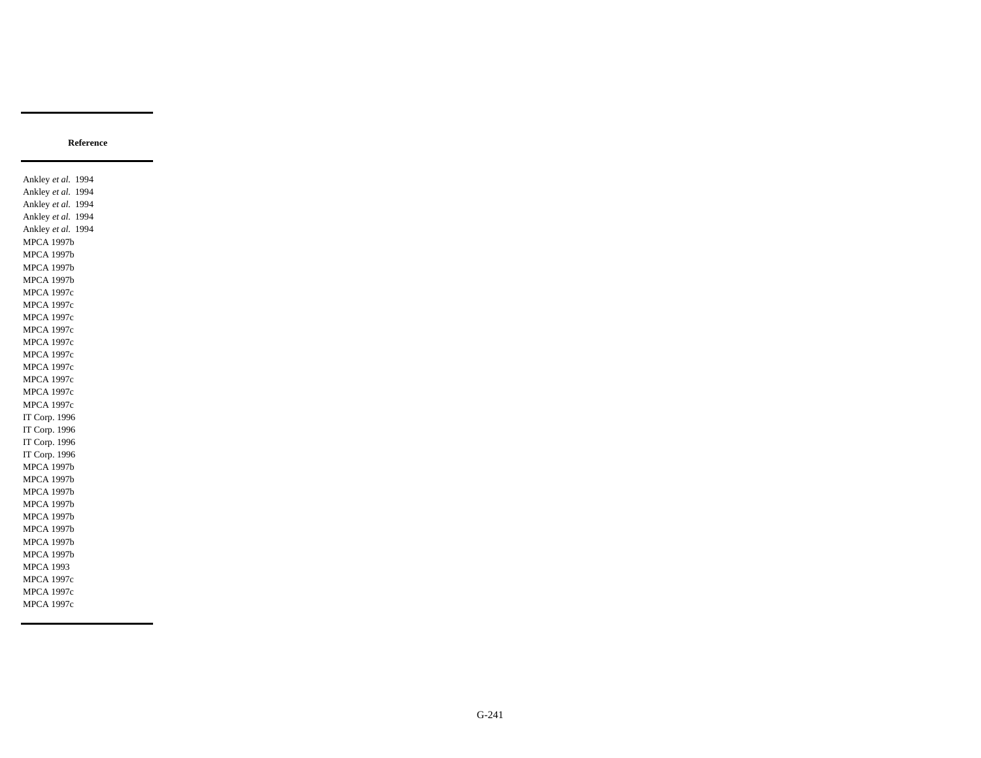Ankley *et al.* 1994 Ankley *et al.* 1994 Ankley *et al.* 1994 Ankley *et al.* 1994 Ankley *et al.* 1994 MPCA 1997b MPCA 1997b MPCA 1997b MPCA 1997b MPCA 1997c MPCA 1997c MPCA 1997c MPCA 1997c MPCA 1997c MPCA 1997c MPCA 1997c MPCA 1997c MPCA 1997c MPCA 1997c IT Corp. 1996 IT Corp. 1996 IT Corp. 1996 IT Corp. 1996 MPCA 1997b MPCA 1997b MPCA 1997b MPCA 1997b MPCA 1997b MPCA 1997b MPCA 1997b MPCA 1997b MPCA 1993 MPCA 1997c MPCA 1997c MPCA 1997c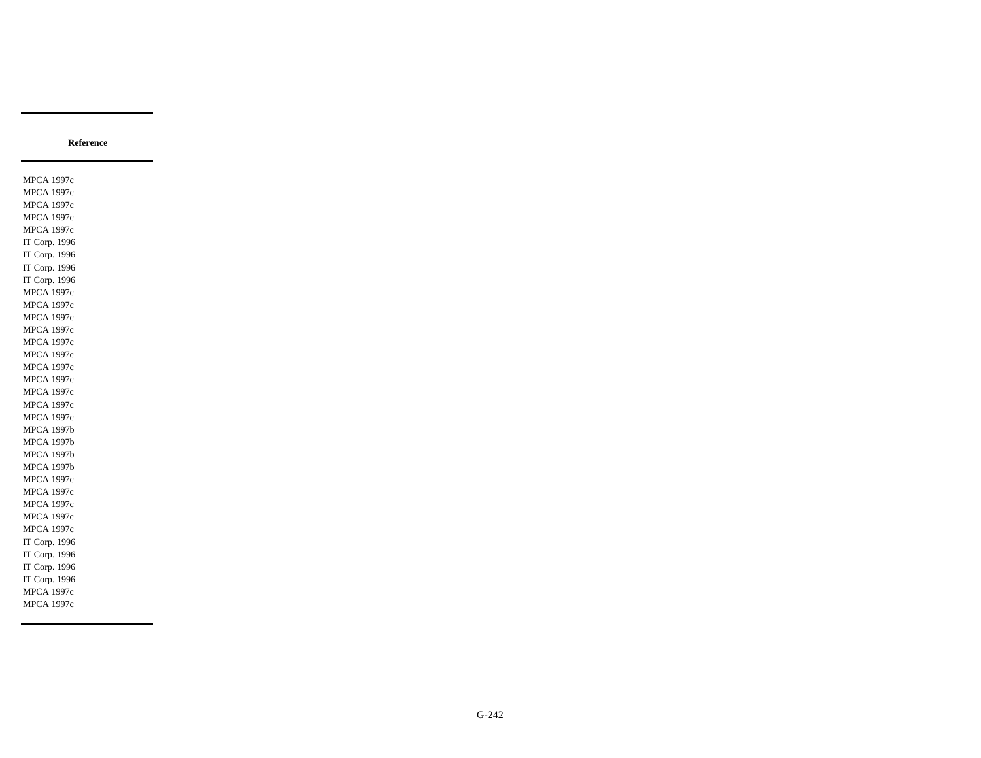MPCA 1997c MPCA 1997c MPCA 1997c MPCA 1997c MPCA 1997c IT Corp. 1996 IT Corp. 1996 IT Corp. 1996 IT Corp. 1996 MPCA 1997c MPCA 1997c MPCA 1997c MPCA 1997c MPCA 1997c MPCA 1997c MPCA 1997c MPCA 1997c MPCA 1997c MPCA 1997c MPCA 1997c MPCA 1997b MPCA 1997b MPCA 1997b MPCA 1997b MPCA 1997c MPCA 1997c MPCA 1997c MPCA 1997c MPCA 1997c IT Corp. 1996 IT Corp. 1996 IT Corp. 1996 IT Corp. 1996 MPCA 1997c MPCA 1997c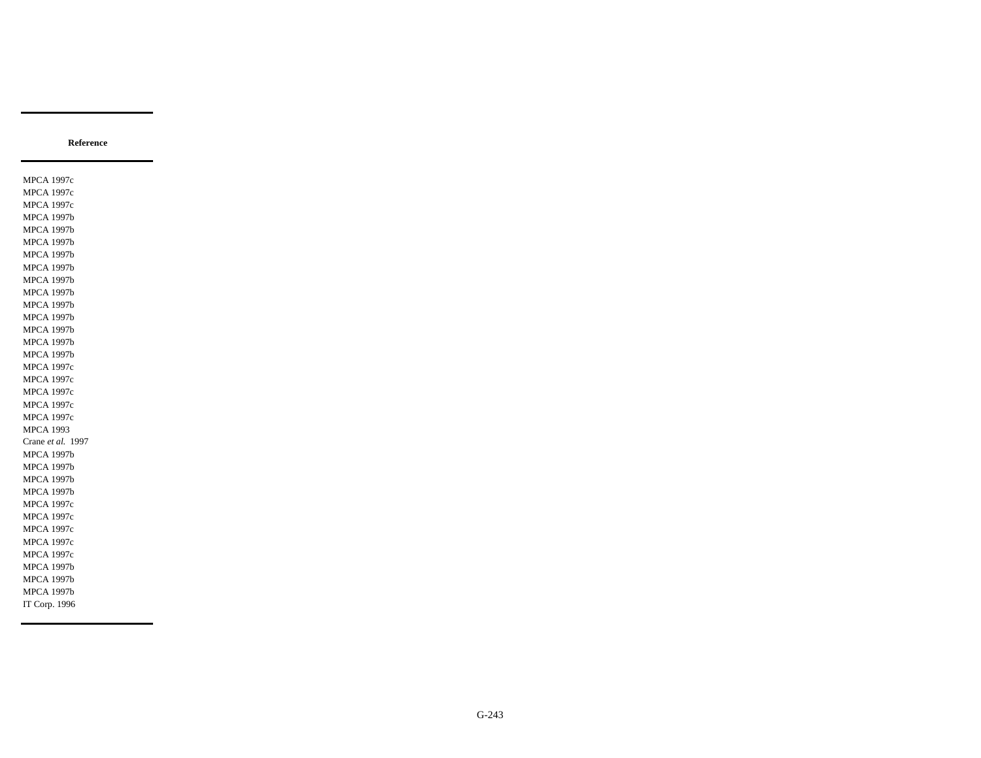MPCA 1997c MPCA 1997c MPCA 1997c MPCA 1997b MPCA 1997b MPCA 1997b MPCA 1997b MPCA 1997b MPCA 1997b MPCA 1997b MPCA 1997b MPCA 1997b MPCA 1997b MPCA 1997b MPCA 1997b MPCA 1997c MPCA 1997c MPCA 1997c MPCA 1997c MPCA 1997c MPCA 1993 Crane *et al.* 1997 MPCA 1997b MPCA 1997b MPCA 1997b MPCA 1997b MPCA 1997c MPCA 1997c MPCA 1997c MPCA 1997c MPCA 1997c MPCA 1997b MPCA 1997b MPCA 1997b IT Corp. 1996

**Reference**

G-243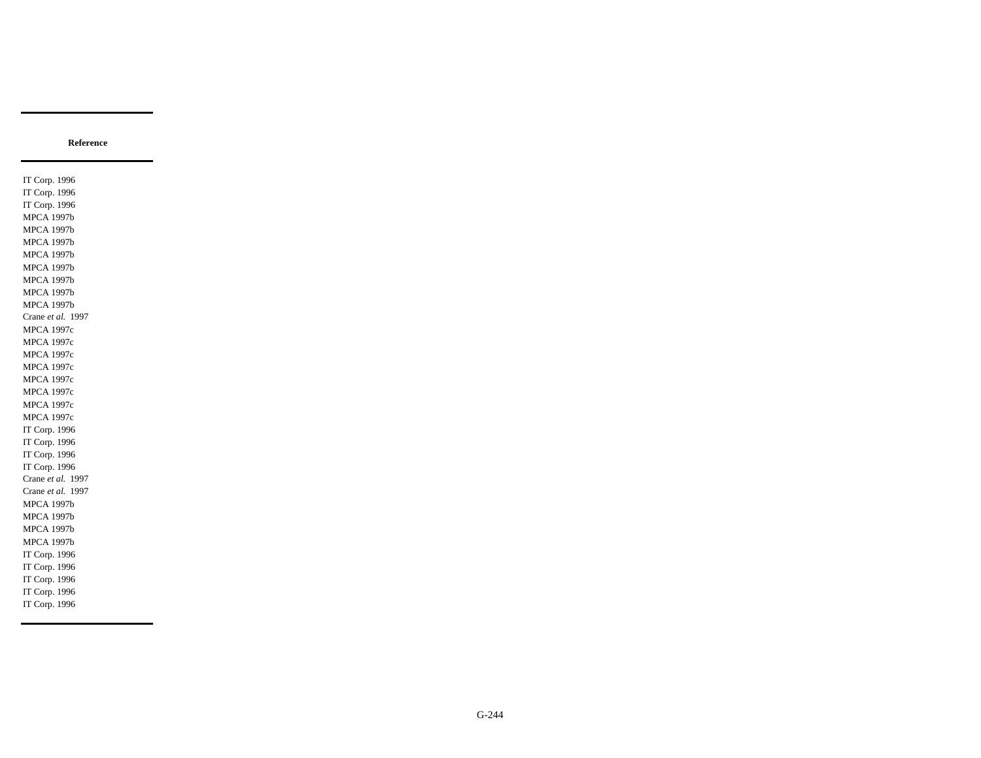IT Corp. 1996 IT Corp. 1996 IT Corp. 1996 MPCA 1997b MPCA 1997b MPCA 1997b MPCA 1997b MPCA 1997b MPCA 1997b MPCA 1997b MPCA 1997b Crane *et al.* 1997 MPCA 1997c MPCA 1997c MPCA 1997c MPCA 1997c MPCA 1997c MPCA 1997c MPCA 1997c MPCA 1997c IT Corp. 1996 IT Corp. 1996 IT Corp. 1996 IT Corp. 1996 Crane *et al.* 1997 Crane *et al.* 1997 MPCA 1997b MPCA 1997b MPCA 1997b MPCA 1997b IT Corp. 1996 IT Corp. 1996 IT Corp. 1996 IT Corp. 1996 IT Corp. 1996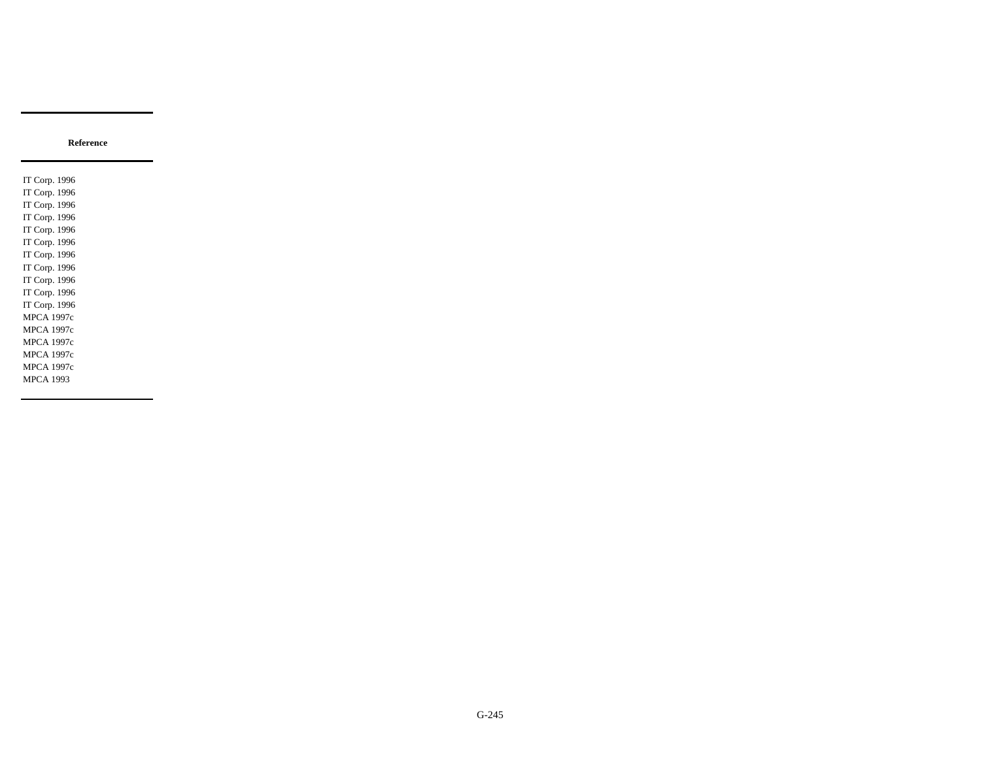IT Corp. 1996 IT Corp. 1996 IT Corp. 1996 IT Corp. 1996 IT Corp. 1996 IT Corp. 1996 IT Corp. 1996 IT Corp. 1996 IT Corp. 1996 IT Corp. 1996 IT Corp. 1996 MPCA 1997c MPCA 1997c MPCA 1997c MPCA 1997c MPCA 1997c MPCA 1993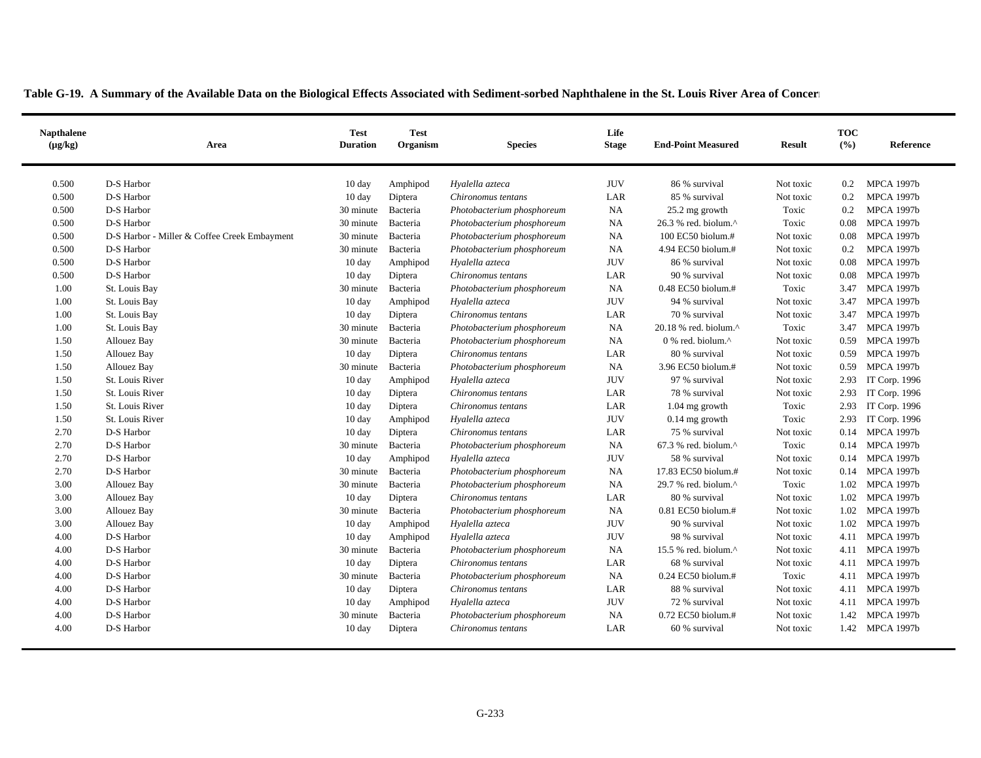| <b>Napthalene</b><br>$(\mu g/kg)$ | Area                                         | <b>Test</b><br><b>Duration</b> | <b>Test</b><br>Organism | Life<br><b>Stage</b><br><b>Species</b> |            | <b>End-Point Measured</b>                           | <b>Result</b> | <b>TOC</b><br>(%) | Reference         |
|-----------------------------------|----------------------------------------------|--------------------------------|-------------------------|----------------------------------------|------------|-----------------------------------------------------|---------------|-------------------|-------------------|
| 0.500                             | D-S Harbor                                   | $10 \text{ day}$               | Amphipod                | Hyalella azteca                        | <b>JUV</b> | 86 % survival                                       | Not toxic     | $0.2\,$           | <b>MPCA 1997b</b> |
| 0.500                             | D-S Harbor                                   | $10 \text{ day}$               | Diptera                 | Chironomus tentans                     | LAR        | 85 % survival                                       | Not toxic     | 0.2               | <b>MPCA 1997b</b> |
| 0.500                             | D-S Harbor                                   | 30 minute                      | Bacteria                | Photobacterium phosphoreum             | <b>NA</b>  | 25.2 mg growth                                      | Toxic         | $0.2\,$           | <b>MPCA 1997b</b> |
| 0.500                             | D-S Harbor                                   | 30 minute                      | Bacteria                | Photobacterium phosphoreum             | NA         | 26.3 % red. biolum.^                                | Toxic         | 0.08              | <b>MPCA 1997b</b> |
| 0.500                             | D-S Harbor - Miller & Coffee Creek Embayment | 30 minute                      | Bacteria                | Photobacterium phosphoreum             | <b>NA</b>  | 100 EC50 biolum.#                                   | Not toxic     | 0.08              | <b>MPCA 1997b</b> |
| 0.500                             | D-S Harbor                                   | 30 minute                      | Bacteria                | Photobacterium phosphoreum             | <b>NA</b>  | 4.94 EC50 biolum.#                                  | Not toxic     | 0.2               | <b>MPCA 1997b</b> |
| 0.500                             | D-S Harbor                                   | $10 \text{ day}$               | Amphipod                | Hyalella azteca                        | <b>JUV</b> | 86 % survival                                       | Not toxic     | 0.08              | <b>MPCA 1997b</b> |
| 0.500                             | D-S Harbor                                   | $10 \text{ day}$               | Diptera                 | Chironomus tentans                     | LAR        | 90 % survival                                       | Not toxic     | 0.08              | <b>MPCA 1997b</b> |
| 1.00                              | St. Louis Bay                                | 30 minute                      | Bacteria                | Photobacterium phosphoreum             | <b>NA</b>  | 0.48 EC50 biolum.#                                  | Toxic         | 3.47              | <b>MPCA 1997b</b> |
| 1.00                              | St. Louis Bay                                | 10 day                         | Amphipod                | Hyalella azteca                        | <b>JUV</b> | 94 % survival                                       | Not toxic     | 3.47              | <b>MPCA 1997b</b> |
| 1.00                              | St. Louis Bay                                | 10 day                         | Diptera                 | Chironomus tentans                     | LAR        | 70 % survival                                       | Not toxic     | 3.47              | <b>MPCA 1997b</b> |
| 1.00                              | St. Louis Bay                                | 30 minute                      | Bacteria                | Photobacterium phosphoreum             | NA         | 20.18 % red. biolum.^                               | Toxic         | 3.47              | <b>MPCA 1997b</b> |
| 1.50                              | Allouez Bay                                  | 30 minute                      | Bacteria                | Photobacterium phosphoreum             | <b>NA</b>  | $0\%$ red. biolum. <sup><math>\wedge</math></sup>   | Not toxic     | 0.59              | <b>MPCA 1997b</b> |
| 1.50                              | Allouez Bay                                  | $10 \text{ day}$               | Diptera                 | Chironomus tentans                     | LAR        | 80 % survival                                       | Not toxic     | 0.59              | <b>MPCA 1997b</b> |
| 1.50                              | Allouez Bay                                  | 30 minute                      | Bacteria                | Photobacterium phosphoreum             | <b>NA</b>  | 3.96 EC50 biolum.#                                  | Not toxic     | 0.59              | <b>MPCA 1997b</b> |
| 1.50                              | St. Louis River                              | 10 day                         | Amphipod                | Hyalella azteca                        | <b>JUV</b> | 97 % survival                                       | Not toxic     | 2.93              | IT Corp. 1996     |
| 1.50                              | St. Louis River                              | 10 day                         | Diptera                 | Chironomus tentans                     | LAR        | 78 % survival                                       | Not toxic     | 2.93              | IT Corp. 1996     |
| 1.50                              | St. Louis River                              | 10 day                         | Diptera                 | Chironomus tentans                     | LAR        | $1.04$ mg growth                                    | Toxic         | 2.93              | IT Corp. 1996     |
| 1.50                              | St. Louis River                              | $10 \text{ day}$               | Amphipod                | Hyalella azteca                        | <b>JUV</b> | $0.14$ mg growth                                    | Toxic         | 2.93              | IT Corp. 1996     |
| 2.70                              | D-S Harbor                                   | $10 \text{ day}$               | Diptera                 | Chironomus tentans                     | LAR        | 75 % survival                                       | Not toxic     | 0.14              | <b>MPCA 1997b</b> |
| 2.70                              | D-S Harbor                                   | 30 minute                      | Bacteria                | Photobacterium phosphoreum             | <b>NA</b>  | $67.3$ % red. biolum. <sup><math>\land</math></sup> | Toxic         | 0.14              | <b>MPCA 1997b</b> |
| 2.70                              | D-S Harbor                                   | $10 \text{ day}$               | Amphipod                | Hyalella azteca                        | <b>JUV</b> | 58 % survival                                       | Not toxic     |                   | 0.14 MPCA 1997b   |
| 2.70                              | D-S Harbor                                   | 30 minute                      | Bacteria                | Photobacterium phosphoreum             | <b>NA</b>  | 17.83 EC50 biolum.#                                 | Not toxic     |                   | 0.14 MPCA 1997b   |
| 3.00                              | Allouez Bay                                  | 30 minute                      | Bacteria                | Photobacterium phosphoreum             | <b>NA</b>  | 29.7 % red. biolum.^                                | Toxic         | 1.02              | <b>MPCA 1997b</b> |
| 3.00                              | Allouez Bay                                  | 10 day                         | Diptera                 | Chironomus tentans                     | LAR        | 80 % survival                                       | Not toxic     | 1.02              | <b>MPCA 1997b</b> |
| 3.00                              | Allouez Bay                                  | 30 minute                      | Bacteria                | Photobacterium phosphoreum             | <b>NA</b>  | $0.81$ EC50 biolum.#                                | Not toxic     | 1.02              | <b>MPCA 1997b</b> |
| 3.00                              | Allouez Bay                                  | $10 \text{ day}$               | Amphipod                | Hyalella azteca                        | <b>JUV</b> | 90 % survival                                       | Not toxic     | 1.02              | <b>MPCA 1997b</b> |
| 4.00                              | D-S Harbor                                   | $10 \text{ day}$               | Amphipod                | Hyalella azteca                        | <b>JUV</b> | 98 % survival                                       | Not toxic     | 4.11              | <b>MPCA 1997b</b> |
| 4.00                              | D-S Harbor                                   | 30 minute                      | Bacteria                | Photobacterium phosphoreum             | <b>NA</b>  | 15.5 % red. biolum. $^{\wedge}$                     | Not toxic     |                   | 4.11 MPCA 1997b   |
| 4.00                              | D-S Harbor                                   | 10 day                         | Diptera                 | Chironomus tentans                     | LAR        | 68 % survival                                       | Not toxic     |                   | 4.11 MPCA 1997b   |
| 4.00                              | D-S Harbor                                   | 30 minute                      | Bacteria                | Photobacterium phosphoreum             | <b>NA</b>  | $0.24$ EC50 biolum.#                                | Toxic         |                   | 4.11 MPCA 1997b   |
| 4.00                              | D-S Harbor                                   | $10 \text{ day}$               | Diptera                 | Chironomus tentans                     | LAR        | 88 % survival                                       | Not toxic     |                   | 4.11 MPCA 1997b   |
| 4.00                              | D-S Harbor                                   | $10 \text{ day}$               | Amphipod                | Hyalella azteca                        | <b>JUV</b> | 72 % survival                                       | Not toxic     |                   | 4.11 MPCA 1997b   |
| 4.00                              | D-S Harbor                                   | 30 minute                      | Bacteria                | Photobacterium phosphoreum             | <b>NA</b>  | 0.72 EC50 biolum.#                                  | Not toxic     | 1.42              | <b>MPCA 1997b</b> |
| 4.00                              | D-S Harbor                                   | $10 \text{ day}$               | Diptera                 | Chironomus tentans                     | LAR        | 60 % survival                                       | Not toxic     |                   | 1.42 MPCA 1997b   |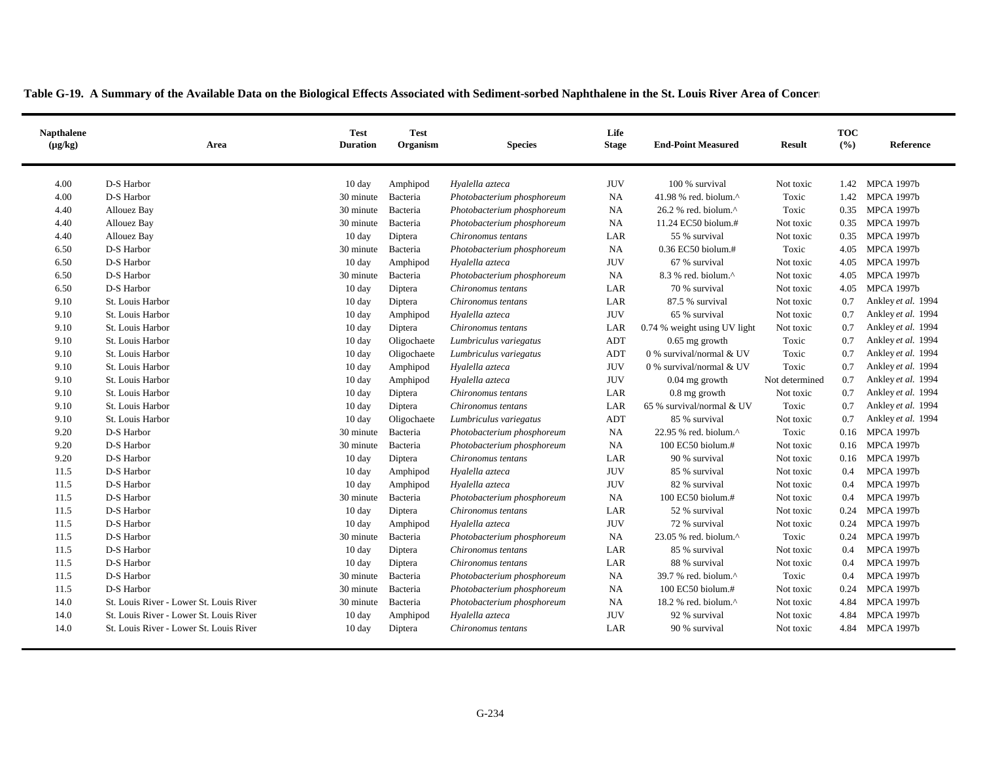| <b>Napthalene</b><br>$(\mu g/kg)$ | Area                                    | <b>Test</b><br><b>Duration</b> | <b>Test</b><br>Organism | Life<br><b>Stage</b><br><b>Species</b> |            | <b>End-Point Measured</b>                            | <b>Result</b>  | <b>TOC</b><br>(%) | Reference          |
|-----------------------------------|-----------------------------------------|--------------------------------|-------------------------|----------------------------------------|------------|------------------------------------------------------|----------------|-------------------|--------------------|
| 4.00                              | D-S Harbor                              | $10 \text{ day}$               | Amphipod                | Hyalella azteca                        | <b>JUV</b> | 100 % survival                                       | Not toxic      | 1.42              | <b>MPCA 1997b</b>  |
| 4.00                              | D-S Harbor                              | 30 minute                      | Bacteria                | Photobacterium phosphoreum             | <b>NA</b>  | 41.98 % red. biolum.^                                | Toxic          | 1.42              | <b>MPCA 1997b</b>  |
| 4.40                              | Allouez Bay                             | 30 minute                      | Bacteria                | Photobacterium phosphoreum             | <b>NA</b>  | $26.2$ % red. biolum. <sup><math>\wedge</math></sup> | Toxic          | 0.35              | <b>MPCA 1997b</b>  |
| 4.40                              | Allouez Bay                             | 30 minute                      | Bacteria                | Photobacterium phosphoreum             | <b>NA</b>  | 11.24 EC50 biolum.#                                  | Not toxic      | 0.35              | <b>MPCA 1997b</b>  |
| 4.40                              | Allouez Bay                             | $10 \text{ day}$               | Diptera                 | Chironomus tentans                     | LAR        | 55 % survival                                        | Not toxic      | 0.35              | <b>MPCA 1997b</b>  |
| 6.50                              | D-S Harbor                              | 30 minute                      | Bacteria                | Photobacterium phosphoreum             | <b>NA</b>  | 0.36 EC50 biolum.#                                   | Toxic          | 4.05              | <b>MPCA 1997b</b>  |
| 6.50                              | D-S Harbor                              | $10 \text{ day}$               | Amphipod                | Hyalella azteca                        | <b>JUV</b> | 67 % survival                                        | Not toxic      | 4.05              | <b>MPCA 1997b</b>  |
| 6.50                              | D-S Harbor                              | 30 minute                      | Bacteria                | Photobacterium phosphoreum             | <b>NA</b>  | 8.3 % red. biolum.^                                  | Not toxic      | 4.05              | <b>MPCA 1997b</b>  |
| 6.50                              | D-S Harbor                              | $10 \text{ day}$               | Diptera                 | Chironomus tentans                     | LAR        | 70 % survival                                        | Not toxic      | 4.05              | <b>MPCA 1997b</b>  |
| 9.10                              | St. Louis Harbor                        | $10 \text{ day}$               | Diptera                 | Chironomus tentans                     | LAR        | 87.5 % survival                                      | Not toxic      | 0.7               | Ankley et al. 1994 |
| 9.10                              | St. Louis Harbor                        | 10 day                         | Amphipod                | Hyalella azteca                        | <b>JUV</b> | 65 % survival                                        | Not toxic      | 0.7               | Ankley et al. 1994 |
| 9.10                              | St. Louis Harbor                        | 10 day                         | Diptera                 | Chironomus tentans                     | LAR        | 0.74 % weight using UV light                         | Not toxic      | 0.7               | Ankley et al. 1994 |
| 9.10                              | St. Louis Harbor                        | 10 day                         | Oligochaete             | Lumbriculus variegatus                 | ADT        | $0.65$ mg growth                                     | Toxic          | 0.7               | Ankley et al. 1994 |
| 9.10                              | St. Louis Harbor                        | $10 \text{ day}$               | Oligochaete             | Lumbriculus variegatus                 | ADT        | 0 % survival/normal & UV                             | Toxic          | 0.7               | Ankley et al. 1994 |
| 9.10                              | St. Louis Harbor                        | $10 \text{ day}$               | Amphipod                | Hyalella azteca                        | <b>JUV</b> | 0 % survival/normal & UV                             | Toxic          | 0.7               | Ankley et al. 1994 |
| 9.10                              | St. Louis Harbor                        | $10 \text{ day}$               | Amphipod                | Hyalella azteca                        | <b>JUV</b> | $0.04$ mg growth                                     | Not determined | 0.7               | Ankley et al. 1994 |
| 9.10                              | St. Louis Harbor                        | 10 day                         | Diptera                 | Chironomus tentans                     | LAR        | $0.8$ mg growth                                      | Not toxic      | 0.7               | Ankley et al. 1994 |
| 9.10                              | St. Louis Harbor                        | 10 day                         | Diptera                 | Chironomus tentans                     | LAR        | 65 % survival/normal & UV                            | Toxic          | 0.7               | Ankley et al. 1994 |
| 9.10                              | St. Louis Harbor                        | $10 \text{ day}$               | Oligochaete             | Lumbriculus variegatus                 | ADT        | 85 % survival                                        | Not toxic      | 0.7               | Ankley et al. 1994 |
| 9.20                              | D-S Harbor                              | 30 minute                      | Bacteria                | Photobacterium phosphoreum             | <b>NA</b>  | $22.95$ % red. biolum. <sup>^</sup>                  | Toxic          | 0.16              | <b>MPCA 1997b</b>  |
| 9.20                              | D-S Harbor                              | 30 minute                      | Bacteria                | Photobacterium phosphoreum             | <b>NA</b>  | 100 EC50 biolum.#                                    | Not toxic      | 0.16              | <b>MPCA 1997b</b>  |
| 9.20                              | D-S Harbor                              | $10 \text{ day}$               | Diptera                 | Chironomus tentans                     | LAR        | 90 % survival                                        | Not toxic      | 0.16              | <b>MPCA 1997b</b>  |
| 11.5                              | D-S Harbor                              | 10 day                         | Amphipod                | Hyalella azteca                        | <b>JUV</b> | 85 % survival                                        | Not toxic      | 0.4               | <b>MPCA 1997b</b>  |
| 11.5                              | D-S Harbor                              | 10 day                         | Amphipod                | Hyalella azteca                        | <b>JUV</b> | 82 % survival                                        | Not toxic      | 0.4               | <b>MPCA 1997b</b>  |
| 11.5                              | D-S Harbor                              | 30 minute                      | Bacteria                | Photobacterium phosphoreum             | NA         | 100 EC50 biolum.#                                    | Not toxic      | 0.4               | <b>MPCA 1997b</b>  |
| 11.5                              | D-S Harbor                              | $10 \text{ day}$               | Diptera                 | Chironomus tentans                     | LAR        | 52 % survival                                        | Not toxic      | 0.24              | <b>MPCA 1997b</b>  |
| 11.5                              | D-S Harbor                              | 10 day                         | Amphipod                | Hyalella azteca                        | <b>JUV</b> | 72 % survival                                        | Not toxic      | 0.24              | <b>MPCA 1997b</b>  |
| 11.5                              | D-S Harbor                              | 30 minute                      | Bacteria                | Photobacterium phosphoreum             | <b>NA</b>  | 23.05 % red. biolum.^                                | Toxic          | 0.24              | <b>MPCA 1997b</b>  |
| 11.5                              | D-S Harbor                              | 10 day                         | Diptera                 | Chironomus tentans                     | LAR        | 85 % survival                                        | Not toxic      | 0.4               | <b>MPCA 1997b</b>  |
| 11.5                              | D-S Harbor                              | $10 \text{ day}$               | Diptera                 | Chironomus tentans                     | LAR        | 88 % survival                                        | Not toxic      | 0.4               | <b>MPCA 1997b</b>  |
| 11.5                              | D-S Harbor                              | 30 minute                      | Bacteria                | Photobacterium phosphoreum             | <b>NA</b>  | 39.7 % red. biolum.^                                 | Toxic          | 0.4               | <b>MPCA 1997b</b>  |
| 11.5                              | D-S Harbor                              | 30 minute                      | Bacteria                | Photobacterium phosphoreum             | <b>NA</b>  | $100$ EC50 biolum.#                                  | Not toxic      | 0.24              | <b>MPCA 1997b</b>  |
| 14.0                              | St. Louis River - Lower St. Louis River | 30 minute                      | Bacteria                | Photobacterium phosphoreum             | <b>NA</b>  | 18.2 % red. biolum.^                                 | Not toxic      | 4.84              | <b>MPCA 1997b</b>  |
| 14.0                              | St. Louis River - Lower St. Louis River | $10 \text{ day}$               | Amphipod                | Hyalella azteca                        | <b>JUV</b> | 92 % survival                                        | Not toxic      | 4.84              | <b>MPCA 1997b</b>  |
| 14.0                              | St. Louis River - Lower St. Louis River | 10 day                         | Diptera                 | Chironomus tentans                     | LAR        | 90 % survival                                        | Not toxic      |                   | 4.84 MPCA 1997b    |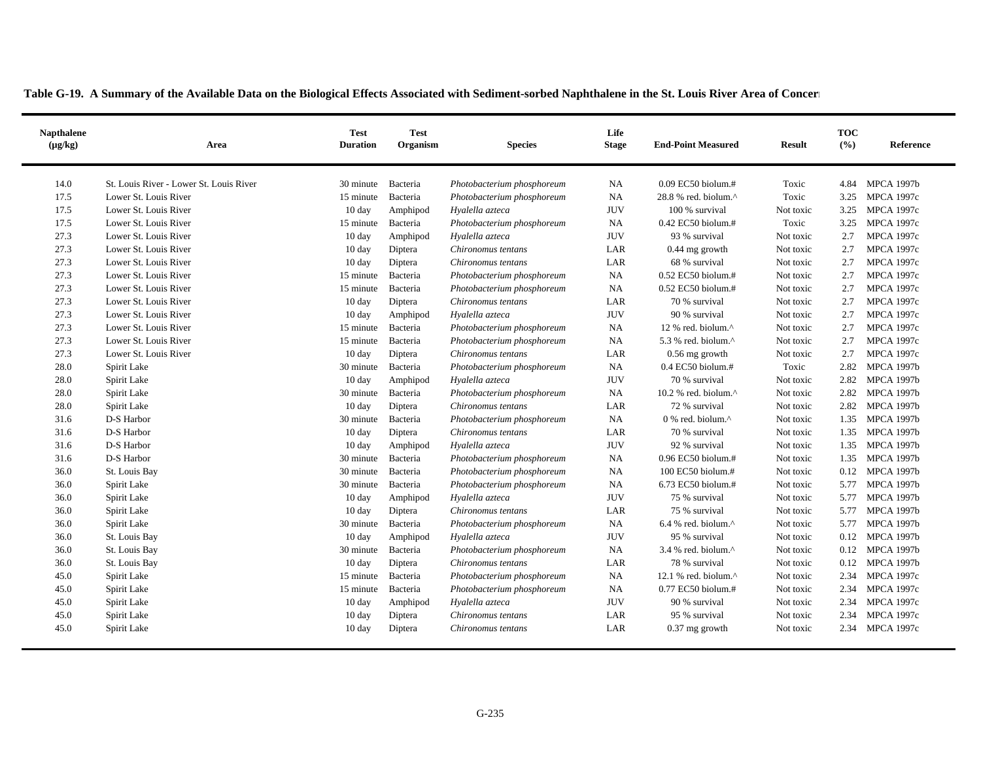$\blacksquare$ 

| <b>Napthalene</b><br>$(\mu g/kg)$ | Area                                    | <b>Test</b><br><b>Duration</b> | <b>Test</b><br>Organism | <b>Species</b>             | Life<br><b>Stage</b> | <b>End-Point Measured</b>                           | <b>Result</b> | <b>TOC</b><br>(%) | Reference         |
|-----------------------------------|-----------------------------------------|--------------------------------|-------------------------|----------------------------|----------------------|-----------------------------------------------------|---------------|-------------------|-------------------|
| 14.0                              | St. Louis River - Lower St. Louis River | 30 minute                      | Bacteria                | Photobacterium phosphoreum | <b>NA</b>            | 0.09 EC50 biolum.#                                  | Toxic         | 4.84              | <b>MPCA 1997b</b> |
| 17.5                              | Lower St. Louis River                   | 15 minute                      | Bacteria                | Photobacterium phosphoreum | <b>NA</b>            | 28.8 % red. biolum.^                                | Toxic         | 3.25              | <b>MPCA 1997c</b> |
| 17.5                              | Lower St. Louis River                   | $10 \text{ day}$               | Amphipod                | Hyalella azteca            | <b>JUV</b>           | 100 % survival                                      | Not toxic     | 3.25              | <b>MPCA 1997c</b> |
| 17.5                              | Lower St. Louis River                   | 15 minute                      | Bacteria                | Photobacterium phosphoreum | NA                   | 0.42 EC50 biolum.#                                  | Toxic         | 3.25              | <b>MPCA 1997c</b> |
| 27.3                              | Lower St. Louis River                   | 10 day                         | Amphipod                | Hyalella azteca            | <b>JUV</b>           | 93 % survival                                       | Not toxic     | 2.7               | <b>MPCA 1997c</b> |
| 27.3                              | Lower St. Louis River                   | $10 \text{ day}$               | Diptera                 | Chironomus tentans         | LAR                  | $0.44$ mg growth                                    | Not toxic     | 2.7               | <b>MPCA 1997c</b> |
| 27.3                              | Lower St. Louis River                   | $10 \text{ day}$               | Diptera                 | Chironomus tentans         | LAR                  | 68 % survival                                       | Not toxic     | 2.7               | <b>MPCA 1997c</b> |
| 27.3                              | Lower St. Louis River                   | 15 minute                      | Bacteria                | Photobacterium phosphoreum | <b>NA</b>            | 0.52 EC50 biolum.#                                  | Not toxic     | 2.7               | <b>MPCA 1997c</b> |
| 27.3                              | Lower St. Louis River                   | 15 minute                      | Bacteria                | Photobacterium phosphoreum | <b>NA</b>            | 0.52 EC50 biolum.#                                  | Not toxic     | 2.7               | <b>MPCA 1997c</b> |
| 27.3                              | Lower St. Louis River                   | 10 day                         | Diptera                 | Chironomus tentans         | LAR                  | 70 % survival                                       | Not toxic     | 2.7               | <b>MPCA 1997c</b> |
| 27.3                              | Lower St. Louis River                   | 10 day                         | Amphipod                | Hyalella azteca            | <b>JUV</b>           | 90 % survival                                       | Not toxic     | 2.7               | <b>MPCA 1997c</b> |
| 27.3                              | Lower St. Louis River                   | 15 minute                      | Bacteria                | Photobacterium phosphoreum | NA                   | 12 % red. biolum.^                                  | Not toxic     | 2.7               | <b>MPCA 1997c</b> |
| 27.3                              | Lower St. Louis River                   | 15 minute                      | Bacteria                | Photobacterium phosphoreum | <b>NA</b>            | 5.3 % red. biolum.^                                 | Not toxic     | 2.7               | <b>MPCA 1997c</b> |
| 27.3                              | Lower St. Louis River                   | 10 day                         | Diptera                 | Chironomus tentans         | LAR                  | $0.56$ mg growth                                    | Not toxic     | 2.7               | <b>MPCA 1997c</b> |
| 28.0                              | Spirit Lake                             | 30 minute                      | Bacteria                | Photobacterium phosphoreum | NA                   | $0.4$ EC50 biolum.#                                 | Toxic         | 2.82              | <b>MPCA 1997b</b> |
| 28.0                              | Spirit Lake                             | 10 day                         | Amphipod                | Hyalella azteca            | <b>JUV</b>           | 70 % survival                                       | Not toxic     | 2.82              | <b>MPCA 1997b</b> |
| 28.0                              | Spirit Lake                             | 30 minute                      | Bacteria                | Photobacterium phosphoreum | <b>NA</b>            | 10.2 % red. biolum. $^{\wedge}$                     | Not toxic     | 2.82              | <b>MPCA 1997b</b> |
| 28.0                              | Spirit Lake                             | 10 day                         | Diptera                 | Chironomus tentans         | LAR                  | 72 % survival                                       | Not toxic     | 2.82              | <b>MPCA 1997b</b> |
| 31.6                              | D-S Harbor                              | 30 minute                      | Bacteria                | Photobacterium phosphoreum | <b>NA</b>            | $0\%$ red. biolum. <sup><math>\wedge</math></sup>   | Not toxic     | 1.35              | <b>MPCA 1997b</b> |
| 31.6                              | D-S Harbor                              | $10 \text{ day}$               | Diptera                 | Chironomus tentans         | LAR                  | 70 % survival                                       | Not toxic     | 1.35              | <b>MPCA 1997b</b> |
| 31.6                              | D-S Harbor                              | 10 day                         | Amphipod                | Hyalella azteca            | <b>JUV</b>           | 92 % survival                                       | Not toxic     | 1.35              | <b>MPCA 1997b</b> |
| 31.6                              | D-S Harbor                              | 30 minute                      | Bacteria                | Photobacterium phosphoreum | <b>NA</b>            | 0.96 EC50 biolum.#                                  | Not toxic     | 1.35              | <b>MPCA 1997b</b> |
| 36.0                              | St. Louis Bay                           | 30 minute                      | Bacteria                | Photobacterium phosphoreum | <b>NA</b>            | 100 EC50 biolum.#                                   | Not toxic     |                   | 0.12 MPCA 1997b   |
| 36.0                              | Spirit Lake                             | 30 minute                      | Bacteria                | Photobacterium phosphoreum | <b>NA</b>            | 6.73 EC50 biolum.#                                  | Not toxic     | 5.77              | <b>MPCA 1997b</b> |
| 36.0                              | Spirit Lake                             | 10 day                         | Amphipod                | Hyalella azteca            | <b>JUV</b>           | 75 % survival                                       | Not toxic     | 5.77              | <b>MPCA 1997b</b> |
| 36.0                              | Spirit Lake                             | $10 \text{ day}$               | Diptera                 | Chironomus tentans         | LAR                  | 75 % survival                                       | Not toxic     | 5.77              | <b>MPCA 1997b</b> |
| 36.0                              | Spirit Lake                             | 30 minute                      | Bacteria                | Photobacterium phosphoreum | <b>NA</b>            | $6.4$ % red. biolum. <sup><math>\wedge</math></sup> | Not toxic     | 5.77              | <b>MPCA 1997b</b> |
| 36.0                              | St. Louis Bay                           | $10 \text{ day}$               | Amphipod                | Hyalella azteca            | <b>JUV</b>           | 95 % survival                                       | Not toxic     | 0.12              | <b>MPCA 1997b</b> |
| 36.0                              | St. Louis Bay                           | 30 minute                      | Bacteria                | Photobacterium phosphoreum | <b>NA</b>            | 3.4 % red. biolum. $^{\wedge}$                      | Not toxic     |                   | 0.12 MPCA 1997b   |
| 36.0                              | St. Louis Bay                           | $10 \text{ day}$               | Diptera                 | Chironomus tentans         | LAR                  | 78 % survival                                       | Not toxic     | 0.12              | <b>MPCA 1997b</b> |
| 45.0                              | Spirit Lake                             | 15 minute                      | Bacteria                | Photobacterium phosphoreum | <b>NA</b>            | 12.1 % red. biolum. $^{\wedge}$                     | Not toxic     | 2.34              | <b>MPCA 1997c</b> |
| 45.0                              | Spirit Lake                             | 15 minute                      | Bacteria                | Photobacterium phosphoreum | <b>NA</b>            | 0.77 EC50 biolum.#                                  | Not toxic     | 2.34              | <b>MPCA 1997c</b> |
| 45.0                              | Spirit Lake                             | 10 day                         | Amphipod                | Hyalella azteca            | <b>JUV</b>           | 90 % survival                                       | Not toxic     | 2.34              | <b>MPCA 1997c</b> |
| 45.0                              | Spirit Lake                             | 10 day                         | Diptera                 | Chironomus tentans         | LAR                  | 95 % survival                                       | Not toxic     | 2.34              | <b>MPCA 1997c</b> |
| 45.0                              | Spirit Lake                             | $10 \text{ day}$               | Diptera                 | Chironomus tentans         | LAR                  | $0.37$ mg growth                                    | Not toxic     | 2.34              | <b>MPCA 1997c</b> |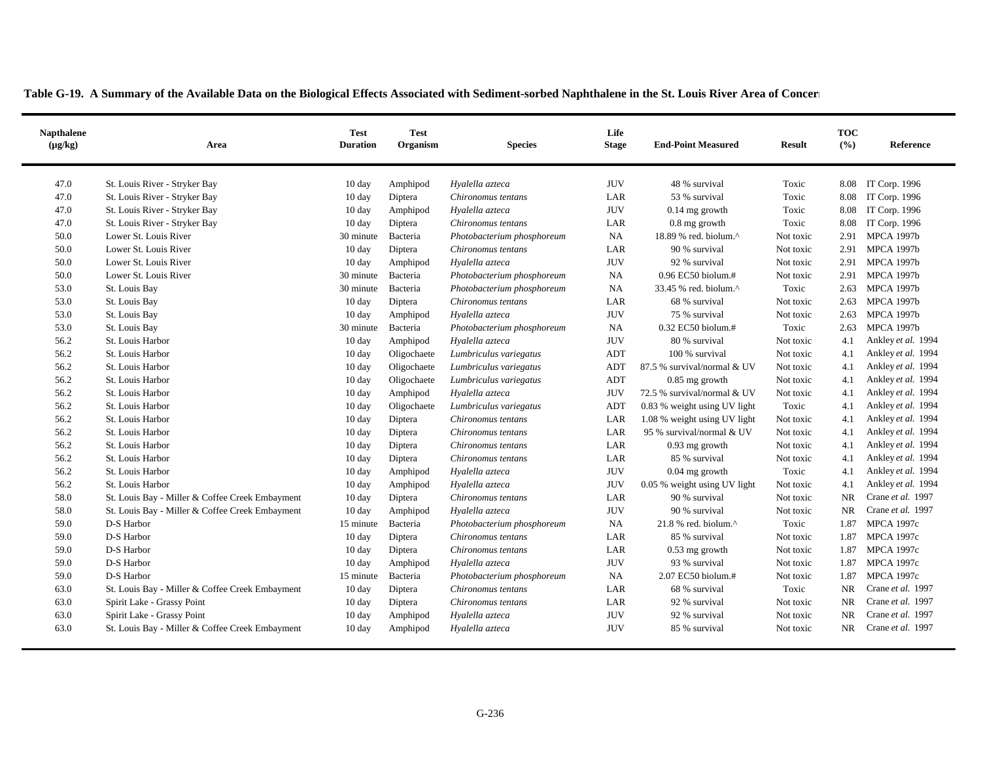| 47.0<br>St. Louis River - Stryker Bay<br><b>JUV</b><br>48 % survival<br>IT Corp. 1996<br>$10 \text{ day}$<br>Amphipod<br>Hyalella azteca<br>Toxic<br>8.08<br>47.0<br>St. Louis River - Stryker Bay<br>LAR<br>IT Corp. 1996<br>Chironomus tentans<br>53 % survival<br>Toxic<br>8.08<br>10 day<br>Diptera<br>47.0<br>St. Louis River - Stryker Bay<br><b>JUV</b><br>IT Corp. 1996<br>10 day<br>Hyalella azteca<br>$0.14$ mg growth<br>Toxic<br>8.08<br>Amphipod |                    |
|---------------------------------------------------------------------------------------------------------------------------------------------------------------------------------------------------------------------------------------------------------------------------------------------------------------------------------------------------------------------------------------------------------------------------------------------------------------|--------------------|
|                                                                                                                                                                                                                                                                                                                                                                                                                                                               |                    |
|                                                                                                                                                                                                                                                                                                                                                                                                                                                               |                    |
|                                                                                                                                                                                                                                                                                                                                                                                                                                                               |                    |
| 47.0<br>St. Louis River - Stryker Bay<br>LAR<br>Toxic<br>8.08<br>IT Corp. 1996<br>10 day<br>Chironomus tentans<br>$0.8$ mg growth<br>Diptera                                                                                                                                                                                                                                                                                                                  |                    |
| 50.0<br><b>NA</b><br><b>MPCA 1997b</b><br>Lower St. Louis River<br>30 minute<br>Bacteria<br>Photobacterium phosphoreum<br>18.89 % red. biolum. $^{\wedge}$<br>Not toxic<br>2.91                                                                                                                                                                                                                                                                               |                    |
| 50.0<br>Lower St. Louis River<br>LAR<br>Diptera<br>90 % survival<br>2.91<br><b>MPCA 1997b</b><br>10 day<br>Chironomus tentans<br>Not toxic                                                                                                                                                                                                                                                                                                                    |                    |
| 50.0<br><b>JUV</b><br><b>MPCA 1997b</b><br>Lower St. Louis River<br>10 day<br>Hyalella azteca<br>92 % survival<br>Not toxic<br>2.91<br>Amphipod                                                                                                                                                                                                                                                                                                               |                    |
| 50.0<br>Lower St. Louis River<br>30 minute<br><b>NA</b><br>0.96 EC50 biolum.#<br>Not toxic<br><b>MPCA 1997b</b><br>Bacteria<br>Photobacterium phosphoreum<br>2.91                                                                                                                                                                                                                                                                                             |                    |
| 53.0<br><b>NA</b><br><b>MPCA 1997b</b><br>St. Louis Bay<br>33.45 % red. biolum.^<br>Toxic<br>2.63<br>30 minute<br>Bacteria<br>Photobacterium phosphoreum                                                                                                                                                                                                                                                                                                      |                    |
| 53.0<br>St. Louis Bay<br>68 % survival<br><b>MPCA 1997b</b><br>10 day<br>Diptera<br>Chironomus tentans<br>LAR<br>Not toxic<br>2.63                                                                                                                                                                                                                                                                                                                            |                    |
| 53.0<br><b>JUV</b><br><b>MPCA 1997b</b><br>St. Louis Bay<br>10 day<br>75 % survival<br>Not toxic<br>2.63<br>Amphipod<br>Hyalella azteca                                                                                                                                                                                                                                                                                                                       |                    |
| 53.0<br>Toxic<br><b>MPCA 1997b</b><br>St. Louis Bay<br>30 minute<br>Bacteria<br>Photobacterium phosphoreum<br><b>NA</b><br>$0.32$ EC50 biolum.#<br>2.63                                                                                                                                                                                                                                                                                                       |                    |
| 56.2<br><b>JUV</b><br>St. Louis Harbor<br>80 % survival<br>4.1<br>10 day<br>Hyalella azteca<br>Not toxic<br>Amphipod                                                                                                                                                                                                                                                                                                                                          | Ankley et al. 1994 |
| 56.2<br>ADT<br>St. Louis Harbor<br>Lumbriculus variegatus<br>100 % survival<br>Not toxic<br>4.1<br>10 day<br>Oligochaete                                                                                                                                                                                                                                                                                                                                      | Ankley et al. 1994 |
| 56.2<br>St. Louis Harbor<br><b>ADT</b><br>87.5 % survival/normal & UV<br>Oligochaete<br>Lumbriculus variegatus<br>Not toxic<br>4.1<br>10 day                                                                                                                                                                                                                                                                                                                  | Ankley et al. 1994 |
| 56.2<br>ADT<br>St. Louis Harbor<br>4.1<br>10 day<br>Oligochaete<br>Lumbriculus variegatus<br>$0.85$ mg growth<br>Not toxic                                                                                                                                                                                                                                                                                                                                    | Ankley et al. 1994 |
| 56.2<br><b>JUV</b><br>St. Louis Harbor<br>Amphipod<br>Hyalella azteca<br>72.5 % survival/normal & UV<br>Not toxic<br>4.1<br>10 day                                                                                                                                                                                                                                                                                                                            | Ankley et al. 1994 |
| 56.2<br>St. Louis Harbor<br><b>ADT</b><br>0.83 % weight using UV light<br>Toxic<br>10 day<br>Oligochaete<br>Lumbriculus variegatus<br>4.1                                                                                                                                                                                                                                                                                                                     | Ankley et al. 1994 |
| 56.2<br>St. Louis Harbor<br>LAR<br>1.08 % weight using UV light<br>Not toxic<br>4.1<br>10 day<br>Diptera<br>Chironomus tentans                                                                                                                                                                                                                                                                                                                                | Ankley et al. 1994 |
| 56.2<br>LAR<br>95 % survival/normal & UV<br>4.1<br>St. Louis Harbor<br>10 day<br>Diptera<br>Not toxic<br>Chironomus tentans                                                                                                                                                                                                                                                                                                                                   | Ankley et al. 1994 |
| 56.2<br>St. Louis Harbor<br>LAR<br>Not toxic<br>4.1<br>10 day<br>Diptera<br>Chironomus tentans<br>$0.93$ mg growth                                                                                                                                                                                                                                                                                                                                            | Ankley et al. 1994 |
| 56.2<br>St. Louis Harbor<br>LAR<br>85 % survival<br>10 day<br>Diptera<br>Not toxic<br>4.1<br>Chironomus tentans                                                                                                                                                                                                                                                                                                                                               | Ankley et al. 1994 |
| 56.2<br><b>JUV</b><br>St. Louis Harbor<br>Toxic<br>4.1<br>10 day<br>Hyalella azteca<br>$0.04$ mg growth<br>Amphipod                                                                                                                                                                                                                                                                                                                                           | Ankley et al. 1994 |
| 56.2<br>St. Louis Harbor<br><b>JUV</b><br>4.1<br>Hyalella azteca<br>0.05 % weight using UV light<br>Not toxic<br>10 day<br>Amphipod                                                                                                                                                                                                                                                                                                                           | Ankley et al. 1994 |
| Crane et al. 1997<br>58.0<br><b>NR</b><br>St. Louis Bay - Miller & Coffee Creek Embayment<br>LAR<br>90 % survival<br>10 day<br>Diptera<br>Chironomus tentans<br>Not toxic                                                                                                                                                                                                                                                                                     |                    |
| 58.0<br><b>JUV</b><br>Crane et al. 1997<br>St. Louis Bay - Miller & Coffee Creek Embayment<br>10 day<br>Hyalella azteca<br>90 % survival<br>Not toxic<br>NR<br>Amphipod                                                                                                                                                                                                                                                                                       |                    |
| 59.0<br>D-S Harbor<br><b>NA</b><br>Toxic<br>1.87<br><b>MPCA 1997c</b><br>15 minute<br>Bacteria<br>Photobacterium phosphoreum<br>$21.8$ % red. biolum. <sup><math>\wedge</math></sup>                                                                                                                                                                                                                                                                          |                    |
| <b>MPCA 1997c</b><br>59.0<br>D-S Harbor<br>LAR<br>85 % survival<br>1.87<br>$10 \text{ day}$<br>Diptera<br>Chironomus tentans<br>Not toxic                                                                                                                                                                                                                                                                                                                     |                    |
| 59.0<br>D-S Harbor<br>LAR<br><b>MPCA 1997c</b><br>10 day<br>$0.53$ mg growth<br>Not toxic<br>1.87<br>Diptera<br>Chironomus tentans                                                                                                                                                                                                                                                                                                                            |                    |
| <b>JUV</b><br>59.0<br>D-S Harbor<br>93 % survival<br><b>MPCA 1997c</b><br>10 day<br>Not toxic<br>1.87<br>Amphipod<br>Hyalella azteca                                                                                                                                                                                                                                                                                                                          |                    |
| 59.0<br>D-S Harbor<br>2.07 EC50 biolum.#<br><b>MPCA 1997c</b><br>15 minute<br>Photobacterium phosphoreum<br><b>NA</b><br>1.87<br>Bacteria<br>Not toxic                                                                                                                                                                                                                                                                                                        |                    |
| Crane et al. 1997<br>63.0<br>St. Louis Bay - Miller & Coffee Creek Embayment<br>68 % survival<br>Toxic<br>10 day<br>Diptera<br>Chironomus tentans<br>LAR<br>NR.                                                                                                                                                                                                                                                                                               |                    |
| Crane et al. 1997<br>63.0<br>Spirit Lake - Grassy Point<br>LAR<br>92 % survival<br>Not toxic<br>NR<br>10 day<br>Diptera<br>Chironomus tentans                                                                                                                                                                                                                                                                                                                 |                    |
| 63.0<br><b>JUV</b><br>92 % survival<br>NR.<br>Crane et al. 1997<br>Spirit Lake - Grassy Point<br>10 day<br>Hyalella azteca<br>Not toxic<br>Amphipod                                                                                                                                                                                                                                                                                                           |                    |
| <b>JUV</b><br>Crane et al. 1997<br>63.0<br>NR<br>St. Louis Bay - Miller & Coffee Creek Embayment<br>Amphipod<br>Hyalella azteca<br>85 % survival<br>Not toxic<br>10 day                                                                                                                                                                                                                                                                                       |                    |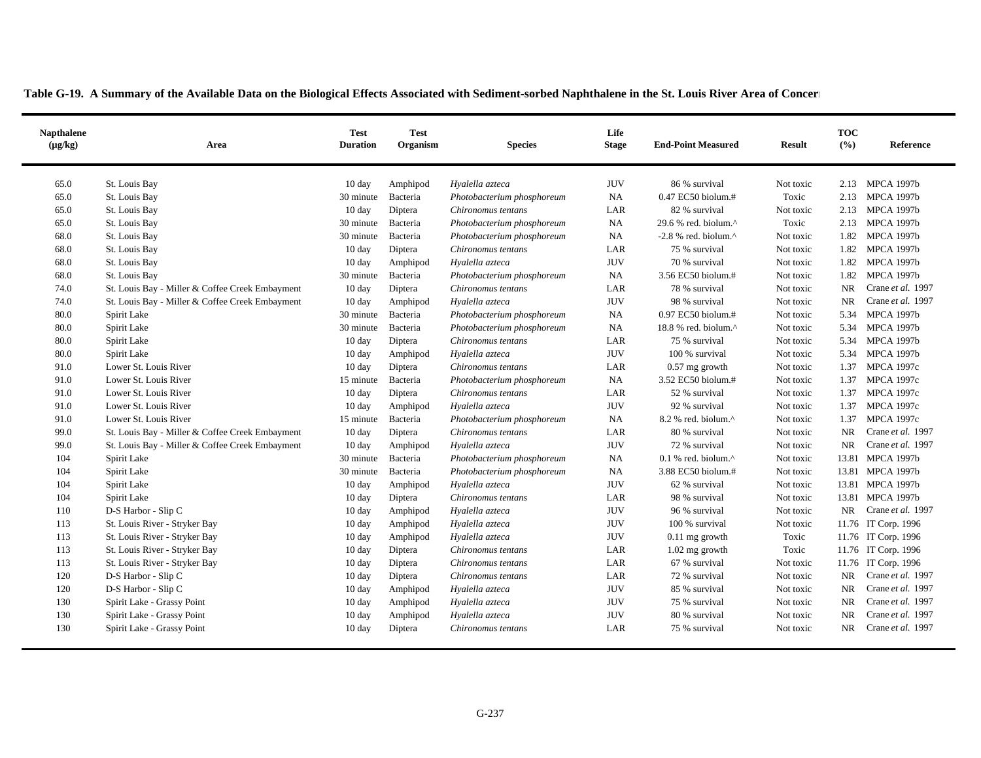| <b>Napthalene</b><br>$(\mu g/kg)$ | Area                                            | <b>Test</b><br><b>Duration</b> | <b>Test</b><br>Organism | <b>Species</b>             | Life<br><b>Stage</b> | <b>End-Point Measured</b>                            | <b>Result</b> | <b>TOC</b><br>(%) | Reference           |
|-----------------------------------|-------------------------------------------------|--------------------------------|-------------------------|----------------------------|----------------------|------------------------------------------------------|---------------|-------------------|---------------------|
| 65.0                              | St. Louis Bay                                   | $10 \text{ day}$               | Amphipod                | Hyalella azteca            | <b>JUV</b>           | 86 % survival                                        | Not toxic     |                   | 2.13 MPCA 1997b     |
| 65.0                              | St. Louis Bay                                   | 30 minute                      | Bacteria                | Photobacterium phosphoreum | <b>NA</b>            | $0.47$ EC50 biolum.#                                 | Toxic         |                   | 2.13 MPCA 1997b     |
| 65.0                              | St. Louis Bay                                   | 10 day                         | Diptera                 | Chironomus tentans         | LAR                  | 82 % survival                                        | Not toxic     | 2.13              | MPCA 1997b          |
| 65.0                              | St. Louis Bay                                   | 30 minute                      | Bacteria                | Photobacterium phosphoreum | NA                   | 29.6 % red. biolum. $\wedge$                         | Toxic         |                   | 2.13 MPCA 1997b     |
| 68.0                              | St. Louis Bay                                   | 30 minute                      | Bacteria                | Photobacterium phosphoreum | NA                   | $-2.8$ % red. biolum. <sup><math>\wedge</math></sup> | Not toxic     | 1.82              | <b>MPCA 1997b</b>   |
| 68.0                              | St. Louis Bay                                   | $10\ \mathrm{day}$             | Diptera                 | Chironomus tentans         | LAR                  | 75 % survival                                        | Not toxic     | 1.82              | <b>MPCA 1997b</b>   |
| 68.0                              | St. Louis Bay                                   | $10 \text{ day}$               | Amphipod                | Hyalella azteca            | <b>JUV</b>           | 70 % survival                                        | Not toxic     | 1.82              | <b>MPCA 1997b</b>   |
| 68.0                              | St. Louis Bay                                   | 30 minute                      | Bacteria                | Photobacterium phosphoreum | <b>NA</b>            | 3.56 EC50 biolum.#                                   | Not toxic     | 1.82              | <b>MPCA 1997b</b>   |
| 74.0                              | St. Louis Bay - Miller & Coffee Creek Embayment | 10 day                         | Diptera                 | Chironomus tentans         | LAR                  | 78 % survival                                        | Not toxic     | <b>NR</b>         | Crane et al. 1997   |
| 74.0                              | St. Louis Bay - Miller & Coffee Creek Embayment | 10 day                         | Amphipod                | Hyalella azteca            | <b>JUV</b>           | 98 % survival                                        | Not toxic     | NR                | Crane et al. 1997   |
| 80.0                              | Spirit Lake                                     | 30 minute                      | Bacteria                | Photobacterium phosphoreum | NA                   | 0.97 EC50 biolum.#                                   | Not toxic     | 5.34              | <b>MPCA 1997b</b>   |
| 80.0                              | Spirit Lake                                     | 30 minute                      | Bacteria                | Photobacterium phosphoreum | NA                   | 18.8 % red. biolum. $^{\wedge}$                      | Not toxic     | 5.34              | <b>MPCA 1997b</b>   |
| 80.0                              | Spirit Lake                                     | 10 day                         | Diptera                 | Chironomus tentans         | LAR                  | 75 % survival                                        | Not toxic     | 5.34              | <b>MPCA 1997b</b>   |
| 80.0                              | Spirit Lake                                     | $10 \text{ day}$               | Amphipod                | Hyalella azteca            | <b>JUV</b>           | 100 % survival                                       | Not toxic     |                   | 5.34 MPCA 1997b     |
| 91.0                              | Lower St. Louis River                           | 10 day                         | Diptera                 | Chironomus tentans         | LAR                  | $0.57$ mg growth                                     | Not toxic     | 1.37              | <b>MPCA 1997c</b>   |
| 91.0                              | Lower St. Louis River                           | 15 minute                      | Bacteria                | Photobacterium phosphoreum | NA                   | 3.52 EC50 biolum.#                                   | Not toxic     | 1.37              | <b>MPCA 1997c</b>   |
| 91.0                              | Lower St. Louis River                           | $10 \text{ day}$               | Diptera                 | Chironomus tentans         | LAR                  | 52 % survival                                        | Not toxic     | 1.37              | <b>MPCA 1997c</b>   |
| 91.0                              | Lower St. Louis River                           | $10 \text{ day}$               | Amphipod                | Hyalella azteca            | <b>JUV</b>           | 92 % survival                                        | Not toxic     | 1.37              | <b>MPCA 1997c</b>   |
| 91.0                              | Lower St. Louis River                           | 15 minute                      | Bacteria                | Photobacterium phosphoreum | NA                   | $8.2$ % red. biolum. <sup><math>\wedge</math></sup>  | Not toxic     | 1.37              | <b>MPCA 1997c</b>   |
| 99.0                              | St. Louis Bay - Miller & Coffee Creek Embayment | $10 \text{ day}$               | Diptera                 | Chironomus tentans         | LAR                  | 80 % survival                                        | Not toxic     | NR                | Crane et al. 1997   |
| 99.0                              | St. Louis Bay - Miller & Coffee Creek Embayment | $10 \text{ day}$               | Amphipod                | Hyalella azteca            | <b>JUV</b>           | 72 % survival                                        | Not toxic     | NR                | Crane et al. 1997   |
| 104                               | Spirit Lake                                     | 30 minute                      | Bacteria                | Photobacterium phosphoreum | NA                   | $0.1$ % red. biolum. <sup><math>\wedge</math></sup>  | Not toxic     |                   | 13.81 MPCA 1997b    |
| 104                               | Spirit Lake                                     | 30 minute                      | Bacteria                | Photobacterium phosphoreum | NA                   | 3.88 EC50 biolum.#                                   | Not toxic     |                   | 13.81 MPCA 1997b    |
| 104                               | Spirit Lake                                     | 10 day                         | Amphipod                | Hyalella azteca            | <b>JUV</b>           | 62 % survival                                        | Not toxic     |                   | 13.81 MPCA 1997b    |
| 104                               | Spirit Lake                                     | 10 day                         | Diptera                 | Chironomus tentans         | LAR                  | 98 % survival                                        | Not toxic     |                   | 13.81 MPCA 1997b    |
| 110                               | D-S Harbor - Slip C                             | 10 day                         | Amphipod                | Hyalella azteca            | <b>JUV</b>           | 96 % survival                                        | Not toxic     | NR                | Crane et al. 1997   |
| 113                               | St. Louis River - Stryker Bay                   | $10 \text{ day}$               | Amphipod                | Hyalella azteca            | <b>JUV</b>           | 100 % survival                                       | Not toxic     |                   | 11.76 IT Corp. 1996 |
| 113                               | St. Louis River - Stryker Bay                   | 10 day                         | Amphipod                | Hyalella azteca            | <b>JUV</b>           | $0.11$ mg growth                                     | Toxic         |                   | 11.76 IT Corp. 1996 |
| 113                               | St. Louis River - Stryker Bay                   | 10 day                         | Diptera                 | Chironomus tentans         | LAR                  | $1.02$ mg growth                                     | Toxic         |                   | 11.76 IT Corp. 1996 |
| 113                               | St. Louis River - Stryker Bay                   | 10 day                         | Diptera                 | Chironomus tentans         | LAR                  | 67 % survival                                        | Not toxic     |                   | 11.76 IT Corp. 1996 |
| 120                               | D-S Harbor - Slip C                             | 10 day                         | Diptera                 | Chironomus tentans         | LAR                  | 72 % survival                                        | Not toxic     | NR                | Crane et al. 1997   |
| 120                               | D-S Harbor - Slip C                             | 10 day                         | Amphipod                | Hyalella azteca            | <b>JUV</b>           | 85 % survival                                        | Not toxic     | <b>NR</b>         | Crane et al. 1997   |
| 130                               | Spirit Lake - Grassy Point                      | 10 day                         | Amphipod                | Hyalella azteca            | <b>JUV</b>           | 75 % survival                                        | Not toxic     | NR                | Crane et al. 1997   |
| 130                               | Spirit Lake - Grassy Point                      | 10 day                         | Amphipod                | Hyalella azteca            | <b>JUV</b>           | 80 % survival                                        | Not toxic     | NR                | Crane et al. 1997   |
| 130                               | Spirit Lake - Grassy Point                      | $10 \text{ day}$               | Diptera                 | Chironomus tentans         | LAR                  | 75 % survival                                        | Not toxic     | <b>NR</b>         | Crane et al. 1997   |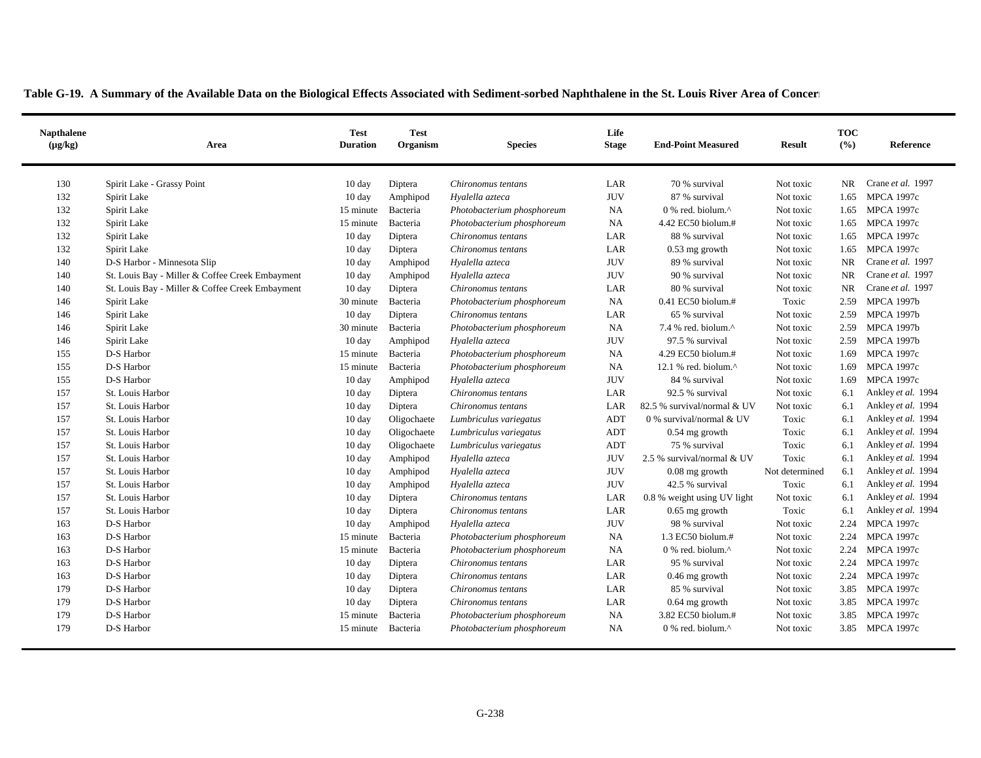| <b>Napthalene</b><br>$(\mu g/kg)$ | Area                                            | <b>Test</b><br><b>Duration</b> | <b>Test</b><br>Organism | <b>Species</b>             | Life<br><b>Stage</b> | <b>End-Point Measured</b>                         | <b>Result</b>  | <b>TOC</b><br>(%) | Reference          |
|-----------------------------------|-------------------------------------------------|--------------------------------|-------------------------|----------------------------|----------------------|---------------------------------------------------|----------------|-------------------|--------------------|
| 130                               | Spirit Lake - Grassy Point                      | 10 day                         | Diptera                 | Chironomus tentans         | LAR                  | 70 % survival                                     | Not toxic      | NR.               | Crane et al. 1997  |
| 132                               | Spirit Lake                                     | $10 \text{ day}$               | Amphipod                | Hyalella azteca            | <b>JUV</b>           | 87 % survival                                     | Not toxic      | 1.65              | <b>MPCA 1997c</b>  |
| 132                               | Spirit Lake                                     | 15 minute                      | Bacteria                | Photobacterium phosphoreum | <b>NA</b>            | 0 % red. biolum.^                                 | Not toxic      | 1.65              | <b>MPCA 1997c</b>  |
| 132                               | Spirit Lake                                     | 15 minute                      | Bacteria                | Photobacterium phosphoreum | NA                   | 4.42 EC50 biolum.#                                | Not toxic      | 1.65              | <b>MPCA 1997c</b>  |
| 132                               | Spirit Lake                                     | 10 day                         | Diptera                 | Chironomus tentans         | LAR                  | 88 % survival                                     | Not toxic      | 1.65              | <b>MPCA 1997c</b>  |
| 132                               | Spirit Lake                                     | 10 day                         | Diptera                 | Chironomus tentans         | LAR                  | $0.53$ mg growth                                  | Not toxic      | 1.65              | <b>MPCA 1997c</b>  |
| 140                               | D-S Harbor - Minnesota Slip                     | $10 \text{ day}$               | Amphipod                | Hyalella azteca            | <b>JUV</b>           | 89 % survival                                     | Not toxic      | <b>NR</b>         | Crane et al. 1997  |
| 140                               | St. Louis Bay - Miller & Coffee Creek Embayment | $10 \text{ day}$               | Amphipod                | Hyalella azteca            | <b>JUV</b>           | 90 % survival                                     | Not toxic      | NR                | Crane et al. 1997  |
| 140                               | St. Louis Bay - Miller & Coffee Creek Embayment | 10 day                         | Diptera                 | Chironomus tentans         | LAR                  | 80 % survival                                     | Not toxic      | <b>NR</b>         | Crane et al. 1997  |
| 146                               | Spirit Lake                                     | 30 minute                      | Bacteria                | Photobacterium phosphoreum | NA                   | 0.41 EC50 biolum.#                                | Toxic          | 2.59              | <b>MPCA 1997b</b>  |
| 146                               | Spirit Lake                                     | 10 day                         | Diptera                 | Chironomus tentans         | LAR                  | 65 % survival                                     | Not toxic      | 2.59              | <b>MPCA 1997b</b>  |
| 146                               | Spirit Lake                                     | 30 minute                      | Bacteria                | Photobacterium phosphoreum | <b>NA</b>            | 7.4 % red. biolum.^                               | Not toxic      | 2.59              | <b>MPCA 1997b</b>  |
| 146                               | Spirit Lake                                     | $10 \text{ day}$               | Amphipod                | Hyalella azteca            | <b>JUV</b>           | 97.5 % survival                                   | Not toxic      | 2.59              | <b>MPCA 1997b</b>  |
| 155                               | D-S Harbor                                      | 15 minute                      | Bacteria                | Photobacterium phosphoreum | NA                   | 4.29 EC50 biolum.#                                | Not toxic      | 1.69              | <b>MPCA 1997c</b>  |
| 155                               | D-S Harbor                                      | 15 minute                      | Bacteria                | Photobacterium phosphoreum | <b>NA</b>            | 12.1 % red. biolum. $^{\wedge}$                   | Not toxic      | 1.69              | <b>MPCA 1997c</b>  |
| 155                               | D-S Harbor                                      | 10 day                         | Amphipod                | Hyalella azteca            | <b>JUV</b>           | 84 % survival                                     | Not toxic      | 1.69              | <b>MPCA 1997c</b>  |
| 157                               | St. Louis Harbor                                | 10 day                         | Diptera                 | Chironomus tentans         | LAR                  | 92.5 % survival                                   | Not toxic      | 6.1               | Ankley et al. 1994 |
| 157                               | St. Louis Harbor                                | 10 day                         | Diptera                 | Chironomus tentans         | LAR                  | 82.5 % survival/normal & UV                       | Not toxic      | 6.1               | Ankley et al. 1994 |
| 157                               | St. Louis Harbor                                | 10 day                         | Oligochaete             | Lumbriculus variegatus     | <b>ADT</b>           | $0$ % survival/normal $\&$ UV                     | Toxic          | 6.1               | Ankley et al. 1994 |
| 157                               | St. Louis Harbor                                | 10 day                         | Oligochaete             | Lumbriculus variegatus     | ADT                  | $0.54$ mg growth                                  | Toxic          | 6.1               | Ankley et al. 1994 |
| 157                               | St. Louis Harbor                                | $10 \text{ day}$               | Oligochaete             | Lumbriculus variegatus     | ADT                  | 75 % survival                                     | Toxic          | 6.1               | Ankley et al. 1994 |
| 157                               | St. Louis Harbor                                | 10 day                         | Amphipod                | Hyalella azteca            | <b>JUV</b>           | 2.5 % survival/normal & UV                        | Toxic          | 6.1               | Ankley et al. 1994 |
| 157                               | St. Louis Harbor                                | $10 \text{ day}$               | Amphipod                | Hyalella azteca            | <b>JUV</b>           | $0.08$ mg growth                                  | Not determined | 6.1               | Ankley et al. 1994 |
| 157                               | St. Louis Harbor                                | $10 \text{ day}$               | Amphipod                | Hyalella azteca            | <b>JUV</b>           | 42.5 % survival                                   | Toxic          | 6.1               | Ankley et al. 1994 |
| 157                               | St. Louis Harbor                                | 10 day                         | Diptera                 | Chironomus tentans         | LAR                  | 0.8 % weight using UV light                       | Not toxic      | 6.1               | Ankley et al. 1994 |
| 157                               | St. Louis Harbor                                | $10 \text{ day}$               | Diptera                 | Chironomus tentans         | LAR                  | $0.65$ mg growth                                  | Toxic          | 6.1               | Ankley et al. 1994 |
| 163                               | D-S Harbor                                      | 10 day                         | Amphipod                | Hyalella azteca            | <b>JUV</b>           | 98 % survival                                     | Not toxic      | 2.24              | <b>MPCA 1997c</b>  |
| 163                               | D-S Harbor                                      | 15 minute                      | Bacteria                | Photobacterium phosphoreum | <b>NA</b>            | $1.3$ EC50 biolum. $#$                            | Not toxic      | 2.24              | <b>MPCA 1997c</b>  |
| 163                               | D-S Harbor                                      | 15 minute                      | Bacteria                | Photobacterium phosphoreum | <b>NA</b>            | $0\%$ red. biolum. <sup><math>\wedge</math></sup> | Not toxic      | 2.24              | <b>MPCA 1997c</b>  |
| 163                               | D-S Harbor                                      | $10 \text{ day}$               | Diptera                 | Chironomus tentans         | LAR                  | 95 % survival                                     | Not toxic      | 2.24              | <b>MPCA 1997c</b>  |
| 163                               | D-S Harbor                                      | 10 day                         | Diptera                 | Chironomus tentans         | LAR                  | 0.46 mg growth                                    | Not toxic      | 2.24              | <b>MPCA 1997c</b>  |
| 179                               | D-S Harbor                                      | 10 day                         | Diptera                 | Chironomus tentans         | LAR                  | 85 % survival                                     | Not toxic      |                   | 3.85 MPCA 1997c    |
| 179                               | D-S Harbor                                      | $10 \text{ day}$               | Diptera                 | Chironomus tentans         | LAR                  | $0.64$ mg growth                                  | Not toxic      | 3.85              | <b>MPCA 1997c</b>  |
| 179                               | D-S Harbor                                      | 15 minute                      | Bacteria                | Photobacterium phosphoreum | NA                   | 3.82 EC50 biolum.#                                | Not toxic      | 3.85              | <b>MPCA 1997c</b>  |
| 179                               | D-S Harbor                                      | 15 minute                      | Bacteria                | Photobacterium phosphoreum | NA                   | $0\%$ red. biolum. <sup><math>\wedge</math></sup> | Not toxic      | 3.85              | <b>MPCA 1997c</b>  |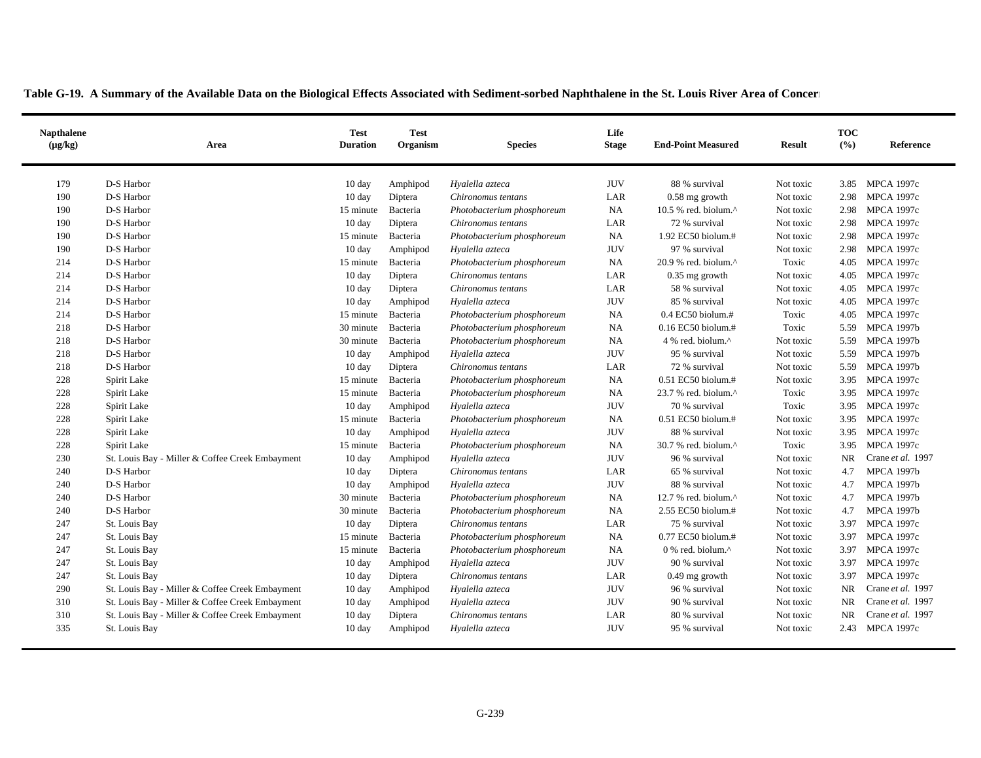| <b>Napthalene</b><br>$(\mu g/kg)$ | Area                                            | <b>Test</b><br><b>Duration</b> | <b>Test</b><br>Organism | <b>Species</b>             | Life<br><b>Stage</b> | <b>End-Point Measured</b>                            | <b>Result</b> | <b>TOC</b><br>(%) | Reference         |
|-----------------------------------|-------------------------------------------------|--------------------------------|-------------------------|----------------------------|----------------------|------------------------------------------------------|---------------|-------------------|-------------------|
| 179                               | D-S Harbor                                      | 10 <sub>day</sub>              | Amphipod                | Hyalella azteca            | <b>JUV</b>           | 88 % survival                                        | Not toxic     | 3.85              | <b>MPCA 1997c</b> |
| 190                               | D-S Harbor                                      | $10 \text{ day}$               | Diptera                 | Chironomus tentans         | LAR                  | $0.58$ mg growth                                     | Not toxic     | 2.98              | <b>MPCA 1997c</b> |
| 190                               | D-S Harbor                                      | 15 minute                      | Bacteria                | Photobacterium phosphoreum | <b>NA</b>            | 10.5 % red. biolum. $^{\wedge}$                      | Not toxic     | 2.98              | <b>MPCA 1997c</b> |
| 190                               | D-S Harbor                                      | $10 \text{ day}$               | Diptera                 | Chironomus tentans         | LAR                  | 72 % survival                                        | Not toxic     | 2.98              | <b>MPCA 1997c</b> |
| 190                               | D-S Harbor                                      | 15 minute                      | Bacteria                | Photobacterium phosphoreum | <b>NA</b>            | 1.92 EC50 biolum.#                                   | Not toxic     | 2.98              | <b>MPCA 1997c</b> |
| 190                               | D-S Harbor                                      | 10 day                         | Amphipod                | Hyalella azteca            | <b>JUV</b>           | 97 % survival                                        | Not toxic     | 2.98              | <b>MPCA 1997c</b> |
| 214                               | D-S Harbor                                      | 15 minute                      | Bacteria                | Photobacterium phosphoreum | <b>NA</b>            | 20.9 % red. biolum.^                                 | Toxic         | 4.05              | <b>MPCA 1997c</b> |
| 214                               | D-S Harbor                                      | $10 \text{ day}$               | Diptera                 | Chironomus tentans         | LAR                  | $0.35$ mg growth                                     | Not toxic     | 4.05              | <b>MPCA 1997c</b> |
| 214                               | D-S Harbor                                      | $10 \text{ day}$               | Diptera                 | Chironomus tentans         | LAR                  | 58 % survival                                        | Not toxic     | 4.05              | <b>MPCA 1997c</b> |
| 214                               | D-S Harbor                                      | $10 \text{ day}$               | Amphipod                | Hyalella azteca            | <b>JUV</b>           | 85 % survival                                        | Not toxic     | 4.05              | <b>MPCA 1997c</b> |
| 214                               | D-S Harbor                                      | 15 minute                      | Bacteria                | Photobacterium phosphoreum | <b>NA</b>            | $0.4$ EC50 biolum.#                                  | Toxic         | 4.05              | <b>MPCA 1997c</b> |
| 218                               | D-S Harbor                                      | 30 minute                      | Bacteria                | Photobacterium phosphoreum | <b>NA</b>            | $0.16$ EC50 biolum.#                                 | Toxic         | 5.59              | <b>MPCA 1997b</b> |
| 218                               | D-S Harbor                                      | 30 minute                      | Bacteria                | Photobacterium phosphoreum | <b>NA</b>            | 4 % red. biolum.^                                    | Not toxic     | 5.59              | <b>MPCA 1997b</b> |
| 218                               | D-S Harbor                                      | 10 day                         | Amphipod                | Hyalella azteca            | <b>JUV</b>           | 95 % survival                                        | Not toxic     |                   | 5.59 MPCA 1997b   |
| 218                               | D-S Harbor                                      | $10 \text{ day}$               | Diptera                 | Chironomus tentans         | LAR                  | 72 % survival                                        | Not toxic     | 5.59              | <b>MPCA 1997b</b> |
| 228                               | Spirit Lake                                     | 15 minute                      | Bacteria                | Photobacterium phosphoreum | <b>NA</b>            | $0.51$ EC50 biolum.#                                 | Not toxic     | 3.95              | <b>MPCA 1997c</b> |
| 228                               | Spirit Lake                                     | 15 minute                      | Bacteria                | Photobacterium phosphoreum | <b>NA</b>            | $23.7$ % red. biolum. <sup><math>\wedge</math></sup> | Toxic         | 3.95              | <b>MPCA 1997c</b> |
| 228                               | Spirit Lake                                     | $10 \text{ day}$               | Amphipod                | Hyalella azteca            | <b>JUV</b>           | 70 % survival                                        | Toxic         | 3.95              | <b>MPCA 1997c</b> |
| 228                               | Spirit Lake                                     | 15 minute                      | Bacteria                | Photobacterium phosphoreum | <b>NA</b>            | 0.51 EC50 biolum.#                                   | Not toxic     | 3.95              | <b>MPCA 1997c</b> |
| 228                               | Spirit Lake                                     | 10 day                         | Amphipod                | Hyalella azteca            | <b>JUV</b>           | 88 % survival                                        | Not toxic     |                   | 3.95 MPCA 1997c   |
| 228                               | Spirit Lake                                     | 15 minute                      | Bacteria                | Photobacterium phosphoreum | <b>NA</b>            | 30.7 % red. biolum.^                                 | Toxic         | 3.95              | <b>MPCA 1997c</b> |
| 230                               | St. Louis Bay - Miller & Coffee Creek Embayment | $10 \text{ day}$               | Amphipod                | Hyalella azteca            | <b>JUV</b>           | 96 % survival                                        | Not toxic     | <b>NR</b>         | Crane et al. 1997 |
| 240                               | D-S Harbor                                      | $10 \text{ day}$               | Diptera                 | Chironomus tentans         | LAR                  | 65 % survival                                        | Not toxic     | 4.7               | <b>MPCA 1997b</b> |
| 240                               | D-S Harbor                                      | $10 \text{ day}$               | Amphipod                | Hyalella azteca            | <b>JUV</b>           | 88 % survival                                        | Not toxic     | 4.7               | <b>MPCA 1997b</b> |
| 240                               | D-S Harbor                                      | 30 minute                      | Bacteria                | Photobacterium phosphoreum | <b>NA</b>            | 12.7 % red. biolum. $^{\wedge}$                      | Not toxic     | 4.7               | <b>MPCA 1997b</b> |
| 240                               | D-S Harbor                                      | 30 minute                      | Bacteria                | Photobacterium phosphoreum | NA                   | 2.55 EC50 biolum.#                                   | Not toxic     | 4.7               | <b>MPCA 1997b</b> |
| 247                               | St. Louis Bay                                   | 10 day                         | Diptera                 | Chironomus tentans         | LAR                  | 75 % survival                                        | Not toxic     | 3.97              | <b>MPCA 1997c</b> |
| 247                               | St. Louis Bay                                   | 15 minute                      | Bacteria                | Photobacterium phosphoreum | <b>NA</b>            | 0.77 EC50 biolum.#                                   | Not toxic     | 3.97              | <b>MPCA 1997c</b> |
| 247                               | St. Louis Bay                                   | 15 minute                      | Bacteria                | Photobacterium phosphoreum | NA                   | $0\%$ red. biolum. <sup><math>\wedge</math></sup>    | Not toxic     | 3.97              | <b>MPCA 1997c</b> |
| 247                               | St. Louis Bay                                   | $10 \text{ day}$               | Amphipod                | Hyalella azteca            | <b>JUV</b>           | 90 % survival                                        | Not toxic     | 3.97              | <b>MPCA 1997c</b> |
| 247                               | St. Louis Bay                                   | $10 \text{ day}$               | Diptera                 | Chironomus tentans         | LAR                  | 0.49 mg growth                                       | Not toxic     | 3.97              | <b>MPCA 1997c</b> |
| 290                               | St. Louis Bay - Miller & Coffee Creek Embayment | 10 day                         | Amphipod                | Hyalella azteca            | <b>JUV</b>           | 96 % survival                                        | Not toxic     | <b>NR</b>         | Crane et al. 1997 |
| 310                               | St. Louis Bay - Miller & Coffee Creek Embayment | 10 day                         | Amphipod                | Hyalella azteca            | <b>JUV</b>           | 90 % survival                                        | Not toxic     | <b>NR</b>         | Crane et al. 1997 |
| 310                               | St. Louis Bay - Miller & Coffee Creek Embayment | 10 day                         | Diptera                 | Chironomus tentans         | LAR                  | 80 % survival                                        | Not toxic     | <b>NR</b>         | Crane et al. 1997 |
| 335                               | St. Louis Bay                                   | $10 \text{ day}$               | Amphipod                | Hyalella azteca            | <b>JUV</b>           | 95 % survival                                        | Not toxic     |                   | 2.43 MPCA 1997c   |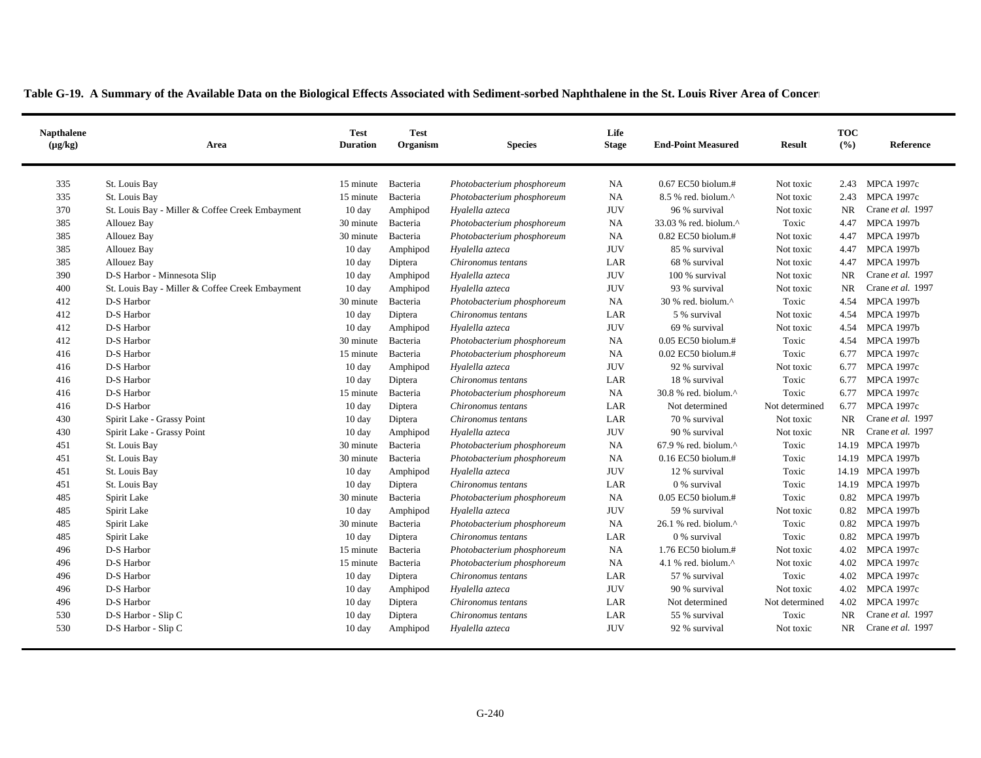| <b>Napthalene</b><br>$(\mu g/kg)$ | <b>Test</b><br><b>Duration</b><br>Area          |                  | <b>Test</b><br><b>Species</b><br>Organism |                            | Life<br><b>Stage</b> | <b>End-Point Measured</b>                            | <b>Result</b>  | <b>TOC</b><br>(%) | Reference         |  |
|-----------------------------------|-------------------------------------------------|------------------|-------------------------------------------|----------------------------|----------------------|------------------------------------------------------|----------------|-------------------|-------------------|--|
| 335                               | St. Louis Bay                                   | 15 minute        | Bacteria                                  | Photobacterium phosphoreum | <b>NA</b>            | 0.67 EC50 biolum.#                                   | Not toxic      | 2.43              | <b>MPCA 1997c</b> |  |
| 335                               | St. Louis Bay                                   | 15 minute        | Bacteria                                  | Photobacterium phosphoreum | NA                   | 8.5 % red. biolum.^                                  | Not toxic      | 2.43              | <b>MPCA 1997c</b> |  |
| 370                               | St. Louis Bay - Miller & Coffee Creek Embayment | $10 \text{ day}$ | Amphipod                                  | Hyalella azteca            | <b>JUV</b>           | 96 % survival                                        | Not toxic      | <b>NR</b>         | Crane et al. 1997 |  |
| 385                               | Allouez Bay                                     | 30 minute        | Bacteria                                  | Photobacterium phosphoreum | <b>NA</b>            | 33.03 % red. biolum.^                                | Toxic          | 4.47              | <b>MPCA 1997b</b> |  |
| 385                               | Allouez Bay                                     | 30 minute        | Bacteria                                  | Photobacterium phosphoreum | <b>NA</b>            | $0.82$ EC50 biolum.#                                 | Not toxic      | 4.47              | <b>MPCA 1997b</b> |  |
| 385                               | <b>Allouez Bay</b>                              | $10 \text{ day}$ | Amphipod                                  | Hyalella azteca            | <b>JUV</b>           | 85 % survival                                        | Not toxic      | 4.47              | <b>MPCA 1997b</b> |  |
| 385                               | <b>Allouez Bay</b>                              | $10 \text{ day}$ | Diptera                                   | Chironomus tentans         | LAR                  | 68 % survival                                        | Not toxic      | 4.47              | <b>MPCA 1997b</b> |  |
| 390                               | D-S Harbor - Minnesota Slip                     | 10 day           | Amphipod                                  | Hyalella azteca            | <b>JUV</b>           | 100 % survival                                       | Not toxic      | <b>NR</b>         | Crane et al. 1997 |  |
| 400                               | St. Louis Bay - Miller & Coffee Creek Embayment | 10 day           | Amphipod                                  | Hyalella azteca            | $\rm JUV$            | 93 % survival                                        | Not toxic      | <b>NR</b>         | Crane et al. 1997 |  |
| 412                               | D-S Harbor                                      | 30 minute        | Bacteria                                  | Photobacterium phosphoreum | <b>NA</b>            | 30 % red. biolum.^                                   | Toxic          | 4.54              | <b>MPCA 1997b</b> |  |
| 412                               | D-S Harbor                                      | $10 \text{ day}$ | Diptera                                   | Chironomus tentans         | LAR                  | 5 % survival                                         | Not toxic      | 4.54              | <b>MPCA 1997b</b> |  |
| 412                               | D-S Harbor                                      | $10 \text{ day}$ | Amphipod                                  | Hyalella azteca            | <b>JUV</b>           | 69 % survival                                        | Not toxic      | 4.54              | <b>MPCA 1997b</b> |  |
| 412                               | D-S Harbor                                      | 30 minute        | Bacteria                                  | Photobacterium phosphoreum | <b>NA</b>            | $0.05$ EC50 biolum.#                                 | Toxic          | 4.54              | <b>MPCA 1997b</b> |  |
| 416                               | D-S Harbor                                      | 15 minute        | Bacteria                                  | Photobacterium phosphoreum | <b>NA</b>            | $0.02$ EC50 biolum.#                                 | Toxic          | 6.77              | <b>MPCA 1997c</b> |  |
| 416                               | D-S Harbor                                      | 10 day           | Amphipod                                  | Hyalella azteca            | <b>JUV</b>           | 92 % survival                                        | Not toxic      | 6.77              | <b>MPCA 1997c</b> |  |
| 416                               | D-S Harbor                                      | $10 \text{ day}$ | Diptera                                   | Chironomus tentans         | LAR                  | 18 % survival                                        | Toxic          | 6.77              | <b>MPCA 1997c</b> |  |
| 416                               | D-S Harbor                                      | 15 minute        | Bacteria                                  | Photobacterium phosphoreum | NA                   | 30.8 % red. biolum.^                                 | Toxic          | 6.77              | <b>MPCA 1997c</b> |  |
| 416                               | D-S Harbor                                      | 10 day           | Diptera                                   | Chironomus tentans         | LAR                  | Not determined                                       | Not determined | 6.77              | <b>MPCA 1997c</b> |  |
| 430                               | Spirit Lake - Grassy Point                      | $10 \text{ day}$ | Diptera                                   | Chironomus tentans         | LAR                  | 70 % survival                                        | Not toxic      | <b>NR</b>         | Crane et al. 1997 |  |
| 430                               | Spirit Lake - Grassy Point                      | $10 \text{ day}$ | Amphipod                                  | Hyalella azteca            | <b>JUV</b>           | 90 % survival                                        | Not toxic      | <b>NR</b>         | Crane et al. 1997 |  |
| 451                               | St. Louis Bay                                   | 30 minute        | Bacteria                                  | Photobacterium phosphoreum | <b>NA</b>            | $67.9$ % red. biolum. <sup><math>\wedge</math></sup> | Toxic          | 14.19             | <b>MPCA 1997b</b> |  |
| 451                               | St. Louis Bay                                   | 30 minute        | Bacteria                                  | Photobacterium phosphoreum | <b>NA</b>            | 0.16 EC50 biolum.#                                   | Toxic          |                   | 14.19 MPCA 1997b  |  |
| 451                               | St. Louis Bay                                   | $10 \text{ day}$ | Amphipod                                  | Hyalella azteca            | <b>JUV</b>           | 12 % survival                                        | Toxic          | 14.19             | <b>MPCA 1997b</b> |  |
| 451                               | St. Louis Bay                                   | $10 \text{ day}$ | Diptera                                   | Chironomus tentans         | LAR                  | 0 % survival                                         | Toxic          | 14.19             | <b>MPCA 1997b</b> |  |
| 485                               | Spirit Lake                                     | 30 minute        | Bacteria                                  | Photobacterium phosphoreum | <b>NA</b>            | $0.05$ EC50 biolum.#                                 | Toxic          |                   | 0.82 MPCA 1997b   |  |
| 485                               | Spirit Lake                                     | 10 day           | Amphipod                                  | Hyalella azteca            | <b>JUV</b>           | 59 % survival                                        | Not toxic      | 0.82              | <b>MPCA 1997b</b> |  |
| 485                               | Spirit Lake                                     | 30 minute        | Bacteria                                  | Photobacterium phosphoreum | <b>NA</b>            | 26.1 % red. biolum.^                                 | Toxic          | 0.82              | <b>MPCA 1997b</b> |  |
| 485                               | Spirit Lake                                     | 10 day           | Diptera                                   | Chironomus tentans         | LAR                  | 0 % survival                                         | Toxic          | 0.82              | <b>MPCA 1997b</b> |  |
| 496                               | D-S Harbor                                      | 15 minute        | Bacteria                                  | Photobacterium phosphoreum | <b>NA</b>            | 1.76 EC50 biolum.#                                   | Not toxic      | 4.02              | <b>MPCA 1997c</b> |  |
| 496                               | D-S Harbor                                      | 15 minute        | Bacteria                                  | Photobacterium phosphoreum | <b>NA</b>            | 4.1 % red. biolum. $\wedge$                          | Not toxic      | 4.02              | <b>MPCA 1997c</b> |  |
| 496                               | D-S Harbor                                      | $10 \text{ day}$ | Diptera                                   | Chironomus tentans         | LAR                  | 57 % survival                                        | Toxic          | 4.02              | <b>MPCA 1997c</b> |  |
| 496                               | D-S Harbor                                      | $10 \text{ day}$ | Amphipod                                  | Hyalella azteca            | <b>JUV</b>           | 90 % survival                                        | Not toxic      | 4.02              | <b>MPCA 1997c</b> |  |
| 496                               | D-S Harbor                                      | 10 day           | Diptera                                   | Chironomus tentans         | LAR                  | Not determined                                       | Not determined | 4.02              | <b>MPCA 1997c</b> |  |
| 530                               | D-S Harbor - Slip C                             | 10 day           | Diptera                                   | Chironomus tentans         | LAR                  | 55 % survival                                        | Toxic          | <b>NR</b>         | Crane et al. 1997 |  |
| 530                               | D-S Harbor - Slip C                             | $10 \text{ day}$ | Amphipod                                  | Hyalella azteca            | <b>JUV</b>           | 92 % survival                                        | Not toxic      | <b>NR</b>         | Crane et al. 1997 |  |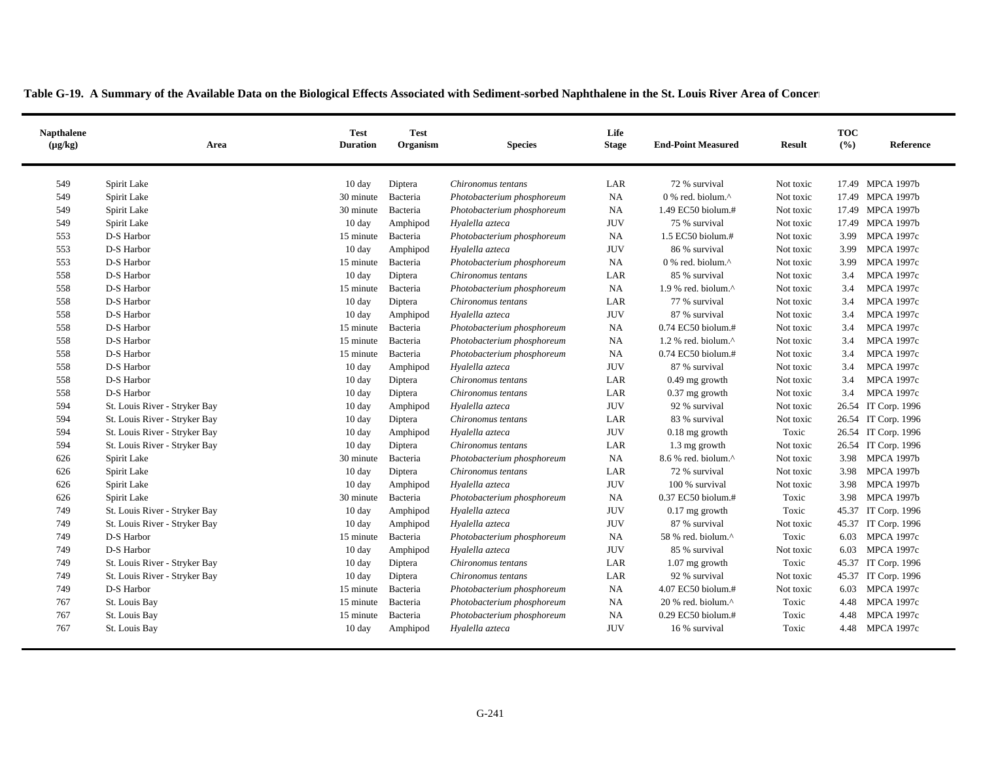| <b>Napthalene</b><br>$(\mu g/kg)$ | Area                          | Test<br><b>Duration</b>       | <b>Test</b><br>Organism | <b>Species</b>             | Life<br><b>Stage</b> | <b>End-Point Measured</b>                                            | <b>Result</b>          | <b>TOC</b><br>(9/0) | Reference                              |
|-----------------------------------|-------------------------------|-------------------------------|-------------------------|----------------------------|----------------------|----------------------------------------------------------------------|------------------------|---------------------|----------------------------------------|
| 549                               | Spirit Lake                   | $10 \text{ day}$              | Diptera                 | Chironomus tentans         | LAR                  | 72 % survival                                                        | Not toxic              |                     | 17.49 MPCA 1997b                       |
| 549                               | Spirit Lake                   | 30 minute                     | Bacteria                | Photobacterium phosphoreum | NA                   | $0$ % red. biolum. <sup><math>\wedge</math></sup>                    | Not toxic              |                     | 17.49 MPCA 1997b                       |
| 549                               | Spirit Lake                   | 30 minute                     | Bacteria                | Photobacterium phosphoreum | NA                   | 1.49 EC50 biolum.#                                                   | Not toxic              |                     | 17.49 MPCA 1997b                       |
| 549                               | Spirit Lake                   | $10 \text{ day}$              | Amphipod                | Hyalella azteca            | <b>JUV</b>           | 75 % survival                                                        | Not toxic              |                     | 17.49 MPCA 1997b                       |
| 553                               | D-S Harbor                    | 15 minute                     | Bacteria                | Photobacterium phosphoreum | NA                   | $1.5$ EC50 biolum.#                                                  | Not toxic              | 3.99                | <b>MPCA 1997c</b>                      |
| 553                               | D-S Harbor                    |                               |                         | Hyalella azteca            | <b>JUV</b>           | 86 % survival                                                        | Not toxic              | 3.99                | <b>MPCA 1997c</b>                      |
| 553                               | D-S Harbor                    | $10 \text{ day}$<br>15 minute | Amphipod<br>Bacteria    | Photobacterium phosphoreum | NA                   | $0$ % red. biolum. <sup><math>\wedge</math></sup>                    | Not toxic              | 3.99                | <b>MPCA 1997c</b>                      |
|                                   | D-S Harbor                    |                               |                         |                            | LAR                  |                                                                      |                        |                     |                                        |
| 558<br>558                        | D-S Harbor                    | $10 \text{ day}$              | Diptera                 | Chironomus tentans         | NA                   | 85 % survival<br>$1.9$ % red. biolum. <sup><math>\wedge</math></sup> | Not toxic<br>Not toxic | 3.4<br>3.4          | <b>MPCA 1997c</b><br><b>MPCA 1997c</b> |
| 558                               | D-S Harbor                    | 15 minute                     | Bacteria                | Photobacterium phosphoreum | LAR                  |                                                                      |                        |                     | <b>MPCA 1997c</b>                      |
| 558                               | D-S Harbor                    | $10 \text{ day}$              | Diptera                 | Chironomus tentans         | <b>JUV</b>           | 77 % survival<br>87 % survival                                       | Not toxic<br>Not toxic | 3.4<br>3.4          | <b>MPCA 1997c</b>                      |
|                                   |                               | $10 \text{ day}$              | Amphipod                | Hyalella azteca            |                      |                                                                      |                        |                     |                                        |
| 558                               | D-S Harbor                    | 15 minute                     | Bacteria                | Photobacterium phosphoreum | NA                   | 0.74 EC50 biolum.#                                                   | Not toxic              | 3.4                 | <b>MPCA 1997c</b>                      |
| 558                               | D-S Harbor                    | 15 minute                     | Bacteria                | Photobacterium phosphoreum | <b>NA</b>            | 1.2 % red. biolum. $^{\wedge}$                                       | Not toxic              | 3.4                 | <b>MPCA 1997c</b>                      |
| 558                               | D-S Harbor                    | 15 minute                     | Bacteria                | Photobacterium phosphoreum | NA                   | 0.74 EC50 biolum.#                                                   | Not toxic              | 3.4                 | <b>MPCA 1997c</b>                      |
| 558                               | D-S Harbor                    | 10 day                        | Amphipod                | Hyalella azteca            | <b>JUV</b>           | 87 % survival                                                        | Not toxic              | 3.4                 | <b>MPCA 1997c</b>                      |
| 558                               | D-S Harbor                    | $10 \text{ day}$              | Diptera                 | Chironomus tentans         | LAR                  | $0.49$ mg growth                                                     | Not toxic              | 3.4                 | <b>MPCA 1997c</b>                      |
| 558                               | D-S Harbor                    | $10 \text{ day}$              | Diptera                 | Chironomus tentans         | LAR                  | $0.37$ mg growth                                                     | Not toxic              | 3.4                 | <b>MPCA 1997c</b>                      |
| 594                               | St. Louis River - Stryker Bay | $10 \text{ day}$              | Amphipod                | Hyalella azteca            | <b>JUV</b>           | 92 % survival                                                        | Not toxic              |                     | 26.54 IT Corp. 1996                    |
| 594                               | St. Louis River - Stryker Bay | $10 \text{ day}$              | Diptera                 | Chironomus tentans         | LAR                  | 83 % survival                                                        | Not toxic              |                     | 26.54 IT Corp. 1996                    |
| 594                               | St. Louis River - Stryker Bay | $10 \text{ day}$              | Amphipod                | Hyalella azteca            | <b>JUV</b>           | $0.18$ mg growth                                                     | Toxic                  |                     | 26.54 IT Corp. 1996                    |
| 594                               | St. Louis River - Stryker Bay | $10 \text{ day}$              | Diptera                 | Chironomus tentans         | LAR                  | 1.3 mg growth                                                        | Not toxic              |                     | 26.54 IT Corp. 1996                    |
| 626                               | Spirit Lake                   | 30 minute                     | Bacteria                | Photobacterium phosphoreum | NA                   | 8.6 % red. biolum.^                                                  | Not toxic              | 3.98                | <b>MPCA 1997b</b>                      |
| 626                               | Spirit Lake                   | $10 \text{ day}$              | Diptera                 | Chironomus tentans         | LAR                  | 72 % survival                                                        | Not toxic              | 3.98                | <b>MPCA 1997b</b>                      |
| 626                               | Spirit Lake                   | $10 \text{ day}$              | Amphipod                | Hyalella azteca            | <b>JUV</b>           | 100 % survival                                                       | Not toxic              | 3.98                | <b>MPCA 1997b</b>                      |
| 626                               | Spirit Lake                   | 30 minute                     | Bacteria                | Photobacterium phosphoreum | NA                   | 0.37 EC50 biolum.#                                                   | Toxic                  | 3.98                | <b>MPCA 1997b</b>                      |
| 749                               | St. Louis River - Stryker Bay | 10 day                        | Amphipod                | Hyalella azteca            | <b>JUV</b>           | $0.17$ mg growth                                                     | Toxic                  |                     | 45.37 IT Corp. 1996                    |
| 749                               | St. Louis River - Stryker Bay | $10 \text{ day}$              | Amphipod                | Hyalella azteca            | <b>JUV</b>           | 87 % survival                                                        | Not toxic              |                     | 45.37 IT Corp. 1996                    |
| 749                               | D-S Harbor                    | 15 minute                     | Bacteria                | Photobacterium phosphoreum | NA                   | 58 % red. biolum.^                                                   | Toxic                  | 6.03                | <b>MPCA 1997c</b>                      |
| 749                               | D-S Harbor                    | $10 \text{ day}$              | Amphipod                | Hyalella azteca            | <b>JUV</b>           | 85 % survival                                                        | Not toxic              | 6.03                | <b>MPCA 1997c</b>                      |
| 749                               | St. Louis River - Stryker Bay | $10 \text{ day}$              | Diptera                 | Chironomus tentans         | LAR                  | $1.07$ mg growth                                                     | Toxic                  |                     | 45.37 IT Corp. 1996                    |
| 749                               | St. Louis River - Stryker Bay | $10 \text{ day}$              | Diptera                 | Chironomus tentans         | LAR                  | 92 % survival                                                        | Not toxic              |                     | 45.37 IT Corp. 1996                    |
| 749                               | D-S Harbor                    | 15 minute                     | Bacteria                | Photobacterium phosphoreum | NA                   | 4.07 EC50 biolum.#                                                   | Not toxic              |                     | 6.03 MPCA 1997c                        |
| 767                               | St. Louis Bay                 | 15 minute                     | Bacteria                | Photobacterium phosphoreum | <b>NA</b>            | 20 % red. biolum.^                                                   | Toxic                  | 4.48                | <b>MPCA 1997c</b>                      |
| 767                               | St. Louis Bay                 | 15 minute                     | Bacteria                | Photobacterium phosphoreum | NA                   | 0.29 EC50 biolum.#                                                   | Toxic                  | 4.48                | <b>MPCA 1997c</b>                      |
| 767                               | St. Louis Bay                 | $10 \text{ day}$              | Amphipod                | Hyalella azteca            | <b>JUV</b>           | 16 % survival                                                        | Toxic                  | 4.48                | <b>MPCA 1997c</b>                      |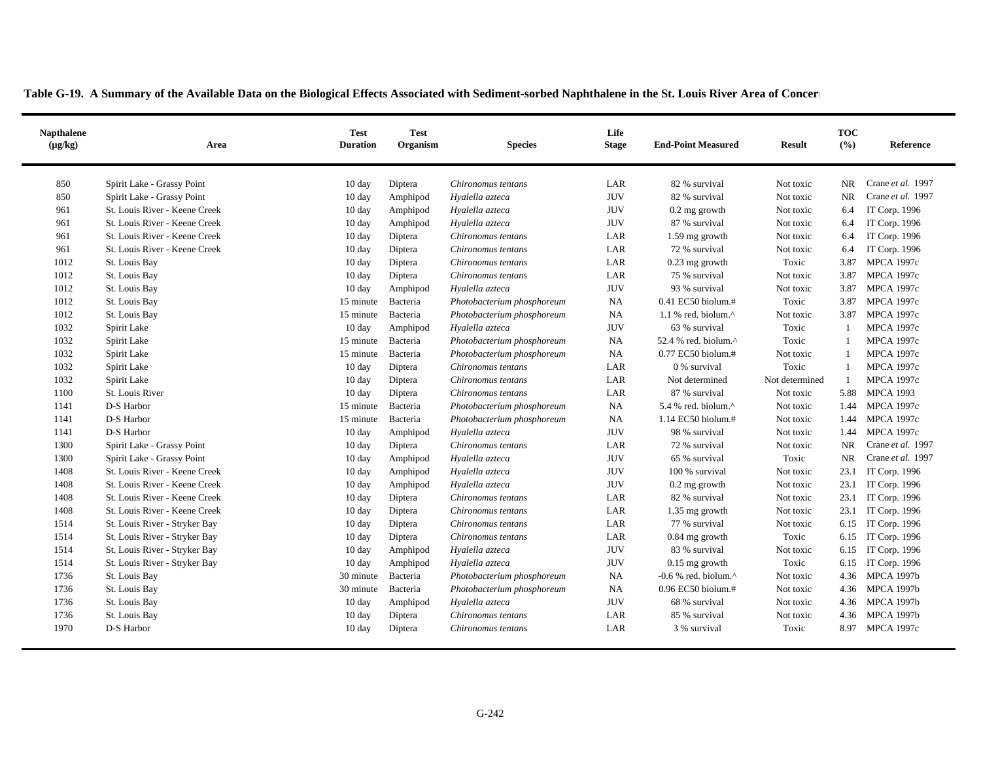| <b>Napthalene</b><br>$(\mu g/kg)$ | Area                          | Test<br><b>Duration</b> | <b>Test</b><br>Organism | <b>Species</b>             | Life<br><b>Stage</b> | <b>End-Point Measured</b>         |                | <b>TOC</b><br>(9/0) | Reference          |
|-----------------------------------|-------------------------------|-------------------------|-------------------------|----------------------------|----------------------|-----------------------------------|----------------|---------------------|--------------------|
| 850                               | Spirit Lake - Grassy Point    | $10 \text{ day}$        | Diptera                 | Chironomus tentans         | LAR                  | 82 % survival                     | Not toxic      | NR.                 | Crane et al. 1997  |
| 850                               | Spirit Lake - Grassy Point    | $10 \text{ day}$        | Amphipod                | Hyalella azteca            | <b>JUV</b>           | 82 % survival                     | Not toxic      | <b>NR</b>           | Crane et al. 1997  |
| 961                               | St. Louis River - Keene Creek | $10 \text{ day}$        | Amphipod                | Hyalella azteca            | <b>JUV</b>           | $0.2$ mg growth                   | Not toxic      | 6.4                 | IT Corp. 1996      |
| 961                               | St. Louis River - Keene Creek | $10 \text{ day}$        | Amphipod                | Hyalella azteca            | <b>JUV</b>           | 87 % survival                     | Not toxic      | 6.4                 | IT Corp. 1996      |
| 961                               | St. Louis River - Keene Creek | $10 \text{ day}$        | Diptera                 | Chironomus tentans         | LAR                  | 1.59 mg growth                    | Not toxic      | 6.4                 | IT Corp. 1996      |
| 961                               | St. Louis River - Keene Creek | $10 \text{ day}$        | Diptera                 | Chironomus tentans         | LAR                  | 72 % survival                     | Not toxic      | 6.4                 | IT Corp. 1996      |
| 1012                              | St. Louis Bay                 | $10 \text{ day}$        | Diptera                 | Chironomus tentans         | LAR                  | 0.23 mg growth                    | Toxic          | 3.87                | <b>MPCA 1997c</b>  |
| 1012                              | St. Louis Bay                 | $10 \text{ day}$        | Diptera                 | Chironomus tentans         | LAR                  | 75 % survival                     | Not toxic      | 3.87                | <b>MPCA 1997c</b>  |
| 1012                              | St. Louis Bay                 | $10 \text{ day}$        | Amphipod                | Hyalella azteca            | <b>JUV</b>           | 93 % survival                     | Not toxic      | 3.87                | <b>MPCA 1997c</b>  |
| 1012                              | St. Louis Bay                 | 15 minute               | Bacteria                | Photobacterium phosphoreum | NA                   | 0.41 EC50 biolum.#                | Toxic          | 3.87                | <b>MPCA 1997c</b>  |
| 1012                              | St. Louis Bay                 | 15 minute               | Bacteria                | Photobacterium phosphoreum | <b>NA</b>            | 1.1 % red. biolum. $^{\wedge}$    | Not toxic      | 3.87                | <b>MPCA 1997c</b>  |
| 1032                              | Spirit Lake                   | 10 day                  | Amphipod                | Hyalella azteca            | <b>JUV</b>           | 63 % survival                     | Toxic          |                     | <b>MPCA 1997c</b>  |
| 1032                              | Spirit Lake                   | 15 minute               | Bacteria                | Photobacterium phosphoreum | <b>NA</b>            | 52.4 % red. biolum.^              | Toxic          |                     | <b>MPCA 1997c</b>  |
| 1032                              | Spirit Lake                   | 15 minute               | Bacteria                | Photobacterium phosphoreum | <b>NA</b>            | $0.77$ EC50 biolum.#              | Not toxic      |                     | <b>MPCA 1997c</b>  |
| 1032                              | Spirit Lake                   | $10 \text{ day}$        | Diptera                 | Chironomus tentans         | LAR                  | 0 % survival                      | Toxic          |                     | <b>MPCA 1997c</b>  |
| 1032                              | Spirit Lake                   | $10 \text{ day}$        | Diptera                 | Chironomus tentans         | LAR                  | Not determined                    | Not determined |                     | <b>MPCA 1997c</b>  |
| 1100                              | St. Louis River               | 10 day                  | Diptera                 | Chironomus tentans         | LAR                  | 87 % survival                     | Not toxic      | 5.88                | <b>MPCA 1993</b>   |
| 1141                              | D-S Harbor                    | 15 minute               | Bacteria                | Photobacterium phosphoreum | NA                   | 5.4 % red. biolum.^               | Not toxic      | 1.44                | <b>MPCA 1997c</b>  |
| 1141                              | D-S Harbor                    | 15 minute               | Bacteria                | Photobacterium phosphoreum | NA                   | 1.14 EC50 biolum.#                | Not toxic      | 1.44                | <b>MPCA 1997c</b>  |
| 1141                              | D-S Harbor                    | 10 day                  | Amphipod                | Hyalella azteca            | <b>JUV</b>           | 98 % survival                     | Not toxic      | 1.44                | <b>MPCA 1997c</b>  |
| 1300                              | Spirit Lake - Grassy Point    | $10 \text{ day}$        | Diptera                 | Chironomus tentans         | LAR                  | 72 % survival                     | Not toxic      | <b>NR</b>           | Crane et al. 1997  |
| 1300                              | Spirit Lake - Grassy Point    | $10 \text{ day}$        | Amphipod                | Hyalella azteca            | <b>JUV</b>           | 65 % survival                     | Toxic          | <b>NR</b>           | Crane et al. 1997  |
| 1408                              | St. Louis River - Keene Creek | $10 \text{ day}$        | Amphipod                | Hyalella azteca            | <b>JUV</b>           | 100 % survival                    | Not toxic      | 23.1                | IT Corp. 1996      |
| 1408                              | St. Louis River - Keene Creek | $10 \text{ day}$        | Amphipod                | Hyalella azteca            | <b>JUV</b>           | $0.2$ mg growth                   | Not toxic      |                     | 23.1 IT Corp. 1996 |
| 1408                              | St. Louis River - Keene Creek | $10 \text{ day}$        | Diptera                 | Chironomus tentans         | LAR                  | 82 % survival                     | Not toxic      | 23.1                | IT Corp. 1996      |
| 1408                              | St. Louis River - Keene Creek | $10 \text{ day}$        | Diptera                 | Chironomus tentans         | LAR                  | 1.35 mg growth                    | Not toxic      | 23.1                | IT Corp. 1996      |
| 1514                              | St. Louis River - Stryker Bay | $10 \text{ day}$        | Diptera                 | Chironomus tentans         | LAR                  | 77 % survival                     | Not toxic      | 6.15                | IT Corp. 1996      |
| 1514                              | St. Louis River - Stryker Bay | $10 \text{ day}$        | Diptera                 | Chironomus tentans         | LAR                  | $0.84$ mg growth                  | Toxic          | 6.15                | IT Corp. 1996      |
| 1514                              | St. Louis River - Stryker Bay | $10 \text{ day}$        | Amphipod                | Hyalella azteca            | <b>JUV</b>           | 83 % survival                     | Not toxic      | 6.15                | IT Corp. 1996      |
| 1514                              | St. Louis River - Stryker Bay | $10 \text{ day}$        | Amphipod                | Hyalella azteca            | <b>JUV</b>           | $0.15$ mg growth                  | Toxic          |                     | 6.15 IT Corp. 1996 |
| 1736                              | St. Louis Bay                 | 30 minute               | Bacteria                | Photobacterium phosphoreum | NA                   | $-0.6$ % red. biolum. $^{\wedge}$ | Not toxic      |                     | 4.36 MPCA 1997b    |
| 1736                              | St. Louis Bay                 | 30 minute               | Bacteria                | Photobacterium phosphoreum | NA                   | 0.96 EC50 biolum.#                | Not toxic      |                     | 4.36 MPCA 1997b    |
| 1736                              | St. Louis Bay                 | $10 \text{ day}$        | Amphipod                | Hyalella azteca            | <b>JUV</b>           | 68 % survival                     | Not toxic      | 4.36                | MPCA 1997b         |
| 1736                              | St. Louis Bay                 | $10 \text{ day}$        | Diptera                 | Chironomus tentans         | LAR                  | 85 % survival                     | Not toxic      | 4.36                | <b>MPCA 1997b</b>  |
| 1970                              | D-S Harbor                    | 10 day                  | Diptera                 | Chironomus tentans         | LAR                  | 3 % survival                      | Toxic          | 8.97                | MPCA 1997c         |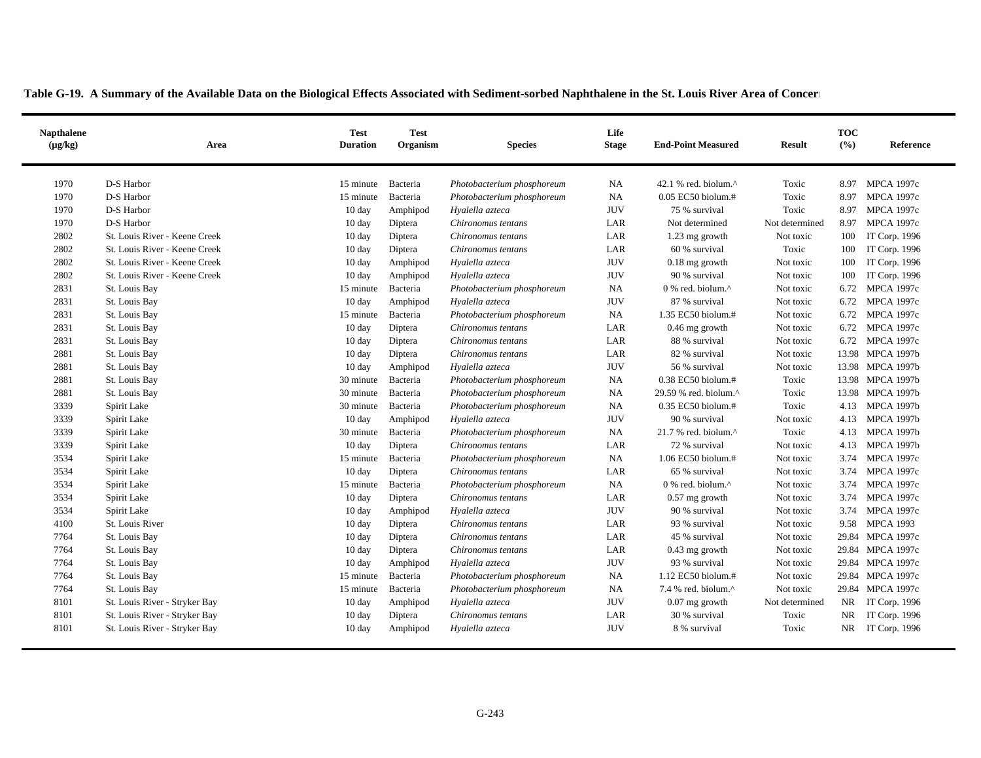| <b>Napthalene</b><br>$(\mu g/kg)$ | Area                          | <b>Test</b><br><b>Duration</b> | <b>Test</b><br>Organism | <b>Species</b>             | Life<br><b>Stage</b> | <b>End-Point Measured</b>                         | <b>Result</b>  | <b>TOC</b><br>(%) | Reference         |
|-----------------------------------|-------------------------------|--------------------------------|-------------------------|----------------------------|----------------------|---------------------------------------------------|----------------|-------------------|-------------------|
| 1970                              | D-S Harbor                    | 15 minute                      | Bacteria                | Photobacterium phosphoreum | <b>NA</b>            | 42.1 % red. biolum. $^{\wedge}$                   | Toxic          | 8.97              | <b>MPCA 1997c</b> |
| 1970                              | D-S Harbor                    | 15 minute                      | Bacteria                | Photobacterium phosphoreum | <b>NA</b>            | $0.05$ EC50 biolum.#                              | Toxic          | 8.97              | <b>MPCA 1997c</b> |
| 1970                              | D-S Harbor                    | $10 \text{ day}$               | Amphipod                | Hyalella azteca            | <b>JUV</b>           | 75 % survival                                     | Toxic          | 8.97              | <b>MPCA 1997c</b> |
| 1970                              | D-S Harbor                    | $10 \text{ day}$               | Diptera                 | Chironomus tentans         | LAR                  | Not determined                                    | Not determined | 8.97              | <b>MPCA 1997c</b> |
| 2802                              | St. Louis River - Keene Creek | 10 day                         | Diptera                 | Chironomus tentans         | LAR                  | 1.23 mg growth                                    | Not toxic      | 100               | IT Corp. 1996     |
| 2802                              | St. Louis River - Keene Creek | $10 \text{ day}$               | Diptera                 | Chironomus tentans         | LAR                  | 60 % survival                                     | Toxic          | 100               | IT Corp. 1996     |
| 2802                              | St. Louis River - Keene Creek | $10 \text{ day}$               | Amphipod                | Hyalella azteca            | <b>JUV</b>           | 0.18 mg growth                                    | Not toxic      | 100               | IT Corp. 1996     |
| 2802                              | St. Louis River - Keene Creek | $10 \text{ day}$               | Amphipod                | Hyalella azteca            | <b>JUV</b>           | 90 % survival                                     | Not toxic      | 100               | IT Corp. 1996     |
| 2831                              | St. Louis Bay                 | 15 minute                      | Bacteria                | Photobacterium phosphoreum | <b>NA</b>            | $0\%$ red. biolum. <sup><math>\wedge</math></sup> | Not toxic      | 6.72              | <b>MPCA 1997c</b> |
| 2831                              | St. Louis Bay                 | $10 \text{ day}$               | Amphipod                | Hyalella azteca            | <b>JUV</b>           | 87 % survival                                     | Not toxic      | 6.72              | <b>MPCA 1997c</b> |
| 2831                              | St. Louis Bay                 | 15 minute                      | Bacteria                | Photobacterium phosphoreum | <b>NA</b>            | 1.35 EC50 biolum.#                                | Not toxic      | 6.72              | <b>MPCA 1997c</b> |
| 2831                              | St. Louis Bay                 | 10 day                         | Diptera                 | Chironomus tentans         | LAR                  | $0.46$ mg growth                                  | Not toxic      | 6.72              | <b>MPCA 1997c</b> |
| 2831                              | St. Louis Bay                 | $10 \text{ day}$               | Diptera                 | Chironomus tentans         | LAR                  | 88 % survival                                     | Not toxic      | 6.72              | <b>MPCA 1997c</b> |
| 2881                              | St. Louis Bay                 | $10 \text{ day}$               | Diptera                 | Chironomus tentans         | LAR                  | 82 % survival                                     | Not toxic      |                   | 13.98 MPCA 1997b  |
| 2881                              | St. Louis Bay                 | $10 \text{ day}$               | Amphipod                | Hyalella azteca            | <b>JUV</b>           | 56 % survival                                     | Not toxic      |                   | 13.98 MPCA 1997b  |
| 2881                              | St. Louis Bay                 | 30 minute                      | Bacteria                | Photobacterium phosphoreum | <b>NA</b>            | 0.38 EC50 biolum.#                                | Toxic          |                   | 13.98 MPCA 1997b  |
| 2881                              | St. Louis Bay                 | 30 minute                      | Bacteria                | Photobacterium phosphoreum | <b>NA</b>            | 29.59 % red. biolum. $^{\wedge}$                  | Toxic          |                   | 13.98 MPCA 1997b  |
| 3339                              | Spirit Lake                   | 30 minute                      | Bacteria                | Photobacterium phosphoreum | NA                   | 0.35 EC50 biolum.#                                | Toxic          | 4.13              | <b>MPCA 1997b</b> |
| 3339                              | Spirit Lake                   | 10 day                         | Amphipod                | Hyalella azteca            | <b>JUV</b>           | 90 % survival                                     | Not toxic      | 4.13              | <b>MPCA 1997b</b> |
| 3339                              | Spirit Lake                   | 30 minute                      | Bacteria                | Photobacterium phosphoreum | <b>NA</b>            | 21.7 % red. biolum.^                              | Toxic          | 4.13              | <b>MPCA 1997b</b> |
| 3339                              | Spirit Lake                   | 10 day                         | Diptera                 | Chironomus tentans         | LAR                  | 72 % survival                                     | Not toxic      | 4.13              | <b>MPCA 1997b</b> |
| 3534                              | Spirit Lake                   | 15 minute                      | Bacteria                | Photobacterium phosphoreum | <b>NA</b>            | 1.06 EC50 biolum.#                                | Not toxic      | 3.74              | <b>MPCA 1997c</b> |
| 3534                              | Spirit Lake                   | $10 \text{ day}$               | Diptera                 | Chironomus tentans         | LAR                  | 65 % survival                                     | Not toxic      | 3.74              | <b>MPCA 1997c</b> |
| 3534                              | Spirit Lake                   | 15 minute                      | Bacteria                | Photobacterium phosphoreum | <b>NA</b>            | 0 % red. biolum.^                                 | Not toxic      | 3.74              | <b>MPCA 1997c</b> |
| 3534                              | Spirit Lake                   | $10 \text{ day}$               | Diptera                 | Chironomus tentans         | LAR                  | $0.57$ mg growth                                  | Not toxic      | 3.74              | <b>MPCA 1997c</b> |
| 3534                              | Spirit Lake                   | 10 day                         | Amphipod                | Hyalella azteca            | <b>JUV</b>           | 90 % survival                                     | Not toxic      | 3.74              | <b>MPCA 1997c</b> |
| 4100                              | St. Louis River               | $10 \text{ day}$               | Diptera                 | Chironomus tentans         | LAR                  | 93 % survival                                     | Not toxic      | 9.58              | <b>MPCA 1993</b>  |
| 7764                              | St. Louis Bay                 | $10 \text{ day}$               | Diptera                 | Chironomus tentans         | LAR                  | 45 % survival                                     | Not toxic      |                   | 29.84 MPCA 1997c  |
| 7764                              | St. Louis Bay                 | $10 \text{ day}$               | Diptera                 | Chironomus tentans         | LAR                  | $0.43$ mg growth                                  | Not toxic      |                   | 29.84 MPCA 1997c  |
| 7764                              | St. Louis Bay                 | 10 day                         | Amphipod                | Hyalella azteca            | <b>JUV</b>           | 93 % survival                                     | Not toxic      |                   | 29.84 MPCA 1997c  |
| 7764                              | St. Louis Bay                 | 15 minute                      | Bacteria                | Photobacterium phosphoreum | NA                   | 1.12 EC50 biolum.#                                | Not toxic      |                   | 29.84 MPCA 1997c  |
| 7764                              | St. Louis Bay                 | 15 minute                      | Bacteria                | Photobacterium phosphoreum | <b>NA</b>            | 7.4 % red. biolum.^                               | Not toxic      |                   | 29.84 MPCA 1997c  |
| 8101                              | St. Louis River - Stryker Bay | $10 \text{ day}$               | Amphipod                | Hyalella azteca            | <b>JUV</b>           | $0.07$ mg growth                                  | Not determined |                   | NR IT Corp. 1996  |
| 8101                              | St. Louis River - Stryker Bay | $10 \text{ day}$               | Diptera                 | Chironomus tentans         | LAR                  | 30 % survival                                     | Toxic          | NR.               | IT Corp. 1996     |
| 8101                              | St. Louis River - Stryker Bay | $10 \text{ day}$               | Amphipod                | Hyalella azteca            | <b>JUV</b>           | 8 % survival                                      | Toxic          |                   | NR IT Corp. 1996  |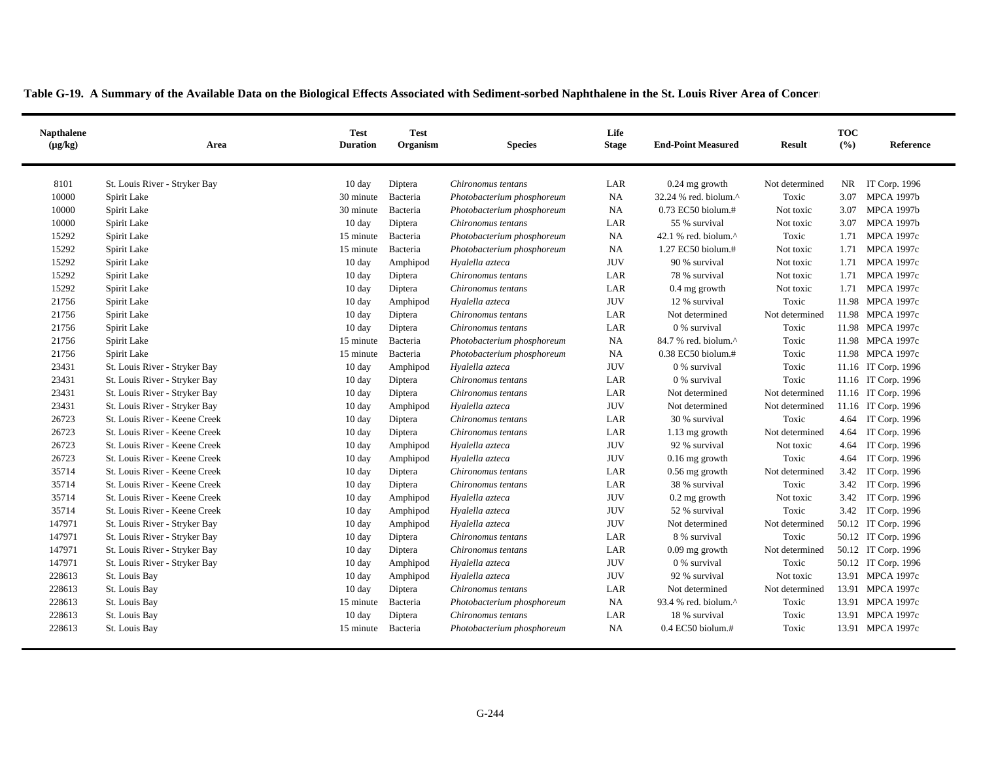| <b>Napthalene</b><br>$(\mu g/kg)$ | Area                          | <b>Test</b><br><b>Duration</b> | <b>Test</b><br>Organism | <b>Species</b>             | Life<br><b>Stage</b> | <b>End-Point Measured</b>       |                | <b>TOC</b><br>(%) | Reference           |
|-----------------------------------|-------------------------------|--------------------------------|-------------------------|----------------------------|----------------------|---------------------------------|----------------|-------------------|---------------------|
| 8101                              | St. Louis River - Stryker Bay | 10 day                         | Diptera                 | Chironomus tentans         | LAR                  | $0.24$ mg growth                | Not determined |                   | NR IT Corp. 1996    |
| 10000                             | Spirit Lake                   | 30 minute                      | Bacteria                | Photobacterium phosphoreum | NA                   | 32.24 % red. biolum.^           | Toxic          | 3.07              | <b>MPCA 1997b</b>   |
| 10000                             | Spirit Lake                   | 30 minute                      | Bacteria                | Photobacterium phosphoreum | <b>NA</b>            | $0.73$ EC50 biolum.#            | Not toxic      | 3.07              | <b>MPCA 1997b</b>   |
| 10000                             | Spirit Lake                   | 10 day                         | Diptera                 | Chironomus tentans         | LAR                  | 55 % survival                   | Not toxic      | 3.07              | <b>MPCA 1997b</b>   |
| 15292                             | Spirit Lake                   | 15 minute                      | Bacteria                | Photobacterium phosphoreum | <b>NA</b>            | 42.1 % red. biolum. $^{\wedge}$ | Toxic          | 1.71              | <b>MPCA 1997c</b>   |
| 15292                             | Spirit Lake                   | 15 minute                      | Bacteria                | Photobacterium phosphoreum | <b>NA</b>            | 1.27 EC50 biolum.#              | Not toxic      | 1.71              | <b>MPCA 1997c</b>   |
| 15292                             | Spirit Lake                   | 10 day                         | Amphipod                | Hyalella azteca            | <b>JUV</b>           | 90 % survival                   | Not toxic      | 1.71              | <b>MPCA 1997c</b>   |
| 15292                             | Spirit Lake                   | $10 \text{ day}$               | Diptera                 | Chironomus tentans         | LAR                  | 78 % survival                   | Not toxic      | 1.71              | <b>MPCA 1997c</b>   |
| 15292                             | Spirit Lake                   | $10 \text{ day}$               | Diptera                 | Chironomus tentans         | LAR                  | $0.4$ mg growth                 | Not toxic      |                   | 1.71 MPCA 1997c     |
| 21756                             | Spirit Lake                   | $10 \text{ day}$               | Amphipod                | Hyalella azteca            | <b>JUV</b>           | 12 % survival                   | Toxic          |                   | 11.98 MPCA 1997c    |
| 21756                             | Spirit Lake                   | $10 \text{ day}$               | Diptera                 | Chironomus tentans         | LAR                  | Not determined                  | Not determined |                   | 11.98 MPCA 1997c    |
| 21756                             | Spirit Lake                   | $10 \text{ day}$               | Diptera                 | Chironomus tentans         | LAR                  | 0 % survival                    | Toxic          |                   | 11.98 MPCA 1997c    |
| 21756                             | Spirit Lake                   | 15 minute                      | Bacteria                | Photobacterium phosphoreum | NA                   | 84.7 % red. biolum.^            | Toxic          |                   | 11.98 MPCA 1997c    |
| 21756                             | Spirit Lake                   | 15 minute                      | Bacteria                | Photobacterium phosphoreum | <b>NA</b>            | 0.38 EC50 biolum.#              | Toxic          |                   | 11.98 MPCA 1997c    |
| 23431                             | St. Louis River - Stryker Bay | $10 \text{ day}$               | Amphipod                | Hyalella azteca            | <b>JUV</b>           | 0 % survival                    | Toxic          |                   | 11.16 IT Corp. 1996 |
| 23431                             | St. Louis River - Stryker Bay | $10 \text{ day}$               | Diptera                 | Chironomus tentans         | LAR                  | 0 % survival                    | Toxic          |                   | 11.16 IT Corp. 1996 |
| 23431                             | St. Louis River - Stryker Bay | $10 \text{ day}$               | Diptera                 | Chironomus tentans         | LAR                  | Not determined                  | Not determined |                   | 11.16 IT Corp. 1996 |
| 23431                             | St. Louis River - Stryker Bay | $10 \text{ day}$               | Amphipod                | Hyalella azteca            | <b>JUV</b>           | Not determined                  | Not determined |                   | 11.16 IT Corp. 1996 |
| 26723                             | St. Louis River - Keene Creek | $10 \text{ day}$               | Diptera                 | Chironomus tentans         | LAR                  | 30 % survival                   | Toxic          |                   | 4.64 IT Corp. 1996  |
| 26723                             | St. Louis River - Keene Creek | $10 \text{ day}$               | Diptera                 | Chironomus tentans         | LAR                  | 1.13 mg growth                  | Not determined | 4.64              | IT Corp. 1996       |
| 26723                             | St. Louis River - Keene Creek | $10 \text{ day}$               | Amphipod                | Hyalella azteca            | <b>JUV</b>           | 92 % survival                   | Not toxic      | 4.64              | IT Corp. 1996       |
| 26723                             | St. Louis River - Keene Creek | $10 \text{ day}$               | Amphipod                | Hyalella azteca            | <b>JUV</b>           | $0.16$ mg growth                | Toxic          | 4.64              | IT Corp. 1996       |
| 35714                             | St. Louis River - Keene Creek | $10 \text{ day}$               | Diptera                 | Chironomus tentans         | LAR                  | $0.56$ mg growth                | Not determined | 3.42              | IT Corp. 1996       |
| 35714                             | St. Louis River - Keene Creek | $10 \text{ day}$               | Diptera                 | Chironomus tentans         | LAR                  | 38 % survival                   | Toxic          |                   | 3.42 IT Corp. 1996  |
| 35714                             | St. Louis River - Keene Creek | 10 day                         | Amphipod                | Hyalella azteca            | <b>JUV</b>           | $0.2$ mg growth                 | Not toxic      |                   | 3.42 IT Corp. 1996  |
| 35714                             | St. Louis River - Keene Creek | $10 \text{ day}$               | Amphipod                | Hyalella azteca            | <b>JUV</b>           | 52 % survival                   | Toxic          |                   | 3.42 IT Corp. 1996  |
| 147971                            | St. Louis River - Stryker Bay | $10 \text{ day}$               | Amphipod                | Hyalella azteca            | <b>JUV</b>           | Not determined                  | Not determined |                   | 50.12 IT Corp. 1996 |
| 147971                            | St. Louis River - Stryker Bay | $10 \text{ day}$               | Diptera                 | Chironomus tentans         | LAR                  | 8 % survival                    | Toxic          |                   | 50.12 IT Corp. 1996 |
| 147971                            | St. Louis River - Stryker Bay | $10 \text{ day}$               | Diptera                 | Chironomus tentans         | LAR                  | $0.09$ mg growth                | Not determined |                   | 50.12 IT Corp. 1996 |
| 147971                            | St. Louis River - Stryker Bay | $10 \text{ day}$               | Amphipod                | Hyalella azteca            | <b>JUV</b>           | 0 % survival                    | Toxic          |                   | 50.12 IT Corp. 1996 |
| 228613                            | St. Louis Bay                 | $10 \text{ day}$               | Amphipod                | Hyalella azteca            | <b>JUV</b>           | 92 % survival                   | Not toxic      |                   | 13.91 MPCA 1997c    |
| 228613                            | St. Louis Bay                 | $10 \text{ day}$               | Diptera                 | Chironomus tentans         | LAR                  | Not determined                  | Not determined |                   | 13.91 MPCA 1997c    |
| 228613                            | St. Louis Bay                 | 15 minute                      | Bacteria                | Photobacterium phosphoreum | <b>NA</b>            | 93.4 % red. biolum.^            | Toxic          |                   | 13.91 MPCA 1997c    |
| 228613                            | St. Louis Bay                 | 10 day                         | Diptera                 | Chironomus tentans         | LAR                  | 18 % survival                   | Toxic          |                   | 13.91 MPCA 1997c    |
| 228613                            | St. Louis Bay                 | 15 minute                      | Bacteria                | Photobacterium phosphoreum | <b>NA</b>            | $0.4$ EC50 biolum.#             | Toxic          |                   | 13.91 MPCA 1997c    |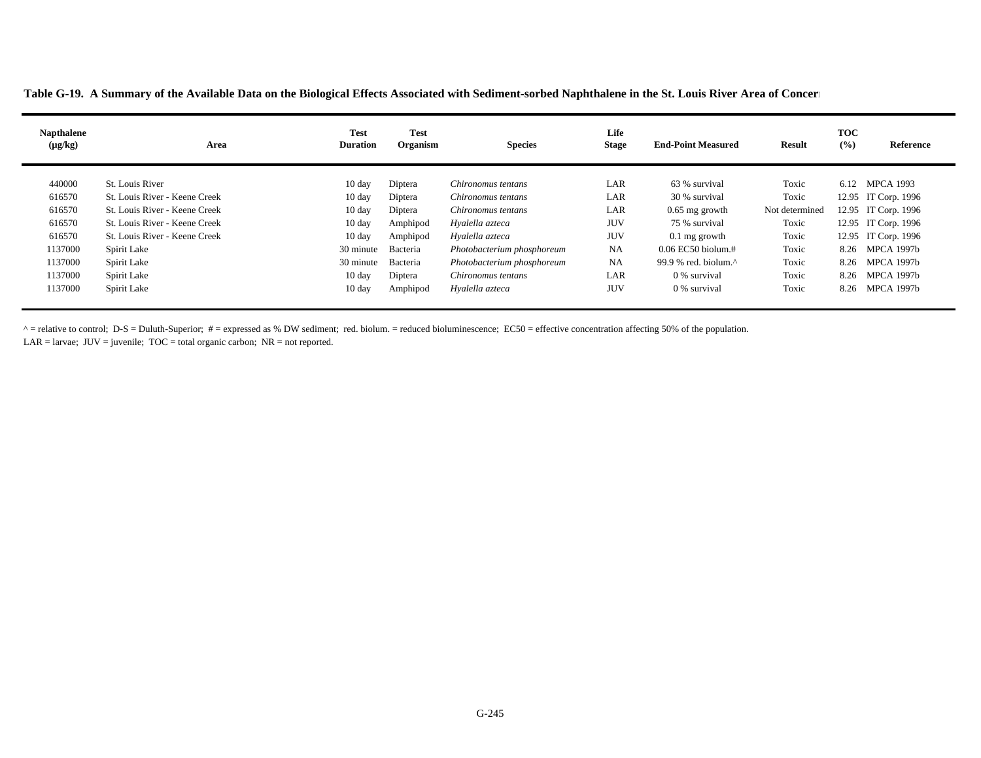**Table G-19. A Summary of the Available Data on the Biological Effects Associated with Sediment-sorbed Naphthalene in the St. Louis River Area of Concer n**

| <b>Napthalene</b><br>$(\mu g/kg)$ | Area                          | <b>Test</b><br><b>Duration</b> | <b>Test</b><br>Organism | <b>Species</b>             | Life<br><b>Stage</b> | <b>End-Point Measured</b>    | Result         | <b>TOC</b><br>(%) | Reference           |
|-----------------------------------|-------------------------------|--------------------------------|-------------------------|----------------------------|----------------------|------------------------------|----------------|-------------------|---------------------|
| 440000                            | St. Louis River               | $10 \text{ day}$               | Diptera                 | Chironomus tentans         | LAR                  | 63 % survival                | Toxic          | 6.12              | <b>MPCA 1993</b>    |
| 616570                            | St. Louis River - Keene Creek | $10 \text{ day}$               | Diptera                 | Chironomus tentans         | LAR                  | 30 % survival                | Toxic          |                   | 12.95 IT Corp. 1996 |
| 616570                            | St. Louis River - Keene Creek | $10 \text{ day}$               | Diptera                 | Chironomus tentans         | LAR                  | $0.65$ mg growth             | Not determined |                   | 12.95 IT Corp. 1996 |
| 616570                            | St. Louis River - Keene Creek | $10 \text{ day}$               | Amphipod                | Hyalella azteca            | <b>JUV</b>           | 75 % survival                | Toxic          |                   | 12.95 IT Corp. 1996 |
| 616570                            | St. Louis River - Keene Creek | $10 \text{ day}$               | Amphipod                | Hyalella azteca            | <b>JUV</b>           | $0.1$ mg growth              | Toxic          |                   | 12.95 IT Corp. 1996 |
| 1137000                           | Spirit Lake                   | 30 minute                      | Bacteria                | Photobacterium phosphoreum | NA                   | $0.06$ EC50 biolum.#         | Toxic          | 8.26              | MPCA 1997b          |
| 1137000                           | Spirit Lake                   | 30 minute                      | Bacteria                | Photobacterium phosphoreum | <b>NA</b>            | 99.9 % red. biolum. $\wedge$ | Toxic          | 8.26              | MPCA 1997b          |
| 1137000                           | Spirit Lake                   | $10 \text{ day}$               | Diptera                 | Chironomus tentans         | LAR                  | 0 % survival                 | Toxic          | 8.26              | <b>MPCA 1997b</b>   |
| 1137000                           | Spirit Lake                   | $10 \text{ day}$               | Amphipod                | Hyalella azteca            | <b>JUV</b>           | 0 % survival                 | Toxic          | 8.26              | MPCA 1997b          |

 $^{\circ}$  = relative to control; D-S = Duluth-Superior; # = expressed as % DW sediment; red. biolum. = reduced bioluminescence; EC50 = effective concentration affecting 50% of the population. LAR = larvae;  $JUV =$  juvenile;  $TOC =$  total organic carbon;  $NR =$  not reported.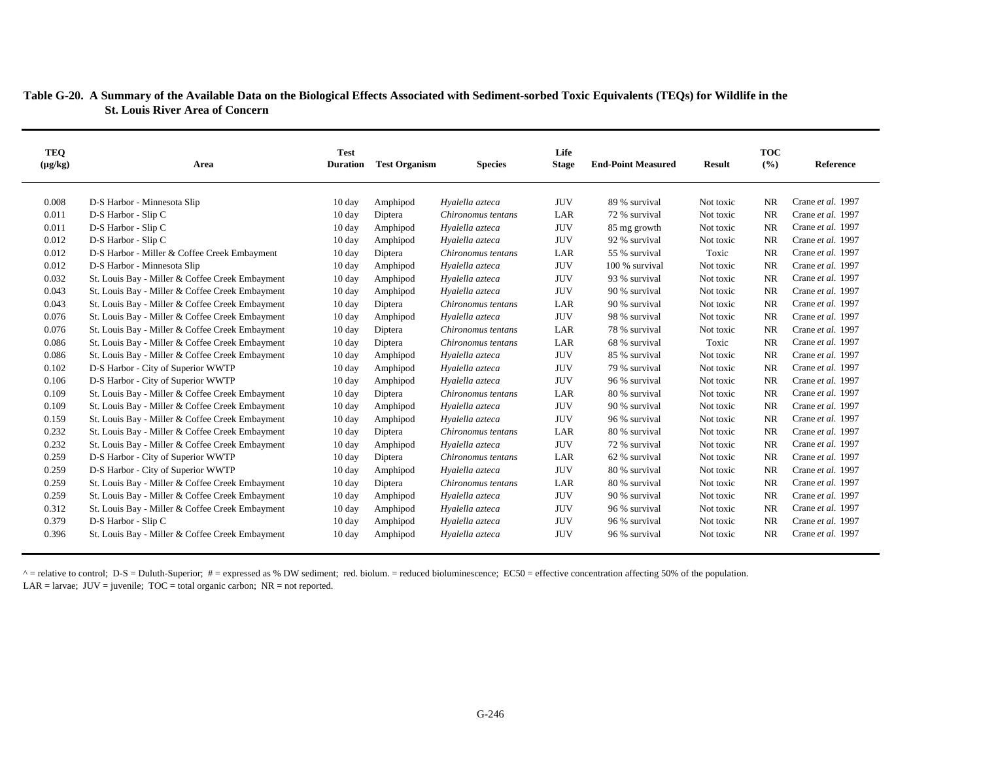## **Table G-20. A Summary of the Available Data on the Biological Effects Associated with Sediment-sorbed Toxic Equivalents (TEQs) for Wildlife in the St. Louis River Area of Concern**

| TEQ          |                                                 | <b>Test</b>      |                      |                    | Life         |                           |               | <b>TOC</b> |                   |
|--------------|-------------------------------------------------|------------------|----------------------|--------------------|--------------|---------------------------|---------------|------------|-------------------|
| $(\mu g/kg)$ | Area                                            | <b>Duration</b>  | <b>Test Organism</b> | <b>Species</b>     | <b>Stage</b> | <b>End-Point Measured</b> | <b>Result</b> | (%)        | Reference         |
|              |                                                 |                  |                      |                    |              |                           |               |            |                   |
| 0.008        | D-S Harbor - Minnesota Slip                     | $10 \text{ day}$ | Amphipod             | Hyalella azteca    | <b>JUV</b>   | 89 % survival             | Not toxic     | <b>NR</b>  | Crane et al. 1997 |
| 0.011        | D-S Harbor - Slip C                             | 10 day           | Diptera              | Chironomus tentans | LAR          | 72 % survival             | Not toxic     | <b>NR</b>  | Crane et al. 1997 |
| 0.011        | D-S Harbor - Slip C                             | $10 \text{ day}$ | Amphipod             | Hyalella azteca    | <b>JUV</b>   | 85 mg growth              | Not toxic     | <b>NR</b>  | Crane et al. 1997 |
| 0.012        | D-S Harbor - Slip C                             | $10 \text{ day}$ | Amphipod             | Hyalella azteca    | <b>JUV</b>   | 92 % survival             | Not toxic     | <b>NR</b>  | Crane et al. 1997 |
| 0.012        | D-S Harbor - Miller & Coffee Creek Embayment    | $10 \text{ day}$ | Diptera              | Chironomus tentans | LAR          | 55 % survival             | Toxic         | <b>NR</b>  | Crane et al. 1997 |
| 0.012        | D-S Harbor - Minnesota Slip                     | $10 \text{ day}$ | Amphipod             | Hyalella azteca    | <b>JUV</b>   | 100 % survival            | Not toxic     | <b>NR</b>  | Crane et al. 1997 |
| 0.032        | St. Louis Bay - Miller & Coffee Creek Embayment | $10 \text{ day}$ | Amphipod             | Hyalella azteca    | <b>JUV</b>   | 93 % survival             | Not toxic     | <b>NR</b>  | Crane et al. 1997 |
| 0.043        | St. Louis Bay - Miller & Coffee Creek Embayment | $10 \text{ day}$ | Amphipod             | Hyalella azteca    | <b>JUV</b>   | 90 % survival             | Not toxic     | <b>NR</b>  | Crane et al. 1997 |
| 0.043        | St. Louis Bay - Miller & Coffee Creek Embayment | $10 \text{ day}$ | Diptera              | Chironomus tentans | LAR          | 90 % survival             | Not toxic     | <b>NR</b>  | Crane et al. 1997 |
| 0.076        | St. Louis Bay - Miller & Coffee Creek Embayment | $10 \text{ day}$ | Amphipod             | Hyalella azteca    | <b>JUV</b>   | 98 % survival             | Not toxic     | <b>NR</b>  | Crane et al. 1997 |
| 0.076        | St. Louis Bay - Miller & Coffee Creek Embayment | $10 \text{ day}$ | Diptera              | Chironomus tentans | LAR          | 78 % survival             | Not toxic     | <b>NR</b>  | Crane et al. 1997 |
| 0.086        | St. Louis Bay - Miller & Coffee Creek Embayment | $10 \text{ day}$ | Diptera              | Chironomus tentans | LAR          | 68 % survival             | Toxic         | <b>NR</b>  | Crane et al. 1997 |
| 0.086        | St. Louis Bay - Miller & Coffee Creek Embayment | $10 \text{ day}$ | Amphipod             | Hyalella azteca    | <b>JUV</b>   | 85 % survival             | Not toxic     | <b>NR</b>  | Crane et al. 1997 |
| 0.102        | D-S Harbor - City of Superior WWTP              | $10 \text{ day}$ | Amphipod             | Hyalella azteca    | <b>JUV</b>   | 79 % survival             | Not toxic     | <b>NR</b>  | Crane et al. 1997 |
| 0.106        | D-S Harbor - City of Superior WWTP              | $10 \text{ day}$ | Amphipod             | Hyalella azteca    | <b>JUV</b>   | 96 % survival             | Not toxic     | <b>NR</b>  | Crane et al. 1997 |
| 0.109        | St. Louis Bay - Miller & Coffee Creek Embayment | $10 \text{ day}$ | Diptera              | Chironomus tentans | LAR          | 80 % survival             | Not toxic     | <b>NR</b>  | Crane et al. 1997 |
| 0.109        | St. Louis Bay - Miller & Coffee Creek Embayment | $10 \text{ day}$ | Amphipod             | Hyalella azteca    | <b>JUV</b>   | 90 % survival             | Not toxic     | <b>NR</b>  | Crane et al. 1997 |
| 0.159        | St. Louis Bay - Miller & Coffee Creek Embayment | $10 \text{ day}$ | Amphipod             | Hyalella azteca    | <b>JUV</b>   | 96 % survival             | Not toxic     | <b>NR</b>  | Crane et al. 1997 |
| 0.232        | St. Louis Bay - Miller & Coffee Creek Embayment | $10 \text{ day}$ | Diptera              | Chironomus tentans | LAR          | 80 % survival             | Not toxic     | <b>NR</b>  | Crane et al. 1997 |
| 0.232        | St. Louis Bay - Miller & Coffee Creek Embayment | $10 \text{ day}$ | Amphipod             | Hyalella azteca    | <b>JUV</b>   | 72 % survival             | Not toxic     | <b>NR</b>  | Crane et al. 1997 |
| 0.259        | D-S Harbor - City of Superior WWTP              | $10 \text{ day}$ | Diptera              | Chironomus tentans | LAR          | 62 % survival             | Not toxic     | <b>NR</b>  | Crane et al. 1997 |
| 0.259        | D-S Harbor - City of Superior WWTP              | $10 \text{ day}$ | Amphipod             | Hyalella azteca    | <b>JUV</b>   | 80 % survival             | Not toxic     | <b>NR</b>  | Crane et al. 1997 |
| 0.259        | St. Louis Bay - Miller & Coffee Creek Embayment | $10 \text{ day}$ | Diptera              | Chironomus tentans | LAR          | 80 % survival             | Not toxic     | <b>NR</b>  | Crane et al. 1997 |
| 0.259        | St. Louis Bay - Miller & Coffee Creek Embayment | $10 \text{ day}$ | Amphipod             | Hyalella azteca    | <b>JUV</b>   | 90 % survival             | Not toxic     | <b>NR</b>  | Crane et al. 1997 |
| 0.312        | St. Louis Bay - Miller & Coffee Creek Embayment | 10 day           | Amphipod             | Hyalella azteca    | <b>JUV</b>   | 96 % survival             | Not toxic     | <b>NR</b>  | Crane et al. 1997 |
| 0.379        | D-S Harbor - Slip C                             | $10 \text{ day}$ | Amphipod             | Hyalella azteca    | <b>JUV</b>   | 96 % survival             | Not toxic     | <b>NR</b>  | Crane et al. 1997 |
| 0.396        | St. Louis Bay - Miller & Coffee Creek Embayment | $10 \text{ day}$ | Amphipod             | Hyalella azteca    | <b>JUV</b>   | 96 % survival             | Not toxic     | <b>NR</b>  | Crane et al. 1997 |

 $^{\circ}$  = relative to control; D-S = Duluth-Superior; # = expressed as % DW sediment; red. biolum. = reduced bioluminescence; EC50 = effective concentration affecting 50% of the population. LAR = larvae;  $JUV =$  juvenile;  $TOC =$  total organic carbon;  $NR =$  not reported.